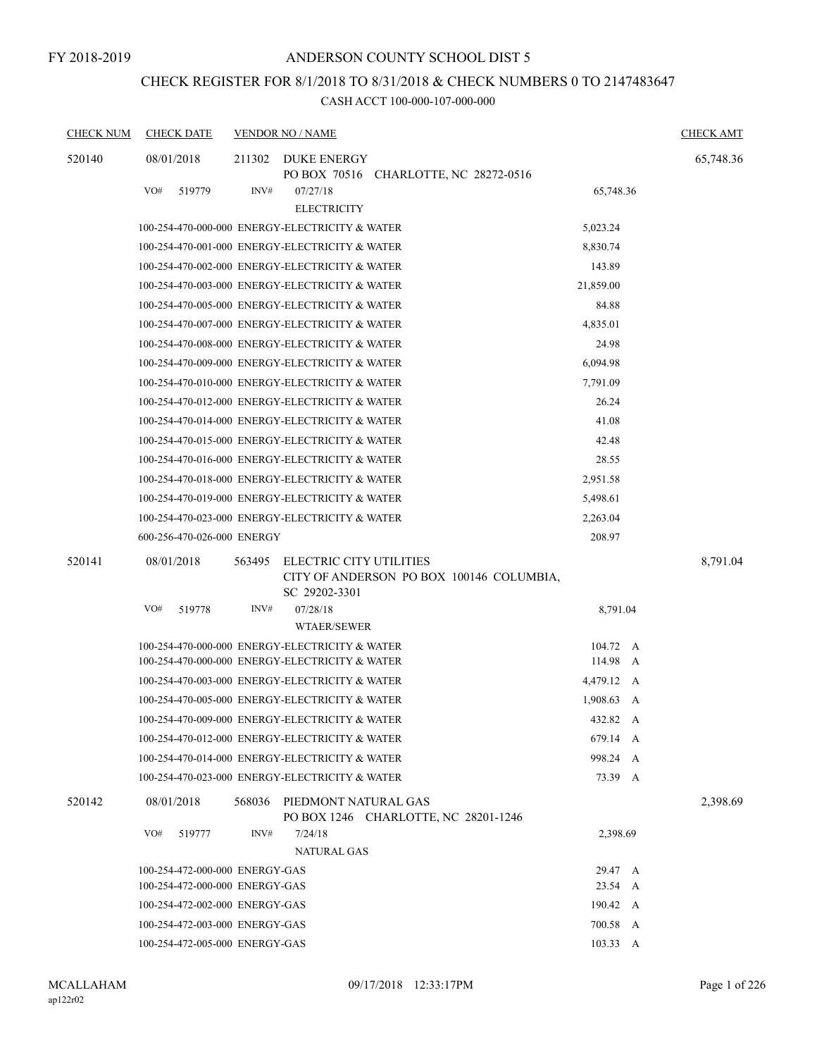# CHECK REGISTER FOR 8/1/2018 TO 8/31/2018 & CHECK NUMBERS 0 TO 2147483647

| <b>CHECK NUM</b> | <b>CHECK DATE</b>                              |        | <b>VENDOR NO / NAME</b>                  |                                          |            | <b>CHECK AMT</b> |
|------------------|------------------------------------------------|--------|------------------------------------------|------------------------------------------|------------|------------------|
| 520140           | 08/01/2018                                     | 211302 | DUKE ENERGY                              | PO BOX 70516 CHARLOTTE, NC 28272-0516    |            | 65,748.36        |
|                  | VO#<br>519779                                  | INV#   | 07/27/18<br><b>ELECTRICITY</b>           |                                          | 65,748.36  |                  |
|                  | 100-254-470-000-000 ENERGY-ELECTRICITY & WATER |        |                                          |                                          | 5,023.24   |                  |
|                  | 100-254-470-001-000 ENERGY-ELECTRICITY & WATER |        |                                          |                                          | 8,830.74   |                  |
|                  | 100-254-470-002-000 ENERGY-ELECTRICITY & WATER |        |                                          |                                          | 143.89     |                  |
|                  | 100-254-470-003-000 ENERGY-ELECTRICITY & WATER |        |                                          |                                          | 21,859.00  |                  |
|                  | 100-254-470-005-000 ENERGY-ELECTRICITY & WATER |        |                                          |                                          | 84.88      |                  |
|                  | 100-254-470-007-000 ENERGY-ELECTRICITY & WATER |        |                                          |                                          | 4,835.01   |                  |
|                  | 100-254-470-008-000 ENERGY-ELECTRICITY & WATER |        |                                          |                                          | 24.98      |                  |
|                  | 100-254-470-009-000 ENERGY-ELECTRICITY & WATER |        |                                          |                                          | 6,094.98   |                  |
|                  | 100-254-470-010-000 ENERGY-ELECTRICITY & WATER |        |                                          |                                          | 7,791.09   |                  |
|                  | 100-254-470-012-000 ENERGY-ELECTRICITY & WATER |        |                                          |                                          | 26.24      |                  |
|                  | 100-254-470-014-000 ENERGY-ELECTRICITY & WATER |        |                                          |                                          | 41.08      |                  |
|                  | 100-254-470-015-000 ENERGY-ELECTRICITY & WATER |        |                                          |                                          | 42.48      |                  |
|                  | 100-254-470-016-000 ENERGY-ELECTRICITY & WATER |        |                                          |                                          | 28.55      |                  |
|                  | 100-254-470-018-000 ENERGY-ELECTRICITY & WATER |        |                                          |                                          | 2,951.58   |                  |
|                  | 100-254-470-019-000 ENERGY-ELECTRICITY & WATER |        |                                          |                                          | 5,498.61   |                  |
|                  | 100-254-470-023-000 ENERGY-ELECTRICITY & WATER |        |                                          |                                          | 2,263.04   |                  |
|                  | 600-256-470-026-000 ENERGY                     |        |                                          |                                          | 208.97     |                  |
| 520141           | 08/01/2018                                     | 563495 | ELECTRIC CITY UTILITIES<br>SC 29202-3301 | CITY OF ANDERSON PO BOX 100146 COLUMBIA, |            | 8,791.04         |
|                  | VO#<br>519778                                  | INV#   | 07/28/18<br>WTAER/SEWER                  |                                          | 8,791.04   |                  |
|                  | 100-254-470-000-000 ENERGY-ELECTRICITY & WATER |        |                                          |                                          | 104.72 A   |                  |
|                  | 100-254-470-000-000 ENERGY-ELECTRICITY & WATER |        |                                          |                                          | 114.98 A   |                  |
|                  | 100-254-470-003-000 ENERGY-ELECTRICITY & WATER |        |                                          |                                          | 4,479.12 A |                  |
|                  | 100-254-470-005-000 ENERGY-ELECTRICITY & WATER |        |                                          |                                          | 1,908.63 A |                  |
|                  | 100-254-470-009-000 ENERGY-ELECTRICITY & WATER |        |                                          |                                          | 432.82 A   |                  |
|                  | 100-254-470-012-000 ENERGY-ELECTRICITY & WATER |        |                                          |                                          | 679.14 A   |                  |
|                  | 100-254-470-014-000 ENERGY-ELECTRICITY & WATER |        |                                          |                                          | 998.24 A   |                  |
|                  | 100-254-470-023-000 ENERGY-ELECTRICITY & WATER |        |                                          |                                          | 73.39 A    |                  |
| 520142           | 08/01/2018                                     |        | 568036 PIEDMONT NATURAL GAS              | PO BOX 1246 CHARLOTTE, NC 28201-1246     |            | 2,398.69         |
|                  | VO#<br>519777                                  | INV#   | 7/24/18<br><b>NATURAL GAS</b>            |                                          | 2,398.69   |                  |
|                  | 100-254-472-000-000 ENERGY-GAS                 |        |                                          |                                          | 29.47 A    |                  |
|                  | 100-254-472-000-000 ENERGY-GAS                 |        |                                          |                                          | 23.54 A    |                  |
|                  | 100-254-472-002-000 ENERGY-GAS                 |        |                                          |                                          | 190.42 A   |                  |
|                  | 100-254-472-003-000 ENERGY-GAS                 |        |                                          |                                          | 700.58 A   |                  |
|                  | 100-254-472-005-000 ENERGY-GAS                 |        |                                          |                                          | 103.33 A   |                  |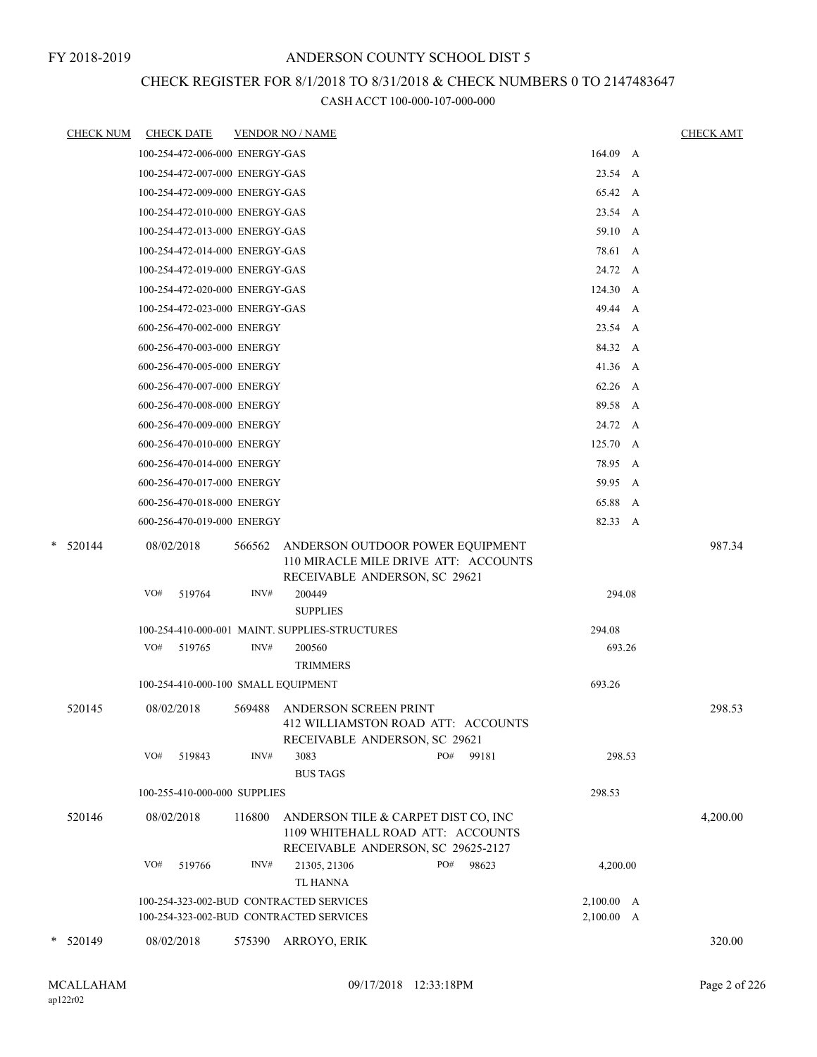## CHECK REGISTER FOR 8/1/2018 TO 8/31/2018 & CHECK NUMBERS 0 TO 2147483647

|   | <u>CHECK NUM</u> |                   | <b>CHECK DATE</b>                   |                | <b>VENDOR NO / NAME</b>                                                                                                                |     |       |                          | <b>CHECK AMT</b> |
|---|------------------|-------------------|-------------------------------------|----------------|----------------------------------------------------------------------------------------------------------------------------------------|-----|-------|--------------------------|------------------|
|   |                  |                   | 100-254-472-006-000 ENERGY-GAS      |                |                                                                                                                                        |     |       | $164.09$ A               |                  |
|   |                  |                   | 100-254-472-007-000 ENERGY-GAS      |                |                                                                                                                                        |     |       | 23.54 A                  |                  |
|   |                  |                   | 100-254-472-009-000 ENERGY-GAS      |                |                                                                                                                                        |     |       | 65.42 A                  |                  |
|   |                  |                   | 100-254-472-010-000 ENERGY-GAS      |                |                                                                                                                                        |     |       | 23.54 A                  |                  |
|   |                  |                   | 100-254-472-013-000 ENERGY-GAS      |                |                                                                                                                                        |     |       | 59.10 A                  |                  |
|   |                  |                   | 100-254-472-014-000 ENERGY-GAS      |                |                                                                                                                                        |     |       | 78.61 A                  |                  |
|   |                  |                   | 100-254-472-019-000 ENERGY-GAS      |                |                                                                                                                                        |     |       | 24.72 A                  |                  |
|   |                  |                   | 100-254-472-020-000 ENERGY-GAS      |                |                                                                                                                                        |     |       | 124.30 A                 |                  |
|   |                  |                   | 100-254-472-023-000 ENERGY-GAS      |                |                                                                                                                                        |     |       | 49.44 A                  |                  |
|   |                  |                   | 600-256-470-002-000 ENERGY          |                |                                                                                                                                        |     |       | 23.54 A                  |                  |
|   |                  |                   | 600-256-470-003-000 ENERGY          |                |                                                                                                                                        |     |       | 84.32 A                  |                  |
|   |                  |                   | 600-256-470-005-000 ENERGY          |                |                                                                                                                                        |     |       | 41.36 A                  |                  |
|   |                  |                   | 600-256-470-007-000 ENERGY          |                |                                                                                                                                        |     |       | 62.26 A                  |                  |
|   |                  |                   | 600-256-470-008-000 ENERGY          |                |                                                                                                                                        |     |       | 89.58 A                  |                  |
|   |                  |                   | 600-256-470-009-000 ENERGY          |                |                                                                                                                                        |     |       | 24.72 A                  |                  |
|   |                  |                   | 600-256-470-010-000 ENERGY          |                |                                                                                                                                        |     |       | 125.70 A                 |                  |
|   |                  |                   | 600-256-470-014-000 ENERGY          |                |                                                                                                                                        |     |       | 78.95 A                  |                  |
|   |                  |                   | 600-256-470-017-000 ENERGY          |                |                                                                                                                                        |     |       | 59.95 A                  |                  |
|   |                  |                   | 600-256-470-018-000 ENERGY          |                |                                                                                                                                        |     |       | 65.88 A                  |                  |
|   |                  |                   | 600-256-470-019-000 ENERGY          |                |                                                                                                                                        |     |       | 82.33 A                  |                  |
| * | 520144           | 08/02/2018<br>VO# | 519764                              | 566562<br>INV# | ANDERSON OUTDOOR POWER EQUIPMENT<br>110 MIRACLE MILE DRIVE ATT: ACCOUNTS<br>RECEIVABLE ANDERSON, SC 29621<br>200449<br><b>SUPPLIES</b> |     |       | 294.08                   | 987.34           |
|   |                  |                   |                                     |                | 100-254-410-000-001 MAINT. SUPPLIES-STRUCTURES                                                                                         |     |       | 294.08                   |                  |
|   |                  | VO#               | 519765                              | INV#           | 200560                                                                                                                                 |     |       | 693.26                   |                  |
|   |                  |                   |                                     |                | <b>TRIMMERS</b>                                                                                                                        |     |       |                          |                  |
|   |                  |                   | 100-254-410-000-100 SMALL EQUIPMENT |                |                                                                                                                                        |     |       | 693.26                   |                  |
|   | 520145           | 08/02/2018        |                                     | 569488         | ANDERSON SCREEN PRINT<br>412 WILLIAMSTON ROAD ATT: ACCOUNTS<br>RECEIVABLE ANDERSON, SC 29621                                           |     |       |                          | 298.53           |
|   |                  | VO#               | 519843                              | INV#           | 3083<br><b>BUS TAGS</b>                                                                                                                | PO# | 99181 | 298.53                   |                  |
|   |                  |                   | 100-255-410-000-000 SUPPLIES        |                |                                                                                                                                        |     |       | 298.53                   |                  |
|   | 520146           | 08/02/2018        |                                     | 116800         | ANDERSON TILE & CARPET DIST CO, INC<br>1109 WHITEHALL ROAD ATT: ACCOUNTS<br>RECEIVABLE ANDERSON, SC 29625-2127                         |     |       |                          | 4,200.00         |
|   |                  | VO#               | 519766                              | INV#           | 21305, 21306<br><b>TL HANNA</b>                                                                                                        | PO# | 98623 | 4,200.00                 |                  |
|   |                  |                   |                                     |                | 100-254-323-002-BUD CONTRACTED SERVICES<br>100-254-323-002-BUD CONTRACTED SERVICES                                                     |     |       | 2,100.00 A<br>2,100.00 A |                  |
|   | $*$ 520149       | 08/02/2018        |                                     | 575390         | ARROYO, ERIK                                                                                                                           |     |       |                          | 320.00           |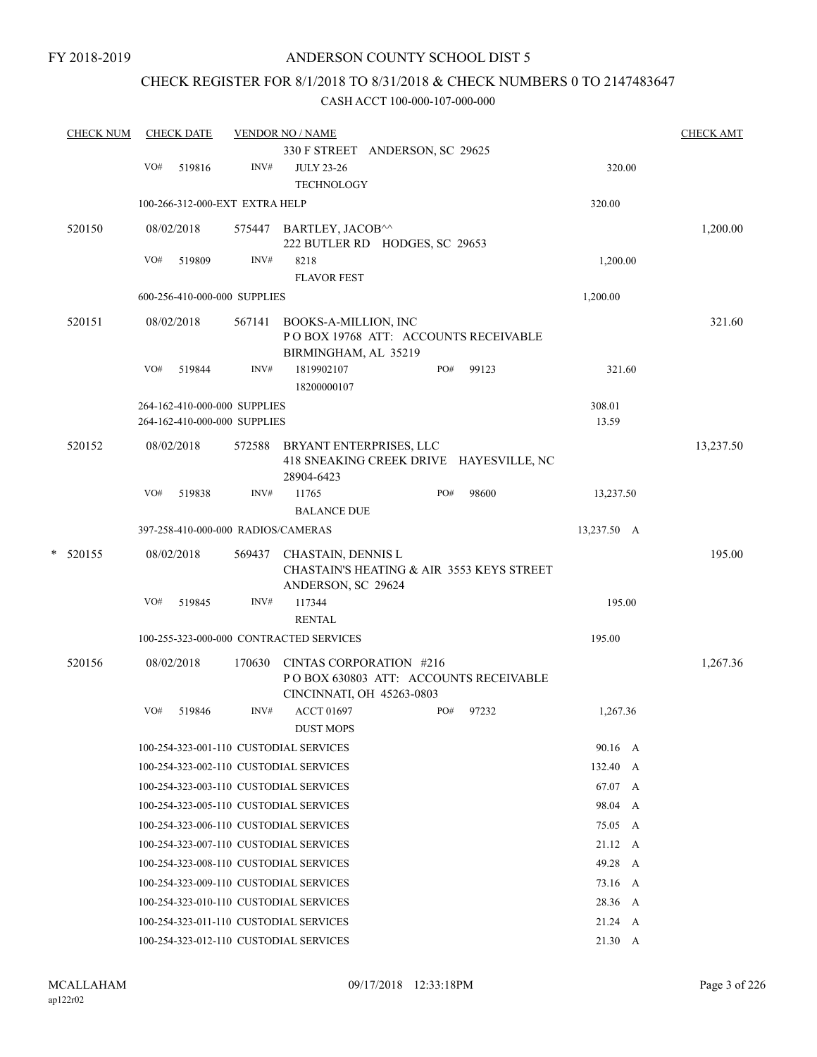FY 2018-2019

## ANDERSON COUNTY SCHOOL DIST 5

# CHECK REGISTER FOR 8/1/2018 TO 8/31/2018 & CHECK NUMBERS 0 TO 2147483647

| <b>CHECK NUM</b> |     | <b>CHECK DATE</b>                                            |        | <b>VENDOR NO / NAME</b>                                                                       |     |       |                 | <b>CHECK AMT</b> |
|------------------|-----|--------------------------------------------------------------|--------|-----------------------------------------------------------------------------------------------|-----|-------|-----------------|------------------|
|                  |     |                                                              |        | 330 F STREET ANDERSON, SC 29625                                                               |     |       |                 |                  |
|                  | VO# | 519816                                                       | INV#   | <b>JULY 23-26</b><br><b>TECHNOLOGY</b>                                                        |     |       | 320.00          |                  |
|                  |     | 100-266-312-000-EXT EXTRA HELP                               |        |                                                                                               |     |       | 320.00          |                  |
| 520150           |     | 08/02/2018                                                   |        | 575447 BARTLEY, JACOB^^<br>222 BUTLER RD HODGES, SC 29653                                     |     |       |                 | 1,200.00         |
|                  | VO# | 519809                                                       | INV#   | 8218<br><b>FLAVOR FEST</b>                                                                    |     |       | 1,200.00        |                  |
|                  |     | 600-256-410-000-000 SUPPLIES                                 |        |                                                                                               |     |       | 1,200.00        |                  |
| 520151           |     | 08/02/2018                                                   | 567141 | BOOKS-A-MILLION, INC<br>POBOX 19768 ATT: ACCOUNTS RECEIVABLE<br>BIRMINGHAM, AL 35219          |     |       |                 | 321.60           |
|                  | VO# | 519844                                                       | INV#   | 1819902107<br>18200000107                                                                     | PO# | 99123 | 321.60          |                  |
|                  |     | 264-162-410-000-000 SUPPLIES<br>264-162-410-000-000 SUPPLIES |        |                                                                                               |     |       | 308.01<br>13.59 |                  |
| 520152           |     | 08/02/2018                                                   | 572588 | BRYANT ENTERPRISES, LLC<br>418 SNEAKING CREEK DRIVE HAYESVILLE, NC<br>28904-6423              |     |       |                 | 13,237.50        |
|                  | VO# | 519838                                                       | INV#   | 11765<br><b>BALANCE DUE</b>                                                                   | PO# | 98600 | 13,237.50       |                  |
|                  |     | 397-258-410-000-000 RADIOS/CAMERAS                           |        |                                                                                               |     |       | 13,237.50 A     |                  |
| $*$ 520155       |     | 08/02/2018                                                   | 569437 | CHASTAIN, DENNIS L<br>CHASTAIN'S HEATING & AIR 3553 KEYS STREET<br>ANDERSON, SC 29624         |     |       |                 | 195.00           |
|                  | VO# | 519845                                                       | INV#   | 117344<br><b>RENTAL</b>                                                                       |     |       | 195.00          |                  |
|                  |     |                                                              |        | 100-255-323-000-000 CONTRACTED SERVICES                                                       |     |       | 195.00          |                  |
| 520156           |     | 08/02/2018                                                   | 170630 | CINTAS CORPORATION #216<br>POBOX 630803 ATT: ACCOUNTS RECEIVABLE<br>CINCINNATI, OH 45263-0803 |     |       |                 | 1,267.36         |
|                  | VO# | 519846                                                       | INV#   | <b>ACCT 01697</b><br><b>DUST MOPS</b>                                                         | PO# | 97232 | 1,267.36        |                  |
|                  |     |                                                              |        | 100-254-323-001-110 CUSTODIAL SERVICES                                                        |     |       | 90.16 A         |                  |
|                  |     |                                                              |        | 100-254-323-002-110 CUSTODIAL SERVICES                                                        |     |       | 132.40 A        |                  |
|                  |     |                                                              |        | 100-254-323-003-110 CUSTODIAL SERVICES                                                        |     |       | 67.07 A         |                  |
|                  |     |                                                              |        | 100-254-323-005-110 CUSTODIAL SERVICES                                                        |     |       | 98.04 A         |                  |
|                  |     |                                                              |        | 100-254-323-006-110 CUSTODIAL SERVICES                                                        |     |       | 75.05 A         |                  |
|                  |     |                                                              |        | 100-254-323-007-110 CUSTODIAL SERVICES                                                        |     |       | 21.12 A         |                  |
|                  |     |                                                              |        | 100-254-323-008-110 CUSTODIAL SERVICES                                                        |     |       | 49.28 A         |                  |
|                  |     |                                                              |        | 100-254-323-009-110 CUSTODIAL SERVICES                                                        |     |       | 73.16 A         |                  |
|                  |     |                                                              |        | 100-254-323-010-110 CUSTODIAL SERVICES                                                        |     |       | 28.36 A         |                  |
|                  |     |                                                              |        | 100-254-323-011-110 CUSTODIAL SERVICES                                                        |     |       | $21.24 \quad A$ |                  |
|                  |     |                                                              |        | 100-254-323-012-110 CUSTODIAL SERVICES                                                        |     |       | $21.30\quad A$  |                  |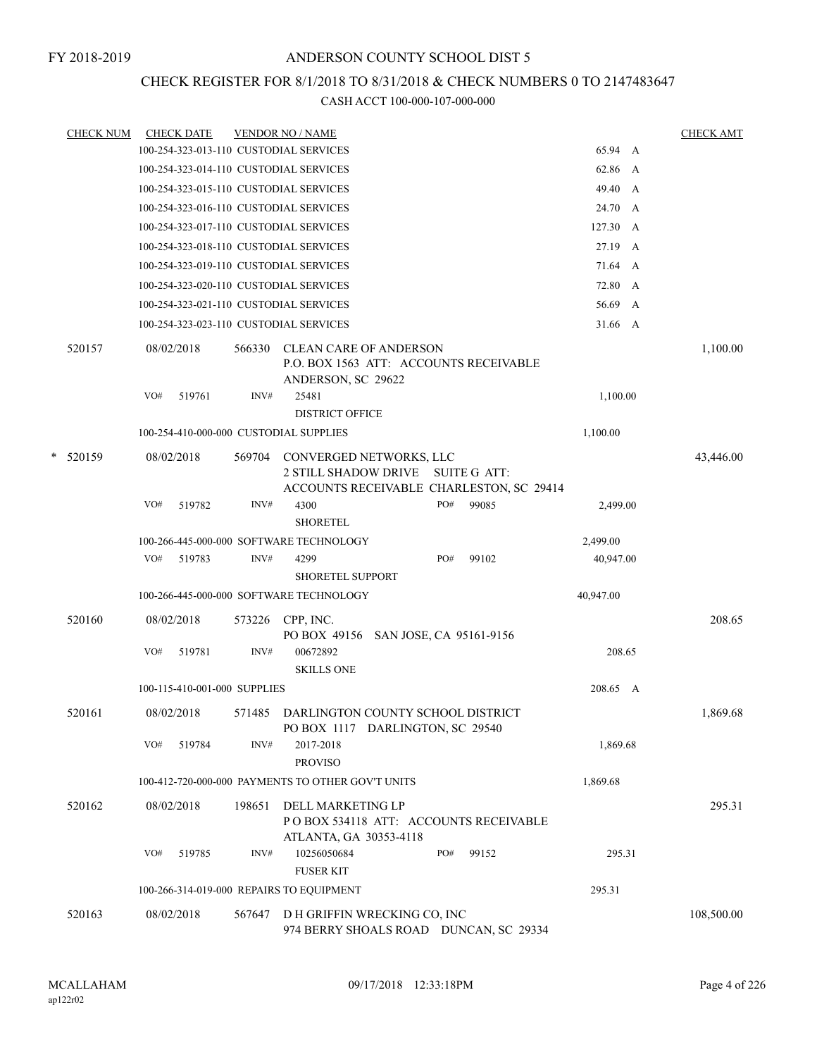## CHECK REGISTER FOR 8/1/2018 TO 8/31/2018 & CHECK NUMBERS 0 TO 2147483647

| <b>CHECK NUM</b> |     | <b>CHECK DATE</b>            |        | <b>VENDOR NO / NAME</b>                                                                       |     |                                                                 |           |              | <b>CHECK AMT</b> |
|------------------|-----|------------------------------|--------|-----------------------------------------------------------------------------------------------|-----|-----------------------------------------------------------------|-----------|--------------|------------------|
|                  |     |                              |        | 100-254-323-013-110 CUSTODIAL SERVICES                                                        |     |                                                                 | 65.94 A   |              |                  |
|                  |     |                              |        | 100-254-323-014-110 CUSTODIAL SERVICES                                                        |     |                                                                 | 62.86 A   |              |                  |
|                  |     |                              |        | 100-254-323-015-110 CUSTODIAL SERVICES                                                        |     |                                                                 | 49.40 A   |              |                  |
|                  |     |                              |        | 100-254-323-016-110 CUSTODIAL SERVICES                                                        |     |                                                                 | 24.70 A   |              |                  |
|                  |     |                              |        | 100-254-323-017-110 CUSTODIAL SERVICES                                                        |     |                                                                 | 127.30 A  |              |                  |
|                  |     |                              |        | 100-254-323-018-110 CUSTODIAL SERVICES                                                        |     |                                                                 | 27.19 A   |              |                  |
|                  |     |                              |        | 100-254-323-019-110 CUSTODIAL SERVICES                                                        |     |                                                                 | 71.64 A   |              |                  |
|                  |     |                              |        | 100-254-323-020-110 CUSTODIAL SERVICES                                                        |     |                                                                 | 72.80     | A            |                  |
|                  |     |                              |        | 100-254-323-021-110 CUSTODIAL SERVICES                                                        |     |                                                                 | 56.69     | $\mathbf{A}$ |                  |
|                  |     |                              |        | 100-254-323-023-110 CUSTODIAL SERVICES                                                        |     |                                                                 | 31.66 A   |              |                  |
| 520157           |     | 08/02/2018                   | 566330 | <b>CLEAN CARE OF ANDERSON</b><br>P.O. BOX 1563 ATT: ACCOUNTS RECEIVABLE<br>ANDERSON, SC 29622 |     |                                                                 |           |              | 1,100.00         |
|                  | VO# | 519761                       | INV#   | 25481                                                                                         |     |                                                                 | 1,100.00  |              |                  |
|                  |     |                              |        | <b>DISTRICT OFFICE</b>                                                                        |     |                                                                 |           |              |                  |
|                  |     |                              |        | 100-254-410-000-000 CUSTODIAL SUPPLIES                                                        |     |                                                                 | 1,100.00  |              |                  |
| $*$ 520159       |     | 08/02/2018                   | 569704 | CONVERGED NETWORKS, LLC<br><b>2 STILL SHADOW DRIVE</b>                                        |     | <b>SUITE G ATT:</b><br>ACCOUNTS RECEIVABLE CHARLESTON, SC 29414 |           |              | 43,446.00        |
|                  | VO# | 519782                       | INV#   | 4300<br><b>SHORETEL</b>                                                                       | PO# | 99085                                                           | 2,499.00  |              |                  |
|                  |     |                              |        | 100-266-445-000-000 SOFTWARE TECHNOLOGY                                                       |     |                                                                 | 2,499.00  |              |                  |
|                  | VO# | 519783                       | INV#   | 4299<br><b>SHORETEL SUPPORT</b>                                                               | PO# | 99102                                                           | 40,947.00 |              |                  |
|                  |     |                              |        | 100-266-445-000-000 SOFTWARE TECHNOLOGY                                                       |     |                                                                 | 40,947.00 |              |                  |
| 520160           |     | 08/02/2018                   | 573226 | CPP, INC.<br>PO BOX 49156 SAN JOSE, CA 95161-9156                                             |     |                                                                 |           |              | 208.65           |
|                  | VO# | 519781                       | INV#   | 00672892<br><b>SKILLS ONE</b>                                                                 |     |                                                                 | 208.65    |              |                  |
|                  |     | 100-115-410-001-000 SUPPLIES |        |                                                                                               |     |                                                                 | 208.65 A  |              |                  |
| 520161           |     | 08/02/2018                   |        | 571485 DARLINGTON COUNTY SCHOOL DISTRICT<br>PO BOX 1117 DARLINGTON, SC 29540                  |     |                                                                 |           |              | 1,869.68         |
|                  | VO# | 519784                       | INV#   | 2017-2018<br><b>PROVISO</b>                                                                   |     |                                                                 | 1,869.68  |              |                  |
|                  |     |                              |        | 100-412-720-000-000 PAYMENTS TO OTHER GOV'T UNITS                                             |     |                                                                 | 1,869.68  |              |                  |
| 520162           |     | 08/02/2018                   | 198651 | DELL MARKETING LP<br>ATLANTA, GA 30353-4118                                                   |     | POBOX 534118 ATT: ACCOUNTS RECEIVABLE                           |           |              | 295.31           |
|                  | VO# | 519785                       | INV#   | 10256050684<br><b>FUSER KIT</b>                                                               | PO# | 99152                                                           | 295.31    |              |                  |
|                  |     |                              |        | 100-266-314-019-000 REPAIRS TO EQUIPMENT                                                      |     |                                                                 | 295.31    |              |                  |
| 520163           |     | 08/02/2018                   | 567647 | D H GRIFFIN WRECKING CO, INC                                                                  |     | 974 BERRY SHOALS ROAD DUNCAN, SC 29334                          |           |              | 108,500.00       |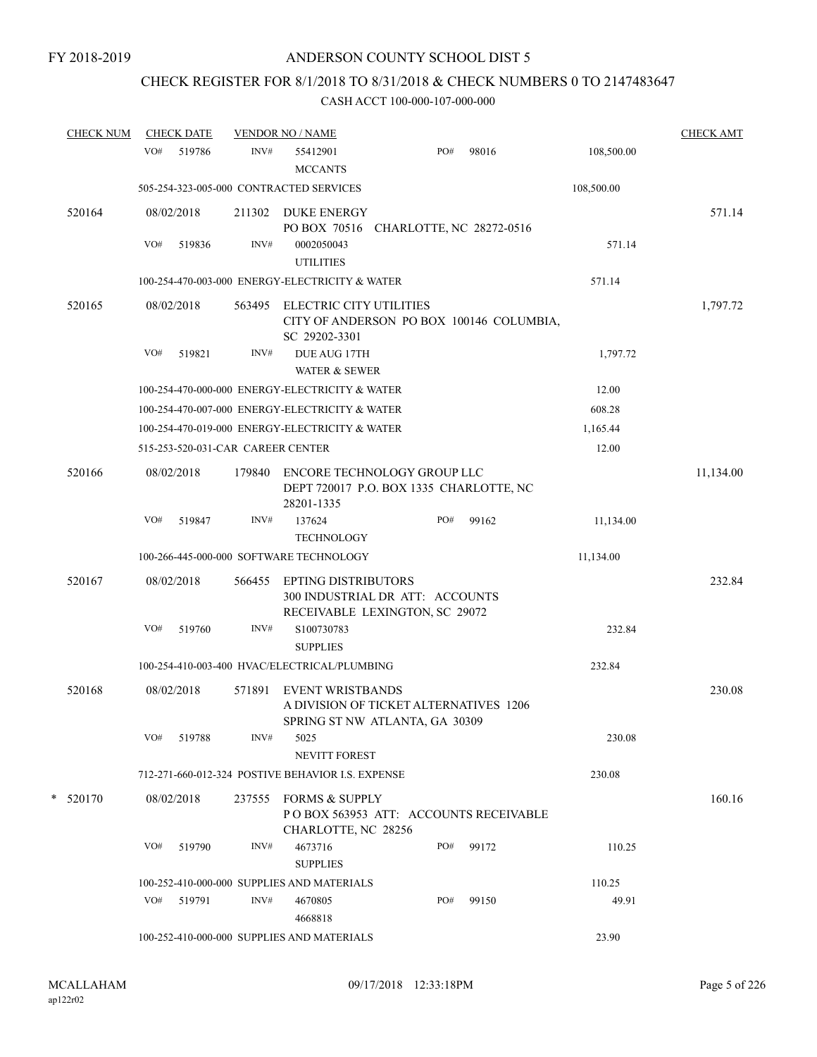# CHECK REGISTER FOR 8/1/2018 TO 8/31/2018 & CHECK NUMBERS 0 TO 2147483647

| <b>CHECK NUM</b> |     | <b>CHECK DATE</b>                 |        | <b>VENDOR NO / NAME</b>                                                                             |     |                          |            | <b>CHECK AMT</b> |
|------------------|-----|-----------------------------------|--------|-----------------------------------------------------------------------------------------------------|-----|--------------------------|------------|------------------|
|                  | VO# | 519786                            | INV#   | 55412901<br><b>MCCANTS</b>                                                                          | PO# | 98016                    | 108,500.00 |                  |
|                  |     |                                   |        | 505-254-323-005-000 CONTRACTED SERVICES                                                             |     |                          | 108,500.00 |                  |
| 520164           |     | 08/02/2018                        | 211302 | <b>DUKE ENERGY</b><br>PO BOX 70516                                                                  |     | CHARLOTTE, NC 28272-0516 |            | 571.14           |
|                  | VO# | 519836                            | INV#   | 0002050043<br><b>UTILITIES</b>                                                                      |     |                          | 571.14     |                  |
|                  |     |                                   |        | 100-254-470-003-000 ENERGY-ELECTRICITY & WATER                                                      |     |                          | 571.14     |                  |
| 520165           |     | 08/02/2018                        | 563495 | ELECTRIC CITY UTILITIES<br>CITY OF ANDERSON PO BOX 100146 COLUMBIA,<br>SC 29202-3301                |     |                          |            | 1,797.72         |
|                  | VO# | 519821                            | INV#   | DUE AUG 17TH<br>WATER & SEWER                                                                       |     |                          | 1,797.72   |                  |
|                  |     |                                   |        | 100-254-470-000-000 ENERGY-ELECTRICITY & WATER                                                      |     |                          | 12.00      |                  |
|                  |     |                                   |        | 100-254-470-007-000 ENERGY-ELECTRICITY & WATER                                                      |     |                          | 608.28     |                  |
|                  |     |                                   |        | 100-254-470-019-000 ENERGY-ELECTRICITY & WATER                                                      |     |                          | 1,165.44   |                  |
|                  |     | 515-253-520-031-CAR CAREER CENTER |        |                                                                                                     |     |                          | 12.00      |                  |
| 520166           |     | 08/02/2018                        | 179840 | ENCORE TECHNOLOGY GROUP LLC<br>DEPT 720017 P.O. BOX 1335 CHARLOTTE, NC<br>28201-1335                |     |                          |            | 11,134.00        |
|                  | VO# | 519847                            | INV#   | 137624<br><b>TECHNOLOGY</b>                                                                         | PO# | 99162                    | 11,134.00  |                  |
|                  |     |                                   |        | 100-266-445-000-000 SOFTWARE TECHNOLOGY                                                             |     |                          | 11,134.00  |                  |
| 520167           |     | 08/02/2018                        | 566455 | <b>EPTING DISTRIBUTORS</b><br>300 INDUSTRIAL DR ATT: ACCOUNTS<br>RECEIVABLE LEXINGTON, SC 29072     |     |                          |            | 232.84           |
|                  | VO# | 519760                            | INV#   | S100730783<br><b>SUPPLIES</b>                                                                       |     |                          | 232.84     |                  |
|                  |     |                                   |        | 100-254-410-003-400 HVAC/ELECTRICAL/PLUMBING                                                        |     |                          | 232.84     |                  |
| 520168           |     | 08/02/2018                        | 571891 | <b>EVENT WRISTBANDS</b><br>A DIVISION OF TICKET ALTERNATIVES 1206<br>SPRING ST NW ATLANTA, GA 30309 |     |                          |            | 230.08           |
|                  | VO# | 519788                            | INV#   | 5025<br><b>NEVITT FOREST</b>                                                                        |     |                          | 230.08     |                  |
|                  |     |                                   |        | 712-271-660-012-324 POSTIVE BEHAVIOR I.S. EXPENSE                                                   |     |                          | 230.08     |                  |
| $*$ 520170       |     | 08/02/2018                        |        | 237555 FORMS & SUPPLY<br>POBOX 563953 ATT: ACCOUNTS RECEIVABLE<br>CHARLOTTE, NC 28256               |     |                          |            | 160.16           |
|                  | VO# | 519790                            | INV#   | 4673716<br><b>SUPPLIES</b>                                                                          | PO# | 99172                    | 110.25     |                  |
|                  |     |                                   |        | 100-252-410-000-000 SUPPLIES AND MATERIALS                                                          |     |                          | 110.25     |                  |
|                  | VO# | 519791                            | INV#   | 4670805<br>4668818                                                                                  | PO# | 99150                    | 49.91      |                  |
|                  |     |                                   |        | 100-252-410-000-000 SUPPLIES AND MATERIALS                                                          |     |                          | 23.90      |                  |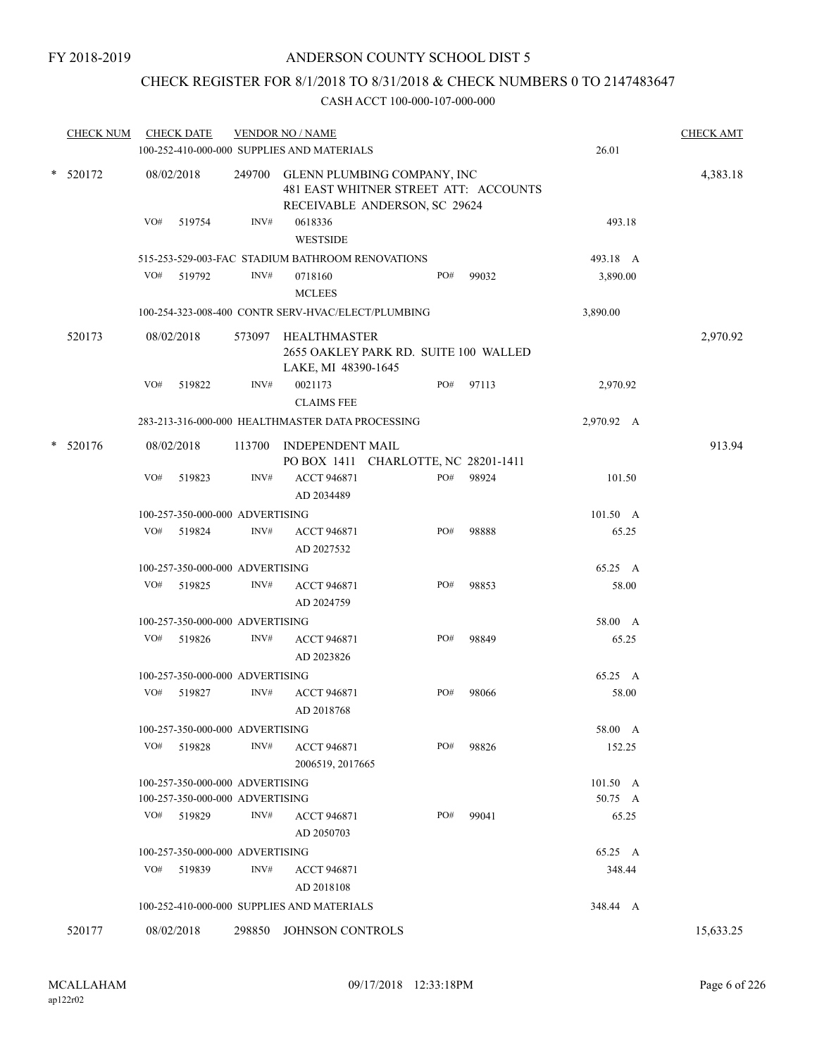## CHECK REGISTER FOR 8/1/2018 TO 8/31/2018 & CHECK NUMBERS 0 TO 2147483647

| <b>CHECK NUM</b> |     | <b>CHECK DATE</b>               |      | <b>VENDOR NO / NAME</b><br>100-252-410-000-000 SUPPLIES AND MATERIALS                                        |     |       | 26.01      | <b>CHECK AMT</b> |
|------------------|-----|---------------------------------|------|--------------------------------------------------------------------------------------------------------------|-----|-------|------------|------------------|
| * 520172         |     | 08/02/2018                      |      | 249700 GLENN PLUMBING COMPANY, INC<br>481 EAST WHITNER STREET ATT: ACCOUNTS<br>RECEIVABLE ANDERSON, SC 29624 |     |       | 4,383.18   |                  |
|                  | VO# | 519754                          | INV# | 0618336<br><b>WESTSIDE</b>                                                                                   |     |       | 493.18     |                  |
|                  |     |                                 |      | 515-253-529-003-FAC STADIUM BATHROOM RENOVATIONS                                                             |     |       | 493.18 A   |                  |
|                  | VO# | 519792                          | INV# | 0718160<br><b>MCLEES</b>                                                                                     | PO# | 99032 | 3,890.00   |                  |
|                  |     |                                 |      | 100-254-323-008-400 CONTR SERV-HVAC/ELECT/PLUMBING                                                           |     |       | 3,890.00   |                  |
| 520173           |     | 08/02/2018                      |      | 573097 HEALTHMASTER<br>2655 OAKLEY PARK RD. SUITE 100 WALLED<br>LAKE, MI 48390-1645                          |     |       |            | 2,970.92         |
|                  | VO# | 519822                          | INV# | 0021173<br><b>CLAIMS FEE</b>                                                                                 | PO# | 97113 | 2,970.92   |                  |
|                  |     |                                 |      | 283-213-316-000-000 HEALTHMASTER DATA PROCESSING                                                             |     |       | 2,970.92 A |                  |
| $*$ 520176       |     | 08/02/2018                      |      | 113700 INDEPENDENT MAIL<br>PO BOX 1411 CHARLOTTE, NC 28201-1411                                              |     |       |            | 913.94           |
|                  | VO# | 519823                          | INV# | <b>ACCT 946871</b><br>AD 2034489                                                                             | PO# | 98924 | 101.50     |                  |
|                  |     | 100-257-350-000-000 ADVERTISING |      |                                                                                                              |     |       | 101.50 A   |                  |
|                  | VO# | 519824                          | INV# | <b>ACCT 946871</b><br>AD 2027532                                                                             | PO# | 98888 | 65.25      |                  |
|                  |     | 100-257-350-000-000 ADVERTISING |      |                                                                                                              |     |       | 65.25 A    |                  |
|                  | VO# | 519825                          | INV# | <b>ACCT 946871</b><br>AD 2024759                                                                             | PO# | 98853 | 58.00      |                  |
|                  |     | 100-257-350-000-000 ADVERTISING |      |                                                                                                              |     |       | 58.00 A    |                  |
|                  |     | VO# 519826                      | INV# | <b>ACCT 946871</b><br>AD 2023826                                                                             | PO# | 98849 | 65.25      |                  |
|                  |     | 100-257-350-000-000 ADVERTISING |      |                                                                                                              |     |       | 65.25 A    |                  |
|                  | VO# | 519827                          | INV# | <b>ACCT 946871</b><br>AD 2018768                                                                             | PO# | 98066 | 58.00      |                  |
|                  |     | 100-257-350-000-000 ADVERTISING |      |                                                                                                              |     |       | 58.00 A    |                  |
|                  | VO# | 519828                          | INV# | <b>ACCT 946871</b><br>2006519, 2017665                                                                       | PO# | 98826 | 152.25     |                  |
|                  |     | 100-257-350-000-000 ADVERTISING |      |                                                                                                              |     |       | 101.50 A   |                  |
|                  |     | 100-257-350-000-000 ADVERTISING |      |                                                                                                              |     |       | 50.75 A    |                  |
|                  |     | VO# 519829                      | INV# | <b>ACCT 946871</b><br>AD 2050703                                                                             | PO# | 99041 | 65.25      |                  |
|                  |     | 100-257-350-000-000 ADVERTISING |      |                                                                                                              |     |       | 65.25 A    |                  |
|                  | VO# | 519839                          | INV# | <b>ACCT 946871</b><br>AD 2018108                                                                             |     |       | 348.44     |                  |
|                  |     |                                 |      | 100-252-410-000-000 SUPPLIES AND MATERIALS                                                                   |     |       | 348.44 A   |                  |
| 520177           |     | 08/02/2018                      |      | 298850 JOHNSON CONTROLS                                                                                      |     |       |            | 15,633.25        |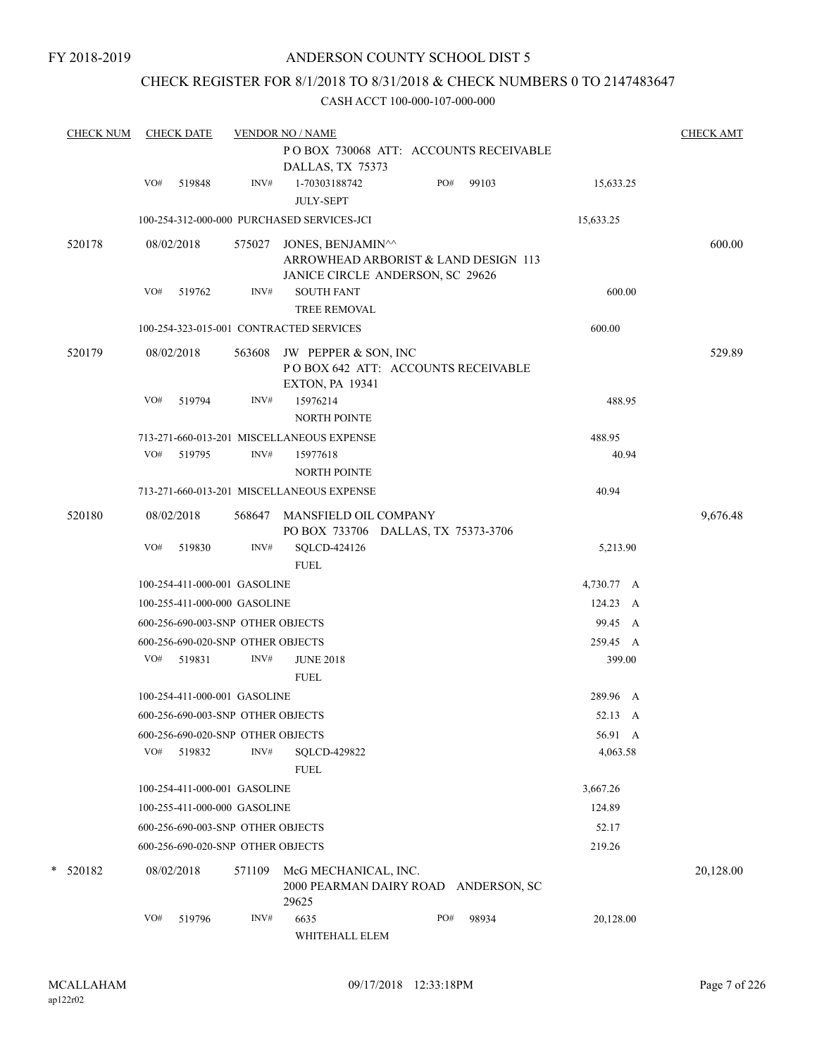## CHECK REGISTER FOR 8/1/2018 TO 8/31/2018 & CHECK NUMBERS 0 TO 2147483647

| <b>CHECK NUM</b> | <b>CHECK DATE</b> |                                                                   | <b>VENDOR NO / NAME</b>                                           |                                       |                        | <b>CHECK AMT</b> |
|------------------|-------------------|-------------------------------------------------------------------|-------------------------------------------------------------------|---------------------------------------|------------------------|------------------|
|                  |                   |                                                                   | DALLAS, TX 75373                                                  | POBOX 730068 ATT: ACCOUNTS RECEIVABLE |                        |                  |
|                  | VO#<br>519848     | INV#                                                              | 1-70303188742<br><b>JULY-SEPT</b>                                 | PO#<br>99103                          | 15,633.25              |                  |
|                  |                   |                                                                   | 100-254-312-000-000 PURCHASED SERVICES-JCI                        |                                       | 15,633.25              |                  |
| 520178           | 08/02/2018        | 575027                                                            | JONES, BENJAMIN <sup>^^</sup><br>JANICE CIRCLE ANDERSON, SC 29626 | ARROWHEAD ARBORIST & LAND DESIGN 113  |                        | 600.00           |
|                  | VO#<br>519762     | INV#                                                              | <b>SOUTH FANT</b>                                                 |                                       | 600.00                 |                  |
|                  |                   |                                                                   | <b>TREE REMOVAL</b><br>100-254-323-015-001 CONTRACTED SERVICES    |                                       | 600.00                 |                  |
|                  |                   |                                                                   |                                                                   |                                       |                        |                  |
| 520179           | 08/02/2018        | 563608                                                            | JW PEPPER & SON, INC<br><b>EXTON, PA 19341</b>                    | POBOX 642 ATT: ACCOUNTS RECEIVABLE    |                        | 529.89           |
|                  | VO#<br>519794     | INV#                                                              | 15976214<br><b>NORTH POINTE</b>                                   |                                       | 488.95                 |                  |
|                  |                   |                                                                   | 713-271-660-013-201 MISCELLANEOUS EXPENSE                         |                                       | 488.95                 |                  |
|                  | VO#<br>519795     | INV#                                                              | 15977618<br><b>NORTH POINTE</b>                                   |                                       | 40.94                  |                  |
|                  |                   |                                                                   | 713-271-660-013-201 MISCELLANEOUS EXPENSE                         |                                       | 40.94                  |                  |
| 520180           | 08/02/2018        | 568647                                                            | MANSFIELD OIL COMPANY                                             | PO BOX 733706 DALLAS, TX 75373-3706   |                        | 9,676.48         |
|                  | VO#<br>519830     | INV#                                                              | SQLCD-424126                                                      |                                       | 5,213.90               |                  |
|                  |                   |                                                                   | <b>FUEL</b>                                                       |                                       |                        |                  |
|                  |                   | 100-254-411-000-001 GASOLINE                                      |                                                                   |                                       | 4,730.77 A<br>124.23 A |                  |
|                  |                   | 100-255-411-000-000 GASOLINE<br>600-256-690-003-SNP OTHER OBJECTS |                                                                   |                                       | 99.45 A                |                  |
|                  |                   |                                                                   |                                                                   |                                       |                        |                  |
|                  | VO#<br>519831     | 600-256-690-020-SNP OTHER OBJECTS<br>INV#                         | <b>JUNE 2018</b>                                                  |                                       | 259.45 A<br>399.00     |                  |
|                  |                   |                                                                   | <b>FUEL</b>                                                       |                                       |                        |                  |
|                  |                   | 100-254-411-000-001 GASOLINE                                      |                                                                   |                                       | 289.96 A               |                  |
|                  |                   | 600-256-690-003-SNP OTHER OBJECTS                                 |                                                                   |                                       | 52.13 A                |                  |
|                  |                   | 600-256-690-020-SNP OTHER OBJECTS                                 |                                                                   |                                       | 56.91 A                |                  |
|                  | VO# 519832        | INV#                                                              | SQLCD-429822<br><b>FUEL</b>                                       |                                       | 4,063.58               |                  |
|                  |                   | 100-254-411-000-001 GASOLINE                                      |                                                                   |                                       | 3,667.26               |                  |
|                  |                   | 100-255-411-000-000 GASOLINE                                      |                                                                   |                                       | 124.89                 |                  |
|                  |                   | 600-256-690-003-SNP OTHER OBJECTS                                 |                                                                   |                                       | 52.17                  |                  |
|                  |                   | 600-256-690-020-SNP OTHER OBJECTS                                 |                                                                   |                                       | 219.26                 |                  |
| $*$ 520182       | 08/02/2018        | 571109                                                            | McG MECHANICAL, INC.<br>29625                                     | 2000 PEARMAN DAIRY ROAD ANDERSON, SC  |                        | 20,128.00        |
|                  | VO#<br>519796     | INV#                                                              | 6635<br>WHITEHALL ELEM                                            | PO#<br>98934                          | 20,128.00              |                  |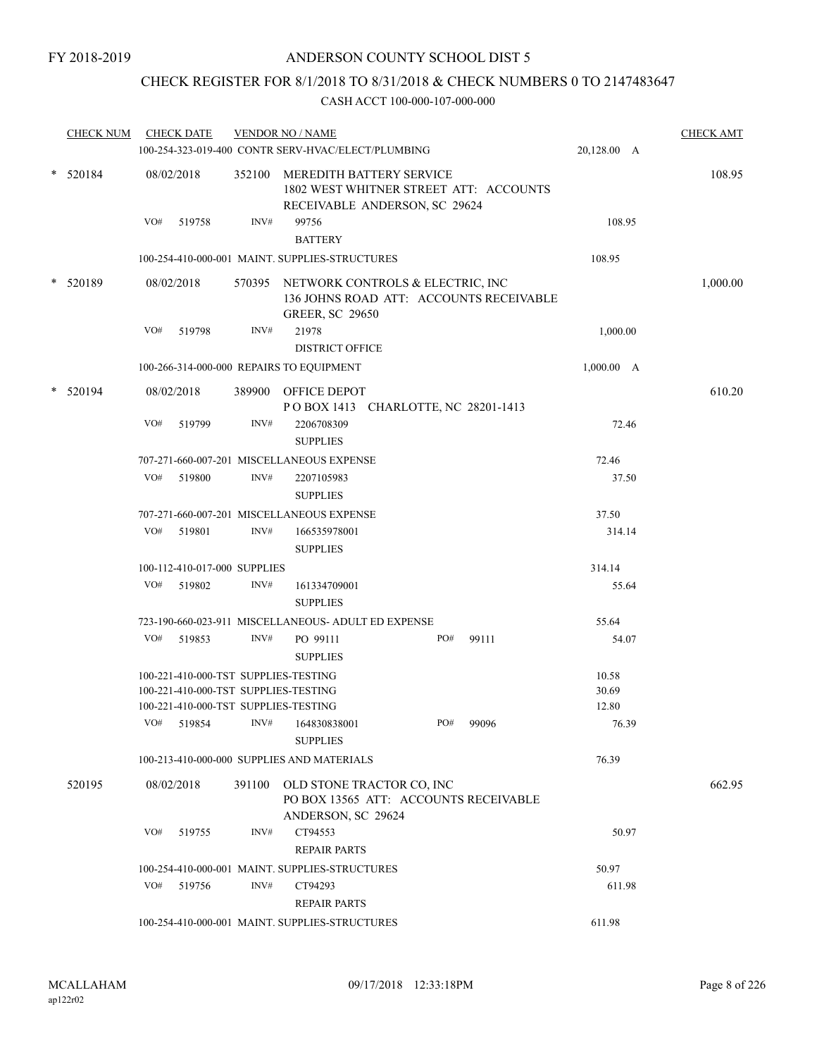## CHECK REGISTER FOR 8/1/2018 TO 8/31/2018 & CHECK NUMBERS 0 TO 2147483647

|   | <b>CHECK NUM</b> |     | <b>CHECK DATE</b>                                  |                | <b>VENDOR NO / NAME</b><br>100-254-323-019-400 CONTR SERV-HVAC/ELECT/PLUMBING                                |     |       | 20,128.00 A    | <b>CHECK AMT</b> |  |
|---|------------------|-----|----------------------------------------------------|----------------|--------------------------------------------------------------------------------------------------------------|-----|-------|----------------|------------------|--|
| * | 520184           |     | 08/02/2018                                         | 352100         | MEREDITH BATTERY SERVICE<br>1802 WEST WHITNER STREET ATT: ACCOUNTS<br>RECEIVABLE ANDERSON, SC 29624          |     |       |                | 108.95           |  |
|   |                  | VO# | 519758                                             | INV#           | 99756<br><b>BATTERY</b>                                                                                      |     |       | 108.95         |                  |  |
|   |                  |     |                                                    |                | 100-254-410-000-001 MAINT. SUPPLIES-STRUCTURES                                                               |     |       | 108.95         |                  |  |
|   | * 520189         |     | 08/02/2018                                         |                | 570395 NETWORK CONTROLS & ELECTRIC, INC<br>136 JOHNS ROAD ATT: ACCOUNTS RECEIVABLE<br><b>GREER, SC 29650</b> |     |       |                | 1,000.00         |  |
|   |                  | VO# | 519798                                             | INV#           | 21978                                                                                                        |     |       | 1,000.00       |                  |  |
|   |                  |     |                                                    |                | <b>DISTRICT OFFICE</b>                                                                                       |     |       |                |                  |  |
|   |                  |     |                                                    |                | 100-266-314-000-000 REPAIRS TO EQUIPMENT                                                                     |     |       | 1,000.00 A     |                  |  |
| * | 520194           |     | 08/02/2018                                         |                | 389900 OFFICE DEPOT<br>POBOX 1413 CHARLOTTE, NC 28201-1413                                                   |     |       |                | 610.20           |  |
|   |                  | VO# | 519799                                             | INV#           | 2206708309<br><b>SUPPLIES</b>                                                                                |     |       | 72.46          |                  |  |
|   |                  |     |                                                    |                | 707-271-660-007-201 MISCELLANEOUS EXPENSE                                                                    |     |       | 72.46          |                  |  |
|   |                  | VO# | 519800                                             | $\text{INV}\#$ | 2207105983<br><b>SUPPLIES</b>                                                                                |     |       | 37.50          |                  |  |
|   |                  |     |                                                    |                | 707-271-660-007-201 MISCELLANEOUS EXPENSE                                                                    |     |       | 37.50          |                  |  |
|   |                  | VO# | 519801                                             | INV#           | 166535978001<br><b>SUPPLIES</b>                                                                              |     |       | 314.14         |                  |  |
|   |                  |     | 100-112-410-017-000 SUPPLIES                       |                |                                                                                                              |     |       | 314.14         |                  |  |
|   |                  |     | VO# 519802                                         | INV#           | 161334709001<br><b>SUPPLIES</b>                                                                              |     |       | 55.64          |                  |  |
|   |                  |     |                                                    |                | 723-190-660-023-911 MISCELLANEOUS- ADULT ED EXPENSE                                                          |     |       | 55.64          |                  |  |
|   |                  | VO# | 519853                                             | INV#           | PO 99111<br><b>SUPPLIES</b>                                                                                  | PO# | 99111 | 54.07          |                  |  |
|   |                  |     | 100-221-410-000-TST SUPPLIES-TESTING               |                |                                                                                                              |     |       | 10.58          |                  |  |
|   |                  |     | 100-221-410-000-TST SUPPLIES-TESTING               |                |                                                                                                              |     |       | 30.69          |                  |  |
|   |                  |     | 100-221-410-000-TST SUPPLIES-TESTING<br>VO# 519854 | INV#           | 164830838001<br><b>SUPPLIES</b>                                                                              | PO# | 99096 | 12.80<br>76.39 |                  |  |
|   |                  |     |                                                    |                | 100-213-410-000-000 SUPPLIES AND MATERIALS                                                                   |     |       | 76.39          |                  |  |
|   | 520195           |     | 08/02/2018                                         |                | 391100 OLD STONE TRACTOR CO, INC                                                                             |     |       |                | 662.95           |  |
|   |                  |     |                                                    |                | PO BOX 13565 ATT: ACCOUNTS RECEIVABLE<br>ANDERSON, SC 29624                                                  |     |       |                |                  |  |
|   |                  | VO# | 519755                                             | INV#           | CT94553<br><b>REPAIR PARTS</b>                                                                               |     |       | 50.97          |                  |  |
|   |                  |     |                                                    |                | 100-254-410-000-001 MAINT. SUPPLIES-STRUCTURES                                                               |     |       | 50.97          |                  |  |
|   |                  | VO# | 519756                                             | INV#           | CT94293<br><b>REPAIR PARTS</b>                                                                               |     |       | 611.98         |                  |  |
|   |                  |     |                                                    |                | 100-254-410-000-001 MAINT. SUPPLIES-STRUCTURES                                                               |     |       | 611.98         |                  |  |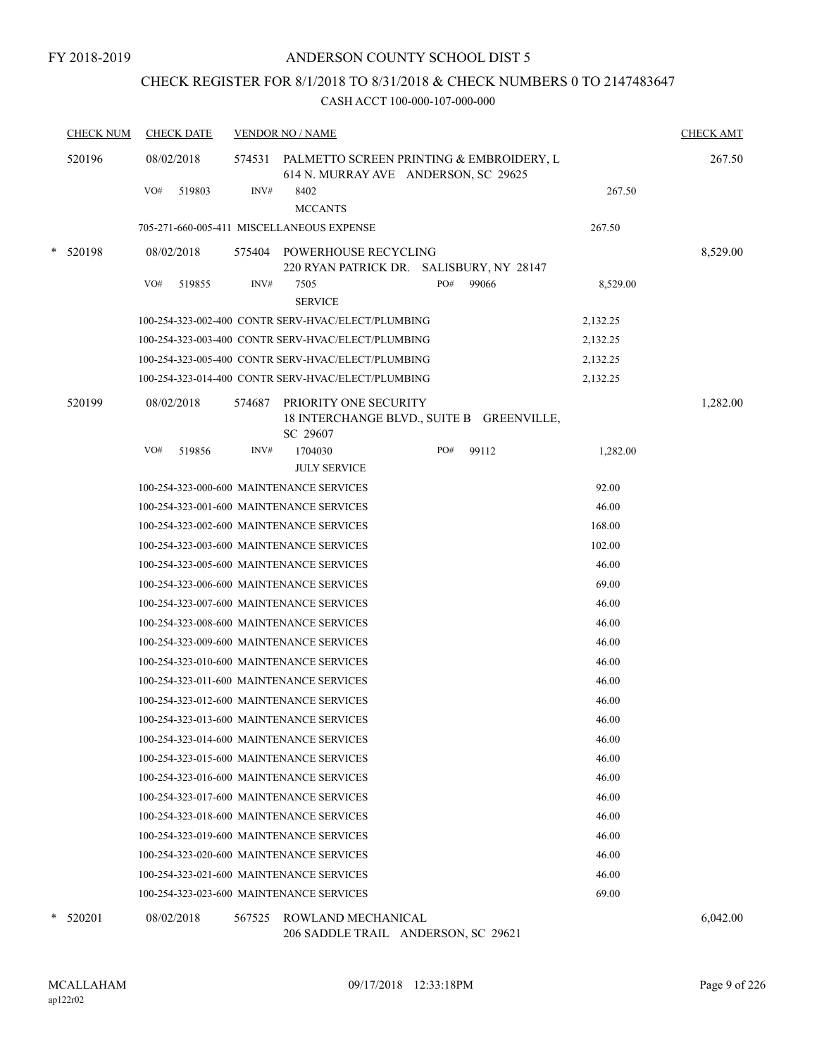## CHECK REGISTER FOR 8/1/2018 TO 8/31/2018 & CHECK NUMBERS 0 TO 2147483647

CASH ACCT 100-000-107-000-000

|   | <b>CHECK NUM</b> |     | <b>CHECK DATE</b> |        | <b>VENDOR NO / NAME</b>                                                          |     |       |          |          |  |
|---|------------------|-----|-------------------|--------|----------------------------------------------------------------------------------|-----|-------|----------|----------|--|
|   | 520196           |     | 08/02/2018        | 574531 | PALMETTO SCREEN PRINTING & EMBROIDERY, L<br>614 N. MURRAY AVE ANDERSON, SC 29625 |     |       |          | 267.50   |  |
|   |                  | VO# | 519803            | INV#   | 8402<br><b>MCCANTS</b>                                                           |     |       | 267.50   |          |  |
|   |                  |     |                   |        | 705-271-660-005-411 MISCELLANEOUS EXPENSE                                        |     |       | 267.50   |          |  |
|   | * 520198         |     | 08/02/2018        | 575404 | POWERHOUSE RECYCLING<br>220 RYAN PATRICK DR. SALISBURY, NY 28147                 |     |       |          | 8,529.00 |  |
|   |                  | VO# | 519855            | INV#   | 7505<br><b>SERVICE</b>                                                           | PO# | 99066 | 8,529.00 |          |  |
|   |                  |     |                   |        | 100-254-323-002-400 CONTR SERV-HVAC/ELECT/PLUMBING                               |     |       | 2,132.25 |          |  |
|   |                  |     |                   |        | 100-254-323-003-400 CONTR SERV-HVAC/ELECT/PLUMBING                               |     |       | 2,132.25 |          |  |
|   |                  |     |                   |        | 100-254-323-005-400 CONTR SERV-HVAC/ELECT/PLUMBING                               |     |       | 2,132.25 |          |  |
|   |                  |     |                   |        | 100-254-323-014-400 CONTR SERV-HVAC/ELECT/PLUMBING                               |     |       | 2,132.25 |          |  |
|   | 520199           |     | 08/02/2018        | 574687 | PRIORITY ONE SECURITY<br>18 INTERCHANGE BLVD., SUITE B GREENVILLE,<br>SC 29607   |     |       |          | 1,282.00 |  |
|   |                  | VO# | 519856            | INV#   | 1704030                                                                          | PO# | 99112 | 1,282.00 |          |  |
|   |                  |     |                   |        | <b>JULY SERVICE</b>                                                              |     |       |          |          |  |
|   |                  |     |                   |        | 100-254-323-000-600 MAINTENANCE SERVICES                                         |     |       | 92.00    |          |  |
|   |                  |     |                   |        | 100-254-323-001-600 MAINTENANCE SERVICES                                         |     |       | 46.00    |          |  |
|   |                  |     |                   |        | 100-254-323-002-600 MAINTENANCE SERVICES                                         |     |       | 168.00   |          |  |
|   |                  |     |                   |        | 100-254-323-003-600 MAINTENANCE SERVICES                                         |     |       | 102.00   |          |  |
|   |                  |     |                   |        | 100-254-323-005-600 MAINTENANCE SERVICES                                         |     |       | 46.00    |          |  |
|   |                  |     |                   |        | 100-254-323-006-600 MAINTENANCE SERVICES                                         |     |       | 69.00    |          |  |
|   |                  |     |                   |        | 100-254-323-007-600 MAINTENANCE SERVICES                                         |     |       | 46.00    |          |  |
|   |                  |     |                   |        | 100-254-323-008-600 MAINTENANCE SERVICES                                         |     |       | 46.00    |          |  |
|   |                  |     |                   |        | 100-254-323-009-600 MAINTENANCE SERVICES                                         |     |       | 46.00    |          |  |
|   |                  |     |                   |        | 100-254-323-010-600 MAINTENANCE SERVICES                                         |     |       | 46.00    |          |  |
|   |                  |     |                   |        | 100-254-323-011-600 MAINTENANCE SERVICES                                         |     |       | 46.00    |          |  |
|   |                  |     |                   |        | 100-254-323-012-600 MAINTENANCE SERVICES                                         |     |       | 46.00    |          |  |
|   |                  |     |                   |        | 100-254-323-013-600 MAINTENANCE SERVICES                                         |     |       | 46.00    |          |  |
|   |                  |     |                   |        | 100-254-323-014-600 MAINTENANCE SERVICES                                         |     |       | 46.00    |          |  |
|   |                  |     |                   |        | 100-254-323-015-600 MAINTENANCE SERVICES                                         |     |       | 46.00    |          |  |
|   |                  |     |                   |        | 100-254-323-016-600 MAINTENANCE SERVICES                                         |     |       | 46.00    |          |  |
|   |                  |     |                   |        | 100-254-323-017-600 MAINTENANCE SERVICES                                         |     |       | 46.00    |          |  |
|   |                  |     |                   |        | 100-254-323-018-600 MAINTENANCE SERVICES                                         |     |       | 46.00    |          |  |
|   |                  |     |                   |        | 100-254-323-019-600 MAINTENANCE SERVICES                                         |     |       | 46.00    |          |  |
|   |                  |     |                   |        | 100-254-323-020-600 MAINTENANCE SERVICES                                         |     |       | 46.00    |          |  |
|   |                  |     |                   |        | 100-254-323-021-600 MAINTENANCE SERVICES                                         |     |       | 46.00    |          |  |
|   |                  |     |                   |        | 100-254-323-023-600 MAINTENANCE SERVICES                                         |     |       | 69.00    |          |  |
| * | 520201           |     | 08/02/2018        | 567525 | ROWLAND MECHANICAL                                                               |     |       |          | 6,042.00 |  |

206 SADDLE TRAIL ANDERSON, SC 29621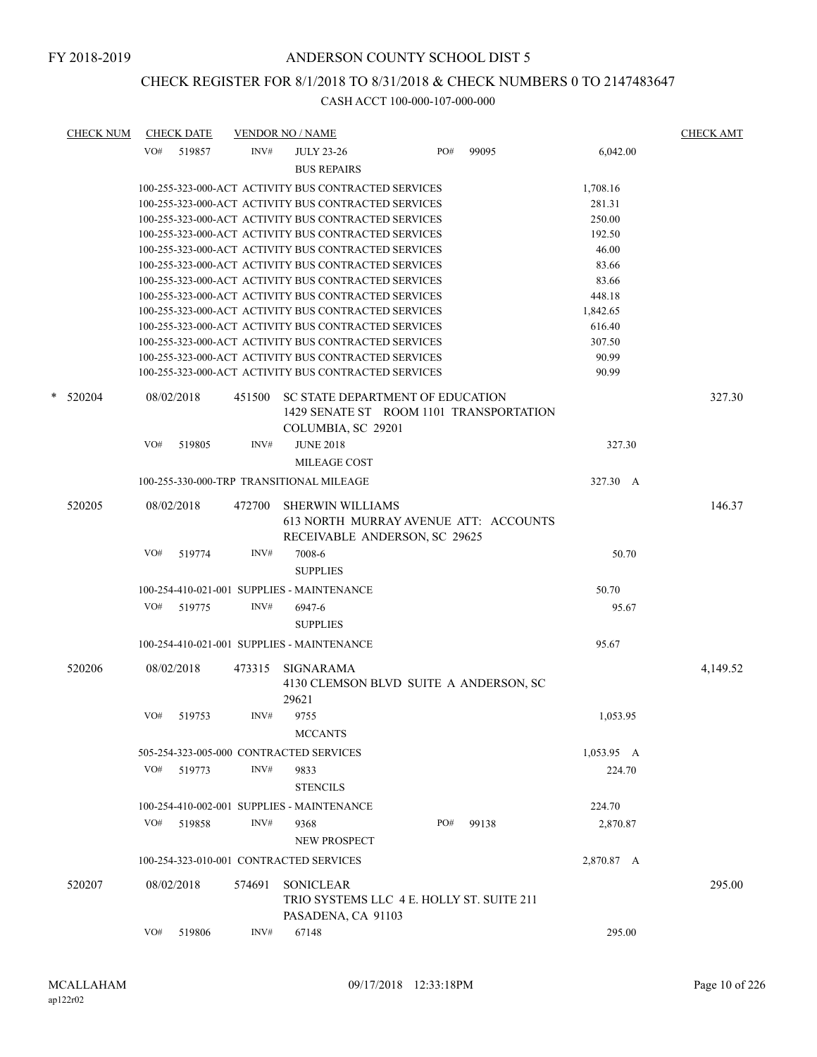# CHECK REGISTER FOR 8/1/2018 TO 8/31/2018 & CHECK NUMBERS 0 TO 2147483647

| <b>CHECK NUM</b> |     | <b>CHECK DATE</b> |        | <b>VENDOR NO / NAME</b>                              |     |       |            | <b>CHECK AMT</b> |
|------------------|-----|-------------------|--------|------------------------------------------------------|-----|-------|------------|------------------|
|                  | VO# | 519857            | INV#   | <b>JULY 23-26</b>                                    | PO# | 99095 | 6,042.00   |                  |
|                  |     |                   |        | <b>BUS REPAIRS</b>                                   |     |       |            |                  |
|                  |     |                   |        | 100-255-323-000-ACT ACTIVITY BUS CONTRACTED SERVICES |     |       | 1,708.16   |                  |
|                  |     |                   |        | 100-255-323-000-ACT ACTIVITY BUS CONTRACTED SERVICES |     |       | 281.31     |                  |
|                  |     |                   |        | 100-255-323-000-ACT ACTIVITY BUS CONTRACTED SERVICES |     |       | 250.00     |                  |
|                  |     |                   |        | 100-255-323-000-ACT ACTIVITY BUS CONTRACTED SERVICES |     |       | 192.50     |                  |
|                  |     |                   |        | 100-255-323-000-ACT ACTIVITY BUS CONTRACTED SERVICES |     |       | 46.00      |                  |
|                  |     |                   |        | 100-255-323-000-ACT ACTIVITY BUS CONTRACTED SERVICES |     |       | 83.66      |                  |
|                  |     |                   |        | 100-255-323-000-ACT ACTIVITY BUS CONTRACTED SERVICES |     |       | 83.66      |                  |
|                  |     |                   |        | 100-255-323-000-ACT ACTIVITY BUS CONTRACTED SERVICES |     |       | 448.18     |                  |
|                  |     |                   |        | 100-255-323-000-ACT ACTIVITY BUS CONTRACTED SERVICES |     |       | 1,842.65   |                  |
|                  |     |                   |        | 100-255-323-000-ACT ACTIVITY BUS CONTRACTED SERVICES |     |       | 616.40     |                  |
|                  |     |                   |        | 100-255-323-000-ACT ACTIVITY BUS CONTRACTED SERVICES |     |       | 307.50     |                  |
|                  |     |                   |        | 100-255-323-000-ACT ACTIVITY BUS CONTRACTED SERVICES |     |       | 90.99      |                  |
|                  |     |                   |        | 100-255-323-000-ACT ACTIVITY BUS CONTRACTED SERVICES |     |       | 90.99      |                  |
| $*$ 520204       |     | 08/02/2018        | 451500 | SC STATE DEPARTMENT OF EDUCATION                     |     |       |            | 327.30           |
|                  |     |                   |        | 1429 SENATE ST ROOM 1101 TRANSPORTATION              |     |       |            |                  |
|                  |     |                   |        | COLUMBIA, SC 29201                                   |     |       |            |                  |
|                  | VO# | 519805            | INV#   | <b>JUNE 2018</b>                                     |     |       | 327.30     |                  |
|                  |     |                   |        | <b>MILEAGE COST</b>                                  |     |       |            |                  |
|                  |     |                   |        |                                                      |     |       |            |                  |
|                  |     |                   |        | 100-255-330-000-TRP TRANSITIONAL MILEAGE             |     |       | 327.30 A   |                  |
| 520205           |     | 08/02/2018        | 472700 | <b>SHERWIN WILLIAMS</b>                              |     |       |            | 146.37           |
|                  |     |                   |        | 613 NORTH MURRAY AVENUE ATT: ACCOUNTS                |     |       |            |                  |
|                  |     |                   |        | RECEIVABLE ANDERSON, SC 29625                        |     |       |            |                  |
|                  | VO# | 519774            | INV#   | 7008-6                                               |     |       | 50.70      |                  |
|                  |     |                   |        | <b>SUPPLIES</b>                                      |     |       |            |                  |
|                  |     |                   |        | 100-254-410-021-001 SUPPLIES - MAINTENANCE           |     |       | 50.70      |                  |
|                  | VO# | 519775            | INV#   | 6947-6                                               |     |       | 95.67      |                  |
|                  |     |                   |        |                                                      |     |       |            |                  |
|                  |     |                   |        | <b>SUPPLIES</b>                                      |     |       |            |                  |
|                  |     |                   |        | 100-254-410-021-001 SUPPLIES - MAINTENANCE           |     |       | 95.67      |                  |
| 520206           |     | 08/02/2018        | 473315 | SIGNARAMA                                            |     |       |            | 4,149.52         |
|                  |     |                   |        | 4130 CLEMSON BLVD SUITE A ANDERSON, SC               |     |       |            |                  |
|                  |     |                   |        | 29621                                                |     |       |            |                  |
|                  | VO# | 519753            | INV#   | 9755                                                 |     |       | 1,053.95   |                  |
|                  |     |                   |        | <b>MCCANTS</b>                                       |     |       |            |                  |
|                  |     |                   |        | 505-254-323-005-000 CONTRACTED SERVICES              |     |       | 1,053.95 A |                  |
|                  |     |                   | INV#   |                                                      |     |       |            |                  |
|                  |     | VO# 519773        |        | 9833                                                 |     |       | 224.70     |                  |
|                  |     |                   |        | <b>STENCILS</b>                                      |     |       |            |                  |
|                  |     |                   |        | 100-254-410-002-001 SUPPLIES - MAINTENANCE           |     |       | 224.70     |                  |
|                  | VO# | 519858            | INV#   | 9368                                                 | PO# | 99138 | 2,870.87   |                  |
|                  |     |                   |        | NEW PROSPECT                                         |     |       |            |                  |
|                  |     |                   |        | 100-254-323-010-001 CONTRACTED SERVICES              |     |       | 2,870.87 A |                  |
|                  |     |                   |        |                                                      |     |       |            |                  |
| 520207           |     | 08/02/2018        | 574691 | <b>SONICLEAR</b>                                     |     |       |            | 295.00           |
|                  |     |                   |        | TRIO SYSTEMS LLC 4 E. HOLLY ST. SUITE 211            |     |       |            |                  |
|                  |     |                   |        | PASADENA, CA 91103                                   |     |       |            |                  |
|                  | VO# | 519806            | INV#   | 67148                                                |     |       | 295.00     |                  |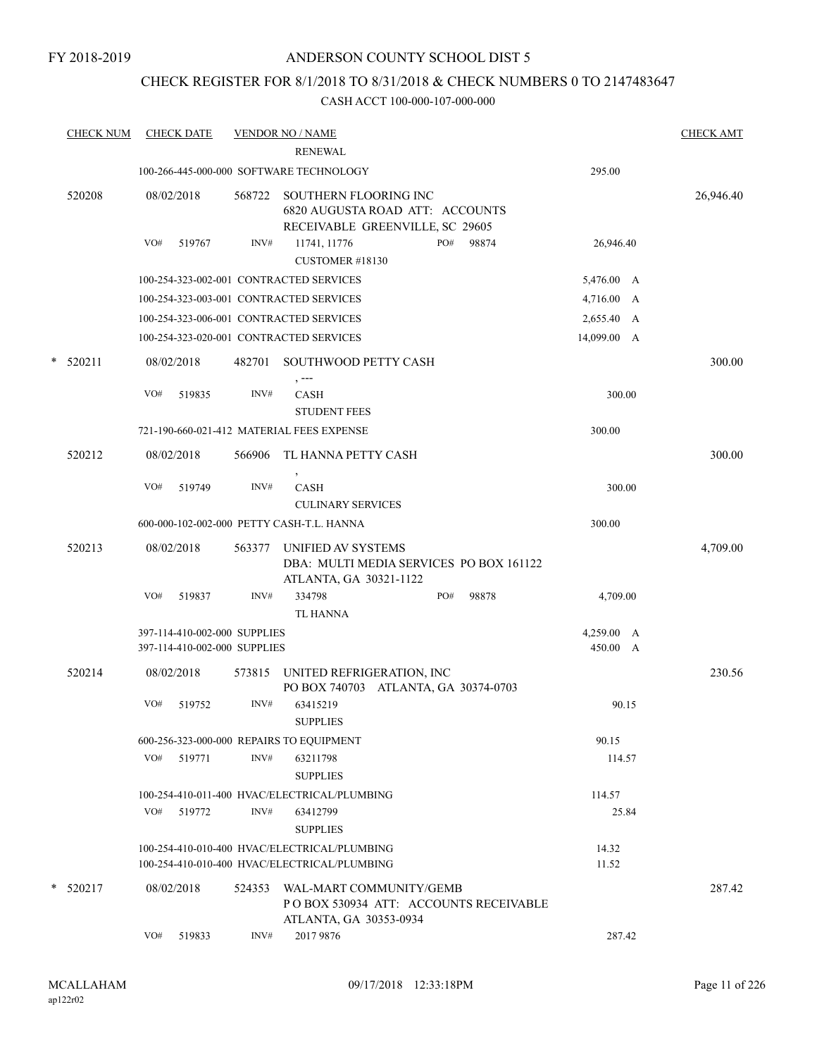## CHECK REGISTER FOR 8/1/2018 TO 8/31/2018 & CHECK NUMBERS 0 TO 2147483647

| <b>CHECK NUM</b> |     | <b>CHECK DATE</b>                                            |        | <b>VENDOR NO / NAME</b><br><b>RENEWAL</b>                                                   |     |       |                        | <b>CHECK AMT</b> |
|------------------|-----|--------------------------------------------------------------|--------|---------------------------------------------------------------------------------------------|-----|-------|------------------------|------------------|
|                  |     |                                                              |        | 100-266-445-000-000 SOFTWARE TECHNOLOGY                                                     |     |       | 295.00                 |                  |
| 520208           |     | 08/02/2018                                                   | 568722 | SOUTHERN FLOORING INC<br>6820 AUGUSTA ROAD ATT: ACCOUNTS<br>RECEIVABLE GREENVILLE, SC 29605 |     |       |                        | 26,946.40        |
|                  | VO# | 519767                                                       | INV#   | 11741, 11776<br>CUSTOMER #18130                                                             | PO# | 98874 | 26,946.40              |                  |
|                  |     |                                                              |        | 100-254-323-002-001 CONTRACTED SERVICES                                                     |     |       | 5,476.00 A             |                  |
|                  |     |                                                              |        | 100-254-323-003-001 CONTRACTED SERVICES                                                     |     |       | 4,716.00 A             |                  |
|                  |     |                                                              |        | 100-254-323-006-001 CONTRACTED SERVICES                                                     |     |       | 2,655.40 A             |                  |
|                  |     |                                                              |        | 100-254-323-020-001 CONTRACTED SERVICES                                                     |     |       | 14,099.00 A            |                  |
| $*$ 520211       |     | 08/02/2018                                                   | 482701 | SOUTHWOOD PETTY CASH                                                                        |     |       |                        | 300.00           |
|                  | VO# | 519835                                                       | INV#   | $, --$<br><b>CASH</b><br><b>STUDENT FEES</b>                                                |     |       | 300.00                 |                  |
|                  |     |                                                              |        | 721-190-660-021-412 MATERIAL FEES EXPENSE                                                   |     |       | 300.00                 |                  |
| 520212           |     | 08/02/2018                                                   | 566906 | TL HANNA PETTY CASH                                                                         |     |       |                        | 300.00           |
|                  | VO# | 519749                                                       | INV#   | <b>CASH</b><br><b>CULINARY SERVICES</b>                                                     |     |       | 300.00                 |                  |
|                  |     |                                                              |        | 600-000-102-002-000 PETTY CASH-T.L. HANNA                                                   |     |       | 300.00                 |                  |
| 520213           |     | 08/02/2018                                                   | 563377 | UNIFIED AV SYSTEMS<br>DBA: MULTI MEDIA SERVICES PO BOX 161122<br>ATLANTA, GA 30321-1122     |     |       |                        | 4,709.00         |
|                  | VO# | 519837                                                       | INV#   | 334798<br><b>TL HANNA</b>                                                                   | PO# | 98878 | 4,709.00               |                  |
|                  |     | 397-114-410-002-000 SUPPLIES<br>397-114-410-002-000 SUPPLIES |        |                                                                                             |     |       | 4,259.00 A<br>450.00 A |                  |
| 520214           |     | 08/02/2018                                                   | 573815 | UNITED REFRIGERATION, INC<br>PO BOX 740703 ATLANTA, GA 30374-0703                           |     |       |                        | 230.56           |
|                  | VO# | 519752                                                       | INV#   | 63415219<br><b>SUPPLIES</b>                                                                 |     |       | 90.15                  |                  |
|                  |     |                                                              |        | 600-256-323-000-000 REPAIRS TO EQUIPMENT                                                    |     |       | 90.15                  |                  |
|                  |     | VO# 519771                                                   | INV#   | 63211798<br><b>SUPPLIES</b>                                                                 |     |       | 114.57                 |                  |
|                  |     |                                                              |        | 100-254-410-011-400 HVAC/ELECTRICAL/PLUMBING                                                |     |       | 114.57                 |                  |
|                  | VO# | 519772                                                       | INV#   | 63412799<br><b>SUPPLIES</b>                                                                 |     |       | 25.84                  |                  |
|                  |     |                                                              |        | 100-254-410-010-400 HVAC/ELECTRICAL/PLUMBING                                                |     |       | 14.32                  |                  |
|                  |     |                                                              |        | 100-254-410-010-400 HVAC/ELECTRICAL/PLUMBING                                                |     |       | 11.52                  |                  |
| $*$ 520217       |     | 08/02/2018                                                   | 524353 | WAL-MART COMMUNITY/GEMB<br>PO BOX 530934 ATT: ACCOUNTS RECEIVABLE<br>ATLANTA, GA 30353-0934 |     |       |                        | 287.42           |
|                  | VO# | 519833                                                       | INV#   | 2017 9876                                                                                   |     |       | 287.42                 |                  |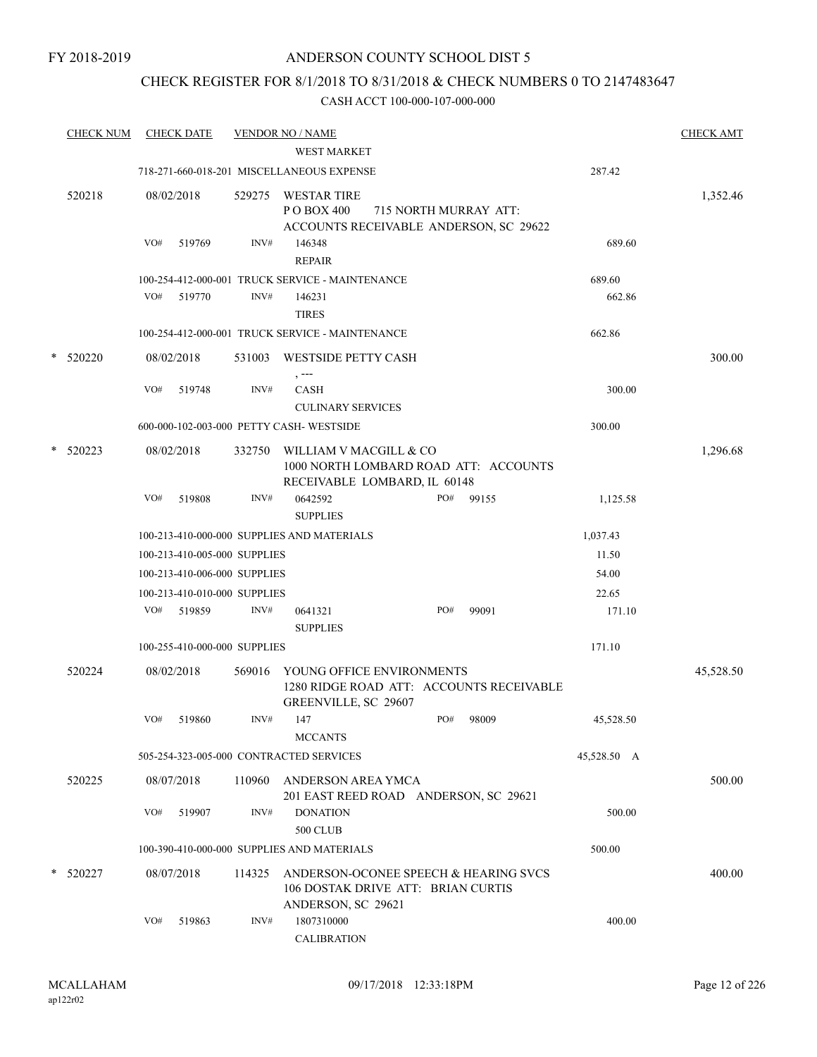## CHECK REGISTER FOR 8/1/2018 TO 8/31/2018 & CHECK NUMBERS 0 TO 2147483647

|   | <b>CHECK NUM</b> |     | <b>CHECK DATE</b>            |        | <b>VENDOR NO / NAME</b>                                                                           |     |                       |             | <b>CHECK AMT</b> |
|---|------------------|-----|------------------------------|--------|---------------------------------------------------------------------------------------------------|-----|-----------------------|-------------|------------------|
|   |                  |     |                              |        | <b>WEST MARKET</b>                                                                                |     |                       |             |                  |
|   |                  |     |                              |        | 718-271-660-018-201 MISCELLANEOUS EXPENSE                                                         |     |                       | 287.42      |                  |
|   | 520218           |     | 08/02/2018                   | 529275 | <b>WESTAR TIRE</b><br>P O BOX 400<br>ACCOUNTS RECEIVABLE ANDERSON, SC 29622                       |     | 715 NORTH MURRAY ATT: |             | 1,352.46         |
|   |                  | VO# | 519769                       | INV#   | 146348<br><b>REPAIR</b>                                                                           |     |                       | 689.60      |                  |
|   |                  |     |                              |        | 100-254-412-000-001 TRUCK SERVICE - MAINTENANCE                                                   |     |                       | 689.60      |                  |
|   |                  | VO# | 519770                       | INV#   | 146231                                                                                            |     |                       | 662.86      |                  |
|   |                  |     |                              |        | <b>TIRES</b>                                                                                      |     |                       |             |                  |
|   |                  |     |                              |        | 100-254-412-000-001 TRUCK SERVICE - MAINTENANCE                                                   |     |                       | 662.86      |                  |
| * | 520220           |     | 08/02/2018                   | 531003 | <b>WESTSIDE PETTY CASH</b><br>$, -- -$                                                            |     |                       |             | 300.00           |
|   |                  | VO# | 519748                       | INV#   | <b>CASH</b><br><b>CULINARY SERVICES</b>                                                           |     |                       | 300.00      |                  |
|   |                  |     |                              |        | 600-000-102-003-000 PETTY CASH-WESTSIDE                                                           |     |                       | 300.00      |                  |
| * | 520223           |     | 08/02/2018                   | 332750 | WILLIAM V MACGILL & CO<br>1000 NORTH LOMBARD ROAD ATT: ACCOUNTS<br>RECEIVABLE LOMBARD, IL 60148   |     |                       |             | 1,296.68         |
|   |                  | VO# | 519808                       | INV#   | 0642592<br><b>SUPPLIES</b>                                                                        | PO# | 99155                 | 1,125.58    |                  |
|   |                  |     |                              |        | 100-213-410-000-000 SUPPLIES AND MATERIALS                                                        |     |                       | 1,037.43    |                  |
|   |                  |     | 100-213-410-005-000 SUPPLIES |        |                                                                                                   |     |                       | 11.50       |                  |
|   |                  |     | 100-213-410-006-000 SUPPLIES |        |                                                                                                   |     |                       | 54.00       |                  |
|   |                  |     | 100-213-410-010-000 SUPPLIES |        |                                                                                                   |     |                       | 22.65       |                  |
|   |                  | VO# | 519859                       | INV#   | 0641321<br><b>SUPPLIES</b>                                                                        | PO# | 99091                 | 171.10      |                  |
|   |                  |     | 100-255-410-000-000 SUPPLIES |        |                                                                                                   |     |                       | 171.10      |                  |
|   | 520224           |     | 08/02/2018                   | 569016 | YOUNG OFFICE ENVIRONMENTS<br>1280 RIDGE ROAD ATT: ACCOUNTS RECEIVABLE<br>GREENVILLE, SC 29607     |     |                       |             | 45,528.50        |
|   |                  | VO# | 519860                       | INV#   | 147<br><b>MCCANTS</b>                                                                             | PO# | 98009                 | 45,528.50   |                  |
|   |                  |     |                              |        | 505-254-323-005-000 CONTRACTED SERVICES                                                           |     |                       | 45,528.50 A |                  |
|   | 520225           |     | 08/07/2018                   | 110960 | ANDERSON AREA YMCA<br>201 EAST REED ROAD ANDERSON, SC 29621                                       |     |                       |             | 500.00           |
|   |                  | VO# | 519907                       | INV#   | <b>DONATION</b><br><b>500 CLUB</b>                                                                |     |                       | 500.00      |                  |
|   |                  |     |                              |        | 100-390-410-000-000 SUPPLIES AND MATERIALS                                                        |     |                       | 500.00      |                  |
|   |                  |     |                              |        |                                                                                                   |     |                       |             |                  |
|   | * 520227         |     | 08/07/2018                   | 114325 | ANDERSON-OCONEE SPEECH & HEARING SVCS<br>106 DOSTAK DRIVE ATT: BRIAN CURTIS<br>ANDERSON, SC 29621 |     |                       |             | 400.00           |
|   |                  | VO# | 519863                       | INV#   | 1807310000<br><b>CALIBRATION</b>                                                                  |     |                       | 400.00      |                  |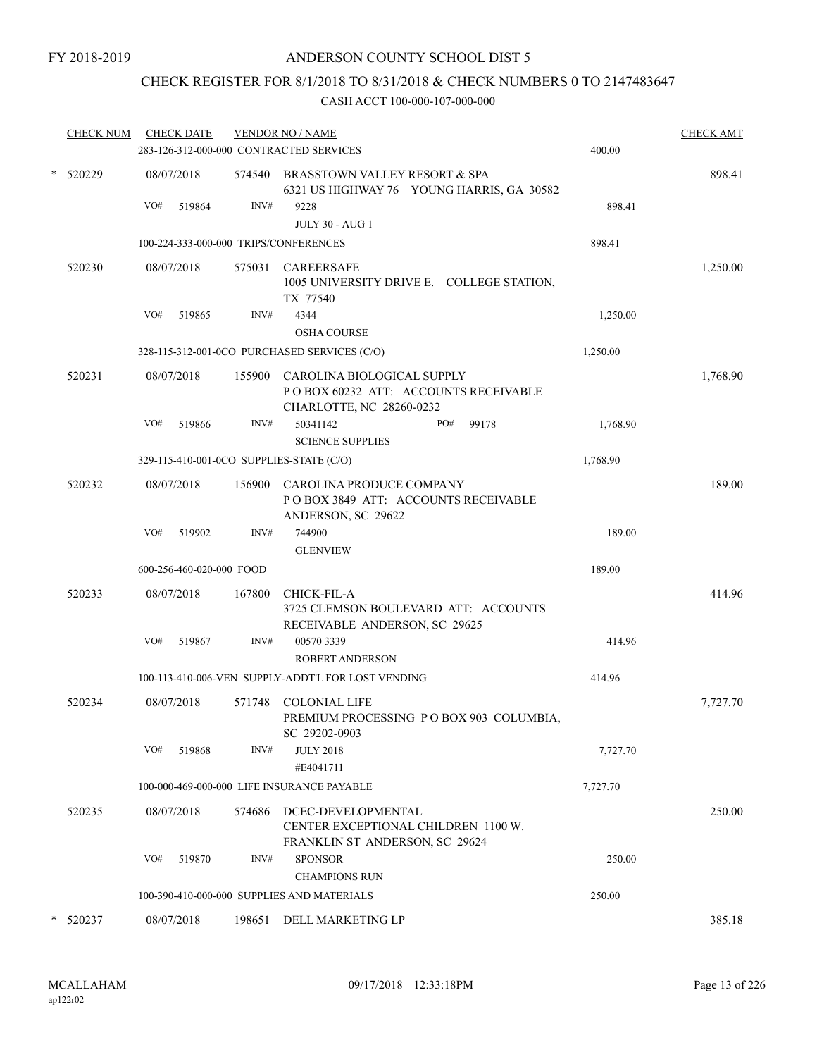## CHECK REGISTER FOR 8/1/2018 TO 8/31/2018 & CHECK NUMBERS 0 TO 2147483647

| <b>CHECK NUM</b> |     | <b>CHECK DATE</b>        |        | <b>VENDOR NO / NAME</b>                                                                               |          | <b>CHECK AMT</b> |
|------------------|-----|--------------------------|--------|-------------------------------------------------------------------------------------------------------|----------|------------------|
|                  |     |                          |        | 283-126-312-000-000 CONTRACTED SERVICES                                                               | 400.00   |                  |
| * 520229         |     | 08/07/2018               |        | 574540 BRASSTOWN VALLEY RESORT & SPA<br>6321 US HIGHWAY 76 YOUNG HARRIS, GA 30582                     |          | 898.41           |
|                  | VO# | 519864                   | INV#   | 9228<br><b>JULY 30 - AUG 1</b>                                                                        | 898.41   |                  |
|                  |     |                          |        | 100-224-333-000-000 TRIPS/CONFERENCES                                                                 | 898.41   |                  |
| 520230           |     | 08/07/2018               | 575031 | <b>CAREERSAFE</b><br>1005 UNIVERSITY DRIVE E. COLLEGE STATION,<br>TX 77540                            |          | 1,250.00         |
|                  | VO# | 519865                   | INV#   | 4344<br><b>OSHA COURSE</b>                                                                            | 1,250.00 |                  |
|                  |     |                          |        | 328-115-312-001-0CO PURCHASED SERVICES (C/O)                                                          | 1,250.00 |                  |
| 520231           |     | 08/07/2018               |        | 155900 CAROLINA BIOLOGICAL SUPPLY<br>POBOX 60232 ATT: ACCOUNTS RECEIVABLE<br>CHARLOTTE, NC 28260-0232 |          | 1,768.90         |
|                  | VO# | 519866                   | INV#   | 99178<br>50341142<br>PO#<br><b>SCIENCE SUPPLIES</b>                                                   | 1,768.90 |                  |
|                  |     |                          |        | 329-115-410-001-0CO SUPPLIES-STATE (C/O)                                                              | 1,768.90 |                  |
| 520232           |     | 08/07/2018               | 156900 | CAROLINA PRODUCE COMPANY<br>POBOX 3849 ATT: ACCOUNTS RECEIVABLE<br>ANDERSON, SC 29622                 |          | 189.00           |
|                  | VO# | 519902                   | INV#   | 744900                                                                                                | 189.00   |                  |
|                  |     | 600-256-460-020-000 FOOD |        | <b>GLENVIEW</b>                                                                                       | 189.00   |                  |
|                  |     |                          |        |                                                                                                       |          |                  |
| 520233           |     | 08/07/2018               | 167800 | <b>CHICK-FIL-A</b><br>3725 CLEMSON BOULEVARD ATT: ACCOUNTS<br>RECEIVABLE ANDERSON, SC 29625           |          | 414.96           |
|                  | VO# | 519867                   | INV#   | 005703339                                                                                             | 414.96   |                  |
|                  |     |                          |        | <b>ROBERT ANDERSON</b><br>100-113-410-006-VEN SUPPLY-ADDT'L FOR LOST VENDING                          | 414.96   |                  |
| 520234           |     |                          | 571748 | <b>COLONIAL LIFE</b>                                                                                  |          |                  |
|                  |     | 08/07/2018               |        | PREMIUM PROCESSING PO BOX 903 COLUMBIA,<br>SC 29202-0903                                              |          | 7,727.70         |
|                  | VO# | 519868                   | INV#   | <b>JULY 2018</b><br>#E4041711                                                                         | 7,727.70 |                  |
|                  |     |                          |        | 100-000-469-000-000 LIFE INSURANCE PAYABLE                                                            | 7,727.70 |                  |
| 520235           |     | 08/07/2018               | 574686 | DCEC-DEVELOPMENTAL<br>CENTER EXCEPTIONAL CHILDREN 1100 W.<br>FRANKLIN ST ANDERSON, SC 29624           |          | 250.00           |
|                  | VO# | 519870                   | INV#   | <b>SPONSOR</b>                                                                                        | 250.00   |                  |
|                  |     |                          |        | <b>CHAMPIONS RUN</b><br>100-390-410-000-000 SUPPLIES AND MATERIALS                                    | 250.00   |                  |
|                  |     |                          |        |                                                                                                       |          |                  |
| 520237           |     | 08/07/2018               | 198651 | DELL MARKETING LP                                                                                     |          | 385.18           |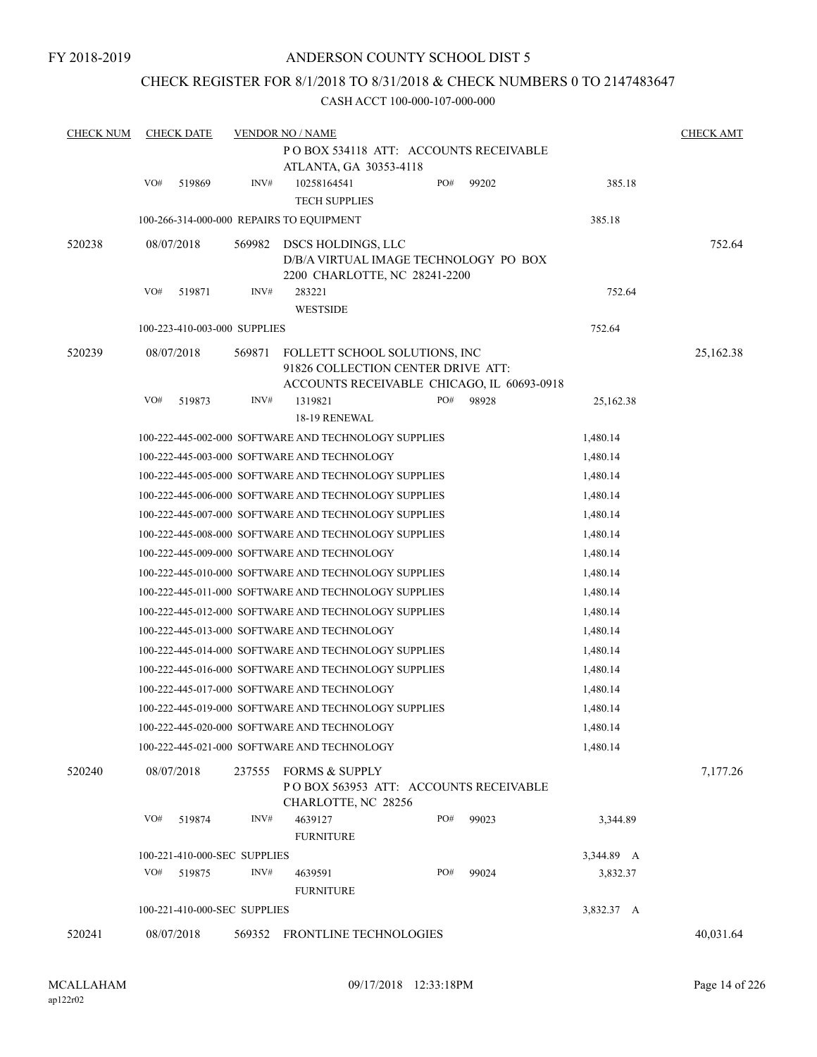## CHECK REGISTER FOR 8/1/2018 TO 8/31/2018 & CHECK NUMBERS 0 TO 2147483647

#### CASH ACCT 100-000-107-000-000

| <b>CHECK NUM</b> |     | <b>CHECK DATE</b>            |        | <b>VENDOR NO / NAME</b>                                                                                           |     |       |                      | <b>CHECK AMT</b> |
|------------------|-----|------------------------------|--------|-------------------------------------------------------------------------------------------------------------------|-----|-------|----------------------|------------------|
|                  |     |                              |        | POBOX 534118 ATT: ACCOUNTS RECEIVABLE<br>ATLANTA, GA 30353-4118                                                   |     |       |                      |                  |
|                  | VO# | 519869                       | INV#   | 10258164541<br><b>TECH SUPPLIES</b>                                                                               | PO# | 99202 | 385.18               |                  |
|                  |     |                              |        | 100-266-314-000-000 REPAIRS TO EQUIPMENT                                                                          |     |       | 385.18               |                  |
| 520238           |     | 08/07/2018                   | 569982 | DSCS HOLDINGS, LLC<br>D/B/A VIRTUAL IMAGE TECHNOLOGY PO BOX<br>2200 CHARLOTTE, NC 28241-2200                      |     |       |                      | 752.64           |
|                  | VO# | 519871                       | INV#   | 283221<br><b>WESTSIDE</b>                                                                                         |     |       | 752.64               |                  |
|                  |     | 100-223-410-003-000 SUPPLIES |        |                                                                                                                   |     |       | 752.64               |                  |
| 520239           |     | 08/07/2018                   | 569871 | FOLLETT SCHOOL SOLUTIONS, INC<br>91826 COLLECTION CENTER DRIVE ATT:<br>ACCOUNTS RECEIVABLE CHICAGO, IL 60693-0918 |     |       |                      | 25,162.38        |
|                  | VO# | 519873                       | INV#   | 1319821                                                                                                           | PO# | 98928 | 25,162.38            |                  |
|                  |     |                              |        | 18-19 RENEWAL                                                                                                     |     |       |                      |                  |
|                  |     |                              |        | 100-222-445-002-000 SOFTWARE AND TECHNOLOGY SUPPLIES                                                              |     |       | 1,480.14             |                  |
|                  |     |                              |        | 100-222-445-003-000 SOFTWARE AND TECHNOLOGY                                                                       |     |       | 1,480.14             |                  |
|                  |     |                              |        | 100-222-445-005-000 SOFTWARE AND TECHNOLOGY SUPPLIES<br>100-222-445-006-000 SOFTWARE AND TECHNOLOGY SUPPLIES      |     |       | 1,480.14<br>1,480.14 |                  |
|                  |     |                              |        | 100-222-445-007-000 SOFTWARE AND TECHNOLOGY SUPPLIES                                                              |     |       |                      |                  |
|                  |     |                              |        | 100-222-445-008-000 SOFTWARE AND TECHNOLOGY SUPPLIES                                                              |     |       | 1,480.14<br>1,480.14 |                  |
|                  |     |                              |        | 100-222-445-009-000 SOFTWARE AND TECHNOLOGY                                                                       |     |       | 1,480.14             |                  |
|                  |     |                              |        | 100-222-445-010-000 SOFTWARE AND TECHNOLOGY SUPPLIES                                                              |     |       | 1,480.14             |                  |
|                  |     |                              |        | 100-222-445-011-000 SOFTWARE AND TECHNOLOGY SUPPLIES                                                              |     |       | 1,480.14             |                  |
|                  |     |                              |        | 100-222-445-012-000 SOFTWARE AND TECHNOLOGY SUPPLIES                                                              |     |       | 1,480.14             |                  |
|                  |     |                              |        | 100-222-445-013-000 SOFTWARE AND TECHNOLOGY                                                                       |     |       | 1,480.14             |                  |
|                  |     |                              |        | 100-222-445-014-000 SOFTWARE AND TECHNOLOGY SUPPLIES                                                              |     |       | 1,480.14             |                  |
|                  |     |                              |        | 100-222-445-016-000 SOFTWARE AND TECHNOLOGY SUPPLIES                                                              |     |       | 1,480.14             |                  |
|                  |     |                              |        | 100-222-445-017-000 SOFTWARE AND TECHNOLOGY                                                                       |     |       | 1,480.14             |                  |
|                  |     |                              |        | 100-222-445-019-000 SOFTWARE AND TECHNOLOGY SUPPLIES                                                              |     |       | 1,480.14             |                  |
|                  |     |                              |        | 100-222-445-020-000 SOFTWARE AND TECHNOLOGY                                                                       |     |       | 1,480.14             |                  |
|                  |     |                              |        | 100-222-445-021-000 SOFTWARE AND TECHNOLOGY                                                                       |     |       | 1,480.14             |                  |
| 520240           |     | 08/07/2018                   | 237555 | <b>FORMS &amp; SUPPLY</b><br>POBOX 563953 ATT: ACCOUNTS RECEIVABLE<br>CHARLOTTE, NC 28256                         |     |       |                      | 7,177.26         |
|                  | VO# | 519874                       | INV#   | 4639127<br><b>FURNITURE</b>                                                                                       | PO# | 99023 | 3,344.89             |                  |
|                  |     | 100-221-410-000-SEC SUPPLIES |        |                                                                                                                   |     |       | 3,344.89 A           |                  |
|                  | VO# | 519875                       | INV#   | 4639591<br><b>FURNITURE</b>                                                                                       | PO# | 99024 | 3,832.37             |                  |
|                  |     | 100-221-410-000-SEC SUPPLIES |        |                                                                                                                   |     |       | 3,832.37 A           |                  |
| 520241           |     | 08/07/2018                   |        | 569352 FRONTLINE TECHNOLOGIES                                                                                     |     |       |                      | 40,031.64        |
|                  |     |                              |        |                                                                                                                   |     |       |                      |                  |

ap122r02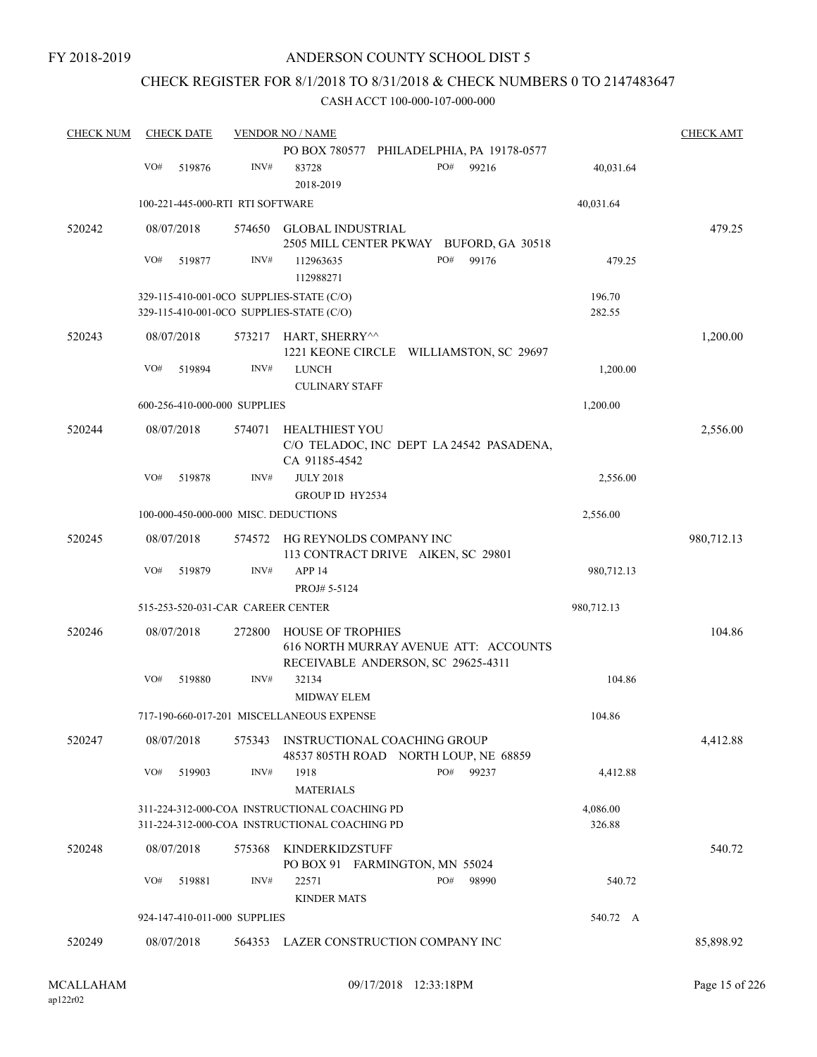## CHECK REGISTER FOR 8/1/2018 TO 8/31/2018 & CHECK NUMBERS 0 TO 2147483647

| <b>CHECK NUM</b> | <b>CHECK DATE</b> |                                      | <b>VENDOR NO / NAME</b>                                                                                 |                    | <b>CHECK AMT</b> |
|------------------|-------------------|--------------------------------------|---------------------------------------------------------------------------------------------------------|--------------------|------------------|
|                  |                   |                                      | PO BOX 780577 PHILADELPHIA, PA 19178-0577                                                               |                    |                  |
|                  | VO#<br>519876     | INV#                                 | PO#<br>99216<br>83728<br>2018-2019                                                                      | 40,031.64          |                  |
|                  |                   | 100-221-445-000-RTI RTI SOFTWARE     |                                                                                                         | 40,031.64          |                  |
| 520242           | 08/07/2018        | 574650                               | GLOBAL INDUSTRIAL                                                                                       |                    | 479.25           |
|                  |                   |                                      | 2505 MILL CENTER PKWAY BUFORD, GA 30518                                                                 |                    |                  |
|                  | VO#<br>519877     | INV#                                 | PO#<br>99176<br>112963635<br>112988271                                                                  | 479.25             |                  |
|                  |                   |                                      | 329-115-410-001-0CO SUPPLIES-STATE (C/O)<br>329-115-410-001-0CO SUPPLIES-STATE (C/O)                    | 196.70<br>282.55   |                  |
| 520243           | 08/07/2018        | 573217                               | HART, SHERRY^^<br>1221 KEONE CIRCLE WILLIAMSTON, SC 29697                                               |                    | 1,200.00         |
|                  | VO#<br>519894     | INV#                                 | <b>LUNCH</b><br><b>CULINARY STAFF</b>                                                                   | 1,200.00           |                  |
|                  |                   | 600-256-410-000-000 SUPPLIES         |                                                                                                         | 1,200.00           |                  |
| 520244           |                   | 574071                               | <b>HEALTHIEST YOU</b>                                                                                   |                    |                  |
|                  | 08/07/2018        |                                      | C/O TELADOC, INC DEPT LA 24542 PASADENA,<br>CA 91185-4542                                               |                    | 2,556.00         |
|                  | VO#<br>519878     | INV#                                 | <b>JULY 2018</b>                                                                                        | 2,556.00           |                  |
|                  |                   |                                      | GROUP ID HY2534                                                                                         |                    |                  |
|                  |                   | 100-000-450-000-000 MISC. DEDUCTIONS |                                                                                                         | 2,556.00           |                  |
| 520245           | 08/07/2018        | 574572                               | HG REYNOLDS COMPANY INC<br>113 CONTRACT DRIVE AIKEN, SC 29801                                           |                    | 980,712.13       |
|                  | VO#<br>519879     | INV#                                 | APP <sub>14</sub>                                                                                       | 980,712.13         |                  |
|                  |                   |                                      | PROJ# 5-5124                                                                                            |                    |                  |
|                  |                   | 515-253-520-031-CAR CAREER CENTER    |                                                                                                         | 980,712.13         |                  |
| 520246           | 08/07/2018        | 272800                               | <b>HOUSE OF TROPHIES</b><br>616 NORTH MURRAY AVENUE ATT: ACCOUNTS<br>RECEIVABLE ANDERSON, SC 29625-4311 |                    | 104.86           |
|                  | VO#<br>519880     | INV#                                 | 32134                                                                                                   | 104.86             |                  |
|                  |                   |                                      | <b>MIDWAY ELEM</b>                                                                                      |                    |                  |
|                  |                   |                                      | 717-190-660-017-201 MISCELLANEOUS EXPENSE                                                               | 104.86             |                  |
| 520247           | 08/07/2018        | 575343                               | INSTRUCTIONAL COACHING GROUP<br>48537 805TH ROAD NORTH LOUP, NE 68859                                   |                    | 4,412.88         |
|                  | VO#<br>519903     | INV#                                 | PO#<br>99237<br>1918<br><b>MATERIALS</b>                                                                | 4,412.88           |                  |
|                  |                   |                                      | 311-224-312-000-COA INSTRUCTIONAL COACHING PD<br>311-224-312-000-COA INSTRUCTIONAL COACHING PD          | 4,086.00<br>326.88 |                  |
| 520248           | 08/07/2018        | 575368                               | KINDERKIDZSTUFF<br>PO BOX 91 FARMINGTON, MN 55024                                                       |                    | 540.72           |
|                  | VO#<br>519881     | INV#                                 | PO#<br>22571<br>98990<br><b>KINDER MATS</b>                                                             | 540.72             |                  |
|                  |                   | 924-147-410-011-000 SUPPLIES         |                                                                                                         | 540.72 A           |                  |
| 520249           | 08/07/2018        |                                      | 564353 LAZER CONSTRUCTION COMPANY INC                                                                   |                    | 85,898.92        |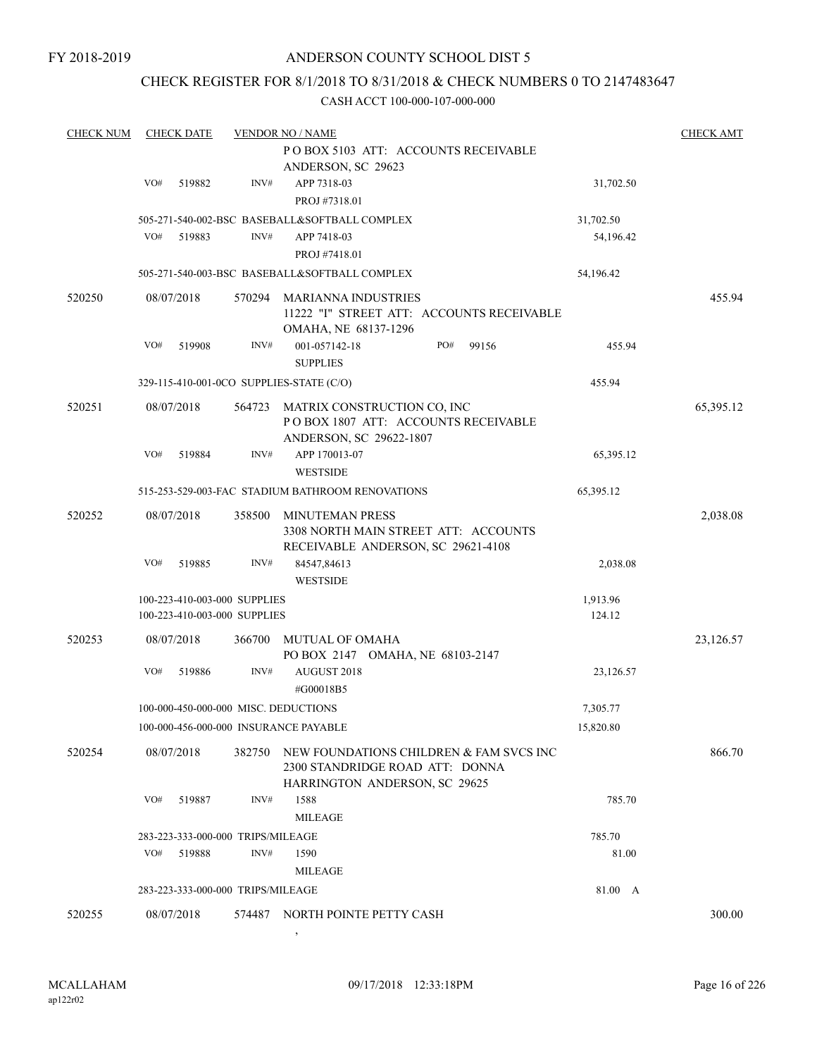## CHECK REGISTER FOR 8/1/2018 TO 8/31/2018 & CHECK NUMBERS 0 TO 2147483647

#### CASH ACCT 100-000-107-000-000

| <b>CHECK NUM</b> |     | <b>CHECK DATE</b> |                                   | <b>VENDOR NO / NAME</b>                                                    |           | <b>CHECK AMT</b> |
|------------------|-----|-------------------|-----------------------------------|----------------------------------------------------------------------------|-----------|------------------|
|                  |     |                   |                                   | PO BOX 5103 ATT: ACCOUNTS RECEIVABLE                                       |           |                  |
|                  |     |                   |                                   | ANDERSON, SC 29623                                                         |           |                  |
|                  | VO# | 519882            | INV#                              | APP 7318-03                                                                | 31,702.50 |                  |
|                  |     |                   |                                   | PROJ #7318.01                                                              |           |                  |
|                  |     |                   |                                   | 505-271-540-002-BSC BASEBALL&SOFTBALL COMPLEX                              | 31,702.50 |                  |
|                  | VO# | 519883            | INV#                              | APP 7418-03                                                                | 54,196.42 |                  |
|                  |     |                   |                                   | PROJ #7418.01                                                              |           |                  |
|                  |     |                   |                                   | 505-271-540-003-BSC BASEBALL&SOFTBALL COMPLEX                              | 54,196.42 |                  |
|                  |     |                   |                                   |                                                                            |           |                  |
| 520250           |     | 08/07/2018        | 570294                            | <b>MARIANNA INDUSTRIES</b>                                                 |           | 455.94           |
|                  |     |                   |                                   | 11222 "I" STREET ATT: ACCOUNTS RECEIVABLE                                  |           |                  |
|                  |     |                   |                                   | OMAHA, NE 68137-1296                                                       |           |                  |
|                  | VO# | 519908            | INV#                              | 99156<br>001-057142-18<br>PO#                                              | 455.94    |                  |
|                  |     |                   |                                   | <b>SUPPLIES</b>                                                            |           |                  |
|                  |     |                   |                                   | 329-115-410-001-0CO SUPPLIES-STATE (C/O)                                   | 455.94    |                  |
| 520251           |     | 08/07/2018        | 564723                            | MATRIX CONSTRUCTION CO. INC                                                |           | 65,395.12        |
|                  |     |                   |                                   | POBOX 1807 ATT: ACCOUNTS RECEIVABLE                                        |           |                  |
|                  |     |                   |                                   | ANDERSON, SC 29622-1807                                                    |           |                  |
|                  | VO# | 519884            | INV#                              | APP 170013-07                                                              | 65,395.12 |                  |
|                  |     |                   |                                   | <b>WESTSIDE</b>                                                            |           |                  |
|                  |     |                   |                                   | 515-253-529-003-FAC STADIUM BATHROOM RENOVATIONS                           | 65,395.12 |                  |
|                  |     |                   |                                   |                                                                            |           |                  |
| 520252           |     | 08/07/2018        | 358500                            | MINUTEMAN PRESS                                                            |           | 2,038.08         |
|                  |     |                   |                                   | 3308 NORTH MAIN STREET ATT: ACCOUNTS                                       |           |                  |
|                  | VO# | 519885            | INV#                              | RECEIVABLE ANDERSON, SC 29621-4108<br>84547,84613                          | 2,038.08  |                  |
|                  |     |                   |                                   |                                                                            |           |                  |
|                  |     |                   |                                   | <b>WESTSIDE</b>                                                            |           |                  |
|                  |     |                   | 100-223-410-003-000 SUPPLIES      |                                                                            | 1,913.96  |                  |
|                  |     |                   | 100-223-410-003-000 SUPPLIES      |                                                                            | 124.12    |                  |
| 520253           |     | 08/07/2018        | 366700                            | MUTUAL OF OMAHA                                                            |           | 23,126.57        |
|                  |     |                   |                                   | PO BOX 2147 OMAHA, NE 68103-2147                                           |           |                  |
|                  | VO# | 519886            | INV#                              | AUGUST 2018                                                                | 23,126.57 |                  |
|                  |     |                   |                                   | #G00018B5                                                                  |           |                  |
|                  |     |                   |                                   | 100-000-450-000-000 MISC. DEDUCTIONS                                       | 7,305.77  |                  |
|                  |     |                   |                                   | 100-000-456-000-000 INSURANCE PAYABLE                                      | 15,820.80 |                  |
|                  |     |                   |                                   |                                                                            |           |                  |
| 520254           |     | 08/07/2018        | 382750                            | NEW FOUNDATIONS CHILDREN & FAM SVCS INC<br>2300 STANDRIDGE ROAD ATT: DONNA |           | 866.70           |
|                  |     |                   |                                   | HARRINGTON ANDERSON, SC 29625                                              |           |                  |
|                  | VO# | 519887            | INV#                              | 1588                                                                       | 785.70    |                  |
|                  |     |                   |                                   | <b>MILEAGE</b>                                                             |           |                  |
|                  |     |                   |                                   |                                                                            |           |                  |
|                  |     |                   | 283-223-333-000-000 TRIPS/MILEAGE |                                                                            | 785.70    |                  |
|                  | VO# | 519888            | INV#                              | 1590                                                                       | 81.00     |                  |
|                  |     |                   |                                   | <b>MILEAGE</b>                                                             |           |                  |
|                  |     |                   | 283-223-333-000-000 TRIPS/MILEAGE |                                                                            | 81.00 A   |                  |
| 520255           |     | 08/07/2018        | 574487                            | NORTH POINTE PETTY CASH                                                    |           | 300.00           |

 $\overline{\phantom{a}}$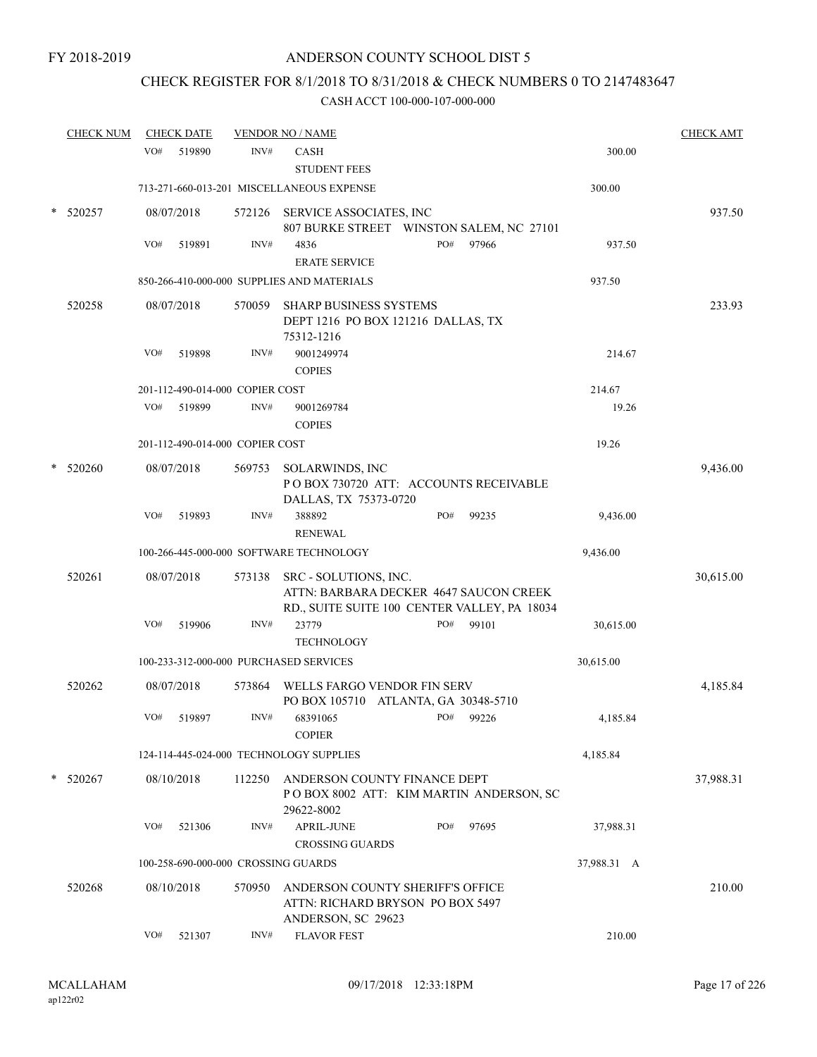## CHECK REGISTER FOR 8/1/2018 TO 8/31/2018 & CHECK NUMBERS 0 TO 2147483647

| <b>CHECK NUM</b> |     | <b>CHECK DATE</b> |                                 | <b>VENDOR NO / NAME</b>                                                                                                |     |       |             | <b>CHECK AMT</b> |
|------------------|-----|-------------------|---------------------------------|------------------------------------------------------------------------------------------------------------------------|-----|-------|-------------|------------------|
|                  | VO# | 519890            | INV#                            | <b>CASH</b><br><b>STUDENT FEES</b>                                                                                     |     |       | 300.00      |                  |
|                  |     |                   |                                 | 713-271-660-013-201 MISCELLANEOUS EXPENSE                                                                              |     |       | 300.00      |                  |
| 520257           |     | 08/07/2018        |                                 | 572126 SERVICE ASSOCIATES, INC<br>807 BURKE STREET WINSTON SALEM, NC 27101                                             |     |       |             | 937.50           |
|                  | VO# | 519891            | INV#                            | 4836<br><b>ERATE SERVICE</b>                                                                                           | PO# | 97966 | 937.50      |                  |
|                  |     |                   |                                 | 850-266-410-000-000 SUPPLIES AND MATERIALS                                                                             |     |       | 937.50      |                  |
| 520258           |     | 08/07/2018        | 570059                          | <b>SHARP BUSINESS SYSTEMS</b><br>DEPT 1216 PO BOX 121216 DALLAS, TX<br>75312-1216                                      |     |       |             | 233.93           |
|                  | VO# | 519898            | INV#                            | 9001249974<br><b>COPIES</b>                                                                                            |     |       | 214.67      |                  |
|                  |     |                   | 201-112-490-014-000 COPIER COST |                                                                                                                        |     |       | 214.67      |                  |
|                  | VO# | 519899            | INV#                            | 9001269784<br><b>COPIES</b>                                                                                            |     |       | 19.26       |                  |
|                  |     |                   | 201-112-490-014-000 COPIER COST |                                                                                                                        |     |       | 19.26       |                  |
| 520260           |     | 08/07/2018        | 569753                          | SOLARWINDS, INC<br>PO BOX 730720 ATT: ACCOUNTS RECEIVABLE<br>DALLAS, TX 75373-0720                                     |     |       |             | 9,436.00         |
|                  | VO# | 519893            | INV#                            | 388892<br><b>RENEWAL</b>                                                                                               | PO# | 99235 | 9,436.00    |                  |
|                  |     |                   |                                 | 100-266-445-000-000 SOFTWARE TECHNOLOGY                                                                                |     |       | 9,436.00    |                  |
| 520261           |     | 08/07/2018        |                                 | 573138 SRC - SOLUTIONS, INC.<br>ATTN: BARBARA DECKER 4647 SAUCON CREEK<br>RD., SUITE SUITE 100 CENTER VALLEY, PA 18034 |     |       |             | 30,615.00        |
|                  | VO# | 519906            | INV#                            | 23779<br><b>TECHNOLOGY</b>                                                                                             | PO# | 99101 | 30,615.00   |                  |
|                  |     |                   |                                 | 100-233-312-000-000 PURCHASED SERVICES                                                                                 |     |       | 30,615.00   |                  |
| 520262           |     | 08/07/2018        | 573864                          | WELLS FARGO VENDOR FIN SERV<br>PO BOX 105710 ATLANTA, GA 30348-5710                                                    |     |       |             | 4,185.84         |
|                  | VO# | 519897            | INV#                            | 68391065<br><b>COPIER</b>                                                                                              | PO# | 99226 | 4,185.84    |                  |
|                  |     |                   |                                 | 124-114-445-024-000 TECHNOLOGY SUPPLIES                                                                                |     |       | 4,185.84    |                  |
| 520267           |     | 08/10/2018        | 112250                          | ANDERSON COUNTY FINANCE DEPT<br>POBOX 8002 ATT: KIM MARTIN ANDERSON, SC<br>29622-8002                                  |     |       |             | 37,988.31        |
|                  | VO# | 521306            | INV#                            | <b>APRIL-JUNE</b>                                                                                                      | PO# | 97695 | 37,988.31   |                  |
|                  |     |                   |                                 | <b>CROSSING GUARDS</b>                                                                                                 |     |       |             |                  |
|                  |     |                   |                                 | 100-258-690-000-000 CROSSING GUARDS                                                                                    |     |       | 37,988.31 A |                  |
| 520268           |     | 08/10/2018        | 570950                          | ANDERSON COUNTY SHERIFF'S OFFICE<br>ATTN: RICHARD BRYSON PO BOX 5497<br>ANDERSON, SC 29623                             |     |       |             | 210.00           |
|                  | VO# | 521307            | INV#                            | <b>FLAVOR FEST</b>                                                                                                     |     |       | 210.00      |                  |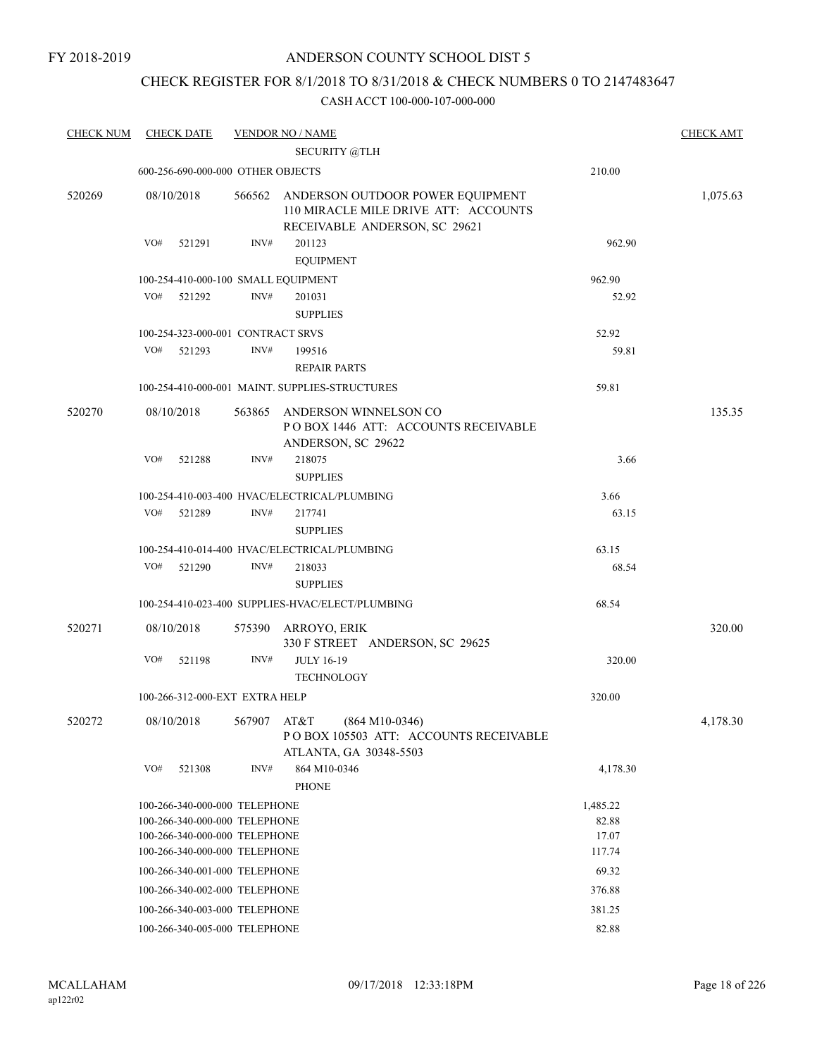## CHECK REGISTER FOR 8/1/2018 TO 8/31/2018 & CHECK NUMBERS 0 TO 2147483647

| <b>CHECK NUM</b> | <b>CHECK DATE</b>                   |             | <b>VENDOR NO / NAME</b>                                                                                   |          | <b>CHECK AMT</b> |
|------------------|-------------------------------------|-------------|-----------------------------------------------------------------------------------------------------------|----------|------------------|
|                  |                                     |             | <b>SECURITY @TLH</b>                                                                                      |          |                  |
|                  | 600-256-690-000-000 OTHER OBJECTS   |             |                                                                                                           | 210.00   |                  |
| 520269           | 08/10/2018                          | 566562      | ANDERSON OUTDOOR POWER EQUIPMENT<br>110 MIRACLE MILE DRIVE ATT: ACCOUNTS<br>RECEIVABLE ANDERSON, SC 29621 |          | 1,075.63         |
|                  | VO#<br>521291                       | INV#        | 201123                                                                                                    | 962.90   |                  |
|                  |                                     |             | <b>EQUIPMENT</b>                                                                                          |          |                  |
|                  | 100-254-410-000-100 SMALL EQUIPMENT |             |                                                                                                           | 962.90   |                  |
|                  | VO#<br>521292                       | INV#        | 201031                                                                                                    | 52.92    |                  |
|                  |                                     |             | <b>SUPPLIES</b>                                                                                           |          |                  |
|                  | 100-254-323-000-001 CONTRACT SRVS   |             |                                                                                                           | 52.92    |                  |
|                  | VO#<br>521293                       | INV#        | 199516                                                                                                    | 59.81    |                  |
|                  |                                     |             | <b>REPAIR PARTS</b>                                                                                       |          |                  |
|                  |                                     |             | 100-254-410-000-001 MAINT. SUPPLIES-STRUCTURES                                                            | 59.81    |                  |
| 520270           | 08/10/2018                          | 563865      | ANDERSON WINNELSON CO<br>POBOX 1446 ATT: ACCOUNTS RECEIVABLE<br>ANDERSON, SC 29622                        |          | 135.35           |
|                  | VO#<br>521288                       | INV#        | 218075                                                                                                    | 3.66     |                  |
|                  |                                     |             | <b>SUPPLIES</b>                                                                                           |          |                  |
|                  |                                     |             | 100-254-410-003-400 HVAC/ELECTRICAL/PLUMBING                                                              | 3.66     |                  |
|                  | VO#<br>521289                       | INV#        | 217741                                                                                                    | 63.15    |                  |
|                  |                                     |             | <b>SUPPLIES</b>                                                                                           |          |                  |
|                  |                                     |             | 100-254-410-014-400 HVAC/ELECTRICAL/PLUMBING                                                              | 63.15    |                  |
|                  | VO#<br>521290                       | INV#        | 218033                                                                                                    | 68.54    |                  |
|                  |                                     |             | <b>SUPPLIES</b>                                                                                           |          |                  |
|                  |                                     |             | 100-254-410-023-400 SUPPLIES-HVAC/ELECT/PLUMBING                                                          | 68.54    |                  |
| 520271           | 08/10/2018                          | 575390      | ARROYO, ERIK<br>330 F STREET ANDERSON, SC 29625                                                           |          | 320.00           |
|                  | VO#<br>521198                       | INV#        | <b>JULY 16-19</b><br><b>TECHNOLOGY</b>                                                                    | 320.00   |                  |
|                  | 100-266-312-000-EXT EXTRA HELP      |             |                                                                                                           | 320.00   |                  |
| 520272           | 08/10/2018                          | 567907 AT&T | $(864 M10-0346)$<br>POBOX 105503 ATT: ACCOUNTS RECEIVABLE<br>ATLANTA, GA 30348-5503                       |          | 4,178.30         |
|                  | VO#<br>521308                       | INV#        | 864 M10-0346<br><b>PHONE</b>                                                                              | 4,178.30 |                  |
|                  | 100-266-340-000-000 TELEPHONE       |             |                                                                                                           | 1,485.22 |                  |
|                  | 100-266-340-000-000 TELEPHONE       |             |                                                                                                           | 82.88    |                  |
|                  | 100-266-340-000-000 TELEPHONE       |             |                                                                                                           | 17.07    |                  |
|                  | 100-266-340-000-000 TELEPHONE       |             |                                                                                                           | 117.74   |                  |
|                  | 100-266-340-001-000 TELEPHONE       |             |                                                                                                           | 69.32    |                  |
|                  | 100-266-340-002-000 TELEPHONE       |             |                                                                                                           | 376.88   |                  |
|                  | 100-266-340-003-000 TELEPHONE       |             |                                                                                                           | 381.25   |                  |
|                  | 100-266-340-005-000 TELEPHONE       |             |                                                                                                           | 82.88    |                  |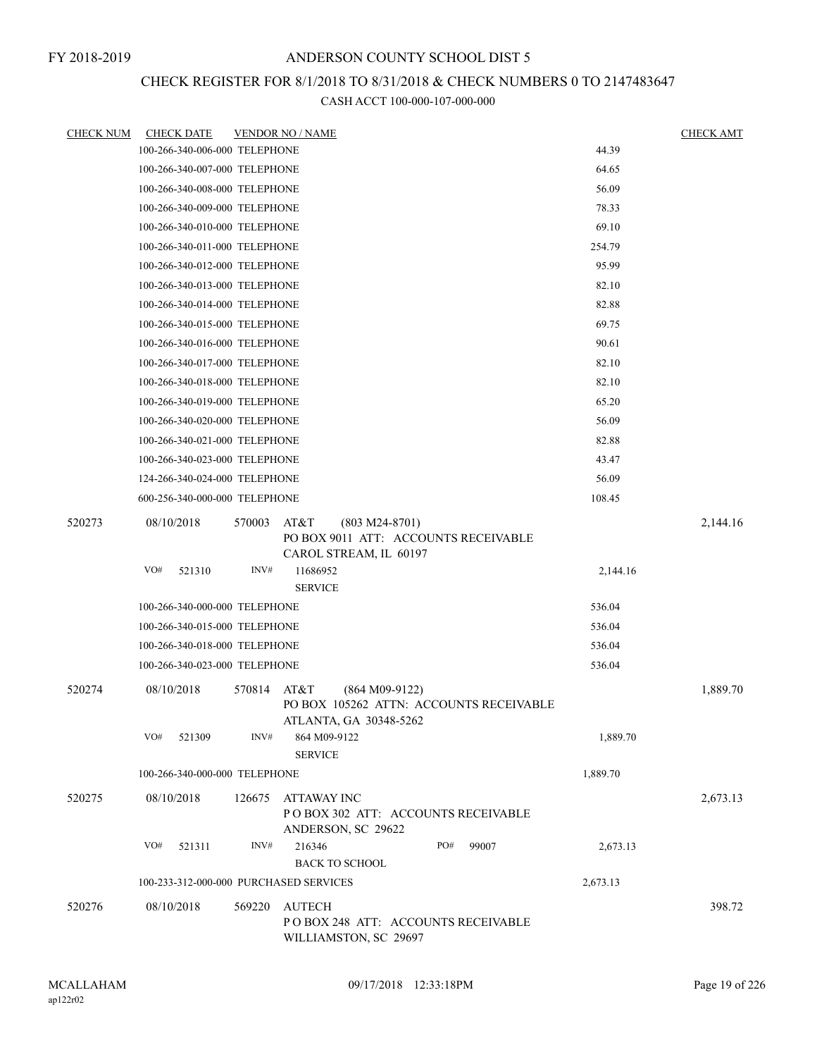## CHECK REGISTER FOR 8/1/2018 TO 8/31/2018 & CHECK NUMBERS 0 TO 2147483647

| <b>CHECK NUM</b> | <b>CHECK DATE</b>                      |             | <b>VENDOR NO / NAME</b>                                                                    |          | <b>CHECK AMT</b> |
|------------------|----------------------------------------|-------------|--------------------------------------------------------------------------------------------|----------|------------------|
|                  | 100-266-340-006-000 TELEPHONE          |             |                                                                                            | 44.39    |                  |
|                  | 100-266-340-007-000 TELEPHONE          |             |                                                                                            | 64.65    |                  |
|                  | 100-266-340-008-000 TELEPHONE          |             |                                                                                            | 56.09    |                  |
|                  | 100-266-340-009-000 TELEPHONE          |             |                                                                                            | 78.33    |                  |
|                  | 100-266-340-010-000 TELEPHONE          |             |                                                                                            | 69.10    |                  |
|                  | 100-266-340-011-000 TELEPHONE          |             |                                                                                            | 254.79   |                  |
|                  | 100-266-340-012-000 TELEPHONE          |             |                                                                                            | 95.99    |                  |
|                  | 100-266-340-013-000 TELEPHONE          |             |                                                                                            | 82.10    |                  |
|                  | 100-266-340-014-000 TELEPHONE          |             |                                                                                            | 82.88    |                  |
|                  | 100-266-340-015-000 TELEPHONE          |             |                                                                                            | 69.75    |                  |
|                  | 100-266-340-016-000 TELEPHONE          |             |                                                                                            | 90.61    |                  |
|                  | 100-266-340-017-000 TELEPHONE          |             |                                                                                            | 82.10    |                  |
|                  | 100-266-340-018-000 TELEPHONE          |             |                                                                                            | 82.10    |                  |
|                  | 100-266-340-019-000 TELEPHONE          |             |                                                                                            | 65.20    |                  |
|                  | 100-266-340-020-000 TELEPHONE          |             |                                                                                            | 56.09    |                  |
|                  | 100-266-340-021-000 TELEPHONE          |             |                                                                                            | 82.88    |                  |
|                  | 100-266-340-023-000 TELEPHONE          |             |                                                                                            | 43.47    |                  |
|                  | 124-266-340-024-000 TELEPHONE          |             |                                                                                            | 56.09    |                  |
|                  | 600-256-340-000-000 TELEPHONE          |             |                                                                                            | 108.45   |                  |
| 520273           | 08/10/2018                             | 570003      | $(803 M24-8701)$<br>AT&T<br>PO BOX 9011 ATT: ACCOUNTS RECEIVABLE<br>CAROL STREAM, IL 60197 |          | 2,144.16         |
|                  | VO#<br>521310                          | INV#        | 11686952<br><b>SERVICE</b>                                                                 | 2,144.16 |                  |
|                  | 100-266-340-000-000 TELEPHONE          |             |                                                                                            | 536.04   |                  |
|                  | 100-266-340-015-000 TELEPHONE          |             |                                                                                            | 536.04   |                  |
|                  | 100-266-340-018-000 TELEPHONE          |             |                                                                                            | 536.04   |                  |
|                  | 100-266-340-023-000 TELEPHONE          |             |                                                                                            | 536.04   |                  |
|                  |                                        |             |                                                                                            |          |                  |
| 520274           | 08/10/2018                             | 570814 AT&T | $(864 M09-9122)$<br>PO BOX 105262 ATTN: ACCOUNTS RECEIVABLE<br>ATLANTA, GA 30348-5262      |          | 1,889.70         |
|                  | VO#<br>521309                          | INV#        | 864 M09-9122<br><b>SERVICE</b>                                                             | 1,889.70 |                  |
|                  | 100-266-340-000-000 TELEPHONE          |             |                                                                                            | 1,889.70 |                  |
| 520275           | 08/10/2018                             | 126675      | ATTAWAY INC<br>PO BOX 302 ATT: ACCOUNTS RECEIVABLE<br>ANDERSON, SC 29622                   |          | 2,673.13         |
|                  | VO#<br>521311                          | INV#        | 216346<br>PO#<br>99007<br><b>BACK TO SCHOOL</b>                                            | 2,673.13 |                  |
|                  | 100-233-312-000-000 PURCHASED SERVICES |             |                                                                                            | 2,673.13 |                  |
| 520276           | 08/10/2018                             | 569220      | AUTECH<br>PO BOX 248 ATT: ACCOUNTS RECEIVABLE<br>WILLIAMSTON, SC 29697                     |          | 398.72           |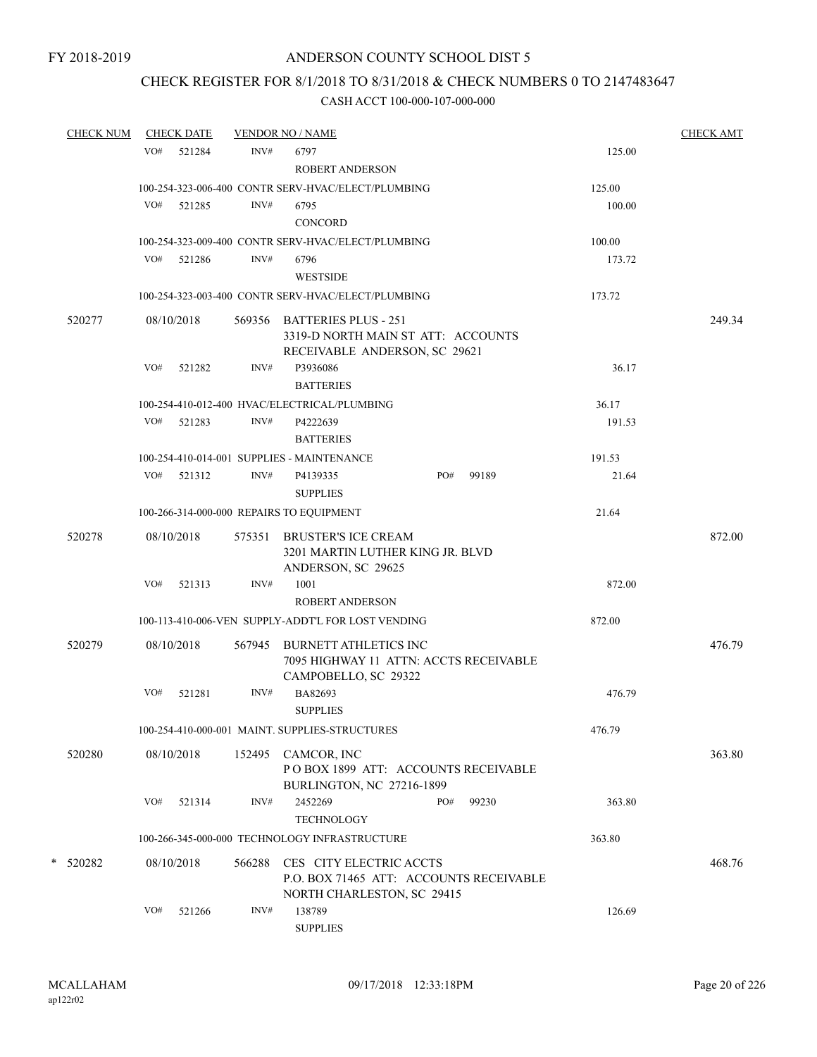## CHECK REGISTER FOR 8/1/2018 TO 8/31/2018 & CHECK NUMBERS 0 TO 2147483647

| <b>CHECK NUM</b> |     | <b>CHECK DATE</b> |        | <b>VENDOR NO / NAME</b>                                                                            |     |       |        | <b>CHECK AMT</b> |
|------------------|-----|-------------------|--------|----------------------------------------------------------------------------------------------------|-----|-------|--------|------------------|
|                  | VO# | 521284            | INV#   | 6797                                                                                               |     |       | 125.00 |                  |
|                  |     |                   |        | <b>ROBERT ANDERSON</b>                                                                             |     |       |        |                  |
|                  |     |                   |        | 100-254-323-006-400 CONTR SERV-HVAC/ELECT/PLUMBING                                                 |     |       | 125.00 |                  |
|                  |     | VO# 521285        | INV#   | 6795                                                                                               |     |       | 100.00 |                  |
|                  |     |                   |        | CONCORD                                                                                            |     |       |        |                  |
|                  |     |                   |        | 100-254-323-009-400 CONTR SERV-HVAC/ELECT/PLUMBING                                                 |     |       | 100.00 |                  |
|                  | VO# | 521286            | INV#   | 6796                                                                                               |     |       | 173.72 |                  |
|                  |     |                   |        | <b>WESTSIDE</b>                                                                                    |     |       |        |                  |
|                  |     |                   |        | 100-254-323-003-400 CONTR SERV-HVAC/ELECT/PLUMBING                                                 |     |       | 173.72 |                  |
| 520277           |     | 08/10/2018        |        | 569356 BATTERIES PLUS - 251<br>3319-D NORTH MAIN ST ATT: ACCOUNTS<br>RECEIVABLE ANDERSON, SC 29621 |     |       |        | 249.34           |
|                  | VO# | 521282            | INV#   | P3936086<br><b>BATTERIES</b>                                                                       |     |       | 36.17  |                  |
|                  |     |                   |        | 100-254-410-012-400 HVAC/ELECTRICAL/PLUMBING                                                       |     |       | 36.17  |                  |
|                  |     | VO# 521283        | INV#   | P4222639                                                                                           |     |       | 191.53 |                  |
|                  |     |                   |        | <b>BATTERIES</b>                                                                                   |     |       |        |                  |
|                  |     |                   |        | 100-254-410-014-001 SUPPLIES - MAINTENANCE                                                         |     |       | 191.53 |                  |
|                  |     | VO# 521312        | INV#   | P4139335                                                                                           | PO# | 99189 | 21.64  |                  |
|                  |     |                   |        | <b>SUPPLIES</b>                                                                                    |     |       |        |                  |
|                  |     |                   |        | 100-266-314-000-000 REPAIRS TO EQUIPMENT                                                           |     |       | 21.64  |                  |
| 520278           |     | 08/10/2018        | 575351 | <b>BRUSTER'S ICE CREAM</b><br>3201 MARTIN LUTHER KING JR. BLVD<br>ANDERSON, SC 29625               |     |       |        | 872.00           |
|                  | VO# | 521313            | INV#   | 1001                                                                                               |     |       | 872.00 |                  |
|                  |     |                   |        | <b>ROBERT ANDERSON</b>                                                                             |     |       |        |                  |
|                  |     |                   |        | 100-113-410-006-VEN SUPPLY-ADDT'L FOR LOST VENDING                                                 |     |       | 872.00 |                  |
| 520279           |     | 08/10/2018        | 567945 | <b>BURNETT ATHLETICS INC</b><br>7095 HIGHWAY 11 ATTN: ACCTS RECEIVABLE<br>CAMPOBELLO, SC 29322     |     |       |        | 476.79           |
|                  | VO# | 521281            | INV#   | BA82693<br><b>SUPPLIES</b>                                                                         |     |       | 476.79 |                  |
|                  |     |                   |        | 100-254-410-000-001 MAINT. SUPPLIES-STRUCTURES                                                     |     |       | 476.79 |                  |
| 520280           |     | 08/10/2018        |        | 152495 CAMCOR, INC<br>POBOX 1899 ATT: ACCOUNTS RECEIVABLE<br><b>BURLINGTON, NC 27216-1899</b>      |     |       |        | 363.80           |
|                  | VO# | 521314            | INV#   | 2452269<br><b>TECHNOLOGY</b>                                                                       | PO# | 99230 | 363.80 |                  |
|                  |     |                   |        | 100-266-345-000-000 TECHNOLOGY INFRASTRUCTURE                                                      |     |       | 363.80 |                  |
| * 520282         |     | 08/10/2018        | 566288 | CES CITY ELECTRIC ACCTS<br>P.O. BOX 71465 ATT: ACCOUNTS RECEIVABLE<br>NORTH CHARLESTON, SC 29415   |     |       |        | 468.76           |
|                  | VO# | 521266            | INV#   | 138789<br><b>SUPPLIES</b>                                                                          |     |       | 126.69 |                  |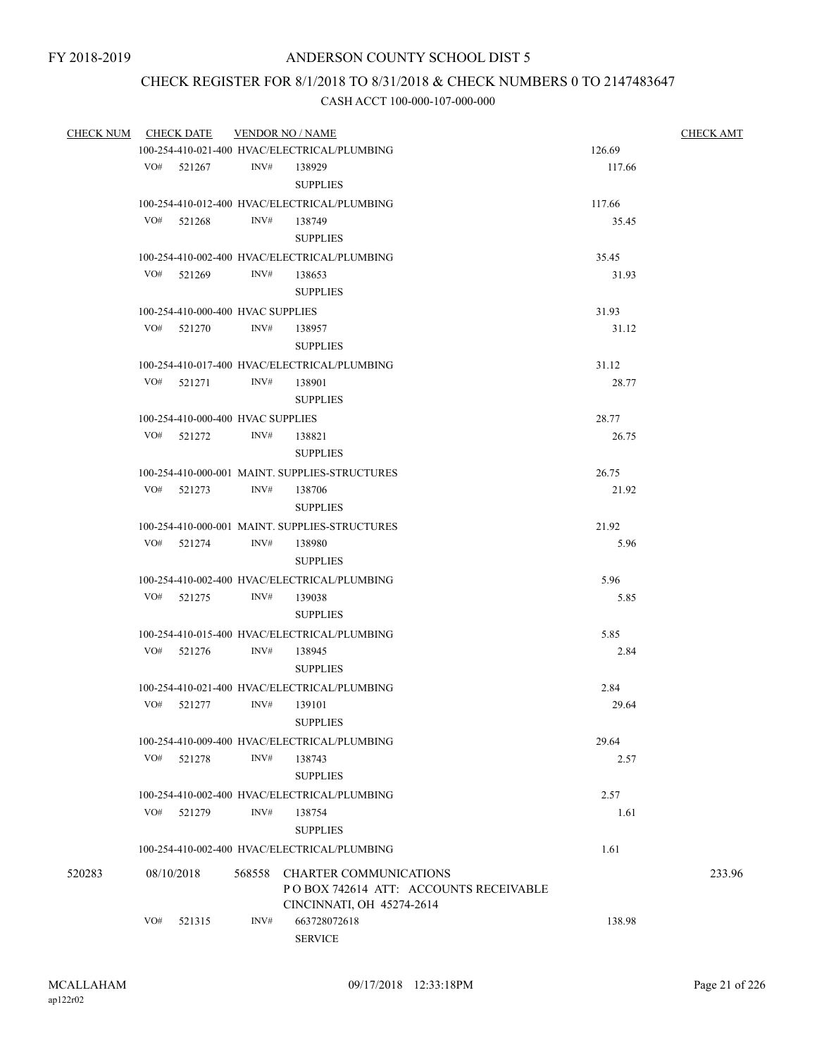## CHECK REGISTER FOR 8/1/2018 TO 8/31/2018 & CHECK NUMBERS 0 TO 2147483647

| <b>CHECK NUM</b> |     | <b>CHECK DATE</b>                            |                                              | <b>VENDOR NO / NAME</b>                        |        | <b>CHECK AMT</b> |
|------------------|-----|----------------------------------------------|----------------------------------------------|------------------------------------------------|--------|------------------|
|                  |     |                                              |                                              | 100-254-410-021-400 HVAC/ELECTRICAL/PLUMBING   | 126.69 |                  |
|                  |     | VO# 521267                                   |                                              | INV# 138929                                    | 117.66 |                  |
|                  |     |                                              |                                              | <b>SUPPLIES</b>                                |        |                  |
|                  |     |                                              |                                              | 100-254-410-012-400 HVAC/ELECTRICAL/PLUMBING   | 117.66 |                  |
|                  | VO# | 521268                                       | INV#                                         | 138749                                         | 35.45  |                  |
|                  |     |                                              |                                              | <b>SUPPLIES</b>                                |        |                  |
|                  |     |                                              |                                              |                                                |        |                  |
|                  |     |                                              |                                              | 100-254-410-002-400 HVAC/ELECTRICAL/PLUMBING   | 35.45  |                  |
|                  | VO# | 521269                                       | INV#                                         | 138653<br><b>SUPPLIES</b>                      | 31.93  |                  |
|                  |     |                                              |                                              |                                                |        |                  |
|                  |     |                                              | 100-254-410-000-400 HVAC SUPPLIES            |                                                | 31.93  |                  |
|                  |     | VO# 521270                                   | INV#                                         | 138957                                         | 31.12  |                  |
|                  |     |                                              |                                              | <b>SUPPLIES</b>                                |        |                  |
|                  |     |                                              |                                              | 100-254-410-017-400 HVAC/ELECTRICAL/PLUMBING   | 31.12  |                  |
|                  | VO# | 521271                                       | INV#                                         | 138901                                         | 28.77  |                  |
|                  |     |                                              |                                              | <b>SUPPLIES</b>                                |        |                  |
|                  |     |                                              | 100-254-410-000-400 HVAC SUPPLIES            |                                                | 28.77  |                  |
|                  |     | VO# 521272                                   | INV#                                         | 138821                                         | 26.75  |                  |
|                  |     |                                              |                                              | <b>SUPPLIES</b>                                |        |                  |
|                  |     |                                              |                                              | 100-254-410-000-001 MAINT. SUPPLIES-STRUCTURES | 26.75  |                  |
|                  | VO# | 521273                                       | INV#                                         | 138706                                         | 21.92  |                  |
|                  |     |                                              |                                              | <b>SUPPLIES</b>                                |        |                  |
|                  |     |                                              |                                              | 100-254-410-000-001 MAINT. SUPPLIES-STRUCTURES |        |                  |
|                  |     |                                              | 21.92                                        |                                                |        |                  |
|                  |     | VO# 521274                                   | INV#                                         | 138980<br><b>SUPPLIES</b>                      | 5.96   |                  |
|                  |     |                                              |                                              |                                                |        |                  |
|                  |     |                                              | 100-254-410-002-400 HVAC/ELECTRICAL/PLUMBING | 5.96                                           |        |                  |
|                  | VO# | 521275                                       | INV#                                         | 139038                                         | 5.85   |                  |
|                  |     |                                              |                                              | <b>SUPPLIES</b>                                |        |                  |
|                  |     | 100-254-410-015-400 HVAC/ELECTRICAL/PLUMBING | 5.85                                         |                                                |        |                  |
|                  | VO# | 521276                                       | INV#                                         | 138945                                         | 2.84   |                  |
|                  |     |                                              |                                              | <b>SUPPLIES</b>                                |        |                  |
|                  |     |                                              |                                              | 100-254-410-021-400 HVAC/ELECTRICAL/PLUMBING   | 2.84   |                  |
|                  | VO# | 521277                                       | INV#                                         | 139101                                         | 29.64  |                  |
|                  |     |                                              |                                              | <b>SUPPLIES</b>                                |        |                  |
|                  |     |                                              |                                              | 100-254-410-009-400 HVAC/ELECTRICAL/PLUMBING   | 29.64  |                  |
|                  | VO# | 521278                                       | INV#                                         | 138743                                         |        |                  |
|                  |     |                                              |                                              |                                                | 2.57   |                  |
|                  |     |                                              |                                              | <b>SUPPLIES</b>                                |        |                  |
|                  |     |                                              |                                              | 100-254-410-002-400 HVAC/ELECTRICAL/PLUMBING   | 2.57   |                  |
|                  | VO# | 521279                                       | INV#                                         | 138754                                         | 1.61   |                  |
|                  |     |                                              |                                              | <b>SUPPLIES</b>                                |        |                  |
|                  |     |                                              |                                              | 100-254-410-002-400 HVAC/ELECTRICAL/PLUMBING   | 1.61   |                  |
| 520283           |     | 08/10/2018                                   | 568558                                       | <b>CHARTER COMMUNICATIONS</b>                  |        | 233.96           |
|                  |     |                                              |                                              | POBOX 742614 ATT: ACCOUNTS RECEIVABLE          |        |                  |
|                  |     |                                              |                                              | CINCINNATI, OH 45274-2614                      |        |                  |
|                  | VO# | 521315                                       | INV#                                         | 663728072618                                   | 138.98 |                  |
|                  |     |                                              |                                              | <b>SERVICE</b>                                 |        |                  |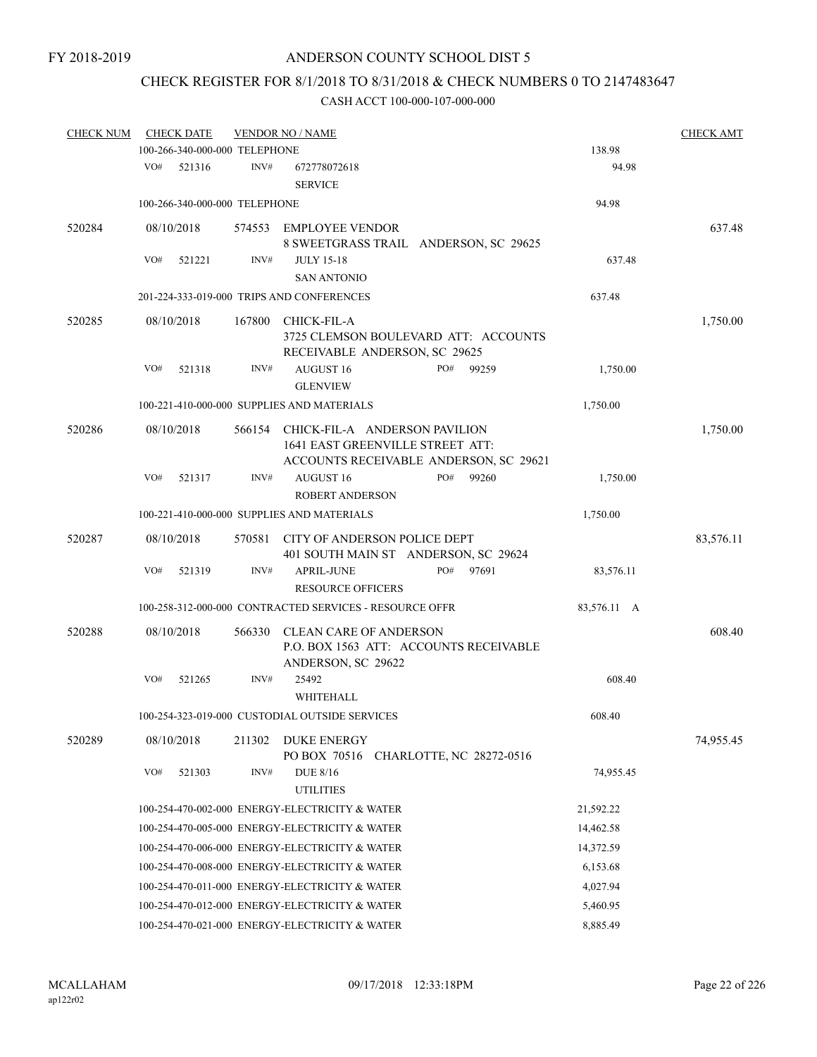# CHECK REGISTER FOR 8/1/2018 TO 8/31/2018 & CHECK NUMBERS 0 TO 2147483647

| <b>CHECK NUM</b> |     | <b>CHECK DATE</b>             |        | <b>VENDOR NO / NAME</b>                                                                                     |     |       |             | <b>CHECK AMT</b> |
|------------------|-----|-------------------------------|--------|-------------------------------------------------------------------------------------------------------------|-----|-------|-------------|------------------|
|                  |     | 100-266-340-000-000 TELEPHONE |        |                                                                                                             |     |       | 138.98      |                  |
|                  | VO# | 521316                        | INV#   | 672778072618<br><b>SERVICE</b>                                                                              |     |       | 94.98       |                  |
|                  |     | 100-266-340-000-000 TELEPHONE |        |                                                                                                             |     |       | 94.98       |                  |
| 520284           |     | 08/10/2018                    | 574553 | <b>EMPLOYEE VENDOR</b><br>8 SWEETGRASS TRAIL ANDERSON, SC 29625                                             |     |       |             | 637.48           |
|                  | VO# | 521221                        | INV#   | <b>JULY 15-18</b>                                                                                           |     |       | 637.48      |                  |
|                  |     |                               |        | <b>SAN ANTONIO</b>                                                                                          |     |       |             |                  |
|                  |     |                               |        | 201-224-333-019-000 TRIPS AND CONFERENCES                                                                   |     |       | 637.48      |                  |
| 520285           |     | 08/10/2018                    | 167800 | CHICK-FIL-A<br>3725 CLEMSON BOULEVARD ATT: ACCOUNTS<br>RECEIVABLE ANDERSON, SC 29625                        |     |       |             | 1,750.00         |
|                  | VO# | 521318                        | INV#   | <b>AUGUST 16</b><br><b>GLENVIEW</b>                                                                         | PO# | 99259 | 1,750.00    |                  |
|                  |     |                               |        | 100-221-410-000-000 SUPPLIES AND MATERIALS                                                                  |     |       | 1,750.00    |                  |
| 520286           |     | 08/10/2018                    | 566154 | CHICK-FIL-A ANDERSON PAVILION<br>1641 EAST GREENVILLE STREET ATT:<br>ACCOUNTS RECEIVABLE ANDERSON, SC 29621 |     |       |             | 1,750.00         |
|                  | VO# | 521317                        | INV#   | <b>AUGUST 16</b>                                                                                            | PO# | 99260 | 1,750.00    |                  |
|                  |     |                               |        | <b>ROBERT ANDERSON</b>                                                                                      |     |       |             |                  |
|                  |     |                               |        | 100-221-410-000-000 SUPPLIES AND MATERIALS                                                                  |     |       | 1,750.00    |                  |
| 520287           |     | 08/10/2018                    | 570581 | CITY OF ANDERSON POLICE DEPT<br>401 SOUTH MAIN ST ANDERSON, SC 29624                                        |     |       |             | 83,576.11        |
|                  | VO# | 521319                        | INV#   | <b>APRIL-JUNE</b><br><b>RESOURCE OFFICERS</b>                                                               | PO# | 97691 | 83,576.11   |                  |
|                  |     |                               |        | 100-258-312-000-000 CONTRACTED SERVICES - RESOURCE OFFR                                                     |     |       | 83,576.11 A |                  |
| 520288           |     | 08/10/2018                    | 566330 | <b>CLEAN CARE OF ANDERSON</b><br>P.O. BOX 1563 ATT: ACCOUNTS RECEIVABLE<br>ANDERSON, SC 29622               |     |       |             | 608.40           |
|                  | VO# | 521265                        | INV#   | 25492<br>WHITEHALL                                                                                          |     |       | 608.40      |                  |
|                  |     |                               |        | 100-254-323-019-000 CUSTODIAL OUTSIDE SERVICES                                                              |     |       | 608.40      |                  |
| 520289           |     | 08/10/2018                    | 211302 | DUKE ENERGY<br>PO BOX 70516 CHARLOTTE, NC 28272-0516                                                        |     |       |             | 74,955.45        |
|                  | VO# | 521303                        | INV#   | <b>DUE 8/16</b><br><b>UTILITIES</b>                                                                         |     |       | 74,955.45   |                  |
|                  |     |                               |        | 100-254-470-002-000 ENERGY-ELECTRICITY & WATER                                                              |     |       | 21,592.22   |                  |
|                  |     |                               |        | 100-254-470-005-000 ENERGY-ELECTRICITY & WATER                                                              |     |       | 14,462.58   |                  |
|                  |     |                               |        | 100-254-470-006-000 ENERGY-ELECTRICITY & WATER                                                              |     |       | 14,372.59   |                  |
|                  |     |                               |        | 100-254-470-008-000 ENERGY-ELECTRICITY & WATER                                                              |     |       | 6,153.68    |                  |
|                  |     |                               |        | 100-254-470-011-000 ENERGY-ELECTRICITY & WATER                                                              |     |       | 4,027.94    |                  |
|                  |     |                               |        | 100-254-470-012-000 ENERGY-ELECTRICITY & WATER                                                              |     |       | 5,460.95    |                  |
|                  |     |                               |        | 100-254-470-021-000 ENERGY-ELECTRICITY & WATER                                                              |     |       | 8,885.49    |                  |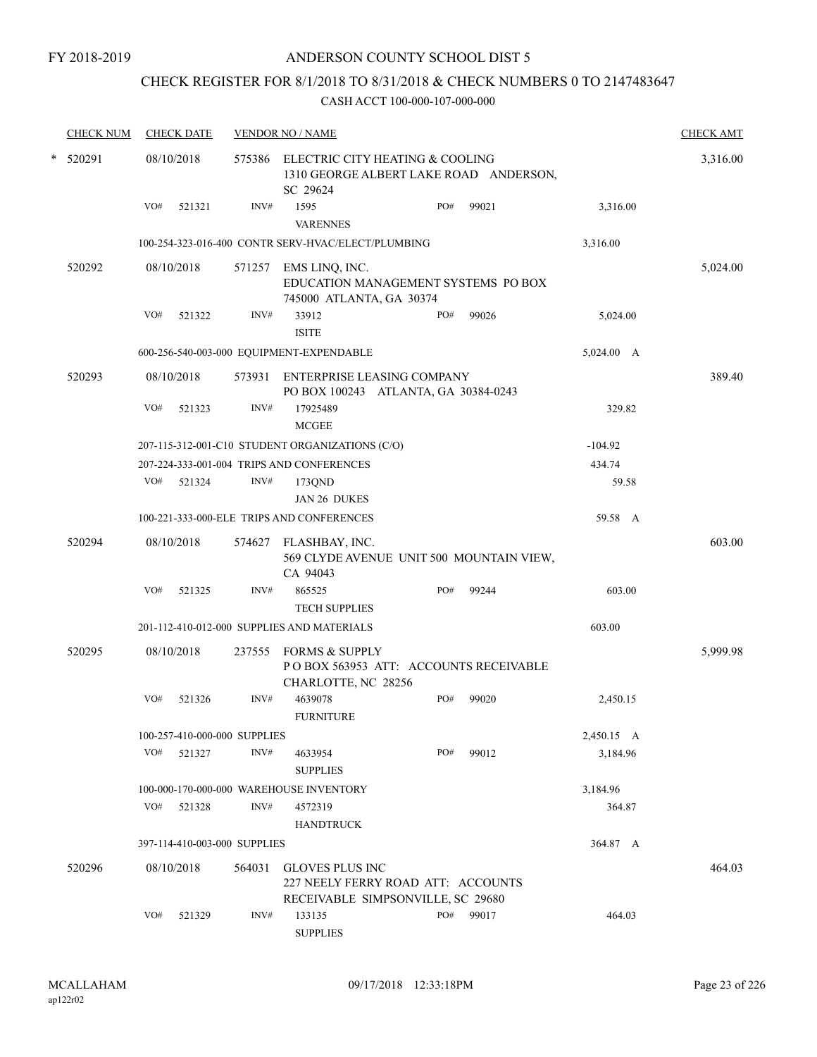## CHECK REGISTER FOR 8/1/2018 TO 8/31/2018 & CHECK NUMBERS 0 TO 2147483647

|        | <b>CHECK NUM</b> |     | <b>CHECK DATE</b> |                              | <b>VENDOR NO / NAME</b>                                                                           |     |           |            | <b>CHECK AMT</b> |
|--------|------------------|-----|-------------------|------------------------------|---------------------------------------------------------------------------------------------------|-----|-----------|------------|------------------|
| $\ast$ | 520291           |     | 08/10/2018        |                              | 575386 ELECTRIC CITY HEATING & COOLING<br>1310 GEORGE ALBERT LAKE ROAD ANDERSON,<br>SC 29624      |     |           |            | 3,316.00         |
|        |                  | VO# | 521321            | INV#                         | 1595<br><b>VARENNES</b>                                                                           | PO# | 99021     | 3,316.00   |                  |
|        |                  |     |                   |                              | 100-254-323-016-400 CONTR SERV-HVAC/ELECT/PLUMBING                                                |     |           | 3,316.00   |                  |
|        | 520292           |     | 08/10/2018        | 571257                       | EMS LINQ, INC.<br>EDUCATION MANAGEMENT SYSTEMS PO BOX<br>745000 ATLANTA, GA 30374                 |     |           |            | 5,024.00         |
|        |                  | VO# | 521322            | INV#                         | 33912<br><b>ISITE</b>                                                                             | PO# | 99026     | 5,024.00   |                  |
|        |                  |     |                   |                              | 600-256-540-003-000 EQUIPMENT-EXPENDABLE                                                          |     |           | 5,024.00 A |                  |
|        | 520293           |     | 08/10/2018        |                              | 573931 ENTERPRISE LEASING COMPANY<br>PO BOX 100243 ATLANTA, GA 30384-0243                         |     |           |            | 389.40           |
|        |                  | VO# | 521323            | INV#                         | 17925489<br><b>MCGEE</b>                                                                          |     |           | 329.82     |                  |
|        |                  |     |                   |                              | 207-115-312-001-C10 STUDENT ORGANIZATIONS (C/O)                                                   |     |           | $-104.92$  |                  |
|        |                  |     |                   |                              | 207-224-333-001-004 TRIPS AND CONFERENCES                                                         |     |           | 434.74     |                  |
|        |                  | VO# | 521324            | INV#                         | 173QND                                                                                            |     |           | 59.58      |                  |
|        |                  |     |                   |                              | JAN 26 DUKES                                                                                      |     |           |            |                  |
|        |                  |     |                   |                              | 100-221-333-000-ELE TRIPS AND CONFERENCES                                                         |     |           | 59.58 A    |                  |
|        | 520294           |     | 08/10/2018        |                              | 574627 FLASHBAY, INC.<br>569 CLYDE AVENUE UNIT 500 MOUNTAIN VIEW,<br>CA 94043                     |     |           |            | 603.00           |
|        |                  | VO# | 521325            | INV#                         | 865525<br><b>TECH SUPPLIES</b>                                                                    | PO# | 99244     | 603.00     |                  |
|        |                  |     |                   |                              | 201-112-410-012-000 SUPPLIES AND MATERIALS                                                        |     |           | 603.00     |                  |
|        | 520295           |     | 08/10/2018        | 237555                       | <b>FORMS &amp; SUPPLY</b><br>POBOX 563953 ATT: ACCOUNTS RECEIVABLE<br>CHARLOTTE, NC 28256         |     |           |            | 5,999.98         |
|        |                  | VO# | 521326            | INV#                         | 4639078<br><b>FURNITURE</b>                                                                       | PO# | 99020     | 2,450.15   |                  |
|        |                  |     |                   | 100-257-410-000-000 SUPPLIES |                                                                                                   |     |           | 2,450.15 A |                  |
|        |                  | VO# | 521327            | INV#                         | 4633954<br><b>SUPPLIES</b>                                                                        | PO# | 99012     | 3,184.96   |                  |
|        |                  |     |                   |                              | 100-000-170-000-000 WAREHOUSE INVENTORY                                                           |     |           | 3,184.96   |                  |
|        |                  | VO# | 521328            | INV#                         | 4572319<br><b>HANDTRUCK</b>                                                                       |     |           | 364.87     |                  |
|        |                  |     |                   | 397-114-410-003-000 SUPPLIES |                                                                                                   |     |           | 364.87 A   |                  |
|        | 520296           |     | 08/10/2018        | 564031                       | <b>GLOVES PLUS INC</b><br>227 NEELY FERRY ROAD ATT: ACCOUNTS<br>RECEIVABLE SIMPSONVILLE, SC 29680 |     |           |            | 464.03           |
|        |                  | VO# | 521329            | INV#                         | 133135<br><b>SUPPLIES</b>                                                                         |     | PO# 99017 | 464.03     |                  |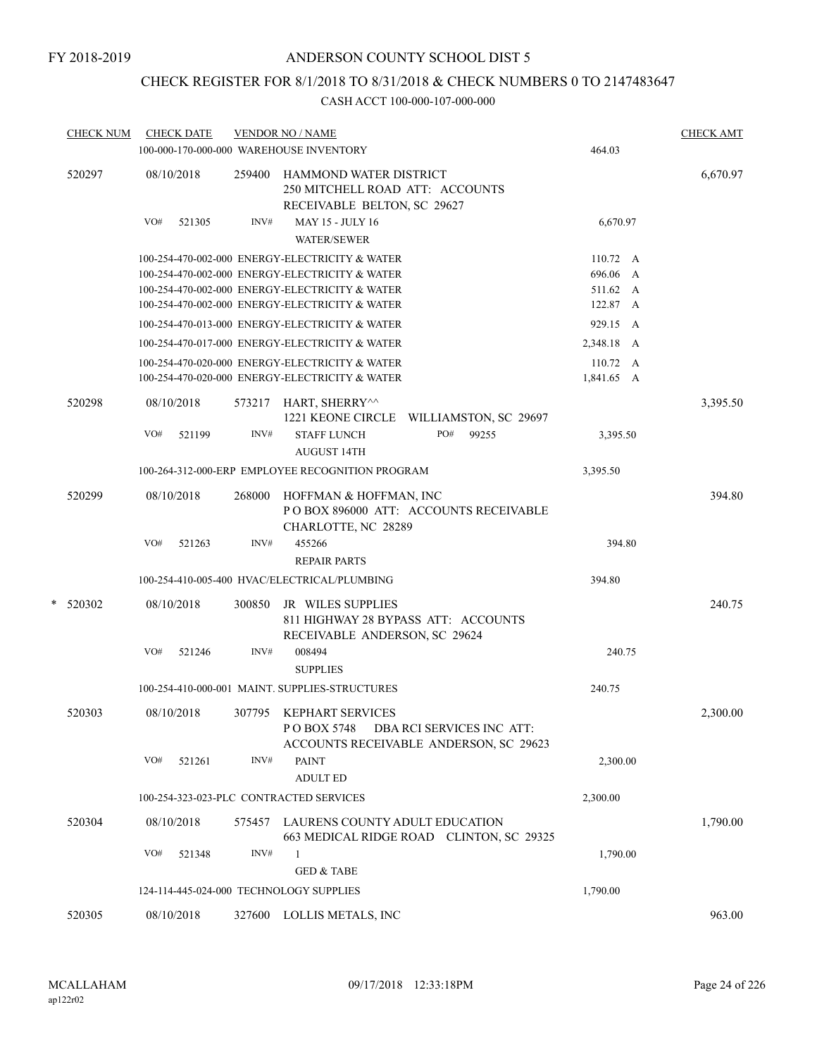## CHECK REGISTER FOR 8/1/2018 TO 8/31/2018 & CHECK NUMBERS 0 TO 2147483647

| <b>CHECK NUM</b> | <b>CHECK DATE</b><br>100-000-170-000-000 WAREHOUSE INVENTORY |        | <b>VENDOR NO / NAME</b>                                                                                   | 464.03                 | <b>CHECK AMT</b> |
|------------------|--------------------------------------------------------------|--------|-----------------------------------------------------------------------------------------------------------|------------------------|------------------|
| 520297           | 08/10/2018                                                   | 259400 | <b>HAMMOND WATER DISTRICT</b><br>250 MITCHELL ROAD ATT: ACCOUNTS<br>RECEIVABLE BELTON, SC 29627           |                        | 6,670.97         |
|                  | VO#<br>521305                                                | INV#   | <b>MAY 15 - JULY 16</b><br><b>WATER/SEWER</b>                                                             | 6,670.97               |                  |
|                  |                                                              |        | 100-254-470-002-000 ENERGY-ELECTRICITY & WATER                                                            | $110.72 \text{ A}$     |                  |
|                  |                                                              |        | 100-254-470-002-000 ENERGY-ELECTRICITY & WATER                                                            | 696.06<br>A            |                  |
|                  |                                                              |        | 100-254-470-002-000 ENERGY-ELECTRICITY & WATER                                                            | 511.62 A               |                  |
|                  |                                                              |        | 100-254-470-002-000 ENERGY-ELECTRICITY & WATER                                                            | 122.87 A               |                  |
|                  |                                                              |        | 100-254-470-013-000 ENERGY-ELECTRICITY & WATER                                                            | 929.15 A               |                  |
|                  |                                                              |        | 100-254-470-017-000 ENERGY-ELECTRICITY & WATER                                                            | 2,348.18 A             |                  |
|                  |                                                              |        | 100-254-470-020-000 ENERGY-ELECTRICITY & WATER<br>100-254-470-020-000 ENERGY-ELECTRICITY & WATER          | 110.72 A<br>1,841.65 A |                  |
| 520298           | 08/10/2018                                                   | 573217 | HART, SHERRY^^<br>1221 KEONE CIRCLE WILLIAMSTON, SC 29697                                                 |                        | 3,395.50         |
|                  | VO#<br>521199                                                | INV#   | <b>STAFF LUNCH</b><br>PO#<br>99255<br><b>AUGUST 14TH</b>                                                  | 3,395.50               |                  |
|                  |                                                              |        | 100-264-312-000-ERP EMPLOYEE RECOGNITION PROGRAM                                                          | 3,395.50               |                  |
| 520299           | 08/10/2018                                                   | 268000 | HOFFMAN & HOFFMAN, INC<br>PO BOX 896000 ATT: ACCOUNTS RECEIVABLE                                          |                        | 394.80           |
|                  | VO#<br>521263                                                | INV#   | CHARLOTTE, NC 28289<br>455266                                                                             | 394.80                 |                  |
|                  |                                                              |        | <b>REPAIR PARTS</b>                                                                                       |                        |                  |
|                  |                                                              |        | 100-254-410-005-400 HVAC/ELECTRICAL/PLUMBING                                                              | 394.80                 |                  |
|                  |                                                              |        |                                                                                                           |                        |                  |
| $*$ 520302       | 08/10/2018                                                   | 300850 | JR WILES SUPPLIES<br>811 HIGHWAY 28 BYPASS ATT: ACCOUNTS<br>RECEIVABLE ANDERSON, SC 29624                 |                        | 240.75           |
|                  | VO#<br>521246                                                | INV#   | 008494<br><b>SUPPLIES</b>                                                                                 | 240.75                 |                  |
|                  |                                                              |        | 100-254-410-000-001 MAINT. SUPPLIES-STRUCTURES                                                            | 240.75                 |                  |
| 520303           | 08/10/2018                                                   |        | 307795 KEPHART SERVICES<br>POBOX 5748 DBA RCI SERVICES INC ATT:<br>ACCOUNTS RECEIVABLE ANDERSON, SC 29623 |                        | 2,300.00         |
|                  | VO#<br>521261                                                | INV#   | <b>PAINT</b><br><b>ADULT ED</b>                                                                           | 2,300.00               |                  |
|                  | 100-254-323-023-PLC CONTRACTED SERVICES                      |        |                                                                                                           | 2,300.00               |                  |
| 520304           | 08/10/2018                                                   | 575457 | LAURENS COUNTY ADULT EDUCATION<br>663 MEDICAL RIDGE ROAD CLINTON, SC 29325                                |                        | 1,790.00         |
|                  | VO#<br>521348                                                | INV#   | 1<br><b>GED &amp; TABE</b>                                                                                | 1,790.00               |                  |
|                  | 124-114-445-024-000 TECHNOLOGY SUPPLIES                      |        |                                                                                                           | 1,790.00               |                  |
| 520305           | 08/10/2018                                                   | 327600 | LOLLIS METALS, INC                                                                                        |                        | 963.00           |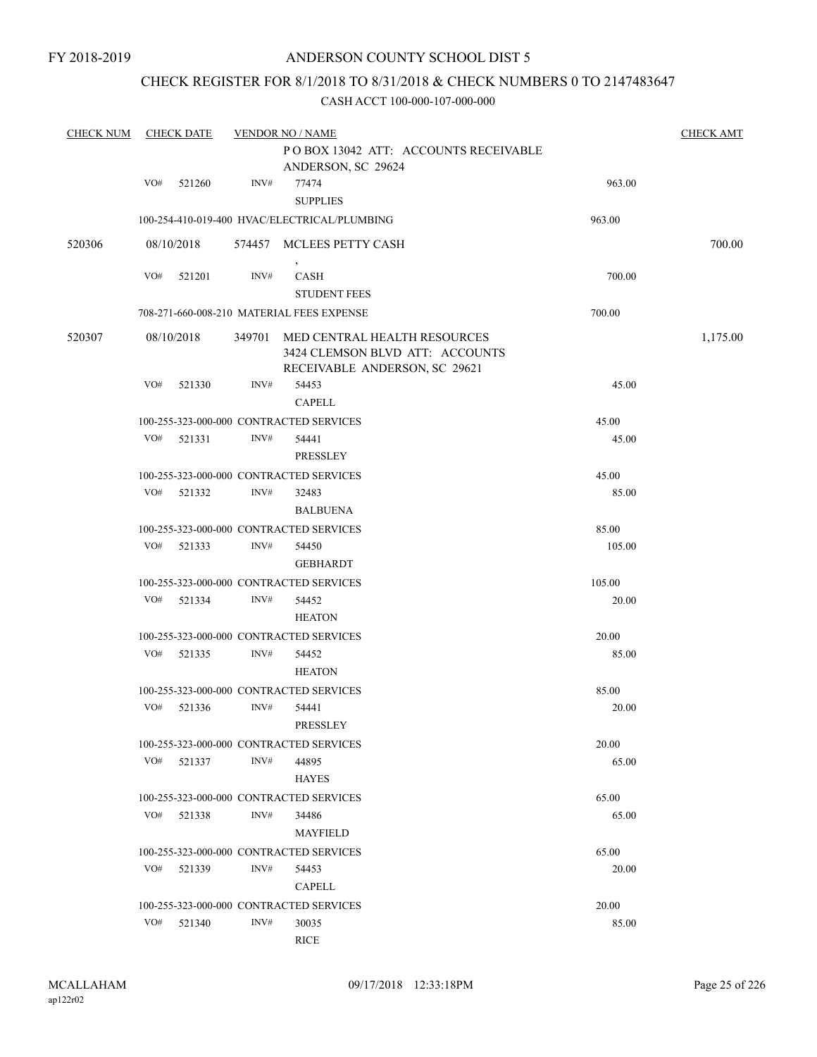## CHECK REGISTER FOR 8/1/2018 TO 8/31/2018 & CHECK NUMBERS 0 TO 2147483647

| <b>CHECK NUM</b> |     | <b>CHECK DATE</b> |        | <b>VENDOR NO / NAME</b>                                                                          |        | <b>CHECK AMT</b> |
|------------------|-----|-------------------|--------|--------------------------------------------------------------------------------------------------|--------|------------------|
|                  |     |                   |        | PO BOX 13042 ATT: ACCOUNTS RECEIVABLE                                                            |        |                  |
|                  |     |                   |        | ANDERSON, SC 29624                                                                               |        |                  |
|                  | VO# | 521260            | INV#   | 77474                                                                                            | 963.00 |                  |
|                  |     |                   |        | <b>SUPPLIES</b>                                                                                  |        |                  |
|                  |     |                   |        | 100-254-410-019-400 HVAC/ELECTRICAL/PLUMBING                                                     | 963.00 |                  |
| 520306           |     | 08/10/2018        |        | 574457 MCLEES PETTY CASH                                                                         |        | 700.00           |
|                  | VO# | 521201            | INV#   | CASH                                                                                             | 700.00 |                  |
|                  |     |                   |        | <b>STUDENT FEES</b>                                                                              |        |                  |
|                  |     |                   |        | 708-271-660-008-210 MATERIAL FEES EXPENSE                                                        | 700.00 |                  |
| 520307           |     | 08/10/2018        | 349701 | MED CENTRAL HEALTH RESOURCES<br>3424 CLEMSON BLVD ATT: ACCOUNTS<br>RECEIVABLE ANDERSON, SC 29621 |        | 1,175.00         |
|                  | VO# | 521330            | INV#   | 54453                                                                                            | 45.00  |                  |
|                  |     |                   |        | <b>CAPELL</b>                                                                                    |        |                  |
|                  |     |                   |        | 100-255-323-000-000 CONTRACTED SERVICES                                                          | 45.00  |                  |
|                  | VO# | 521331            | INV#   | 54441                                                                                            | 45.00  |                  |
|                  |     |                   |        | PRESSLEY                                                                                         |        |                  |
|                  |     |                   |        | 100-255-323-000-000 CONTRACTED SERVICES                                                          | 45.00  |                  |
|                  | VO# | 521332            | INV#   | 32483                                                                                            | 85.00  |                  |
|                  |     |                   |        | <b>BALBUENA</b>                                                                                  |        |                  |
|                  |     |                   |        | 100-255-323-000-000 CONTRACTED SERVICES                                                          | 85.00  |                  |
|                  | VO# | 521333            | INV#   | 54450                                                                                            | 105.00 |                  |
|                  |     |                   |        | <b>GEBHARDT</b>                                                                                  |        |                  |
|                  |     |                   |        | 100-255-323-000-000 CONTRACTED SERVICES                                                          | 105.00 |                  |
|                  | VO# | 521334            | INV#   | 54452                                                                                            | 20.00  |                  |
|                  |     |                   |        | <b>HEATON</b>                                                                                    |        |                  |
|                  |     |                   |        | 100-255-323-000-000 CONTRACTED SERVICES                                                          | 20.00  |                  |
|                  | VO# | 521335            | INV#   | 54452                                                                                            | 85.00  |                  |
|                  |     |                   |        | <b>HEATON</b>                                                                                    |        |                  |
|                  |     |                   |        | 100-255-323-000-000 CONTRACTED SERVICES                                                          | 85.00  |                  |
|                  | VO# | 521336            | INV#   | 54441                                                                                            | 20.00  |                  |
|                  |     |                   |        | PRESSLEY                                                                                         |        |                  |
|                  |     |                   |        | 100-255-323-000-000 CONTRACTED SERVICES                                                          | 20.00  |                  |
|                  | VO# | 521337            | INV#   | 44895                                                                                            | 65.00  |                  |
|                  |     |                   |        | <b>HAYES</b>                                                                                     |        |                  |
|                  |     |                   |        | 100-255-323-000-000 CONTRACTED SERVICES                                                          | 65.00  |                  |
|                  |     | VO# 521338        | INV#   | 34486                                                                                            | 65.00  |                  |
|                  |     |                   |        | <b>MAYFIELD</b>                                                                                  |        |                  |
|                  |     |                   |        | 100-255-323-000-000 CONTRACTED SERVICES                                                          | 65.00  |                  |
|                  | VO# | 521339            | INV#   | 54453                                                                                            | 20.00  |                  |
|                  |     |                   |        | <b>CAPELL</b>                                                                                    |        |                  |
|                  |     |                   |        | 100-255-323-000-000 CONTRACTED SERVICES                                                          | 20.00  |                  |
|                  | VO# | 521340            | INV#   | 30035                                                                                            | 85.00  |                  |
|                  |     |                   |        | <b>RICE</b>                                                                                      |        |                  |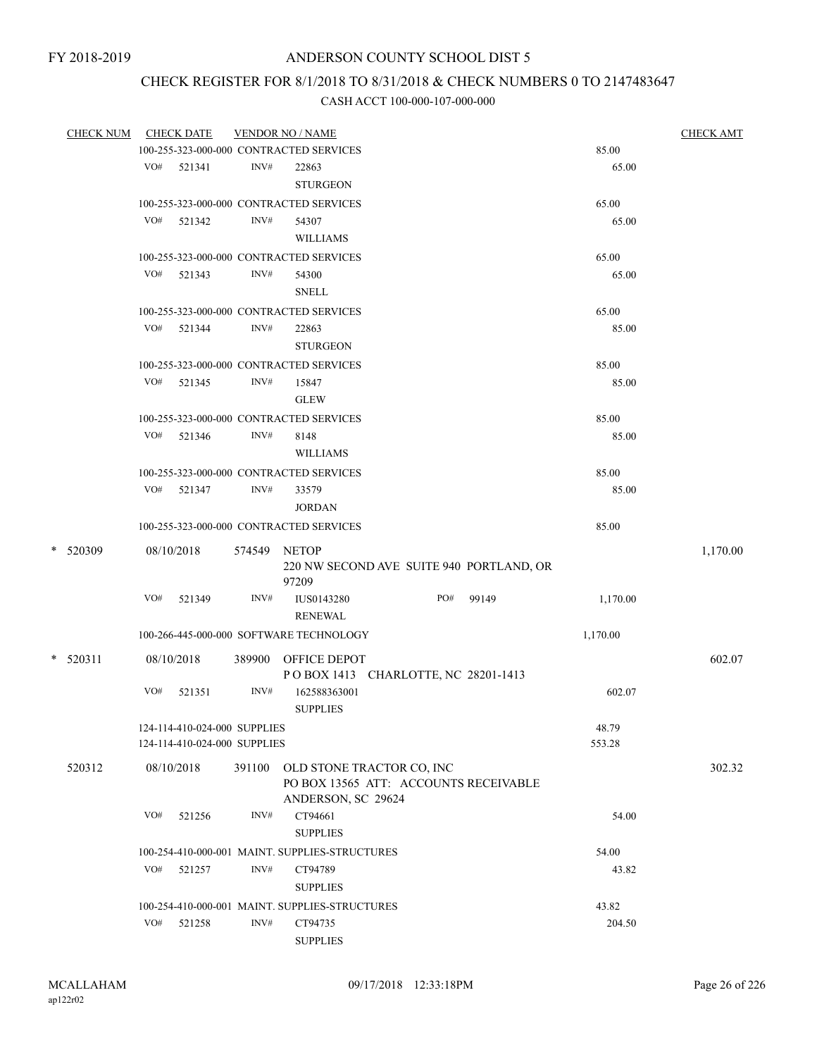## CHECK REGISTER FOR 8/1/2018 TO 8/31/2018 & CHECK NUMBERS 0 TO 2147483647

| <b>CHECK NUM</b> |     | <b>CHECK DATE</b>            |        | <b>VENDOR NO / NAME</b>                        |                                          |       |          | <b>CHECK AMT</b> |
|------------------|-----|------------------------------|--------|------------------------------------------------|------------------------------------------|-------|----------|------------------|
|                  |     |                              |        | 100-255-323-000-000 CONTRACTED SERVICES        |                                          |       | 85.00    |                  |
|                  | VO# | 521341                       | INV#   | 22863                                          |                                          |       | 65.00    |                  |
|                  |     |                              |        | <b>STURGEON</b>                                |                                          |       |          |                  |
|                  |     |                              |        | 100-255-323-000-000 CONTRACTED SERVICES        |                                          |       | 65.00    |                  |
|                  | VO# | 521342                       | INV#   | 54307                                          |                                          |       | 65.00    |                  |
|                  |     |                              |        | <b>WILLIAMS</b>                                |                                          |       |          |                  |
|                  |     |                              |        | 100-255-323-000-000 CONTRACTED SERVICES        |                                          |       | 65.00    |                  |
|                  | VO# | 521343                       | INV#   | 54300                                          |                                          |       | 65.00    |                  |
|                  |     |                              |        | <b>SNELL</b>                                   |                                          |       |          |                  |
|                  |     |                              |        | 100-255-323-000-000 CONTRACTED SERVICES        |                                          |       | 65.00    |                  |
|                  | VO# | 521344                       | INV#   | 22863                                          |                                          |       | 85.00    |                  |
|                  |     |                              |        | <b>STURGEON</b>                                |                                          |       |          |                  |
|                  |     |                              |        | 100-255-323-000-000 CONTRACTED SERVICES        |                                          |       | 85.00    |                  |
|                  | VO# | 521345                       | INV#   | 15847                                          |                                          |       | 85.00    |                  |
|                  |     |                              |        | <b>GLEW</b>                                    |                                          |       |          |                  |
|                  |     |                              |        | 100-255-323-000-000 CONTRACTED SERVICES        |                                          |       | 85.00    |                  |
|                  | VO# | 521346                       | INV#   | 8148                                           |                                          |       | 85.00    |                  |
|                  |     |                              |        | <b>WILLIAMS</b>                                |                                          |       |          |                  |
|                  |     |                              |        | 100-255-323-000-000 CONTRACTED SERVICES        |                                          |       | 85.00    |                  |
|                  | VO# | 521347                       | INV#   | 33579                                          |                                          |       | 85.00    |                  |
|                  |     |                              |        | <b>JORDAN</b>                                  |                                          |       |          |                  |
|                  |     |                              |        | 100-255-323-000-000 CONTRACTED SERVICES        |                                          |       | 85.00    |                  |
|                  |     |                              |        |                                                |                                          |       |          |                  |
| * 520309         |     | 08/10/2018                   | 574549 | <b>NETOP</b>                                   |                                          |       |          | 1,170.00         |
|                  |     |                              |        |                                                | 220 NW SECOND AVE SUITE 940 PORTLAND, OR |       |          |                  |
|                  |     |                              |        | 97209                                          |                                          |       |          |                  |
|                  | VO# | 521349                       | INV#   | IUS0143280                                     | PO#                                      | 99149 | 1,170.00 |                  |
|                  |     |                              |        | <b>RENEWAL</b>                                 |                                          |       |          |                  |
|                  |     |                              |        | 100-266-445-000-000 SOFTWARE TECHNOLOGY        |                                          |       | 1,170.00 |                  |
| $*$ 520311       |     | 08/10/2018                   | 389900 | OFFICE DEPOT                                   |                                          |       |          | 602.07           |
|                  |     |                              |        |                                                | POBOX 1413 CHARLOTTE, NC 28201-1413      |       |          |                  |
|                  | VO# | 521351                       | INV#   | 162588363001                                   |                                          |       | 602.07   |                  |
|                  |     |                              |        | <b>SUPPLIES</b>                                |                                          |       |          |                  |
|                  |     | 124-114-410-024-000 SUPPLIES |        |                                                |                                          |       | 48.79    |                  |
|                  |     | 124-114-410-024-000 SUPPLIES |        |                                                |                                          |       | 553.28   |                  |
| 520312           |     | 08/10/2018                   | 391100 |                                                | OLD STONE TRACTOR CO, INC                |       |          | 302.32           |
|                  |     |                              |        |                                                | PO BOX 13565 ATT: ACCOUNTS RECEIVABLE    |       |          |                  |
|                  |     |                              |        | ANDERSON, SC 29624                             |                                          |       |          |                  |
|                  | VO# | 521256                       | INV#   | CT94661                                        |                                          |       | 54.00    |                  |
|                  |     |                              |        | <b>SUPPLIES</b>                                |                                          |       |          |                  |
|                  |     |                              |        | 100-254-410-000-001 MAINT. SUPPLIES-STRUCTURES |                                          |       | 54.00    |                  |
|                  | VO# | 521257                       | INV#   | CT94789                                        |                                          |       | 43.82    |                  |
|                  |     |                              |        | <b>SUPPLIES</b>                                |                                          |       |          |                  |
|                  |     |                              |        | 100-254-410-000-001 MAINT. SUPPLIES-STRUCTURES |                                          |       | 43.82    |                  |
|                  | VO# | 521258                       | INV#   | CT94735                                        |                                          |       | 204.50   |                  |
|                  |     |                              |        | <b>SUPPLIES</b>                                |                                          |       |          |                  |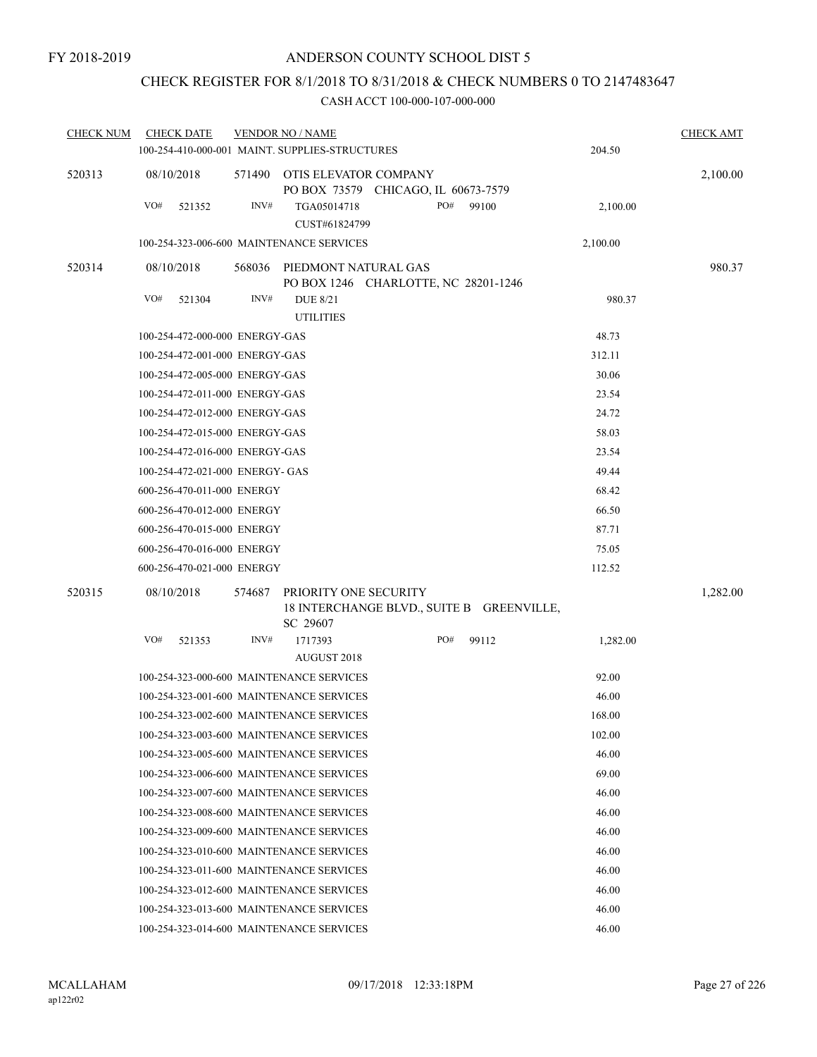## CHECK REGISTER FOR 8/1/2018 TO 8/31/2018 & CHECK NUMBERS 0 TO 2147483647

| <u>CHECK NUM</u> |            | <b>CHECK DATE</b>               |        | <b>VENDOR NO / NAME</b>                                      |     |       |          | <b>CHECK AMT</b> |
|------------------|------------|---------------------------------|--------|--------------------------------------------------------------|-----|-------|----------|------------------|
|                  |            |                                 |        | 100-254-410-000-001 MAINT. SUPPLIES-STRUCTURES               |     |       | 204.50   |                  |
| 520313           | 08/10/2018 |                                 | 571490 | OTIS ELEVATOR COMPANY<br>PO BOX 73579 CHICAGO, IL 60673-7579 |     |       |          | 2,100.00         |
|                  | VO#        | 521352                          | INV#   | TGA05014718<br>CUST#61824799                                 | PO# | 99100 | 2,100.00 |                  |
|                  |            |                                 |        | 100-254-323-006-600 MAINTENANCE SERVICES                     |     |       | 2,100.00 |                  |
| 520314           | 08/10/2018 |                                 | 568036 | PIEDMONT NATURAL GAS<br>PO BOX 1246 CHARLOTTE, NC 28201-1246 |     |       |          | 980.37           |
|                  | VO#        | 521304                          | INV#   | <b>DUE 8/21</b><br><b>UTILITIES</b>                          |     |       | 980.37   |                  |
|                  |            | 100-254-472-000-000 ENERGY-GAS  |        |                                                              |     |       | 48.73    |                  |
|                  |            | 100-254-472-001-000 ENERGY-GAS  |        |                                                              |     |       | 312.11   |                  |
|                  |            | 100-254-472-005-000 ENERGY-GAS  |        |                                                              |     |       | 30.06    |                  |
|                  |            | 100-254-472-011-000 ENERGY-GAS  |        |                                                              |     |       | 23.54    |                  |
|                  |            | 100-254-472-012-000 ENERGY-GAS  |        |                                                              |     |       | 24.72    |                  |
|                  |            | 100-254-472-015-000 ENERGY-GAS  |        |                                                              |     |       | 58.03    |                  |
|                  |            | 100-254-472-016-000 ENERGY-GAS  |        |                                                              |     |       | 23.54    |                  |
|                  |            | 100-254-472-021-000 ENERGY- GAS |        |                                                              |     |       | 49.44    |                  |
|                  |            | 600-256-470-011-000 ENERGY      |        |                                                              |     |       | 68.42    |                  |
|                  |            | 600-256-470-012-000 ENERGY      |        |                                                              |     |       | 66.50    |                  |
|                  |            | 600-256-470-015-000 ENERGY      |        |                                                              |     |       | 87.71    |                  |
|                  |            | 600-256-470-016-000 ENERGY      |        |                                                              |     |       | 75.05    |                  |
|                  |            | 600-256-470-021-000 ENERGY      |        |                                                              |     |       | 112.52   |                  |
| 520315           | 08/10/2018 |                                 | 574687 | PRIORITY ONE SECURITY                                        |     |       |          | 1,282.00         |
|                  |            |                                 |        | 18 INTERCHANGE BLVD., SUITE B GREENVILLE,<br>SC 29607        |     |       |          |                  |
|                  | VO#        | 521353                          | INV#   | 1717393<br>AUGUST 2018                                       | PO# | 99112 | 1,282.00 |                  |
|                  |            |                                 |        | 100-254-323-000-600 MAINTENANCE SERVICES                     |     |       | 92.00    |                  |
|                  |            |                                 |        | 100-254-323-001-600 MAINTENANCE SERVICES                     |     |       | 46.00    |                  |
|                  |            |                                 |        | 100-254-323-002-600 MAINTENANCE SERVICES                     |     |       | 168.00   |                  |
|                  |            |                                 |        | 100-254-323-003-600 MAINTENANCE SERVICES                     |     |       | 102.00   |                  |
|                  |            |                                 |        | 100-254-323-005-600 MAINTENANCE SERVICES                     |     |       | 46.00    |                  |
|                  |            |                                 |        | 100-254-323-006-600 MAINTENANCE SERVICES                     |     |       | 69.00    |                  |
|                  |            |                                 |        | 100-254-323-007-600 MAINTENANCE SERVICES                     |     |       | 46.00    |                  |
|                  |            |                                 |        | 100-254-323-008-600 MAINTENANCE SERVICES                     |     |       | 46.00    |                  |
|                  |            |                                 |        | 100-254-323-009-600 MAINTENANCE SERVICES                     |     |       | 46.00    |                  |
|                  |            |                                 |        | 100-254-323-010-600 MAINTENANCE SERVICES                     |     |       | 46.00    |                  |
|                  |            |                                 |        | 100-254-323-011-600 MAINTENANCE SERVICES                     |     |       | 46.00    |                  |
|                  |            |                                 |        | 100-254-323-012-600 MAINTENANCE SERVICES                     |     |       | 46.00    |                  |
|                  |            |                                 |        | 100-254-323-013-600 MAINTENANCE SERVICES                     |     |       | 46.00    |                  |
|                  |            |                                 |        | 100-254-323-014-600 MAINTENANCE SERVICES                     |     |       | 46.00    |                  |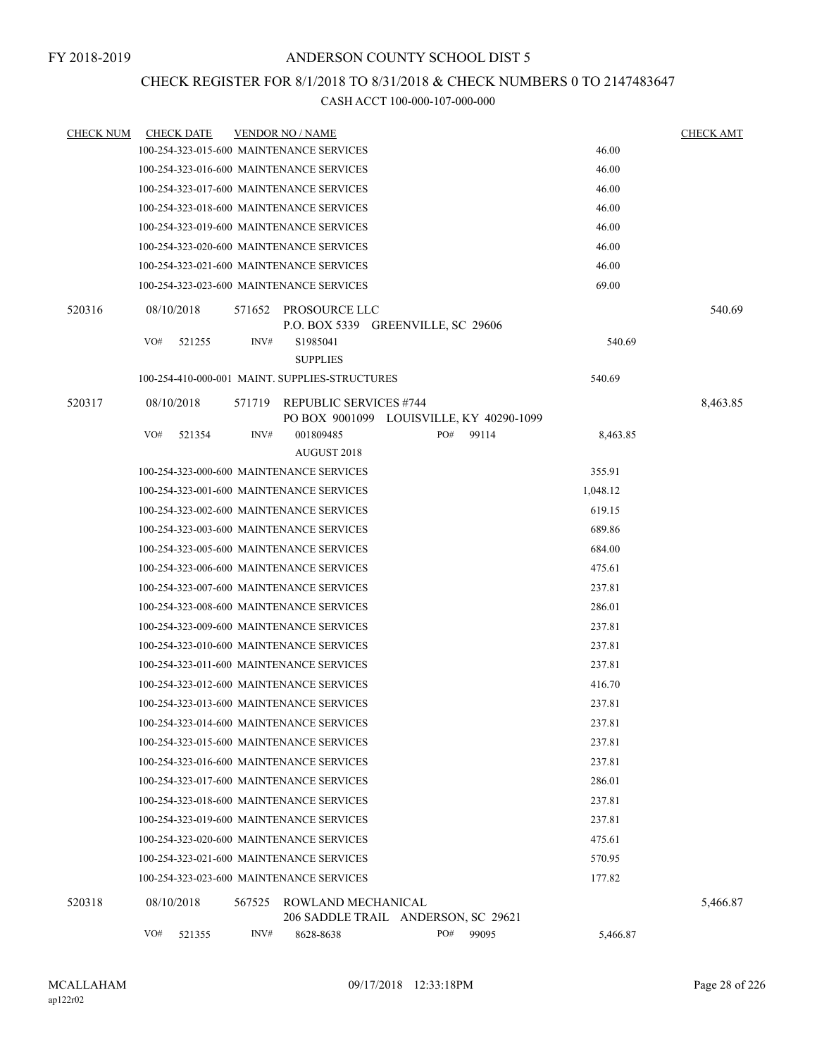## CHECK REGISTER FOR 8/1/2018 TO 8/31/2018 & CHECK NUMBERS 0 TO 2147483647

|                  | VO# | 521355            | INV#   | 8628-8638                                                                 | PO# | 99095 | 5,466.87 |                  |
|------------------|-----|-------------------|--------|---------------------------------------------------------------------------|-----|-------|----------|------------------|
| 520318           |     | 08/10/2018        | 567525 | ROWLAND MECHANICAL<br>206 SADDLE TRAIL ANDERSON, SC 29621                 |     |       |          | 5,466.87         |
|                  |     |                   |        |                                                                           |     |       |          |                  |
|                  |     |                   |        | 100-254-323-023-600 MAINTENANCE SERVICES                                  |     |       | 177.82   |                  |
|                  |     |                   |        | 100-254-323-021-600 MAINTENANCE SERVICES                                  |     |       | 570.95   |                  |
|                  |     |                   |        | 100-254-323-020-600 MAINTENANCE SERVICES                                  |     |       | 475.61   |                  |
|                  |     |                   |        | 100-254-323-019-600 MAINTENANCE SERVICES                                  |     |       | 237.81   |                  |
|                  |     |                   |        | 100-254-323-018-600 MAINTENANCE SERVICES                                  |     |       | 237.81   |                  |
|                  |     |                   |        | 100-254-323-017-600 MAINTENANCE SERVICES                                  |     |       | 286.01   |                  |
|                  |     |                   |        | 100-254-323-016-600 MAINTENANCE SERVICES                                  |     |       | 237.81   |                  |
|                  |     |                   |        | 100-254-323-015-600 MAINTENANCE SERVICES                                  |     |       | 237.81   |                  |
|                  |     |                   |        | 100-254-323-014-600 MAINTENANCE SERVICES                                  |     |       | 237.81   |                  |
|                  |     |                   |        | 100-254-323-013-600 MAINTENANCE SERVICES                                  |     |       | 237.81   |                  |
|                  |     |                   |        | 100-254-323-012-600 MAINTENANCE SERVICES                                  |     |       | 416.70   |                  |
|                  |     |                   |        | 100-254-323-011-600 MAINTENANCE SERVICES                                  |     |       | 237.81   |                  |
|                  |     |                   |        | 100-254-323-010-600 MAINTENANCE SERVICES                                  |     |       | 237.81   |                  |
|                  |     |                   |        | 100-254-323-009-600 MAINTENANCE SERVICES                                  |     |       | 237.81   |                  |
|                  |     |                   |        | 100-254-323-008-600 MAINTENANCE SERVICES                                  |     |       | 286.01   |                  |
|                  |     |                   |        | 100-254-323-007-600 MAINTENANCE SERVICES                                  |     |       | 237.81   |                  |
|                  |     |                   |        | 100-254-323-006-600 MAINTENANCE SERVICES                                  |     |       | 475.61   |                  |
|                  |     |                   |        | 100-254-323-005-600 MAINTENANCE SERVICES                                  |     |       | 684.00   |                  |
|                  |     |                   |        | 100-254-323-003-600 MAINTENANCE SERVICES                                  |     |       | 689.86   |                  |
|                  |     |                   |        | 100-254-323-002-600 MAINTENANCE SERVICES                                  |     |       | 619.15   |                  |
|                  |     |                   |        | 100-254-323-001-600 MAINTENANCE SERVICES                                  |     |       | 1,048.12 |                  |
|                  |     |                   |        | 100-254-323-000-600 MAINTENANCE SERVICES                                  |     |       | 355.91   |                  |
|                  | VO# | 521354            | INV#   | 001809485<br>AUGUST 2018                                                  | PO# | 99114 | 8,463.85 |                  |
| 520317           |     | 08/10/2018        | 571719 | <b>REPUBLIC SERVICES #744</b><br>PO BOX 9001099 LOUISVILLE, KY 40290-1099 |     |       |          | 8,463.85         |
|                  |     |                   |        | 100-254-410-000-001 MAINT. SUPPLIES-STRUCTURES                            |     |       | 540.69   |                  |
|                  |     |                   |        | <b>SUPPLIES</b>                                                           |     |       |          |                  |
|                  | VO# | 521255            | INV#   | P.O. BOX 5339 GREENVILLE, SC 29606<br>S1985041                            |     |       | 540.69   |                  |
| 520316           |     | 08/10/2018        | 571652 | PROSOURCE LLC                                                             |     |       |          | 540.69           |
|                  |     |                   |        | 100-254-323-023-600 MAINTENANCE SERVICES                                  |     |       | 69.00    |                  |
|                  |     |                   |        | 100-254-323-021-600 MAINTENANCE SERVICES                                  |     |       | 46.00    |                  |
|                  |     |                   |        | 100-254-323-020-600 MAINTENANCE SERVICES                                  |     |       | 46.00    |                  |
|                  |     |                   |        | 100-254-323-019-600 MAINTENANCE SERVICES                                  |     |       | 46.00    |                  |
|                  |     |                   |        | 100-254-323-018-600 MAINTENANCE SERVICES                                  |     |       | 46.00    |                  |
|                  |     |                   |        | 100-254-323-017-600 MAINTENANCE SERVICES                                  |     |       | 46.00    |                  |
|                  |     |                   |        | 100-254-323-016-600 MAINTENANCE SERVICES                                  |     |       | 46.00    |                  |
| <b>CHECK NUM</b> |     | <b>CHECK DATE</b> |        | 100-254-323-015-600 MAINTENANCE SERVICES                                  |     |       | 46.00    |                  |
|                  |     |                   |        | <b>VENDOR NO / NAME</b>                                                   |     |       |          | <b>CHECK AMT</b> |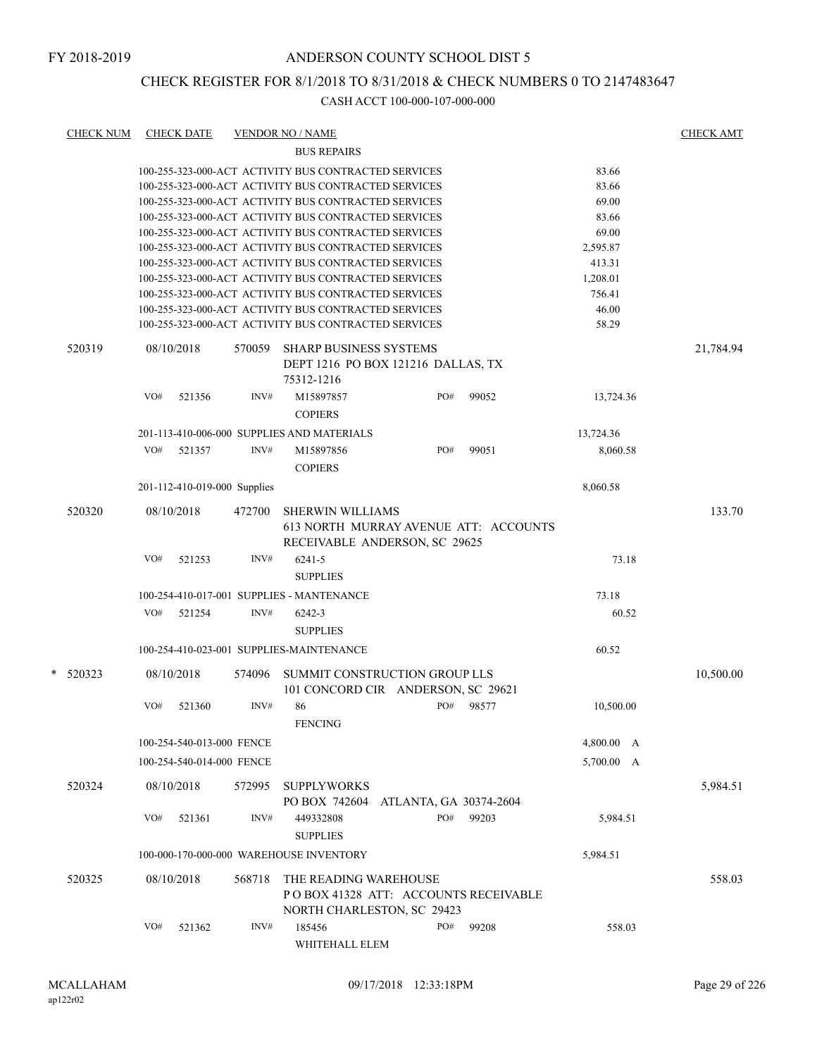## CHECK REGISTER FOR 8/1/2018 TO 8/31/2018 & CHECK NUMBERS 0 TO 2147483647

| <b>CHECK NUM</b> |     | <b>CHECK DATE</b>            |        | <b>VENDOR NO / NAME</b>                              |     |       |            | <b>CHECK AMT</b> |
|------------------|-----|------------------------------|--------|------------------------------------------------------|-----|-------|------------|------------------|
|                  |     |                              |        | <b>BUS REPAIRS</b>                                   |     |       |            |                  |
|                  |     |                              |        | 100-255-323-000-ACT ACTIVITY BUS CONTRACTED SERVICES |     |       | 83.66      |                  |
|                  |     |                              |        | 100-255-323-000-ACT ACTIVITY BUS CONTRACTED SERVICES |     |       | 83.66      |                  |
|                  |     |                              |        | 100-255-323-000-ACT ACTIVITY BUS CONTRACTED SERVICES |     |       | 69.00      |                  |
|                  |     |                              |        | 100-255-323-000-ACT ACTIVITY BUS CONTRACTED SERVICES |     |       | 83.66      |                  |
|                  |     |                              |        | 100-255-323-000-ACT ACTIVITY BUS CONTRACTED SERVICES |     |       | 69.00      |                  |
|                  |     |                              |        | 100-255-323-000-ACT ACTIVITY BUS CONTRACTED SERVICES |     |       | 2,595.87   |                  |
|                  |     |                              |        | 100-255-323-000-ACT ACTIVITY BUS CONTRACTED SERVICES |     |       | 413.31     |                  |
|                  |     |                              |        | 100-255-323-000-ACT ACTIVITY BUS CONTRACTED SERVICES |     |       | 1,208.01   |                  |
|                  |     |                              |        | 100-255-323-000-ACT ACTIVITY BUS CONTRACTED SERVICES |     |       | 756.41     |                  |
|                  |     |                              |        | 100-255-323-000-ACT ACTIVITY BUS CONTRACTED SERVICES |     |       | 46.00      |                  |
|                  |     |                              |        | 100-255-323-000-ACT ACTIVITY BUS CONTRACTED SERVICES |     |       | 58.29      |                  |
| 520319           |     | 08/10/2018                   | 570059 | <b>SHARP BUSINESS SYSTEMS</b>                        |     |       |            | 21,784.94        |
|                  |     |                              |        | DEPT 1216 PO BOX 121216 DALLAS, TX                   |     |       |            |                  |
|                  |     |                              |        | 75312-1216                                           |     |       |            |                  |
|                  | VO# | 521356                       | INV#   | M15897857                                            | PO# | 99052 | 13,724.36  |                  |
|                  |     |                              |        | <b>COPIERS</b>                                       |     |       |            |                  |
|                  |     |                              |        | 201-113-410-006-000 SUPPLIES AND MATERIALS           |     |       | 13,724.36  |                  |
|                  | VO# | 521357                       | INV#   | M15897856                                            | PO# | 99051 | 8,060.58   |                  |
|                  |     |                              |        | <b>COPIERS</b>                                       |     |       |            |                  |
|                  |     | 201-112-410-019-000 Supplies |        |                                                      |     |       | 8,060.58   |                  |
|                  |     |                              |        |                                                      |     |       |            |                  |
| 520320           |     | 08/10/2018                   | 472700 | <b>SHERWIN WILLIAMS</b>                              |     |       |            | 133.70           |
|                  |     |                              |        | 613 NORTH MURRAY AVENUE ATT: ACCOUNTS                |     |       |            |                  |
|                  |     |                              |        | RECEIVABLE ANDERSON, SC 29625                        |     |       |            |                  |
|                  | VO# | 521253                       | INV#   | 6241-5                                               |     |       | 73.18      |                  |
|                  |     |                              |        | <b>SUPPLIES</b>                                      |     |       |            |                  |
|                  |     |                              |        | 100-254-410-017-001 SUPPLIES - MANTENANCE            |     |       | 73.18      |                  |
|                  | VO# | 521254                       | INV#   | 6242-3                                               |     |       | 60.52      |                  |
|                  |     |                              |        | <b>SUPPLIES</b>                                      |     |       |            |                  |
|                  |     |                              |        | 100-254-410-023-001 SUPPLIES-MAINTENANCE             |     |       | 60.52      |                  |
| $*$ 520323       |     | 08/10/2018                   | 574096 | SUMMIT CONSTRUCTION GROUP LLS                        |     |       |            | 10,500.00        |
|                  |     |                              |        | 101 CONCORD CIR ANDERSON, SC 29621                   |     |       |            |                  |
|                  | VO# | 521360                       | INV#   | 86                                                   | PO# | 98577 | 10,500.00  |                  |
|                  |     |                              |        | <b>FENCING</b>                                       |     |       |            |                  |
|                  |     |                              |        |                                                      |     |       |            |                  |
|                  |     | 100-254-540-013-000 FENCE    |        |                                                      |     |       | 4,800.00 A |                  |
|                  |     | 100-254-540-014-000 FENCE    |        |                                                      |     |       | 5,700.00 A |                  |
| 520324           |     | 08/10/2018                   | 572995 | <b>SUPPLYWORKS</b>                                   |     |       |            | 5,984.51         |
|                  |     |                              |        | PO BOX 742604 ATLANTA, GA 30374-2604                 |     |       |            |                  |
|                  | VO# | 521361                       | INV#   | 449332808                                            | PO# | 99203 | 5,984.51   |                  |
|                  |     |                              |        | <b>SUPPLIES</b>                                      |     |       |            |                  |
|                  |     |                              |        | 100-000-170-000-000 WAREHOUSE INVENTORY              |     |       | 5,984.51   |                  |
|                  |     |                              |        |                                                      |     |       |            |                  |
| 520325           |     | 08/10/2018                   | 568718 | THE READING WAREHOUSE                                |     |       |            | 558.03           |
|                  |     |                              |        | POBOX 41328 ATT: ACCOUNTS RECEIVABLE                 |     |       |            |                  |
|                  |     |                              |        | NORTH CHARLESTON, SC 29423                           |     |       |            |                  |
|                  | VO# | 521362                       | INV#   | 185456                                               | PO# | 99208 | 558.03     |                  |
|                  |     |                              |        | WHITEHALL ELEM                                       |     |       |            |                  |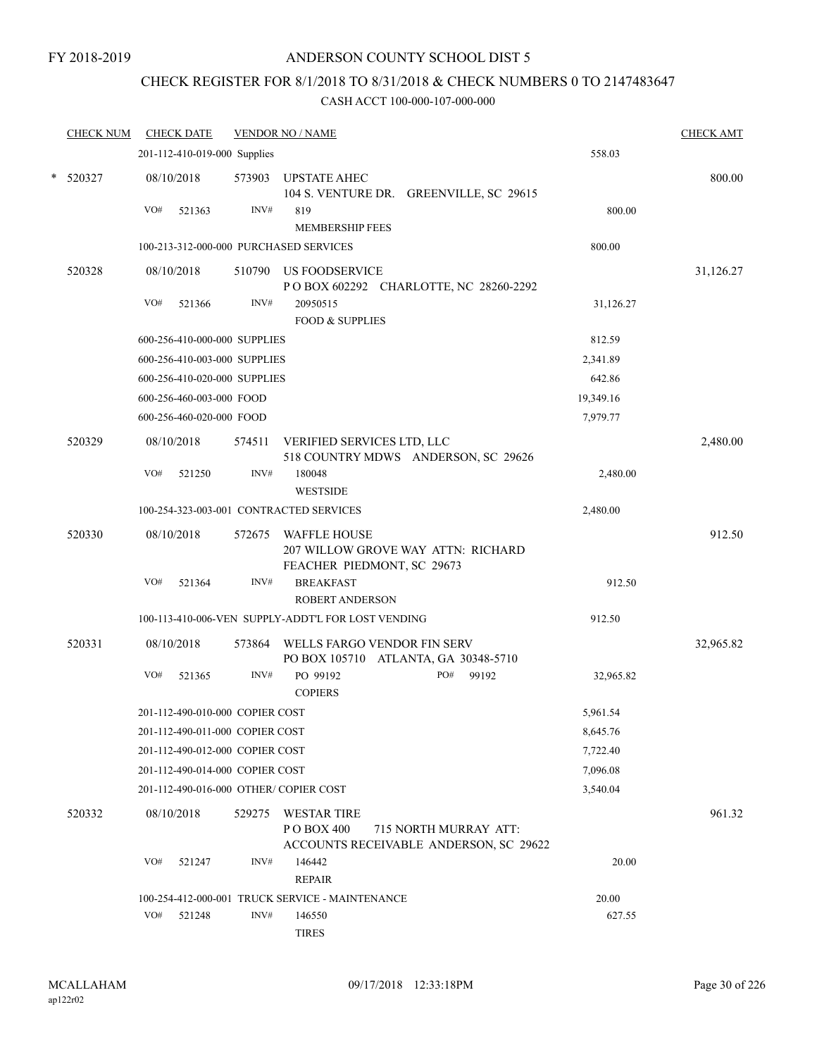## CHECK REGISTER FOR 8/1/2018 TO 8/31/2018 & CHECK NUMBERS 0 TO 2147483647

|   | <b>CHECK NUM</b> |     | <b>CHECK DATE</b>               |        | <b>VENDOR NO / NAME</b>                                                                 |     |                       |           | <b>CHECK AMT</b> |
|---|------------------|-----|---------------------------------|--------|-----------------------------------------------------------------------------------------|-----|-----------------------|-----------|------------------|
|   |                  |     | 201-112-410-019-000 Supplies    |        |                                                                                         |     |                       | 558.03    |                  |
| * | 520327           |     | 08/10/2018                      | 573903 | <b>UPSTATE AHEC</b><br>104 S. VENTURE DR. GREENVILLE, SC 29615                          |     |                       |           | 800.00           |
|   |                  | VO# | 521363                          | INV#   | 819<br><b>MEMBERSHIP FEES</b>                                                           |     |                       | 800.00    |                  |
|   |                  |     |                                 |        | 100-213-312-000-000 PURCHASED SERVICES                                                  |     |                       | 800.00    |                  |
|   | 520328           |     | 08/10/2018                      |        | 510790 US FOODSERVICE<br>POBOX 602292 CHARLOTTE, NC 28260-2292                          |     |                       |           | 31,126.27        |
|   |                  | VO# | 521366                          | INV#   | 20950515<br><b>FOOD &amp; SUPPLIES</b>                                                  |     |                       | 31,126.27 |                  |
|   |                  |     | 600-256-410-000-000 SUPPLIES    |        |                                                                                         |     |                       | 812.59    |                  |
|   |                  |     | 600-256-410-003-000 SUPPLIES    |        |                                                                                         |     |                       | 2,341.89  |                  |
|   |                  |     | 600-256-410-020-000 SUPPLIES    |        |                                                                                         |     |                       | 642.86    |                  |
|   |                  |     | 600-256-460-003-000 FOOD        |        |                                                                                         |     |                       | 19,349.16 |                  |
|   |                  |     | 600-256-460-020-000 FOOD        |        |                                                                                         |     |                       | 7,979.77  |                  |
|   | 520329           |     | 08/10/2018                      | 574511 | VERIFIED SERVICES LTD, LLC<br>518 COUNTRY MDWS ANDERSON, SC 29626                       |     |                       |           | 2,480.00         |
|   |                  | VO# | 521250                          | INV#   | 180048<br><b>WESTSIDE</b>                                                               |     |                       | 2,480.00  |                  |
|   |                  |     |                                 |        | 100-254-323-003-001 CONTRACTED SERVICES                                                 |     |                       | 2,480.00  |                  |
|   | 520330           |     | 08/10/2018                      | 572675 | <b>WAFFLE HOUSE</b><br>207 WILLOW GROVE WAY ATTN: RICHARD<br>FEACHER PIEDMONT, SC 29673 |     |                       |           | 912.50           |
|   |                  | VO# | 521364                          | INV#   | <b>BREAKFAST</b><br><b>ROBERT ANDERSON</b>                                              |     |                       | 912.50    |                  |
|   |                  |     |                                 |        | 100-113-410-006-VEN SUPPLY-ADDT'L FOR LOST VENDING                                      |     |                       | 912.50    |                  |
|   | 520331           |     | 08/10/2018                      | 573864 | WELLS FARGO VENDOR FIN SERV<br>PO BOX 105710 ATLANTA, GA 30348-5710                     |     |                       |           | 32,965.82        |
|   |                  | VO# | 521365                          | INV#   | PO 99192<br><b>COPIERS</b>                                                              | PO# | 99192                 | 32,965.82 |                  |
|   |                  |     | 201-112-490-010-000 COPIER COST |        |                                                                                         |     |                       | 5,961.54  |                  |
|   |                  |     | 201-112-490-011-000 COPIER COST |        |                                                                                         |     |                       | 8,645.76  |                  |
|   |                  |     | 201-112-490-012-000 COPIER COST |        |                                                                                         |     |                       | 7,722.40  |                  |
|   |                  |     | 201-112-490-014-000 COPIER COST |        |                                                                                         |     |                       | 7,096.08  |                  |
|   |                  |     |                                 |        | 201-112-490-016-000 OTHER/ COPIER COST                                                  |     |                       | 3,540.04  |                  |
|   | 520332           |     | 08/10/2018                      | 529275 | <b>WESTAR TIRE</b><br>PO BOX 400<br>ACCOUNTS RECEIVABLE ANDERSON, SC 29622              |     | 715 NORTH MURRAY ATT: |           | 961.32           |
|   |                  | VO# | 521247                          | INV#   | 146442<br><b>REPAIR</b>                                                                 |     |                       | 20.00     |                  |
|   |                  |     |                                 |        | 100-254-412-000-001 TRUCK SERVICE - MAINTENANCE                                         |     |                       | 20.00     |                  |
|   |                  | VO# | 521248                          | INV#   | 146550<br><b>TIRES</b>                                                                  |     |                       | 627.55    |                  |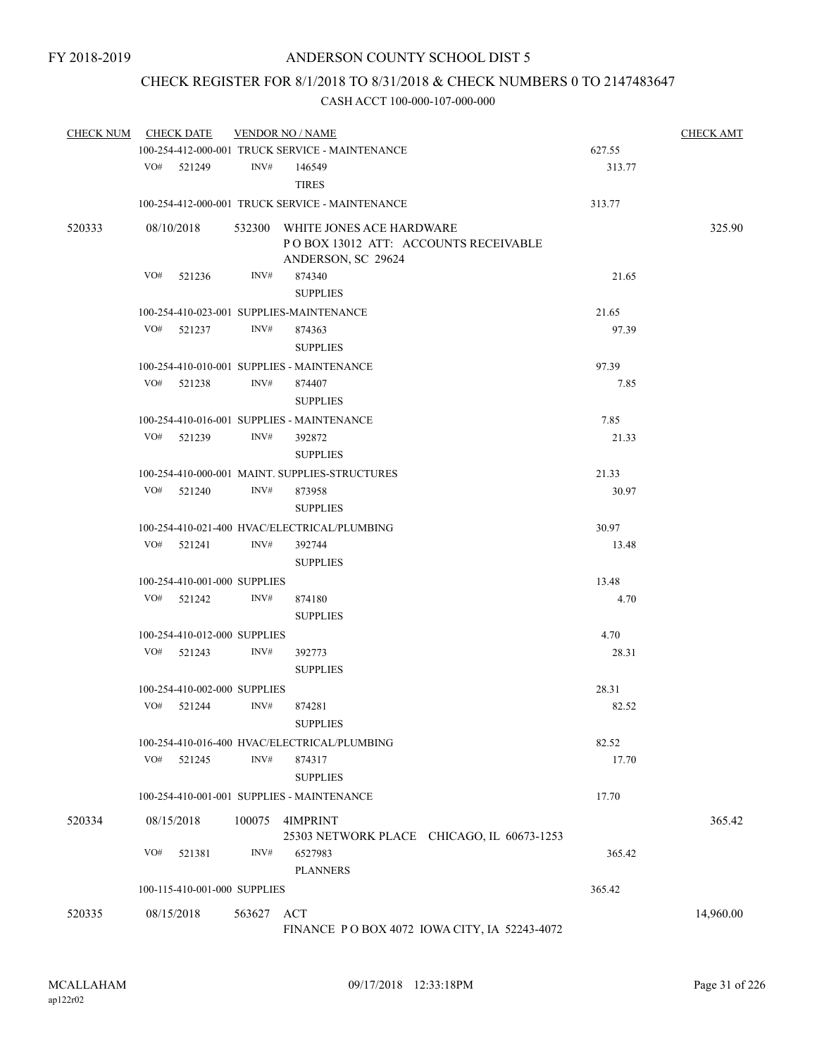# CHECK REGISTER FOR 8/1/2018 TO 8/31/2018 & CHECK NUMBERS 0 TO 2147483647

| <b>CHECK NUM</b> |     | <b>CHECK DATE</b>            |            | <b>VENDOR NO / NAME</b>                                                  |        | <b>CHECK AMT</b> |
|------------------|-----|------------------------------|------------|--------------------------------------------------------------------------|--------|------------------|
|                  |     |                              |            | 100-254-412-000-001 TRUCK SERVICE - MAINTENANCE                          | 627.55 |                  |
|                  |     | VO# 521249                   | INV#       | 146549<br><b>TIRES</b>                                                   | 313.77 |                  |
|                  |     |                              |            | 100-254-412-000-001 TRUCK SERVICE - MAINTENANCE                          | 313.77 |                  |
| 520333           |     | 08/10/2018                   |            | 532300 WHITE JONES ACE HARDWARE<br>PO BOX 13012 ATT: ACCOUNTS RECEIVABLE |        | 325.90           |
|                  |     |                              |            | ANDERSON, SC 29624                                                       |        |                  |
|                  | VO# | 521236                       | INV#       | 874340<br><b>SUPPLIES</b>                                                | 21.65  |                  |
|                  |     |                              |            | 100-254-410-023-001 SUPPLIES-MAINTENANCE                                 | 21.65  |                  |
|                  | VO# | 521237                       | INV#       | 874363<br><b>SUPPLIES</b>                                                | 97.39  |                  |
|                  |     |                              |            | 100-254-410-010-001 SUPPLIES - MAINTENANCE                               | 97.39  |                  |
|                  | VO# | 521238                       | INV#       | 874407                                                                   | 7.85   |                  |
|                  |     |                              |            | <b>SUPPLIES</b>                                                          |        |                  |
|                  |     |                              |            | 100-254-410-016-001 SUPPLIES - MAINTENANCE                               | 7.85   |                  |
|                  | VO# | 521239                       | INV#       | 392872<br><b>SUPPLIES</b>                                                | 21.33  |                  |
|                  |     |                              |            | 100-254-410-000-001 MAINT. SUPPLIES-STRUCTURES                           | 21.33  |                  |
|                  | VO# | 521240                       | INV#       | 873958                                                                   | 30.97  |                  |
|                  |     |                              |            | <b>SUPPLIES</b>                                                          |        |                  |
|                  |     |                              |            | 100-254-410-021-400 HVAC/ELECTRICAL/PLUMBING                             | 30.97  |                  |
|                  | VO# | 521241                       | INV#       | 392744                                                                   | 13.48  |                  |
|                  |     |                              |            | <b>SUPPLIES</b>                                                          |        |                  |
|                  |     | 100-254-410-001-000 SUPPLIES |            |                                                                          | 13.48  |                  |
|                  |     | $VO#$ 521242                 | INV#       | 874180                                                                   | 4.70   |                  |
|                  |     |                              |            | <b>SUPPLIES</b>                                                          |        |                  |
|                  |     | 100-254-410-012-000 SUPPLIES |            |                                                                          | 4.70   |                  |
|                  | VO# | 521243                       | INV#       | 392773                                                                   | 28.31  |                  |
|                  |     |                              |            | <b>SUPPLIES</b>                                                          |        |                  |
|                  |     | 100-254-410-002-000 SUPPLIES |            |                                                                          | 28.31  |                  |
|                  | VO# | 521244                       | INV#       | 874281<br><b>SUPPLIES</b>                                                | 82.52  |                  |
|                  |     |                              |            | 100-254-410-016-400 HVAC/ELECTRICAL/PLUMBING                             | 82.52  |                  |
|                  | VO# | 521245                       | INV#       | 874317<br><b>SUPPLIES</b>                                                | 17.70  |                  |
|                  |     |                              |            | 100-254-410-001-001 SUPPLIES - MAINTENANCE                               | 17.70  |                  |
| 520334           |     | 08/15/2018                   | 100075     | 4IMPRINT                                                                 |        | 365.42           |
|                  |     |                              |            | 25303 NETWORK PLACE CHICAGO, IL 60673-1253                               |        |                  |
|                  | VO# | 521381                       | INV#       | 6527983<br><b>PLANNERS</b>                                               | 365.42 |                  |
|                  |     | 100-115-410-001-000 SUPPLIES |            |                                                                          | 365.42 |                  |
| 520335           |     | 08/15/2018                   | 563627 ACT |                                                                          |        | 14,960.00        |
|                  |     |                              |            | FINANCE PO BOX 4072 IOWA CITY, IA 52243-4072                             |        |                  |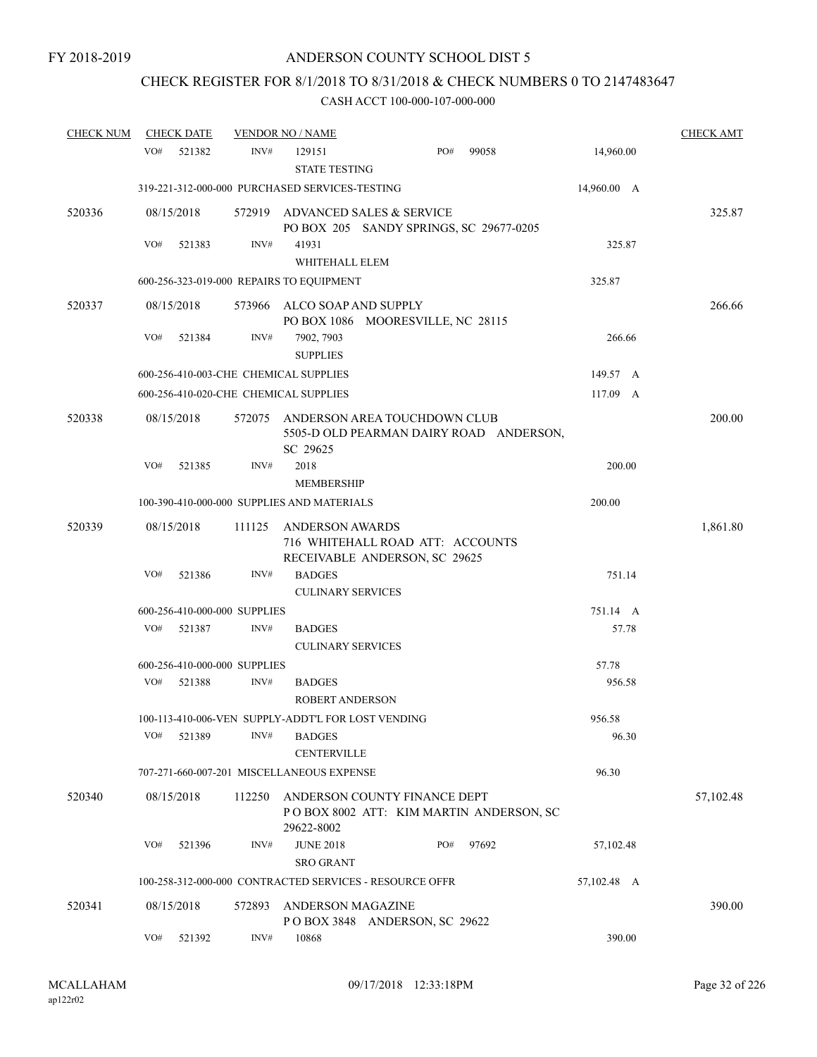# CHECK REGISTER FOR 8/1/2018 TO 8/31/2018 & CHECK NUMBERS 0 TO 2147483647

| <b>CHECK NUM</b> | <b>CHECK DATE</b>                                  |        | <b>VENDOR NO / NAME</b>              |                                                                            |             | <b>CHECK AMT</b> |
|------------------|----------------------------------------------------|--------|--------------------------------------|----------------------------------------------------------------------------|-------------|------------------|
|                  | VO#<br>521382                                      | INV#   | 129151<br><b>STATE TESTING</b>       | PO#<br>99058                                                               | 14,960.00   |                  |
|                  | 319-221-312-000-000 PURCHASED SERVICES-TESTING     |        |                                      |                                                                            | 14,960.00 A |                  |
| 520336           | 08/15/2018                                         |        |                                      | 572919 ADVANCED SALES & SERVICE<br>PO BOX 205 SANDY SPRINGS, SC 29677-0205 |             | 325.87           |
|                  | VO#<br>521383                                      | INV#   | 41931<br>WHITEHALL ELEM              |                                                                            | 325.87      |                  |
|                  | 600-256-323-019-000 REPAIRS TO EQUIPMENT           |        |                                      |                                                                            | 325.87      |                  |
| 520337           | 08/15/2018                                         | 573966 | ALCO SOAP AND SUPPLY                 | PO BOX 1086 MOORESVILLE, NC 28115                                          |             | 266.66           |
|                  | VO#<br>521384                                      | INV#   | 7902, 7903<br><b>SUPPLIES</b>        |                                                                            | 266.66      |                  |
|                  | 600-256-410-003-CHE CHEMICAL SUPPLIES              |        |                                      |                                                                            | 149.57 A    |                  |
|                  | 600-256-410-020-CHE CHEMICAL SUPPLIES              |        |                                      |                                                                            | 117.09 A    |                  |
| 520338           | 08/15/2018                                         | 572075 | SC 29625                             | ANDERSON AREA TOUCHDOWN CLUB<br>5505-D OLD PEARMAN DAIRY ROAD ANDERSON,    |             | 200.00           |
|                  | VO#<br>521385                                      | INV#   | 2018                                 |                                                                            | 200.00      |                  |
|                  |                                                    |        | <b>MEMBERSHIP</b>                    |                                                                            |             |                  |
|                  | 100-390-410-000-000 SUPPLIES AND MATERIALS         |        |                                      |                                                                            | 200.00      |                  |
| 520339           | 08/15/2018                                         | 111125 | <b>ANDERSON AWARDS</b>               | 716 WHITEHALL ROAD ATT: ACCOUNTS<br>RECEIVABLE ANDERSON, SC 29625          |             | 1,861.80         |
|                  | VO#<br>521386                                      | INV#   | <b>BADGES</b>                        |                                                                            | 751.14      |                  |
|                  |                                                    |        | <b>CULINARY SERVICES</b>             |                                                                            |             |                  |
|                  | 600-256-410-000-000 SUPPLIES                       |        |                                      |                                                                            | 751.14 A    |                  |
|                  | VO#<br>521387                                      | INV#   | <b>BADGES</b>                        |                                                                            | 57.78       |                  |
|                  |                                                    |        | <b>CULINARY SERVICES</b>             |                                                                            |             |                  |
|                  | 600-256-410-000-000 SUPPLIES                       |        |                                      |                                                                            | 57.78       |                  |
|                  | VO#<br>521388                                      | INV#   | <b>BADGES</b><br>ROBERT ANDERSON     |                                                                            | 956.58      |                  |
|                  | 100-113-410-006-VEN SUPPLY-ADDT'L FOR LOST VENDING |        |                                      |                                                                            | 956.58      |                  |
|                  | VO#<br>521389                                      | INV#   | <b>BADGES</b><br><b>CENTERVILLE</b>  |                                                                            | 96.30       |                  |
|                  | 707-271-660-007-201 MISCELLANEOUS EXPENSE          |        |                                      |                                                                            | 96.30       |                  |
| 520340           | 08/15/2018                                         | 112250 | 29622-8002                           | ANDERSON COUNTY FINANCE DEPT<br>POBOX 8002 ATT: KIM MARTIN ANDERSON, SC    |             | 57,102.48        |
|                  | VO#<br>521396                                      | INV#   | <b>JUNE 2018</b><br><b>SRO GRANT</b> | PO#<br>97692                                                               | 57,102.48   |                  |
|                  |                                                    |        |                                      | 100-258-312-000-000 CONTRACTED SERVICES - RESOURCE OFFR                    | 57,102.48 A |                  |
| 520341           | 08/15/2018                                         | 572893 | <b>ANDERSON MAGAZINE</b>             | POBOX 3848 ANDERSON, SC 29622                                              |             | 390.00           |
|                  | VO#<br>521392                                      | INV#   | 10868                                |                                                                            | 390.00      |                  |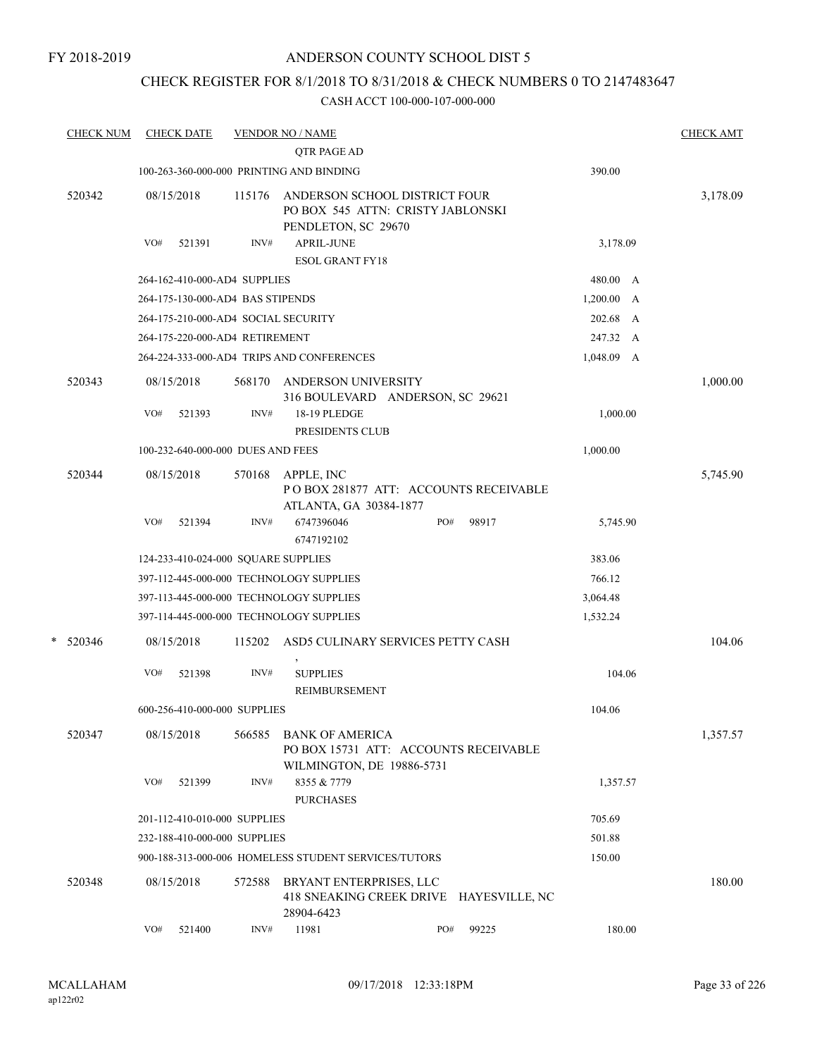## CHECK REGISTER FOR 8/1/2018 TO 8/31/2018 & CHECK NUMBERS 0 TO 2147483647

|   | <b>CHECK NUM</b> |     | <b>CHECK DATE</b> |                                     | <b>VENDOR NO / NAME</b><br>QTR PAGE AD                                                       |     |                                         |              | <b>CHECK AMT</b> |
|---|------------------|-----|-------------------|-------------------------------------|----------------------------------------------------------------------------------------------|-----|-----------------------------------------|--------------|------------------|
|   |                  |     |                   |                                     | 100-263-360-000-000 PRINTING AND BINDING                                                     |     |                                         | 390.00       |                  |
|   |                  |     |                   |                                     |                                                                                              |     |                                         |              |                  |
|   | 520342           |     | 08/15/2018        | 115176                              | ANDERSON SCHOOL DISTRICT FOUR<br>PO BOX 545 ATTN: CRISTY JABLONSKI<br>PENDLETON, SC 29670    |     |                                         |              | 3,178.09         |
|   |                  | VO# | 521391            | INV#                                | <b>APRIL-JUNE</b>                                                                            |     |                                         | 3,178.09     |                  |
|   |                  |     |                   |                                     | <b>ESOL GRANT FY18</b>                                                                       |     |                                         |              |                  |
|   |                  |     |                   | 264-162-410-000-AD4 SUPPLIES        |                                                                                              |     |                                         | 480.00 A     |                  |
|   |                  |     |                   | 264-175-130-000-AD4 BAS STIPENDS    |                                                                                              |     |                                         | 1,200.00 A   |                  |
|   |                  |     |                   |                                     | 264-175-210-000-AD4 SOCIAL SECURITY                                                          |     |                                         | 202.68 A     |                  |
|   |                  |     |                   | 264-175-220-000-AD4 RETIREMENT      |                                                                                              |     |                                         | 247.32 A     |                  |
|   |                  |     |                   |                                     | 264-224-333-000-AD4 TRIPS AND CONFERENCES                                                    |     |                                         | $1,048.09$ A |                  |
|   | 520343           |     | 08/15/2018        | 568170                              | ANDERSON UNIVERSITY<br>316 BOULEVARD ANDERSON, SC 29621                                      |     |                                         |              | 1,000.00         |
|   |                  | VO# | 521393            | INV#                                | 18-19 PLEDGE                                                                                 |     |                                         | 1,000.00     |                  |
|   |                  |     |                   |                                     | PRESIDENTS CLUB                                                                              |     |                                         |              |                  |
|   |                  |     |                   | 100-232-640-000-000 DUES AND FEES   |                                                                                              |     |                                         | 1,000.00     |                  |
|   | 520344           |     | 08/15/2018        | 570168                              | APPLE, INC<br>PO BOX 281877 ATT: ACCOUNTS RECEIVABLE<br>ATLANTA, GA 30384-1877               |     |                                         |              | 5,745.90         |
|   |                  | VO# | 521394            | INV#                                | 6747396046<br>6747192102                                                                     | PO# | 98917                                   | 5,745.90     |                  |
|   |                  |     |                   | 124-233-410-024-000 SQUARE SUPPLIES |                                                                                              |     |                                         | 383.06       |                  |
|   |                  |     |                   |                                     | 397-112-445-000-000 TECHNOLOGY SUPPLIES                                                      |     |                                         | 766.12       |                  |
|   |                  |     |                   |                                     | 397-113-445-000-000 TECHNOLOGY SUPPLIES                                                      |     |                                         | 3,064.48     |                  |
|   |                  |     |                   |                                     | 397-114-445-000-000 TECHNOLOGY SUPPLIES                                                      |     |                                         | 1,532.24     |                  |
| * | 520346           |     | 08/15/2018        | 115202                              | ASD5 CULINARY SERVICES PETTY CASH                                                            |     |                                         |              | 104.06           |
|   |                  | VO# | 521398            | INV#                                | $\,$<br><b>SUPPLIES</b><br>REIMBURSEMENT                                                     |     |                                         | 104.06       |                  |
|   |                  |     |                   | 600-256-410-000-000 SUPPLIES        |                                                                                              |     |                                         | 104.06       |                  |
|   | 520347           |     | 08/15/2018        | 566585                              | <b>BANK OF AMERICA</b><br>PO BOX 15731 ATT: ACCOUNTS RECEIVABLE<br>WILMINGTON, DE 19886-5731 |     |                                         |              | 1,357.57         |
|   |                  | VO# | 521399            | INV#                                | 8355 & 7779<br><b>PURCHASES</b>                                                              |     |                                         | 1,357.57     |                  |
|   |                  |     |                   | 201-112-410-010-000 SUPPLIES        |                                                                                              |     |                                         | 705.69       |                  |
|   |                  |     |                   | 232-188-410-000-000 SUPPLIES        |                                                                                              |     |                                         | 501.88       |                  |
|   |                  |     |                   |                                     | 900-188-313-000-006 HOMELESS STUDENT SERVICES/TUTORS                                         |     |                                         | 150.00       |                  |
|   | 520348           |     | 08/15/2018        | 572588                              | BRYANT ENTERPRISES, LLC<br>28904-6423                                                        |     | 418 SNEAKING CREEK DRIVE HAYESVILLE, NC |              | 180.00           |
|   |                  | VO# | 521400            | INV#                                | 11981                                                                                        | PO# | 99225                                   | 180.00       |                  |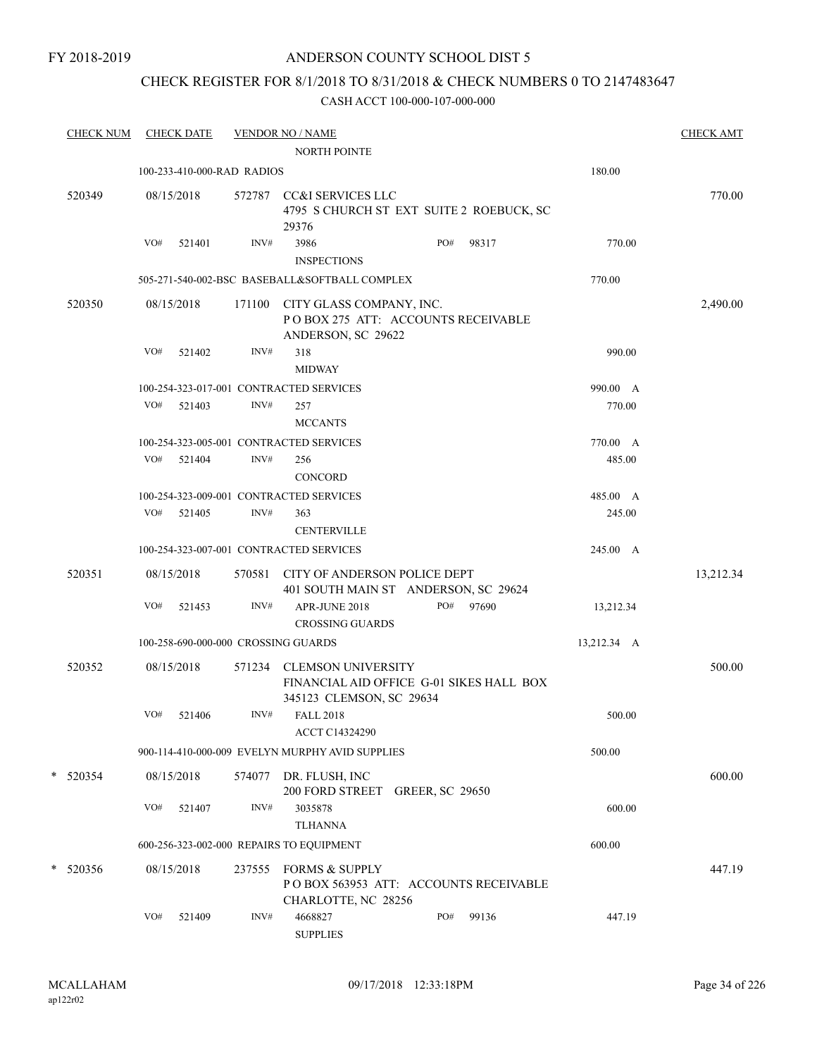## CHECK REGISTER FOR 8/1/2018 TO 8/31/2018 & CHECK NUMBERS 0 TO 2147483647

|            | <b>CHECK NUM</b> |     | <b>CHECK DATE</b>          |        | <b>VENDOR NO / NAME</b><br><b>NORTH POINTE</b>                                                    |     |       |             | <b>CHECK AMT</b> |
|------------|------------------|-----|----------------------------|--------|---------------------------------------------------------------------------------------------------|-----|-------|-------------|------------------|
|            |                  |     | 100-233-410-000-RAD RADIOS |        |                                                                                                   |     |       | 180.00      |                  |
| 520349     |                  |     | 08/15/2018                 |        | 572787 CC&I SERVICES LLC<br>4795 S CHURCH ST EXT SUITE 2 ROEBUCK, SC<br>29376                     |     |       |             | 770.00           |
|            |                  | VO# | 521401                     | INV#   | 3986<br><b>INSPECTIONS</b>                                                                        | PO# | 98317 | 770.00      |                  |
|            |                  |     |                            |        | 505-271-540-002-BSC BASEBALL&SOFTBALL COMPLEX                                                     |     |       | 770.00      |                  |
| 520350     |                  |     | 08/15/2018                 | 171100 | CITY GLASS COMPANY, INC.<br>POBOX 275 ATT: ACCOUNTS RECEIVABLE<br>ANDERSON, SC 29622              |     |       |             | 2,490.00         |
|            |                  | VO# | 521402                     | INV#   | 318<br><b>MIDWAY</b>                                                                              |     |       | 990.00      |                  |
|            |                  |     |                            |        | 100-254-323-017-001 CONTRACTED SERVICES                                                           |     |       | 990.00 A    |                  |
|            |                  |     | VO# 521403                 | INV#   | 257<br><b>MCCANTS</b>                                                                             |     |       | 770.00      |                  |
|            |                  |     |                            |        | 100-254-323-005-001 CONTRACTED SERVICES                                                           |     |       | 770.00 A    |                  |
|            |                  | VO# | 521404                     | INV#   | 256<br><b>CONCORD</b>                                                                             |     |       | 485.00      |                  |
|            |                  |     |                            |        | 100-254-323-009-001 CONTRACTED SERVICES                                                           |     |       | 485.00 A    |                  |
|            |                  | VO# | 521405                     | INV#   | 363<br><b>CENTERVILLE</b>                                                                         |     |       | 245.00      |                  |
|            |                  |     |                            |        | 100-254-323-007-001 CONTRACTED SERVICES                                                           |     |       | 245.00 A    |                  |
| 520351     |                  |     | 08/15/2018                 |        | 570581 CITY OF ANDERSON POLICE DEPT<br>401 SOUTH MAIN ST ANDERSON, SC 29624                       |     |       |             | 13,212.34        |
|            |                  | VO# | 521453                     | INV#   | APR-JUNE 2018<br><b>CROSSING GUARDS</b>                                                           | PO# | 97690 | 13,212.34   |                  |
|            |                  |     |                            |        | 100-258-690-000-000 CROSSING GUARDS                                                               |     |       | 13,212.34 A |                  |
| 520352     |                  |     | 08/15/2018                 | 571234 | <b>CLEMSON UNIVERSITY</b><br>FINANCIAL AID OFFICE G-01 SIKES HALL BOX<br>345123 CLEMSON, SC 29634 |     |       |             | 500.00           |
|            |                  | VO# | 521406                     | INV#   | <b>FALL 2018</b><br>ACCT C14324290                                                                |     |       | 500.00      |                  |
|            |                  |     |                            |        | 900-114-410-000-009 EVELYN MURPHY AVID SUPPLIES                                                   |     |       | 500.00      |                  |
| $*$ 520354 |                  |     | 08/15/2018                 | 574077 | DR. FLUSH, INC<br>200 FORD STREET GREER, SC 29650                                                 |     |       |             | 600.00           |
|            |                  | VO# | 521407                     | INV#   | 3035878<br><b>TLHANNA</b>                                                                         |     |       | 600.00      |                  |
|            |                  |     |                            |        | 600-256-323-002-000 REPAIRS TO EQUIPMENT                                                          |     |       | 600.00      |                  |
| $*$ 520356 |                  |     | 08/15/2018                 | 237555 | <b>FORMS &amp; SUPPLY</b><br>POBOX 563953 ATT: ACCOUNTS RECEIVABLE<br>CHARLOTTE, NC 28256         |     |       |             | 447.19           |
|            |                  | VO# | 521409                     | INV#   | 4668827<br><b>SUPPLIES</b>                                                                        | PO# | 99136 | 447.19      |                  |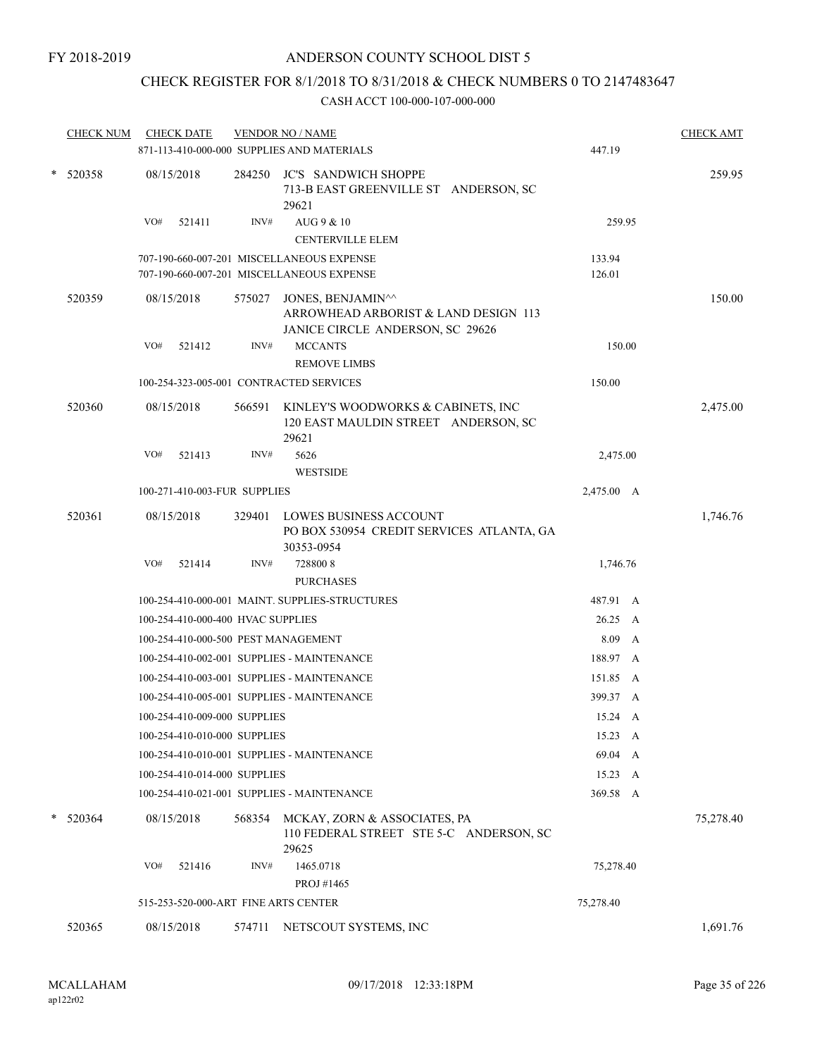## CHECK REGISTER FOR 8/1/2018 TO 8/31/2018 & CHECK NUMBERS 0 TO 2147483647

|   | <b>CHECK NUM</b> | <b>CHECK DATE</b>                       |                                      | <b>VENDOR NO / NAME</b><br>871-113-410-000-000 SUPPLIES AND MATERIALS                         | 447.19     | <b>CHECK AMT</b> |
|---|------------------|-----------------------------------------|--------------------------------------|-----------------------------------------------------------------------------------------------|------------|------------------|
| * | 520358           | 08/15/2018                              | 284250                               | <b>JC'S SANDWICH SHOPPE</b><br>713-B EAST GREENVILLE ST ANDERSON, SC<br>29621                 |            | 259.95           |
|   |                  | VO#<br>521411                           | INV#                                 | AUG 9 & 10<br>CENTERVILLE ELEM                                                                | 259.95     |                  |
|   |                  |                                         |                                      | 707-190-660-007-201 MISCELLANEOUS EXPENSE                                                     | 133.94     |                  |
|   |                  |                                         |                                      | 707-190-660-007-201 MISCELLANEOUS EXPENSE                                                     | 126.01     |                  |
|   | 520359           | 08/15/2018                              | 575027                               | JONES, BENJAMIN^^<br>ARROWHEAD ARBORIST & LAND DESIGN 113<br>JANICE CIRCLE ANDERSON, SC 29626 |            | 150.00           |
|   |                  | VO#<br>521412                           | INV#                                 | <b>MCCANTS</b>                                                                                | 150.00     |                  |
|   |                  |                                         |                                      | <b>REMOVE LIMBS</b>                                                                           |            |                  |
|   |                  | 100-254-323-005-001 CONTRACTED SERVICES |                                      |                                                                                               | 150.00     |                  |
|   | 520360           | 08/15/2018                              | 566591                               | KINLEY'S WOODWORKS & CABINETS, INC<br>120 EAST MAULDIN STREET ANDERSON, SC<br>29621           |            | 2,475.00         |
|   |                  | VO#<br>521413                           | INV#                                 | 5626<br><b>WESTSIDE</b>                                                                       | 2,475.00   |                  |
|   |                  | 100-271-410-003-FUR SUPPLIES            |                                      |                                                                                               | 2,475.00 A |                  |
|   | 520361           | 08/15/2018                              | 329401                               | <b>LOWES BUSINESS ACCOUNT</b><br>PO BOX 530954 CREDIT SERVICES ATLANTA, GA                    |            | 1,746.76         |
|   |                  | VO#<br>521414                           | INV#                                 | 30353-0954<br>7288008                                                                         | 1,746.76   |                  |
|   |                  |                                         |                                      | <b>PURCHASES</b>                                                                              |            |                  |
|   |                  |                                         |                                      | 100-254-410-000-001 MAINT. SUPPLIES-STRUCTURES                                                | 487.91 A   |                  |
|   |                  | 100-254-410-000-400 HVAC SUPPLIES       |                                      |                                                                                               | 26.25 A    |                  |
|   |                  | 100-254-410-000-500 PEST MANAGEMENT     |                                      |                                                                                               | 8.09 A     |                  |
|   |                  |                                         |                                      | 100-254-410-002-001 SUPPLIES - MAINTENANCE                                                    | 188.97 A   |                  |
|   |                  |                                         |                                      | 100-254-410-003-001 SUPPLIES - MAINTENANCE                                                    | 151.85 A   |                  |
|   |                  |                                         |                                      | 100-254-410-005-001 SUPPLIES - MAINTENANCE                                                    | 399.37 A   |                  |
|   |                  | 100-254-410-009-000 SUPPLIES            |                                      |                                                                                               | 15.24 A    |                  |
|   |                  |                                         |                                      |                                                                                               |            |                  |
|   |                  | 100-254-410-010-000 SUPPLIES            |                                      |                                                                                               | 15.23 A    |                  |
|   |                  |                                         |                                      | 100-254-410-010-001 SUPPLIES - MAINTENANCE                                                    | 69.04 A    |                  |
|   |                  | 100-254-410-014-000 SUPPLIES            |                                      |                                                                                               | 15.23 A    |                  |
|   |                  |                                         |                                      | 100-254-410-021-001 SUPPLIES - MAINTENANCE                                                    | 369.58 A   |                  |
|   | $* 520364$       | 08/15/2018                              | 568354                               | MCKAY, ZORN & ASSOCIATES, PA<br>110 FEDERAL STREET STE 5-C ANDERSON, SC<br>29625              |            | 75,278.40        |
|   |                  | VO#<br>521416                           | INV#                                 | 1465.0718                                                                                     | 75,278.40  |                  |
|   |                  |                                         |                                      | PROJ #1465                                                                                    |            |                  |
|   |                  |                                         | 515-253-520-000-ART FINE ARTS CENTER |                                                                                               |            |                  |
|   | 520365           | 08/15/2018                              | 574711                               | NETSCOUT SYSTEMS, INC                                                                         |            | 1,691.76         |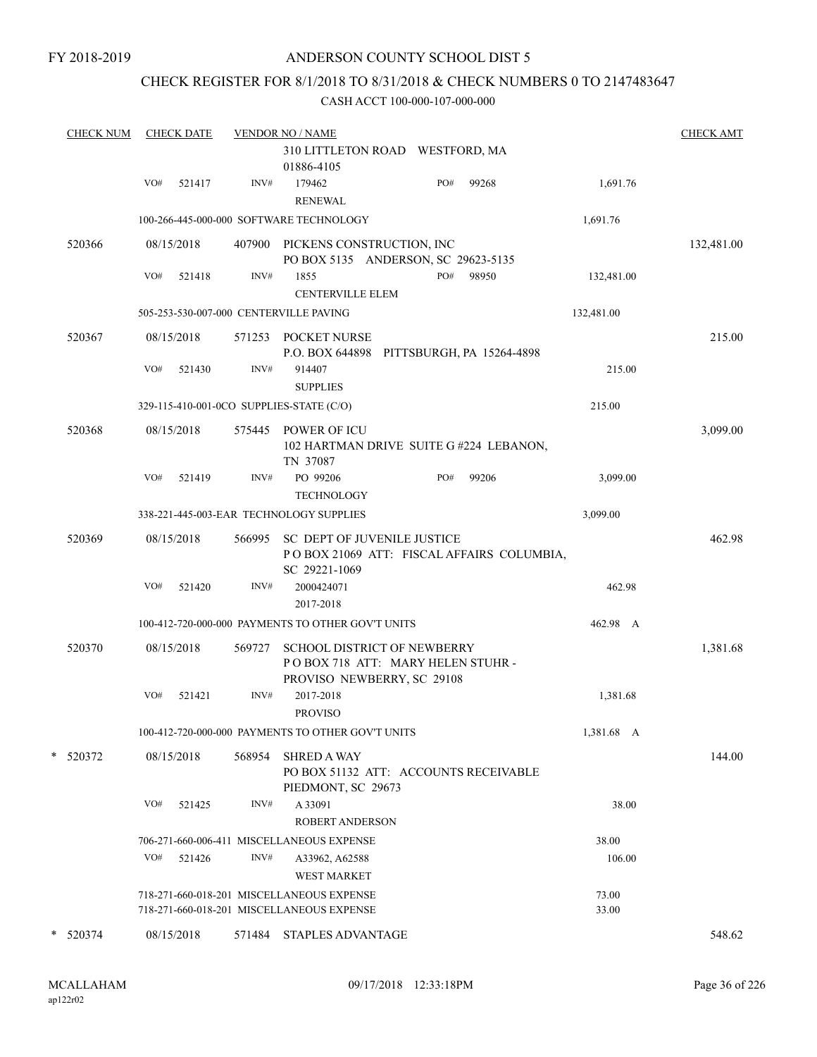## CHECK REGISTER FOR 8/1/2018 TO 8/31/2018 & CHECK NUMBERS 0 TO 2147483647

| <b>CHECK NUM</b> | <b>CHECK DATE</b> |        | <b>VENDOR NO / NAME</b>                                                                |                                                                         |                | <b>CHECK AMT</b> |
|------------------|-------------------|--------|----------------------------------------------------------------------------------------|-------------------------------------------------------------------------|----------------|------------------|
|                  |                   |        | 01886-4105                                                                             | 310 LITTLETON ROAD WESTFORD, MA                                         |                |                  |
|                  | VO#<br>521417     | INV#   | 179462<br><b>RENEWAL</b>                                                               | PO#<br>99268                                                            | 1,691.76       |                  |
|                  |                   |        | 100-266-445-000-000 SOFTWARE TECHNOLOGY                                                |                                                                         | 1,691.76       |                  |
| 520366           | 08/15/2018        |        | 407900 PICKENS CONSTRUCTION, INC                                                       | PO BOX 5135 ANDERSON, SC 29623-5135                                     |                | 132,481.00       |
|                  | VO#<br>521418     | INV#   | 1855<br><b>CENTERVILLE ELEM</b>                                                        | PO#<br>98950                                                            | 132,481.00     |                  |
|                  |                   |        | 505-253-530-007-000 CENTERVILLE PAVING                                                 |                                                                         | 132,481.00     |                  |
| 520367           | 08/15/2018        | 571253 | POCKET NURSE                                                                           | P.O. BOX 644898 PITTSBURGH, PA 15264-4898                               |                | 215.00           |
|                  | VO#<br>521430     | INV#   | 914407<br><b>SUPPLIES</b>                                                              |                                                                         | 215.00         |                  |
|                  |                   |        | 329-115-410-001-0CO SUPPLIES-STATE (C/O)                                               |                                                                         | 215.00         |                  |
| 520368           | 08/15/2018        |        | 575445 POWER OF ICU<br>TN 37087                                                        | 102 HARTMAN DRIVE SUITE G#224 LEBANON,                                  |                | 3,099.00         |
|                  | VO#<br>521419     | INV#   | PO 99206<br><b>TECHNOLOGY</b>                                                          | PO#<br>99206                                                            | 3,099.00       |                  |
|                  |                   |        | 338-221-445-003-EAR TECHNOLOGY SUPPLIES                                                |                                                                         | 3,099.00       |                  |
| 520369           | 08/15/2018        | 566995 | <b>SC DEPT OF JUVENILE JUSTICE</b><br>SC 29221-1069                                    | POBOX 21069 ATT: FISCAL AFFAIRS COLUMBIA,                               |                | 462.98           |
|                  | VO#<br>521420     | INV#   | 2000424071<br>2017-2018                                                                |                                                                         | 462.98         |                  |
|                  |                   |        | 100-412-720-000-000 PAYMENTS TO OTHER GOV'T UNITS                                      |                                                                         | 462.98 A       |                  |
| 520370           | 08/15/2018        | 569727 | PROVISO NEWBERRY, SC 29108                                                             | <b>SCHOOL DISTRICT OF NEWBERRY</b><br>POBOX 718 ATT: MARY HELEN STUHR - |                | 1,381.68         |
|                  | VO#<br>521421     | INV#   | 2017-2018<br><b>PROVISO</b>                                                            |                                                                         | 1,381.68       |                  |
|                  |                   |        | 100-412-720-000-000 PAYMENTS TO OTHER GOV'T UNITS                                      |                                                                         | 1,381.68 A     |                  |
| * 520372         | 08/15/2018        | 568954 | <b>SHRED A WAY</b><br>PIEDMONT, SC 29673                                               | PO BOX 51132 ATT: ACCOUNTS RECEIVABLE                                   |                | 144.00           |
|                  | VO#<br>521425     | INV#   | A 33091<br>ROBERT ANDERSON                                                             |                                                                         | 38.00          |                  |
|                  |                   |        | 706-271-660-006-411 MISCELLANEOUS EXPENSE                                              |                                                                         | 38.00          |                  |
|                  | VO#<br>521426     | INV#   | A33962, A62588<br><b>WEST MARKET</b>                                                   |                                                                         | 106.00         |                  |
|                  |                   |        | 718-271-660-018-201 MISCELLANEOUS EXPENSE<br>718-271-660-018-201 MISCELLANEOUS EXPENSE |                                                                         | 73.00<br>33.00 |                  |
| * 520374         | 08/15/2018        | 571484 | <b>STAPLES ADVANTAGE</b>                                                               |                                                                         |                | 548.62           |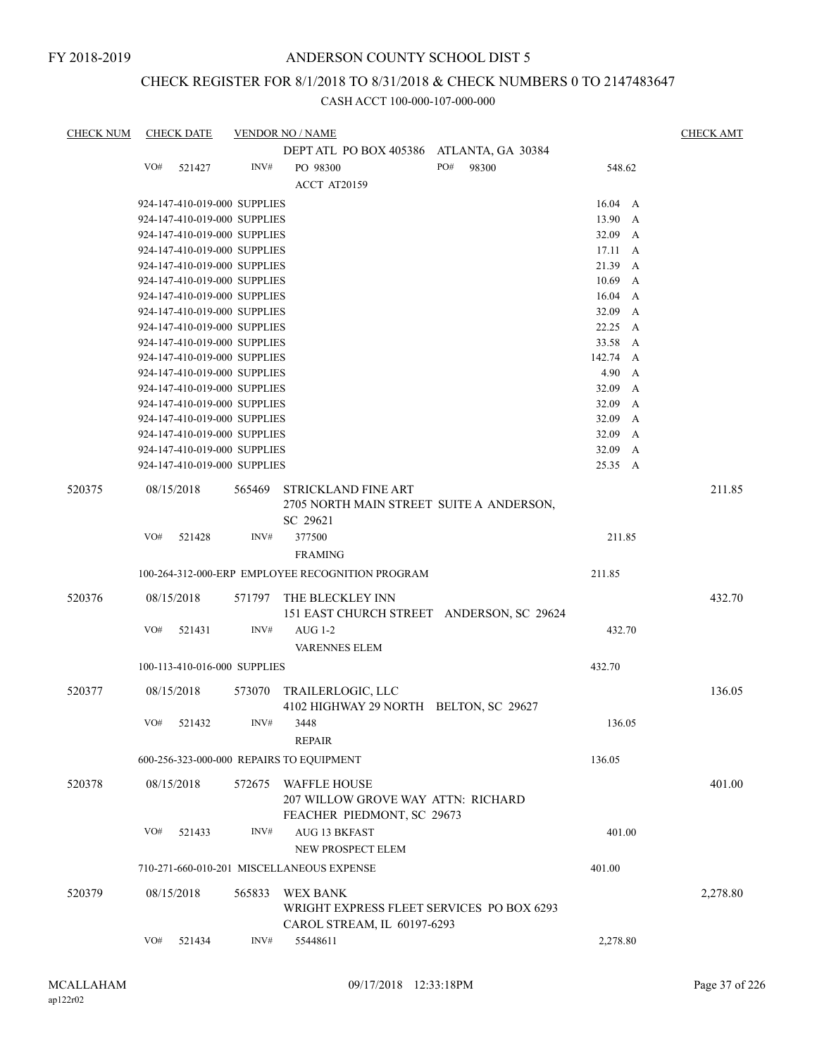### CHECK REGISTER FOR 8/1/2018 TO 8/31/2018 & CHECK NUMBERS 0 TO 2147483647

| <b>CHECK NUM</b> |     | <b>CHECK DATE</b>            |        | <b>VENDOR NO / NAME</b>                                                            |     |       |                       | <b>CHECK AMT</b> |
|------------------|-----|------------------------------|--------|------------------------------------------------------------------------------------|-----|-------|-----------------------|------------------|
|                  |     |                              |        | DEPT ATL PO BOX 405386 ATLANTA, GA 30384                                           |     |       |                       |                  |
|                  | VO# | 521427                       | INV#   | PO 98300                                                                           | PO# | 98300 | 548.62                |                  |
|                  |     |                              |        | ACCT AT20159                                                                       |     |       |                       |                  |
|                  |     | 924-147-410-019-000 SUPPLIES |        |                                                                                    |     |       |                       |                  |
|                  |     |                              |        |                                                                                    |     |       | $16.04 \quad A$       |                  |
|                  |     | 924-147-410-019-000 SUPPLIES |        |                                                                                    |     |       | 13.90 A               |                  |
|                  |     | 924-147-410-019-000 SUPPLIES |        |                                                                                    |     |       | 32.09 A               |                  |
|                  |     | 924-147-410-019-000 SUPPLIES |        |                                                                                    |     |       | 17.11<br>A            |                  |
|                  |     | 924-147-410-019-000 SUPPLIES |        |                                                                                    |     |       | 21.39<br>$\mathbf{A}$ |                  |
|                  |     | 924-147-410-019-000 SUPPLIES |        |                                                                                    |     |       | 10.69<br>$\mathbf{A}$ |                  |
|                  |     | 924-147-410-019-000 SUPPLIES |        |                                                                                    |     |       | 16.04<br>A            |                  |
|                  |     | 924-147-410-019-000 SUPPLIES |        |                                                                                    |     |       | 32.09 A               |                  |
|                  |     | 924-147-410-019-000 SUPPLIES |        |                                                                                    |     |       | 22.25 A               |                  |
|                  |     | 924-147-410-019-000 SUPPLIES |        |                                                                                    |     |       | 33.58<br>A            |                  |
|                  |     | 924-147-410-019-000 SUPPLIES |        |                                                                                    |     |       | 142.74 A              |                  |
|                  |     | 924-147-410-019-000 SUPPLIES |        |                                                                                    |     |       | $4.90\quad A$         |                  |
|                  |     | 924-147-410-019-000 SUPPLIES |        |                                                                                    |     |       | 32.09 A               |                  |
|                  |     | 924-147-410-019-000 SUPPLIES |        |                                                                                    |     |       | 32.09<br>A            |                  |
|                  |     | 924-147-410-019-000 SUPPLIES |        |                                                                                    |     |       | 32.09<br>A            |                  |
|                  |     | 924-147-410-019-000 SUPPLIES |        |                                                                                    |     |       | 32.09 A               |                  |
|                  |     | 924-147-410-019-000 SUPPLIES |        |                                                                                    |     |       | 32.09<br>A            |                  |
|                  |     | 924-147-410-019-000 SUPPLIES |        |                                                                                    |     |       | 25.35<br>A            |                  |
| 520375           |     | 08/15/2018                   | 565469 | <b>STRICKLAND FINE ART</b><br>2705 NORTH MAIN STREET SUITE A ANDERSON,<br>SC 29621 |     |       |                       | 211.85           |
|                  | VO# | 521428                       | INV#   | 377500                                                                             |     |       | 211.85                |                  |
|                  |     |                              |        |                                                                                    |     |       |                       |                  |
|                  |     |                              |        | <b>FRAMING</b>                                                                     |     |       |                       |                  |
|                  |     |                              |        | 100-264-312-000-ERP EMPLOYEE RECOGNITION PROGRAM                                   |     |       | 211.85                |                  |
| 520376           |     | 08/15/2018                   | 571797 | THE BLECKLEY INN                                                                   |     |       |                       | 432.70           |
|                  |     |                              |        | 151 EAST CHURCH STREET ANDERSON, SC 29624                                          |     |       |                       |                  |
|                  | VO# | 521431                       | INV#   | <b>AUG 1-2</b>                                                                     |     |       | 432.70                |                  |
|                  |     |                              |        |                                                                                    |     |       |                       |                  |
|                  |     |                              |        | <b>VARENNES ELEM</b>                                                               |     |       |                       |                  |
|                  |     | 100-113-410-016-000 SUPPLIES |        |                                                                                    |     |       | 432.70                |                  |
| 520377           |     | 08/15/2018                   | 573070 | TRAILERLOGIC, LLC                                                                  |     |       |                       | 136.05           |
|                  |     |                              |        | 4102 HIGHWAY 29 NORTH BELTON, SC 29627                                             |     |       |                       |                  |
|                  |     |                              |        |                                                                                    |     |       |                       |                  |
|                  | VO# | 521432                       | INV#   | 3448                                                                               |     |       | 136.05                |                  |
|                  |     |                              |        | <b>REPAIR</b>                                                                      |     |       |                       |                  |
|                  |     |                              |        | 600-256-323-000-000 REPAIRS TO EQUIPMENT                                           |     |       | 136.05                |                  |
| 520378           |     | 08/15/2018                   | 572675 | <b>WAFFLE HOUSE</b><br>207 WILLOW GROVE WAY ATTN: RICHARD                          |     |       |                       | 401.00           |
|                  |     |                              |        | FEACHER PIEDMONT, SC 29673                                                         |     |       |                       |                  |
|                  | VO# | 521433                       | INV#   | <b>AUG 13 BKFAST</b>                                                               |     |       | 401.00                |                  |
|                  |     |                              |        |                                                                                    |     |       |                       |                  |
|                  |     |                              |        | NEW PROSPECT ELEM                                                                  |     |       |                       |                  |
|                  |     |                              |        | 710-271-660-010-201 MISCELLANEOUS EXPENSE                                          |     |       | 401.00                |                  |
| 520379           |     | 08/15/2018                   | 565833 | WEX BANK                                                                           |     |       |                       | 2,278.80         |
|                  |     |                              |        | WRIGHT EXPRESS FLEET SERVICES PO BOX 6293                                          |     |       |                       |                  |
|                  |     |                              |        | CAROL STREAM, IL 60197-6293                                                        |     |       |                       |                  |
|                  | VO# | 521434                       | INV#   | 55448611                                                                           |     |       | 2,278.80              |                  |
|                  |     |                              |        |                                                                                    |     |       |                       |                  |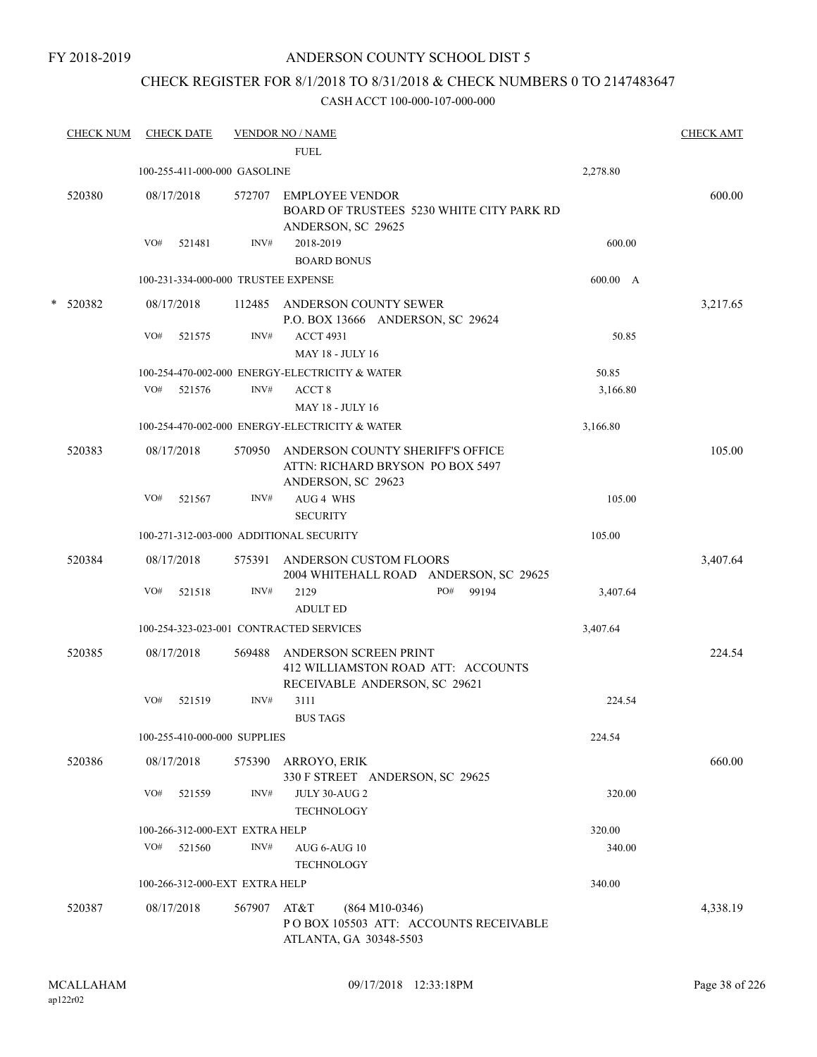FY 2018-2019

### ANDERSON COUNTY SCHOOL DIST 5

## CHECK REGISTER FOR 8/1/2018 TO 8/31/2018 & CHECK NUMBERS 0 TO 2147483647

| <b>CHECK NUM</b> | <b>CHECK DATE</b> |        |                                | <b>VENDOR NO / NAME</b>                 |                                                                                              |     |                                           |          | <b>CHECK AMT</b> |
|------------------|-------------------|--------|--------------------------------|-----------------------------------------|----------------------------------------------------------------------------------------------|-----|-------------------------------------------|----------|------------------|
|                  |                   |        |                                | <b>FUEL</b>                             |                                                                                              |     |                                           |          |                  |
|                  |                   |        | 100-255-411-000-000 GASOLINE   |                                         |                                                                                              |     |                                           | 2,278.80 |                  |
| 520380           | 08/17/2018        |        |                                |                                         | 572707 EMPLOYEE VENDOR<br>ANDERSON, SC 29625                                                 |     | BOARD OF TRUSTEES 5230 WHITE CITY PARK RD |          | 600.00           |
|                  | VO#               | 521481 | INV#                           | 2018-2019                               |                                                                                              |     |                                           | 600.00   |                  |
|                  |                   |        |                                |                                         | <b>BOARD BONUS</b>                                                                           |     |                                           |          |                  |
|                  |                   |        |                                | 100-231-334-000-000 TRUSTEE EXPENSE     |                                                                                              |     |                                           | 600.00 A |                  |
| * 520382         | 08/17/2018        |        |                                |                                         | 112485 ANDERSON COUNTY SEWER<br>P.O. BOX 13666 ANDERSON, SC 29624                            |     |                                           |          | 3,217.65         |
|                  | VO#               | 521575 | INV#                           | <b>ACCT 4931</b>                        | <b>MAY 18 - JULY 16</b>                                                                      |     |                                           | 50.85    |                  |
|                  |                   |        |                                |                                         | 100-254-470-002-000 ENERGY-ELECTRICITY & WATER                                               |     |                                           | 50.85    |                  |
|                  | VO#               | 521576 | INV#                           | ACCT <sub>8</sub>                       | <b>MAY 18 - JULY 16</b>                                                                      |     |                                           | 3,166.80 |                  |
|                  |                   |        |                                |                                         | 100-254-470-002-000 ENERGY-ELECTRICITY & WATER                                               |     |                                           | 3,166.80 |                  |
| 520383           | 08/17/2018        |        | 570950                         |                                         | ANDERSON COUNTY SHERIFF'S OFFICE<br>ATTN: RICHARD BRYSON PO BOX 5497<br>ANDERSON, SC 29623   |     |                                           |          | 105.00           |
|                  | VO#               | 521567 | INV#                           | AUG 4 WHS<br><b>SECURITY</b>            |                                                                                              |     |                                           | 105.00   |                  |
|                  |                   |        |                                | 100-271-312-003-000 ADDITIONAL SECURITY |                                                                                              |     |                                           | 105.00   |                  |
| 520384           | 08/17/2018        |        |                                |                                         | 575391 ANDERSON CUSTOM FLOORS<br>2004 WHITEHALL ROAD ANDERSON, SC 29625                      |     |                                           |          | 3,407.64         |
|                  | VO#               | 521518 | INV#                           | 2129<br><b>ADULT ED</b>                 |                                                                                              | PO# | 99194                                     | 3,407.64 |                  |
|                  |                   |        |                                | 100-254-323-023-001 CONTRACTED SERVICES |                                                                                              |     |                                           | 3,407.64 |                  |
| 520385           | 08/17/2018        |        | 569488                         |                                         | ANDERSON SCREEN PRINT<br>412 WILLIAMSTON ROAD ATT: ACCOUNTS<br>RECEIVABLE ANDERSON, SC 29621 |     |                                           |          | 224.54           |
|                  | VO#               | 521519 | INV#                           | 3111<br><b>BUS TAGS</b>                 |                                                                                              |     |                                           | 224.54   |                  |
|                  |                   |        | 100-255-410-000-000 SUPPLIES   |                                         |                                                                                              |     |                                           | 224.54   |                  |
| 520386           | 08/17/2018        |        | 575390                         | ARROYO, ERIK                            | 330 F STREET ANDERSON, SC 29625                                                              |     |                                           |          | 660.00           |
|                  | VO#               | 521559 | INV#                           |                                         | JULY 30-AUG 2<br><b>TECHNOLOGY</b>                                                           |     |                                           | 320.00   |                  |
|                  |                   |        | 100-266-312-000-EXT EXTRA HELP |                                         |                                                                                              |     |                                           | 320.00   |                  |
|                  | VO#               | 521560 | INV#                           |                                         | AUG 6-AUG 10<br><b>TECHNOLOGY</b>                                                            |     |                                           | 340.00   |                  |
|                  |                   |        | 100-266-312-000-EXT EXTRA HELP |                                         |                                                                                              |     |                                           | 340.00   |                  |
| 520387           | 08/17/2018        |        | 567907                         | AT&T                                    | $(864 M10-0346)$<br>PO BOX 105503 ATT: ACCOUNTS RECEIVABLE<br>ATLANTA, GA 30348-5503         |     |                                           |          | 4,338.19         |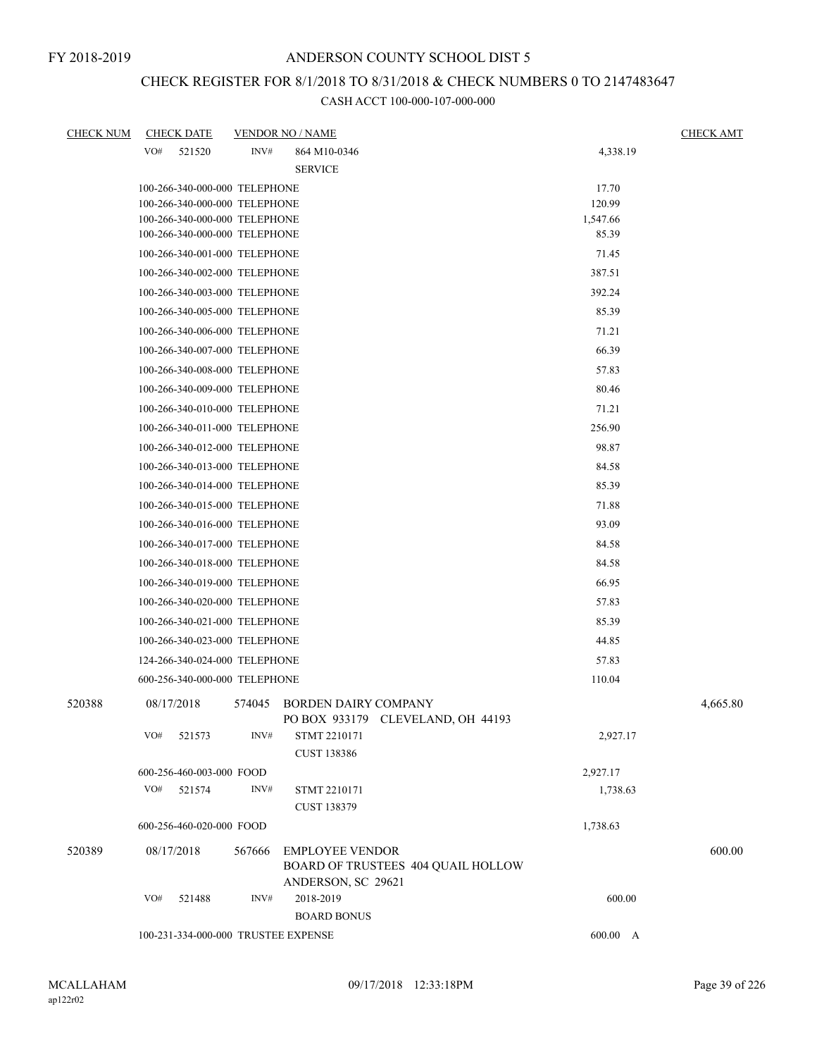## CHECK REGISTER FOR 8/1/2018 TO 8/31/2018 & CHECK NUMBERS 0 TO 2147483647

| <b>CHECK NUM</b> | <b>CHECK DATE</b> |                                                                | <b>VENDOR NO / NAME</b>                                          |                 | <b>CHECK AMT</b> |
|------------------|-------------------|----------------------------------------------------------------|------------------------------------------------------------------|-----------------|------------------|
|                  | VO#<br>521520     | INV#                                                           | 864 M10-0346                                                     | 4,338.19        |                  |
|                  |                   |                                                                | <b>SERVICE</b>                                                   |                 |                  |
|                  |                   | 100-266-340-000-000 TELEPHONE                                  |                                                                  | 17.70           |                  |
|                  |                   | 100-266-340-000-000 TELEPHONE                                  |                                                                  | 120.99          |                  |
|                  |                   | 100-266-340-000-000 TELEPHONE                                  |                                                                  | 1,547.66        |                  |
|                  |                   | 100-266-340-000-000 TELEPHONE                                  |                                                                  | 85.39           |                  |
|                  |                   | 100-266-340-001-000 TELEPHONE                                  |                                                                  | 71.45<br>387.51 |                  |
|                  |                   | 100-266-340-002-000 TELEPHONE<br>100-266-340-003-000 TELEPHONE |                                                                  |                 |                  |
|                  |                   |                                                                |                                                                  | 392.24          |                  |
|                  |                   | 100-266-340-005-000 TELEPHONE                                  |                                                                  | 85.39           |                  |
|                  |                   | 100-266-340-006-000 TELEPHONE                                  |                                                                  | 71.21           |                  |
|                  |                   | 100-266-340-007-000 TELEPHONE                                  |                                                                  | 66.39           |                  |
|                  |                   | 100-266-340-008-000 TELEPHONE                                  |                                                                  | 57.83           |                  |
|                  |                   | 100-266-340-009-000 TELEPHONE                                  |                                                                  | 80.46           |                  |
|                  |                   | 100-266-340-010-000 TELEPHONE                                  |                                                                  | 71.21           |                  |
|                  |                   | 100-266-340-011-000 TELEPHONE                                  |                                                                  | 256.90          |                  |
|                  |                   | 100-266-340-012-000 TELEPHONE                                  |                                                                  | 98.87           |                  |
|                  |                   | 100-266-340-013-000 TELEPHONE                                  |                                                                  | 84.58           |                  |
|                  |                   | 100-266-340-014-000 TELEPHONE                                  |                                                                  | 85.39           |                  |
|                  |                   | 100-266-340-015-000 TELEPHONE                                  |                                                                  | 71.88           |                  |
|                  |                   | 100-266-340-016-000 TELEPHONE                                  |                                                                  | 93.09           |                  |
|                  |                   | 100-266-340-017-000 TELEPHONE                                  |                                                                  | 84.58           |                  |
|                  |                   | 100-266-340-018-000 TELEPHONE                                  |                                                                  | 84.58           |                  |
|                  |                   | 100-266-340-019-000 TELEPHONE                                  |                                                                  | 66.95           |                  |
|                  |                   | 100-266-340-020-000 TELEPHONE                                  |                                                                  | 57.83           |                  |
|                  |                   | 100-266-340-021-000 TELEPHONE                                  |                                                                  | 85.39           |                  |
|                  |                   | 100-266-340-023-000 TELEPHONE                                  |                                                                  | 44.85           |                  |
|                  |                   | 124-266-340-024-000 TELEPHONE                                  |                                                                  | 57.83           |                  |
|                  |                   | 600-256-340-000-000 TELEPHONE                                  |                                                                  | 110.04          |                  |
| 520388           | 08/17/2018        | 574045                                                         | <b>BORDEN DAIRY COMPANY</b><br>PO BOX 933179 CLEVELAND, OH 44193 |                 | 4,665.80         |
|                  | VO#<br>521573     | INV#                                                           | STMT 2210171                                                     | 2,927.17        |                  |
|                  |                   |                                                                | <b>CUST 138386</b>                                               |                 |                  |
|                  |                   | 600-256-460-003-000 FOOD                                       |                                                                  | 2,927.17        |                  |
|                  | VO#<br>521574     | INV#                                                           | STMT 2210171                                                     | 1,738.63        |                  |
|                  |                   |                                                                | <b>CUST 138379</b>                                               |                 |                  |
|                  |                   | 600-256-460-020-000 FOOD                                       |                                                                  | 1,738.63        |                  |
| 520389           | 08/17/2018        | 567666                                                         | <b>EMPLOYEE VENDOR</b><br>BOARD OF TRUSTEES 404 QUAIL HOLLOW     |                 | 600.00           |
|                  |                   |                                                                | ANDERSON, SC 29621                                               |                 |                  |
|                  | VO#<br>521488     | INV#                                                           | 2018-2019                                                        | 600.00          |                  |
|                  |                   |                                                                | <b>BOARD BONUS</b>                                               |                 |                  |
|                  |                   | 100-231-334-000-000 TRUSTEE EXPENSE                            |                                                                  | $600.00\quad$ A |                  |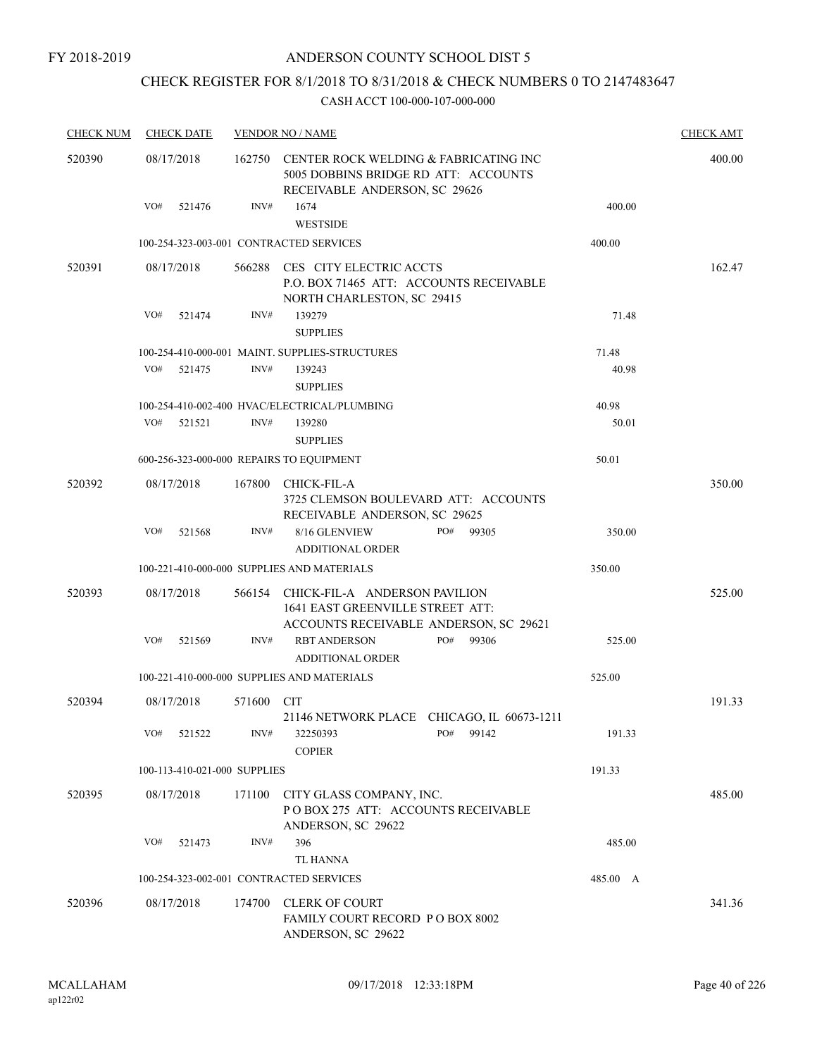### CHECK REGISTER FOR 8/1/2018 TO 8/31/2018 & CHECK NUMBERS 0 TO 2147483647

| <b>CHECK NUM</b> | <b>CHECK DATE</b>                        |        | <b>VENDOR NO / NAME</b>                                                                                            |          | <b>CHECK AMT</b> |
|------------------|------------------------------------------|--------|--------------------------------------------------------------------------------------------------------------------|----------|------------------|
| 520390           | 08/17/2018                               | 162750 | CENTER ROCK WELDING & FABRICATING INC<br>5005 DOBBINS BRIDGE RD ATT: ACCOUNTS<br>RECEIVABLE ANDERSON, SC 29626     |          | 400.00           |
|                  | VO#<br>521476                            | INV#   | 1674                                                                                                               | 400.00   |                  |
|                  |                                          |        | <b>WESTSIDE</b>                                                                                                    |          |                  |
|                  | 100-254-323-003-001 CONTRACTED SERVICES  |        |                                                                                                                    | 400.00   |                  |
| 520391           | 08/17/2018                               | 566288 | CES CITY ELECTRIC ACCTS<br>P.O. BOX 71465 ATT: ACCOUNTS RECEIVABLE<br>NORTH CHARLESTON, SC 29415                   |          | 162.47           |
|                  | VO#<br>521474                            | INV#   | 139279<br><b>SUPPLIES</b>                                                                                          | 71.48    |                  |
|                  |                                          |        | 100-254-410-000-001 MAINT. SUPPLIES-STRUCTURES                                                                     | 71.48    |                  |
|                  | VO#<br>521475                            | INV#   | 139243<br><b>SUPPLIES</b>                                                                                          | 40.98    |                  |
|                  |                                          |        | 100-254-410-002-400 HVAC/ELECTRICAL/PLUMBING                                                                       | 40.98    |                  |
|                  | VO#<br>521521                            | INV#   | 139280<br><b>SUPPLIES</b>                                                                                          | 50.01    |                  |
|                  | 600-256-323-000-000 REPAIRS TO EQUIPMENT |        |                                                                                                                    | 50.01    |                  |
| 520392           | 08/17/2018                               | 167800 | <b>CHICK-FIL-A</b><br>3725 CLEMSON BOULEVARD ATT: ACCOUNTS<br>RECEIVABLE ANDERSON, SC 29625                        |          | 350.00           |
|                  | VO#<br>521568                            | INV#   | 8/16 GLENVIEW<br>PO#<br>99305<br><b>ADDITIONAL ORDER</b>                                                           | 350.00   |                  |
|                  |                                          |        | 100-221-410-000-000 SUPPLIES AND MATERIALS                                                                         | 350.00   |                  |
| 520393           | 08/17/2018                               |        | 566154 CHICK-FIL-A ANDERSON PAVILION<br>1641 EAST GREENVILLE STREET ATT:<br>ACCOUNTS RECEIVABLE ANDERSON, SC 29621 |          | 525.00           |
|                  | VO#<br>521569                            | INV#   | <b>RBT ANDERSON</b><br>PO#<br>99306<br><b>ADDITIONAL ORDER</b>                                                     | 525.00   |                  |
|                  |                                          |        | 100-221-410-000-000 SUPPLIES AND MATERIALS                                                                         | 525.00   |                  |
| 520394           | 08/17/2018                               | 571600 | CIT<br>21146 NETWORK PLACE CHICAGO, IL 60673-1211                                                                  |          | 191.33           |
|                  | VO#<br>521522                            | INV#   | PO#<br>99142<br>32250393<br><b>COPIER</b>                                                                          | 191.33   |                  |
|                  | 100-113-410-021-000 SUPPLIES             |        |                                                                                                                    | 191.33   |                  |
| 520395           | 08/17/2018                               | 171100 | CITY GLASS COMPANY, INC.<br>POBOX 275 ATT: ACCOUNTS RECEIVABLE<br>ANDERSON, SC 29622                               |          | 485.00           |
|                  | VO#<br>521473                            | INV#   | 396<br><b>TL HANNA</b>                                                                                             | 485.00   |                  |
|                  | 100-254-323-002-001 CONTRACTED SERVICES  |        |                                                                                                                    | 485.00 A |                  |
| 520396           | 08/17/2018                               | 174700 | <b>CLERK OF COURT</b><br>FAMILY COURT RECORD P O BOX 8002<br>ANDERSON, SC 29622                                    |          | 341.36           |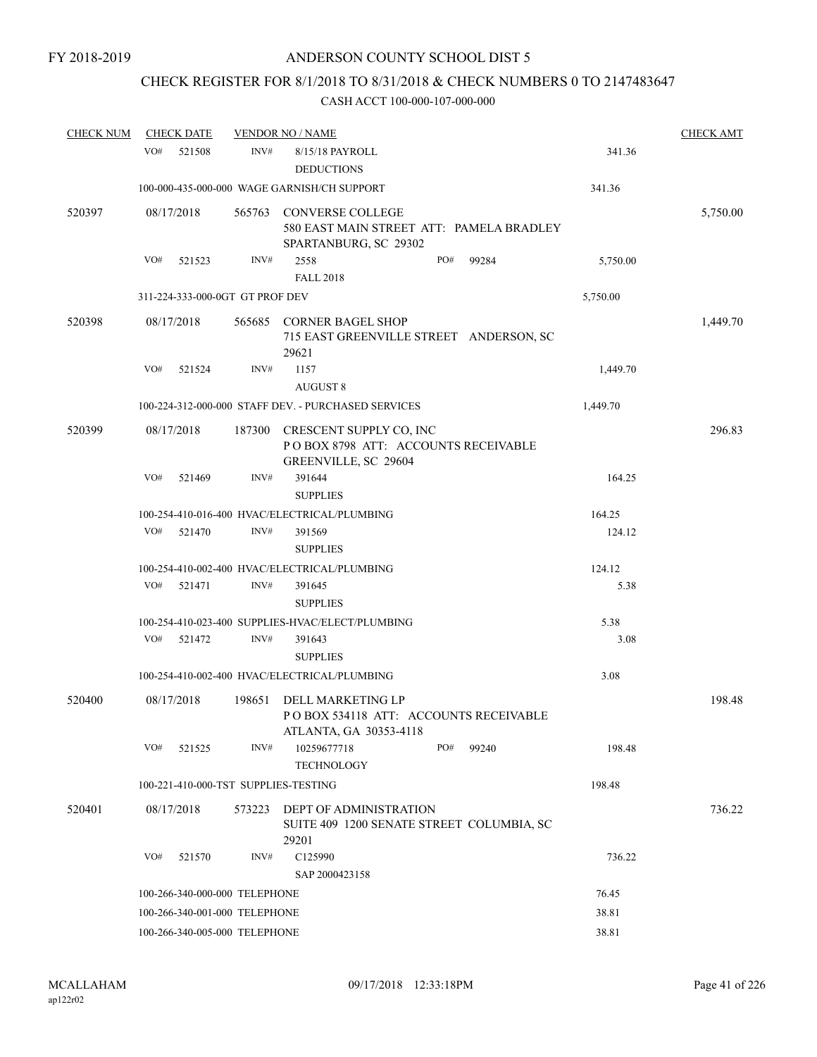# CHECK REGISTER FOR 8/1/2018 TO 8/31/2018 & CHECK NUMBERS 0 TO 2147483647

| <b>CHECK NUM</b> | <b>CHECK DATE</b>                    |        | <b>VENDOR NO / NAME</b>                                                                      |     |       |          | <b>CHECK AMT</b> |
|------------------|--------------------------------------|--------|----------------------------------------------------------------------------------------------|-----|-------|----------|------------------|
|                  | VO#<br>521508                        | INV#   | 8/15/18 PAYROLL<br><b>DEDUCTIONS</b>                                                         |     |       | 341.36   |                  |
|                  |                                      |        | 100-000-435-000-000 WAGE GARNISH/CH SUPPORT                                                  |     |       | 341.36   |                  |
| 520397           | 08/17/2018                           | 565763 | <b>CONVERSE COLLEGE</b><br>580 EAST MAIN STREET ATT: PAMELA BRADLEY<br>SPARTANBURG, SC 29302 |     |       |          | 5,750.00         |
|                  | VO#<br>521523                        | INV#   | 2558                                                                                         | PO# | 99284 | 5,750.00 |                  |
|                  |                                      |        | <b>FALL 2018</b>                                                                             |     |       |          |                  |
|                  | 311-224-333-000-0GT GT PROF DEV      |        |                                                                                              |     |       | 5,750.00 |                  |
| 520398           | 08/17/2018                           | 565685 | <b>CORNER BAGEL SHOP</b><br>715 EAST GREENVILLE STREET ANDERSON, SC<br>29621                 |     |       |          | 1,449.70         |
|                  | VO#<br>521524                        | INV#   | 1157<br><b>AUGUST 8</b>                                                                      |     |       | 1,449.70 |                  |
|                  |                                      |        | 100-224-312-000-000 STAFF DEV. - PURCHASED SERVICES                                          |     |       | 1,449.70 |                  |
| 520399           | 08/17/2018                           | 187300 | CRESCENT SUPPLY CO, INC<br>POBOX 8798 ATT: ACCOUNTS RECEIVABLE<br>GREENVILLE, SC 29604       |     |       |          | 296.83           |
|                  | VO#<br>521469                        | INV#   | 391644<br><b>SUPPLIES</b>                                                                    |     |       | 164.25   |                  |
|                  |                                      |        | 100-254-410-016-400 HVAC/ELECTRICAL/PLUMBING                                                 |     |       | 164.25   |                  |
|                  | VO#<br>521470                        | INV#   | 391569                                                                                       |     |       | 124.12   |                  |
|                  |                                      |        | <b>SUPPLIES</b>                                                                              |     |       |          |                  |
|                  |                                      |        | 100-254-410-002-400 HVAC/ELECTRICAL/PLUMBING                                                 |     |       | 124.12   |                  |
|                  | VO#<br>521471                        | INV#   | 391645<br><b>SUPPLIES</b>                                                                    |     |       | 5.38     |                  |
|                  |                                      |        | 100-254-410-023-400 SUPPLIES-HVAC/ELECT/PLUMBING                                             |     |       | 5.38     |                  |
|                  | VO#<br>521472                        | INV#   | 391643<br><b>SUPPLIES</b>                                                                    |     |       | 3.08     |                  |
|                  |                                      |        | 100-254-410-002-400 HVAC/ELECTRICAL/PLUMBING                                                 |     |       | 3.08     |                  |
| 520400           | 08/17/2018                           | 198651 | DELL MARKETING LP<br>PO BOX 534118 ATT: ACCOUNTS RECEIVABLE<br>ATLANTA, GA 30353-4118        |     |       |          | 198.48           |
|                  | VO#<br>521525                        | INV#   | 10259677718<br><b>TECHNOLOGY</b>                                                             | PO# | 99240 | 198.48   |                  |
|                  | 100-221-410-000-TST SUPPLIES-TESTING |        |                                                                                              |     |       | 198.48   |                  |
| 520401           | 08/17/2018                           | 573223 | <b>DEPT OF ADMINISTRATION</b><br>SUITE 409 1200 SENATE STREET COLUMBIA, SC                   |     |       |          | 736.22           |
|                  | VO#<br>521570                        | INV#   | 29201<br>C125990<br>SAP 2000423158                                                           |     |       | 736.22   |                  |
|                  | 100-266-340-000-000 TELEPHONE        |        |                                                                                              |     |       | 76.45    |                  |
|                  | 100-266-340-001-000 TELEPHONE        |        |                                                                                              |     |       | 38.81    |                  |
|                  | 100-266-340-005-000 TELEPHONE        |        |                                                                                              |     |       | 38.81    |                  |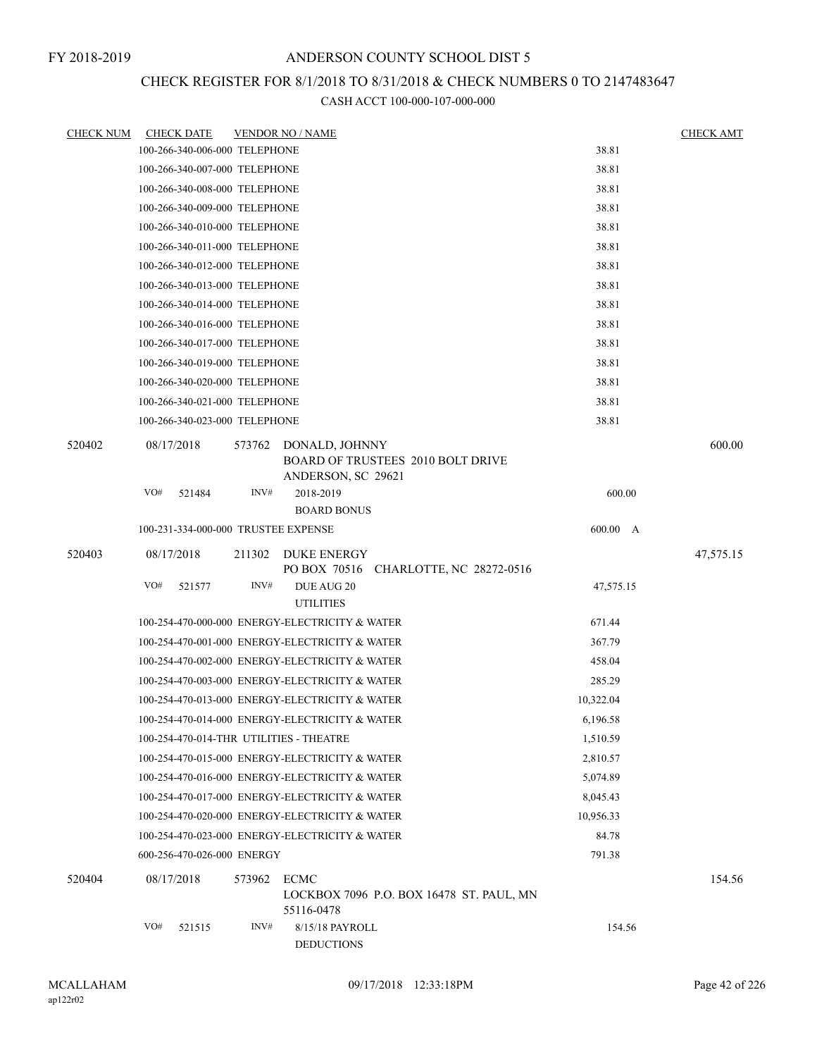### CHECK REGISTER FOR 8/1/2018 TO 8/31/2018 & CHECK NUMBERS 0 TO 2147483647

| <u>CHECK NUM</u> | <b>CHECK DATE</b>                       |        | <b>VENDOR NO / NAME</b>                                                                 |           | <b>CHECK AMT</b> |
|------------------|-----------------------------------------|--------|-----------------------------------------------------------------------------------------|-----------|------------------|
|                  | 100-266-340-006-000 TELEPHONE           |        |                                                                                         | 38.81     |                  |
|                  | 100-266-340-007-000 TELEPHONE           |        |                                                                                         | 38.81     |                  |
|                  | 100-266-340-008-000 TELEPHONE           |        |                                                                                         | 38.81     |                  |
|                  | 100-266-340-009-000 TELEPHONE           |        |                                                                                         | 38.81     |                  |
|                  | 100-266-340-010-000 TELEPHONE           |        |                                                                                         | 38.81     |                  |
|                  | 100-266-340-011-000 TELEPHONE           |        |                                                                                         | 38.81     |                  |
|                  | 100-266-340-012-000 TELEPHONE           |        |                                                                                         | 38.81     |                  |
|                  | 100-266-340-013-000 TELEPHONE           |        |                                                                                         | 38.81     |                  |
|                  | 100-266-340-014-000 TELEPHONE           |        |                                                                                         | 38.81     |                  |
|                  | 100-266-340-016-000 TELEPHONE           |        |                                                                                         | 38.81     |                  |
|                  | 100-266-340-017-000 TELEPHONE           |        |                                                                                         | 38.81     |                  |
|                  | 100-266-340-019-000 TELEPHONE           |        |                                                                                         | 38.81     |                  |
|                  | 100-266-340-020-000 TELEPHONE           |        |                                                                                         | 38.81     |                  |
|                  | 100-266-340-021-000 TELEPHONE           |        |                                                                                         | 38.81     |                  |
|                  | 100-266-340-023-000 TELEPHONE           |        |                                                                                         | 38.81     |                  |
| 520402           | 08/17/2018                              |        | 573762 DONALD, JOHNNY<br><b>BOARD OF TRUSTEES 2010 BOLT DRIVE</b><br>ANDERSON, SC 29621 |           | 600.00           |
|                  | VO#<br>521484                           | INV#   | 2018-2019<br><b>BOARD BONUS</b>                                                         | 600.00    |                  |
|                  | 100-231-334-000-000 TRUSTEE EXPENSE     |        |                                                                                         | 600.00 A  |                  |
| 520403           | 08/17/2018                              | 211302 | DUKE ENERGY<br>PO BOX 70516 CHARLOTTE, NC 28272-0516                                    |           | 47,575.15        |
|                  | VO#<br>521577                           | INV#   | DUE AUG 20<br><b>UTILITIES</b>                                                          | 47,575.15 |                  |
|                  |                                         |        | 100-254-470-000-000 ENERGY-ELECTRICITY & WATER                                          | 671.44    |                  |
|                  |                                         |        | 100-254-470-001-000 ENERGY-ELECTRICITY & WATER                                          | 367.79    |                  |
|                  |                                         |        | 100-254-470-002-000 ENERGY-ELECTRICITY & WATER                                          | 458.04    |                  |
|                  |                                         |        | 100-254-470-003-000 ENERGY-ELECTRICITY & WATER                                          | 285.29    |                  |
|                  |                                         |        | 100-254-470-013-000 ENERGY-ELECTRICITY & WATER                                          | 10,322.04 |                  |
|                  |                                         |        | 100-254-470-014-000 ENERGY-ELECTRICITY & WATER                                          | 6,196.58  |                  |
|                  | 100-254-470-014-THR UTILITIES - THEATRE |        |                                                                                         | 1,510.59  |                  |
|                  |                                         |        | 100-254-470-015-000 ENERGY-ELECTRICITY & WATER                                          | 2,810.57  |                  |
|                  |                                         |        | 100-254-470-016-000 ENERGY-ELECTRICITY & WATER                                          | 5,074.89  |                  |
|                  |                                         |        | 100-254-470-017-000 ENERGY-ELECTRICITY & WATER                                          | 8,045.43  |                  |
|                  |                                         |        | 100-254-470-020-000 ENERGY-ELECTRICITY & WATER                                          | 10,956.33 |                  |
|                  |                                         |        | 100-254-470-023-000 ENERGY-ELECTRICITY & WATER                                          | 84.78     |                  |
|                  | 600-256-470-026-000 ENERGY              |        |                                                                                         | 791.38    |                  |
|                  |                                         |        |                                                                                         |           |                  |
| 520404           | 08/17/2018                              | 573962 | ECMC<br>LOCKBOX 7096 P.O. BOX 16478 ST. PAUL, MN<br>55116-0478                          |           | 154.56           |
|                  | VO#<br>521515                           | INV#   | 8/15/18 PAYROLL<br><b>DEDUCTIONS</b>                                                    | 154.56    |                  |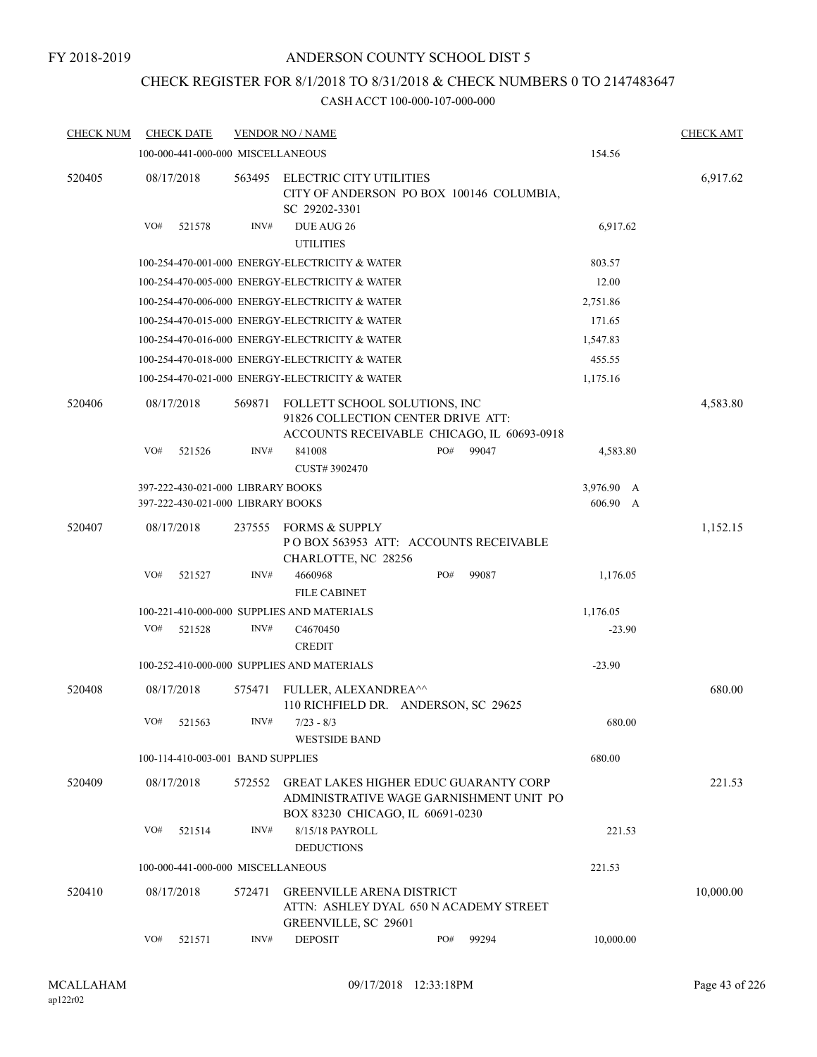#### FY 2018-2019

### ANDERSON COUNTY SCHOOL DIST 5

## CHECK REGISTER FOR 8/1/2018 TO 8/31/2018 & CHECK NUMBERS 0 TO 2147483647

| <b>CHECK NUM</b> | <b>CHECK DATE</b>                                                      |        | <b>VENDOR NO / NAME</b>                                             |                                                                                         |                                           | <b>CHECK AMT</b> |
|------------------|------------------------------------------------------------------------|--------|---------------------------------------------------------------------|-----------------------------------------------------------------------------------------|-------------------------------------------|------------------|
|                  | 100-000-441-000-000 MISCELLANEOUS                                      |        |                                                                     |                                                                                         | 154.56                                    |                  |
| 520405           | 08/17/2018                                                             | 563495 | ELECTRIC CITY UTILITIES<br>SC 29202-3301                            | CITY OF ANDERSON PO BOX 100146 COLUMBIA,                                                |                                           | 6,917.62         |
|                  | VO#<br>521578                                                          | INV#   | DUE AUG 26<br><b>UTILITIES</b>                                      |                                                                                         | 6,917.62                                  |                  |
|                  |                                                                        |        | 100-254-470-001-000 ENERGY-ELECTRICITY & WATER                      |                                                                                         | 803.57                                    |                  |
|                  |                                                                        |        | 100-254-470-005-000 ENERGY-ELECTRICITY & WATER                      |                                                                                         | 12.00                                     |                  |
|                  |                                                                        |        | 100-254-470-006-000 ENERGY-ELECTRICITY & WATER                      |                                                                                         | 2,751.86                                  |                  |
|                  |                                                                        |        | 100-254-470-015-000 ENERGY-ELECTRICITY & WATER                      |                                                                                         | 171.65                                    |                  |
|                  |                                                                        |        | 100-254-470-016-000 ENERGY-ELECTRICITY & WATER                      |                                                                                         | 1,547.83                                  |                  |
|                  |                                                                        |        | 100-254-470-018-000 ENERGY-ELECTRICITY & WATER                      |                                                                                         | 455.55                                    |                  |
|                  |                                                                        |        | 100-254-470-021-000 ENERGY-ELECTRICITY & WATER                      |                                                                                         | 1,175.16                                  |                  |
| 520406           | 08/17/2018                                                             | 569871 | FOLLETT SCHOOL SOLUTIONS, INC<br>91826 COLLECTION CENTER DRIVE ATT: | ACCOUNTS RECEIVABLE CHICAGO, IL 60693-0918                                              |                                           | 4,583.80         |
|                  | VO#<br>521526                                                          | INV#   | 841008<br>CUST#3902470                                              | PO#<br>99047                                                                            | 4,583.80                                  |                  |
|                  | 397-222-430-021-000 LIBRARY BOOKS<br>397-222-430-021-000 LIBRARY BOOKS |        |                                                                     |                                                                                         | 3,976.90<br>A<br>606.90<br>$\overline{A}$ |                  |
| 520407           | 08/17/2018                                                             | 237555 | <b>FORMS &amp; SUPPLY</b><br>CHARLOTTE, NC 28256                    | PO BOX 563953 ATT: ACCOUNTS RECEIVABLE                                                  |                                           | 1,152.15         |
|                  | VO#<br>521527                                                          | INV#   | 4660968<br><b>FILE CABINET</b>                                      | PO#<br>99087                                                                            | 1,176.05                                  |                  |
|                  |                                                                        |        | 100-221-410-000-000 SUPPLIES AND MATERIALS                          |                                                                                         | 1,176.05                                  |                  |
|                  | VO#<br>521528                                                          | INV#   | C4670450<br><b>CREDIT</b>                                           |                                                                                         | $-23.90$                                  |                  |
|                  |                                                                        |        | 100-252-410-000-000 SUPPLIES AND MATERIALS                          |                                                                                         | $-23.90$                                  |                  |
| 520408           | 08/17/2018                                                             | 575471 | FULLER, ALEXANDREA^^<br>110 RICHFIELD DR. ANDERSON, SC 29625        |                                                                                         |                                           | 680.00           |
|                  | VO#<br>521563                                                          | INV#   | $7/23 - 8/3$<br><b>WESTSIDE BAND</b>                                |                                                                                         | 680.00                                    |                  |
|                  | 100-114-410-003-001 BAND SUPPLIES                                      |        |                                                                     |                                                                                         | 680.00                                    |                  |
| 520409           | 08/17/2018                                                             | 572552 | BOX 83230 CHICAGO, IL 60691-0230                                    | <b>GREAT LAKES HIGHER EDUC GUARANTY CORP</b><br>ADMINISTRATIVE WAGE GARNISHMENT UNIT PO |                                           | 221.53           |
|                  | VO#<br>521514                                                          | INV#   | 8/15/18 PAYROLL<br><b>DEDUCTIONS</b>                                |                                                                                         | 221.53                                    |                  |
|                  | 100-000-441-000-000 MISCELLANEOUS                                      |        |                                                                     |                                                                                         | 221.53                                    |                  |
| 520410           | 08/17/2018                                                             | 572471 | <b>GREENVILLE ARENA DISTRICT</b><br><b>GREENVILLE, SC 29601</b>     | ATTN: ASHLEY DYAL 650 N ACADEMY STREET                                                  |                                           | 10,000.00        |
|                  | VO#<br>521571                                                          | INV#   | <b>DEPOSIT</b>                                                      | PO#<br>99294                                                                            | 10,000.00                                 |                  |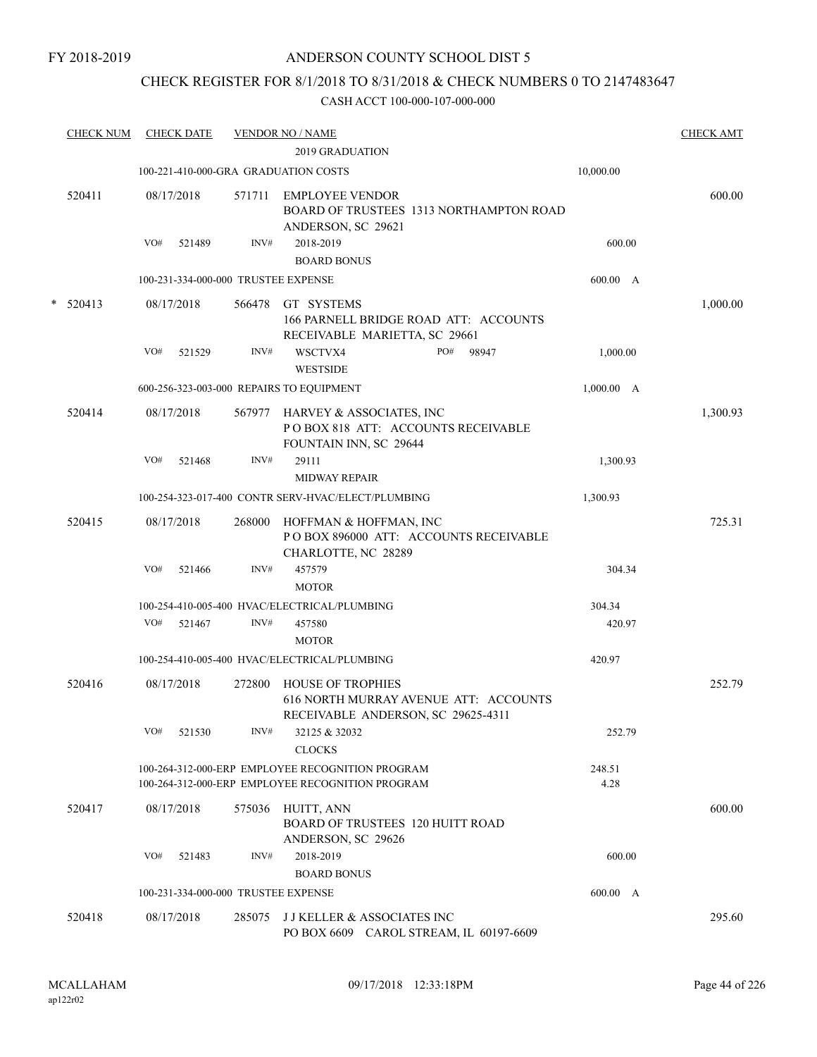### CHECK REGISTER FOR 8/1/2018 TO 8/31/2018 & CHECK NUMBERS 0 TO 2147483647

| <b>CHECK NUM</b> |     | <b>CHECK DATE</b> |        | <b>VENDOR NO / NAME</b><br><b>2019 GRADUATION</b>                                                       |                | <b>CHECK AMT</b> |
|------------------|-----|-------------------|--------|---------------------------------------------------------------------------------------------------------|----------------|------------------|
|                  |     |                   |        | 100-221-410-000-GRA GRADUATION COSTS                                                                    | 10,000.00      |                  |
|                  |     |                   |        |                                                                                                         |                |                  |
| 520411           |     | 08/17/2018        |        | 571711 EMPLOYEE VENDOR<br>BOARD OF TRUSTEES 1313 NORTHAMPTON ROAD<br>ANDERSON, SC 29621                 |                | 600.00           |
|                  | VO# | 521489            | INV#   | 2018-2019<br><b>BOARD BONUS</b>                                                                         | 600.00         |                  |
|                  |     |                   |        | 100-231-334-000-000 TRUSTEE EXPENSE                                                                     | 600.00 A       |                  |
| $*$ 520413       |     | 08/17/2018        | 566478 | GT SYSTEMS<br>166 PARNELL BRIDGE ROAD ATT: ACCOUNTS<br>RECEIVABLE MARIETTA, SC 29661                    |                | 1,000.00         |
|                  | VO# | 521529            | INV#   | WSCTVX4<br>PO#<br>98947<br><b>WESTSIDE</b>                                                              | 1,000.00       |                  |
|                  |     |                   |        | 600-256-323-003-000 REPAIRS TO EQUIPMENT                                                                | 1,000.00 A     |                  |
| 520414           |     | 08/17/2018        | 567977 | HARVEY & ASSOCIATES, INC<br>POBOX 818 ATT: ACCOUNTS RECEIVABLE<br>FOUNTAIN INN, SC 29644                |                | 1,300.93         |
|                  | VO# | 521468            | INV#   | 29111<br><b>MIDWAY REPAIR</b>                                                                           | 1,300.93       |                  |
|                  |     |                   |        | 100-254-323-017-400 CONTR SERV-HVAC/ELECT/PLUMBING                                                      | 1,300.93       |                  |
| 520415           |     | 08/17/2018        | 268000 | HOFFMAN & HOFFMAN, INC<br>PO BOX 896000 ATT: ACCOUNTS RECEIVABLE<br>CHARLOTTE, NC 28289                 |                | 725.31           |
|                  | VO# | 521466            | INV#   | 457579<br><b>MOTOR</b>                                                                                  | 304.34         |                  |
|                  |     |                   |        | 100-254-410-005-400 HVAC/ELECTRICAL/PLUMBING                                                            | 304.34         |                  |
|                  | VO# | 521467            | INV#   | 457580<br><b>MOTOR</b>                                                                                  | 420.97         |                  |
|                  |     |                   |        | 100-254-410-005-400 HVAC/ELECTRICAL/PLUMBING                                                            | 420.97         |                  |
| 520416           |     | 08/17/2018        | 272800 | <b>HOUSE OF TROPHIES</b><br>616 NORTH MURRAY AVENUE ATT: ACCOUNTS<br>RECEIVABLE ANDERSON, SC 29625-4311 |                | 252.79           |
|                  | VO# | 521530            | INV#   | 32125 & 32032<br><b>CLOCKS</b>                                                                          | 252.79         |                  |
|                  |     |                   |        | 100-264-312-000-ERP EMPLOYEE RECOGNITION PROGRAM<br>100-264-312-000-ERP EMPLOYEE RECOGNITION PROGRAM    | 248.51<br>4.28 |                  |
| 520417           |     | 08/17/2018        | 575036 | HUITT, ANN<br><b>BOARD OF TRUSTEES 120 HUITT ROAD</b><br>ANDERSON, SC 29626                             |                | 600.00           |
|                  | VO# | 521483            | INV#   | 2018-2019                                                                                               | 600.00         |                  |
|                  |     |                   |        | <b>BOARD BONUS</b>                                                                                      |                |                  |
|                  |     |                   |        | 100-231-334-000-000 TRUSTEE EXPENSE                                                                     | 600.00 A       |                  |
| 520418           |     | 08/17/2018        | 285075 | <b>JJ KELLER &amp; ASSOCIATES INC</b><br>PO BOX 6609 CAROL STREAM, IL 60197-6609                        |                | 295.60           |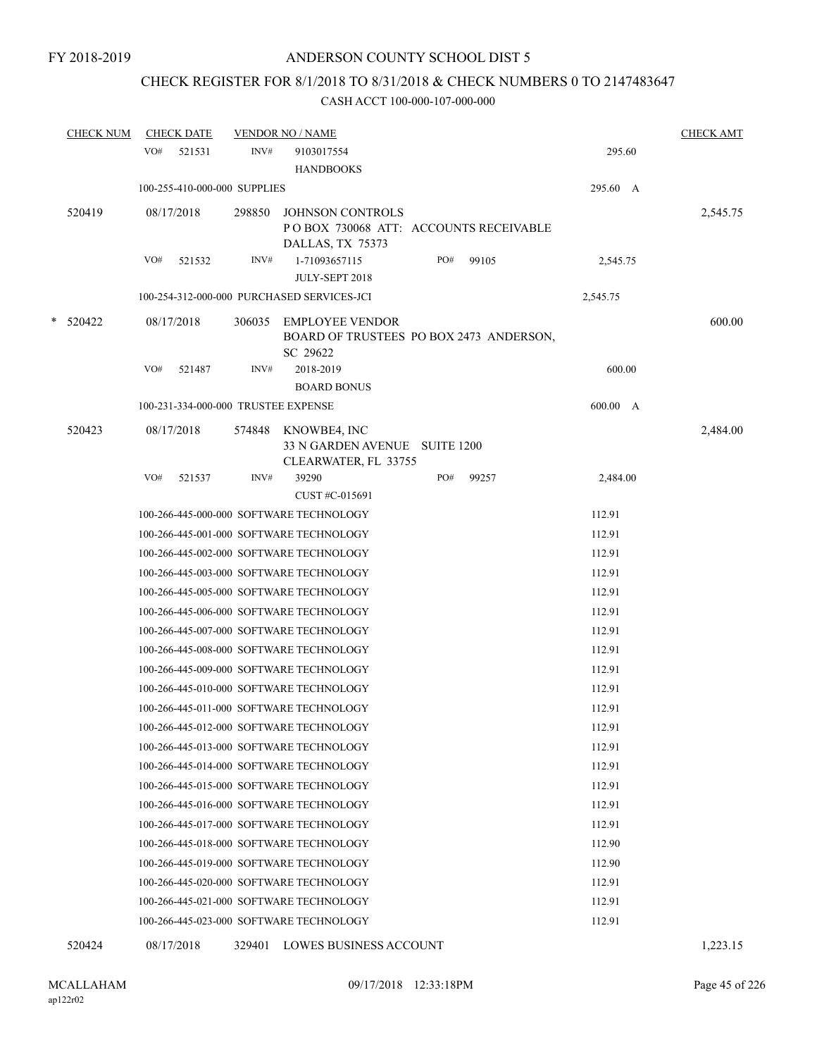# CHECK REGISTER FOR 8/1/2018 TO 8/31/2018 & CHECK NUMBERS 0 TO 2147483647

|   | <b>CHECK NUM</b> |     | <b>CHECK DATE</b>                   |        | <b>VENDOR NO / NAME</b>                                                       |     |       |          | <b>CHECK AMT</b> |
|---|------------------|-----|-------------------------------------|--------|-------------------------------------------------------------------------------|-----|-------|----------|------------------|
|   |                  | VO# | 521531                              | INV#   | 9103017554<br><b>HANDBOOKS</b>                                                |     |       | 295.60   |                  |
|   |                  |     | 100-255-410-000-000 SUPPLIES        |        |                                                                               |     |       | 295.60 A |                  |
|   | 520419           |     | 08/17/2018                          | 298850 | <b>JOHNSON CONTROLS</b><br>POBOX 730068 ATT: ACCOUNTS RECEIVABLE              |     |       |          | 2,545.75         |
|   |                  | VO# | 521532                              | INV#   | DALLAS, TX 75373<br>1-71093657115<br>JULY-SEPT 2018                           | PO# | 99105 | 2,545.75 |                  |
|   |                  |     |                                     |        | 100-254-312-000-000 PURCHASED SERVICES-JCI                                    |     |       | 2,545.75 |                  |
| * | 520422           |     | 08/17/2018                          | 306035 | <b>EMPLOYEE VENDOR</b><br>BOARD OF TRUSTEES PO BOX 2473 ANDERSON,<br>SC 29622 |     |       |          | 600.00           |
|   |                  | VO# | 521487                              | INV#   | 2018-2019<br><b>BOARD BONUS</b>                                               |     |       | 600.00   |                  |
|   |                  |     | 100-231-334-000-000 TRUSTEE EXPENSE |        |                                                                               |     |       | 600.00 A |                  |
|   | 520423           |     | 08/17/2018                          | 574848 | KNOWBE4, INC<br>33 N GARDEN AVENUE SUITE 1200<br>CLEARWATER, FL 33755         |     |       |          | 2,484.00         |
|   |                  | VO# | 521537                              | INV#   | 39290<br>CUST #C-015691                                                       | PO# | 99257 | 2,484.00 |                  |
|   |                  |     |                                     |        | 100-266-445-000-000 SOFTWARE TECHNOLOGY                                       |     |       | 112.91   |                  |
|   |                  |     |                                     |        | 100-266-445-001-000 SOFTWARE TECHNOLOGY                                       |     |       | 112.91   |                  |
|   |                  |     |                                     |        | 100-266-445-002-000 SOFTWARE TECHNOLOGY                                       |     |       | 112.91   |                  |
|   |                  |     |                                     |        | 100-266-445-003-000 SOFTWARE TECHNOLOGY                                       |     |       | 112.91   |                  |
|   |                  |     |                                     |        | 100-266-445-005-000 SOFTWARE TECHNOLOGY                                       |     |       | 112.91   |                  |
|   |                  |     |                                     |        | 100-266-445-006-000 SOFTWARE TECHNOLOGY                                       |     |       | 112.91   |                  |
|   |                  |     |                                     |        | 100-266-445-007-000 SOFTWARE TECHNOLOGY                                       |     |       | 112.91   |                  |
|   |                  |     |                                     |        | 100-266-445-008-000 SOFTWARE TECHNOLOGY                                       |     |       | 112.91   |                  |
|   |                  |     |                                     |        | 100-266-445-009-000 SOFTWARE TECHNOLOGY                                       |     |       | 112.91   |                  |
|   |                  |     |                                     |        | 100-266-445-010-000 SOFTWARE TECHNOLOGY                                       |     |       | 112.91   |                  |
|   |                  |     |                                     |        | 100-266-445-011-000 SOFTWARE TECHNOLOGY                                       |     |       | 112.91   |                  |
|   |                  |     |                                     |        | 100-266-445-012-000 SOFTWARE TECHNOLOGY                                       |     |       | 112.91   |                  |
|   |                  |     |                                     |        | 100-266-445-013-000 SOFTWARE TECHNOLOGY                                       |     |       | 112.91   |                  |
|   |                  |     |                                     |        | 100-266-445-014-000 SOFTWARE TECHNOLOGY                                       |     |       | 112.91   |                  |
|   |                  |     |                                     |        | 100-266-445-015-000 SOFTWARE TECHNOLOGY                                       |     |       | 112.91   |                  |
|   |                  |     |                                     |        | 100-266-445-016-000 SOFTWARE TECHNOLOGY                                       |     |       | 112.91   |                  |
|   |                  |     |                                     |        | 100-266-445-017-000 SOFTWARE TECHNOLOGY                                       |     |       | 112.91   |                  |
|   |                  |     |                                     |        | 100-266-445-018-000 SOFTWARE TECHNOLOGY                                       |     |       | 112.90   |                  |
|   |                  |     |                                     |        | 100-266-445-019-000 SOFTWARE TECHNOLOGY                                       |     |       | 112.90   |                  |
|   |                  |     |                                     |        | 100-266-445-020-000 SOFTWARE TECHNOLOGY                                       |     |       | 112.91   |                  |
|   |                  |     |                                     |        | 100-266-445-021-000 SOFTWARE TECHNOLOGY                                       |     |       | 112.91   |                  |
|   |                  |     |                                     |        | 100-266-445-023-000 SOFTWARE TECHNOLOGY                                       |     |       | 112.91   |                  |
|   | 520424           |     | 08/17/2018                          | 329401 | LOWES BUSINESS ACCOUNT                                                        |     |       |          | 1,223.15         |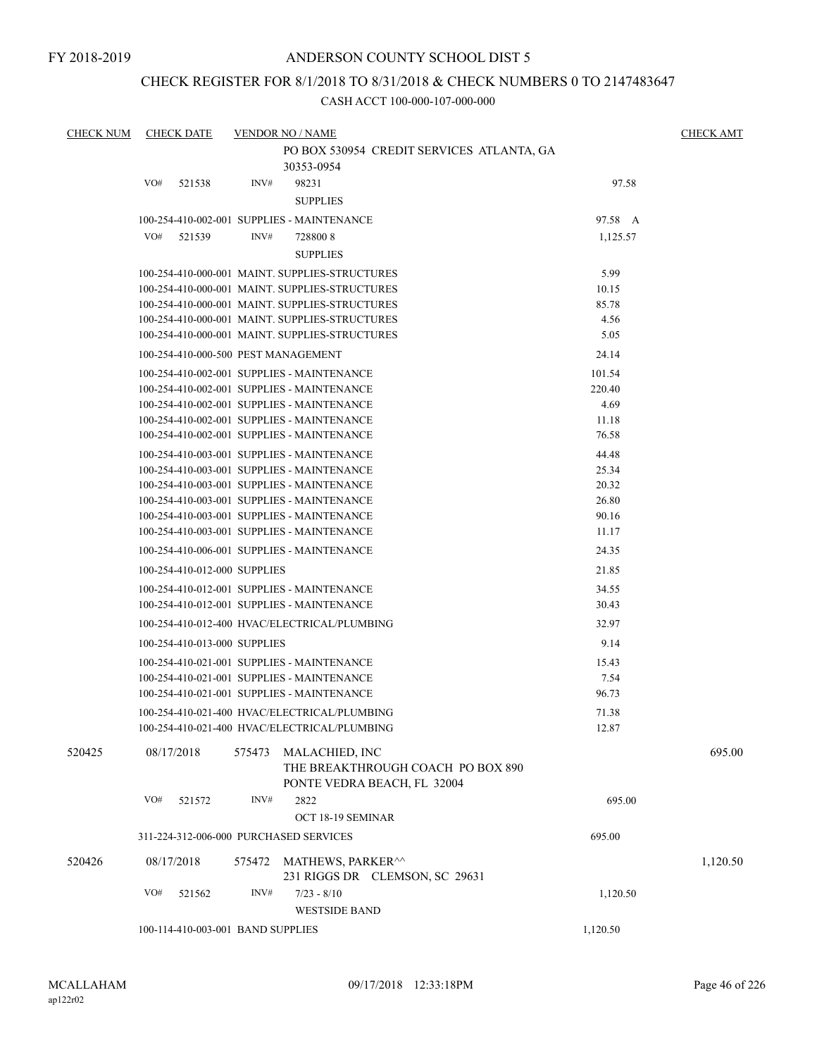### CHECK REGISTER FOR 8/1/2018 TO 8/31/2018 & CHECK NUMBERS 0 TO 2147483647

| <b>CHECK NUM</b> | <b>CHECK DATE</b>            | <b>VENDOR NO / NAME</b>                                                                   |                | <b>CHECK AMT</b> |
|------------------|------------------------------|-------------------------------------------------------------------------------------------|----------------|------------------|
|                  |                              | PO BOX 530954 CREDIT SERVICES ATLANTA, GA                                                 |                |                  |
|                  |                              | 30353-0954                                                                                |                |                  |
|                  | VO#<br>521538                | INV#<br>98231                                                                             | 97.58          |                  |
|                  |                              | <b>SUPPLIES</b>                                                                           |                |                  |
|                  |                              | 100-254-410-002-001 SUPPLIES - MAINTENANCE                                                | 97.58 A        |                  |
|                  | VO#<br>521539                | INV#<br>7288008                                                                           | 1,125.57       |                  |
|                  |                              | <b>SUPPLIES</b>                                                                           |                |                  |
|                  |                              | 100-254-410-000-001 MAINT. SUPPLIES-STRUCTURES                                            | 5.99           |                  |
|                  |                              | 100-254-410-000-001 MAINT. SUPPLIES-STRUCTURES                                            | 10.15          |                  |
|                  |                              | 100-254-410-000-001 MAINT, SUPPLIES-STRUCTURES                                            | 85.78          |                  |
|                  |                              | 100-254-410-000-001 MAINT. SUPPLIES-STRUCTURES                                            | 4.56           |                  |
|                  |                              | 100-254-410-000-001 MAINT. SUPPLIES-STRUCTURES                                            | 5.05           |                  |
|                  |                              | 100-254-410-000-500 PEST MANAGEMENT                                                       | 24.14          |                  |
|                  |                              | 100-254-410-002-001 SUPPLIES - MAINTENANCE                                                | 101.54         |                  |
|                  |                              | 100-254-410-002-001 SUPPLIES - MAINTENANCE                                                | 220.40         |                  |
|                  |                              | 100-254-410-002-001 SUPPLIES - MAINTENANCE                                                | 4.69           |                  |
|                  |                              | 100-254-410-002-001 SUPPLIES - MAINTENANCE                                                | 11.18          |                  |
|                  |                              | 100-254-410-002-001 SUPPLIES - MAINTENANCE                                                | 76.58          |                  |
|                  |                              | 100-254-410-003-001 SUPPLIES - MAINTENANCE                                                | 44.48          |                  |
|                  |                              | 100-254-410-003-001 SUPPLIES - MAINTENANCE                                                | 25.34          |                  |
|                  |                              | 100-254-410-003-001 SUPPLIES - MAINTENANCE                                                | 20.32          |                  |
|                  |                              | 100-254-410-003-001 SUPPLIES - MAINTENANCE                                                | 26.80          |                  |
|                  |                              | 100-254-410-003-001 SUPPLIES - MAINTENANCE<br>100-254-410-003-001 SUPPLIES - MAINTENANCE  | 90.16<br>11.17 |                  |
|                  |                              |                                                                                           |                |                  |
|                  |                              | 100-254-410-006-001 SUPPLIES - MAINTENANCE                                                | 24.35          |                  |
|                  | 100-254-410-012-000 SUPPLIES |                                                                                           | 21.85          |                  |
|                  |                              | 100-254-410-012-001 SUPPLIES - MAINTENANCE                                                | 34.55          |                  |
|                  |                              | 100-254-410-012-001 SUPPLIES - MAINTENANCE                                                | 30.43          |                  |
|                  |                              | 100-254-410-012-400 HVAC/ELECTRICAL/PLUMBING                                              | 32.97          |                  |
|                  | 100-254-410-013-000 SUPPLIES |                                                                                           | 9.14           |                  |
|                  |                              | 100-254-410-021-001 SUPPLIES - MAINTENANCE                                                | 15.43          |                  |
|                  |                              | 100-254-410-021-001 SUPPLIES - MAINTENANCE                                                | 7.54           |                  |
|                  |                              | 100-254-410-021-001 SUPPLIES - MAINTENANCE                                                | 96.73          |                  |
|                  |                              | 100-254-410-021-400 HVAC/ELECTRICAL/PLUMBING                                              | 71.38          |                  |
|                  |                              | 100-254-410-021-400 HVAC/ELECTRICAL/PLUMBING                                              | 12.87          |                  |
| 520425           | 08/17/2018                   | 575473 MALACHIED, INC<br>THE BREAKTHROUGH COACH PO BOX 890<br>PONTE VEDRA BEACH, FL 32004 |                | 695.00           |
|                  | VO#<br>521572                | INV#<br>2822                                                                              | 695.00         |                  |
|                  |                              | OCT 18-19 SEMINAR                                                                         |                |                  |
|                  |                              | 311-224-312-006-000 PURCHASED SERVICES                                                    | 695.00         |                  |
| 520426           | 08/17/2018                   | 575472 MATHEWS, PARKER <sup>^^</sup>                                                      |                | 1,120.50         |
|                  |                              | 231 RIGGS DR CLEMSON, SC 29631                                                            |                |                  |
|                  | VO#<br>521562                | INV#<br>$7/23 - 8/10$                                                                     | 1,120.50       |                  |
|                  |                              | <b>WESTSIDE BAND</b>                                                                      |                |                  |
|                  |                              | 100-114-410-003-001 BAND SUPPLIES                                                         | 1,120.50       |                  |
|                  |                              |                                                                                           |                |                  |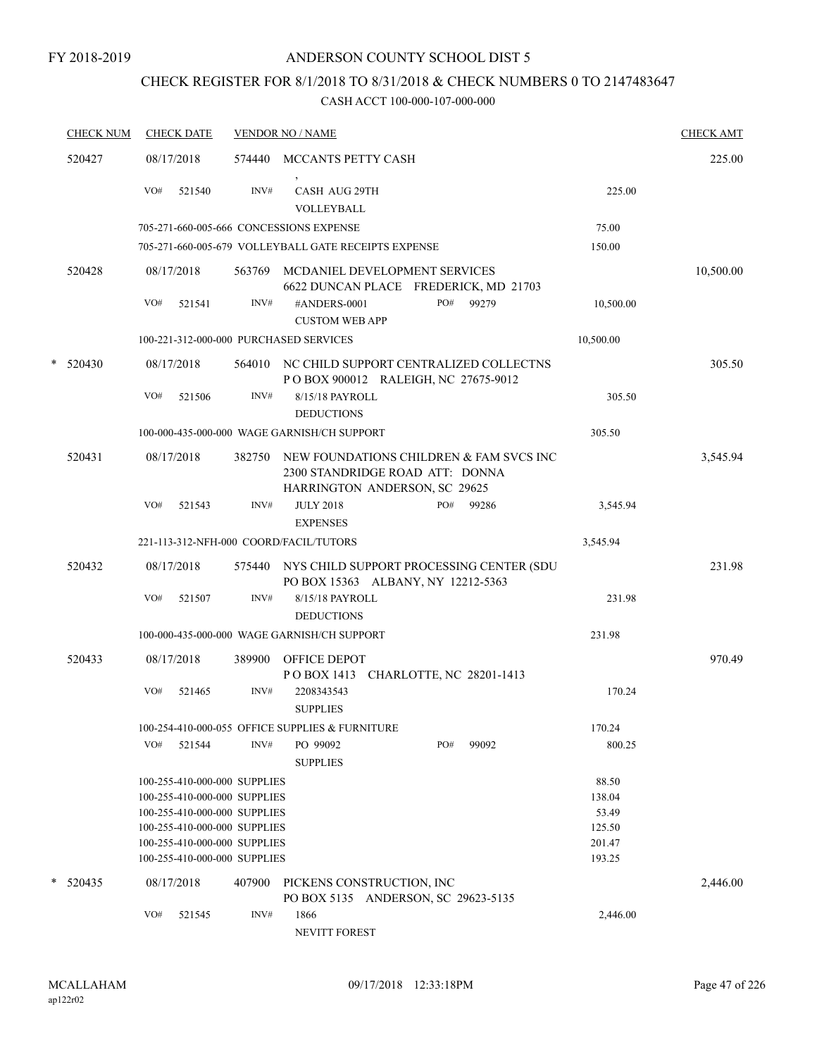## CHECK REGISTER FOR 8/1/2018 TO 8/31/2018 & CHECK NUMBERS 0 TO 2147483647

|   | <b>CHECK NUM</b> | <b>CHECK DATE</b>                                            |        | <b>VENDOR NO / NAME</b>                                                                                     |     |       |                 | <b>CHECK AMT</b> |
|---|------------------|--------------------------------------------------------------|--------|-------------------------------------------------------------------------------------------------------------|-----|-------|-----------------|------------------|
|   | 520427           | 08/17/2018                                                   | 574440 | MCCANTS PETTY CASH                                                                                          |     |       |                 | 225.00           |
|   |                  | VO#<br>521540                                                | INV#   | <b>CASH AUG 29TH</b><br>VOLLEYBALL                                                                          |     |       | 225.00          |                  |
|   |                  | 705-271-660-005-666 CONCESSIONS EXPENSE                      |        |                                                                                                             |     |       | 75.00           |                  |
|   |                  |                                                              |        | 705-271-660-005-679 VOLLEYBALL GATE RECEIPTS EXPENSE                                                        |     |       | 150.00          |                  |
|   | 520428           | 08/17/2018                                                   | 563769 | MCDANIEL DEVELOPMENT SERVICES<br>6622 DUNCAN PLACE FREDERICK, MD 21703                                      |     |       |                 | 10,500.00        |
|   |                  | VO#<br>521541                                                | INV#   | #ANDERS-0001<br><b>CUSTOM WEB APP</b>                                                                       | PO# | 99279 | 10,500.00       |                  |
|   |                  | 100-221-312-000-000 PURCHASED SERVICES                       |        |                                                                                                             |     |       | 10,500.00       |                  |
| * | 520430           | 08/17/2018                                                   |        | 564010 NC CHILD SUPPORT CENTRALIZED COLLECTNS<br>POBOX 900012 RALEIGH, NC 27675-9012                        |     |       |                 | 305.50           |
|   |                  | VO#<br>521506                                                | INV#   | 8/15/18 PAYROLL<br><b>DEDUCTIONS</b>                                                                        |     |       | 305.50          |                  |
|   |                  |                                                              |        | 100-000-435-000-000 WAGE GARNISH/CH SUPPORT                                                                 |     |       | 305.50          |                  |
|   | 520431           | 08/17/2018                                                   | 382750 | NEW FOUNDATIONS CHILDREN & FAM SVCS INC<br>2300 STANDRIDGE ROAD ATT: DONNA<br>HARRINGTON ANDERSON, SC 29625 |     |       |                 | 3,545.94         |
|   |                  | VO#<br>521543                                                | INV#   | <b>JULY 2018</b><br><b>EXPENSES</b>                                                                         | PO# | 99286 | 3,545.94        |                  |
|   |                  | 221-113-312-NFH-000 COORD/FACIL/TUTORS                       |        |                                                                                                             |     |       | 3,545.94        |                  |
|   | 520432           | 08/17/2018                                                   |        | 575440 NYS CHILD SUPPORT PROCESSING CENTER (SDU<br>PO BOX 15363 ALBANY, NY 12212-5363                       |     |       |                 | 231.98           |
|   |                  | VO#<br>521507                                                | INV#   | 8/15/18 PAYROLL<br><b>DEDUCTIONS</b>                                                                        |     |       | 231.98          |                  |
|   |                  |                                                              |        | 100-000-435-000-000 WAGE GARNISH/CH SUPPORT                                                                 |     |       | 231.98          |                  |
|   | 520433           | 08/17/2018                                                   | 389900 | OFFICE DEPOT<br>POBOX 1413 CHARLOTTE, NC 28201-1413                                                         |     |       |                 | 970.49           |
|   |                  | VO#<br>521465                                                | INV#   | 2208343543<br><b>SUPPLIES</b>                                                                               |     |       | 170.24          |                  |
|   |                  |                                                              |        | 100-254-410-000-055 OFFICE SUPPLIES & FURNITURE                                                             |     |       | 170.24          |                  |
|   |                  | VO#<br>521544                                                | INV#   | PO 99092<br><b>SUPPLIES</b>                                                                                 | PO# | 99092 | 800.25          |                  |
|   |                  | 100-255-410-000-000 SUPPLIES                                 |        |                                                                                                             |     |       | 88.50           |                  |
|   |                  | 100-255-410-000-000 SUPPLIES                                 |        |                                                                                                             |     |       | 138.04          |                  |
|   |                  | 100-255-410-000-000 SUPPLIES                                 |        |                                                                                                             |     |       | 53.49<br>125.50 |                  |
|   |                  | 100-255-410-000-000 SUPPLIES<br>100-255-410-000-000 SUPPLIES |        |                                                                                                             |     |       | 201.47          |                  |
|   |                  | 100-255-410-000-000 SUPPLIES                                 |        |                                                                                                             |     |       | 193.25          |                  |
|   | * 520435         | 08/17/2018                                                   | 407900 | PICKENS CONSTRUCTION, INC<br>PO BOX 5135 ANDERSON, SC 29623-5135                                            |     |       |                 | 2,446.00         |
|   |                  | VO#<br>521545                                                | INV#   | 1866<br>NEVITT FOREST                                                                                       |     |       | 2,446.00        |                  |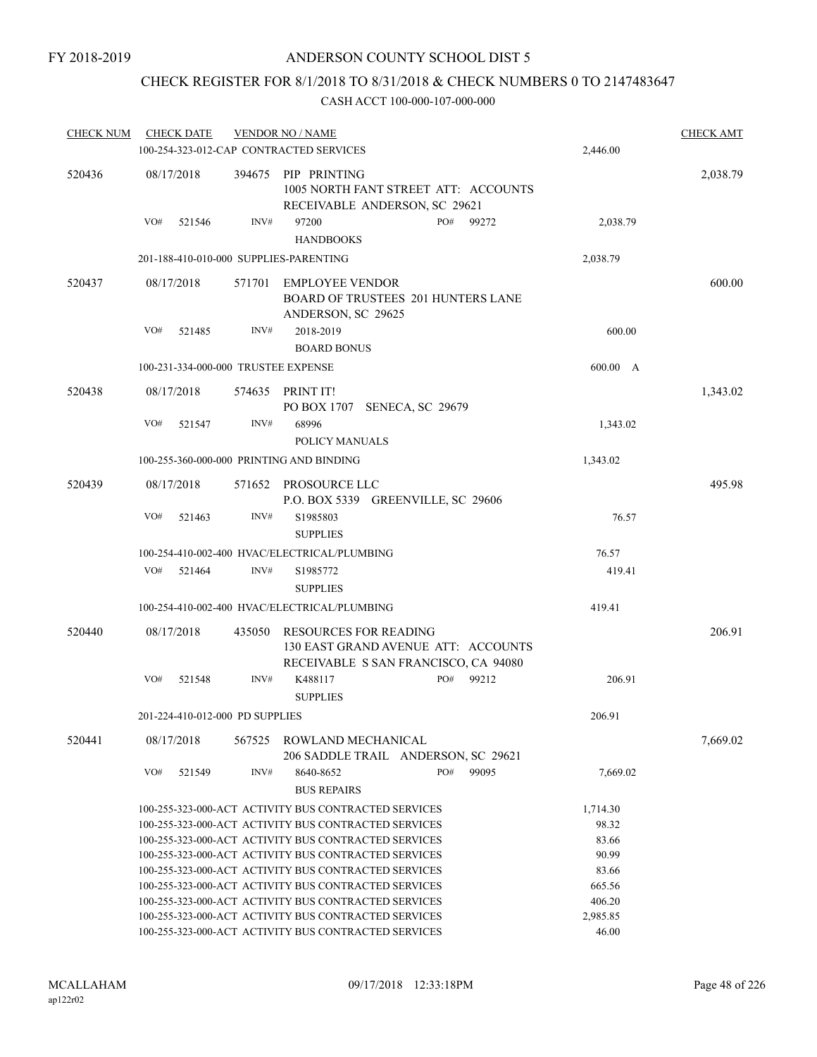### CHECK REGISTER FOR 8/1/2018 TO 8/31/2018 & CHECK NUMBERS 0 TO 2147483647

| <b>CHECK NUM</b> |     | <b>CHECK DATE</b>               |        | <b>VENDOR NO / NAME</b>                                                                                     |     |       |          | <b>CHECK AMT</b> |
|------------------|-----|---------------------------------|--------|-------------------------------------------------------------------------------------------------------------|-----|-------|----------|------------------|
|                  |     |                                 |        | 100-254-323-012-CAP CONTRACTED SERVICES                                                                     |     |       | 2,446.00 |                  |
| 520436           |     | 08/17/2018                      | 394675 | PIP PRINTING<br>1005 NORTH FANT STREET ATT: ACCOUNTS<br>RECEIVABLE ANDERSON, SC 29621                       |     |       |          | 2,038.79         |
|                  | VO# | 521546                          | INV#   | 97200<br><b>HANDBOOKS</b>                                                                                   | PO# | 99272 | 2,038.79 |                  |
|                  |     |                                 |        | 201-188-410-010-000 SUPPLIES-PARENTING                                                                      |     |       | 2,038.79 |                  |
| 520437           |     | 08/17/2018                      | 571701 | <b>EMPLOYEE VENDOR</b><br><b>BOARD OF TRUSTEES 201 HUNTERS LANE</b><br>ANDERSON, SC 29625                   |     |       |          | 600.00           |
|                  | VO# | 521485                          | INV#   | 2018-2019<br><b>BOARD BONUS</b>                                                                             |     |       | 600.00   |                  |
|                  |     |                                 |        | 100-231-334-000-000 TRUSTEE EXPENSE                                                                         |     |       | 600.00 A |                  |
| 520438           |     | 08/17/2018                      | 574635 | PRINT IT!                                                                                                   |     |       |          | 1,343.02         |
|                  | VO# | 521547                          | INV#   | PO BOX 1707 SENECA, SC 29679<br>68996                                                                       |     |       | 1,343.02 |                  |
|                  |     |                                 |        | POLICY MANUALS                                                                                              |     |       |          |                  |
|                  |     |                                 |        | 100-255-360-000-000 PRINTING AND BINDING                                                                    |     |       | 1,343.02 |                  |
| 520439           |     | 08/17/2018                      |        | 571652 PROSOURCE LLC<br>P.O. BOX 5339 GREENVILLE, SC 29606                                                  |     |       |          | 495.98           |
|                  | VO# | 521463                          | INV#   | S1985803<br><b>SUPPLIES</b>                                                                                 |     |       | 76.57    |                  |
|                  |     |                                 |        | 100-254-410-002-400 HVAC/ELECTRICAL/PLUMBING                                                                |     |       | 76.57    |                  |
|                  | VO# | 521464                          | INV#   | S1985772<br><b>SUPPLIES</b>                                                                                 |     |       | 419.41   |                  |
|                  |     |                                 |        | 100-254-410-002-400 HVAC/ELECTRICAL/PLUMBING                                                                |     |       | 419.41   |                  |
| 520440           |     | 08/17/2018                      | 435050 | <b>RESOURCES FOR READING</b><br>130 EAST GRAND AVENUE ATT: ACCOUNTS<br>RECEIVABLE S SAN FRANCISCO, CA 94080 |     |       |          | 206.91           |
|                  | VO# | 521548                          | INV#   | K488117<br><b>SUPPLIES</b>                                                                                  | PO# | 99212 | 206.91   |                  |
|                  |     | 201-224-410-012-000 PD SUPPLIES |        |                                                                                                             |     |       | 206.91   |                  |
| 520441           |     | 08/17/2018                      |        | 567525 ROWLAND MECHANICAL<br>206 SADDLE TRAIL ANDERSON, SC 29621                                            |     |       |          | 7,669.02         |
|                  | VO# | 521549                          | INV#   | 8640-8652<br><b>BUS REPAIRS</b>                                                                             | PO# | 99095 | 7,669.02 |                  |
|                  |     |                                 |        | 100-255-323-000-ACT ACTIVITY BUS CONTRACTED SERVICES                                                        |     |       | 1,714.30 |                  |
|                  |     |                                 |        | 100-255-323-000-ACT ACTIVITY BUS CONTRACTED SERVICES                                                        |     |       | 98.32    |                  |
|                  |     |                                 |        | 100-255-323-000-ACT ACTIVITY BUS CONTRACTED SERVICES                                                        |     |       | 83.66    |                  |
|                  |     |                                 |        | 100-255-323-000-ACT ACTIVITY BUS CONTRACTED SERVICES                                                        |     |       | 90.99    |                  |
|                  |     |                                 |        | 100-255-323-000-ACT ACTIVITY BUS CONTRACTED SERVICES                                                        |     |       | 83.66    |                  |
|                  |     |                                 |        | 100-255-323-000-ACT ACTIVITY BUS CONTRACTED SERVICES                                                        |     |       | 665.56   |                  |
|                  |     |                                 |        | 100-255-323-000-ACT ACTIVITY BUS CONTRACTED SERVICES                                                        |     |       | 406.20   |                  |
|                  |     |                                 |        | 100-255-323-000-ACT ACTIVITY BUS CONTRACTED SERVICES                                                        |     |       | 2,985.85 |                  |
|                  |     |                                 |        | 100-255-323-000-ACT ACTIVITY BUS CONTRACTED SERVICES                                                        |     |       | 46.00    |                  |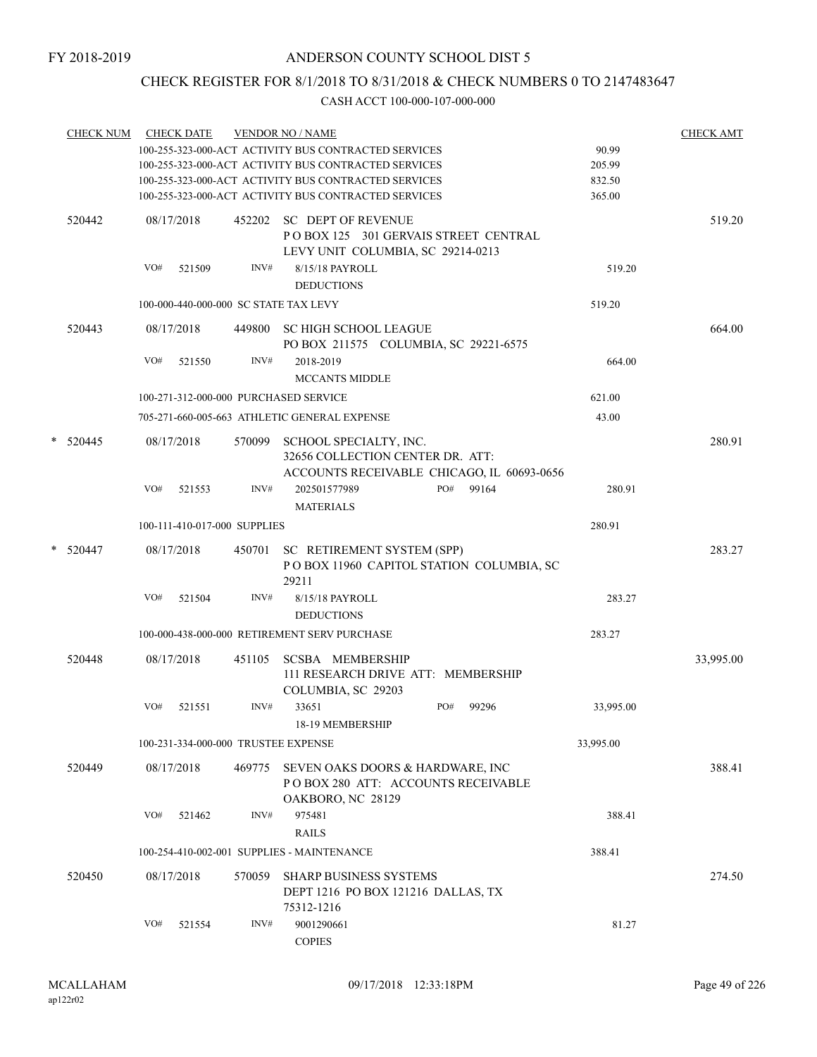## CHECK REGISTER FOR 8/1/2018 TO 8/31/2018 & CHECK NUMBERS 0 TO 2147483647

| <b>CHECK NUM</b> |     | <b>CHECK DATE</b>                                    |                                     | <b>VENDOR NO / NAME</b>                                                                                |           | <b>CHECK AMT</b> |
|------------------|-----|------------------------------------------------------|-------------------------------------|--------------------------------------------------------------------------------------------------------|-----------|------------------|
|                  |     |                                                      |                                     | 100-255-323-000-ACT ACTIVITY BUS CONTRACTED SERVICES                                                   | 90.99     |                  |
|                  |     |                                                      |                                     | 100-255-323-000-ACT ACTIVITY BUS CONTRACTED SERVICES                                                   | 205.99    |                  |
|                  |     |                                                      |                                     | 100-255-323-000-ACT ACTIVITY BUS CONTRACTED SERVICES                                                   | 832.50    |                  |
|                  |     | 100-255-323-000-ACT ACTIVITY BUS CONTRACTED SERVICES | 365.00                              |                                                                                                        |           |                  |
| 520442           |     | 08/17/2018                                           |                                     | 452202 SC DEPT OF REVENUE<br>POBOX 125 301 GERVAIS STREET CENTRAL<br>LEVY UNIT COLUMBIA, SC 29214-0213 |           | 519.20           |
|                  | VO# | 521509                                               | INV#                                | 8/15/18 PAYROLL<br><b>DEDUCTIONS</b>                                                                   | 519.20    |                  |
|                  |     |                                                      |                                     | 100-000-440-000-000 SC STATE TAX LEVY                                                                  | 519.20    |                  |
| 520443           |     | 08/17/2018                                           |                                     | 449800 SC HIGH SCHOOL LEAGUE<br>PO BOX 211575 COLUMBIA, SC 29221-6575                                  |           | 664.00           |
|                  | VO# | 521550                                               | INV#                                | 2018-2019<br><b>MCCANTS MIDDLE</b>                                                                     | 664.00    |                  |
|                  |     |                                                      |                                     | 100-271-312-000-000 PURCHASED SERVICE                                                                  | 621.00    |                  |
|                  |     |                                                      |                                     | 705-271-660-005-663 ATHLETIC GENERAL EXPENSE                                                           | 43.00     |                  |
| $*$ 520445       |     | 08/17/2018                                           | 570099                              | SCHOOL SPECIALTY, INC.<br>32656 COLLECTION CENTER DR. ATT:                                             |           | 280.91           |
|                  | VO# | 521553                                               | INV#                                | ACCOUNTS RECEIVABLE CHICAGO, IL 60693-0656<br>PO#<br>99164<br>202501577989<br><b>MATERIALS</b>         | 280.91    |                  |
|                  |     |                                                      | 100-111-410-017-000 SUPPLIES        |                                                                                                        | 280.91    |                  |
| * 520447         |     | 08/17/2018                                           | 450701                              | SC RETIREMENT SYSTEM (SPP)<br>POBOX 11960 CAPITOL STATION COLUMBIA, SC                                 |           | 283.27           |
|                  | VO# | 521504                                               | INV#                                | 29211<br>8/15/18 PAYROLL<br><b>DEDUCTIONS</b>                                                          | 283.27    |                  |
|                  |     |                                                      |                                     | 100-000-438-000-000 RETIREMENT SERV PURCHASE                                                           | 283.27    |                  |
| 520448           |     | 08/17/2018                                           | 451105                              | <b>SCSBA MEMBERSHIP</b><br>111 RESEARCH DRIVE ATT: MEMBERSHIP<br>COLUMBIA, SC 29203                    |           | 33,995.00        |
|                  | VO# | 521551                                               | INV#                                | 33651<br>PO#<br>99296<br>18-19 MEMBERSHIP                                                              | 33,995.00 |                  |
|                  |     |                                                      | 100-231-334-000-000 TRUSTEE EXPENSE |                                                                                                        | 33,995.00 |                  |
| 520449           |     | 08/17/2018                                           | 469775                              | SEVEN OAKS DOORS & HARDWARE, INC<br>POBOX 280 ATT: ACCOUNTS RECEIVABLE<br>OAKBORO, NC 28129            |           | 388.41           |
|                  | VO# | 521462                                               | INV#                                | 975481<br><b>RAILS</b>                                                                                 | 388.41    |                  |
|                  |     |                                                      |                                     | 100-254-410-002-001 SUPPLIES - MAINTENANCE                                                             | 388.41    |                  |
| 520450           |     | 08/17/2018                                           | 570059                              | <b>SHARP BUSINESS SYSTEMS</b><br>DEPT 1216 PO BOX 121216 DALLAS, TX<br>75312-1216                      |           | 274.50           |
|                  | VO# | 521554                                               | INV#                                | 9001290661<br><b>COPIES</b>                                                                            | 81.27     |                  |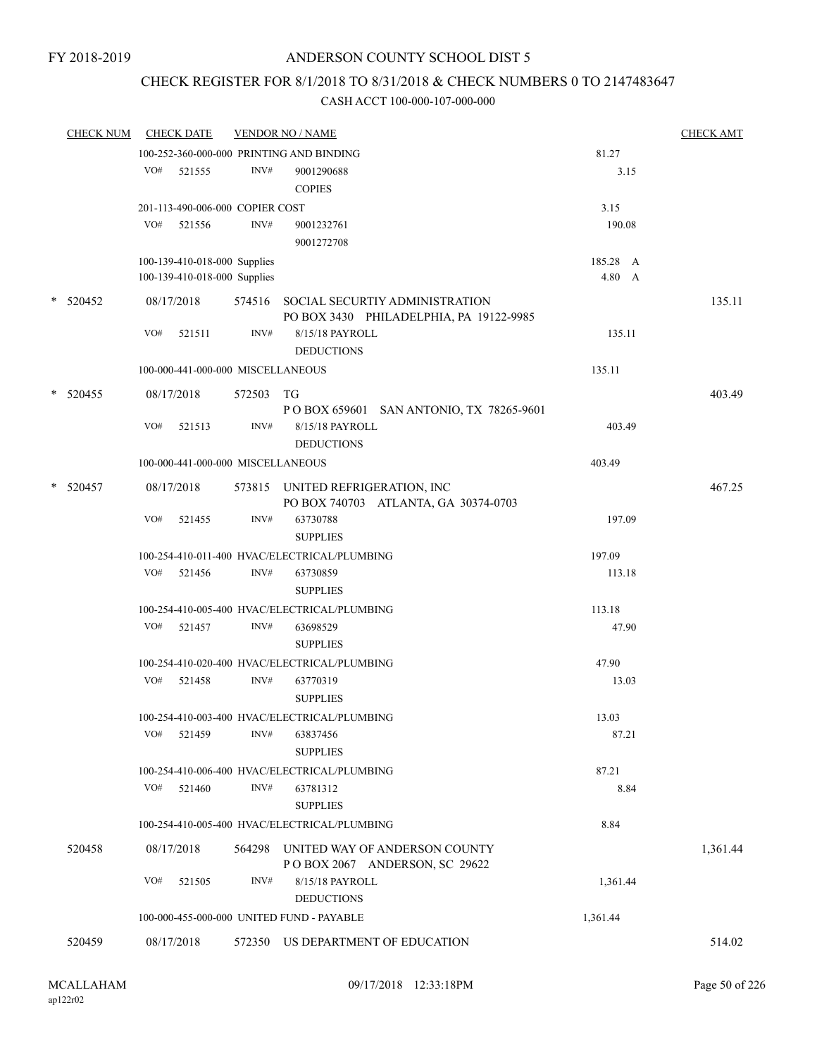### CHECK REGISTER FOR 8/1/2018 TO 8/31/2018 & CHECK NUMBERS 0 TO 2147483647

| <b>CHECK NUM</b> |            | <b>CHECK DATE</b>                 |                | <b>VENDOR NO / NAME</b>                                                          |          | <b>CHECK AMT</b> |
|------------------|------------|-----------------------------------|----------------|----------------------------------------------------------------------------------|----------|------------------|
|                  |            |                                   |                | 100-252-360-000-000 PRINTING AND BINDING                                         | 81.27    |                  |
|                  | VO#        | 521555                            | INV#           | 9001290688                                                                       | 3.15     |                  |
|                  |            |                                   |                | <b>COPIES</b>                                                                    |          |                  |
|                  |            | 201-113-490-006-000 COPIER COST   |                |                                                                                  | 3.15     |                  |
|                  | VO#        | 521556                            | INV#           | 9001232761                                                                       | 190.08   |                  |
|                  |            |                                   |                | 9001272708                                                                       |          |                  |
|                  |            | 100-139-410-018-000 Supplies      |                |                                                                                  | 185.28 A |                  |
|                  |            | 100-139-410-018-000 Supplies      |                |                                                                                  | 4.80 A   |                  |
| $*$ 520452       | 08/17/2018 |                                   |                | 574516 SOCIAL SECURTIY ADMINISTRATION<br>PO BOX 3430 PHILADELPHIA, PA 19122-9985 |          | 135.11           |
|                  | VO#        | 521511                            | INV#           | 8/15/18 PAYROLL<br><b>DEDUCTIONS</b>                                             | 135.11   |                  |
|                  |            | 100-000-441-000-000 MISCELLANEOUS |                |                                                                                  | 135.11   |                  |
| * 520455         | 08/17/2018 |                                   | 572503         | TG                                                                               |          | 403.49           |
|                  |            |                                   |                | P O BOX 659601 SAN ANTONIO, TX 78265-9601                                        |          |                  |
|                  | VO#        | 521513                            | INV#           | 8/15/18 PAYROLL                                                                  | 403.49   |                  |
|                  |            |                                   |                | <b>DEDUCTIONS</b>                                                                |          |                  |
|                  |            | 100-000-441-000-000 MISCELLANEOUS |                |                                                                                  | 403.49   |                  |
| $*$ 520457       | 08/17/2018 |                                   |                | 573815 UNITED REFRIGERATION, INC<br>PO BOX 740703 ATLANTA, GA 30374-0703         |          | 467.25           |
|                  | VO#        | 521455                            | INV#           | 63730788<br><b>SUPPLIES</b>                                                      | 197.09   |                  |
|                  |            |                                   |                | 100-254-410-011-400 HVAC/ELECTRICAL/PLUMBING                                     | 197.09   |                  |
|                  | VO#        | 521456                            | $\text{INV}\#$ | 63730859                                                                         | 113.18   |                  |
|                  |            |                                   |                | <b>SUPPLIES</b>                                                                  |          |                  |
|                  |            |                                   |                | 100-254-410-005-400 HVAC/ELECTRICAL/PLUMBING                                     | 113.18   |                  |
|                  | VO#        | 521457                            | INV#           | 63698529                                                                         | 47.90    |                  |
|                  |            |                                   |                | <b>SUPPLIES</b>                                                                  |          |                  |
|                  |            |                                   |                | 100-254-410-020-400 HVAC/ELECTRICAL/PLUMBING                                     | 47.90    |                  |
|                  | VO#        | 521458                            | INV#           | 63770319                                                                         | 13.03    |                  |
|                  |            |                                   |                | <b>SUPPLIES</b>                                                                  |          |                  |
|                  |            |                                   |                | 100-254-410-003-400 HVAC/ELECTRICAL/PLUMBING                                     | 13.03    |                  |
|                  | VO#        | 521459                            | INV#           | 63837456                                                                         | 87.21    |                  |
|                  |            |                                   |                | <b>SUPPLIES</b>                                                                  |          |                  |
|                  |            |                                   |                | 100-254-410-006-400 HVAC/ELECTRICAL/PLUMBING                                     | 87.21    |                  |
|                  | VO#        | 521460                            | INV#           | 63781312<br><b>SUPPLIES</b>                                                      | 8.84     |                  |
|                  |            |                                   |                | 100-254-410-005-400 HVAC/ELECTRICAL/PLUMBING                                     | 8.84     |                  |
| 520458           | 08/17/2018 |                                   |                | 564298 UNITED WAY OF ANDERSON COUNTY                                             |          | 1,361.44         |
|                  |            |                                   |                | POBOX 2067 ANDERSON, SC 29622                                                    |          |                  |
|                  | VO#        | 521505                            | INV#           | 8/15/18 PAYROLL                                                                  | 1,361.44 |                  |
|                  |            |                                   |                | <b>DEDUCTIONS</b>                                                                |          |                  |
|                  |            |                                   |                | 100-000-455-000-000 UNITED FUND - PAYABLE                                        | 1,361.44 |                  |
| 520459           | 08/17/2018 |                                   |                | 572350 US DEPARTMENT OF EDUCATION                                                |          | 514.02           |
|                  |            |                                   |                |                                                                                  |          |                  |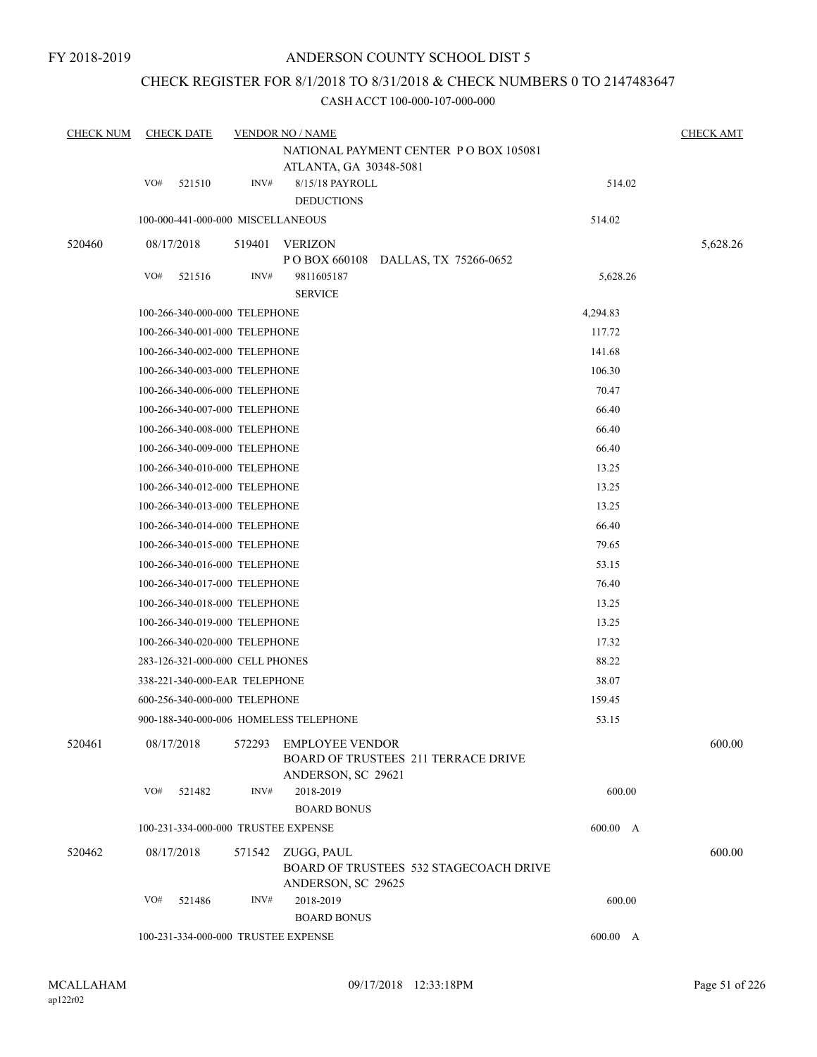### CHECK REGISTER FOR 8/1/2018 TO 8/31/2018 & CHECK NUMBERS 0 TO 2147483647

| <b>CHECK NUM</b> |     | <b>CHECK DATE</b>                   |        | <b>VENDOR NO / NAME</b>                                                             |          | <b>CHECK AMT</b> |
|------------------|-----|-------------------------------------|--------|-------------------------------------------------------------------------------------|----------|------------------|
|                  |     |                                     |        | NATIONAL PAYMENT CENTER PO BOX 105081                                               |          |                  |
|                  | VO# | 521510                              | INV#   | ATLANTA, GA 30348-5081                                                              | 514.02   |                  |
|                  |     |                                     |        | 8/15/18 PAYROLL<br><b>DEDUCTIONS</b>                                                |          |                  |
|                  |     | 100-000-441-000-000 MISCELLANEOUS   |        |                                                                                     | 514.02   |                  |
| 520460           |     | 08/17/2018                          | 519401 | <b>VERIZON</b>                                                                      |          | 5,628.26         |
|                  |     |                                     |        | POBOX 660108 DALLAS, TX 75266-0652                                                  |          |                  |
|                  | VO# | 521516                              | INV#   | 9811605187                                                                          | 5,628.26 |                  |
|                  |     |                                     |        | <b>SERVICE</b>                                                                      |          |                  |
|                  |     | 100-266-340-000-000 TELEPHONE       |        |                                                                                     | 4,294.83 |                  |
|                  |     | 100-266-340-001-000 TELEPHONE       |        |                                                                                     | 117.72   |                  |
|                  |     | 100-266-340-002-000 TELEPHONE       |        | 141.68                                                                              |          |                  |
|                  |     | 100-266-340-003-000 TELEPHONE       |        | 106.30                                                                              |          |                  |
|                  |     | 100-266-340-006-000 TELEPHONE       |        | 70.47                                                                               |          |                  |
|                  |     | 100-266-340-007-000 TELEPHONE       |        |                                                                                     | 66.40    |                  |
|                  |     | 100-266-340-008-000 TELEPHONE       |        |                                                                                     | 66.40    |                  |
|                  |     | 100-266-340-009-000 TELEPHONE       |        |                                                                                     | 66.40    |                  |
|                  |     | 100-266-340-010-000 TELEPHONE       |        |                                                                                     | 13.25    |                  |
|                  |     | 100-266-340-012-000 TELEPHONE       |        |                                                                                     | 13.25    |                  |
|                  |     | 100-266-340-013-000 TELEPHONE       |        |                                                                                     | 13.25    |                  |
|                  |     | 100-266-340-014-000 TELEPHONE       |        |                                                                                     | 66.40    |                  |
|                  |     | 100-266-340-015-000 TELEPHONE       |        |                                                                                     | 79.65    |                  |
|                  |     | 100-266-340-016-000 TELEPHONE       |        |                                                                                     | 53.15    |                  |
|                  |     | 100-266-340-017-000 TELEPHONE       |        |                                                                                     | 76.40    |                  |
|                  |     | 100-266-340-018-000 TELEPHONE       |        | 13.25                                                                               |          |                  |
|                  |     | 100-266-340-019-000 TELEPHONE       |        | 13.25                                                                               |          |                  |
|                  |     | 100-266-340-020-000 TELEPHONE       |        | 17.32                                                                               |          |                  |
|                  |     | 283-126-321-000-000 CELL PHONES     |        |                                                                                     | 88.22    |                  |
|                  |     | 338-221-340-000-EAR TELEPHONE       |        |                                                                                     | 38.07    |                  |
|                  |     | 600-256-340-000-000 TELEPHONE       |        |                                                                                     | 159.45   |                  |
|                  |     |                                     |        | 900-188-340-000-006 HOMELESS TELEPHONE                                              | 53.15    |                  |
| 520461           |     | 08/17/2018                          | 572293 | EMPLOYEE VENDOR<br><b>BOARD OF TRUSTEES 211 TERRACE DRIVE</b><br>ANDERSON, SC 29621 |          | 600.00           |
|                  | VO# | 521482                              | INV#   | 2018-2019                                                                           | 600.00   |                  |
|                  |     |                                     |        | <b>BOARD BONUS</b>                                                                  |          |                  |
|                  |     |                                     |        | 100-231-334-000-000 TRUSTEE EXPENSE                                                 | 600.00 A |                  |
| 520462           |     | 08/17/2018                          | 571542 | ZUGG, PAUL<br><b>BOARD OF TRUSTEES 532 STAGECOACH DRIVE</b><br>ANDERSON, SC 29625   |          | 600.00           |
|                  | VO# | 521486                              | INV#   | 2018-2019                                                                           | 600.00   |                  |
|                  |     |                                     |        | <b>BOARD BONUS</b>                                                                  |          |                  |
|                  |     | 100-231-334-000-000 TRUSTEE EXPENSE |        | 600.00 A                                                                            |          |                  |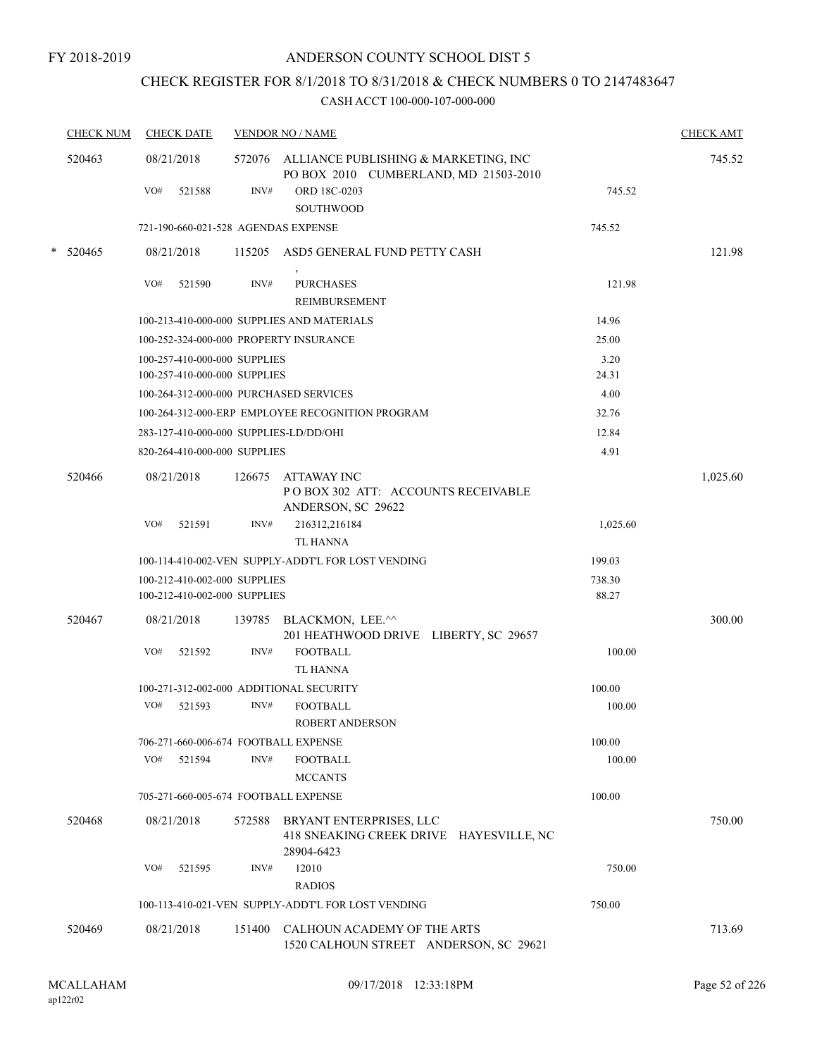## CHECK REGISTER FOR 8/1/2018 TO 8/31/2018 & CHECK NUMBERS 0 TO 2147483647

| <b>CHECK NUM</b> | <b>CHECK DATE</b>                                            |        | <b>VENDOR NO / NAME</b>                                                                 |                 | <b>CHECK AMT</b> |
|------------------|--------------------------------------------------------------|--------|-----------------------------------------------------------------------------------------|-----------------|------------------|
| 520463           | 08/21/2018                                                   |        | 572076 ALLIANCE PUBLISHING & MARKETING, INC<br>PO BOX 2010 CUMBERLAND, MD 21503-2010    |                 | 745.52           |
|                  | VO#<br>521588                                                | INV#   | ORD 18C-0203<br><b>SOUTHWOOD</b>                                                        | 745.52          |                  |
|                  | 721-190-660-021-528 AGENDAS EXPENSE                          |        |                                                                                         | 745.52          |                  |
| $*$ 520465       | 08/21/2018                                                   |        | 115205 ASD5 GENERAL FUND PETTY CASH                                                     |                 | 121.98           |
|                  | VO#<br>521590                                                | INV#   | <b>PURCHASES</b><br><b>REIMBURSEMENT</b>                                                | 121.98          |                  |
|                  |                                                              |        | 100-213-410-000-000 SUPPLIES AND MATERIALS                                              | 14.96           |                  |
|                  | 100-252-324-000-000 PROPERTY INSURANCE                       |        |                                                                                         | 25.00           |                  |
|                  | 100-257-410-000-000 SUPPLIES                                 |        |                                                                                         | 3.20            |                  |
|                  | 100-257-410-000-000 SUPPLIES                                 |        |                                                                                         | 24.31           |                  |
|                  | 100-264-312-000-000 PURCHASED SERVICES                       |        |                                                                                         | 4.00            |                  |
|                  |                                                              |        | 100-264-312-000-ERP EMPLOYEE RECOGNITION PROGRAM                                        | 32.76           |                  |
|                  | 283-127-410-000-000 SUPPLIES-LD/DD/OHI                       |        |                                                                                         | 12.84           |                  |
|                  | 820-264-410-000-000 SUPPLIES                                 |        |                                                                                         | 4.91            |                  |
| 520466           | 08/21/2018                                                   | 126675 | ATTAWAY INC<br>POBOX 302 ATT: ACCOUNTS RECEIVABLE<br>ANDERSON, SC 29622                 |                 | 1,025.60         |
|                  | VO#<br>521591                                                | INV#   | 216312,216184<br><b>TL HANNA</b>                                                        | 1,025.60        |                  |
|                  |                                                              |        | 100-114-410-002-VEN SUPPLY-ADDT'L FOR LOST VENDING                                      | 199.03          |                  |
|                  | 100-212-410-002-000 SUPPLIES<br>100-212-410-002-000 SUPPLIES |        |                                                                                         | 738.30<br>88.27 |                  |
| 520467           | 08/21/2018                                                   | 139785 | BLACKMON, LEE.^^<br>201 HEATHWOOD DRIVE LIBERTY, SC 29657                               |                 | 300.00           |
|                  | VO#<br>521592                                                | INV#   | <b>FOOTBALL</b><br><b>TL HANNA</b>                                                      | 100.00          |                  |
|                  | 100-271-312-002-000 ADDITIONAL SECURITY                      |        |                                                                                         | 100.00          |                  |
|                  | VO#<br>521593                                                | INV#   | <b>FOOTBALL</b><br>ROBERT ANDERSON                                                      | 100.00          |                  |
|                  | 706-271-660-006-674 FOOTBALL EXPENSE                         |        |                                                                                         | 100.00          |                  |
|                  | VO#<br>521594                                                | INV#   | <b>FOOTBALL</b><br><b>MCCANTS</b>                                                       | 100.00          |                  |
|                  | 705-271-660-005-674 FOOTBALL EXPENSE                         |        |                                                                                         | 100.00          |                  |
| 520468           | 08/21/2018                                                   |        | 572588 BRYANT ENTERPRISES, LLC<br>418 SNEAKING CREEK DRIVE HAYESVILLE, NC<br>28904-6423 |                 | 750.00           |
|                  | VO#<br>521595                                                | INV#   | 12010<br><b>RADIOS</b>                                                                  | 750.00          |                  |
|                  |                                                              |        | 100-113-410-021-VEN SUPPLY-ADDT'L FOR LOST VENDING                                      | 750.00          |                  |
| 520469           | 08/21/2018                                                   |        | 151400 CALHOUN ACADEMY OF THE ARTS<br>1520 CALHOUN STREET ANDERSON, SC 29621            |                 | 713.69           |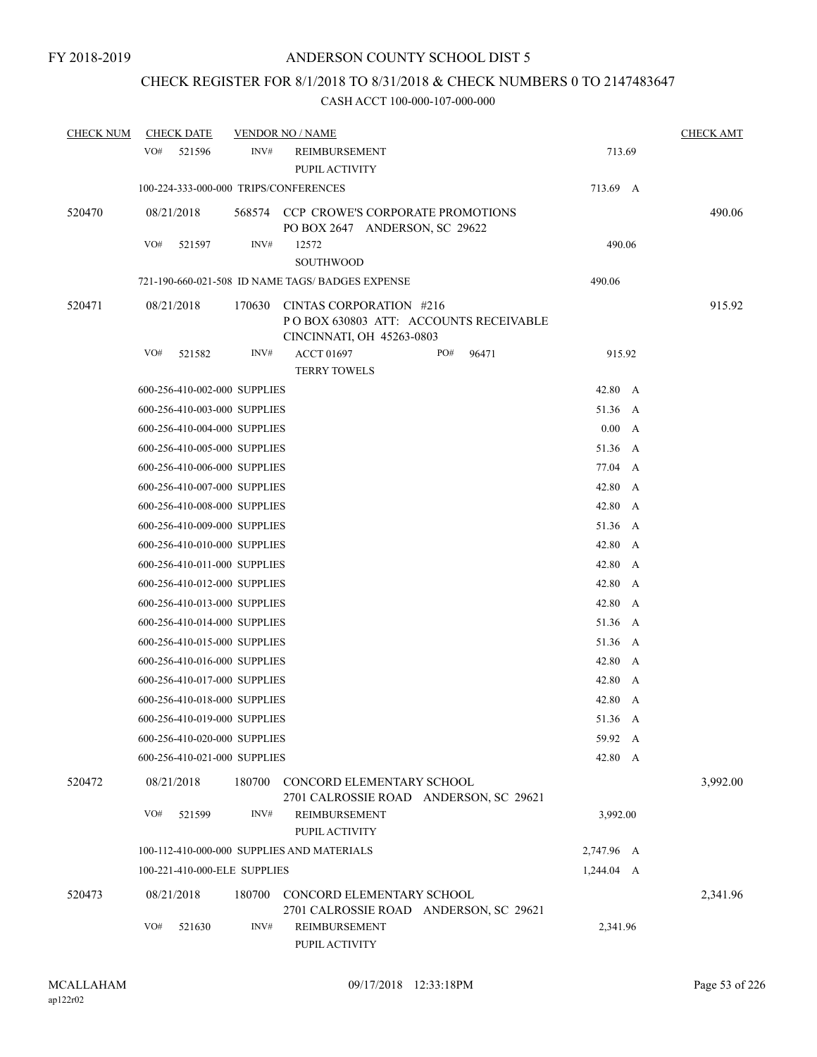### CHECK REGISTER FOR 8/1/2018 TO 8/31/2018 & CHECK NUMBERS 0 TO 2147483647

| <b>CHECK NUM</b> | <b>CHECK DATE</b>                     |        | <b>VENDOR NO / NAME</b>                                                                       |     |       |            | <b>CHECK AMT</b> |
|------------------|---------------------------------------|--------|-----------------------------------------------------------------------------------------------|-----|-------|------------|------------------|
|                  | VO#<br>521596                         | INV#   | REIMBURSEMENT<br>PUPIL ACTIVITY                                                               |     |       | 713.69     |                  |
|                  | 100-224-333-000-000 TRIPS/CONFERENCES |        |                                                                                               |     |       | 713.69 A   |                  |
| 520470           | 08/21/2018                            |        | 568574 CCP CROWE'S CORPORATE PROMOTIONS<br>PO BOX 2647 ANDERSON, SC 29622                     |     |       |            | 490.06           |
|                  | VO#<br>521597                         | INV#   | 12572<br><b>SOUTHWOOD</b>                                                                     |     |       | 490.06     |                  |
|                  |                                       |        | 721-190-660-021-508 ID NAME TAGS/ BADGES EXPENSE                                              |     |       | 490.06     |                  |
| 520471           | 08/21/2018                            | 170630 | CINTAS CORPORATION #216<br>POBOX 630803 ATT: ACCOUNTS RECEIVABLE<br>CINCINNATI, OH 45263-0803 |     |       |            | 915.92           |
|                  | VO#<br>521582                         | INV#   | <b>ACCT 01697</b>                                                                             | PO# | 96471 | 915.92     |                  |
|                  |                                       |        | <b>TERRY TOWELS</b>                                                                           |     |       |            |                  |
|                  | 600-256-410-002-000 SUPPLIES          |        |                                                                                               |     |       | 42.80 A    |                  |
|                  | 600-256-410-003-000 SUPPLIES          |        |                                                                                               |     |       | 51.36 A    |                  |
|                  | 600-256-410-004-000 SUPPLIES          |        |                                                                                               |     |       | 0.00 A     |                  |
|                  | 600-256-410-005-000 SUPPLIES          |        |                                                                                               |     |       | 51.36 A    |                  |
|                  | 600-256-410-006-000 SUPPLIES          |        |                                                                                               |     |       | 77.04 A    |                  |
|                  | 600-256-410-007-000 SUPPLIES          |        |                                                                                               |     |       | 42.80 A    |                  |
|                  | 600-256-410-008-000 SUPPLIES          |        |                                                                                               |     |       | 42.80 A    |                  |
|                  | 600-256-410-009-000 SUPPLIES          |        |                                                                                               |     |       | 51.36 A    |                  |
|                  | 600-256-410-010-000 SUPPLIES          |        |                                                                                               |     |       | 42.80 A    |                  |
|                  | 600-256-410-011-000 SUPPLIES          |        |                                                                                               |     |       | 42.80 A    |                  |
|                  | 600-256-410-012-000 SUPPLIES          |        |                                                                                               |     |       | 42.80 A    |                  |
|                  | 600-256-410-013-000 SUPPLIES          |        |                                                                                               |     |       | 42.80 A    |                  |
|                  | 600-256-410-014-000 SUPPLIES          |        |                                                                                               |     |       | 51.36 A    |                  |
|                  | 600-256-410-015-000 SUPPLIES          |        |                                                                                               |     |       | 51.36 A    |                  |
|                  | 600-256-410-016-000 SUPPLIES          |        |                                                                                               |     |       | 42.80 A    |                  |
|                  | 600-256-410-017-000 SUPPLIES          |        |                                                                                               |     |       | 42.80 A    |                  |
|                  | 600-256-410-018-000 SUPPLIES          |        |                                                                                               |     |       | 42.80 A    |                  |
|                  | 600-256-410-019-000 SUPPLIES          |        |                                                                                               |     |       | 51.36 A    |                  |
|                  | 600-256-410-020-000 SUPPLIES          |        |                                                                                               |     |       | 59.92 A    |                  |
|                  | 600-256-410-021-000 SUPPLIES          |        |                                                                                               |     |       | 42.80 A    |                  |
| 520472           | 08/21/2018                            | 180700 | CONCORD ELEMENTARY SCHOOL<br>2701 CALROSSIE ROAD ANDERSON, SC 29621                           |     |       |            | 3,992.00         |
|                  | VO#<br>521599                         | INV#   | <b>REIMBURSEMENT</b><br>PUPIL ACTIVITY                                                        |     |       | 3,992.00   |                  |
|                  |                                       |        | 100-112-410-000-000 SUPPLIES AND MATERIALS                                                    |     |       | 2,747.96 A |                  |
|                  | 100-221-410-000-ELE SUPPLIES          |        |                                                                                               |     |       | 1,244.04 A |                  |
| 520473           | 08/21/2018                            | 180700 | CONCORD ELEMENTARY SCHOOL<br>2701 CALROSSIE ROAD ANDERSON, SC 29621                           |     |       |            | 2,341.96         |
|                  | VO#<br>521630                         | INV#   | <b>REIMBURSEMENT</b><br>PUPIL ACTIVITY                                                        |     |       | 2,341.96   |                  |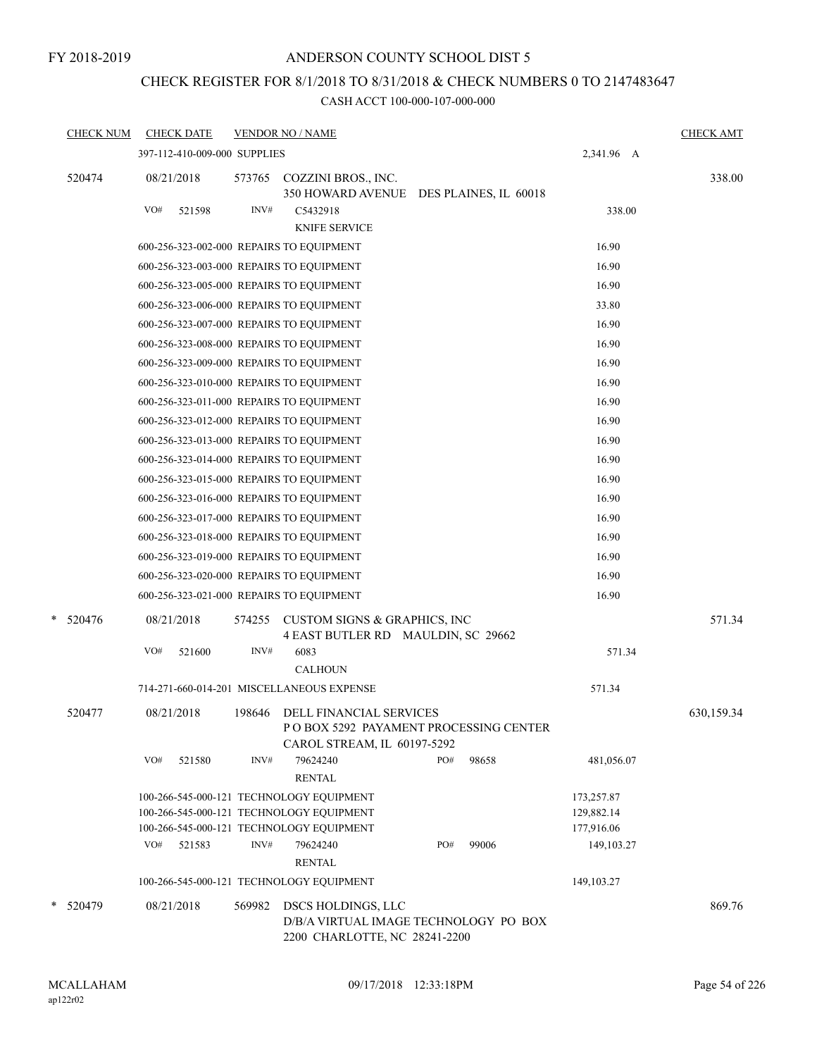#### FY 2018-2019

### ANDERSON COUNTY SCHOOL DIST 5

## CHECK REGISTER FOR 8/1/2018 TO 8/31/2018 & CHECK NUMBERS 0 TO 2147483647

| <b>CHECK NUM</b><br><b>CHECK DATE</b><br><b>VENDOR NO / NAME</b>                                                                                              |              |                          | <b>CHECK AMT</b> |
|---------------------------------------------------------------------------------------------------------------------------------------------------------------|--------------|--------------------------|------------------|
| 397-112-410-009-000 SUPPLIES                                                                                                                                  |              | 2,341.96 A               |                  |
| 08/21/2018<br>520474<br>573765<br>COZZINI BROS., INC.<br>350 HOWARD AVENUE DES PLAINES, IL 60018<br>VO#<br>INV#<br>C5432918<br>521598<br><b>KNIFE SERVICE</b> |              | 338.00                   | 338.00           |
| 600-256-323-002-000 REPAIRS TO EQUIPMENT                                                                                                                      |              | 16.90                    |                  |
| 600-256-323-003-000 REPAIRS TO EQUIPMENT                                                                                                                      |              | 16.90                    |                  |
| 600-256-323-005-000 REPAIRS TO EQUIPMENT                                                                                                                      |              | 16.90                    |                  |
| 600-256-323-006-000 REPAIRS TO EQUIPMENT                                                                                                                      |              | 33.80                    |                  |
| 600-256-323-007-000 REPAIRS TO EQUIPMENT                                                                                                                      |              | 16.90                    |                  |
| 600-256-323-008-000 REPAIRS TO EQUIPMENT                                                                                                                      |              | 16.90                    |                  |
| 600-256-323-009-000 REPAIRS TO EQUIPMENT                                                                                                                      |              | 16.90                    |                  |
| 600-256-323-010-000 REPAIRS TO EQUIPMENT                                                                                                                      |              | 16.90                    |                  |
| 600-256-323-011-000 REPAIRS TO EQUIPMENT                                                                                                                      |              | 16.90                    |                  |
| 600-256-323-012-000 REPAIRS TO EQUIPMENT                                                                                                                      |              | 16.90                    |                  |
| 600-256-323-013-000 REPAIRS TO EQUIPMENT                                                                                                                      |              | 16.90                    |                  |
| 600-256-323-014-000 REPAIRS TO EQUIPMENT                                                                                                                      |              | 16.90                    |                  |
| 600-256-323-015-000 REPAIRS TO EQUIPMENT                                                                                                                      |              | 16.90                    |                  |
| 600-256-323-016-000 REPAIRS TO EQUIPMENT                                                                                                                      |              | 16.90                    |                  |
| 600-256-323-017-000 REPAIRS TO EQUIPMENT                                                                                                                      |              | 16.90                    |                  |
| 600-256-323-018-000 REPAIRS TO EQUIPMENT                                                                                                                      |              | 16.90                    |                  |
| 600-256-323-019-000 REPAIRS TO EQUIPMENT                                                                                                                      |              | 16.90                    |                  |
| 600-256-323-020-000 REPAIRS TO EQUIPMENT                                                                                                                      |              | 16.90                    |                  |
| 600-256-323-021-000 REPAIRS TO EQUIPMENT                                                                                                                      |              | 16.90                    |                  |
| $* 520476$<br>08/21/2018<br>CUSTOM SIGNS & GRAPHICS, INC<br>574255<br>4 EAST BUTLER RD MAULDIN, SC 29662                                                      |              |                          | 571.34           |
| VO#<br>INV#<br>6083<br>521600<br><b>CALHOUN</b>                                                                                                               |              | 571.34                   |                  |
| 714-271-660-014-201 MISCELLANEOUS EXPENSE                                                                                                                     |              | 571.34                   |                  |
| 520477<br>08/21/2018<br>198646<br><b>DELL FINANCIAL SERVICES</b><br>POBOX 5292 PAYAMENT PROCESSING CENTER<br>CAROL STREAM, IL 60197-5292                      |              |                          | 630,159.34       |
| VO#<br>INV#<br>79624240<br>521580<br><b>RENTAL</b>                                                                                                            | PO#<br>98658 | 481,056.07               |                  |
| 100-266-545-000-121 TECHNOLOGY EQUIPMENT<br>100-266-545-000-121 TECHNOLOGY EQUIPMENT                                                                          |              | 173,257.87<br>129,882.14 |                  |
| 100-266-545-000-121 TECHNOLOGY EQUIPMENT                                                                                                                      |              | 177,916.06               |                  |
| VO#<br>INV#<br>521583<br>79624240<br><b>RENTAL</b>                                                                                                            | PO#<br>99006 | 149, 103. 27             |                  |
| 100-266-545-000-121 TECHNOLOGY EQUIPMENT                                                                                                                      |              | 149, 103. 27             |                  |
| * 520479<br>569982<br>DSCS HOLDINGS, LLC<br>08/21/2018<br>D/B/A VIRTUAL IMAGE TECHNOLOGY PO BOX<br>2200 CHARLOTTE, NC 28241-2200                              |              |                          | 869.76           |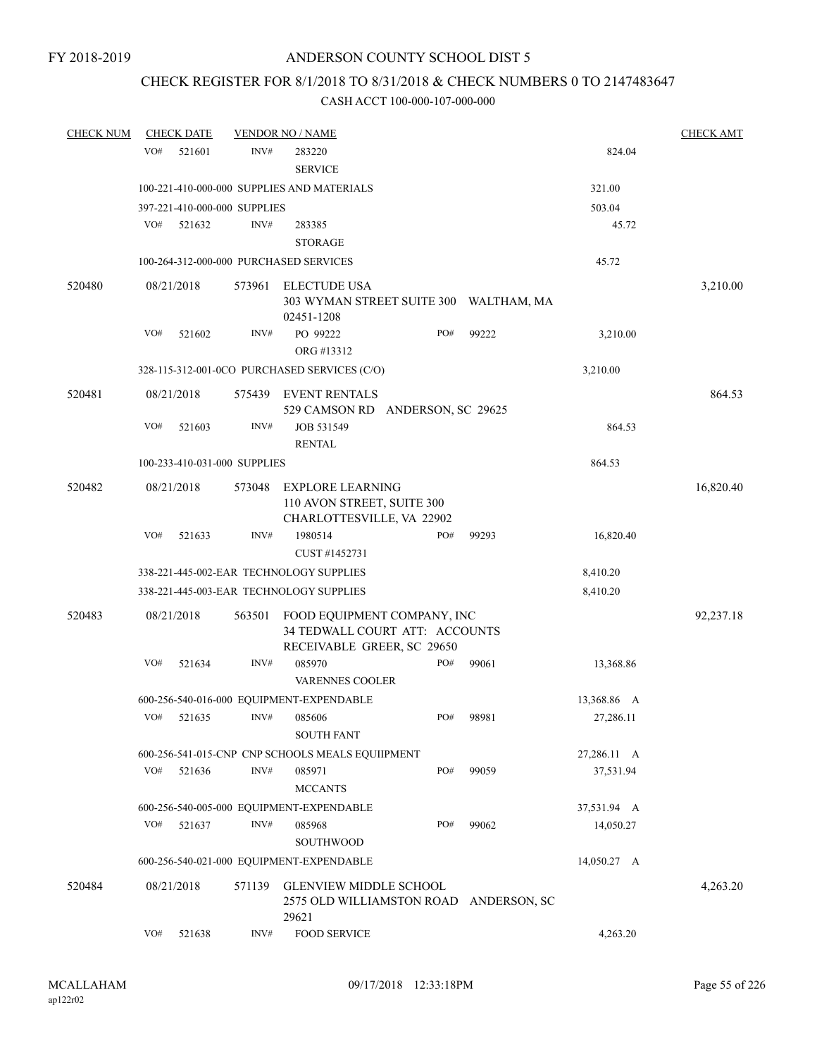### CHECK REGISTER FOR 8/1/2018 TO 8/31/2018 & CHECK NUMBERS 0 TO 2147483647

| <b>CHECK NUM</b> |     | <b>CHECK DATE</b> |                              | <b>VENDOR NO / NAME</b>                                                                     |     |                                        |             | <b>CHECK AMT</b> |
|------------------|-----|-------------------|------------------------------|---------------------------------------------------------------------------------------------|-----|----------------------------------------|-------------|------------------|
|                  | VO# | 521601            | INV#                         | 283220<br><b>SERVICE</b>                                                                    |     |                                        | 824.04      |                  |
|                  |     |                   |                              | 100-221-410-000-000 SUPPLIES AND MATERIALS                                                  |     |                                        | 321.00      |                  |
|                  |     |                   | 397-221-410-000-000 SUPPLIES |                                                                                             |     |                                        | 503.04      |                  |
|                  | VO# | 521632            | INV#                         | 283385                                                                                      |     |                                        | 45.72       |                  |
|                  |     |                   |                              | <b>STORAGE</b>                                                                              |     |                                        |             |                  |
|                  |     |                   |                              | 100-264-312-000-000 PURCHASED SERVICES                                                      |     |                                        | 45.72       |                  |
| 520480           |     | 08/21/2018        | 573961                       | <b>ELECTUDE USA</b>                                                                         |     |                                        |             | 3,210.00         |
|                  |     |                   |                              | 02451-1208                                                                                  |     | 303 WYMAN STREET SUITE 300 WALTHAM, MA |             |                  |
|                  | VO# | 521602            | INV#                         | PO 99222<br>ORG #13312                                                                      | PO# | 99222                                  | 3,210.00    |                  |
|                  |     |                   |                              | 328-115-312-001-0CO PURCHASED SERVICES (C/O)                                                |     |                                        | 3,210.00    |                  |
| 520481           |     | 08/21/2018        | 575439                       | <b>EVENT RENTALS</b><br>529 CAMSON RD ANDERSON, SC 29625                                    |     |                                        |             | 864.53           |
|                  | VO# | 521603            | INV#                         | JOB 531549<br><b>RENTAL</b>                                                                 |     |                                        | 864.53      |                  |
|                  |     |                   | 100-233-410-031-000 SUPPLIES |                                                                                             |     |                                        | 864.53      |                  |
| 520482           |     | 08/21/2018        | 573048                       | <b>EXPLORE LEARNING</b><br>110 AVON STREET, SUITE 300                                       |     |                                        |             | 16,820.40        |
|                  |     |                   |                              | CHARLOTTESVILLE, VA 22902                                                                   |     |                                        |             |                  |
|                  | VO# | 521633            | INV#                         | 1980514<br>CUST #1452731                                                                    | PO# | 99293                                  | 16,820.40   |                  |
|                  |     |                   |                              | 338-221-445-002-EAR TECHNOLOGY SUPPLIES                                                     |     |                                        | 8,410.20    |                  |
|                  |     |                   |                              | 338-221-445-003-EAR TECHNOLOGY SUPPLIES                                                     |     |                                        | 8,410.20    |                  |
| 520483           |     | 08/21/2018        | 563501                       | FOOD EQUIPMENT COMPANY, INC<br>34 TEDWALL COURT ATT: ACCOUNTS<br>RECEIVABLE GREER, SC 29650 |     |                                        |             | 92,237.18        |
|                  | VO# | 521634            | INV#                         | 085970<br><b>VARENNES COOLER</b>                                                            | PO# | 99061                                  | 13,368.86   |                  |
|                  |     |                   |                              | 600-256-540-016-000 EQUIPMENT-EXPENDABLE                                                    |     |                                        | 13,368.86 A |                  |
|                  | VO# | 521635            | INV#                         | 085606<br><b>SOUTH FANT</b>                                                                 | PO# | 98981                                  | 27,286.11   |                  |
|                  |     |                   |                              | 600-256-541-015-CNP CNP SCHOOLS MEALS EQUIIPMENT                                            |     |                                        | 27,286.11 A |                  |
|                  | VO# | 521636            | INV#                         | 085971                                                                                      | PO# | 99059                                  | 37,531.94   |                  |
|                  |     |                   |                              | <b>MCCANTS</b>                                                                              |     |                                        |             |                  |
|                  |     |                   |                              | 600-256-540-005-000 EQUIPMENT-EXPENDABLE                                                    |     |                                        | 37,531.94 A |                  |
|                  | VO# | 521637            | INV#                         | 085968                                                                                      | PO# | 99062                                  | 14,050.27   |                  |
|                  |     |                   |                              | SOUTHWOOD                                                                                   |     |                                        |             |                  |
|                  |     |                   |                              | 600-256-540-021-000 EQUIPMENT-EXPENDABLE                                                    |     |                                        | 14,050.27 A |                  |
| 520484           |     | 08/21/2018        | 571139                       | <b>GLENVIEW MIDDLE SCHOOL</b><br>2575 OLD WILLIAMSTON ROAD<br>29621                         |     | ANDERSON, SC                           |             | 4,263.20         |
|                  | VO# | 521638            | INV#                         | <b>FOOD SERVICE</b>                                                                         |     |                                        | 4,263.20    |                  |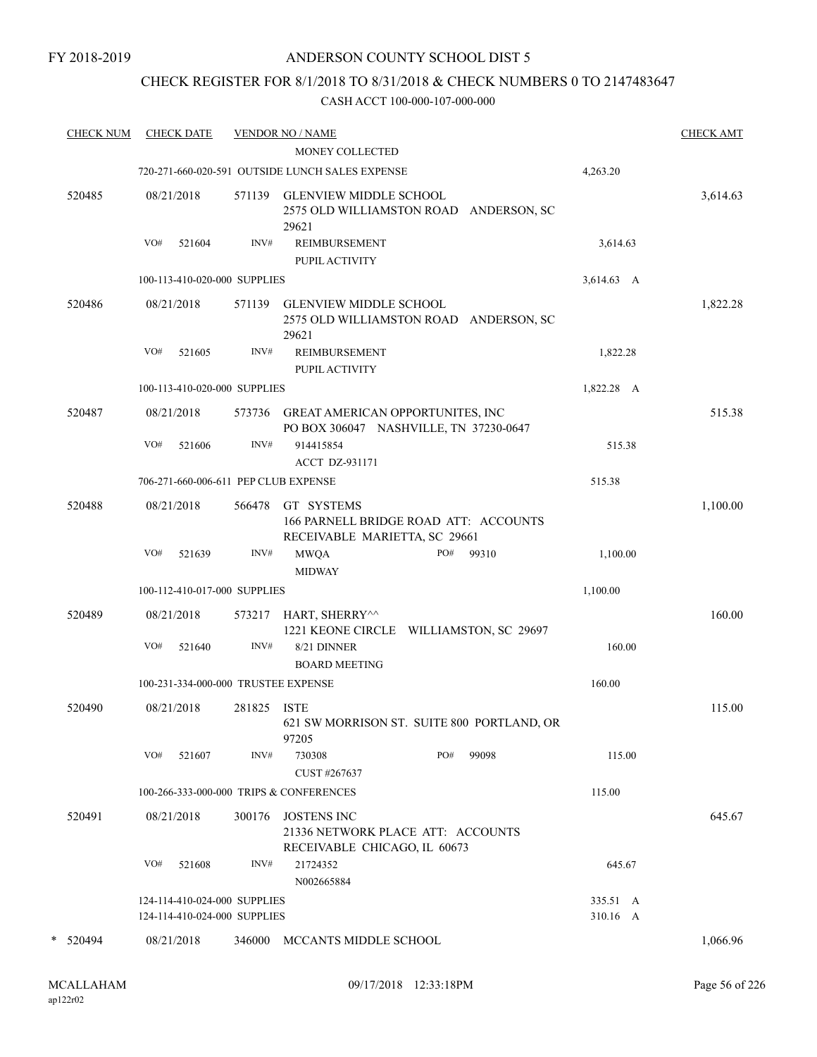### CHECK REGISTER FOR 8/1/2018 TO 8/31/2018 & CHECK NUMBERS 0 TO 2147483647

| <b>CHECK NUM</b> |     | <b>CHECK DATE</b>                                            |             | <b>VENDOR NO / NAME</b>                                                                 |     |       |                      | <b>CHECK AMT</b> |
|------------------|-----|--------------------------------------------------------------|-------------|-----------------------------------------------------------------------------------------|-----|-------|----------------------|------------------|
|                  |     |                                                              |             | MONEY COLLECTED                                                                         |     |       |                      |                  |
|                  |     |                                                              |             | 720-271-660-020-591 OUTSIDE LUNCH SALES EXPENSE                                         |     |       | 4,263.20             |                  |
| 520485           |     | 08/21/2018                                                   | 571139      | <b>GLENVIEW MIDDLE SCHOOL</b><br>2575 OLD WILLIAMSTON ROAD ANDERSON, SC<br>29621        |     |       |                      | 3,614.63         |
|                  | VO# | 521604                                                       | INV#        | <b>REIMBURSEMENT</b><br>PUPIL ACTIVITY                                                  |     |       | 3,614.63             |                  |
|                  |     | 100-113-410-020-000 SUPPLIES                                 |             |                                                                                         |     |       | 3,614.63 A           |                  |
| 520486           |     | 08/21/2018                                                   | 571139      | <b>GLENVIEW MIDDLE SCHOOL</b><br>2575 OLD WILLIAMSTON ROAD ANDERSON, SC<br>29621        |     |       |                      | 1,822.28         |
|                  | VO# | 521605                                                       | INV#        | <b>REIMBURSEMENT</b><br>PUPIL ACTIVITY                                                  |     |       | 1,822.28             |                  |
|                  |     | 100-113-410-020-000 SUPPLIES                                 |             |                                                                                         |     |       | 1,822.28 A           |                  |
| 520487           |     | 08/21/2018                                                   |             | 573736 GREAT AMERICAN OPPORTUNITES, INC<br>PO BOX 306047 NASHVILLE, TN 37230-0647       |     |       |                      | 515.38           |
|                  | VO# | 521606                                                       | INV#        | 914415854<br><b>ACCT DZ-931171</b>                                                      |     |       | 515.38               |                  |
|                  |     |                                                              |             | 706-271-660-006-611 PEP CLUB EXPENSE                                                    |     |       | 515.38               |                  |
| 520488           |     | 08/21/2018                                                   | 566478      | GT SYSTEMS<br>166 PARNELL BRIDGE ROAD ATT: ACCOUNTS<br>RECEIVABLE MARIETTA, SC 29661    |     |       |                      | 1,100.00         |
|                  | VO# | 521639                                                       | INV#        | <b>MWQA</b><br><b>MIDWAY</b>                                                            | PO# | 99310 | 1,100.00             |                  |
|                  |     | 100-112-410-017-000 SUPPLIES                                 |             |                                                                                         |     |       | 1,100.00             |                  |
| 520489           |     | 08/21/2018                                                   | 573217      | HART, SHERRY^^<br>1221 KEONE CIRCLE WILLIAMSTON, SC 29697                               |     |       |                      | 160.00           |
|                  | VO# | 521640                                                       | INV#        | 8/21 DINNER<br><b>BOARD MEETING</b>                                                     |     |       | 160.00               |                  |
|                  |     |                                                              |             | 100-231-334-000-000 TRUSTEE EXPENSE                                                     |     |       | 160.00               |                  |
| 520490           |     | 08/21/2018                                                   | 281825 ISTE | 621 SW MORRISON ST. SUITE 800 PORTLAND, OR<br>97205                                     |     |       |                      | 115.00           |
|                  | VO# | 521607                                                       | INV#        | 730308<br>CUST #267637                                                                  | PO# | 99098 | 115.00               |                  |
|                  |     |                                                              |             | 100-266-333-000-000 TRIPS & CONFERENCES                                                 |     |       | 115.00               |                  |
| 520491           |     | 08/21/2018                                                   | 300176      | <b>JOSTENS INC</b><br>21336 NETWORK PLACE ATT: ACCOUNTS<br>RECEIVABLE CHICAGO, IL 60673 |     |       |                      | 645.67           |
|                  | VO# | 521608                                                       | INV#        | 21724352<br>N002665884                                                                  |     |       | 645.67               |                  |
|                  |     | 124-114-410-024-000 SUPPLIES<br>124-114-410-024-000 SUPPLIES |             |                                                                                         |     |       | 335.51 A<br>310.16 A |                  |
| * 520494         |     | 08/21/2018                                                   |             | 346000 MCCANTS MIDDLE SCHOOL                                                            |     |       |                      | 1,066.96         |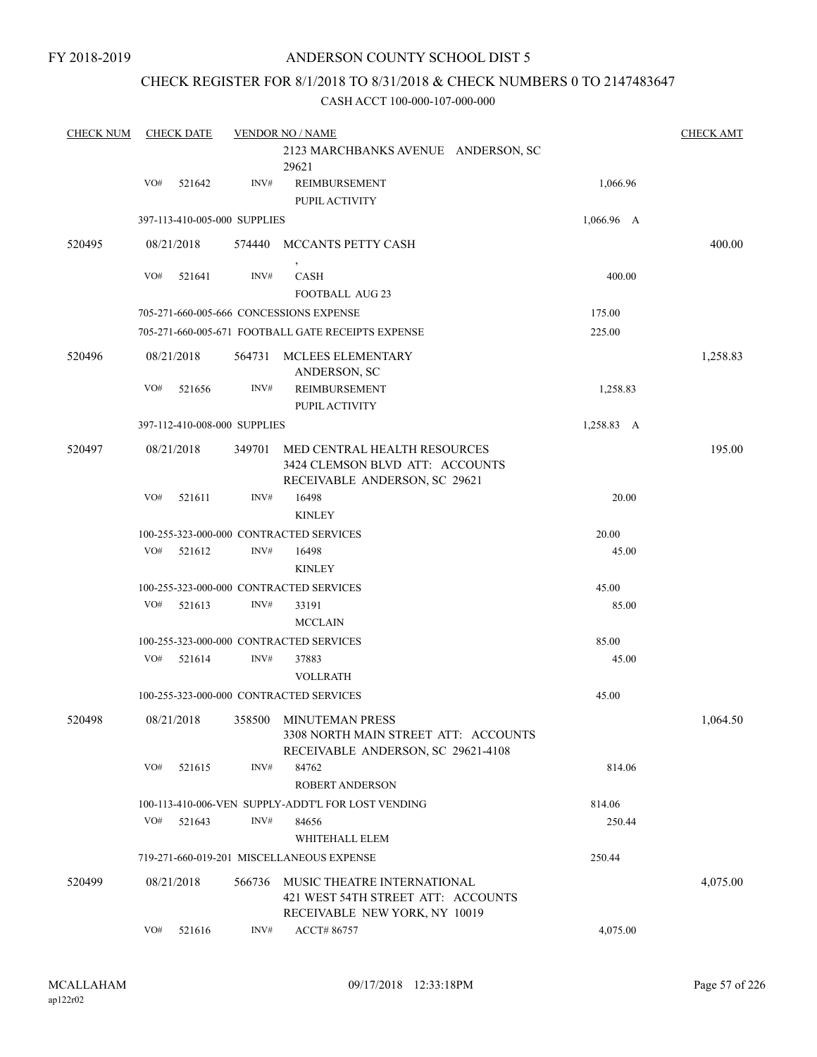### CHECK REGISTER FOR 8/1/2018 TO 8/31/2018 & CHECK NUMBERS 0 TO 2147483647

| <b>CHECK NUM</b> |     | <b>CHECK DATE</b> |                              | <b>VENDOR NO / NAME</b>                                                                                 |            | <b>CHECK AMT</b> |
|------------------|-----|-------------------|------------------------------|---------------------------------------------------------------------------------------------------------|------------|------------------|
|                  |     |                   |                              | 2123 MARCHBANKS AVENUE ANDERSON, SC<br>29621                                                            |            |                  |
|                  | VO# | 521642            | INV#                         | REIMBURSEMENT<br>PUPIL ACTIVITY                                                                         | 1,066.96   |                  |
|                  |     |                   | 397-113-410-005-000 SUPPLIES |                                                                                                         | 1,066.96 A |                  |
| 520495           |     | 08/21/2018        | 574440                       | MCCANTS PETTY CASH                                                                                      |            | 400.00           |
|                  | VO# | 521641            | INV#                         | CASH<br><b>FOOTBALL AUG 23</b>                                                                          | 400.00     |                  |
|                  |     |                   |                              | 705-271-660-005-666 CONCESSIONS EXPENSE                                                                 | 175.00     |                  |
|                  |     |                   |                              | 705-271-660-005-671 FOOTBALL GATE RECEIPTS EXPENSE                                                      | 225.00     |                  |
| 520496           |     | 08/21/2018        | 564731                       | MCLEES ELEMENTARY<br>ANDERSON, SC                                                                       |            | 1,258.83         |
|                  | VO# | 521656            | INV#                         | REIMBURSEMENT<br>PUPIL ACTIVITY                                                                         | 1,258.83   |                  |
|                  |     |                   | 397-112-410-008-000 SUPPLIES |                                                                                                         | 1,258.83 A |                  |
| 520497           |     | 08/21/2018        | 349701                       | <b>MED CENTRAL HEALTH RESOURCES</b><br>3424 CLEMSON BLVD ATT: ACCOUNTS<br>RECEIVABLE ANDERSON, SC 29621 |            | 195.00           |
|                  | VO# | 521611            | INV#                         | 16498<br><b>KINLEY</b>                                                                                  | 20.00      |                  |
|                  |     |                   |                              | 100-255-323-000-000 CONTRACTED SERVICES                                                                 | 20.00      |                  |
|                  | VO# | 521612            | INV#                         | 16498<br><b>KINLEY</b>                                                                                  | 45.00      |                  |
|                  |     |                   |                              | 100-255-323-000-000 CONTRACTED SERVICES                                                                 | 45.00      |                  |
|                  | VO# | 521613            | INV#                         | 33191<br><b>MCCLAIN</b>                                                                                 | 85.00      |                  |
|                  |     |                   |                              | 100-255-323-000-000 CONTRACTED SERVICES                                                                 | 85.00      |                  |
|                  | VO# | 521614            | INV#                         | 37883<br><b>VOLLRATH</b>                                                                                | 45.00      |                  |
|                  |     |                   |                              | 100-255-323-000-000 CONTRACTED SERVICES                                                                 | 45.00      |                  |
| 520498           |     | 08/21/2018        | 358500                       | <b>MINUTEMAN PRESS</b><br>3308 NORTH MAIN STREET ATT: ACCOUNTS<br>RECEIVABLE ANDERSON, SC 29621-4108    |            | 1,064.50         |
|                  | VO# | 521615            | INV#                         | 84762<br><b>ROBERT ANDERSON</b>                                                                         | 814.06     |                  |
|                  |     |                   |                              | 100-113-410-006-VEN SUPPLY-ADDT'L FOR LOST VENDING                                                      | 814.06     |                  |
|                  | VO# | 521643            | INV#                         | 84656                                                                                                   | 250.44     |                  |
|                  |     |                   |                              | WHITEHALL ELEM                                                                                          |            |                  |
|                  |     |                   |                              | 719-271-660-019-201 MISCELLANEOUS EXPENSE                                                               | 250.44     |                  |
| 520499           |     | 08/21/2018        | 566736                       | MUSIC THEATRE INTERNATIONAL<br>421 WEST 54TH STREET ATT: ACCOUNTS<br>RECEIVABLE NEW YORK, NY 10019      |            | 4,075.00         |
|                  | VO# | 521616            | INV#                         | ACCT#86757                                                                                              | 4,075.00   |                  |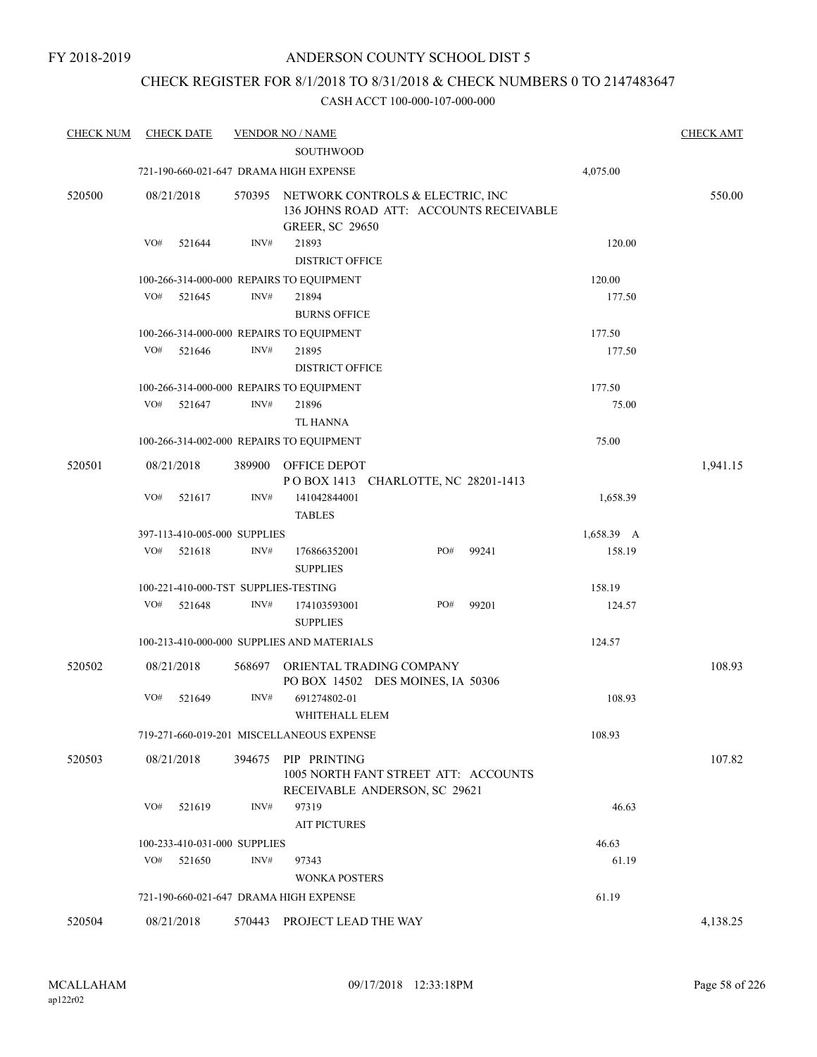### CHECK REGISTER FOR 8/1/2018 TO 8/31/2018 & CHECK NUMBERS 0 TO 2147483647

| <b>CHECK NUM</b> | <b>CHECK DATE</b>                        |        | <b>VENDOR NO / NAME</b><br><b>SOUTHWOOD</b> |                                                                             |       |            | <b>CHECK AMT</b> |
|------------------|------------------------------------------|--------|---------------------------------------------|-----------------------------------------------------------------------------|-------|------------|------------------|
|                  | 721-190-660-021-647 DRAMA HIGH EXPENSE   |        |                                             |                                                                             |       | 4,075.00   |                  |
| 520500           | 08/21/2018                               | 570395 | <b>GREER, SC 29650</b>                      | NETWORK CONTROLS & ELECTRIC, INC<br>136 JOHNS ROAD ATT: ACCOUNTS RECEIVABLE |       |            | 550.00           |
|                  | VO#<br>521644                            | INV#   | 21893<br><b>DISTRICT OFFICE</b>             |                                                                             |       | 120.00     |                  |
|                  | 100-266-314-000-000 REPAIRS TO EQUIPMENT |        |                                             |                                                                             |       | 120.00     |                  |
|                  | VO#<br>521645                            | INV#   | 21894<br><b>BURNS OFFICE</b>                |                                                                             |       | 177.50     |                  |
|                  | 100-266-314-000-000 REPAIRS TO EQUIPMENT |        |                                             |                                                                             |       | 177.50     |                  |
|                  | VO#<br>521646                            | INV#   | 21895<br><b>DISTRICT OFFICE</b>             |                                                                             |       | 177.50     |                  |
|                  | 100-266-314-000-000 REPAIRS TO EQUIPMENT |        |                                             |                                                                             |       | 177.50     |                  |
|                  | VO#<br>521647                            | INV#   | 21896<br><b>TL HANNA</b>                    |                                                                             |       | 75.00      |                  |
|                  | 100-266-314-002-000 REPAIRS TO EQUIPMENT |        |                                             |                                                                             |       | 75.00      |                  |
| 520501           | 08/21/2018                               | 389900 | OFFICE DEPOT                                | POBOX 1413 CHARLOTTE, NC 28201-1413                                         |       |            | 1,941.15         |
|                  | VO#<br>521617                            | INV#   | 141042844001<br><b>TABLES</b>               |                                                                             |       | 1,658.39   |                  |
|                  | 397-113-410-005-000 SUPPLIES             |        |                                             |                                                                             |       | 1,658.39 A |                  |
|                  | VO#<br>521618                            | INV#   | 176866352001<br><b>SUPPLIES</b>             | PO#                                                                         | 99241 | 158.19     |                  |
|                  | 100-221-410-000-TST SUPPLIES-TESTING     |        |                                             |                                                                             |       | 158.19     |                  |
|                  | VO#<br>521648                            | INV#   | 174103593001<br><b>SUPPLIES</b>             | PO#                                                                         | 99201 | 124.57     |                  |
|                  |                                          |        | 100-213-410-000-000 SUPPLIES AND MATERIALS  |                                                                             |       | 124.57     |                  |
| 520502           | 08/21/2018                               | 568697 | ORIENTAL TRADING COMPANY                    | PO BOX 14502 DES MOINES, IA 50306                                           |       |            | 108.93           |
|                  | VO#<br>521649                            | INV#   | 691274802-01<br>WHITEHALL ELEM              |                                                                             |       | 108.93     |                  |
|                  |                                          |        | 719-271-660-019-201 MISCELLANEOUS EXPENSE   |                                                                             |       | 108.93     |                  |
| 520503           | 08/21/2018                               | 394675 | PIP PRINTING                                | 1005 NORTH FANT STREET ATT: ACCOUNTS<br>RECEIVABLE ANDERSON, SC 29621       |       |            | 107.82           |
|                  | VO#<br>521619                            | INV#   | 97319<br><b>AIT PICTURES</b>                |                                                                             |       | 46.63      |                  |
|                  | 100-233-410-031-000 SUPPLIES             |        |                                             |                                                                             |       | 46.63      |                  |
|                  | VO#<br>521650                            | INV#   | 97343<br><b>WONKA POSTERS</b>               |                                                                             |       | 61.19      |                  |
|                  | 721-190-660-021-647 DRAMA HIGH EXPENSE   |        |                                             |                                                                             |       | 61.19      |                  |
| 520504           | 08/21/2018                               |        | 570443 PROJECT LEAD THE WAY                 |                                                                             |       |            | 4,138.25         |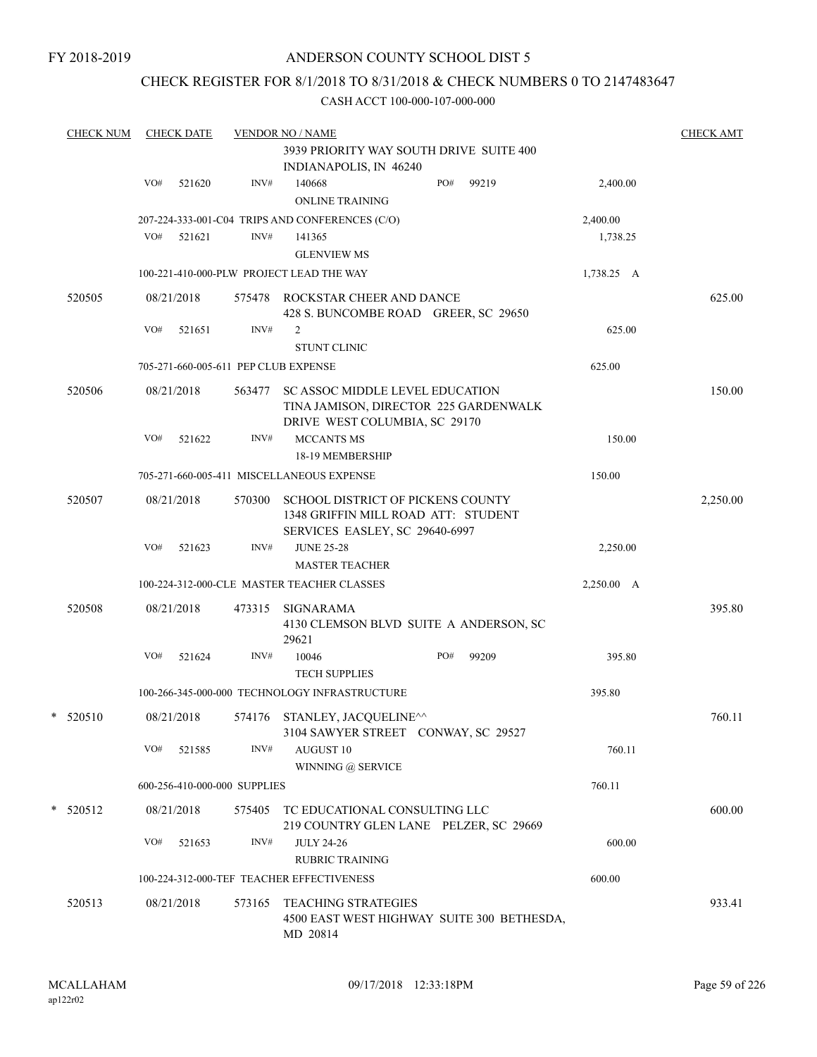### CHECK REGISTER FOR 8/1/2018 TO 8/31/2018 & CHECK NUMBERS 0 TO 2147483647

| <b>CHECK NUM</b> |     | <b>CHECK DATE</b> |                                      | <b>VENDOR NO / NAME</b>                                                                                           |     |                                            |            | <b>CHECK AMT</b> |
|------------------|-----|-------------------|--------------------------------------|-------------------------------------------------------------------------------------------------------------------|-----|--------------------------------------------|------------|------------------|
|                  |     |                   |                                      | 3939 PRIORITY WAY SOUTH DRIVE SUITE 400                                                                           |     |                                            |            |                  |
|                  |     |                   |                                      | INDIANAPOLIS, IN 46240                                                                                            |     |                                            |            |                  |
|                  | VO# | 521620            | INV#                                 | 140668                                                                                                            | PO# | 99219                                      | 2,400.00   |                  |
|                  |     |                   |                                      | <b>ONLINE TRAINING</b>                                                                                            |     |                                            |            |                  |
|                  |     |                   |                                      | 207-224-333-001-C04 TRIPS AND CONFERENCES (C/O)                                                                   |     |                                            | 2,400.00   |                  |
|                  | VO# | 521621            | INV#                                 | 141365                                                                                                            |     |                                            | 1,738.25   |                  |
|                  |     |                   |                                      | <b>GLENVIEW MS</b>                                                                                                |     |                                            |            |                  |
|                  |     |                   |                                      | 100-221-410-000-PLW PROJECT LEAD THE WAY                                                                          |     |                                            | 1,738.25 A |                  |
| 520505           |     | 08/21/2018        |                                      | 575478 ROCKSTAR CHEER AND DANCE<br>428 S. BUNCOMBE ROAD GREER, SC 29650                                           |     |                                            |            | 625.00           |
|                  | VO# | 521651            | INV#                                 | 2                                                                                                                 |     |                                            | 625.00     |                  |
|                  |     |                   |                                      | <b>STUNT CLINIC</b>                                                                                               |     |                                            |            |                  |
|                  |     |                   | 705-271-660-005-611 PEP CLUB EXPENSE |                                                                                                                   |     |                                            | 625.00     |                  |
| 520506           |     | 08/21/2018        | 563477                               | <b>SC ASSOC MIDDLE LEVEL EDUCATION</b><br>TINA JAMISON, DIRECTOR 225 GARDENWALK                                   |     |                                            |            | 150.00           |
|                  |     |                   |                                      | DRIVE WEST COLUMBIA, SC 29170                                                                                     |     |                                            |            |                  |
|                  | VO# | 521622            | INV#                                 | MCCANTS MS                                                                                                        |     |                                            | 150.00     |                  |
|                  |     |                   |                                      | 18-19 MEMBERSHIP                                                                                                  |     |                                            |            |                  |
|                  |     |                   |                                      | 705-271-660-005-411 MISCELLANEOUS EXPENSE                                                                         |     |                                            | 150.00     |                  |
| 520507           |     | 08/21/2018        | 570300                               | <b>SCHOOL DISTRICT OF PICKENS COUNTY</b><br>1348 GRIFFIN MILL ROAD ATT: STUDENT<br>SERVICES EASLEY, SC 29640-6997 |     |                                            |            | 2,250.00         |
|                  | VO# | 521623            | INV#                                 | <b>JUNE 25-28</b>                                                                                                 |     |                                            | 2,250.00   |                  |
|                  |     |                   |                                      | <b>MASTER TEACHER</b>                                                                                             |     |                                            |            |                  |
|                  |     |                   |                                      | 100-224-312-000-CLE MASTER TEACHER CLASSES                                                                        |     |                                            | 2,250.00 A |                  |
| 520508           |     | 08/21/2018        |                                      |                                                                                                                   |     |                                            |            | 395.80           |
|                  |     |                   | 473315                               | SIGNARAMA<br>4130 CLEMSON BLVD SUITE A ANDERSON, SC<br>29621                                                      |     |                                            |            |                  |
|                  | VO# | 521624            | INV#                                 | 10046                                                                                                             | PO# | 99209                                      | 395.80     |                  |
|                  |     |                   |                                      | <b>TECH SUPPLIES</b>                                                                                              |     |                                            |            |                  |
|                  |     |                   |                                      | 100-266-345-000-000 TECHNOLOGY INFRASTRUCTURE                                                                     |     |                                            | 395.80     |                  |
| $*$ 520510       |     | 08/21/2018        |                                      | 574176 STANLEY, JACOUELINE^^<br>3104 SAWYER STREET CONWAY, SC 29527                                               |     |                                            |            | 760.11           |
|                  | VO# | 521585            | INV#                                 | AUGUST 10                                                                                                         |     |                                            | 760.11     |                  |
|                  |     |                   |                                      | WINNING @ SERVICE                                                                                                 |     |                                            |            |                  |
|                  |     |                   | 600-256-410-000-000 SUPPLIES         |                                                                                                                   |     |                                            | 760.11     |                  |
| $*$ 520512       |     | 08/21/2018        | 575405                               | TC EDUCATIONAL CONSULTING LLC<br>219 COUNTRY GLEN LANE PELZER, SC 29669                                           |     |                                            |            | 600.00           |
|                  | VO# | 521653            | INV#                                 | <b>JULY 24-26</b>                                                                                                 |     |                                            | 600.00     |                  |
|                  |     |                   |                                      | <b>RUBRIC TRAINING</b>                                                                                            |     |                                            |            |                  |
|                  |     |                   |                                      | 100-224-312-000-TEF TEACHER EFFECTIVENESS                                                                         |     |                                            | 600.00     |                  |
| 520513           |     | 08/21/2018        | 573165                               | <b>TEACHING STRATEGIES</b>                                                                                        |     |                                            |            | 933.41           |
|                  |     |                   |                                      | MD 20814                                                                                                          |     | 4500 EAST WEST HIGHWAY SUITE 300 BETHESDA, |            |                  |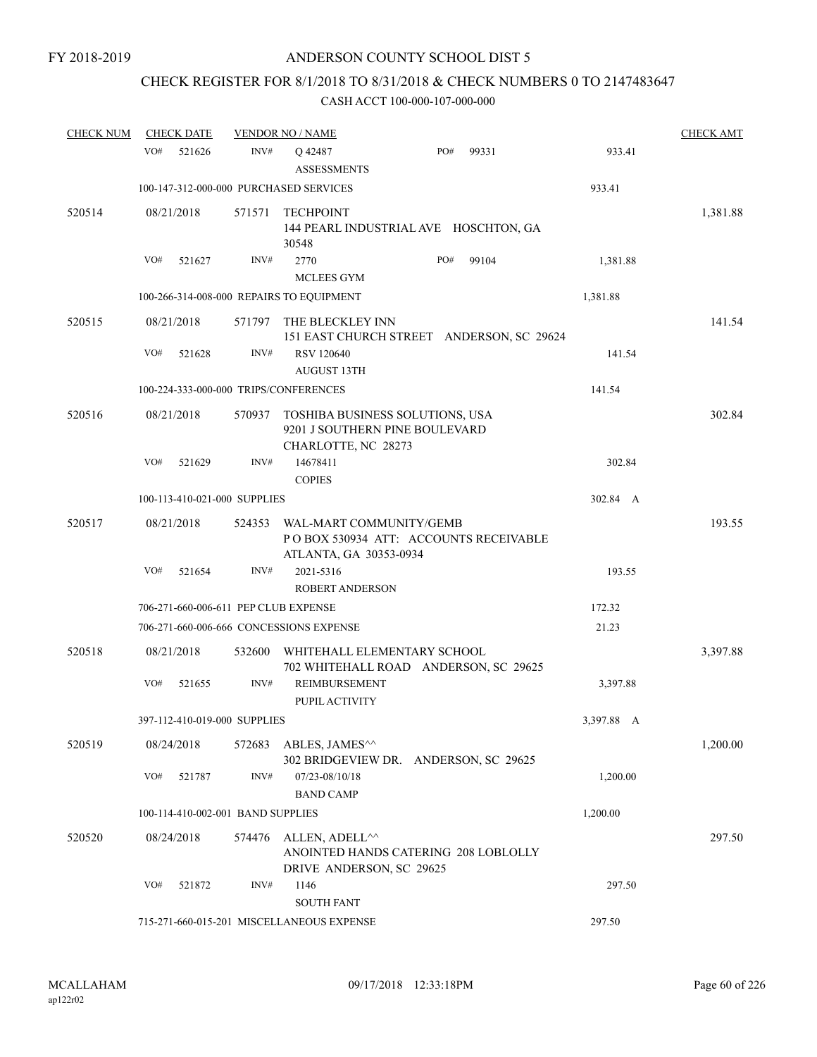## CHECK REGISTER FOR 8/1/2018 TO 8/31/2018 & CHECK NUMBERS 0 TO 2147483647

| <b>CHECK NUM</b> | <b>CHECK DATE</b>                        |        | <b>VENDOR NO / NAME</b>                                                                  |                                           |            | <b>CHECK AMT</b> |
|------------------|------------------------------------------|--------|------------------------------------------------------------------------------------------|-------------------------------------------|------------|------------------|
|                  | VO#<br>521626                            | INV#   | Q 42487<br><b>ASSESSMENTS</b>                                                            | PO#<br>99331                              | 933.41     |                  |
|                  | 100-147-312-000-000 PURCHASED SERVICES   |        |                                                                                          |                                           | 933.41     |                  |
| 520514           | 08/21/2018                               | 571571 | <b>TECHPOINT</b><br>30548                                                                | 144 PEARL INDUSTRIAL AVE HOSCHTON, GA     |            | 1,381.88         |
|                  | VO#<br>521627                            | INV#   | 2770<br><b>MCLEES GYM</b>                                                                | PO#<br>99104                              | 1,381.88   |                  |
|                  | 100-266-314-008-000 REPAIRS TO EQUIPMENT |        |                                                                                          |                                           | 1,381.88   |                  |
| 520515           | 08/21/2018                               | 571797 | THE BLECKLEY INN                                                                         | 151 EAST CHURCH STREET ANDERSON, SC 29624 |            | 141.54           |
|                  | VO#<br>521628                            | INV#   | <b>RSV 120640</b><br><b>AUGUST 13TH</b>                                                  |                                           | 141.54     |                  |
|                  | 100-224-333-000-000 TRIPS/CONFERENCES    |        |                                                                                          |                                           | 141.54     |                  |
| 520516           | 08/21/2018                               | 570937 | TOSHIBA BUSINESS SOLUTIONS, USA<br>9201 J SOUTHERN PINE BOULEVARD<br>CHARLOTTE, NC 28273 |                                           |            | 302.84           |
|                  | VO#<br>521629                            | INV#   | 14678411<br><b>COPIES</b>                                                                |                                           | 302.84     |                  |
|                  | 100-113-410-021-000 SUPPLIES             |        |                                                                                          |                                           | 302.84 A   |                  |
| 520517           | 08/21/2018                               | 524353 | WAL-MART COMMUNITY/GEMB<br>ATLANTA, GA 30353-0934                                        | PO BOX 530934 ATT: ACCOUNTS RECEIVABLE    |            | 193.55           |
|                  | VO#<br>521654                            | INV#   | 2021-5316<br><b>ROBERT ANDERSON</b>                                                      |                                           | 193.55     |                  |
|                  | 706-271-660-006-611 PEP CLUB EXPENSE     |        |                                                                                          |                                           | 172.32     |                  |
|                  | 706-271-660-006-666 CONCESSIONS EXPENSE  |        |                                                                                          |                                           | 21.23      |                  |
| 520518           | 08/21/2018                               | 532600 | WHITEHALL ELEMENTARY SCHOOL                                                              | 702 WHITEHALL ROAD ANDERSON, SC 29625     |            | 3,397.88         |
|                  | VO#<br>521655                            | INV#   | REIMBURSEMENT<br>PUPIL ACTIVITY                                                          |                                           | 3,397.88   |                  |
|                  | 397-112-410-019-000 SUPPLIES             |        |                                                                                          |                                           | 3,397.88 A |                  |
| 520519           | 08/24/2018                               | 572683 | ABLES, JAMES <sup>^^</sup>                                                               | 302 BRIDGEVIEW DR. ANDERSON, SC 29625     |            | 1,200.00         |
|                  | VO#<br>521787                            | INV#   | 07/23-08/10/18                                                                           |                                           | 1,200.00   |                  |
|                  |                                          |        | <b>BAND CAMP</b>                                                                         |                                           |            |                  |
|                  | 100-114-410-002-001 BAND SUPPLIES        |        |                                                                                          |                                           | 1,200.00   |                  |
| 520520           | 08/24/2018                               | 574476 | ALLEN, ADELL <sup>^^</sup><br>DRIVE ANDERSON, SC 29625                                   | ANOINTED HANDS CATERING 208 LOBLOLLY      |            | 297.50           |
|                  | VO#<br>521872                            | INV#   | 1146<br><b>SOUTH FANT</b>                                                                |                                           | 297.50     |                  |
|                  |                                          |        | 715-271-660-015-201 MISCELLANEOUS EXPENSE                                                |                                           | 297.50     |                  |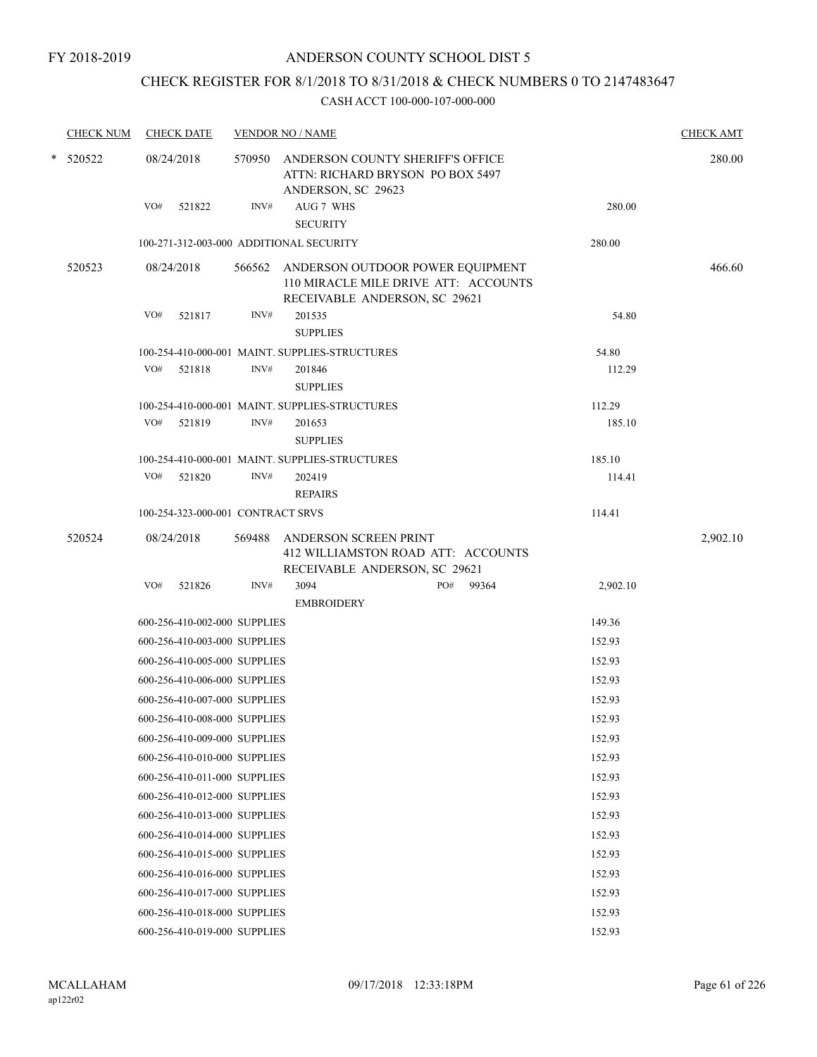### CHECK REGISTER FOR 8/1/2018 TO 8/31/2018 & CHECK NUMBERS 0 TO 2147483647

| <b>CHECK NUM</b> |     | <b>CHECK DATE</b>                 |        | <b>VENDOR NO / NAME</b>                                                                                          |              |          | <b>CHECK AMT</b> |
|------------------|-----|-----------------------------------|--------|------------------------------------------------------------------------------------------------------------------|--------------|----------|------------------|
| $*$ 520522       |     | 08/24/2018                        |        | 570950 ANDERSON COUNTY SHERIFF'S OFFICE<br>ATTN: RICHARD BRYSON PO BOX 5497<br>ANDERSON, SC 29623                |              |          | 280.00           |
|                  | VO# | 521822                            | INV#   | AUG 7 WHS<br><b>SECURITY</b>                                                                                     |              | 280.00   |                  |
|                  |     |                                   |        | 100-271-312-003-000 ADDITIONAL SECURITY                                                                          |              | 280.00   |                  |
| 520523           |     | 08/24/2018                        |        | 566562 ANDERSON OUTDOOR POWER EQUIPMENT<br>110 MIRACLE MILE DRIVE ATT: ACCOUNTS<br>RECEIVABLE ANDERSON, SC 29621 |              |          | 466.60           |
|                  | VO# | 521817                            | INV#   | 201535<br><b>SUPPLIES</b>                                                                                        |              | 54.80    |                  |
|                  |     |                                   |        | 100-254-410-000-001 MAINT. SUPPLIES-STRUCTURES                                                                   |              | 54.80    |                  |
|                  | VO# | 521818                            | INV#   | 201846<br><b>SUPPLIES</b>                                                                                        |              | 112.29   |                  |
|                  |     |                                   |        | 100-254-410-000-001 MAINT. SUPPLIES-STRUCTURES                                                                   |              | 112.29   |                  |
|                  |     | VO# 521819                        | INV#   | 201653<br><b>SUPPLIES</b>                                                                                        |              | 185.10   |                  |
|                  |     |                                   |        | 100-254-410-000-001 MAINT. SUPPLIES-STRUCTURES                                                                   |              | 185.10   |                  |
|                  | VO# | 521820                            | INV#   | 202419<br><b>REPAIRS</b>                                                                                         |              | 114.41   |                  |
|                  |     | 100-254-323-000-001 CONTRACT SRVS |        |                                                                                                                  |              | 114.41   |                  |
| 520524           |     | 08/24/2018                        | 569488 | ANDERSON SCREEN PRINT<br>412 WILLIAMSTON ROAD ATT: ACCOUNTS<br>RECEIVABLE ANDERSON, SC 29621                     |              |          | 2,902.10         |
|                  | VO# | 521826                            | INV#   | 3094<br><b>EMBROIDERY</b>                                                                                        | PO#<br>99364 | 2,902.10 |                  |
|                  |     | 600-256-410-002-000 SUPPLIES      |        |                                                                                                                  |              | 149.36   |                  |
|                  |     | 600-256-410-003-000 SUPPLIES      |        |                                                                                                                  |              | 152.93   |                  |
|                  |     | 600-256-410-005-000 SUPPLIES      |        |                                                                                                                  |              | 152.93   |                  |
|                  |     | 600-256-410-006-000 SUPPLIES      |        |                                                                                                                  |              | 152.93   |                  |
|                  |     | 600-256-410-007-000 SUPPLIES      |        |                                                                                                                  |              | 152.93   |                  |
|                  |     | 600-256-410-008-000 SUPPLIES      |        |                                                                                                                  |              | 152.93   |                  |
|                  |     | 600-256-410-009-000 SUPPLIES      |        |                                                                                                                  |              | 152.93   |                  |
|                  |     | 600-256-410-010-000 SUPPLIES      |        |                                                                                                                  |              | 152.93   |                  |
|                  |     | 600-256-410-011-000 SUPPLIES      |        |                                                                                                                  |              | 152.93   |                  |
|                  |     | 600-256-410-012-000 SUPPLIES      |        |                                                                                                                  |              | 152.93   |                  |
|                  |     | 600-256-410-013-000 SUPPLIES      |        |                                                                                                                  |              | 152.93   |                  |
|                  |     | 600-256-410-014-000 SUPPLIES      |        |                                                                                                                  |              | 152.93   |                  |
|                  |     | 600-256-410-015-000 SUPPLIES      |        |                                                                                                                  |              | 152.93   |                  |
|                  |     | 600-256-410-016-000 SUPPLIES      |        |                                                                                                                  |              | 152.93   |                  |
|                  |     | 600-256-410-017-000 SUPPLIES      |        |                                                                                                                  |              | 152.93   |                  |
|                  |     | 600-256-410-018-000 SUPPLIES      |        |                                                                                                                  |              | 152.93   |                  |
|                  |     | 600-256-410-019-000 SUPPLIES      |        |                                                                                                                  |              | 152.93   |                  |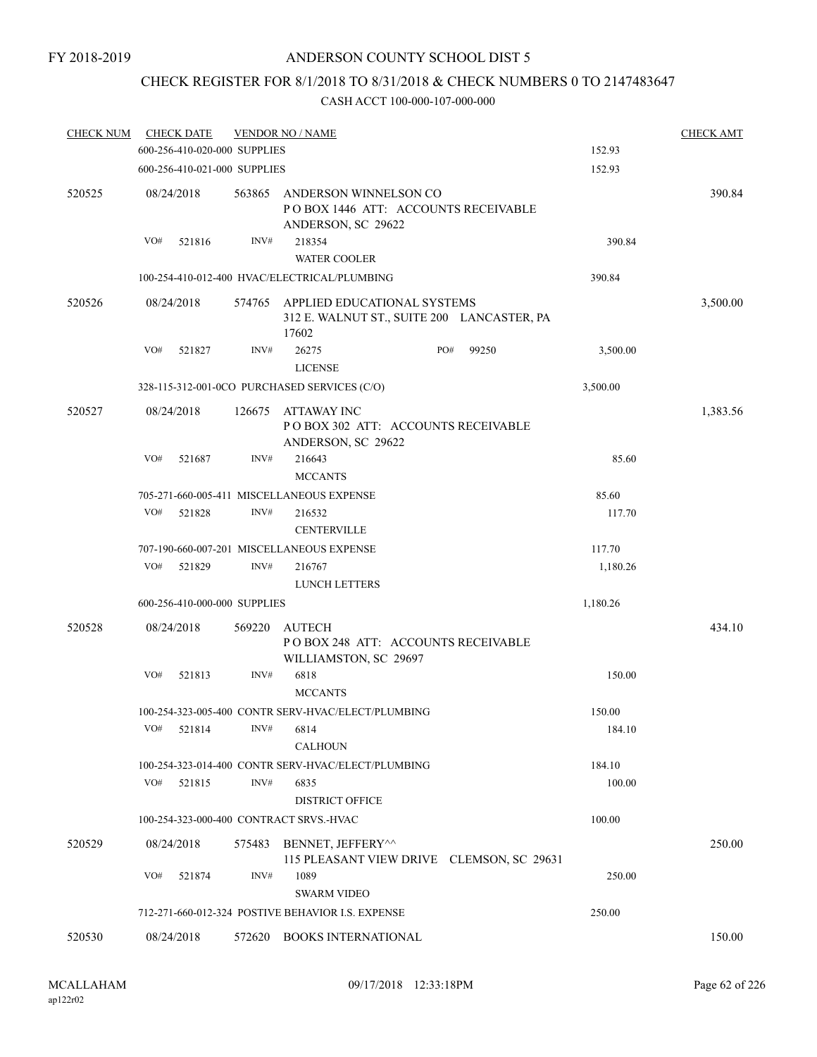## CHECK REGISTER FOR 8/1/2018 TO 8/31/2018 & CHECK NUMBERS 0 TO 2147483647

| <b>CHECK NUM</b> |     | <b>CHECK DATE</b> |                              | <b>VENDOR NO / NAME</b>                                                            |     |       |          | <b>CHECK AMT</b> |
|------------------|-----|-------------------|------------------------------|------------------------------------------------------------------------------------|-----|-------|----------|------------------|
|                  |     |                   | 600-256-410-020-000 SUPPLIES |                                                                                    |     |       | 152.93   |                  |
|                  |     |                   | 600-256-410-021-000 SUPPLIES |                                                                                    |     |       | 152.93   |                  |
| 520525           |     | 08/24/2018        | 563865                       | ANDERSON WINNELSON CO<br>POBOX 1446 ATT: ACCOUNTS RECEIVABLE<br>ANDERSON, SC 29622 |     |       |          | 390.84           |
|                  | VO# | 521816            | INV#                         | 218354<br><b>WATER COOLER</b>                                                      |     |       | 390.84   |                  |
|                  |     |                   |                              | 100-254-410-012-400 HVAC/ELECTRICAL/PLUMBING                                       |     |       | 390.84   |                  |
| 520526           |     | 08/24/2018        | 574765                       | APPLIED EDUCATIONAL SYSTEMS<br>312 E. WALNUT ST., SUITE 200 LANCASTER, PA<br>17602 |     |       |          | 3,500.00         |
|                  | VO# | 521827            | INV#                         | 26275<br><b>LICENSE</b>                                                            | PO# | 99250 | 3,500.00 |                  |
|                  |     |                   |                              | 328-115-312-001-0CO PURCHASED SERVICES (C/O)                                       |     |       | 3,500.00 |                  |
| 520527           |     | 08/24/2018        | 126675                       | <b>ATTAWAY INC</b><br>POBOX 302 ATT: ACCOUNTS RECEIVABLE<br>ANDERSON, SC 29622     |     |       |          | 1,383.56         |
|                  | VO# | 521687            | INV#                         | 216643<br><b>MCCANTS</b>                                                           |     |       | 85.60    |                  |
|                  |     |                   |                              | 705-271-660-005-411 MISCELLANEOUS EXPENSE                                          |     |       | 85.60    |                  |
|                  | VO# | 521828            | INV#                         | 216532<br><b>CENTERVILLE</b>                                                       |     |       | 117.70   |                  |
|                  |     |                   |                              | 707-190-660-007-201 MISCELLANEOUS EXPENSE                                          |     |       | 117.70   |                  |
|                  | VO# | 521829            | INV#                         | 216767<br><b>LUNCH LETTERS</b>                                                     |     |       | 1,180.26 |                  |
|                  |     |                   | 600-256-410-000-000 SUPPLIES |                                                                                    |     |       | 1,180.26 |                  |
| 520528           |     | 08/24/2018        | 569220                       | <b>AUTECH</b><br>POBOX 248 ATT: ACCOUNTS RECEIVABLE<br>WILLIAMSTON, SC 29697       |     |       |          | 434.10           |
|                  | VO# | 521813            | INV#                         | 6818<br><b>MCCANTS</b>                                                             |     |       | 150.00   |                  |
|                  |     |                   |                              | 100-254-323-005-400 CONTR SERV-HVAC/ELECT/PLUMBING                                 |     |       | 150.00   |                  |
|                  | VO# | 521814            | INV#                         | 6814<br><b>CALHOUN</b>                                                             |     |       | 184.10   |                  |
|                  |     |                   |                              | 100-254-323-014-400 CONTR SERV-HVAC/ELECT/PLUMBING                                 |     |       | 184.10   |                  |
|                  | VO# | 521815            | INV#                         | 6835<br><b>DISTRICT OFFICE</b>                                                     |     |       | 100.00   |                  |
|                  |     |                   |                              | 100-254-323-000-400 CONTRACT SRVS.-HVAC                                            |     |       | 100.00   |                  |
| 520529           |     | 08/24/2018        | 575483                       | BENNET, JEFFERY^^                                                                  |     |       |          | 250.00           |
|                  | VO# | 521874            | INV#                         | 115 PLEASANT VIEW DRIVE CLEMSON, SC 29631<br>1089                                  |     |       | 250.00   |                  |
|                  |     |                   |                              | <b>SWARM VIDEO</b>                                                                 |     |       |          |                  |
|                  |     |                   |                              | 712-271-660-012-324 POSTIVE BEHAVIOR I.S. EXPENSE                                  |     |       | 250.00   |                  |
| 520530           |     | 08/24/2018        |                              | 572620 BOOKS INTERNATIONAL                                                         |     |       |          | 150.00           |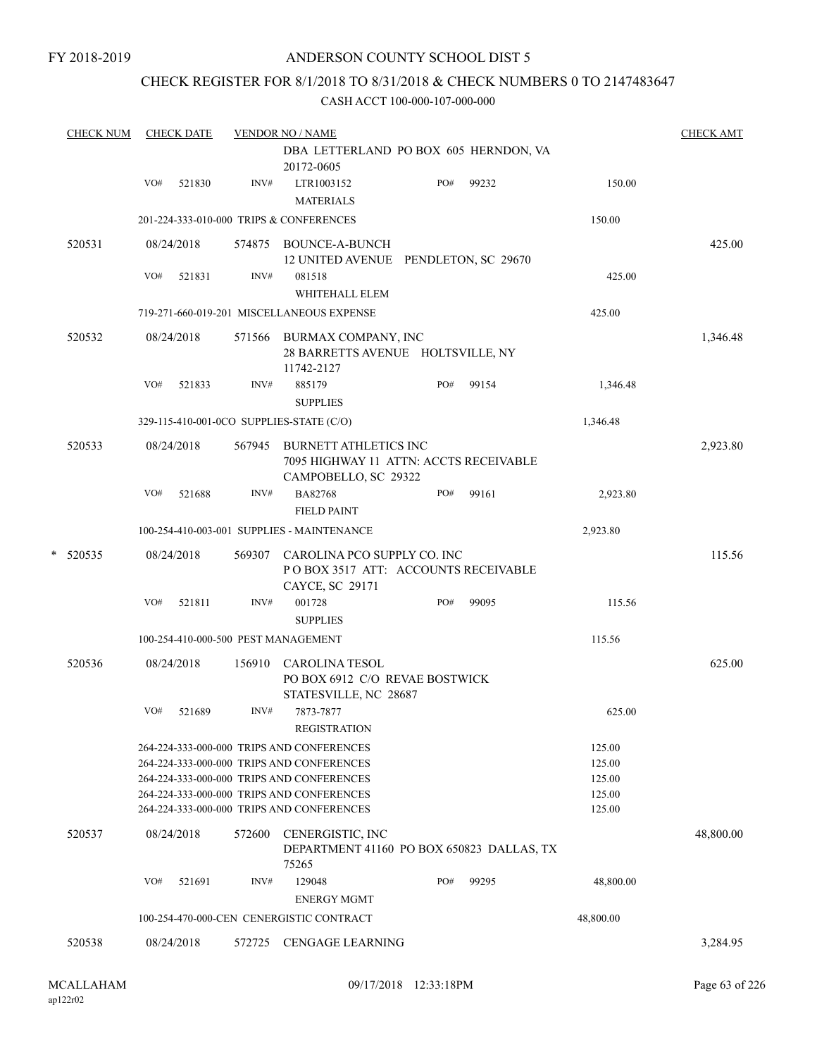### CHECK REGISTER FOR 8/1/2018 TO 8/31/2018 & CHECK NUMBERS 0 TO 2147483647

|   | <b>CHECK NUM</b> |     | <b>CHECK DATE</b> |        | <b>VENDOR NO / NAME</b>                                                                                                                                                                                                       |     |       |                                                | <b>CHECK AMT</b> |
|---|------------------|-----|-------------------|--------|-------------------------------------------------------------------------------------------------------------------------------------------------------------------------------------------------------------------------------|-----|-------|------------------------------------------------|------------------|
|   |                  |     |                   |        | DBA LETTERLAND PO BOX 605 HERNDON, VA<br>20172-0605                                                                                                                                                                           |     |       |                                                |                  |
|   |                  | VO# | 521830            | INV#   | LTR1003152<br><b>MATERIALS</b>                                                                                                                                                                                                | PO# | 99232 | 150.00                                         |                  |
|   |                  |     |                   |        | 201-224-333-010-000 TRIPS & CONFERENCES                                                                                                                                                                                       |     |       | 150.00                                         |                  |
|   | 520531           |     | 08/24/2018        |        | 574875 BOUNCE-A-BUNCH<br>12 UNITED AVENUE PENDLETON, SC 29670                                                                                                                                                                 |     |       |                                                | 425.00           |
|   |                  | VO# | 521831            | INV#   | 081518<br>WHITEHALL ELEM                                                                                                                                                                                                      |     |       | 425.00                                         |                  |
|   |                  |     |                   |        | 719-271-660-019-201 MISCELLANEOUS EXPENSE                                                                                                                                                                                     |     |       | 425.00                                         |                  |
|   | 520532           |     | 08/24/2018        |        | 571566 BURMAX COMPANY, INC<br>28 BARRETTS AVENUE HOLTSVILLE, NY<br>11742-2127                                                                                                                                                 |     |       |                                                | 1,346.48         |
|   |                  | VO# | 521833            | INV#   | 885179<br><b>SUPPLIES</b>                                                                                                                                                                                                     | PO# | 99154 | 1,346.48                                       |                  |
|   |                  |     |                   |        | 329-115-410-001-0CO SUPPLIES-STATE (C/O)                                                                                                                                                                                      |     |       | 1,346.48                                       |                  |
|   | 520533           |     | 08/24/2018        |        | 567945 BURNETT ATHLETICS INC<br>7095 HIGHWAY 11 ATTN: ACCTS RECEIVABLE<br>CAMPOBELLO, SC 29322                                                                                                                                |     |       |                                                | 2,923.80         |
|   |                  | VO# | 521688            | INV#   | <b>BA82768</b><br><b>FIELD PAINT</b>                                                                                                                                                                                          | PO# | 99161 | 2,923.80                                       |                  |
|   |                  |     |                   |        | 100-254-410-003-001 SUPPLIES - MAINTENANCE                                                                                                                                                                                    |     |       | 2,923.80                                       |                  |
| * | 520535           |     | 08/24/2018        | 569307 | CAROLINA PCO SUPPLY CO. INC<br>POBOX 3517 ATT: ACCOUNTS RECEIVABLE<br>CAYCE, SC 29171                                                                                                                                         |     |       |                                                | 115.56           |
|   |                  | VO# | 521811            | INV#   | 001728<br><b>SUPPLIES</b>                                                                                                                                                                                                     | PO# | 99095 | 115.56                                         |                  |
|   |                  |     |                   |        | 100-254-410-000-500 PEST MANAGEMENT                                                                                                                                                                                           |     |       | 115.56                                         |                  |
|   | 520536           |     | 08/24/2018        | 156910 | <b>CAROLINA TESOL</b><br>PO BOX 6912 C/O REVAE BOSTWICK<br>STATESVILLE, NC 28687                                                                                                                                              |     |       |                                                | 625.00           |
|   |                  | VO# | 521689            | INV#   | 7873-7877<br><b>REGISTRATION</b>                                                                                                                                                                                              |     |       | 625.00                                         |                  |
|   |                  |     |                   |        | 264-224-333-000-000 TRIPS AND CONFERENCES<br>264-224-333-000-000 TRIPS AND CONFERENCES<br>264-224-333-000-000 TRIPS AND CONFERENCES<br>264-224-333-000-000 TRIPS AND CONFERENCES<br>264-224-333-000-000 TRIPS AND CONFERENCES |     |       | 125.00<br>125.00<br>125.00<br>125.00<br>125.00 |                  |
|   | 520537           |     | 08/24/2018        | 572600 | CENERGISTIC, INC<br>DEPARTMENT 41160 PO BOX 650823 DALLAS, TX<br>75265                                                                                                                                                        |     |       |                                                | 48,800.00        |
|   |                  | VO# | 521691            | INV#   | 129048                                                                                                                                                                                                                        | PO# | 99295 | 48,800.00                                      |                  |
|   |                  |     |                   |        | <b>ENERGY MGMT</b>                                                                                                                                                                                                            |     |       |                                                |                  |
|   |                  |     |                   |        | 100-254-470-000-CEN CENERGISTIC CONTRACT                                                                                                                                                                                      |     |       | 48,800.00                                      |                  |
|   | 520538           |     | 08/24/2018        | 572725 | <b>CENGAGE LEARNING</b>                                                                                                                                                                                                       |     |       |                                                | 3,284.95         |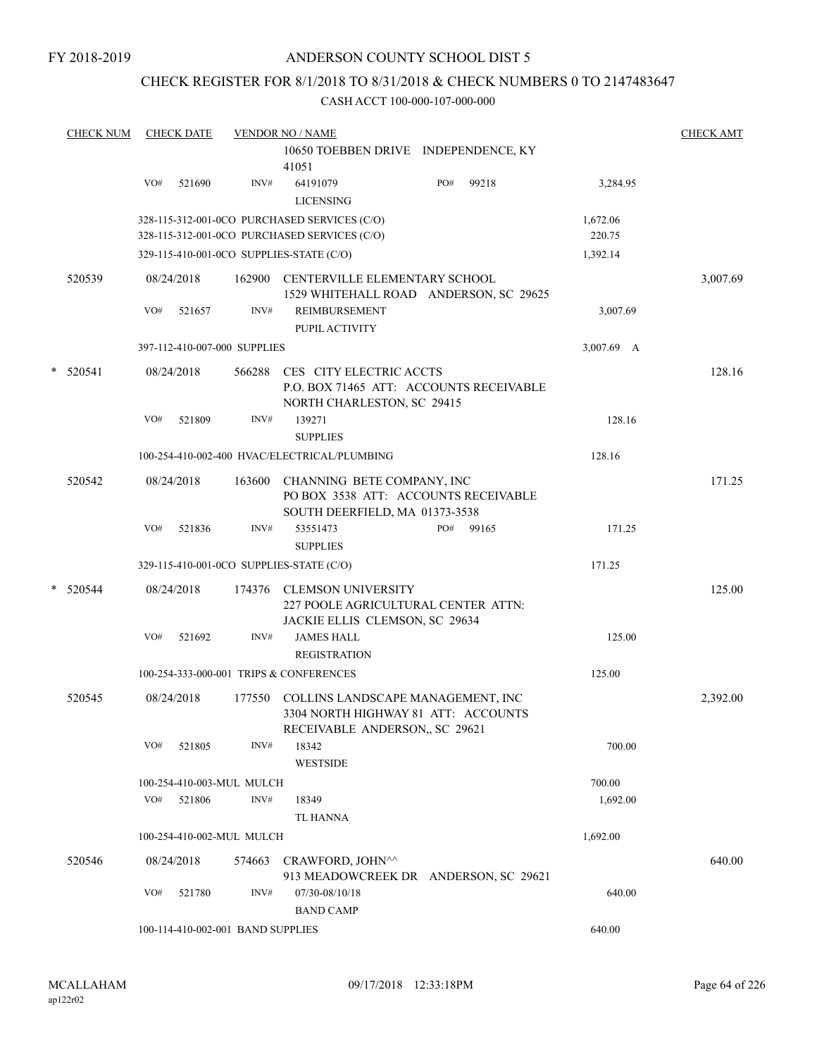### CHECK REGISTER FOR 8/1/2018 TO 8/31/2018 & CHECK NUMBERS 0 TO 2147483647

|   | <b>CHECK NUM</b> |                      | <b>CHECK DATE</b> |                                   | <b>VENDOR NO / NAME</b>                                                                                   |     |       |                    | <b>CHECK AMT</b> |
|---|------------------|----------------------|-------------------|-----------------------------------|-----------------------------------------------------------------------------------------------------------|-----|-------|--------------------|------------------|
|   |                  |                      |                   |                                   | 10650 TOEBBEN DRIVE INDEPENDENCE, KY<br>41051                                                             |     |       |                    |                  |
|   |                  | VO#                  | 521690            | INV#                              | 64191079<br><b>LICENSING</b>                                                                              | PO# | 99218 | 3,284.95           |                  |
|   |                  |                      |                   |                                   | 328-115-312-001-0CO PURCHASED SERVICES (C/O)<br>328-115-312-001-0CO PURCHASED SERVICES (C/O)              |     |       | 1,672.06<br>220.75 |                  |
|   |                  |                      |                   |                                   | 329-115-410-001-0CO SUPPLIES-STATE (C/O)                                                                  |     |       | 1,392.14           |                  |
|   | 520539           |                      | 08/24/2018        | 162900                            | CENTERVILLE ELEMENTARY SCHOOL<br>1529 WHITEHALL ROAD ANDERSON, SC 29625                                   |     |       |                    | 3,007.69         |
|   |                  | VO#                  | 521657            | INV#                              | REIMBURSEMENT<br>PUPIL ACTIVITY                                                                           |     |       | 3,007.69           |                  |
|   |                  |                      |                   | 397-112-410-007-000 SUPPLIES      |                                                                                                           |     |       | 3,007.69 A         |                  |
| * | 520541           |                      | 08/24/2018        | 566288                            | CES CITY ELECTRIC ACCTS<br>P.O. BOX 71465 ATT: ACCOUNTS RECEIVABLE<br>NORTH CHARLESTON, SC 29415          |     |       |                    | 128.16           |
|   |                  | VO#                  | 521809            | INV#                              | 139271<br><b>SUPPLIES</b>                                                                                 |     |       | 128.16             |                  |
|   |                  |                      |                   |                                   | 100-254-410-002-400 HVAC/ELECTRICAL/PLUMBING                                                              |     |       | 128.16             |                  |
|   | 520542           |                      | 08/24/2018        | 163600                            | CHANNING BETE COMPANY, INC<br>PO BOX 3538 ATT: ACCOUNTS RECEIVABLE<br>SOUTH DEERFIELD, MA 01373-3538      |     |       |                    | 171.25           |
|   |                  | VO#                  | 521836            | INV#                              | 53551473<br><b>SUPPLIES</b>                                                                               | PO# | 99165 | 171.25             |                  |
|   |                  |                      |                   |                                   | 329-115-410-001-0CO SUPPLIES-STATE (C/O)                                                                  |     |       | 171.25             |                  |
| * | 520544           |                      | 08/24/2018        |                                   | 174376 CLEMSON UNIVERSITY<br>227 POOLE AGRICULTURAL CENTER ATTN:<br>JACKIE ELLIS CLEMSON, SC 29634        |     |       |                    | 125.00           |
|   |                  | VO#                  | 521692            | INV#                              | <b>JAMES HALL</b><br><b>REGISTRATION</b>                                                                  |     |       | 125.00             |                  |
|   |                  |                      |                   |                                   | 100-254-333-000-001 TRIPS & CONFERENCES                                                                   |     |       | 125.00             |                  |
|   | 520545           |                      | 08/24/2018        | 177550                            | COLLINS LANDSCAPE MANAGEMENT, INC<br>3304 NORTH HIGHWAY 81 ATT: ACCOUNTS<br>RECEIVABLE ANDERSON, SC 29621 |     |       |                    | 2,392.00         |
|   |                  | VO#                  | 521805            | INV#                              | 18342<br><b>WESTSIDE</b>                                                                                  |     |       | 700.00             |                  |
|   |                  |                      |                   | 100-254-410-003-MUL MULCH         |                                                                                                           |     |       | 700.00             |                  |
|   |                  | VO#                  | 521806            | INV#                              | 18349                                                                                                     |     |       | 1,692.00           |                  |
|   |                  |                      |                   |                                   | TL HANNA                                                                                                  |     |       |                    |                  |
|   |                  |                      |                   | 100-254-410-002-MUL MULCH         |                                                                                                           |     |       | 1,692.00           |                  |
|   | 520546           | 08/24/2018<br>574663 |                   |                                   | CRAWFORD, JOHN^^<br>913 MEADOWCREEK DR ANDERSON, SC 29621                                                 |     |       |                    | 640.00           |
|   |                  | VO#                  | 521780            | INV#                              | 07/30-08/10/18<br><b>BAND CAMP</b>                                                                        |     |       | 640.00             |                  |
|   |                  |                      |                   | 100-114-410-002-001 BAND SUPPLIES |                                                                                                           |     |       | 640.00             |                  |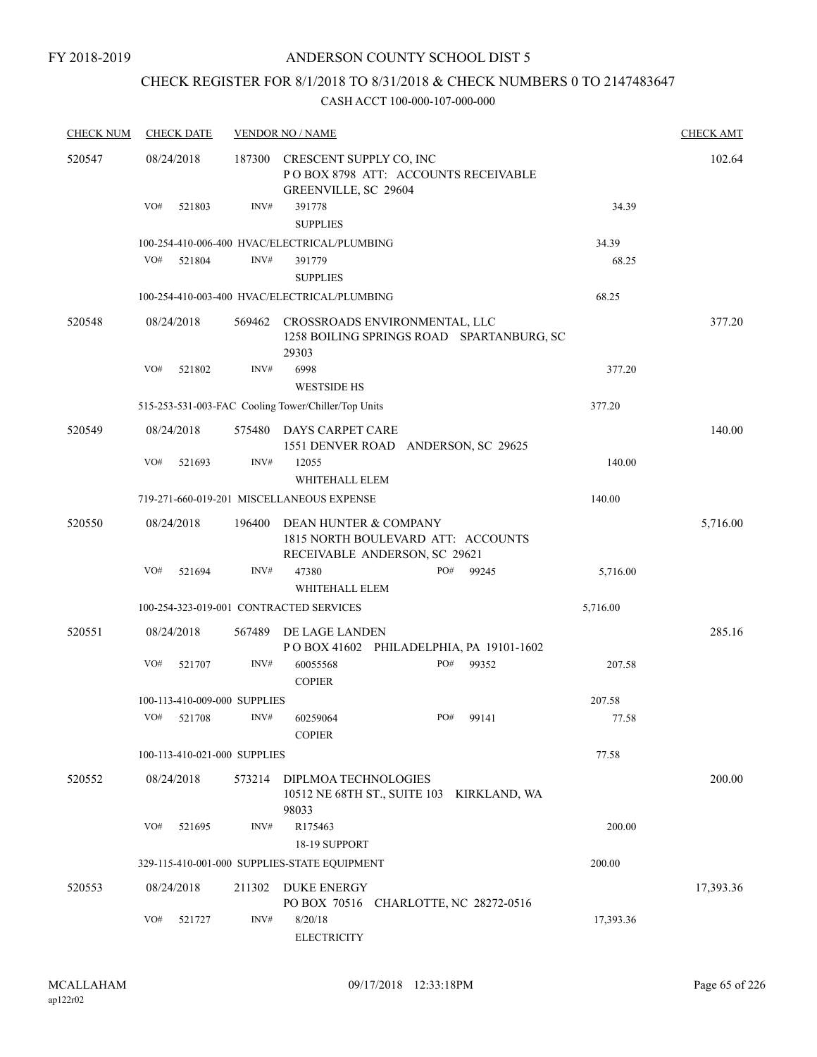#### FY 2018-2019

### ANDERSON COUNTY SCHOOL DIST 5

## CHECK REGISTER FOR 8/1/2018 TO 8/31/2018 & CHECK NUMBERS 0 TO 2147483647

| <b>CHECK NUM</b> | <b>CHECK DATE</b>            | <b>VENDOR NO / NAME</b>                                                                                | <b>CHECK AMT</b> |
|------------------|------------------------------|--------------------------------------------------------------------------------------------------------|------------------|
| 520547           | 08/24/2018                   | CRESCENT SUPPLY CO, INC<br>187300<br>POBOX 8798 ATT: ACCOUNTS RECEIVABLE<br>GREENVILLE, SC 29604       | 102.64           |
|                  | VO#<br>521803                | INV#<br>391778<br><b>SUPPLIES</b>                                                                      | 34.39            |
|                  |                              | 100-254-410-006-400 HVAC/ELECTRICAL/PLUMBING                                                           | 34.39            |
|                  | VO#<br>521804                | INV#<br>391779<br><b>SUPPLIES</b>                                                                      | 68.25            |
|                  |                              | 100-254-410-003-400 HVAC/ELECTRICAL/PLUMBING                                                           | 68.25            |
| 520548           | 08/24/2018                   | 569462<br>CROSSROADS ENVIRONMENTAL, LLC<br>1258 BOILING SPRINGS ROAD SPARTANBURG, SC<br>29303          | 377.20           |
|                  | VO#<br>521802                | INV#<br>6998<br><b>WESTSIDE HS</b>                                                                     | 377.20           |
|                  |                              | 515-253-531-003-FAC Cooling Tower/Chiller/Top Units                                                    | 377.20           |
| 520549           | 08/24/2018                   | 575480<br>DAYS CARPET CARE<br>1551 DENVER ROAD ANDERSON, SC 29625                                      | 140.00           |
|                  | VO#<br>521693                | INV#<br>12055<br>WHITEHALL ELEM                                                                        | 140.00           |
|                  |                              | 719-271-660-019-201 MISCELLANEOUS EXPENSE                                                              | 140.00           |
| 520550           | 08/24/2018                   | 196400<br>DEAN HUNTER & COMPANY<br>1815 NORTH BOULEVARD ATT: ACCOUNTS<br>RECEIVABLE ANDERSON, SC 29621 | 5,716.00         |
|                  | VO#<br>521694                | INV#<br>PO#<br>47380<br>99245<br>WHITEHALL ELEM                                                        | 5,716.00         |
|                  |                              | 100-254-323-019-001 CONTRACTED SERVICES                                                                | 5,716.00         |
| 520551           | 08/24/2018                   | 567489<br>DE LAGE LANDEN<br>POBOX 41602 PHILADELPHIA, PA 19101-1602                                    | 285.16           |
|                  | VO#<br>521707                | INV#<br>PO#<br>60055568<br>99352<br><b>COPIER</b>                                                      | 207.58           |
|                  | 100-113-410-009-000 SUPPLIES |                                                                                                        | 207.58           |
|                  | VO#<br>521708                | INV#<br>PO#<br>60259064<br>99141<br><b>COPIER</b>                                                      | 77.58            |
|                  | 100-113-410-021-000 SUPPLIES |                                                                                                        | 77.58            |
| 520552           | 08/24/2018                   | 573214<br>DIPLMOA TECHNOLOGIES<br>10512 NE 68TH ST., SUITE 103 KIRKLAND, WA<br>98033                   | 200.00           |
|                  | VO#<br>521695                | INV#<br>R175463<br>18-19 SUPPORT                                                                       | 200.00           |
|                  |                              | 329-115-410-001-000 SUPPLIES-STATE EQUIPMENT                                                           | 200.00           |
| 520553           | 08/24/2018                   | DUKE ENERGY<br>211302<br>PO BOX 70516 CHARLOTTE, NC 28272-0516                                         | 17,393.36        |
|                  | VO#<br>521727                | INV#<br>8/20/18<br><b>ELECTRICITY</b>                                                                  | 17,393.36        |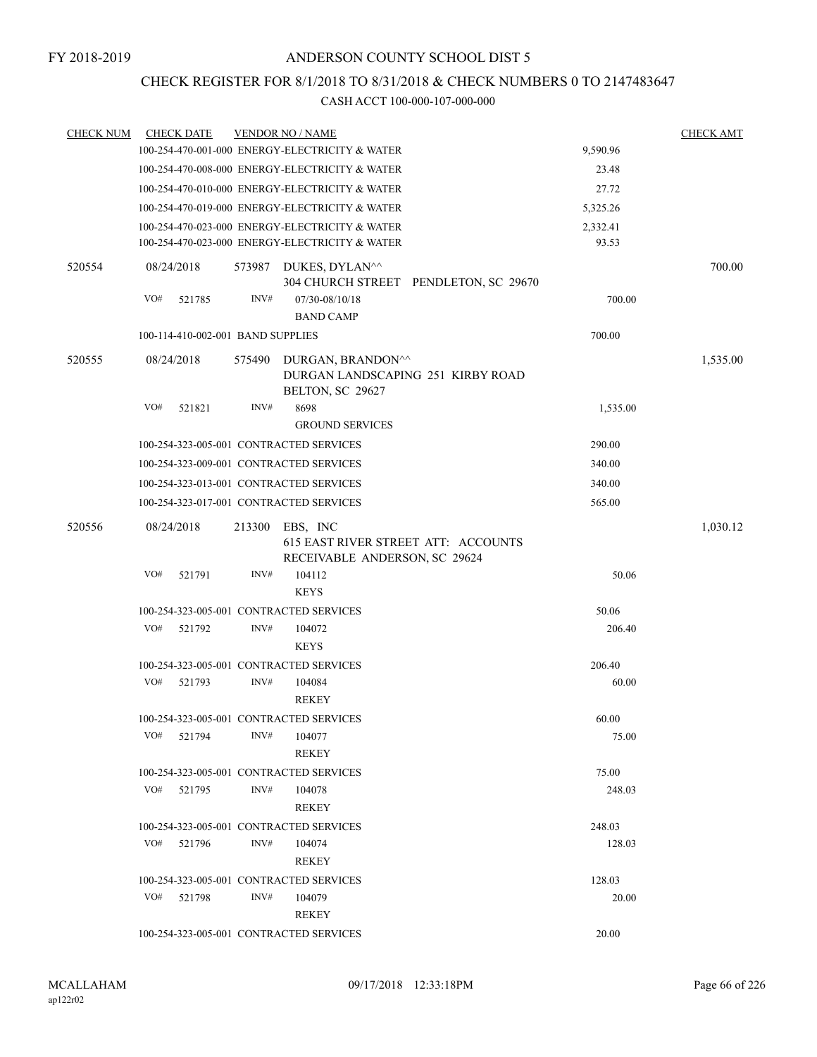### CHECK REGISTER FOR 8/1/2018 TO 8/31/2018 & CHECK NUMBERS 0 TO 2147483647

| <b>CHECK NUM</b> | <b>CHECK DATE</b>                 |        | <b>VENDOR NO / NAME</b>                                                                          |                   | <b>CHECK AMT</b> |
|------------------|-----------------------------------|--------|--------------------------------------------------------------------------------------------------|-------------------|------------------|
|                  |                                   |        | 100-254-470-001-000 ENERGY-ELECTRICITY & WATER                                                   | 9,590.96          |                  |
|                  |                                   |        | 100-254-470-008-000 ENERGY-ELECTRICITY & WATER                                                   | 23.48             |                  |
|                  |                                   |        | 100-254-470-010-000 ENERGY-ELECTRICITY & WATER                                                   | 27.72             |                  |
|                  |                                   |        | 100-254-470-019-000 ENERGY-ELECTRICITY & WATER                                                   | 5,325.26          |                  |
|                  |                                   |        | 100-254-470-023-000 ENERGY-ELECTRICITY & WATER<br>100-254-470-023-000 ENERGY-ELECTRICITY & WATER | 2,332.41<br>93.53 |                  |
| 520554           | 08/24/2018                        |        | 573987 DUKES, DYLAN^^<br>304 CHURCH STREET PENDLETON, SC 29670                                   |                   | 700.00           |
|                  | VO#<br>521785                     | INV#   | 07/30-08/10/18<br><b>BAND CAMP</b>                                                               | 700.00            |                  |
|                  | 100-114-410-002-001 BAND SUPPLIES |        |                                                                                                  | 700.00            |                  |
| 520555           | 08/24/2018                        | 575490 | DURGAN, BRANDON^^<br>DURGAN LANDSCAPING 251 KIRBY ROAD<br>BELTON, SC 29627                       |                   | 1,535.00         |
|                  | VO#<br>521821                     | INV#   | 8698                                                                                             | 1,535.00          |                  |
|                  |                                   |        | <b>GROUND SERVICES</b>                                                                           |                   |                  |
|                  |                                   |        | 100-254-323-005-001 CONTRACTED SERVICES                                                          | 290.00            |                  |
|                  |                                   |        | 100-254-323-009-001 CONTRACTED SERVICES                                                          | 340.00            |                  |
|                  |                                   |        | 100-254-323-013-001 CONTRACTED SERVICES                                                          | 340.00            |                  |
|                  |                                   |        | 100-254-323-017-001 CONTRACTED SERVICES                                                          | 565.00            |                  |
| 520556           | 08/24/2018                        | 213300 | EBS, INC<br>615 EAST RIVER STREET ATT: ACCOUNTS<br>RECEIVABLE ANDERSON, SC 29624                 |                   | 1,030.12         |
|                  | VO#<br>521791                     | INV#   | 104112<br><b>KEYS</b>                                                                            | 50.06             |                  |
|                  |                                   |        | 100-254-323-005-001 CONTRACTED SERVICES                                                          | 50.06             |                  |
|                  | VO#<br>521792                     | INV#   | 104072<br><b>KEYS</b>                                                                            | 206.40            |                  |
|                  |                                   |        | 100-254-323-005-001 CONTRACTED SERVICES                                                          | 206.40            |                  |
|                  | VO#<br>521793                     | INV#   | 104084<br><b>REKEY</b>                                                                           | 60.00             |                  |
|                  |                                   |        | 100-254-323-005-001 CONTRACTED SERVICES                                                          | 60.00             |                  |
|                  | VO#<br>521794                     | INV#   | 104077<br><b>REKEY</b>                                                                           | 75.00             |                  |
|                  |                                   |        | 100-254-323-005-001 CONTRACTED SERVICES                                                          | 75.00             |                  |
|                  | VO#<br>521795                     | INV#   | 104078<br><b>REKEY</b>                                                                           | 248.03            |                  |
|                  |                                   |        | 100-254-323-005-001 CONTRACTED SERVICES                                                          | 248.03            |                  |
|                  | VO#<br>521796                     | INV#   | 104074<br><b>REKEY</b>                                                                           | 128.03            |                  |
|                  |                                   |        | 100-254-323-005-001 CONTRACTED SERVICES                                                          | 128.03            |                  |
|                  | VO#<br>521798                     | INV#   | 104079<br><b>REKEY</b>                                                                           | 20.00             |                  |
|                  |                                   |        | 100-254-323-005-001 CONTRACTED SERVICES                                                          | 20.00             |                  |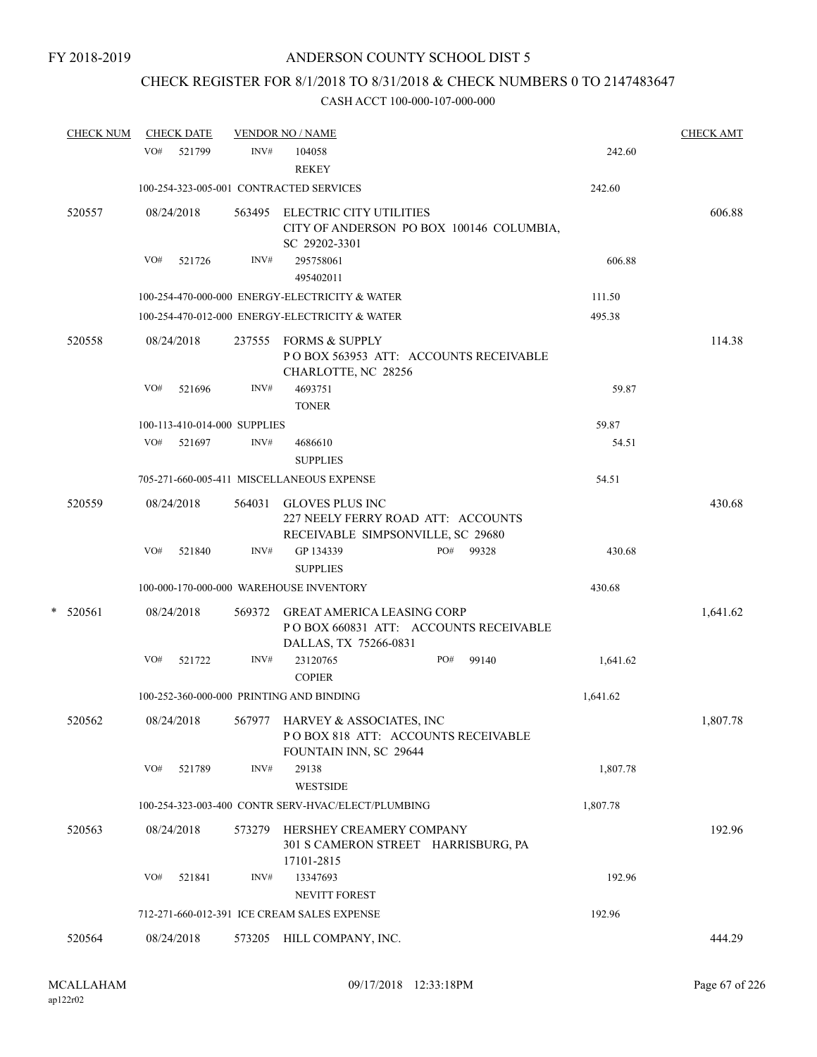## CHECK REGISTER FOR 8/1/2018 TO 8/31/2018 & CHECK NUMBERS 0 TO 2147483647

| <b>CHECK NUM</b> |     | <b>CHECK DATE</b>            |      | <b>VENDOR NO / NAME</b>                                                                             |              |          | <b>CHECK AMT</b> |
|------------------|-----|------------------------------|------|-----------------------------------------------------------------------------------------------------|--------------|----------|------------------|
|                  |     | VO# 521799                   | INV# | 104058<br><b>REKEY</b>                                                                              |              | 242.60   |                  |
|                  |     |                              |      | 100-254-323-005-001 CONTRACTED SERVICES                                                             |              | 242.60   |                  |
| 520557           |     | 08/24/2018                   |      | 563495 ELECTRIC CITY UTILITIES<br>CITY OF ANDERSON PO BOX 100146 COLUMBIA,<br>SC 29202-3301         |              |          | 606.88           |
|                  | VO# | 521726                       | INV# | 295758061<br>495402011                                                                              |              | 606.88   |                  |
|                  |     |                              |      | 100-254-470-000-000 ENERGY-ELECTRICITY & WATER                                                      |              | 111.50   |                  |
|                  |     |                              |      | 100-254-470-012-000 ENERGY-ELECTRICITY & WATER                                                      |              | 495.38   |                  |
| 520558           |     | 08/24/2018                   |      | 237555 FORMS & SUPPLY<br>POBOX 563953 ATT: ACCOUNTS RECEIVABLE<br>CHARLOTTE, NC 28256               |              |          | 114.38           |
|                  | VO# | 521696                       | INV# | 4693751<br><b>TONER</b>                                                                             |              | 59.87    |                  |
|                  |     | 100-113-410-014-000 SUPPLIES |      |                                                                                                     |              | 59.87    |                  |
|                  | VO# | 521697                       | INV# | 4686610<br><b>SUPPLIES</b>                                                                          |              | 54.51    |                  |
|                  |     |                              |      | 705-271-660-005-411 MISCELLANEOUS EXPENSE                                                           |              | 54.51    |                  |
| 520559           |     | 08/24/2018                   |      | 564031 GLOVES PLUS INC<br>227 NEELY FERRY ROAD ATT: ACCOUNTS<br>RECEIVABLE SIMPSONVILLE, SC 29680   |              |          | 430.68           |
|                  | VO# | 521840                       | INV# | GP 134339<br><b>SUPPLIES</b>                                                                        | PO#<br>99328 | 430.68   |                  |
|                  |     |                              |      | 100-000-170-000-000 WAREHOUSE INVENTORY                                                             |              | 430.68   |                  |
| $*$ 520561       |     | 08/24/2018                   |      | 569372 GREAT AMERICA LEASING CORP<br>POBOX 660831 ATT: ACCOUNTS RECEIVABLE<br>DALLAS, TX 75266-0831 |              |          | 1,641.62         |
|                  | VO# | 521722                       | INV# | 23120765<br><b>COPIER</b>                                                                           | PO#<br>99140 | 1,641.62 |                  |
|                  |     |                              |      | 100-252-360-000-000 PRINTING AND BINDING                                                            |              | 1,641.62 |                  |
| 520562           |     | 08/24/2018                   |      | 567977 HARVEY & ASSOCIATES, INC<br>PO BOX 818 ATT: ACCOUNTS RECEIVABLE<br>FOUNTAIN INN, SC 29644    |              |          | 1,807.78         |
|                  | VO# | 521789                       | INV# | 29138<br><b>WESTSIDE</b>                                                                            |              | 1,807.78 |                  |
|                  |     |                              |      | 100-254-323-003-400 CONTR SERV-HVAC/ELECT/PLUMBING                                                  |              | 1,807.78 |                  |
| 520563           |     | 08/24/2018                   |      | 573279 HERSHEY CREAMERY COMPANY<br>301 S CAMERON STREET HARRISBURG, PA<br>17101-2815                |              |          | 192.96           |
|                  | VO# | 521841                       | INV# | 13347693                                                                                            |              | 192.96   |                  |
|                  |     |                              |      | <b>NEVITT FOREST</b>                                                                                |              |          |                  |
|                  |     |                              |      | 712-271-660-012-391 ICE CREAM SALES EXPENSE                                                         |              | 192.96   |                  |
| 520564           |     | 08/24/2018                   |      | 573205 HILL COMPANY, INC.                                                                           |              |          | 444.29           |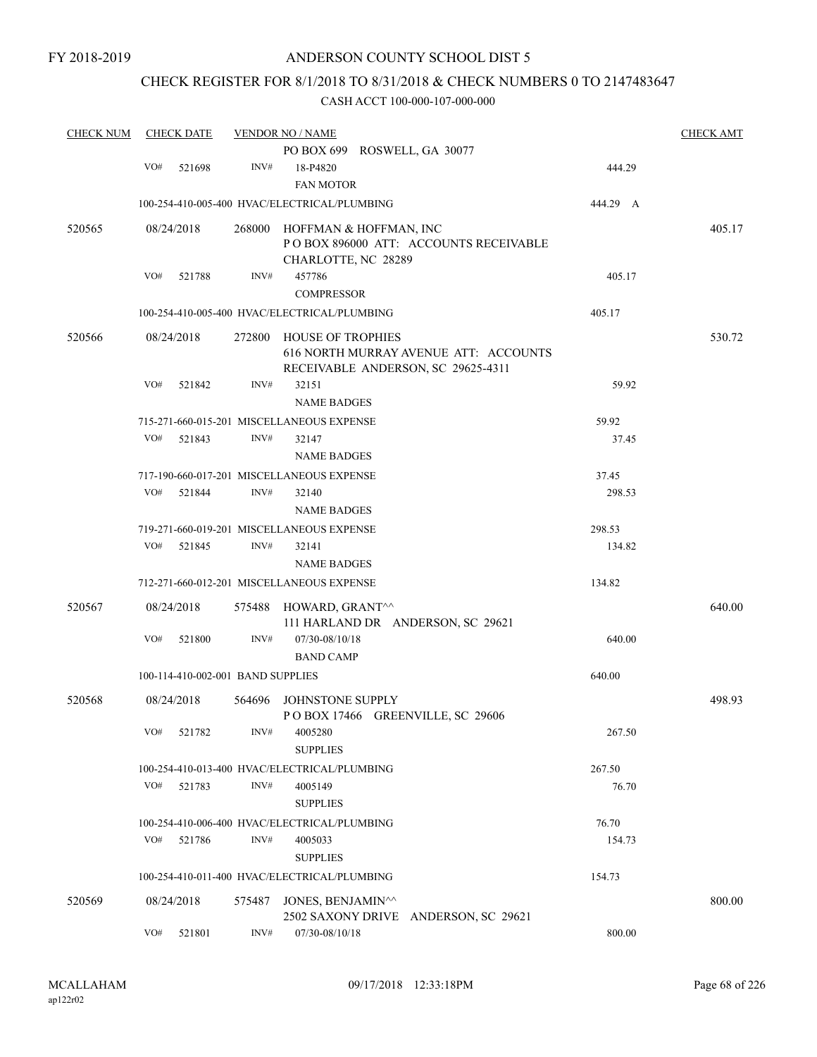### CHECK REGISTER FOR 8/1/2018 TO 8/31/2018 & CHECK NUMBERS 0 TO 2147483647

| <b>CHECK NUM</b> |     | <b>CHECK DATE</b>                 |        | <b>VENDOR NO / NAME</b>                                    |          | <b>CHECK AMT</b> |
|------------------|-----|-----------------------------------|--------|------------------------------------------------------------|----------|------------------|
|                  |     |                                   |        | PO BOX 699 ROSWELL, GA 30077                               |          |                  |
|                  | VO# | 521698                            | INV#   | 18-P4820                                                   | 444.29   |                  |
|                  |     |                                   |        | <b>FAN MOTOR</b>                                           |          |                  |
|                  |     |                                   |        | 100-254-410-005-400 HVAC/ELECTRICAL/PLUMBING               | 444.29 A |                  |
| 520565           |     | 08/24/2018                        | 268000 | HOFFMAN & HOFFMAN, INC                                     |          | 405.17           |
|                  |     |                                   |        | POBOX 896000 ATT: ACCOUNTS RECEIVABLE                      |          |                  |
|                  |     |                                   |        | CHARLOTTE, NC 28289                                        |          |                  |
|                  | VO# | 521788                            | INV#   | 457786                                                     | 405.17   |                  |
|                  |     |                                   |        | <b>COMPRESSOR</b>                                          |          |                  |
|                  |     |                                   |        | 100-254-410-005-400 HVAC/ELECTRICAL/PLUMBING               | 405.17   |                  |
| 520566           |     | 08/24/2018                        | 272800 | HOUSE OF TROPHIES<br>616 NORTH MURRAY AVENUE ATT: ACCOUNTS |          | 530.72           |
|                  |     |                                   |        | RECEIVABLE ANDERSON, SC 29625-4311                         |          |                  |
|                  | VO# | 521842                            | INV#   | 32151                                                      | 59.92    |                  |
|                  |     |                                   |        | <b>NAME BADGES</b>                                         |          |                  |
|                  |     |                                   |        | 715-271-660-015-201 MISCELLANEOUS EXPENSE                  | 59.92    |                  |
|                  | VO# | 521843                            | INV#   | 32147                                                      | 37.45    |                  |
|                  |     |                                   |        | <b>NAME BADGES</b>                                         |          |                  |
|                  |     |                                   |        | 717-190-660-017-201 MISCELLANEOUS EXPENSE                  | 37.45    |                  |
|                  | VO# | 521844                            | INV#   | 32140                                                      | 298.53   |                  |
|                  |     |                                   |        | <b>NAME BADGES</b>                                         |          |                  |
|                  |     |                                   |        | 719-271-660-019-201 MISCELLANEOUS EXPENSE                  | 298.53   |                  |
|                  | VO# | 521845                            | INV#   | 32141                                                      | 134.82   |                  |
|                  |     |                                   |        | <b>NAME BADGES</b>                                         |          |                  |
|                  |     |                                   |        | 712-271-660-012-201 MISCELLANEOUS EXPENSE                  | 134.82   |                  |
| 520567           |     | 08/24/2018                        | 575488 | HOWARD, GRANT^^                                            |          | 640.00           |
|                  |     |                                   |        | 111 HARLAND DR ANDERSON, SC 29621                          |          |                  |
|                  | VO# | 521800                            | INV#   | 07/30-08/10/18                                             | 640.00   |                  |
|                  |     |                                   |        | <b>BAND CAMP</b>                                           |          |                  |
|                  |     | 100-114-410-002-001 BAND SUPPLIES |        |                                                            | 640.00   |                  |
| 520568           |     | 08/24/2018                        | 564696 | JOHNSTONE SUPPLY<br>POBOX 17466 GREENVILLE, SC 29606       |          | 498.93           |
|                  | VO# | 521782                            | INV#   | 4005280<br><b>SUPPLIES</b>                                 | 267.50   |                  |
|                  |     |                                   |        | 100-254-410-013-400 HVAC/ELECTRICAL/PLUMBING               | 267.50   |                  |
|                  | VO# | 521783                            | INV#   | 4005149                                                    | 76.70    |                  |
|                  |     |                                   |        | <b>SUPPLIES</b>                                            |          |                  |
|                  |     |                                   |        | 100-254-410-006-400 HVAC/ELECTRICAL/PLUMBING               | 76.70    |                  |
|                  | VO# | 521786                            | INV#   | 4005033                                                    | 154.73   |                  |
|                  |     |                                   |        | <b>SUPPLIES</b>                                            |          |                  |
|                  |     |                                   |        | 100-254-410-011-400 HVAC/ELECTRICAL/PLUMBING               | 154.73   |                  |
| 520569           |     | 08/24/2018                        | 575487 | JONES, BENJAMIN^^<br>2502 SAXONY DRIVE ANDERSON, SC 29621  |          | 800.00           |
|                  | VO# | 521801                            | INV#   | 07/30-08/10/18                                             | 800.00   |                  |
|                  |     |                                   |        |                                                            |          |                  |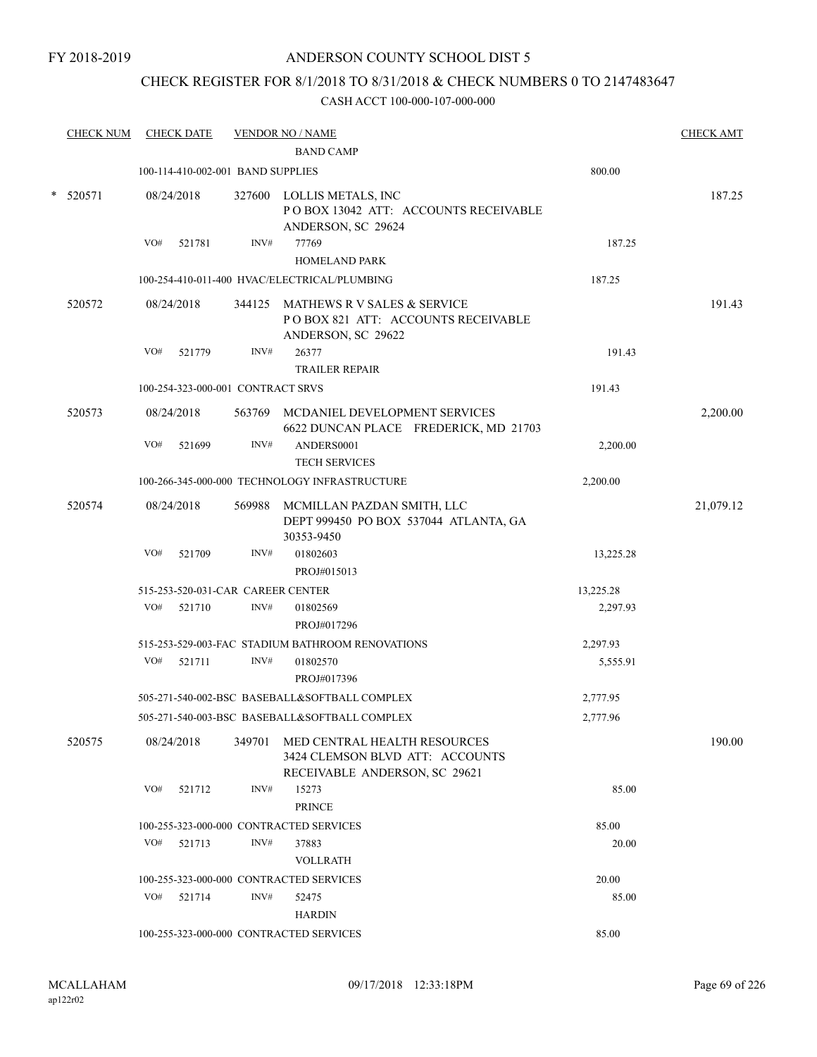### CHECK REGISTER FOR 8/1/2018 TO 8/31/2018 & CHECK NUMBERS 0 TO 2147483647

|   | <b>CHECK NUM</b> |     | <b>CHECK DATE</b>                 |        | <b>VENDOR NO / NAME</b>                                                                          |           | <b>CHECK AMT</b> |
|---|------------------|-----|-----------------------------------|--------|--------------------------------------------------------------------------------------------------|-----------|------------------|
|   |                  |     |                                   |        | <b>BAND CAMP</b>                                                                                 |           |                  |
|   |                  |     | 100-114-410-002-001 BAND SUPPLIES |        |                                                                                                  | 800.00    |                  |
| * | 520571           |     | 08/24/2018                        |        | 327600 LOLLIS METALS, INC<br>POBOX 13042 ATT: ACCOUNTS RECEIVABLE<br>ANDERSON, SC 29624          |           | 187.25           |
|   |                  | VO# | 521781                            | INV#   | 77769<br><b>HOMELAND PARK</b>                                                                    | 187.25    |                  |
|   |                  |     |                                   |        | 100-254-410-011-400 HVAC/ELECTRICAL/PLUMBING                                                     | 187.25    |                  |
|   | 520572           |     | 08/24/2018                        |        | 344125 MATHEWS R V SALES & SERVICE<br>POBOX 821 ATT: ACCOUNTS RECEIVABLE<br>ANDERSON, SC 29622   |           | 191.43           |
|   |                  | VO# | 521779                            | INV#   | 26377<br><b>TRAILER REPAIR</b>                                                                   | 191.43    |                  |
|   |                  |     | 100-254-323-000-001 CONTRACT SRVS |        |                                                                                                  | 191.43    |                  |
|   | 520573           |     | 08/24/2018                        |        | 563769 MCDANIEL DEVELOPMENT SERVICES<br>6622 DUNCAN PLACE FREDERICK, MD 21703                    |           | 2,200.00         |
|   |                  | VO# | 521699                            | INV#   | ANDERS0001<br><b>TECH SERVICES</b>                                                               | 2,200.00  |                  |
|   |                  |     |                                   |        | 100-266-345-000-000 TECHNOLOGY INFRASTRUCTURE                                                    | 2,200.00  |                  |
|   | 520574           |     | 08/24/2018                        |        | 569988 MCMILLAN PAZDAN SMITH, LLC<br>DEPT 999450 PO BOX 537044 ATLANTA, GA<br>30353-9450         |           | 21,079.12        |
|   |                  | VO# | 521709                            | INV#   | 01802603<br>PROJ#015013                                                                          | 13,225.28 |                  |
|   |                  |     | 515-253-520-031-CAR CAREER CENTER |        |                                                                                                  | 13,225.28 |                  |
|   |                  | VO# | 521710                            | INV#   | 01802569<br>PROJ#017296                                                                          | 2,297.93  |                  |
|   |                  |     |                                   |        | 515-253-529-003-FAC STADIUM BATHROOM RENOVATIONS                                                 | 2,297.93  |                  |
|   |                  |     | VO# 521711                        | INV#   | 01802570<br>PROJ#017396                                                                          | 5,555.91  |                  |
|   |                  |     |                                   |        | 505-271-540-002-BSC BASEBALL&SOFTBALL COMPLEX                                                    | 2,777.95  |                  |
|   |                  |     |                                   |        | 505-271-540-003-BSC BASEBALL&SOFTBALL COMPLEX                                                    | 2,777.96  |                  |
|   | 520575           |     | 08/24/2018                        | 349701 | MED CENTRAL HEALTH RESOURCES<br>3424 CLEMSON BLVD ATT: ACCOUNTS<br>RECEIVABLE ANDERSON, SC 29621 |           | 190.00           |
|   |                  | VO# | 521712                            | INV#   | 15273<br><b>PRINCE</b>                                                                           | 85.00     |                  |
|   |                  |     |                                   |        | 100-255-323-000-000 CONTRACTED SERVICES                                                          | 85.00     |                  |
|   |                  |     | VO# 521713                        | INV#   | 37883<br><b>VOLLRATH</b>                                                                         | 20.00     |                  |
|   |                  |     |                                   |        | 100-255-323-000-000 CONTRACTED SERVICES                                                          | 20.00     |                  |
|   |                  | VO# | 521714                            | INV#   | 52475<br><b>HARDIN</b>                                                                           | 85.00     |                  |
|   |                  |     |                                   |        | 100-255-323-000-000 CONTRACTED SERVICES                                                          | 85.00     |                  |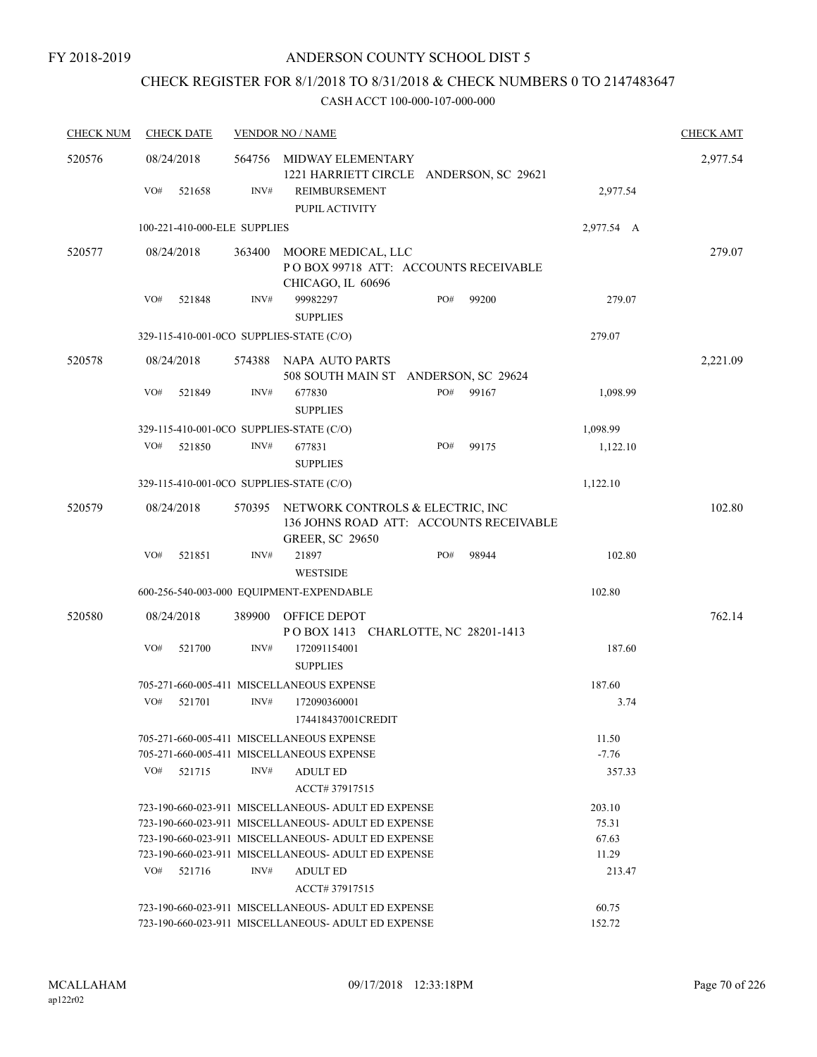## CHECK REGISTER FOR 8/1/2018 TO 8/31/2018 & CHECK NUMBERS 0 TO 2147483647

| <b>CHECK NUM</b> | <b>CHECK DATE</b>                        |        | <b>VENDOR NO / NAME</b>                                                                               |     |       |            | <b>CHECK AMT</b> |
|------------------|------------------------------------------|--------|-------------------------------------------------------------------------------------------------------|-----|-------|------------|------------------|
| 520576           | 08/24/2018                               | 564756 | MIDWAY ELEMENTARY<br>1221 HARRIETT CIRCLE ANDERSON, SC 29621                                          |     |       |            | 2,977.54         |
|                  | VO#<br>521658                            | INV#   | REIMBURSEMENT<br>PUPIL ACTIVITY                                                                       |     |       | 2,977.54   |                  |
|                  | 100-221-410-000-ELE SUPPLIES             |        |                                                                                                       |     |       | 2,977.54 A |                  |
| 520577           | 08/24/2018                               | 363400 | MOORE MEDICAL, LLC<br>POBOX 99718 ATT: ACCOUNTS RECEIVABLE<br>CHICAGO, IL 60696                       |     |       |            | 279.07           |
|                  | VO#<br>521848                            | INV#   | 99982297<br><b>SUPPLIES</b>                                                                           | PO# | 99200 | 279.07     |                  |
|                  | 329-115-410-001-0CO SUPPLIES-STATE (C/O) |        |                                                                                                       |     |       | 279.07     |                  |
| 520578           | 08/24/2018                               | 574388 | NAPA AUTO PARTS<br>508 SOUTH MAIN ST ANDERSON, SC 29624                                               |     |       |            | 2,221.09         |
|                  | VO#<br>521849                            | INV#   | 677830<br><b>SUPPLIES</b>                                                                             | PO# | 99167 | 1,098.99   |                  |
|                  | 329-115-410-001-0CO SUPPLIES-STATE (C/O) |        |                                                                                                       |     |       | 1,098.99   |                  |
|                  | VO#<br>521850                            | INV#   | 677831<br><b>SUPPLIES</b>                                                                             | PO# | 99175 | 1,122.10   |                  |
|                  | 329-115-410-001-0CO SUPPLIES-STATE (C/O) |        |                                                                                                       |     |       | 1,122.10   |                  |
| 520579           | 08/24/2018                               | 570395 | NETWORK CONTROLS & ELECTRIC, INC<br>136 JOHNS ROAD ATT: ACCOUNTS RECEIVABLE<br><b>GREER, SC 29650</b> |     |       |            | 102.80           |
|                  | VO#<br>521851                            | INV#   | 21897<br><b>WESTSIDE</b>                                                                              | PO# | 98944 | 102.80     |                  |
|                  |                                          |        | 600-256-540-003-000 EQUIPMENT-EXPENDABLE                                                              |     |       | 102.80     |                  |
| 520580           | 08/24/2018                               | 389900 | OFFICE DEPOT<br>POBOX 1413 CHARLOTTE, NC 28201-1413                                                   |     |       |            | 762.14           |
|                  | VO#<br>521700                            | INV#   | 172091154001<br><b>SUPPLIES</b>                                                                       |     |       | 187.60     |                  |
|                  |                                          |        | 705-271-660-005-411 MISCELLANEOUS EXPENSE                                                             |     |       | 187.60     |                  |
|                  | VO#<br>521701                            | INV#   | 172090360001<br>174418437001CREDIT                                                                    |     |       | 3.74       |                  |
|                  |                                          |        | 705-271-660-005-411 MISCELLANEOUS EXPENSE                                                             |     |       | 11.50      |                  |
|                  |                                          |        | 705-271-660-005-411 MISCELLANEOUS EXPENSE                                                             |     |       | $-7.76$    |                  |
|                  | VO#<br>521715                            | INV#   | <b>ADULT ED</b><br>ACCT# 37917515                                                                     |     |       | 357.33     |                  |
|                  |                                          |        | 723-190-660-023-911 MISCELLANEOUS-ADULT ED EXPENSE                                                    |     |       | 203.10     |                  |
|                  |                                          |        | 723-190-660-023-911 MISCELLANEOUS- ADULT ED EXPENSE                                                   |     |       | 75.31      |                  |
|                  |                                          |        | 723-190-660-023-911 MISCELLANEOUS- ADULT ED EXPENSE                                                   |     |       | 67.63      |                  |
|                  |                                          |        | 723-190-660-023-911 MISCELLANEOUS- ADULT ED EXPENSE                                                   |     |       | 11.29      |                  |
|                  | VO#<br>521716                            | INV#   | <b>ADULT ED</b><br>ACCT# 37917515                                                                     |     |       | 213.47     |                  |
|                  |                                          |        | 723-190-660-023-911 MISCELLANEOUS- ADULT ED EXPENSE                                                   |     |       | 60.75      |                  |
|                  |                                          |        | 723-190-660-023-911 MISCELLANEOUS- ADULT ED EXPENSE                                                   |     |       | 152.72     |                  |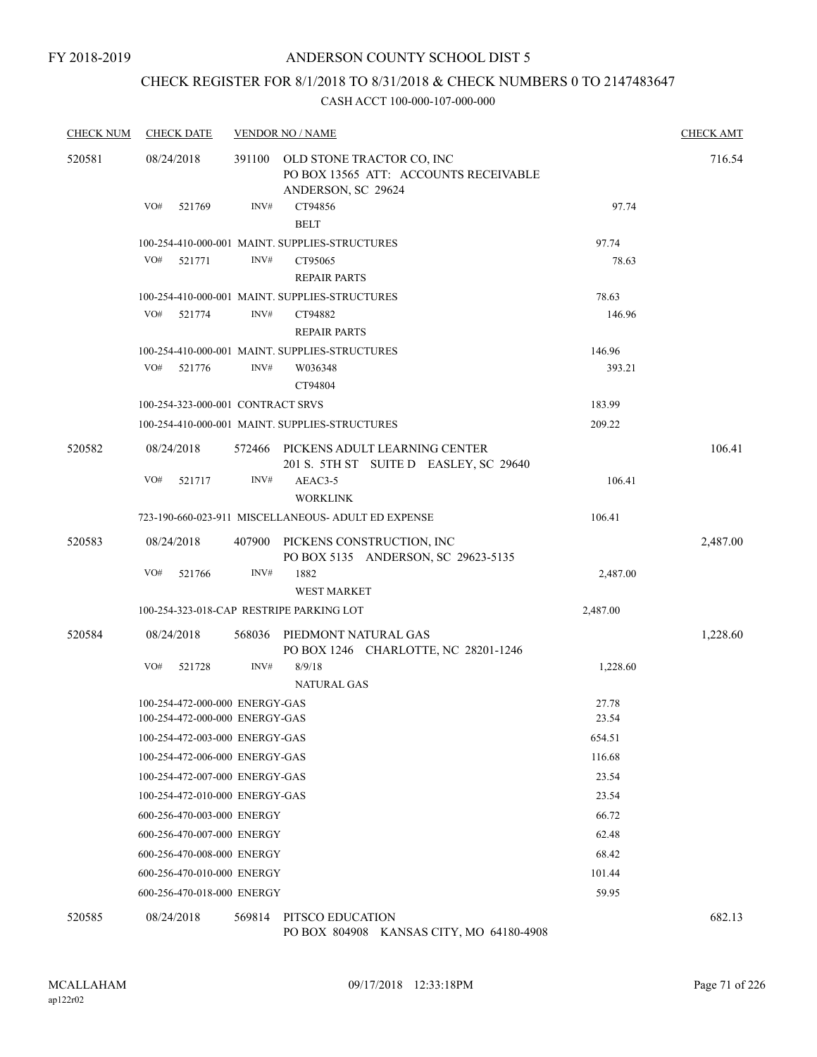## CHECK REGISTER FOR 8/1/2018 TO 8/31/2018 & CHECK NUMBERS 0 TO 2147483647

#### CASH ACCT 100-000-107-000-000

| <b>CHECK NUM</b> | <b>CHECK DATE</b>                                                |                | <b>VENDOR NO / NAME</b>                                                                             |                  | <b>CHECK AMT</b> |
|------------------|------------------------------------------------------------------|----------------|-----------------------------------------------------------------------------------------------------|------------------|------------------|
| 520581           | 08/24/2018<br>VO#<br>521769                                      | 391100<br>INV# | OLD STONE TRACTOR CO, INC<br>PO BOX 13565 ATT: ACCOUNTS RECEIVABLE<br>ANDERSON, SC 29624<br>CT94856 | 97.74            | 716.54           |
|                  |                                                                  |                | <b>BELT</b>                                                                                         |                  |                  |
|                  | VO#<br>521771                                                    | INV#           | 100-254-410-000-001 MAINT. SUPPLIES-STRUCTURES<br>CT95065<br><b>REPAIR PARTS</b>                    | 97.74<br>78.63   |                  |
|                  |                                                                  |                | 100-254-410-000-001 MAINT. SUPPLIES-STRUCTURES                                                      | 78.63            |                  |
|                  | VO#<br>521774                                                    | INV#           | CT94882<br><b>REPAIR PARTS</b>                                                                      | 146.96           |                  |
|                  | VO#<br>521776                                                    | INV#           | 100-254-410-000-001 MAINT. SUPPLIES-STRUCTURES<br>W036348<br>CT94804                                | 146.96<br>393.21 |                  |
|                  | 100-254-323-000-001 CONTRACT SRVS                                |                |                                                                                                     | 183.99           |                  |
|                  |                                                                  |                | 100-254-410-000-001 MAINT, SUPPLIES-STRUCTURES                                                      | 209.22           |                  |
| 520582           | 08/24/2018                                                       |                | 572466 PICKENS ADULT LEARNING CENTER<br>201 S. 5TH ST SUITE D EASLEY, SC 29640                      |                  | 106.41           |
|                  | VO#<br>521717                                                    | INV#           | AEAC3-5<br><b>WORKLINK</b>                                                                          | 106.41           |                  |
|                  |                                                                  |                | 723-190-660-023-911 MISCELLANEOUS- ADULT ED EXPENSE                                                 | 106.41           |                  |
| 520583           | 08/24/2018                                                       |                | 407900 PICKENS CONSTRUCTION, INC<br>PO BOX 5135 ANDERSON, SC 29623-5135                             |                  | 2,487.00         |
|                  | VO#<br>521766                                                    | INV#           | 1882<br><b>WEST MARKET</b>                                                                          | 2,487.00         |                  |
|                  | 100-254-323-018-CAP RESTRIPE PARKING LOT                         |                |                                                                                                     | 2,487.00         |                  |
| 520584           | 08/24/2018                                                       | 568036         | PIEDMONT NATURAL GAS<br>PO BOX 1246 CHARLOTTE, NC 28201-1246                                        |                  | 1,228.60         |
|                  | VO#<br>521728                                                    | INV#           | 8/9/18<br><b>NATURAL GAS</b>                                                                        | 1,228.60         |                  |
|                  | 100-254-472-000-000 ENERGY-GAS<br>100-254-472-000-000 ENERGY-GAS |                |                                                                                                     | 27.78            |                  |
|                  | 100-254-472-003-000 ENERGY-GAS                                   |                |                                                                                                     | 23.54<br>654.51  |                  |
|                  | 100-254-472-006-000 ENERGY-GAS                                   |                |                                                                                                     | 116.68           |                  |
|                  | 100-254-472-007-000 ENERGY-GAS                                   |                |                                                                                                     | 23.54            |                  |
|                  | 100-254-472-010-000 ENERGY-GAS                                   |                |                                                                                                     | 23.54            |                  |
|                  | 600-256-470-003-000 ENERGY                                       |                |                                                                                                     | 66.72            |                  |
|                  | 600-256-470-007-000 ENERGY                                       |                |                                                                                                     | 62.48            |                  |
|                  | 600-256-470-008-000 ENERGY                                       |                |                                                                                                     | 68.42            |                  |
|                  | 600-256-470-010-000 ENERGY                                       |                |                                                                                                     | 101.44           |                  |
|                  | 600-256-470-018-000 ENERGY                                       |                |                                                                                                     | 59.95            |                  |
| 520585           | 08/24/2018                                                       |                | 569814 PITSCO EDUCATION                                                                             |                  | 682.13           |

PO BOX 804908 KANSAS CITY, MO 64180-4908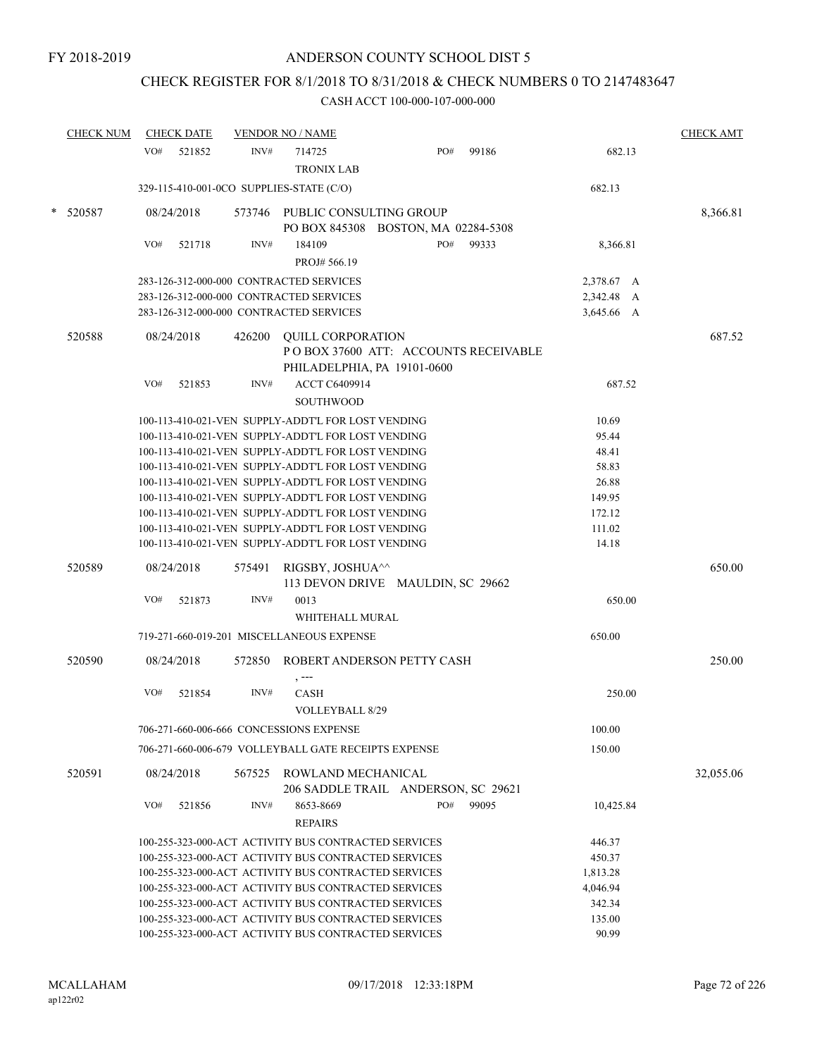## CHECK REGISTER FOR 8/1/2018 TO 8/31/2018 & CHECK NUMBERS 0 TO 2147483647

|   | <b>CHECK NUM</b> | <b>CHECK DATE</b> |        | <b>VENDOR NO / NAME</b>                                                                                  |                                      |       |                  | <b>CHECK AMT</b> |
|---|------------------|-------------------|--------|----------------------------------------------------------------------------------------------------------|--------------------------------------|-------|------------------|------------------|
|   |                  | VO#<br>521852     | INV#   | 714725                                                                                                   | PO#                                  | 99186 | 682.13           |                  |
|   |                  |                   |        | <b>TRONIX LAB</b>                                                                                        |                                      |       |                  |                  |
|   |                  |                   |        | 329-115-410-001-0CO SUPPLIES-STATE (C/O)                                                                 |                                      |       | 682.13           |                  |
| * | 520587           | 08/24/2018        |        | 573746 PUBLIC CONSULTING GROUP                                                                           | PO BOX 845308 BOSTON, MA 02284-5308  |       |                  | 8,366.81         |
|   |                  | VO#<br>521718     | INV#   | 184109                                                                                                   | PO#                                  | 99333 | 8,366.81         |                  |
|   |                  |                   |        | PROJ# 566.19                                                                                             |                                      |       |                  |                  |
|   |                  |                   |        | 283-126-312-000-000 CONTRACTED SERVICES                                                                  |                                      |       | 2,378.67 A       |                  |
|   |                  |                   |        | 283-126-312-000-000 CONTRACTED SERVICES                                                                  |                                      |       | 2,342.48 A       |                  |
|   |                  |                   |        | 283-126-312-000-000 CONTRACTED SERVICES                                                                  |                                      |       | 3,645.66 A       |                  |
|   | 520588           | 08/24/2018        | 426200 | <b>QUILL CORPORATION</b>                                                                                 | POBOX 37600 ATT: ACCOUNTS RECEIVABLE |       |                  | 687.52           |
|   |                  |                   |        |                                                                                                          | PHILADELPHIA, PA 19101-0600          |       |                  |                  |
|   |                  | VO#<br>521853     | INV#   | ACCT C6409914<br><b>SOUTHWOOD</b>                                                                        |                                      |       | 687.52           |                  |
|   |                  |                   |        | 100-113-410-021-VEN SUPPLY-ADDT'L FOR LOST VENDING                                                       |                                      |       | 10.69            |                  |
|   |                  |                   |        | 100-113-410-021-VEN SUPPLY-ADDT'L FOR LOST VENDING                                                       |                                      |       | 95.44            |                  |
|   |                  |                   |        | 100-113-410-021-VEN SUPPLY-ADDT'L FOR LOST VENDING                                                       |                                      |       | 48.41            |                  |
|   |                  |                   |        | 100-113-410-021-VEN SUPPLY-ADDT'L FOR LOST VENDING                                                       |                                      |       | 58.83            |                  |
|   |                  |                   |        | 100-113-410-021-VEN SUPPLY-ADDT'L FOR LOST VENDING                                                       |                                      |       | 26.88            |                  |
|   |                  |                   |        | 100-113-410-021-VEN SUPPLY-ADDT'L FOR LOST VENDING                                                       |                                      |       | 149.95           |                  |
|   |                  |                   |        | 100-113-410-021-VEN SUPPLY-ADDT'L FOR LOST VENDING<br>100-113-410-021-VEN SUPPLY-ADDT'L FOR LOST VENDING |                                      |       | 172.12<br>111.02 |                  |
|   |                  |                   |        | 100-113-410-021-VEN SUPPLY-ADDT'L FOR LOST VENDING                                                       |                                      |       | 14.18            |                  |
|   |                  |                   |        |                                                                                                          |                                      |       |                  |                  |
|   | 520589           | 08/24/2018        | 575491 | RIGSBY, JOSHUA <sup>^^</sup>                                                                             | 113 DEVON DRIVE MAULDIN, SC 29662    |       |                  | 650.00           |
|   |                  | VO#<br>521873     | INV#   | 0013                                                                                                     |                                      |       | 650.00           |                  |
|   |                  |                   |        | WHITEHALL MURAL                                                                                          |                                      |       |                  |                  |
|   |                  |                   |        | 719-271-660-019-201 MISCELLANEOUS EXPENSE                                                                |                                      |       | 650.00           |                  |
|   | 520590           | 08/24/2018        | 572850 | $, --$                                                                                                   | ROBERT ANDERSON PETTY CASH           |       |                  | 250.00           |
|   |                  | VO#<br>521854     | INV#   | <b>CASH</b>                                                                                              |                                      |       | 250.00           |                  |
|   |                  |                   |        | <b>VOLLEYBALL 8/29</b>                                                                                   |                                      |       |                  |                  |
|   |                  |                   |        | 706-271-660-006-666 CONCESSIONS EXPENSE                                                                  |                                      |       | 100.00           |                  |
|   |                  |                   |        | 706-271-660-006-679 VOLLEYBALL GATE RECEIPTS EXPENSE                                                     |                                      |       | 150.00           |                  |
|   | 520591           | 08/24/2018        |        | 567525 ROWLAND MECHANICAL                                                                                | 206 SADDLE TRAIL ANDERSON, SC 29621  |       |                  | 32,055.06        |
|   |                  | VO#<br>521856     | INV#   | 8653-8669                                                                                                | PO#                                  | 99095 | 10,425.84        |                  |
|   |                  |                   |        | <b>REPAIRS</b>                                                                                           |                                      |       |                  |                  |
|   |                  |                   |        | 100-255-323-000-ACT ACTIVITY BUS CONTRACTED SERVICES                                                     |                                      |       | 446.37           |                  |
|   |                  |                   |        | 100-255-323-000-ACT ACTIVITY BUS CONTRACTED SERVICES                                                     |                                      |       | 450.37           |                  |
|   |                  |                   |        | 100-255-323-000-ACT ACTIVITY BUS CONTRACTED SERVICES                                                     |                                      |       | 1,813.28         |                  |
|   |                  |                   |        | 100-255-323-000-ACT ACTIVITY BUS CONTRACTED SERVICES                                                     |                                      |       | 4,046.94         |                  |
|   |                  |                   |        | 100-255-323-000-ACT ACTIVITY BUS CONTRACTED SERVICES                                                     |                                      |       | 342.34           |                  |
|   |                  |                   |        | 100-255-323-000-ACT ACTIVITY BUS CONTRACTED SERVICES                                                     |                                      |       | 135.00           |                  |
|   |                  |                   |        | 100-255-323-000-ACT ACTIVITY BUS CONTRACTED SERVICES                                                     |                                      |       | 90.99            |                  |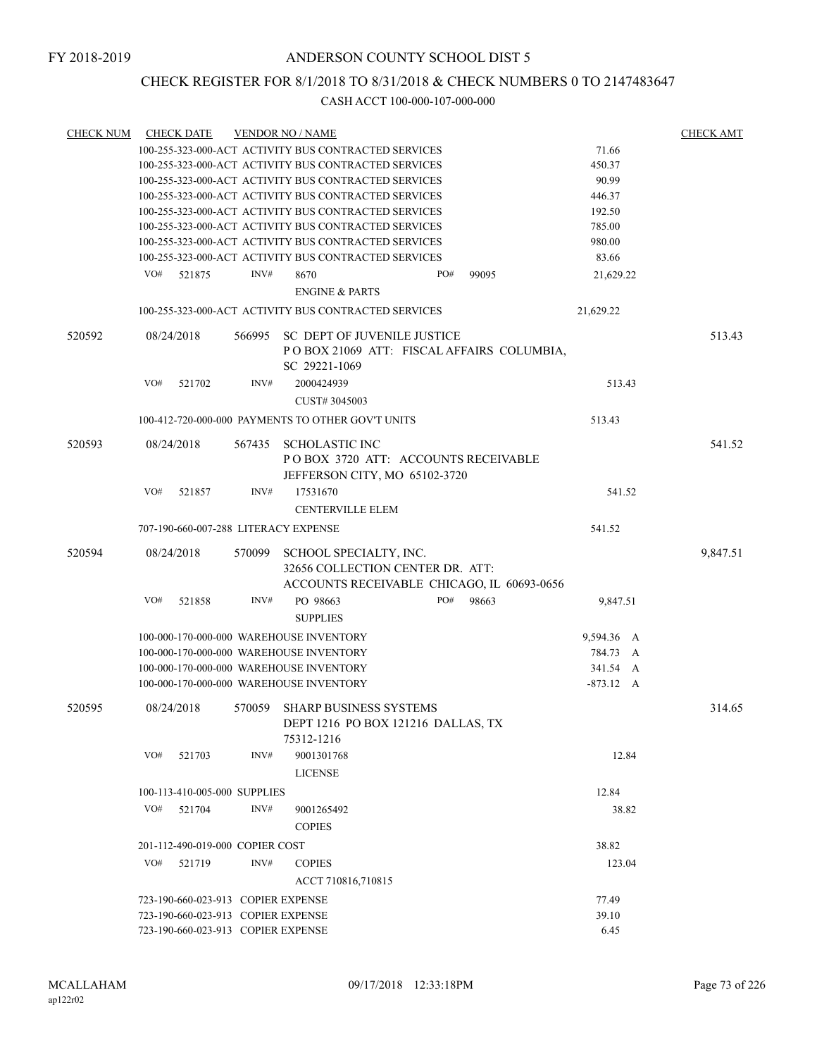# CHECK REGISTER FOR 8/1/2018 TO 8/31/2018 & CHECK NUMBERS 0 TO 2147483647

| <b>CHECK NUM</b> | <b>CHECK DATE</b>                                    |        | <b>VENDOR NO / NAME</b>                                    |                                            |             | <b>CHECK AMT</b> |
|------------------|------------------------------------------------------|--------|------------------------------------------------------------|--------------------------------------------|-------------|------------------|
|                  | 100-255-323-000-ACT ACTIVITY BUS CONTRACTED SERVICES |        | 71.66                                                      |                                            |             |                  |
|                  | 100-255-323-000-ACT ACTIVITY BUS CONTRACTED SERVICES |        | 450.37                                                     |                                            |             |                  |
|                  |                                                      |        | 100-255-323-000-ACT ACTIVITY BUS CONTRACTED SERVICES       |                                            | 90.99       |                  |
|                  | 100-255-323-000-ACT ACTIVITY BUS CONTRACTED SERVICES |        | 446.37                                                     |                                            |             |                  |
|                  | 100-255-323-000-ACT ACTIVITY BUS CONTRACTED SERVICES |        | 192.50                                                     |                                            |             |                  |
|                  | 100-255-323-000-ACT ACTIVITY BUS CONTRACTED SERVICES |        | 785.00                                                     |                                            |             |                  |
|                  |                                                      |        | 100-255-323-000-ACT ACTIVITY BUS CONTRACTED SERVICES       |                                            | 980.00      |                  |
|                  |                                                      |        | 100-255-323-000-ACT ACTIVITY BUS CONTRACTED SERVICES       |                                            | 83.66       |                  |
|                  | VO#<br>521875                                        | INV#   | 8670                                                       | PO#<br>99095                               | 21,629.22   |                  |
|                  |                                                      |        | <b>ENGINE &amp; PARTS</b>                                  |                                            |             |                  |
|                  |                                                      |        | 100-255-323-000-ACT ACTIVITY BUS CONTRACTED SERVICES       |                                            | 21,629.22   |                  |
| 520592           | 08/24/2018                                           | 566995 | SC DEPT OF JUVENILE JUSTICE                                |                                            |             | 513.43           |
|                  |                                                      |        | POBOX 21069 ATT: FISCAL AFFAIRS COLUMBIA,<br>SC 29221-1069 |                                            |             |                  |
|                  | VO#<br>521702                                        | INV#   | 2000424939                                                 |                                            | 513.43      |                  |
|                  |                                                      |        | CUST# 3045003                                              |                                            |             |                  |
|                  |                                                      |        | 100-412-720-000-000 PAYMENTS TO OTHER GOV'T UNITS          |                                            | 513.43      |                  |
| 520593           | 08/24/2018                                           |        | 567435 SCHOLASTIC INC                                      |                                            |             | 541.52           |
|                  |                                                      |        | POBOX 3720 ATT: ACCOUNTS RECEIVABLE                        |                                            |             |                  |
|                  |                                                      |        | JEFFERSON CITY, MO 65102-3720                              |                                            |             |                  |
|                  | VO#<br>521857                                        | INV#   | 17531670                                                   |                                            | 541.52      |                  |
|                  |                                                      |        | <b>CENTERVILLE ELEM</b>                                    |                                            |             |                  |
|                  | 707-190-660-007-288 LITERACY EXPENSE                 |        |                                                            |                                            | 541.52      |                  |
| 520594           | 08/24/2018                                           | 570099 | SCHOOL SPECIALTY, INC.                                     |                                            |             | 9,847.51         |
|                  |                                                      |        | 32656 COLLECTION CENTER DR. ATT:                           |                                            |             |                  |
|                  |                                                      |        |                                                            | ACCOUNTS RECEIVABLE CHICAGO, IL 60693-0656 |             |                  |
|                  | VO#<br>521858                                        | INV#   | PO 98663                                                   | PO#<br>98663                               | 9,847.51    |                  |
|                  |                                                      |        | <b>SUPPLIES</b>                                            |                                            |             |                  |
|                  |                                                      |        | 100-000-170-000-000 WAREHOUSE INVENTORY                    |                                            | 9,594.36 A  |                  |
|                  |                                                      |        | 100-000-170-000-000 WAREHOUSE INVENTORY                    |                                            | 784.73 A    |                  |
|                  |                                                      |        | 100-000-170-000-000 WAREHOUSE INVENTORY                    |                                            | 341.54 A    |                  |
|                  |                                                      |        | 100-000-170-000-000 WAREHOUSE INVENTORY                    |                                            | $-873.12$ A |                  |
|                  |                                                      |        |                                                            |                                            |             |                  |
| 520595           | 08/24/2018                                           | 570059 | SHARP BUSINESS SYSTEMS                                     |                                            |             | 314.65           |
|                  |                                                      |        | DEPT 1216 PO BOX 121216 DALLAS, TX                         |                                            |             |                  |
|                  |                                                      |        | 75312-1216                                                 |                                            |             |                  |
|                  | VO#<br>521703                                        | INV#   | 9001301768                                                 |                                            | 12.84       |                  |
|                  |                                                      |        | <b>LICENSE</b>                                             |                                            |             |                  |
|                  | 100-113-410-005-000 SUPPLIES                         |        |                                                            |                                            | 12.84       |                  |
|                  | VO#<br>521704                                        | INV#   | 9001265492                                                 |                                            | 38.82       |                  |
|                  |                                                      |        | <b>COPIES</b>                                              |                                            |             |                  |
|                  | 201-112-490-019-000 COPIER COST                      |        |                                                            |                                            | 38.82       |                  |
|                  | VO#<br>521719                                        | INV#   | <b>COPIES</b>                                              |                                            | 123.04      |                  |
|                  |                                                      |        | ACCT 710816,710815                                         |                                            |             |                  |
|                  |                                                      |        |                                                            |                                            |             |                  |
|                  | 723-190-660-023-913 COPIER EXPENSE                   |        |                                                            |                                            | 77.49       |                  |
|                  | 723-190-660-023-913 COPIER EXPENSE                   |        | 39.10<br>6.45                                              |                                            |             |                  |
|                  | 723-190-660-023-913 COPIER EXPENSE                   |        |                                                            |                                            |             |                  |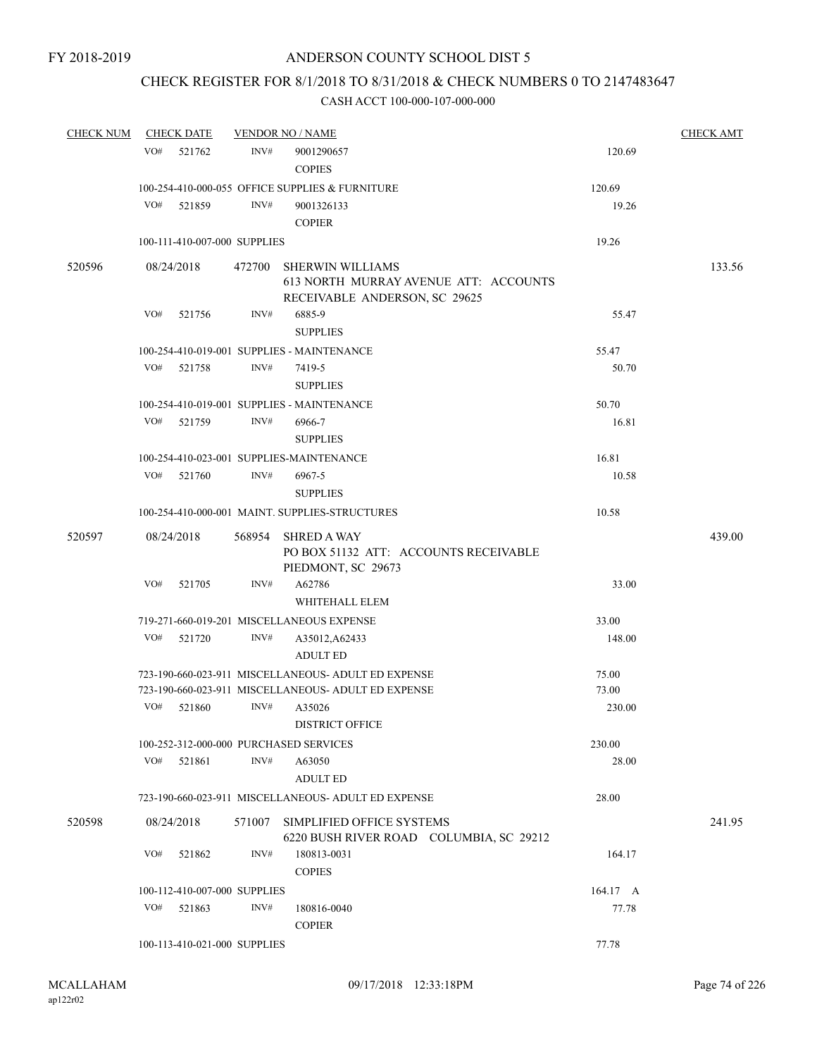# CHECK REGISTER FOR 8/1/2018 TO 8/31/2018 & CHECK NUMBERS 0 TO 2147483647

| <b>CHECK NUM</b> | <b>CHECK DATE</b>            |        |        | <b>VENDOR NO / NAME</b>                                                                           |          | <b>CHECK AMT</b> |
|------------------|------------------------------|--------|--------|---------------------------------------------------------------------------------------------------|----------|------------------|
|                  | VO#                          | 521762 | INV#   | 9001290657                                                                                        | 120.69   |                  |
|                  |                              |        |        | <b>COPIES</b>                                                                                     |          |                  |
|                  |                              |        |        | 100-254-410-000-055 OFFICE SUPPLIES & FURNITURE                                                   | 120.69   |                  |
|                  | VO#                          | 521859 | INV#   | 9001326133                                                                                        | 19.26    |                  |
|                  |                              |        |        | <b>COPIER</b>                                                                                     |          |                  |
|                  | 100-111-410-007-000 SUPPLIES |        |        |                                                                                                   | 19.26    |                  |
| 520596           | 08/24/2018                   |        | 472700 | <b>SHERWIN WILLIAMS</b><br>613 NORTH MURRAY AVENUE ATT: ACCOUNTS<br>RECEIVABLE ANDERSON, SC 29625 |          | 133.56           |
|                  | VO#                          | 521756 | INV#   | 6885-9                                                                                            | 55.47    |                  |
|                  |                              |        |        | <b>SUPPLIES</b>                                                                                   |          |                  |
|                  |                              |        |        | 100-254-410-019-001 SUPPLIES - MAINTENANCE                                                        | 55.47    |                  |
|                  | VO#                          | 521758 | INV#   | 7419-5                                                                                            | 50.70    |                  |
|                  |                              |        |        | <b>SUPPLIES</b>                                                                                   |          |                  |
|                  |                              |        |        | 100-254-410-019-001 SUPPLIES - MAINTENANCE                                                        | 50.70    |                  |
|                  | VO#                          | 521759 | INV#   | 6966-7                                                                                            | 16.81    |                  |
|                  |                              |        |        | <b>SUPPLIES</b>                                                                                   |          |                  |
|                  |                              |        |        | 100-254-410-023-001 SUPPLIES-MAINTENANCE                                                          | 16.81    |                  |
|                  | VO#                          | 521760 | INV#   | 6967-5                                                                                            | 10.58    |                  |
|                  |                              |        |        | <b>SUPPLIES</b>                                                                                   |          |                  |
|                  |                              |        |        | 100-254-410-000-001 MAINT, SUPPLIES-STRUCTURES                                                    | 10.58    |                  |
| 520597           | 08/24/2018                   |        | 568954 | <b>SHRED A WAY</b><br>PO BOX 51132 ATT: ACCOUNTS RECEIVABLE<br>PIEDMONT, SC 29673                 |          | 439.00           |
|                  | VO#                          | 521705 | INV#   | A62786                                                                                            | 33.00    |                  |
|                  |                              |        |        | WHITEHALL ELEM                                                                                    |          |                  |
|                  |                              |        |        | 719-271-660-019-201 MISCELLANEOUS EXPENSE                                                         | 33.00    |                  |
|                  | VO#                          | 521720 | INV#   | A35012, A62433<br><b>ADULT ED</b>                                                                 | 148.00   |                  |
|                  |                              |        |        | 723-190-660-023-911 MISCELLANEOUS- ADULT ED EXPENSE                                               | 75.00    |                  |
|                  |                              |        |        | 723-190-660-023-911 MISCELLANEOUS- ADULT ED EXPENSE                                               | 73.00    |                  |
|                  | VO#                          | 521860 | INV#   | A35026                                                                                            | 230.00   |                  |
|                  |                              |        |        | DISTRICT OFFICE                                                                                   |          |                  |
|                  |                              |        |        | 100-252-312-000-000 PURCHASED SERVICES                                                            | 230.00   |                  |
|                  | VO#                          | 521861 | INV#   | A63050<br><b>ADULT ED</b>                                                                         | 28.00    |                  |
|                  |                              |        |        | 723-190-660-023-911 MISCELLANEOUS- ADULT ED EXPENSE                                               | 28.00    |                  |
| 520598           | 08/24/2018                   |        | 571007 | SIMPLIFIED OFFICE SYSTEMS<br>6220 BUSH RIVER ROAD COLUMBIA, SC 29212                              |          | 241.95           |
|                  | VO#                          | 521862 | INV#   | 180813-0031<br><b>COPIES</b>                                                                      | 164.17   |                  |
|                  | 100-112-410-007-000 SUPPLIES |        |        |                                                                                                   | 164.17 A |                  |
|                  | VO#                          | 521863 | INV#   | 180816-0040<br><b>COPIER</b>                                                                      | 77.78    |                  |
|                  | 100-113-410-021-000 SUPPLIES |        |        |                                                                                                   | 77.78    |                  |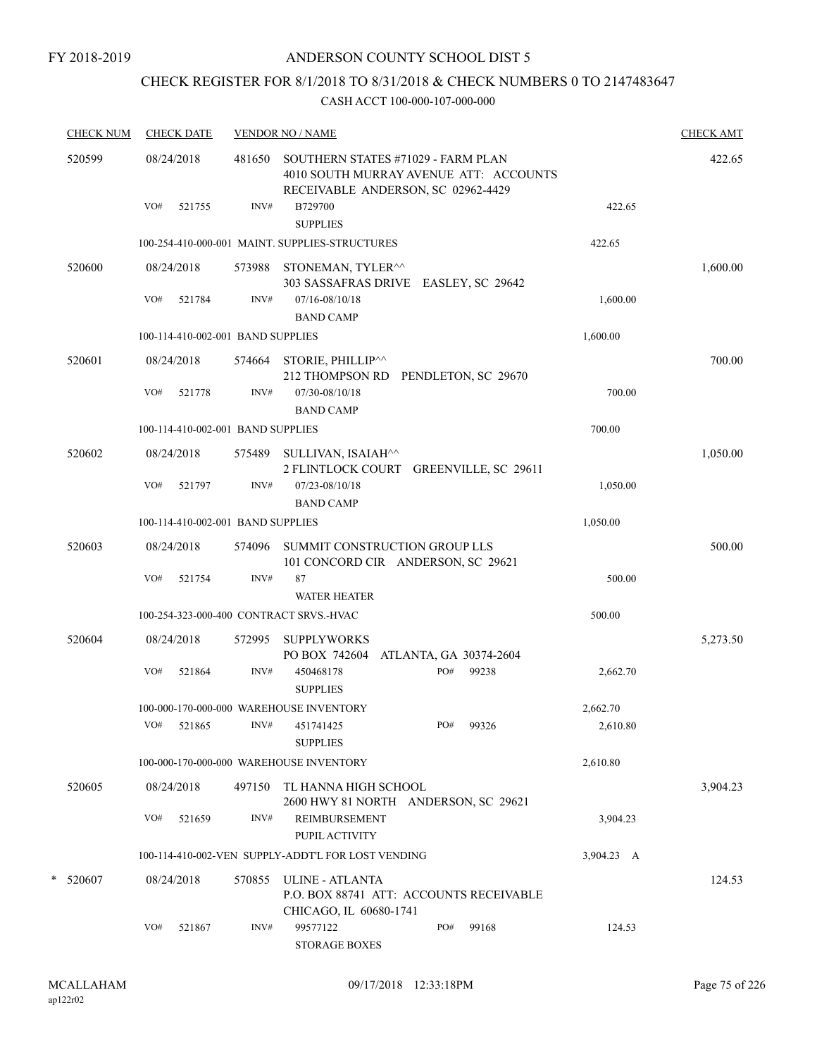# CHECK REGISTER FOR 8/1/2018 TO 8/31/2018 & CHECK NUMBERS 0 TO 2147483647

| <b>CHECK NUM</b> | <b>CHECK DATE</b>                       |                | <b>VENDOR NO / NAME</b>                                                                                                       |              |                      | <b>CHECK AMT</b> |
|------------------|-----------------------------------------|----------------|-------------------------------------------------------------------------------------------------------------------------------|--------------|----------------------|------------------|
| 520599           | 08/24/2018<br>VO#<br>521755             | 481650<br>INV# | SOUTHERN STATES #71029 - FARM PLAN<br>4010 SOUTH MURRAY AVENUE ATT: ACCOUNTS<br>RECEIVABLE ANDERSON, SC 02962-4429<br>B729700 |              | 422.65               | 422.65           |
|                  |                                         |                | <b>SUPPLIES</b>                                                                                                               |              |                      |                  |
|                  |                                         |                | 100-254-410-000-001 MAINT. SUPPLIES-STRUCTURES                                                                                |              | 422.65               |                  |
| 520600           | 08/24/2018                              |                | 573988 STONEMAN, TYLER <sup>^^</sup><br>303 SASSAFRAS DRIVE EASLEY, SC 29642                                                  |              |                      | 1,600.00         |
|                  | VO#<br>521784                           | INV#           | 07/16-08/10/18<br><b>BAND CAMP</b>                                                                                            |              | 1,600.00             |                  |
|                  | 100-114-410-002-001 BAND SUPPLIES       |                |                                                                                                                               |              | 1,600.00             |                  |
| 520601           | 08/24/2018                              | 574664         | STORIE, PHILLIP^^<br>212 THOMPSON RD PENDLETON, SC 29670                                                                      |              |                      | 700.00           |
|                  | VO#<br>521778                           | INV#           | 07/30-08/10/18<br><b>BAND CAMP</b>                                                                                            |              | 700.00               |                  |
|                  | 100-114-410-002-001 BAND SUPPLIES       |                |                                                                                                                               |              | 700.00               |                  |
| 520602           | 08/24/2018                              | 575489         | SULLIVAN, ISAIAH^^<br>2 FLINTLOCK COURT GREENVILLE, SC 29611                                                                  |              |                      | 1,050.00         |
|                  | VO#<br>521797                           | INV#           | 07/23-08/10/18<br><b>BAND CAMP</b>                                                                                            |              | 1,050.00             |                  |
|                  | 100-114-410-002-001 BAND SUPPLIES       |                |                                                                                                                               |              | 1,050.00             |                  |
| 520603           | 08/24/2018                              |                | 574096 SUMMIT CONSTRUCTION GROUP LLS<br>101 CONCORD CIR ANDERSON, SC 29621                                                    |              |                      | 500.00           |
|                  | VO#<br>521754                           | INV#           | 87<br><b>WATER HEATER</b>                                                                                                     |              | 500.00               |                  |
|                  | 100-254-323-000-400 CONTRACT SRVS.-HVAC |                |                                                                                                                               |              | 500.00               |                  |
| 520604           | 08/24/2018<br>VO#<br>521864             | 572995<br>INV# | <b>SUPPLYWORKS</b><br>PO BOX 742604 ATLANTA, GA 30374-2604<br>450468178                                                       | PO#<br>99238 | 2,662.70             | 5,273.50         |
|                  |                                         |                | <b>SUPPLIES</b>                                                                                                               |              |                      |                  |
|                  | VO# 521865                              |                | 100-000-170-000-000 WAREHOUSE INVENTORY<br>$INV#$ 451741425                                                                   | PO# 99326    | 2,662.70<br>2,610.80 |                  |
|                  |                                         |                | <b>SUPPLIES</b>                                                                                                               |              |                      |                  |
|                  |                                         |                | 100-000-170-000-000 WAREHOUSE INVENTORY                                                                                       |              | 2,610.80             |                  |
| 520605           | 08/24/2018                              |                | 497150 TL HANNA HIGH SCHOOL<br>2600 HWY 81 NORTH ANDERSON, SC 29621                                                           |              |                      | 3,904.23         |
|                  | VO#<br>521659                           | INV#           | REIMBURSEMENT<br>PUPIL ACTIVITY                                                                                               |              | 3,904.23             |                  |
|                  |                                         |                | 100-114-410-002-VEN SUPPLY-ADDT'L FOR LOST VENDING                                                                            |              | 3,904.23 A           |                  |
| * 520607         | 08/24/2018                              |                | 570855 ULINE - ATLANTA<br>P.O. BOX 88741 ATT: ACCOUNTS RECEIVABLE<br>CHICAGO, IL 60680-1741                                   |              |                      | 124.53           |
|                  | VO#<br>521867                           | INV#           | 99577122<br><b>STORAGE BOXES</b>                                                                                              | PO#<br>99168 | 124.53               |                  |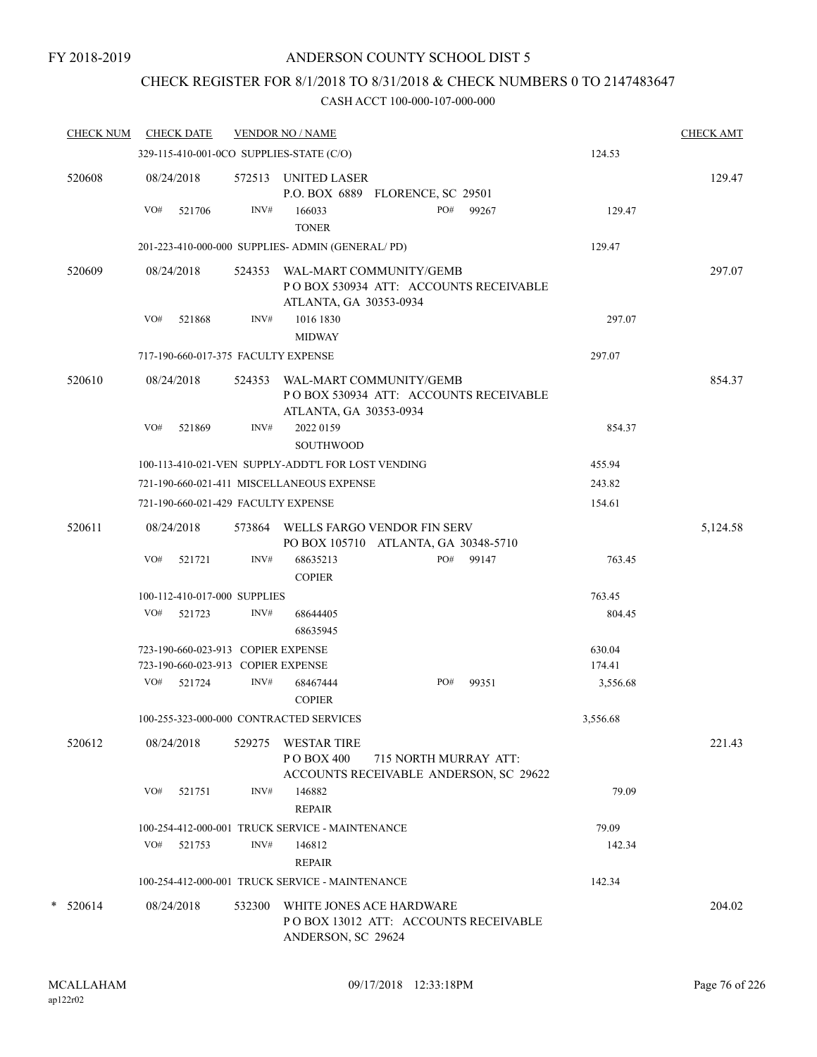# CHECK REGISTER FOR 8/1/2018 TO 8/31/2018 & CHECK NUMBERS 0 TO 2147483647

| <b>CHECK NUM</b> |     | <b>CHECK DATE</b>                  |        | <b>VENDOR NO / NAME</b>                                  |                                      |                                        |          | <b>CHECK AMT</b> |
|------------------|-----|------------------------------------|--------|----------------------------------------------------------|--------------------------------------|----------------------------------------|----------|------------------|
|                  |     |                                    |        | 329-115-410-001-0CO SUPPLIES-STATE (C/O)                 |                                      |                                        | 124.53   |                  |
| 520608           |     | 08/24/2018                         |        | 572513 UNITED LASER                                      | P.O. BOX 6889 FLORENCE, SC 29501     |                                        |          | 129.47           |
|                  | VO# | 521706                             | INV#   | 166033<br><b>TONER</b>                                   | PO#                                  | 99267                                  | 129.47   |                  |
|                  |     |                                    |        | 201-223-410-000-000 SUPPLIES- ADMIN (GENERAL/PD)         |                                      |                                        | 129.47   |                  |
| 520609           |     | 08/24/2018                         | 524353 | WAL-MART COMMUNITY/GEMB<br>ATLANTA, GA 30353-0934        |                                      | PO BOX 530934 ATT: ACCOUNTS RECEIVABLE |          | 297.07           |
|                  | VO# | 521868                             | INV#   | 1016 1830<br><b>MIDWAY</b>                               |                                      |                                        | 297.07   |                  |
|                  |     |                                    |        | 717-190-660-017-375 FACULTY EXPENSE                      |                                      |                                        | 297.07   |                  |
| 520610           |     | 08/24/2018                         |        | 524353 WAL-MART COMMUNITY/GEMB<br>ATLANTA, GA 30353-0934 |                                      | PO BOX 530934 ATT: ACCOUNTS RECEIVABLE |          | 854.37           |
|                  | VO# | 521869                             | INV#   | 2022 0159<br><b>SOUTHWOOD</b>                            |                                      |                                        | 854.37   |                  |
|                  |     |                                    |        | 100-113-410-021-VEN SUPPLY-ADDT'L FOR LOST VENDING       |                                      |                                        | 455.94   |                  |
|                  |     |                                    |        | 721-190-660-021-411 MISCELLANEOUS EXPENSE                |                                      |                                        | 243.82   |                  |
|                  |     |                                    |        | 721-190-660-021-429 FACULTY EXPENSE                      |                                      |                                        | 154.61   |                  |
| 520611           |     | 08/24/2018                         |        | 573864 WELLS FARGO VENDOR FIN SERV                       | PO BOX 105710 ATLANTA, GA 30348-5710 |                                        |          | 5,124.58         |
|                  | VO# | 521721                             | INV#   | 68635213<br><b>COPIER</b>                                | PO#                                  | 99147                                  | 763.45   |                  |
|                  |     | 100-112-410-017-000 SUPPLIES       |        |                                                          |                                      |                                        | 763.45   |                  |
|                  | VO# | 521723                             | INV#   | 68644405<br>68635945                                     |                                      |                                        | 804.45   |                  |
|                  |     | 723-190-660-023-913 COPIER EXPENSE |        |                                                          |                                      |                                        | 630.04   |                  |
|                  |     | 723-190-660-023-913 COPIER EXPENSE |        |                                                          |                                      |                                        | 174.41   |                  |
|                  | VO# | 521724                             | INV#   | 68467444<br><b>COPIER</b>                                | PO#                                  | 99351                                  | 3,556.68 |                  |
|                  |     |                                    |        | 100-255-323-000-000 CONTRACTED SERVICES                  |                                      |                                        | 3,556.68 |                  |
| 520612           |     | 08/24/2018                         |        | 529275 WESTAR TIRE<br>P O BOX 400                        | 715 NORTH MURRAY ATT:                | ACCOUNTS RECEIVABLE ANDERSON, SC 29622 |          | 221.43           |
|                  | VO# | 521751                             | INV#   | 146882<br><b>REPAIR</b>                                  |                                      |                                        | 79.09    |                  |
|                  |     |                                    |        | 100-254-412-000-001 TRUCK SERVICE - MAINTENANCE          |                                      |                                        | 79.09    |                  |
|                  |     | VO# 521753                         | INV#   | 146812<br><b>REPAIR</b>                                  |                                      |                                        | 142.34   |                  |
|                  |     |                                    |        | 100-254-412-000-001 TRUCK SERVICE - MAINTENANCE          |                                      |                                        | 142.34   |                  |
| $*$ 520614       |     | 08/24/2018                         | 532300 | ANDERSON, SC 29624                                       | WHITE JONES ACE HARDWARE             | PO BOX 13012 ATT: ACCOUNTS RECEIVABLE  |          | 204.02           |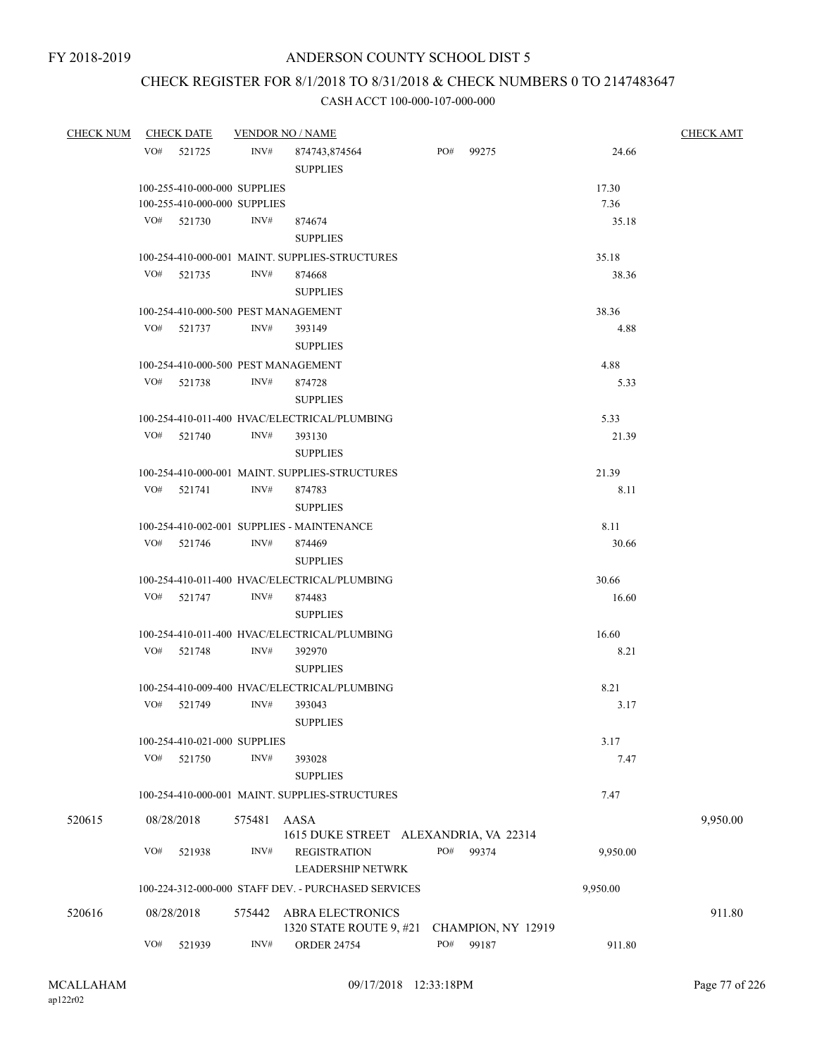# CHECK REGISTER FOR 8/1/2018 TO 8/31/2018 & CHECK NUMBERS 0 TO 2147483647

| <b>CHECK NUM</b> |     | <b>CHECK DATE</b>            |        | <b>VENDOR NO / NAME</b>                             |     |                    |          | <b>CHECK AMT</b> |
|------------------|-----|------------------------------|--------|-----------------------------------------------------|-----|--------------------|----------|------------------|
|                  | VO# | 521725                       | INV#   | 874743,874564<br><b>SUPPLIES</b>                    | PO# | 99275              | 24.66    |                  |
|                  |     | 100-255-410-000-000 SUPPLIES |        |                                                     |     |                    | 17.30    |                  |
|                  |     | 100-255-410-000-000 SUPPLIES |        |                                                     |     |                    | 7.36     |                  |
|                  |     | VO# 521730                   | INV#   | 874674                                              |     |                    | 35.18    |                  |
|                  |     |                              |        | <b>SUPPLIES</b>                                     |     |                    |          |                  |
|                  |     |                              |        | 100-254-410-000-001 MAINT. SUPPLIES-STRUCTURES      |     |                    | 35.18    |                  |
|                  | VO# | 521735                       | INV#   | 874668                                              |     |                    | 38.36    |                  |
|                  |     |                              |        | <b>SUPPLIES</b>                                     |     |                    |          |                  |
|                  |     |                              |        | 100-254-410-000-500 PEST MANAGEMENT                 |     |                    | 38.36    |                  |
|                  | VO# | 521737                       | INV#   | 393149                                              |     |                    | 4.88     |                  |
|                  |     |                              |        | <b>SUPPLIES</b>                                     |     |                    |          |                  |
|                  |     |                              |        | 100-254-410-000-500 PEST MANAGEMENT                 |     |                    | 4.88     |                  |
|                  | VO# | 521738                       | INV#   | 874728                                              |     |                    | 5.33     |                  |
|                  |     |                              |        | <b>SUPPLIES</b>                                     |     |                    |          |                  |
|                  |     |                              |        | 100-254-410-011-400 HVAC/ELECTRICAL/PLUMBING        |     |                    | 5.33     |                  |
|                  | VO# | 521740                       | INV#   | 393130                                              |     |                    | 21.39    |                  |
|                  |     |                              |        | <b>SUPPLIES</b>                                     |     |                    |          |                  |
|                  |     |                              |        | 100-254-410-000-001 MAINT. SUPPLIES-STRUCTURES      |     |                    | 21.39    |                  |
|                  | VO# | 521741                       | INV#   | 874783                                              |     |                    | 8.11     |                  |
|                  |     |                              |        | <b>SUPPLIES</b>                                     |     |                    |          |                  |
|                  |     |                              |        | 100-254-410-002-001 SUPPLIES - MAINTENANCE          |     |                    | 8.11     |                  |
|                  | VO# | 521746                       | INV#   | 874469                                              |     |                    | 30.66    |                  |
|                  |     |                              |        | <b>SUPPLIES</b>                                     |     |                    |          |                  |
|                  |     |                              |        | 100-254-410-011-400 HVAC/ELECTRICAL/PLUMBING        |     |                    | 30.66    |                  |
|                  | VO# | 521747                       | INV#   | 874483                                              |     |                    | 16.60    |                  |
|                  |     |                              |        | <b>SUPPLIES</b>                                     |     |                    |          |                  |
|                  |     |                              |        | 100-254-410-011-400 HVAC/ELECTRICAL/PLUMBING        |     |                    | 16.60    |                  |
|                  | VO# | 521748                       | INV#   | 392970                                              |     |                    | 8.21     |                  |
|                  |     |                              |        | <b>SUPPLIES</b>                                     |     |                    |          |                  |
|                  |     |                              |        | 100-254-410-009-400 HVAC/ELECTRICAL/PLUMBING        |     |                    | 8.21     |                  |
|                  | VO# | 521749                       | INV#   | 393043                                              |     |                    | 3.17     |                  |
|                  |     |                              |        | <b>SUPPLIES</b>                                     |     |                    |          |                  |
|                  |     | 100-254-410-021-000 SUPPLIES |        |                                                     |     |                    | 3.17     |                  |
|                  | VO# | 521750                       | INV#   | 393028                                              |     |                    | 7.47     |                  |
|                  |     |                              |        | <b>SUPPLIES</b>                                     |     |                    |          |                  |
|                  |     |                              |        | 100-254-410-000-001 MAINT. SUPPLIES-STRUCTURES      |     |                    | 7.47     |                  |
| 520615           |     | 08/28/2018                   | 575481 | AASA                                                |     |                    |          | 9,950.00         |
|                  |     |                              |        | 1615 DUKE STREET ALEXANDRIA, VA 22314               |     |                    |          |                  |
|                  | VO# | 521938                       | INV#   | <b>REGISTRATION</b>                                 | PO# | 99374              | 9,950.00 |                  |
|                  |     |                              |        | <b>LEADERSHIP NETWRK</b>                            |     |                    |          |                  |
|                  |     |                              |        | 100-224-312-000-000 STAFF DEV. - PURCHASED SERVICES |     |                    | 9,950.00 |                  |
| 520616           |     | 08/28/2018                   | 575442 | ABRA ELECTRONICS                                    |     |                    |          | 911.80           |
|                  |     |                              |        | 1320 STATE ROUTE 9, #21                             |     | CHAMPION, NY 12919 |          |                  |
|                  | VO# | 521939                       | INV#   | <b>ORDER 24754</b>                                  | PO# | 99187              | 911.80   |                  |
|                  |     |                              |        |                                                     |     |                    |          |                  |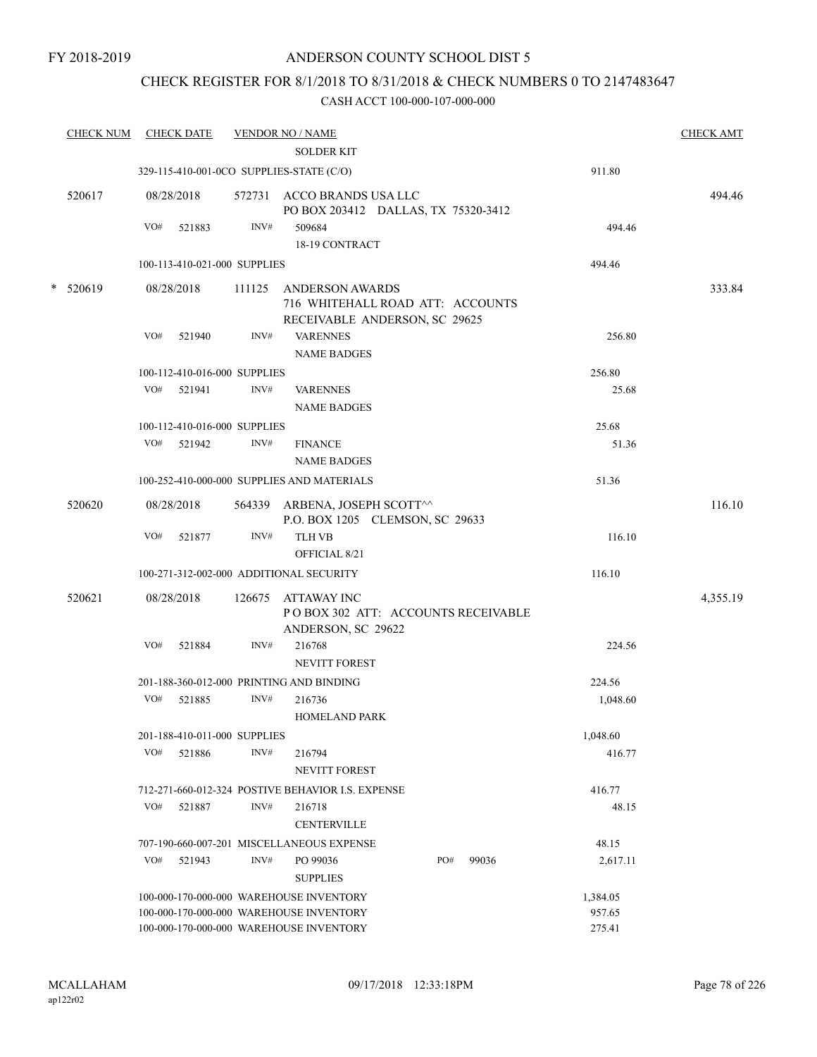# CHECK REGISTER FOR 8/1/2018 TO 8/31/2018 & CHECK NUMBERS 0 TO 2147483647

|   | <b>CHECK NUM</b> |     | <b>CHECK DATE</b>            |        | <b>VENDOR NO / NAME</b><br><b>SOLDER KIT</b>                                         |     |       |                  | <b>CHECK AMT</b> |
|---|------------------|-----|------------------------------|--------|--------------------------------------------------------------------------------------|-----|-------|------------------|------------------|
|   |                  |     |                              |        | 329-115-410-001-0CO SUPPLIES-STATE (C/O)                                             |     |       | 911.80           |                  |
|   | 520617           |     | 08/28/2018                   |        | 572731 ACCO BRANDS USA LLC                                                           |     |       |                  | 494.46           |
|   |                  | VO# | 521883                       | INV#   | PO BOX 203412 DALLAS, TX 75320-3412<br>509684<br>18-19 CONTRACT                      |     |       | 494.46           |                  |
|   |                  |     | 100-113-410-021-000 SUPPLIES |        |                                                                                      |     |       | 494.46           |                  |
|   |                  |     |                              |        |                                                                                      |     |       |                  |                  |
| * | 520619           |     | 08/28/2018                   | 111125 | ANDERSON AWARDS<br>716 WHITEHALL ROAD ATT: ACCOUNTS<br>RECEIVABLE ANDERSON, SC 29625 |     |       |                  | 333.84           |
|   |                  | VO# | 521940                       | INV#   | <b>VARENNES</b><br><b>NAME BADGES</b>                                                |     |       | 256.80           |                  |
|   |                  |     | 100-112-410-016-000 SUPPLIES |        |                                                                                      |     |       | 256.80           |                  |
|   |                  |     | VO# 521941                   | INV#   | <b>VARENNES</b><br><b>NAME BADGES</b>                                                |     |       | 25.68            |                  |
|   |                  |     | 100-112-410-016-000 SUPPLIES |        |                                                                                      |     |       | 25.68            |                  |
|   |                  |     | VO# 521942                   | INV#   | <b>FINANCE</b><br><b>NAME BADGES</b>                                                 |     |       | 51.36            |                  |
|   |                  |     |                              |        | 100-252-410-000-000 SUPPLIES AND MATERIALS                                           |     |       | 51.36            |                  |
|   | 520620           |     | 08/28/2018                   |        | 564339 ARBENA, JOSEPH SCOTT^^<br>P.O. BOX 1205 CLEMSON, SC 29633                     |     |       |                  | 116.10           |
|   |                  | VO# | 521877                       | INV#   | <b>TLH VB</b><br>OFFICIAL 8/21                                                       |     |       | 116.10           |                  |
|   |                  |     |                              |        | 100-271-312-002-000 ADDITIONAL SECURITY                                              |     |       | 116.10           |                  |
|   | 520621           |     | 08/28/2018                   |        | 126675 ATTAWAY INC<br>POBOX 302 ATT: ACCOUNTS RECEIVABLE<br>ANDERSON, SC 29622       |     |       |                  | 4,355.19         |
|   |                  | VO# | 521884                       | INV#   | 216768<br><b>NEVITT FOREST</b>                                                       |     |       | 224.56           |                  |
|   |                  |     |                              |        | 201-188-360-012-000 PRINTING AND BINDING                                             |     |       | 224.56           |                  |
|   |                  | VO# | 521885                       | INV#   | 216736<br><b>HOMELAND PARK</b>                                                       |     |       | 1,048.60         |                  |
|   |                  |     | 201-188-410-011-000 SUPPLIES |        |                                                                                      |     |       | 1,048.60         |                  |
|   |                  | VO# | 521886                       | INV#   | 216794<br><b>NEVITT FOREST</b>                                                       |     |       | 416.77           |                  |
|   |                  |     |                              |        | 712-271-660-012-324 POSTIVE BEHAVIOR I.S. EXPENSE                                    |     |       | 416.77           |                  |
|   |                  | VO# | 521887                       | INV#   | 216718<br><b>CENTERVILLE</b>                                                         |     |       | 48.15            |                  |
|   |                  |     |                              |        | 707-190-660-007-201 MISCELLANEOUS EXPENSE                                            |     |       | 48.15            |                  |
|   |                  | VO# | 521943                       | INV#   | PO 99036<br><b>SUPPLIES</b>                                                          | PO# | 99036 | 2,617.11         |                  |
|   |                  |     |                              |        | 100-000-170-000-000 WAREHOUSE INVENTORY                                              |     |       | 1,384.05         |                  |
|   |                  |     |                              |        | 100-000-170-000-000 WAREHOUSE INVENTORY<br>100-000-170-000-000 WAREHOUSE INVENTORY   |     |       | 957.65<br>275.41 |                  |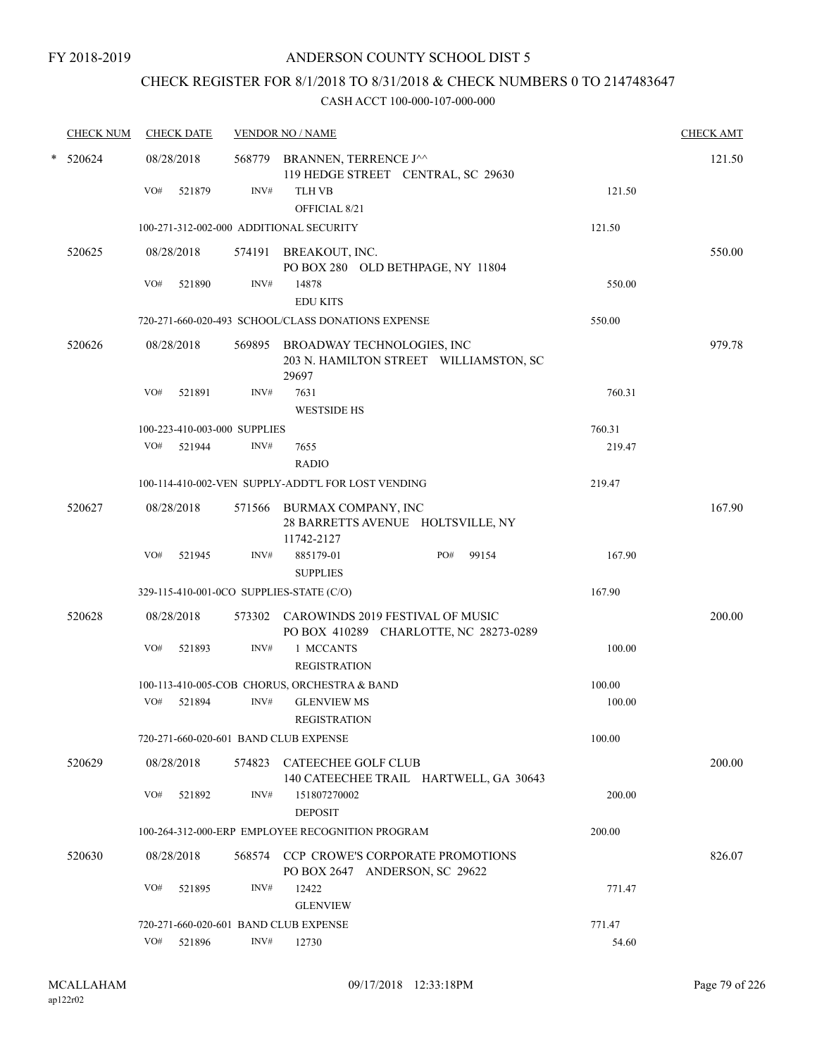# CHECK REGISTER FOR 8/1/2018 TO 8/31/2018 & CHECK NUMBERS 0 TO 2147483647

| <b>CHECK NUM</b> |     | <b>CHECK DATE</b> |                              | <b>VENDOR NO / NAME</b>                                                              |        | <b>CHECK AMT</b> |
|------------------|-----|-------------------|------------------------------|--------------------------------------------------------------------------------------|--------|------------------|
| $*$ 520624       |     | 08/28/2018        |                              | 568779 BRANNEN, TERRENCE J^^<br>119 HEDGE STREET CENTRAL, SC 29630                   |        | 121.50           |
|                  | VO# | 521879            | INV#                         | <b>TLH VB</b>                                                                        | 121.50 |                  |
|                  |     |                   |                              | OFFICIAL 8/21                                                                        |        |                  |
|                  |     |                   |                              | 100-271-312-002-000 ADDITIONAL SECURITY                                              | 121.50 |                  |
|                  |     |                   |                              |                                                                                      |        |                  |
| 520625           |     | 08/28/2018        |                              | 574191 BREAKOUT, INC.<br>PO BOX 280 OLD BETHPAGE, NY 11804                           |        | 550.00           |
|                  | VO# | 521890            | INV#                         | 14878                                                                                | 550.00 |                  |
|                  |     |                   |                              | <b>EDU KITS</b>                                                                      |        |                  |
|                  |     |                   |                              | 720-271-660-020-493 SCHOOL/CLASS DONATIONS EXPENSE                                   | 550.00 |                  |
| 520626           |     | 08/28/2018        |                              |                                                                                      |        | 979.78           |
|                  |     |                   |                              | 569895 BROADWAY TECHNOLOGIES, INC<br>203 N. HAMILTON STREET WILLIAMSTON, SC<br>29697 |        |                  |
|                  | VO# | 521891            | INV#                         | 7631                                                                                 | 760.31 |                  |
|                  |     |                   |                              | <b>WESTSIDE HS</b>                                                                   |        |                  |
|                  |     |                   | 100-223-410-003-000 SUPPLIES |                                                                                      | 760.31 |                  |
|                  | VO# | 521944            | INV#                         | 7655                                                                                 | 219.47 |                  |
|                  |     |                   |                              | <b>RADIO</b>                                                                         |        |                  |
|                  |     |                   |                              | 100-114-410-002-VEN SUPPLY-ADDT'L FOR LOST VENDING                                   | 219.47 |                  |
| 520627           |     | 08/28/2018        |                              | 571566 BURMAX COMPANY, INC                                                           |        | 167.90           |
|                  |     |                   |                              | 28 BARRETTS AVENUE HOLTSVILLE, NY                                                    |        |                  |
|                  |     |                   |                              | 11742-2127                                                                           |        |                  |
|                  | VO# | 521945            | INV#                         | 885179-01<br>PO#<br>99154                                                            | 167.90 |                  |
|                  |     |                   |                              | <b>SUPPLIES</b>                                                                      |        |                  |
|                  |     |                   |                              | 329-115-410-001-0CO SUPPLIES-STATE (C/O)                                             | 167.90 |                  |
| 520628           |     | 08/28/2018        |                              | 573302 CAROWINDS 2019 FESTIVAL OF MUSIC<br>PO BOX 410289 CHARLOTTE, NC 28273-0289    |        | 200.00           |
|                  | VO# | 521893            | INV#                         | 1 MCCANTS                                                                            | 100.00 |                  |
|                  |     |                   |                              | <b>REGISTRATION</b>                                                                  |        |                  |
|                  |     |                   |                              | 100-113-410-005-COB CHORUS, ORCHESTRA & BAND                                         | 100.00 |                  |
|                  | VO# | 521894            | INV#                         | <b>GLENVIEW MS</b><br><b>REGISTRATION</b>                                            | 100.00 |                  |
|                  |     |                   |                              |                                                                                      |        |                  |
|                  |     |                   |                              | 720-271-660-020-601 BAND CLUB EXPENSE                                                | 100.00 |                  |
| 520629           |     | 08/28/2018        |                              | 574823 CATEECHEE GOLF CLUB<br>140 CATEECHEE TRAIL HARTWELL, GA 30643                 |        | 200.00           |
|                  | VO# | 521892            | INV#                         | 151807270002                                                                         | 200.00 |                  |
|                  |     |                   |                              | <b>DEPOSIT</b>                                                                       |        |                  |
|                  |     |                   |                              | 100-264-312-000-ERP EMPLOYEE RECOGNITION PROGRAM                                     | 200.00 |                  |
| 520630           |     | 08/28/2018        |                              | 568574 CCP CROWE'S CORPORATE PROMOTIONS<br>PO BOX 2647 ANDERSON, SC 29622            |        | 826.07           |
|                  | VO# | 521895            | INV#                         | 12422                                                                                | 771.47 |                  |
|                  |     |                   |                              | <b>GLENVIEW</b>                                                                      |        |                  |
|                  |     |                   |                              | 720-271-660-020-601 BAND CLUB EXPENSE                                                | 771.47 |                  |
|                  |     | VO# 521896        | INV#                         | 12730                                                                                | 54.60  |                  |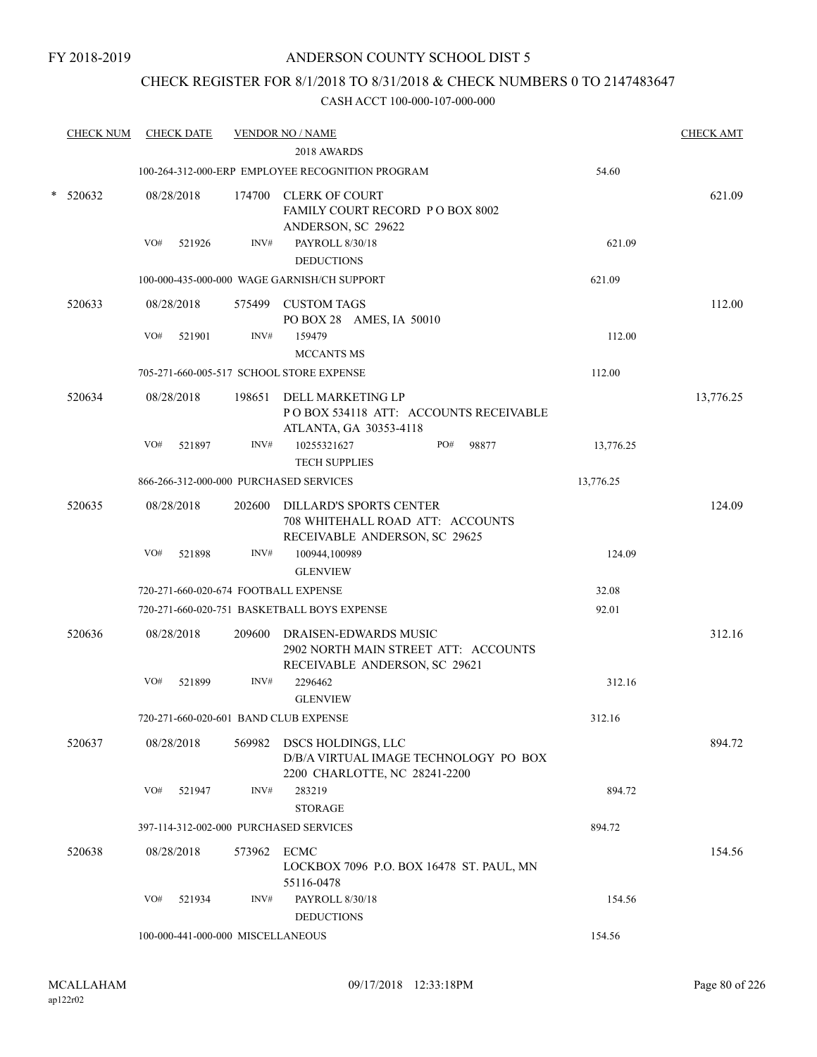# CHECK REGISTER FOR 8/1/2018 TO 8/31/2018 & CHECK NUMBERS 0 TO 2147483647

| <b>CHECK NUM</b> |     | <b>CHECK DATE</b> |                                   | <b>VENDOR NO / NAME</b>                                                                        |           | <b>CHECK AMT</b> |
|------------------|-----|-------------------|-----------------------------------|------------------------------------------------------------------------------------------------|-----------|------------------|
|                  |     |                   |                                   | 2018 AWARDS                                                                                    |           |                  |
|                  |     |                   |                                   | 100-264-312-000-ERP EMPLOYEE RECOGNITION PROGRAM                                               | 54.60     |                  |
| 520632           |     | 08/28/2018        |                                   | 174700 CLERK OF COURT<br>FAMILY COURT RECORD P O BOX 8002<br>ANDERSON, SC 29622                |           | 621.09           |
|                  | VO# | 521926            | INV#                              | PAYROLL 8/30/18<br><b>DEDUCTIONS</b>                                                           | 621.09    |                  |
|                  |     |                   |                                   | 100-000-435-000-000 WAGE GARNISH/CH SUPPORT                                                    | 621.09    |                  |
| 520633           |     | 08/28/2018        |                                   | 575499 CUSTOM TAGS<br>PO BOX 28 AMES, IA 50010                                                 |           | 112.00           |
|                  | VO# | 521901            | INV#                              | 159479<br><b>MCCANTS MS</b>                                                                    | 112.00    |                  |
|                  |     |                   |                                   | 705-271-660-005-517 SCHOOL STORE EXPENSE                                                       | 112.00    |                  |
| 520634           |     | 08/28/2018        |                                   | 198651 DELL MARKETING LP<br>PO BOX 534118 ATT: ACCOUNTS RECEIVABLE<br>ATLANTA, GA 30353-4118   |           | 13,776.25        |
|                  | VO# | 521897            | INV#                              | 10255321627<br>PO#<br>98877<br><b>TECH SUPPLIES</b>                                            | 13,776.25 |                  |
|                  |     |                   |                                   | 866-266-312-000-000 PURCHASED SERVICES                                                         | 13,776.25 |                  |
| 520635           |     | 08/28/2018        | 202600                            | DILLARD'S SPORTS CENTER<br>708 WHITEHALL ROAD ATT: ACCOUNTS<br>RECEIVABLE ANDERSON, SC 29625   |           | 124.09           |
|                  | VO# | 521898            | INV#                              | 100944,100989<br><b>GLENVIEW</b>                                                               | 124.09    |                  |
|                  |     |                   |                                   | 720-271-660-020-674 FOOTBALL EXPENSE                                                           | 32.08     |                  |
|                  |     |                   |                                   | 720-271-660-020-751 BASKETBALL BOYS EXPENSE                                                    | 92.01     |                  |
| 520636           |     | 08/28/2018        | 209600                            | DRAISEN-EDWARDS MUSIC<br>2902 NORTH MAIN STREET ATT: ACCOUNTS<br>RECEIVABLE ANDERSON, SC 29621 |           | 312.16           |
|                  | VO# | 521899            | INV#                              | 2296462<br><b>GLENVIEW</b>                                                                     | 312.16    |                  |
|                  |     |                   |                                   | 720-271-660-020-601 BAND CLUB EXPENSE                                                          | 312.16    |                  |
| 520637           |     | 08/28/2018        | 569982                            | DSCS HOLDINGS, LLC<br>D/B/A VIRTUAL IMAGE TECHNOLOGY PO BOX<br>2200 CHARLOTTE, NC 28241-2200   |           | 894.72           |
|                  | VO# | 521947            | INV#                              | 283219<br><b>STORAGE</b>                                                                       | 894.72    |                  |
|                  |     |                   |                                   | 397-114-312-002-000 PURCHASED SERVICES                                                         | 894.72    |                  |
| 520638           |     | 08/28/2018        | 573962                            | ECMC<br>LOCKBOX 7096 P.O. BOX 16478 ST. PAUL, MN<br>55116-0478                                 |           | 154.56           |
|                  | VO# | 521934            | INV#                              | PAYROLL 8/30/18<br><b>DEDUCTIONS</b>                                                           | 154.56    |                  |
|                  |     |                   | 100-000-441-000-000 MISCELLANEOUS |                                                                                                | 154.56    |                  |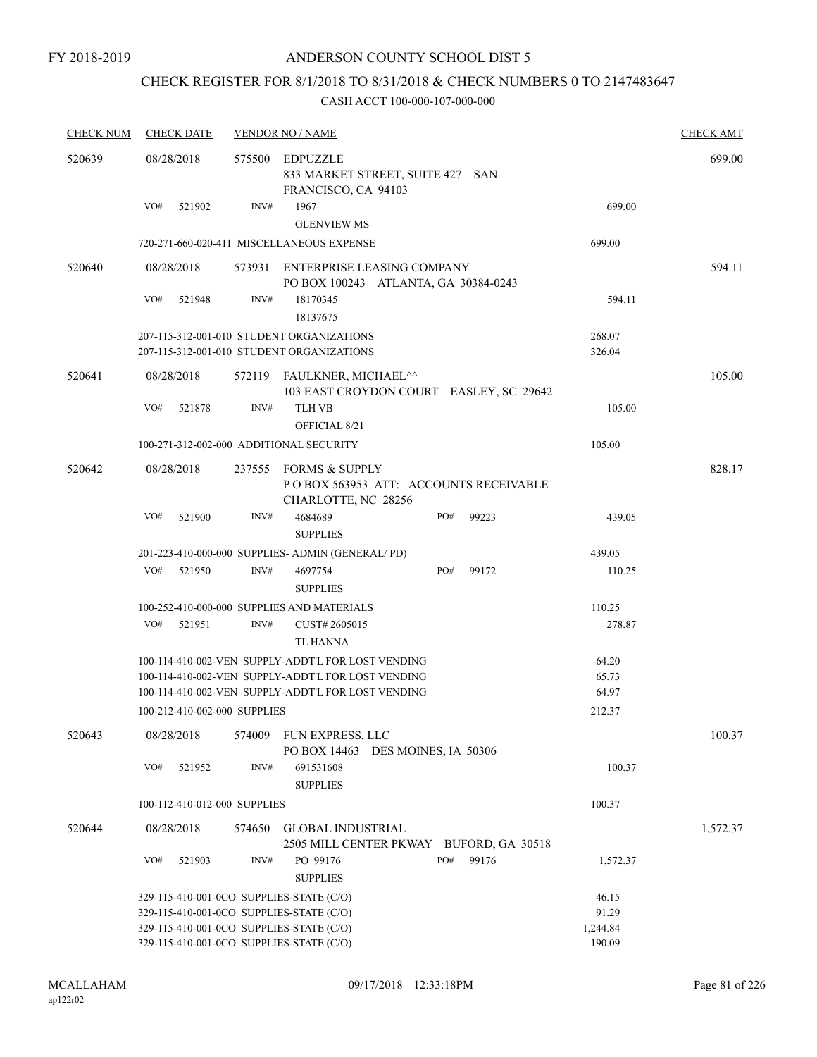# CHECK REGISTER FOR 8/1/2018 TO 8/31/2018 & CHECK NUMBERS 0 TO 2147483647

| <b>CHECK NUM</b> | <b>CHECK DATE</b>                        |        | <b>VENDOR NO / NAME</b>                                                                |              |                  | <b>CHECK AMT</b> |
|------------------|------------------------------------------|--------|----------------------------------------------------------------------------------------|--------------|------------------|------------------|
| 520639           | 08/28/2018                               | 575500 | <b>EDPUZZLE</b><br>833 MARKET STREET, SUITE 427 SAN<br>FRANCISCO, CA 94103             |              |                  | 699.00           |
|                  | VO#<br>521902                            | INV#   | 1967<br><b>GLENVIEW MS</b>                                                             |              | 699.00           |                  |
|                  |                                          |        | 720-271-660-020-411 MISCELLANEOUS EXPENSE                                              |              | 699.00           |                  |
| 520640           | 08/28/2018                               | 573931 | ENTERPRISE LEASING COMPANY                                                             |              |                  | 594.11           |
|                  | VO#<br>521948                            | INV#   | PO BOX 100243 ATLANTA, GA 30384-0243<br>18170345<br>18137675                           |              | 594.11           |                  |
|                  |                                          |        | 207-115-312-001-010 STUDENT ORGANIZATIONS<br>207-115-312-001-010 STUDENT ORGANIZATIONS |              | 268.07<br>326.04 |                  |
|                  |                                          |        |                                                                                        |              |                  |                  |
| 520641           | 08/28/2018                               |        | 572119 FAULKNER, MICHAEL <sup>^^</sup><br>103 EAST CROYDON COURT EASLEY, SC 29642      |              |                  | 105.00           |
|                  | VO#<br>521878                            | INV#   | <b>TLH VB</b><br>OFFICIAL 8/21                                                         |              | 105.00           |                  |
|                  | 100-271-312-002-000 ADDITIONAL SECURITY  |        |                                                                                        |              | 105.00           |                  |
| 520642           | 08/28/2018                               |        | 237555 FORMS & SUPPLY<br>POBOX 563953 ATT: ACCOUNTS RECEIVABLE<br>CHARLOTTE, NC 28256  |              |                  | 828.17           |
|                  | VO#<br>521900                            | INV#   | 4684689<br><b>SUPPLIES</b>                                                             | PO#<br>99223 | 439.05           |                  |
|                  |                                          |        | 201-223-410-000-000 SUPPLIES- ADMIN (GENERAL/PD)                                       |              | 439.05           |                  |
|                  | VO#<br>521950                            | INV#   | 4697754<br><b>SUPPLIES</b>                                                             | PO#<br>99172 | 110.25           |                  |
|                  |                                          |        | 100-252-410-000-000 SUPPLIES AND MATERIALS                                             |              | 110.25           |                  |
|                  | VO#<br>521951                            | INV#   | CUST# 2605015<br><b>TL HANNA</b>                                                       |              | 278.87           |                  |
|                  |                                          |        | 100-114-410-002-VEN SUPPLY-ADDT'L FOR LOST VENDING                                     |              | $-64.20$         |                  |
|                  |                                          |        | 100-114-410-002-VEN SUPPLY-ADDT'L FOR LOST VENDING                                     |              | 65.73            |                  |
|                  |                                          |        | 100-114-410-002-VEN SUPPLY-ADDT'L FOR LOST VENDING                                     |              | 64.97            |                  |
|                  | 100-212-410-002-000 SUPPLIES             |        |                                                                                        |              | 212.37           |                  |
| 520643           | 08/28/2018                               | 574009 | FUN EXPRESS, LLC<br>PO BOX 14463 DES MOINES, IA 50306                                  |              |                  | 100.37           |
|                  | VO#<br>521952                            | INV#   | 691531608<br><b>SUPPLIES</b>                                                           |              | 100.37           |                  |
|                  | 100-112-410-012-000 SUPPLIES             |        |                                                                                        |              | 100.37           |                  |
| 520644           | 08/28/2018                               | 574650 | <b>GLOBAL INDUSTRIAL</b><br>2505 MILL CENTER PKWAY BUFORD, GA 30518                    |              |                  | 1,572.37         |
|                  | VO#<br>521903                            | INV#   | PO 99176<br><b>SUPPLIES</b>                                                            | PO#<br>99176 | 1,572.37         |                  |
|                  | 329-115-410-001-0CO SUPPLIES-STATE (C/O) | 46.15  |                                                                                        |              |                  |                  |
|                  | 329-115-410-001-0CO SUPPLIES-STATE (C/O) | 91.29  |                                                                                        |              |                  |                  |
|                  | 329-115-410-001-0CO SUPPLIES-STATE (C/O) |        |                                                                                        |              | 1,244.84         |                  |
|                  | 329-115-410-001-0CO SUPPLIES-STATE (C/O) |        |                                                                                        |              | 190.09           |                  |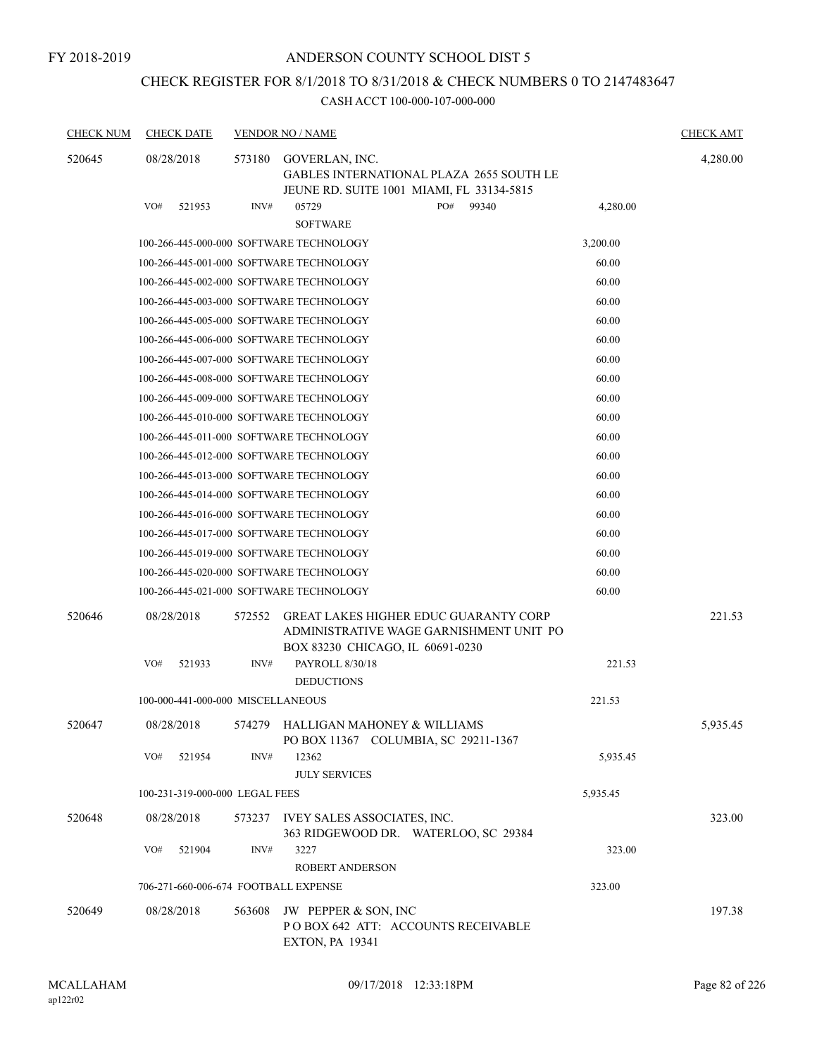FY 2018-2019

# ANDERSON COUNTY SCHOOL DIST 5

# CHECK REGISTER FOR 8/1/2018 TO 8/31/2018 & CHECK NUMBERS 0 TO 2147483647

| <b>CHECK NUM</b> | <b>CHECK DATE</b>                    |        | <b>VENDOR NO / NAME</b>                                                                                                     |          | <b>CHECK AMT</b> |
|------------------|--------------------------------------|--------|-----------------------------------------------------------------------------------------------------------------------------|----------|------------------|
| 520645           | 08/28/2018                           | 573180 | GOVERLAN, INC.<br><b>GABLES INTERNATIONAL PLAZA 2655 SOUTH LE</b><br>JEUNE RD. SUITE 1001 MIAMI, FL 33134-5815              |          | 4,280.00         |
|                  | VO#<br>521953                        | INV#   | PO#<br>05729<br>99340<br><b>SOFTWARE</b>                                                                                    | 4,280.00 |                  |
|                  |                                      |        | 100-266-445-000-000 SOFTWARE TECHNOLOGY                                                                                     | 3,200.00 |                  |
|                  |                                      |        | 100-266-445-001-000 SOFTWARE TECHNOLOGY                                                                                     | 60.00    |                  |
|                  |                                      |        | 100-266-445-002-000 SOFTWARE TECHNOLOGY                                                                                     | 60.00    |                  |
|                  |                                      |        | 100-266-445-003-000 SOFTWARE TECHNOLOGY                                                                                     | 60.00    |                  |
|                  |                                      |        | 100-266-445-005-000 SOFTWARE TECHNOLOGY                                                                                     | 60.00    |                  |
|                  |                                      |        | 100-266-445-006-000 SOFTWARE TECHNOLOGY                                                                                     | 60.00    |                  |
|                  |                                      |        | 100-266-445-007-000 SOFTWARE TECHNOLOGY                                                                                     | 60.00    |                  |
|                  |                                      |        | 100-266-445-008-000 SOFTWARE TECHNOLOGY                                                                                     | 60.00    |                  |
|                  |                                      |        | 100-266-445-009-000 SOFTWARE TECHNOLOGY                                                                                     | 60.00    |                  |
|                  |                                      |        | 100-266-445-010-000 SOFTWARE TECHNOLOGY                                                                                     | 60.00    |                  |
|                  |                                      |        | 100-266-445-011-000 SOFTWARE TECHNOLOGY                                                                                     | 60.00    |                  |
|                  |                                      |        | 100-266-445-012-000 SOFTWARE TECHNOLOGY                                                                                     | 60.00    |                  |
|                  |                                      |        | 100-266-445-013-000 SOFTWARE TECHNOLOGY                                                                                     | 60.00    |                  |
|                  |                                      |        | 100-266-445-014-000 SOFTWARE TECHNOLOGY                                                                                     | 60.00    |                  |
|                  |                                      |        | 100-266-445-016-000 SOFTWARE TECHNOLOGY                                                                                     | 60.00    |                  |
|                  |                                      |        | 100-266-445-017-000 SOFTWARE TECHNOLOGY                                                                                     | 60.00    |                  |
|                  |                                      |        | 100-266-445-019-000 SOFTWARE TECHNOLOGY                                                                                     | 60.00    |                  |
|                  |                                      |        | 100-266-445-020-000 SOFTWARE TECHNOLOGY                                                                                     | 60.00    |                  |
|                  |                                      |        | 100-266-445-021-000 SOFTWARE TECHNOLOGY                                                                                     | 60.00    |                  |
| 520646           | 08/28/2018                           | 572552 | <b>GREAT LAKES HIGHER EDUC GUARANTY CORP</b><br>ADMINISTRATIVE WAGE GARNISHMENT UNIT PO<br>BOX 83230 CHICAGO, IL 60691-0230 |          | 221.53           |
|                  | VO#<br>521933                        | INV#   | PAYROLL 8/30/18                                                                                                             | 221.53   |                  |
|                  |                                      |        | <b>DEDUCTIONS</b>                                                                                                           |          |                  |
|                  | 100-000-441-000-000 MISCELLANEOUS    |        |                                                                                                                             | 221.53   |                  |
| 520647           | 08/28/2018                           |        | 574279 HALLIGAN MAHONEY & WILLIAMS<br>PO BOX 11367 COLUMBIA, SC 29211-1367                                                  |          | 5,935.45         |
|                  | VO#<br>521954                        | INV#   | 12362<br><b>JULY SERVICES</b>                                                                                               | 5,935.45 |                  |
|                  | 100-231-319-000-000 LEGAL FEES       |        |                                                                                                                             | 5,935.45 |                  |
| 520648           | 08/28/2018                           |        | 573237 IVEY SALES ASSOCIATES, INC.<br>363 RIDGEWOOD DR. WATERLOO, SC 29384                                                  |          | 323.00           |
|                  | VO#<br>521904                        | INV#   | 3227<br><b>ROBERT ANDERSON</b>                                                                                              | 323.00   |                  |
|                  | 706-271-660-006-674 FOOTBALL EXPENSE |        |                                                                                                                             | 323.00   |                  |
| 520649           | 08/28/2018                           | 563608 | JW PEPPER & SON, INC<br>POBOX 642 ATT: ACCOUNTS RECEIVABLE<br><b>EXTON, PA 19341</b>                                        |          | 197.38           |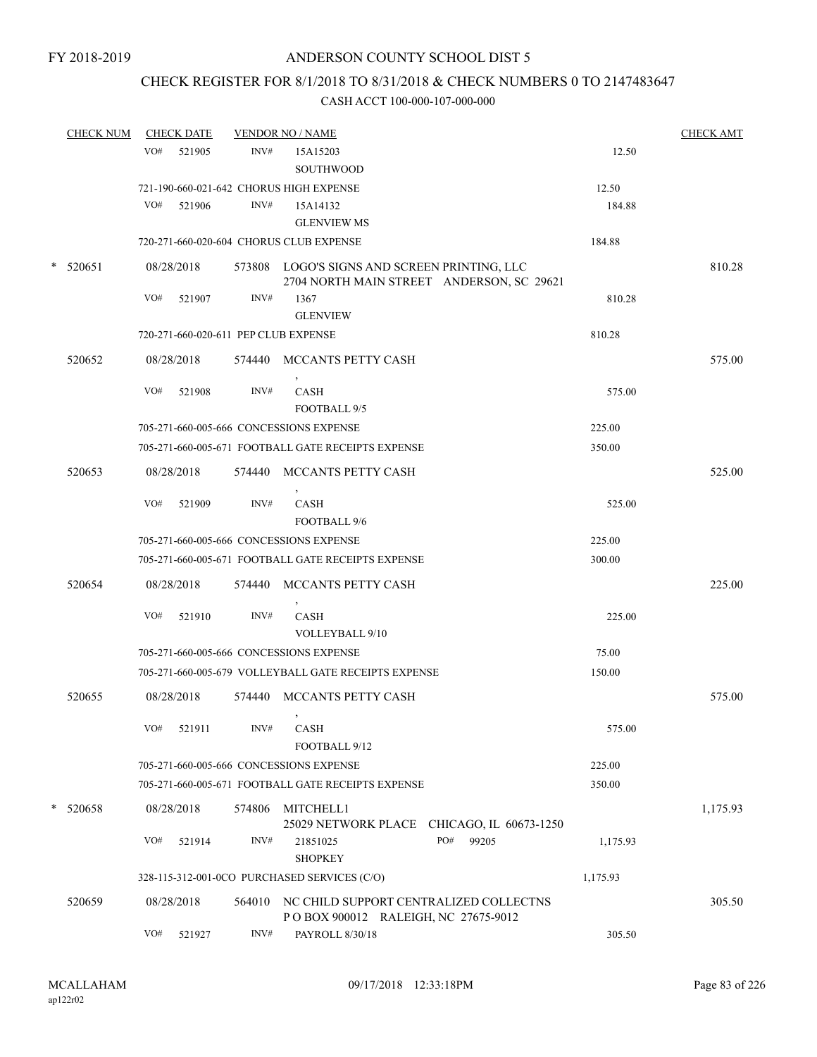# CHECK REGISTER FOR 8/1/2018 TO 8/31/2018 & CHECK NUMBERS 0 TO 2147483647

| <b>CHECK NUM</b> |     | <b>CHECK DATE</b> |        | <b>VENDOR NO / NAME</b>                                                              |                                                            |          | <b>CHECK AMT</b> |
|------------------|-----|-------------------|--------|--------------------------------------------------------------------------------------|------------------------------------------------------------|----------|------------------|
|                  | VO# | 521905            | INV#   | 15A15203                                                                             |                                                            | 12.50    |                  |
|                  |     |                   |        | SOUTHWOOD                                                                            |                                                            |          |                  |
|                  |     |                   |        | 721-190-660-021-642 CHORUS HIGH EXPENSE                                              |                                                            | 12.50    |                  |
|                  | VO# | 521906            | INV#   | 15A14132                                                                             |                                                            | 184.88   |                  |
|                  |     |                   |        | <b>GLENVIEW MS</b>                                                                   |                                                            |          |                  |
|                  |     |                   |        | 720-271-660-020-604 CHORUS CLUB EXPENSE                                              |                                                            | 184.88   |                  |
| * 520651         |     | 08/28/2018        |        | 573808 LOGO'S SIGNS AND SCREEN PRINTING, LLC                                         | 2704 NORTH MAIN STREET ANDERSON, SC 29621                  |          | 810.28           |
|                  | VO# | 521907            | INV#   | 1367<br><b>GLENVIEW</b>                                                              |                                                            | 810.28   |                  |
|                  |     |                   |        | 720-271-660-020-611 PEP CLUB EXPENSE                                                 |                                                            | 810.28   |                  |
| 520652           |     | 08/28/2018        |        | 574440 MCCANTS PETTY CASH                                                            |                                                            |          | 575.00           |
|                  | VO# | 521908            | INV#   | <b>CASH</b><br>FOOTBALL 9/5                                                          |                                                            | 575.00   |                  |
|                  |     |                   |        | 705-271-660-005-666 CONCESSIONS EXPENSE                                              |                                                            | 225.00   |                  |
|                  |     |                   |        | 705-271-660-005-671 FOOTBALL GATE RECEIPTS EXPENSE                                   |                                                            | 350.00   |                  |
|                  |     |                   |        |                                                                                      |                                                            |          |                  |
| 520653           |     | 08/28/2018        | 574440 | MCCANTS PETTY CASH                                                                   |                                                            |          | 525.00           |
|                  | VO# | 521909            | INV#   | <b>CASH</b><br>FOOTBALL 9/6                                                          |                                                            | 525.00   |                  |
|                  |     |                   |        | 705-271-660-005-666 CONCESSIONS EXPENSE                                              |                                                            | 225.00   |                  |
|                  |     |                   |        | 705-271-660-005-671 FOOTBALL GATE RECEIPTS EXPENSE                                   |                                                            | 300.00   |                  |
| 520654           |     | 08/28/2018        | 574440 | MCCANTS PETTY CASH                                                                   |                                                            |          | 225.00           |
|                  | VO# | 521910            | INV#   | $\,$<br><b>CASH</b>                                                                  |                                                            | 225.00   |                  |
|                  |     |                   |        | VOLLEYBALL 9/10                                                                      |                                                            |          |                  |
|                  |     |                   |        | 705-271-660-005-666 CONCESSIONS EXPENSE                                              |                                                            | 75.00    |                  |
|                  |     |                   |        | 705-271-660-005-679 VOLLEYBALL GATE RECEIPTS EXPENSE                                 |                                                            | 150.00   |                  |
| 520655           |     | 08/28/2018        | 574440 | MCCANTS PETTY CASH                                                                   |                                                            |          | 575.00           |
|                  | VO# | 521911            | INV#   | $\,$<br>CASH                                                                         |                                                            | 575.00   |                  |
|                  |     |                   |        | FOOTBALL 9/12                                                                        |                                                            |          |                  |
|                  |     |                   |        | 705-271-660-005-666 CONCESSIONS EXPENSE                                              |                                                            | 225.00   |                  |
|                  |     |                   |        | 705-271-660-005-671 FOOTBALL GATE RECEIPTS EXPENSE                                   |                                                            | 350.00   |                  |
| * 520658         |     | 08/28/2018        | 574806 | MITCHELL1                                                                            |                                                            |          | 1,175.93         |
|                  | VO# | 521914            | INV#   | 21851025<br><b>SHOPKEY</b>                                                           | 25029 NETWORK PLACE CHICAGO, IL 60673-1250<br>PO#<br>99205 | 1,175.93 |                  |
|                  |     |                   |        | 328-115-312-001-0CO PURCHASED SERVICES (C/O)                                         |                                                            | 1,175.93 |                  |
| 520659           |     | 08/28/2018        |        | 564010 NC CHILD SUPPORT CENTRALIZED COLLECTNS<br>POBOX 900012 RALEIGH, NC 27675-9012 |                                                            |          | 305.50           |
|                  | VO# | 521927            | INV#   | PAYROLL 8/30/18                                                                      |                                                            | 305.50   |                  |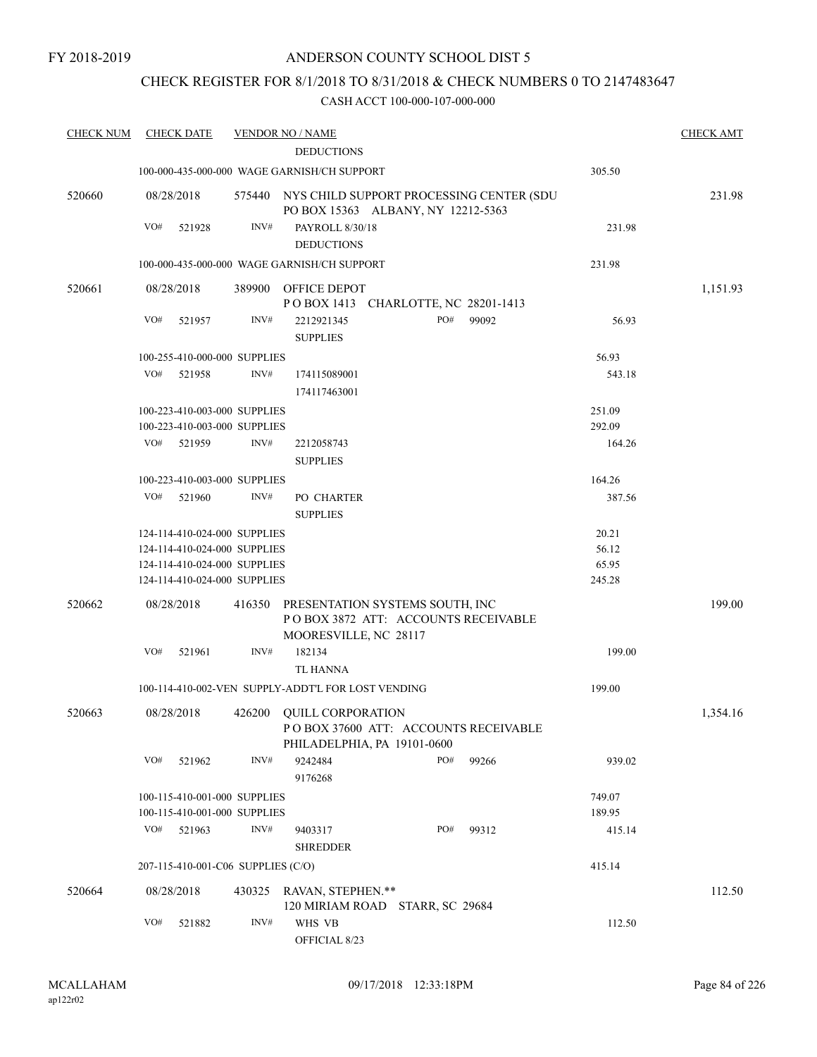# CHECK REGISTER FOR 8/1/2018 TO 8/31/2018 & CHECK NUMBERS 0 TO 2147483647

| <b>CHECK NUM</b> | <b>CHECK DATE</b>                                            |        | <b>VENDOR NO / NAME</b>                                                                         |     |       |                  | <b>CHECK AMT</b> |
|------------------|--------------------------------------------------------------|--------|-------------------------------------------------------------------------------------------------|-----|-------|------------------|------------------|
|                  |                                                              |        | <b>DEDUCTIONS</b>                                                                               |     |       |                  |                  |
|                  |                                                              |        | 100-000-435-000-000 WAGE GARNISH/CH SUPPORT                                                     |     |       | 305.50           |                  |
| 520660           | 08/28/2018                                                   |        | 575440 NYS CHILD SUPPORT PROCESSING CENTER (SDU<br>PO BOX 15363 ALBANY, NY 12212-5363           |     |       |                  | 231.98           |
|                  | VO#<br>521928                                                | INV#   | PAYROLL 8/30/18                                                                                 |     |       | 231.98           |                  |
|                  |                                                              |        | <b>DEDUCTIONS</b>                                                                               |     |       |                  |                  |
|                  |                                                              |        | 100-000-435-000-000 WAGE GARNISH/CH SUPPORT                                                     |     |       | 231.98           |                  |
| 520661           | 08/28/2018                                                   | 389900 | OFFICE DEPOT<br>POBOX 1413 CHARLOTTE, NC 28201-1413                                             |     |       |                  | 1,151.93         |
|                  | VO#<br>521957                                                | INV#   | 2212921345<br><b>SUPPLIES</b>                                                                   | PO# | 99092 | 56.93            |                  |
|                  | 100-255-410-000-000 SUPPLIES                                 |        |                                                                                                 |     |       | 56.93            |                  |
|                  | VO#                                                          |        |                                                                                                 |     |       |                  |                  |
|                  | 521958                                                       | INV#   | 174115089001<br>174117463001                                                                    |     |       | 543.18           |                  |
|                  | 100-223-410-003-000 SUPPLIES                                 |        |                                                                                                 |     |       | 251.09           |                  |
|                  | 100-223-410-003-000 SUPPLIES                                 |        |                                                                                                 |     |       | 292.09           |                  |
|                  | VO#<br>521959                                                | INV#   | 2212058743                                                                                      |     |       | 164.26           |                  |
|                  |                                                              |        | <b>SUPPLIES</b>                                                                                 |     |       |                  |                  |
|                  | 100-223-410-003-000 SUPPLIES                                 |        |                                                                                                 |     |       | 164.26           |                  |
|                  | VO#<br>521960                                                | INV#   | PO CHARTER                                                                                      |     |       | 387.56           |                  |
|                  |                                                              |        | <b>SUPPLIES</b>                                                                                 |     |       |                  |                  |
|                  | 124-114-410-024-000 SUPPLIES                                 |        |                                                                                                 |     |       | 20.21            |                  |
|                  | 124-114-410-024-000 SUPPLIES                                 |        |                                                                                                 |     |       | 56.12            |                  |
|                  | 124-114-410-024-000 SUPPLIES                                 |        |                                                                                                 |     |       | 65.95            |                  |
|                  | 124-114-410-024-000 SUPPLIES                                 |        |                                                                                                 |     |       | 245.28           |                  |
|                  |                                                              |        |                                                                                                 |     |       |                  |                  |
| 520662           | 08/28/2018                                                   | 416350 | PRESENTATION SYSTEMS SOUTH, INC<br>POBOX 3872 ATT: ACCOUNTS RECEIVABLE<br>MOORESVILLE, NC 28117 |     |       |                  | 199.00           |
|                  | VO#<br>521961                                                | INV#   | 182134                                                                                          |     |       | 199.00           |                  |
|                  |                                                              |        | <b>TL HANNA</b>                                                                                 |     |       |                  |                  |
|                  |                                                              |        | 100-114-410-002-VEN SUPPLY-ADDT'L FOR LOST VENDING                                              |     |       | 199.00           |                  |
| 520663           | 08/28/2018                                                   | 426200 | <b>OUILL CORPORATION</b><br>POBOX 37600 ATT: ACCOUNTS RECEIVABLE<br>PHILADELPHIA, PA 19101-0600 |     |       |                  | 1,354.16         |
|                  | VO#<br>521962                                                | INV#   | 9242484<br>9176268                                                                              | PO# | 99266 | 939.02           |                  |
|                  |                                                              |        |                                                                                                 |     |       |                  |                  |
|                  | 100-115-410-001-000 SUPPLIES<br>100-115-410-001-000 SUPPLIES |        |                                                                                                 |     |       | 749.07<br>189.95 |                  |
|                  | VO#<br>521963                                                | INV#   | 9403317<br><b>SHREDDER</b>                                                                      | PO# | 99312 | 415.14           |                  |
|                  | 207-115-410-001-C06 SUPPLIES (C/O)                           |        |                                                                                                 |     |       | 415.14           |                  |
| 520664           | 08/28/2018                                                   |        | 430325 RAVAN, STEPHEN.**                                                                        |     |       |                  | 112.50           |
|                  |                                                              |        | 120 MIRIAM ROAD STARR, SC 29684                                                                 |     |       |                  |                  |
|                  | VO#<br>521882                                                | INV#   | WHS VB                                                                                          |     |       | 112.50           |                  |
|                  |                                                              |        | OFFICIAL 8/23                                                                                   |     |       |                  |                  |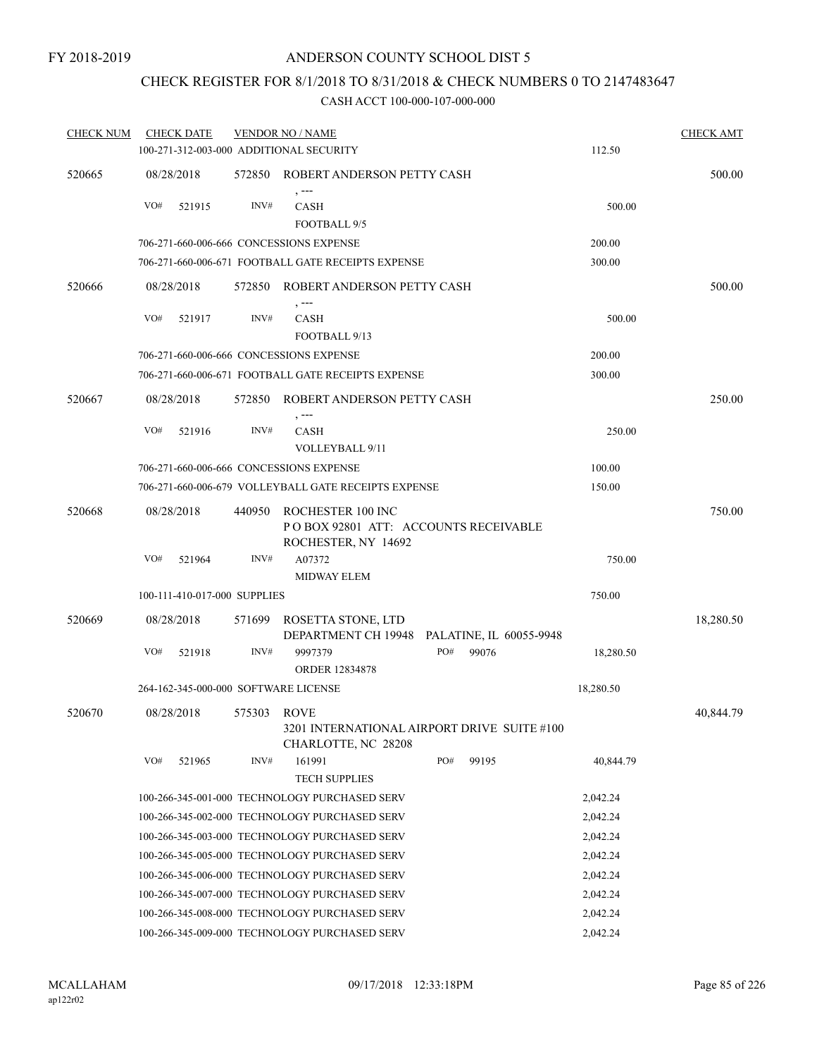# CHECK REGISTER FOR 8/1/2018 TO 8/31/2018 & CHECK NUMBERS 0 TO 2147483647

| <b>CHECK NUM</b> |            | <b>CHECK DATE</b>            |             | <b>VENDOR NO / NAME</b>                                                           |     |                         |           | <b>CHECK AMT</b> |
|------------------|------------|------------------------------|-------------|-----------------------------------------------------------------------------------|-----|-------------------------|-----------|------------------|
|                  |            |                              |             | 100-271-312-003-000 ADDITIONAL SECURITY                                           |     |                         | 112.50    |                  |
| 520665           |            | 08/28/2018                   | 572850      | ROBERT ANDERSON PETTY CASH                                                        |     |                         |           | 500.00           |
|                  | VO#        | 521915                       | INV#        | $, -- -$<br><b>CASH</b>                                                           |     |                         | 500.00    |                  |
|                  |            |                              |             | FOOTBALL 9/5                                                                      |     |                         |           |                  |
|                  |            |                              |             | 706-271-660-006-666 CONCESSIONS EXPENSE                                           |     |                         | 200.00    |                  |
|                  |            |                              |             | 706-271-660-006-671 FOOTBALL GATE RECEIPTS EXPENSE                                |     |                         | 300.00    |                  |
| 520666           |            | 08/28/2018                   | 572850      | ROBERT ANDERSON PETTY CASH                                                        |     |                         |           | 500.00           |
|                  | VO#        | 521917                       | INV#        | , ---<br><b>CASH</b><br>FOOTBALL 9/13                                             |     |                         | 500.00    |                  |
|                  |            |                              |             | 706-271-660-006-666 CONCESSIONS EXPENSE                                           |     |                         | 200.00    |                  |
|                  |            |                              |             | 706-271-660-006-671 FOOTBALL GATE RECEIPTS EXPENSE                                |     |                         | 300.00    |                  |
| 520667           |            | 08/28/2018                   | 572850      | ROBERT ANDERSON PETTY CASH                                                        |     |                         |           | 250.00           |
|                  | VO#        | 521916                       | INV#        | <b>CASH</b><br>VOLLEYBALL 9/11                                                    |     |                         | 250.00    |                  |
|                  |            |                              |             | 706-271-660-006-666 CONCESSIONS EXPENSE                                           |     |                         | 100.00    |                  |
|                  |            |                              |             | 706-271-660-006-679 VOLLEYBALL GATE RECEIPTS EXPENSE                              |     |                         | 150.00    |                  |
| 520668           | 08/28/2018 |                              | 440950      | ROCHESTER 100 INC<br>PO BOX 92801 ATT: ACCOUNTS RECEIVABLE<br>ROCHESTER, NY 14692 |     |                         |           | 750.00           |
|                  | VO#        | 521964                       | INV#        | A07372<br><b>MIDWAY ELEM</b>                                                      |     |                         | 750.00    |                  |
|                  |            | 100-111-410-017-000 SUPPLIES |             |                                                                                   |     |                         | 750.00    |                  |
| 520669           |            | 08/28/2018                   | 571699      | ROSETTA STONE, LTD<br>DEPARTMENT CH 19948                                         |     | PALATINE, IL 60055-9948 |           | 18,280.50        |
|                  | VO#        | 521918                       | INV#        | 9997379<br><b>ORDER 12834878</b>                                                  | PO# | 99076                   | 18,280.50 |                  |
|                  |            |                              |             | 264-162-345-000-000 SOFTWARE LICENSE                                              |     |                         | 18,280.50 |                  |
| 520670           |            | 08/28/2018                   | 575303 ROVE |                                                                                   |     |                         |           | 40,844.79        |
|                  |            |                              |             | 3201 INTERNATIONAL AIRPORT DRIVE SUITE #100<br>CHARLOTTE, NC 28208                |     |                         |           |                  |
|                  | VO#        | 521965                       | INV#        | 161991<br><b>TECH SUPPLIES</b>                                                    | PO# | 99195                   | 40,844.79 |                  |
|                  |            |                              |             | 100-266-345-001-000 TECHNOLOGY PURCHASED SERV                                     |     |                         | 2,042.24  |                  |
|                  |            |                              |             | 100-266-345-002-000 TECHNOLOGY PURCHASED SERV                                     |     |                         | 2,042.24  |                  |
|                  |            |                              |             | 100-266-345-003-000 TECHNOLOGY PURCHASED SERV                                     |     |                         | 2,042.24  |                  |
|                  |            |                              |             | 100-266-345-005-000 TECHNOLOGY PURCHASED SERV                                     |     |                         | 2,042.24  |                  |
|                  |            |                              |             | 100-266-345-006-000 TECHNOLOGY PURCHASED SERV                                     |     |                         | 2,042.24  |                  |
|                  |            |                              |             | 100-266-345-007-000 TECHNOLOGY PURCHASED SERV                                     |     |                         | 2,042.24  |                  |
|                  |            |                              |             | 100-266-345-008-000 TECHNOLOGY PURCHASED SERV                                     |     |                         | 2,042.24  |                  |
|                  |            |                              |             | 100-266-345-009-000 TECHNOLOGY PURCHASED SERV                                     |     |                         | 2,042.24  |                  |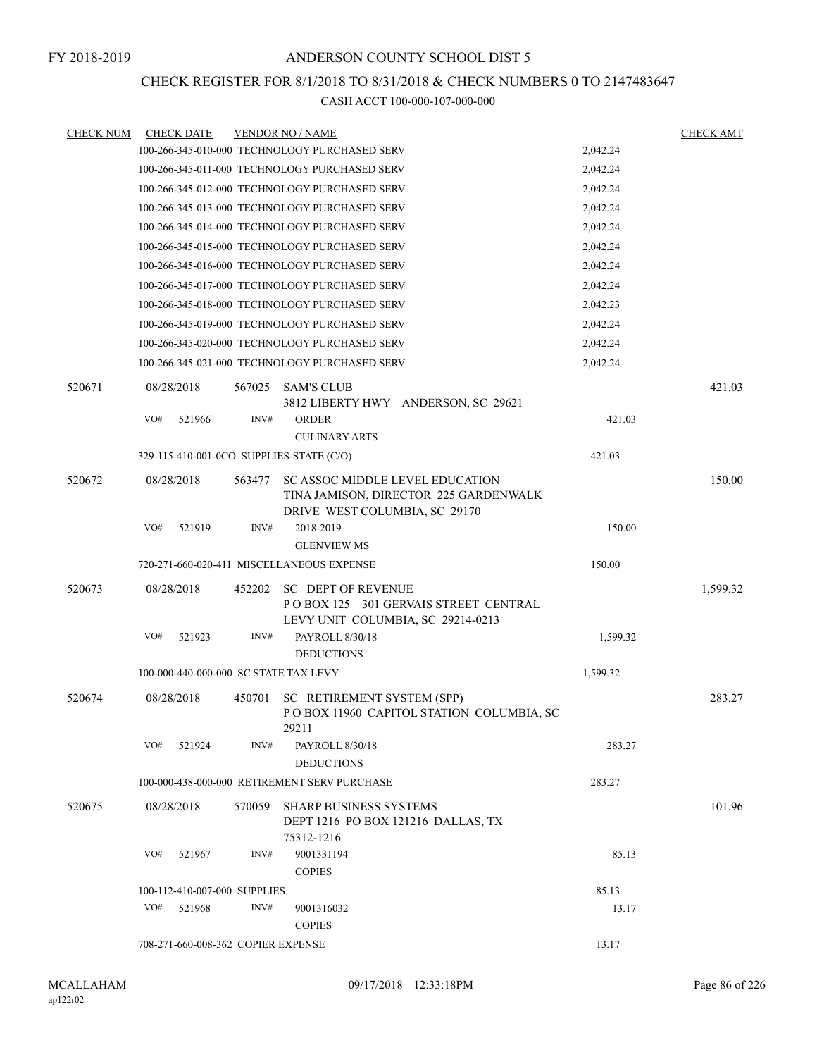# CHECK REGISTER FOR 8/1/2018 TO 8/31/2018 & CHECK NUMBERS 0 TO 2147483647

| <b>CHECK NUM</b> | <b>CHECK DATE</b>                        |        | <b>VENDOR NO / NAME</b>                                                                                          |          | <b>CHECK AMT</b> |
|------------------|------------------------------------------|--------|------------------------------------------------------------------------------------------------------------------|----------|------------------|
|                  |                                          |        | 100-266-345-010-000 TECHNOLOGY PURCHASED SERV                                                                    | 2,042.24 |                  |
|                  |                                          |        | 100-266-345-011-000 TECHNOLOGY PURCHASED SERV                                                                    | 2,042.24 |                  |
|                  |                                          |        | 100-266-345-012-000 TECHNOLOGY PURCHASED SERV                                                                    | 2,042.24 |                  |
|                  |                                          |        | 100-266-345-013-000 TECHNOLOGY PURCHASED SERV                                                                    | 2,042.24 |                  |
|                  |                                          |        | 100-266-345-014-000 TECHNOLOGY PURCHASED SERV                                                                    | 2,042.24 |                  |
|                  |                                          |        | 100-266-345-015-000 TECHNOLOGY PURCHASED SERV                                                                    | 2,042.24 |                  |
|                  |                                          |        | 100-266-345-016-000 TECHNOLOGY PURCHASED SERV                                                                    | 2,042.24 |                  |
|                  |                                          |        | 100-266-345-017-000 TECHNOLOGY PURCHASED SERV                                                                    | 2,042.24 |                  |
|                  |                                          |        | 100-266-345-018-000 TECHNOLOGY PURCHASED SERV                                                                    | 2,042.23 |                  |
|                  |                                          |        | 100-266-345-019-000 TECHNOLOGY PURCHASED SERV                                                                    | 2,042.24 |                  |
|                  |                                          |        | 100-266-345-020-000 TECHNOLOGY PURCHASED SERV                                                                    | 2,042.24 |                  |
|                  |                                          |        | 100-266-345-021-000 TECHNOLOGY PURCHASED SERV                                                                    | 2,042.24 |                  |
| 520671           | 08/28/2018                               | 567025 | <b>SAM'S CLUB</b>                                                                                                |          | 421.03           |
|                  |                                          |        | 3812 LIBERTY HWY ANDERSON, SC 29621                                                                              |          |                  |
|                  | VO#<br>521966                            | INV#   | <b>ORDER</b>                                                                                                     | 421.03   |                  |
|                  |                                          |        | <b>CULINARY ARTS</b>                                                                                             |          |                  |
|                  | 329-115-410-001-0CO SUPPLIES-STATE (C/O) |        |                                                                                                                  | 421.03   |                  |
| 520672           | 08/28/2018                               | 563477 | <b>SC ASSOC MIDDLE LEVEL EDUCATION</b><br>TINA JAMISON, DIRECTOR 225 GARDENWALK<br>DRIVE WEST COLUMBIA, SC 29170 |          | 150.00           |
|                  | VO#<br>521919                            | INV#   | 2018-2019                                                                                                        | 150.00   |                  |
|                  |                                          |        | <b>GLENVIEW MS</b>                                                                                               |          |                  |
|                  |                                          |        | 720-271-660-020-411 MISCELLANEOUS EXPENSE                                                                        | 150.00   |                  |
| 520673           | 08/28/2018                               | 452202 | <b>SC DEPT OF REVENUE</b><br>POBOX 125 301 GERVAIS STREET CENTRAL<br>LEVY UNIT COLUMBIA, SC 29214-0213           |          | 1,599.32         |
|                  | VO#<br>521923                            | INV#   | PAYROLL 8/30/18<br><b>DEDUCTIONS</b>                                                                             | 1,599.32 |                  |
|                  | 100-000-440-000-000 SC STATE TAX LEVY    |        |                                                                                                                  | 1,599.32 |                  |
| 520674           | 08/28/2018                               | 450701 | SC RETIREMENT SYSTEM (SPP)<br>POBOX 11960 CAPITOL STATION COLUMBIA, SC<br>29211                                  |          | 283.27           |
|                  | VO#<br>521924                            | INV#   | PAYROLL 8/30/18<br><b>DEDUCTIONS</b>                                                                             | 283.27   |                  |
|                  |                                          |        | 100-000-438-000-000 RETIREMENT SERV PURCHASE                                                                     | 283.27   |                  |
| 520675           | 08/28/2018                               | 570059 | <b>SHARP BUSINESS SYSTEMS</b><br>DEPT 1216 PO BOX 121216 DALLAS, TX                                              |          | 101.96           |
|                  | VO#<br>521967                            | INV#   | 75312-1216<br>9001331194<br><b>COPIES</b>                                                                        | 85.13    |                  |
|                  | 100-112-410-007-000 SUPPLIES             |        |                                                                                                                  | 85.13    |                  |
|                  | VO#<br>521968                            | INV#   | 9001316032<br><b>COPIES</b>                                                                                      | 13.17    |                  |
|                  | 708-271-660-008-362 COPIER EXPENSE       |        |                                                                                                                  | 13.17    |                  |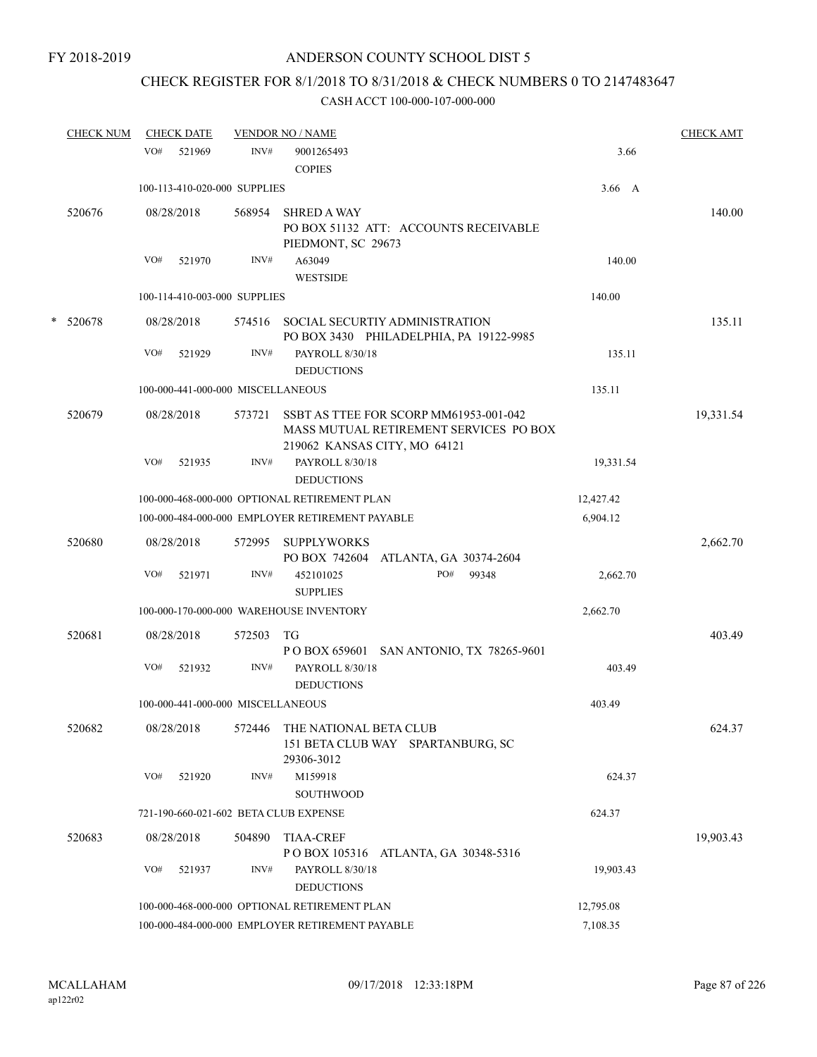# CHECK REGISTER FOR 8/1/2018 TO 8/31/2018 & CHECK NUMBERS 0 TO 2147483647

|   | <b>CHECK NUM</b> | <b>CHECK DATE</b> |        |                                   | <b>VENDOR NO / NAME</b>                                                          |                                                                                  |               | <b>CHECK AMT</b> |
|---|------------------|-------------------|--------|-----------------------------------|----------------------------------------------------------------------------------|----------------------------------------------------------------------------------|---------------|------------------|
|   |                  | VO#               | 521969 | INV#                              | 9001265493<br><b>COPIES</b>                                                      |                                                                                  | 3.66          |                  |
|   |                  |                   |        | 100-113-410-020-000 SUPPLIES      |                                                                                  |                                                                                  | $3.66\quad A$ |                  |
|   | 520676           | 08/28/2018        |        | 568954                            | <b>SHRED A WAY</b><br>PIEDMONT, SC 29673                                         | PO BOX 51132 ATT: ACCOUNTS RECEIVABLE                                            |               | 140.00           |
|   |                  | VO#               | 521970 | INV#                              | A63049                                                                           |                                                                                  | 140.00        |                  |
|   |                  |                   |        |                                   | <b>WESTSIDE</b>                                                                  |                                                                                  |               |                  |
|   |                  |                   |        | 100-114-410-003-000 SUPPLIES      |                                                                                  |                                                                                  | 140.00        |                  |
| * | 520678           | 08/28/2018        |        |                                   | 574516 SOCIAL SECURTIY ADMINISTRATION                                            | PO BOX 3430 PHILADELPHIA, PA 19122-9985                                          |               | 135.11           |
|   |                  | VO#               | 521929 | INV#                              | PAYROLL 8/30/18<br><b>DEDUCTIONS</b>                                             |                                                                                  | 135.11        |                  |
|   |                  |                   |        | 100-000-441-000-000 MISCELLANEOUS |                                                                                  |                                                                                  | 135.11        |                  |
|   | 520679           | 08/28/2018        |        | 573721                            | 219062 KANSAS CITY, MO 64121                                                     | SSBT AS TTEE FOR SCORP MM61953-001-042<br>MASS MUTUAL RETIREMENT SERVICES PO BOX |               | 19,331.54        |
|   |                  | VO#               | 521935 | INV#                              | PAYROLL 8/30/18<br><b>DEDUCTIONS</b>                                             |                                                                                  | 19,331.54     |                  |
|   |                  |                   |        |                                   | 100-000-468-000-000 OPTIONAL RETIREMENT PLAN                                     |                                                                                  | 12,427.42     |                  |
|   |                  |                   |        |                                   | 100-000-484-000-000 EMPLOYER RETIREMENT PAYABLE                                  |                                                                                  | 6,904.12      |                  |
|   | 520680           | 08/28/2018        |        |                                   | 572995 SUPPLYWORKS<br>PO BOX 742604 ATLANTA, GA 30374-2604                       |                                                                                  |               | 2,662.70         |
|   |                  | VO#               | 521971 | INV#                              | 452101025<br><b>SUPPLIES</b>                                                     | PO#<br>99348                                                                     | 2,662.70      |                  |
|   |                  |                   |        |                                   | 100-000-170-000-000 WAREHOUSE INVENTORY                                          |                                                                                  | 2,662.70      |                  |
|   | 520681           | 08/28/2018        |        | 572503                            | TG                                                                               | P O BOX 659601 SAN ANTONIO, TX 78265-9601                                        |               | 403.49           |
|   |                  | VO#               | 521932 | INV#                              | PAYROLL 8/30/18<br><b>DEDUCTIONS</b>                                             |                                                                                  | 403.49        |                  |
|   |                  |                   |        | 100-000-441-000-000 MISCELLANEOUS |                                                                                  |                                                                                  | 403.49        |                  |
|   | 520682           | 08/28/2018        |        |                                   | 572446 THE NATIONAL BETA CLUB<br>151 BETA CLUB WAY SPARTANBURG, SC<br>29306-3012 |                                                                                  |               | 624.37           |
|   |                  | VO#               | 521920 | INV#                              | M159918<br><b>SOUTHWOOD</b>                                                      |                                                                                  | 624.37        |                  |
|   |                  |                   |        |                                   | 721-190-660-021-602 BETA CLUB EXPENSE                                            |                                                                                  | 624.37        |                  |
|   | 520683           | 08/28/2018        |        | 504890                            | <b>TIAA-CREF</b><br>P O BOX 105316 ATLANTA, GA 30348-5316                        |                                                                                  |               | 19,903.43        |
|   |                  | VO#               | 521937 | INV#                              | PAYROLL 8/30/18<br><b>DEDUCTIONS</b>                                             |                                                                                  | 19,903.43     |                  |
|   |                  |                   |        |                                   | 100-000-468-000-000 OPTIONAL RETIREMENT PLAN                                     |                                                                                  | 12,795.08     |                  |
|   |                  |                   |        |                                   | 100-000-484-000-000 EMPLOYER RETIREMENT PAYABLE                                  |                                                                                  | 7,108.35      |                  |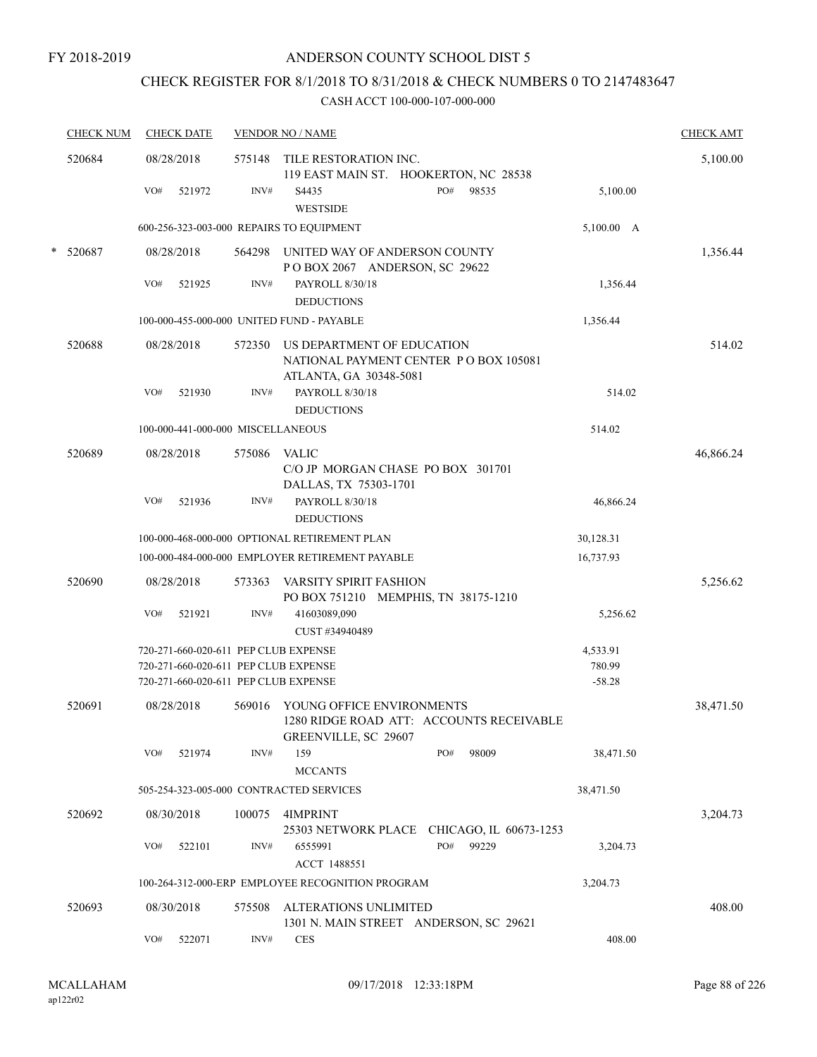# CHECK REGISTER FOR 8/1/2018 TO 8/31/2018 & CHECK NUMBERS 0 TO 2147483647

|        | <b>CHECK NUM</b> |     | <b>CHECK DATE</b>                 |        | <b>VENDOR NO / NAME</b>                                                                            | <b>CHECK AMT</b> |
|--------|------------------|-----|-----------------------------------|--------|----------------------------------------------------------------------------------------------------|------------------|
|        | 520684           |     | 08/28/2018                        | 575148 | TILE RESTORATION INC.<br>119 EAST MAIN ST. HOOKERTON, NC 28538                                     | 5,100.00         |
|        |                  | VO# | 521972                            | INV#   | PO#<br>98535<br>5,100.00<br>S4435<br><b>WESTSIDE</b>                                               |                  |
|        |                  |     |                                   |        | 600-256-323-003-000 REPAIRS TO EQUIPMENT<br>5,100.00 A                                             |                  |
| $\ast$ | 520687           |     | 08/28/2018                        | 564298 | UNITED WAY OF ANDERSON COUNTY<br>POBOX 2067 ANDERSON, SC 29622                                     | 1,356.44         |
|        |                  | VO# | 521925                            | INV#   | PAYROLL 8/30/18<br>1,356.44                                                                        |                  |
|        |                  |     |                                   |        | <b>DEDUCTIONS</b>                                                                                  |                  |
|        |                  |     |                                   |        | 100-000-455-000-000 UNITED FUND - PAYABLE<br>1,356.44                                              |                  |
|        | 520688           |     | 08/28/2018                        | 572350 | US DEPARTMENT OF EDUCATION<br>NATIONAL PAYMENT CENTER PO BOX 105081<br>ATLANTA, GA 30348-5081      | 514.02           |
|        |                  | VO# | 521930                            | INV#   | PAYROLL 8/30/18<br>514.02<br><b>DEDUCTIONS</b>                                                     |                  |
|        |                  |     | 100-000-441-000-000 MISCELLANEOUS |        | 514.02                                                                                             |                  |
|        | 520689           |     | 08/28/2018                        | 575086 | <b>VALIC</b>                                                                                       | 46,866.24        |
|        |                  |     |                                   |        | C/O JP MORGAN CHASE PO BOX 301701                                                                  |                  |
|        |                  |     |                                   |        | DALLAS, TX 75303-1701                                                                              |                  |
|        |                  | VO# | 521936                            | INV#   | PAYROLL 8/30/18<br>46,866.24<br><b>DEDUCTIONS</b>                                                  |                  |
|        |                  |     |                                   |        | 100-000-468-000-000 OPTIONAL RETIREMENT PLAN<br>30,128.31                                          |                  |
|        |                  |     |                                   |        | 100-000-484-000-000 EMPLOYER RETIREMENT PAYABLE<br>16,737.93                                       |                  |
|        | 520690           |     | 08/28/2018                        | 573363 | VARSITY SPIRIT FASHION                                                                             | 5,256.62         |
|        |                  |     |                                   |        | PO BOX 751210 MEMPHIS, TN 38175-1210                                                               |                  |
|        |                  | VO# | 521921                            | INV#   | 41603089,090<br>5,256.62                                                                           |                  |
|        |                  |     |                                   |        | CUST #34940489                                                                                     |                  |
|        |                  |     |                                   |        | 720-271-660-020-611 PEP CLUB EXPENSE<br>4,533.91                                                   |                  |
|        |                  |     |                                   |        | 720-271-660-020-611 PEP CLUB EXPENSE<br>780.99<br>720-271-660-020-611 PEP CLUB EXPENSE<br>$-58.28$ |                  |
|        |                  |     |                                   |        |                                                                                                    |                  |
|        | 520691           |     | 08/28/2018                        | 569016 | YOUNG OFFICE ENVIRONMENTS<br>1280 RIDGE ROAD ATT: ACCOUNTS RECEIVABLE<br>GREENVILLE, SC 29607      | 38,471.50        |
|        |                  | VO# | 521974                            | INV#   | 159<br>PO#<br>98009<br>38,471.50                                                                   |                  |
|        |                  |     |                                   |        | <b>MCCANTS</b>                                                                                     |                  |
|        |                  |     |                                   |        | 505-254-323-005-000 CONTRACTED SERVICES<br>38,471.50                                               |                  |
|        | 520692           |     | 08/30/2018                        | 100075 | 4IMPRINT<br>25303 NETWORK PLACE CHICAGO, IL 60673-1253                                             | 3,204.73         |
|        |                  | VO# | 522101                            | INV#   | PO#<br>99229<br>6555991<br>3,204.73<br>ACCT 1488551                                                |                  |
|        |                  |     |                                   |        | 100-264-312-000-ERP EMPLOYEE RECOGNITION PROGRAM<br>3,204.73                                       |                  |
|        | 520693           |     | 08/30/2018                        | 575508 | ALTERATIONS UNLIMITED                                                                              | 408.00           |
|        |                  |     |                                   |        | 1301 N. MAIN STREET ANDERSON, SC 29621                                                             |                  |
|        |                  | VO# | 522071                            | INV#   | 408.00<br><b>CES</b>                                                                               |                  |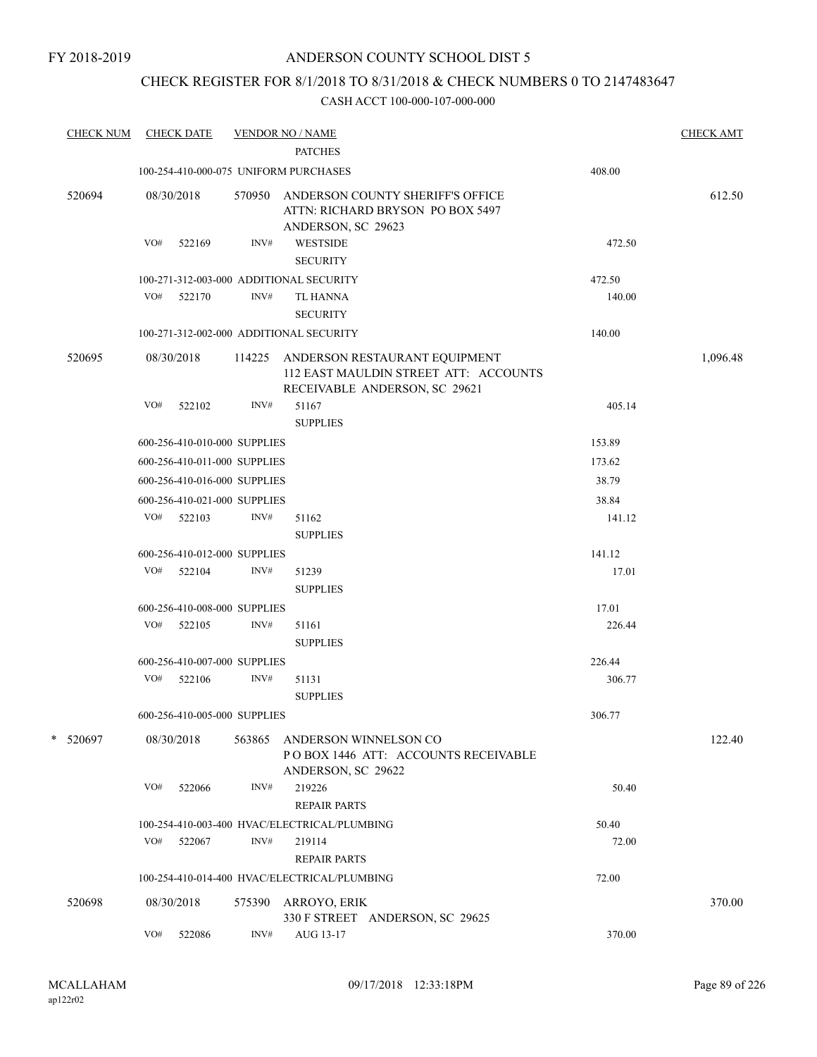# CHECK REGISTER FOR 8/1/2018 TO 8/31/2018 & CHECK NUMBERS 0 TO 2147483647

| <b>CHECK NUM</b> |            | <b>CHECK DATE</b>            |        | <b>VENDOR NO / NAME</b>                                                                                 |        | <b>CHECK AMT</b> |
|------------------|------------|------------------------------|--------|---------------------------------------------------------------------------------------------------------|--------|------------------|
|                  |            |                              |        | <b>PATCHES</b>                                                                                          |        |                  |
|                  |            |                              |        | 100-254-410-000-075 UNIFORM PURCHASES                                                                   | 408.00 |                  |
| 520694           | 08/30/2018 |                              | 570950 | ANDERSON COUNTY SHERIFF'S OFFICE<br>ATTN: RICHARD BRYSON PO BOX 5497<br>ANDERSON, SC 29623              |        | 612.50           |
|                  | VO#        | 522169                       | INV#   | WESTSIDE<br><b>SECURITY</b>                                                                             | 472.50 |                  |
|                  |            |                              |        | 100-271-312-003-000 ADDITIONAL SECURITY                                                                 | 472.50 |                  |
|                  | VO#        | 522170                       | INV#   | TL HANNA<br><b>SECURITY</b>                                                                             | 140.00 |                  |
|                  |            |                              |        | 100-271-312-002-000 ADDITIONAL SECURITY                                                                 | 140.00 |                  |
| 520695           |            | 08/30/2018                   | 114225 | ANDERSON RESTAURANT EQUIPMENT<br>112 EAST MAULDIN STREET ATT: ACCOUNTS<br>RECEIVABLE ANDERSON, SC 29621 |        | 1,096.48         |
|                  | VO#        | 522102                       | INV#   | 51167<br><b>SUPPLIES</b>                                                                                | 405.14 |                  |
|                  |            | 600-256-410-010-000 SUPPLIES |        |                                                                                                         | 153.89 |                  |
|                  |            | 600-256-410-011-000 SUPPLIES |        |                                                                                                         | 173.62 |                  |
|                  |            | 600-256-410-016-000 SUPPLIES |        |                                                                                                         | 38.79  |                  |
|                  |            | 600-256-410-021-000 SUPPLIES |        |                                                                                                         | 38.84  |                  |
|                  |            | VO# 522103                   | INV#   | 51162<br><b>SUPPLIES</b>                                                                                | 141.12 |                  |
|                  |            | 600-256-410-012-000 SUPPLIES |        |                                                                                                         | 141.12 |                  |
|                  | VO#        | 522104                       | INV#   | 51239<br><b>SUPPLIES</b>                                                                                | 17.01  |                  |
|                  |            | 600-256-410-008-000 SUPPLIES |        |                                                                                                         | 17.01  |                  |
|                  | VO#        | 522105                       | INV#   | 51161<br><b>SUPPLIES</b>                                                                                | 226.44 |                  |
|                  |            | 600-256-410-007-000 SUPPLIES |        |                                                                                                         | 226.44 |                  |
|                  |            | VO# 522106                   | INV#   | 51131<br><b>SUPPLIES</b>                                                                                | 306.77 |                  |
|                  |            | 600-256-410-005-000 SUPPLIES |        |                                                                                                         | 306.77 |                  |
| * 520697         | 08/30/2018 |                              | 563865 | ANDERSON WINNELSON CO<br>POBOX 1446 ATT: ACCOUNTS RECEIVABLE<br>ANDERSON, SC 29622                      |        | 122.40           |
|                  | VO#        | 522066                       | INV#   | 219226<br><b>REPAIR PARTS</b>                                                                           | 50.40  |                  |
|                  |            |                              |        | 100-254-410-003-400 HVAC/ELECTRICAL/PLUMBING                                                            | 50.40  |                  |
|                  | VO#        | 522067                       | INV#   | 219114                                                                                                  | 72.00  |                  |
|                  |            |                              |        | <b>REPAIR PARTS</b>                                                                                     |        |                  |
|                  |            |                              |        | 100-254-410-014-400 HVAC/ELECTRICAL/PLUMBING                                                            | 72.00  |                  |
| 520698           | 08/30/2018 |                              | 575390 | ARROYO, ERIK<br>330 F STREET ANDERSON, SC 29625                                                         |        | 370.00           |
|                  | VO#        | 522086                       | INV#   | AUG 13-17                                                                                               | 370.00 |                  |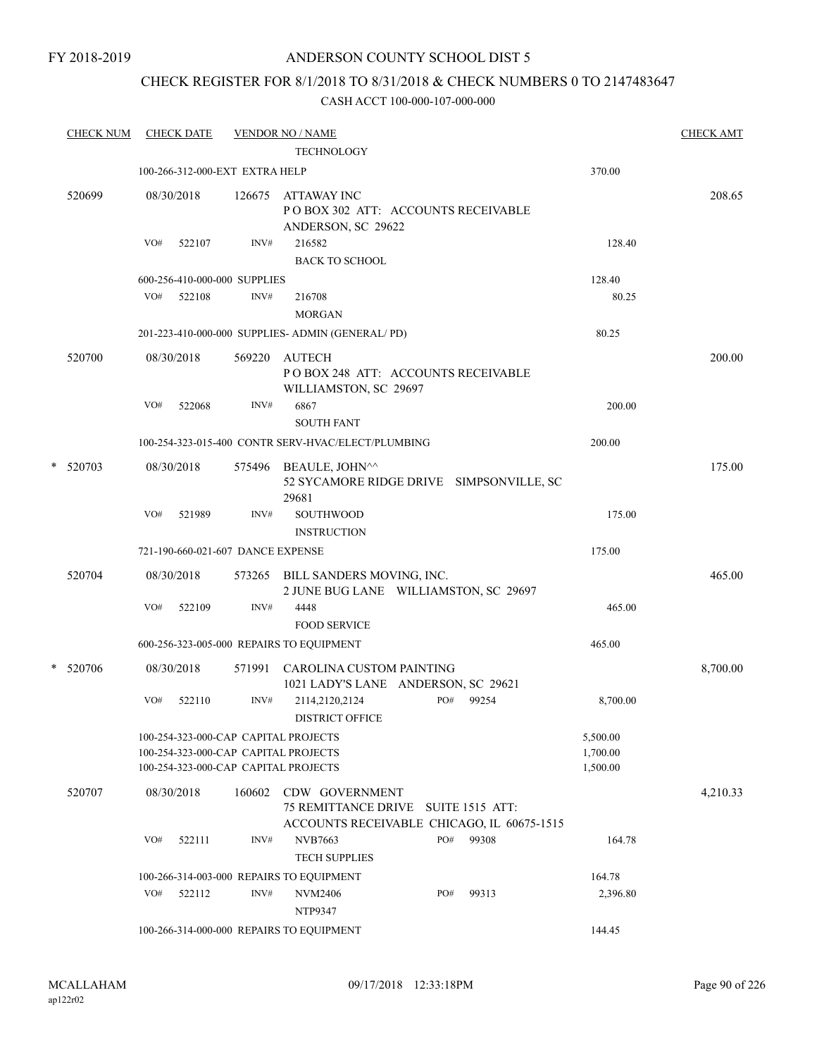### FY 2018-2019

# ANDERSON COUNTY SCHOOL DIST 5

# CHECK REGISTER FOR 8/1/2018 TO 8/31/2018 & CHECK NUMBERS 0 TO 2147483647

|   | <b>CHECK NUM</b> |     | <b>CHECK DATE</b>                 |        | <b>VENDOR NO / NAME</b><br><b>TECHNOLOGY</b>                                                                         |     |       |                                  | <b>CHECK AMT</b> |
|---|------------------|-----|-----------------------------------|--------|----------------------------------------------------------------------------------------------------------------------|-----|-------|----------------------------------|------------------|
|   |                  |     | 100-266-312-000-EXT EXTRA HELP    |        |                                                                                                                      |     |       | 370.00                           |                  |
|   | 520699           |     | 08/30/2018                        | 126675 | <b>ATTAWAY INC</b><br>PO BOX 302 ATT: ACCOUNTS RECEIVABLE<br>ANDERSON, SC 29622                                      |     |       |                                  | 208.65           |
|   |                  | VO# | 522107                            | INV#   | 216582<br><b>BACK TO SCHOOL</b>                                                                                      |     |       | 128.40                           |                  |
|   |                  |     | 600-256-410-000-000 SUPPLIES      |        |                                                                                                                      |     |       | 128.40                           |                  |
|   |                  | VO# | 522108                            | INV#   | 216708<br><b>MORGAN</b>                                                                                              |     |       | 80.25                            |                  |
|   |                  |     |                                   |        | 201-223-410-000-000 SUPPLIES- ADMIN (GENERAL/PD)                                                                     |     |       | 80.25                            |                  |
|   | 520700           |     | 08/30/2018                        | 569220 | <b>AUTECH</b><br>POBOX 248 ATT: ACCOUNTS RECEIVABLE<br>WILLIAMSTON, SC 29697                                         |     |       |                                  | 200.00           |
|   |                  | VO# | 522068                            | INV#   | 6867<br><b>SOUTH FANT</b>                                                                                            |     |       | 200.00                           |                  |
|   |                  |     |                                   |        | 100-254-323-015-400 CONTR SERV-HVAC/ELECT/PLUMBING                                                                   |     |       | 200.00                           |                  |
| * | 520703           |     | 08/30/2018                        |        | 575496 BEAULE, JOHN^^<br>52 SYCAMORE RIDGE DRIVE SIMPSONVILLE, SC<br>29681                                           |     |       |                                  | 175.00           |
|   |                  | VO# | 521989                            | INV#   | SOUTHWOOD<br><b>INSTRUCTION</b>                                                                                      |     |       | 175.00                           |                  |
|   |                  |     | 721-190-660-021-607 DANCE EXPENSE |        |                                                                                                                      |     |       | 175.00                           |                  |
|   | 520704           |     | 08/30/2018                        |        | 573265 BILL SANDERS MOVING, INC.<br>2 JUNE BUG LANE WILLIAMSTON, SC 29697                                            |     |       |                                  | 465.00           |
|   |                  | VO# | 522109                            | INV#   | 4448<br><b>FOOD SERVICE</b>                                                                                          |     |       | 465.00                           |                  |
|   |                  |     |                                   |        | 600-256-323-005-000 REPAIRS TO EQUIPMENT                                                                             |     |       | 465.00                           |                  |
|   | * 520706         |     | 08/30/2018                        |        | 571991 CAROLINA CUSTOM PAINTING<br>1021 LADY'S LANE ANDERSON, SC 29621                                               |     |       |                                  | 8,700.00         |
|   |                  | VO# | 522110                            | INV#   | 2114,2120,2124<br><b>DISTRICT OFFICE</b>                                                                             | PO# | 99254 | 8,700.00                         |                  |
|   |                  |     |                                   |        | 100-254-323-000-CAP CAPITAL PROJECTS<br>100-254-323-000-CAP CAPITAL PROJECTS<br>100-254-323-000-CAP CAPITAL PROJECTS |     |       | 5,500.00<br>1,700.00<br>1,500.00 |                  |
|   | 520707           |     | 08/30/2018                        | 160602 | CDW GOVERNMENT<br>75 REMITTANCE DRIVE SUITE 1515 ATT:<br>ACCOUNTS RECEIVABLE CHICAGO, IL 60675-1515                  |     |       |                                  | 4,210.33         |
|   |                  | VO# | 522111                            | INV#   | <b>NVB7663</b><br><b>TECH SUPPLIES</b>                                                                               | PO# | 99308 | 164.78                           |                  |
|   |                  |     |                                   |        | 100-266-314-003-000 REPAIRS TO EQUIPMENT                                                                             |     |       | 164.78                           |                  |
|   |                  | VO# | 522112                            | INV#   | NVM2406<br>NTP9347                                                                                                   | PO# | 99313 | 2,396.80                         |                  |
|   |                  |     |                                   |        | 100-266-314-000-000 REPAIRS TO EQUIPMENT                                                                             |     |       | 144.45                           |                  |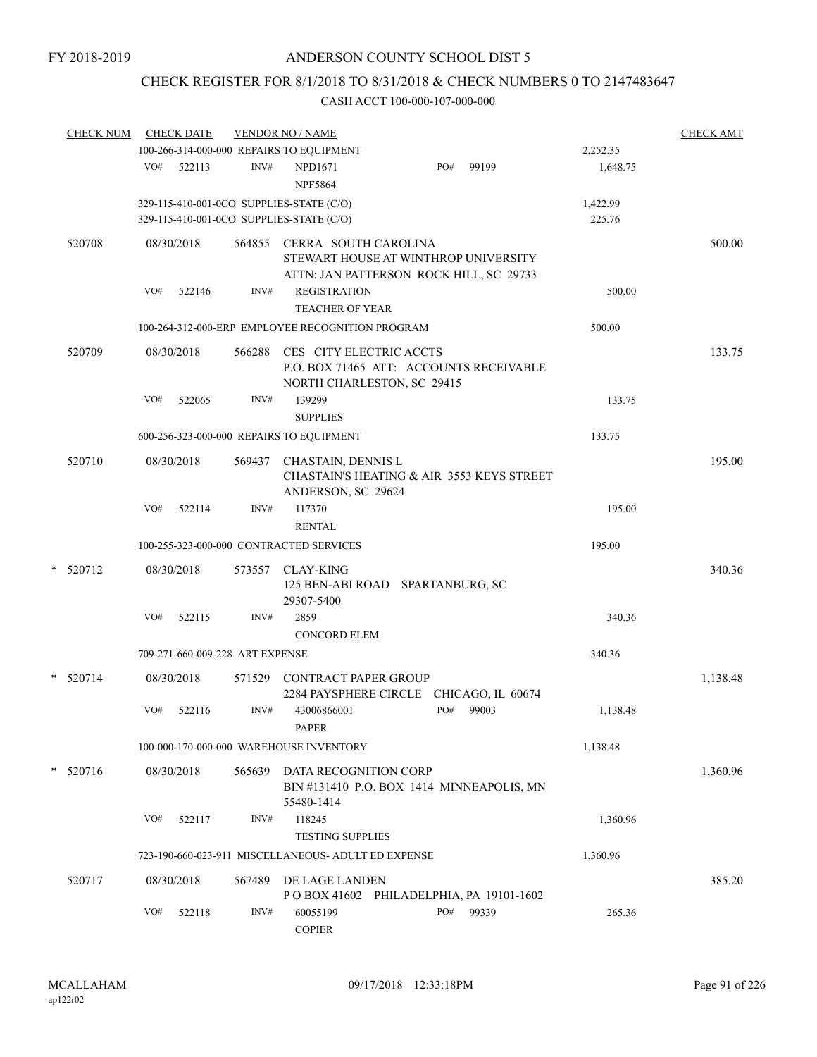# CHECK REGISTER FOR 8/1/2018 TO 8/31/2018 & CHECK NUMBERS 0 TO 2147483647

| <b>CHECK NUM</b> |     | <b>CHECK DATE</b> |                                 | <b>VENDOR NO / NAME</b>                                                              |                                                                                 |       |                    | <b>CHECK AMT</b> |
|------------------|-----|-------------------|---------------------------------|--------------------------------------------------------------------------------------|---------------------------------------------------------------------------------|-------|--------------------|------------------|
|                  |     |                   |                                 | 100-266-314-000-000 REPAIRS TO EQUIPMENT                                             |                                                                                 |       | 2,252.35           |                  |
|                  |     | VO# 522113        | INV#                            | NPD1671<br><b>NPF5864</b>                                                            | PO#                                                                             | 99199 | 1,648.75           |                  |
|                  |     |                   |                                 | 329-115-410-001-0CO SUPPLIES-STATE (C/O)<br>329-115-410-001-0CO SUPPLIES-STATE (C/O) |                                                                                 |       | 1,422.99<br>225.76 |                  |
| 520708           |     | 08/30/2018        |                                 | 564855 CERRA SOUTH CAROLINA                                                          | STEWART HOUSE AT WINTHROP UNIVERSITY<br>ATTN: JAN PATTERSON ROCK HILL, SC 29733 |       |                    | 500.00           |
|                  | VO# | 522146            | INV#                            | <b>REGISTRATION</b><br><b>TEACHER OF YEAR</b>                                        |                                                                                 |       | 500.00             |                  |
|                  |     |                   |                                 | 100-264-312-000-ERP EMPLOYEE RECOGNITION PROGRAM                                     |                                                                                 |       | 500.00             |                  |
| 520709           |     | 08/30/2018        | 566288                          | CES CITY ELECTRIC ACCTS<br>NORTH CHARLESTON, SC 29415                                | P.O. BOX 71465 ATT: ACCOUNTS RECEIVABLE                                         |       |                    | 133.75           |
|                  | VO# | 522065            | INV#                            | 139299<br><b>SUPPLIES</b>                                                            |                                                                                 |       | 133.75             |                  |
|                  |     |                   |                                 | 600-256-323-000-000 REPAIRS TO EQUIPMENT                                             |                                                                                 |       | 133.75             |                  |
| 520710           |     | 08/30/2018        | 569437                          | CHASTAIN, DENNIS L<br>ANDERSON, SC 29624                                             | CHASTAIN'S HEATING & AIR 3553 KEYS STREET                                       |       |                    | 195.00           |
|                  | VO# | 522114            | INV#                            | 117370<br><b>RENTAL</b>                                                              |                                                                                 |       | 195.00             |                  |
|                  |     |                   |                                 | 100-255-323-000-000 CONTRACTED SERVICES                                              |                                                                                 |       | 195.00             |                  |
| * 520712         |     | 08/30/2018        | 573557                          | <b>CLAY-KING</b><br>29307-5400                                                       | 125 BEN-ABI ROAD SPARTANBURG, SC                                                |       |                    | 340.36           |
|                  | VO# | 522115            | INV#                            | 2859<br><b>CONCORD ELEM</b>                                                          |                                                                                 |       | 340.36             |                  |
|                  |     |                   | 709-271-660-009-228 ART EXPENSE |                                                                                      |                                                                                 |       | 340.36             |                  |
| $*$ 520714       |     | 08/30/2018        | 571529                          | CONTRACT PAPER GROUP                                                                 | 2284 PAYSPHERE CIRCLE CHICAGO, IL 60674                                         |       |                    | 1,138.48         |
|                  | VO# | 522116            | INV#                            | 43006866001<br>PAPER                                                                 | PO#                                                                             | 99003 | 1,138.48           |                  |
|                  |     |                   |                                 | 100-000-170-000-000 WAREHOUSE INVENTORY                                              |                                                                                 |       | 1,138.48           |                  |
| $*$ 520716       |     | 08/30/2018        | 565639                          | DATA RECOGNITION CORP                                                                | BIN #131410 P.O. BOX 1414 MINNEAPOLIS, MN                                       |       |                    | 1,360.96         |
|                  | VO# | 522117            | INV#                            | 55480-1414<br>118245<br><b>TESTING SUPPLIES</b>                                      |                                                                                 |       | 1,360.96           |                  |
|                  |     |                   |                                 | 723-190-660-023-911 MISCELLANEOUS- ADULT ED EXPENSE                                  |                                                                                 |       | 1,360.96           |                  |
| 520717           |     | 08/30/2018        | 567489                          | DE LAGE LANDEN                                                                       | POBOX 41602 PHILADELPHIA, PA 19101-1602                                         |       |                    | 385.20           |
|                  | VO# | 522118            | INV#                            | 60055199<br><b>COPIER</b>                                                            | PO#                                                                             | 99339 | 265.36             |                  |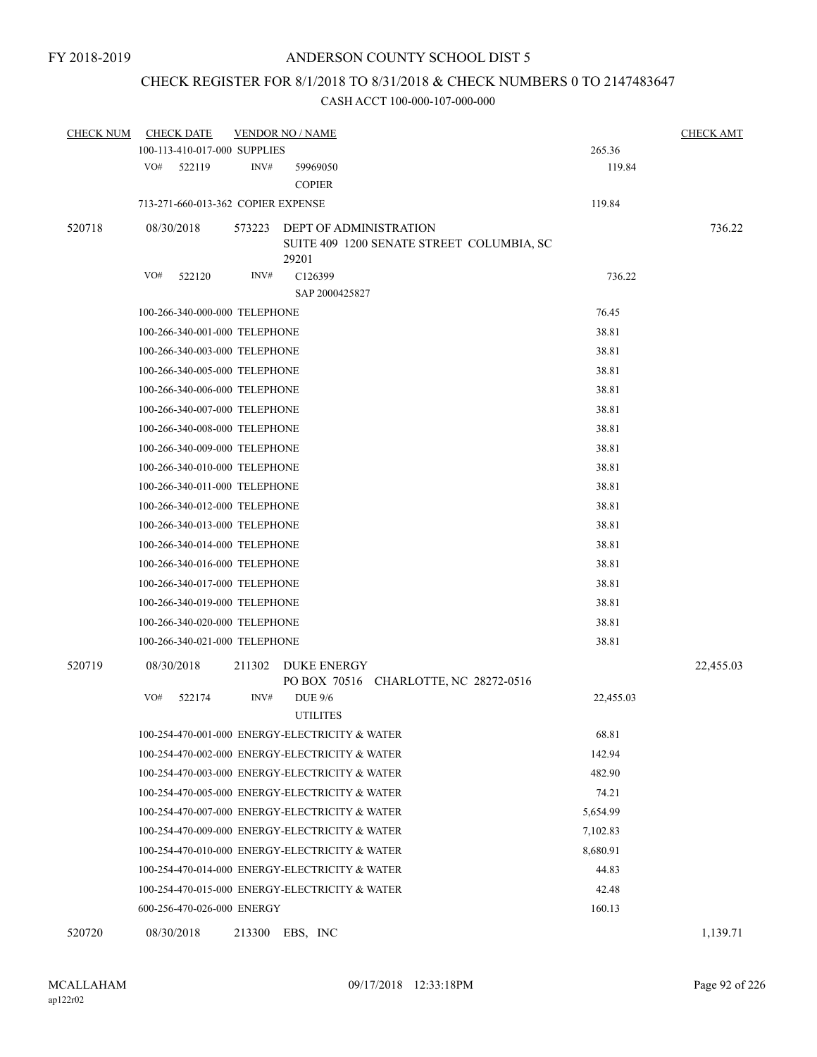# CHECK REGISTER FOR 8/1/2018 TO 8/31/2018 & CHECK NUMBERS 0 TO 2147483647

| <b>CHECK NUM</b> | <b>CHECK DATE</b>                  |        | <b>VENDOR NO / NAME</b>                                                      |           | <b>CHECK AMT</b> |
|------------------|------------------------------------|--------|------------------------------------------------------------------------------|-----------|------------------|
|                  | 100-113-410-017-000 SUPPLIES       |        |                                                                              | 265.36    |                  |
|                  | VO#<br>522119                      | INV#   | 59969050<br><b>COPIER</b>                                                    | 119.84    |                  |
|                  | 713-271-660-013-362 COPIER EXPENSE |        |                                                                              | 119.84    |                  |
| 520718           | 08/30/2018                         | 573223 | DEPT OF ADMINISTRATION<br>SUITE 409 1200 SENATE STREET COLUMBIA, SC<br>29201 |           | 736.22           |
|                  | VO#<br>522120                      | INV#   | C <sub>126399</sub>                                                          | 736.22    |                  |
|                  |                                    |        | SAP 2000425827                                                               |           |                  |
|                  | 100-266-340-000-000 TELEPHONE      |        |                                                                              | 76.45     |                  |
|                  | 100-266-340-001-000 TELEPHONE      |        |                                                                              | 38.81     |                  |
|                  | 100-266-340-003-000 TELEPHONE      |        |                                                                              | 38.81     |                  |
|                  | 100-266-340-005-000 TELEPHONE      |        |                                                                              | 38.81     |                  |
|                  | 100-266-340-006-000 TELEPHONE      |        |                                                                              | 38.81     |                  |
|                  | 100-266-340-007-000 TELEPHONE      |        |                                                                              | 38.81     |                  |
|                  | 100-266-340-008-000 TELEPHONE      |        |                                                                              | 38.81     |                  |
|                  | 100-266-340-009-000 TELEPHONE      |        |                                                                              | 38.81     |                  |
|                  | 100-266-340-010-000 TELEPHONE      |        |                                                                              | 38.81     |                  |
|                  | 100-266-340-011-000 TELEPHONE      |        |                                                                              | 38.81     |                  |
|                  | 100-266-340-012-000 TELEPHONE      |        |                                                                              | 38.81     |                  |
|                  | 100-266-340-013-000 TELEPHONE      |        |                                                                              | 38.81     |                  |
|                  | 100-266-340-014-000 TELEPHONE      |        |                                                                              | 38.81     |                  |
|                  | 100-266-340-016-000 TELEPHONE      |        |                                                                              | 38.81     |                  |
|                  | 100-266-340-017-000 TELEPHONE      |        |                                                                              | 38.81     |                  |
|                  | 100-266-340-019-000 TELEPHONE      |        |                                                                              | 38.81     |                  |
|                  | 100-266-340-020-000 TELEPHONE      |        |                                                                              | 38.81     |                  |
|                  | 100-266-340-021-000 TELEPHONE      |        |                                                                              | 38.81     |                  |
| 520719           | 08/30/2018                         | 211302 | <b>DUKE ENERGY</b><br>PO BOX 70516 CHARLOTTE, NC 28272-0516                  |           | 22,455.03        |
|                  | VO#<br>522174                      | INV#   | <b>DUE 9/6</b><br><b>UTILITES</b>                                            | 22,455.03 |                  |
|                  |                                    |        | 100-254-470-001-000 ENERGY-ELECTRICITY & WATER                               | 68.81     |                  |
|                  |                                    |        | 100-254-470-002-000 ENERGY-ELECTRICITY & WATER                               | 142.94    |                  |
|                  |                                    |        | 100-254-470-003-000 ENERGY-ELECTRICITY & WATER                               | 482.90    |                  |
|                  |                                    |        | 100-254-470-005-000 ENERGY-ELECTRICITY & WATER                               | 74.21     |                  |
|                  |                                    |        | 100-254-470-007-000 ENERGY-ELECTRICITY & WATER                               | 5,654.99  |                  |
|                  |                                    |        | 100-254-470-009-000 ENERGY-ELECTRICITY & WATER                               | 7,102.83  |                  |
|                  |                                    |        | 100-254-470-010-000 ENERGY-ELECTRICITY & WATER                               | 8,680.91  |                  |
|                  |                                    |        | 100-254-470-014-000 ENERGY-ELECTRICITY & WATER                               | 44.83     |                  |
|                  |                                    |        | 100-254-470-015-000 ENERGY-ELECTRICITY & WATER                               | 42.48     |                  |
|                  | 600-256-470-026-000 ENERGY         |        |                                                                              | 160.13    |                  |
| 520720           | 08/30/2018                         | 213300 | EBS, INC                                                                     |           | 1,139.71         |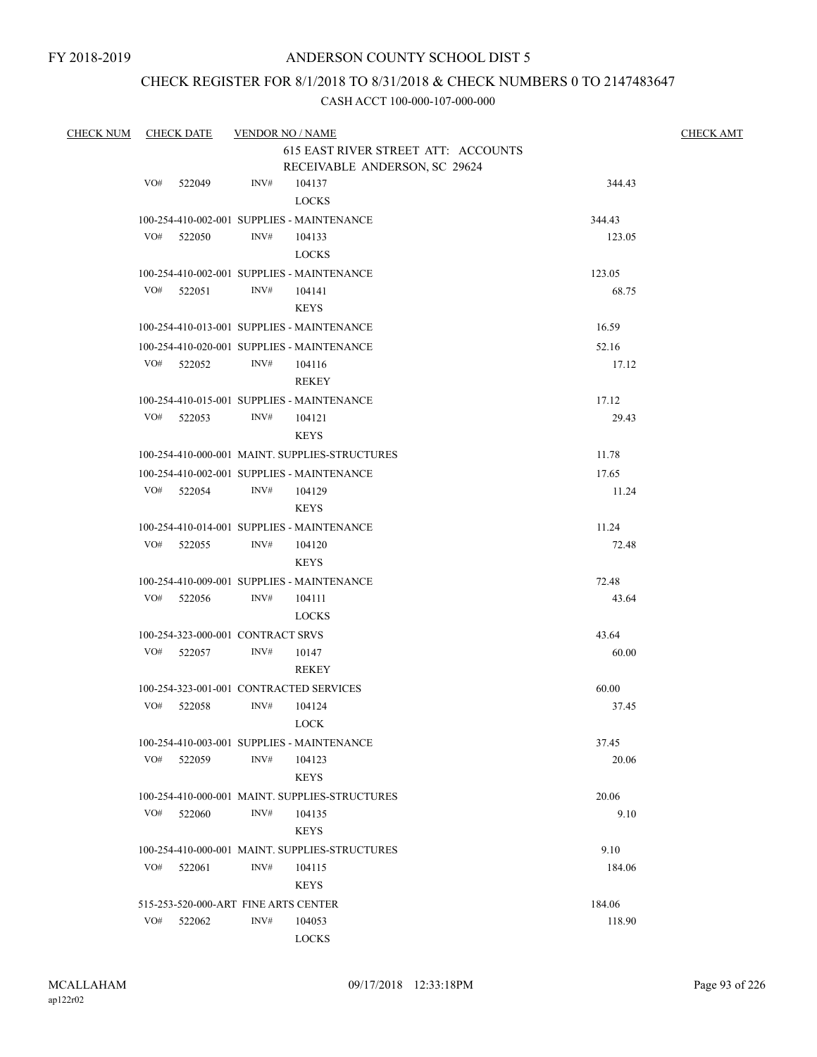# CHECK REGISTER FOR 8/1/2018 TO 8/31/2018 & CHECK NUMBERS 0 TO 2147483647

| <b>CHECK NUM</b> |     | <b>CHECK DATE</b>                    | <b>VENDOR NO / NAME</b> |                                                                      |               | <b>CHECK AMT</b> |
|------------------|-----|--------------------------------------|-------------------------|----------------------------------------------------------------------|---------------|------------------|
|                  |     |                                      |                         | 615 EAST RIVER STREET ATT: ACCOUNTS<br>RECEIVABLE ANDERSON, SC 29624 |               |                  |
|                  | VO# | 522049                               | INV#                    | 104137<br><b>LOCKS</b>                                               | 344.43        |                  |
|                  |     |                                      |                         | 100-254-410-002-001 SUPPLIES - MAINTENANCE                           | 344.43        |                  |
|                  | VO# | 522050                               | INV#                    | 104133                                                               | 123.05        |                  |
|                  |     |                                      |                         | <b>LOCKS</b>                                                         |               |                  |
|                  |     |                                      |                         | 100-254-410-002-001 SUPPLIES - MAINTENANCE                           | 123.05        |                  |
|                  |     | VO# 522051                           | INV#                    | 104141                                                               | 68.75         |                  |
|                  |     |                                      |                         | <b>KEYS</b>                                                          |               |                  |
|                  |     |                                      |                         | 100-254-410-013-001 SUPPLIES - MAINTENANCE                           | 16.59         |                  |
|                  |     |                                      |                         | 100-254-410-020-001 SUPPLIES - MAINTENANCE                           | 52.16         |                  |
|                  | VO# | 522052                               | INV#                    | 104116                                                               | 17.12         |                  |
|                  |     |                                      |                         | <b>REKEY</b>                                                         |               |                  |
|                  |     |                                      |                         | 100-254-410-015-001 SUPPLIES - MAINTENANCE                           | 17.12         |                  |
|                  |     | VO# 522053                           | INV#                    | 104121                                                               | 29.43         |                  |
|                  |     |                                      |                         | <b>KEYS</b>                                                          |               |                  |
|                  |     |                                      |                         | 100-254-410-000-001 MAINT. SUPPLIES-STRUCTURES                       | 11.78         |                  |
|                  |     |                                      |                         | 100-254-410-002-001 SUPPLIES - MAINTENANCE                           | 17.65         |                  |
|                  |     | VO# 522054                           | INV#                    | 104129                                                               | 11.24         |                  |
|                  |     |                                      |                         | <b>KEYS</b>                                                          |               |                  |
|                  |     |                                      |                         | 100-254-410-014-001 SUPPLIES - MAINTENANCE                           | 11.24         |                  |
|                  | VO# | 522055                               | INV#                    | 104120                                                               | 72.48         |                  |
|                  |     |                                      |                         | <b>KEYS</b>                                                          |               |                  |
|                  |     |                                      |                         | 100-254-410-009-001 SUPPLIES - MAINTENANCE                           | 72.48         |                  |
|                  | VO# | 522056                               | INV#                    | 104111                                                               | 43.64         |                  |
|                  |     |                                      |                         | <b>LOCKS</b>                                                         |               |                  |
|                  |     | 100-254-323-000-001 CONTRACT SRVS    |                         |                                                                      | 43.64         |                  |
|                  | VO# | 522057                               | INV#                    | 10147                                                                | 60.00         |                  |
|                  |     |                                      |                         | REKEY                                                                |               |                  |
|                  |     |                                      |                         | 100-254-323-001-001 CONTRACTED SERVICES                              | 60.00         |                  |
|                  | VO# | 522058                               | INV#                    | 104124                                                               | 37.45         |                  |
|                  |     |                                      |                         | LOCK                                                                 |               |                  |
|                  |     |                                      |                         | 100-254-410-003-001 SUPPLIES - MAINTENANCE                           | 37.45         |                  |
|                  | VO# | 522059                               | INV#                    | 104123                                                               | 20.06         |                  |
|                  |     |                                      |                         | <b>KEYS</b>                                                          |               |                  |
|                  |     | VO# 522060                           | INV#                    | 100-254-410-000-001 MAINT. SUPPLIES-STRUCTURES<br>104135             | 20.06<br>9.10 |                  |
|                  |     |                                      |                         | <b>KEYS</b>                                                          |               |                  |
|                  |     |                                      |                         | 100-254-410-000-001 MAINT. SUPPLIES-STRUCTURES                       | 9.10          |                  |
|                  | VO# | 522061                               | INV#                    | 104115                                                               | 184.06        |                  |
|                  |     |                                      |                         | <b>KEYS</b>                                                          |               |                  |
|                  |     | 515-253-520-000-ART FINE ARTS CENTER |                         |                                                                      | 184.06        |                  |
|                  | VO# | 522062                               | INV#                    | 104053                                                               | 118.90        |                  |
|                  |     |                                      |                         | <b>LOCKS</b>                                                         |               |                  |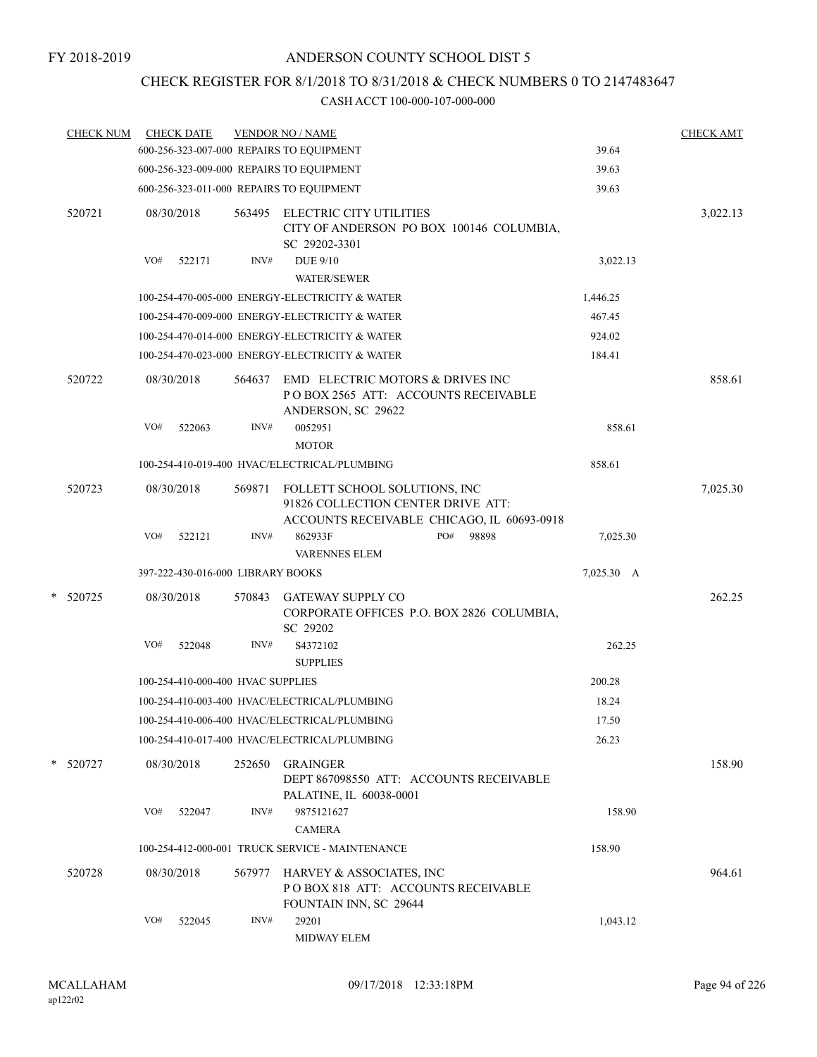# CHECK REGISTER FOR 8/1/2018 TO 8/31/2018 & CHECK NUMBERS 0 TO 2147483647

| <b>CHECK NUM</b> |     | <b>CHECK DATE</b>                 |        | <b>VENDOR NO / NAME</b>                                                                       |                                            |            | <b>CHECK AMT</b> |
|------------------|-----|-----------------------------------|--------|-----------------------------------------------------------------------------------------------|--------------------------------------------|------------|------------------|
|                  |     |                                   |        | 600-256-323-007-000 REPAIRS TO EQUIPMENT                                                      |                                            | 39.64      |                  |
|                  |     |                                   |        | 600-256-323-009-000 REPAIRS TO EQUIPMENT                                                      |                                            | 39.63      |                  |
|                  |     |                                   |        | 600-256-323-011-000 REPAIRS TO EQUIPMENT                                                      |                                            | 39.63      |                  |
| 520721           |     | 08/30/2018                        | 563495 | ELECTRIC CITY UTILITIES<br>SC 29202-3301                                                      | CITY OF ANDERSON PO BOX 100146 COLUMBIA,   |            | 3,022.13         |
|                  | VO# | 522171                            | INV#   | <b>DUE 9/10</b><br><b>WATER/SEWER</b>                                                         |                                            | 3,022.13   |                  |
|                  |     |                                   |        | 100-254-470-005-000 ENERGY-ELECTRICITY & WATER                                                |                                            | 1,446.25   |                  |
|                  |     |                                   |        | 100-254-470-009-000 ENERGY-ELECTRICITY & WATER                                                |                                            | 467.45     |                  |
|                  |     |                                   |        | 100-254-470-014-000 ENERGY-ELECTRICITY & WATER                                                |                                            | 924.02     |                  |
|                  |     |                                   |        | 100-254-470-023-000 ENERGY-ELECTRICITY & WATER                                                |                                            | 184.41     |                  |
| 520722           |     | 08/30/2018                        | 564637 | EMD ELECTRIC MOTORS & DRIVES INC<br>POBOX 2565 ATT: ACCOUNTS RECEIVABLE<br>ANDERSON, SC 29622 |                                            |            | 858.61           |
|                  | VO# | 522063                            | INV#   | 0052951                                                                                       |                                            | 858.61     |                  |
|                  |     |                                   |        | <b>MOTOR</b>                                                                                  |                                            |            |                  |
|                  |     |                                   |        | 100-254-410-019-400 HVAC/ELECTRICAL/PLUMBING                                                  |                                            | 858.61     |                  |
| 520723           |     | 08/30/2018                        | 569871 | FOLLETT SCHOOL SOLUTIONS, INC<br>91826 COLLECTION CENTER DRIVE ATT:                           | ACCOUNTS RECEIVABLE CHICAGO, IL 60693-0918 |            | 7,025.30         |
|                  | VO# | 522121                            | INV#   | 862933F<br><b>VARENNES ELEM</b>                                                               | PO#<br>98898                               | 7,025.30   |                  |
|                  |     | 397-222-430-016-000 LIBRARY BOOKS |        |                                                                                               |                                            | 7,025.30 A |                  |
| * 520725         |     | 08/30/2018                        | 570843 | <b>GATEWAY SUPPLY CO</b><br>SC 29202                                                          | CORPORATE OFFICES P.O. BOX 2826 COLUMBIA,  |            | 262.25           |
|                  | VO# | 522048                            | INV#   | S4372102<br><b>SUPPLIES</b>                                                                   |                                            | 262.25     |                  |
|                  |     | 100-254-410-000-400 HVAC SUPPLIES |        |                                                                                               |                                            | 200.28     |                  |
|                  |     |                                   |        | 100-254-410-003-400 HVAC/ELECTRICAL/PLUMBING                                                  |                                            | 18.24      |                  |
|                  |     |                                   |        | 100-254-410-006-400 HVAC/ELECTRICAL/PLUMBING                                                  |                                            | 17.50      |                  |
|                  |     |                                   |        | 100-254-410-017-400 HVAC/ELECTRICAL/PLUMBING                                                  |                                            | 26.23      |                  |
| * 520727         |     | 08/30/2018                        | 252650 | GRAINGER<br>DEPT 867098550 ATT: ACCOUNTS RECEIVABLE<br>PALATINE, IL 60038-0001                |                                            |            | 158.90           |
|                  | VO# | 522047                            | INV#   | 9875121627<br><b>CAMERA</b>                                                                   |                                            | 158.90     |                  |
|                  |     |                                   |        | 100-254-412-000-001 TRUCK SERVICE - MAINTENANCE                                               |                                            | 158.90     |                  |
| 520728           |     | 08/30/2018                        | 567977 | HARVEY & ASSOCIATES, INC<br>PO BOX 818 ATT: ACCOUNTS RECEIVABLE<br>FOUNTAIN INN, SC 29644     |                                            |            | 964.61           |
|                  | VO# | 522045                            | INV#   | 29201<br>MIDWAY ELEM                                                                          |                                            | 1,043.12   |                  |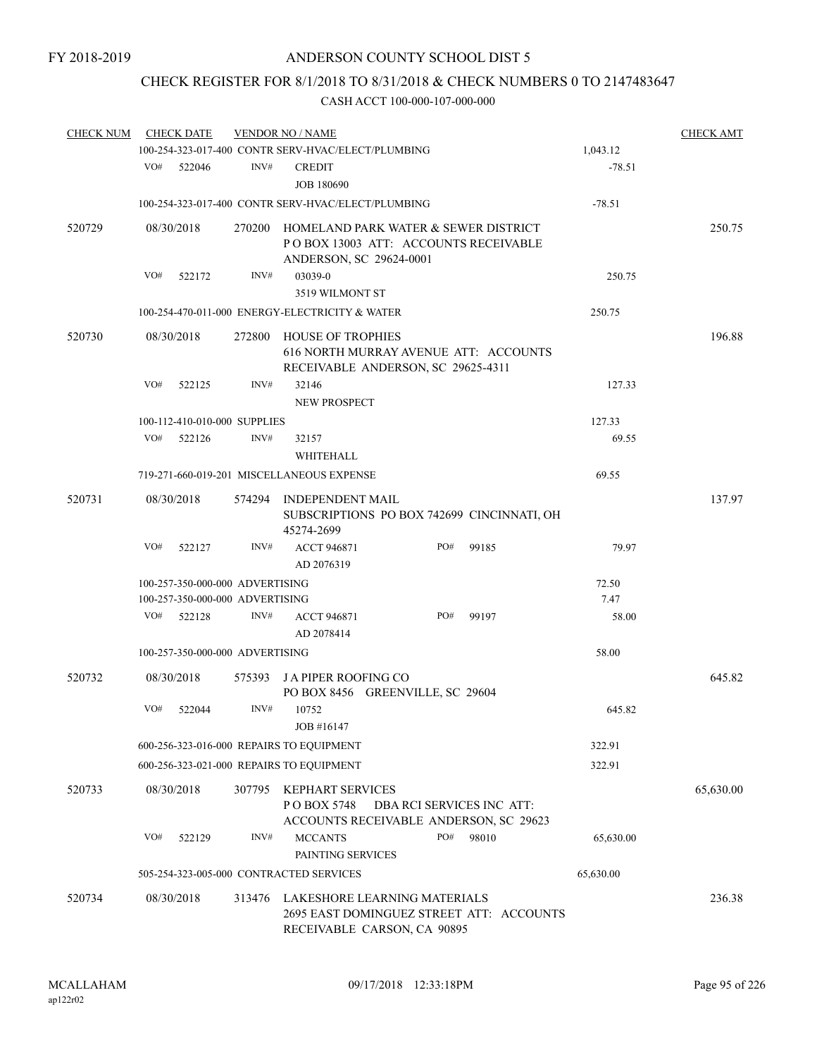# CHECK REGISTER FOR 8/1/2018 TO 8/31/2018 & CHECK NUMBERS 0 TO 2147483647

| <b>CHECK NUM</b> |     | <b>CHECK DATE</b>                                                  |        | <b>VENDOR NO / NAME</b>                                                                                  |               | <b>CHECK AMT</b> |
|------------------|-----|--------------------------------------------------------------------|--------|----------------------------------------------------------------------------------------------------------|---------------|------------------|
|                  |     |                                                                    |        | 100-254-323-017-400 CONTR SERV-HVAC/ELECT/PLUMBING                                                       | 1,043.12      |                  |
|                  | VO# | 522046                                                             | INV#   | <b>CREDIT</b><br><b>JOB 180690</b>                                                                       | $-78.51$      |                  |
|                  |     |                                                                    |        | 100-254-323-017-400 CONTR SERV-HVAC/ELECT/PLUMBING                                                       | $-78.51$      |                  |
| 520729           |     | 08/30/2018                                                         | 270200 | HOMELAND PARK WATER & SEWER DISTRICT<br>PO BOX 13003 ATT: ACCOUNTS RECEIVABLE<br>ANDERSON, SC 29624-0001 |               | 250.75           |
|                  | VO# | 522172                                                             | INV#   | 03039-0<br>3519 WILMONT ST                                                                               | 250.75        |                  |
|                  |     |                                                                    |        | 100-254-470-011-000 ENERGY-ELECTRICITY & WATER                                                           | 250.75        |                  |
| 520730           |     | 08/30/2018                                                         | 272800 | HOUSE OF TROPHIES<br>616 NORTH MURRAY AVENUE ATT: ACCOUNTS<br>RECEIVABLE ANDERSON, SC 29625-4311         |               | 196.88           |
|                  | VO# | 522125                                                             | INV#   | 32146<br><b>NEW PROSPECT</b>                                                                             | 127.33        |                  |
|                  |     | 100-112-410-010-000 SUPPLIES                                       |        |                                                                                                          | 127.33        |                  |
|                  | VO# | 522126                                                             | INV#   | 32157<br>WHITEHALL                                                                                       | 69.55         |                  |
|                  |     |                                                                    |        | 719-271-660-019-201 MISCELLANEOUS EXPENSE                                                                | 69.55         |                  |
| 520731           |     | 08/30/2018                                                         |        | 574294 INDEPENDENT MAIL<br>SUBSCRIPTIONS PO BOX 742699 CINCINNATI, OH<br>45274-2699                      |               | 137.97           |
|                  | VO# | 522127                                                             | INV#   | <b>ACCT 946871</b><br>PO#<br>99185<br>AD 2076319                                                         | 79.97         |                  |
|                  |     | 100-257-350-000-000 ADVERTISING<br>100-257-350-000-000 ADVERTISING |        |                                                                                                          | 72.50<br>7.47 |                  |
|                  | VO# | 522128                                                             | INV#   | <b>ACCT 946871</b><br>PO#<br>99197<br>AD 2078414                                                         | 58.00         |                  |
|                  |     | 100-257-350-000-000 ADVERTISING                                    |        |                                                                                                          | 58.00         |                  |
| 520732           |     | 08/30/2018                                                         | 575393 | <b>JA PIPER ROOFING CO</b><br>PO BOX 8456 GREENVILLE, SC 29604                                           |               | 645.82           |
|                  | VO# | 522044                                                             | INV#   | 10752<br>JOB #16147                                                                                      | 645.82        |                  |
|                  |     |                                                                    |        | 600-256-323-016-000 REPAIRS TO EQUIPMENT                                                                 | 322.91        |                  |
|                  |     |                                                                    |        | 600-256-323-021-000 REPAIRS TO EQUIPMENT                                                                 | 322.91        |                  |
| 520733           |     | 08/30/2018                                                         | 307795 | KEPHART SERVICES<br>PO BOX 5748<br>DBA RCI SERVICES INC ATT:<br>ACCOUNTS RECEIVABLE ANDERSON, SC 29623   |               | 65,630.00        |
|                  | VO# | 522129                                                             | INV#   | PO#<br>98010<br><b>MCCANTS</b><br>PAINTING SERVICES                                                      | 65,630.00     |                  |
|                  |     |                                                                    |        | 505-254-323-005-000 CONTRACTED SERVICES                                                                  | 65,630.00     |                  |
| 520734           |     | 08/30/2018                                                         | 313476 | LAKESHORE LEARNING MATERIALS<br>2695 EAST DOMINGUEZ STREET ATT: ACCOUNTS<br>RECEIVABLE CARSON, CA 90895  |               | 236.38           |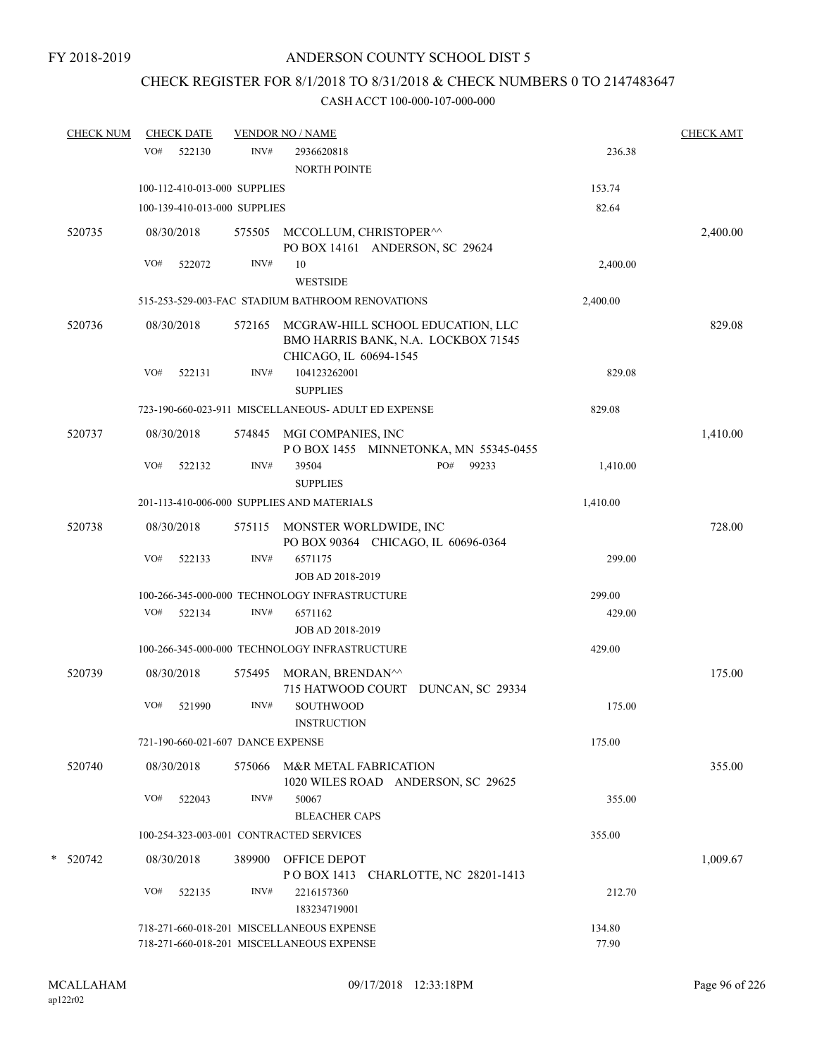# CHECK REGISTER FOR 8/1/2018 TO 8/31/2018 & CHECK NUMBERS 0 TO 2147483647

| <b>CHECK NUM</b> |     | <b>CHECK DATE</b>                 |        | <b>VENDOR NO / NAME</b>                                                                            |                 | <b>CHECK AMT</b> |
|------------------|-----|-----------------------------------|--------|----------------------------------------------------------------------------------------------------|-----------------|------------------|
|                  | VO# | 522130                            | INV#   | 2936620818<br><b>NORTH POINTE</b>                                                                  | 236.38          |                  |
|                  |     | 100-112-410-013-000 SUPPLIES      |        |                                                                                                    | 153.74          |                  |
|                  |     | 100-139-410-013-000 SUPPLIES      |        |                                                                                                    | 82.64           |                  |
| 520735           |     | 08/30/2018                        | 575505 | MCCOLLUM, CHRISTOPER <sup>^^</sup><br>PO BOX 14161 ANDERSON, SC 29624                              |                 | 2,400.00         |
|                  | VO# | 522072                            | INV#   | 10<br><b>WESTSIDE</b>                                                                              | 2,400.00        |                  |
|                  |     |                                   |        | 515-253-529-003-FAC STADIUM BATHROOM RENOVATIONS                                                   | 2,400.00        |                  |
| 520736           |     | 08/30/2018                        | 572165 | MCGRAW-HILL SCHOOL EDUCATION, LLC<br>BMO HARRIS BANK, N.A. LOCKBOX 71545<br>CHICAGO, IL 60694-1545 |                 | 829.08           |
|                  | VO# | 522131                            | INV#   | 104123262001<br><b>SUPPLIES</b>                                                                    | 829.08          |                  |
|                  |     |                                   |        | 723-190-660-023-911 MISCELLANEOUS- ADULT ED EXPENSE                                                | 829.08          |                  |
| 520737           |     | 08/30/2018                        | 574845 | MGI COMPANIES, INC<br>POBOX 1455 MINNETONKA, MN 55345-0455                                         |                 | 1,410.00         |
|                  | VO# | 522132                            | INV#   | 39504<br>PO#<br>99233<br><b>SUPPLIES</b>                                                           | 1,410.00        |                  |
|                  |     |                                   |        | 201-113-410-006-000 SUPPLIES AND MATERIALS                                                         | 1,410.00        |                  |
| 520738           |     | 08/30/2018                        |        | 575115 MONSTER WORLDWIDE, INC<br>PO BOX 90364 CHICAGO, IL 60696-0364                               |                 | 728.00           |
|                  | VO# | 522133                            | INV#   | 6571175<br>JOB AD 2018-2019                                                                        | 299.00          |                  |
|                  |     |                                   |        | 100-266-345-000-000 TECHNOLOGY INFRASTRUCTURE                                                      | 299.00          |                  |
|                  | VO# | 522134                            | INV#   | 6571162<br>JOB AD 2018-2019                                                                        | 429.00          |                  |
|                  |     |                                   |        | 100-266-345-000-000 TECHNOLOGY INFRASTRUCTURE                                                      | 429.00          |                  |
| 520739           |     | 08/30/2018                        | 575495 | MORAN, BRENDAN^^<br>715 HATWOOD COURT DUNCAN, SC 29334                                             |                 | 175.00           |
|                  | VO# | 521990                            | INV#   | SOUTHWOOD<br><b>INSTRUCTION</b>                                                                    | 175.00          |                  |
|                  |     | 721-190-660-021-607 DANCE EXPENSE |        |                                                                                                    | 175.00          |                  |
| 520740           |     | 08/30/2018                        |        | 575066 M&R METAL FABRICATION<br>1020 WILES ROAD ANDERSON, SC 29625                                 |                 | 355.00           |
|                  | VO# | 522043                            | INV#   | 50067<br><b>BLEACHER CAPS</b>                                                                      | 355.00          |                  |
|                  |     |                                   |        | 100-254-323-003-001 CONTRACTED SERVICES                                                            | 355.00          |                  |
| * 520742         |     | 08/30/2018                        | 389900 | <b>OFFICE DEPOT</b><br>POBOX 1413 CHARLOTTE, NC 28201-1413                                         |                 | 1,009.67         |
|                  | VO# | 522135                            | INV#   | 2216157360<br>183234719001                                                                         | 212.70          |                  |
|                  |     |                                   |        | 718-271-660-018-201 MISCELLANEOUS EXPENSE<br>718-271-660-018-201 MISCELLANEOUS EXPENSE             | 134.80<br>77.90 |                  |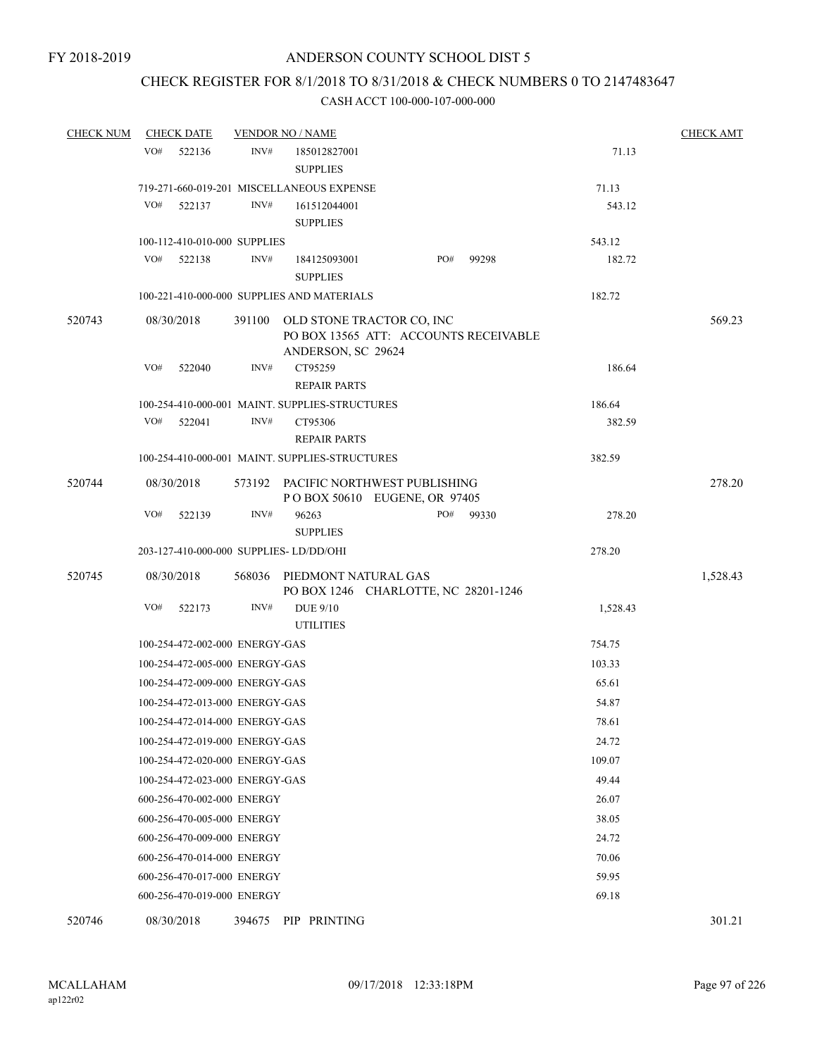# CHECK REGISTER FOR 8/1/2018 TO 8/31/2018 & CHECK NUMBERS 0 TO 2147483647

| <b>CHECK NUM</b> | <b>CHECK DATE</b> |                                |        | <b>VENDOR NO / NAME</b>                                                                  |     |       |          | <b>CHECK AMT</b> |
|------------------|-------------------|--------------------------------|--------|------------------------------------------------------------------------------------------|-----|-------|----------|------------------|
|                  | VO#               | 522136                         | INV#   | 185012827001                                                                             |     |       | 71.13    |                  |
|                  |                   |                                |        | <b>SUPPLIES</b>                                                                          |     |       |          |                  |
|                  |                   |                                |        | 719-271-660-019-201 MISCELLANEOUS EXPENSE                                                |     |       | 71.13    |                  |
|                  | VO#               | 522137                         | INV#   | 161512044001                                                                             |     |       | 543.12   |                  |
|                  |                   |                                |        | <b>SUPPLIES</b>                                                                          |     |       |          |                  |
|                  |                   | 100-112-410-010-000 SUPPLIES   |        |                                                                                          |     |       | 543.12   |                  |
|                  | VO#               | 522138                         | INV#   | 184125093001                                                                             | PO# | 99298 | 182.72   |                  |
|                  |                   |                                |        | <b>SUPPLIES</b>                                                                          |     |       |          |                  |
|                  |                   |                                |        | 100-221-410-000-000 SUPPLIES AND MATERIALS                                               |     |       | 182.72   |                  |
| 520743           | 08/30/2018        |                                | 391100 | OLD STONE TRACTOR CO, INC<br>PO BOX 13565 ATT: ACCOUNTS RECEIVABLE<br>ANDERSON, SC 29624 |     |       |          | 569.23           |
|                  | VO#               | 522040                         | INV#   | CT95259<br><b>REPAIR PARTS</b>                                                           |     |       | 186.64   |                  |
|                  |                   |                                |        | 100-254-410-000-001 MAINT. SUPPLIES-STRUCTURES                                           |     |       | 186.64   |                  |
|                  | VO#               | 522041                         | INV#   | CT95306                                                                                  |     |       | 382.59   |                  |
|                  |                   |                                |        | <b>REPAIR PARTS</b>                                                                      |     |       |          |                  |
|                  |                   |                                |        | 100-254-410-000-001 MAINT. SUPPLIES-STRUCTURES                                           |     |       | 382.59   |                  |
| 520744           | 08/30/2018        |                                |        | 573192 PACIFIC NORTHWEST PUBLISHING<br>PO BOX 50610 EUGENE, OR 97405                     |     |       |          | 278.20           |
|                  | VO#               | 522139                         | INV#   | 96263<br><b>SUPPLIES</b>                                                                 | PO# | 99330 | 278.20   |                  |
|                  |                   |                                |        | 203-127-410-000-000 SUPPLIES-LD/DD/OHI                                                   |     |       | 278.20   |                  |
| 520745           | 08/30/2018        |                                | 568036 | PIEDMONT NATURAL GAS<br>PO BOX 1246 CHARLOTTE, NC 28201-1246                             |     |       |          | 1,528.43         |
|                  | VO#               | 522173                         | INV#   | DUE 9/10<br><b>UTILITIES</b>                                                             |     |       | 1,528.43 |                  |
|                  |                   | 100-254-472-002-000 ENERGY-GAS |        |                                                                                          |     |       | 754.75   |                  |
|                  |                   | 100-254-472-005-000 ENERGY-GAS |        |                                                                                          |     |       | 103.33   |                  |
|                  |                   | 100-254-472-009-000 ENERGY-GAS |        |                                                                                          |     |       | 65.61    |                  |
|                  |                   | 100-254-472-013-000 ENERGY-GAS |        |                                                                                          |     |       | 54.87    |                  |
|                  |                   | 100-254-472-014-000 ENERGY-GAS |        |                                                                                          |     |       | 78.61    |                  |
|                  |                   | 100-254-472-019-000 ENERGY-GAS |        |                                                                                          |     |       | 24.72    |                  |
|                  |                   | 100-254-472-020-000 ENERGY-GAS |        |                                                                                          |     |       | 109.07   |                  |
|                  |                   | 100-254-472-023-000 ENERGY-GAS |        |                                                                                          |     |       | 49.44    |                  |
|                  |                   | 600-256-470-002-000 ENERGY     |        |                                                                                          |     |       | 26.07    |                  |
|                  |                   | 600-256-470-005-000 ENERGY     |        |                                                                                          |     |       | 38.05    |                  |
|                  |                   | 600-256-470-009-000 ENERGY     |        |                                                                                          |     |       | 24.72    |                  |
|                  |                   | 600-256-470-014-000 ENERGY     |        |                                                                                          |     |       | 70.06    |                  |
|                  |                   | 600-256-470-017-000 ENERGY     |        |                                                                                          |     |       | 59.95    |                  |
|                  |                   | 600-256-470-019-000 ENERGY     |        |                                                                                          |     |       | 69.18    |                  |
| 520746           | 08/30/2018        |                                |        | 394675 PIP PRINTING                                                                      |     |       |          | 301.21           |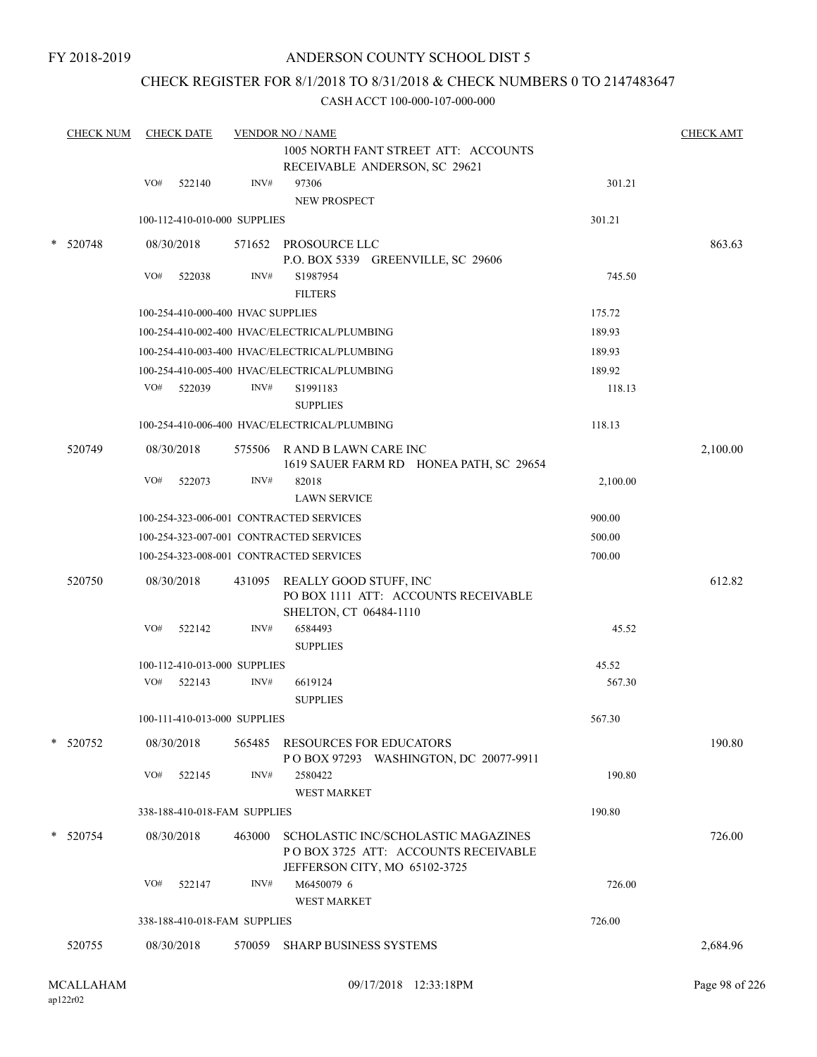# CHECK REGISTER FOR 8/1/2018 TO 8/31/2018 & CHECK NUMBERS 0 TO 2147483647

|        | <b>CHECK NUM</b> |     | <b>CHECK DATE</b>                 |        | <b>VENDOR NO / NAME</b>                                                                                      |          | <b>CHECK AMT</b> |
|--------|------------------|-----|-----------------------------------|--------|--------------------------------------------------------------------------------------------------------------|----------|------------------|
|        |                  |     |                                   |        | 1005 NORTH FANT STREET ATT: ACCOUNTS<br>RECEIVABLE ANDERSON, SC 29621                                        |          |                  |
|        |                  | VO# | 522140                            | INV#   | 97306<br>NEW PROSPECT                                                                                        | 301.21   |                  |
|        |                  |     | 100-112-410-010-000 SUPPLIES      |        |                                                                                                              | 301.21   |                  |
| $\ast$ | 520748           |     | 08/30/2018                        |        | 571652 PROSOURCE LLC<br>P.O. BOX 5339 GREENVILLE, SC 29606                                                   |          | 863.63           |
|        |                  | VO# | 522038                            | INV#   | S1987954<br><b>FILTERS</b>                                                                                   | 745.50   |                  |
|        |                  |     | 100-254-410-000-400 HVAC SUPPLIES |        |                                                                                                              | 175.72   |                  |
|        |                  |     |                                   |        | 100-254-410-002-400 HVAC/ELECTRICAL/PLUMBING                                                                 | 189.93   |                  |
|        |                  |     |                                   |        | 100-254-410-003-400 HVAC/ELECTRICAL/PLUMBING                                                                 | 189.93   |                  |
|        |                  |     |                                   |        | 100-254-410-005-400 HVAC/ELECTRICAL/PLUMBING                                                                 | 189.92   |                  |
|        |                  |     | VO# 522039                        | INV#   | S1991183<br><b>SUPPLIES</b>                                                                                  | 118.13   |                  |
|        |                  |     |                                   |        | 100-254-410-006-400 HVAC/ELECTRICAL/PLUMBING                                                                 | 118.13   |                  |
|        | 520749           |     | 08/30/2018                        |        | 575506 R AND B LAWN CARE INC<br>1619 SAUER FARM RD HONEA PATH, SC 29654                                      |          | 2,100.00         |
|        |                  | VO# | 522073                            | INV#   | 82018<br><b>LAWN SERVICE</b>                                                                                 | 2,100.00 |                  |
|        |                  |     |                                   |        | 100-254-323-006-001 CONTRACTED SERVICES                                                                      | 900.00   |                  |
|        |                  |     |                                   |        | 100-254-323-007-001 CONTRACTED SERVICES                                                                      | 500.00   |                  |
|        |                  |     |                                   |        | 100-254-323-008-001 CONTRACTED SERVICES                                                                      | 700.00   |                  |
|        | 520750           |     | 08/30/2018                        |        | 431095 REALLY GOOD STUFF, INC<br>PO BOX 1111 ATT: ACCOUNTS RECEIVABLE<br>SHELTON, CT 06484-1110              |          | 612.82           |
|        |                  | VO# | 522142                            | INV#   | 6584493<br><b>SUPPLIES</b>                                                                                   | 45.52    |                  |
|        |                  |     | 100-112-410-013-000 SUPPLIES      |        |                                                                                                              | 45.52    |                  |
|        |                  | VO# | 522143                            | INV#   | 6619124<br><b>SUPPLIES</b>                                                                                   | 567.30   |                  |
|        |                  |     | 100-111-410-013-000 SUPPLIES      |        |                                                                                                              | 567.30   |                  |
|        | * 520752         |     | 08/30/2018                        |        | 565485 RESOURCES FOR EDUCATORS<br>P O BOX 97293 WASHINGTON, DC 20077-9911                                    |          | 190.80           |
|        |                  | VO# | 522145                            | INV#   | 2580422<br><b>WEST MARKET</b>                                                                                | 190.80   |                  |
|        |                  |     | 338-188-410-018-FAM SUPPLIES      |        |                                                                                                              | 190.80   |                  |
|        | * 520754         |     | 08/30/2018                        | 463000 | SCHOLASTIC INC/SCHOLASTIC MAGAZINES<br>PO BOX 3725 ATT: ACCOUNTS RECEIVABLE<br>JEFFERSON CITY, MO 65102-3725 |          | 726.00           |
|        |                  | VO# | 522147                            | INV#   | M6450079 6<br><b>WEST MARKET</b>                                                                             | 726.00   |                  |
|        |                  |     | 338-188-410-018-FAM SUPPLIES      |        |                                                                                                              | 726.00   |                  |
|        | 520755           |     | 08/30/2018                        |        | 570059 SHARP BUSINESS SYSTEMS                                                                                |          | 2,684.96         |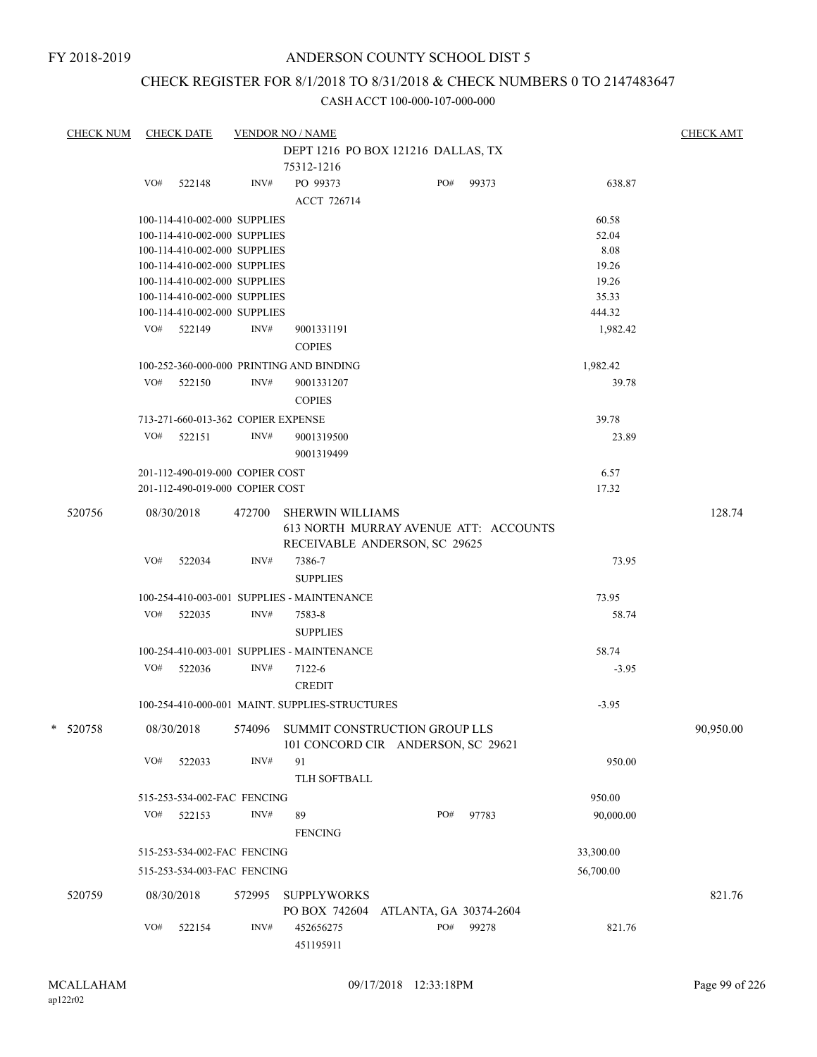# CHECK REGISTER FOR 8/1/2018 TO 8/31/2018 & CHECK NUMBERS 0 TO 2147483647

| <b>CHECK NUM</b> | CHECK DATE                         |        | <b>VENDOR NO / NAME</b>                        |                        |           |           | <b>CHECK AMT</b> |
|------------------|------------------------------------|--------|------------------------------------------------|------------------------|-----------|-----------|------------------|
|                  |                                    |        | DEPT 1216 PO BOX 121216 DALLAS, TX             |                        |           |           |                  |
|                  |                                    |        | 75312-1216                                     |                        |           |           |                  |
|                  | VO# 522148                         | INV#   | PO 99373                                       |                        | PO# 99373 | 638.87    |                  |
|                  |                                    |        | <b>ACCT 726714</b>                             |                        |           |           |                  |
|                  | 100-114-410-002-000 SUPPLIES       |        |                                                |                        |           | 60.58     |                  |
|                  | 100-114-410-002-000 SUPPLIES       |        |                                                |                        |           | 52.04     |                  |
|                  | 100-114-410-002-000 SUPPLIES       |        |                                                |                        |           | 8.08      |                  |
|                  | 100-114-410-002-000 SUPPLIES       |        |                                                |                        |           | 19.26     |                  |
|                  | 100-114-410-002-000 SUPPLIES       |        |                                                |                        |           | 19.26     |                  |
|                  | 100-114-410-002-000 SUPPLIES       |        |                                                |                        |           | 35.33     |                  |
|                  | 100-114-410-002-000 SUPPLIES       |        |                                                |                        |           | 444.32    |                  |
|                  | VO# 522149                         | INV#   | 9001331191                                     |                        |           | 1,982.42  |                  |
|                  |                                    |        | <b>COPIES</b>                                  |                        |           |           |                  |
|                  |                                    |        | 100-252-360-000-000 PRINTING AND BINDING       |                        |           | 1,982.42  |                  |
|                  | VO#<br>522150                      | INV#   | 9001331207                                     |                        |           | 39.78     |                  |
|                  |                                    |        | <b>COPIES</b>                                  |                        |           |           |                  |
|                  |                                    |        |                                                |                        |           |           |                  |
|                  | 713-271-660-013-362 COPIER EXPENSE |        |                                                |                        |           | 39.78     |                  |
|                  | VO#<br>522151                      | INV#   | 9001319500                                     |                        |           | 23.89     |                  |
|                  |                                    |        | 9001319499                                     |                        |           |           |                  |
|                  | 201-112-490-019-000 COPIER COST    |        |                                                |                        |           | 6.57      |                  |
|                  | 201-112-490-019-000 COPIER COST    |        |                                                |                        |           | 17.32     |                  |
| 520756           | 08/30/2018                         |        | 472700 SHERWIN WILLIAMS                        |                        |           |           | 128.74           |
|                  |                                    |        | 613 NORTH MURRAY AVENUE ATT: ACCOUNTS          |                        |           |           |                  |
|                  |                                    |        | RECEIVABLE ANDERSON, SC 29625                  |                        |           |           |                  |
|                  | VO#<br>522034                      | INV#   | 7386-7                                         |                        |           | 73.95     |                  |
|                  |                                    |        | <b>SUPPLIES</b>                                |                        |           |           |                  |
|                  |                                    |        |                                                |                        |           |           |                  |
|                  |                                    |        | 100-254-410-003-001 SUPPLIES - MAINTENANCE     |                        |           | 73.95     |                  |
|                  | VO# 522035                         | INV#   | 7583-8                                         |                        |           | 58.74     |                  |
|                  |                                    |        | <b>SUPPLIES</b>                                |                        |           |           |                  |
|                  |                                    |        | 100-254-410-003-001 SUPPLIES - MAINTENANCE     |                        |           | 58.74     |                  |
|                  | VO# 522036                         | INV#   | 7122-6                                         |                        |           | $-3.95$   |                  |
|                  |                                    |        | <b>CREDIT</b>                                  |                        |           |           |                  |
|                  |                                    |        | 100-254-410-000-001 MAINT. SUPPLIES-STRUCTURES |                        |           | $-3.95$   |                  |
|                  |                                    |        |                                                |                        |           |           |                  |
| * 520758         | 08/30/2018                         |        | 574096 SUMMIT CONSTRUCTION GROUP LLS           |                        |           |           | 90,950.00        |
|                  |                                    |        | 101 CONCORD CIR ANDERSON, SC 29621             |                        |           |           |                  |
|                  | VO#<br>522033                      | INV#   | 91                                             |                        |           | 950.00    |                  |
|                  |                                    |        | TLH SOFTBALL                                   |                        |           |           |                  |
|                  | 515-253-534-002-FAC FENCING        |        |                                                |                        |           | 950.00    |                  |
|                  | VO#<br>522153                      | INV#   | 89                                             | PO#                    | 97783     | 90,000.00 |                  |
|                  |                                    |        | <b>FENCING</b>                                 |                        |           |           |                  |
|                  | 515-253-534-002-FAC FENCING        |        |                                                |                        |           | 33,300.00 |                  |
|                  | 515-253-534-003-FAC FENCING        |        |                                                |                        |           | 56,700.00 |                  |
|                  |                                    |        |                                                |                        |           |           |                  |
| 520759           | 08/30/2018                         | 572995 | <b>SUPPLYWORKS</b>                             |                        |           |           | 821.76           |
|                  |                                    |        | PO BOX 742604                                  | ATLANTA, GA 30374-2604 |           |           |                  |
|                  | VO#<br>522154                      | INV#   | 452656275<br>451195911                         | PO#                    | 99278     | 821.76    |                  |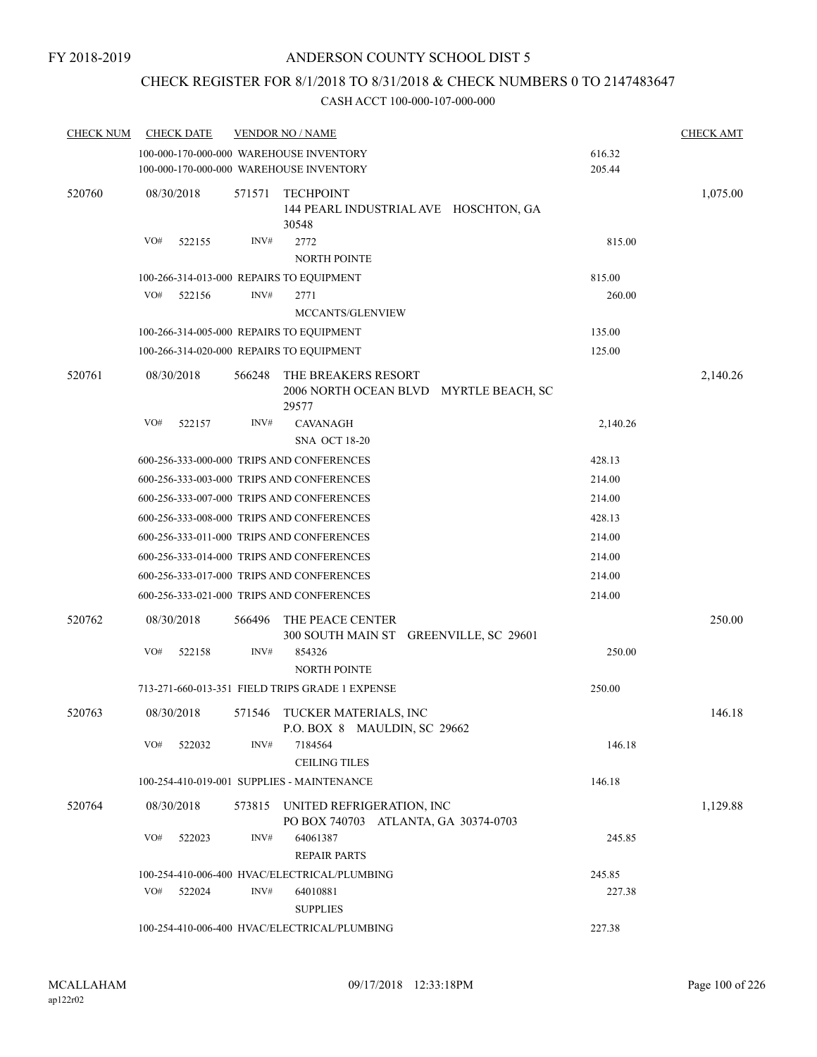# CHECK REGISTER FOR 8/1/2018 TO 8/31/2018 & CHECK NUMBERS 0 TO 2147483647

| <b>CHECK NUM</b> | <b>CHECK DATE</b>                        |        | <b>VENDOR NO / NAME</b>                                                            |                  | <b>CHECK AMT</b> |
|------------------|------------------------------------------|--------|------------------------------------------------------------------------------------|------------------|------------------|
|                  |                                          |        | 100-000-170-000-000 WAREHOUSE INVENTORY<br>100-000-170-000-000 WAREHOUSE INVENTORY | 616.32<br>205.44 |                  |
| 520760           | 08/30/2018                               | 571571 | <b>TECHPOINT</b><br>144 PEARL INDUSTRIAL AVE HOSCHTON, GA<br>30548                 |                  | 1,075.00         |
|                  | VO#<br>522155                            | INV#   | 2772<br><b>NORTH POINTE</b>                                                        | 815.00           |                  |
|                  | 100-266-314-013-000 REPAIRS TO EQUIPMENT |        |                                                                                    | 815.00           |                  |
|                  | VO#<br>522156                            | INV#   | 2771                                                                               | 260.00           |                  |
|                  |                                          |        | MCCANTS/GLENVIEW                                                                   |                  |                  |
|                  | 100-266-314-005-000 REPAIRS TO EQUIPMENT |        |                                                                                    | 135.00           |                  |
|                  | 100-266-314-020-000 REPAIRS TO EQUIPMENT |        |                                                                                    | 125.00           |                  |
| 520761           | 08/30/2018                               | 566248 | THE BREAKERS RESORT<br>2006 NORTH OCEAN BLVD MYRTLE BEACH, SC<br>29577             |                  | 2,140.26         |
|                  | VO#<br>522157                            | INV#   | <b>CAVANAGH</b><br><b>SNA OCT 18-20</b>                                            | 2,140.26         |                  |
|                  |                                          |        | 600-256-333-000-000 TRIPS AND CONFERENCES                                          | 428.13           |                  |
|                  |                                          |        | 600-256-333-003-000 TRIPS AND CONFERENCES                                          | 214.00           |                  |
|                  |                                          |        | 600-256-333-007-000 TRIPS AND CONFERENCES                                          | 214.00           |                  |
|                  |                                          |        | 600-256-333-008-000 TRIPS AND CONFERENCES                                          | 428.13           |                  |
|                  |                                          |        | 600-256-333-011-000 TRIPS AND CONFERENCES                                          | 214.00           |                  |
|                  |                                          |        | 600-256-333-014-000 TRIPS AND CONFERENCES                                          | 214.00           |                  |
|                  |                                          |        | 600-256-333-017-000 TRIPS AND CONFERENCES                                          | 214.00           |                  |
|                  |                                          |        | 600-256-333-021-000 TRIPS AND CONFERENCES                                          | 214.00           |                  |
| 520762           | 08/30/2018                               | 566496 | THE PEACE CENTER<br>300 SOUTH MAIN ST GREENVILLE, SC 29601                         |                  | 250.00           |
|                  | VO#<br>522158                            | INV#   | 854326                                                                             | 250.00           |                  |
|                  |                                          |        | <b>NORTH POINTE</b>                                                                |                  |                  |
|                  |                                          |        | 713-271-660-013-351 FIELD TRIPS GRADE 1 EXPENSE                                    | 250.00           |                  |
| 520763           | 08/30/2018                               |        | 571546 TUCKER MATERIALS, INC<br>P.O. BOX 8 MAULDIN, SC 29662                       |                  | 146.18           |
|                  | VO#<br>522032                            | INV#   | 7184564<br><b>CEILING TILES</b>                                                    | 146.18           |                  |
|                  |                                          |        | 100-254-410-019-001 SUPPLIES - MAINTENANCE                                         | 146.18           |                  |
| 520764           | 08/30/2018                               | 573815 | UNITED REFRIGERATION, INC<br>PO BOX 740703 ATLANTA, GA 30374-0703                  |                  | 1,129.88         |
|                  | VO#<br>522023                            | INV#   | 64061387<br><b>REPAIR PARTS</b>                                                    | 245.85           |                  |
|                  |                                          |        | 100-254-410-006-400 HVAC/ELECTRICAL/PLUMBING                                       | 245.85           |                  |
|                  | VO#<br>522024                            | INV#   | 64010881<br><b>SUPPLIES</b>                                                        | 227.38           |                  |
|                  |                                          |        | 100-254-410-006-400 HVAC/ELECTRICAL/PLUMBING                                       | 227.38           |                  |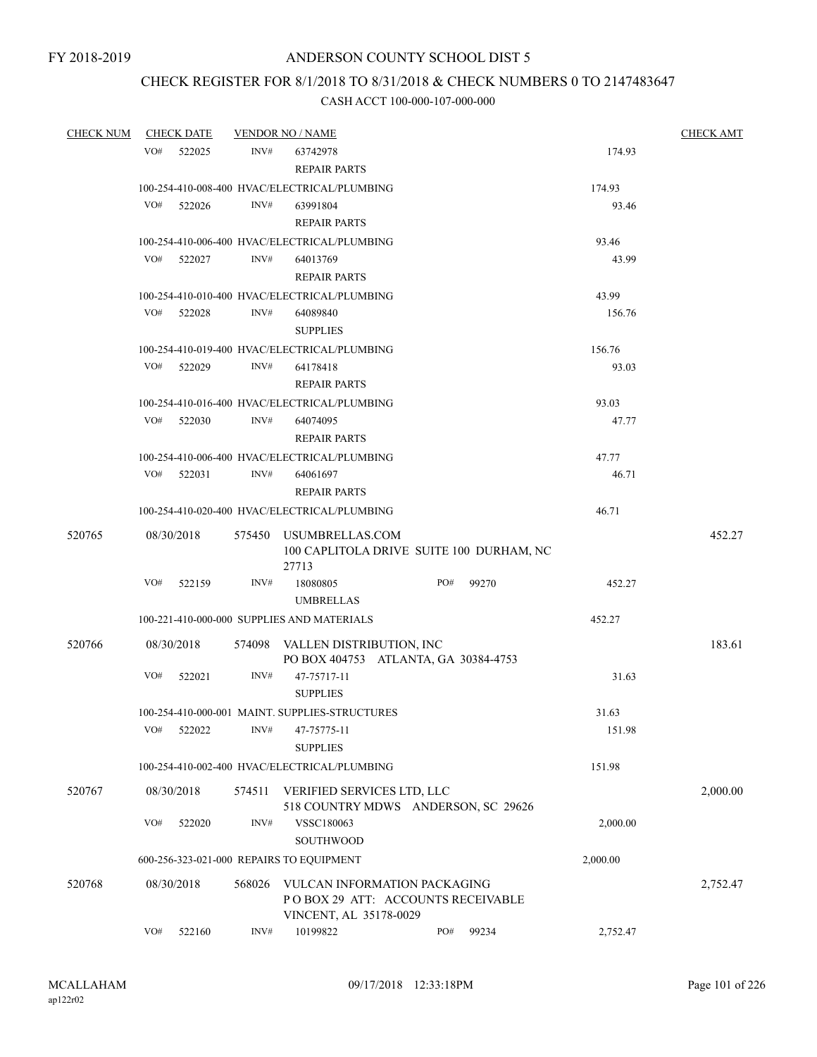# CHECK REGISTER FOR 8/1/2018 TO 8/31/2018 & CHECK NUMBERS 0 TO 2147483647

| <b>CHECK NUM</b> | <b>CHECK DATE</b> |        | <b>VENDOR NO / NAME</b>                                                                     |     |          | <b>CHECK AMT</b> |
|------------------|-------------------|--------|---------------------------------------------------------------------------------------------|-----|----------|------------------|
|                  | VO#<br>522025     | INV#   | 63742978<br><b>REPAIR PARTS</b>                                                             |     |          | 174.93           |
|                  |                   |        | 100-254-410-008-400 HVAC/ELECTRICAL/PLUMBING                                                |     | 174.93   |                  |
|                  | VO#<br>522026     | INV#   | 63991804<br><b>REPAIR PARTS</b>                                                             |     |          | 93.46            |
|                  |                   |        | 100-254-410-006-400 HVAC/ELECTRICAL/PLUMBING                                                |     | 93.46    |                  |
|                  | VO#<br>522027     | INV#   | 64013769                                                                                    |     |          | 43.99            |
|                  |                   |        | <b>REPAIR PARTS</b>                                                                         |     |          |                  |
|                  |                   |        | 100-254-410-010-400 HVAC/ELECTRICAL/PLUMBING                                                |     | 43.99    |                  |
|                  | VO#<br>522028     | INV#   | 64089840<br><b>SUPPLIES</b>                                                                 |     |          | 156.76           |
|                  |                   |        | 100-254-410-019-400 HVAC/ELECTRICAL/PLUMBING                                                |     | 156.76   |                  |
|                  | VO#<br>522029     | INV#   | 64178418<br><b>REPAIR PARTS</b>                                                             |     |          | 93.03            |
|                  |                   |        | 100-254-410-016-400 HVAC/ELECTRICAL/PLUMBING                                                |     | 93.03    |                  |
|                  | VO# 522030        | INV#   | 64074095<br><b>REPAIR PARTS</b>                                                             |     |          | 47.77            |
|                  |                   |        | 100-254-410-006-400 HVAC/ELECTRICAL/PLUMBING                                                |     | 47.77    |                  |
|                  | VO#<br>522031     | INV#   | 64061697                                                                                    |     |          | 46.71            |
|                  |                   |        | <b>REPAIR PARTS</b>                                                                         |     |          |                  |
|                  |                   |        | 100-254-410-020-400 HVAC/ELECTRICAL/PLUMBING                                                |     | 46.71    |                  |
| 520765           | 08/30/2018        |        | 575450 USUMBRELLAS.COM<br>100 CAPLITOLA DRIVE SUITE 100 DURHAM, NC<br>27713                 |     |          | 452.27           |
|                  | VO#<br>522159     | INV#   | 18080805                                                                                    | PO# | 99270    | 452.27           |
|                  |                   |        | <b>UMBRELLAS</b>                                                                            |     |          |                  |
|                  |                   |        | 100-221-410-000-000 SUPPLIES AND MATERIALS                                                  |     | 452.27   |                  |
| 520766           | 08/30/2018        |        | 574098 VALLEN DISTRIBUTION, INC<br>PO BOX 404753 ATLANTA, GA 30384-4753                     |     |          | 183.61           |
|                  | VO#<br>522021     | INV#   | 47-75717-11<br><b>SUPPLIES</b>                                                              |     |          | 31.63            |
|                  |                   |        | 100-254-410-000-001 MAINT. SUPPLIES-STRUCTURES                                              |     | 31.63    |                  |
|                  | VO#<br>522022     | INV#   | 47-75775-11<br><b>SUPPLIES</b>                                                              |     |          | 151.98           |
|                  |                   |        | 100-254-410-002-400 HVAC/ELECTRICAL/PLUMBING                                                |     | 151.98   |                  |
| 520767           | 08/30/2018        | 574511 | VERIFIED SERVICES LTD, LLC<br>518 COUNTRY MDWS ANDERSON, SC 29626                           |     |          | 2,000.00         |
|                  | VO#<br>522020     | INV#   | VSSC180063<br><b>SOUTHWOOD</b>                                                              |     |          | 2,000.00         |
|                  |                   |        | 600-256-323-021-000 REPAIRS TO EQUIPMENT                                                    |     | 2,000.00 |                  |
| 520768           | 08/30/2018        | 568026 | VULCAN INFORMATION PACKAGING<br>POBOX 29 ATT: ACCOUNTS RECEIVABLE<br>VINCENT, AL 35178-0029 |     |          | 2,752.47         |
|                  | VO#<br>522160     | INV#   | 10199822                                                                                    | PO# | 99234    | 2,752.47         |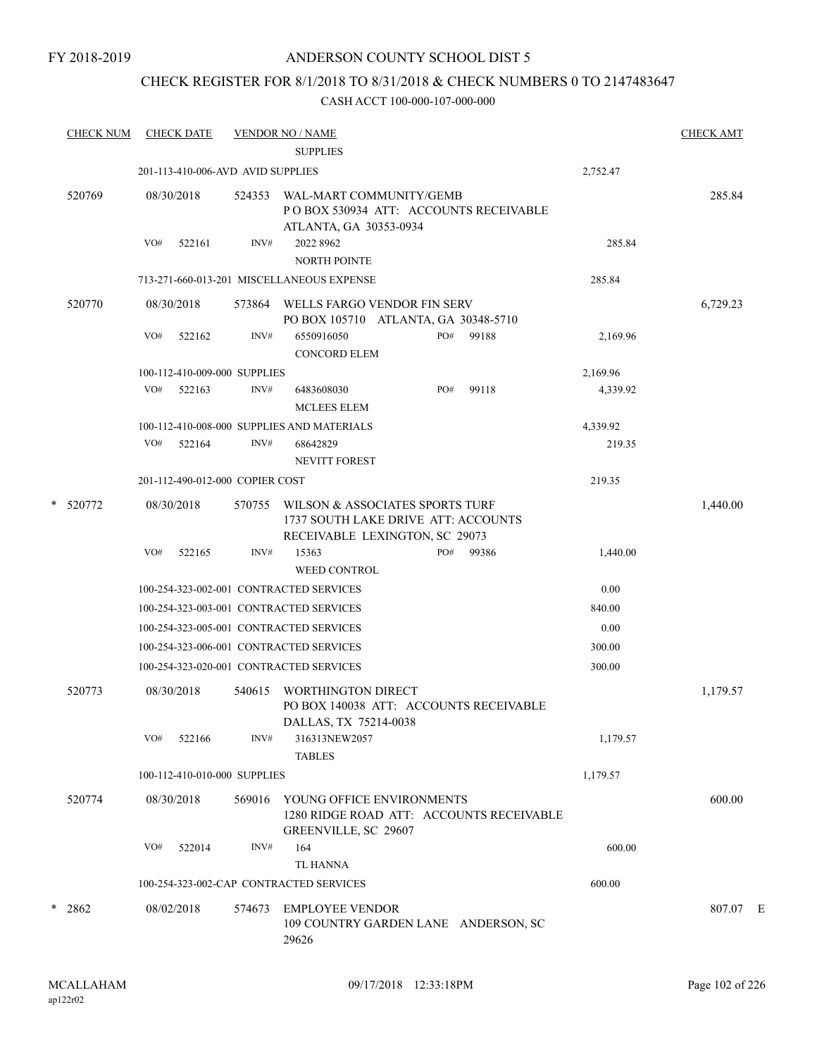# CHECK REGISTER FOR 8/1/2018 TO 8/31/2018 & CHECK NUMBERS 0 TO 2147483647

| <b>CHECK NUM</b> | <b>CHECK DATE</b>                 |        |        | <b>VENDOR NO / NAME</b><br><b>SUPPLIES</b>                                                               |     |       |          | <b>CHECK AMT</b> |  |
|------------------|-----------------------------------|--------|--------|----------------------------------------------------------------------------------------------------------|-----|-------|----------|------------------|--|
|                  | 201-113-410-006-AVD AVID SUPPLIES |        |        |                                                                                                          |     |       | 2,752.47 |                  |  |
| 520769           | 08/30/2018                        |        | 524353 | WAL-MART COMMUNITY/GEMB<br>PO BOX 530934 ATT: ACCOUNTS RECEIVABLE<br>ATLANTA, GA 30353-0934              |     |       |          | 285.84           |  |
|                  | VO#                               | 522161 | INV#   | 2022 8962<br><b>NORTH POINTE</b>                                                                         |     |       | 285.84   |                  |  |
|                  |                                   |        |        | 713-271-660-013-201 MISCELLANEOUS EXPENSE                                                                |     |       | 285.84   |                  |  |
| 520770           | 08/30/2018                        |        | 573864 | WELLS FARGO VENDOR FIN SERV<br>PO BOX 105710 ATLANTA, GA 30348-5710                                      |     |       |          | 6,729.23         |  |
|                  | VO#                               | 522162 | INV#   | 6550916050<br><b>CONCORD ELEM</b>                                                                        | PO# | 99188 | 2,169.96 |                  |  |
|                  | 100-112-410-009-000 SUPPLIES      |        |        |                                                                                                          |     |       | 2,169.96 |                  |  |
|                  | VO#                               | 522163 | INV#   | 6483608030<br><b>MCLEES ELEM</b>                                                                         | PO# | 99118 | 4,339.92 |                  |  |
|                  |                                   |        |        | 100-112-410-008-000 SUPPLIES AND MATERIALS                                                               |     |       | 4,339.92 |                  |  |
|                  | VO#                               | 522164 | INV#   | 68642829<br><b>NEVITT FOREST</b>                                                                         |     |       | 219.35   |                  |  |
|                  | 201-112-490-012-000 COPIER COST   |        |        |                                                                                                          |     |       | 219.35   |                  |  |
| * 520772         | 08/30/2018                        |        | 570755 | WILSON & ASSOCIATES SPORTS TURF<br>1737 SOUTH LAKE DRIVE ATT: ACCOUNTS<br>RECEIVABLE LEXINGTON, SC 29073 |     |       |          | 1,440.00         |  |
|                  | VO#                               | 522165 | INV#   | 15363<br><b>WEED CONTROL</b>                                                                             | PO# | 99386 | 1,440.00 |                  |  |
|                  |                                   |        |        | 100-254-323-002-001 CONTRACTED SERVICES                                                                  |     |       | 0.00     |                  |  |
|                  |                                   |        |        | 100-254-323-003-001 CONTRACTED SERVICES                                                                  |     |       | 840.00   |                  |  |
|                  |                                   |        |        | 100-254-323-005-001 CONTRACTED SERVICES                                                                  |     |       | 0.00     |                  |  |
|                  |                                   |        |        | 100-254-323-006-001 CONTRACTED SERVICES                                                                  |     |       | 300.00   |                  |  |
|                  |                                   |        |        | 100-254-323-020-001 CONTRACTED SERVICES                                                                  |     |       | 300.00   |                  |  |
| 520773           | 08/30/2018                        |        | 540615 | WORTHINGTON DIRECT<br>PO BOX 140038 ATT: ACCOUNTS RECEIVABLE<br>DALLAS, TX 75214-0038                    |     |       |          | 1,179.57         |  |
|                  | VO#                               | 522166 | INV#   | 316313NEW2057<br><b>TABLES</b>                                                                           |     |       | 1,179.57 |                  |  |
|                  | 100-112-410-010-000 SUPPLIES      |        |        |                                                                                                          |     |       | 1,179.57 |                  |  |
| 520774           | 08/30/2018                        |        |        | 569016 YOUNG OFFICE ENVIRONMENTS<br>1280 RIDGE ROAD ATT: ACCOUNTS RECEIVABLE<br>GREENVILLE, SC 29607     |     |       |          | 600.00           |  |
|                  | VO#                               | 522014 | INV#   | 164<br><b>TL HANNA</b>                                                                                   |     |       | 600.00   |                  |  |
|                  |                                   |        |        | 100-254-323-002-CAP CONTRACTED SERVICES                                                                  |     |       | 600.00   |                  |  |
| $*$ 2862         | 08/02/2018                        |        | 574673 | <b>EMPLOYEE VENDOR</b><br>109 COUNTRY GARDEN LANE ANDERSON, SC<br>29626                                  |     |       |          | 807.07 E         |  |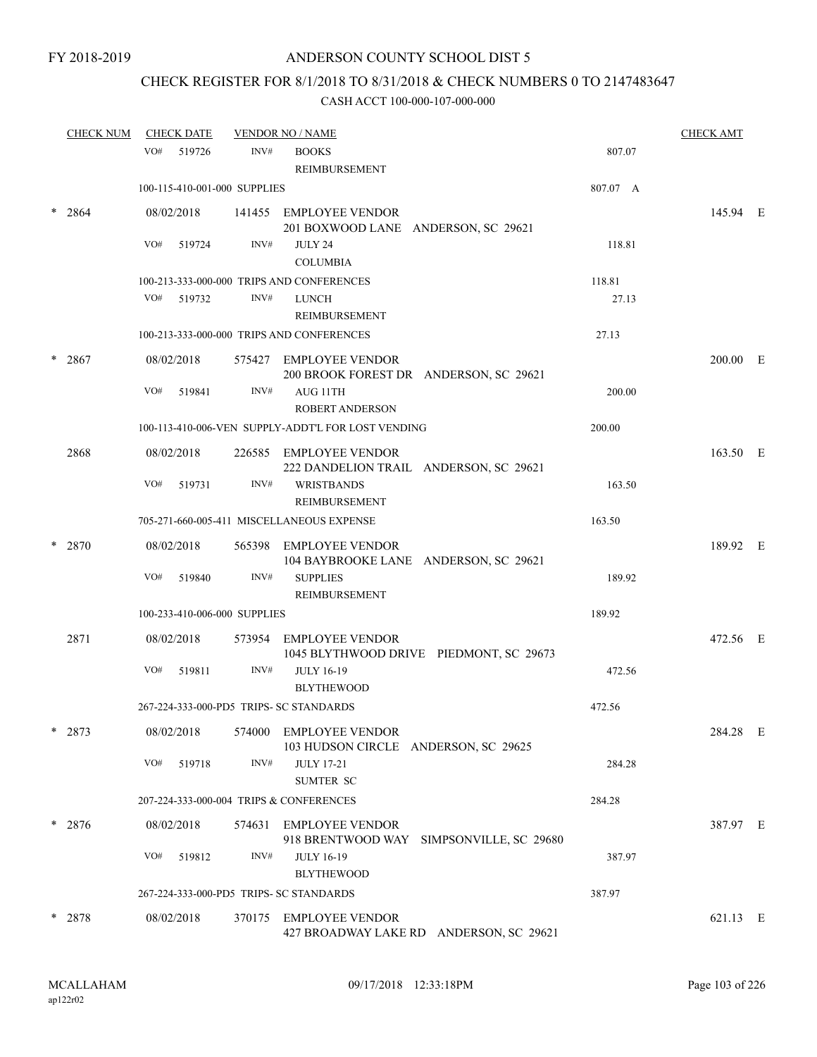# CHECK REGISTER FOR 8/1/2018 TO 8/31/2018 & CHECK NUMBERS 0 TO 2147483647

|   | <b>CHECK NUM</b> |     | <b>CHECK DATE</b>            |        | <b>VENDOR NO / NAME</b>                                            |          | <b>CHECK AMT</b> |  |
|---|------------------|-----|------------------------------|--------|--------------------------------------------------------------------|----------|------------------|--|
|   |                  |     | VO# 519726                   | INV#   | <b>BOOKS</b><br><b>REIMBURSEMENT</b>                               | 807.07   |                  |  |
|   |                  |     | 100-115-410-001-000 SUPPLIES |        |                                                                    | 807.07 A |                  |  |
| * | 2864             |     | 08/02/2018                   |        | 141455 EMPLOYEE VENDOR<br>201 BOXWOOD LANE ANDERSON, SC 29621      |          | 145.94 E         |  |
|   |                  | VO# | 519724                       | INV#   | <b>JULY 24</b>                                                     | 118.81   |                  |  |
|   |                  |     |                              |        | <b>COLUMBIA</b>                                                    |          |                  |  |
|   |                  |     |                              |        | 100-213-333-000-000 TRIPS AND CONFERENCES                          | 118.81   |                  |  |
|   |                  |     | VO# 519732                   | INV#   | <b>LUNCH</b><br>REIMBURSEMENT                                      | 27.13    |                  |  |
|   |                  |     |                              |        | 100-213-333-000-000 TRIPS AND CONFERENCES                          | 27.13    |                  |  |
| * | 2867             |     | 08/02/2018                   |        | 575427 EMPLOYEE VENDOR<br>200 BROOK FOREST DR ANDERSON, SC 29621   |          | 200.00 E         |  |
|   |                  | VO# | 519841                       | INV#   | AUG 11TH<br><b>ROBERT ANDERSON</b>                                 | 200.00   |                  |  |
|   |                  |     |                              |        | 100-113-410-006-VEN SUPPLY-ADDT'L FOR LOST VENDING                 | 200.00   |                  |  |
|   | 2868             |     | 08/02/2018                   |        | 226585 EMPLOYEE VENDOR<br>222 DANDELION TRAIL ANDERSON, SC 29621   |          | 163.50 E         |  |
|   |                  | VO# | 519731                       | INV#   | <b>WRISTBANDS</b><br><b>REIMBURSEMENT</b>                          | 163.50   |                  |  |
|   |                  |     |                              |        | 705-271-660-005-411 MISCELLANEOUS EXPENSE                          | 163.50   |                  |  |
|   | 2870             |     | 08/02/2018                   |        | 565398 EMPLOYEE VENDOR<br>104 BAYBROOKE LANE ANDERSON, SC 29621    |          | 189.92 E         |  |
|   |                  | VO# | 519840                       | INV#   | <b>SUPPLIES</b><br>REIMBURSEMENT                                   | 189.92   |                  |  |
|   |                  |     | 100-233-410-006-000 SUPPLIES |        |                                                                    | 189.92   |                  |  |
|   | 2871             |     | 08/02/2018                   |        | 573954 EMPLOYEE VENDOR<br>1045 BLYTHWOOD DRIVE PIEDMONT, SC 29673  |          | 472.56 E         |  |
|   |                  | VO# | 519811                       | INV#   | <b>JULY 16-19</b><br><b>BLYTHEWOOD</b>                             | 472.56   |                  |  |
|   |                  |     |                              |        | 267-224-333-000-PD5 TRIPS- SC STANDARDS                            | 472.56   |                  |  |
|   | $* 2873$         |     | 08/02/2018                   | 574000 | <b>EMPLOYEE VENDOR</b><br>103 HUDSON CIRCLE ANDERSON, SC 29625     |          | 284.28 E         |  |
|   |                  | VO# | 519718                       | INV#   | <b>JULY 17-21</b><br><b>SUMTER SC</b>                              | 284.28   |                  |  |
|   |                  |     |                              |        | 207-224-333-000-004 TRIPS & CONFERENCES                            | 284.28   |                  |  |
|   | $* 2876$         |     | 08/02/2018                   |        | 574631 EMPLOYEE VENDOR<br>918 BRENTWOOD WAY SIMPSONVILLE, SC 29680 |          | 387.97 E         |  |
|   |                  | VO# | 519812                       | INV#   | <b>JULY 16-19</b><br><b>BLYTHEWOOD</b>                             | 387.97   |                  |  |
|   |                  |     |                              |        | 267-224-333-000-PD5 TRIPS- SC STANDARDS                            | 387.97   |                  |  |
|   | $*$ 2878         |     | 08/02/2018                   |        | 370175 EMPLOYEE VENDOR<br>427 BROADWAY LAKE RD ANDERSON, SC 29621  |          | 621.13 E         |  |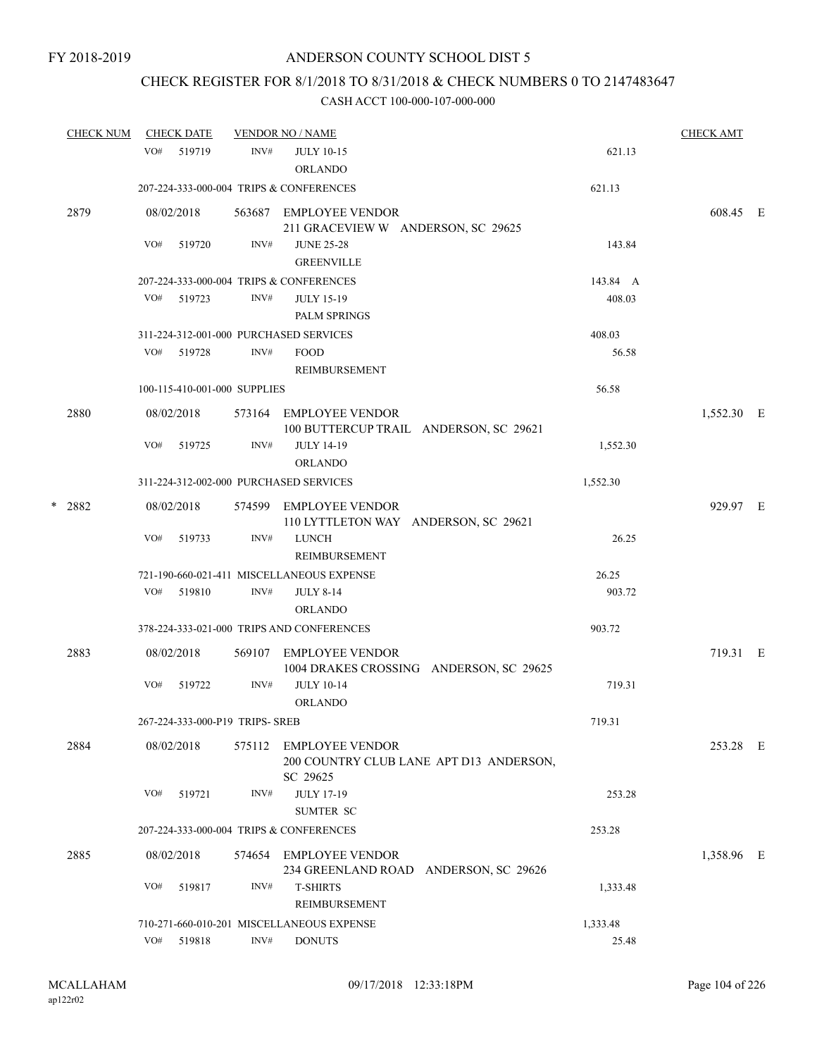# CHECK REGISTER FOR 8/1/2018 TO 8/31/2018 & CHECK NUMBERS 0 TO 2147483647

| <b>CHECK NUM</b> | <b>CHECK DATE</b> |                                        | <b>VENDOR NO / NAME</b>                                                       |          | <b>CHECK AMT</b> |  |
|------------------|-------------------|----------------------------------------|-------------------------------------------------------------------------------|----------|------------------|--|
|                  | VO#<br>519719     | INV#                                   | <b>JULY 10-15</b><br><b>ORLANDO</b>                                           | 621.13   |                  |  |
|                  |                   |                                        | 207-224-333-000-004 TRIPS & CONFERENCES                                       | 621.13   |                  |  |
| 2879             | 08/02/2018        |                                        | 563687 EMPLOYEE VENDOR<br>211 GRACEVIEW W ANDERSON, SC 29625                  |          | 608.45 E         |  |
|                  | VO#<br>519720     | INV#                                   | <b>JUNE 25-28</b><br><b>GREENVILLE</b>                                        | 143.84   |                  |  |
|                  |                   |                                        | 207-224-333-000-004 TRIPS & CONFERENCES                                       | 143.84 A |                  |  |
|                  | VO# 519723        | INV#                                   | <b>JULY 15-19</b><br><b>PALM SPRINGS</b>                                      | 408.03   |                  |  |
|                  |                   | 311-224-312-001-000 PURCHASED SERVICES |                                                                               | 408.03   |                  |  |
|                  | VO#<br>519728     | INV#                                   | <b>FOOD</b><br>REIMBURSEMENT                                                  | 56.58    |                  |  |
|                  |                   | 100-115-410-001-000 SUPPLIES           |                                                                               | 56.58    |                  |  |
| 2880             | 08/02/2018        |                                        | 573164 EMPLOYEE VENDOR<br>100 BUTTERCUP TRAIL ANDERSON, SC 29621              |          | 1,552.30 E       |  |
|                  | VO#<br>519725     | INV#                                   | <b>JULY 14-19</b><br><b>ORLANDO</b>                                           | 1,552.30 |                  |  |
|                  |                   | 311-224-312-002-000 PURCHASED SERVICES |                                                                               | 1,552.30 |                  |  |
| $*$ 2882         | 08/02/2018        |                                        | 574599 EMPLOYEE VENDOR<br>110 LYTTLETON WAY ANDERSON, SC 29621                |          | 929.97 E         |  |
|                  | VO#<br>519733     | INV#                                   | <b>LUNCH</b><br>REIMBURSEMENT                                                 | 26.25    |                  |  |
|                  |                   |                                        | 721-190-660-021-411 MISCELLANEOUS EXPENSE                                     | 26.25    |                  |  |
|                  | VO#<br>519810     | INV#                                   | <b>JULY 8-14</b>                                                              | 903.72   |                  |  |
|                  |                   |                                        | <b>ORLANDO</b>                                                                |          |                  |  |
|                  |                   |                                        | 378-224-333-021-000 TRIPS AND CONFERENCES                                     | 903.72   |                  |  |
| 2883             | 08/02/2018        | 569107                                 | <b>EMPLOYEE VENDOR</b><br>1004 DRAKES CROSSING ANDERSON, SC 29625             |          | 719.31 E         |  |
|                  | VO#<br>519722     | INV#                                   | <b>JULY 10-14</b><br><b>ORLANDO</b>                                           | 719.31   |                  |  |
|                  |                   | 267-224-333-000-P19 TRIPS- SREB        |                                                                               | 719.31   |                  |  |
| 2884             | 08/02/2018        |                                        | 575112 EMPLOYEE VENDOR<br>200 COUNTRY CLUB LANE APT D13 ANDERSON,<br>SC 29625 |          | 253.28 E         |  |
|                  | VO#<br>519721     | INV#                                   | <b>JULY 17-19</b><br><b>SUMTER SC</b>                                         | 253.28   |                  |  |
|                  |                   |                                        | 207-224-333-000-004 TRIPS & CONFERENCES                                       | 253.28   |                  |  |
| 2885             | 08/02/2018        |                                        | 574654 EMPLOYEE VENDOR<br>234 GREENLAND ROAD ANDERSON, SC 29626               |          | 1,358.96 E       |  |
|                  | VO#<br>519817     | INV#                                   | <b>T-SHIRTS</b><br>REIMBURSEMENT                                              | 1,333.48 |                  |  |
|                  |                   |                                        | 710-271-660-010-201 MISCELLANEOUS EXPENSE                                     | 1,333.48 |                  |  |
|                  | VO#<br>519818     | INV#                                   | <b>DONUTS</b>                                                                 | 25.48    |                  |  |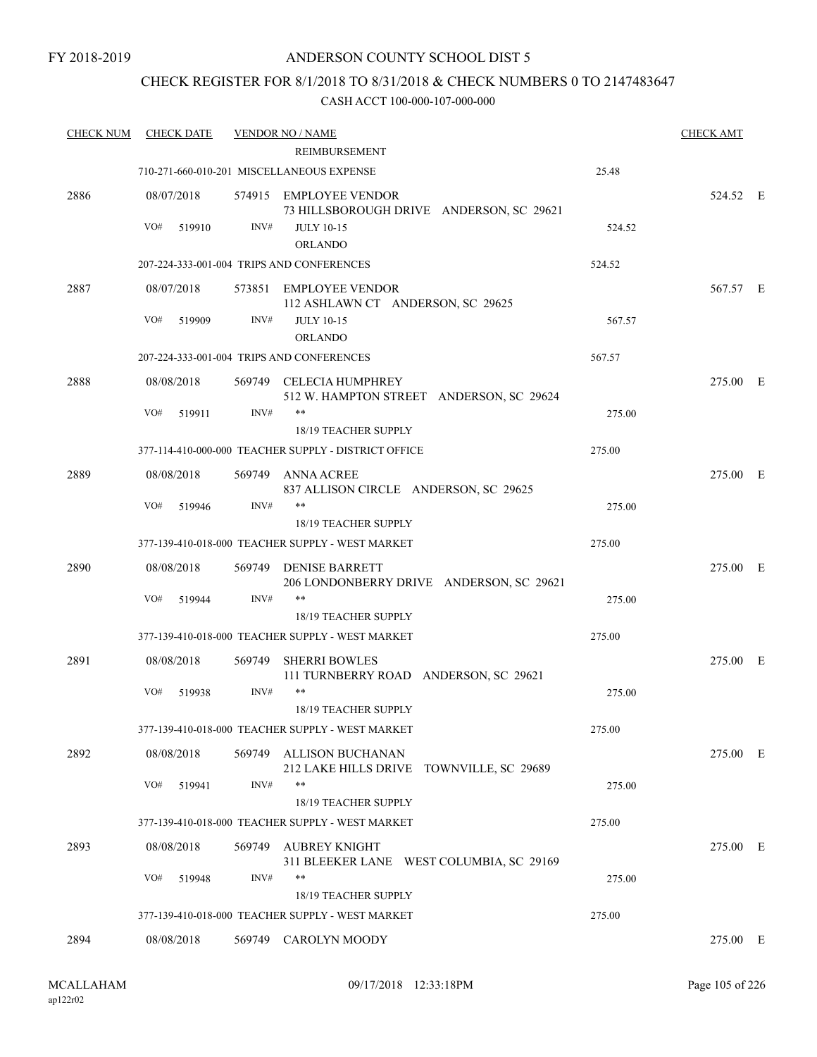# CHECK REGISTER FOR 8/1/2018 TO 8/31/2018 & CHECK NUMBERS 0 TO 2147483647

| <b>CHECK NUM</b> | <b>CHECK DATE</b>           |        | <b>VENDOR NO / NAME</b>                                                                 |        | <b>CHECK AMT</b> |  |
|------------------|-----------------------------|--------|-----------------------------------------------------------------------------------------|--------|------------------|--|
|                  |                             |        | <b>REIMBURSEMENT</b>                                                                    |        |                  |  |
|                  |                             |        | 710-271-660-010-201 MISCELLANEOUS EXPENSE                                               | 25.48  |                  |  |
| 2886             | 08/07/2018<br>VO#<br>519910 | INV#   | 574915 EMPLOYEE VENDOR<br>73 HILLSBOROUGH DRIVE ANDERSON, SC 29621<br><b>JULY 10-15</b> | 524.52 | 524.52 E         |  |
|                  |                             |        | <b>ORLANDO</b>                                                                          |        |                  |  |
|                  |                             |        | 207-224-333-001-004 TRIPS AND CONFERENCES                                               | 524.52 |                  |  |
| 2887             | 08/07/2018                  |        | 573851 EMPLOYEE VENDOR<br>112 ASHLAWN CT ANDERSON, SC 29625                             |        | 567.57 E         |  |
|                  | VO#<br>519909               | INV#   | <b>JULY 10-15</b><br><b>ORLANDO</b>                                                     | 567.57 |                  |  |
|                  |                             |        | 207-224-333-001-004 TRIPS AND CONFERENCES                                               | 567.57 |                  |  |
| 2888             | 08/08/2018                  |        | 569749 CELECIA HUMPHREY<br>512 W. HAMPTON STREET ANDERSON, SC 29624                     |        | 275.00 E         |  |
|                  | VO#<br>519911               | INV#   | $***$<br><b>18/19 TEACHER SUPPLY</b>                                                    | 275.00 |                  |  |
|                  |                             |        | 377-114-410-000-000 TEACHER SUPPLY - DISTRICT OFFICE                                    | 275.00 |                  |  |
| 2889             | 08/08/2018                  | 569749 | ANNA ACREE<br>837 ALLISON CIRCLE ANDERSON, SC 29625                                     |        | 275.00 E         |  |
|                  | VO#<br>519946               | INV#   | $***$                                                                                   | 275.00 |                  |  |
|                  |                             |        | 18/19 TEACHER SUPPLY<br>377-139-410-018-000 TEACHER SUPPLY - WEST MARKET                | 275.00 |                  |  |
| 2890             | 08/08/2018                  | 569749 | DENISE BARRETT<br>206 LONDONBERRY DRIVE ANDERSON, SC 29621                              |        | 275.00 E         |  |
|                  | VO#<br>519944               | INV#   | $***$<br>18/19 TEACHER SUPPLY                                                           | 275.00 |                  |  |
|                  |                             |        | 377-139-410-018-000 TEACHER SUPPLY - WEST MARKET                                        | 275.00 |                  |  |
| 2891             | 08/08/2018                  | 569749 | <b>SHERRI BOWLES</b><br>111 TURNBERRY ROAD ANDERSON, SC 29621                           |        | 275.00 E         |  |
|                  | VO#<br>519938               | INV#   | $***$<br><b>18/19 TEACHER SUPPLY</b>                                                    | 275.00 |                  |  |
|                  |                             |        | 377-139-410-018-000 TEACHER SUPPLY - WEST MARKET                                        | 275.00 |                  |  |
| 2892             | 08/08/2018                  | 569749 | ALLISON BUCHANAN<br>212 LAKE HILLS DRIVE TOWNVILLE, SC 29689                            |        | 275.00 E         |  |
|                  | VO#<br>519941               | INV#   | **                                                                                      | 275.00 |                  |  |
|                  |                             |        | <b>18/19 TEACHER SUPPLY</b><br>377-139-410-018-000 TEACHER SUPPLY - WEST MARKET         | 275.00 |                  |  |
| 2893             | 08/08/2018                  | 569749 | AUBREY KNIGHT                                                                           |        | 275.00 E         |  |
|                  | VO#<br>519948               | INV#   | 311 BLEEKER LANE WEST COLUMBIA, SC 29169<br>$***$                                       | 275.00 |                  |  |
|                  |                             |        | 18/19 TEACHER SUPPLY                                                                    |        |                  |  |
|                  |                             |        | 377-139-410-018-000 TEACHER SUPPLY - WEST MARKET                                        | 275.00 |                  |  |
| 2894             | 08/08/2018                  |        | 569749 CAROLYN MOODY                                                                    |        | 275.00 E         |  |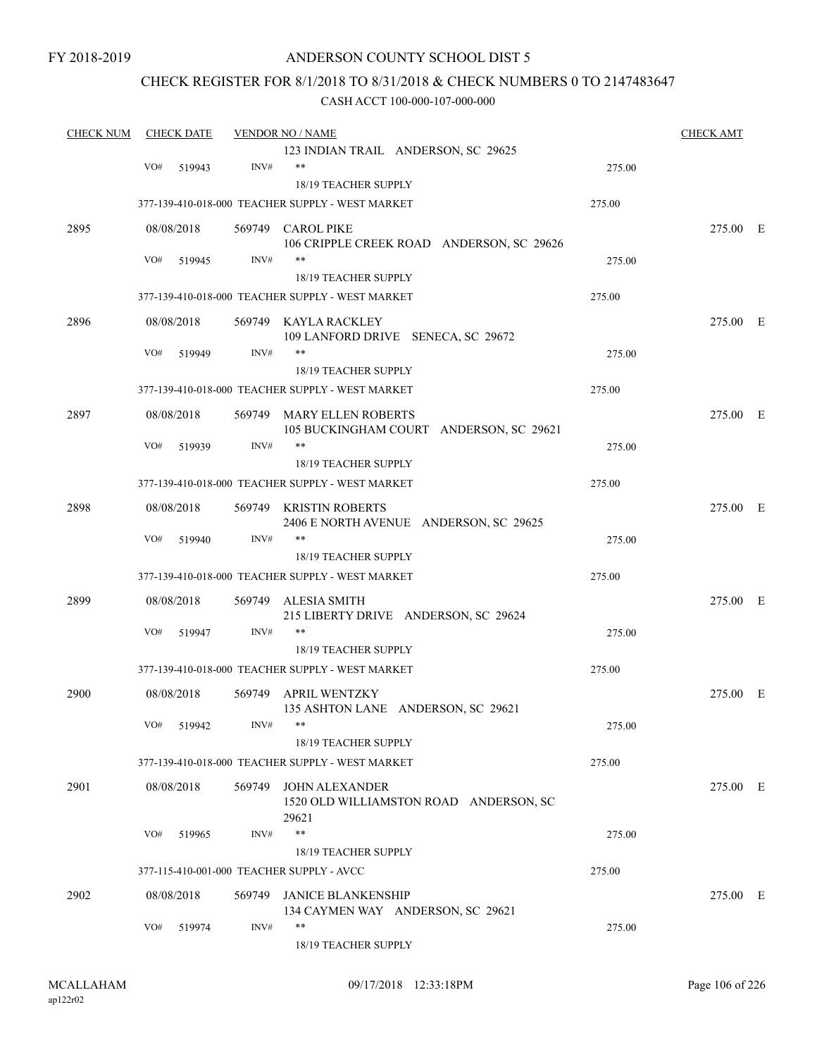FY 2018-2019

# ANDERSON COUNTY SCHOOL DIST 5

# CHECK REGISTER FOR 8/1/2018 TO 8/31/2018 & CHECK NUMBERS 0 TO 2147483647

| <b>CHECK NUM</b> |     | <b>CHECK DATE</b> |        | <b>VENDOR NO / NAME</b>                                          |        | <b>CHECK AMT</b> |  |
|------------------|-----|-------------------|--------|------------------------------------------------------------------|--------|------------------|--|
|                  |     |                   |        | 123 INDIAN TRAIL ANDERSON, SC 29625                              |        |                  |  |
|                  | VO# | 519943            | INV#   | $***$                                                            | 275.00 |                  |  |
|                  |     |                   |        | 18/19 TEACHER SUPPLY                                             |        |                  |  |
|                  |     |                   |        | 377-139-410-018-000 TEACHER SUPPLY - WEST MARKET                 | 275.00 |                  |  |
| 2895             |     | 08/08/2018        |        | 569749 CAROL PIKE                                                |        | 275.00 E         |  |
|                  |     |                   |        | 106 CRIPPLE CREEK ROAD ANDERSON, SC 29626                        |        |                  |  |
|                  | VO# | 519945            | INV#   | $***$                                                            | 275.00 |                  |  |
|                  |     |                   |        | 18/19 TEACHER SUPPLY                                             |        |                  |  |
|                  |     |                   |        | 377-139-410-018-000 TEACHER SUPPLY - WEST MARKET                 | 275.00 |                  |  |
| 2896             |     | 08/08/2018        |        | 569749 KAYLA RACKLEY                                             |        | 275.00 E         |  |
|                  |     |                   |        | 109 LANFORD DRIVE SENECA, SC 29672                               |        |                  |  |
|                  | VO# | 519949            | INV#   |                                                                  | 275.00 |                  |  |
|                  |     |                   |        | 18/19 TEACHER SUPPLY                                             |        |                  |  |
|                  |     |                   |        | 377-139-410-018-000 TEACHER SUPPLY - WEST MARKET                 | 275.00 |                  |  |
| 2897             |     | 08/08/2018        |        | 569749 MARY ELLEN ROBERTS                                        |        | 275.00 E         |  |
|                  |     |                   |        | 105 BUCKINGHAM COURT ANDERSON, SC 29621                          |        |                  |  |
|                  | VO# | 519939            | INV#   | $***$                                                            | 275.00 |                  |  |
|                  |     |                   |        | 18/19 TEACHER SUPPLY                                             |        |                  |  |
|                  |     |                   |        | 377-139-410-018-000 TEACHER SUPPLY - WEST MARKET                 | 275.00 |                  |  |
|                  |     |                   |        |                                                                  |        |                  |  |
| 2898             |     | 08/08/2018        | 569749 | <b>KRISTIN ROBERTS</b><br>2406 E NORTH AVENUE ANDERSON, SC 29625 |        | 275.00 E         |  |
|                  | VO# | 519940            | INV#   | $***$                                                            | 275.00 |                  |  |
|                  |     |                   |        | 18/19 TEACHER SUPPLY                                             |        |                  |  |
|                  |     |                   |        | 377-139-410-018-000 TEACHER SUPPLY - WEST MARKET                 | 275.00 |                  |  |
|                  |     |                   |        |                                                                  |        |                  |  |
| 2899             |     | 08/08/2018        | 569749 | ALESIA SMITH                                                     |        | 275.00 E         |  |
|                  |     |                   |        | 215 LIBERTY DRIVE ANDERSON, SC 29624                             |        |                  |  |
|                  | VO# | 519947            | INV#   | $***$                                                            | 275.00 |                  |  |
|                  |     |                   |        | 18/19 TEACHER SUPPLY                                             |        |                  |  |
|                  |     |                   |        | 377-139-410-018-000 TEACHER SUPPLY - WEST MARKET                 | 275.00 |                  |  |
| 2900             |     | 08/08/2018        | 569749 | <b>APRIL WENTZKY</b>                                             |        | 275.00 E         |  |
|                  |     |                   |        | 135 ASHTON LANE ANDERSON, SC 29621                               |        |                  |  |
|                  |     | VO# 519942        | INV#   | **                                                               | 275.00 |                  |  |
|                  |     |                   |        | 18/19 TEACHER SUPPLY                                             |        |                  |  |
|                  |     |                   |        | 377-139-410-018-000 TEACHER SUPPLY - WEST MARKET                 | 275.00 |                  |  |
| 2901             |     | 08/08/2018        |        | 569749 JOHN ALEXANDER                                            |        | 275.00 E         |  |
|                  |     |                   |        | 1520 OLD WILLIAMSTON ROAD ANDERSON, SC                           |        |                  |  |
|                  |     |                   |        | 29621                                                            |        |                  |  |
|                  | VO# | 519965            | INV#   | $***$                                                            | 275.00 |                  |  |
|                  |     |                   |        | 18/19 TEACHER SUPPLY                                             |        |                  |  |
|                  |     |                   |        | 377-115-410-001-000 TEACHER SUPPLY - AVCC                        | 275.00 |                  |  |
| 2902             |     | 08/08/2018        |        | 569749 JANICE BLANKENSHIP                                        |        | 275.00 E         |  |
|                  |     |                   |        | 134 CAYMEN WAY ANDERSON, SC 29621                                |        |                  |  |
|                  | VO# | 519974            | INV#   | $***$                                                            | 275.00 |                  |  |
|                  |     |                   |        | 18/19 TEACHER SUPPLY                                             |        |                  |  |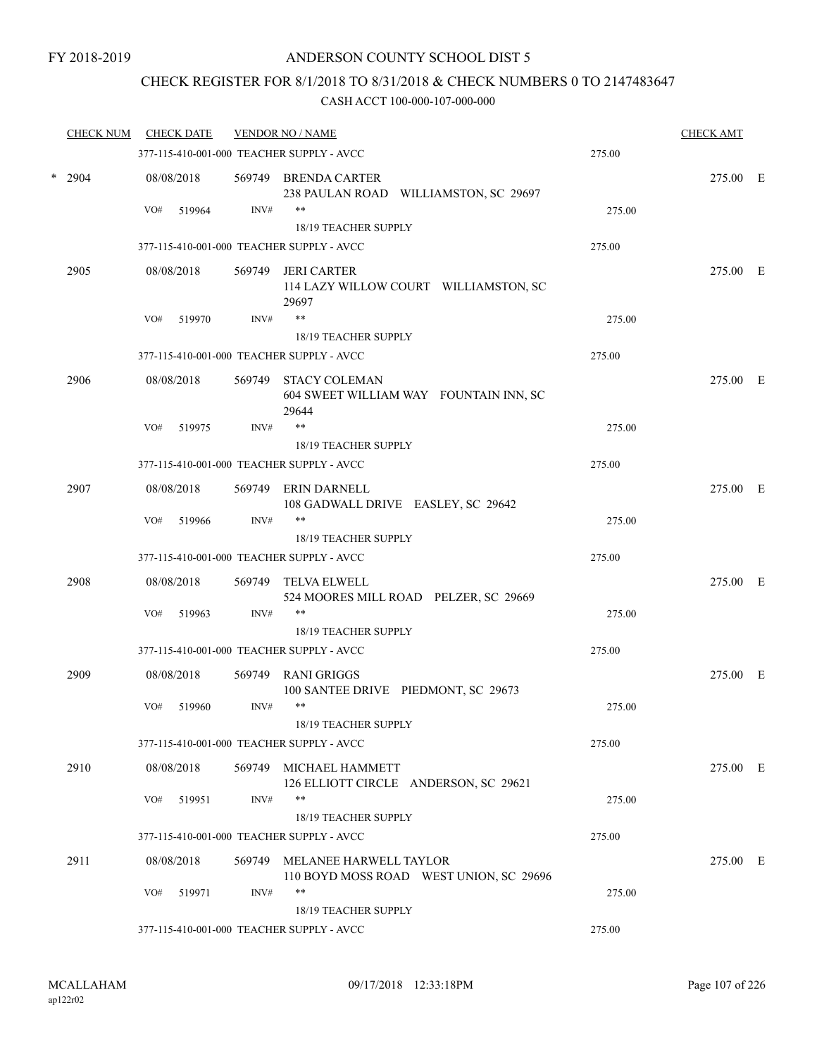# CHECK REGISTER FOR 8/1/2018 TO 8/31/2018 & CHECK NUMBERS 0 TO 2147483647

| <b>CHECK NUM</b> | <b>CHECK DATE</b> |        | <b>VENDOR NO / NAME</b>                                                  |        | <b>CHECK AMT</b> |  |
|------------------|-------------------|--------|--------------------------------------------------------------------------|--------|------------------|--|
|                  |                   |        | 377-115-410-001-000 TEACHER SUPPLY - AVCC                                | 275.00 |                  |  |
| $*$ 2904         | 08/08/2018        |        | 569749 BRENDA CARTER<br>238 PAULAN ROAD WILLIAMSTON, SC 29697            |        | 275.00 E         |  |
|                  | VO#<br>519964     | INV#   | **                                                                       | 275.00 |                  |  |
|                  |                   |        | 18/19 TEACHER SUPPLY                                                     |        |                  |  |
|                  |                   |        | 377-115-410-001-000 TEACHER SUPPLY - AVCC                                | 275.00 |                  |  |
| 2905             | 08/08/2018        | 569749 | <b>JERI CARTER</b><br>114 LAZY WILLOW COURT WILLIAMSTON, SC<br>29697     |        | 275.00 E         |  |
|                  | VO#<br>519970     | INV#   | **                                                                       | 275.00 |                  |  |
|                  |                   |        | 18/19 TEACHER SUPPLY                                                     |        |                  |  |
|                  |                   |        | 377-115-410-001-000 TEACHER SUPPLY - AVCC                                | 275.00 |                  |  |
| 2906             | 08/08/2018        | 569749 | <b>STACY COLEMAN</b><br>604 SWEET WILLIAM WAY FOUNTAIN INN, SC<br>29644  |        | 275.00 E         |  |
|                  | VO#<br>519975     | INV#   | $***$                                                                    | 275.00 |                  |  |
|                  |                   |        | 18/19 TEACHER SUPPLY                                                     |        |                  |  |
|                  |                   |        | 377-115-410-001-000 TEACHER SUPPLY - AVCC                                | 275.00 |                  |  |
| 2907             | 08/08/2018        | 569749 | ERIN DARNELL<br>108 GADWALL DRIVE EASLEY, SC 29642                       |        | 275.00 E         |  |
|                  | VO#<br>519966     | INV#   | $***$<br>18/19 TEACHER SUPPLY                                            | 275.00 |                  |  |
|                  |                   |        | 377-115-410-001-000 TEACHER SUPPLY - AVCC                                | 275.00 |                  |  |
| 2908             | 08/08/2018        | 569749 | TELVA ELWELL<br>524 MOORES MILL ROAD PELZER, SC 29669                    |        | 275.00 E         |  |
|                  | VO#<br>519963     | INV#   | **                                                                       | 275.00 |                  |  |
|                  |                   |        | 18/19 TEACHER SUPPLY                                                     |        |                  |  |
|                  |                   |        | 377-115-410-001-000 TEACHER SUPPLY - AVCC                                | 275.00 |                  |  |
| 2909             | 08/08/2018        | 569749 | RANI GRIGGS<br>100 SANTEE DRIVE PIEDMONT, SC 29673                       |        | 275.00 E         |  |
|                  | VO#<br>519960     | INV#   | **<br>18/19 TEACHER SUPPLY                                               | 275.00 |                  |  |
|                  |                   |        | 377-115-410-001-000 TEACHER SUPPLY - AVCC                                | 275.00 |                  |  |
| 2910             | 08/08/2018        |        | 569749 MICHAEL HAMMETT<br>126 ELLIOTT CIRCLE ANDERSON, SC 29621          |        | 275.00 E         |  |
|                  | VO#<br>519951     | INV#   | **                                                                       | 275.00 |                  |  |
|                  |                   |        | 18/19 TEACHER SUPPLY                                                     |        |                  |  |
|                  |                   |        | 377-115-410-001-000 TEACHER SUPPLY - AVCC                                | 275.00 |                  |  |
| 2911             | 08/08/2018        |        | 569749 MELANEE HARWELL TAYLOR<br>110 BOYD MOSS ROAD WEST UNION, SC 29696 |        | 275.00 E         |  |
|                  | VO#<br>519971     | INV#   | **<br>18/19 TEACHER SUPPLY                                               | 275.00 |                  |  |
|                  |                   |        | 377-115-410-001-000 TEACHER SUPPLY - AVCC                                | 275.00 |                  |  |
|                  |                   |        |                                                                          |        |                  |  |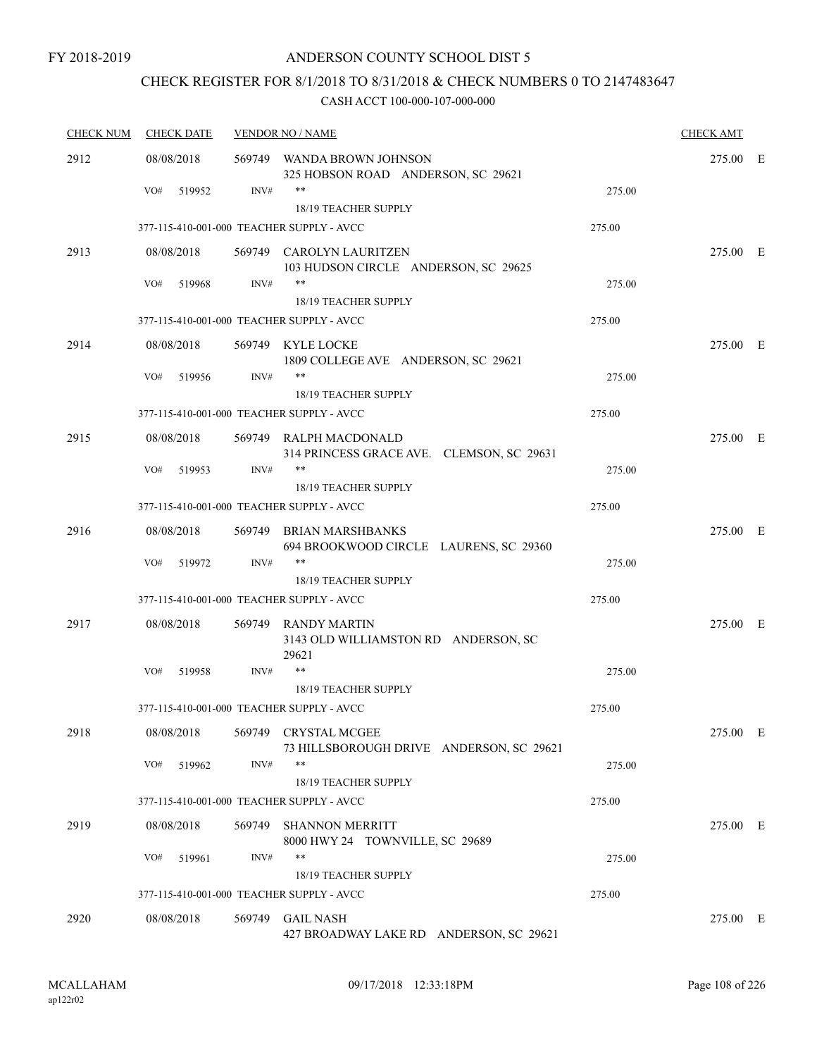# CHECK REGISTER FOR 8/1/2018 TO 8/31/2018 & CHECK NUMBERS 0 TO 2147483647

| <b>CHECK NUM</b> | <b>CHECK DATE</b>                         |        | <b>VENDOR NO / NAME</b>                                              |        | <b>CHECK AMT</b> |  |
|------------------|-------------------------------------------|--------|----------------------------------------------------------------------|--------|------------------|--|
| 2912             | 08/08/2018                                |        | 569749 WANDA BROWN JOHNSON<br>325 HOBSON ROAD ANDERSON, SC 29621     |        | 275.00 E         |  |
|                  | VO#<br>519952                             | INV#   | $***$<br>18/19 TEACHER SUPPLY                                        | 275.00 |                  |  |
|                  |                                           |        | 377-115-410-001-000 TEACHER SUPPLY - AVCC                            | 275.00 |                  |  |
| 2913             | 08/08/2018                                |        | 569749 CAROLYN LAURITZEN<br>103 HUDSON CIRCLE ANDERSON, SC 29625     |        | 275.00 E         |  |
|                  | VO#<br>519968                             | INV#   | $***$<br><b>18/19 TEACHER SUPPLY</b>                                 | 275.00 |                  |  |
|                  |                                           |        | 377-115-410-001-000 TEACHER SUPPLY - AVCC                            | 275.00 |                  |  |
| 2914             | 08/08/2018                                |        | 569749 KYLE LOCKE<br>1809 COLLEGE AVE ANDERSON, SC 29621             |        | 275.00 E         |  |
|                  | VO#<br>519956                             | INV#   | $***$<br>18/19 TEACHER SUPPLY                                        | 275.00 |                  |  |
|                  | 377-115-410-001-000 TEACHER SUPPLY - AVCC |        |                                                                      | 275.00 |                  |  |
| 2915             | 08/08/2018                                |        | 569749 RALPH MACDONALD<br>314 PRINCESS GRACE AVE. CLEMSON, SC 29631  |        | 275.00 E         |  |
|                  | VO#<br>519953                             | INV#   | $***$                                                                | 275.00 |                  |  |
|                  | 377-115-410-001-000 TEACHER SUPPLY - AVCC |        | <b>18/19 TEACHER SUPPLY</b>                                          | 275.00 |                  |  |
|                  |                                           |        |                                                                      |        |                  |  |
| 2916             | 08/08/2018                                |        | 569749 BRIAN MARSHBANKS<br>694 BROOKWOOD CIRCLE LAURENS, SC 29360    |        | 275.00 E         |  |
|                  | VO#<br>519972                             | INV#   | $***$<br>18/19 TEACHER SUPPLY                                        | 275.00 |                  |  |
|                  |                                           |        | 377-115-410-001-000 TEACHER SUPPLY - AVCC                            | 275.00 |                  |  |
| 2917             | 08/08/2018                                |        | 569749 RANDY MARTIN<br>3143 OLD WILLIAMSTON RD ANDERSON, SC<br>29621 |        | 275.00 E         |  |
|                  | VO#<br>519958                             | INV#   | $***$                                                                | 275.00 |                  |  |
|                  |                                           |        | 18/19 TEACHER SUPPLY                                                 |        |                  |  |
|                  |                                           |        | 377-115-410-001-000 TEACHER SUPPLY - AVCC                            | 275.00 |                  |  |
| 2918             | 08/08/2018                                |        | 569749 CRYSTAL MCGEE<br>73 HILLSBOROUGH DRIVE ANDERSON, SC 29621     |        | 275.00 E         |  |
|                  | VO#<br>519962                             | INV#   | $***$<br>18/19 TEACHER SUPPLY                                        | 275.00 |                  |  |
|                  |                                           |        | 377-115-410-001-000 TEACHER SUPPLY - AVCC                            | 275.00 |                  |  |
| 2919             | 08/08/2018                                | 569749 | <b>SHANNON MERRITT</b><br>8000 HWY 24 TOWNVILLE, SC 29689            |        | 275.00 E         |  |
|                  | VO#<br>519961                             | INV#   | **<br>18/19 TEACHER SUPPLY                                           | 275.00 |                  |  |
|                  |                                           |        | 377-115-410-001-000 TEACHER SUPPLY - AVCC                            | 275.00 |                  |  |
| 2920             | 08/08/2018                                |        | 569749 GAIL NASH<br>427 BROADWAY LAKE RD ANDERSON, SC 29621          |        | 275.00 E         |  |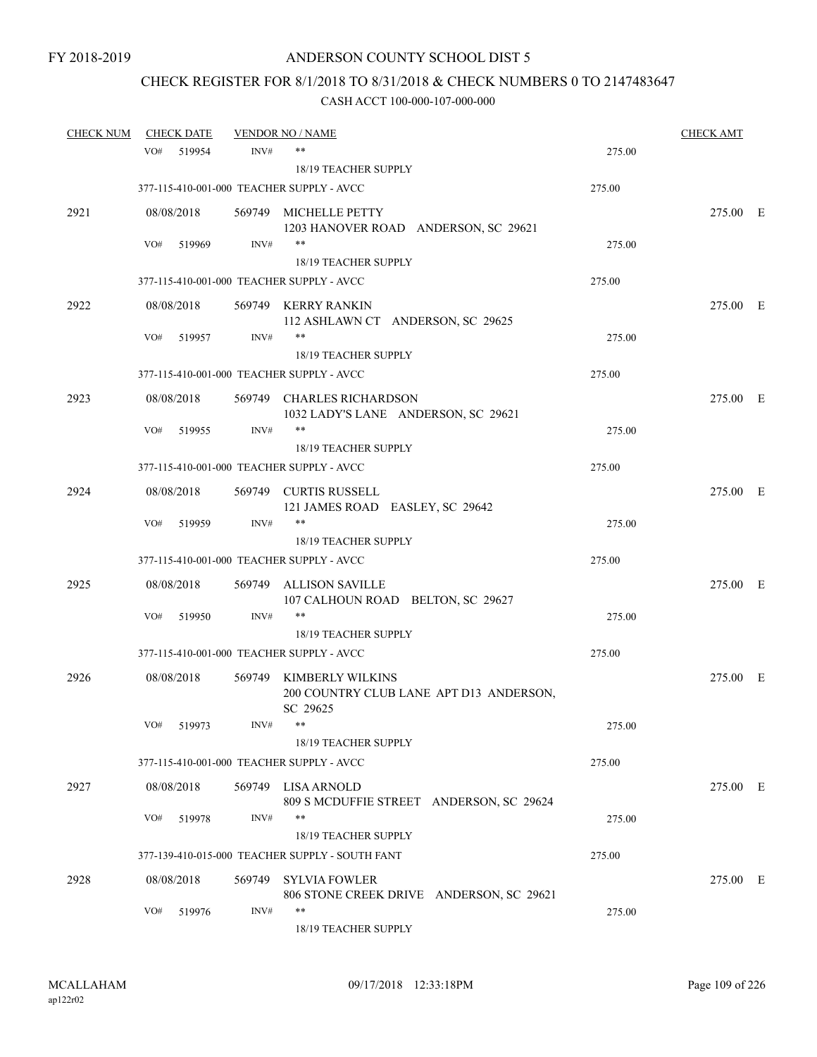# CHECK REGISTER FOR 8/1/2018 TO 8/31/2018 & CHECK NUMBERS 0 TO 2147483647

| <b>CHECK NUM</b> | <b>CHECK DATE</b> |        | <b>VENDOR NO / NAME</b>                                                 |        | <b>CHECK AMT</b> |  |
|------------------|-------------------|--------|-------------------------------------------------------------------------|--------|------------------|--|
|                  | VO#<br>519954     | INV#   | **                                                                      | 275.00 |                  |  |
|                  |                   |        | 18/19 TEACHER SUPPLY                                                    |        |                  |  |
|                  |                   |        | 377-115-410-001-000 TEACHER SUPPLY - AVCC                               | 275.00 |                  |  |
| 2921             | 08/08/2018        |        | 569749 MICHELLE PETTY                                                   |        | 275.00 E         |  |
|                  |                   |        | 1203 HANOVER ROAD ANDERSON, SC 29621                                    |        |                  |  |
|                  | VO#<br>519969     | INV#   | $***$                                                                   | 275.00 |                  |  |
|                  |                   |        | 18/19 TEACHER SUPPLY                                                    |        |                  |  |
|                  |                   |        | 377-115-410-001-000 TEACHER SUPPLY - AVCC                               | 275.00 |                  |  |
| 2922             | 08/08/2018        |        | 569749 KERRY RANKIN                                                     |        | 275.00 E         |  |
|                  | VO#<br>519957     | INV#   | 112 ASHLAWN CT ANDERSON, SC 29625<br>$***$                              | 275.00 |                  |  |
|                  |                   |        | 18/19 TEACHER SUPPLY                                                    |        |                  |  |
|                  |                   |        | 377-115-410-001-000 TEACHER SUPPLY - AVCC                               | 275.00 |                  |  |
| 2923             | 08/08/2018        |        |                                                                         |        | 275.00 E         |  |
|                  |                   |        | 569749 CHARLES RICHARDSON<br>1032 LADY'S LANE ANDERSON, SC 29621        |        |                  |  |
|                  | VO#<br>519955     | INV#   | $***$                                                                   | 275.00 |                  |  |
|                  |                   |        | <b>18/19 TEACHER SUPPLY</b>                                             |        |                  |  |
|                  |                   |        | 377-115-410-001-000 TEACHER SUPPLY - AVCC                               | 275.00 |                  |  |
| 2924             | 08/08/2018        |        | 569749 CURTIS RUSSELL                                                   |        | 275.00 E         |  |
|                  |                   |        | 121 JAMES ROAD EASLEY, SC 29642                                         |        |                  |  |
|                  | VO#<br>519959     | INV#   | $***$                                                                   | 275.00 |                  |  |
|                  |                   |        | 18/19 TEACHER SUPPLY                                                    |        |                  |  |
|                  |                   |        | 377-115-410-001-000 TEACHER SUPPLY - AVCC                               | 275.00 |                  |  |
| 2925             | 08/08/2018        | 569749 | ALLISON SAVILLE                                                         |        | 275.00 E         |  |
|                  |                   |        | 107 CALHOUN ROAD BELTON, SC 29627<br>$***$                              |        |                  |  |
|                  | VO#<br>519950     | INV#   | 18/19 TEACHER SUPPLY                                                    | 275.00 |                  |  |
|                  |                   |        | 377-115-410-001-000 TEACHER SUPPLY - AVCC                               | 275.00 |                  |  |
|                  |                   |        |                                                                         |        |                  |  |
| 2926             | 08/08/2018        | 569749 | KIMBERLY WILKINS<br>200 COUNTRY CLUB LANE APT D13 ANDERSON,<br>SC 29625 |        | 275.00 E         |  |
|                  | VO#<br>519973     | INV#   | **                                                                      | 275.00 |                  |  |
|                  |                   |        | 18/19 TEACHER SUPPLY                                                    |        |                  |  |
|                  |                   |        | 377-115-410-001-000 TEACHER SUPPLY - AVCC                               | 275.00 |                  |  |
| 2927             | 08/08/2018        |        | 569749 LISA ARNOLD                                                      |        | 275.00 E         |  |
|                  |                   |        | 809 S MCDUFFIE STREET ANDERSON, SC 29624                                |        |                  |  |
|                  | VO#<br>519978     | INV#   | **                                                                      | 275.00 |                  |  |
|                  |                   |        | 18/19 TEACHER SUPPLY                                                    |        |                  |  |
|                  |                   |        | 377-139-410-015-000 TEACHER SUPPLY - SOUTH FANT                         | 275.00 |                  |  |
| 2928             | 08/08/2018        | 569749 | <b>SYLVIA FOWLER</b>                                                    |        | 275.00 E         |  |
|                  | VO#<br>519976     | INV#   | 806 STONE CREEK DRIVE ANDERSON, SC 29621<br>$***$                       | 275.00 |                  |  |
|                  |                   |        | 18/19 TEACHER SUPPLY                                                    |        |                  |  |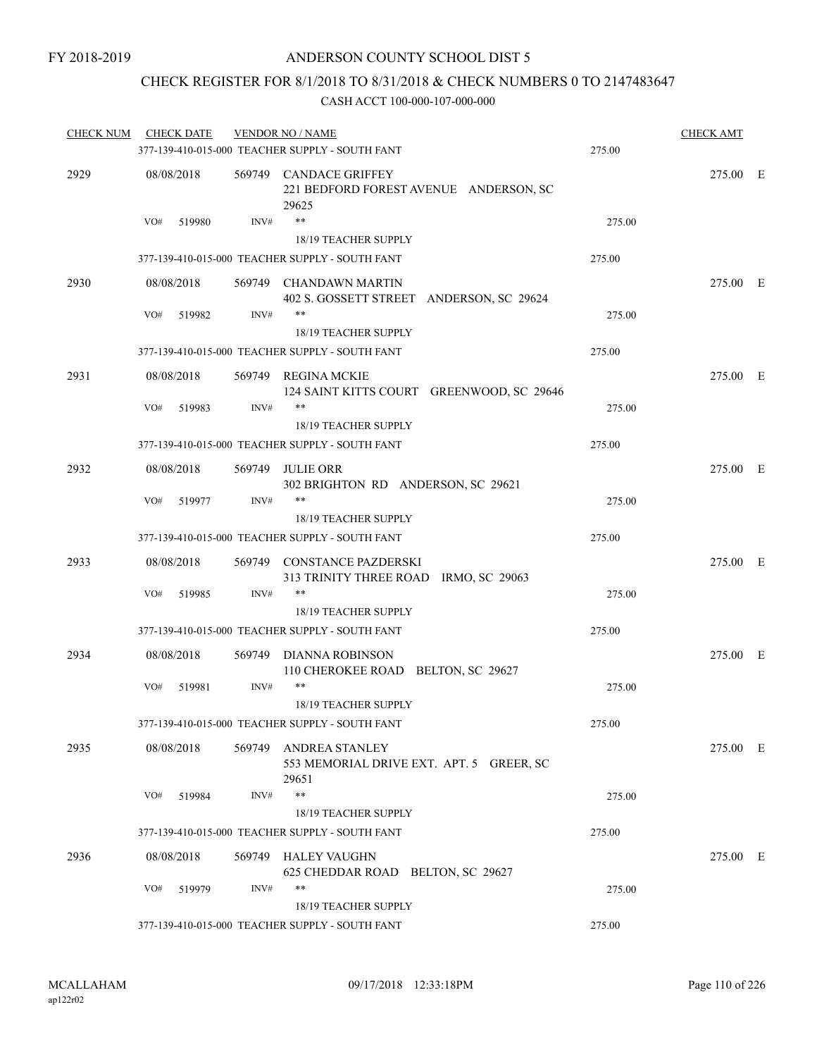### CHECK REGISTER FOR 8/1/2018 TO 8/31/2018 & CHECK NUMBERS 0 TO 2147483647

| <b>CHECK NUM</b> | <b>CHECK DATE</b> |      | <b>VENDOR NO / NAME</b>                                                    |        | <b>CHECK AMT</b> |  |
|------------------|-------------------|------|----------------------------------------------------------------------------|--------|------------------|--|
|                  |                   |      | 377-139-410-015-000 TEACHER SUPPLY - SOUTH FANT                            | 275.00 |                  |  |
| 2929             | 08/08/2018        |      | 569749 CANDACE GRIFFEY<br>221 BEDFORD FOREST AVENUE ANDERSON, SC<br>29625  |        | 275.00 E         |  |
|                  | VO#<br>519980     | INV# | $***$<br>18/19 TEACHER SUPPLY                                              | 275.00 |                  |  |
|                  |                   |      | 377-139-410-015-000 TEACHER SUPPLY - SOUTH FANT                            | 275.00 |                  |  |
| 2930             | 08/08/2018        |      | 569749 CHANDAWN MARTIN<br>402 S. GOSSETT STREET ANDERSON, SC 29624         |        | 275.00 E         |  |
|                  | VO#<br>519982     | INV# | **<br>18/19 TEACHER SUPPLY                                                 | 275.00 |                  |  |
|                  |                   |      | 377-139-410-015-000 TEACHER SUPPLY - SOUTH FANT                            | 275.00 |                  |  |
| 2931             | 08/08/2018        |      | 569749 REGINA MCKIE<br>124 SAINT KITTS COURT GREENWOOD, SC 29646           |        | 275.00 E         |  |
|                  | VO#<br>519983     | INV# | **<br>18/19 TEACHER SUPPLY                                                 | 275.00 |                  |  |
|                  |                   |      | 377-139-410-015-000 TEACHER SUPPLY - SOUTH FANT                            | 275.00 |                  |  |
| 2932             | 08/08/2018        |      | 569749 JULIE ORR<br>302 BRIGHTON RD ANDERSON, SC 29621                     |        | 275.00 E         |  |
|                  | VO#<br>519977     | INV# | **<br>18/19 TEACHER SUPPLY                                                 | 275.00 |                  |  |
|                  |                   |      | 377-139-410-015-000 TEACHER SUPPLY - SOUTH FANT                            | 275.00 |                  |  |
| 2933             | 08/08/2018        |      | 569749 CONSTANCE PAZDERSKI<br>313 TRINITY THREE ROAD IRMO, SC 29063        |        | 275.00 E         |  |
|                  | VO#<br>519985     | INV# | **                                                                         | 275.00 |                  |  |
|                  |                   |      | 18/19 TEACHER SUPPLY                                                       |        |                  |  |
|                  |                   |      | 377-139-410-015-000 TEACHER SUPPLY - SOUTH FANT                            | 275.00 |                  |  |
| 2934             | 08/08/2018        |      | 569749 DIANNA ROBINSON<br>110 CHEROKEE ROAD BELTON, SC 29627               |        | 275.00 E         |  |
|                  | VO#<br>519981     | INV# | **<br><b>18/19 TEACHER SUPPLY</b>                                          | 275.00 |                  |  |
|                  |                   |      | 377-139-410-015-000 TEACHER SUPPLY - SOUTH FANT                            | 275.00 |                  |  |
| 2935             | 08/08/2018        |      | 569749 ANDREA STANLEY<br>553 MEMORIAL DRIVE EXT. APT. 5 GREER, SC<br>29651 |        | 275.00 E         |  |
|                  | VO#<br>519984     | INV# | **                                                                         | 275.00 |                  |  |
|                  |                   |      | 18/19 TEACHER SUPPLY                                                       |        |                  |  |
|                  |                   |      | 377-139-410-015-000 TEACHER SUPPLY - SOUTH FANT                            | 275.00 |                  |  |
| 2936             | 08/08/2018        |      | 569749 HALEY VAUGHN<br>625 CHEDDAR ROAD BELTON, SC 29627                   |        | 275.00 E         |  |
|                  | VO#<br>519979     | INV# | **                                                                         | 275.00 |                  |  |
|                  |                   |      | 18/19 TEACHER SUPPLY                                                       | 275.00 |                  |  |
|                  |                   |      | 377-139-410-015-000 TEACHER SUPPLY - SOUTH FANT                            |        |                  |  |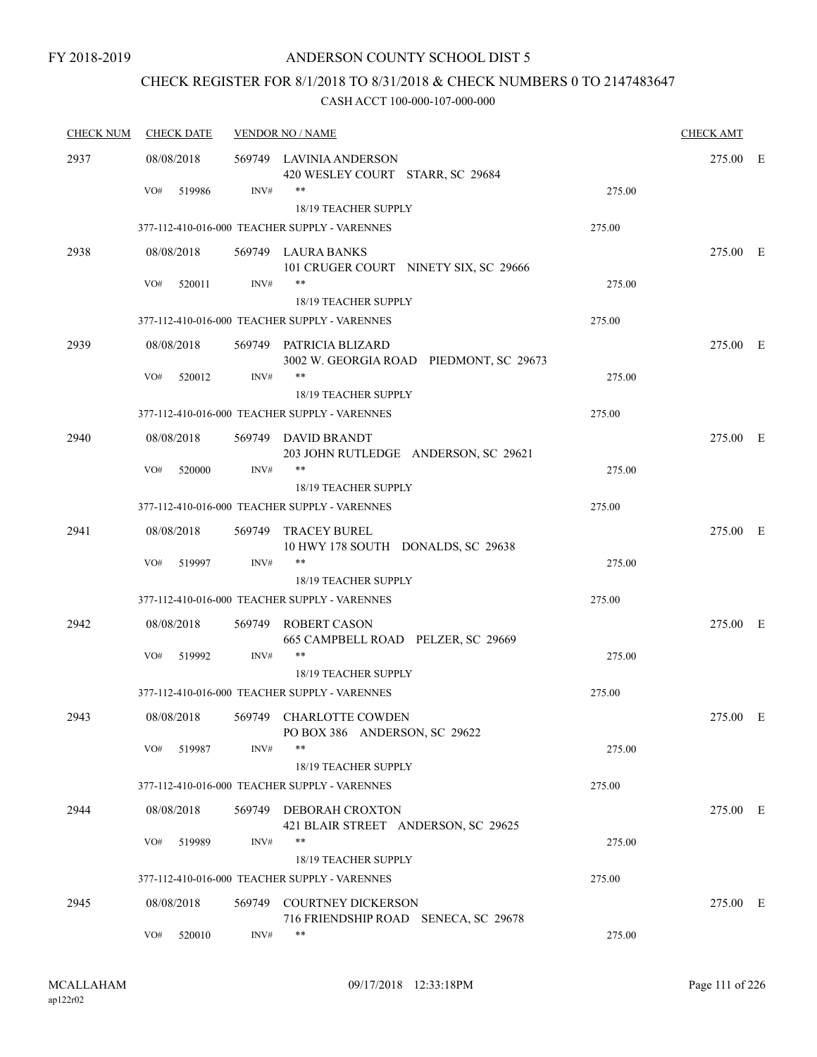## CHECK REGISTER FOR 8/1/2018 TO 8/31/2018 & CHECK NUMBERS 0 TO 2147483647

| <b>CHECK NUM</b> | <b>CHECK DATE</b> |        | <b>VENDOR NO / NAME</b>                                            |        | <b>CHECK AMT</b> |  |
|------------------|-------------------|--------|--------------------------------------------------------------------|--------|------------------|--|
| 2937             | 08/08/2018        |        | 569749 LAVINIA ANDERSON<br>420 WESLEY COURT STARR, SC 29684        |        | 275.00 E         |  |
|                  | VO#<br>519986     | INV#   | **                                                                 | 275.00 |                  |  |
|                  |                   |        | 18/19 TEACHER SUPPLY                                               |        |                  |  |
|                  |                   |        | 377-112-410-016-000 TEACHER SUPPLY - VARENNES                      | 275.00 |                  |  |
| 2938             | 08/08/2018        |        | 569749 LAURA BANKS<br>101 CRUGER COURT NINETY SIX, SC 29666        |        | 275.00 E         |  |
|                  | VO#<br>520011     | INV#   | $***$<br>18/19 TEACHER SUPPLY                                      | 275.00 |                  |  |
|                  |                   |        | 377-112-410-016-000 TEACHER SUPPLY - VARENNES                      | 275.00 |                  |  |
| 2939             | 08/08/2018        |        | 569749 PATRICIA BLIZARD<br>3002 W. GEORGIA ROAD PIEDMONT, SC 29673 |        | 275.00 E         |  |
|                  | VO#<br>520012     | INV#   | $***$<br><b>18/19 TEACHER SUPPLY</b>                               | 275.00 |                  |  |
|                  |                   |        | 377-112-410-016-000 TEACHER SUPPLY - VARENNES                      | 275.00 |                  |  |
| 2940             | 08/08/2018        |        | 569749 DAVID BRANDT<br>203 JOHN RUTLEDGE ANDERSON, SC 29621        |        | 275.00 E         |  |
|                  | VO#<br>520000     | INV#   | $***$                                                              | 275.00 |                  |  |
|                  |                   |        | <b>18/19 TEACHER SUPPLY</b>                                        |        |                  |  |
|                  |                   |        | 377-112-410-016-000 TEACHER SUPPLY - VARENNES                      | 275.00 |                  |  |
| 2941             | 08/08/2018        | 569749 | TRACEY BUREL<br>10 HWY 178 SOUTH DONALDS, SC 29638                 |        | 275.00 E         |  |
|                  | VO#<br>519997     | INV#   | $***$<br>18/19 TEACHER SUPPLY                                      | 275.00 |                  |  |
|                  |                   |        | 377-112-410-016-000 TEACHER SUPPLY - VARENNES                      | 275.00 |                  |  |
| 2942             | 08/08/2018        | 569749 | ROBERT CASON<br>665 CAMPBELL ROAD PELZER, SC 29669                 |        | 275.00 E         |  |
|                  | VO#<br>519992     | INV#   | **<br>18/19 TEACHER SUPPLY                                         | 275.00 |                  |  |
|                  |                   |        | 377-112-410-016-000 TEACHER SUPPLY - VARENNES                      | 275.00 |                  |  |
| 2943             | 08/08/2018        |        | 569749 CHARLOTTE COWDEN<br>PO BOX 386 ANDERSON, SC 29622           |        | 275.00 E         |  |
|                  | VO#<br>519987     | INV#   | $***$<br>18/19 TEACHER SUPPLY                                      | 275.00 |                  |  |
|                  |                   |        | 377-112-410-016-000 TEACHER SUPPLY - VARENNES                      | 275.00 |                  |  |
| 2944             | 08/08/2018        |        | 569749 DEBORAH CROXTON<br>421 BLAIR STREET ANDERSON, SC 29625      |        | 275.00 E         |  |
|                  | VO#<br>519989     | INV#   | $***$                                                              | 275.00 |                  |  |
|                  |                   |        | 18/19 TEACHER SUPPLY                                               |        |                  |  |
|                  |                   |        | 377-112-410-016-000 TEACHER SUPPLY - VARENNES                      | 275.00 |                  |  |
| 2945             | 08/08/2018        | 569749 | <b>COURTNEY DICKERSON</b><br>716 FRIENDSHIP ROAD SENECA, SC 29678  |        | 275.00 E         |  |
|                  | VO#<br>520010     | INV#   | $***$                                                              | 275.00 |                  |  |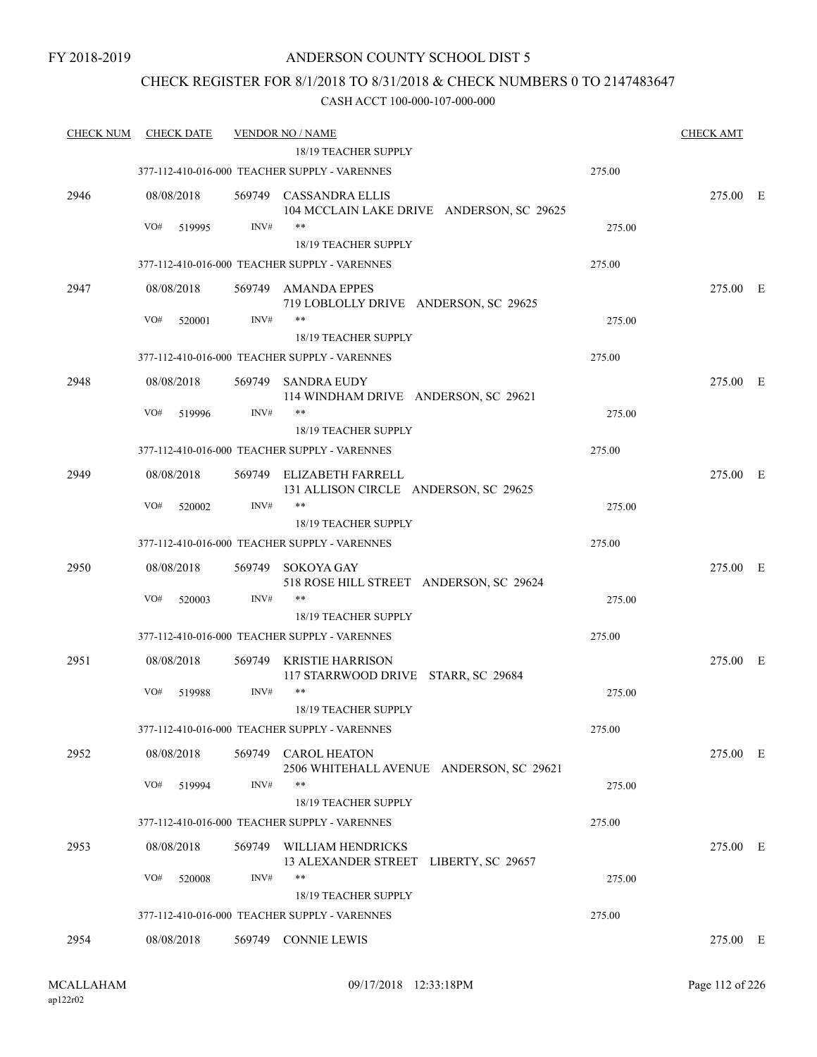### CHECK REGISTER FOR 8/1/2018 TO 8/31/2018 & CHECK NUMBERS 0 TO 2147483647

| <b>CHECK NUM</b> | <b>CHECK DATE</b> |        | <b>VENDOR NO / NAME</b>                                             |        | <b>CHECK AMT</b> |  |
|------------------|-------------------|--------|---------------------------------------------------------------------|--------|------------------|--|
|                  |                   |        | 18/19 TEACHER SUPPLY                                                |        |                  |  |
|                  |                   |        | 377-112-410-016-000 TEACHER SUPPLY - VARENNES                       | 275.00 |                  |  |
| 2946             | 08/08/2018        |        | 569749 CASSANDRA ELLIS<br>104 MCCLAIN LAKE DRIVE ANDERSON, SC 29625 |        | 275.00 E         |  |
|                  | VO#<br>519995     | INV#   | $***$                                                               | 275.00 |                  |  |
|                  |                   |        | 18/19 TEACHER SUPPLY                                                |        |                  |  |
|                  |                   |        | 377-112-410-016-000 TEACHER SUPPLY - VARENNES                       | 275.00 |                  |  |
| 2947             | 08/08/2018        |        | 569749 AMANDA EPPES<br>719 LOBLOLLY DRIVE ANDERSON, SC 29625        |        | 275.00 E         |  |
|                  | VO#<br>520001     | INV#   | **                                                                  | 275.00 |                  |  |
|                  |                   |        | 18/19 TEACHER SUPPLY                                                |        |                  |  |
|                  |                   |        | 377-112-410-016-000 TEACHER SUPPLY - VARENNES                       | 275.00 |                  |  |
| 2948             | 08/08/2018        |        | 569749 SANDRA EUDY                                                  |        | 275.00 E         |  |
|                  |                   |        | 114 WINDHAM DRIVE ANDERSON, SC 29621                                |        |                  |  |
|                  | VO#<br>519996     | INV#   | **                                                                  | 275.00 |                  |  |
|                  |                   |        | 18/19 TEACHER SUPPLY                                                |        |                  |  |
|                  |                   |        | 377-112-410-016-000 TEACHER SUPPLY - VARENNES                       | 275.00 |                  |  |
| 2949             | 08/08/2018        |        | 569749 ELIZABETH FARRELL<br>131 ALLISON CIRCLE ANDERSON, SC 29625   |        | 275.00 E         |  |
|                  | VO#<br>520002     | INV#   | **                                                                  | 275.00 |                  |  |
|                  |                   |        | 18/19 TEACHER SUPPLY                                                |        |                  |  |
|                  |                   |        | 377-112-410-016-000 TEACHER SUPPLY - VARENNES                       | 275.00 |                  |  |
| 2950             | 08/08/2018        | 569749 | SOKOYA GAY<br>518 ROSE HILL STREET ANDERSON, SC 29624               |        | 275.00 E         |  |
|                  | VO#<br>520003     | INV#   | **                                                                  | 275.00 |                  |  |
|                  |                   |        | 18/19 TEACHER SUPPLY                                                |        |                  |  |
|                  |                   |        | 377-112-410-016-000 TEACHER SUPPLY - VARENNES                       | 275.00 |                  |  |
| 2951             | 08/08/2018        | 569749 | KRISTIE HARRISON<br>117 STARRWOOD DRIVE STARR, SC 29684             |        | 275.00 E         |  |
|                  | VO#<br>519988     | INV#   | $***$<br>18/19 TEACHER SUPPLY                                       | 275.00 |                  |  |
|                  |                   |        | 377-112-410-016-000 TEACHER SUPPLY - VARENNES                       | 275.00 |                  |  |
| 2952             | 08/08/2018        | 569749 | <b>CAROL HEATON</b><br>2506 WHITEHALL AVENUE ANDERSON, SC 29621     |        | 275.00 E         |  |
|                  | VO#<br>519994     | INV#   | $***$                                                               | 275.00 |                  |  |
|                  |                   |        | 18/19 TEACHER SUPPLY                                                |        |                  |  |
|                  |                   |        | 377-112-410-016-000 TEACHER SUPPLY - VARENNES                       | 275.00 |                  |  |
| 2953             | 08/08/2018        | 569749 | WILLIAM HENDRICKS                                                   |        | 275.00 E         |  |
|                  |                   |        | 13 ALEXANDER STREET LIBERTY, SC 29657                               |        |                  |  |
|                  | VO#<br>520008     | INV#   | **                                                                  | 275.00 |                  |  |
|                  |                   |        | 18/19 TEACHER SUPPLY                                                |        |                  |  |
|                  |                   |        | 377-112-410-016-000 TEACHER SUPPLY - VARENNES                       | 275.00 |                  |  |
| 2954             | 08/08/2018        |        | 569749 CONNIE LEWIS                                                 |        | 275.00 E         |  |
|                  |                   |        |                                                                     |        |                  |  |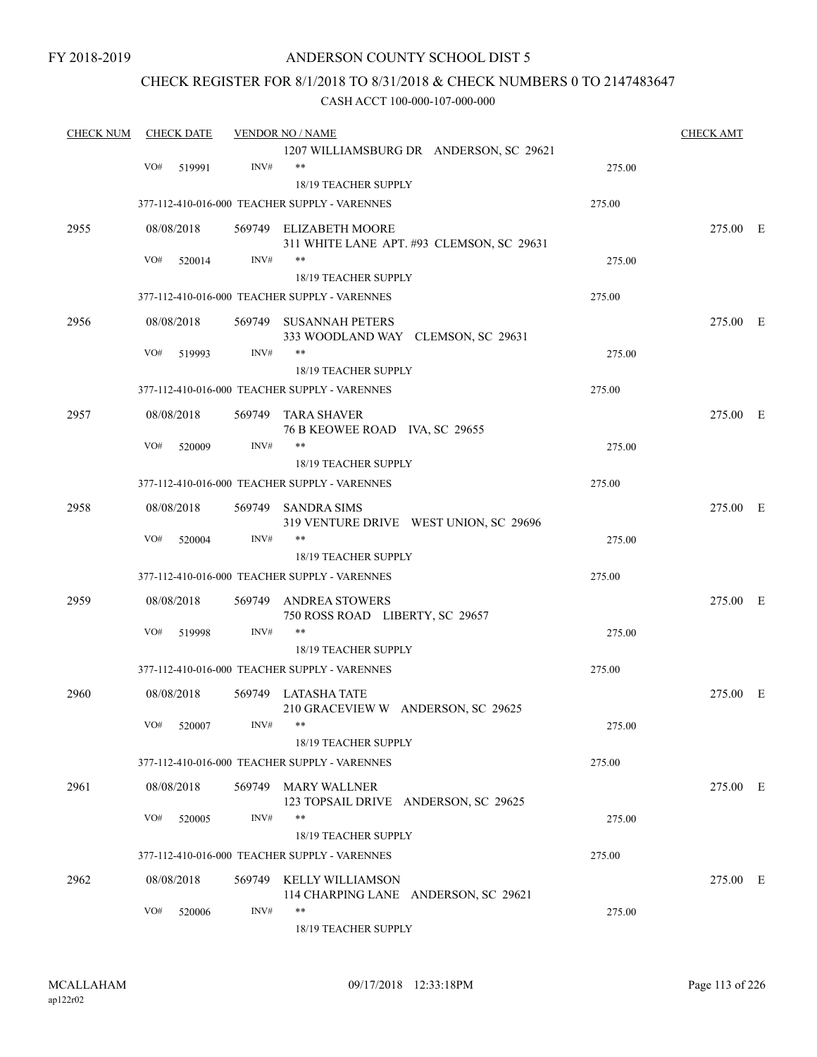### ANDERSON COUNTY SCHOOL DIST 5

### CHECK REGISTER FOR 8/1/2018 TO 8/31/2018 & CHECK NUMBERS 0 TO 2147483647

| <b>CHECK NUM</b> | <b>CHECK DATE</b> |        |        | <b>VENDOR NO / NAME</b>                       |        | <b>CHECK AMT</b> |  |
|------------------|-------------------|--------|--------|-----------------------------------------------|--------|------------------|--|
|                  |                   |        |        | 1207 WILLIAMSBURG DR ANDERSON, SC 29621       |        |                  |  |
|                  | VO#               | 519991 | INV#   | $**$                                          | 275.00 |                  |  |
|                  |                   |        |        | 18/19 TEACHER SUPPLY                          |        |                  |  |
|                  |                   |        |        | 377-112-410-016-000 TEACHER SUPPLY - VARENNES | 275.00 |                  |  |
| 2955             | 08/08/2018        |        |        | 569749 ELIZABETH MOORE                        |        | 275.00 E         |  |
|                  |                   |        |        | 311 WHITE LANE APT. #93 CLEMSON, SC 29631     |        |                  |  |
|                  | VO#               | 520014 | INV#   | **                                            | 275.00 |                  |  |
|                  |                   |        |        | <b>18/19 TEACHER SUPPLY</b>                   |        |                  |  |
|                  |                   |        |        | 377-112-410-016-000 TEACHER SUPPLY - VARENNES | 275.00 |                  |  |
| 2956             | 08/08/2018        |        |        | 569749 SUSANNAH PETERS                        |        | 275.00 E         |  |
|                  |                   |        |        | 333 WOODLAND WAY CLEMSON, SC 29631            |        |                  |  |
|                  | VO#               | 519993 | INV#   | **                                            | 275.00 |                  |  |
|                  |                   |        |        | 18/19 TEACHER SUPPLY                          |        |                  |  |
|                  |                   |        |        | 377-112-410-016-000 TEACHER SUPPLY - VARENNES | 275.00 |                  |  |
| 2957             | 08/08/2018        |        |        | 569749 TARA SHAVER                            |        | 275.00 E         |  |
|                  |                   |        |        | 76 B KEOWEE ROAD IVA, SC 29655                |        |                  |  |
|                  | VO#               | 520009 | INV#   | **                                            | 275.00 |                  |  |
|                  |                   |        |        | <b>18/19 TEACHER SUPPLY</b>                   |        |                  |  |
|                  |                   |        |        | 377-112-410-016-000 TEACHER SUPPLY - VARENNES | 275.00 |                  |  |
| 2958             | 08/08/2018        |        | 569749 | <b>SANDRA SIMS</b>                            |        | 275.00 E         |  |
|                  |                   |        |        | 319 VENTURE DRIVE WEST UNION, SC 29696        |        |                  |  |
|                  | VO#               | 520004 | INV#   | **                                            | 275.00 |                  |  |
|                  |                   |        |        | 18/19 TEACHER SUPPLY                          |        |                  |  |
|                  |                   |        |        | 377-112-410-016-000 TEACHER SUPPLY - VARENNES | 275.00 |                  |  |
| 2959             | 08/08/2018        |        | 569749 | ANDREA STOWERS                                |        | 275.00 E         |  |
|                  |                   |        |        | 750 ROSS ROAD LIBERTY, SC 29657               |        |                  |  |
|                  | VO#               | 519998 | INV#   | $**$                                          | 275.00 |                  |  |
|                  |                   |        |        | 18/19 TEACHER SUPPLY                          |        |                  |  |
|                  |                   |        |        | 377-112-410-016-000 TEACHER SUPPLY - VARENNES | 275.00 |                  |  |
| 2960             | 08/08/2018        |        |        | 569749 LATASHA TATE                           |        | 275.00 E         |  |
|                  |                   |        |        | 210 GRACEVIEW W ANDERSON, SC 29625            |        |                  |  |
|                  | VO# 520007        |        | INV#   | **                                            | 275.00 |                  |  |
|                  |                   |        |        | 18/19 TEACHER SUPPLY                          |        |                  |  |
|                  |                   |        |        | 377-112-410-016-000 TEACHER SUPPLY - VARENNES | 275.00 |                  |  |
| 2961             | 08/08/2018        |        |        | 569749 MARY WALLNER                           |        | 275.00 E         |  |
|                  |                   |        |        | 123 TOPSAIL DRIVE ANDERSON, SC 29625          |        |                  |  |
|                  | VO#               | 520005 | INV#   | **                                            | 275.00 |                  |  |
|                  |                   |        |        | 18/19 TEACHER SUPPLY                          |        |                  |  |
|                  |                   |        |        | 377-112-410-016-000 TEACHER SUPPLY - VARENNES | 275.00 |                  |  |
| 2962             | 08/08/2018        |        |        | 569749 KELLY WILLIAMSON                       |        | 275.00 E         |  |
|                  |                   |        |        | 114 CHARPING LANE ANDERSON, SC 29621          |        |                  |  |
|                  | VO#               | 520006 | INV#   | **                                            | 275.00 |                  |  |
|                  |                   |        |        | 18/19 TEACHER SUPPLY                          |        |                  |  |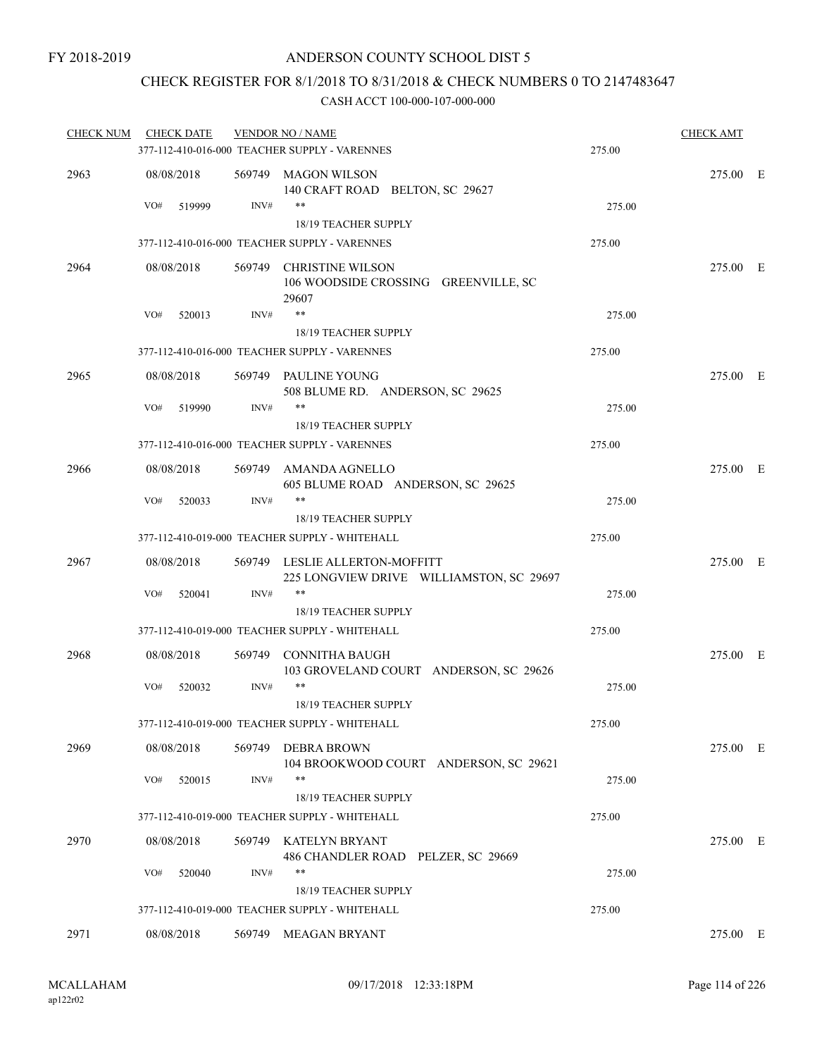### CHECK REGISTER FOR 8/1/2018 TO 8/31/2018 & CHECK NUMBERS 0 TO 2147483647

| <b>CHECK NUM</b> | <b>CHECK DATE</b> |        | <b>VENDOR NO / NAME</b>                                                    |        | <b>CHECK AMT</b> |  |
|------------------|-------------------|--------|----------------------------------------------------------------------------|--------|------------------|--|
|                  |                   |        | 377-112-410-016-000 TEACHER SUPPLY - VARENNES                              | 275.00 |                  |  |
| 2963             | 08/08/2018        |        | 569749 MAGON WILSON<br>140 CRAFT ROAD BELTON, SC 29627                     |        | 275.00 E         |  |
|                  | 519999<br>VO#     | INV#   | **<br><b>18/19 TEACHER SUPPLY</b>                                          | 275.00 |                  |  |
|                  |                   |        | 377-112-410-016-000 TEACHER SUPPLY - VARENNES                              | 275.00 |                  |  |
| 2964             | 08/08/2018        |        | 569749 CHRISTINE WILSON                                                    |        | 275.00 E         |  |
|                  |                   |        | 106 WOODSIDE CROSSING GREENVILLE, SC<br>29607                              |        |                  |  |
|                  | VO#<br>520013     | INV#   | $***$                                                                      | 275.00 |                  |  |
|                  |                   |        | 18/19 TEACHER SUPPLY                                                       |        |                  |  |
|                  |                   |        | 377-112-410-016-000 TEACHER SUPPLY - VARENNES                              | 275.00 |                  |  |
| 2965             | 08/08/2018        |        | 569749 PAULINE YOUNG<br>508 BLUME RD. ANDERSON, SC 29625                   |        | 275.00 E         |  |
|                  | VO#<br>519990     | INV#   | $***$                                                                      | 275.00 |                  |  |
|                  |                   |        | 18/19 TEACHER SUPPLY                                                       |        |                  |  |
|                  |                   |        | 377-112-410-016-000 TEACHER SUPPLY - VARENNES                              | 275.00 |                  |  |
| 2966             | 08/08/2018        |        | 569749 AMANDA AGNELLO<br>605 BLUME ROAD ANDERSON, SC 29625                 |        | 275.00 E         |  |
|                  | VO#<br>520033     | INV#   | $***$                                                                      | 275.00 |                  |  |
|                  |                   |        | 18/19 TEACHER SUPPLY                                                       |        |                  |  |
|                  |                   |        | 377-112-410-019-000 TEACHER SUPPLY - WHITEHALL                             | 275.00 |                  |  |
| 2967             | 08/08/2018        |        | 569749 LESLIE ALLERTON-MOFFITT<br>225 LONGVIEW DRIVE WILLIAMSTON, SC 29697 |        | 275.00 E         |  |
|                  | VO#<br>520041     | INV#   | $***$                                                                      | 275.00 |                  |  |
|                  |                   |        | <b>18/19 TEACHER SUPPLY</b>                                                |        |                  |  |
|                  |                   |        | 377-112-410-019-000 TEACHER SUPPLY - WHITEHALL                             | 275.00 |                  |  |
| 2968             | 08/08/2018        | 569749 | CONNITHA BAUGH<br>103 GROVELAND COURT ANDERSON, SC 29626                   |        | 275.00 E         |  |
|                  | VO#<br>520032     | INV#   | $***$<br><b>18/19 TEACHER SUPPLY</b>                                       | 275.00 |                  |  |
|                  |                   |        | 377-112-410-019-000 TEACHER SUPPLY - WHITEHALL                             | 275.00 |                  |  |
| 2969             | 08/08/2018        |        | 569749 DEBRA BROWN<br>104 BROOKWOOD COURT ANDERSON, SC 29621               |        | 275.00 E         |  |
|                  | VO#<br>520015     | INV#   | **<br>18/19 TEACHER SUPPLY                                                 | 275.00 |                  |  |
|                  |                   |        | 377-112-410-019-000 TEACHER SUPPLY - WHITEHALL                             | 275.00 |                  |  |
| 2970             | 08/08/2018        |        | 569749 KATELYN BRYANT<br>486 CHANDLER ROAD PELZER, SC 29669                |        | 275.00 E         |  |
|                  | VO#<br>520040     | INV#   | **<br>18/19 TEACHER SUPPLY                                                 | 275.00 |                  |  |
|                  |                   |        | 377-112-410-019-000 TEACHER SUPPLY - WHITEHALL                             | 275.00 |                  |  |
| 2971             | 08/08/2018        |        | 569749 MEAGAN BRYANT                                                       |        | 275.00 E         |  |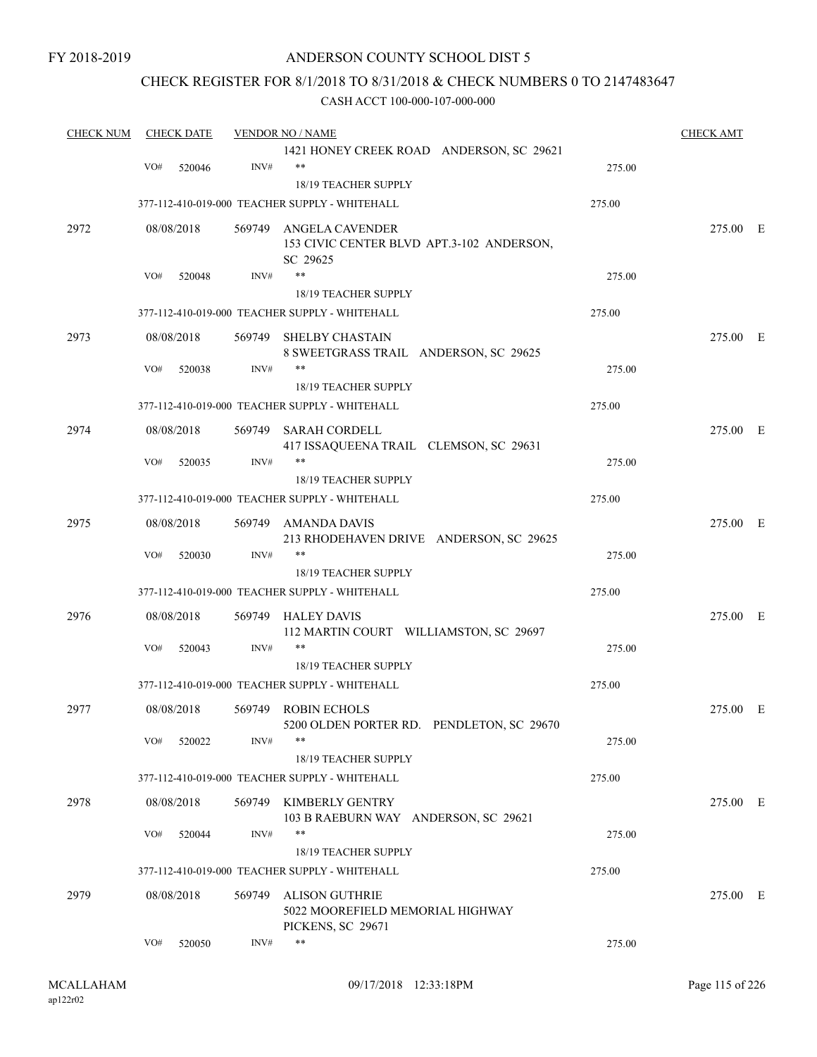### ANDERSON COUNTY SCHOOL DIST 5

### CHECK REGISTER FOR 8/1/2018 TO 8/31/2018 & CHECK NUMBERS 0 TO 2147483647

| <b>CHECK NUM</b> |     | <b>CHECK DATE</b> |        | <b>VENDOR NO / NAME</b>                                         |        | <b>CHECK AMT</b> |  |
|------------------|-----|-------------------|--------|-----------------------------------------------------------------|--------|------------------|--|
|                  |     |                   |        | 1421 HONEY CREEK ROAD ANDERSON, SC 29621                        |        |                  |  |
|                  | VO# | 520046            | INV#   | $***$                                                           | 275.00 |                  |  |
|                  |     |                   |        | 18/19 TEACHER SUPPLY                                            |        |                  |  |
|                  |     |                   |        | 377-112-410-019-000 TEACHER SUPPLY - WHITEHALL                  | 275.00 |                  |  |
| 2972             |     | 08/08/2018        | 569749 | <b>ANGELA CAVENDER</b>                                          |        | 275.00 E         |  |
|                  |     |                   |        | 153 CIVIC CENTER BLVD APT.3-102 ANDERSON,                       |        |                  |  |
|                  |     |                   |        | SC 29625                                                        |        |                  |  |
|                  | VO# | 520048            | INV#   | $***$                                                           | 275.00 |                  |  |
|                  |     |                   |        | 18/19 TEACHER SUPPLY                                            |        |                  |  |
|                  |     |                   |        | 377-112-410-019-000 TEACHER SUPPLY - WHITEHALL                  | 275.00 |                  |  |
| 2973             |     | 08/08/2018        | 569749 | <b>SHELBY CHASTAIN</b><br>8 SWEETGRASS TRAIL ANDERSON, SC 29625 |        | 275.00 E         |  |
|                  | VO# | 520038            | INV#   | **                                                              | 275.00 |                  |  |
|                  |     |                   |        | 18/19 TEACHER SUPPLY                                            |        |                  |  |
|                  |     |                   |        | 377-112-410-019-000 TEACHER SUPPLY - WHITEHALL                  | 275.00 |                  |  |
| 2974             |     | 08/08/2018        | 569749 | SARAH CORDELL                                                   |        | 275.00 E         |  |
|                  |     |                   |        | 417 ISSAQUEENA TRAIL CLEMSON, SC 29631                          |        |                  |  |
|                  | VO# | 520035            | INV#   | **                                                              | 275.00 |                  |  |
|                  |     |                   |        | 18/19 TEACHER SUPPLY                                            |        |                  |  |
|                  |     |                   |        | 377-112-410-019-000 TEACHER SUPPLY - WHITEHALL                  | 275.00 |                  |  |
| 2975             |     | 08/08/2018        | 569749 | AMANDA DAVIS                                                    |        | 275.00 E         |  |
|                  |     |                   |        | 213 RHODEHAVEN DRIVE ANDERSON, SC 29625                         |        |                  |  |
|                  | VO# | 520030            | INV#   | $***$                                                           | 275.00 |                  |  |
|                  |     |                   |        | 18/19 TEACHER SUPPLY                                            |        |                  |  |
|                  |     |                   |        | 377-112-410-019-000 TEACHER SUPPLY - WHITEHALL                  | 275.00 |                  |  |
| 2976             |     | 08/08/2018        | 569749 | <b>HALEY DAVIS</b>                                              |        | 275.00 E         |  |
|                  |     |                   |        | 112 MARTIN COURT WILLIAMSTON, SC 29697                          |        |                  |  |
|                  | VO# | 520043            | INV#   | $***$                                                           | 275.00 |                  |  |
|                  |     |                   |        | <b>18/19 TEACHER SUPPLY</b>                                     |        |                  |  |
|                  |     |                   |        | 377-112-410-019-000 TEACHER SUPPLY - WHITEHALL                  | 275.00 |                  |  |
| 2977             |     | 08/08/2018        |        | 569749 ROBIN ECHOLS                                             |        | 275.00 E         |  |
|                  |     |                   |        | 5200 OLDEN PORTER RD. PENDLETON, SC 29670                       |        |                  |  |
|                  | VO# | 520022            | INV#   | **                                                              | 275.00 |                  |  |
|                  |     |                   |        | 18/19 TEACHER SUPPLY                                            |        |                  |  |
|                  |     |                   |        | 377-112-410-019-000 TEACHER SUPPLY - WHITEHALL                  | 275.00 |                  |  |
| 2978             |     | 08/08/2018        | 569749 | KIMBERLY GENTRY                                                 |        | 275.00 E         |  |
|                  |     |                   |        | 103 B RAEBURN WAY ANDERSON, SC 29621                            |        |                  |  |
|                  | VO# | 520044            | INV#   | $***$                                                           | 275.00 |                  |  |
|                  |     |                   |        | 18/19 TEACHER SUPPLY                                            |        |                  |  |
|                  |     |                   |        | 377-112-410-019-000 TEACHER SUPPLY - WHITEHALL                  | 275.00 |                  |  |
| 2979             |     | 08/08/2018        | 569749 | ALISON GUTHRIE                                                  |        | 275.00 E         |  |
|                  |     |                   |        | 5022 MOOREFIELD MEMORIAL HIGHWAY                                |        |                  |  |
|                  |     |                   |        | PICKENS, SC 29671                                               |        |                  |  |
|                  | VO# | 520050            | INV#   | $***$                                                           | 275.00 |                  |  |
|                  |     |                   |        |                                                                 |        |                  |  |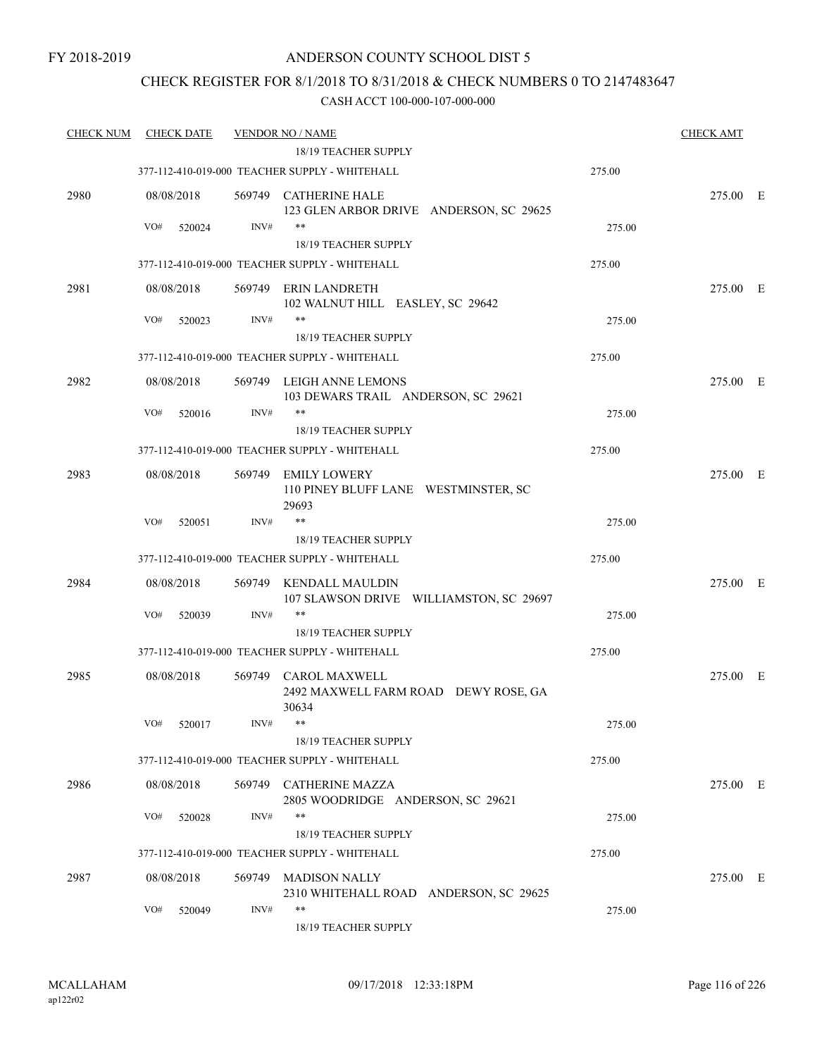### CHECK REGISTER FOR 8/1/2018 TO 8/31/2018 & CHECK NUMBERS 0 TO 2147483647

| <b>CHECK NUM</b> | <b>CHECK DATE</b> |        | <b>VENDOR NO / NAME</b>                                           |        | <b>CHECK AMT</b> |  |
|------------------|-------------------|--------|-------------------------------------------------------------------|--------|------------------|--|
|                  |                   |        | 18/19 TEACHER SUPPLY                                              |        |                  |  |
|                  |                   |        | 377-112-410-019-000 TEACHER SUPPLY - WHITEHALL                    | 275.00 |                  |  |
| 2980             | 08/08/2018        |        | 569749 CATHERINE HALE<br>123 GLEN ARBOR DRIVE ANDERSON, SC 29625  |        | 275.00 E         |  |
|                  | VO#<br>520024     | INV#   | $***$<br>18/19 TEACHER SUPPLY                                     | 275.00 |                  |  |
|                  |                   |        | 377-112-410-019-000 TEACHER SUPPLY - WHITEHALL                    | 275.00 |                  |  |
| 2981             | 08/08/2018        |        | 569749 ERIN LANDRETH                                              |        | 275.00 E         |  |
|                  |                   |        | 102 WALNUT HILL EASLEY, SC 29642<br>**                            |        |                  |  |
|                  | VO#<br>520023     | INV#   | 18/19 TEACHER SUPPLY                                              | 275.00 |                  |  |
|                  |                   |        | 377-112-410-019-000 TEACHER SUPPLY - WHITEHALL                    | 275.00 |                  |  |
|                  |                   |        |                                                                   |        |                  |  |
| 2982             | 08/08/2018        |        | 569749 LEIGH ANNE LEMONS<br>103 DEWARS TRAIL ANDERSON, SC 29621   |        | 275.00 E         |  |
|                  | VO#<br>520016     | INV#   | $***$                                                             | 275.00 |                  |  |
|                  |                   |        | 18/19 TEACHER SUPPLY                                              |        |                  |  |
|                  |                   |        | 377-112-410-019-000 TEACHER SUPPLY - WHITEHALL                    | 275.00 |                  |  |
| 2983             | 08/08/2018        | 569749 | <b>EMILY LOWERY</b><br>110 PINEY BLUFF LANE WESTMINSTER, SC       |        | 275.00 E         |  |
|                  | VO#<br>520051     | INV#   | 29693<br>**                                                       | 275.00 |                  |  |
|                  |                   |        | 18/19 TEACHER SUPPLY                                              |        |                  |  |
|                  |                   |        | 377-112-410-019-000 TEACHER SUPPLY - WHITEHALL                    | 275.00 |                  |  |
| 2984             | 08/08/2018        | 569749 | <b>KENDALL MAULDIN</b><br>107 SLAWSON DRIVE WILLIAMSTON, SC 29697 |        | 275.00 E         |  |
|                  | VO#<br>520039     | INV#   | $***$                                                             | 275.00 |                  |  |
|                  |                   |        | 18/19 TEACHER SUPPLY                                              |        |                  |  |
|                  |                   |        | 377-112-410-019-000 TEACHER SUPPLY - WHITEHALL                    | 275.00 |                  |  |
| 2985             | 08/08/2018        | 569749 | CAROL MAXWELL<br>2492 MAXWELL FARM ROAD DEWY ROSE, GA<br>30634    |        | 275.00 E         |  |
|                  | VO# 520017        | INV#   | **<br>18/19 TEACHER SUPPLY                                        | 275.00 |                  |  |
|                  |                   |        | 377-112-410-019-000 TEACHER SUPPLY - WHITEHALL                    | 275.00 |                  |  |
|                  |                   |        | 569749 CATHERINE MAZZA                                            |        |                  |  |
| 2986             | 08/08/2018        |        | 2805 WOODRIDGE ANDERSON, SC 29621                                 |        | 275.00 E         |  |
|                  | VO#<br>520028     | INV#   | **<br>18/19 TEACHER SUPPLY                                        | 275.00 |                  |  |
|                  |                   |        | 377-112-410-019-000 TEACHER SUPPLY - WHITEHALL                    | 275.00 |                  |  |
| 2987             | 08/08/2018        |        | 569749 MADISON NALLY<br>2310 WHITEHALL ROAD ANDERSON, SC 29625    |        | 275.00 E         |  |
|                  | VO#<br>520049     | INV#   | $***$<br>18/19 TEACHER SUPPLY                                     | 275.00 |                  |  |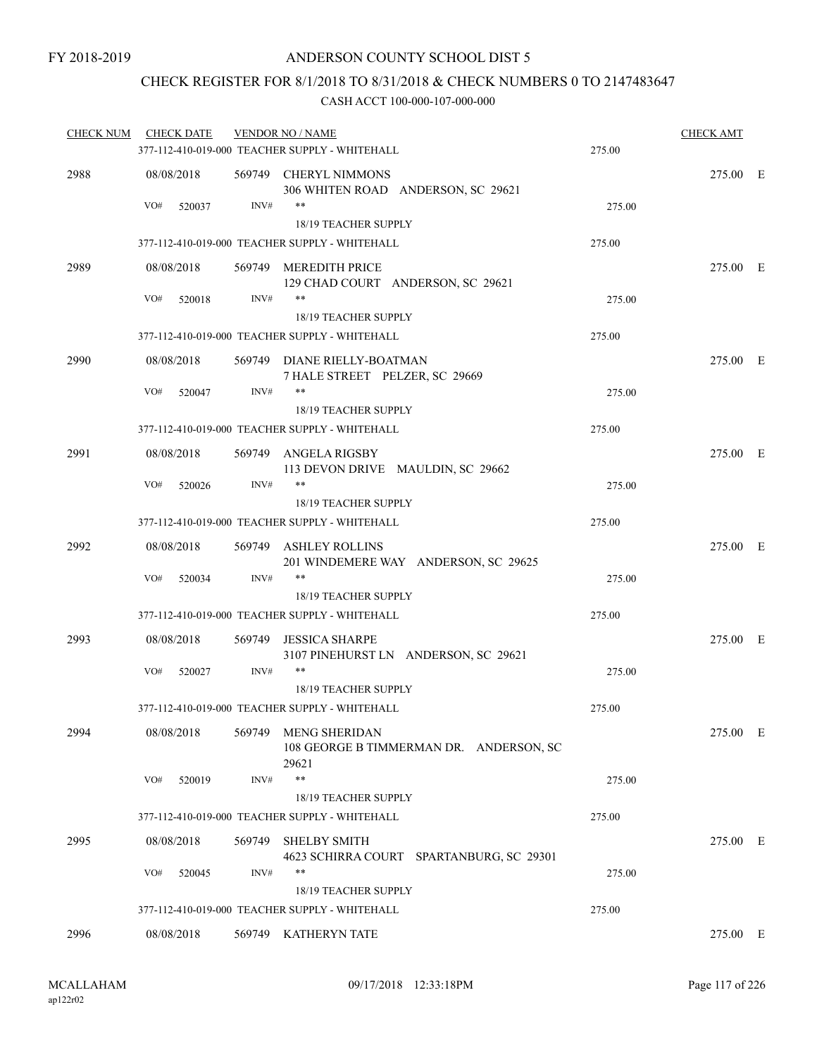### CHECK REGISTER FOR 8/1/2018 TO 8/31/2018 & CHECK NUMBERS 0 TO 2147483647

| <b>CHECK NUM</b> | <b>CHECK DATE</b> |        | <b>VENDOR NO / NAME</b>                                                       |        | <b>CHECK AMT</b> |  |
|------------------|-------------------|--------|-------------------------------------------------------------------------------|--------|------------------|--|
|                  |                   |        | 377-112-410-019-000 TEACHER SUPPLY - WHITEHALL                                | 275.00 |                  |  |
| 2988             | 08/08/2018        |        | 569749 CHERYL NIMMONS<br>306 WHITEN ROAD ANDERSON, SC 29621                   |        | 275.00 E         |  |
|                  | VO#<br>520037     | INV#   | **<br>18/19 TEACHER SUPPLY                                                    | 275.00 |                  |  |
|                  |                   |        | 377-112-410-019-000 TEACHER SUPPLY - WHITEHALL                                | 275.00 |                  |  |
| 2989             | 08/08/2018        |        | 569749 MEREDITH PRICE                                                         |        | 275.00 E         |  |
|                  |                   |        | 129 CHAD COURT ANDERSON, SC 29621                                             |        |                  |  |
|                  | VO#<br>520018     | INV#   | **                                                                            | 275.00 |                  |  |
|                  |                   |        | <b>18/19 TEACHER SUPPLY</b><br>377-112-410-019-000 TEACHER SUPPLY - WHITEHALL | 275.00 |                  |  |
|                  |                   |        |                                                                               |        | 275.00 E         |  |
| 2990             | 08/08/2018        |        | 569749 DIANE RIELLY-BOATMAN<br>7 HALE STREET PELZER, SC 29669                 |        |                  |  |
|                  | VO#<br>520047     | INV#   | **<br><b>18/19 TEACHER SUPPLY</b>                                             | 275.00 |                  |  |
|                  |                   |        | 377-112-410-019-000 TEACHER SUPPLY - WHITEHALL                                | 275.00 |                  |  |
| 2991             | 08/08/2018        |        | 569749 ANGELA RIGSBY                                                          |        | 275.00 E         |  |
|                  |                   |        | 113 DEVON DRIVE MAULDIN, SC 29662                                             |        |                  |  |
|                  | VO#<br>520026     | INV#   | **                                                                            | 275.00 |                  |  |
|                  |                   |        | <b>18/19 TEACHER SUPPLY</b><br>377-112-410-019-000 TEACHER SUPPLY - WHITEHALL | 275.00 |                  |  |
|                  |                   |        |                                                                               |        |                  |  |
| 2992             | 08/08/2018        |        | 569749 ASHLEY ROLLINS<br>201 WINDEMERE WAY ANDERSON, SC 29625                 |        | 275.00 E         |  |
|                  | VO#<br>520034     | INV#   | **                                                                            | 275.00 |                  |  |
|                  |                   |        | <b>18/19 TEACHER SUPPLY</b>                                                   |        |                  |  |
|                  |                   |        | 377-112-410-019-000 TEACHER SUPPLY - WHITEHALL                                | 275.00 |                  |  |
| 2993             | 08/08/2018        | 569749 | <b>JESSICA SHARPE</b><br>3107 PINEHURST LN ANDERSON, SC 29621                 |        | 275.00 E         |  |
|                  | VO#<br>520027     | INV#   | **                                                                            | 275.00 |                  |  |
|                  |                   |        | 18/19 TEACHER SUPPLY<br>377-112-410-019-000 TEACHER SUPPLY - WHITEHALL        | 275.00 |                  |  |
|                  |                   |        |                                                                               |        |                  |  |
| 2994             | 08/08/2018        | 569749 | <b>MENG SHERIDAN</b><br>108 GEORGE B TIMMERMAN DR. ANDERSON, SC<br>29621      |        | 275.00 E         |  |
|                  | VO#<br>520019     | INV#   | **                                                                            | 275.00 |                  |  |
|                  |                   |        | 18/19 TEACHER SUPPLY                                                          |        |                  |  |
|                  |                   |        | 377-112-410-019-000 TEACHER SUPPLY - WHITEHALL                                | 275.00 |                  |  |
| 2995             | 08/08/2018        | 569749 | <b>SHELBY SMITH</b><br>4623 SCHIRRA COURT SPARTANBURG, SC 29301               |        | 275.00 E         |  |
|                  | VO#<br>520045     | INV#   | **<br>18/19 TEACHER SUPPLY                                                    | 275.00 |                  |  |
|                  |                   |        | 377-112-410-019-000 TEACHER SUPPLY - WHITEHALL                                | 275.00 |                  |  |
| 2996             | 08/08/2018        |        | 569749 KATHERYN TATE                                                          |        | 275.00 E         |  |
|                  |                   |        |                                                                               |        |                  |  |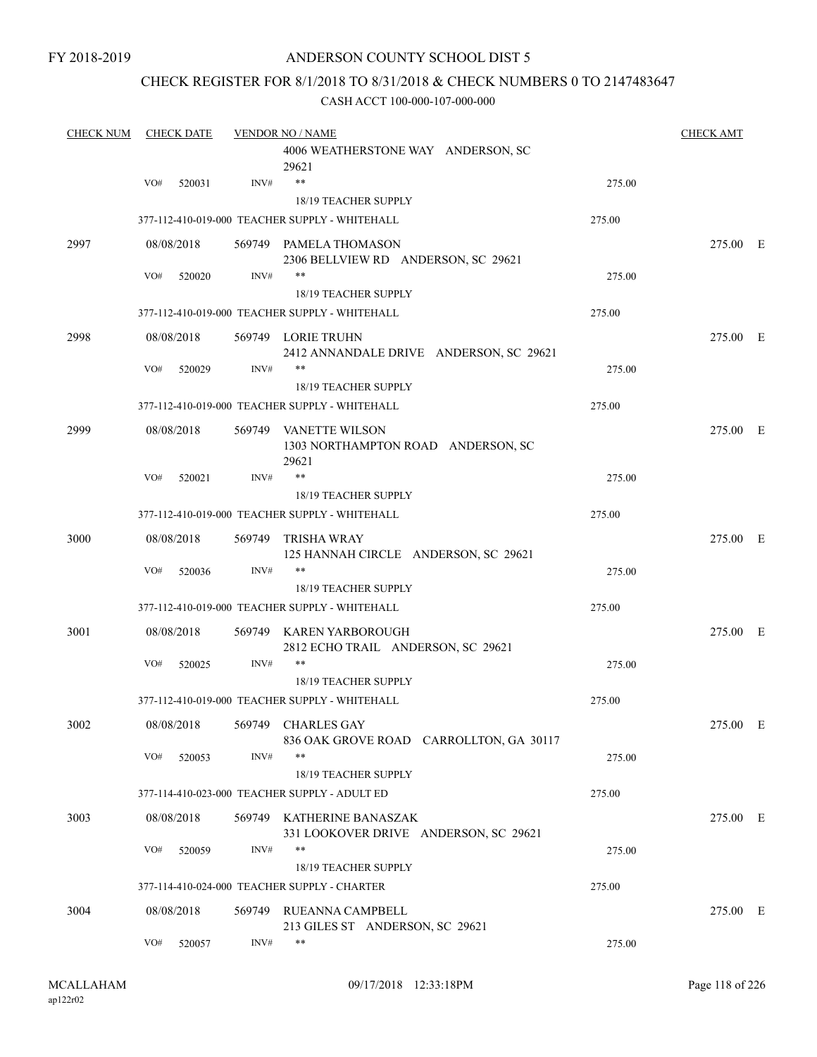### CHECK REGISTER FOR 8/1/2018 TO 8/31/2018 & CHECK NUMBERS 0 TO 2147483647

| <b>CHECK NUM</b> | <b>CHECK DATE</b> |            |        | <b>VENDOR NO / NAME</b>                                                  |        |          |  |  |
|------------------|-------------------|------------|--------|--------------------------------------------------------------------------|--------|----------|--|--|
|                  |                   |            |        | 4006 WEATHERSTONE WAY ANDERSON, SC<br>29621                              |        |          |  |  |
|                  | VO#               | 520031     | INV#   | $***$                                                                    | 275.00 |          |  |  |
|                  |                   |            |        | 18/19 TEACHER SUPPLY                                                     |        |          |  |  |
|                  |                   |            |        | 377-112-410-019-000 TEACHER SUPPLY - WHITEHALL                           | 275.00 |          |  |  |
| 2997             |                   | 08/08/2018 |        | 569749 PAMELA THOMASON<br>2306 BELLVIEW RD ANDERSON, SC 29621            |        | 275.00 E |  |  |
|                  | VO#               | 520020     | INV#   | $***$                                                                    | 275.00 |          |  |  |
|                  |                   |            |        | 18/19 TEACHER SUPPLY                                                     |        |          |  |  |
|                  |                   |            |        | 377-112-410-019-000 TEACHER SUPPLY - WHITEHALL                           | 275.00 |          |  |  |
| 2998             |                   | 08/08/2018 |        | 569749 LORIE TRUHN<br>2412 ANNANDALE DRIVE ANDERSON, SC 29621            |        | 275.00 E |  |  |
|                  | VO#               | 520029     | INV#   | **                                                                       | 275.00 |          |  |  |
|                  |                   |            |        | 18/19 TEACHER SUPPLY                                                     |        |          |  |  |
|                  |                   |            |        | 377-112-410-019-000 TEACHER SUPPLY - WHITEHALL                           | 275.00 |          |  |  |
| 2999             |                   | 08/08/2018 |        | 569749 VANETTE WILSON<br>1303 NORTHAMPTON ROAD ANDERSON, SC<br>29621     |        | 275.00 E |  |  |
|                  | VO#               | 520021     | INV#   | **                                                                       | 275.00 |          |  |  |
|                  |                   |            |        | 18/19 TEACHER SUPPLY                                                     |        |          |  |  |
|                  |                   |            |        | 377-112-410-019-000 TEACHER SUPPLY - WHITEHALL                           | 275.00 |          |  |  |
| 3000             |                   | 08/08/2018 | 569749 | <b>TRISHA WRAY</b>                                                       |        | 275.00 E |  |  |
|                  | VO#               | 520036     | INV#   | 125 HANNAH CIRCLE ANDERSON, SC 29621<br>**                               | 275.00 |          |  |  |
|                  |                   |            |        | 18/19 TEACHER SUPPLY                                                     |        |          |  |  |
|                  |                   |            |        | 377-112-410-019-000 TEACHER SUPPLY - WHITEHALL                           | 275.00 |          |  |  |
| 3001             |                   | 08/08/2018 |        | 569749 KAREN YARBOROUGH<br>2812 ECHO TRAIL ANDERSON, SC 29621            |        | 275.00 E |  |  |
|                  | VO#               | 520025     | INV#   | **                                                                       | 275.00 |          |  |  |
|                  |                   |            |        | <b>18/19 TEACHER SUPPLY</b>                                              |        |          |  |  |
|                  |                   |            |        | 377-112-410-019-000 TEACHER SUPPLY - WHITEHALL                           | 275.00 |          |  |  |
| 3002             |                   |            |        | 08/08/2018 569749 CHARLES GAY<br>836 OAK GROVE ROAD CARROLLTON, GA 30117 |        | 275.00 E |  |  |
|                  | VO#               | 520053     | INV#   | $***$                                                                    | 275.00 |          |  |  |
|                  |                   |            |        | 18/19 TEACHER SUPPLY                                                     |        |          |  |  |
|                  |                   |            |        | 377-114-410-023-000 TEACHER SUPPLY - ADULT ED                            | 275.00 |          |  |  |
| 3003             |                   | 08/08/2018 |        | 569749 KATHERINE BANASZAK<br>331 LOOKOVER DRIVE ANDERSON, SC 29621       |        | 275.00 E |  |  |
|                  | VO#               | 520059     | INV#   | $***$<br>18/19 TEACHER SUPPLY                                            | 275.00 |          |  |  |
|                  |                   |            |        | 377-114-410-024-000 TEACHER SUPPLY - CHARTER                             | 275.00 |          |  |  |
| 3004             |                   | 08/08/2018 | 569749 | RUEANNA CAMPBELL                                                         |        | 275.00 E |  |  |
|                  |                   |            |        | 213 GILES ST ANDERSON, SC 29621                                          |        |          |  |  |
|                  | VO#               | 520057     | INV#   | $***$                                                                    | 275.00 |          |  |  |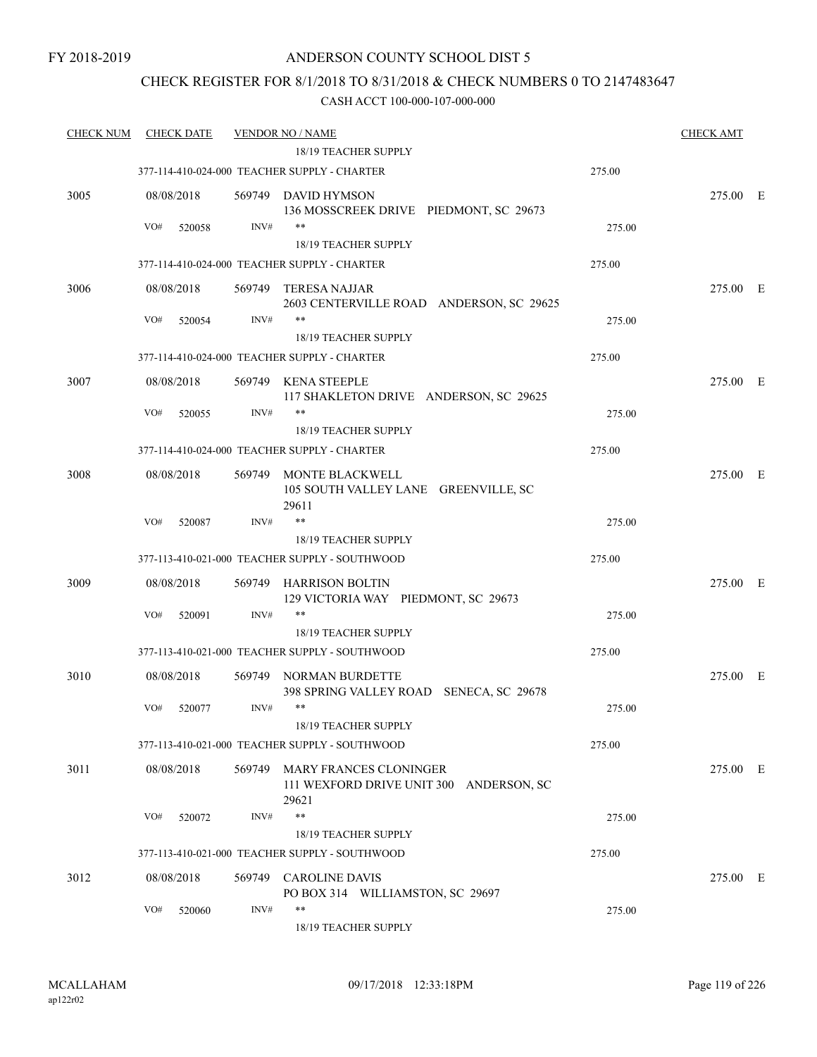### ANDERSON COUNTY SCHOOL DIST 5

### CHECK REGISTER FOR 8/1/2018 TO 8/31/2018 & CHECK NUMBERS 0 TO 2147483647

| <b>CHECK NUM</b> | <b>CHECK DATE</b> |        | <b>VENDOR NO / NAME</b>                                                           |        | <b>CHECK AMT</b> |  |
|------------------|-------------------|--------|-----------------------------------------------------------------------------------|--------|------------------|--|
|                  |                   |        | 18/19 TEACHER SUPPLY                                                              |        |                  |  |
|                  |                   |        | 377-114-410-024-000 TEACHER SUPPLY - CHARTER                                      | 275.00 |                  |  |
| 3005             | 08/08/2018        |        | 569749 DAVID HYMSON<br>136 MOSSCREEK DRIVE PIEDMONT, SC 29673                     |        | 275.00 E         |  |
|                  | VO#<br>520058     | INV#   | $***$<br>18/19 TEACHER SUPPLY                                                     | 275.00 |                  |  |
|                  |                   |        |                                                                                   |        |                  |  |
|                  |                   |        | 377-114-410-024-000 TEACHER SUPPLY - CHARTER                                      | 275.00 |                  |  |
| 3006             | 08/08/2018        | 569749 | <b>TERESA NAJJAR</b><br>2603 CENTERVILLE ROAD ANDERSON, SC 29625                  |        | 275.00 E         |  |
|                  | VO#<br>520054     | INV#   | **<br>18/19 TEACHER SUPPLY                                                        | 275.00 |                  |  |
|                  |                   |        | 377-114-410-024-000 TEACHER SUPPLY - CHARTER                                      | 275.00 |                  |  |
| 3007             | 08/08/2018        |        | 569749 KENA STEEPLE                                                               |        | 275.00 E         |  |
|                  |                   |        | 117 SHAKLETON DRIVE ANDERSON, SC 29625                                            |        |                  |  |
|                  | VO#<br>520055     | INV#   | $***$                                                                             | 275.00 |                  |  |
|                  |                   |        | 18/19 TEACHER SUPPLY                                                              |        |                  |  |
|                  |                   |        | 377-114-410-024-000 TEACHER SUPPLY - CHARTER                                      | 275.00 |                  |  |
| 3008             | 08/08/2018        | 569749 | MONTE BLACKWELL<br>105 SOUTH VALLEY LANE GREENVILLE, SC<br>29611                  |        | 275.00 E         |  |
|                  | VO#<br>520087     | INV#   | $***$                                                                             | 275.00 |                  |  |
|                  |                   |        | 18/19 TEACHER SUPPLY                                                              |        |                  |  |
|                  |                   |        | 377-113-410-021-000 TEACHER SUPPLY - SOUTHWOOD                                    | 275.00 |                  |  |
| 3009             | 08/08/2018        | 569749 | HARRISON BOLTIN<br>129 VICTORIA WAY PIEDMONT, SC 29673                            |        | 275.00 E         |  |
|                  | VO#<br>520091     | INV#   | $***$                                                                             | 275.00 |                  |  |
|                  |                   |        | 18/19 TEACHER SUPPLY                                                              |        |                  |  |
|                  |                   |        | 377-113-410-021-000 TEACHER SUPPLY - SOUTHWOOD                                    | 275.00 |                  |  |
| 3010             | 08/08/2018        |        | 569749 NORMAN BURDETTE<br>398 SPRING VALLEY ROAD SENECA, SC 29678                 |        | 275.00 E         |  |
|                  | VO#<br>520077     | INV#   | **<br>18/19 TEACHER SUPPLY                                                        | 275.00 |                  |  |
|                  |                   |        | 377-113-410-021-000 TEACHER SUPPLY - SOUTHWOOD                                    | 275.00 |                  |  |
|                  |                   |        |                                                                                   |        |                  |  |
| 3011             | 08/08/2018        |        | 569749 MARY FRANCES CLONINGER<br>111 WEXFORD DRIVE UNIT 300 ANDERSON, SC<br>29621 |        | 275.00 E         |  |
|                  | VO#<br>520072     | INV#   | $***$                                                                             | 275.00 |                  |  |
|                  |                   |        | 18/19 TEACHER SUPPLY                                                              |        |                  |  |
|                  |                   |        | 377-113-410-021-000 TEACHER SUPPLY - SOUTHWOOD                                    | 275.00 |                  |  |
| 3012             | 08/08/2018        |        | 569749 CAROLINE DAVIS<br>PO BOX 314 WILLIAMSTON, SC 29697                         |        | 275.00 E         |  |
|                  | VO#<br>520060     | INV#   | $***$<br>18/19 TEACHER SUPPLY                                                     | 275.00 |                  |  |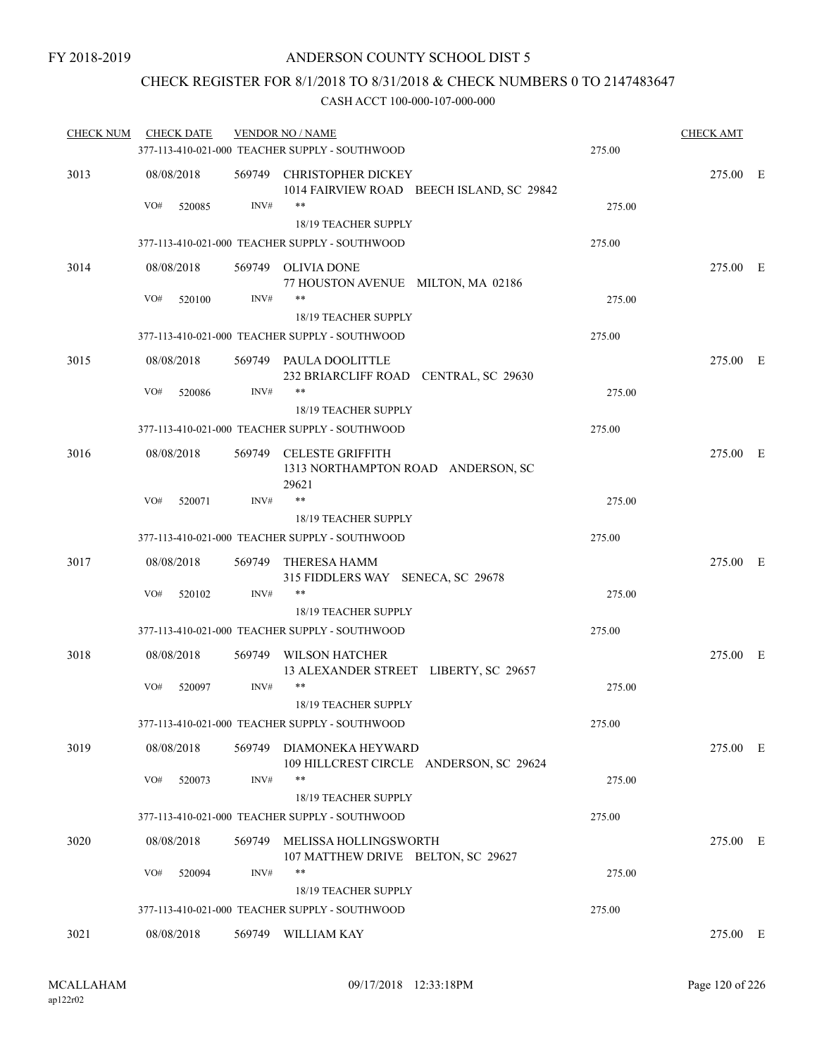### CHECK REGISTER FOR 8/1/2018 TO 8/31/2018 & CHECK NUMBERS 0 TO 2147483647

| <b>CHECK NUM</b> | <b>CHECK DATE</b> |        | <b>VENDOR NO / NAME</b>                                                       |        | <b>CHECK AMT</b> |  |
|------------------|-------------------|--------|-------------------------------------------------------------------------------|--------|------------------|--|
|                  |                   |        | 377-113-410-021-000 TEACHER SUPPLY - SOUTHWOOD                                | 275.00 |                  |  |
| 3013             | 08/08/2018        | 569749 | CHRISTOPHER DICKEY<br>1014 FAIRVIEW ROAD BEECH ISLAND, SC 29842               |        | 275.00 E         |  |
|                  | VO#<br>520085     | INV#   | **<br>18/19 TEACHER SUPPLY                                                    | 275.00 |                  |  |
|                  |                   |        | 377-113-410-021-000 TEACHER SUPPLY - SOUTHWOOD                                | 275.00 |                  |  |
| 3014             | 08/08/2018        |        | 569749 OLIVIA DONE                                                            |        | 275.00 E         |  |
|                  |                   |        | 77 HOUSTON AVENUE MILTON, MA 02186                                            |        |                  |  |
|                  | VO#<br>520100     | INV#   | **                                                                            | 275.00 |                  |  |
|                  |                   |        | 18/19 TEACHER SUPPLY                                                          |        |                  |  |
|                  |                   |        | 377-113-410-021-000 TEACHER SUPPLY - SOUTHWOOD                                | 275.00 |                  |  |
| 3015             | 08/08/2018        |        | 569749 PAULA DOOLITTLE<br>232 BRIARCLIFF ROAD CENTRAL, SC 29630               |        | 275.00 E         |  |
|                  | VO#<br>520086     | INV#   | **                                                                            | 275.00 |                  |  |
|                  |                   |        | 18/19 TEACHER SUPPLY                                                          |        |                  |  |
|                  |                   |        | 377-113-410-021-000 TEACHER SUPPLY - SOUTHWOOD                                | 275.00 |                  |  |
| 3016             | 08/08/2018        |        | 569749 CELESTE GRIFFITH<br>1313 NORTHAMPTON ROAD ANDERSON, SC<br>29621        |        | 275.00 E         |  |
|                  | VO#<br>520071     | INV#   | $***$                                                                         | 275.00 |                  |  |
|                  |                   |        | <b>18/19 TEACHER SUPPLY</b>                                                   |        |                  |  |
|                  |                   |        | 377-113-410-021-000 TEACHER SUPPLY - SOUTHWOOD                                | 275.00 |                  |  |
| 3017             | 08/08/2018        |        | 569749 THERESA HAMM<br>315 FIDDLERS WAY SENECA, SC 29678                      |        | 275.00 E         |  |
|                  | VO#<br>520102     | INV#   | **                                                                            | 275.00 |                  |  |
|                  |                   |        | 18/19 TEACHER SUPPLY                                                          |        |                  |  |
|                  |                   |        | 377-113-410-021-000 TEACHER SUPPLY - SOUTHWOOD                                | 275.00 |                  |  |
| 3018             | 08/08/2018        |        | 569749 WILSON HATCHER<br>13 ALEXANDER STREET LIBERTY, SC 29657                |        | 275.00 E         |  |
|                  | VO#<br>520097     | INV#   | **                                                                            | 275.00 |                  |  |
|                  |                   |        | <b>18/19 TEACHER SUPPLY</b><br>377-113-410-021-000 TEACHER SUPPLY - SOUTHWOOD | 275.00 |                  |  |
|                  |                   |        |                                                                               |        |                  |  |
| 3019             | 08/08/2018        |        | 569749 DIAMONEKA HEYWARD<br>109 HILLCREST CIRCLE ANDERSON, SC 29624<br>**     |        | 275.00 E         |  |
|                  | VO#<br>520073     | INV#   | 18/19 TEACHER SUPPLY                                                          | 275.00 |                  |  |
|                  |                   |        | 377-113-410-021-000 TEACHER SUPPLY - SOUTHWOOD                                | 275.00 |                  |  |
|                  |                   |        |                                                                               |        |                  |  |
| 3020             | 08/08/2018        |        | 569749 MELISSA HOLLINGSWORTH<br>107 MATTHEW DRIVE BELTON, SC 29627<br>**      |        | 275.00 E         |  |
|                  | VO#<br>520094     | INV#   | 18/19 TEACHER SUPPLY                                                          | 275.00 |                  |  |
|                  |                   |        | 377-113-410-021-000 TEACHER SUPPLY - SOUTHWOOD                                | 275.00 |                  |  |
|                  |                   |        |                                                                               |        |                  |  |
| 3021             | 08/08/2018        |        | 569749 WILLIAM KAY                                                            |        | 275.00 E         |  |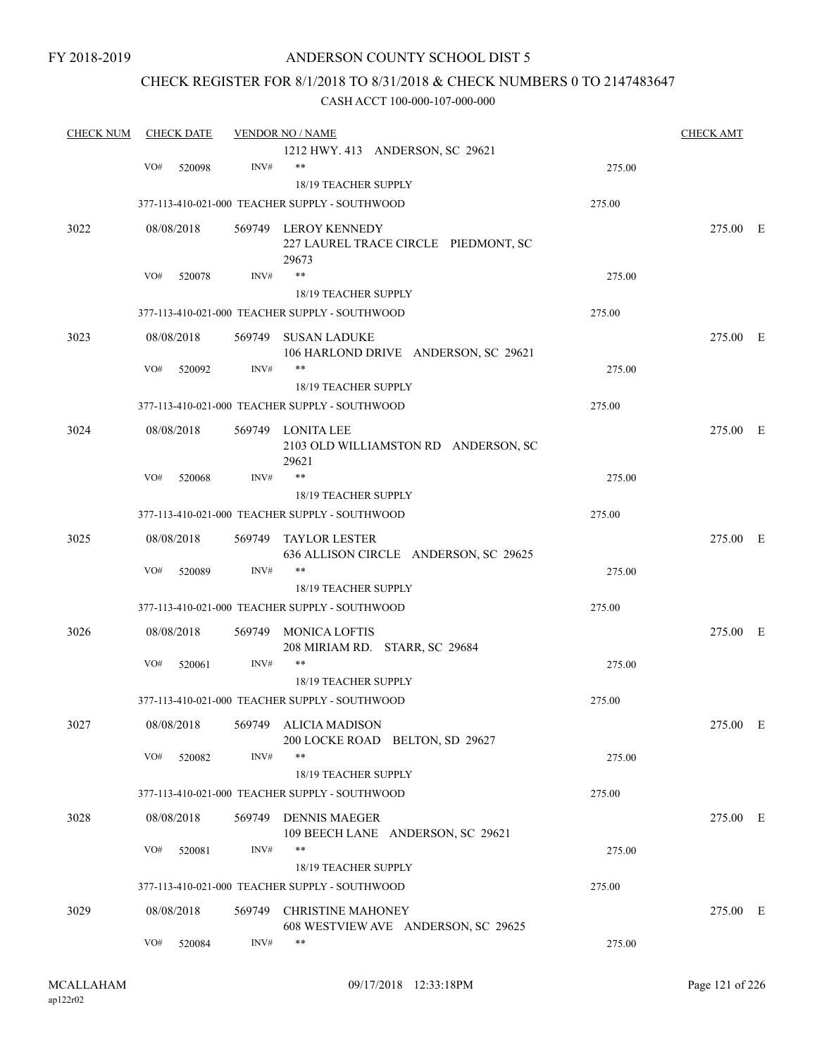### ANDERSON COUNTY SCHOOL DIST 5

### CHECK REGISTER FOR 8/1/2018 TO 8/31/2018 & CHECK NUMBERS 0 TO 2147483647

| <b>CHECK NUM</b> |     | <b>CHECK DATE</b> |        | <b>VENDOR NO / NAME</b>                                               |        | <b>CHECK AMT</b> |  |
|------------------|-----|-------------------|--------|-----------------------------------------------------------------------|--------|------------------|--|
|                  |     |                   |        | 1212 HWY. 413 ANDERSON, SC 29621                                      |        |                  |  |
|                  | VO# | 520098            | INV#   | $***$                                                                 | 275.00 |                  |  |
|                  |     |                   |        | 18/19 TEACHER SUPPLY                                                  |        |                  |  |
|                  |     |                   |        | 377-113-410-021-000 TEACHER SUPPLY - SOUTHWOOD                        | 275.00 |                  |  |
| 3022             |     | 08/08/2018        |        | 569749 LEROY KENNEDY<br>227 LAUREL TRACE CIRCLE PIEDMONT, SC<br>29673 |        | 275.00 E         |  |
|                  | VO# | 520078            | INV#   | $***$                                                                 | 275.00 |                  |  |
|                  |     |                   |        | 18/19 TEACHER SUPPLY                                                  |        |                  |  |
|                  |     |                   |        | 377-113-410-021-000 TEACHER SUPPLY - SOUTHWOOD                        | 275.00 |                  |  |
| 3023             |     | 08/08/2018        |        | 569749 SUSAN LADUKE<br>106 HARLOND DRIVE ANDERSON, SC 29621           |        | 275.00 E         |  |
|                  | VO# | 520092            | INV#   | $***$                                                                 | 275.00 |                  |  |
|                  |     |                   |        | <b>18/19 TEACHER SUPPLY</b>                                           |        |                  |  |
|                  |     |                   |        | 377-113-410-021-000 TEACHER SUPPLY - SOUTHWOOD                        | 275.00 |                  |  |
| 3024             |     | 08/08/2018        |        | 569749 LONITA LEE<br>2103 OLD WILLIAMSTON RD ANDERSON, SC<br>29621    |        | 275.00 E         |  |
|                  | VO# | 520068            | INV#   | $***$                                                                 | 275.00 |                  |  |
|                  |     |                   |        | 18/19 TEACHER SUPPLY                                                  |        |                  |  |
|                  |     |                   |        | 377-113-410-021-000 TEACHER SUPPLY - SOUTHWOOD                        | 275.00 |                  |  |
| 3025             |     | 08/08/2018        | 569749 | <b>TAYLOR LESTER</b>                                                  |        | 275.00 E         |  |
|                  |     |                   |        | 636 ALLISON CIRCLE ANDERSON, SC 29625<br>$***$                        |        |                  |  |
|                  | VO# | 520089            | INV#   |                                                                       | 275.00 |                  |  |
|                  |     |                   |        | 18/19 TEACHER SUPPLY                                                  |        |                  |  |
|                  |     |                   |        | 377-113-410-021-000 TEACHER SUPPLY - SOUTHWOOD                        | 275.00 |                  |  |
| 3026             |     | 08/08/2018        | 569749 | <b>MONICA LOFTIS</b><br>208 MIRIAM RD. STARR, SC 29684                |        | 275.00 E         |  |
|                  | VO# | 520061            | INV#   | $***$                                                                 | 275.00 |                  |  |
|                  |     |                   |        | 18/19 TEACHER SUPPLY                                                  |        |                  |  |
|                  |     |                   |        | 377-113-410-021-000 TEACHER SUPPLY - SOUTHWOOD                        | 275.00 |                  |  |
| 3027             |     |                   |        | 08/08/2018 569749 ALICIA MADISON                                      |        | 275.00 E         |  |
|                  | VO# | 520082            | INV#   | 200 LOCKE ROAD BELTON, SD 29627<br>$***$                              | 275.00 |                  |  |
|                  |     |                   |        | 18/19 TEACHER SUPPLY                                                  |        |                  |  |
|                  |     |                   |        | 377-113-410-021-000 TEACHER SUPPLY - SOUTHWOOD                        | 275.00 |                  |  |
| 3028             |     | 08/08/2018        |        | 569749 DENNIS MAEGER                                                  |        | 275.00 E         |  |
|                  |     |                   |        | 109 BEECH LANE ANDERSON, SC 29621                                     |        |                  |  |
|                  | VO# | 520081            | INV#   | $***$<br>18/19 TEACHER SUPPLY                                         | 275.00 |                  |  |
|                  |     |                   |        | 377-113-410-021-000 TEACHER SUPPLY - SOUTHWOOD                        | 275.00 |                  |  |
|                  |     |                   |        |                                                                       |        |                  |  |
| 3029             |     | 08/08/2018        | 569749 | <b>CHRISTINE MAHONEY</b>                                              |        | 275.00 E         |  |
|                  | VO# | 520084            | INV#   | 608 WESTVIEW AVE ANDERSON, SC 29625<br>$***$                          | 275.00 |                  |  |
|                  |     |                   |        |                                                                       |        |                  |  |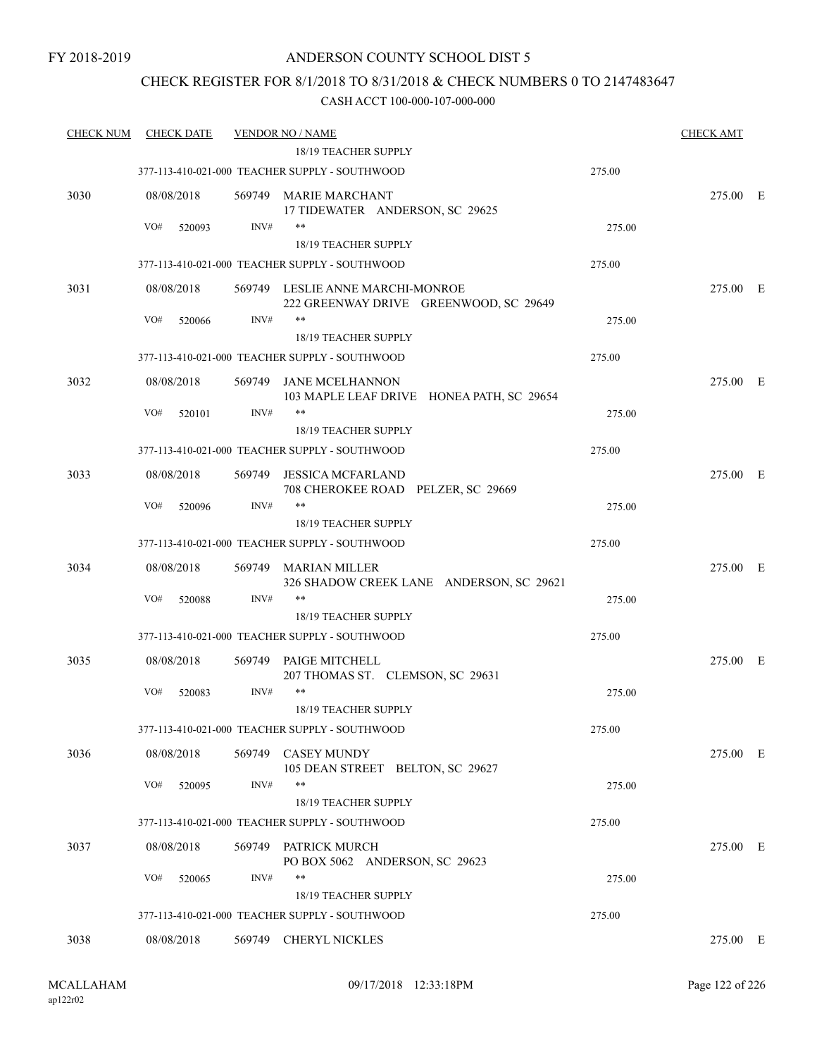### CHECK REGISTER FOR 8/1/2018 TO 8/31/2018 & CHECK NUMBERS 0 TO 2147483647

| <u>CHECK NUM</u> | <b>CHECK DATE</b> |        | <b>VENDOR NO / NAME</b>                                                    |        | <b>CHECK AMT</b> |  |
|------------------|-------------------|--------|----------------------------------------------------------------------------|--------|------------------|--|
|                  |                   |        | 18/19 TEACHER SUPPLY                                                       |        |                  |  |
|                  |                   |        | 377-113-410-021-000 TEACHER SUPPLY - SOUTHWOOD                             | 275.00 |                  |  |
| 3030             | 08/08/2018        |        | 569749 MARIE MARCHANT<br>17 TIDEWATER ANDERSON, SC 29625                   |        | 275.00 E         |  |
|                  | VO#<br>520093     | INV#   | **                                                                         | 275.00 |                  |  |
|                  |                   |        | 18/19 TEACHER SUPPLY                                                       |        |                  |  |
|                  |                   |        | 377-113-410-021-000 TEACHER SUPPLY - SOUTHWOOD                             | 275.00 |                  |  |
| 3031             | 08/08/2018        |        | 569749 LESLIE ANNE MARCHI-MONROE<br>222 GREENWAY DRIVE GREENWOOD, SC 29649 |        | 275.00 E         |  |
|                  | VO#<br>520066     | INV#   | **                                                                         | 275.00 |                  |  |
|                  |                   |        | 18/19 TEACHER SUPPLY                                                       |        |                  |  |
|                  |                   |        | 377-113-410-021-000 TEACHER SUPPLY - SOUTHWOOD                             | 275.00 |                  |  |
| 3032             | 08/08/2018        | 569749 | JANE MCELHANNON<br>103 MAPLE LEAF DRIVE HONEA PATH, SC 29654               |        | 275.00 E         |  |
|                  | VO#<br>520101     | INV#   | **                                                                         | 275.00 |                  |  |
|                  |                   |        | 18/19 TEACHER SUPPLY                                                       |        |                  |  |
|                  |                   |        | 377-113-410-021-000 TEACHER SUPPLY - SOUTHWOOD                             | 275.00 |                  |  |
| 3033             | 08/08/2018        | 569749 | <b>JESSICA MCFARLAND</b><br>708 CHEROKEE ROAD PELZER, SC 29669             |        | 275.00 E         |  |
|                  | VO#<br>520096     | INV#   | **                                                                         | 275.00 |                  |  |
|                  |                   |        | 18/19 TEACHER SUPPLY                                                       |        |                  |  |
|                  |                   |        | 377-113-410-021-000 TEACHER SUPPLY - SOUTHWOOD                             | 275.00 |                  |  |
| 3034             | 08/08/2018        | 569749 | MARIAN MILLER<br>326 SHADOW CREEK LANE ANDERSON, SC 29621                  |        | 275.00 E         |  |
|                  | VO#<br>520088     | INV#   | **                                                                         | 275.00 |                  |  |
|                  |                   |        | 18/19 TEACHER SUPPLY                                                       |        |                  |  |
|                  |                   |        | 377-113-410-021-000 TEACHER SUPPLY - SOUTHWOOD                             | 275.00 |                  |  |
| 3035             | 08/08/2018        |        | 569749 PAIGE MITCHELL<br>207 THOMAS ST. CLEMSON, SC 29631                  |        | 275.00 E         |  |
|                  | VO#<br>520083     | INV#   | $***$<br>18/19 TEACHER SUPPLY                                              | 275.00 |                  |  |
|                  |                   |        | 377-113-410-021-000 TEACHER SUPPLY - SOUTHWOOD                             | 275.00 |                  |  |
| 3036             | 08/08/2018        | 569749 | <b>CASEY MUNDY</b><br>105 DEAN STREET BELTON, SC 29627                     |        | 275.00 E         |  |
|                  | VO#<br>520095     | INV#   | $***$                                                                      | 275.00 |                  |  |
|                  |                   |        | 18/19 TEACHER SUPPLY                                                       |        |                  |  |
|                  |                   |        | 377-113-410-021-000 TEACHER SUPPLY - SOUTHWOOD                             | 275.00 |                  |  |
| 3037             | 08/08/2018        |        | 569749 PATRICK MURCH<br>PO BOX 5062 ANDERSON, SC 29623                     |        | 275.00 E         |  |
|                  | VO#<br>520065     | INV#   | **                                                                         | 275.00 |                  |  |
|                  |                   |        | 18/19 TEACHER SUPPLY                                                       |        |                  |  |
|                  |                   |        | 377-113-410-021-000 TEACHER SUPPLY - SOUTHWOOD                             | 275.00 |                  |  |
| 3038             | 08/08/2018        |        | 569749 CHERYL NICKLES                                                      |        | 275.00 E         |  |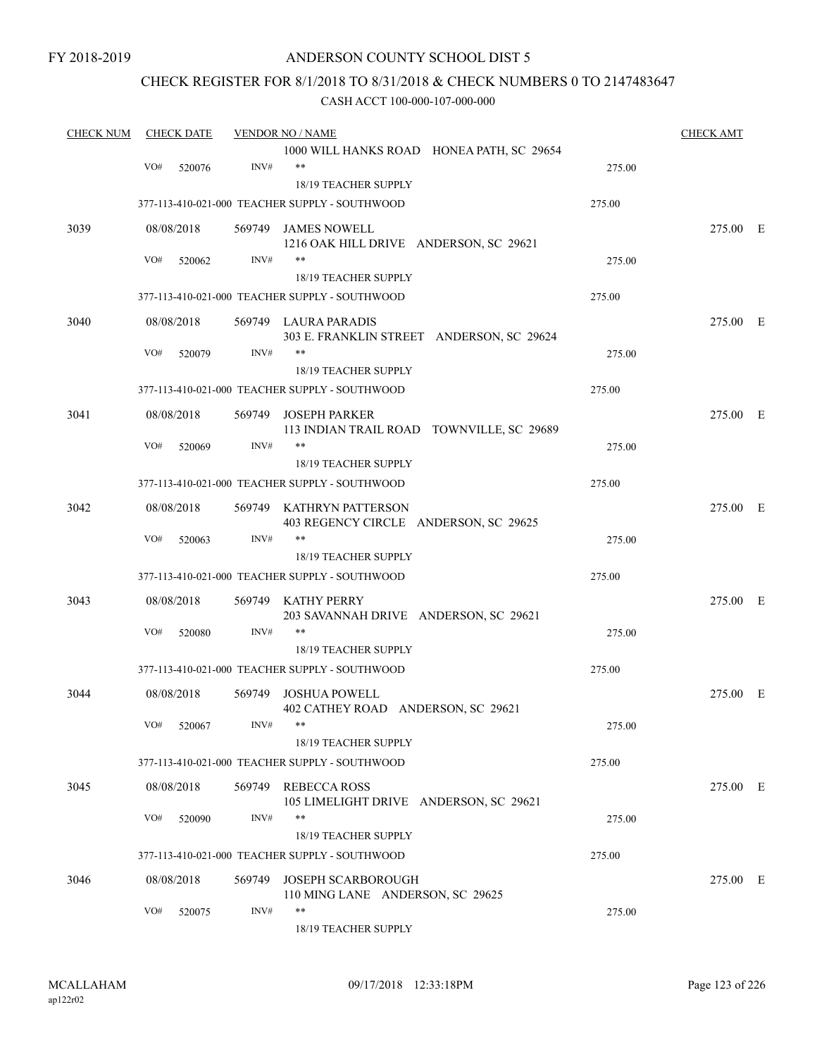### ANDERSON COUNTY SCHOOL DIST 5

### CHECK REGISTER FOR 8/1/2018 TO 8/31/2018 & CHECK NUMBERS 0 TO 2147483647

| <b>CHECK NUM</b> | <b>CHECK DATE</b> |        | <b>VENDOR NO / NAME</b>                                           |        | <b>CHECK AMT</b> |  |
|------------------|-------------------|--------|-------------------------------------------------------------------|--------|------------------|--|
|                  |                   |        | 1000 WILL HANKS ROAD HONEA PATH, SC 29654                         |        |                  |  |
|                  | VO#<br>520076     | INV#   | $***$<br>18/19 TEACHER SUPPLY                                     | 275.00 |                  |  |
|                  |                   |        | 377-113-410-021-000 TEACHER SUPPLY - SOUTHWOOD                    | 275.00 |                  |  |
|                  |                   |        |                                                                   |        |                  |  |
| 3039             | 08/08/2018        |        | 569749 JAMES NOWELL<br>1216 OAK HILL DRIVE ANDERSON, SC 29621     |        | 275.00 E         |  |
|                  | VO#<br>520062     | INV#   | $***$                                                             | 275.00 |                  |  |
|                  |                   |        | <b>18/19 TEACHER SUPPLY</b>                                       |        |                  |  |
|                  |                   |        | 377-113-410-021-000 TEACHER SUPPLY - SOUTHWOOD                    | 275.00 |                  |  |
| 3040             | 08/08/2018        |        | 569749 LAURA PARADIS                                              |        | 275.00 E         |  |
|                  |                   |        | 303 E. FRANKLIN STREET ANDERSON, SC 29624                         |        |                  |  |
|                  | VO#<br>520079     | INV#   | **                                                                | 275.00 |                  |  |
|                  |                   |        | 18/19 TEACHER SUPPLY                                              |        |                  |  |
|                  |                   |        | 377-113-410-021-000 TEACHER SUPPLY - SOUTHWOOD                    | 275.00 |                  |  |
| 3041             | 08/08/2018        | 569749 | <b>JOSEPH PARKER</b>                                              |        | 275.00 E         |  |
|                  |                   |        | 113 INDIAN TRAIL ROAD TOWNVILLE, SC 29689                         |        |                  |  |
|                  | VO#<br>520069     | INV#   | $***$                                                             | 275.00 |                  |  |
|                  |                   |        | 18/19 TEACHER SUPPLY                                              |        |                  |  |
|                  |                   |        | 377-113-410-021-000 TEACHER SUPPLY - SOUTHWOOD                    | 275.00 |                  |  |
| 3042             | 08/08/2018        |        | 569749 KATHRYN PATTERSON<br>403 REGENCY CIRCLE ANDERSON, SC 29625 |        | 275.00 E         |  |
|                  | VO#<br>520063     | INV#   | $***$                                                             | 275.00 |                  |  |
|                  |                   |        | 18/19 TEACHER SUPPLY                                              |        |                  |  |
|                  |                   |        | 377-113-410-021-000 TEACHER SUPPLY - SOUTHWOOD                    | 275.00 |                  |  |
| 3043             | 08/08/2018        | 569749 | KATHY PERRY<br>203 SAVANNAH DRIVE ANDERSON, SC 29621              |        | 275.00 E         |  |
|                  | VO#<br>520080     | INV#   | **                                                                | 275.00 |                  |  |
|                  |                   |        | 18/19 TEACHER SUPPLY                                              |        |                  |  |
|                  |                   |        | 377-113-410-021-000 TEACHER SUPPLY - SOUTHWOOD                    | 275.00 |                  |  |
| 3044             | 08/08/2018        | 569749 | JOSHUA POWELL<br>402 CATHEY ROAD ANDERSON, SC 29621               |        | 275.00 E         |  |
|                  | VO# 520067        | INV#   | 18/19 TEACHER SUPPLY                                              | 275.00 |                  |  |
|                  |                   |        | 377-113-410-021-000 TEACHER SUPPLY - SOUTHWOOD                    | 275.00 |                  |  |
| 3045             | 08/08/2018        |        | 569749 REBECCA ROSS<br>105 LIMELIGHT DRIVE ANDERSON, SC 29621     |        | 275.00 E         |  |
|                  | VO#<br>520090     | INV#   | $***$                                                             | 275.00 |                  |  |
|                  |                   |        | 18/19 TEACHER SUPPLY                                              |        |                  |  |
|                  |                   |        | 377-113-410-021-000 TEACHER SUPPLY - SOUTHWOOD                    | 275.00 |                  |  |
| 3046             | 08/08/2018        | 569749 | <b>JOSEPH SCARBOROUGH</b>                                         |        | 275.00 E         |  |
|                  |                   |        | 110 MING LANE ANDERSON, SC 29625                                  |        |                  |  |
|                  | VO#<br>520075     | INV#   | **<br>18/19 TEACHER SUPPLY                                        | 275.00 |                  |  |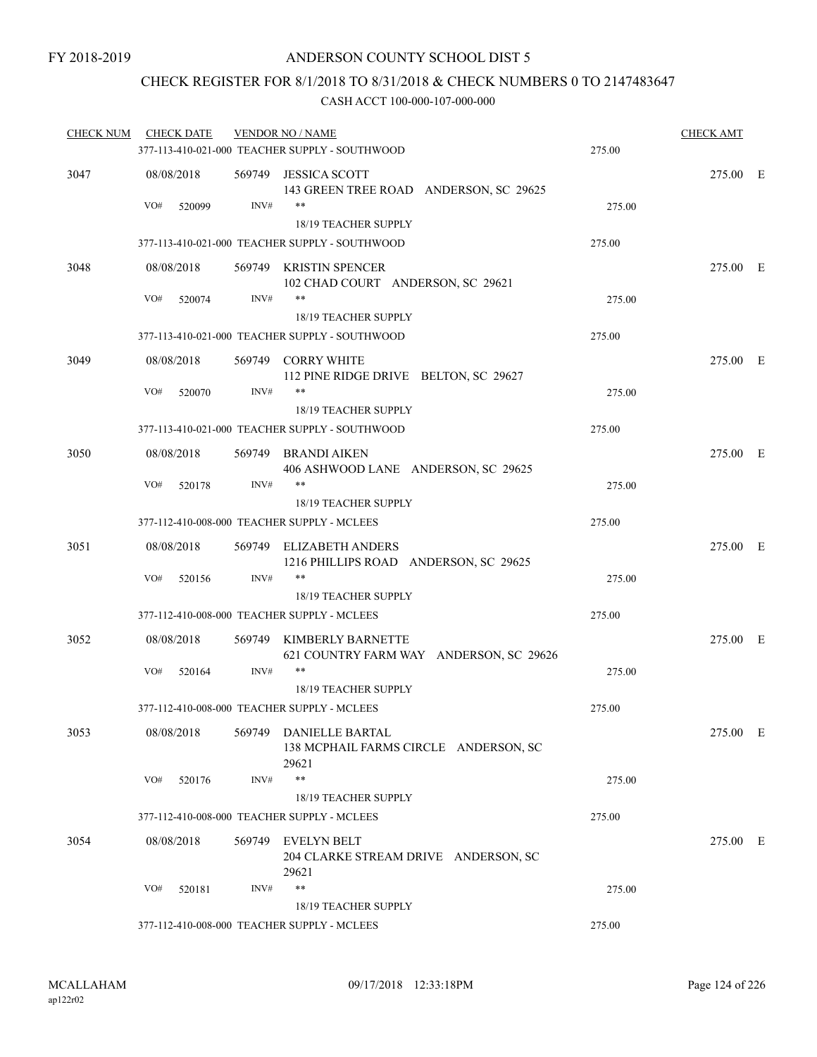### CHECK REGISTER FOR 8/1/2018 TO 8/31/2018 & CHECK NUMBERS 0 TO 2147483647

| <b>CHECK NUM</b> | <b>CHECK DATE</b> |        | <b>VENDOR NO / NAME</b><br>377-113-410-021-000 TEACHER SUPPLY - SOUTHWOOD | 275.00 | <b>CHECK AMT</b> |  |
|------------------|-------------------|--------|---------------------------------------------------------------------------|--------|------------------|--|
|                  |                   |        |                                                                           |        |                  |  |
| 3047             | 08/08/2018        | INV#   | 569749 JESSICA SCOTT<br>143 GREEN TREE ROAD ANDERSON, SC 29625<br>**      |        | 275.00 E         |  |
|                  | VO#<br>520099     |        | 18/19 TEACHER SUPPLY                                                      | 275.00 |                  |  |
|                  |                   |        | 377-113-410-021-000 TEACHER SUPPLY - SOUTHWOOD                            | 275.00 |                  |  |
| 3048             | 08/08/2018        |        | 569749 KRISTIN SPENCER<br>102 CHAD COURT ANDERSON, SC 29621               |        | 275.00 E         |  |
|                  | VO#<br>520074     | INV#   | $***$<br>18/19 TEACHER SUPPLY                                             | 275.00 |                  |  |
|                  |                   |        | 377-113-410-021-000 TEACHER SUPPLY - SOUTHWOOD                            | 275.00 |                  |  |
| 3049             | 08/08/2018        |        | 569749 CORRY WHITE<br>112 PINE RIDGE DRIVE BELTON, SC 29627               |        | 275.00 E         |  |
|                  | VO#<br>520070     | INV#   | **                                                                        | 275.00 |                  |  |
|                  |                   |        | 18/19 TEACHER SUPPLY                                                      |        |                  |  |
|                  |                   |        | 377-113-410-021-000 TEACHER SUPPLY - SOUTHWOOD                            | 275.00 |                  |  |
| 3050             | 08/08/2018        |        | 569749 BRANDI AIKEN<br>406 ASHWOOD LANE ANDERSON, SC 29625                |        | 275.00 E         |  |
|                  | VO#<br>520178     | INV#   | **<br>18/19 TEACHER SUPPLY                                                | 275.00 |                  |  |
|                  |                   |        | 377-112-410-008-000 TEACHER SUPPLY - MCLEES                               | 275.00 |                  |  |
| 3051             | 08/08/2018        |        | 569749 ELIZABETH ANDERS<br>1216 PHILLIPS ROAD ANDERSON, SC 29625          |        | 275.00 E         |  |
|                  | VO#<br>520156     | INV#   | **                                                                        | 275.00 |                  |  |
|                  |                   |        | 18/19 TEACHER SUPPLY                                                      |        |                  |  |
|                  |                   |        | 377-112-410-008-000 TEACHER SUPPLY - MCLEES                               | 275.00 |                  |  |
| 3052             | 08/08/2018        | 569749 | KIMBERLY BARNETTE<br>621 COUNTRY FARM WAY ANDERSON, SC 29626<br>$***$     |        | 275.00 E         |  |
|                  | VO#<br>520164     | INV#   | 18/19 TEACHER SUPPLY                                                      | 275.00 |                  |  |
|                  |                   |        | 377-112-410-008-000 TEACHER SUPPLY - MCLEES                               | 275.00 |                  |  |
| 3053             | 08/08/2018        |        | 569749 DANIELLE BARTAL<br>138 MCPHAIL FARMS CIRCLE ANDERSON, SC           |        | 275.00 E         |  |
|                  | VO#<br>520176     | INV#   | 29621<br>**                                                               | 275.00 |                  |  |
|                  |                   |        | 18/19 TEACHER SUPPLY                                                      |        |                  |  |
|                  |                   |        | 377-112-410-008-000 TEACHER SUPPLY - MCLEES                               | 275.00 |                  |  |
| 3054             | 08/08/2018        |        | 569749 EVELYN BELT<br>204 CLARKE STREAM DRIVE ANDERSON, SC                |        | 275.00 E         |  |
|                  | VO#<br>520181     | INV#   | 29621<br>**                                                               | 275.00 |                  |  |
|                  |                   |        | 18/19 TEACHER SUPPLY                                                      |        |                  |  |
|                  |                   |        | 377-112-410-008-000 TEACHER SUPPLY - MCLEES                               | 275.00 |                  |  |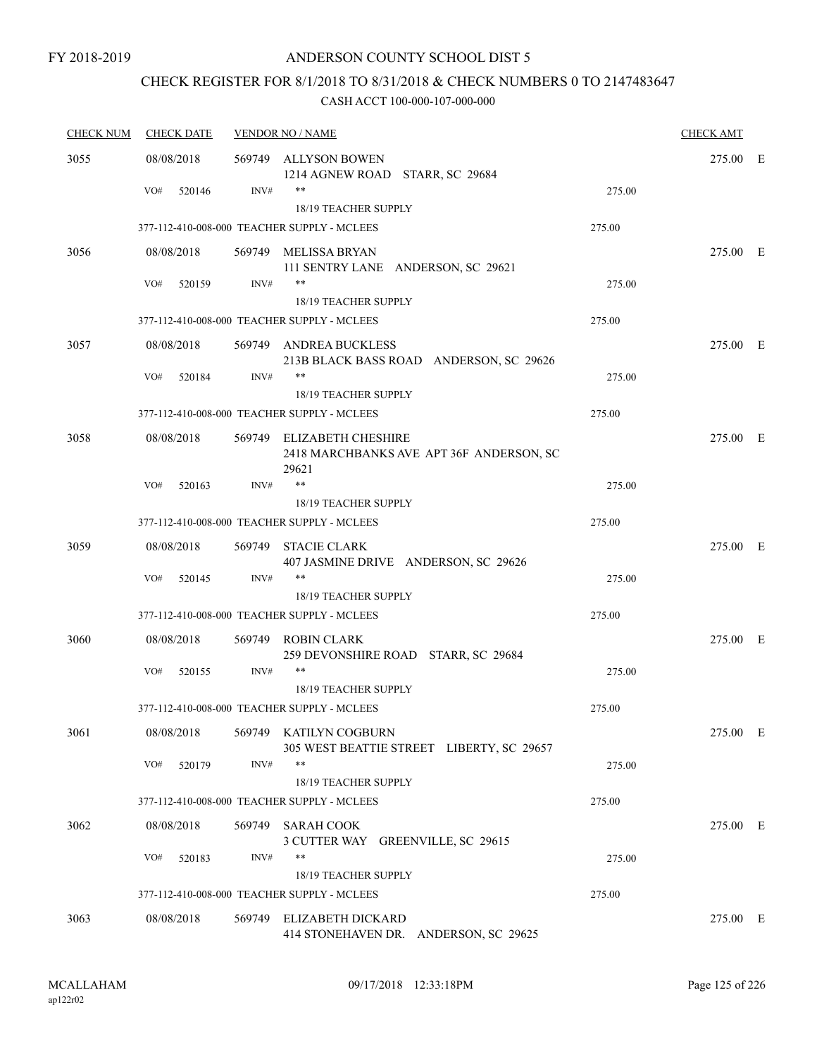## CHECK REGISTER FOR 8/1/2018 TO 8/31/2018 & CHECK NUMBERS 0 TO 2147483647

| <b>CHECK NUM</b> | <b>CHECK DATE</b> | <b>VENDOR NO / NAME</b> |                                                                                | <b>CHECK AMT</b> |          |  |
|------------------|-------------------|-------------------------|--------------------------------------------------------------------------------|------------------|----------|--|
| 3055             | 08/08/2018        |                         | 569749 ALLYSON BOWEN<br>1214 AGNEW ROAD STARR, SC 29684                        |                  | 275.00 E |  |
|                  | VO#<br>520146     | INV#                    | **                                                                             | 275.00           |          |  |
|                  |                   |                         | <b>18/19 TEACHER SUPPLY</b>                                                    |                  |          |  |
|                  |                   |                         | 377-112-410-008-000 TEACHER SUPPLY - MCLEES                                    | 275.00           |          |  |
| 3056             | 08/08/2018        |                         | 569749 MELISSA BRYAN<br>111 SENTRY LANE ANDERSON, SC 29621                     |                  | 275.00 E |  |
|                  | VO#<br>520159     | INV#                    | **<br>18/19 TEACHER SUPPLY                                                     | 275.00           |          |  |
|                  |                   |                         | 377-112-410-008-000 TEACHER SUPPLY - MCLEES                                    | 275.00           |          |  |
| 3057             | 08/08/2018        |                         | 569749 ANDREA BUCKLESS<br>213B BLACK BASS ROAD ANDERSON, SC 29626              |                  | 275.00 E |  |
|                  | VO#<br>520184     | INV#                    | **<br>18/19 TEACHER SUPPLY                                                     | 275.00           |          |  |
|                  |                   |                         | 377-112-410-008-000 TEACHER SUPPLY - MCLEES                                    | 275.00           |          |  |
| 3058             | 08/08/2018        |                         | 569749 ELIZABETH CHESHIRE<br>2418 MARCHBANKS AVE APT 36F ANDERSON, SC<br>29621 |                  | 275.00 E |  |
|                  | VO#<br>520163     | INV#                    | $***$                                                                          | 275.00           |          |  |
|                  |                   |                         | 18/19 TEACHER SUPPLY                                                           |                  |          |  |
|                  |                   |                         | 377-112-410-008-000 TEACHER SUPPLY - MCLEES                                    | 275.00           |          |  |
| 3059             | 08/08/2018        |                         | 569749 STACIE CLARK<br>407 JASMINE DRIVE ANDERSON, SC 29626                    |                  | 275.00 E |  |
|                  | VO#<br>520145     | INV#                    | **<br>18/19 TEACHER SUPPLY                                                     | 275.00           |          |  |
|                  |                   |                         | 377-112-410-008-000 TEACHER SUPPLY - MCLEES                                    | 275.00           |          |  |
| 3060             | 08/08/2018        |                         | 569749 ROBIN CLARK<br>259 DEVONSHIRE ROAD STARR, SC 29684                      |                  | 275.00 E |  |
|                  | VO#<br>520155     | INV#                    | **                                                                             | 275.00           |          |  |
|                  |                   |                         | 18/19 TEACHER SUPPLY                                                           |                  |          |  |
|                  |                   |                         | 377-112-410-008-000 TEACHER SUPPLY - MCLEES                                    | 275.00           |          |  |
| 3061             | 08/08/2018        |                         | 569749 KATILYN COGBURN<br>305 WEST BEATTIE STREET LIBERTY, SC 29657            |                  | 275.00 E |  |
|                  | VO#<br>520179     | INV#                    | **<br>18/19 TEACHER SUPPLY                                                     | 275.00           |          |  |
|                  |                   |                         | 377-112-410-008-000 TEACHER SUPPLY - MCLEES                                    | 275.00           |          |  |
| 3062             | 08/08/2018        |                         | 569749 SARAH COOK<br>3 CUTTER WAY GREENVILLE, SC 29615                         |                  | 275.00 E |  |
|                  | VO#<br>520183     | INV#                    | **                                                                             | 275.00           |          |  |
|                  |                   |                         | 18/19 TEACHER SUPPLY                                                           |                  |          |  |
|                  |                   |                         | 377-112-410-008-000 TEACHER SUPPLY - MCLEES                                    | 275.00           |          |  |
| 3063             | 08/08/2018        |                         | 569749 ELIZABETH DICKARD<br>414 STONEHAVEN DR. ANDERSON, SC 29625              |                  | 275.00 E |  |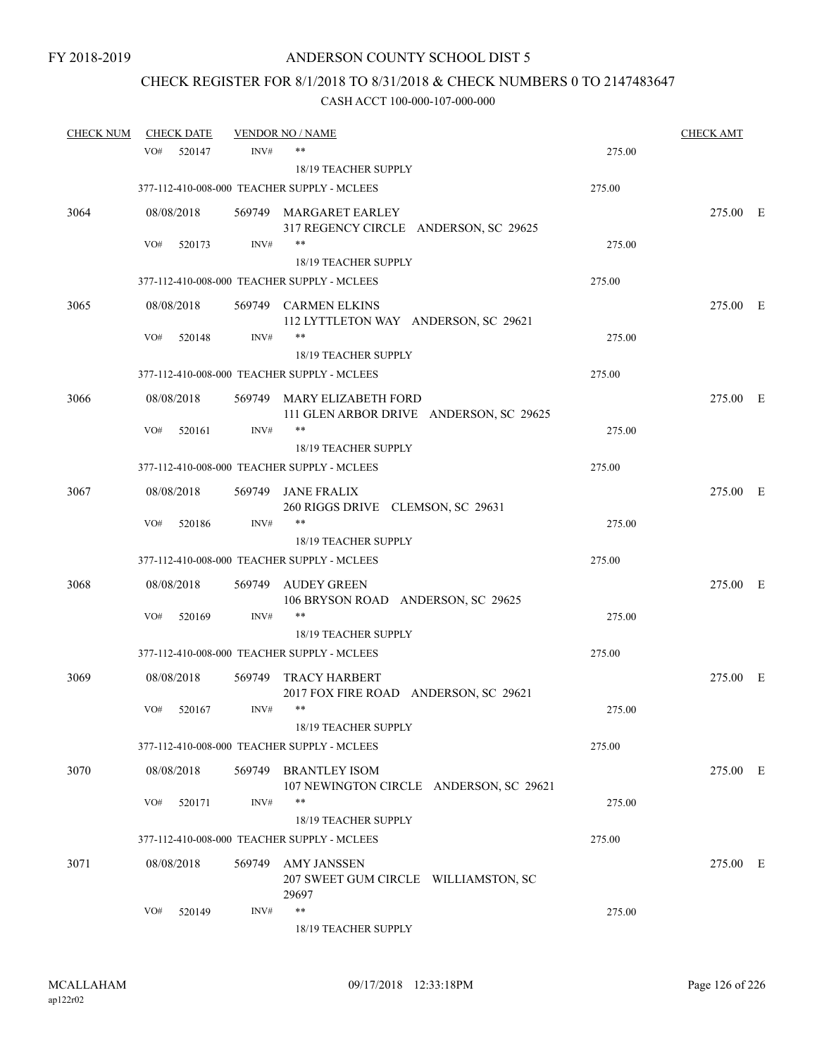# CHECK REGISTER FOR 8/1/2018 TO 8/31/2018 & CHECK NUMBERS 0 TO 2147483647

| <b>CHECK NUM</b> |     | <b>CHECK DATE</b> |        | <b>VENDOR NO / NAME</b>                           |        | <b>CHECK AMT</b> |  |
|------------------|-----|-------------------|--------|---------------------------------------------------|--------|------------------|--|
|                  | VO# | 520147            | INV#   | $***$                                             | 275.00 |                  |  |
|                  |     |                   |        | 18/19 TEACHER SUPPLY                              |        |                  |  |
|                  |     |                   |        | 377-112-410-008-000 TEACHER SUPPLY - MCLEES       | 275.00 |                  |  |
| 3064             |     | 08/08/2018        |        | 569749 MARGARET EARLEY                            |        | 275.00 E         |  |
|                  |     |                   |        | 317 REGENCY CIRCLE ANDERSON, SC 29625             |        |                  |  |
|                  | VO# | 520173            | INV#   | $***$                                             | 275.00 |                  |  |
|                  |     |                   |        | 18/19 TEACHER SUPPLY                              |        |                  |  |
|                  |     |                   |        | 377-112-410-008-000 TEACHER SUPPLY - MCLEES       | 275.00 |                  |  |
| 3065             |     | 08/08/2018        |        | 569749 CARMEN ELKINS                              |        | 275.00 E         |  |
|                  |     |                   |        | 112 LYTTLETON WAY ANDERSON, SC 29621              |        |                  |  |
|                  | VO# | 520148            | INV#   | $***$                                             | 275.00 |                  |  |
|                  |     |                   |        | 18/19 TEACHER SUPPLY                              |        |                  |  |
|                  |     |                   |        | 377-112-410-008-000 TEACHER SUPPLY - MCLEES       | 275.00 |                  |  |
| 3066             |     | 08/08/2018        |        | 569749 MARY ELIZABETH FORD                        |        | 275.00 E         |  |
|                  |     |                   |        | 111 GLEN ARBOR DRIVE ANDERSON, SC 29625           |        |                  |  |
|                  | VO# | 520161            | INV#   | $***$<br><b>18/19 TEACHER SUPPLY</b>              | 275.00 |                  |  |
|                  |     |                   |        |                                                   |        |                  |  |
|                  |     |                   |        | 377-112-410-008-000 TEACHER SUPPLY - MCLEES       | 275.00 |                  |  |
| 3067             |     | 08/08/2018        | 569749 | JANE FRALIX                                       |        | 275.00 E         |  |
|                  | VO# |                   | INV#   | 260 RIGGS DRIVE CLEMSON, SC 29631<br>$***$        |        |                  |  |
|                  |     | 520186            |        | 18/19 TEACHER SUPPLY                              | 275.00 |                  |  |
|                  |     |                   |        | 377-112-410-008-000 TEACHER SUPPLY - MCLEES       | 275.00 |                  |  |
|                  |     |                   |        |                                                   |        |                  |  |
| 3068             |     | 08/08/2018        | 569749 | AUDEY GREEN<br>106 BRYSON ROAD ANDERSON, SC 29625 |        | 275.00 E         |  |
|                  | VO# | 520169            | INV#   | $***$                                             | 275.00 |                  |  |
|                  |     |                   |        | 18/19 TEACHER SUPPLY                              |        |                  |  |
|                  |     |                   |        | 377-112-410-008-000 TEACHER SUPPLY - MCLEES       | 275.00 |                  |  |
|                  |     |                   |        | TRACY HARBERT                                     |        |                  |  |
| 3069             |     | 08/08/2018        | 569749 | 2017 FOX FIRE ROAD ANDERSON, SC 29621             |        | 275.00 E         |  |
|                  | VO# | 520167            | INV#   | $***$                                             | 275.00 |                  |  |
|                  |     |                   |        | 18/19 TEACHER SUPPLY                              |        |                  |  |
|                  |     |                   |        | 377-112-410-008-000 TEACHER SUPPLY - MCLEES       | 275.00 |                  |  |
| 3070             |     | 08/08/2018        | 569749 | <b>BRANTLEY ISOM</b>                              |        | 275.00 E         |  |
|                  |     |                   |        | 107 NEWINGTON CIRCLE ANDERSON, SC 29621           |        |                  |  |
|                  | VO# | 520171            | INV#   | $***$                                             | 275.00 |                  |  |
|                  |     |                   |        | 18/19 TEACHER SUPPLY                              |        |                  |  |
|                  |     |                   |        | 377-112-410-008-000 TEACHER SUPPLY - MCLEES       | 275.00 |                  |  |
| 3071             |     | 08/08/2018        | 569749 | <b>AMY JANSSEN</b>                                |        | 275.00 E         |  |
|                  |     |                   |        | 207 SWEET GUM CIRCLE WILLIAMSTON, SC              |        |                  |  |
|                  |     |                   |        | 29697                                             |        |                  |  |
|                  | VO# | 520149            | INV#   | $***$                                             | 275.00 |                  |  |
|                  |     |                   |        | 18/19 TEACHER SUPPLY                              |        |                  |  |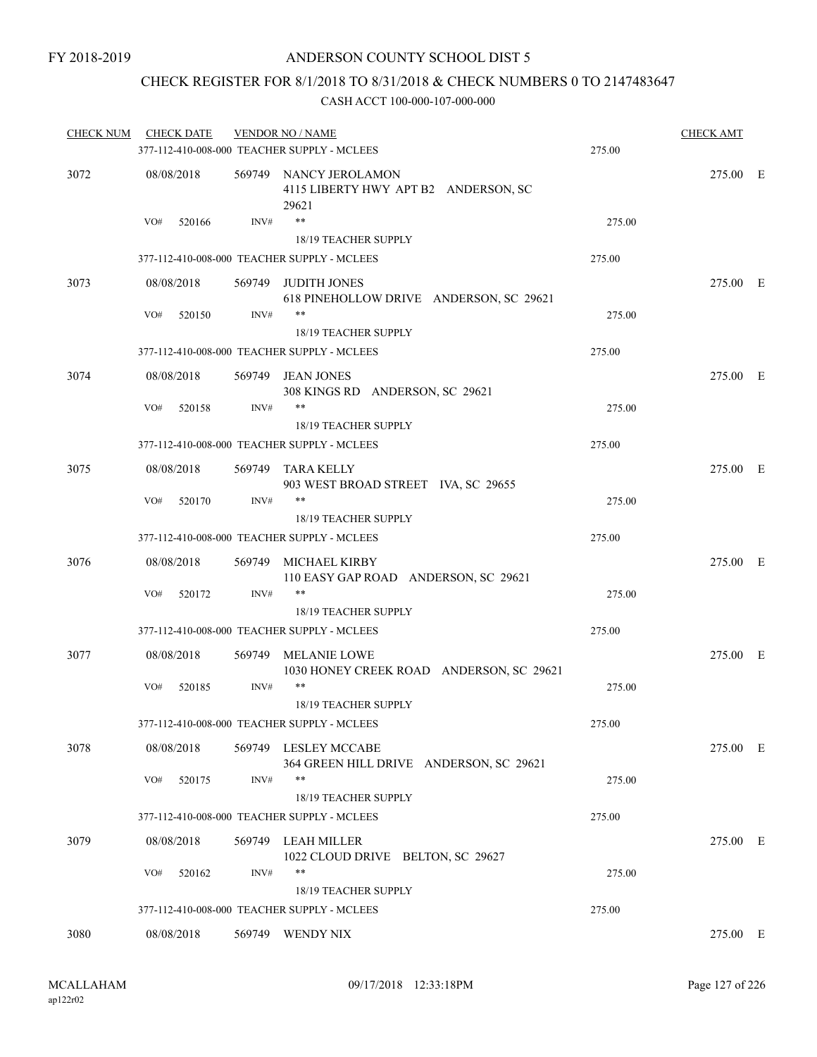### CHECK REGISTER FOR 8/1/2018 TO 8/31/2018 & CHECK NUMBERS 0 TO 2147483647

| <b>CHECK NUM</b> | <b>CHECK DATE</b> |      | <b>VENDOR NO / NAME</b><br>377-112-410-008-000 TEACHER SUPPLY - MCLEES  | 275.00 | <b>CHECK AMT</b> |  |
|------------------|-------------------|------|-------------------------------------------------------------------------|--------|------------------|--|
|                  |                   |      |                                                                         |        |                  |  |
| 3072             | 08/08/2018        |      | 569749 NANCY JEROLAMON<br>4115 LIBERTY HWY APT B2 ANDERSON, SC<br>29621 |        | 275.00 E         |  |
|                  | VO#<br>520166     | INV# | $***$<br>18/19 TEACHER SUPPLY                                           | 275.00 |                  |  |
|                  |                   |      | 377-112-410-008-000 TEACHER SUPPLY - MCLEES                             | 275.00 |                  |  |
| 3073             | 08/08/2018        |      | 569749 JUDITH JONES<br>618 PINEHOLLOW DRIVE ANDERSON, SC 29621          |        | 275.00 E         |  |
|                  | VO#<br>520150     | INV# | $***$<br>18/19 TEACHER SUPPLY                                           | 275.00 |                  |  |
|                  |                   |      | 377-112-410-008-000 TEACHER SUPPLY - MCLEES                             | 275.00 |                  |  |
| 3074             | 08/08/2018        |      | 569749 JEAN JONES<br>308 KINGS RD ANDERSON, SC 29621                    |        | 275.00 E         |  |
|                  | VO#<br>520158     | INV# | $***$<br>18/19 TEACHER SUPPLY                                           | 275.00 |                  |  |
|                  |                   |      | 377-112-410-008-000 TEACHER SUPPLY - MCLEES                             | 275.00 |                  |  |
| 3075             | 08/08/2018        |      | 569749 TARA KELLY<br>903 WEST BROAD STREET IVA, SC 29655                |        | 275.00 E         |  |
|                  | VO#<br>520170     | INV# | $***$<br>18/19 TEACHER SUPPLY                                           | 275.00 |                  |  |
|                  |                   |      | 377-112-410-008-000 TEACHER SUPPLY - MCLEES                             | 275.00 |                  |  |
|                  |                   |      |                                                                         |        |                  |  |
| 3076             | 08/08/2018        |      | 569749 MICHAEL KIRBY<br>110 EASY GAP ROAD ANDERSON, SC 29621            |        | 275.00 E         |  |
|                  | VO#<br>520172     | INV# | $***$<br>18/19 TEACHER SUPPLY                                           | 275.00 |                  |  |
|                  |                   |      | 377-112-410-008-000 TEACHER SUPPLY - MCLEES                             | 275.00 |                  |  |
| 3077             | 08/08/2018        |      | 569749 MELANIE LOWE<br>1030 HONEY CREEK ROAD ANDERSON, SC 29621         |        | 275.00 E         |  |
|                  | VO#<br>520185     | INV# | $***$<br>18/19 TEACHER SUPPLY                                           | 275.00 |                  |  |
|                  |                   |      | 377-112-410-008-000 TEACHER SUPPLY - MCLEES                             | 275.00 |                  |  |
| 3078             | 08/08/2018        |      | 569749 LESLEY MCCABE<br>364 GREEN HILL DRIVE ANDERSON, SC 29621         |        | 275.00 E         |  |
|                  | VO#<br>520175     | INV# | **<br>18/19 TEACHER SUPPLY                                              | 275.00 |                  |  |
|                  |                   |      | 377-112-410-008-000 TEACHER SUPPLY - MCLEES                             | 275.00 |                  |  |
| 3079             | 08/08/2018        |      | 569749 LEAH MILLER<br>1022 CLOUD DRIVE BELTON, SC 29627                 |        | 275.00 E         |  |
|                  | VO#<br>520162     | INV# | **<br>18/19 TEACHER SUPPLY                                              | 275.00 |                  |  |
|                  |                   |      | 377-112-410-008-000 TEACHER SUPPLY - MCLEES                             | 275.00 |                  |  |
| 3080             | 08/08/2018        |      | 569749 WENDY NIX                                                        |        | 275.00 E         |  |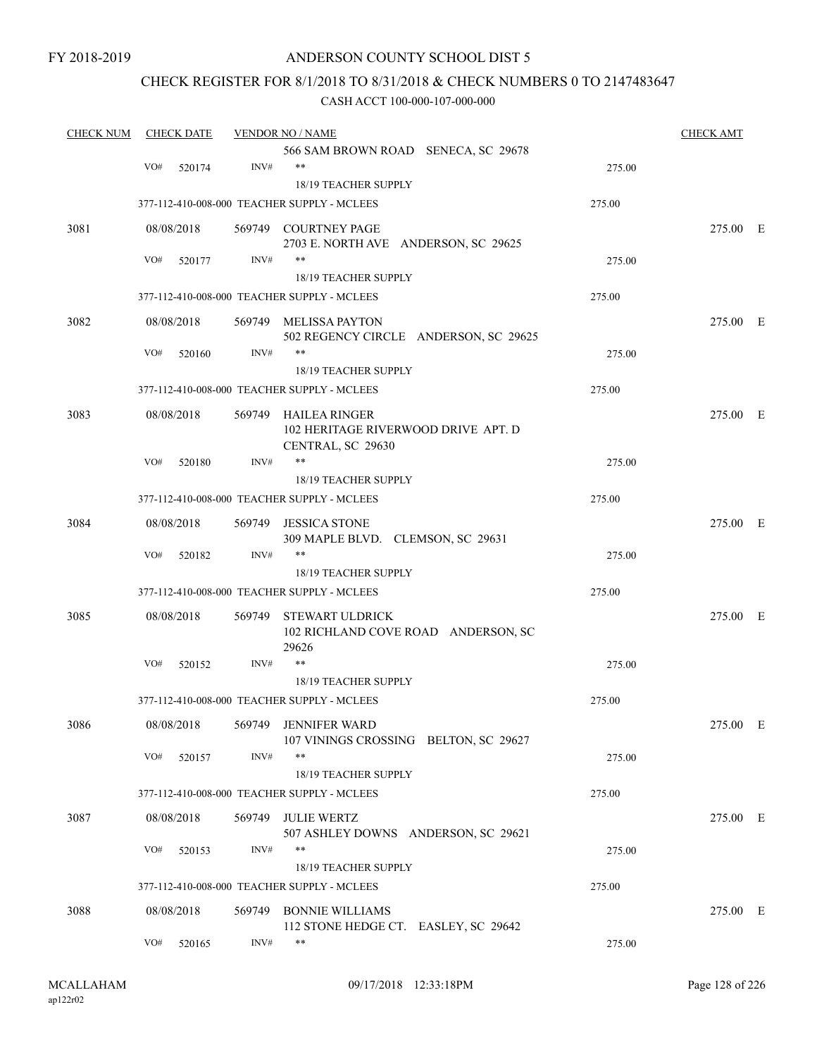### ANDERSON COUNTY SCHOOL DIST 5

### CHECK REGISTER FOR 8/1/2018 TO 8/31/2018 & CHECK NUMBERS 0 TO 2147483647

| <b>CHECK NUM</b><br><b>CHECK DATE</b> |               |        | <b>VENDOR NO / NAME</b>                                                          |        |          |  |  |
|---------------------------------------|---------------|--------|----------------------------------------------------------------------------------|--------|----------|--|--|
|                                       | VO#<br>520174 | INV#   | 566 SAM BROWN ROAD SENECA, SC 29678<br>$***$                                     | 275.00 |          |  |  |
|                                       |               |        | 18/19 TEACHER SUPPLY                                                             |        |          |  |  |
|                                       |               |        | 377-112-410-008-000 TEACHER SUPPLY - MCLEES                                      | 275.00 |          |  |  |
| 3081                                  | 08/08/2018    |        | 569749 COURTNEY PAGE<br>2703 E. NORTH AVE ANDERSON, SC 29625                     |        | 275.00 E |  |  |
|                                       | VO#<br>520177 | INV#   | **                                                                               | 275.00 |          |  |  |
|                                       |               |        | 18/19 TEACHER SUPPLY                                                             |        |          |  |  |
|                                       |               |        | 377-112-410-008-000 TEACHER SUPPLY - MCLEES                                      | 275.00 |          |  |  |
| 3082                                  | 08/08/2018    |        | 569749 MELISSA PAYTON<br>502 REGENCY CIRCLE ANDERSON, SC 29625                   |        | 275.00 E |  |  |
|                                       | VO#<br>520160 | INV#   | **                                                                               | 275.00 |          |  |  |
|                                       |               |        | 18/19 TEACHER SUPPLY                                                             |        |          |  |  |
|                                       |               |        | 377-112-410-008-000 TEACHER SUPPLY - MCLEES                                      | 275.00 |          |  |  |
| 3083                                  | 08/08/2018    |        | 569749 HAILEA RINGER<br>102 HERITAGE RIVERWOOD DRIVE APT. D<br>CENTRAL, SC 29630 |        | 275.00 E |  |  |
|                                       | VO#<br>520180 | INV#   | $***$                                                                            | 275.00 |          |  |  |
|                                       |               |        | 18/19 TEACHER SUPPLY                                                             |        |          |  |  |
|                                       |               |        | 377-112-410-008-000 TEACHER SUPPLY - MCLEES                                      | 275.00 |          |  |  |
| 3084                                  | 08/08/2018    | 569749 | <b>JESSICA STONE</b><br>309 MAPLE BLVD. CLEMSON, SC 29631                        |        | 275.00 E |  |  |
|                                       | VO#<br>520182 | INV#   | $***$                                                                            | 275.00 |          |  |  |
|                                       |               |        | 18/19 TEACHER SUPPLY                                                             |        |          |  |  |
|                                       |               |        | 377-112-410-008-000 TEACHER SUPPLY - MCLEES                                      | 275.00 |          |  |  |
| 3085                                  | 08/08/2018    | 569749 | <b>STEWART ULDRICK</b><br>102 RICHLAND COVE ROAD ANDERSON, SC<br>29626           |        | 275.00 E |  |  |
|                                       | VO#<br>520152 | INV#   | $***$                                                                            | 275.00 |          |  |  |
|                                       |               |        | 18/19 TEACHER SUPPLY                                                             |        |          |  |  |
|                                       |               |        | 377-112-410-008-000 TEACHER SUPPLY - MCLEES                                      | 275.00 |          |  |  |
| 3086                                  |               |        | 08/08/2018 569749 JENNIFER WARD                                                  |        | 275.00 E |  |  |
|                                       | VO#<br>520157 | INV#   | 107 VININGS CROSSING BELTON, SC 29627<br>$***$                                   | 275.00 |          |  |  |
|                                       |               |        | 18/19 TEACHER SUPPLY                                                             |        |          |  |  |
|                                       |               |        | 377-112-410-008-000 TEACHER SUPPLY - MCLEES                                      | 275.00 |          |  |  |
| 3087                                  | 08/08/2018    |        | 569749 JULIE WERTZ<br>507 ASHLEY DOWNS ANDERSON, SC 29621                        |        | 275.00 E |  |  |
|                                       | VO#<br>520153 | INV#   | **<br>18/19 TEACHER SUPPLY                                                       | 275.00 |          |  |  |
|                                       |               |        | 377-112-410-008-000 TEACHER SUPPLY - MCLEES                                      | 275.00 |          |  |  |
|                                       |               |        |                                                                                  |        |          |  |  |
| 3088                                  | 08/08/2018    |        | 569749 BONNIE WILLIAMS                                                           |        | 275.00 E |  |  |
|                                       | VO#<br>520165 | INV#   | 112 STONE HEDGE CT. EASLEY, SC 29642<br>$***$                                    | 275.00 |          |  |  |
|                                       |               |        |                                                                                  |        |          |  |  |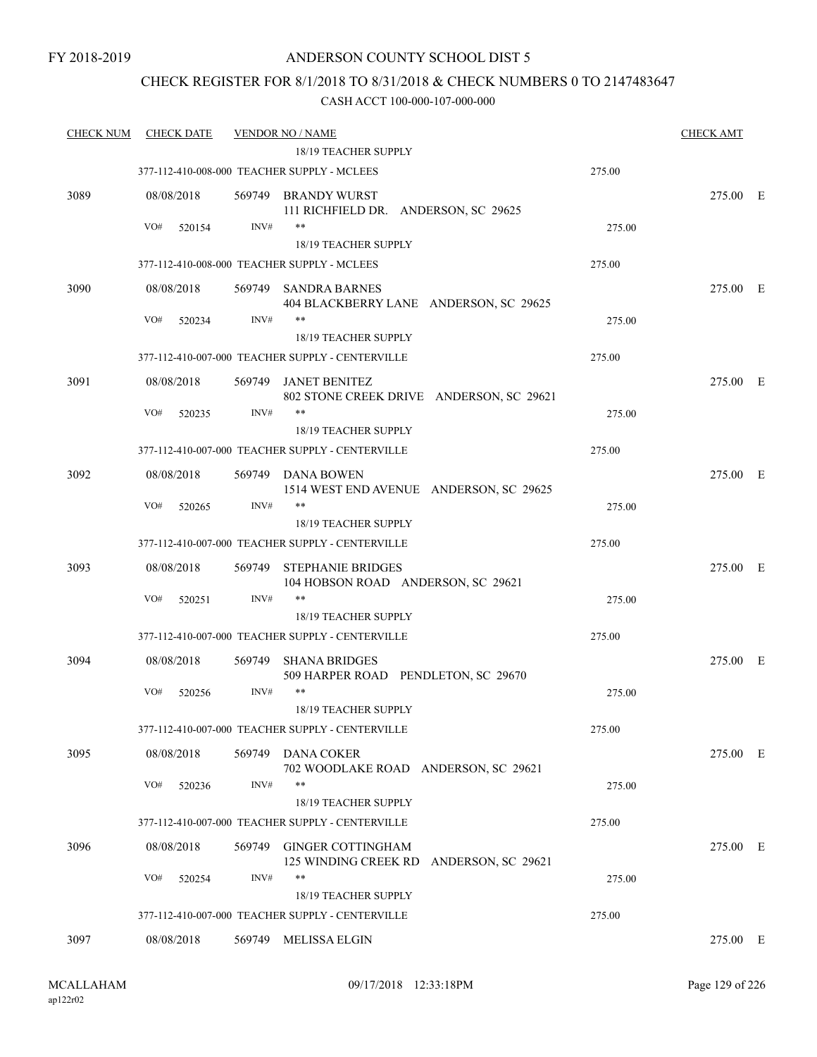### CHECK REGISTER FOR 8/1/2018 TO 8/31/2018 & CHECK NUMBERS 0 TO 2147483647

| <b>CHECK NUM</b> | <b>CHECK DATE</b> |        | <b>VENDOR NO / NAME</b>                                                  |        | <b>CHECK AMT</b> |  |
|------------------|-------------------|--------|--------------------------------------------------------------------------|--------|------------------|--|
|                  |                   |        | 18/19 TEACHER SUPPLY                                                     |        |                  |  |
|                  |                   |        | 377-112-410-008-000 TEACHER SUPPLY - MCLEES                              | 275.00 |                  |  |
| 3089             | 08/08/2018        |        | 569749 BRANDY WURST<br>111 RICHFIELD DR. ANDERSON, SC 29625              |        | 275.00 E         |  |
|                  | VO#<br>520154     | INV#   | **                                                                       | 275.00 |                  |  |
|                  |                   |        | 18/19 TEACHER SUPPLY                                                     |        |                  |  |
|                  |                   |        | 377-112-410-008-000 TEACHER SUPPLY - MCLEES                              | 275.00 |                  |  |
| 3090             | 08/08/2018        |        | 569749 SANDRA BARNES<br>404 BLACKBERRY LANE ANDERSON, SC 29625           |        | 275.00 E         |  |
|                  | VO#<br>520234     | INV#   | **                                                                       | 275.00 |                  |  |
|                  |                   |        | 18/19 TEACHER SUPPLY                                                     |        |                  |  |
|                  |                   |        | 377-112-410-007-000 TEACHER SUPPLY - CENTERVILLE                         | 275.00 |                  |  |
| 3091             | 08/08/2018        | 569749 | <b>JANET BENITEZ</b><br>802 STONE CREEK DRIVE ANDERSON, SC 29621         |        | 275.00 E         |  |
|                  | VO#<br>520235     | INV#   | **                                                                       | 275.00 |                  |  |
|                  |                   |        | <b>18/19 TEACHER SUPPLY</b>                                              |        |                  |  |
|                  |                   |        | 377-112-410-007-000 TEACHER SUPPLY - CENTERVILLE                         | 275.00 |                  |  |
| 3092             | 08/08/2018        |        | 569749 DANA BOWEN<br>1514 WEST END AVENUE ANDERSON, SC 29625             |        | 275.00 E         |  |
|                  | VO#<br>520265     | INV#   | **                                                                       | 275.00 |                  |  |
|                  |                   |        | 18/19 TEACHER SUPPLY<br>377-112-410-007-000 TEACHER SUPPLY - CENTERVILLE | 275.00 |                  |  |
|                  |                   |        |                                                                          |        |                  |  |
| 3093             | 08/08/2018        | 569749 | <b>STEPHANIE BRIDGES</b><br>104 HOBSON ROAD ANDERSON, SC 29621           |        | 275.00 E         |  |
|                  | VO#<br>520251     | INV#   | **<br>18/19 TEACHER SUPPLY                                               | 275.00 |                  |  |
|                  |                   |        | 377-112-410-007-000 TEACHER SUPPLY - CENTERVILLE                         | 275.00 |                  |  |
|                  |                   |        |                                                                          |        |                  |  |
| 3094             | 08/08/2018        | 569749 | <b>SHANA BRIDGES</b><br>509 HARPER ROAD PENDLETON, SC 29670              |        | 275.00 E         |  |
|                  | VO#<br>520256     | INV#   | **                                                                       | 275.00 |                  |  |
|                  |                   |        | 18/19 TEACHER SUPPLY                                                     |        |                  |  |
|                  |                   |        | 377-112-410-007-000 TEACHER SUPPLY - CENTERVILLE                         | 275.00 |                  |  |
| 3095             | 08/08/2018        | 569749 | <b>DANA COKER</b><br>702 WOODLAKE ROAD ANDERSON, SC 29621                |        | 275.00 E         |  |
|                  | VO#<br>520236     | INV#   | $***$                                                                    | 275.00 |                  |  |
|                  |                   |        | 18/19 TEACHER SUPPLY                                                     |        |                  |  |
|                  |                   |        | 377-112-410-007-000 TEACHER SUPPLY - CENTERVILLE                         | 275.00 |                  |  |
| 3096             | 08/08/2018        | 569749 | <b>GINGER COTTINGHAM</b><br>125 WINDING CREEK RD ANDERSON, SC 29621      |        | 275.00 E         |  |
|                  | VO#<br>520254     | INV#   | **                                                                       | 275.00 |                  |  |
|                  |                   |        | 18/19 TEACHER SUPPLY                                                     |        |                  |  |
|                  |                   |        | 377-112-410-007-000 TEACHER SUPPLY - CENTERVILLE                         | 275.00 |                  |  |
| 3097             | 08/08/2018        |        | 569749 MELISSA ELGIN                                                     |        | 275.00 E         |  |
|                  |                   |        |                                                                          |        |                  |  |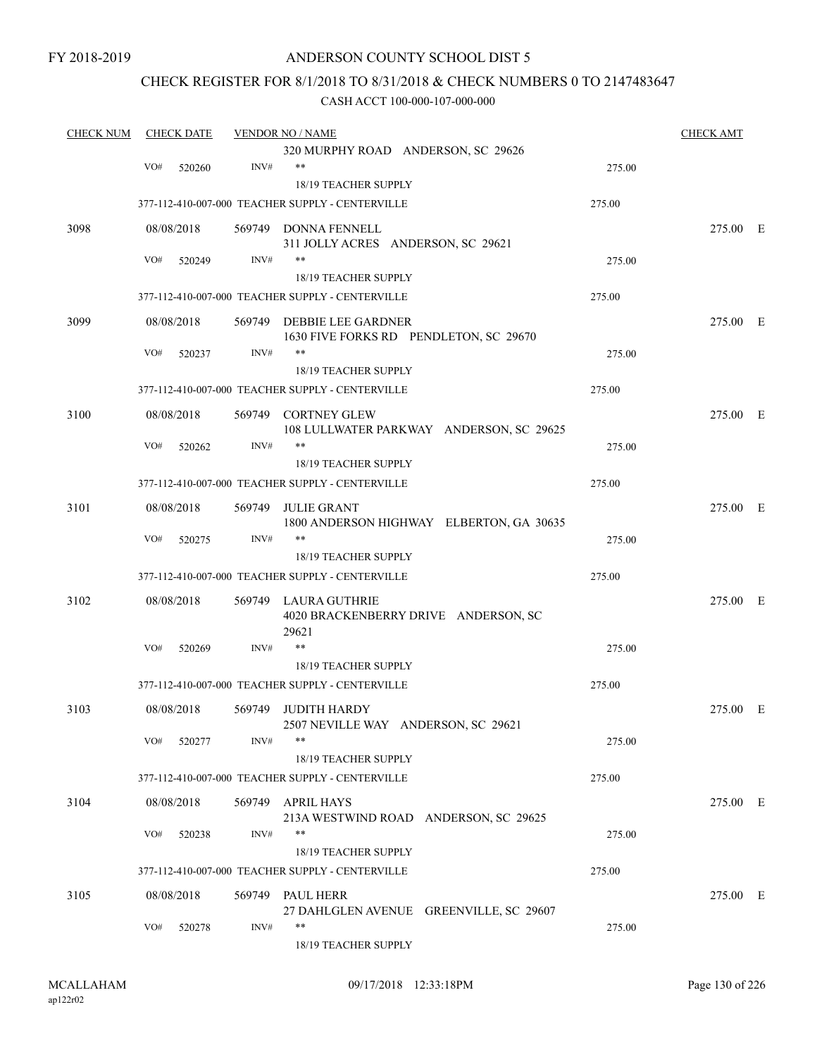### ANDERSON COUNTY SCHOOL DIST 5

### CHECK REGISTER FOR 8/1/2018 TO 8/31/2018 & CHECK NUMBERS 0 TO 2147483647

| <b>CHECK NUM</b> |            | <b>CHECK DATE</b> |        | <b>VENDOR NO / NAME</b>                                     |        | <b>CHECK AMT</b> |  |
|------------------|------------|-------------------|--------|-------------------------------------------------------------|--------|------------------|--|
|                  |            |                   |        | 320 MURPHY ROAD ANDERSON, SC 29626                          |        |                  |  |
|                  | VO#        | 520260            | INV#   | $***$                                                       | 275.00 |                  |  |
|                  |            |                   |        | 18/19 TEACHER SUPPLY                                        |        |                  |  |
|                  |            |                   |        | 377-112-410-007-000 TEACHER SUPPLY - CENTERVILLE            | 275.00 |                  |  |
| 3098             | 08/08/2018 |                   |        | 569749 DONNA FENNELL                                        |        | 275.00 E         |  |
|                  |            |                   |        | 311 JOLLY ACRES ANDERSON, SC 29621                          |        |                  |  |
|                  | VO#        | 520249            | INV#   | $\ast\ast$                                                  | 275.00 |                  |  |
|                  |            |                   |        | 18/19 TEACHER SUPPLY                                        |        |                  |  |
|                  |            |                   |        | 377-112-410-007-000 TEACHER SUPPLY - CENTERVILLE            | 275.00 |                  |  |
| 3099             | 08/08/2018 |                   |        | 569749 DEBBIE LEE GARDNER                                   |        | 275.00 E         |  |
|                  |            |                   |        | 1630 FIVE FORKS RD PENDLETON, SC 29670                      |        |                  |  |
|                  | VO#        | 520237            | INV#   | **                                                          | 275.00 |                  |  |
|                  |            |                   |        | 18/19 TEACHER SUPPLY                                        |        |                  |  |
|                  |            |                   |        | 377-112-410-007-000 TEACHER SUPPLY - CENTERVILLE            | 275.00 |                  |  |
| 3100             | 08/08/2018 |                   |        | 569749 CORTNEY GLEW                                         |        | 275.00 E         |  |
|                  |            |                   |        | 108 LULLWATER PARKWAY ANDERSON, SC 29625                    |        |                  |  |
|                  | VO#        | 520262            | INV#   | $***$                                                       | 275.00 |                  |  |
|                  |            |                   |        | <b>18/19 TEACHER SUPPLY</b>                                 |        |                  |  |
|                  |            |                   |        | 377-112-410-007-000 TEACHER SUPPLY - CENTERVILLE            | 275.00 |                  |  |
| 3101             | 08/08/2018 |                   | 569749 | <b>JULIE GRANT</b>                                          |        | 275.00 E         |  |
|                  |            |                   |        | 1800 ANDERSON HIGHWAY ELBERTON, GA 30635                    |        |                  |  |
|                  | VO#        | 520275            | INV#   | $***$                                                       | 275.00 |                  |  |
|                  |            |                   |        | 18/19 TEACHER SUPPLY                                        |        |                  |  |
|                  |            |                   |        | 377-112-410-007-000 TEACHER SUPPLY - CENTERVILLE            | 275.00 |                  |  |
| 3102             | 08/08/2018 |                   |        | 569749 LAURA GUTHRIE                                        |        | 275.00 E         |  |
|                  |            |                   |        | 4020 BRACKENBERRY DRIVE ANDERSON, SC                        |        |                  |  |
|                  | VO#        | 520269            | INV#   | 29621<br>$***$                                              | 275.00 |                  |  |
|                  |            |                   |        | <b>18/19 TEACHER SUPPLY</b>                                 |        |                  |  |
|                  |            |                   |        | 377-112-410-007-000 TEACHER SUPPLY - CENTERVILLE            | 275.00 |                  |  |
|                  |            |                   |        |                                                             |        |                  |  |
| 3103             | 08/08/2018 |                   | 569749 | <b>JUDITH HARDY</b>                                         |        | 275.00 E         |  |
|                  | VO#        | 520277            | INV#   | 2507 NEVILLE WAY ANDERSON, SC 29621<br>**                   | 275.00 |                  |  |
|                  |            |                   |        | 18/19 TEACHER SUPPLY                                        |        |                  |  |
|                  |            |                   |        | 377-112-410-007-000 TEACHER SUPPLY - CENTERVILLE            | 275.00 |                  |  |
|                  |            |                   |        |                                                             |        |                  |  |
| 3104             | 08/08/2018 |                   |        | 569749 APRIL HAYS<br>213A WESTWIND ROAD ANDERSON, SC 29625  |        | 275.00 E         |  |
|                  | VO#        | 520238            | INV#   | $***$                                                       | 275.00 |                  |  |
|                  |            |                   |        | 18/19 TEACHER SUPPLY                                        |        |                  |  |
|                  |            |                   |        | 377-112-410-007-000 TEACHER SUPPLY - CENTERVILLE            | 275.00 |                  |  |
|                  |            |                   |        |                                                             |        |                  |  |
| 3105             | 08/08/2018 |                   |        | 569749 PAUL HERR<br>27 DAHLGLEN AVENUE GREENVILLE, SC 29607 |        | 275.00 E         |  |
|                  | VO#        | 520278            | INV#   | $***$                                                       | 275.00 |                  |  |
|                  |            |                   |        | 18/19 TEACHER SUPPLY                                        |        |                  |  |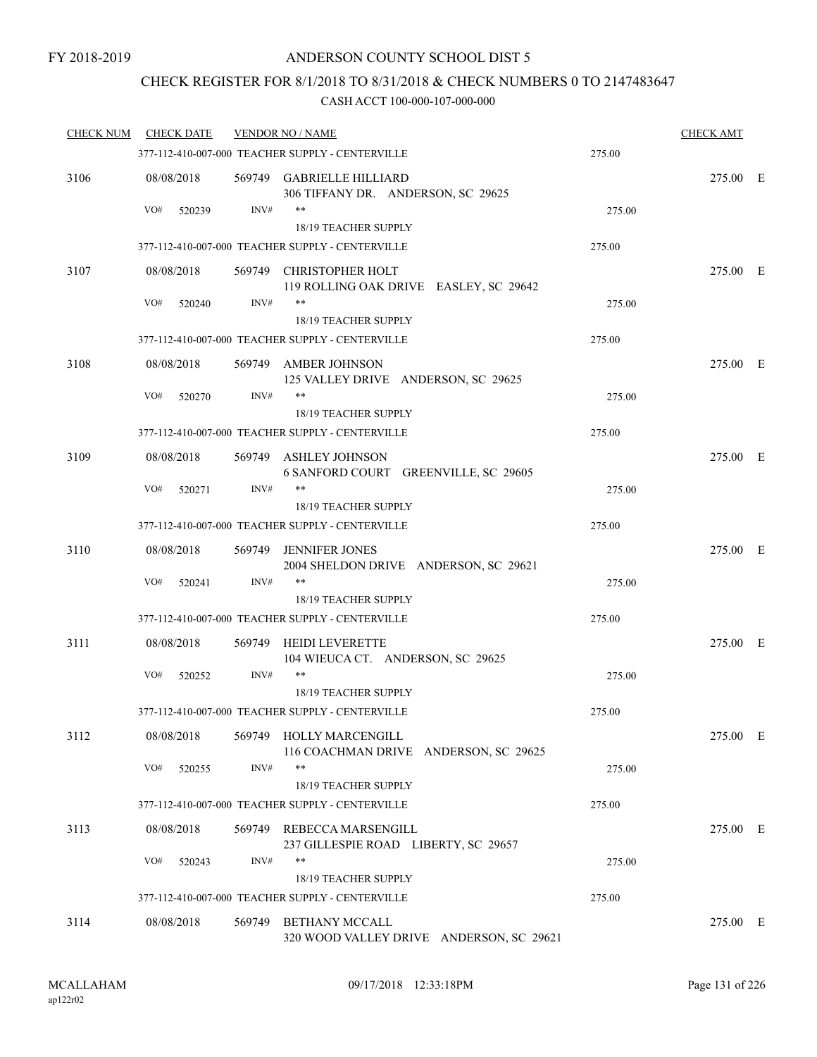### CHECK REGISTER FOR 8/1/2018 TO 8/31/2018 & CHECK NUMBERS 0 TO 2147483647

| <b>CHECK NUM</b> | <b>CHECK DATE</b>           |        | <b>VENDOR NO / NAME</b>                                                    |        |          |  |
|------------------|-----------------------------|--------|----------------------------------------------------------------------------|--------|----------|--|
|                  |                             |        | 377-112-410-007-000 TEACHER SUPPLY - CENTERVILLE                           | 275.00 |          |  |
| 3106             | 08/08/2018                  |        | 569749 GABRIELLE HILLIARD<br>306 TIFFANY DR. ANDERSON, SC 29625            |        | 275.00 E |  |
|                  | VO#<br>520239               | INV#   | $***$                                                                      | 275.00 |          |  |
|                  |                             |        | 18/19 TEACHER SUPPLY                                                       |        |          |  |
|                  |                             |        | 377-112-410-007-000 TEACHER SUPPLY - CENTERVILLE                           | 275.00 |          |  |
| 3107             | 08/08/2018                  |        | 569749 CHRISTOPHER HOLT<br>119 ROLLING OAK DRIVE EASLEY, SC 29642          |        | 275.00 E |  |
|                  | VO#<br>520240               | INV#   | **<br>18/19 TEACHER SUPPLY                                                 | 275.00 |          |  |
|                  |                             |        | 377-112-410-007-000 TEACHER SUPPLY - CENTERVILLE                           | 275.00 |          |  |
| 3108             | 08/08/2018                  |        | 569749 AMBER JOHNSON<br>125 VALLEY DRIVE ANDERSON, SC 29625                |        | 275.00 E |  |
|                  | VO#<br>520270               | INV#   | $***$                                                                      | 275.00 |          |  |
|                  |                             |        | <b>18/19 TEACHER SUPPLY</b>                                                |        |          |  |
|                  |                             |        | 377-112-410-007-000 TEACHER SUPPLY - CENTERVILLE                           | 275.00 |          |  |
| 3109             | 08/08/2018                  |        | 569749 ASHLEY JOHNSON<br>6 SANFORD COURT GREENVILLE, SC 29605              |        | 275.00 E |  |
|                  | VO#<br>520271               | INV#   | $***$                                                                      | 275.00 |          |  |
|                  |                             |        | <b>18/19 TEACHER SUPPLY</b>                                                |        |          |  |
|                  |                             |        | 377-112-410-007-000 TEACHER SUPPLY - CENTERVILLE                           | 275.00 |          |  |
| 3110             | 08/08/2018                  | 569749 | <b>JENNIFER JONES</b><br>2004 SHELDON DRIVE ANDERSON, SC 29621             |        | 275.00 E |  |
|                  | VO#<br>520241               | INV#   | $***$                                                                      | 275.00 |          |  |
|                  |                             |        | 18/19 TEACHER SUPPLY<br>377-112-410-007-000 TEACHER SUPPLY - CENTERVILLE   | 275.00 |          |  |
|                  |                             |        |                                                                            |        |          |  |
| 3111             | 08/08/2018                  | 569749 | <b>HEIDI LEVERETTE</b><br>104 WIEUCA CT. ANDERSON, SC 29625                |        | 275.00 E |  |
|                  | VO#<br>520252               | INV#   | $***$<br>18/19 TEACHER SUPPLY                                              | 275.00 |          |  |
|                  |                             |        | 377-112-410-007-000 TEACHER SUPPLY - CENTERVILLE                           | 275.00 |          |  |
|                  |                             |        |                                                                            |        |          |  |
| 3112             | 08/08/2018                  |        | 569749 HOLLY MARCENGILL<br>116 COACHMAN DRIVE ANDERSON, SC 29625<br>**     |        | 275.00 E |  |
|                  | VO#<br>520255               | INV#   | 18/19 TEACHER SUPPLY                                                       | 275.00 |          |  |
|                  |                             |        | 377-112-410-007-000 TEACHER SUPPLY - CENTERVILLE                           | 275.00 |          |  |
|                  |                             |        |                                                                            |        |          |  |
| 3113             | 08/08/2018<br>VO#<br>520243 | INV#   | 569749 REBECCA MARSENGILL<br>237 GILLESPIE ROAD LIBERTY, SC 29657<br>$***$ | 275.00 | 275.00 E |  |
|                  |                             |        | 18/19 TEACHER SUPPLY                                                       |        |          |  |
|                  |                             |        | 377-112-410-007-000 TEACHER SUPPLY - CENTERVILLE                           | 275.00 |          |  |
| 3114             | 08/08/2018                  | 569749 | <b>BETHANY MCCALL</b><br>320 WOOD VALLEY DRIVE ANDERSON, SC 29621          |        | 275.00 E |  |
|                  |                             |        |                                                                            |        |          |  |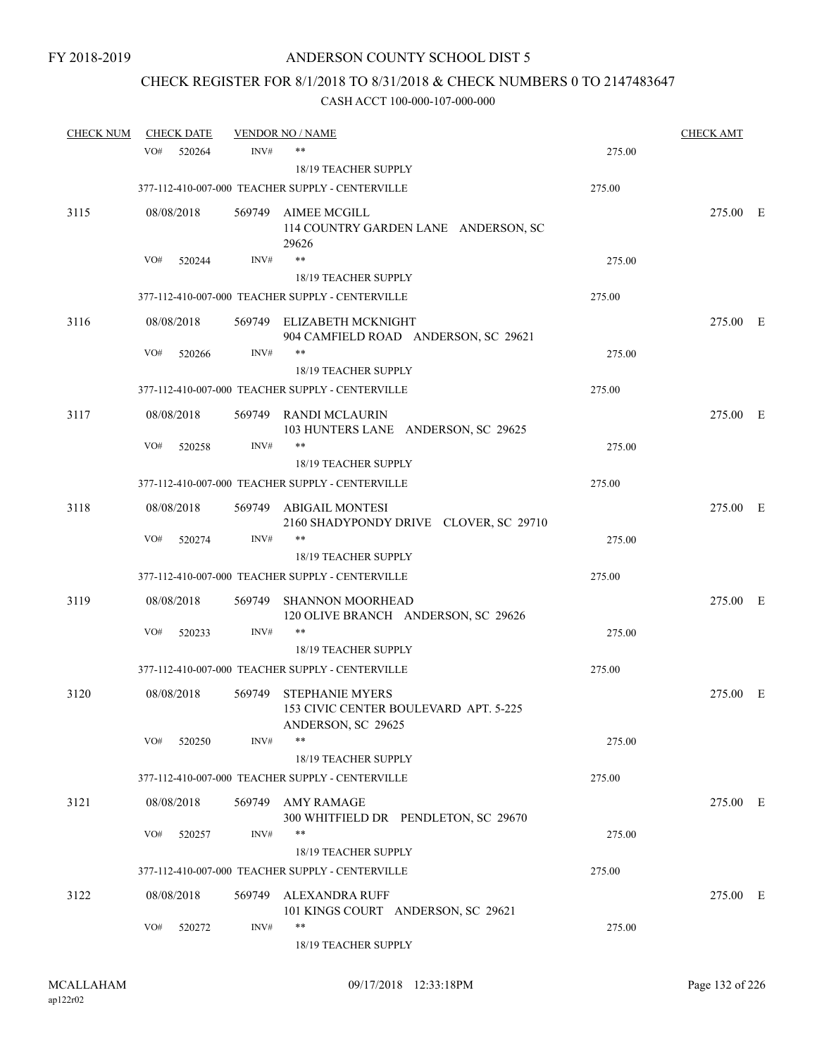# CHECK REGISTER FOR 8/1/2018 TO 8/31/2018 & CHECK NUMBERS 0 TO 2147483647

| <b>CHECK NUM</b> |     | <b>CHECK DATE</b> |        | <b>VENDOR NO / NAME</b>                                                               |        | <b>CHECK AMT</b> |  |
|------------------|-----|-------------------|--------|---------------------------------------------------------------------------------------|--------|------------------|--|
|                  | VO# | 520264            | INV#   | $***$                                                                                 | 275.00 |                  |  |
|                  |     |                   |        | <b>18/19 TEACHER SUPPLY</b>                                                           |        |                  |  |
|                  |     |                   |        | 377-112-410-007-000 TEACHER SUPPLY - CENTERVILLE                                      | 275.00 |                  |  |
| 3115             |     | 08/08/2018        |        | 569749 AIMEE MCGILL<br>114 COUNTRY GARDEN LANE ANDERSON, SC<br>29626                  |        | 275.00 E         |  |
|                  | VO# | 520244            | INV#   | $***$                                                                                 | 275.00 |                  |  |
|                  |     |                   |        | <b>18/19 TEACHER SUPPLY</b>                                                           |        |                  |  |
|                  |     |                   |        | 377-112-410-007-000 TEACHER SUPPLY - CENTERVILLE                                      | 275.00 |                  |  |
| 3116             |     | 08/08/2018        |        | 569749 ELIZABETH MCKNIGHT<br>904 CAMFIELD ROAD ANDERSON, SC 29621                     |        | 275.00 E         |  |
|                  | VO# | 520266            | INV#   | $***$<br>18/19 TEACHER SUPPLY                                                         | 275.00 |                  |  |
|                  |     |                   |        | 377-112-410-007-000 TEACHER SUPPLY - CENTERVILLE                                      | 275.00 |                  |  |
| 3117             |     | 08/08/2018        |        | 569749 RANDI MCLAURIN<br>103 HUNTERS LANE ANDERSON, SC 29625                          |        | 275.00 E         |  |
|                  | VO# | 520258            | INV#   | **<br><b>18/19 TEACHER SUPPLY</b>                                                     | 275.00 |                  |  |
|                  |     |                   |        | 377-112-410-007-000 TEACHER SUPPLY - CENTERVILLE                                      | 275.00 |                  |  |
| 3118             |     | 08/08/2018        |        | 569749 ABIGAIL MONTESI<br>2160 SHADYPONDY DRIVE CLOVER, SC 29710                      |        | 275.00 E         |  |
|                  | VO# | 520274            | INV#   | **<br>18/19 TEACHER SUPPLY                                                            | 275.00 |                  |  |
|                  |     |                   |        | 377-112-410-007-000 TEACHER SUPPLY - CENTERVILLE                                      | 275.00 |                  |  |
|                  |     |                   |        |                                                                                       |        |                  |  |
| 3119             |     | 08/08/2018        | 569749 | <b>SHANNON MOORHEAD</b><br>120 OLIVE BRANCH ANDERSON, SC 29626                        |        | 275.00 E         |  |
|                  | VO# | 520233            | INV#   | $***$<br>18/19 TEACHER SUPPLY                                                         | 275.00 |                  |  |
|                  |     |                   |        | 377-112-410-007-000 TEACHER SUPPLY - CENTERVILLE                                      | 275.00 |                  |  |
| 3120             |     | 08/08/2018        | 569749 | <b>STEPHANIE MYERS</b><br>153 CIVIC CENTER BOULEVARD APT. 5-225<br>ANDERSON, SC 29625 |        | 275.00 E         |  |
|                  | VO# | 520250            | INV#   | $***$<br>18/19 TEACHER SUPPLY                                                         | 275.00 |                  |  |
|                  |     |                   |        | 377-112-410-007-000 TEACHER SUPPLY - CENTERVILLE                                      | 275.00 |                  |  |
|                  |     |                   |        |                                                                                       |        |                  |  |
| 3121             |     | 08/08/2018        |        | 569749 AMY RAMAGE<br>300 WHITFIELD DR PENDLETON, SC 29670<br>$***$                    |        | 275.00 E         |  |
|                  | VO# | 520257            | INV#   | 18/19 TEACHER SUPPLY                                                                  | 275.00 |                  |  |
|                  |     |                   |        | 377-112-410-007-000 TEACHER SUPPLY - CENTERVILLE                                      | 275.00 |                  |  |
| 3122             |     | 08/08/2018        | 569749 | ALEXANDRA RUFF<br>101 KINGS COURT ANDERSON, SC 29621                                  |        | 275.00 E         |  |
|                  | VO# | 520272            | INV#   | $***$<br>18/19 TEACHER SUPPLY                                                         | 275.00 |                  |  |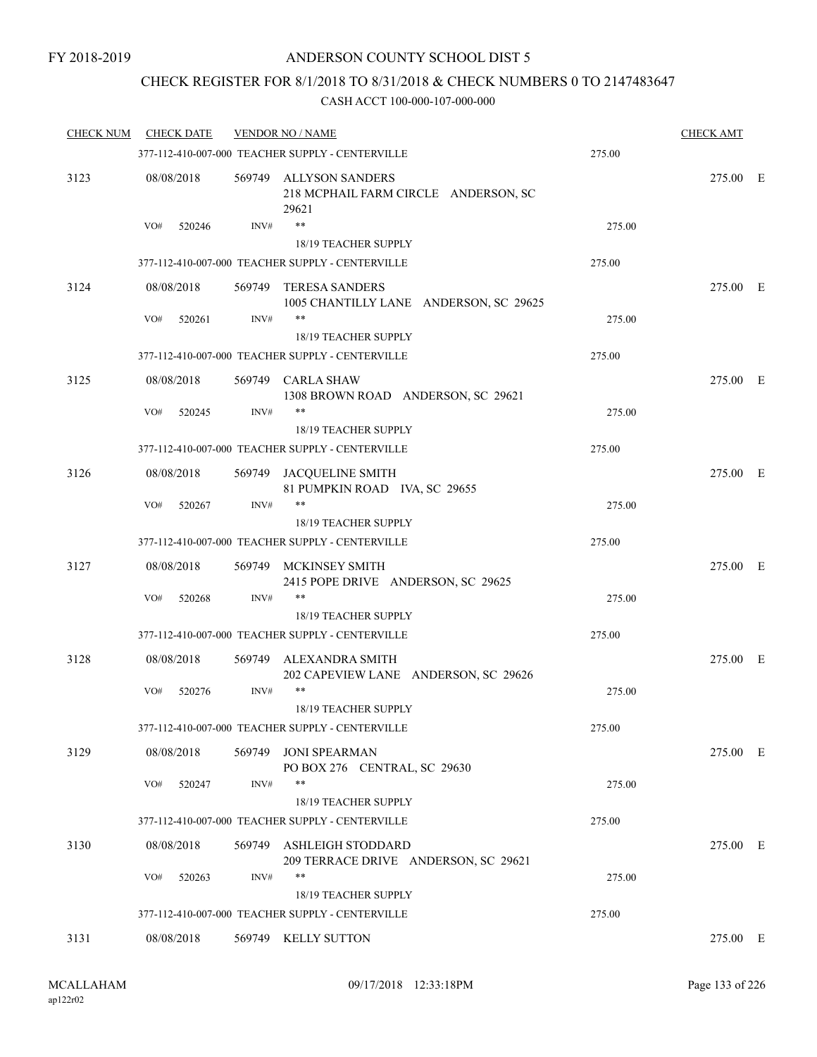### CHECK REGISTER FOR 8/1/2018 TO 8/31/2018 & CHECK NUMBERS 0 TO 2147483647

| <b>CHECK NUM</b> | <b>CHECK DATE</b> |        | <b>VENDOR NO / NAME</b>                                                  |        | <b>CHECK AMT</b> |  |
|------------------|-------------------|--------|--------------------------------------------------------------------------|--------|------------------|--|
|                  |                   |        | 377-112-410-007-000 TEACHER SUPPLY - CENTERVILLE                         | 275.00 |                  |  |
| 3123             | 08/08/2018        |        | 569749 ALLYSON SANDERS<br>218 MCPHAIL FARM CIRCLE ANDERSON, SC<br>29621  |        | 275.00 E         |  |
|                  | VO#<br>520246     | INV#   | **                                                                       | 275.00 |                  |  |
|                  |                   |        | 18/19 TEACHER SUPPLY                                                     |        |                  |  |
|                  |                   |        | 377-112-410-007-000 TEACHER SUPPLY - CENTERVILLE                         | 275.00 |                  |  |
| 3124             | 08/08/2018        | 569749 | <b>TERESA SANDERS</b><br>1005 CHANTILLY LANE ANDERSON, SC 29625          |        | 275.00 E         |  |
|                  | VO#<br>520261     | INV#   | **                                                                       | 275.00 |                  |  |
|                  |                   |        | 18/19 TEACHER SUPPLY                                                     |        |                  |  |
|                  |                   |        | 377-112-410-007-000 TEACHER SUPPLY - CENTERVILLE                         | 275.00 |                  |  |
| 3125             | 08/08/2018        |        | 569749 CARLA SHAW<br>1308 BROWN ROAD ANDERSON, SC 29621                  |        | 275.00 E         |  |
|                  | VO#<br>520245     | INV#   | **                                                                       | 275.00 |                  |  |
|                  |                   |        | 18/19 TEACHER SUPPLY<br>377-112-410-007-000 TEACHER SUPPLY - CENTERVILLE | 275.00 |                  |  |
|                  |                   |        |                                                                          |        |                  |  |
| 3126             | 08/08/2018        |        | 569749 JACQUELINE SMITH<br>81 PUMPKIN ROAD IVA, SC 29655                 |        | 275.00 E         |  |
|                  | VO#<br>520267     | INV#   | **                                                                       | 275.00 |                  |  |
|                  |                   |        | 18/19 TEACHER SUPPLY                                                     |        |                  |  |
|                  |                   |        | 377-112-410-007-000 TEACHER SUPPLY - CENTERVILLE                         | 275.00 |                  |  |
| 3127             | 08/08/2018        |        | 569749 MCKINSEY SMITH<br>2415 POPE DRIVE ANDERSON, SC 29625              |        | 275.00 E         |  |
|                  | VO#<br>520268     | INV#   | **                                                                       | 275.00 |                  |  |
|                  |                   |        | 18/19 TEACHER SUPPLY                                                     |        |                  |  |
|                  |                   |        | 377-112-410-007-000 TEACHER SUPPLY - CENTERVILLE                         | 275.00 |                  |  |
| 3128             | 08/08/2018        | 569749 | ALEXANDRA SMITH                                                          |        | 275.00 E         |  |
|                  | VO#<br>520276     | INV#   | 202 CAPEVIEW LANE ANDERSON, SC 29626<br>**                               | 275.00 |                  |  |
|                  |                   |        | 18/19 TEACHER SUPPLY                                                     |        |                  |  |
|                  |                   |        | 377-112-410-007-000 TEACHER SUPPLY - CENTERVILLE                         | 275.00 |                  |  |
| 3129             | 08/08/2018        | 569749 | JONI SPEARMAN<br>PO BOX 276 CENTRAL, SC 29630                            |        | 275.00 E         |  |
|                  | VO#<br>520247     | INV#   | **                                                                       | 275.00 |                  |  |
|                  |                   |        | 18/19 TEACHER SUPPLY                                                     |        |                  |  |
|                  |                   |        | 377-112-410-007-000 TEACHER SUPPLY - CENTERVILLE                         | 275.00 |                  |  |
| 3130             | 08/08/2018        |        | 569749 ASHLEIGH STODDARD<br>209 TERRACE DRIVE ANDERSON, SC 29621         |        | 275.00 E         |  |
|                  | VO#<br>520263     | INV#   | **                                                                       | 275.00 |                  |  |
|                  |                   |        | 18/19 TEACHER SUPPLY                                                     |        |                  |  |
|                  |                   |        | 377-112-410-007-000 TEACHER SUPPLY - CENTERVILLE                         | 275.00 |                  |  |
| 3131             | 08/08/2018        |        | 569749 KELLY SUTTON                                                      |        | 275.00 E         |  |
|                  |                   |        |                                                                          |        |                  |  |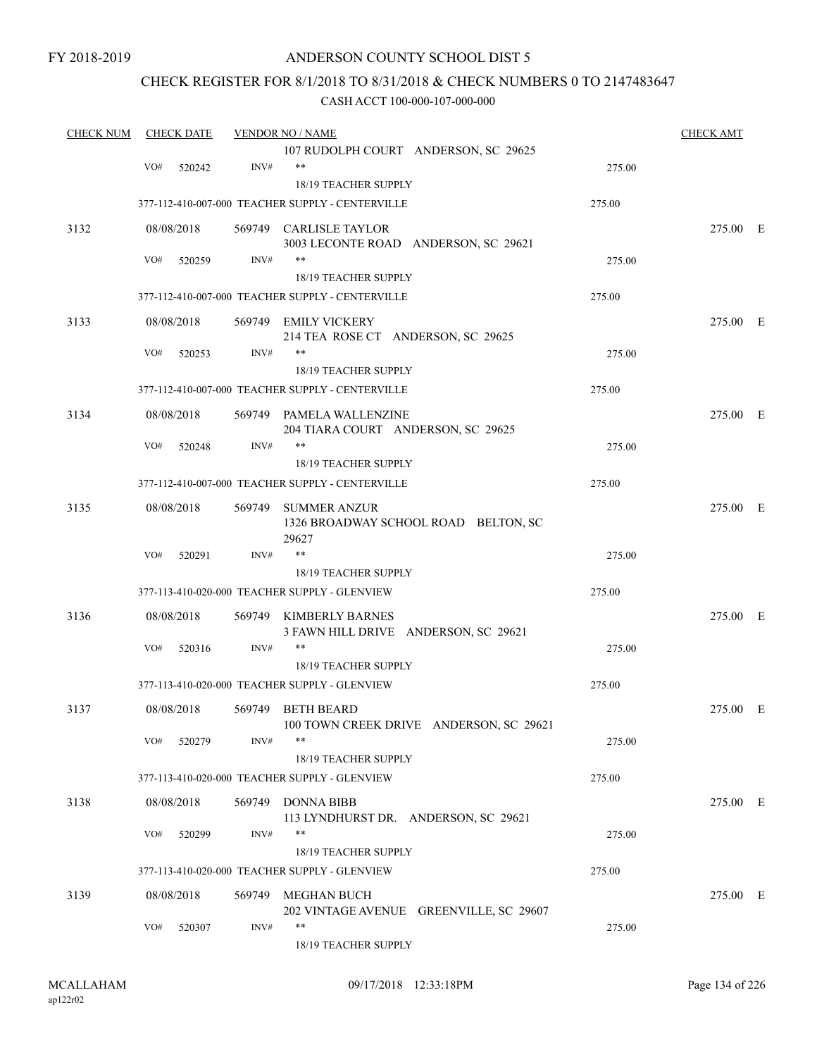### CHECK REGISTER FOR 8/1/2018 TO 8/31/2018 & CHECK NUMBERS 0 TO 2147483647

| 107 RUDOLPH COURT ANDERSON, SC 29625<br>INV#<br>**<br>VO#<br>520242<br>275.00<br>18/19 TEACHER SUPPLY<br>377-112-410-007-000 TEACHER SUPPLY - CENTERVILLE<br>275.00<br>3132<br>08/08/2018<br>569749 CARLISLE TAYLOR<br>275.00 E<br>3003 LECONTE ROAD ANDERSON, SC 29621<br>INV#<br>**<br>VO#<br>520259<br>275.00<br>18/19 TEACHER SUPPLY<br>377-112-410-007-000 TEACHER SUPPLY - CENTERVILLE<br>275.00<br>3133<br>08/08/2018<br>569749 EMILY VICKERY<br>275.00 E<br>214 TEA ROSE CT ANDERSON, SC 29625<br>INV#<br>VO#<br>520253<br>275.00<br>18/19 TEACHER SUPPLY<br>377-112-410-007-000 TEACHER SUPPLY - CENTERVILLE<br>275.00<br>3134<br>08/08/2018<br>569749 PAMELA WALLENZINE<br>275.00 E<br>204 TIARA COURT ANDERSON, SC 29625<br>VO#<br>INV#<br>**<br>520248<br>275.00 |
|------------------------------------------------------------------------------------------------------------------------------------------------------------------------------------------------------------------------------------------------------------------------------------------------------------------------------------------------------------------------------------------------------------------------------------------------------------------------------------------------------------------------------------------------------------------------------------------------------------------------------------------------------------------------------------------------------------------------------------------------------------------------------|
|                                                                                                                                                                                                                                                                                                                                                                                                                                                                                                                                                                                                                                                                                                                                                                              |
|                                                                                                                                                                                                                                                                                                                                                                                                                                                                                                                                                                                                                                                                                                                                                                              |
|                                                                                                                                                                                                                                                                                                                                                                                                                                                                                                                                                                                                                                                                                                                                                                              |
|                                                                                                                                                                                                                                                                                                                                                                                                                                                                                                                                                                                                                                                                                                                                                                              |
|                                                                                                                                                                                                                                                                                                                                                                                                                                                                                                                                                                                                                                                                                                                                                                              |
|                                                                                                                                                                                                                                                                                                                                                                                                                                                                                                                                                                                                                                                                                                                                                                              |
|                                                                                                                                                                                                                                                                                                                                                                                                                                                                                                                                                                                                                                                                                                                                                                              |
|                                                                                                                                                                                                                                                                                                                                                                                                                                                                                                                                                                                                                                                                                                                                                                              |
|                                                                                                                                                                                                                                                                                                                                                                                                                                                                                                                                                                                                                                                                                                                                                                              |
|                                                                                                                                                                                                                                                                                                                                                                                                                                                                                                                                                                                                                                                                                                                                                                              |
|                                                                                                                                                                                                                                                                                                                                                                                                                                                                                                                                                                                                                                                                                                                                                                              |
|                                                                                                                                                                                                                                                                                                                                                                                                                                                                                                                                                                                                                                                                                                                                                                              |
|                                                                                                                                                                                                                                                                                                                                                                                                                                                                                                                                                                                                                                                                                                                                                                              |
|                                                                                                                                                                                                                                                                                                                                                                                                                                                                                                                                                                                                                                                                                                                                                                              |
|                                                                                                                                                                                                                                                                                                                                                                                                                                                                                                                                                                                                                                                                                                                                                                              |
|                                                                                                                                                                                                                                                                                                                                                                                                                                                                                                                                                                                                                                                                                                                                                                              |
|                                                                                                                                                                                                                                                                                                                                                                                                                                                                                                                                                                                                                                                                                                                                                                              |
| <b>18/19 TEACHER SUPPLY</b>                                                                                                                                                                                                                                                                                                                                                                                                                                                                                                                                                                                                                                                                                                                                                  |
| 377-112-410-007-000 TEACHER SUPPLY - CENTERVILLE<br>275.00                                                                                                                                                                                                                                                                                                                                                                                                                                                                                                                                                                                                                                                                                                                   |
| 3135<br>08/08/2018<br>275.00 E<br>569749<br>SUMMER ANZUR                                                                                                                                                                                                                                                                                                                                                                                                                                                                                                                                                                                                                                                                                                                     |
| 1326 BROADWAY SCHOOL ROAD BELTON, SC                                                                                                                                                                                                                                                                                                                                                                                                                                                                                                                                                                                                                                                                                                                                         |
| 29627<br>$***$<br>VO#<br>INV#                                                                                                                                                                                                                                                                                                                                                                                                                                                                                                                                                                                                                                                                                                                                                |
| 520291<br>275.00<br>18/19 TEACHER SUPPLY                                                                                                                                                                                                                                                                                                                                                                                                                                                                                                                                                                                                                                                                                                                                     |
| 377-113-410-020-000 TEACHER SUPPLY - GLENVIEW<br>275.00                                                                                                                                                                                                                                                                                                                                                                                                                                                                                                                                                                                                                                                                                                                      |
|                                                                                                                                                                                                                                                                                                                                                                                                                                                                                                                                                                                                                                                                                                                                                                              |
| 3136<br>275.00 E<br>08/08/2018<br>569749 KIMBERLY BARNES                                                                                                                                                                                                                                                                                                                                                                                                                                                                                                                                                                                                                                                                                                                     |
| 3 FAWN HILL DRIVE ANDERSON, SC 29621<br>INV#<br>**<br>VO#<br>520316<br>275.00                                                                                                                                                                                                                                                                                                                                                                                                                                                                                                                                                                                                                                                                                                |
| 18/19 TEACHER SUPPLY                                                                                                                                                                                                                                                                                                                                                                                                                                                                                                                                                                                                                                                                                                                                                         |
| 377-113-410-020-000 TEACHER SUPPLY - GLENVIEW<br>275.00                                                                                                                                                                                                                                                                                                                                                                                                                                                                                                                                                                                                                                                                                                                      |
|                                                                                                                                                                                                                                                                                                                                                                                                                                                                                                                                                                                                                                                                                                                                                                              |
| 3137<br>08/08/2018<br>569749 BETH BEARD<br>275.00 E                                                                                                                                                                                                                                                                                                                                                                                                                                                                                                                                                                                                                                                                                                                          |
| 100 TOWN CREEK DRIVE ANDERSON, SC 29621<br>$***$<br>INV#<br>VO#<br>520279<br>275.00                                                                                                                                                                                                                                                                                                                                                                                                                                                                                                                                                                                                                                                                                          |
| 18/19 TEACHER SUPPLY                                                                                                                                                                                                                                                                                                                                                                                                                                                                                                                                                                                                                                                                                                                                                         |
| 377-113-410-020-000 TEACHER SUPPLY - GLENVIEW<br>275.00                                                                                                                                                                                                                                                                                                                                                                                                                                                                                                                                                                                                                                                                                                                      |
|                                                                                                                                                                                                                                                                                                                                                                                                                                                                                                                                                                                                                                                                                                                                                                              |
| 3138<br>08/08/2018<br>569749 DONNA BIBB<br>275.00 E                                                                                                                                                                                                                                                                                                                                                                                                                                                                                                                                                                                                                                                                                                                          |
| 113 LYNDHURST DR. ANDERSON, SC 29621<br>INV#<br>**<br>VO#<br>275.00<br>520299                                                                                                                                                                                                                                                                                                                                                                                                                                                                                                                                                                                                                                                                                                |
| 18/19 TEACHER SUPPLY                                                                                                                                                                                                                                                                                                                                                                                                                                                                                                                                                                                                                                                                                                                                                         |
| 377-113-410-020-000 TEACHER SUPPLY - GLENVIEW<br>275.00                                                                                                                                                                                                                                                                                                                                                                                                                                                                                                                                                                                                                                                                                                                      |
|                                                                                                                                                                                                                                                                                                                                                                                                                                                                                                                                                                                                                                                                                                                                                                              |
| 08/08/2018<br>3139<br>569749<br>MEGHAN BUCH<br>275.00 E                                                                                                                                                                                                                                                                                                                                                                                                                                                                                                                                                                                                                                                                                                                      |
| 202 VINTAGE AVENUE GREENVILLE, SC 29607<br>INV#<br>**<br>VO#<br>520307<br>275.00                                                                                                                                                                                                                                                                                                                                                                                                                                                                                                                                                                                                                                                                                             |
| 18/19 TEACHER SUPPLY                                                                                                                                                                                                                                                                                                                                                                                                                                                                                                                                                                                                                                                                                                                                                         |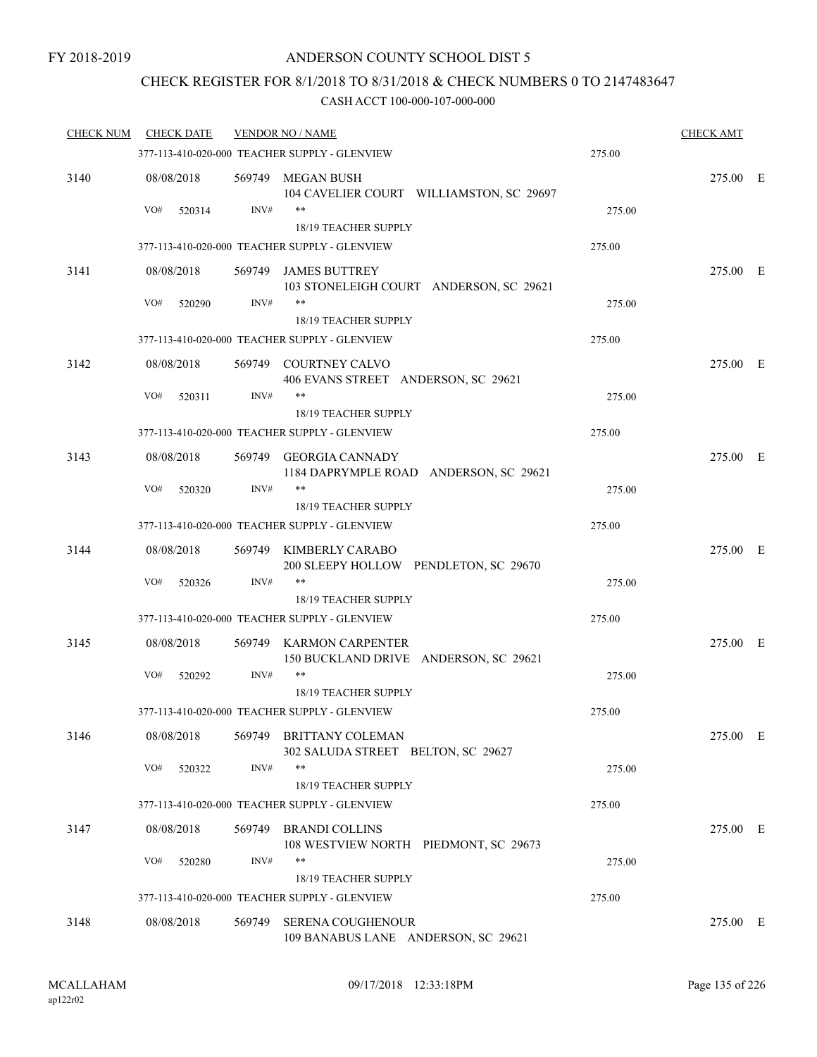### CHECK REGISTER FOR 8/1/2018 TO 8/31/2018 & CHECK NUMBERS 0 TO 2147483647

| <b>CHECK NUM</b> | <b>CHECK DATE</b> |        | <b>VENDOR NO / NAME</b>                                                      |        | <b>CHECK AMT</b> |  |
|------------------|-------------------|--------|------------------------------------------------------------------------------|--------|------------------|--|
|                  |                   |        | 377-113-410-020-000 TEACHER SUPPLY - GLENVIEW                                | 275.00 |                  |  |
| 3140             | 08/08/2018        |        | 569749 MEGAN BUSH<br>104 CAVELIER COURT WILLIAMSTON, SC 29697                |        | 275.00 E         |  |
|                  | VO#<br>520314     | INV#   | $***$                                                                        | 275.00 |                  |  |
|                  |                   |        | 18/19 TEACHER SUPPLY                                                         |        |                  |  |
|                  |                   |        | 377-113-410-020-000 TEACHER SUPPLY - GLENVIEW                                | 275.00 |                  |  |
| 3141             | 08/08/2018        | 569749 | <b>JAMES BUTTREY</b><br>103 STONELEIGH COURT ANDERSON, SC 29621              |        | 275.00 E         |  |
|                  | VO#<br>520290     | INV#   | $***$<br>18/19 TEACHER SUPPLY                                                | 275.00 |                  |  |
|                  |                   |        | 377-113-410-020-000 TEACHER SUPPLY - GLENVIEW                                | 275.00 |                  |  |
| 3142             | 08/08/2018        |        | 569749 COURTNEY CALVO<br>406 EVANS STREET ANDERSON, SC 29621                 |        | 275.00 E         |  |
|                  | VO#<br>520311     | INV#   | $***$                                                                        | 275.00 |                  |  |
|                  |                   |        | <b>18/19 TEACHER SUPPLY</b>                                                  |        |                  |  |
|                  |                   |        | 377-113-410-020-000 TEACHER SUPPLY - GLENVIEW                                | 275.00 |                  |  |
| 3143             | 08/08/2018        |        | 569749 GEORGIA CANNADY<br>1184 DAPRYMPLE ROAD ANDERSON, SC 29621             |        | 275.00 E         |  |
|                  | VO#<br>520320     | INV#   | **                                                                           | 275.00 |                  |  |
|                  |                   |        | <b>18/19 TEACHER SUPPLY</b>                                                  |        |                  |  |
|                  |                   |        | 377-113-410-020-000 TEACHER SUPPLY - GLENVIEW                                | 275.00 |                  |  |
| 3144             | 08/08/2018        |        | 569749 KIMBERLY CARABO<br>200 SLEEPY HOLLOW PENDLETON, SC 29670              |        | 275.00 E         |  |
|                  | VO#<br>520326     | INV#   | $***$                                                                        | 275.00 |                  |  |
|                  |                   |        | <b>18/19 TEACHER SUPPLY</b><br>377-113-410-020-000 TEACHER SUPPLY - GLENVIEW | 275.00 |                  |  |
|                  |                   |        |                                                                              |        |                  |  |
| 3145             | 08/08/2018<br>VO# | INV#   | 569749 KARMON CARPENTER<br>150 BUCKLAND DRIVE ANDERSON, SC 29621<br>$***$    |        | 275.00 E         |  |
|                  | 520292            |        | 18/19 TEACHER SUPPLY                                                         | 275.00 |                  |  |
|                  |                   |        | 377-113-410-020-000 TEACHER SUPPLY - GLENVIEW                                | 275.00 |                  |  |
| 3146             | 08/08/2018        | 569749 | <b>BRITTANY COLEMAN</b><br>302 SALUDA STREET BELTON, SC 29627                |        | 275.00 E         |  |
|                  | VO#<br>520322     | INV#   | **<br>18/19 TEACHER SUPPLY                                                   | 275.00 |                  |  |
|                  |                   |        | 377-113-410-020-000 TEACHER SUPPLY - GLENVIEW                                | 275.00 |                  |  |
|                  |                   |        |                                                                              |        |                  |  |
| 3147             | 08/08/2018<br>VO# | INV#   | 569749 BRANDI COLLINS<br>108 WESTVIEW NORTH PIEDMONT, SC 29673<br>$***$      |        | 275.00 E         |  |
|                  | 520280            |        | 18/19 TEACHER SUPPLY                                                         | 275.00 |                  |  |
|                  |                   |        | 377-113-410-020-000 TEACHER SUPPLY - GLENVIEW                                | 275.00 |                  |  |
| 3148             | 08/08/2018        | 569749 | <b>SERENA COUGHENOUR</b><br>109 BANABUS LANE ANDERSON, SC 29621              |        | 275.00 E         |  |
|                  |                   |        |                                                                              |        |                  |  |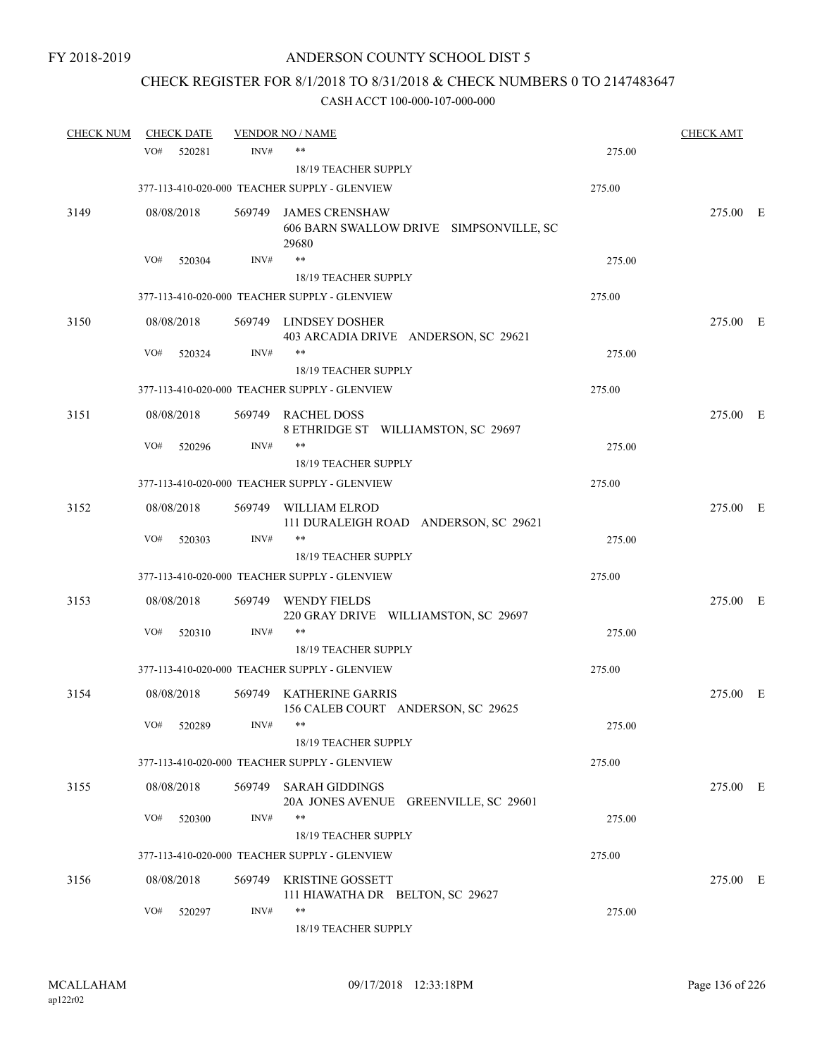# CHECK REGISTER FOR 8/1/2018 TO 8/31/2018 & CHECK NUMBERS 0 TO 2147483647

| <b>CHECK NUM</b> |     | <b>CHECK DATE</b> |      | <b>VENDOR NO / NAME</b>                                                   |        | <b>CHECK AMT</b> |  |
|------------------|-----|-------------------|------|---------------------------------------------------------------------------|--------|------------------|--|
|                  | VO# | 520281            | INV# | **                                                                        | 275.00 |                  |  |
|                  |     |                   |      | <b>18/19 TEACHER SUPPLY</b>                                               |        |                  |  |
|                  |     |                   |      | 377-113-410-020-000 TEACHER SUPPLY - GLENVIEW                             | 275.00 |                  |  |
| 3149             |     | 08/08/2018        |      | 569749 JAMES CRENSHAW<br>606 BARN SWALLOW DRIVE SIMPSONVILLE, SC<br>29680 |        | 275.00 E         |  |
|                  | VO# | 520304            | INV# | $***$                                                                     | 275.00 |                  |  |
|                  |     |                   |      | 18/19 TEACHER SUPPLY                                                      |        |                  |  |
|                  |     |                   |      | 377-113-410-020-000 TEACHER SUPPLY - GLENVIEW                             | 275.00 |                  |  |
| 3150             |     | 08/08/2018        |      | 569749 LINDSEY DOSHER<br>403 ARCADIA DRIVE ANDERSON, SC 29621             |        | 275.00 E         |  |
|                  | VO# | 520324            | INV# | **                                                                        | 275.00 |                  |  |
|                  |     |                   |      | 18/19 TEACHER SUPPLY                                                      |        |                  |  |
|                  |     |                   |      | 377-113-410-020-000 TEACHER SUPPLY - GLENVIEW                             | 275.00 |                  |  |
| 3151             |     | 08/08/2018        |      | 569749 RACHEL DOSS<br>8 ETHRIDGE ST WILLIAMSTON, SC 29697                 |        | 275.00 E         |  |
|                  | VO# | 520296            | INV# | **                                                                        | 275.00 |                  |  |
|                  |     |                   |      | 18/19 TEACHER SUPPLY                                                      |        |                  |  |
|                  |     |                   |      | 377-113-410-020-000 TEACHER SUPPLY - GLENVIEW                             | 275.00 |                  |  |
| 3152             |     | 08/08/2018        |      | 569749 WILLIAM ELROD<br>111 DURALEIGH ROAD ANDERSON, SC 29621             |        | 275.00 E         |  |
|                  | VO# | 520303            | INV# | **                                                                        | 275.00 |                  |  |
|                  |     |                   |      | 18/19 TEACHER SUPPLY                                                      |        |                  |  |
|                  |     |                   |      | 377-113-410-020-000 TEACHER SUPPLY - GLENVIEW                             | 275.00 |                  |  |
| 3153             |     | 08/08/2018        |      | 569749 WENDY FIELDS<br>220 GRAY DRIVE WILLIAMSTON, SC 29697               |        | 275.00 E         |  |
|                  | VO# | 520310            | INV# | **                                                                        | 275.00 |                  |  |
|                  |     |                   |      | 18/19 TEACHER SUPPLY                                                      |        |                  |  |
|                  |     |                   |      | 377-113-410-020-000 TEACHER SUPPLY - GLENVIEW                             | 275.00 |                  |  |
| 3154             |     | 08/08/2018        |      | 569749 KATHERINE GARRIS<br>156 CALEB COURT ANDERSON, SC 29625             |        | 275.00 E         |  |
|                  |     | VO# 520289        | INV# | 18/19 TEACHER SUPPLY                                                      | 275.00 |                  |  |
|                  |     |                   |      | 377-113-410-020-000 TEACHER SUPPLY - GLENVIEW                             | 275.00 |                  |  |
| 3155             |     | 08/08/2018        |      | 569749 SARAH GIDDINGS<br>20A JONES AVENUE GREENVILLE, SC 29601            |        | 275.00 E         |  |
|                  | VO# | 520300            | INV# | **<br>18/19 TEACHER SUPPLY                                                | 275.00 |                  |  |
|                  |     |                   |      | 377-113-410-020-000 TEACHER SUPPLY - GLENVIEW                             | 275.00 |                  |  |
| 3156             |     | 08/08/2018        |      | 569749 KRISTINE GOSSETT<br>111 HIAWATHA DR BELTON, SC 29627               |        | 275.00 E         |  |
|                  | VO# | 520297            | INV# | **<br>18/19 TEACHER SUPPLY                                                | 275.00 |                  |  |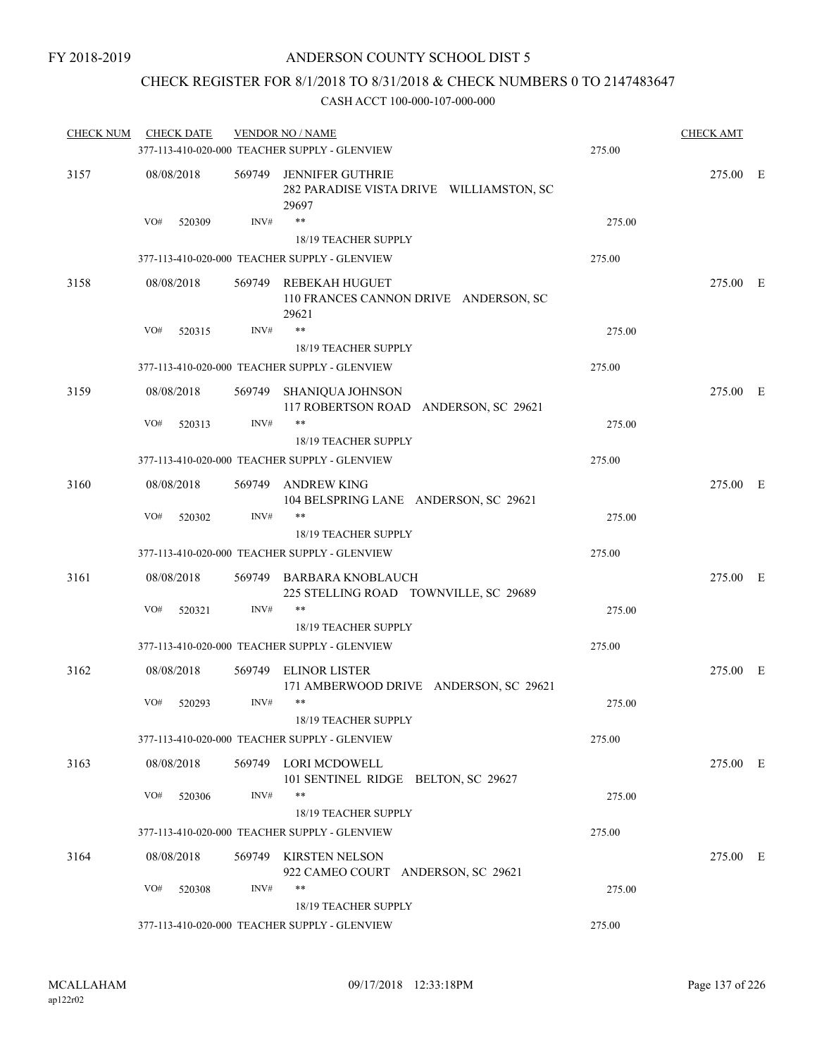### CHECK REGISTER FOR 8/1/2018 TO 8/31/2018 & CHECK NUMBERS 0 TO 2147483647

| <b>CHECK NUM</b> | <b>CHECK DATE</b> |        | <b>VENDOR NO / NAME</b>                                                      |        | <b>CHECK AMT</b> |  |
|------------------|-------------------|--------|------------------------------------------------------------------------------|--------|------------------|--|
|                  |                   |        | 377-113-410-020-000 TEACHER SUPPLY - GLENVIEW                                | 275.00 |                  |  |
| 3157             | 08/08/2018        |        | 569749 JENNIFER GUTHRIE<br>282 PARADISE VISTA DRIVE WILLIAMSTON, SC<br>29697 |        | 275.00 E         |  |
|                  | VO#<br>520309     | INV#   | $\ast\ast$                                                                   | 275.00 |                  |  |
|                  |                   |        | 18/19 TEACHER SUPPLY                                                         |        |                  |  |
|                  |                   |        | 377-113-410-020-000 TEACHER SUPPLY - GLENVIEW                                | 275.00 |                  |  |
| 3158             | 08/08/2018        |        | 569749 REBEKAH HUGUET<br>110 FRANCES CANNON DRIVE ANDERSON, SC<br>29621      |        | 275.00 E         |  |
|                  | VO#<br>520315     | INV#   | $***$                                                                        | 275.00 |                  |  |
|                  |                   |        | 18/19 TEACHER SUPPLY                                                         |        |                  |  |
|                  |                   |        | 377-113-410-020-000 TEACHER SUPPLY - GLENVIEW                                | 275.00 |                  |  |
| 3159             | 08/08/2018        | 569749 | SHANIQUA JOHNSON<br>117 ROBERTSON ROAD ANDERSON, SC 29621                    |        | 275.00 E         |  |
|                  | VO#<br>520313     | INV#   | **                                                                           | 275.00 |                  |  |
|                  |                   |        | 18/19 TEACHER SUPPLY                                                         |        |                  |  |
|                  |                   |        | 377-113-410-020-000 TEACHER SUPPLY - GLENVIEW                                | 275.00 |                  |  |
| 3160             | 08/08/2018        |        | 569749 ANDREW KING<br>104 BELSPRING LANE ANDERSON, SC 29621                  |        | 275.00 E         |  |
|                  | VO#<br>520302     | INV#   | **                                                                           | 275.00 |                  |  |
|                  |                   |        | <b>18/19 TEACHER SUPPLY</b>                                                  |        |                  |  |
|                  |                   |        | 377-113-410-020-000 TEACHER SUPPLY - GLENVIEW                                | 275.00 |                  |  |
| 3161             | 08/08/2018        |        | 569749 BARBARA KNOBLAUCH<br>225 STELLING ROAD TOWNVILLE, SC 29689            |        | 275.00 E         |  |
|                  | VO#<br>520321     | INV#   | **                                                                           | 275.00 |                  |  |
|                  |                   |        | 18/19 TEACHER SUPPLY                                                         |        |                  |  |
|                  |                   |        | 377-113-410-020-000 TEACHER SUPPLY - GLENVIEW                                | 275.00 |                  |  |
| 3162             | 08/08/2018        |        | 569749 ELINOR LISTER<br>171 AMBERWOOD DRIVE ANDERSON, SC 29621               |        | 275.00 E         |  |
|                  | VO#<br>520293     | INV#   | $***$                                                                        | 275.00 |                  |  |
|                  |                   |        | 18/19 TEACHER SUPPLY                                                         |        |                  |  |
|                  |                   |        | 377-113-410-020-000 TEACHER SUPPLY - GLENVIEW                                | 275.00 |                  |  |
| 3163             | 08/08/2018        |        | 569749 LORI MCDOWELL<br>101 SENTINEL RIDGE BELTON, SC 29627                  |        | 275.00 E         |  |
|                  | VO#<br>520306     | INV#   | **                                                                           | 275.00 |                  |  |
|                  |                   |        | 18/19 TEACHER SUPPLY                                                         |        |                  |  |
|                  |                   |        | 377-113-410-020-000 TEACHER SUPPLY - GLENVIEW                                | 275.00 |                  |  |
| 3164             | 08/08/2018        |        | 569749 KIRSTEN NELSON<br>922 CAMEO COURT ANDERSON, SC 29621                  |        | 275.00 E         |  |
|                  | VO#<br>520308     | INV#   | **                                                                           | 275.00 |                  |  |
|                  |                   |        | 18/19 TEACHER SUPPLY                                                         |        |                  |  |
|                  |                   |        | 377-113-410-020-000 TEACHER SUPPLY - GLENVIEW                                | 275.00 |                  |  |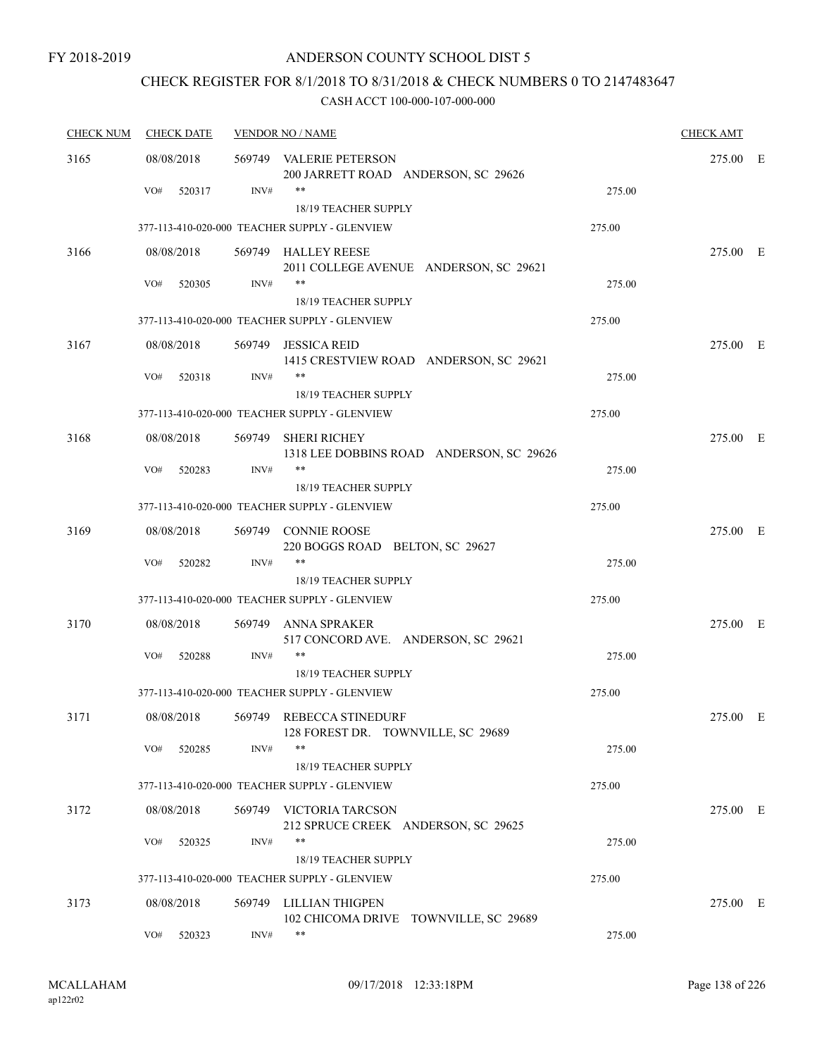### CHECK REGISTER FOR 8/1/2018 TO 8/31/2018 & CHECK NUMBERS 0 TO 2147483647

| <b>CHECK NUM</b> | <b>CHECK DATE</b> | <b>VENDOR NO / NAME</b> |                                                                 |        |          |  |  |
|------------------|-------------------|-------------------------|-----------------------------------------------------------------|--------|----------|--|--|
| 3165             | 08/08/2018        |                         | 569749 VALERIE PETERSON<br>200 JARRETT ROAD ANDERSON, SC 29626  |        | 275.00 E |  |  |
|                  | VO#<br>520317     | INV#                    | $***$                                                           | 275.00 |          |  |  |
|                  |                   |                         | 18/19 TEACHER SUPPLY                                            |        |          |  |  |
|                  |                   |                         | 377-113-410-020-000 TEACHER SUPPLY - GLENVIEW                   | 275.00 |          |  |  |
| 3166             | 08/08/2018        |                         | 569749 HALLEY REESE<br>2011 COLLEGE AVENUE ANDERSON, SC 29621   |        | 275.00 E |  |  |
|                  | VO#<br>520305     | INV#                    | **<br>18/19 TEACHER SUPPLY                                      | 275.00 |          |  |  |
|                  |                   |                         | 377-113-410-020-000 TEACHER SUPPLY - GLENVIEW                   | 275.00 |          |  |  |
| 3167             | 08/08/2018        | 569749                  | JESSICA REID<br>1415 CRESTVIEW ROAD ANDERSON, SC 29621          |        | 275.00 E |  |  |
|                  | VO#<br>520318     | INV#                    | **<br>18/19 TEACHER SUPPLY                                      | 275.00 |          |  |  |
|                  |                   |                         | 377-113-410-020-000 TEACHER SUPPLY - GLENVIEW                   | 275.00 |          |  |  |
| 3168             | 08/08/2018        |                         | 569749 SHERI RICHEY<br>1318 LEE DOBBINS ROAD ANDERSON, SC 29626 |        | 275.00 E |  |  |
|                  | VO#<br>520283     | INV#                    | $***$<br>18/19 TEACHER SUPPLY                                   | 275.00 |          |  |  |
|                  |                   |                         | 377-113-410-020-000 TEACHER SUPPLY - GLENVIEW                   | 275.00 |          |  |  |
| 3169             | 08/08/2018        |                         | 569749 CONNIE ROOSE<br>220 BOGGS ROAD BELTON, SC 29627          |        | 275.00 E |  |  |
|                  | VO#<br>520282     | INV#                    | **<br><b>18/19 TEACHER SUPPLY</b>                               | 275.00 |          |  |  |
|                  |                   |                         | 377-113-410-020-000 TEACHER SUPPLY - GLENVIEW                   | 275.00 |          |  |  |
| 3170             | 08/08/2018        | 569749                  | <b>ANNA SPRAKER</b><br>517 CONCORD AVE. ANDERSON, SC 29621      |        | 275.00 E |  |  |
|                  | VO#<br>520288     | INV#                    | **<br><b>18/19 TEACHER SUPPLY</b>                               | 275.00 |          |  |  |
|                  |                   |                         | 377-113-410-020-000 TEACHER SUPPLY - GLENVIEW                   | 275.00 |          |  |  |
| 3171             | 08/08/2018        |                         | 569749 REBECCA STINEDURF<br>128 FOREST DR. TOWNVILLE, SC 29689  |        | 275.00 E |  |  |
|                  | VO#<br>520285     | INV#                    | $***$<br>18/19 TEACHER SUPPLY                                   | 275.00 |          |  |  |
|                  |                   |                         | 377-113-410-020-000 TEACHER SUPPLY - GLENVIEW                   | 275.00 |          |  |  |
| 3172             | 08/08/2018        |                         | 569749 VICTORIA TARCSON<br>212 SPRUCE CREEK ANDERSON, SC 29625  |        | 275.00 E |  |  |
|                  | VO#<br>520325     | INV#                    | **<br>18/19 TEACHER SUPPLY                                      | 275.00 |          |  |  |
|                  |                   |                         | 377-113-410-020-000 TEACHER SUPPLY - GLENVIEW                   | 275.00 |          |  |  |
| 3173             | 08/08/2018        | 569749                  | LILLIAN THIGPEN<br>102 CHICOMA DRIVE TOWNVILLE, SC 29689        |        | 275.00 E |  |  |
|                  | VO#<br>520323     | INV#                    | **                                                              | 275.00 |          |  |  |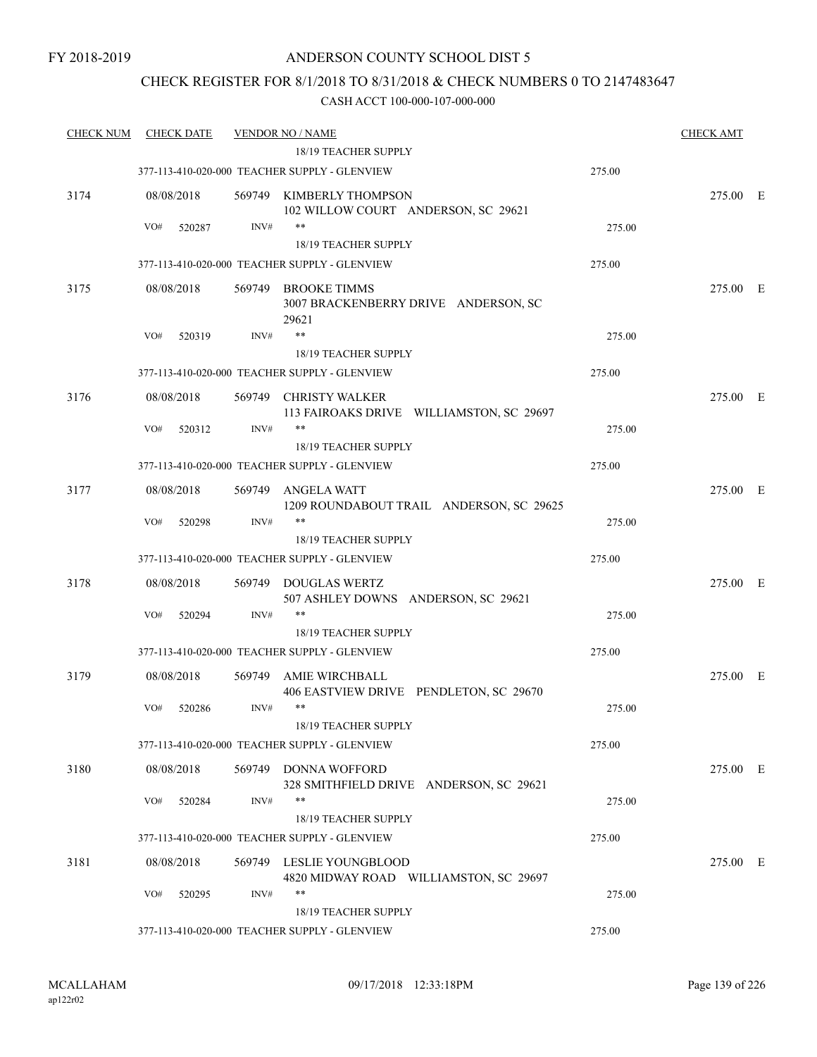### CHECK REGISTER FOR 8/1/2018 TO 8/31/2018 & CHECK NUMBERS 0 TO 2147483647

| <b>CHECK NUM</b> |     | <b>CHECK DATE</b>    |        | <b>VENDOR NO / NAME</b>                                               |        | <b>CHECK AMT</b> |  |
|------------------|-----|----------------------|--------|-----------------------------------------------------------------------|--------|------------------|--|
|                  |     |                      |        | 18/19 TEACHER SUPPLY                                                  |        |                  |  |
|                  |     |                      |        | 377-113-410-020-000 TEACHER SUPPLY - GLENVIEW                         | 275.00 |                  |  |
| 3174             |     | 08/08/2018           |        | 569749 KIMBERLY THOMPSON<br>102 WILLOW COURT ANDERSON, SC 29621       |        | 275.00 E         |  |
|                  | VO# | 520287               | INV#   | $***$                                                                 | 275.00 |                  |  |
|                  |     |                      |        | <b>18/19 TEACHER SUPPLY</b>                                           |        |                  |  |
|                  |     |                      |        | 377-113-410-020-000 TEACHER SUPPLY - GLENVIEW                         | 275.00 |                  |  |
| 3175             |     | 08/08/2018           | 569749 | <b>BROOKE TIMMS</b><br>3007 BRACKENBERRY DRIVE ANDERSON, SC<br>29621  |        | 275.00 E         |  |
|                  | VO# | 520319               | INV#   | **                                                                    | 275.00 |                  |  |
|                  |     |                      |        | 18/19 TEACHER SUPPLY                                                  |        |                  |  |
|                  |     |                      |        | 377-113-410-020-000 TEACHER SUPPLY - GLENVIEW                         | 275.00 |                  |  |
| 3176             |     | 08/08/2018           | 569749 | CHRISTY WALKER<br>113 FAIROAKS DRIVE WILLIAMSTON, SC 29697            |        | 275.00 E         |  |
|                  | VO# | 520312               | INV#   | $***$                                                                 | 275.00 |                  |  |
|                  |     |                      |        | 18/19 TEACHER SUPPLY                                                  |        |                  |  |
|                  |     |                      |        | 377-113-410-020-000 TEACHER SUPPLY - GLENVIEW                         | 275.00 |                  |  |
| 3177             |     | 08/08/2018           | 569749 | ANGELA WATT<br>1209 ROUNDABOUT TRAIL ANDERSON, SC 29625               |        | 275.00 E         |  |
|                  | VO# | 520298               | INV#   | $***$                                                                 | 275.00 |                  |  |
|                  |     |                      |        | 18/19 TEACHER SUPPLY                                                  |        |                  |  |
|                  |     |                      |        | 377-113-410-020-000 TEACHER SUPPLY - GLENVIEW                         | 275.00 |                  |  |
| 3178             |     | 08/08/2018           |        | 569749 DOUGLAS WERTZ<br>507 ASHLEY DOWNS ANDERSON, SC 29621           |        | 275.00 E         |  |
|                  | VO# | 520294               | INV#   | $***$                                                                 | 275.00 |                  |  |
|                  |     |                      |        | 18/19 TEACHER SUPPLY                                                  |        |                  |  |
|                  |     |                      |        | 377-113-410-020-000 TEACHER SUPPLY - GLENVIEW                         | 275.00 |                  |  |
| 3179             |     | 08/08/2018           | 569749 | AMIE WIRCHBALL<br>406 EASTVIEW DRIVE PENDLETON, SC 29670              |        | 275.00 E         |  |
|                  | VO# | 520286               | INV#   | $***$<br>18/19 TEACHER SUPPLY                                         | 275.00 |                  |  |
|                  |     |                      |        | 377-113-410-020-000 TEACHER SUPPLY - GLENVIEW                         | 275.00 |                  |  |
|                  |     |                      |        |                                                                       |        |                  |  |
| 3180             | VO# | 08/08/2018<br>520284 | INV#   | 569749 DONNA WOFFORD<br>328 SMITHFIELD DRIVE ANDERSON, SC 29621<br>** | 275.00 | 275.00 E         |  |
|                  |     |                      |        | <b>18/19 TEACHER SUPPLY</b>                                           |        |                  |  |
|                  |     |                      |        | 377-113-410-020-000 TEACHER SUPPLY - GLENVIEW                         | 275.00 |                  |  |
|                  |     |                      |        |                                                                       |        |                  |  |
| 3181             |     | 08/08/2018           |        | 569749 LESLIE YOUNGBLOOD<br>4820 MIDWAY ROAD WILLIAMSTON, SC 29697    |        | 275.00 E         |  |
|                  | VO# | 520295               | INV#   | $***$<br>18/19 TEACHER SUPPLY                                         | 275.00 |                  |  |
|                  |     |                      |        | 377-113-410-020-000 TEACHER SUPPLY - GLENVIEW                         | 275.00 |                  |  |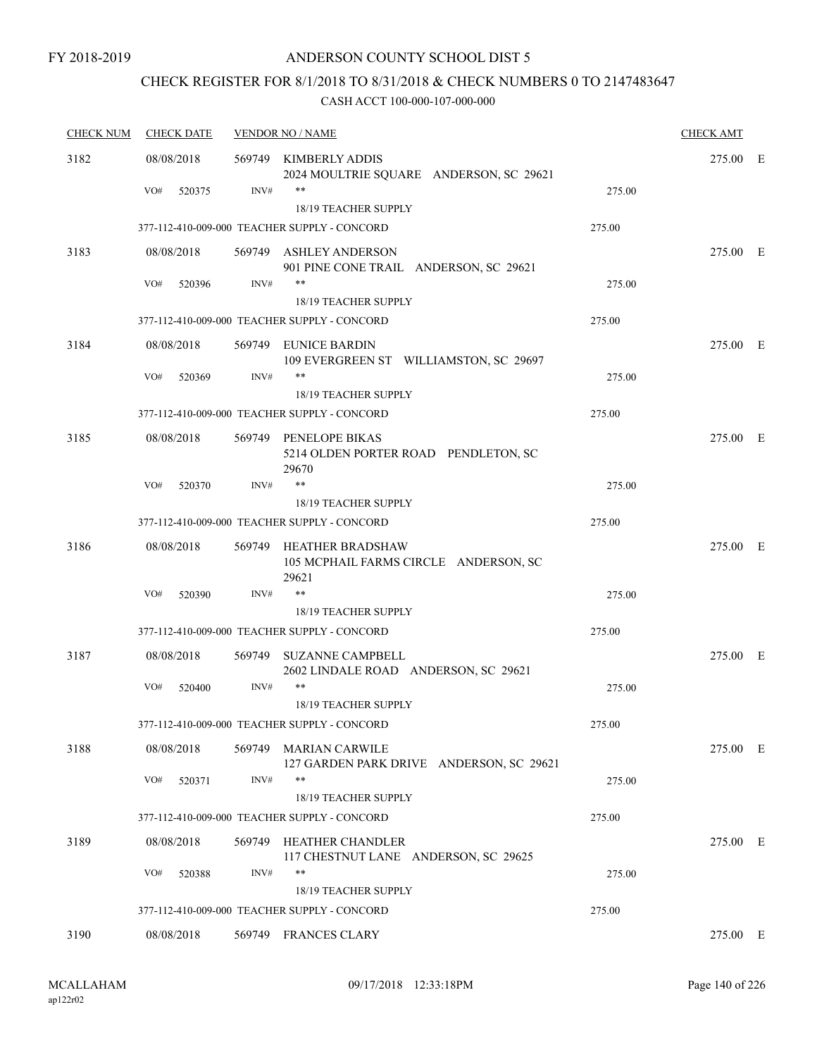### CHECK REGISTER FOR 8/1/2018 TO 8/31/2018 & CHECK NUMBERS 0 TO 2147483647

| <b>CHECK NUM</b> | <b>CHECK DATE</b> |        | <b>VENDOR NO / NAME</b>                                                |        | <b>CHECK AMT</b> |  |
|------------------|-------------------|--------|------------------------------------------------------------------------|--------|------------------|--|
| 3182             | 08/08/2018        | 569749 | KIMBERLY ADDIS<br>2024 MOULTRIE SQUARE ANDERSON, SC 29621              |        | 275.00 E         |  |
|                  | VO#<br>520375     | INV#   | $***$<br>18/19 TEACHER SUPPLY                                          | 275.00 |                  |  |
|                  |                   |        | 377-112-410-009-000 TEACHER SUPPLY - CONCORD                           | 275.00 |                  |  |
| 3183             | 08/08/2018        |        | 569749 ASHLEY ANDERSON                                                 |        | 275.00 E         |  |
|                  |                   |        | 901 PINE CONE TRAIL ANDERSON, SC 29621                                 |        |                  |  |
|                  | VO#<br>520396     | INV#   | $***$<br><b>18/19 TEACHER SUPPLY</b>                                   | 275.00 |                  |  |
|                  |                   |        | 377-112-410-009-000 TEACHER SUPPLY - CONCORD                           | 275.00 |                  |  |
| 3184             | 08/08/2018        |        | 569749 EUNICE BARDIN<br>109 EVERGREEN ST WILLIAMSTON, SC 29697         |        | 275.00 E         |  |
|                  | VO#<br>520369     | INV#   | $***$                                                                  | 275.00 |                  |  |
|                  |                   |        | <b>18/19 TEACHER SUPPLY</b>                                            |        |                  |  |
|                  |                   |        | 377-112-410-009-000 TEACHER SUPPLY - CONCORD                           | 275.00 |                  |  |
| 3185             | 08/08/2018        |        | 569749 PENELOPE BIKAS<br>5214 OLDEN PORTER ROAD PENDLETON, SC<br>29670 |        | 275.00 E         |  |
|                  | VO#<br>520370     | INV#   | $\ast\ast$                                                             | 275.00 |                  |  |
|                  |                   |        | <b>18/19 TEACHER SUPPLY</b>                                            |        |                  |  |
|                  |                   |        | 377-112-410-009-000 TEACHER SUPPLY - CONCORD                           | 275.00 |                  |  |
| 3186             | 08/08/2018        | 569749 | HEATHER BRADSHAW<br>105 MCPHAIL FARMS CIRCLE ANDERSON, SC<br>29621     |        | 275.00 E         |  |
|                  | VO#<br>520390     | INV#   | $***$                                                                  | 275.00 |                  |  |
|                  |                   |        | <b>18/19 TEACHER SUPPLY</b>                                            |        |                  |  |
|                  |                   |        | 377-112-410-009-000 TEACHER SUPPLY - CONCORD                           | 275.00 |                  |  |
| 3187             | 08/08/2018        | 569749 | <b>SUZANNE CAMPBELL</b><br>2602 LINDALE ROAD ANDERSON, SC 29621        |        | 275.00 E         |  |
|                  | VO#<br>520400     | INV#   | $***$                                                                  | 275.00 |                  |  |
|                  |                   |        | 18/19 TEACHER SUPPLY                                                   |        |                  |  |
|                  |                   |        | 377-112-410-009-000 TEACHER SUPPLY - CONCORD                           | 275.00 |                  |  |
| 3188             | 08/08/2018        |        | 569749 MARIAN CARWILE<br>127 GARDEN PARK DRIVE ANDERSON, SC 29621      |        | 275.00 E         |  |
|                  | VO#<br>520371     | INV#   | $***$<br>18/19 TEACHER SUPPLY                                          | 275.00 |                  |  |
|                  |                   |        | 377-112-410-009-000 TEACHER SUPPLY - CONCORD                           | 275.00 |                  |  |
| 3189             | 08/08/2018        |        | 569749 HEATHER CHANDLER                                                |        | 275.00 E         |  |
|                  |                   |        | 117 CHESTNUT LANE ANDERSON, SC 29625                                   |        |                  |  |
|                  | VO#<br>520388     | INV#   | $***$                                                                  | 275.00 |                  |  |
|                  |                   |        | <b>18/19 TEACHER SUPPLY</b>                                            |        |                  |  |
|                  |                   |        | 377-112-410-009-000 TEACHER SUPPLY - CONCORD                           | 275.00 |                  |  |
| 3190             | 08/08/2018        |        | 569749 FRANCES CLARY                                                   |        | 275.00 E         |  |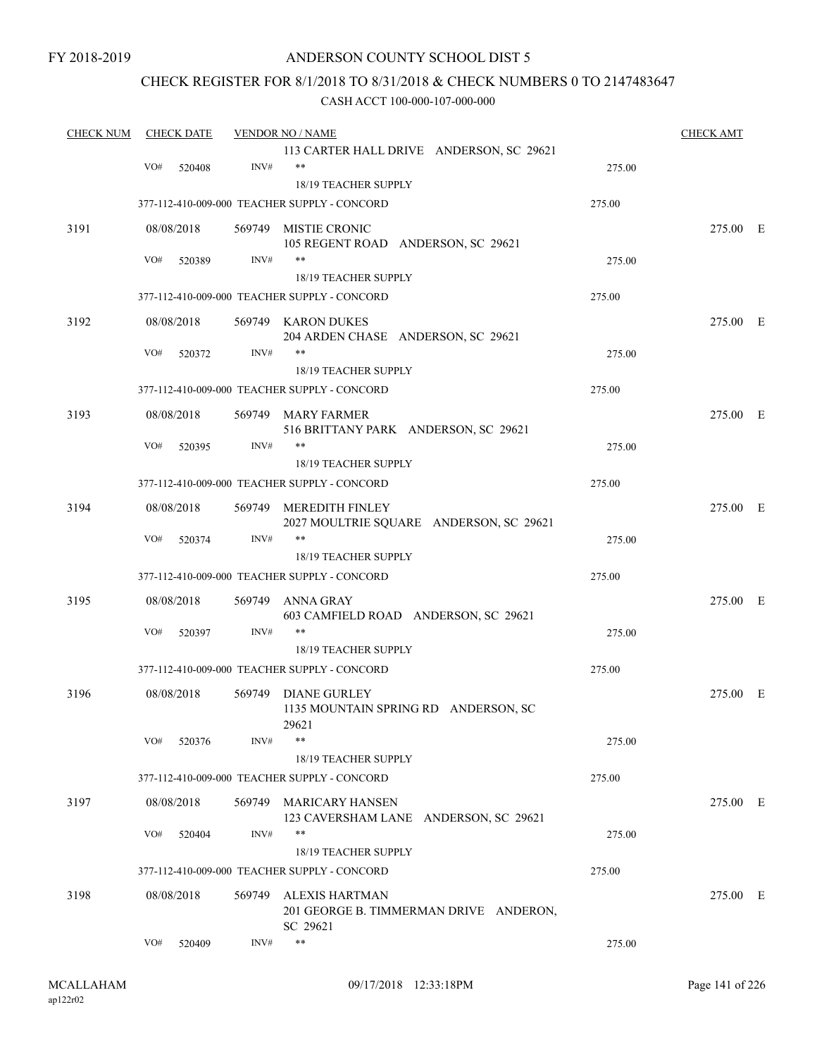### ANDERSON COUNTY SCHOOL DIST 5

### CHECK REGISTER FOR 8/1/2018 TO 8/31/2018 & CHECK NUMBERS 0 TO 2147483647

| <b>CHECK NUM</b> | <b>CHECK DATE</b> |            | <b>VENDOR NO / NAME</b> | <b>CHECK AMT</b>                                                |        |          |  |
|------------------|-------------------|------------|-------------------------|-----------------------------------------------------------------|--------|----------|--|
|                  |                   |            |                         | 113 CARTER HALL DRIVE ANDERSON, SC 29621                        |        |          |  |
|                  | VO#               | 520408     | INV#                    | $***$                                                           | 275.00 |          |  |
|                  |                   |            |                         | 18/19 TEACHER SUPPLY                                            |        |          |  |
|                  |                   |            |                         | 377-112-410-009-000 TEACHER SUPPLY - CONCORD                    | 275.00 |          |  |
| 3191             |                   | 08/08/2018 |                         | 569749 MISTIE CRONIC                                            |        | 275.00 E |  |
|                  |                   |            |                         | 105 REGENT ROAD ANDERSON, SC 29621                              |        |          |  |
|                  | VO#               | 520389     | INV#                    | **                                                              | 275.00 |          |  |
|                  |                   |            |                         | 18/19 TEACHER SUPPLY                                            |        |          |  |
|                  |                   |            |                         | 377-112-410-009-000 TEACHER SUPPLY - CONCORD                    | 275.00 |          |  |
| 3192             |                   | 08/08/2018 |                         | 569749 KARON DUKES                                              |        | 275.00 E |  |
|                  |                   |            |                         | 204 ARDEN CHASE ANDERSON, SC 29621                              |        |          |  |
|                  | VO#               | 520372     | INV#                    | **                                                              | 275.00 |          |  |
|                  |                   |            |                         | 18/19 TEACHER SUPPLY                                            |        |          |  |
|                  |                   |            |                         | 377-112-410-009-000 TEACHER SUPPLY - CONCORD                    | 275.00 |          |  |
| 3193             |                   | 08/08/2018 |                         | 569749 MARY FARMER                                              |        | 275.00 E |  |
|                  |                   |            |                         | 516 BRITTANY PARK ANDERSON, SC 29621                            |        |          |  |
|                  | VO#               | 520395     | INV#                    | **                                                              | 275.00 |          |  |
|                  |                   |            |                         | <b>18/19 TEACHER SUPPLY</b>                                     |        |          |  |
|                  |                   |            |                         | 377-112-410-009-000 TEACHER SUPPLY - CONCORD                    | 275.00 |          |  |
| 3194             |                   | 08/08/2018 | 569749                  | MEREDITH FINLEY                                                 |        | 275.00 E |  |
|                  |                   |            |                         | 2027 MOULTRIE SQUARE ANDERSON, SC 29621                         |        |          |  |
|                  | VO#               | 520374     | INV#                    | **                                                              | 275.00 |          |  |
|                  |                   |            |                         | 18/19 TEACHER SUPPLY                                            |        |          |  |
|                  |                   |            |                         | 377-112-410-009-000 TEACHER SUPPLY - CONCORD                    | 275.00 |          |  |
| 3195             |                   | 08/08/2018 | 569749                  | ANNA GRAY                                                       |        | 275.00 E |  |
|                  |                   |            |                         | 603 CAMFIELD ROAD ANDERSON, SC 29621                            |        |          |  |
|                  | VO#               | 520397     | INV#                    | **                                                              | 275.00 |          |  |
|                  |                   |            |                         | <b>18/19 TEACHER SUPPLY</b>                                     |        |          |  |
|                  |                   |            |                         | 377-112-410-009-000 TEACHER SUPPLY - CONCORD                    | 275.00 |          |  |
| 3196             |                   | 08/08/2018 | 569749                  | <b>DIANE GURLEY</b>                                             |        | 275.00 E |  |
|                  |                   |            |                         | 1135 MOUNTAIN SPRING RD ANDERSON, SC<br>29621                   |        |          |  |
|                  | VO#               | 520376     | INV#                    | **                                                              | 275.00 |          |  |
|                  |                   |            |                         | 18/19 TEACHER SUPPLY                                            |        |          |  |
|                  |                   |            |                         | 377-112-410-009-000 TEACHER SUPPLY - CONCORD                    | 275.00 |          |  |
|                  |                   |            |                         |                                                                 |        |          |  |
| 3197             |                   | 08/08/2018 |                         | 569749 MARICARY HANSEN<br>123 CAVERSHAM LANE ANDERSON, SC 29621 |        | 275.00 E |  |
|                  | VO#               | 520404     | INV#                    | $***$                                                           | 275.00 |          |  |
|                  |                   |            |                         | 18/19 TEACHER SUPPLY                                            |        |          |  |
|                  |                   |            |                         | 377-112-410-009-000 TEACHER SUPPLY - CONCORD                    | 275.00 |          |  |
| 3198             |                   | 08/08/2018 |                         | 569749 ALEXIS HARTMAN                                           |        | 275.00 E |  |
|                  |                   |            |                         | 201 GEORGE B. TIMMERMAN DRIVE ANDERON,                          |        |          |  |
|                  |                   |            |                         | SC 29621                                                        |        |          |  |
|                  | VO#               | 520409     | INV#                    | $***$                                                           | 275.00 |          |  |
|                  |                   |            |                         |                                                                 |        |          |  |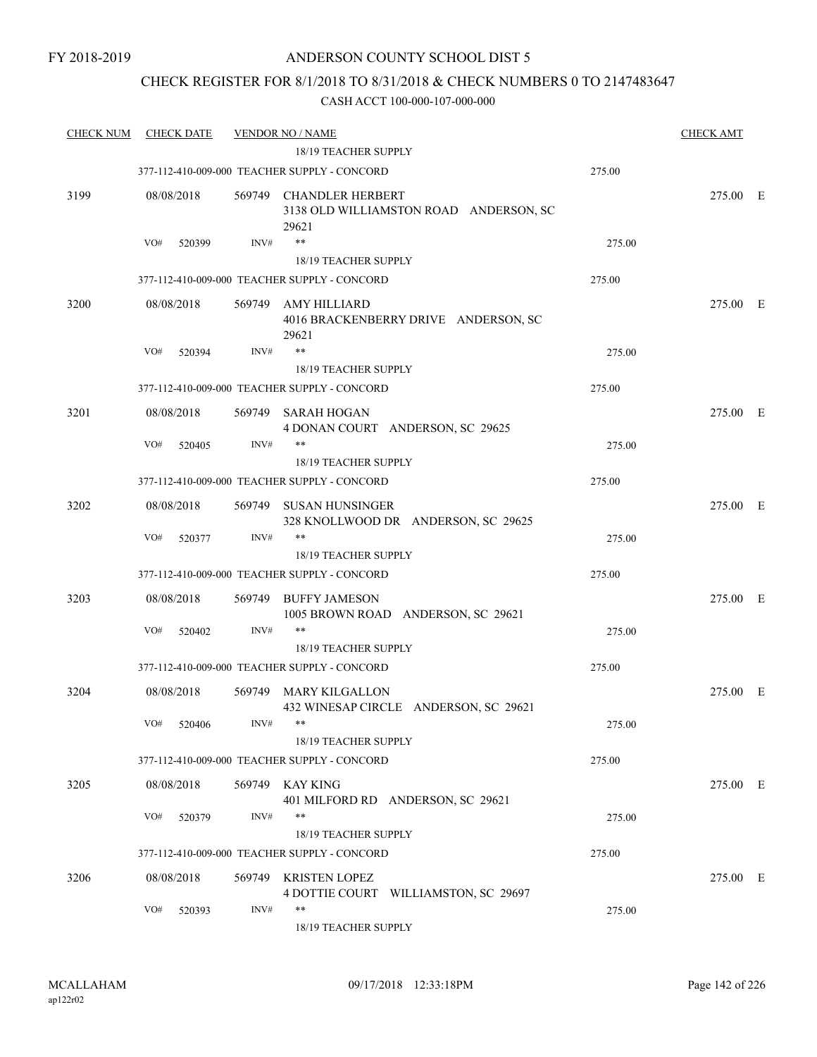### CHECK REGISTER FOR 8/1/2018 TO 8/31/2018 & CHECK NUMBERS 0 TO 2147483647

| <b>CHECK NUM</b> | <b>CHECK DATE</b> |        | <b>VENDOR NO / NAME</b>                                                    |        | <b>CHECK AMT</b> |  |
|------------------|-------------------|--------|----------------------------------------------------------------------------|--------|------------------|--|
|                  |                   |        | 18/19 TEACHER SUPPLY                                                       |        |                  |  |
|                  |                   |        | 377-112-410-009-000 TEACHER SUPPLY - CONCORD                               | 275.00 |                  |  |
| 3199             | 08/08/2018        | 569749 | <b>CHANDLER HERBERT</b><br>3138 OLD WILLIAMSTON ROAD ANDERSON, SC<br>29621 |        | 275.00 E         |  |
|                  | VO#<br>520399     | INV#   | $***$                                                                      | 275.00 |                  |  |
|                  |                   |        | <b>18/19 TEACHER SUPPLY</b>                                                |        |                  |  |
|                  |                   |        | 377-112-410-009-000 TEACHER SUPPLY - CONCORD                               | 275.00 |                  |  |
| 3200             | 08/08/2018        | 569749 | AMY HILLIARD<br>4016 BRACKENBERRY DRIVE ANDERSON, SC<br>29621              |        | 275.00 E         |  |
|                  | VO#<br>520394     | INV#   | **                                                                         | 275.00 |                  |  |
|                  |                   |        | <b>18/19 TEACHER SUPPLY</b>                                                |        |                  |  |
|                  |                   |        | 377-112-410-009-000 TEACHER SUPPLY - CONCORD                               | 275.00 |                  |  |
| 3201             | 08/08/2018        | 569749 | SARAH HOGAN<br>4 DONAN COURT ANDERSON, SC 29625                            |        | 275.00 E         |  |
|                  | VO#<br>520405     | INV#   | **                                                                         | 275.00 |                  |  |
|                  |                   |        | 18/19 TEACHER SUPPLY                                                       |        |                  |  |
|                  |                   |        | 377-112-410-009-000 TEACHER SUPPLY - CONCORD                               | 275.00 |                  |  |
| 3202             | 08/08/2018        | 569749 | SUSAN HUNSINGER<br>328 KNOLLWOOD DR ANDERSON, SC 29625                     |        | 275.00 E         |  |
|                  | VO#<br>520377     | INV#   | $***$                                                                      | 275.00 |                  |  |
|                  |                   |        | 18/19 TEACHER SUPPLY                                                       |        |                  |  |
|                  |                   |        | 377-112-410-009-000 TEACHER SUPPLY - CONCORD                               | 275.00 |                  |  |
| 3203             | 08/08/2018        | 569749 | <b>BUFFY JAMESON</b><br>1005 BROWN ROAD ANDERSON, SC 29621                 |        | 275.00 E         |  |
|                  | VO#<br>520402     | INV#   | $***$                                                                      | 275.00 |                  |  |
|                  |                   |        | 18/19 TEACHER SUPPLY                                                       |        |                  |  |
|                  |                   |        | 377-112-410-009-000 TEACHER SUPPLY - CONCORD                               | 275.00 |                  |  |
| 3204             | 08/08/2018        | 569749 | MARY KILGALLON<br>432 WINESAP CIRCLE ANDERSON, SC 29621                    |        | 275.00 E         |  |
|                  | VO# 520406        |        | $INV#$ **<br>18/19 TEACHER SUPPLY                                          | 275.00 |                  |  |
|                  |                   |        | 377-112-410-009-000 TEACHER SUPPLY - CONCORD                               | 275.00 |                  |  |
| 3205             | 08/08/2018        |        | 569749 KAY KING<br>401 MILFORD RD ANDERSON, SC 29621                       |        | 275.00 E         |  |
|                  | VO#<br>520379     | INV#   |                                                                            | 275.00 |                  |  |
|                  |                   |        | 18/19 TEACHER SUPPLY                                                       |        |                  |  |
|                  |                   |        | 377-112-410-009-000 TEACHER SUPPLY - CONCORD                               | 275.00 |                  |  |
| 3206             | 08/08/2018        |        | 569749 KRISTEN LOPEZ<br>4 DOTTIE COURT WILLIAMSTON, SC 29697               |        | 275.00 E         |  |
|                  | VO#<br>520393     | INV#   | $***$<br>18/19 TEACHER SUPPLY                                              | 275.00 |                  |  |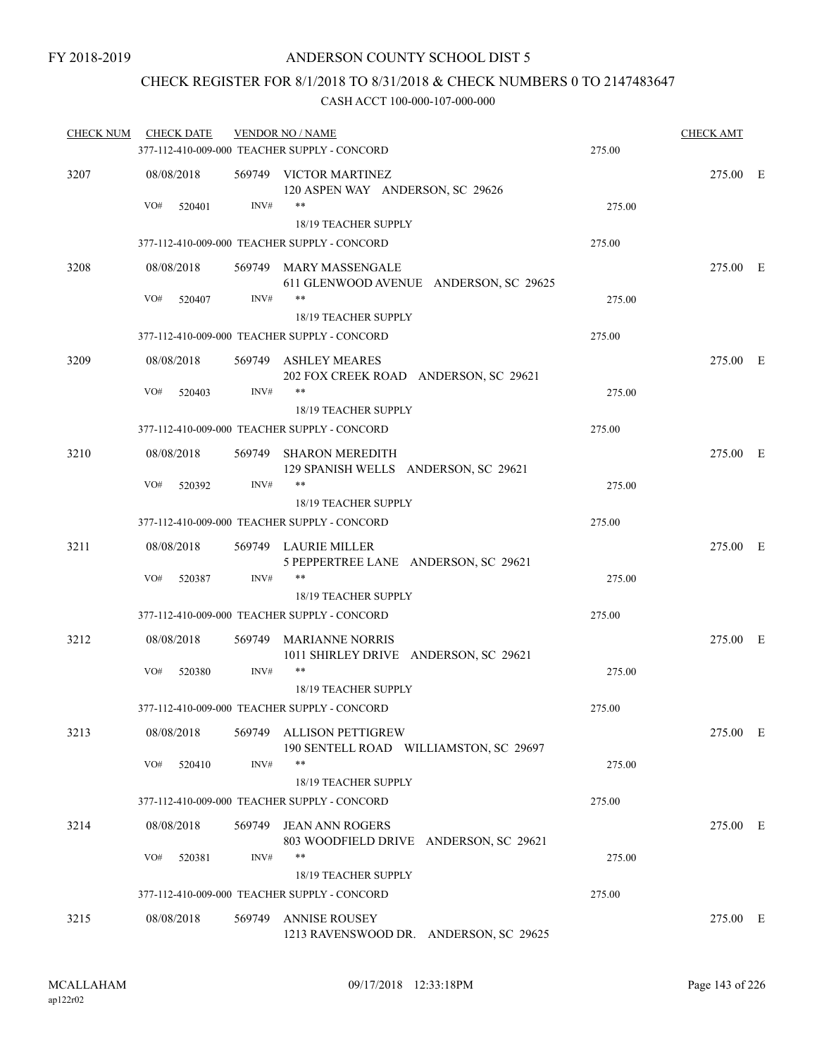### CHECK REGISTER FOR 8/1/2018 TO 8/31/2018 & CHECK NUMBERS 0 TO 2147483647

| <b>CHECK NUM</b> | <b>CHECK DATE</b> |        | <b>VENDOR NO / NAME</b>                                            |        | <b>CHECK AMT</b> |  |
|------------------|-------------------|--------|--------------------------------------------------------------------|--------|------------------|--|
|                  |                   |        | 377-112-410-009-000 TEACHER SUPPLY - CONCORD                       | 275.00 |                  |  |
| 3207             | 08/08/2018        |        | 569749 VICTOR MARTINEZ<br>120 ASPEN WAY ANDERSON, SC 29626         |        | 275.00 E         |  |
|                  | VO#<br>520401     | INV#   | $***$<br>18/19 TEACHER SUPPLY                                      | 275.00 |                  |  |
|                  |                   |        | 377-112-410-009-000 TEACHER SUPPLY - CONCORD                       | 275.00 |                  |  |
| 3208             | 08/08/2018        |        | 569749 MARY MASSENGALE<br>611 GLENWOOD AVENUE ANDERSON, SC 29625   |        | 275.00 E         |  |
|                  | VO#<br>520407     | INV#   | $***$<br>18/19 TEACHER SUPPLY                                      | 275.00 |                  |  |
|                  |                   |        | 377-112-410-009-000 TEACHER SUPPLY - CONCORD                       | 275.00 |                  |  |
| 3209             | 08/08/2018        |        | 569749 ASHLEY MEARES<br>202 FOX CREEK ROAD ANDERSON, SC 29621      |        | 275.00 E         |  |
|                  | VO#<br>520403     | INV#   | $***$<br>18/19 TEACHER SUPPLY                                      | 275.00 |                  |  |
|                  |                   |        | 377-112-410-009-000 TEACHER SUPPLY - CONCORD                       | 275.00 |                  |  |
| 3210             | 08/08/2018        |        | 569749 SHARON MEREDITH<br>129 SPANISH WELLS ANDERSON, SC 29621     |        | 275.00 E         |  |
|                  | VO#<br>520392     | INV#   | $***$<br>18/19 TEACHER SUPPLY                                      | 275.00 |                  |  |
|                  |                   |        | 377-112-410-009-000 TEACHER SUPPLY - CONCORD                       | 275.00 |                  |  |
| 3211             | 08/08/2018        |        | 569749 LAURIE MILLER<br>5 PEPPERTREE LANE ANDERSON, SC 29621       |        | 275.00 E         |  |
|                  | VO#<br>520387     | INV#   | **<br>18/19 TEACHER SUPPLY                                         | 275.00 |                  |  |
|                  |                   |        | 377-112-410-009-000 TEACHER SUPPLY - CONCORD                       | 275.00 |                  |  |
| 3212             | 08/08/2018        |        | 569749 MARIANNE NORRIS<br>1011 SHIRLEY DRIVE ANDERSON, SC 29621    |        | 275.00 E         |  |
|                  | VO#<br>520380     | INV#   | **<br>18/19 TEACHER SUPPLY                                         | 275.00 |                  |  |
|                  |                   |        | 377-112-410-009-000 TEACHER SUPPLY - CONCORD                       | 275.00 |                  |  |
| 3213             | 08/08/2018        |        | 569749 ALLISON PETTIGREW<br>190 SENTELL ROAD WILLIAMSTON, SC 29697 |        | 275.00 E         |  |
|                  | VO#<br>520410     | INV#   | **<br>18/19 TEACHER SUPPLY                                         | 275.00 |                  |  |
|                  |                   |        | 377-112-410-009-000 TEACHER SUPPLY - CONCORD                       | 275.00 |                  |  |
| 3214             | 08/08/2018        | 569749 | <b>JEAN ANN ROGERS</b>                                             |        | 275.00 E         |  |
|                  | VO#<br>520381     | INV#   | 803 WOODFIELD DRIVE ANDERSON, SC 29621<br>**                       | 275.00 |                  |  |
|                  |                   |        | 18/19 TEACHER SUPPLY                                               |        |                  |  |
|                  |                   |        | 377-112-410-009-000 TEACHER SUPPLY - CONCORD                       | 275.00 |                  |  |
| 3215             | 08/08/2018        | 569749 | <b>ANNISE ROUSEY</b><br>1213 RAVENSWOOD DR. ANDERSON, SC 29625     |        | 275.00 E         |  |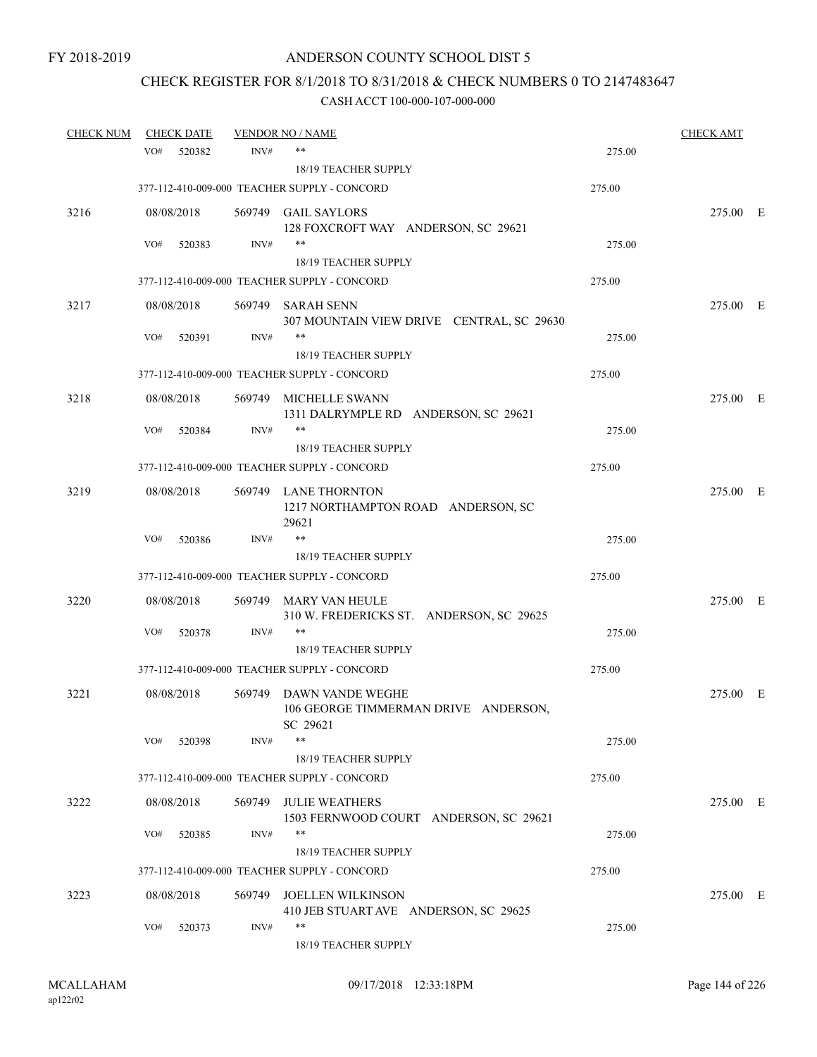# CHECK REGISTER FOR 8/1/2018 TO 8/31/2018 & CHECK NUMBERS 0 TO 2147483647

| <b>CHECK NUM</b> |            | <b>CHECK DATE</b> |        | <b>VENDOR NO / NAME</b>                                              |        | <b>CHECK AMT</b> |  |
|------------------|------------|-------------------|--------|----------------------------------------------------------------------|--------|------------------|--|
|                  | VO#        | 520382            | INV#   | $***$                                                                | 275.00 |                  |  |
|                  |            |                   |        | 18/19 TEACHER SUPPLY                                                 |        |                  |  |
|                  |            |                   |        | 377-112-410-009-000 TEACHER SUPPLY - CONCORD                         | 275.00 |                  |  |
| 3216             | 08/08/2018 |                   |        | 569749 GAIL SAYLORS<br>128 FOXCROFT WAY ANDERSON, SC 29621           |        | 275.00 E         |  |
|                  | VO#        | 520383            | INV#   | $***$                                                                | 275.00 |                  |  |
|                  |            |                   |        | 18/19 TEACHER SUPPLY                                                 |        |                  |  |
|                  |            |                   |        | 377-112-410-009-000 TEACHER SUPPLY - CONCORD                         | 275.00 |                  |  |
| 3217             | 08/08/2018 |                   |        | 569749 SARAH SENN<br>307 MOUNTAIN VIEW DRIVE CENTRAL, SC 29630       |        | 275.00 E         |  |
|                  | VO#        | 520391            | INV#   | $***$                                                                | 275.00 |                  |  |
|                  |            |                   |        | 18/19 TEACHER SUPPLY                                                 |        |                  |  |
|                  |            |                   |        | 377-112-410-009-000 TEACHER SUPPLY - CONCORD                         | 275.00 |                  |  |
| 3218             | 08/08/2018 |                   |        | 569749 MICHELLE SWANN<br>1311 DALRYMPLE RD ANDERSON, SC 29621        |        | 275.00 E         |  |
|                  | VO#        | 520384            | INV#   | **                                                                   | 275.00 |                  |  |
|                  |            |                   |        | <b>18/19 TEACHER SUPPLY</b>                                          |        |                  |  |
|                  |            |                   |        | 377-112-410-009-000 TEACHER SUPPLY - CONCORD                         | 275.00 |                  |  |
| 3219             | 08/08/2018 |                   |        | 569749 LANE THORNTON<br>1217 NORTHAMPTON ROAD ANDERSON, SC<br>29621  |        | 275.00 E         |  |
|                  | VO#        | 520386            | INV#   | $***$                                                                | 275.00 |                  |  |
|                  |            |                   |        | 18/19 TEACHER SUPPLY                                                 |        |                  |  |
|                  |            |                   |        | 377-112-410-009-000 TEACHER SUPPLY - CONCORD                         | 275.00 |                  |  |
| 3220             | 08/08/2018 |                   | 569749 | MARY VAN HEULE<br>310 W. FREDERICKS ST. ANDERSON, SC 29625           |        | 275.00 E         |  |
|                  | VO#        | 520378            | INV#   | $***$                                                                | 275.00 |                  |  |
|                  |            |                   |        | 18/19 TEACHER SUPPLY                                                 |        |                  |  |
|                  |            |                   |        | 377-112-410-009-000 TEACHER SUPPLY - CONCORD                         | 275.00 |                  |  |
| 3221             | 08/08/2018 |                   | 569749 | DAWN VANDE WEGHE<br>106 GEORGE TIMMERMAN DRIVE ANDERSON,<br>SC 29621 |        | 275.00 E         |  |
|                  | VO#        | 520398            | INV#   | $***$                                                                | 275.00 |                  |  |
|                  |            |                   |        | 18/19 TEACHER SUPPLY                                                 |        |                  |  |
|                  |            |                   |        | 377-112-410-009-000 TEACHER SUPPLY - CONCORD                         | 275.00 |                  |  |
| 3222             | 08/08/2018 |                   | 569749 | <b>JULIE WEATHERS</b><br>1503 FERNWOOD COURT ANDERSON, SC 29621      |        | 275.00 E         |  |
|                  | VO#        | 520385            | INV#   | $***$<br>18/19 TEACHER SUPPLY                                        | 275.00 |                  |  |
|                  |            |                   |        | 377-112-410-009-000 TEACHER SUPPLY - CONCORD                         | 275.00 |                  |  |
| 3223             | 08/08/2018 |                   | 569749 | <b>JOELLEN WILKINSON</b><br>410 JEB STUART AVE ANDERSON, SC 29625    |        | 275.00 E         |  |
|                  | VO#        | 520373            | INV#   | **<br>18/19 TEACHER SUPPLY                                           | 275.00 |                  |  |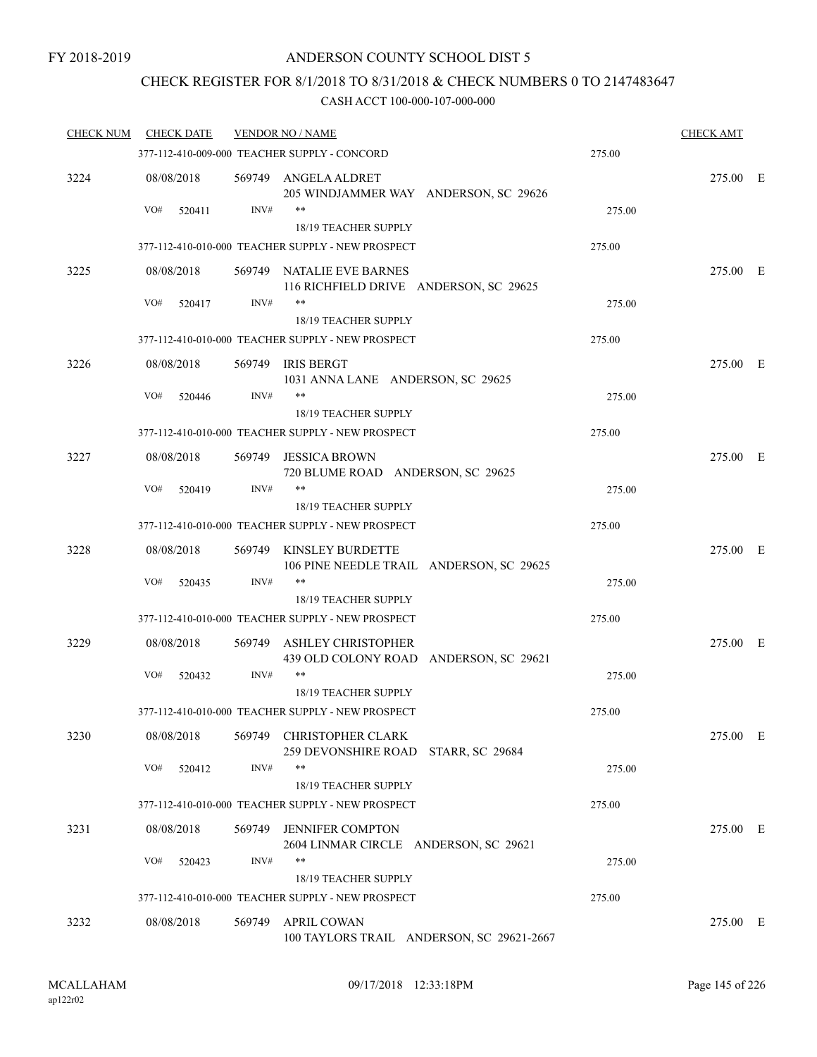## CHECK REGISTER FOR 8/1/2018 TO 8/31/2018 & CHECK NUMBERS 0 TO 2147483647

| <b>CHECK NUM</b> | <b>CHECK DATE</b> |        | <b>VENDOR NO / NAME</b>                                                   |        | <b>CHECK AMT</b> |  |
|------------------|-------------------|--------|---------------------------------------------------------------------------|--------|------------------|--|
|                  |                   |        | 377-112-410-009-000 TEACHER SUPPLY - CONCORD                              | 275.00 |                  |  |
| 3224             | 08/08/2018        |        | 569749 ANGELA ALDRET<br>205 WINDJAMMER WAY ANDERSON, SC 29626             |        | 275.00 E         |  |
|                  | VO#<br>520411     | INV#   | **                                                                        | 275.00 |                  |  |
|                  |                   |        | 18/19 TEACHER SUPPLY<br>377-112-410-010-000 TEACHER SUPPLY - NEW PROSPECT | 275.00 |                  |  |
|                  |                   |        |                                                                           |        |                  |  |
| 3225             | 08/08/2018        |        | 569749 NATALIE EVE BARNES<br>116 RICHFIELD DRIVE ANDERSON, SC 29625       |        | 275.00 E         |  |
|                  | VO#<br>520417     | INV#   | **<br>18/19 TEACHER SUPPLY                                                | 275.00 |                  |  |
|                  |                   |        | 377-112-410-010-000 TEACHER SUPPLY - NEW PROSPECT                         | 275.00 |                  |  |
| 3226             | 08/08/2018        |        | 569749 IRIS BERGT<br>1031 ANNA LANE ANDERSON, SC 29625                    |        | 275.00 E         |  |
|                  | VO#<br>520446     | INV#   | **                                                                        | 275.00 |                  |  |
|                  |                   |        | 18/19 TEACHER SUPPLY                                                      |        |                  |  |
|                  |                   |        | 377-112-410-010-000 TEACHER SUPPLY - NEW PROSPECT                         | 275.00 |                  |  |
| 3227             | 08/08/2018        | 569749 | <b>JESSICA BROWN</b><br>720 BLUME ROAD ANDERSON, SC 29625                 |        | 275.00 E         |  |
|                  | VO#<br>520419     | INV#   | **<br><b>18/19 TEACHER SUPPLY</b>                                         | 275.00 |                  |  |
|                  |                   |        | 377-112-410-010-000 TEACHER SUPPLY - NEW PROSPECT                         | 275.00 |                  |  |
| 3228             | 08/08/2018        | 569749 | KINSLEY BURDETTE<br>106 PINE NEEDLE TRAIL ANDERSON, SC 29625              |        | 275.00 E         |  |
|                  | VO#<br>520435     | INV#   | **<br>18/19 TEACHER SUPPLY                                                | 275.00 |                  |  |
|                  |                   |        | 377-112-410-010-000 TEACHER SUPPLY - NEW PROSPECT                         | 275.00 |                  |  |
| 3229             | 08/08/2018        | 569749 | <b>ASHLEY CHRISTOPHER</b><br>439 OLD COLONY ROAD ANDERSON, SC 29621       |        | 275.00 E         |  |
|                  | VO#<br>520432     | INV#   | **<br>18/19 TEACHER SUPPLY                                                | 275.00 |                  |  |
|                  |                   |        | 377-112-410-010-000 TEACHER SUPPLY - NEW PROSPECT                         | 275.00 |                  |  |
| 3230             | 08/08/2018        |        | 569749 CHRISTOPHER CLARK                                                  |        | 275.00 E         |  |
|                  | VO#<br>520412     | INV#   | 259 DEVONSHIRE ROAD STARR, SC 29684<br>18/19 TEACHER SUPPLY               | 275.00 |                  |  |
|                  |                   |        | 377-112-410-010-000 TEACHER SUPPLY - NEW PROSPECT                         | 275.00 |                  |  |
| 3231             | 08/08/2018        |        | 569749 JENNIFER COMPTON                                                   |        | 275.00 E         |  |
|                  | VO#<br>520423     | INV#   | 2604 LINMAR CIRCLE ANDERSON, SC 29621<br>**                               | 275.00 |                  |  |
|                  |                   |        | 18/19 TEACHER SUPPLY                                                      |        |                  |  |
|                  |                   |        | 377-112-410-010-000 TEACHER SUPPLY - NEW PROSPECT                         | 275.00 |                  |  |
| 3232             | 08/08/2018        |        | 569749 APRIL COWAN<br>100 TAYLORS TRAIL ANDERSON, SC 29621-2667           |        | 275.00 E         |  |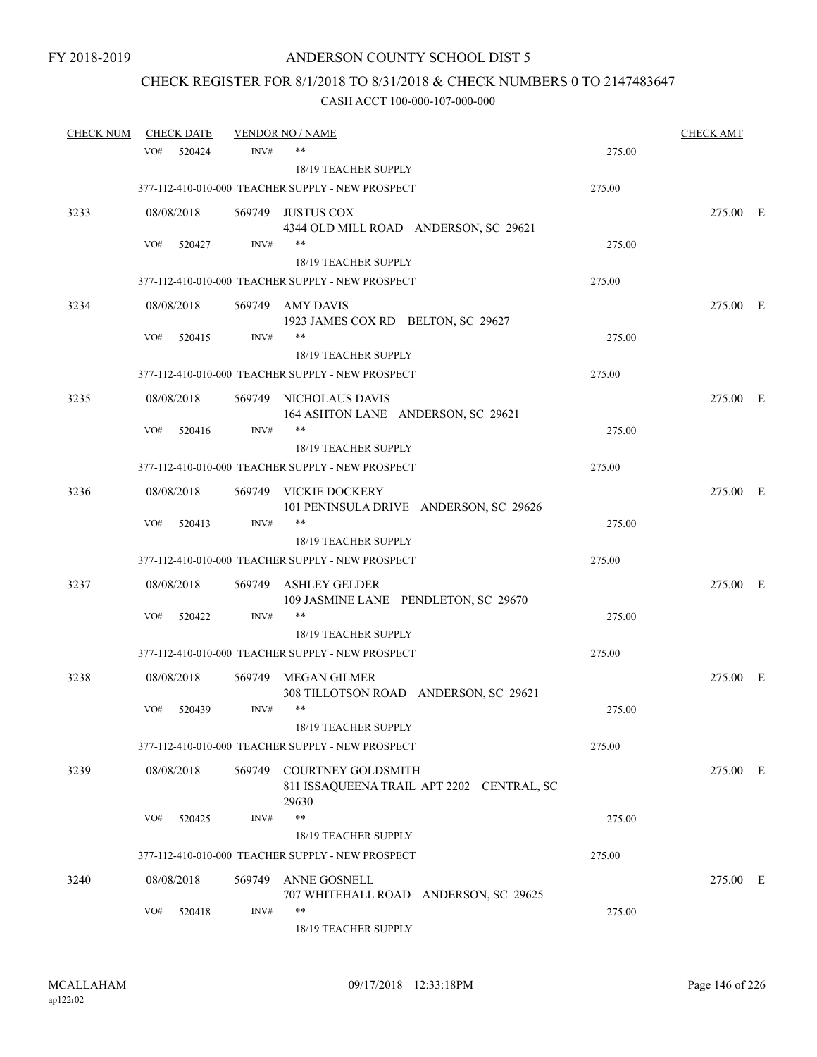# CHECK REGISTER FOR 8/1/2018 TO 8/31/2018 & CHECK NUMBERS 0 TO 2147483647

| <b>CHECK NUM</b> |     | <b>CHECK DATE</b> |        | <b>VENDOR NO / NAME</b>                                                  |        | <b>CHECK AMT</b> |  |
|------------------|-----|-------------------|--------|--------------------------------------------------------------------------|--------|------------------|--|
|                  | VO# | 520424            | INV#   | $***$                                                                    | 275.00 |                  |  |
|                  |     |                   |        | <b>18/19 TEACHER SUPPLY</b>                                              |        |                  |  |
|                  |     |                   |        | 377-112-410-010-000 TEACHER SUPPLY - NEW PROSPECT                        | 275.00 |                  |  |
| 3233             |     | 08/08/2018        |        | 569749 JUSTUS COX<br>4344 OLD MILL ROAD ANDERSON, SC 29621               |        | 275.00 E         |  |
|                  | VO# | 520427            | INV#   | $***$                                                                    | 275.00 |                  |  |
|                  |     |                   |        | 18/19 TEACHER SUPPLY                                                     |        |                  |  |
|                  |     |                   |        | 377-112-410-010-000 TEACHER SUPPLY - NEW PROSPECT                        | 275.00 |                  |  |
| 3234             |     | 08/08/2018        |        | 569749 AMY DAVIS<br>1923 JAMES COX RD BELTON, SC 29627                   |        | 275.00 E         |  |
|                  | VO# | 520415            | INV#   | $***$                                                                    | 275.00 |                  |  |
|                  |     |                   |        | 18/19 TEACHER SUPPLY                                                     |        |                  |  |
|                  |     |                   |        | 377-112-410-010-000 TEACHER SUPPLY - NEW PROSPECT                        | 275.00 |                  |  |
| 3235             |     | 08/08/2018        |        | 569749 NICHOLAUS DAVIS<br>164 ASHTON LANE ANDERSON, SC 29621             |        | 275.00 E         |  |
|                  | VO# | 520416            | INV#   |                                                                          | 275.00 |                  |  |
|                  |     |                   |        | <b>18/19 TEACHER SUPPLY</b>                                              |        |                  |  |
|                  |     |                   |        | 377-112-410-010-000 TEACHER SUPPLY - NEW PROSPECT                        | 275.00 |                  |  |
| 3236             |     | 08/08/2018        |        | 569749 VICKIE DOCKERY<br>101 PENINSULA DRIVE ANDERSON, SC 29626          |        | 275.00 E         |  |
|                  | VO# | 520413            | INV#   | $***$                                                                    | 275.00 |                  |  |
|                  |     |                   |        | 18/19 TEACHER SUPPLY                                                     |        |                  |  |
|                  |     |                   |        | 377-112-410-010-000 TEACHER SUPPLY - NEW PROSPECT                        | 275.00 |                  |  |
| 3237             |     | 08/08/2018        | 569749 | ASHLEY GELDER<br>109 JASMINE LANE PENDLETON, SC 29670                    |        | 275.00 E         |  |
|                  | VO# | 520422            | INV#   | $***$                                                                    | 275.00 |                  |  |
|                  |     |                   |        | 18/19 TEACHER SUPPLY                                                     |        |                  |  |
|                  |     |                   |        | 377-112-410-010-000 TEACHER SUPPLY - NEW PROSPECT                        | 275.00 |                  |  |
| 3238             |     | 08/08/2018        |        | 569749 MEGAN GILMER<br>308 TILLOTSON ROAD ANDERSON, SC 29621             |        | 275.00 E         |  |
|                  | VO# | 520439            | INV#   | $***$                                                                    | 275.00 |                  |  |
|                  |     |                   |        | 18/19 TEACHER SUPPLY                                                     |        |                  |  |
|                  |     |                   |        | 377-112-410-010-000 TEACHER SUPPLY - NEW PROSPECT                        | 275.00 |                  |  |
| 3239             |     | 08/08/2018        | 569749 | COURTNEY GOLDSMITH<br>811 ISSAQUEENA TRAIL APT 2202 CENTRAL, SC<br>29630 |        | 275.00 E         |  |
|                  | VO# | 520425            | INV#   | $***$                                                                    | 275.00 |                  |  |
|                  |     |                   |        | 18/19 TEACHER SUPPLY                                                     |        |                  |  |
|                  |     |                   |        | 377-112-410-010-000 TEACHER SUPPLY - NEW PROSPECT                        | 275.00 |                  |  |
| 3240             |     | 08/08/2018        | 569749 | ANNE GOSNELL                                                             |        | 275.00 E         |  |
|                  |     |                   |        | 707 WHITEHALL ROAD ANDERSON, SC 29625                                    |        |                  |  |
|                  | VO# | 520418            | INV#   | $***$<br>18/19 TEACHER SUPPLY                                            | 275.00 |                  |  |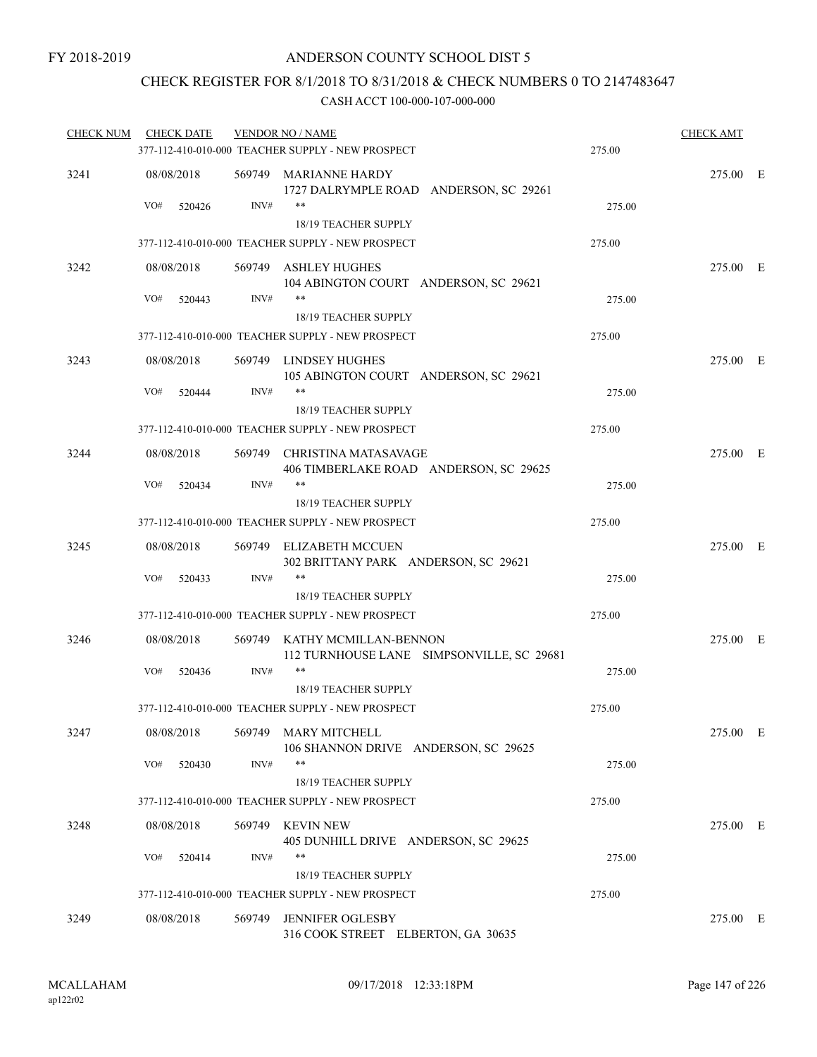### CHECK REGISTER FOR 8/1/2018 TO 8/31/2018 & CHECK NUMBERS 0 TO 2147483647

| <b>CHECK NUM</b> | <b>CHECK DATE</b> |        | <b>VENDOR NO / NAME</b>                                                        |        | <b>CHECK AMT</b> |  |
|------------------|-------------------|--------|--------------------------------------------------------------------------------|--------|------------------|--|
|                  |                   |        | 377-112-410-010-000 TEACHER SUPPLY - NEW PROSPECT                              | 275.00 |                  |  |
| 3241             | 08/08/2018        |        | 569749 MARIANNE HARDY<br>1727 DALRYMPLE ROAD ANDERSON, SC 29261                |        | 275.00 E         |  |
|                  | VO#<br>520426     | INV#   | **<br>18/19 TEACHER SUPPLY                                                     | 275.00 |                  |  |
|                  |                   |        | 377-112-410-010-000 TEACHER SUPPLY - NEW PROSPECT                              | 275.00 |                  |  |
| 3242             | 08/08/2018        |        | 569749 ASHLEY HUGHES<br>104 ABINGTON COURT ANDERSON, SC 29621                  |        | 275.00 E         |  |
|                  | VO#<br>520443     | INV#   | $***$<br>18/19 TEACHER SUPPLY                                                  | 275.00 |                  |  |
|                  |                   |        | 377-112-410-010-000 TEACHER SUPPLY - NEW PROSPECT                              | 275.00 |                  |  |
| 3243             | 08/08/2018        |        | 569749 LINDSEY HUGHES<br>105 ABINGTON COURT ANDERSON, SC 29621                 |        | 275.00 E         |  |
|                  | VO#<br>520444     | INV#   | $***$                                                                          | 275.00 |                  |  |
|                  |                   |        | 18/19 TEACHER SUPPLY                                                           |        |                  |  |
|                  |                   |        | 377-112-410-010-000 TEACHER SUPPLY - NEW PROSPECT                              | 275.00 |                  |  |
| 3244             | 08/08/2018        |        | 569749 CHRISTINA MATASAVAGE<br>406 TIMBERLAKE ROAD ANDERSON, SC 29625<br>$***$ |        | 275.00 E         |  |
|                  | VO#<br>520434     | INV#   | 18/19 TEACHER SUPPLY                                                           | 275.00 |                  |  |
|                  |                   |        | 377-112-410-010-000 TEACHER SUPPLY - NEW PROSPECT                              | 275.00 |                  |  |
| 3245             | 08/08/2018        |        | 569749 ELIZABETH MCCUEN                                                        |        | 275.00 E         |  |
|                  | VO#<br>520433     | INV#   | 302 BRITTANY PARK ANDERSON, SC 29621<br>$***$<br>18/19 TEACHER SUPPLY          | 275.00 |                  |  |
|                  |                   |        | 377-112-410-010-000 TEACHER SUPPLY - NEW PROSPECT                              | 275.00 |                  |  |
| 3246             | 08/08/2018        |        | 569749 KATHY MCMILLAN-BENNON                                                   |        | 275.00 E         |  |
|                  | VO#<br>520436     | INV#   | 112 TURNHOUSE LANE SIMPSONVILLE, SC 29681<br>**                                | 275.00 |                  |  |
|                  |                   |        | 18/19 TEACHER SUPPLY                                                           |        |                  |  |
|                  |                   |        | 377-112-410-010-000 TEACHER SUPPLY - NEW PROSPECT                              | 275.00 |                  |  |
| 3247             | 08/08/2018        |        | 569749 MARY MITCHELL<br>106 SHANNON DRIVE ANDERSON, SC 29625                   |        | 275.00 E         |  |
|                  | VO#<br>520430     | INV#   | **<br>18/19 TEACHER SUPPLY                                                     | 275.00 |                  |  |
|                  |                   |        | 377-112-410-010-000 TEACHER SUPPLY - NEW PROSPECT                              | 275.00 |                  |  |
| 3248             | 08/08/2018        |        | 569749 KEVIN NEW<br>405 DUNHILL DRIVE ANDERSON, SC 29625                       |        | 275.00 E         |  |
|                  | VO#<br>520414     | INV#   | **                                                                             | 275.00 |                  |  |
|                  |                   |        | 18/19 TEACHER SUPPLY                                                           |        |                  |  |
|                  |                   |        | 377-112-410-010-000 TEACHER SUPPLY - NEW PROSPECT                              | 275.00 |                  |  |
| 3249             | 08/08/2018        | 569749 | <b>JENNIFER OGLESBY</b><br>316 COOK STREET ELBERTON, GA 30635                  |        | 275.00 E         |  |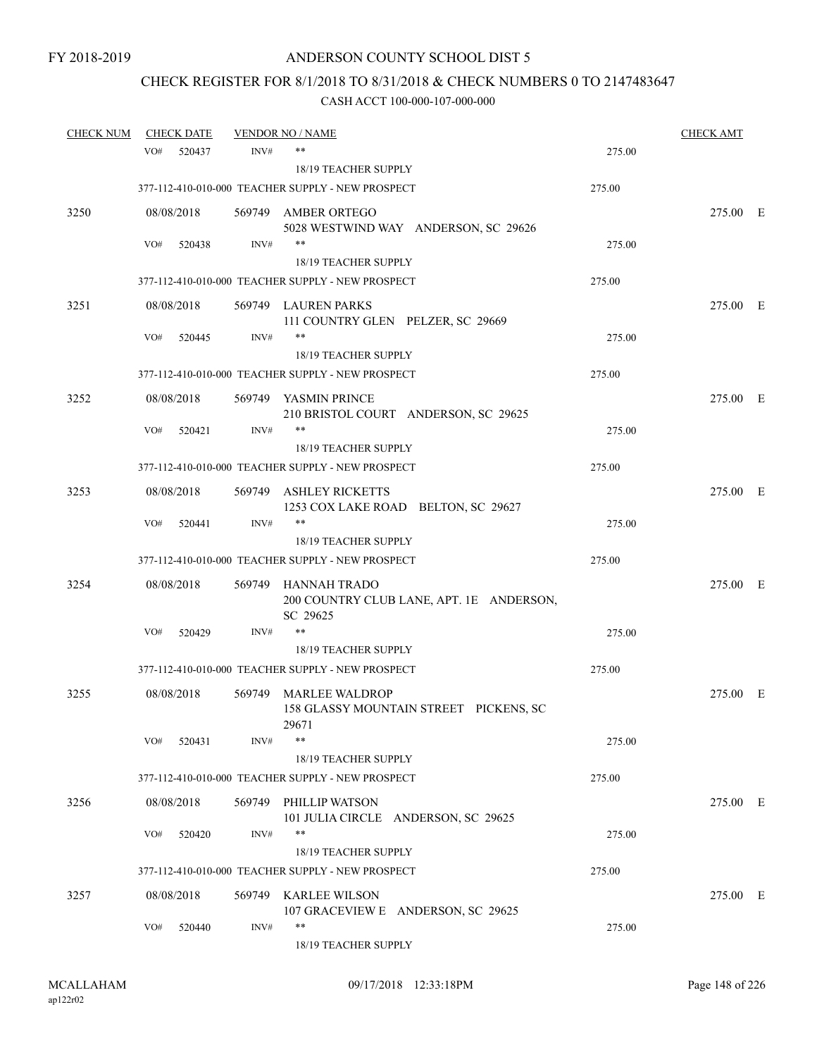# CHECK REGISTER FOR 8/1/2018 TO 8/31/2018 & CHECK NUMBERS 0 TO 2147483647

| <b>CHECK NUM</b> | <b>CHECK DATE</b> |        | <b>VENDOR NO / NAME</b>                                                     |        | <b>CHECK AMT</b> |  |
|------------------|-------------------|--------|-----------------------------------------------------------------------------|--------|------------------|--|
|                  | VO#<br>520437     | INV#   | **                                                                          | 275.00 |                  |  |
|                  |                   |        | 18/19 TEACHER SUPPLY                                                        |        |                  |  |
|                  |                   |        | 377-112-410-010-000 TEACHER SUPPLY - NEW PROSPECT                           | 275.00 |                  |  |
| 3250             | 08/08/2018        |        | 569749 AMBER ORTEGO<br>5028 WESTWIND WAY ANDERSON, SC 29626                 |        | 275.00 E         |  |
|                  | VO#<br>520438     | INV#   | $***$                                                                       | 275.00 |                  |  |
|                  |                   |        | 18/19 TEACHER SUPPLY                                                        |        |                  |  |
|                  |                   |        | 377-112-410-010-000 TEACHER SUPPLY - NEW PROSPECT                           | 275.00 |                  |  |
| 3251             | 08/08/2018        |        | 569749 LAUREN PARKS<br>111 COUNTRY GLEN PELZER, SC 29669                    |        | 275.00 E         |  |
|                  | VO#<br>520445     | INV#   | $***$                                                                       | 275.00 |                  |  |
|                  |                   |        | 18/19 TEACHER SUPPLY                                                        |        |                  |  |
|                  |                   |        | 377-112-410-010-000 TEACHER SUPPLY - NEW PROSPECT                           | 275.00 |                  |  |
| 3252             | 08/08/2018        |        | 569749 YASMIN PRINCE<br>210 BRISTOL COURT ANDERSON, SC 29625                |        | 275.00 E         |  |
|                  | VO#<br>520421     | INV#   | **                                                                          | 275.00 |                  |  |
|                  |                   |        | 18/19 TEACHER SUPPLY                                                        |        |                  |  |
|                  |                   |        | 377-112-410-010-000 TEACHER SUPPLY - NEW PROSPECT                           | 275.00 |                  |  |
| 3253             | 08/08/2018        | 569749 | <b>ASHLEY RICKETTS</b><br>1253 COX LAKE ROAD BELTON, SC 29627               |        | 275.00 E         |  |
|                  | VO#<br>520441     | INV#   | **                                                                          | 275.00 |                  |  |
|                  |                   |        | 18/19 TEACHER SUPPLY                                                        |        |                  |  |
|                  |                   |        | 377-112-410-010-000 TEACHER SUPPLY - NEW PROSPECT                           | 275.00 |                  |  |
| 3254             | 08/08/2018        |        | 569749 HANNAH TRADO<br>200 COUNTRY CLUB LANE, APT. 1E ANDERSON,<br>SC 29625 |        | 275.00 E         |  |
|                  | VO#<br>520429     | INV#   | $***$                                                                       | 275.00 |                  |  |
|                  |                   |        | 18/19 TEACHER SUPPLY                                                        |        |                  |  |
|                  |                   |        | 377-112-410-010-000 TEACHER SUPPLY - NEW PROSPECT                           | 275.00 |                  |  |
| 3255             | 08/08/2018        | 569749 | <b>MARLEE WALDROP</b><br>158 GLASSY MOUNTAIN STREET PICKENS, SC<br>29671    |        | 275.00 E         |  |
|                  | VO#<br>520431     | INV#   | **<br>18/19 TEACHER SUPPLY                                                  | 275.00 |                  |  |
|                  |                   |        | 377-112-410-010-000 TEACHER SUPPLY - NEW PROSPECT                           | 275.00 |                  |  |
| 3256             | 08/08/2018        |        | 569749 PHILLIP WATSON                                                       |        | 275.00 E         |  |
|                  |                   |        | 101 JULIA CIRCLE ANDERSON, SC 29625                                         |        |                  |  |
|                  | VO#<br>520420     | INV#   | $***$                                                                       | 275.00 |                  |  |
|                  |                   |        | 18/19 TEACHER SUPPLY                                                        |        |                  |  |
|                  |                   |        | 377-112-410-010-000 TEACHER SUPPLY - NEW PROSPECT                           | 275.00 |                  |  |
| 3257             | 08/08/2018        | 569749 | KARLEE WILSON<br>107 GRACEVIEW E ANDERSON, SC 29625                         |        | 275.00 E         |  |
|                  | VO#<br>520440     | INV#   | $***$<br>18/19 TEACHER SUPPLY                                               | 275.00 |                  |  |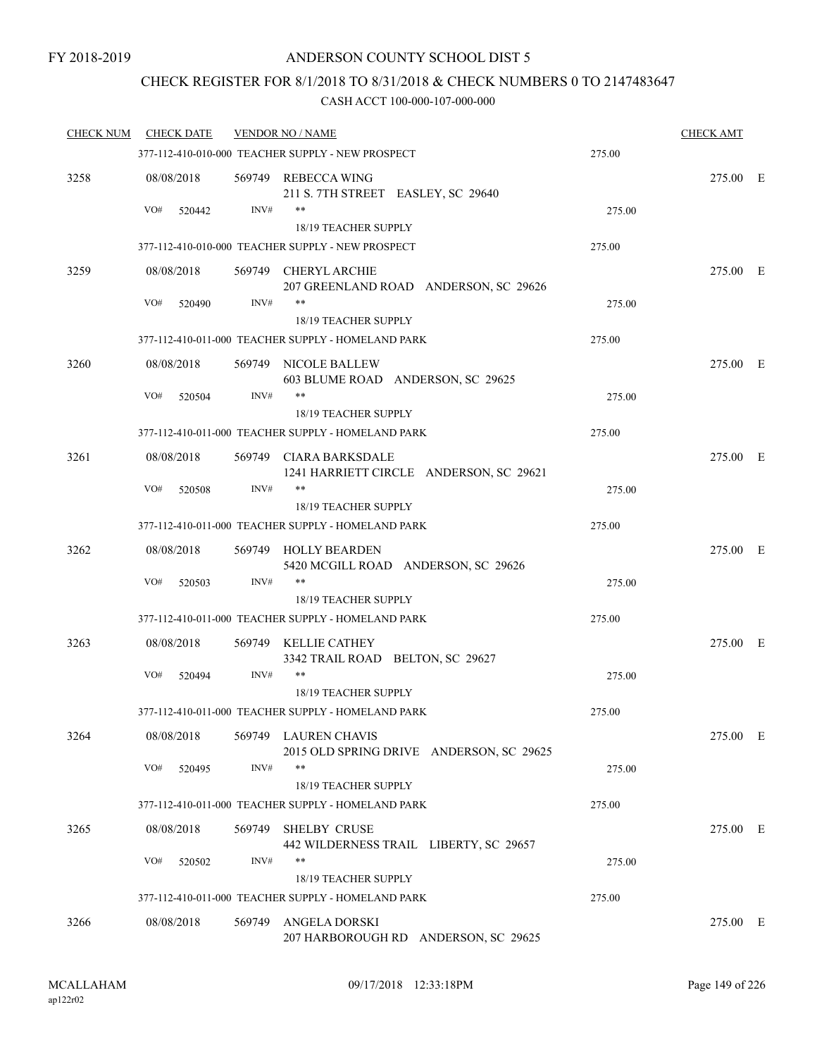## CHECK REGISTER FOR 8/1/2018 TO 8/31/2018 & CHECK NUMBERS 0 TO 2147483647

| <b>CHECK NUM</b> | <b>CHECK DATE</b> |      | <b>VENDOR NO / NAME</b>                                                    |        | <b>CHECK AMT</b> |  |
|------------------|-------------------|------|----------------------------------------------------------------------------|--------|------------------|--|
|                  |                   |      | 377-112-410-010-000 TEACHER SUPPLY - NEW PROSPECT                          | 275.00 |                  |  |
| 3258             | 08/08/2018        |      | 569749 REBECCA WING<br>211 S. 7TH STREET EASLEY, SC 29640                  |        | 275.00 E         |  |
|                  | VO#<br>520442     | INV# | **                                                                         | 275.00 |                  |  |
|                  |                   |      | 18/19 TEACHER SUPPLY                                                       |        |                  |  |
|                  |                   |      | 377-112-410-010-000 TEACHER SUPPLY - NEW PROSPECT                          | 275.00 |                  |  |
| 3259             | 08/08/2018        |      | 569749 CHERYL ARCHIE<br>207 GREENLAND ROAD ANDERSON, SC 29626              |        | 275.00 E         |  |
|                  | VO#<br>520490     | INV# | **                                                                         | 275.00 |                  |  |
|                  |                   |      | 18/19 TEACHER SUPPLY                                                       |        |                  |  |
|                  |                   |      | 377-112-410-011-000 TEACHER SUPPLY - HOMELAND PARK                         | 275.00 |                  |  |
| 3260             | 08/08/2018        |      | 569749 NICOLE BALLEW<br>603 BLUME ROAD ANDERSON, SC 29625                  |        | 275.00 E         |  |
|                  | VO#<br>520504     | INV# | **                                                                         | 275.00 |                  |  |
|                  |                   |      | 18/19 TEACHER SUPPLY                                                       |        |                  |  |
|                  |                   |      | 377-112-410-011-000 TEACHER SUPPLY - HOMELAND PARK                         | 275.00 |                  |  |
| 3261             | 08/08/2018        |      | 569749 CIARA BARKSDALE<br>1241 HARRIETT CIRCLE ANDERSON, SC 29621          |        | 275.00 E         |  |
|                  | VO#<br>520508     | INV# | **<br>18/19 TEACHER SUPPLY                                                 | 275.00 |                  |  |
|                  |                   |      | 377-112-410-011-000 TEACHER SUPPLY - HOMELAND PARK                         | 275.00 |                  |  |
|                  |                   |      |                                                                            |        |                  |  |
| 3262             | 08/08/2018        |      | 569749 HOLLY BEARDEN<br>5420 MCGILL ROAD ANDERSON, SC 29626                |        | 275.00 E         |  |
|                  | VO#<br>520503     | INV# | **                                                                         | 275.00 |                  |  |
|                  |                   |      | 18/19 TEACHER SUPPLY<br>377-112-410-011-000 TEACHER SUPPLY - HOMELAND PARK | 275.00 |                  |  |
|                  |                   |      |                                                                            |        |                  |  |
| 3263             | 08/08/2018        |      | 569749 KELLIE CATHEY<br>3342 TRAIL ROAD BELTON, SC 29627                   |        | 275.00 E         |  |
|                  | VO#<br>520494     | INV# | **<br>18/19 TEACHER SUPPLY                                                 | 275.00 |                  |  |
|                  |                   |      | 377-112-410-011-000 TEACHER SUPPLY - HOMELAND PARK                         | 275.00 |                  |  |
|                  |                   |      |                                                                            |        |                  |  |
| 3264             | 08/08/2018        |      | 569749 LAUREN CHAVIS<br>2015 OLD SPRING DRIVE ANDERSON, SC 29625           |        | 275.00 E         |  |
|                  | VO#<br>520495     | INV# | 18/19 TEACHER SUPPLY                                                       | 275.00 |                  |  |
|                  |                   |      | 377-112-410-011-000 TEACHER SUPPLY - HOMELAND PARK                         | 275.00 |                  |  |
|                  |                   |      |                                                                            |        |                  |  |
| 3265             | 08/08/2018        |      | 569749 SHELBY CRUSE<br>442 WILDERNESS TRAIL LIBERTY, SC 29657              |        | 275.00 E         |  |
|                  | VO#<br>520502     | INV# | **<br>18/19 TEACHER SUPPLY                                                 | 275.00 |                  |  |
|                  |                   |      | 377-112-410-011-000 TEACHER SUPPLY - HOMELAND PARK                         | 275.00 |                  |  |
|                  |                   |      |                                                                            |        |                  |  |
| 3266             | 08/08/2018        |      | 569749 ANGELA DORSKI<br>207 HARBOROUGH RD ANDERSON, SC 29625               |        | 275.00 E         |  |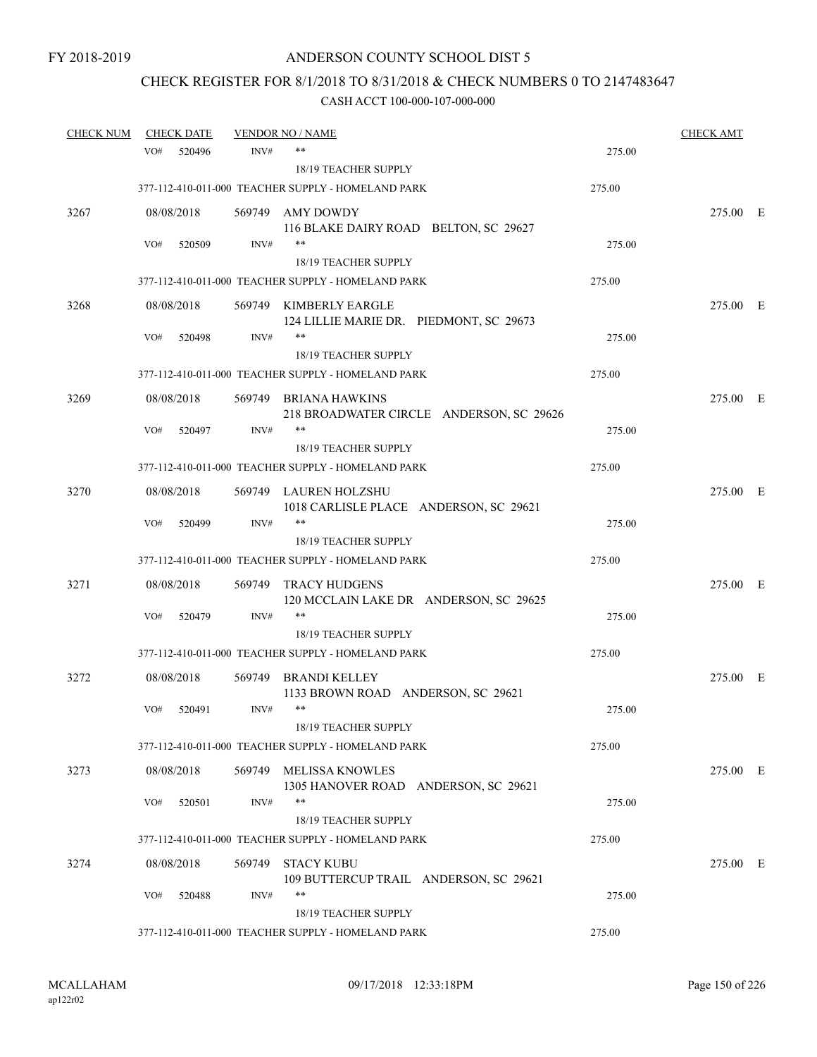# CHECK REGISTER FOR 8/1/2018 TO 8/31/2018 & CHECK NUMBERS 0 TO 2147483647

| <b>CHECK NUM</b> |     | <b>CHECK DATE</b> |        | <b>VENDOR NO / NAME</b>                                           |        | <b>CHECK AMT</b> |  |
|------------------|-----|-------------------|--------|-------------------------------------------------------------------|--------|------------------|--|
|                  | VO# | 520496            | INV#   | $***$                                                             | 275.00 |                  |  |
|                  |     |                   |        | 18/19 TEACHER SUPPLY                                              |        |                  |  |
|                  |     |                   |        | 377-112-410-011-000 TEACHER SUPPLY - HOMELAND PARK                | 275.00 |                  |  |
| 3267             |     | 08/08/2018        |        | 569749 AMY DOWDY                                                  |        | 275.00 E         |  |
|                  |     |                   |        | 116 BLAKE DAIRY ROAD BELTON, SC 29627                             |        |                  |  |
|                  | VO# | 520509            | INV#   | $***$                                                             | 275.00 |                  |  |
|                  |     |                   |        | 18/19 TEACHER SUPPLY                                              |        |                  |  |
|                  |     |                   |        | 377-112-410-011-000 TEACHER SUPPLY - HOMELAND PARK                | 275.00 |                  |  |
| 3268             |     | 08/08/2018        |        | 569749 KIMBERLY EARGLE                                            |        | 275.00 E         |  |
|                  |     |                   |        | 124 LILLIE MARIE DR. PIEDMONT, SC 29673<br>$***$                  |        |                  |  |
|                  | VO# | 520498            | INV#   | 18/19 TEACHER SUPPLY                                              | 275.00 |                  |  |
|                  |     |                   |        | 377-112-410-011-000 TEACHER SUPPLY - HOMELAND PARK                | 275.00 |                  |  |
|                  |     |                   |        |                                                                   |        |                  |  |
| 3269             |     | 08/08/2018        |        | 569749 BRIANA HAWKINS<br>218 BROADWATER CIRCLE ANDERSON, SC 29626 |        | 275.00 E         |  |
|                  | VO# | 520497            | INV#   | **                                                                | 275.00 |                  |  |
|                  |     |                   |        | 18/19 TEACHER SUPPLY                                              |        |                  |  |
|                  |     |                   |        | 377-112-410-011-000 TEACHER SUPPLY - HOMELAND PARK                | 275.00 |                  |  |
| 3270             |     | 08/08/2018        |        | 569749 LAUREN HOLZSHU                                             |        | 275.00 E         |  |
|                  |     |                   |        | 1018 CARLISLE PLACE ANDERSON, SC 29621                            |        |                  |  |
|                  | VO# | 520499            | INV#   | $***$                                                             | 275.00 |                  |  |
|                  |     |                   |        | 18/19 TEACHER SUPPLY                                              |        |                  |  |
|                  |     |                   |        | 377-112-410-011-000 TEACHER SUPPLY - HOMELAND PARK                | 275.00 |                  |  |
| 3271             |     | 08/08/2018        | 569749 | <b>TRACY HUDGENS</b>                                              |        | 275.00 E         |  |
|                  |     |                   |        | 120 MCCLAIN LAKE DR ANDERSON, SC 29625                            |        |                  |  |
|                  | VO# | 520479            | INV#   | $***$                                                             | 275.00 |                  |  |
|                  |     |                   |        | 18/19 TEACHER SUPPLY                                              |        |                  |  |
|                  |     |                   |        | 377-112-410-011-000 TEACHER SUPPLY - HOMELAND PARK                | 275.00 |                  |  |
| 3272             |     | 08/08/2018        | 569749 | <b>BRANDI KELLEY</b>                                              |        | 275.00 E         |  |
|                  |     |                   |        | 1133 BROWN ROAD ANDERSON, SC 29621<br>$***$                       |        |                  |  |
|                  | VO# | 520491            | INV#   |                                                                   | 275.00 |                  |  |
|                  |     |                   |        | 18/19 TEACHER SUPPLY                                              |        |                  |  |
|                  |     |                   |        | 377-112-410-011-000 TEACHER SUPPLY - HOMELAND PARK                | 275.00 |                  |  |
| 3273             |     | 08/08/2018        | 569749 | <b>MELISSA KNOWLES</b>                                            |        | 275.00 E         |  |
|                  | VO# | 520501            | INV#   | 1305 HANOVER ROAD ANDERSON, SC 29621<br>$***$                     | 275.00 |                  |  |
|                  |     |                   |        | 18/19 TEACHER SUPPLY                                              |        |                  |  |
|                  |     |                   |        | 377-112-410-011-000 TEACHER SUPPLY - HOMELAND PARK                | 275.00 |                  |  |
| 3274             |     | 08/08/2018        | 569749 | <b>STACY KUBU</b>                                                 |        | 275.00 E         |  |
|                  |     |                   |        | 109 BUTTERCUP TRAIL ANDERSON, SC 29621                            |        |                  |  |
|                  | VO# | 520488            | INV#   | $***$                                                             | 275.00 |                  |  |
|                  |     |                   |        | 18/19 TEACHER SUPPLY                                              |        |                  |  |
|                  |     |                   |        | 377-112-410-011-000 TEACHER SUPPLY - HOMELAND PARK                | 275.00 |                  |  |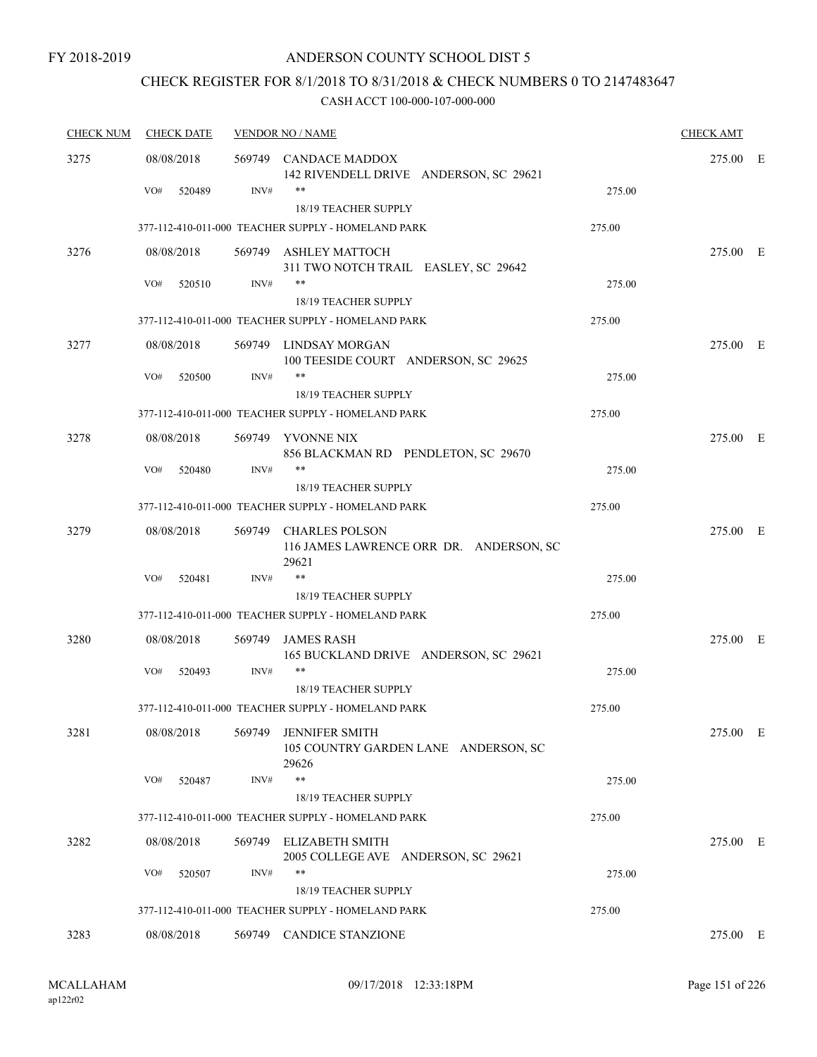## CHECK REGISTER FOR 8/1/2018 TO 8/31/2018 & CHECK NUMBERS 0 TO 2147483647

| <b>CHECK NUM</b> | <b>CHECK DATE</b> |        | <b>VENDOR NO / NAME</b>                                                    |        | <b>CHECK AMT</b> |  |
|------------------|-------------------|--------|----------------------------------------------------------------------------|--------|------------------|--|
| 3275             | 08/08/2018        |        | 569749 CANDACE MADDOX<br>142 RIVENDELL DRIVE ANDERSON, SC 29621            |        | 275.00 E         |  |
|                  | VO#<br>520489     | INV#   | **<br>18/19 TEACHER SUPPLY                                                 | 275.00 |                  |  |
|                  |                   |        | 377-112-410-011-000 TEACHER SUPPLY - HOMELAND PARK                         | 275.00 |                  |  |
| 3276             | 08/08/2018        |        | 569749 ASHLEY MATTOCH<br>311 TWO NOTCH TRAIL EASLEY, SC 29642              |        | 275.00 E         |  |
|                  | VO#<br>520510     | INV#   | **<br>18/19 TEACHER SUPPLY                                                 | 275.00 |                  |  |
|                  |                   |        | 377-112-410-011-000 TEACHER SUPPLY - HOMELAND PARK                         | 275.00 |                  |  |
| 3277             | 08/08/2018        |        | 569749 LINDSAY MORGAN<br>100 TEESIDE COURT ANDERSON, SC 29625              |        | 275.00 E         |  |
|                  | VO#<br>520500     | INV#   | **<br>18/19 TEACHER SUPPLY                                                 | 275.00 |                  |  |
|                  |                   |        | 377-112-410-011-000 TEACHER SUPPLY - HOMELAND PARK                         | 275.00 |                  |  |
| 3278             | 08/08/2018        |        | 569749 YVONNE NIX<br>856 BLACKMAN RD PENDLETON, SC 29670                   |        | 275.00 E         |  |
|                  | VO#<br>520480     | INV#   | $***$                                                                      | 275.00 |                  |  |
|                  |                   |        | 18/19 TEACHER SUPPLY<br>377-112-410-011-000 TEACHER SUPPLY - HOMELAND PARK | 275.00 |                  |  |
| 3279             | 08/08/2018        | 569749 | <b>CHARLES POLSON</b><br>116 JAMES LAWRENCE ORR DR. ANDERSON, SC<br>29621  |        | 275.00 E         |  |
|                  | VO#<br>520481     | INV#   | **                                                                         | 275.00 |                  |  |
|                  |                   |        | 18/19 TEACHER SUPPLY                                                       |        |                  |  |
|                  |                   |        | 377-112-410-011-000 TEACHER SUPPLY - HOMELAND PARK                         | 275.00 |                  |  |
| 3280             | 08/08/2018        | 569749 | <b>JAMES RASH</b><br>165 BUCKLAND DRIVE ANDERSON, SC 29621                 |        | 275.00 E         |  |
|                  | VO#<br>520493     | INV#   | $***$<br>18/19 TEACHER SUPPLY                                              | 275.00 |                  |  |
|                  |                   |        | 377-112-410-011-000 TEACHER SUPPLY - HOMELAND PARK                         | 275.00 |                  |  |
| 3281             | 08/08/2018        | 569749 | <b>JENNIFER SMITH</b><br>105 COUNTRY GARDEN LANE ANDERSON, SC<br>29626     |        | 275.00 E         |  |
|                  | VO#<br>520487     | INV#   | $***$                                                                      | 275.00 |                  |  |
|                  |                   |        | 18/19 TEACHER SUPPLY                                                       |        |                  |  |
|                  |                   |        | 377-112-410-011-000 TEACHER SUPPLY - HOMELAND PARK                         | 275.00 |                  |  |
| 3282             | 08/08/2018        | 569749 | <b>ELIZABETH SMITH</b><br>2005 COLLEGE AVE ANDERSON, SC 29621              |        | 275.00 E         |  |
|                  | VO#<br>520507     | INV#   | **<br>18/19 TEACHER SUPPLY                                                 | 275.00 |                  |  |
|                  |                   |        | 377-112-410-011-000 TEACHER SUPPLY - HOMELAND PARK                         | 275.00 |                  |  |
| 3283             | 08/08/2018        |        | 569749 CANDICE STANZIONE                                                   |        | 275.00 E         |  |
|                  |                   |        |                                                                            |        |                  |  |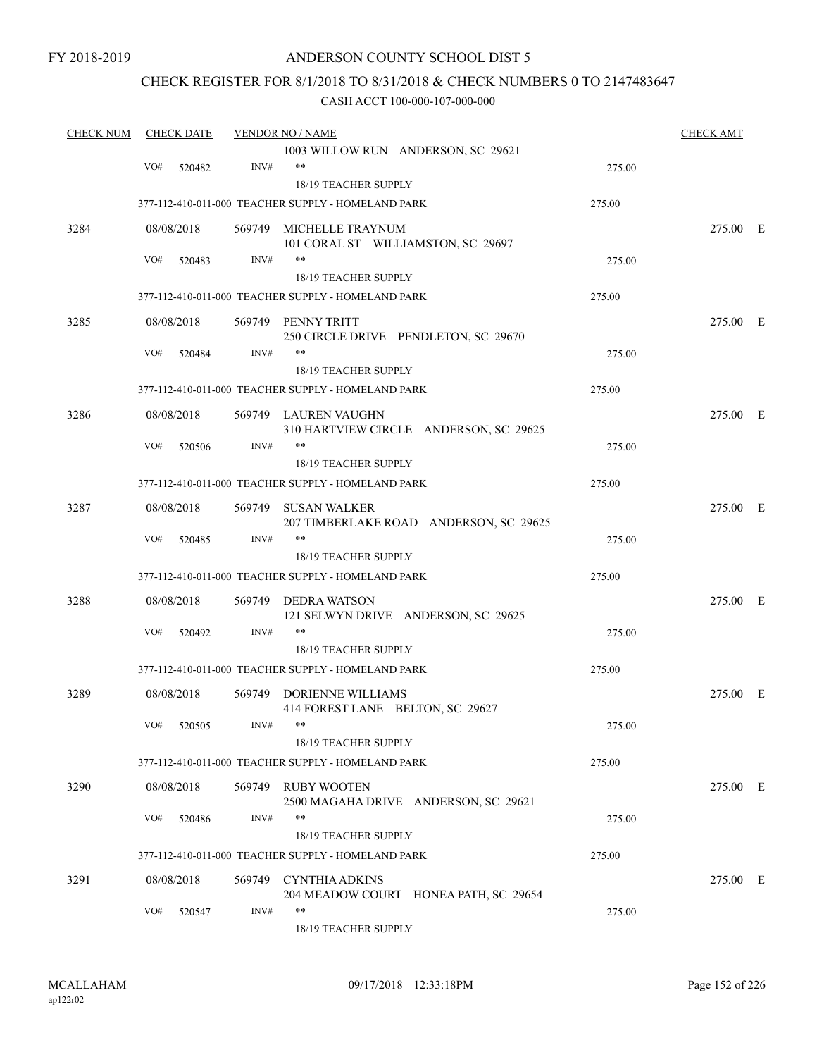### CHECK REGISTER FOR 8/1/2018 TO 8/31/2018 & CHECK NUMBERS 0 TO 2147483647

| <b>CHECK NUM</b> |     | <b>CHECK DATE</b> |      | <b>VENDOR NO / NAME</b>                                        |        | <b>CHECK AMT</b> |  |
|------------------|-----|-------------------|------|----------------------------------------------------------------|--------|------------------|--|
|                  |     |                   |      | 1003 WILLOW RUN ANDERSON, SC 29621                             |        |                  |  |
|                  | VO# | 520482            | INV# | $***$                                                          | 275.00 |                  |  |
|                  |     |                   |      | 18/19 TEACHER SUPPLY                                           |        |                  |  |
|                  |     |                   |      | 377-112-410-011-000 TEACHER SUPPLY - HOMELAND PARK             | 275.00 |                  |  |
| 3284             |     | 08/08/2018        |      | 569749 MICHELLE TRAYNUM                                        |        | 275.00 E         |  |
|                  | VO# | 520483            | INV# | 101 CORAL ST WILLIAMSTON, SC 29697<br>**                       | 275.00 |                  |  |
|                  |     |                   |      | 18/19 TEACHER SUPPLY                                           |        |                  |  |
|                  |     |                   |      | 377-112-410-011-000 TEACHER SUPPLY - HOMELAND PARK             | 275.00 |                  |  |
| 3285             |     | 08/08/2018        |      | 569749 PENNY TRITT<br>250 CIRCLE DRIVE PENDLETON, SC 29670     |        | 275.00 E         |  |
|                  | VO# | 520484            | INV# | **                                                             | 275.00 |                  |  |
|                  |     |                   |      | 18/19 TEACHER SUPPLY                                           |        |                  |  |
|                  |     |                   |      | 377-112-410-011-000 TEACHER SUPPLY - HOMELAND PARK             | 275.00 |                  |  |
| 3286             |     | 08/08/2018        |      | 569749 LAUREN VAUGHN<br>310 HARTVIEW CIRCLE ANDERSON, SC 29625 |        | 275.00 E         |  |
|                  | VO# | 520506            | INV# | **                                                             | 275.00 |                  |  |
|                  |     |                   |      | <b>18/19 TEACHER SUPPLY</b>                                    |        |                  |  |
|                  |     |                   |      | 377-112-410-011-000 TEACHER SUPPLY - HOMELAND PARK             | 275.00 |                  |  |
| 3287             |     | 08/08/2018        |      | 569749 SUSAN WALKER<br>207 TIMBERLAKE ROAD ANDERSON, SC 29625  |        | 275.00 E         |  |
|                  | VO# | 520485            | INV# | $***$                                                          | 275.00 |                  |  |
|                  |     |                   |      | 18/19 TEACHER SUPPLY                                           |        |                  |  |
|                  |     |                   |      | 377-112-410-011-000 TEACHER SUPPLY - HOMELAND PARK             | 275.00 |                  |  |
| 3288             |     | 08/08/2018        |      | 569749 DEDRA WATSON<br>121 SELWYN DRIVE ANDERSON, SC 29625     |        | 275.00 E         |  |
|                  | VO# | 520492            | INV# | **                                                             | 275.00 |                  |  |
|                  |     |                   |      | <b>18/19 TEACHER SUPPLY</b>                                    |        |                  |  |
|                  |     |                   |      | 377-112-410-011-000 TEACHER SUPPLY - HOMELAND PARK             | 275.00 |                  |  |
| 3289             |     | 08/08/2018        |      | 569749 DORIENNE WILLIAMS<br>414 FOREST LANE BELTON, SC 29627   |        | 275.00 E         |  |
|                  |     | VO# 520505        | INV# | 18/19 TEACHER SUPPLY                                           | 275.00 |                  |  |
|                  |     |                   |      | 377-112-410-011-000 TEACHER SUPPLY - HOMELAND PARK             | 275.00 |                  |  |
| 3290             |     | 08/08/2018        |      | 569749 RUBY WOOTEN                                             |        | 275.00 E         |  |
|                  |     |                   |      | 2500 MAGAHA DRIVE ANDERSON, SC 29621                           |        |                  |  |
|                  | VO# | 520486            | INV# | **                                                             | 275.00 |                  |  |
|                  |     |                   |      | 18/19 TEACHER SUPPLY                                           |        |                  |  |
|                  |     |                   |      | 377-112-410-011-000 TEACHER SUPPLY - HOMELAND PARK             | 275.00 |                  |  |
| 3291             |     | 08/08/2018        |      | 569749 CYNTHIA ADKINS                                          |        | 275.00 E         |  |
|                  |     |                   |      | 204 MEADOW COURT HONEA PATH, SC 29654                          |        |                  |  |
|                  | VO# | 520547            | INV# | **<br>18/19 TEACHER SUPPLY                                     | 275.00 |                  |  |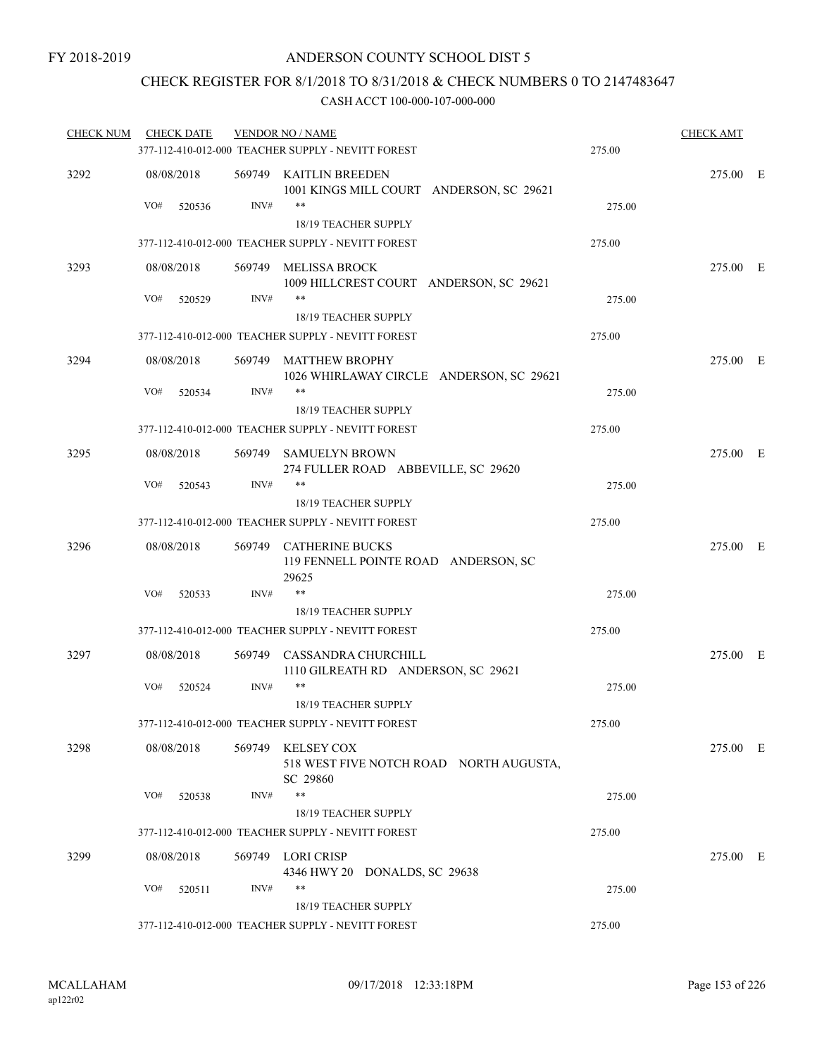## CHECK REGISTER FOR 8/1/2018 TO 8/31/2018 & CHECK NUMBERS 0 TO 2147483647

| <b>CHECK NUM</b> | <b>CHECK DATE</b> |      | <b>VENDOR NO / NAME</b><br>377-112-410-012-000 TEACHER SUPPLY - NEVITT FOREST | 275.00 | <b>CHECK AMT</b> |  |
|------------------|-------------------|------|-------------------------------------------------------------------------------|--------|------------------|--|
| 3292             | 08/08/2018        |      | 569749 KAITLIN BREEDEN<br>1001 KINGS MILL COURT ANDERSON, SC 29621            |        | 275.00 E         |  |
|                  | VO#<br>520536     | INV# | **<br>18/19 TEACHER SUPPLY                                                    | 275.00 |                  |  |
|                  |                   |      | 377-112-410-012-000 TEACHER SUPPLY - NEVITT FOREST                            | 275.00 |                  |  |
| 3293             | 08/08/2018        |      | 569749 MELISSA BROCK                                                          |        | 275.00 E         |  |
|                  |                   |      | 1009 HILLCREST COURT ANDERSON, SC 29621                                       |        |                  |  |
|                  | VO#<br>520529     | INV# | $***$                                                                         | 275.00 |                  |  |
|                  |                   |      | 18/19 TEACHER SUPPLY<br>377-112-410-012-000 TEACHER SUPPLY - NEVITT FOREST    | 275.00 |                  |  |
|                  | 08/08/2018        |      |                                                                               |        |                  |  |
| 3294             |                   |      | 569749 MATTHEW BROPHY<br>1026 WHIRLAWAY CIRCLE ANDERSON, SC 29621             |        | 275.00 E         |  |
|                  | VO#<br>520534     | INV# | $***$                                                                         | 275.00 |                  |  |
|                  |                   |      | 18/19 TEACHER SUPPLY                                                          |        |                  |  |
|                  |                   |      | 377-112-410-012-000 TEACHER SUPPLY - NEVITT FOREST                            | 275.00 |                  |  |
| 3295             | 08/08/2018        |      | 569749 SAMUELYN BROWN<br>274 FULLER ROAD ABBEVILLE, SC 29620                  |        | 275.00 E         |  |
|                  | VO#<br>520543     | INV# | $***$                                                                         | 275.00 |                  |  |
|                  |                   |      | 18/19 TEACHER SUPPLY                                                          |        |                  |  |
|                  |                   |      | 377-112-410-012-000 TEACHER SUPPLY - NEVITT FOREST                            | 275.00 |                  |  |
| 3296             | 08/08/2018        |      | 569749 CATHERINE BUCKS<br>119 FENNELL POINTE ROAD ANDERSON, SC<br>29625       |        | 275.00 E         |  |
|                  | VO#<br>520533     | INV# | **                                                                            | 275.00 |                  |  |
|                  |                   |      | 18/19 TEACHER SUPPLY                                                          |        |                  |  |
|                  |                   |      | 377-112-410-012-000 TEACHER SUPPLY - NEVITT FOREST                            | 275.00 |                  |  |
| 3297             | 08/08/2018        |      | 569749 CASSANDRA CHURCHILL<br>1110 GILREATH RD ANDERSON, SC 29621             |        | 275.00 E         |  |
|                  | VO#<br>520524     | INV# | $***$                                                                         | 275.00 |                  |  |
|                  |                   |      | <b>18/19 TEACHER SUPPLY</b>                                                   |        |                  |  |
|                  |                   |      | 377-112-410-012-000 TEACHER SUPPLY - NEVITT FOREST                            | 275.00 |                  |  |
| 3298             | 08/08/2018        |      | 569749 KELSEY COX<br>518 WEST FIVE NOTCH ROAD NORTH AUGUSTA,<br>SC 29860      |        | 275.00 E         |  |
|                  | VO#<br>520538     | INV# | **                                                                            | 275.00 |                  |  |
|                  |                   |      | 18/19 TEACHER SUPPLY                                                          |        |                  |  |
|                  |                   |      | 377-112-410-012-000 TEACHER SUPPLY - NEVITT FOREST                            | 275.00 |                  |  |
| 3299             | 08/08/2018        |      | 569749 LORI CRISP<br>4346 HWY 20 DONALDS, SC 29638                            |        | 275.00 E         |  |
|                  | VO#<br>520511     | INV# | **                                                                            | 275.00 |                  |  |
|                  |                   |      | 18/19 TEACHER SUPPLY                                                          |        |                  |  |
|                  |                   |      | 377-112-410-012-000 TEACHER SUPPLY - NEVITT FOREST                            | 275.00 |                  |  |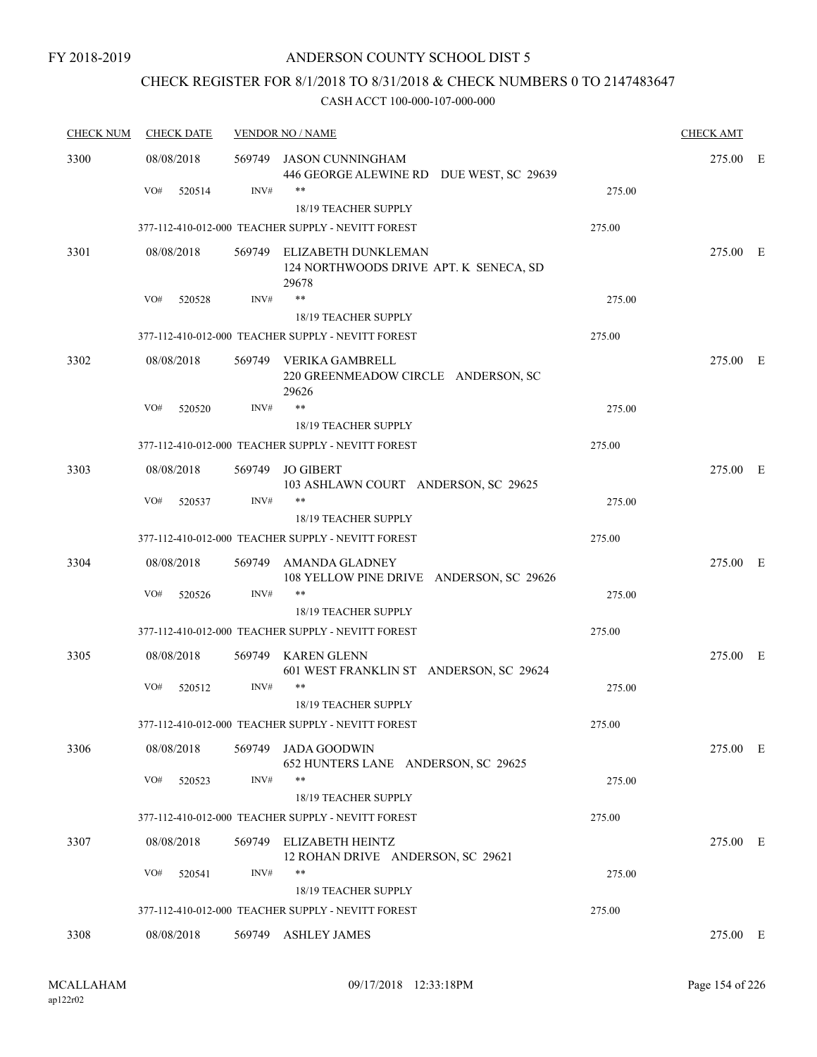# CHECK REGISTER FOR 8/1/2018 TO 8/31/2018 & CHECK NUMBERS 0 TO 2147483647

| <b>CHECK NUM</b> | <b>CHECK DATE</b> |        | <b>VENDOR NO / NAME</b>                                                       |        | <b>CHECK AMT</b> |  |
|------------------|-------------------|--------|-------------------------------------------------------------------------------|--------|------------------|--|
| 3300             | 08/08/2018        | 569749 | JASON CUNNINGHAM<br>446 GEORGE ALEWINE RD DUE WEST, SC 29639                  |        | 275.00 E         |  |
|                  | VO#<br>520514     | INV#   | **                                                                            | 275.00 |                  |  |
|                  |                   |        | 18/19 TEACHER SUPPLY                                                          |        |                  |  |
|                  |                   |        | 377-112-410-012-000 TEACHER SUPPLY - NEVITT FOREST                            | 275.00 |                  |  |
| 3301             | 08/08/2018        |        | 569749 ELIZABETH DUNKLEMAN<br>124 NORTHWOODS DRIVE APT. K SENECA, SD<br>29678 |        | 275.00 E         |  |
|                  | VO#<br>520528     | INV#   | $***$                                                                         | 275.00 |                  |  |
|                  |                   |        | 18/19 TEACHER SUPPLY                                                          |        |                  |  |
|                  |                   |        | 377-112-410-012-000 TEACHER SUPPLY - NEVITT FOREST                            | 275.00 |                  |  |
| 3302             | 08/08/2018        |        | 569749 VERIKA GAMBRELL<br>220 GREENMEADOW CIRCLE ANDERSON, SC<br>29626        |        | 275.00 E         |  |
|                  | VO#<br>520520     | INV#   | $***$                                                                         | 275.00 |                  |  |
|                  |                   |        | 18/19 TEACHER SUPPLY                                                          |        |                  |  |
|                  |                   |        | 377-112-410-012-000 TEACHER SUPPLY - NEVITT FOREST                            | 275.00 |                  |  |
| 3303             | 08/08/2018        |        | 569749 JO GIBERT<br>103 ASHLAWN COURT ANDERSON, SC 29625                      |        | 275.00 E         |  |
|                  | VO#<br>520537     | INV#   | $***$                                                                         | 275.00 |                  |  |
|                  |                   |        | 18/19 TEACHER SUPPLY                                                          |        |                  |  |
|                  |                   |        | 377-112-410-012-000 TEACHER SUPPLY - NEVITT FOREST                            | 275.00 |                  |  |
| 3304             | 08/08/2018        |        | 569749 AMANDA GLADNEY<br>108 YELLOW PINE DRIVE ANDERSON, SC 29626             |        | 275.00 E         |  |
|                  | VO#<br>520526     | INV#   | **                                                                            | 275.00 |                  |  |
|                  |                   |        | 18/19 TEACHER SUPPLY                                                          |        |                  |  |
|                  |                   |        | 377-112-410-012-000 TEACHER SUPPLY - NEVITT FOREST                            | 275.00 |                  |  |
| 3305             | 08/08/2018        | 569749 | KAREN GLENN<br>601 WEST FRANKLIN ST ANDERSON, SC 29624                        |        | 275.00 E         |  |
|                  | VO#<br>520512     | INV#   | **<br>18/19 TEACHER SUPPLY                                                    | 275.00 |                  |  |
|                  |                   |        | 377-112-410-012-000 TEACHER SUPPLY - NEVITT FOREST                            | 275.00 |                  |  |
| 3306             | 08/08/2018        |        | 569749 JADA GOODWIN<br>652 HUNTERS LANE ANDERSON, SC 29625                    |        | 275.00 E         |  |
|                  | VO#<br>520523     | INV#   | **                                                                            | 275.00 |                  |  |
|                  |                   |        | 18/19 TEACHER SUPPLY                                                          |        |                  |  |
|                  |                   |        | 377-112-410-012-000 TEACHER SUPPLY - NEVITT FOREST                            | 275.00 |                  |  |
| 3307             | 08/08/2018        |        | 569749 ELIZABETH HEINTZ<br>12 ROHAN DRIVE ANDERSON, SC 29621                  |        | 275.00 E         |  |
|                  | VO#<br>520541     | INV#   | **                                                                            | 275.00 |                  |  |
|                  |                   |        | 18/19 TEACHER SUPPLY                                                          |        |                  |  |
|                  |                   |        | 377-112-410-012-000 TEACHER SUPPLY - NEVITT FOREST                            | 275.00 |                  |  |
| 3308             | 08/08/2018        |        | 569749 ASHLEY JAMES                                                           |        | 275.00 E         |  |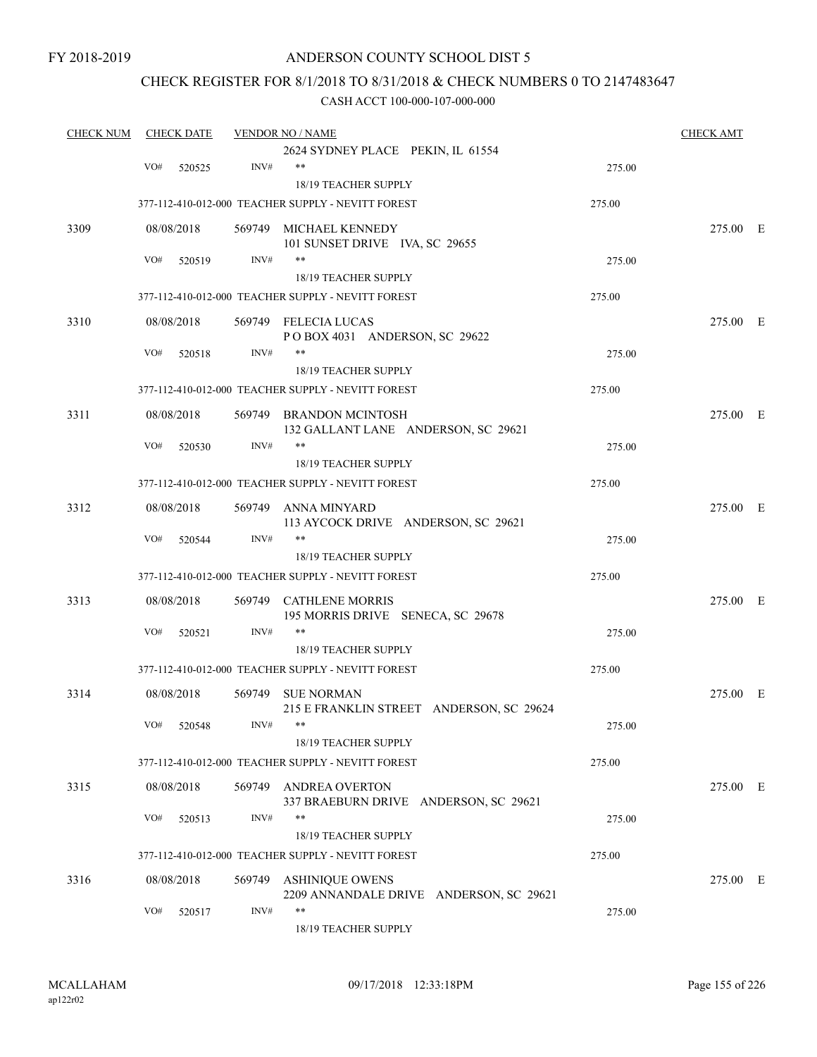### CHECK REGISTER FOR 8/1/2018 TO 8/31/2018 & CHECK NUMBERS 0 TO 2147483647

| <b>CHECK NUM</b> |     | <b>CHECK DATE</b> |            | <b>VENDOR NO / NAME</b>                                           |        | <b>CHECK AMT</b> |  |
|------------------|-----|-------------------|------------|-------------------------------------------------------------------|--------|------------------|--|
|                  |     |                   |            | 2624 SYDNEY PLACE PEKIN, IL 61554                                 |        |                  |  |
|                  | VO# | 520525            | INV#       | $***$                                                             | 275.00 |                  |  |
|                  |     |                   |            | 18/19 TEACHER SUPPLY                                              |        |                  |  |
|                  |     |                   |            | 377-112-410-012-000 TEACHER SUPPLY - NEVITT FOREST                | 275.00 |                  |  |
| 3309             |     | 08/08/2018        |            | 569749 MICHAEL KENNEDY                                            |        | 275.00 E         |  |
|                  |     |                   |            | 101 SUNSET DRIVE IVA, SC 29655<br>**                              |        |                  |  |
|                  | VO# | 520519            | INV#       |                                                                   | 275.00 |                  |  |
|                  |     |                   |            | 18/19 TEACHER SUPPLY                                              |        |                  |  |
|                  |     |                   |            | 377-112-410-012-000 TEACHER SUPPLY - NEVITT FOREST                | 275.00 |                  |  |
| 3310             |     | 08/08/2018        |            | 569749 FELECIA LUCAS<br>POBOX 4031 ANDERSON, SC 29622             |        | 275.00 E         |  |
|                  | VO# | 520518            | INV#       |                                                                   | 275.00 |                  |  |
|                  |     |                   |            | 18/19 TEACHER SUPPLY                                              |        |                  |  |
|                  |     |                   |            | 377-112-410-012-000 TEACHER SUPPLY - NEVITT FOREST                | 275.00 |                  |  |
| 3311             |     | 08/08/2018        |            | 569749 BRANDON MCINTOSH                                           |        | 275.00 E         |  |
|                  |     |                   |            | 132 GALLANT LANE ANDERSON, SC 29621                               |        |                  |  |
|                  | VO# | 520530            | INV#       | **                                                                | 275.00 |                  |  |
|                  |     |                   |            | 18/19 TEACHER SUPPLY                                              |        |                  |  |
|                  |     |                   |            | 377-112-410-012-000 TEACHER SUPPLY - NEVITT FOREST                | 275.00 |                  |  |
| 3312             |     | 08/08/2018        |            | 569749 ANNA MINYARD                                               |        | 275.00 E         |  |
|                  |     |                   |            | 113 AYCOCK DRIVE ANDERSON, SC 29621                               |        |                  |  |
|                  | VO# | 520544            | INV#       | **                                                                | 275.00 |                  |  |
|                  |     |                   |            | 18/19 TEACHER SUPPLY                                              |        |                  |  |
|                  |     |                   |            | 377-112-410-012-000 TEACHER SUPPLY - NEVITT FOREST                | 275.00 |                  |  |
| 3313             |     | 08/08/2018        |            | 569749 CATHLENE MORRIS<br>195 MORRIS DRIVE SENECA, SC 29678       |        | 275.00 E         |  |
|                  | VO# | 520521            | INV#       | **                                                                | 275.00 |                  |  |
|                  |     |                   |            | 18/19 TEACHER SUPPLY                                              |        |                  |  |
|                  |     |                   |            | 377-112-410-012-000 TEACHER SUPPLY - NEVITT FOREST                | 275.00 |                  |  |
|                  |     |                   |            |                                                                   |        |                  |  |
| 3314             |     | 08/08/2018        |            | 569749 SUE NORMAN<br>215 E FRANKLIN STREET ANDERSON, SC 29624     |        | 275.00 E         |  |
|                  |     | VO# 520548        | $INV\#$ ** |                                                                   | 275.00 |                  |  |
|                  |     |                   |            | 18/19 TEACHER SUPPLY                                              |        |                  |  |
|                  |     |                   |            | 377-112-410-012-000 TEACHER SUPPLY - NEVITT FOREST                | 275.00 |                  |  |
|                  |     |                   |            |                                                                   |        |                  |  |
| 3315             |     | 08/08/2018        |            | 569749 ANDREA OVERTON<br>337 BRAEBURN DRIVE ANDERSON, SC 29621    |        | 275.00 E         |  |
|                  | VO# | 520513            | INV#       | **                                                                | 275.00 |                  |  |
|                  |     |                   |            | 18/19 TEACHER SUPPLY                                              |        |                  |  |
|                  |     |                   |            | 377-112-410-012-000 TEACHER SUPPLY - NEVITT FOREST                | 275.00 |                  |  |
|                  |     |                   |            |                                                                   |        |                  |  |
| 3316             |     | 08/08/2018        |            | 569749 ASHINIQUE OWENS<br>2209 ANNANDALE DRIVE ANDERSON, SC 29621 |        | 275.00 E         |  |
|                  | VO# | 520517            | INV#       | **                                                                | 275.00 |                  |  |
|                  |     |                   |            | 18/19 TEACHER SUPPLY                                              |        |                  |  |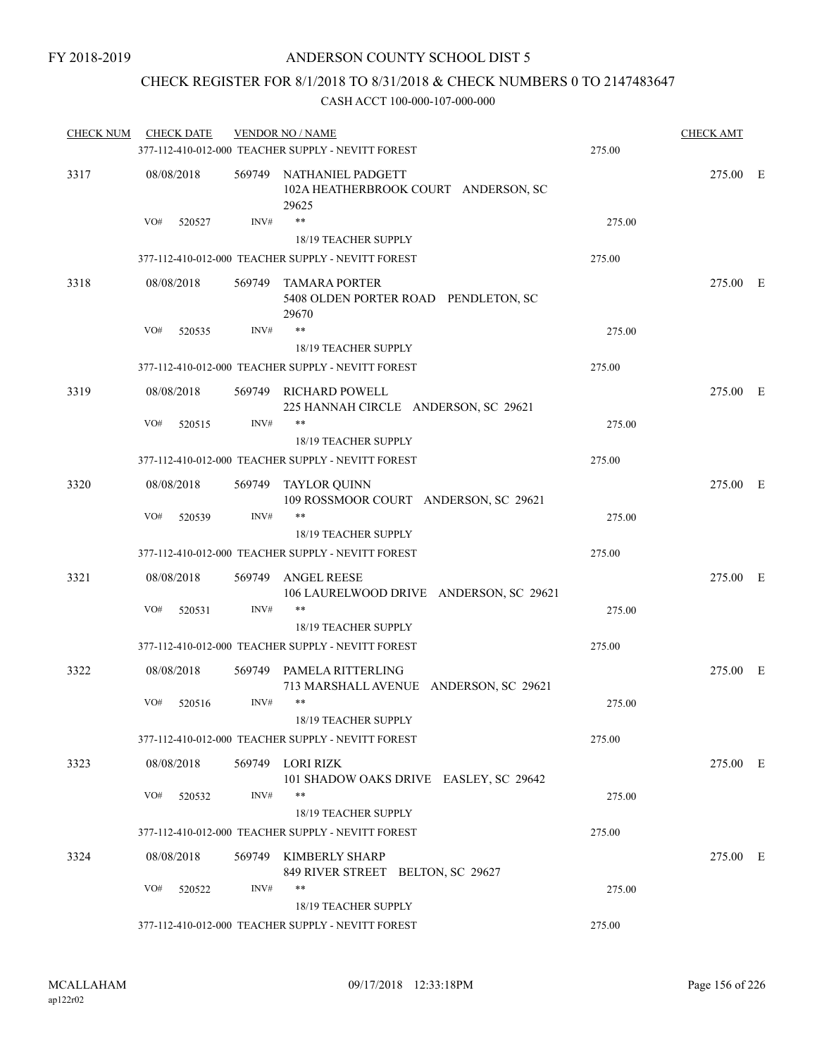## CHECK REGISTER FOR 8/1/2018 TO 8/31/2018 & CHECK NUMBERS 0 TO 2147483647

| <b>CHECK NUM</b> | <b>CHECK DATE</b> |      | <b>VENDOR NO / NAME</b>                                                    |        | <b>CHECK AMT</b> |  |
|------------------|-------------------|------|----------------------------------------------------------------------------|--------|------------------|--|
|                  |                   |      | 377-112-410-012-000 TEACHER SUPPLY - NEVITT FOREST                         | 275.00 |                  |  |
| 3317             | 08/08/2018        |      | 569749 NATHANIEL PADGETT<br>102A HEATHERBROOK COURT ANDERSON, SC<br>29625  |        | 275.00 E         |  |
|                  | VO#<br>520527     | INV# | $***$<br>18/19 TEACHER SUPPLY                                              | 275.00 |                  |  |
|                  |                   |      | 377-112-410-012-000 TEACHER SUPPLY - NEVITT FOREST                         | 275.00 |                  |  |
| 3318             | 08/08/2018        |      | 569749 TAMARA PORTER<br>5408 OLDEN PORTER ROAD PENDLETON, SC<br>29670      |        | 275.00 E         |  |
|                  | VO#<br>520535     | INV# | $***$<br>18/19 TEACHER SUPPLY                                              | 275.00 |                  |  |
|                  |                   |      | 377-112-410-012-000 TEACHER SUPPLY - NEVITT FOREST                         | 275.00 |                  |  |
| 3319             | 08/08/2018        |      | 569749 RICHARD POWELL                                                      |        | 275.00 E         |  |
|                  | VO#<br>520515     | INV# | 225 HANNAH CIRCLE ANDERSON, SC 29621<br>**                                 | 275.00 |                  |  |
|                  |                   |      | 18/19 TEACHER SUPPLY<br>377-112-410-012-000 TEACHER SUPPLY - NEVITT FOREST | 275.00 |                  |  |
|                  |                   |      |                                                                            |        |                  |  |
| 3320             | 08/08/2018        |      | 569749 TAYLOR QUINN<br>109 ROSSMOOR COURT ANDERSON, SC 29621               |        | 275.00 E         |  |
|                  | VO#<br>520539     | INV# | $***$<br>18/19 TEACHER SUPPLY                                              | 275.00 |                  |  |
|                  |                   |      | 377-112-410-012-000 TEACHER SUPPLY - NEVITT FOREST                         | 275.00 |                  |  |
| 3321             | 08/08/2018        |      | 569749 ANGEL REESE<br>106 LAURELWOOD DRIVE ANDERSON, SC 29621              |        | 275.00 E         |  |
|                  | VO#<br>520531     | INV# | **<br>18/19 TEACHER SUPPLY                                                 | 275.00 |                  |  |
|                  |                   |      | 377-112-410-012-000 TEACHER SUPPLY - NEVITT FOREST                         | 275.00 |                  |  |
| 3322             | 08/08/2018        |      | 569749 PAMELA RITTERLING<br>713 MARSHALL AVENUE ANDERSON, SC 29621         |        | 275.00 E         |  |
|                  | VO#<br>520516     | INV# | **<br>18/19 TEACHER SUPPLY                                                 | 275.00 |                  |  |
|                  |                   |      | 377-112-410-012-000 TEACHER SUPPLY - NEVITT FOREST                         | 275.00 |                  |  |
|                  | 08/08/2018        |      |                                                                            |        |                  |  |
| 3323             |                   |      | 569749 LORI RIZK<br>101 SHADOW OAKS DRIVE EASLEY, SC 29642                 |        | 275.00 E         |  |
|                  | VO#<br>520532     | INV# | **<br>18/19 TEACHER SUPPLY                                                 | 275.00 |                  |  |
|                  |                   |      | 377-112-410-012-000 TEACHER SUPPLY - NEVITT FOREST                         | 275.00 |                  |  |
| 3324             | 08/08/2018        |      | 569749 KIMBERLY SHARP<br>849 RIVER STREET BELTON, SC 29627                 |        | 275.00 E         |  |
|                  | VO#<br>520522     | INV# | **                                                                         | 275.00 |                  |  |
|                  |                   |      | 18/19 TEACHER SUPPLY<br>377-112-410-012-000 TEACHER SUPPLY - NEVITT FOREST | 275.00 |                  |  |
|                  |                   |      |                                                                            |        |                  |  |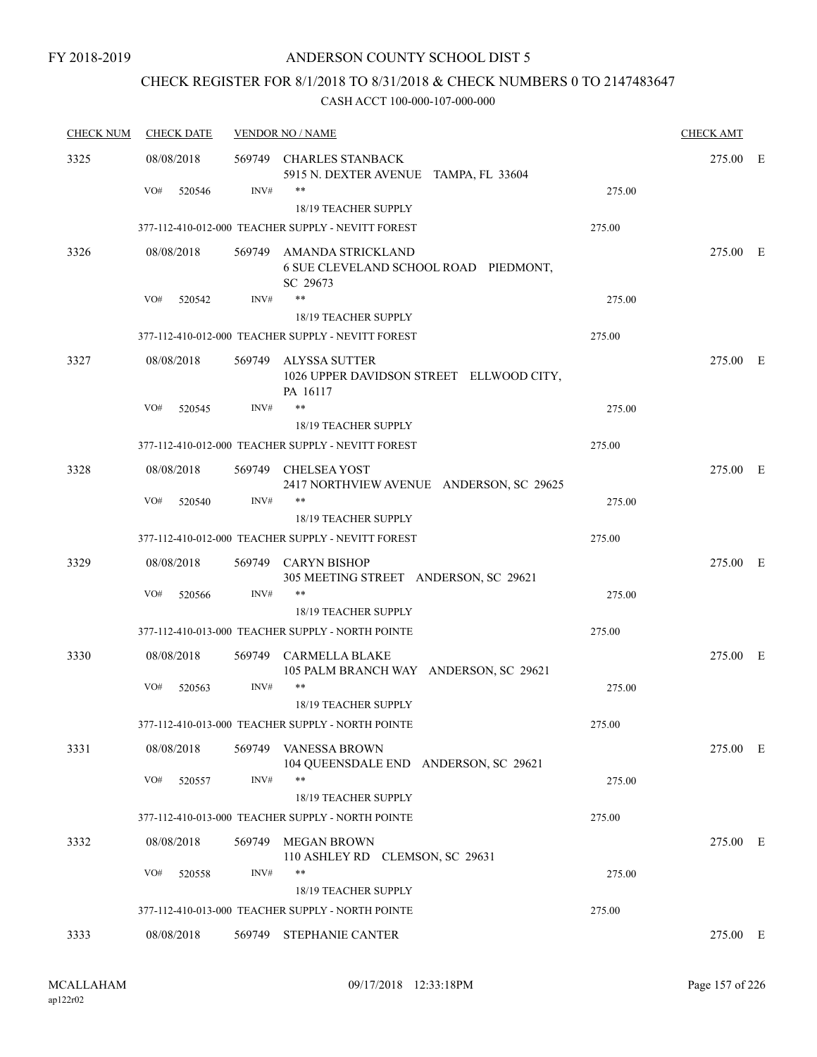## CHECK REGISTER FOR 8/1/2018 TO 8/31/2018 & CHECK NUMBERS 0 TO 2147483647

| <b>CHECK NUM</b> | <b>CHECK DATE</b> |        | <b>VENDOR NO / NAME</b>                                                |        | <b>CHECK AMT</b> |  |
|------------------|-------------------|--------|------------------------------------------------------------------------|--------|------------------|--|
| 3325             | 08/08/2018        | 569749 | <b>CHARLES STANBACK</b><br>5915 N. DEXTER AVENUE TAMPA, FL 33604       |        | 275.00 E         |  |
|                  | VO#<br>520546     | INV#   | $***$                                                                  | 275.00 |                  |  |
|                  |                   |        | 18/19 TEACHER SUPPLY                                                   |        |                  |  |
|                  |                   |        | 377-112-410-012-000 TEACHER SUPPLY - NEVITT FOREST                     | 275.00 |                  |  |
| 3326             | 08/08/2018        | 569749 | AMANDA STRICKLAND<br>6 SUE CLEVELAND SCHOOL ROAD PIEDMONT,<br>SC 29673 |        | 275.00 E         |  |
|                  | VO#<br>520542     | INV#   | $***$                                                                  | 275.00 |                  |  |
|                  |                   |        | 18/19 TEACHER SUPPLY                                                   |        |                  |  |
|                  |                   |        | 377-112-410-012-000 TEACHER SUPPLY - NEVITT FOREST                     | 275.00 |                  |  |
| 3327             | 08/08/2018        | 569749 | ALYSSA SUTTER<br>1026 UPPER DAVIDSON STREET ELLWOOD CITY,<br>PA 16117  |        | 275.00 E         |  |
|                  | VO#<br>520545     | INV#   | $\ast\ast$                                                             | 275.00 |                  |  |
|                  |                   |        | 18/19 TEACHER SUPPLY                                                   |        |                  |  |
|                  |                   |        | 377-112-410-012-000 TEACHER SUPPLY - NEVITT FOREST                     | 275.00 |                  |  |
| 3328             | 08/08/2018        |        | 569749 CHELSEA YOST<br>2417 NORTHVIEW AVENUE ANDERSON, SC 29625        |        | 275.00 E         |  |
|                  | VO#<br>520540     | INV#   | $***$                                                                  | 275.00 |                  |  |
|                  |                   |        | 18/19 TEACHER SUPPLY                                                   |        |                  |  |
|                  |                   |        | 377-112-410-012-000 TEACHER SUPPLY - NEVITT FOREST                     | 275.00 |                  |  |
| 3329             | 08/08/2018        |        | 569749 CARYN BISHOP<br>305 MEETING STREET ANDERSON, SC 29621           |        | 275.00 E         |  |
|                  | VO#<br>520566     | INV#   | $***$<br>18/19 TEACHER SUPPLY                                          | 275.00 |                  |  |
|                  |                   |        | 377-112-410-013-000 TEACHER SUPPLY - NORTH POINTE                      | 275.00 |                  |  |
| 3330             | 08/08/2018        | 569749 | <b>CARMELLA BLAKE</b><br>105 PALM BRANCH WAY ANDERSON, SC 29621        |        | 275.00 E         |  |
|                  | VO#<br>520563     | INV#   | $***$<br>18/19 TEACHER SUPPLY                                          | 275.00 |                  |  |
|                  |                   |        | 377-112-410-013-000 TEACHER SUPPLY - NORTH POINTE                      | 275.00 |                  |  |
| 3331             | 08/08/2018        |        | 569749 VANESSA BROWN<br>104 QUEENSDALE END ANDERSON, SC 29621          |        | 275.00 E         |  |
|                  | VO#<br>520557     | INV#   | $***$<br>18/19 TEACHER SUPPLY                                          | 275.00 |                  |  |
|                  |                   |        | 377-112-410-013-000 TEACHER SUPPLY - NORTH POINTE                      | 275.00 |                  |  |
| 3332             | 08/08/2018        |        | 569749 MEGAN BROWN                                                     |        | 275.00 E         |  |
|                  | VO#<br>520558     | INV#   | 110 ASHLEY RD CLEMSON, SC 29631<br>**                                  | 275.00 |                  |  |
|                  |                   |        | 18/19 TEACHER SUPPLY                                                   |        |                  |  |
|                  |                   |        | 377-112-410-013-000 TEACHER SUPPLY - NORTH POINTE                      | 275.00 |                  |  |
| 3333             | 08/08/2018        | 569749 | <b>STEPHANIE CANTER</b>                                                |        | 275.00 E         |  |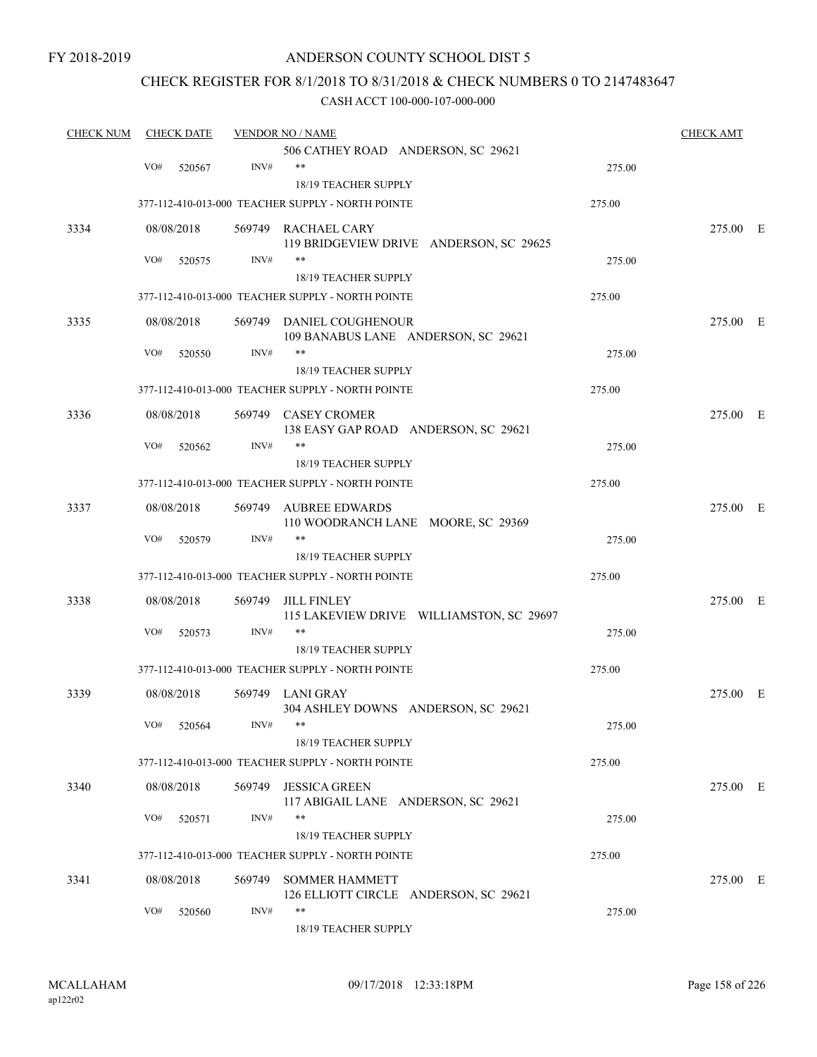FY 2018-2019

### ANDERSON COUNTY SCHOOL DIST 5

### CHECK REGISTER FOR 8/1/2018 TO 8/31/2018 & CHECK NUMBERS 0 TO 2147483647

| <b>CHECK NUM</b> | <b>CHECK DATE</b> |        | <b>VENDOR NO / NAME</b>                                                   |        | <b>CHECK AMT</b> |  |
|------------------|-------------------|--------|---------------------------------------------------------------------------|--------|------------------|--|
|                  |                   |        | 506 CATHEY ROAD ANDERSON, SC 29621                                        |        |                  |  |
|                  | VO#<br>520567     | INV#   | $***$                                                                     | 275.00 |                  |  |
|                  |                   |        | 18/19 TEACHER SUPPLY                                                      |        |                  |  |
|                  |                   |        | 377-112-410-013-000 TEACHER SUPPLY - NORTH POINTE                         | 275.00 |                  |  |
| 3334             | 08/08/2018        |        | 569749 RACHAEL CARY<br>119 BRIDGEVIEW DRIVE ANDERSON, SC 29625            |        | 275.00 E         |  |
|                  | VO#<br>520575     | INV#   | **                                                                        | 275.00 |                  |  |
|                  |                   |        | 18/19 TEACHER SUPPLY                                                      |        |                  |  |
|                  |                   |        | 377-112-410-013-000 TEACHER SUPPLY - NORTH POINTE                         | 275.00 |                  |  |
| 3335             | 08/08/2018        |        | 569749 DANIEL COUGHENOUR<br>109 BANABUS LANE ANDERSON, SC 29621           |        | 275.00 E         |  |
|                  | VO#<br>520550     | INV#   |                                                                           | 275.00 |                  |  |
|                  |                   |        | 18/19 TEACHER SUPPLY                                                      |        |                  |  |
|                  |                   |        | 377-112-410-013-000 TEACHER SUPPLY - NORTH POINTE                         | 275.00 |                  |  |
| 3336             | 08/08/2018        |        | 569749 CASEY CROMER                                                       |        | 275.00 E         |  |
|                  |                   |        | 138 EASY GAP ROAD ANDERSON, SC 29621                                      |        |                  |  |
|                  | VO#<br>520562     | INV#   | **                                                                        | 275.00 |                  |  |
|                  |                   |        | 18/19 TEACHER SUPPLY                                                      |        |                  |  |
|                  |                   |        | 377-112-410-013-000 TEACHER SUPPLY - NORTH POINTE                         | 275.00 |                  |  |
| 3337             | 08/08/2018        | 569749 | AUBREE EDWARDS<br>110 WOODRANCH LANE MOORE, SC 29369                      |        | 275.00 E         |  |
|                  | VO#<br>520579     | INV#   | **                                                                        | 275.00 |                  |  |
|                  |                   |        | 18/19 TEACHER SUPPLY                                                      |        |                  |  |
|                  |                   |        | 377-112-410-013-000 TEACHER SUPPLY - NORTH POINTE                         | 275.00 |                  |  |
| 3338             | 08/08/2018        | 569749 | <b>JILL FINLEY</b><br>115 LAKEVIEW DRIVE WILLIAMSTON, SC 29697            |        | 275.00 E         |  |
|                  | VO#<br>520573     | INV#   | **                                                                        | 275.00 |                  |  |
|                  |                   |        | 18/19 TEACHER SUPPLY                                                      |        |                  |  |
|                  |                   |        | 377-112-410-013-000 TEACHER SUPPLY - NORTH POINTE                         | 275.00 |                  |  |
| 3339             | 08/08/2018        |        | 569749 LANI GRAY                                                          |        | 275.00 E         |  |
|                  | VO# 520564        | INV#   | 304 ASHLEY DOWNS ANDERSON, SC 29621<br>**                                 | 275.00 |                  |  |
|                  |                   |        | 18/19 TEACHER SUPPLY<br>377-112-410-013-000 TEACHER SUPPLY - NORTH POINTE | 275.00 |                  |  |
|                  |                   |        |                                                                           |        |                  |  |
| 3340             | 08/08/2018        |        | 569749 JESSICA GREEN<br>117 ABIGAIL LANE ANDERSON, SC 29621               |        | 275.00 E         |  |
|                  | VO#<br>520571     | INV#   | **<br>18/19 TEACHER SUPPLY                                                | 275.00 |                  |  |
|                  |                   |        | 377-112-410-013-000 TEACHER SUPPLY - NORTH POINTE                         | 275.00 |                  |  |
| 3341             | 08/08/2018        |        | 569749 SOMMER HAMMETT                                                     |        | 275.00 E         |  |
|                  | VO#<br>520560     | INV#   | 126 ELLIOTT CIRCLE ANDERSON, SC 29621<br>**<br>18/19 TEACHER SUPPLY       | 275.00 |                  |  |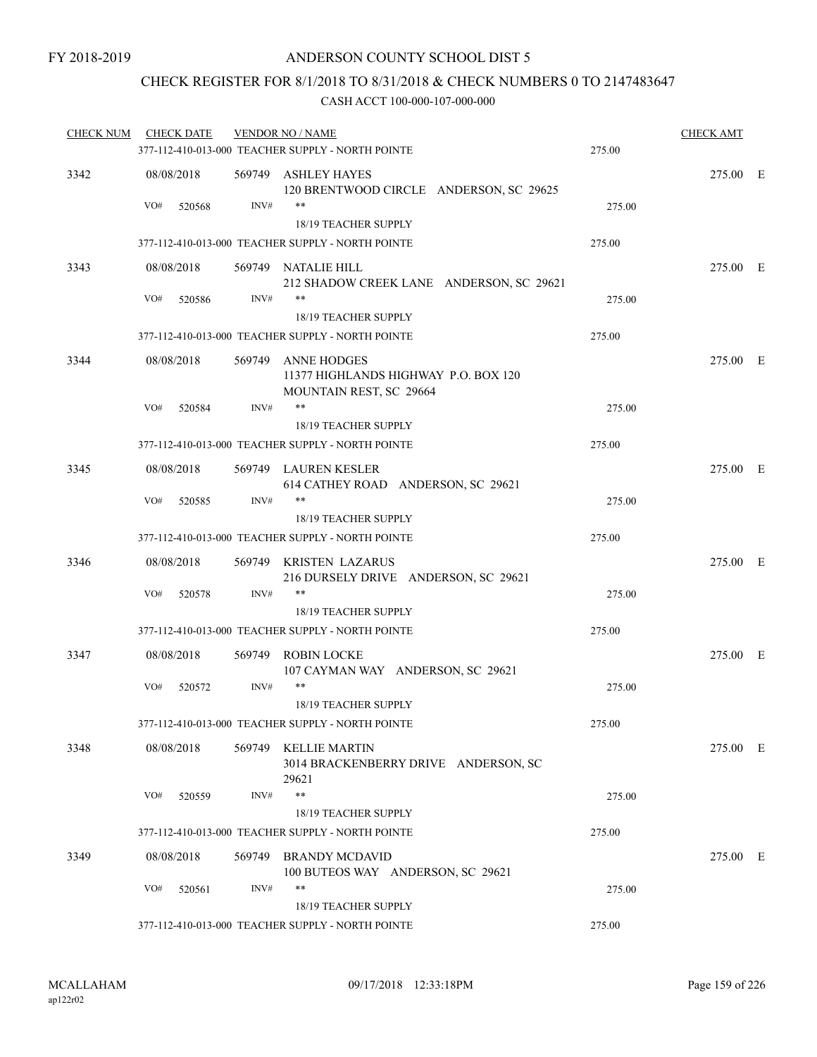### CHECK REGISTER FOR 8/1/2018 TO 8/31/2018 & CHECK NUMBERS 0 TO 2147483647

| <b>CHECK NUM</b> | <b>CHECK DATE</b> |        |        | <b>VENDOR NO / NAME</b>                                                               |        | <b>CHECK AMT</b> |  |
|------------------|-------------------|--------|--------|---------------------------------------------------------------------------------------|--------|------------------|--|
|                  |                   |        |        | 377-112-410-013-000 TEACHER SUPPLY - NORTH POINTE                                     | 275.00 |                  |  |
| 3342             | 08/08/2018        |        |        | 569749 ASHLEY HAYES<br>120 BRENTWOOD CIRCLE ANDERSON, SC 29625                        |        | 275.00 E         |  |
|                  | VO#               | 520568 | INV#   | $***$<br>18/19 TEACHER SUPPLY                                                         | 275.00 |                  |  |
|                  |                   |        |        | 377-112-410-013-000 TEACHER SUPPLY - NORTH POINTE                                     | 275.00 |                  |  |
| 3343             | 08/08/2018        |        |        | 569749 NATALIE HILL                                                                   |        | 275.00 E         |  |
|                  |                   |        |        | 212 SHADOW CREEK LANE ANDERSON, SC 29621                                              |        |                  |  |
|                  | VO#               | 520586 | INV#   | $***$                                                                                 | 275.00 |                  |  |
|                  |                   |        |        | 18/19 TEACHER SUPPLY                                                                  |        |                  |  |
|                  |                   |        |        | 377-112-410-013-000 TEACHER SUPPLY - NORTH POINTE                                     | 275.00 |                  |  |
| 3344             | 08/08/2018        |        |        | 569749 ANNE HODGES<br>11377 HIGHLANDS HIGHWAY P.O. BOX 120<br>MOUNTAIN REST, SC 29664 |        | 275.00 E         |  |
|                  | VO#               | 520584 | INV#   | $***$                                                                                 | 275.00 |                  |  |
|                  |                   |        |        | 18/19 TEACHER SUPPLY                                                                  |        |                  |  |
|                  |                   |        |        | 377-112-410-013-000 TEACHER SUPPLY - NORTH POINTE                                     | 275.00 |                  |  |
| 3345             | 08/08/2018        |        |        | 569749 LAUREN KESLER<br>614 CATHEY ROAD ANDERSON, SC 29621                            |        | 275.00 E         |  |
|                  | VO#               | 520585 | INV#   | $***$<br>18/19 TEACHER SUPPLY                                                         | 275.00 |                  |  |
|                  |                   |        |        | 377-112-410-013-000 TEACHER SUPPLY - NORTH POINTE                                     | 275.00 |                  |  |
| 3346             | 08/08/2018        |        |        | 569749 KRISTEN LAZARUS<br>216 DURSELY DRIVE ANDERSON, SC 29621                        |        | 275.00 E         |  |
|                  | VO#               | 520578 | INV#   | **                                                                                    | 275.00 |                  |  |
|                  |                   |        |        | 18/19 TEACHER SUPPLY                                                                  |        |                  |  |
|                  |                   |        |        | 377-112-410-013-000 TEACHER SUPPLY - NORTH POINTE                                     | 275.00 |                  |  |
| 3347             | 08/08/2018        |        | 569749 | ROBIN LOCKE<br>107 CAYMAN WAY ANDERSON, SC 29621                                      |        | 275.00 E         |  |
|                  | VO#               | 520572 | INV#   | **                                                                                    | 275.00 |                  |  |
|                  |                   |        |        | 18/19 TEACHER SUPPLY                                                                  |        |                  |  |
|                  |                   |        |        | 377-112-410-013-000 TEACHER SUPPLY - NORTH POINTE                                     | 275.00 |                  |  |
| 3348             | 08/08/2018        |        |        | 569749 KELLIE MARTIN<br>3014 BRACKENBERRY DRIVE ANDERSON, SC<br>29621                 |        | 275.00 E         |  |
|                  | VO#               | 520559 | INV#   | **                                                                                    | 275.00 |                  |  |
|                  |                   |        |        | 18/19 TEACHER SUPPLY                                                                  |        |                  |  |
|                  |                   |        |        | 377-112-410-013-000 TEACHER SUPPLY - NORTH POINTE                                     | 275.00 |                  |  |
| 3349             | 08/08/2018        |        | 569749 | <b>BRANDY MCDAVID</b><br>100 BUTEOS WAY ANDERSON, SC 29621                            |        | 275.00 E         |  |
|                  | VO#               | 520561 | INV#   | **                                                                                    | 275.00 |                  |  |
|                  |                   |        |        | 18/19 TEACHER SUPPLY                                                                  |        |                  |  |
|                  |                   |        |        | 377-112-410-013-000 TEACHER SUPPLY - NORTH POINTE                                     | 275.00 |                  |  |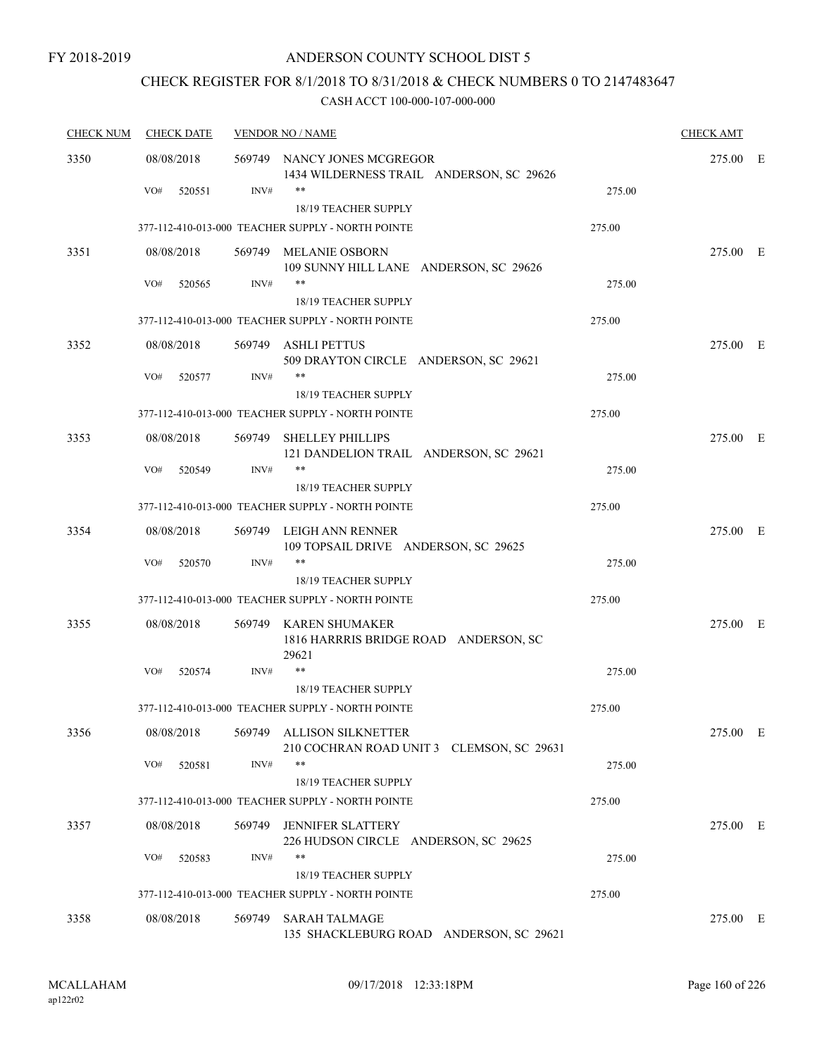# CHECK REGISTER FOR 8/1/2018 TO 8/31/2018 & CHECK NUMBERS 0 TO 2147483647

| <b>CHECK NUM</b> | <b>CHECK DATE</b> |        | <b>VENDOR NO / NAME</b>                                                         |        |          |  |  |
|------------------|-------------------|--------|---------------------------------------------------------------------------------|--------|----------|--|--|
| 3350             | 08/08/2018        |        | 569749 NANCY JONES MCGREGOR<br>1434 WILDERNESS TRAIL ANDERSON, SC 29626         |        | 275.00 E |  |  |
|                  | VO#<br>520551     | INV#   | $***$<br><b>18/19 TEACHER SUPPLY</b>                                            | 275.00 |          |  |  |
|                  |                   |        | 377-112-410-013-000 TEACHER SUPPLY - NORTH POINTE                               | 275.00 |          |  |  |
| 3351             | 08/08/2018        |        | 569749 MELANIE OSBORN<br>109 SUNNY HILL LANE ANDERSON, SC 29626                 |        | 275.00 E |  |  |
|                  | VO#<br>520565     | INV#   | $***$<br><b>18/19 TEACHER SUPPLY</b>                                            | 275.00 |          |  |  |
|                  |                   |        | 377-112-410-013-000 TEACHER SUPPLY - NORTH POINTE                               | 275.00 |          |  |  |
| 3352             | 08/08/2018        |        | 569749 ASHLI PETTUS<br>509 DRAYTON CIRCLE ANDERSON, SC 29621                    |        | 275.00 E |  |  |
|                  | VO#<br>520577     | INV#   | $***$<br>18/19 TEACHER SUPPLY                                                   | 275.00 |          |  |  |
|                  |                   |        | 377-112-410-013-000 TEACHER SUPPLY - NORTH POINTE                               | 275.00 |          |  |  |
| 3353             | 08/08/2018        |        | 569749 SHELLEY PHILLIPS<br>121 DANDELION TRAIL ANDERSON, SC 29621               |        | 275.00 E |  |  |
|                  | VO#<br>520549     | INV#   | $***$<br>18/19 TEACHER SUPPLY                                                   | 275.00 |          |  |  |
|                  |                   |        | 377-112-410-013-000 TEACHER SUPPLY - NORTH POINTE                               | 275.00 |          |  |  |
| 3354             | 08/08/2018        |        | 569749 LEIGH ANN RENNER<br>109 TOPSAIL DRIVE ANDERSON, SC 29625                 |        | 275.00 E |  |  |
|                  | VO#<br>520570     | INV#   | $***$<br>18/19 TEACHER SUPPLY                                                   | 275.00 |          |  |  |
|                  |                   |        | 377-112-410-013-000 TEACHER SUPPLY - NORTH POINTE                               | 275.00 |          |  |  |
| 3355             | 08/08/2018        |        | 569749 KAREN SHUMAKER<br>1816 HARRRIS BRIDGE ROAD ANDERSON, SC<br>29621         |        | 275.00 E |  |  |
|                  | VO#<br>520574     | INV#   | $***$                                                                           | 275.00 |          |  |  |
|                  |                   |        | 18/19 TEACHER SUPPLY                                                            |        |          |  |  |
|                  |                   |        | 377-112-410-013-000 TEACHER SUPPLY - NORTH POINTE                               | 275.00 |          |  |  |
| 3356             | 08/08/2018        |        | 569749 ALLISON SILKNETTER<br>210 COCHRAN ROAD UNIT 3 CLEMSON, SC 29631<br>$***$ |        | 275.00 E |  |  |
|                  | VO#<br>520581     | INV#   | 18/19 TEACHER SUPPLY                                                            | 275.00 |          |  |  |
|                  |                   |        | 377-112-410-013-000 TEACHER SUPPLY - NORTH POINTE                               | 275.00 |          |  |  |
| 3357             | 08/08/2018        | 569749 | <b>JENNIFER SLATTERY</b><br>226 HUDSON CIRCLE ANDERSON, SC 29625                |        | 275.00 E |  |  |
|                  | VO#<br>520583     | INV#   | **                                                                              | 275.00 |          |  |  |
|                  |                   |        | 18/19 TEACHER SUPPLY                                                            |        |          |  |  |
|                  |                   |        | 377-112-410-013-000 TEACHER SUPPLY - NORTH POINTE                               | 275.00 |          |  |  |
| 3358             | 08/08/2018        | 569749 | <b>SARAH TALMAGE</b><br>135 SHACKLEBURG ROAD ANDERSON, SC 29621                 |        | 275.00 E |  |  |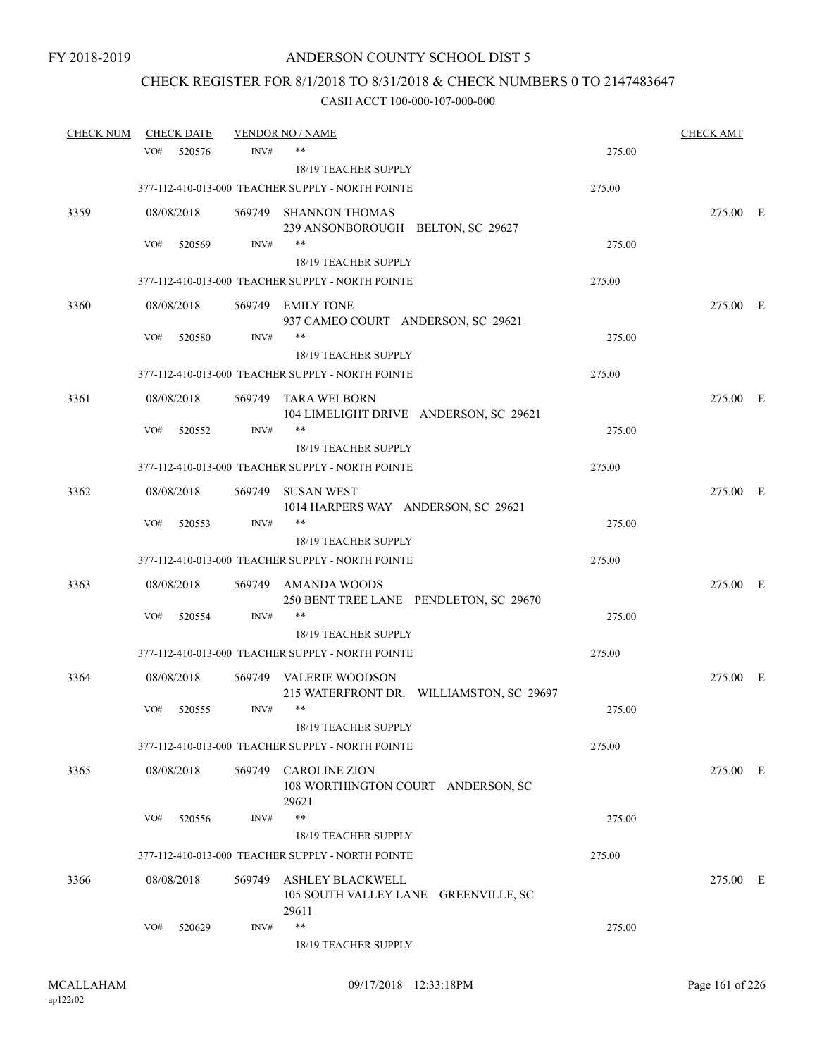# CHECK REGISTER FOR 8/1/2018 TO 8/31/2018 & CHECK NUMBERS 0 TO 2147483647

| <b>CHECK NUM</b> | <b>CHECK DATE</b> |        |        | <b>VENDOR NO / NAME</b>                                                  |                                          |        | <u>CHECK AMT</u> |  |
|------------------|-------------------|--------|--------|--------------------------------------------------------------------------|------------------------------------------|--------|------------------|--|
|                  | VO#               | 520576 | INV#   | $***$                                                                    |                                          | 275.00 |                  |  |
|                  |                   |        |        | <b>18/19 TEACHER SUPPLY</b>                                              |                                          |        |                  |  |
|                  |                   |        |        | 377-112-410-013-000 TEACHER SUPPLY - NORTH POINTE                        |                                          | 275.00 |                  |  |
| 3359             | 08/08/2018        |        |        | 569749 SHANNON THOMAS<br>239 ANSONBOROUGH BELTON, SC 29627               |                                          |        | 275.00 E         |  |
|                  | VO#               | 520569 | INV#   | $***$                                                                    |                                          | 275.00 |                  |  |
|                  |                   |        |        | 18/19 TEACHER SUPPLY                                                     |                                          |        |                  |  |
|                  |                   |        |        | 377-112-410-013-000 TEACHER SUPPLY - NORTH POINTE                        |                                          | 275.00 |                  |  |
| 3360             | 08/08/2018        |        |        | 569749 EMILY TONE<br>937 CAMEO COURT ANDERSON, SC 29621                  |                                          |        | 275.00 E         |  |
|                  | VO#               | 520580 | INV#   | $***$                                                                    |                                          | 275.00 |                  |  |
|                  |                   |        |        | 18/19 TEACHER SUPPLY                                                     |                                          |        |                  |  |
|                  |                   |        |        | 377-112-410-013-000 TEACHER SUPPLY - NORTH POINTE                        |                                          | 275.00 |                  |  |
| 3361             | 08/08/2018        |        | 569749 | TARA WELBORN<br>104 LIMELIGHT DRIVE ANDERSON, SC 29621                   |                                          |        | 275.00 E         |  |
|                  | VO#               | 520552 | INV#   | **                                                                       |                                          | 275.00 |                  |  |
|                  |                   |        |        | <b>18/19 TEACHER SUPPLY</b>                                              |                                          |        |                  |  |
|                  |                   |        |        | 377-112-410-013-000 TEACHER SUPPLY - NORTH POINTE                        |                                          | 275.00 |                  |  |
| 3362             | 08/08/2018        |        |        | 569749 SUSAN WEST<br>1014 HARPERS WAY ANDERSON, SC 29621                 |                                          |        | 275.00 E         |  |
|                  | VO#               | 520553 | INV#   | $***$                                                                    |                                          | 275.00 |                  |  |
|                  |                   |        |        | 18/19 TEACHER SUPPLY                                                     |                                          |        |                  |  |
|                  |                   |        |        | 377-112-410-013-000 TEACHER SUPPLY - NORTH POINTE                        |                                          | 275.00 |                  |  |
| 3363             | 08/08/2018        |        | 569749 | AMANDA WOODS<br>250 BENT TREE LANE PENDLETON, SC 29670                   |                                          |        | 275.00 E         |  |
|                  | VO#               | 520554 | INV#   | **                                                                       |                                          | 275.00 |                  |  |
|                  |                   |        |        | 18/19 TEACHER SUPPLY                                                     |                                          |        |                  |  |
|                  |                   |        |        | 377-112-410-013-000 TEACHER SUPPLY - NORTH POINTE                        |                                          | 275.00 |                  |  |
| 3364             | 08/08/2018        |        | 569749 | VALERIE WOODSON                                                          | 215 WATERFRONT DR. WILLIAMSTON, SC 29697 |        | 275.00 E         |  |
|                  | VO#               | 520555 | INV#   | $***$                                                                    |                                          | 275.00 |                  |  |
|                  |                   |        |        | 18/19 TEACHER SUPPLY                                                     |                                          |        |                  |  |
|                  |                   |        |        | 377-112-410-013-000 TEACHER SUPPLY - NORTH POINTE                        |                                          | 275.00 |                  |  |
| 3365             | 08/08/2018        |        |        | 569749 CAROLINE ZION<br>108 WORTHINGTON COURT ANDERSON, SC<br>29621      |                                          |        | 275.00 E         |  |
|                  | VO#               | 520556 | INV#   | $***$                                                                    |                                          | 275.00 |                  |  |
|                  |                   |        |        | 18/19 TEACHER SUPPLY                                                     |                                          |        |                  |  |
|                  |                   |        |        | 377-112-410-013-000 TEACHER SUPPLY - NORTH POINTE                        |                                          | 275.00 |                  |  |
| 3366             | 08/08/2018        |        | 569749 | <b>ASHLEY BLACKWELL</b><br>105 SOUTH VALLEY LANE GREENVILLE, SC<br>29611 |                                          |        | 275.00 E         |  |
|                  | VO#               | 520629 | INV#   | $***$<br>18/19 TEACHER SUPPLY                                            |                                          | 275.00 |                  |  |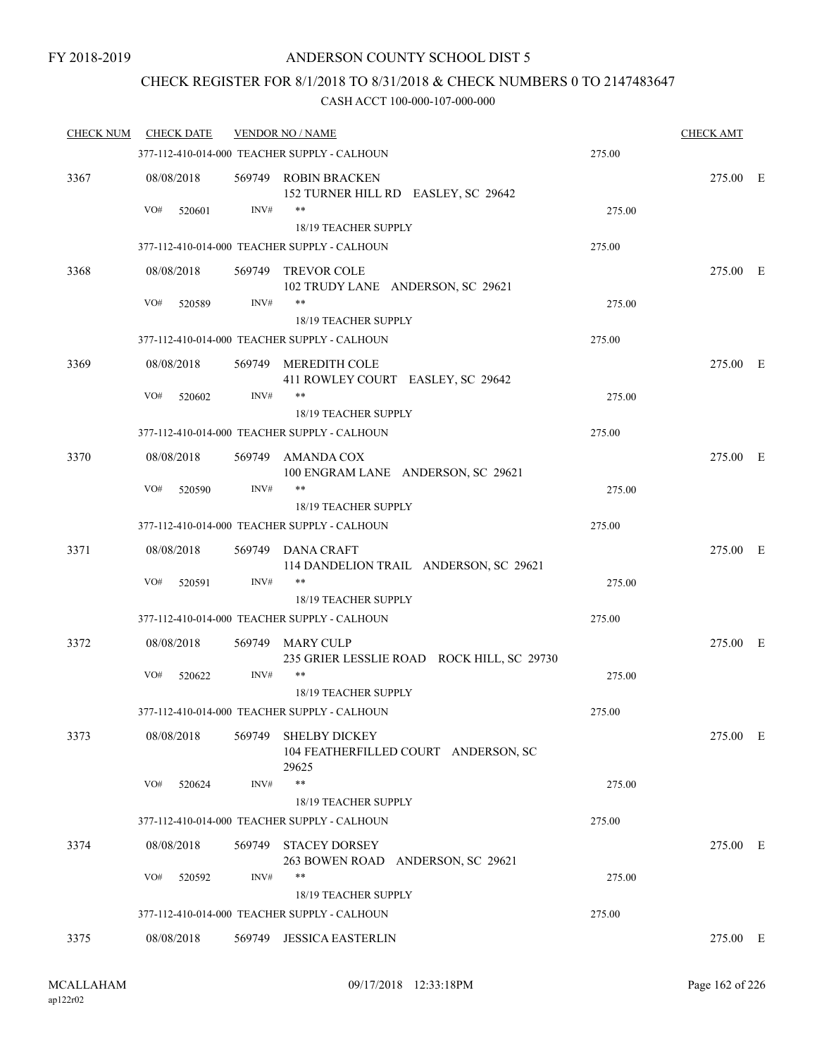## CHECK REGISTER FOR 8/1/2018 TO 8/31/2018 & CHECK NUMBERS 0 TO 2147483647

| <b>CHECK NUM</b> | <b>CHECK DATE</b> |        | <b>VENDOR NO / NAME</b>                                               |        | <b>CHECK AMT</b> |  |
|------------------|-------------------|--------|-----------------------------------------------------------------------|--------|------------------|--|
|                  |                   |        | 377-112-410-014-000 TEACHER SUPPLY - CALHOUN                          | 275.00 |                  |  |
| 3367             | 08/08/2018        |        | 569749 ROBIN BRACKEN<br>152 TURNER HILL RD EASLEY, SC 29642           |        | 275.00 E         |  |
|                  | VO#<br>520601     | INV#   | $***$                                                                 | 275.00 |                  |  |
|                  |                   |        | 18/19 TEACHER SUPPLY                                                  |        |                  |  |
|                  |                   |        | 377-112-410-014-000 TEACHER SUPPLY - CALHOUN                          | 275.00 |                  |  |
| 3368             | 08/08/2018        | 569749 | <b>TREVOR COLE</b><br>102 TRUDY LANE ANDERSON, SC 29621               |        | 275.00 E         |  |
|                  | VO#<br>520589     | INV#   | **<br>18/19 TEACHER SUPPLY                                            | 275.00 |                  |  |
|                  |                   |        | 377-112-410-014-000 TEACHER SUPPLY - CALHOUN                          | 275.00 |                  |  |
| 3369             | 08/08/2018        |        | 569749 MEREDITH COLE<br>411 ROWLEY COURT EASLEY, SC 29642             |        | 275.00 E         |  |
|                  | VO#<br>520602     | INV#   | $***$                                                                 | 275.00 |                  |  |
|                  |                   |        | <b>18/19 TEACHER SUPPLY</b>                                           |        |                  |  |
|                  |                   |        | 377-112-410-014-000 TEACHER SUPPLY - CALHOUN                          | 275.00 |                  |  |
| 3370             | 08/08/2018        | 569749 | AMANDA COX<br>100 ENGRAM LANE ANDERSON, SC 29621                      |        | 275.00 E         |  |
|                  | VO#<br>520590     | INV#   | $***$                                                                 | 275.00 |                  |  |
|                  |                   |        | 18/19 TEACHER SUPPLY                                                  |        |                  |  |
|                  |                   |        | 377-112-410-014-000 TEACHER SUPPLY - CALHOUN                          | 275.00 |                  |  |
| 3371             | 08/08/2018        |        | 569749 DANA CRAFT<br>114 DANDELION TRAIL ANDERSON, SC 29621           |        | 275.00 E         |  |
|                  | VO#<br>520591     | INV#   | $***$<br>18/19 TEACHER SUPPLY                                         | 275.00 |                  |  |
|                  |                   |        | 377-112-410-014-000 TEACHER SUPPLY - CALHOUN                          | 275.00 |                  |  |
| 3372             | 08/08/2018        |        | 569749 MARY CULP<br>235 GRIER LESSLIE ROAD ROCK HILL, SC 29730        |        | 275.00 E         |  |
|                  | VO#<br>520622     | INV#   | $***$                                                                 | 275.00 |                  |  |
|                  |                   |        | 18/19 TEACHER SUPPLY                                                  |        |                  |  |
|                  |                   |        | 377-112-410-014-000 TEACHER SUPPLY - CALHOUN                          | 275.00 |                  |  |
| 3373             | 08/08/2018        | 569749 | <b>SHELBY DICKEY</b><br>104 FEATHERFILLED COURT ANDERSON, SC<br>29625 |        | 275.00 E         |  |
|                  | VO#<br>520624     | INV#   | $***$                                                                 | 275.00 |                  |  |
|                  |                   |        | 18/19 TEACHER SUPPLY                                                  |        |                  |  |
|                  |                   |        | 377-112-410-014-000 TEACHER SUPPLY - CALHOUN                          | 275.00 |                  |  |
| 3374             | 08/08/2018        |        | 569749 STACEY DORSEY<br>263 BOWEN ROAD ANDERSON, SC 29621             |        | 275.00 E         |  |
|                  | VO#<br>520592     | INV#   | $***$                                                                 | 275.00 |                  |  |
|                  |                   |        | 18/19 TEACHER SUPPLY                                                  |        |                  |  |
|                  |                   |        | 377-112-410-014-000 TEACHER SUPPLY - CALHOUN                          | 275.00 |                  |  |
| 3375             | 08/08/2018        | 569749 | <b>JESSICA EASTERLIN</b>                                              |        | 275.00 E         |  |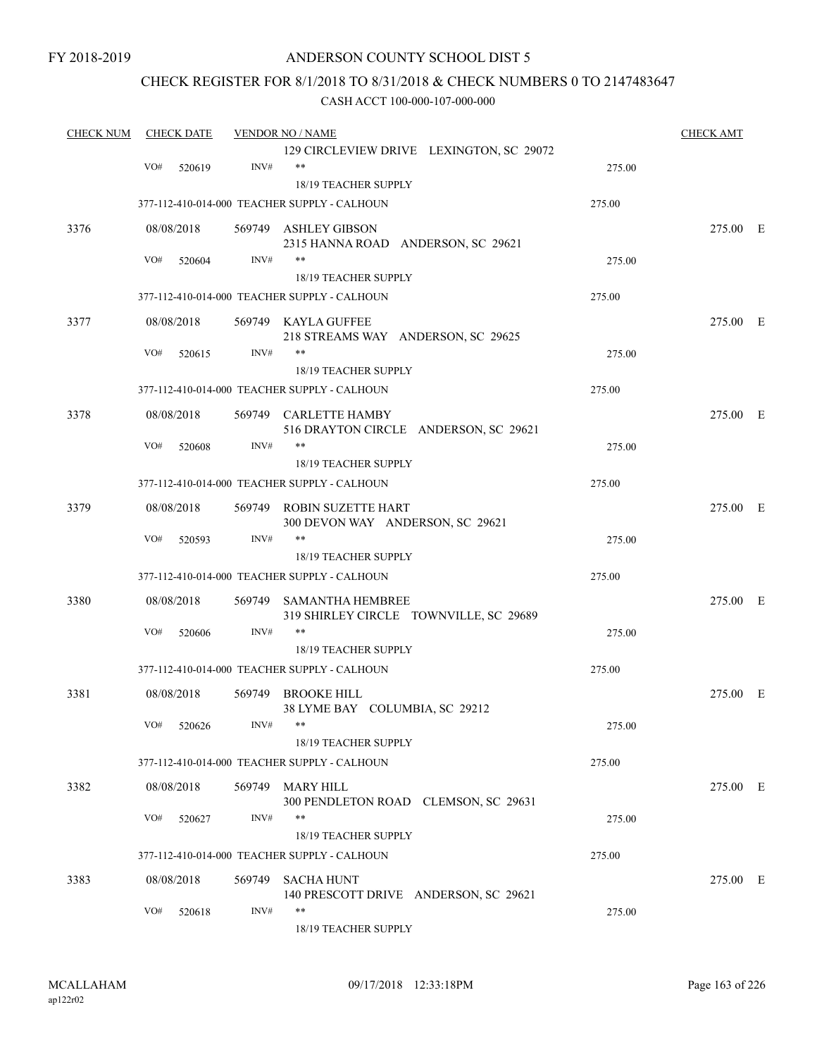### CHECK REGISTER FOR 8/1/2018 TO 8/31/2018 & CHECK NUMBERS 0 TO 2147483647

| <b>CHECK NUM</b> | <b>CHECK DATE</b> |        | <b>VENDOR NO / NAME</b>                                        |        | <b>CHECK AMT</b> |  |
|------------------|-------------------|--------|----------------------------------------------------------------|--------|------------------|--|
|                  | VO#<br>520619     | INV#   | 129 CIRCLEVIEW DRIVE LEXINGTON, SC 29072<br>$***$              | 275.00 |                  |  |
|                  |                   |        | 18/19 TEACHER SUPPLY                                           |        |                  |  |
|                  |                   |        | 377-112-410-014-000 TEACHER SUPPLY - CALHOUN                   | 275.00 |                  |  |
| 3376             | 08/08/2018        |        | 569749 ASHLEY GIBSON<br>2315 HANNA ROAD ANDERSON, SC 29621     |        | 275.00 E         |  |
|                  | VO#<br>520604     | INV#   | **                                                             | 275.00 |                  |  |
|                  |                   |        | 18/19 TEACHER SUPPLY                                           |        |                  |  |
|                  |                   |        | 377-112-410-014-000 TEACHER SUPPLY - CALHOUN                   | 275.00 |                  |  |
| 3377             | 08/08/2018        |        | 569749 KAYLA GUFFEE<br>218 STREAMS WAY ANDERSON, SC 29625      |        | 275.00 E         |  |
|                  | VO#<br>520615     | INV#   | **                                                             | 275.00 |                  |  |
|                  |                   |        | 18/19 TEACHER SUPPLY                                           |        |                  |  |
|                  |                   |        | 377-112-410-014-000 TEACHER SUPPLY - CALHOUN                   | 275.00 |                  |  |
| 3378             | 08/08/2018        |        | 569749 CARLETTE HAMBY<br>516 DRAYTON CIRCLE ANDERSON, SC 29621 |        | 275.00 E         |  |
|                  | VO#<br>520608     | INV#   | **                                                             | 275.00 |                  |  |
|                  |                   |        | 18/19 TEACHER SUPPLY                                           |        |                  |  |
|                  |                   |        | 377-112-410-014-000 TEACHER SUPPLY - CALHOUN                   | 275.00 |                  |  |
| 3379             | 08/08/2018        |        | 569749 ROBIN SUZETTE HART<br>300 DEVON WAY ANDERSON, SC 29621  |        | 275.00 E         |  |
|                  | VO#<br>520593     | INV#   | **                                                             | 275.00 |                  |  |
|                  |                   |        | 18/19 TEACHER SUPPLY                                           |        |                  |  |
|                  |                   |        | 377-112-410-014-000 TEACHER SUPPLY - CALHOUN                   | 275.00 |                  |  |
| 3380             | 08/08/2018        | 569749 | SAMANTHA HEMBREE<br>319 SHIRLEY CIRCLE TOWNVILLE, SC 29689     |        | 275.00 E         |  |
|                  | VO#<br>520606     | INV#   | **                                                             | 275.00 |                  |  |
|                  |                   |        | <b>18/19 TEACHER SUPPLY</b>                                    |        |                  |  |
|                  |                   |        | 377-112-410-014-000 TEACHER SUPPLY - CALHOUN                   | 275.00 |                  |  |
| 3381             | 08/08/2018        |        | 569749 BROOKE HILL<br>38 LYME BAY COLUMBIA, SC 29212           |        | 275.00 E         |  |
|                  | VO# 520626        | INV#   | **<br>18/19 TEACHER SUPPLY                                     | 275.00 |                  |  |
|                  |                   |        | 377-112-410-014-000 TEACHER SUPPLY - CALHOUN                   | 275.00 |                  |  |
| 3382             | 08/08/2018        |        | 569749 MARY HILL                                               |        | 275.00 E         |  |
|                  |                   |        | 300 PENDLETON ROAD CLEMSON, SC 29631                           |        |                  |  |
|                  | VO#<br>520627     | INV#   | **                                                             | 275.00 |                  |  |
|                  |                   |        | 18/19 TEACHER SUPPLY                                           |        |                  |  |
|                  |                   |        | 377-112-410-014-000 TEACHER SUPPLY - CALHOUN                   | 275.00 |                  |  |
| 3383             | 08/08/2018        |        | 569749 SACHA HUNT<br>140 PRESCOTT DRIVE ANDERSON, SC 29621     |        | 275.00 E         |  |
|                  | VO#<br>520618     | INV#   | **<br>18/19 TEACHER SUPPLY                                     | 275.00 |                  |  |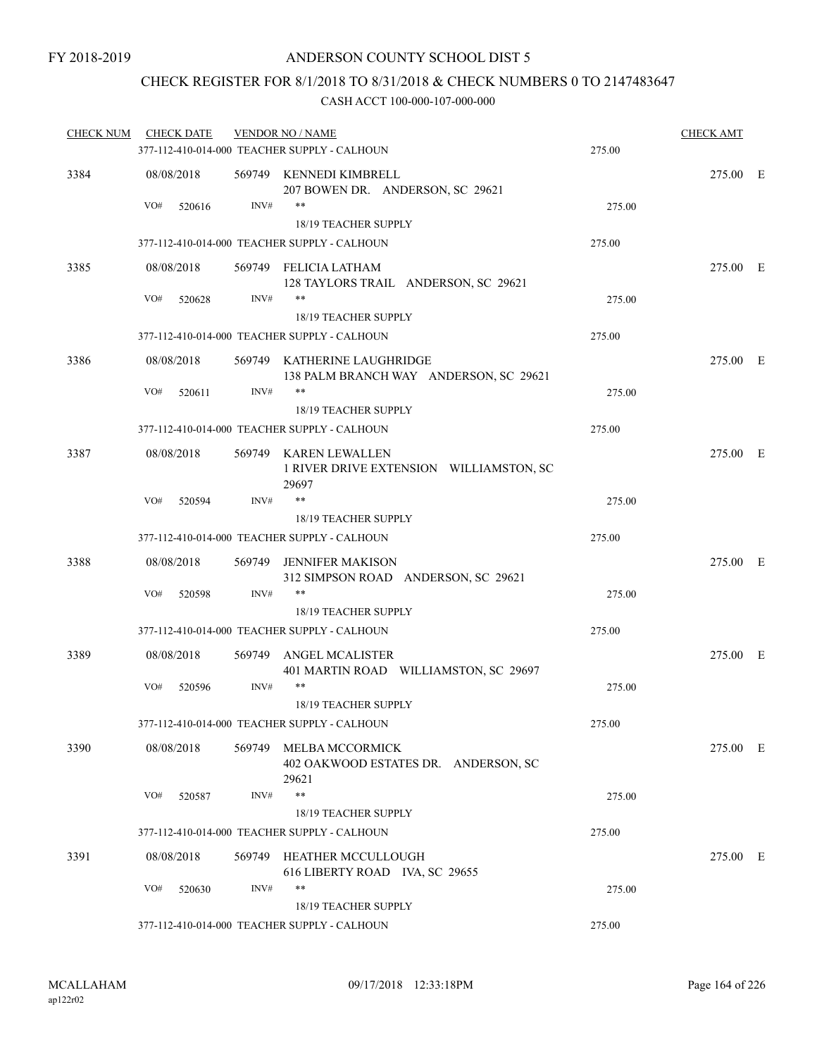### CHECK REGISTER FOR 8/1/2018 TO 8/31/2018 & CHECK NUMBERS 0 TO 2147483647

| <b>CHECK NUM</b> | <b>CHECK DATE</b> |      | <b>VENDOR NO / NAME</b>                                                   |        | <b>CHECK AMT</b> |  |
|------------------|-------------------|------|---------------------------------------------------------------------------|--------|------------------|--|
|                  |                   |      | 377-112-410-014-000 TEACHER SUPPLY - CALHOUN                              | 275.00 |                  |  |
| 3384             | 08/08/2018        |      | 569749 KENNEDI KIMBRELL<br>207 BOWEN DR. ANDERSON, SC 29621               |        | 275.00 E         |  |
|                  | VO#<br>520616     | INV# | **<br>18/19 TEACHER SUPPLY                                                | 275.00 |                  |  |
|                  |                   |      | 377-112-410-014-000 TEACHER SUPPLY - CALHOUN                              | 275.00 |                  |  |
|                  |                   |      |                                                                           |        |                  |  |
| 3385             | 08/08/2018        |      | 569749 FELICIA LATHAM<br>128 TAYLORS TRAIL ANDERSON, SC 29621             |        | 275.00 E         |  |
|                  | VO#<br>520628     | INV# | **<br>18/19 TEACHER SUPPLY                                                | 275.00 |                  |  |
|                  |                   |      | 377-112-410-014-000 TEACHER SUPPLY - CALHOUN                              | 275.00 |                  |  |
| 3386             | 08/08/2018        |      | 569749 KATHERINE LAUGHRIDGE<br>138 PALM BRANCH WAY ANDERSON, SC 29621     |        | 275.00 E         |  |
|                  | VO#<br>520611     | INV# | **                                                                        | 275.00 |                  |  |
|                  |                   |      | 18/19 TEACHER SUPPLY                                                      |        |                  |  |
|                  |                   |      | 377-112-410-014-000 TEACHER SUPPLY - CALHOUN                              | 275.00 |                  |  |
| 3387             | 08/08/2018        |      | 569749 KAREN LEWALLEN<br>1 RIVER DRIVE EXTENSION WILLIAMSTON, SC<br>29697 |        | 275.00 E         |  |
|                  | VO#<br>520594     | INV# | $***$                                                                     | 275.00 |                  |  |
|                  |                   |      | 18/19 TEACHER SUPPLY                                                      |        |                  |  |
|                  |                   |      | 377-112-410-014-000 TEACHER SUPPLY - CALHOUN                              | 275.00 |                  |  |
| 3388             | 08/08/2018        |      | 569749 JENNIFER MAKISON<br>312 SIMPSON ROAD ANDERSON, SC 29621            |        | 275.00 E         |  |
|                  | VO#<br>520598     | INV# | **                                                                        | 275.00 |                  |  |
|                  |                   |      | 18/19 TEACHER SUPPLY                                                      |        |                  |  |
|                  |                   |      | 377-112-410-014-000 TEACHER SUPPLY - CALHOUN                              | 275.00 |                  |  |
| 3389             | 08/08/2018        |      | 569749 ANGEL MCALISTER<br>401 MARTIN ROAD WILLIAMSTON, SC 29697           |        | 275.00 E         |  |
|                  | VO#<br>520596     | INV# | **                                                                        | 275.00 |                  |  |
|                  |                   |      | <b>18/19 TEACHER SUPPLY</b>                                               |        |                  |  |
|                  |                   |      | 377-112-410-014-000 TEACHER SUPPLY - CALHOUN                              | 275.00 |                  |  |
| 3390             | 08/08/2018        |      | 569749 MELBA MCCORMICK<br>402 OAKWOOD ESTATES DR. ANDERSON, SC            |        | 275.00 E         |  |
|                  | VO#<br>520587     | INV# | 29621<br>**                                                               | 275.00 |                  |  |
|                  |                   |      | 18/19 TEACHER SUPPLY                                                      |        |                  |  |
|                  |                   |      | 377-112-410-014-000 TEACHER SUPPLY - CALHOUN                              | 275.00 |                  |  |
| 3391             | 08/08/2018        |      | 569749 HEATHER MCCULLOUGH<br>616 LIBERTY ROAD IVA, SC 29655               |        | 275.00 E         |  |
|                  | VO#<br>520630     | INV# | **<br>18/19 TEACHER SUPPLY                                                | 275.00 |                  |  |
|                  |                   |      | 377-112-410-014-000 TEACHER SUPPLY - CALHOUN                              | 275.00 |                  |  |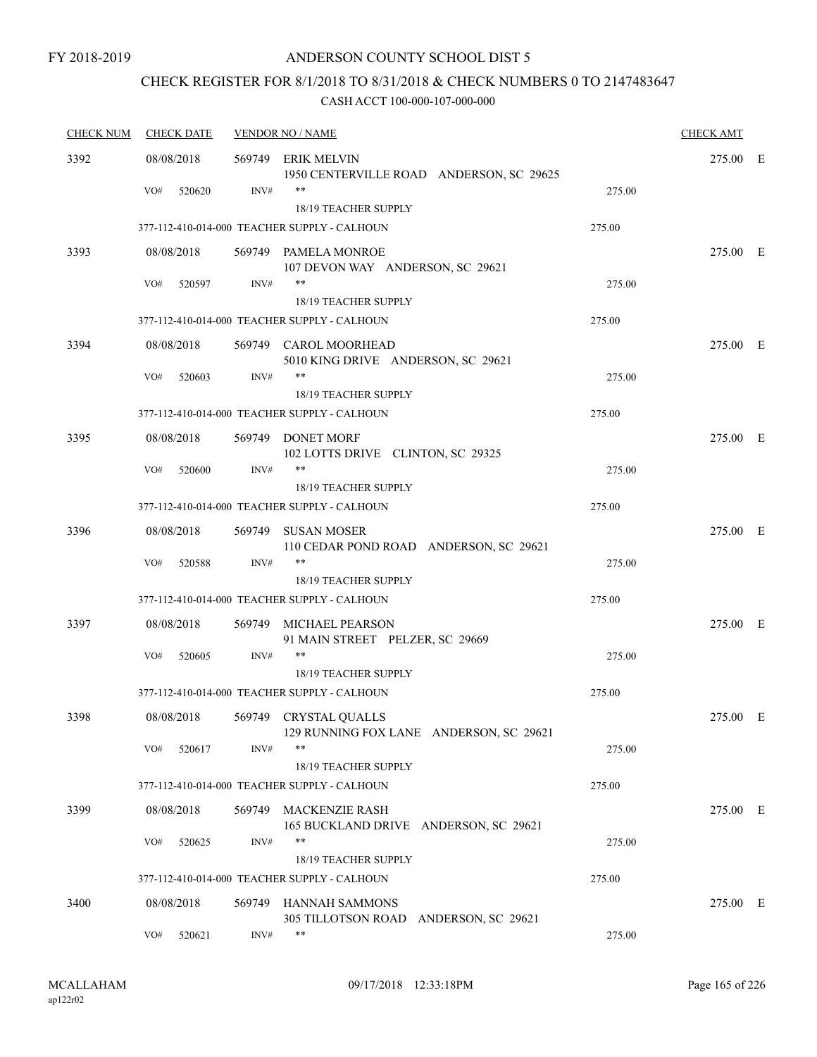## CHECK REGISTER FOR 8/1/2018 TO 8/31/2018 & CHECK NUMBERS 0 TO 2147483647

| <b>CHECK NUM</b> | <b>CHECK DATE</b> | <b>VENDOR NO / NAME</b> |                                                                  |        |          |  |
|------------------|-------------------|-------------------------|------------------------------------------------------------------|--------|----------|--|
| 3392             | 08/08/2018        | 569749                  | ERIK MELVIN<br>1950 CENTERVILLE ROAD ANDERSON, SC 29625          |        | 275.00 E |  |
|                  | VO#<br>520620     | INV#                    | $***$<br>18/19 TEACHER SUPPLY                                    | 275.00 |          |  |
|                  |                   |                         | 377-112-410-014-000 TEACHER SUPPLY - CALHOUN                     | 275.00 |          |  |
| 3393             | 08/08/2018        |                         | 569749 PAMELA MONROE<br>107 DEVON WAY ANDERSON, SC 29621         |        | 275.00 E |  |
|                  | VO#<br>520597     | INV#                    | $***$<br>18/19 TEACHER SUPPLY                                    | 275.00 |          |  |
|                  |                   |                         | 377-112-410-014-000 TEACHER SUPPLY - CALHOUN                     | 275.00 |          |  |
| 3394             | 08/08/2018        |                         | 569749 CAROL MOORHEAD<br>5010 KING DRIVE ANDERSON, SC 29621      |        | 275.00 E |  |
|                  | VO#<br>520603     | INV#                    | $***$<br>18/19 TEACHER SUPPLY                                    | 275.00 |          |  |
|                  |                   |                         | 377-112-410-014-000 TEACHER SUPPLY - CALHOUN                     | 275.00 |          |  |
| 3395             | 08/08/2018        |                         | 569749 DONET MORF<br>102 LOTTS DRIVE CLINTON, SC 29325           |        | 275.00 E |  |
|                  | VO#<br>520600     | INV#                    | $***$<br>18/19 TEACHER SUPPLY                                    | 275.00 |          |  |
|                  |                   |                         | 377-112-410-014-000 TEACHER SUPPLY - CALHOUN                     | 275.00 |          |  |
| 3396             | 08/08/2018        | 569749                  | <b>SUSAN MOSER</b><br>110 CEDAR POND ROAD ANDERSON, SC 29621     |        | 275.00 E |  |
|                  | VO#<br>520588     | INV#                    | $***$<br>18/19 TEACHER SUPPLY                                    | 275.00 |          |  |
|                  |                   |                         | 377-112-410-014-000 TEACHER SUPPLY - CALHOUN                     | 275.00 |          |  |
| 3397             | 08/08/2018        |                         | 569749 MICHAEL PEARSON<br>91 MAIN STREET PELZER, SC 29669        |        | 275.00 E |  |
|                  | VO#<br>520605     | INV#                    | **<br><b>18/19 TEACHER SUPPLY</b>                                | 275.00 |          |  |
|                  |                   |                         | 377-112-410-014-000 TEACHER SUPPLY - CALHOUN                     | 275.00 |          |  |
| 3398             | 08/08/2018        |                         | 569749 CRYSTAL QUALLS<br>129 RUNNING FOX LANE ANDERSON, SC 29621 |        | 275.00 E |  |
|                  | VO#<br>520617     | INV#                    | $***$<br>18/19 TEACHER SUPPLY                                    | 275.00 |          |  |
|                  |                   |                         | 377-112-410-014-000 TEACHER SUPPLY - CALHOUN                     | 275.00 |          |  |
| 3399             | 08/08/2018        | 569749                  | <b>MACKENZIE RASH</b><br>165 BUCKLAND DRIVE ANDERSON, SC 29621   |        | 275.00 E |  |
|                  | VO#<br>520625     | INV#                    | **<br>18/19 TEACHER SUPPLY                                       | 275.00 |          |  |
|                  |                   |                         | 377-112-410-014-000 TEACHER SUPPLY - CALHOUN                     | 275.00 |          |  |
| 3400             | 08/08/2018        | 569749                  | <b>HANNAH SAMMONS</b><br>305 TILLOTSON ROAD ANDERSON, SC 29621   |        | 275.00 E |  |
|                  | VO#<br>520621     | INV#                    | **                                                               | 275.00 |          |  |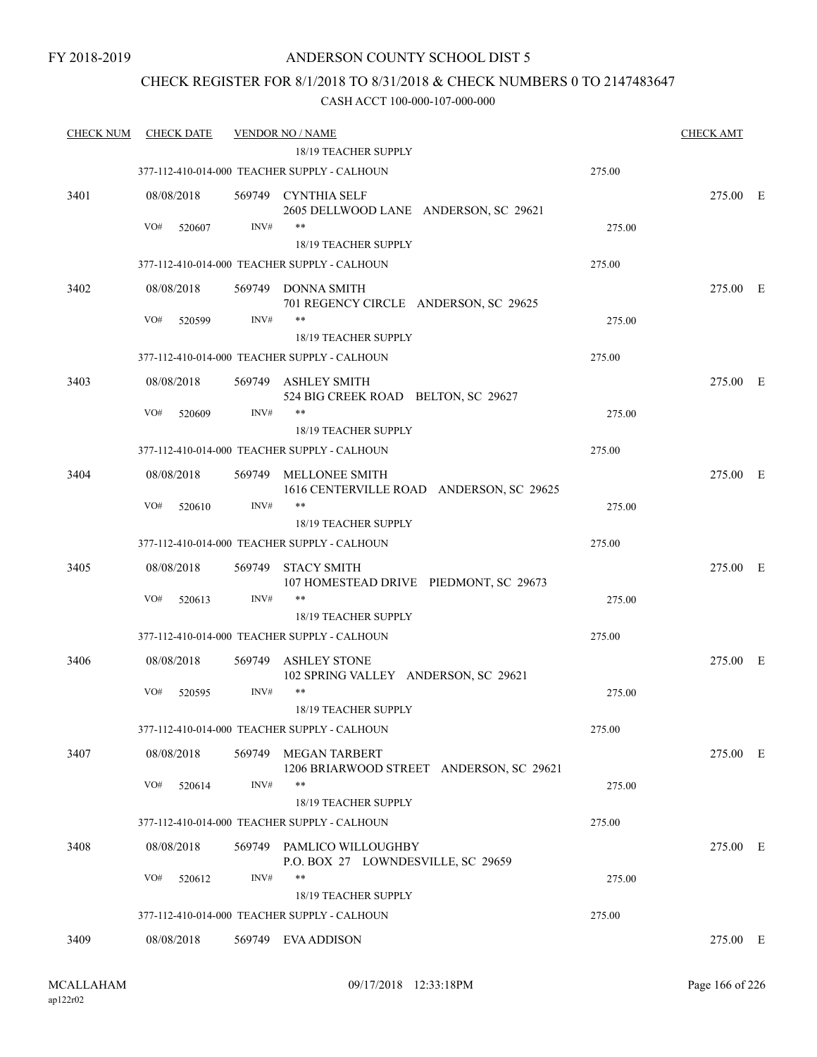#### FY 2018-2019

### ANDERSON COUNTY SCHOOL DIST 5

### CHECK REGISTER FOR 8/1/2018 TO 8/31/2018 & CHECK NUMBERS 0 TO 2147483647

| <u>CHECK NUM</u> | <b>CHECK DATE</b>           |                | <b>VENDOR NO / NAME</b>                                              |        | <b>CHECK AMT</b> |  |
|------------------|-----------------------------|----------------|----------------------------------------------------------------------|--------|------------------|--|
|                  |                             |                | <b>18/19 TEACHER SUPPLY</b>                                          |        |                  |  |
|                  |                             |                | 377-112-410-014-000 TEACHER SUPPLY - CALHOUN                         | 275.00 |                  |  |
| 3401             | 08/08/2018<br>VO#<br>520607 | 569749<br>INV# | CYNTHIA SELF<br>2605 DELLWOOD LANE ANDERSON, SC 29621<br>$***$       | 275.00 | 275.00 E         |  |
|                  |                             |                | 18/19 TEACHER SUPPLY                                                 |        |                  |  |
|                  |                             |                | 377-112-410-014-000 TEACHER SUPPLY - CALHOUN                         | 275.00 |                  |  |
|                  |                             |                |                                                                      |        |                  |  |
| 3402             | 08/08/2018                  |                | 569749 DONNA SMITH<br>701 REGENCY CIRCLE ANDERSON, SC 29625          |        | 275.00 E         |  |
|                  | VO#<br>520599               | INV#           | $***$                                                                | 275.00 |                  |  |
|                  |                             |                | <b>18/19 TEACHER SUPPLY</b>                                          |        |                  |  |
|                  |                             |                | 377-112-410-014-000 TEACHER SUPPLY - CALHOUN                         | 275.00 |                  |  |
| 3403             | 08/08/2018                  |                | 569749 ASHLEY SMITH<br>524 BIG CREEK ROAD BELTON, SC 29627           |        | 275.00 E         |  |
|                  | VO#<br>520609               | INV#           | <b>18/19 TEACHER SUPPLY</b>                                          | 275.00 |                  |  |
|                  |                             |                | 377-112-410-014-000 TEACHER SUPPLY - CALHOUN                         | 275.00 |                  |  |
| 3404             | 08/08/2018                  |                | 569749 MELLONEE SMITH<br>1616 CENTERVILLE ROAD ANDERSON, SC 29625    |        | 275.00 E         |  |
|                  | VO#<br>520610               | INV#           | $***$<br>18/19 TEACHER SUPPLY                                        | 275.00 |                  |  |
|                  |                             |                |                                                                      |        |                  |  |
|                  |                             |                | 377-112-410-014-000 TEACHER SUPPLY - CALHOUN                         | 275.00 |                  |  |
| 3405             | 08/08/2018                  | 569749         | <b>STACY SMITH</b><br>107 HOMESTEAD DRIVE PIEDMONT, SC 29673         |        | 275.00 E         |  |
|                  | VO#<br>520613               | INV#           | **                                                                   | 275.00 |                  |  |
|                  |                             |                | 18/19 TEACHER SUPPLY                                                 |        |                  |  |
|                  |                             |                | 377-112-410-014-000 TEACHER SUPPLY - CALHOUN                         | 275.00 |                  |  |
| 3406             | 08/08/2018                  | 569749         | <b>ASHLEY STONE</b><br>102 SPRING VALLEY ANDERSON, SC 29621          |        | 275.00 E         |  |
|                  | VO#<br>520595               | INV#           | $***$<br>18/19 TEACHER SUPPLY                                        | 275.00 |                  |  |
|                  |                             |                | 377-112-410-014-000 TEACHER SUPPLY - CALHOUN                         | 275.00 |                  |  |
|                  |                             |                |                                                                      |        |                  |  |
| 3407             | 08/08/2018                  | 569749         | MEGAN TARBERT<br>1206 BRIARWOOD STREET ANDERSON, SC 29621<br>**      |        | 275.00 E         |  |
|                  | VO#<br>520614               | INV#           |                                                                      | 275.00 |                  |  |
|                  |                             |                | 18/19 TEACHER SUPPLY<br>377-112-410-014-000 TEACHER SUPPLY - CALHOUN | 275.00 |                  |  |
|                  |                             |                |                                                                      |        |                  |  |
| 3408             | 08/08/2018                  |                | 569749 PAMLICO WILLOUGHBY<br>P.O. BOX 27 LOWNDESVILLE, SC 29659      |        | 275.00 E         |  |
|                  | VO#<br>520612               | INV#           | **                                                                   | 275.00 |                  |  |
|                  |                             |                | 18/19 TEACHER SUPPLY                                                 |        |                  |  |
|                  |                             |                | 377-112-410-014-000 TEACHER SUPPLY - CALHOUN                         | 275.00 |                  |  |
| 3409             | 08/08/2018                  |                | 569749 EVA ADDISON                                                   |        | 275.00 E         |  |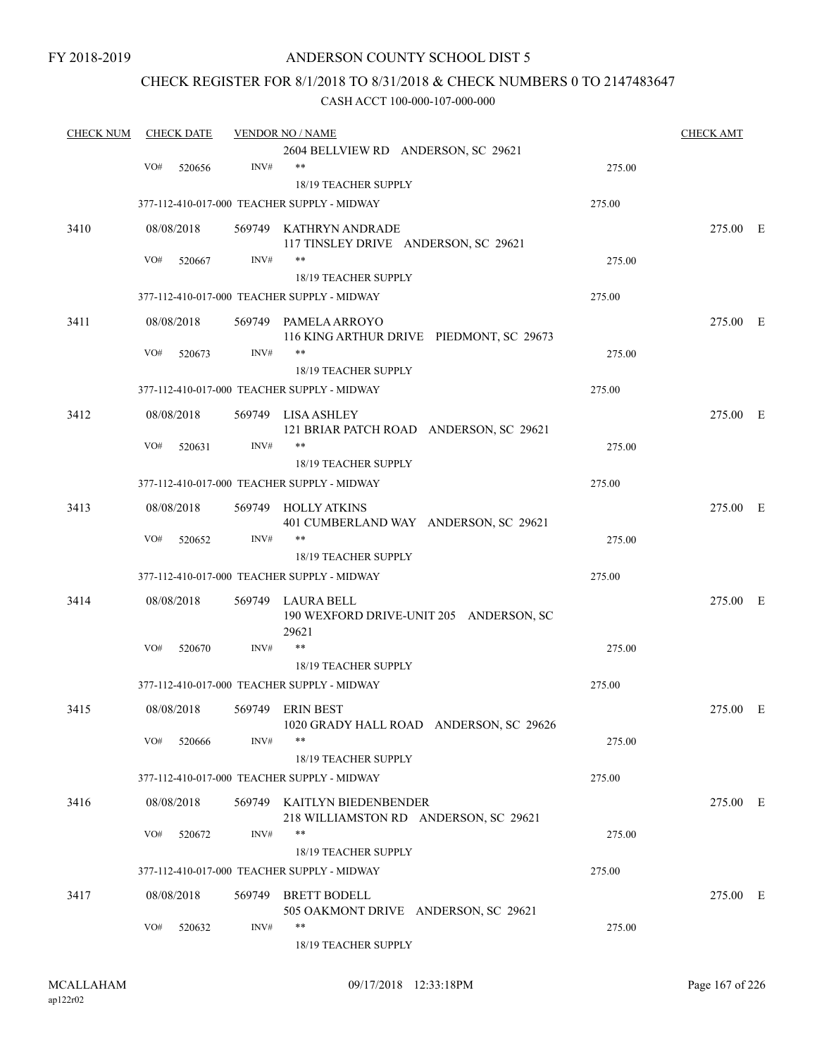FY 2018-2019

### ANDERSON COUNTY SCHOOL DIST 5

### CHECK REGISTER FOR 8/1/2018 TO 8/31/2018 & CHECK NUMBERS 0 TO 2147483647

| <b>CHECK NUM</b><br><b>CHECK DATE</b> |     |            |      | <b>VENDOR NO / NAME</b>                     |        | <b>CHECK AMT</b> |  |
|---------------------------------------|-----|------------|------|---------------------------------------------|--------|------------------|--|
|                                       |     |            |      | 2604 BELLVIEW RD ANDERSON, SC 29621         |        |                  |  |
|                                       | VO# | 520656     | INV# | $***$                                       | 275.00 |                  |  |
|                                       |     |            |      | 18/19 TEACHER SUPPLY                        |        |                  |  |
|                                       |     |            |      | 377-112-410-017-000 TEACHER SUPPLY - MIDWAY | 275.00 |                  |  |
| 3410                                  |     | 08/08/2018 |      | 569749 KATHRYN ANDRADE                      |        | 275.00 E         |  |
|                                       |     |            |      | 117 TINSLEY DRIVE ANDERSON, SC 29621        |        |                  |  |
|                                       | VO# | 520667     | INV# | $***$                                       | 275.00 |                  |  |
|                                       |     |            |      | 18/19 TEACHER SUPPLY                        |        |                  |  |
|                                       |     |            |      | 377-112-410-017-000 TEACHER SUPPLY - MIDWAY | 275.00 |                  |  |
| 3411                                  |     | 08/08/2018 |      | 569749 PAMELA ARROYO                        |        | 275.00 E         |  |
|                                       |     |            |      | 116 KING ARTHUR DRIVE PIEDMONT, SC 29673    |        |                  |  |
|                                       | VO# | 520673     | INV# | **                                          | 275.00 |                  |  |
|                                       |     |            |      | 18/19 TEACHER SUPPLY                        |        |                  |  |
|                                       |     |            |      | 377-112-410-017-000 TEACHER SUPPLY - MIDWAY | 275.00 |                  |  |
| 3412                                  |     | 08/08/2018 |      | 569749 LISA ASHLEY                          |        | 275.00 E         |  |
|                                       |     |            |      | 121 BRIAR PATCH ROAD ANDERSON, SC 29621     |        |                  |  |
|                                       | VO# | 520631     | INV# | $***$                                       | 275.00 |                  |  |
|                                       |     |            |      | <b>18/19 TEACHER SUPPLY</b>                 |        |                  |  |
|                                       |     |            |      | 377-112-410-017-000 TEACHER SUPPLY - MIDWAY | 275.00 |                  |  |
| 3413                                  |     | 08/08/2018 |      | 569749 HOLLY ATKINS                         |        | 275.00 E         |  |
|                                       |     |            |      | 401 CUMBERLAND WAY ANDERSON, SC 29621       |        |                  |  |
|                                       | VO# | 520652     | INV# | $***$                                       | 275.00 |                  |  |
|                                       |     |            |      | 18/19 TEACHER SUPPLY                        |        |                  |  |
|                                       |     |            |      | 377-112-410-017-000 TEACHER SUPPLY - MIDWAY | 275.00 |                  |  |
| 3414                                  |     | 08/08/2018 |      | 569749 LAURA BELL                           |        | 275.00 E         |  |
|                                       |     |            |      | 190 WEXFORD DRIVE-UNIT 205 ANDERSON, SC     |        |                  |  |
|                                       |     |            |      | 29621                                       |        |                  |  |
|                                       | VO# | 520670     | INV# | $\ast\ast$                                  | 275.00 |                  |  |
|                                       |     |            |      | 18/19 TEACHER SUPPLY                        |        |                  |  |
|                                       |     |            |      | 377-112-410-017-000 TEACHER SUPPLY - MIDWAY | 275.00 |                  |  |
| 3415                                  |     | 08/08/2018 |      | 569749 ERIN BEST                            |        | 275.00 E         |  |
|                                       |     |            |      | 1020 GRADY HALL ROAD ANDERSON, SC 29626     |        |                  |  |
|                                       | VO# | 520666     | INV# | **                                          | 275.00 |                  |  |
|                                       |     |            |      | 18/19 TEACHER SUPPLY                        |        |                  |  |
|                                       |     |            |      | 377-112-410-017-000 TEACHER SUPPLY - MIDWAY | 275.00 |                  |  |
| 3416                                  |     | 08/08/2018 |      | 569749 KAITLYN BIEDENBENDER                 |        | 275.00 E         |  |
|                                       |     |            |      | 218 WILLIAMSTON RD ANDERSON, SC 29621       |        |                  |  |
|                                       | VO# | 520672     | INV# | $***$                                       | 275.00 |                  |  |
|                                       |     |            |      | 18/19 TEACHER SUPPLY                        |        |                  |  |
|                                       |     |            |      | 377-112-410-017-000 TEACHER SUPPLY - MIDWAY | 275.00 |                  |  |
| 3417                                  |     | 08/08/2018 |      | 569749 BRETT BODELL                         |        | 275.00 E         |  |
|                                       |     |            |      | 505 OAKMONT DRIVE ANDERSON, SC 29621        |        |                  |  |
|                                       | VO# | 520632     | INV# | $***$                                       | 275.00 |                  |  |
|                                       |     |            |      | 18/19 TEACHER SUPPLY                        |        |                  |  |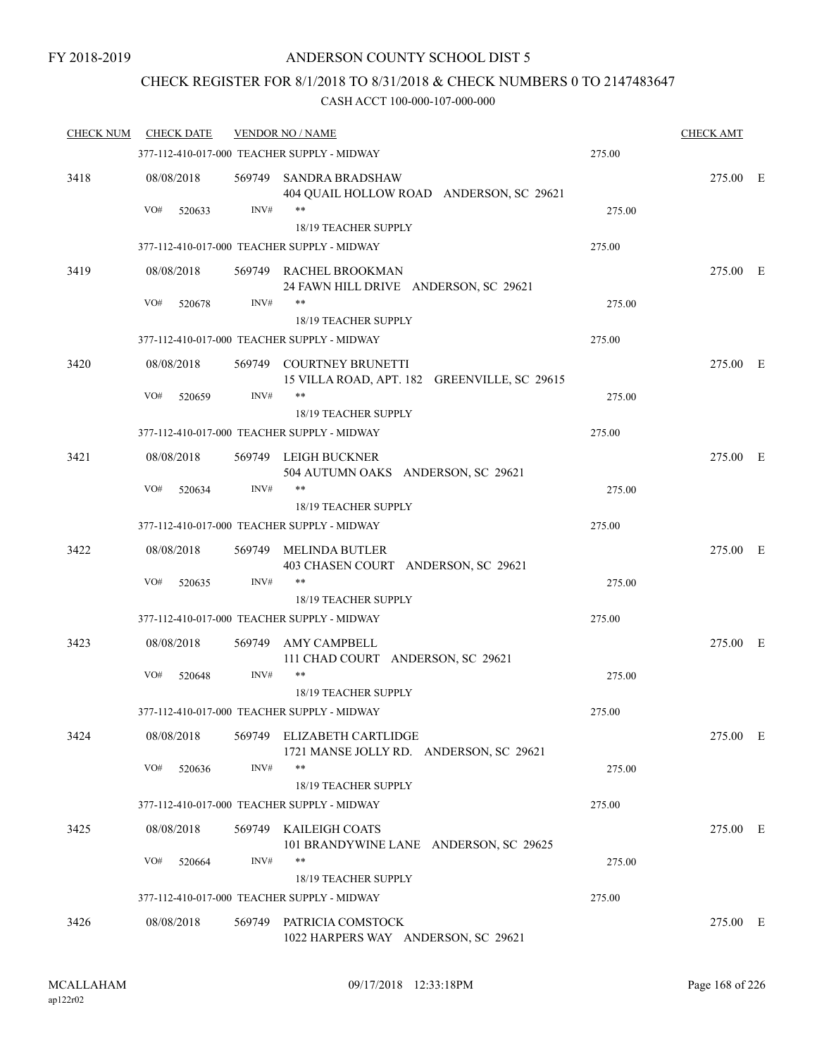## CHECK REGISTER FOR 8/1/2018 TO 8/31/2018 & CHECK NUMBERS 0 TO 2147483647

| <b>CHECK NUM</b> | <b>CHECK DATE</b> |        | <b>VENDOR NO / NAME</b>                                                  |        | <b>CHECK AMT</b> |  |
|------------------|-------------------|--------|--------------------------------------------------------------------------|--------|------------------|--|
|                  |                   |        | 377-112-410-017-000 TEACHER SUPPLY - MIDWAY                              | 275.00 |                  |  |
| 3418             | 08/08/2018        | 569749 | SANDRA BRADSHAW<br>404 QUAIL HOLLOW ROAD ANDERSON, SC 29621              |        | 275.00 E         |  |
|                  | VO#<br>520633     | INV#   | $***$<br>18/19 TEACHER SUPPLY                                            | 275.00 |                  |  |
|                  |                   |        | 377-112-410-017-000 TEACHER SUPPLY - MIDWAY                              | 275.00 |                  |  |
| 3419             | 08/08/2018        |        | 569749 RACHEL BROOKMAN                                                   |        | 275.00 E         |  |
|                  |                   |        | 24 FAWN HILL DRIVE ANDERSON, SC 29621                                    |        |                  |  |
|                  | VO#<br>520678     | INV#   | $***$<br>18/19 TEACHER SUPPLY                                            | 275.00 |                  |  |
|                  |                   |        | 377-112-410-017-000 TEACHER SUPPLY - MIDWAY                              | 275.00 |                  |  |
| 3420             | 08/08/2018        |        | 569749 COURTNEY BRUNETTI<br>15 VILLA ROAD, APT. 182 GREENVILLE, SC 29615 |        | 275.00 E         |  |
|                  | VO#<br>520659     | INV#   | $***$                                                                    | 275.00 |                  |  |
|                  |                   |        | 18/19 TEACHER SUPPLY                                                     |        |                  |  |
|                  |                   |        | 377-112-410-017-000 TEACHER SUPPLY - MIDWAY                              | 275.00 |                  |  |
| 3421             | 08/08/2018        |        | 569749 LEIGH BUCKNER                                                     |        | 275.00 E         |  |
|                  | VO#<br>520634     | INV#   | 504 AUTUMN OAKS ANDERSON, SC 29621                                       | 275.00 |                  |  |
|                  |                   |        | <b>18/19 TEACHER SUPPLY</b>                                              |        |                  |  |
|                  |                   |        | 377-112-410-017-000 TEACHER SUPPLY - MIDWAY                              | 275.00 |                  |  |
| 3422             | 08/08/2018        |        | 569749 MELINDA BUTLER<br>403 CHASEN COURT ANDERSON, SC 29621             |        | 275.00 E         |  |
|                  | VO#<br>520635     | INV#   | $***$<br>18/19 TEACHER SUPPLY                                            | 275.00 |                  |  |
|                  |                   |        | 377-112-410-017-000 TEACHER SUPPLY - MIDWAY                              | 275.00 |                  |  |
| 3423             | 08/08/2018        | 569749 | AMY CAMPBELL<br>111 CHAD COURT ANDERSON, SC 29621                        |        | 275.00 E         |  |
|                  | VO#<br>520648     | INV#   | $***$                                                                    | 275.00 |                  |  |
|                  |                   |        | <b>18/19 TEACHER SUPPLY</b>                                              |        |                  |  |
|                  |                   |        | 377-112-410-017-000 TEACHER SUPPLY - MIDWAY                              | 275.00 |                  |  |
| 3424             | 08/08/2018        |        | 569749 ELIZABETH CARTLIDGE<br>1721 MANSE JOLLY RD. ANDERSON, SC 29621    |        | 275.00 E         |  |
|                  | VO#<br>520636     | INV#   | $***$<br>18/19 TEACHER SUPPLY                                            | 275.00 |                  |  |
|                  |                   |        | 377-112-410-017-000 TEACHER SUPPLY - MIDWAY                              | 275.00 |                  |  |
| 3425             | 08/08/2018        |        | 569749 KAILEIGH COATS<br>101 BRANDYWINE LANE ANDERSON, SC 29625          |        | 275.00 E         |  |
|                  | VO#<br>520664     | INV#   | $***$                                                                    | 275.00 |                  |  |
|                  |                   |        | 18/19 TEACHER SUPPLY                                                     |        |                  |  |
|                  |                   |        | 377-112-410-017-000 TEACHER SUPPLY - MIDWAY                              | 275.00 |                  |  |
| 3426             | 08/08/2018        |        | 569749 PATRICIA COMSTOCK<br>1022 HARPERS WAY ANDERSON, SC 29621          |        | 275.00 E         |  |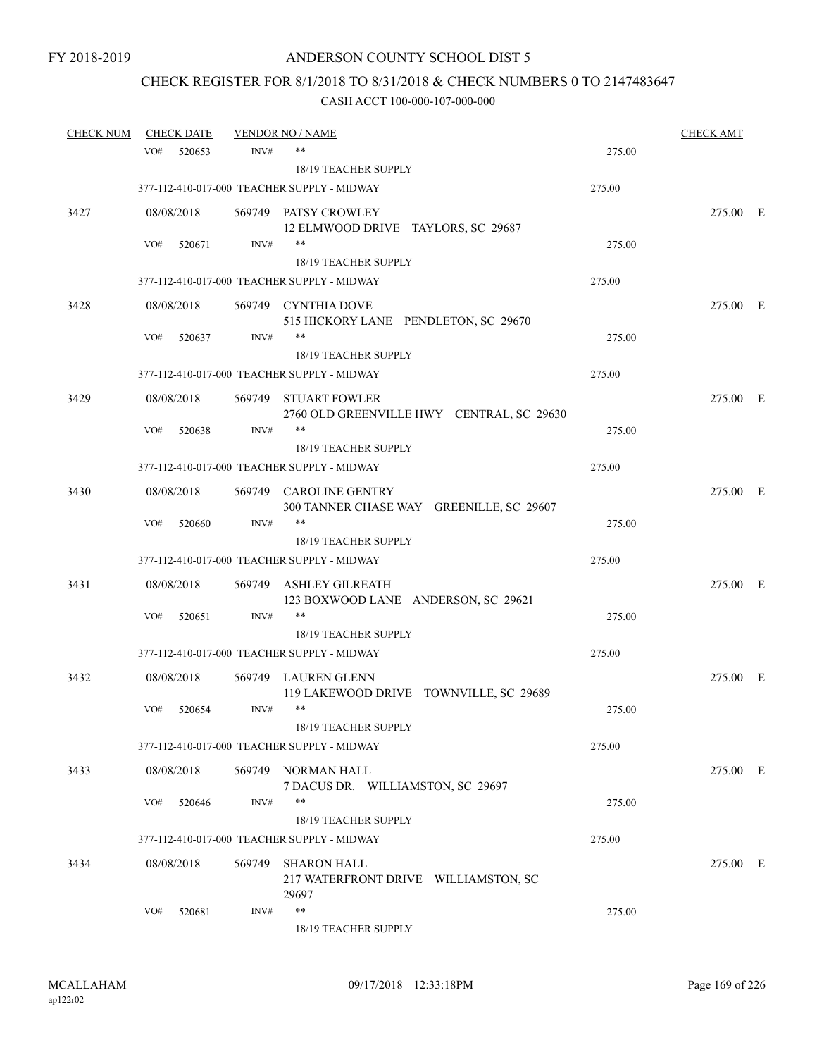# CHECK REGISTER FOR 8/1/2018 TO 8/31/2018 & CHECK NUMBERS 0 TO 2147483647

|     |                   |                                                                                                                                                                                     |                                          |                                                                                                                                                                                                                                                                                                                                                                                                                                                                                                                                                                                                                                                                                                                                                                                                                                                                                                       | <b>CHECK AMT</b>                                                             |                                              |
|-----|-------------------|-------------------------------------------------------------------------------------------------------------------------------------------------------------------------------------|------------------------------------------|-------------------------------------------------------------------------------------------------------------------------------------------------------------------------------------------------------------------------------------------------------------------------------------------------------------------------------------------------------------------------------------------------------------------------------------------------------------------------------------------------------------------------------------------------------------------------------------------------------------------------------------------------------------------------------------------------------------------------------------------------------------------------------------------------------------------------------------------------------------------------------------------------------|------------------------------------------------------------------------------|----------------------------------------------|
| VO# | 520653            | INV#                                                                                                                                                                                | **                                       | 275.00                                                                                                                                                                                                                                                                                                                                                                                                                                                                                                                                                                                                                                                                                                                                                                                                                                                                                                |                                                                              |                                              |
|     |                   |                                                                                                                                                                                     | 18/19 TEACHER SUPPLY                     |                                                                                                                                                                                                                                                                                                                                                                                                                                                                                                                                                                                                                                                                                                                                                                                                                                                                                                       |                                                                              |                                              |
|     |                   |                                                                                                                                                                                     |                                          | 275.00                                                                                                                                                                                                                                                                                                                                                                                                                                                                                                                                                                                                                                                                                                                                                                                                                                                                                                |                                                                              |                                              |
|     |                   |                                                                                                                                                                                     |                                          |                                                                                                                                                                                                                                                                                                                                                                                                                                                                                                                                                                                                                                                                                                                                                                                                                                                                                                       | 275.00 E                                                                     |                                              |
|     |                   |                                                                                                                                                                                     | 12 ELMWOOD DRIVE TAYLORS, SC 29687       |                                                                                                                                                                                                                                                                                                                                                                                                                                                                                                                                                                                                                                                                                                                                                                                                                                                                                                       |                                                                              |                                              |
| VO# | 520671            | INV#                                                                                                                                                                                | $***$                                    | 275.00                                                                                                                                                                                                                                                                                                                                                                                                                                                                                                                                                                                                                                                                                                                                                                                                                                                                                                |                                                                              |                                              |
|     |                   |                                                                                                                                                                                     |                                          |                                                                                                                                                                                                                                                                                                                                                                                                                                                                                                                                                                                                                                                                                                                                                                                                                                                                                                       |                                                                              |                                              |
|     |                   |                                                                                                                                                                                     |                                          |                                                                                                                                                                                                                                                                                                                                                                                                                                                                                                                                                                                                                                                                                                                                                                                                                                                                                                       |                                                                              |                                              |
|     |                   |                                                                                                                                                                                     |                                          |                                                                                                                                                                                                                                                                                                                                                                                                                                                                                                                                                                                                                                                                                                                                                                                                                                                                                                       | 275.00 E                                                                     |                                              |
|     |                   |                                                                                                                                                                                     |                                          |                                                                                                                                                                                                                                                                                                                                                                                                                                                                                                                                                                                                                                                                                                                                                                                                                                                                                                       |                                                                              |                                              |
|     |                   |                                                                                                                                                                                     |                                          |                                                                                                                                                                                                                                                                                                                                                                                                                                                                                                                                                                                                                                                                                                                                                                                                                                                                                                       |                                                                              |                                              |
|     |                   |                                                                                                                                                                                     |                                          |                                                                                                                                                                                                                                                                                                                                                                                                                                                                                                                                                                                                                                                                                                                                                                                                                                                                                                       |                                                                              |                                              |
|     |                   |                                                                                                                                                                                     |                                          |                                                                                                                                                                                                                                                                                                                                                                                                                                                                                                                                                                                                                                                                                                                                                                                                                                                                                                       |                                                                              |                                              |
|     |                   |                                                                                                                                                                                     |                                          |                                                                                                                                                                                                                                                                                                                                                                                                                                                                                                                                                                                                                                                                                                                                                                                                                                                                                                       |                                                                              |                                              |
| VO# |                   | INV#                                                                                                                                                                                | $***$                                    |                                                                                                                                                                                                                                                                                                                                                                                                                                                                                                                                                                                                                                                                                                                                                                                                                                                                                                       |                                                                              |                                              |
|     |                   |                                                                                                                                                                                     | 18/19 TEACHER SUPPLY                     |                                                                                                                                                                                                                                                                                                                                                                                                                                                                                                                                                                                                                                                                                                                                                                                                                                                                                                       |                                                                              |                                              |
|     |                   |                                                                                                                                                                                     |                                          | 275.00                                                                                                                                                                                                                                                                                                                                                                                                                                                                                                                                                                                                                                                                                                                                                                                                                                                                                                |                                                                              |                                              |
|     |                   |                                                                                                                                                                                     |                                          |                                                                                                                                                                                                                                                                                                                                                                                                                                                                                                                                                                                                                                                                                                                                                                                                                                                                                                       |                                                                              |                                              |
|     |                   |                                                                                                                                                                                     | 300 TANNER CHASE WAY GREENILLE, SC 29607 |                                                                                                                                                                                                                                                                                                                                                                                                                                                                                                                                                                                                                                                                                                                                                                                                                                                                                                       |                                                                              |                                              |
| VO# | 520660            | INV#                                                                                                                                                                                | **                                       | 275.00                                                                                                                                                                                                                                                                                                                                                                                                                                                                                                                                                                                                                                                                                                                                                                                                                                                                                                |                                                                              |                                              |
|     |                   |                                                                                                                                                                                     | <b>18/19 TEACHER SUPPLY</b>              |                                                                                                                                                                                                                                                                                                                                                                                                                                                                                                                                                                                                                                                                                                                                                                                                                                                                                                       |                                                                              |                                              |
|     |                   |                                                                                                                                                                                     |                                          | 275.00                                                                                                                                                                                                                                                                                                                                                                                                                                                                                                                                                                                                                                                                                                                                                                                                                                                                                                |                                                                              |                                              |
|     |                   | 569749                                                                                                                                                                              |                                          |                                                                                                                                                                                                                                                                                                                                                                                                                                                                                                                                                                                                                                                                                                                                                                                                                                                                                                       | 275.00 E                                                                     |                                              |
|     |                   |                                                                                                                                                                                     |                                          |                                                                                                                                                                                                                                                                                                                                                                                                                                                                                                                                                                                                                                                                                                                                                                                                                                                                                                       |                                                                              |                                              |
|     |                   |                                                                                                                                                                                     |                                          |                                                                                                                                                                                                                                                                                                                                                                                                                                                                                                                                                                                                                                                                                                                                                                                                                                                                                                       |                                                                              |                                              |
|     |                   |                                                                                                                                                                                     |                                          |                                                                                                                                                                                                                                                                                                                                                                                                                                                                                                                                                                                                                                                                                                                                                                                                                                                                                                       |                                                                              |                                              |
|     |                   |                                                                                                                                                                                     |                                          |                                                                                                                                                                                                                                                                                                                                                                                                                                                                                                                                                                                                                                                                                                                                                                                                                                                                                                       |                                                                              |                                              |
|     |                   |                                                                                                                                                                                     |                                          |                                                                                                                                                                                                                                                                                                                                                                                                                                                                                                                                                                                                                                                                                                                                                                                                                                                                                                       |                                                                              |                                              |
| VO# |                   | INV#                                                                                                                                                                                | $***$                                    |                                                                                                                                                                                                                                                                                                                                                                                                                                                                                                                                                                                                                                                                                                                                                                                                                                                                                                       |                                                                              |                                              |
|     |                   |                                                                                                                                                                                     | 18/19 TEACHER SUPPLY                     |                                                                                                                                                                                                                                                                                                                                                                                                                                                                                                                                                                                                                                                                                                                                                                                                                                                                                                       |                                                                              |                                              |
|     |                   |                                                                                                                                                                                     |                                          | 275.00                                                                                                                                                                                                                                                                                                                                                                                                                                                                                                                                                                                                                                                                                                                                                                                                                                                                                                |                                                                              |                                              |
|     |                   |                                                                                                                                                                                     |                                          |                                                                                                                                                                                                                                                                                                                                                                                                                                                                                                                                                                                                                                                                                                                                                                                                                                                                                                       |                                                                              |                                              |
|     |                   |                                                                                                                                                                                     | 7 DACUS DR. WILLIAMSTON, SC 29697        |                                                                                                                                                                                                                                                                                                                                                                                                                                                                                                                                                                                                                                                                                                                                                                                                                                                                                                       |                                                                              |                                              |
| VO# | 520646            | INV#                                                                                                                                                                                | $***$                                    | 275.00                                                                                                                                                                                                                                                                                                                                                                                                                                                                                                                                                                                                                                                                                                                                                                                                                                                                                                |                                                                              |                                              |
|     |                   |                                                                                                                                                                                     | 18/19 TEACHER SUPPLY                     |                                                                                                                                                                                                                                                                                                                                                                                                                                                                                                                                                                                                                                                                                                                                                                                                                                                                                                       |                                                                              |                                              |
|     |                   |                                                                                                                                                                                     |                                          | 275.00                                                                                                                                                                                                                                                                                                                                                                                                                                                                                                                                                                                                                                                                                                                                                                                                                                                                                                |                                                                              |                                              |
|     |                   | 569749                                                                                                                                                                              | <b>SHARON HALL</b>                       |                                                                                                                                                                                                                                                                                                                                                                                                                                                                                                                                                                                                                                                                                                                                                                                                                                                                                                       | 275.00 E                                                                     |                                              |
|     |                   |                                                                                                                                                                                     | 217 WATERFRONT DRIVE WILLIAMSTON, SC     |                                                                                                                                                                                                                                                                                                                                                                                                                                                                                                                                                                                                                                                                                                                                                                                                                                                                                                       |                                                                              |                                              |
|     |                   |                                                                                                                                                                                     |                                          |                                                                                                                                                                                                                                                                                                                                                                                                                                                                                                                                                                                                                                                                                                                                                                                                                                                                                                       |                                                                              |                                              |
|     |                   |                                                                                                                                                                                     |                                          |                                                                                                                                                                                                                                                                                                                                                                                                                                                                                                                                                                                                                                                                                                                                                                                                                                                                                                       |                                                                              |                                              |
|     | VO#<br>VO#<br>VO# | <b>CHECK DATE</b><br>08/08/2018<br>08/08/2018<br>520637<br>08/08/2018<br>520638<br>08/08/2018<br>08/08/2018<br>520651<br>08/08/2018<br>520654<br>08/08/2018<br>08/08/2018<br>520681 | INV#<br>INV#<br>INV#                     | <b>VENDOR NO / NAME</b><br>377-112-410-017-000 TEACHER SUPPLY - MIDWAY<br>569749 PATSY CROWLEY<br><b>18/19 TEACHER SUPPLY</b><br>377-112-410-017-000 TEACHER SUPPLY - MIDWAY<br>569749 CYNTHIA DOVE<br>515 HICKORY LANE PENDLETON, SC 29670<br>**<br><b>18/19 TEACHER SUPPLY</b><br>377-112-410-017-000 TEACHER SUPPLY - MIDWAY<br>569749 STUART FOWLER<br>2760 OLD GREENVILLE HWY CENTRAL, SC 29630<br>377-112-410-017-000 TEACHER SUPPLY - MIDWAY<br>569749 CAROLINE GENTRY<br>377-112-410-017-000 TEACHER SUPPLY - MIDWAY<br>ASHLEY GILREATH<br>123 BOXWOOD LANE ANDERSON, SC 29621<br>$***$<br>18/19 TEACHER SUPPLY<br>377-112-410-017-000 TEACHER SUPPLY - MIDWAY<br>569749 LAUREN GLENN<br>119 LAKEWOOD DRIVE TOWNVILLE, SC 29689<br>377-112-410-017-000 TEACHER SUPPLY - MIDWAY<br>569749 NORMAN HALL<br>377-112-410-017-000 TEACHER SUPPLY - MIDWAY<br>29697<br>$***$<br>18/19 TEACHER SUPPLY | 275.00<br>275.00<br>275.00<br>275.00<br>275.00<br>275.00<br>275.00<br>275.00 | 275.00 E<br>275.00 E<br>275.00 E<br>275.00 E |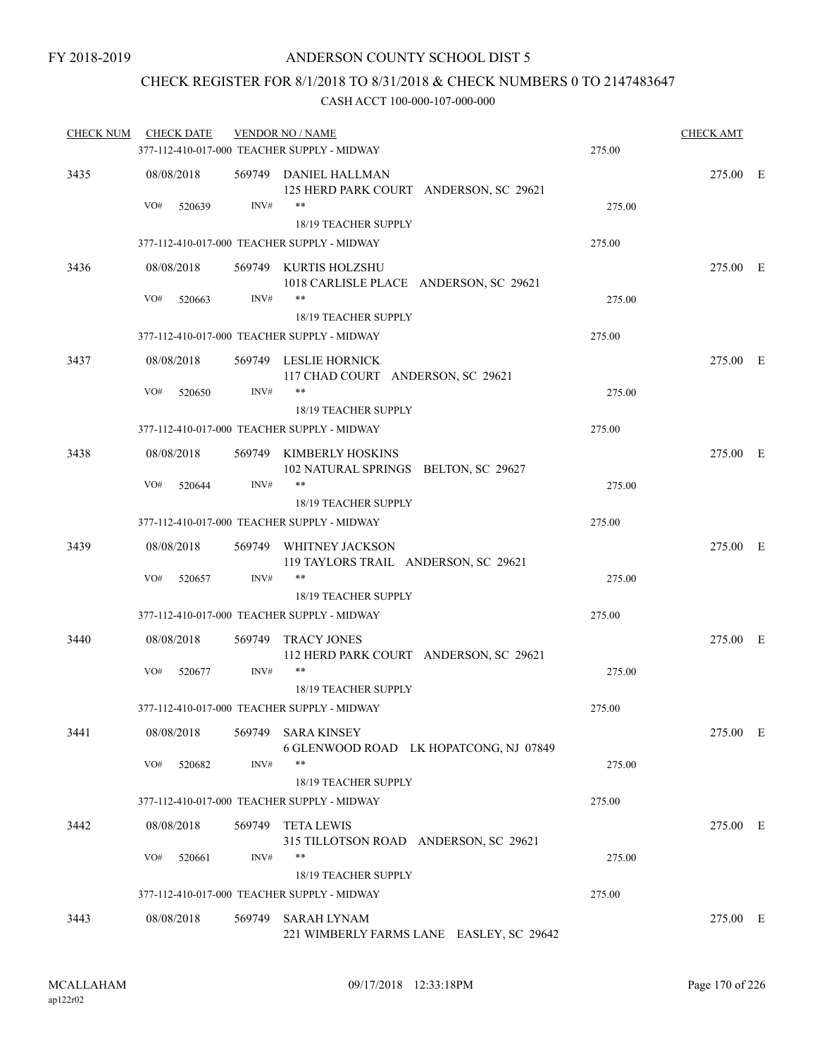### CHECK REGISTER FOR 8/1/2018 TO 8/31/2018 & CHECK NUMBERS 0 TO 2147483647

| <b>CHECK NUM</b> | <b>CHECK DATE</b> |        | <b>VENDOR NO / NAME</b>                                         |        | <b>CHECK AMT</b> |  |
|------------------|-------------------|--------|-----------------------------------------------------------------|--------|------------------|--|
|                  |                   |        | 377-112-410-017-000 TEACHER SUPPLY - MIDWAY                     | 275.00 |                  |  |
| 3435             | 08/08/2018        |        | 569749 DANIEL HALLMAN<br>125 HERD PARK COURT ANDERSON, SC 29621 |        | 275.00 E         |  |
|                  | VO#<br>520639     | INV#   | **<br><b>18/19 TEACHER SUPPLY</b>                               | 275.00 |                  |  |
|                  |                   |        | 377-112-410-017-000 TEACHER SUPPLY - MIDWAY                     | 275.00 |                  |  |
| 3436             | 08/08/2018        |        | 569749 KURTIS HOLZSHU<br>1018 CARLISLE PLACE ANDERSON, SC 29621 |        | 275.00 E         |  |
|                  | VO#<br>520663     | INV#   | **<br>18/19 TEACHER SUPPLY                                      | 275.00 |                  |  |
|                  |                   |        | 377-112-410-017-000 TEACHER SUPPLY - MIDWAY                     | 275.00 |                  |  |
| 3437             | 08/08/2018        |        | 569749 LESLIE HORNICK<br>117 CHAD COURT ANDERSON, SC 29621      |        | 275.00 E         |  |
|                  | VO#<br>520650     | INV#   | **<br>18/19 TEACHER SUPPLY                                      | 275.00 |                  |  |
|                  |                   |        | 377-112-410-017-000 TEACHER SUPPLY - MIDWAY                     | 275.00 |                  |  |
| 3438             | 08/08/2018        |        | 569749 KIMBERLY HOSKINS<br>102 NATURAL SPRINGS BELTON, SC 29627 |        | 275.00 E         |  |
|                  | VO#<br>520644     | INV#   | $***$<br><b>18/19 TEACHER SUPPLY</b>                            | 275.00 |                  |  |
|                  |                   |        | 377-112-410-017-000 TEACHER SUPPLY - MIDWAY                     | 275.00 |                  |  |
| 3439             | 08/08/2018        |        | 569749 WHITNEY JACKSON<br>119 TAYLORS TRAIL ANDERSON, SC 29621  |        | 275.00 E         |  |
|                  | VO#<br>520657     | INV#   | **<br>18/19 TEACHER SUPPLY                                      | 275.00 |                  |  |
|                  |                   |        | 377-112-410-017-000 TEACHER SUPPLY - MIDWAY                     | 275.00 |                  |  |
| 3440             | 08/08/2018        | 569749 | TRACY JONES<br>112 HERD PARK COURT ANDERSON, SC 29621           |        | 275.00 E         |  |
|                  | VO#<br>520677     | INV#   | **                                                              | 275.00 |                  |  |
|                  |                   |        | 18/19 TEACHER SUPPLY                                            |        |                  |  |
|                  |                   |        | 377-112-410-017-000 TEACHER SUPPLY - MIDWAY                     | 275.00 |                  |  |
| 3441             | 08/08/2018        |        | 569749 SARA KINSEY<br>6 GLENWOOD ROAD LK HOPATCONG, NJ 07849    |        | 275.00 E         |  |
|                  | VO#<br>520682     | INV#   | **<br>18/19 TEACHER SUPPLY                                      | 275.00 |                  |  |
|                  |                   |        | 377-112-410-017-000 TEACHER SUPPLY - MIDWAY                     | 275.00 |                  |  |
| 3442             | 08/08/2018        | 569749 | TETA LEWIS<br>315 TILLOTSON ROAD ANDERSON, SC 29621             |        | 275.00 E         |  |
|                  | VO#<br>520661     | INV#   | **<br>18/19 TEACHER SUPPLY                                      | 275.00 |                  |  |
|                  |                   |        | 377-112-410-017-000 TEACHER SUPPLY - MIDWAY                     | 275.00 |                  |  |
| 3443             | 08/08/2018        | 569749 | SARAH LYNAM<br>221 WIMBERLY FARMS LANE EASLEY, SC 29642         |        | 275.00 E         |  |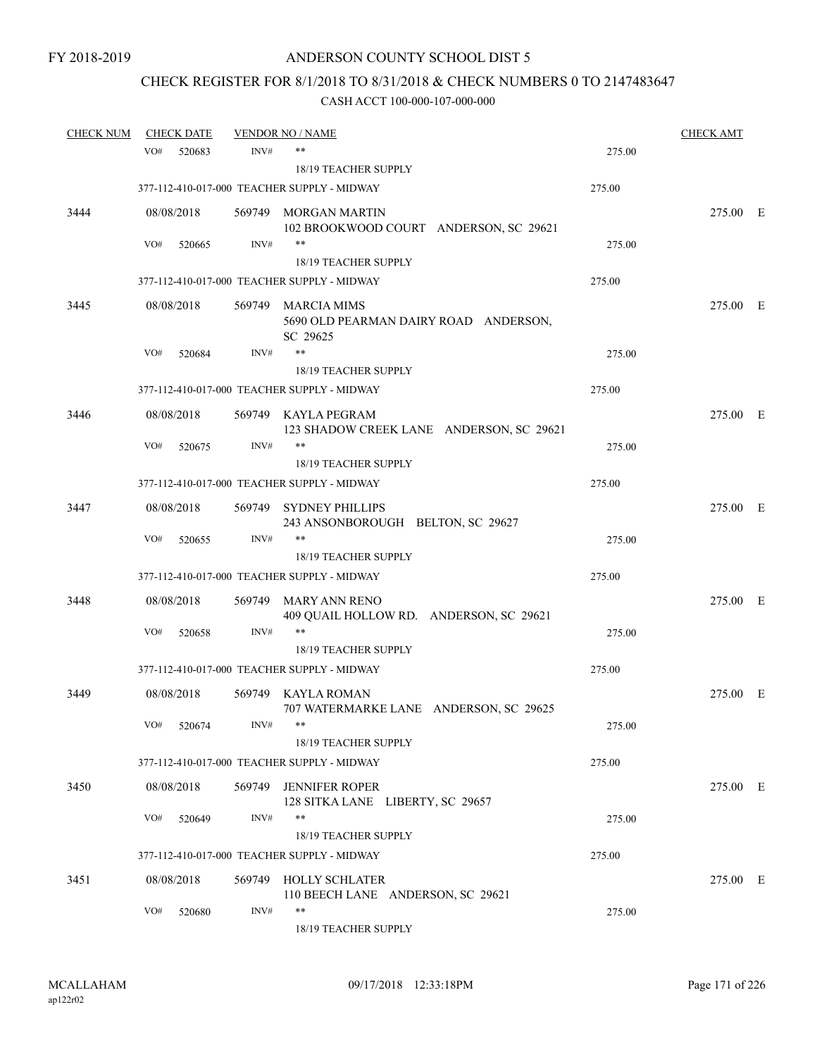# CHECK REGISTER FOR 8/1/2018 TO 8/31/2018 & CHECK NUMBERS 0 TO 2147483647

| <b>CHECK NUM</b> |     | <b>CHECK DATE</b> |        | <b>VENDOR NO / NAME</b>                                                 |        | <b>CHECK AMT</b> |  |
|------------------|-----|-------------------|--------|-------------------------------------------------------------------------|--------|------------------|--|
|                  | VO# | 520683            | INV#   | $***$                                                                   | 275.00 |                  |  |
|                  |     |                   |        | <b>18/19 TEACHER SUPPLY</b>                                             |        |                  |  |
|                  |     |                   |        | 377-112-410-017-000 TEACHER SUPPLY - MIDWAY                             | 275.00 |                  |  |
| 3444             |     | 08/08/2018        |        | 569749 MORGAN MARTIN                                                    |        | 275.00 E         |  |
|                  |     |                   |        | 102 BROOKWOOD COURT ANDERSON, SC 29621                                  |        |                  |  |
|                  | VO# | 520665            | INV#   | $***$                                                                   | 275.00 |                  |  |
|                  |     |                   |        | 18/19 TEACHER SUPPLY                                                    |        |                  |  |
|                  |     |                   |        | 377-112-410-017-000 TEACHER SUPPLY - MIDWAY                             | 275.00 |                  |  |
| 3445             |     | 08/08/2018        |        | 569749 MARCIA MIMS<br>5690 OLD PEARMAN DAIRY ROAD ANDERSON,<br>SC 29625 |        | 275.00 E         |  |
|                  | VO# | 520684            | INV#   | **                                                                      | 275.00 |                  |  |
|                  |     |                   |        | <b>18/19 TEACHER SUPPLY</b>                                             |        |                  |  |
|                  |     |                   |        | 377-112-410-017-000 TEACHER SUPPLY - MIDWAY                             | 275.00 |                  |  |
| 3446             |     | 08/08/2018        |        | 569749 KAYLA PEGRAM<br>123 SHADOW CREEK LANE ANDERSON, SC 29621         |        | 275.00 E         |  |
|                  | VO# | 520675            | INV#   | $***$                                                                   | 275.00 |                  |  |
|                  |     |                   |        | 18/19 TEACHER SUPPLY                                                    |        |                  |  |
|                  |     |                   |        | 377-112-410-017-000 TEACHER SUPPLY - MIDWAY                             | 275.00 |                  |  |
| 3447             |     | 08/08/2018        |        | 569749 SYDNEY PHILLIPS                                                  |        | 275.00 E         |  |
|                  |     |                   |        | 243 ANSONBOROUGH BELTON, SC 29627                                       |        |                  |  |
|                  | VO# | 520655            | INV#   | $***$                                                                   | 275.00 |                  |  |
|                  |     |                   |        | <b>18/19 TEACHER SUPPLY</b>                                             |        |                  |  |
|                  |     |                   |        | 377-112-410-017-000 TEACHER SUPPLY - MIDWAY                             | 275.00 |                  |  |
| 3448             |     | 08/08/2018        | 569749 | MARY ANN RENO<br>409 QUAIL HOLLOW RD. ANDERSON, SC 29621                |        | 275.00 E         |  |
|                  | VO# | 520658            | INV#   | **                                                                      | 275.00 |                  |  |
|                  |     |                   |        | 18/19 TEACHER SUPPLY                                                    |        |                  |  |
|                  |     |                   |        | 377-112-410-017-000 TEACHER SUPPLY - MIDWAY                             | 275.00 |                  |  |
| 3449             |     | 08/08/2018        |        | 569749 KAYLA ROMAN                                                      |        | 275.00 E         |  |
|                  |     |                   |        | 707 WATERMARKE LANE ANDERSON, SC 29625                                  |        |                  |  |
|                  | VO# | 520674            | INV#   |                                                                         | 275.00 |                  |  |
|                  |     |                   |        | 18/19 TEACHER SUPPLY<br>377-112-410-017-000 TEACHER SUPPLY - MIDWAY     | 275.00 |                  |  |
|                  |     |                   |        |                                                                         |        |                  |  |
| 3450             |     | 08/08/2018        | 569749 | <b>JENNIFER ROPER</b><br>128 SITKA LANE LIBERTY, SC 29657               |        | 275.00 E         |  |
|                  | VO# | 520649            | INV#   | **                                                                      | 275.00 |                  |  |
|                  |     |                   |        | 18/19 TEACHER SUPPLY                                                    |        |                  |  |
|                  |     |                   |        | 377-112-410-017-000 TEACHER SUPPLY - MIDWAY                             | 275.00 |                  |  |
| 3451             |     | 08/08/2018        |        | 569749 HOLLY SCHLATER                                                   |        | 275.00 E         |  |
|                  |     |                   |        | 110 BEECH LANE ANDERSON, SC 29621                                       |        |                  |  |
|                  | VO# | 520680            | INV#   | **<br>18/19 TEACHER SUPPLY                                              | 275.00 |                  |  |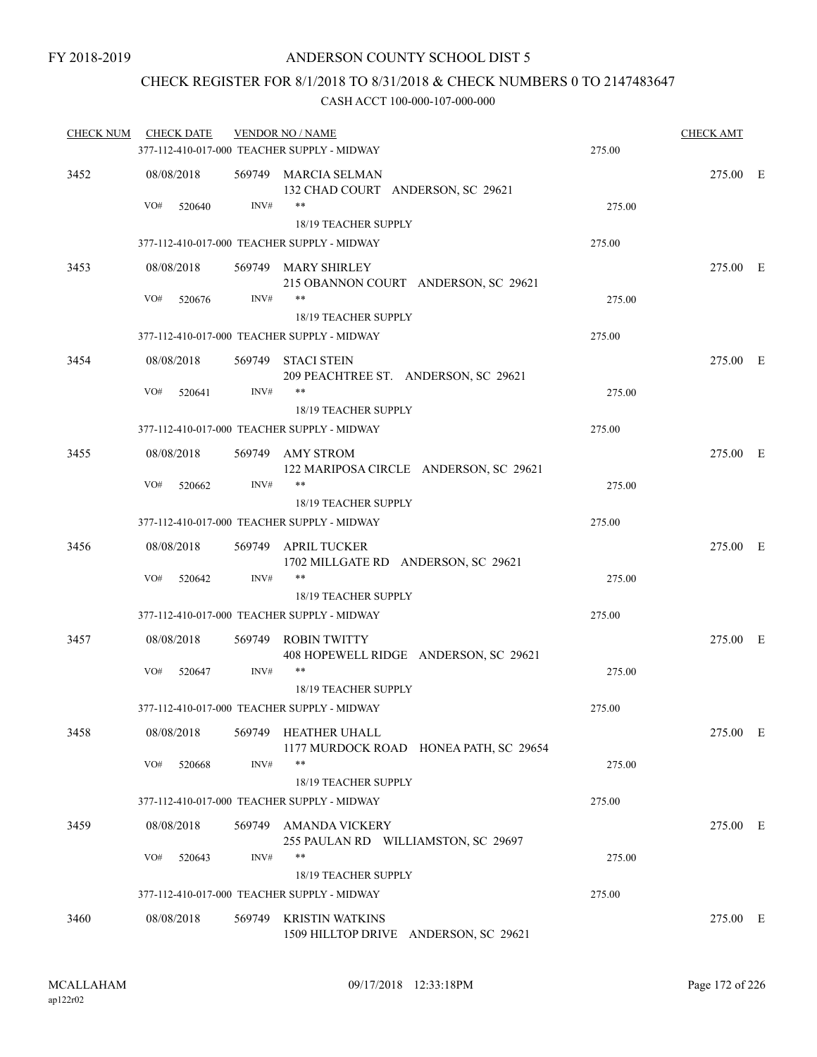### CHECK REGISTER FOR 8/1/2018 TO 8/31/2018 & CHECK NUMBERS 0 TO 2147483647

| <b>CHECK NUM</b> | <b>CHECK DATE</b> |        | <b>VENDOR NO / NAME</b>                                              |        | <b>CHECK AMT</b> |  |
|------------------|-------------------|--------|----------------------------------------------------------------------|--------|------------------|--|
|                  |                   |        | 377-112-410-017-000 TEACHER SUPPLY - MIDWAY                          | 275.00 |                  |  |
| 3452             | 08/08/2018        |        | 569749 MARCIA SELMAN<br>132 CHAD COURT ANDERSON, SC 29621            |        | 275.00 E         |  |
|                  | VO#<br>520640     | INV#   | $***$<br>18/19 TEACHER SUPPLY                                        | 275.00 |                  |  |
|                  |                   |        | 377-112-410-017-000 TEACHER SUPPLY - MIDWAY                          | 275.00 |                  |  |
| 3453             | 08/08/2018        |        | 569749 MARY SHIRLEY<br>215 OBANNON COURT ANDERSON, SC 29621          |        | 275.00 E         |  |
|                  | VO#<br>520676     | INV#   | $***$<br>18/19 TEACHER SUPPLY                                        | 275.00 |                  |  |
|                  |                   |        | 377-112-410-017-000 TEACHER SUPPLY - MIDWAY                          | 275.00 |                  |  |
| 3454             | 08/08/2018        |        | 569749 STACI STEIN<br>209 PEACHTREE ST. ANDERSON, SC 29621           |        | 275.00 E         |  |
|                  | VO#<br>520641     | INV#   | $***$<br>18/19 TEACHER SUPPLY                                        | 275.00 |                  |  |
|                  |                   |        | 377-112-410-017-000 TEACHER SUPPLY - MIDWAY                          | 275.00 |                  |  |
| 3455             | 08/08/2018        |        | 569749 AMY STROM<br>122 MARIPOSA CIRCLE ANDERSON, SC 29621           |        | 275.00 E         |  |
|                  | VO#<br>520662     | INV#   | **<br><b>18/19 TEACHER SUPPLY</b>                                    | 275.00 |                  |  |
|                  |                   |        | 377-112-410-017-000 TEACHER SUPPLY - MIDWAY                          | 275.00 |                  |  |
| 3456             | 08/08/2018        |        | 569749 APRIL TUCKER<br>1702 MILLGATE RD ANDERSON, SC 29621           |        | 275.00 E         |  |
|                  | VO#<br>520642     | INV#   | **<br>18/19 TEACHER SUPPLY                                           | 275.00 |                  |  |
|                  |                   |        | 377-112-410-017-000 TEACHER SUPPLY - MIDWAY                          | 275.00 |                  |  |
| 3457             | 08/08/2018        |        | 569749 ROBIN TWITTY<br>408 HOPEWELL RIDGE ANDERSON, SC 29621         |        | 275.00 E         |  |
|                  | VO#<br>520647     | INV#   | **                                                                   | 275.00 |                  |  |
|                  |                   |        | 18/19 TEACHER SUPPLY                                                 |        |                  |  |
|                  |                   |        | 377-112-410-017-000 TEACHER SUPPLY - MIDWAY                          | 275.00 |                  |  |
| 3458             | 08/08/2018<br>VO# | INV#   | 569749 HEATHER UHALL<br>1177 MURDOCK ROAD HONEA PATH, SC 29654<br>** |        | 275.00 E         |  |
|                  | 520668            |        | 18/19 TEACHER SUPPLY                                                 | 275.00 |                  |  |
|                  |                   |        | 377-112-410-017-000 TEACHER SUPPLY - MIDWAY                          | 275.00 |                  |  |
| 3459             | 08/08/2018        | 569749 | AMANDA VICKERY<br>255 PAULAN RD WILLIAMSTON, SC 29697                |        | 275.00 E         |  |
|                  | VO#<br>520643     | INV#   | **<br>18/19 TEACHER SUPPLY                                           | 275.00 |                  |  |
|                  |                   |        | 377-112-410-017-000 TEACHER SUPPLY - MIDWAY                          | 275.00 |                  |  |
| 3460             | 08/08/2018        | 569749 | <b>KRISTIN WATKINS</b><br>1509 HILLTOP DRIVE ANDERSON, SC 29621      |        | 275.00 E         |  |
|                  |                   |        |                                                                      |        |                  |  |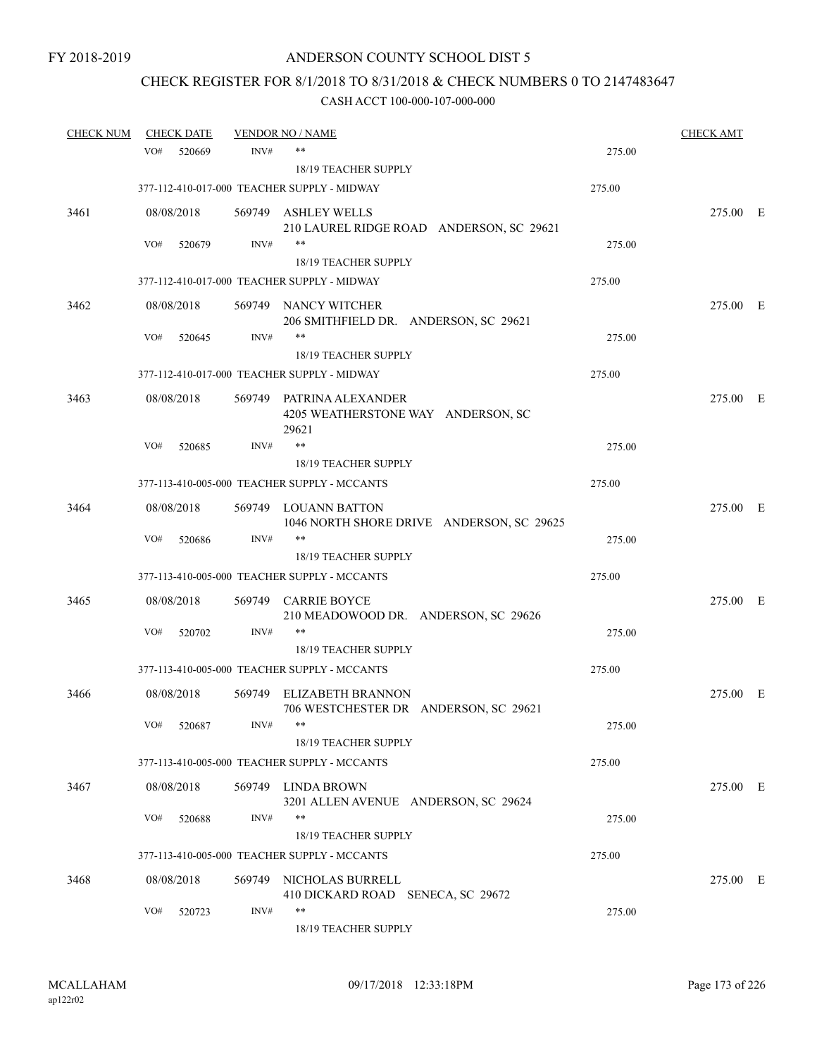# CHECK REGISTER FOR 8/1/2018 TO 8/31/2018 & CHECK NUMBERS 0 TO 2147483647

| <b>CHECK NUM</b> |     | <b>CHECK DATE</b> |      | <b>VENDOR NO / NAME</b>                                             |        | <b>CHECK AMT</b> |  |
|------------------|-----|-------------------|------|---------------------------------------------------------------------|--------|------------------|--|
|                  | VO# | 520669            | INV# | $***$                                                               | 275.00 |                  |  |
|                  |     |                   |      | <b>18/19 TEACHER SUPPLY</b>                                         |        |                  |  |
|                  |     |                   |      | 377-112-410-017-000 TEACHER SUPPLY - MIDWAY                         | 275.00 |                  |  |
| 3461             |     | 08/08/2018        |      | 569749 ASHLEY WELLS                                                 |        | 275.00 E         |  |
|                  |     |                   |      | 210 LAUREL RIDGE ROAD ANDERSON, SC 29621                            |        |                  |  |
|                  | VO# | 520679            | INV# | $***$                                                               | 275.00 |                  |  |
|                  |     |                   |      | 18/19 TEACHER SUPPLY                                                |        |                  |  |
|                  |     |                   |      | 377-112-410-017-000 TEACHER SUPPLY - MIDWAY                         | 275.00 |                  |  |
| 3462             |     | 08/08/2018        |      | 569749 NANCY WITCHER                                                |        | 275.00 E         |  |
|                  |     |                   |      | 206 SMITHFIELD DR. ANDERSON, SC 29621                               |        |                  |  |
|                  | VO# | 520645            | INV# | **                                                                  | 275.00 |                  |  |
|                  |     |                   |      | 18/19 TEACHER SUPPLY<br>377-112-410-017-000 TEACHER SUPPLY - MIDWAY | 275.00 |                  |  |
|                  |     |                   |      |                                                                     |        |                  |  |
| 3463             |     | 08/08/2018        |      | 569749 PATRINA ALEXANDER                                            |        | 275.00 E         |  |
|                  |     |                   |      | 4205 WEATHERSTONE WAY ANDERSON, SC<br>29621                         |        |                  |  |
|                  | VO# | 520685            | INV# | **                                                                  | 275.00 |                  |  |
|                  |     |                   |      | 18/19 TEACHER SUPPLY                                                |        |                  |  |
|                  |     |                   |      | 377-113-410-005-000 TEACHER SUPPLY - MCCANTS                        | 275.00 |                  |  |
| 3464             |     | 08/08/2018        |      | 569749 LOUANN BATTON                                                |        | 275.00 E         |  |
|                  |     |                   |      | 1046 NORTH SHORE DRIVE ANDERSON, SC 29625                           |        |                  |  |
|                  | VO# | 520686            | INV# | $***$                                                               | 275.00 |                  |  |
|                  |     |                   |      | 18/19 TEACHER SUPPLY                                                |        |                  |  |
|                  |     |                   |      | 377-113-410-005-000 TEACHER SUPPLY - MCCANTS                        | 275.00 |                  |  |
| 3465             |     | 08/08/2018        |      | 569749 CARRIE BOYCE                                                 |        | 275.00 E         |  |
|                  |     |                   |      | 210 MEADOWOOD DR. ANDERSON, SC 29626                                |        |                  |  |
|                  | VO# | 520702            | INV# | $***$                                                               | 275.00 |                  |  |
|                  |     |                   |      | 18/19 TEACHER SUPPLY                                                |        |                  |  |
|                  |     |                   |      | 377-113-410-005-000 TEACHER SUPPLY - MCCANTS                        | 275.00 |                  |  |
| 3466             |     | 08/08/2018        |      | 569749 ELIZABETH BRANNON                                            |        | 275.00 E         |  |
|                  | VO# | 520687            | INV# | 706 WESTCHESTER DR ANDERSON, SC 29621                               | 275.00 |                  |  |
|                  |     |                   |      | 18/19 TEACHER SUPPLY                                                |        |                  |  |
|                  |     |                   |      | 377-113-410-005-000 TEACHER SUPPLY - MCCANTS                        | 275.00 |                  |  |
|                  |     |                   |      |                                                                     |        |                  |  |
| 3467             |     | 08/08/2018        |      | 569749 LINDA BROWN<br>3201 ALLEN AVENUE ANDERSON, SC 29624          |        | 275.00 E         |  |
|                  | VO# | 520688            | INV# | $***$                                                               | 275.00 |                  |  |
|                  |     |                   |      | 18/19 TEACHER SUPPLY                                                |        |                  |  |
|                  |     |                   |      | 377-113-410-005-000 TEACHER SUPPLY - MCCANTS                        | 275.00 |                  |  |
| 3468             |     | 08/08/2018        |      | 569749 NICHOLAS BURRELL                                             |        | 275.00 E         |  |
|                  |     |                   |      | 410 DICKARD ROAD SENECA, SC 29672                                   |        |                  |  |
|                  | VO# | 520723            | INV# | **                                                                  | 275.00 |                  |  |
|                  |     |                   |      | 18/19 TEACHER SUPPLY                                                |        |                  |  |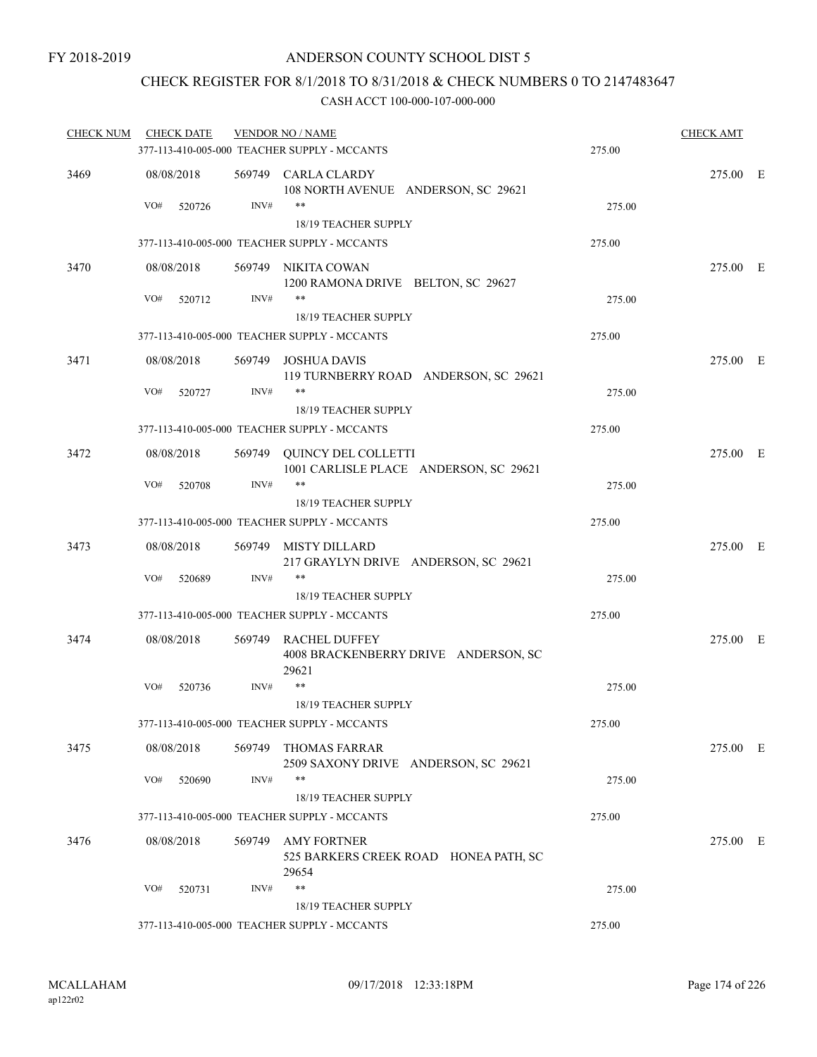## CHECK REGISTER FOR 8/1/2018 TO 8/31/2018 & CHECK NUMBERS 0 TO 2147483647

| <b>CHECK NUM</b> | <b>CHECK DATE</b> |      | <b>VENDOR NO / NAME</b>                                               |        | <b>CHECK AMT</b> |  |
|------------------|-------------------|------|-----------------------------------------------------------------------|--------|------------------|--|
|                  |                   |      | 377-113-410-005-000 TEACHER SUPPLY - MCCANTS                          | 275.00 |                  |  |
| 3469             | 08/08/2018        |      | 569749 CARLA CLARDY<br>108 NORTH AVENUE ANDERSON, SC 29621            |        | 275.00 E         |  |
|                  | VO#<br>520726     | INV# | $***$<br>18/19 TEACHER SUPPLY                                         | 275.00 |                  |  |
|                  |                   |      | 377-113-410-005-000 TEACHER SUPPLY - MCCANTS                          | 275.00 |                  |  |
| 3470             | 08/08/2018        |      | 569749 NIKITA COWAN<br>1200 RAMONA DRIVE BELTON, SC 29627             |        | 275.00 E         |  |
|                  | VO#<br>520712     | INV# | $***$<br>18/19 TEACHER SUPPLY                                         | 275.00 |                  |  |
|                  |                   |      | 377-113-410-005-000 TEACHER SUPPLY - MCCANTS                          | 275.00 |                  |  |
| 3471             | 08/08/2018        |      | 569749 JOSHUA DAVIS<br>119 TURNBERRY ROAD ANDERSON, SC 29621          |        | 275.00 E         |  |
|                  | VO#<br>520727     | INV# | $***$                                                                 | 275.00 |                  |  |
|                  |                   |      | 18/19 TEACHER SUPPLY                                                  |        |                  |  |
|                  |                   |      | 377-113-410-005-000 TEACHER SUPPLY - MCCANTS                          | 275.00 |                  |  |
| 3472             | 08/08/2018        |      | 569749 QUINCY DEL COLLETTI<br>1001 CARLISLE PLACE ANDERSON, SC 29621  |        | 275.00 E         |  |
|                  | VO#<br>520708     | INV# | $***$<br>18/19 TEACHER SUPPLY                                         | 275.00 |                  |  |
|                  |                   |      | 377-113-410-005-000 TEACHER SUPPLY - MCCANTS                          | 275.00 |                  |  |
| 3473             | 08/08/2018        |      | 569749 MISTY DILLARD<br>217 GRAYLYN DRIVE ANDERSON, SC 29621          |        | 275.00 E         |  |
|                  | VO#<br>520689     | INV# | **                                                                    | 275.00 |                  |  |
|                  |                   |      | 18/19 TEACHER SUPPLY                                                  |        |                  |  |
|                  |                   |      | 377-113-410-005-000 TEACHER SUPPLY - MCCANTS                          | 275.00 |                  |  |
| 3474             | 08/08/2018        |      | 569749 RACHEL DUFFEY<br>4008 BRACKENBERRY DRIVE ANDERSON, SC<br>29621 |        | 275.00 E         |  |
|                  | VO#<br>520736     | INV# | **                                                                    | 275.00 |                  |  |
|                  |                   |      | <b>18/19 TEACHER SUPPLY</b>                                           |        |                  |  |
|                  |                   |      | 377-113-410-005-000 TEACHER SUPPLY - MCCANTS                          | 275.00 |                  |  |
| 3475             | 08/08/2018        |      | 569749 THOMAS FARRAR<br>2509 SAXONY DRIVE ANDERSON, SC 29621          |        | 275.00 E         |  |
|                  | VO#<br>520690     | INV# | **                                                                    | 275.00 |                  |  |
|                  |                   |      | 18/19 TEACHER SUPPLY                                                  |        |                  |  |
|                  |                   |      | 377-113-410-005-000 TEACHER SUPPLY - MCCANTS                          | 275.00 |                  |  |
| 3476             | 08/08/2018        |      | 569749 AMY FORTNER<br>525 BARKERS CREEK ROAD HONEA PATH, SC<br>29654  |        | 275.00 E         |  |
|                  | VO#<br>520731     | INV# | $***$                                                                 | 275.00 |                  |  |
|                  |                   |      | 18/19 TEACHER SUPPLY                                                  |        |                  |  |
|                  |                   |      | 377-113-410-005-000 TEACHER SUPPLY - MCCANTS                          | 275.00 |                  |  |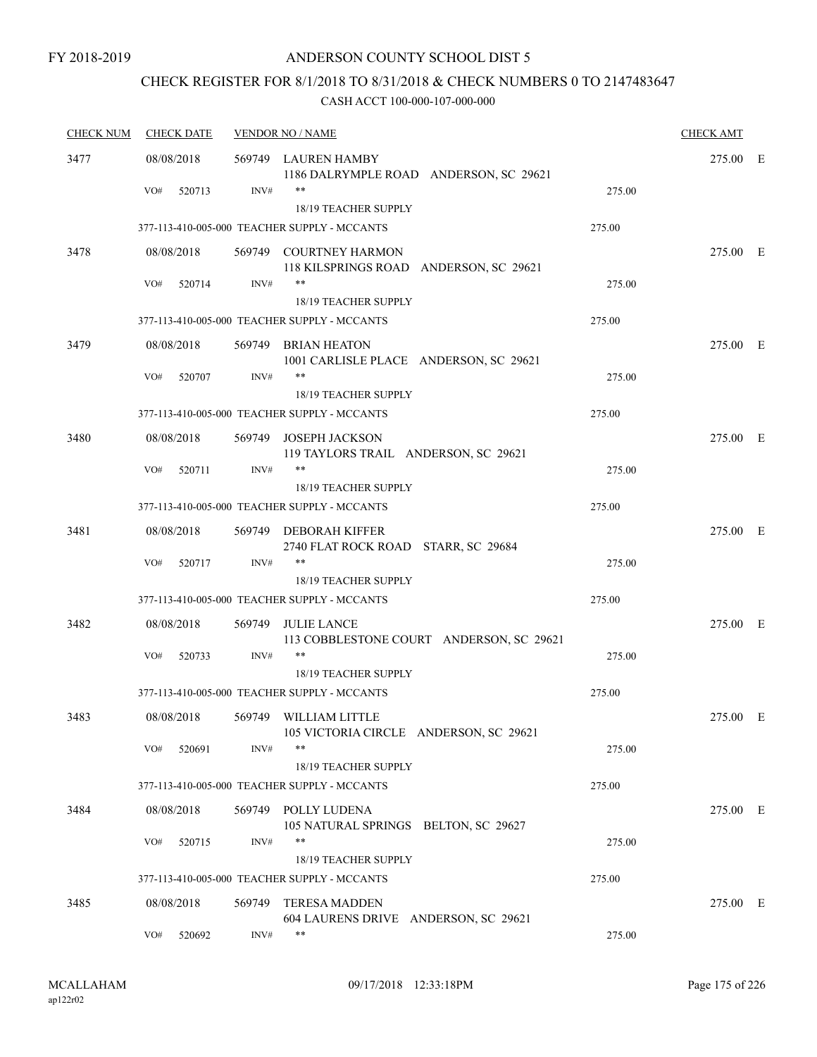## CHECK REGISTER FOR 8/1/2018 TO 8/31/2018 & CHECK NUMBERS 0 TO 2147483647

| <b>CHECK NUM</b> | <b>CHECK DATE</b> | <b>VENDOR NO / NAME</b> |                                                                      |        | <b>CHECK AMT</b> |  |
|------------------|-------------------|-------------------------|----------------------------------------------------------------------|--------|------------------|--|
| 3477             | 08/08/2018        |                         | 569749 LAUREN HAMBY<br>1186 DALRYMPLE ROAD ANDERSON, SC 29621        |        | 275.00 E         |  |
|                  | VO#<br>520713     | INV#                    | $***$<br>18/19 TEACHER SUPPLY                                        | 275.00 |                  |  |
|                  |                   |                         | 377-113-410-005-000 TEACHER SUPPLY - MCCANTS                         | 275.00 |                  |  |
| 3478             | 08/08/2018        |                         | 569749 COURTNEY HARMON<br>118 KILSPRINGS ROAD ANDERSON, SC 29621     |        | 275.00 E         |  |
|                  | VO#<br>520714     | INV#                    | $***$<br>18/19 TEACHER SUPPLY                                        | 275.00 |                  |  |
|                  |                   |                         | 377-113-410-005-000 TEACHER SUPPLY - MCCANTS                         | 275.00 |                  |  |
| 3479             | 08/08/2018        |                         | 569749 BRIAN HEATON<br>1001 CARLISLE PLACE ANDERSON, SC 29621        |        | 275.00 E         |  |
|                  | VO#<br>520707     | INV#                    | $***$<br>18/19 TEACHER SUPPLY                                        | 275.00 |                  |  |
|                  |                   |                         | 377-113-410-005-000 TEACHER SUPPLY - MCCANTS                         | 275.00 |                  |  |
| 3480             | 08/08/2018        |                         | 569749 JOSEPH JACKSON<br>119 TAYLORS TRAIL ANDERSON, SC 29621        |        | 275.00 E         |  |
|                  | VO#<br>520711     | INV#                    | $***$<br>18/19 TEACHER SUPPLY                                        | 275.00 |                  |  |
|                  |                   |                         | 377-113-410-005-000 TEACHER SUPPLY - MCCANTS                         | 275.00 |                  |  |
| 3481             | 08/08/2018        |                         | 569749 DEBORAH KIFFER<br>2740 FLAT ROCK ROAD STARR, SC 29684         |        | 275.00 E         |  |
|                  | VO#<br>520717     | INV#                    | $***$<br>18/19 TEACHER SUPPLY                                        | 275.00 |                  |  |
|                  |                   |                         | 377-113-410-005-000 TEACHER SUPPLY - MCCANTS                         | 275.00 |                  |  |
| 3482             | 08/08/2018        | 569749                  | <b>JULIE LANCE</b><br>113 COBBLESTONE COURT ANDERSON, SC 29621       |        | 275.00 E         |  |
|                  | VO#<br>520733     | INV#                    | $***$<br>18/19 TEACHER SUPPLY                                        | 275.00 |                  |  |
|                  |                   |                         | 377-113-410-005-000 TEACHER SUPPLY - MCCANTS                         | 275.00 |                  |  |
| 3483             | 08/08/2018        | 569749                  | WILLIAM LITTLE<br>105 VICTORIA CIRCLE ANDERSON, SC 29621             |        | 275.00 E         |  |
|                  | VO#<br>520691     | INV#                    | $***$<br>18/19 TEACHER SUPPLY                                        | 275.00 |                  |  |
|                  |                   |                         | 377-113-410-005-000 TEACHER SUPPLY - MCCANTS                         | 275.00 |                  |  |
| 3484             | 08/08/2018        |                         | 569749 POLLY LUDENA<br>105 NATURAL SPRINGS BELTON, SC 29627          |        | 275.00 E         |  |
|                  | VO#<br>520715     | INV#                    | **                                                                   | 275.00 |                  |  |
|                  |                   |                         | 18/19 TEACHER SUPPLY<br>377-113-410-005-000 TEACHER SUPPLY - MCCANTS | 275.00 |                  |  |
| 3485             | 08/08/2018        | 569749                  | <b>TERESA MADDEN</b><br>604 LAURENS DRIVE ANDERSON, SC 29621         |        | 275.00 E         |  |
|                  | VO#<br>520692     | INV#                    | $***$                                                                | 275.00 |                  |  |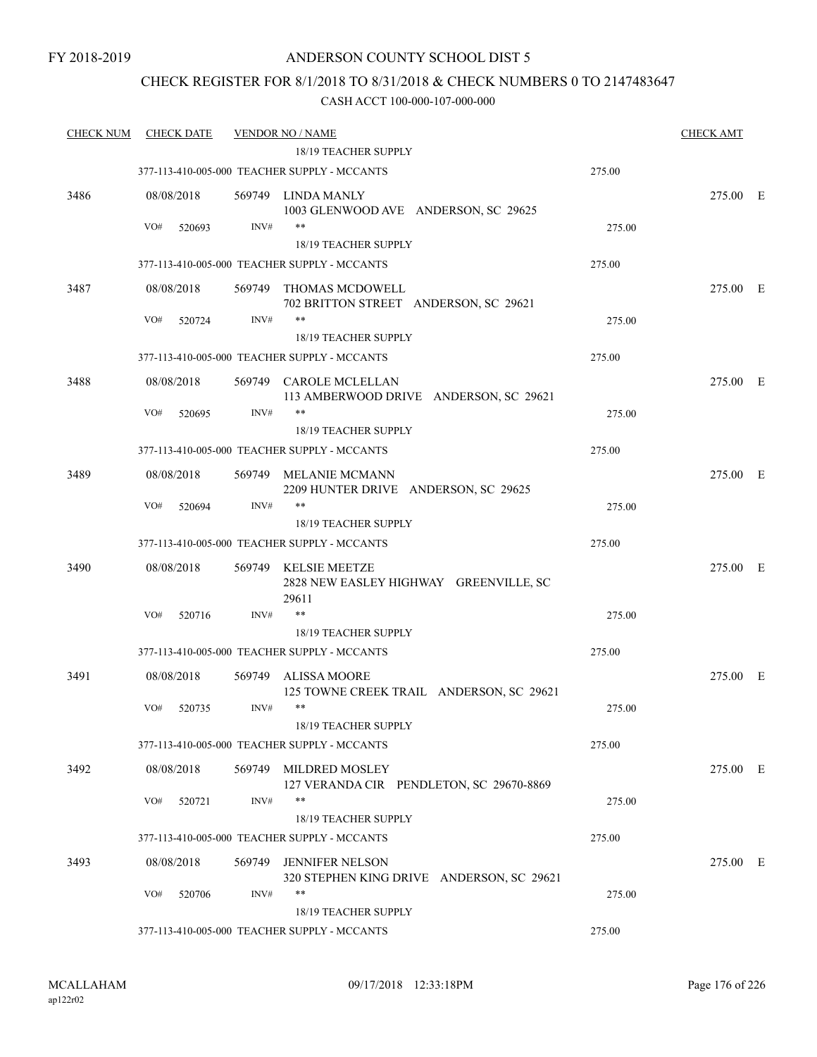### CHECK REGISTER FOR 8/1/2018 TO 8/31/2018 & CHECK NUMBERS 0 TO 2147483647

| <b>CHECK NUM</b> | <b>CHECK DATE</b> |        | <b>VENDOR NO / NAME</b>                                                 |        | <b>CHECK AMT</b> |  |
|------------------|-------------------|--------|-------------------------------------------------------------------------|--------|------------------|--|
|                  |                   |        | 18/19 TEACHER SUPPLY                                                    |        |                  |  |
|                  |                   |        | 377-113-410-005-000 TEACHER SUPPLY - MCCANTS                            | 275.00 |                  |  |
| 3486             | 08/08/2018        |        | 569749 LINDA MANLY<br>1003 GLENWOOD AVE ANDERSON, SC 29625              |        | 275.00 E         |  |
|                  | VO#<br>520693     | INV#   | $***$                                                                   | 275.00 |                  |  |
|                  |                   |        | 18/19 TEACHER SUPPLY                                                    |        |                  |  |
|                  |                   |        | 377-113-410-005-000 TEACHER SUPPLY - MCCANTS                            | 275.00 |                  |  |
| 3487             | 08/08/2018        |        | 569749 THOMAS MCDOWELL<br>702 BRITTON STREET ANDERSON, SC 29621         |        | 275.00 E         |  |
|                  | VO#<br>520724     | INV#   | $***$                                                                   | 275.00 |                  |  |
|                  |                   |        | 18/19 TEACHER SUPPLY                                                    |        |                  |  |
|                  |                   |        | 377-113-410-005-000 TEACHER SUPPLY - MCCANTS                            | 275.00 |                  |  |
| 3488             | 08/08/2018        |        | 569749 CAROLE MCLELLAN                                                  |        | 275.00 E         |  |
|                  |                   |        | 113 AMBERWOOD DRIVE ANDERSON, SC 29621                                  |        |                  |  |
|                  | VO#<br>520695     | INV#   | **                                                                      | 275.00 |                  |  |
|                  |                   |        | 18/19 TEACHER SUPPLY                                                    |        |                  |  |
|                  |                   |        | 377-113-410-005-000 TEACHER SUPPLY - MCCANTS                            | 275.00 |                  |  |
|                  |                   |        |                                                                         |        |                  |  |
| 3489             | 08/08/2018        |        | 569749 MELANIE MCMANN<br>2209 HUNTER DRIVE ANDERSON, SC 29625           |        | 275.00 E         |  |
|                  | VO#<br>520694     | INV#   | $***$                                                                   | 275.00 |                  |  |
|                  |                   |        | 18/19 TEACHER SUPPLY                                                    |        |                  |  |
|                  |                   |        | 377-113-410-005-000 TEACHER SUPPLY - MCCANTS                            | 275.00 |                  |  |
| 3490             | 08/08/2018        |        | 569749 KELSIE MEETZE<br>2828 NEW EASLEY HIGHWAY GREENVILLE, SC<br>29611 |        | 275.00 E         |  |
|                  | VO#<br>520716     | INV#   | $***$                                                                   | 275.00 |                  |  |
|                  |                   |        | 18/19 TEACHER SUPPLY                                                    |        |                  |  |
|                  |                   |        | 377-113-410-005-000 TEACHER SUPPLY - MCCANTS                            | 275.00 |                  |  |
| 3491             | 08/08/2018        |        | 569749 ALISSA MOORE<br>125 TOWNE CREEK TRAIL ANDERSON, SC 29621         |        | 275.00 E         |  |
|                  | VO#<br>520735     | INV#   | $***$                                                                   | 275.00 |                  |  |
|                  |                   |        | 18/19 TEACHER SUPPLY                                                    |        |                  |  |
|                  |                   |        | 377-113-410-005-000 TEACHER SUPPLY - MCCANTS                            | 275.00 |                  |  |
| 3492             | 08/08/2018        | 569749 | MILDRED MOSLEY<br>127 VERANDA CIR PENDLETON, SC 29670-8869              |        | 275.00 E         |  |
|                  | VO#<br>520721     | INV#   | $***$                                                                   | 275.00 |                  |  |
|                  |                   |        | 18/19 TEACHER SUPPLY                                                    |        |                  |  |
|                  |                   |        | 377-113-410-005-000 TEACHER SUPPLY - MCCANTS                            | 275.00 |                  |  |
| 3493             | 08/08/2018        | 569749 | <b>JENNIFER NELSON</b><br>320 STEPHEN KING DRIVE ANDERSON, SC 29621     |        | 275.00 E         |  |
|                  | VO#<br>520706     | INV#   | $***$                                                                   | 275.00 |                  |  |
|                  |                   |        | 18/19 TEACHER SUPPLY                                                    |        |                  |  |
|                  |                   |        | 377-113-410-005-000 TEACHER SUPPLY - MCCANTS                            | 275.00 |                  |  |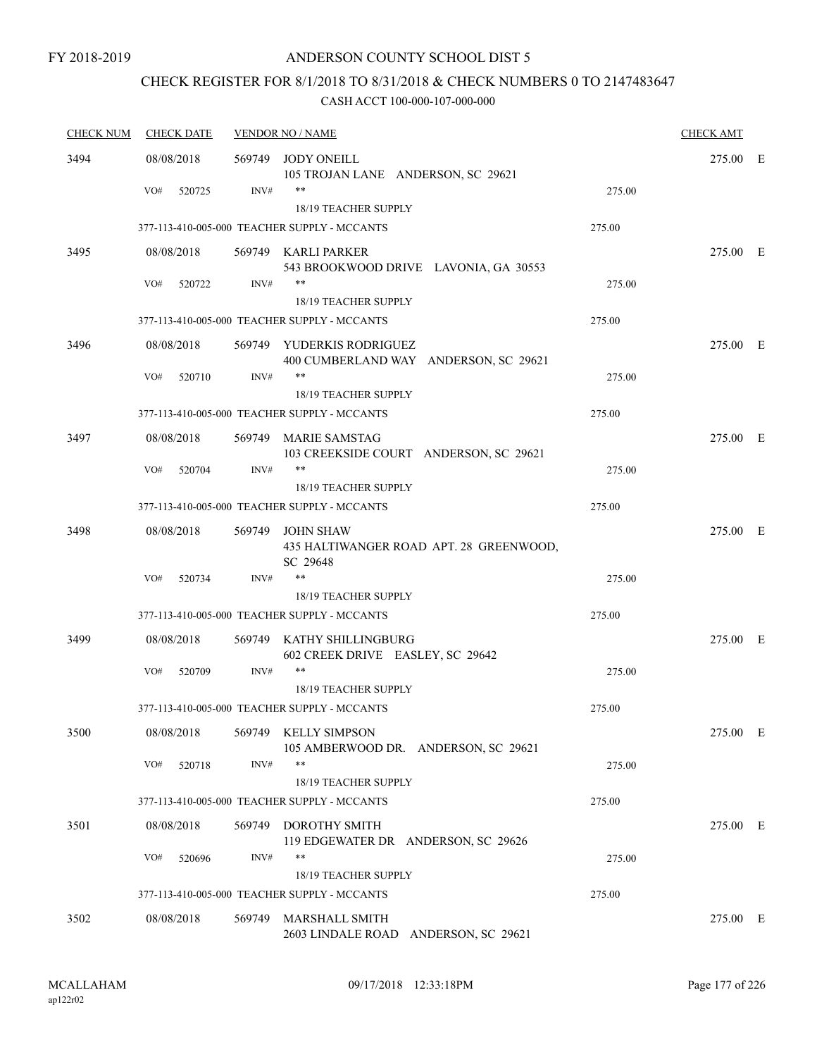# CHECK REGISTER FOR 8/1/2018 TO 8/31/2018 & CHECK NUMBERS 0 TO 2147483647

| <b>CHECK NUM</b> | <b>CHECK DATE</b> | <b>VENDOR NO / NAME</b> |                                                                         | <b>CHECK AMT</b> |          |  |
|------------------|-------------------|-------------------------|-------------------------------------------------------------------------|------------------|----------|--|
| 3494             | 08/08/2018        | 569749                  | <b>JODY ONEILL</b><br>105 TROJAN LANE ANDERSON, SC 29621                |                  | 275.00 E |  |
|                  | VO#<br>520725     | INV#                    | $***$<br>18/19 TEACHER SUPPLY                                           | 275.00           |          |  |
|                  |                   |                         | 377-113-410-005-000 TEACHER SUPPLY - MCCANTS                            | 275.00           |          |  |
| 3495             | 08/08/2018        |                         | 569749 KARLI PARKER<br>543 BROOKWOOD DRIVE LAVONIA, GA 30553            |                  | 275.00 E |  |
|                  | VO#<br>520722     | INV#                    | $***$<br>18/19 TEACHER SUPPLY                                           | 275.00           |          |  |
|                  |                   |                         | 377-113-410-005-000 TEACHER SUPPLY - MCCANTS                            | 275.00           |          |  |
| 3496             | 08/08/2018        |                         | 569749 YUDERKIS RODRIGUEZ<br>400 CUMBERLAND WAY ANDERSON, SC 29621      |                  | 275.00 E |  |
|                  | VO#<br>520710     | INV#                    | $***$<br>18/19 TEACHER SUPPLY                                           | 275.00           |          |  |
|                  |                   |                         | 377-113-410-005-000 TEACHER SUPPLY - MCCANTS                            | 275.00           |          |  |
| 3497             | 08/08/2018        |                         | 569749 MARIE SAMSTAG<br>103 CREEKSIDE COURT ANDERSON, SC 29621          |                  | 275.00 E |  |
|                  | VO#<br>520704     | INV#                    | $***$<br><b>18/19 TEACHER SUPPLY</b>                                    | 275.00           |          |  |
|                  |                   |                         | 377-113-410-005-000 TEACHER SUPPLY - MCCANTS                            | 275.00           |          |  |
| 3498             | 08/08/2018        | 569749                  | <b>JOHN SHAW</b><br>435 HALTIWANGER ROAD APT. 28 GREENWOOD,<br>SC 29648 |                  | 275.00 E |  |
|                  | VO#<br>520734     | INV#                    | $***$<br><b>18/19 TEACHER SUPPLY</b>                                    | 275.00           |          |  |
|                  |                   |                         | 377-113-410-005-000 TEACHER SUPPLY - MCCANTS                            | 275.00           |          |  |
| 3499             | 08/08/2018        | 569749                  | KATHY SHILLINGBURG<br>602 CREEK DRIVE EASLEY, SC 29642                  |                  | 275.00 E |  |
|                  | VO#<br>520709     | INV#                    | $***$<br>18/19 TEACHER SUPPLY                                           | 275.00           |          |  |
|                  |                   |                         | 377-113-410-005-000 TEACHER SUPPLY - MCCANTS                            | 275.00           |          |  |
| 3500             | 08/08/2018        |                         | 569749 KELLY SIMPSON<br>105 AMBERWOOD DR. ANDERSON, SC 29621            |                  | 275.00 E |  |
|                  | VO#<br>520718     | INV#                    | $***$<br>18/19 TEACHER SUPPLY                                           | 275.00           |          |  |
|                  |                   |                         | 377-113-410-005-000 TEACHER SUPPLY - MCCANTS                            | 275.00           |          |  |
| 3501             | 08/08/2018        | 569749                  | <b>DOROTHY SMITH</b><br>119 EDGEWATER DR ANDERSON, SC 29626             |                  | 275.00 E |  |
|                  | VO#<br>520696     | INV#                    | **                                                                      | 275.00           |          |  |
|                  |                   |                         | 18/19 TEACHER SUPPLY<br>377-113-410-005-000 TEACHER SUPPLY - MCCANTS    | 275.00           |          |  |
|                  |                   |                         |                                                                         |                  |          |  |
| 3502             | 08/08/2018        | 569749                  | <b>MARSHALL SMITH</b><br>2603 LINDALE ROAD ANDERSON, SC 29621           |                  | 275.00 E |  |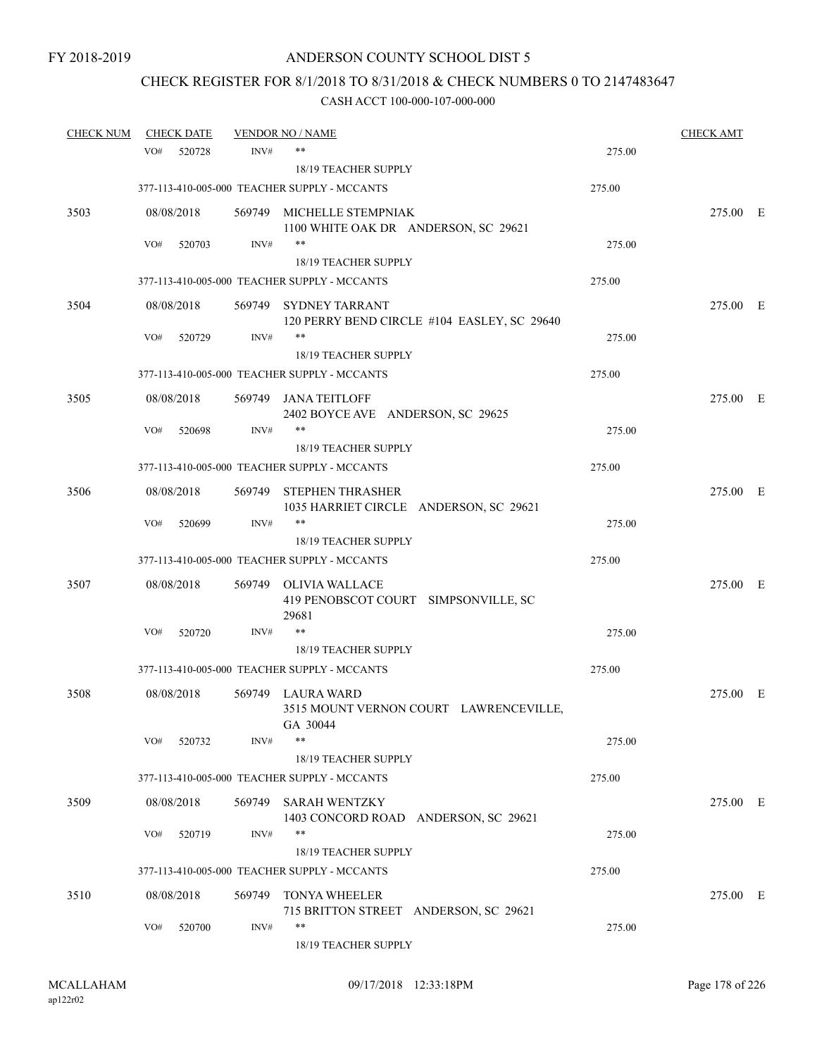# CHECK REGISTER FOR 8/1/2018 TO 8/31/2018 & CHECK NUMBERS 0 TO 2147483647

| <b>CHECK NUM</b> | <b>CHECK DATE</b> |        | <b>VENDOR NO / NAME</b>                                                 |        | <b>CHECK AMT</b> |  |
|------------------|-------------------|--------|-------------------------------------------------------------------------|--------|------------------|--|
|                  | VO#<br>520728     | INV#   | $***$                                                                   | 275.00 |                  |  |
|                  |                   |        | <b>18/19 TEACHER SUPPLY</b>                                             |        |                  |  |
|                  |                   |        | 377-113-410-005-000 TEACHER SUPPLY - MCCANTS                            | 275.00 |                  |  |
| 3503             | 08/08/2018        |        | 569749 MICHELLE STEMPNIAK<br>1100 WHITE OAK DR ANDERSON, SC 29621       |        | 275.00 E         |  |
|                  | VO#<br>520703     | INV#   | $***$                                                                   | 275.00 |                  |  |
|                  |                   |        | 18/19 TEACHER SUPPLY                                                    |        |                  |  |
|                  |                   |        | 377-113-410-005-000 TEACHER SUPPLY - MCCANTS                            | 275.00 |                  |  |
| 3504             | 08/08/2018        |        | 569749 SYDNEY TARRANT<br>120 PERRY BEND CIRCLE #104 EASLEY, SC 29640    |        | 275.00 E         |  |
|                  | VO#<br>520729     | INV#   | $***$<br>18/19 TEACHER SUPPLY                                           | 275.00 |                  |  |
|                  |                   |        | 377-113-410-005-000 TEACHER SUPPLY - MCCANTS                            | 275.00 |                  |  |
| 3505             | 08/08/2018        |        | 569749 JANA TEITLOFF<br>2402 BOYCE AVE ANDERSON, SC 29625               |        | 275.00 E         |  |
|                  | VO#<br>520698     | INV#   |                                                                         | 275.00 |                  |  |
|                  |                   |        | 18/19 TEACHER SUPPLY                                                    |        |                  |  |
|                  |                   |        | 377-113-410-005-000 TEACHER SUPPLY - MCCANTS                            | 275.00 |                  |  |
| 3506             | 08/08/2018        |        | 569749 STEPHEN THRASHER<br>1035 HARRIET CIRCLE ANDERSON, SC 29621       |        | 275.00 E         |  |
|                  | VO#<br>520699     | INV#   | **                                                                      | 275.00 |                  |  |
|                  |                   |        | 18/19 TEACHER SUPPLY                                                    |        |                  |  |
|                  |                   |        | 377-113-410-005-000 TEACHER SUPPLY - MCCANTS                            | 275.00 |                  |  |
| 3507             | 08/08/2018        | 569749 | OLIVIA WALLACE<br>419 PENOBSCOT COURT SIMPSONVILLE, SC<br>29681         |        | 275.00 E         |  |
|                  | VO#<br>520720     | INV#   | $***$                                                                   | 275.00 |                  |  |
|                  |                   |        | <b>18/19 TEACHER SUPPLY</b>                                             |        |                  |  |
|                  |                   |        | 377-113-410-005-000 TEACHER SUPPLY - MCCANTS                            | 275.00 |                  |  |
| 3508             | 08/08/2018        |        | 569749 LAURA WARD<br>3515 MOUNT VERNON COURT LAWRENCEVILLE,<br>GA 30044 |        | 275.00 E         |  |
|                  | VO#<br>520732     | INV#   | $***$                                                                   | 275.00 |                  |  |
|                  |                   |        | 18/19 TEACHER SUPPLY                                                    |        |                  |  |
|                  |                   |        | 377-113-410-005-000 TEACHER SUPPLY - MCCANTS                            | 275.00 |                  |  |
| 3509             | 08/08/2018        | 569749 | <b>SARAH WENTZKY</b><br>1403 CONCORD ROAD ANDERSON, SC 29621            |        | 275.00 E         |  |
|                  | VO#<br>520719     | INV#   | $***$<br>18/19 TEACHER SUPPLY                                           | 275.00 |                  |  |
|                  |                   |        | 377-113-410-005-000 TEACHER SUPPLY - MCCANTS                            | 275.00 |                  |  |
| 3510             | 08/08/2018        | 569749 | <b>TONYA WHEELER</b><br>715 BRITTON STREET ANDERSON, SC 29621           |        | 275.00 E         |  |
|                  | VO#<br>520700     | INV#   | **<br>18/19 TEACHER SUPPLY                                              | 275.00 |                  |  |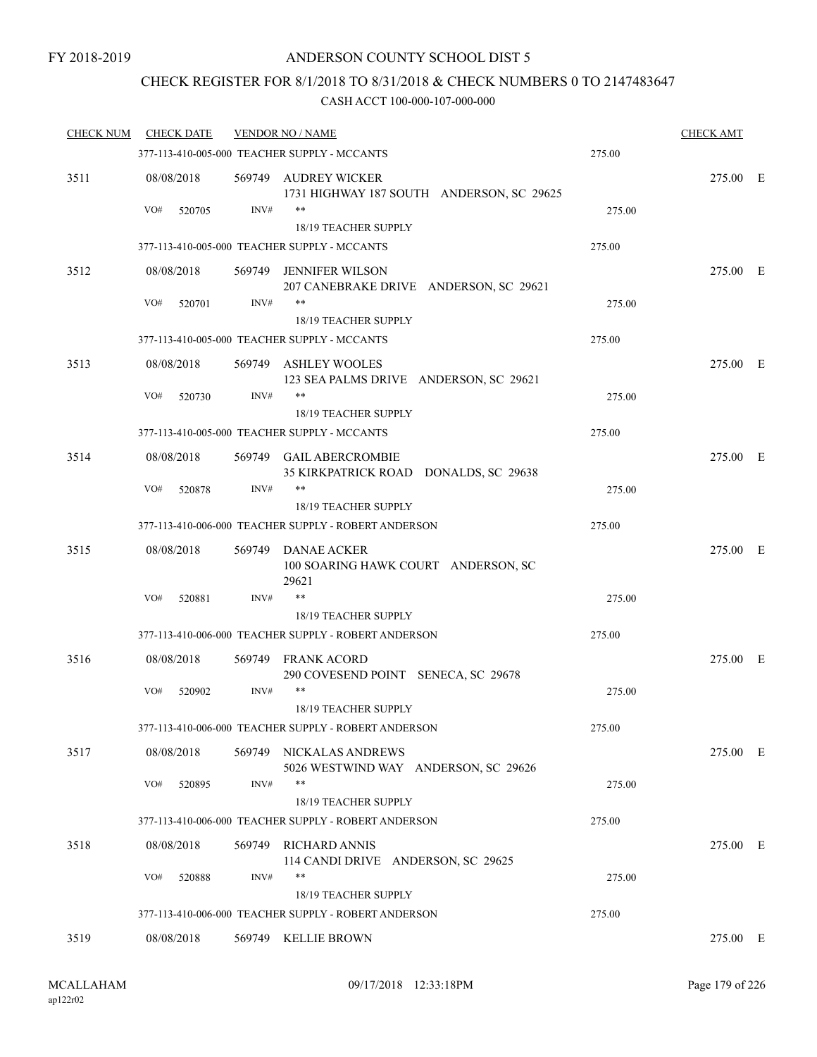### CHECK REGISTER FOR 8/1/2018 TO 8/31/2018 & CHECK NUMBERS 0 TO 2147483647

| <b>CHECK NUM</b> | <b>CHECK DATE</b>           |        | <b>VENDOR NO / NAME</b>                                                      |        | <b>CHECK AMT</b> |  |
|------------------|-----------------------------|--------|------------------------------------------------------------------------------|--------|------------------|--|
|                  |                             |        | 377-113-410-005-000 TEACHER SUPPLY - MCCANTS                                 | 275.00 |                  |  |
| 3511             | 08/08/2018<br>VO#<br>520705 | INV#   | 569749 AUDREY WICKER<br>1731 HIGHWAY 187 SOUTH ANDERSON, SC 29625<br>$***$   | 275.00 | 275.00 E         |  |
|                  |                             |        | 18/19 TEACHER SUPPLY                                                         |        |                  |  |
|                  |                             |        | 377-113-410-005-000 TEACHER SUPPLY - MCCANTS                                 | 275.00 |                  |  |
| 3512             | 08/08/2018                  | 569749 | JENNIFER WILSON<br>207 CANEBRAKE DRIVE ANDERSON, SC 29621                    |        | 275.00 E         |  |
|                  | VO#<br>520701               | INV#   | **<br>18/19 TEACHER SUPPLY                                                   | 275.00 |                  |  |
|                  |                             |        | 377-113-410-005-000 TEACHER SUPPLY - MCCANTS                                 | 275.00 |                  |  |
| 3513             | 08/08/2018                  |        | 569749 ASHLEY WOOLES<br>123 SEA PALMS DRIVE ANDERSON, SC 29621               |        | 275.00 E         |  |
|                  | VO#<br>520730               | INV#   | $***$                                                                        | 275.00 |                  |  |
|                  |                             |        | 18/19 TEACHER SUPPLY                                                         |        |                  |  |
|                  |                             |        | 377-113-410-005-000 TEACHER SUPPLY - MCCANTS                                 | 275.00 |                  |  |
| 3514             | 08/08/2018                  |        | 569749 GAIL ABERCROMBIE<br>35 KIRKPATRICK ROAD DONALDS, SC 29638             |        | 275.00 E         |  |
|                  | VO#<br>520878               | INV#   | $***$<br><b>18/19 TEACHER SUPPLY</b>                                         | 275.00 |                  |  |
|                  |                             |        | 377-113-410-006-000 TEACHER SUPPLY - ROBERT ANDERSON                         | 275.00 |                  |  |
| 3515             | 08/08/2018                  |        | 569749 DANAE ACKER<br>100 SOARING HAWK COURT ANDERSON, SC<br>29621           |        | 275.00 E         |  |
|                  | VO#<br>520881               | INV#   | $\ast\ast$                                                                   | 275.00 |                  |  |
|                  |                             |        | 18/19 TEACHER SUPPLY                                                         |        |                  |  |
|                  |                             |        | 377-113-410-006-000 TEACHER SUPPLY - ROBERT ANDERSON                         | 275.00 |                  |  |
| 3516             | 08/08/2018                  |        | 569749 FRANK ACORD<br>290 COVESEND POINT SENECA, SC 29678                    |        | 275.00 E         |  |
|                  | VO#<br>520902               | INV#   | $***$<br><b>18/19 TEACHER SUPPLY</b>                                         | 275.00 |                  |  |
|                  |                             |        | 377-113-410-006-000 TEACHER SUPPLY - ROBERT ANDERSON                         | 275.00 |                  |  |
| 3517             | 08/08/2018                  |        | 569749 NICKALAS ANDREWS<br>5026 WESTWIND WAY ANDERSON, SC 29626              |        | 275.00 E         |  |
|                  | VO#<br>520895               | INV#   | $***$                                                                        | 275.00 |                  |  |
|                  |                             |        | 18/19 TEACHER SUPPLY<br>377-113-410-006-000 TEACHER SUPPLY - ROBERT ANDERSON | 275.00 |                  |  |
|                  |                             |        | 569749 RICHARD ANNIS                                                         |        |                  |  |
| 3518             | 08/08/2018                  |        | 114 CANDI DRIVE ANDERSON, SC 29625                                           |        | 275.00 E         |  |
|                  | VO#<br>520888               | INV#   | $***$<br>18/19 TEACHER SUPPLY                                                | 275.00 |                  |  |
|                  |                             |        | 377-113-410-006-000 TEACHER SUPPLY - ROBERT ANDERSON                         | 275.00 |                  |  |
| 3519             | 08/08/2018                  |        | 569749 KELLIE BROWN                                                          |        | 275.00 E         |  |
|                  |                             |        |                                                                              |        |                  |  |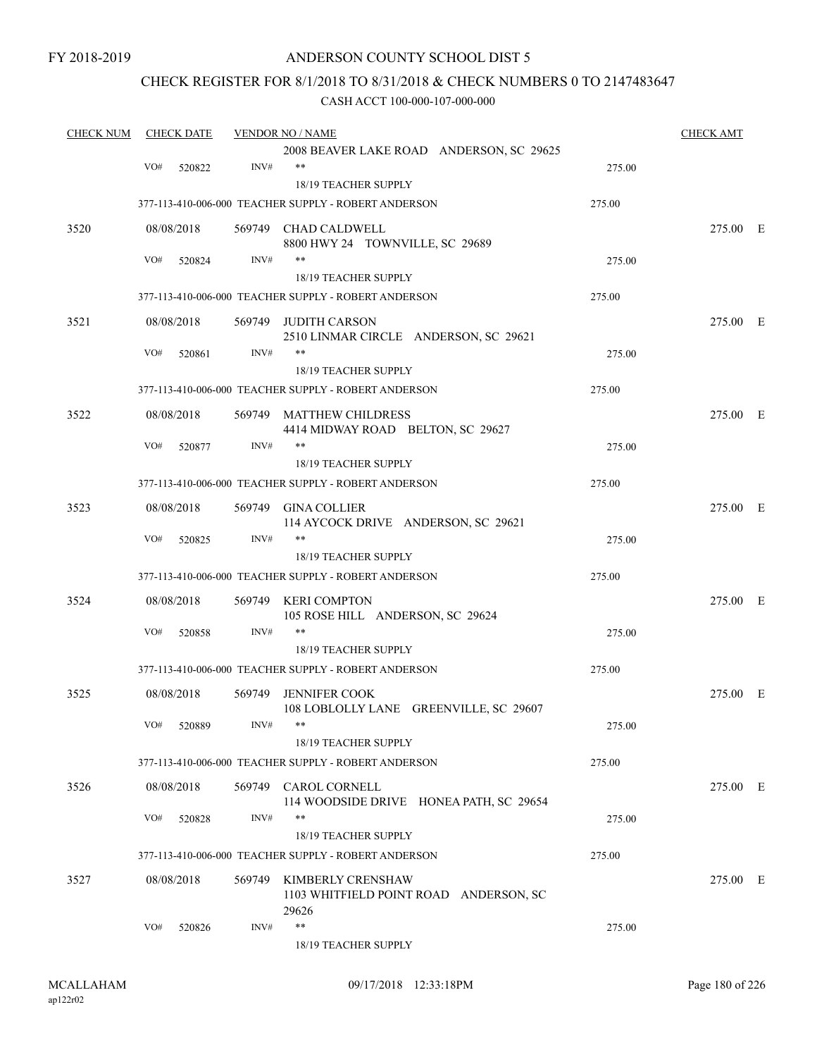FY 2018-2019

### ANDERSON COUNTY SCHOOL DIST 5

### CHECK REGISTER FOR 8/1/2018 TO 8/31/2018 & CHECK NUMBERS 0 TO 2147483647

| <b>CHECK NUM</b> |     | <b>CHECK DATE</b> |      | <b>VENDOR NO / NAME</b>                              |        | <b>CHECK AMT</b> |  |
|------------------|-----|-------------------|------|------------------------------------------------------|--------|------------------|--|
|                  |     |                   |      | 2008 BEAVER LAKE ROAD ANDERSON, SC 29625             |        |                  |  |
|                  | VO# | 520822            | INV# | $***$                                                | 275.00 |                  |  |
|                  |     |                   |      | 18/19 TEACHER SUPPLY                                 |        |                  |  |
|                  |     |                   |      | 377-113-410-006-000 TEACHER SUPPLY - ROBERT ANDERSON | 275.00 |                  |  |
| 3520             |     | 08/08/2018        |      | 569749 CHAD CALDWELL                                 |        | 275.00 E         |  |
|                  |     |                   |      | 8800 HWY 24 TOWNVILLE, SC 29689                      |        |                  |  |
|                  | VO# | 520824            | INV# | **                                                   | 275.00 |                  |  |
|                  |     |                   |      | 18/19 TEACHER SUPPLY                                 |        |                  |  |
|                  |     |                   |      | 377-113-410-006-000 TEACHER SUPPLY - ROBERT ANDERSON | 275.00 |                  |  |
| 3521             |     | 08/08/2018        |      | 569749 JUDITH CARSON                                 |        | 275.00 E         |  |
|                  |     |                   |      | 2510 LINMAR CIRCLE ANDERSON, SC 29621                |        |                  |  |
|                  | VO# | 520861            | INV# | **                                                   | 275.00 |                  |  |
|                  |     |                   |      | 18/19 TEACHER SUPPLY                                 |        |                  |  |
|                  |     |                   |      | 377-113-410-006-000 TEACHER SUPPLY - ROBERT ANDERSON | 275.00 |                  |  |
| 3522             |     | 08/08/2018        |      | 569749 MATTHEW CHILDRESS                             |        | 275.00 E         |  |
|                  |     |                   |      | 4414 MIDWAY ROAD BELTON, SC 29627                    |        |                  |  |
|                  | VO# | 520877            | INV# | **                                                   | 275.00 |                  |  |
|                  |     |                   |      | 18/19 TEACHER SUPPLY                                 |        |                  |  |
|                  |     |                   |      | 377-113-410-006-000 TEACHER SUPPLY - ROBERT ANDERSON | 275.00 |                  |  |
| 3523             |     | 08/08/2018        |      | 569749 GINA COLLIER                                  |        | 275.00 E         |  |
|                  |     |                   |      | 114 AYCOCK DRIVE ANDERSON, SC 29621                  |        |                  |  |
|                  | VO# | 520825            | INV# | **                                                   | 275.00 |                  |  |
|                  |     |                   |      | 18/19 TEACHER SUPPLY                                 |        |                  |  |
|                  |     |                   |      | 377-113-410-006-000 TEACHER SUPPLY - ROBERT ANDERSON | 275.00 |                  |  |
| 3524             |     | 08/08/2018        |      | 569749 KERI COMPTON                                  |        | 275.00 E         |  |
|                  |     |                   |      | 105 ROSE HILL ANDERSON, SC 29624                     |        |                  |  |
|                  | VO# | 520858            | INV# | **                                                   | 275.00 |                  |  |
|                  |     |                   |      | 18/19 TEACHER SUPPLY                                 |        |                  |  |
|                  |     |                   |      | 377-113-410-006-000 TEACHER SUPPLY - ROBERT ANDERSON | 275.00 |                  |  |
| 3525             |     | 08/08/2018        |      | 569749 JENNIFER COOK                                 |        | 275.00 E         |  |
|                  |     |                   |      | 108 LOBLOLLY LANE GREENVILLE, SC 29607               |        |                  |  |
|                  |     | VO# 520889        | INV# | **                                                   | 275.00 |                  |  |
|                  |     |                   |      | 18/19 TEACHER SUPPLY                                 |        |                  |  |
|                  |     |                   |      | 377-113-410-006-000 TEACHER SUPPLY - ROBERT ANDERSON | 275.00 |                  |  |
| 3526             |     | 08/08/2018        |      | 569749 CAROL CORNELL                                 |        | 275.00 E         |  |
|                  |     |                   |      | 114 WOODSIDE DRIVE HONEA PATH, SC 29654              |        |                  |  |
|                  | VO# | 520828            | INV# | **                                                   | 275.00 |                  |  |
|                  |     |                   |      | 18/19 TEACHER SUPPLY                                 |        |                  |  |
|                  |     |                   |      | 377-113-410-006-000 TEACHER SUPPLY - ROBERT ANDERSON | 275.00 |                  |  |
| 3527             |     | 08/08/2018        |      | 569749 KIMBERLY CRENSHAW                             |        | 275.00 E         |  |
|                  |     |                   |      | 1103 WHITFIELD POINT ROAD ANDERSON, SC               |        |                  |  |
|                  |     |                   |      | 29626                                                |        |                  |  |
|                  | VO# | 520826            | INV# | $***$                                                | 275.00 |                  |  |
|                  |     |                   |      | 18/19 TEACHER SUPPLY                                 |        |                  |  |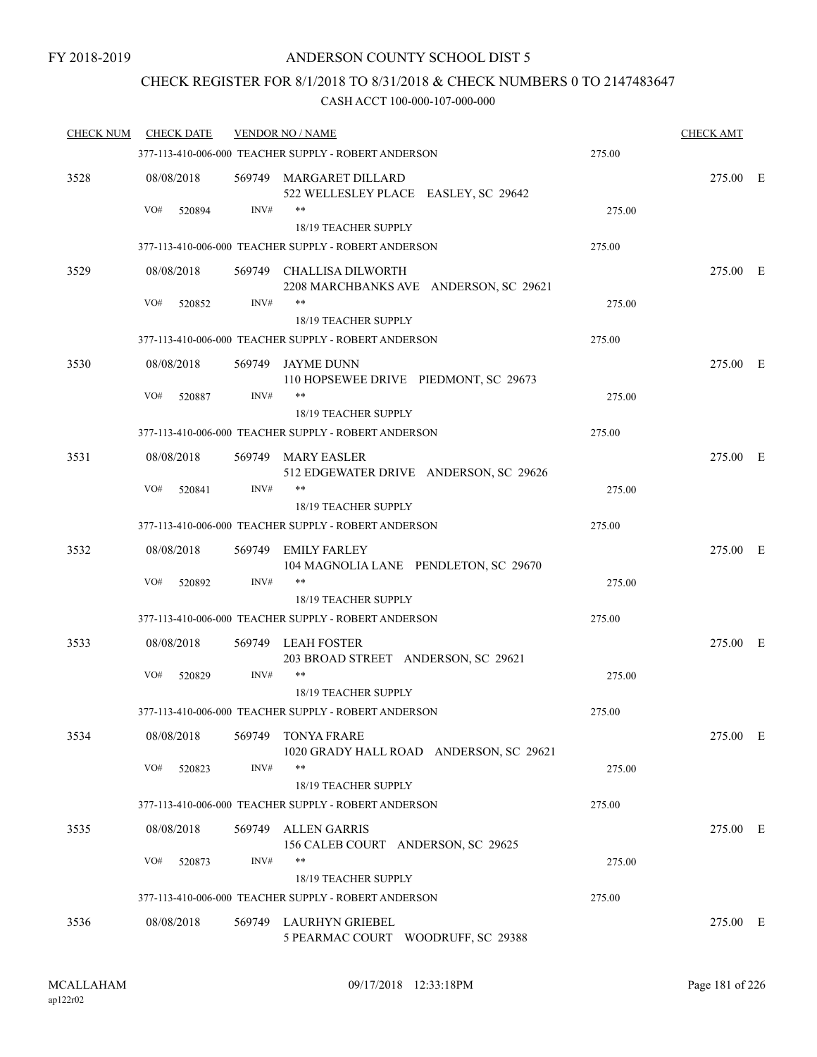### CHECK REGISTER FOR 8/1/2018 TO 8/31/2018 & CHECK NUMBERS 0 TO 2147483647

| <b>CHECK NUM</b> | <b>CHECK DATE</b> |        | <b>VENDOR NO / NAME</b>                                            |        | <b>CHECK AMT</b> |  |
|------------------|-------------------|--------|--------------------------------------------------------------------|--------|------------------|--|
|                  |                   |        | 377-113-410-006-000 TEACHER SUPPLY - ROBERT ANDERSON               | 275.00 |                  |  |
| 3528             | 08/08/2018        |        | 569749 MARGARET DILLARD<br>522 WELLESLEY PLACE EASLEY, SC 29642    |        | 275.00 E         |  |
|                  | VO#<br>520894     | INV#   | **<br>18/19 TEACHER SUPPLY                                         | 275.00 |                  |  |
|                  |                   |        | 377-113-410-006-000 TEACHER SUPPLY - ROBERT ANDERSON               | 275.00 |                  |  |
| 3529             | 08/08/2018        |        | 569749 CHALLISA DILWORTH<br>2208 MARCHBANKS AVE ANDERSON, SC 29621 |        | 275.00 E         |  |
|                  | VO#<br>520852     | INV#   | **<br>18/19 TEACHER SUPPLY                                         | 275.00 |                  |  |
|                  |                   |        | 377-113-410-006-000 TEACHER SUPPLY - ROBERT ANDERSON               | 275.00 |                  |  |
| 3530             | 08/08/2018        |        | 569749 JAYME DUNN<br>110 HOPSEWEE DRIVE PIEDMONT, SC 29673         |        | 275.00 E         |  |
|                  | VO#<br>520887     | INV#   |                                                                    | 275.00 |                  |  |
|                  |                   |        | 18/19 TEACHER SUPPLY                                               |        |                  |  |
|                  |                   |        | 377-113-410-006-000 TEACHER SUPPLY - ROBERT ANDERSON               | 275.00 |                  |  |
| 3531             | 08/08/2018        |        | 569749 MARY EASLER<br>512 EDGEWATER DRIVE ANDERSON, SC 29626       |        | 275.00 E         |  |
|                  | VO#<br>520841     | INV#   | **<br>18/19 TEACHER SUPPLY                                         | 275.00 |                  |  |
|                  |                   |        | 377-113-410-006-000 TEACHER SUPPLY - ROBERT ANDERSON               | 275.00 |                  |  |
| 3532             | 08/08/2018        |        | 569749 EMILY FARLEY<br>104 MAGNOLIA LANE PENDLETON, SC 29670       |        | 275.00 E         |  |
|                  | VO#<br>520892     | INV#   | **<br>18/19 TEACHER SUPPLY                                         | 275.00 |                  |  |
|                  |                   |        | 377-113-410-006-000 TEACHER SUPPLY - ROBERT ANDERSON               | 275.00 |                  |  |
| 3533             | 08/08/2018        |        | 569749 LEAH FOSTER<br>203 BROAD STREET ANDERSON, SC 29621          |        | 275.00 E         |  |
|                  | VO#<br>520829     | INV#   | **                                                                 | 275.00 |                  |  |
|                  |                   |        | 18/19 TEACHER SUPPLY                                               |        |                  |  |
|                  |                   |        | 377-113-410-006-000 TEACHER SUPPLY - ROBERT ANDERSON               | 275.00 |                  |  |
| 3534             | 08/08/2018        | 569749 | <b>TONYA FRARE</b><br>1020 GRADY HALL ROAD ANDERSON, SC 29621      |        | 275.00 E         |  |
|                  | VO#<br>520823     | INV#   | **<br>18/19 TEACHER SUPPLY                                         | 275.00 |                  |  |
|                  |                   |        | 377-113-410-006-000 TEACHER SUPPLY - ROBERT ANDERSON               | 275.00 |                  |  |
| 3535             | 08/08/2018        |        | 569749 ALLEN GARRIS<br>156 CALEB COURT ANDERSON, SC 29625          |        | 275.00 E         |  |
|                  | VO#<br>520873     | INV#   | **<br>18/19 TEACHER SUPPLY                                         | 275.00 |                  |  |
|                  |                   |        | 377-113-410-006-000 TEACHER SUPPLY - ROBERT ANDERSON               | 275.00 |                  |  |
| 3536             | 08/08/2018        |        | 569749 LAURHYN GRIEBEL<br>5 PEARMAC COURT WOODRUFF, SC 29388       |        | 275.00 E         |  |
|                  |                   |        |                                                                    |        |                  |  |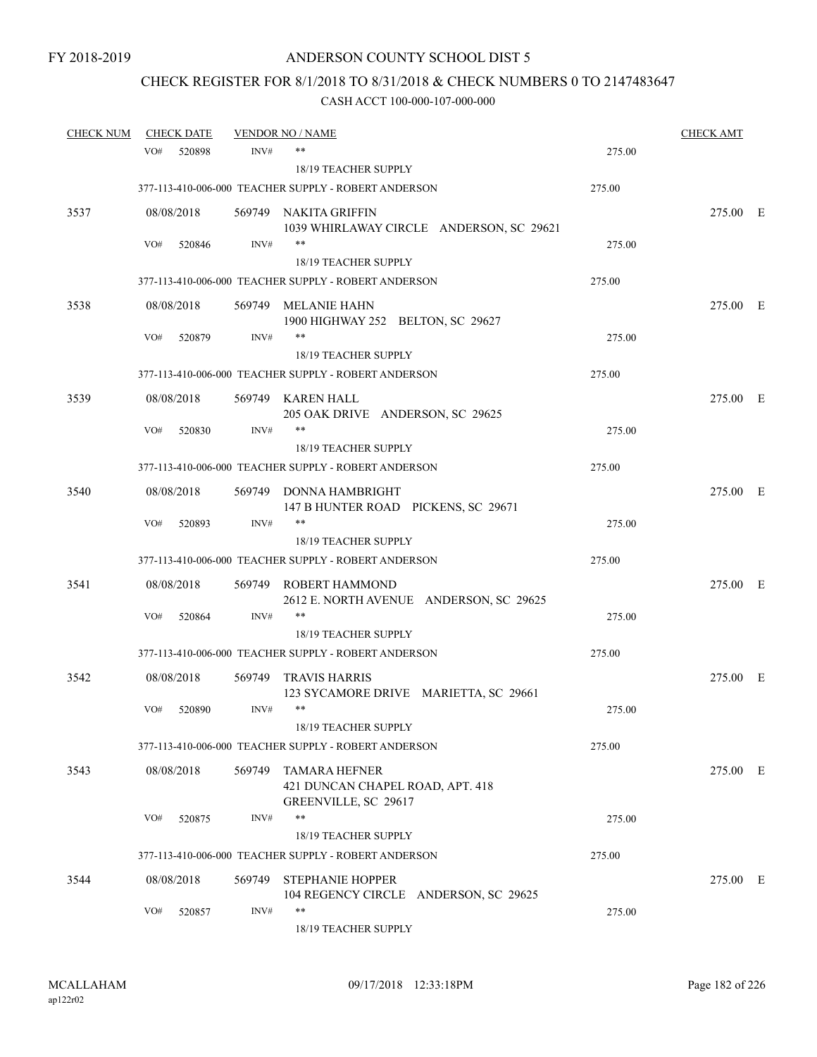# CHECK REGISTER FOR 8/1/2018 TO 8/31/2018 & CHECK NUMBERS 0 TO 2147483647

| <b>CHECK NUM</b> |     | <b>CHECK DATE</b> |        | <b>VENDOR NO / NAME</b>                                                          |        | <b>CHECK AMT</b> |  |
|------------------|-----|-------------------|--------|----------------------------------------------------------------------------------|--------|------------------|--|
|                  | VO# | 520898            | INV#   | **                                                                               | 275.00 |                  |  |
|                  |     |                   |        | <b>18/19 TEACHER SUPPLY</b>                                                      |        |                  |  |
|                  |     |                   |        | 377-113-410-006-000 TEACHER SUPPLY - ROBERT ANDERSON                             | 275.00 |                  |  |
| 3537             |     | 08/08/2018        |        | 569749 NAKITA GRIFFIN<br>1039 WHIRLAWAY CIRCLE ANDERSON, SC 29621                |        | 275.00 E         |  |
|                  | VO# | 520846            | INV#   | $***$                                                                            | 275.00 |                  |  |
|                  |     |                   |        | <b>18/19 TEACHER SUPPLY</b>                                                      |        |                  |  |
|                  |     |                   |        | 377-113-410-006-000 TEACHER SUPPLY - ROBERT ANDERSON                             | 275.00 |                  |  |
| 3538             |     | 08/08/2018        |        | 569749 MELANIE HAHN<br>1900 HIGHWAY 252 BELTON, SC 29627                         |        | 275.00 E         |  |
|                  | VO# | 520879            | INV#   | $***$                                                                            | 275.00 |                  |  |
|                  |     |                   |        | 18/19 TEACHER SUPPLY                                                             |        |                  |  |
|                  |     |                   |        | 377-113-410-006-000 TEACHER SUPPLY - ROBERT ANDERSON                             | 275.00 |                  |  |
| 3539             |     | 08/08/2018        |        | 569749 KAREN HALL<br>205 OAK DRIVE ANDERSON, SC 29625                            |        | 275.00 E         |  |
|                  | VO# | 520830            | INV#   |                                                                                  | 275.00 |                  |  |
|                  |     |                   |        | <b>18/19 TEACHER SUPPLY</b>                                                      |        |                  |  |
|                  |     |                   |        | 377-113-410-006-000 TEACHER SUPPLY - ROBERT ANDERSON                             | 275.00 |                  |  |
| 3540             |     | 08/08/2018        |        | 569749 DONNA HAMBRIGHT<br>147 B HUNTER ROAD PICKENS, SC 29671                    |        | 275.00 E         |  |
|                  | VO# | 520893            | INV#   | **                                                                               | 275.00 |                  |  |
|                  |     |                   |        | 18/19 TEACHER SUPPLY                                                             |        |                  |  |
|                  |     |                   |        | 377-113-410-006-000 TEACHER SUPPLY - ROBERT ANDERSON                             | 275.00 |                  |  |
| 3541             |     | 08/08/2018        | 569749 | ROBERT HAMMOND<br>2612 E. NORTH AVENUE ANDERSON, SC 29625                        |        | 275.00 E         |  |
|                  | VO# | 520864            | INV#   | **                                                                               | 275.00 |                  |  |
|                  |     |                   |        | 18/19 TEACHER SUPPLY                                                             |        |                  |  |
|                  |     |                   |        | 377-113-410-006-000 TEACHER SUPPLY - ROBERT ANDERSON                             | 275.00 |                  |  |
| 3542             |     | 08/08/2018        | 569749 | <b>TRAVIS HARRIS</b><br>123 SYCAMORE DRIVE MARIETTA, SC 29661                    |        | 275.00 E         |  |
|                  | VO# | 520890            | INV#   | **                                                                               | 275.00 |                  |  |
|                  |     |                   |        | 18/19 TEACHER SUPPLY                                                             |        |                  |  |
|                  |     |                   |        | 377-113-410-006-000 TEACHER SUPPLY - ROBERT ANDERSON                             | 275.00 |                  |  |
| 3543             |     | 08/08/2018        | 569749 | <b>TAMARA HEFNER</b><br>421 DUNCAN CHAPEL ROAD, APT. 418<br>GREENVILLE, SC 29617 |        | 275.00 E         |  |
|                  | VO# | 520875            | INV#   | $***$                                                                            | 275.00 |                  |  |
|                  |     |                   |        | 18/19 TEACHER SUPPLY                                                             |        |                  |  |
|                  |     |                   |        | 377-113-410-006-000 TEACHER SUPPLY - ROBERT ANDERSON                             | 275.00 |                  |  |
| 3544             |     | 08/08/2018        | 569749 | <b>STEPHANIE HOPPER</b>                                                          |        | 275.00 E         |  |
|                  |     |                   |        | 104 REGENCY CIRCLE ANDERSON, SC 29625                                            |        |                  |  |
|                  | VO# | 520857            | INV#   | **<br>18/19 TEACHER SUPPLY                                                       | 275.00 |                  |  |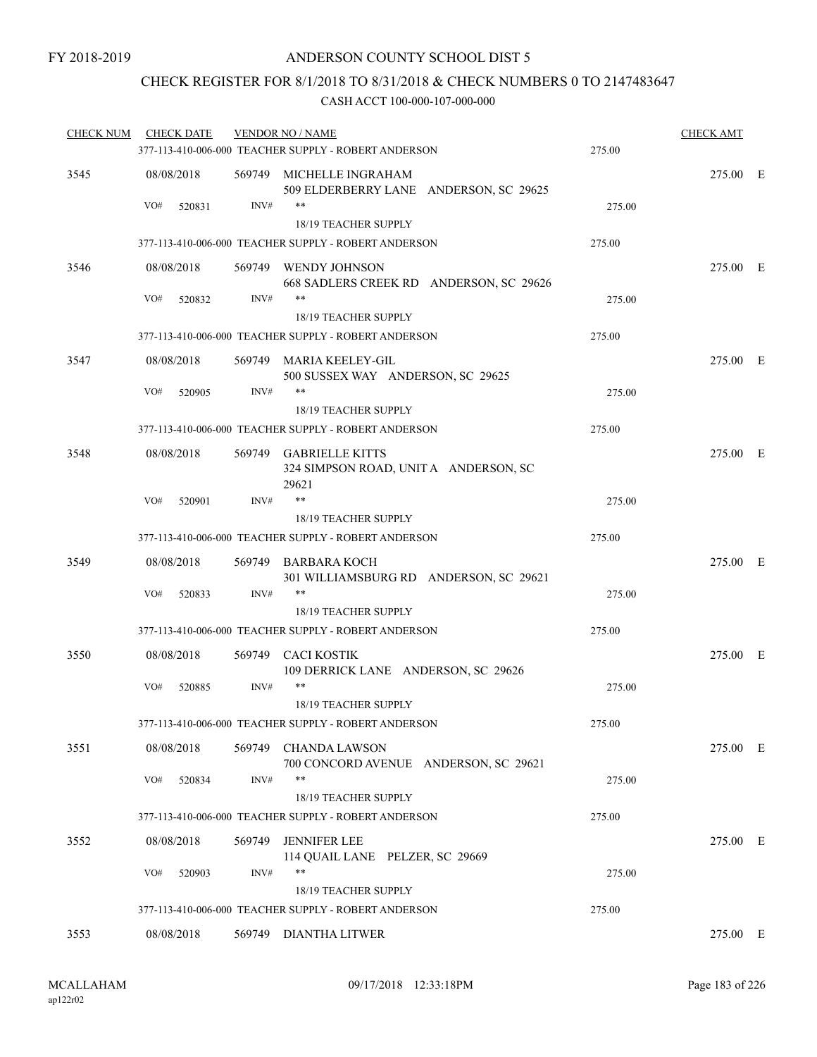### CHECK REGISTER FOR 8/1/2018 TO 8/31/2018 & CHECK NUMBERS 0 TO 2147483647

| <b>CHECK NUM</b> | <b>CHECK DATE</b> |        | <b>VENDOR NO / NAME</b>                                                  |        | <b>CHECK AMT</b> |  |
|------------------|-------------------|--------|--------------------------------------------------------------------------|--------|------------------|--|
|                  |                   |        | 377-113-410-006-000 TEACHER SUPPLY - ROBERT ANDERSON                     | 275.00 |                  |  |
| 3545             | 08/08/2018        |        | 569749 MICHELLE INGRAHAM<br>509 ELDERBERRY LANE ANDERSON, SC 29625       |        | 275.00 E         |  |
|                  | VO#<br>520831     | INV#   | **<br>18/19 TEACHER SUPPLY                                               | 275.00 |                  |  |
|                  |                   |        | 377-113-410-006-000 TEACHER SUPPLY - ROBERT ANDERSON                     | 275.00 |                  |  |
| 3546             | 08/08/2018        |        | 569749 WENDY JOHNSON<br>668 SADLERS CREEK RD ANDERSON, SC 29626          |        | 275.00 E         |  |
|                  | VO#<br>520832     | INV#   | **<br>18/19 TEACHER SUPPLY                                               | 275.00 |                  |  |
|                  |                   |        | 377-113-410-006-000 TEACHER SUPPLY - ROBERT ANDERSON                     | 275.00 |                  |  |
| 3547             | 08/08/2018        |        | 569749 MARIA KEELEY-GIL<br>500 SUSSEX WAY ANDERSON, SC 29625             |        | 275.00 E         |  |
|                  | VO#<br>520905     | INV#   | **<br><b>18/19 TEACHER SUPPLY</b>                                        | 275.00 |                  |  |
|                  |                   |        | 377-113-410-006-000 TEACHER SUPPLY - ROBERT ANDERSON                     | 275.00 |                  |  |
| 3548             | 08/08/2018        |        | 569749 GABRIELLE KITTS<br>324 SIMPSON ROAD, UNIT A ANDERSON, SC<br>29621 |        | 275.00 E         |  |
|                  | VO#<br>520901     | INV#   | $***$                                                                    | 275.00 |                  |  |
|                  |                   |        | 18/19 TEACHER SUPPLY                                                     |        |                  |  |
|                  |                   |        | 377-113-410-006-000 TEACHER SUPPLY - ROBERT ANDERSON                     | 275.00 |                  |  |
| 3549             | 08/08/2018        |        | 569749 BARBARA KOCH<br>301 WILLIAMSBURG RD ANDERSON, SC 29621            |        | 275.00 E         |  |
|                  | VO#<br>520833     | INV#   | $***$<br>18/19 TEACHER SUPPLY                                            | 275.00 |                  |  |
|                  |                   |        | 377-113-410-006-000 TEACHER SUPPLY - ROBERT ANDERSON                     | 275.00 |                  |  |
| 3550             | 08/08/2018        | 569749 | <b>CACI KOSTIK</b><br>109 DERRICK LANE ANDERSON, SC 29626                |        | 275.00 E         |  |
|                  | VO#<br>520885     | INV#   | **<br>18/19 TEACHER SUPPLY                                               | 275.00 |                  |  |
|                  |                   |        | 377-113-410-006-000 TEACHER SUPPLY - ROBERT ANDERSON                     | 275.00 |                  |  |
| 3551             | 08/08/2018        |        | 569749 CHANDA LAWSON<br>700 CONCORD AVENUE ANDERSON, SC 29621            |        | 275.00 E         |  |
|                  | VO#<br>520834     | INV#   | **                                                                       | 275.00 |                  |  |
|                  |                   |        | 18/19 TEACHER SUPPLY                                                     |        |                  |  |
|                  |                   |        | 377-113-410-006-000 TEACHER SUPPLY - ROBERT ANDERSON                     | 275.00 |                  |  |
| 3552             | 08/08/2018        |        | 569749 JENNIFER LEE<br>114 QUAIL LANE PELZER, SC 29669                   |        | 275.00 E         |  |
|                  | VO#<br>520903     | INV#   | **<br><b>18/19 TEACHER SUPPLY</b>                                        | 275.00 |                  |  |
|                  |                   |        | 377-113-410-006-000 TEACHER SUPPLY - ROBERT ANDERSON                     | 275.00 |                  |  |
| 3553             | 08/08/2018        |        | 569749 DIANTHA LITWER                                                    |        | 275.00 E         |  |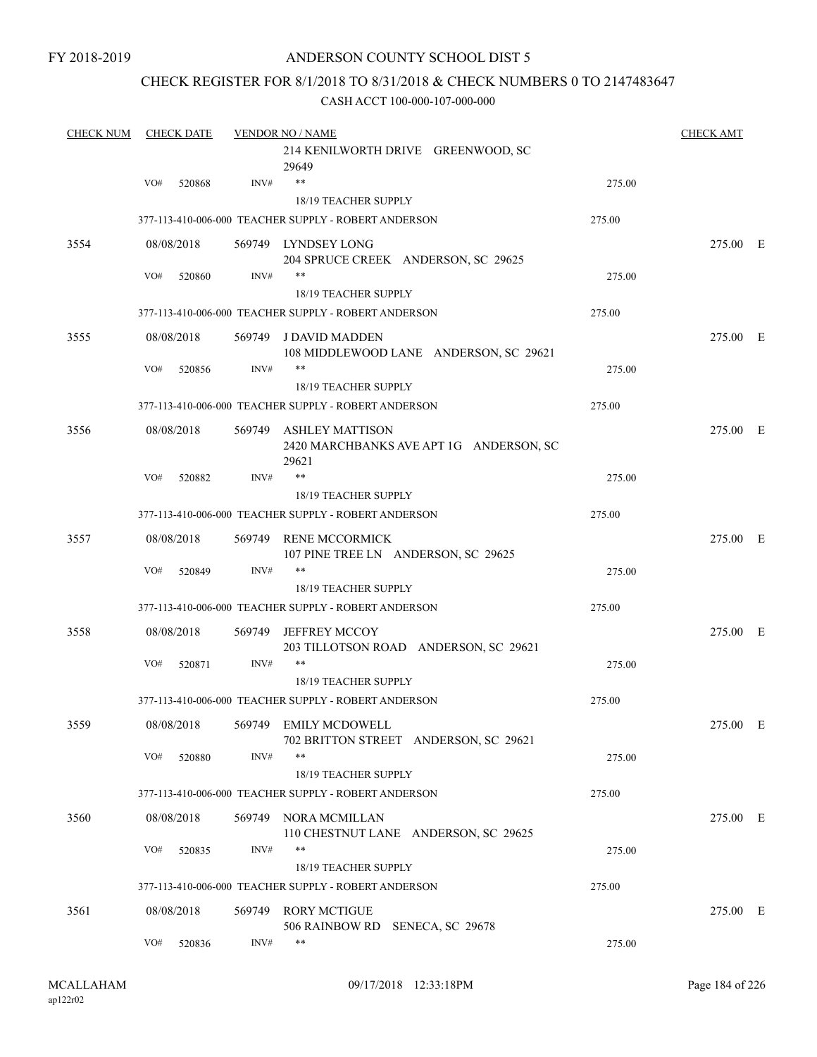### CHECK REGISTER FOR 8/1/2018 TO 8/31/2018 & CHECK NUMBERS 0 TO 2147483647

| <b>CHECK NUM</b> | <b>CHECK DATE</b> |            | <b>VENDOR NO / NAME</b> |                                                                            |        |          |  |
|------------------|-------------------|------------|-------------------------|----------------------------------------------------------------------------|--------|----------|--|
|                  |                   |            |                         | 214 KENILWORTH DRIVE GREENWOOD, SC<br>29649                                |        |          |  |
|                  | VO#               | 520868     | INV#                    | $***$                                                                      | 275.00 |          |  |
|                  |                   |            |                         | 18/19 TEACHER SUPPLY                                                       |        |          |  |
|                  |                   |            |                         | 377-113-410-006-000 TEACHER SUPPLY - ROBERT ANDERSON                       | 275.00 |          |  |
| 3554             |                   | 08/08/2018 |                         | 569749 LYNDSEY LONG<br>204 SPRUCE CREEK ANDERSON, SC 29625                 |        | 275.00 E |  |
|                  | VO#               | 520860     | INV#                    | $***$                                                                      | 275.00 |          |  |
|                  |                   |            |                         | 18/19 TEACHER SUPPLY                                                       |        |          |  |
|                  |                   |            |                         | 377-113-410-006-000 TEACHER SUPPLY - ROBERT ANDERSON                       | 275.00 |          |  |
| 3555             |                   | 08/08/2018 |                         | 569749 J DAVID MADDEN<br>108 MIDDLEWOOD LANE ANDERSON, SC 29621            |        | 275.00 E |  |
|                  | VO#               | 520856     | INV#                    | **                                                                         | 275.00 |          |  |
|                  |                   |            |                         | 18/19 TEACHER SUPPLY                                                       |        |          |  |
|                  |                   |            |                         | 377-113-410-006-000 TEACHER SUPPLY - ROBERT ANDERSON                       | 275.00 |          |  |
| 3556             |                   | 08/08/2018 |                         | 569749 ASHLEY MATTISON<br>2420 MARCHBANKS AVE APT 1G ANDERSON, SC<br>29621 |        | 275.00 E |  |
|                  | VO#               | 520882     | INV#                    | $***$                                                                      | 275.00 |          |  |
|                  |                   |            |                         | 18/19 TEACHER SUPPLY                                                       |        |          |  |
|                  |                   |            |                         | 377-113-410-006-000 TEACHER SUPPLY - ROBERT ANDERSON                       | 275.00 |          |  |
| 3557             |                   | 08/08/2018 | 569749                  | <b>RENE MCCORMICK</b><br>107 PINE TREE LN ANDERSON, SC 29625               |        | 275.00 E |  |
|                  | VO#               | 520849     | INV#                    | $***$                                                                      | 275.00 |          |  |
|                  |                   |            |                         | 18/19 TEACHER SUPPLY                                                       |        |          |  |
|                  |                   |            |                         | 377-113-410-006-000 TEACHER SUPPLY - ROBERT ANDERSON                       | 275.00 |          |  |
| 3558             |                   | 08/08/2018 | 569749                  | JEFFREY MCCOY<br>203 TILLOTSON ROAD ANDERSON, SC 29621                     |        | 275.00 E |  |
|                  | VO#               | 520871     | INV#                    | $***$                                                                      | 275.00 |          |  |
|                  |                   |            |                         | 18/19 TEACHER SUPPLY                                                       |        |          |  |
|                  |                   |            |                         | 377-113-410-006-000 TEACHER SUPPLY - ROBERT ANDERSON                       | 275.00 |          |  |
| 3559             |                   |            |                         | 08/08/2018 569749 EMILY MCDOWELL<br>702 BRITTON STREET ANDERSON, SC 29621  |        | 275.00 E |  |
|                  | VO#               | 520880     | INV#                    | **                                                                         | 275.00 |          |  |
|                  |                   |            |                         | 18/19 TEACHER SUPPLY                                                       |        |          |  |
|                  |                   |            |                         | 377-113-410-006-000 TEACHER SUPPLY - ROBERT ANDERSON                       | 275.00 |          |  |
| 3560             |                   | 08/08/2018 |                         | 569749 NORA MCMILLAN<br>110 CHESTNUT LANE ANDERSON, SC 29625               |        | 275.00 E |  |
|                  | VO#               | 520835     | INV#                    | $***$<br>18/19 TEACHER SUPPLY                                              | 275.00 |          |  |
|                  |                   |            |                         | 377-113-410-006-000 TEACHER SUPPLY - ROBERT ANDERSON                       | 275.00 |          |  |
| 3561             |                   | 08/08/2018 | 569749                  | <b>RORY MCTIGUE</b>                                                        |        | 275.00 E |  |
|                  | VO#               | 520836     | INV#                    | 506 RAINBOW RD SENECA, SC 29678<br>$***$                                   | 275.00 |          |  |
|                  |                   |            |                         |                                                                            |        |          |  |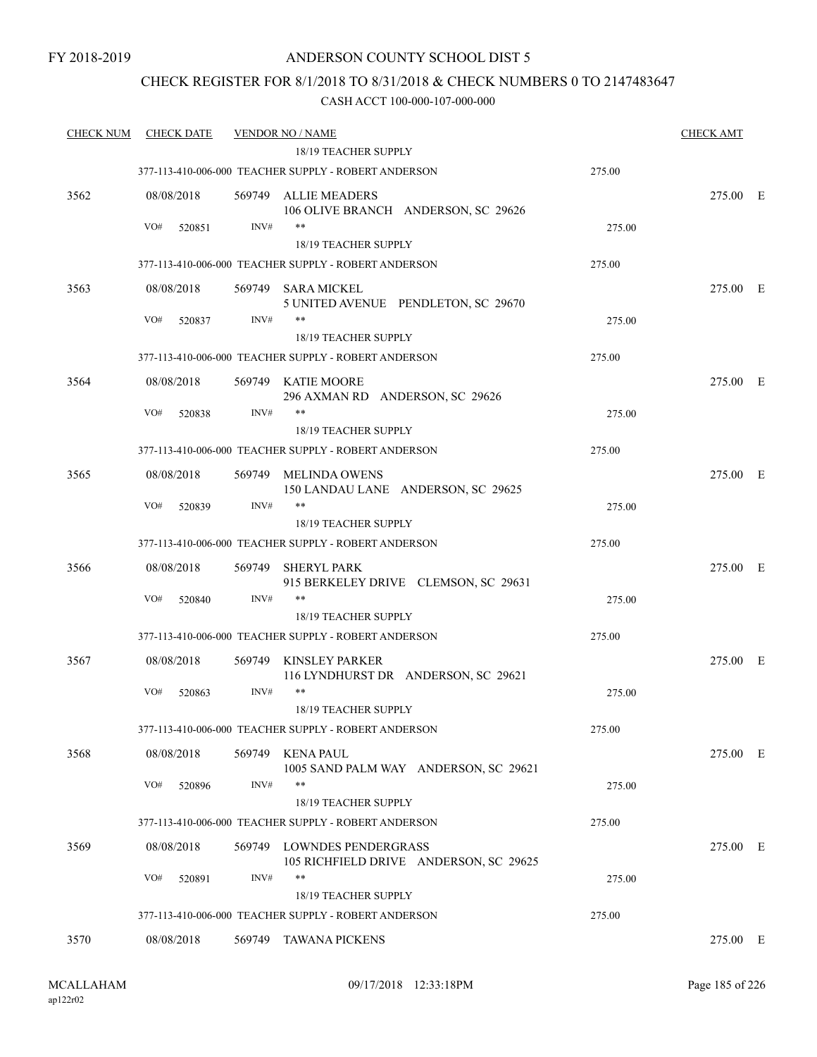### CHECK REGISTER FOR 8/1/2018 TO 8/31/2018 & CHECK NUMBERS 0 TO 2147483647

| <b>CHECK NUM</b> | <b>CHECK DATE</b> |        | <b>VENDOR NO / NAME</b><br>18/19 TEACHER SUPPLY               |        | <b>CHECK AMT</b> |
|------------------|-------------------|--------|---------------------------------------------------------------|--------|------------------|
|                  |                   |        | 377-113-410-006-000 TEACHER SUPPLY - ROBERT ANDERSON          | 275.00 |                  |
| 3562             | 08/08/2018        | 569749 | ALLIE MEADERS<br>106 OLIVE BRANCH ANDERSON, SC 29626          |        | 275.00 E         |
|                  | VO#<br>520851     | INV#   | $***$                                                         | 275.00 |                  |
|                  |                   |        | 18/19 TEACHER SUPPLY                                          |        |                  |
|                  |                   |        | 377-113-410-006-000 TEACHER SUPPLY - ROBERT ANDERSON          | 275.00 |                  |
| 3563             | 08/08/2018        |        | 569749 SARA MICKEL<br>5 UNITED AVENUE PENDLETON, SC 29670     |        | 275.00 E         |
|                  | VO#<br>520837     | INV#   | $***$                                                         | 275.00 |                  |
|                  |                   |        | 18/19 TEACHER SUPPLY                                          |        |                  |
|                  |                   |        | 377-113-410-006-000 TEACHER SUPPLY - ROBERT ANDERSON          | 275.00 |                  |
| 3564             | 08/08/2018        |        | 569749 KATIE MOORE<br>296 AXMAN RD ANDERSON, SC 29626         |        | 275.00 E         |
|                  | VO#<br>520838     | INV#   | **<br>18/19 TEACHER SUPPLY                                    | 275.00 |                  |
|                  |                   |        | 377-113-410-006-000 TEACHER SUPPLY - ROBERT ANDERSON          | 275.00 |                  |
| 3565             | 08/08/2018        |        | 569749 MELINDA OWENS<br>150 LANDAU LANE ANDERSON, SC 29625    |        | 275.00 E         |
|                  | VO#<br>520839     | INV#   | **<br>18/19 TEACHER SUPPLY                                    | 275.00 |                  |
|                  |                   |        | 377-113-410-006-000 TEACHER SUPPLY - ROBERT ANDERSON          | 275.00 |                  |
| 3566             | 08/08/2018        | 569749 | SHERYL PARK                                                   |        | 275.00 E         |
|                  |                   |        | 915 BERKELEY DRIVE CLEMSON, SC 29631                          |        |                  |
|                  | VO#<br>520840     | INV#   | $***$                                                         | 275.00 |                  |
|                  |                   |        | 18/19 TEACHER SUPPLY                                          |        |                  |
|                  |                   |        | 377-113-410-006-000 TEACHER SUPPLY - ROBERT ANDERSON          | 275.00 |                  |
| 3567             | 08/08/2018        | 569749 | KINSLEY PARKER<br>116 LYNDHURST DR ANDERSON, SC 29621         |        | 275.00 E         |
|                  | VO#<br>520863     | INV#   | **<br>18/19 TEACHER SUPPLY                                    | 275.00 |                  |
|                  |                   |        | 377-113-410-006-000 TEACHER SUPPLY - ROBERT ANDERSON          | 275.00 |                  |
| 3568             | 08/08/2018        | 569749 | KENA PAUL<br>1005 SAND PALM WAY ANDERSON, SC 29621            |        | 275.00 E         |
|                  | VO#<br>520896     | INV#   | $***$<br>18/19 TEACHER SUPPLY                                 | 275.00 |                  |
|                  |                   |        | 377-113-410-006-000 TEACHER SUPPLY - ROBERT ANDERSON          | 275.00 |                  |
| 3569             | 08/08/2018        | 569749 | LOWNDES PENDERGRASS<br>105 RICHFIELD DRIVE ANDERSON, SC 29625 |        | 275.00 E         |
|                  | VO#<br>520891     | INV#   | **                                                            | 275.00 |                  |
|                  |                   |        | 18/19 TEACHER SUPPLY                                          |        |                  |
|                  |                   |        | 377-113-410-006-000 TEACHER SUPPLY - ROBERT ANDERSON          | 275.00 |                  |
| 3570             | 08/08/2018        | 569749 | TAWANA PICKENS                                                |        | 275.00 E         |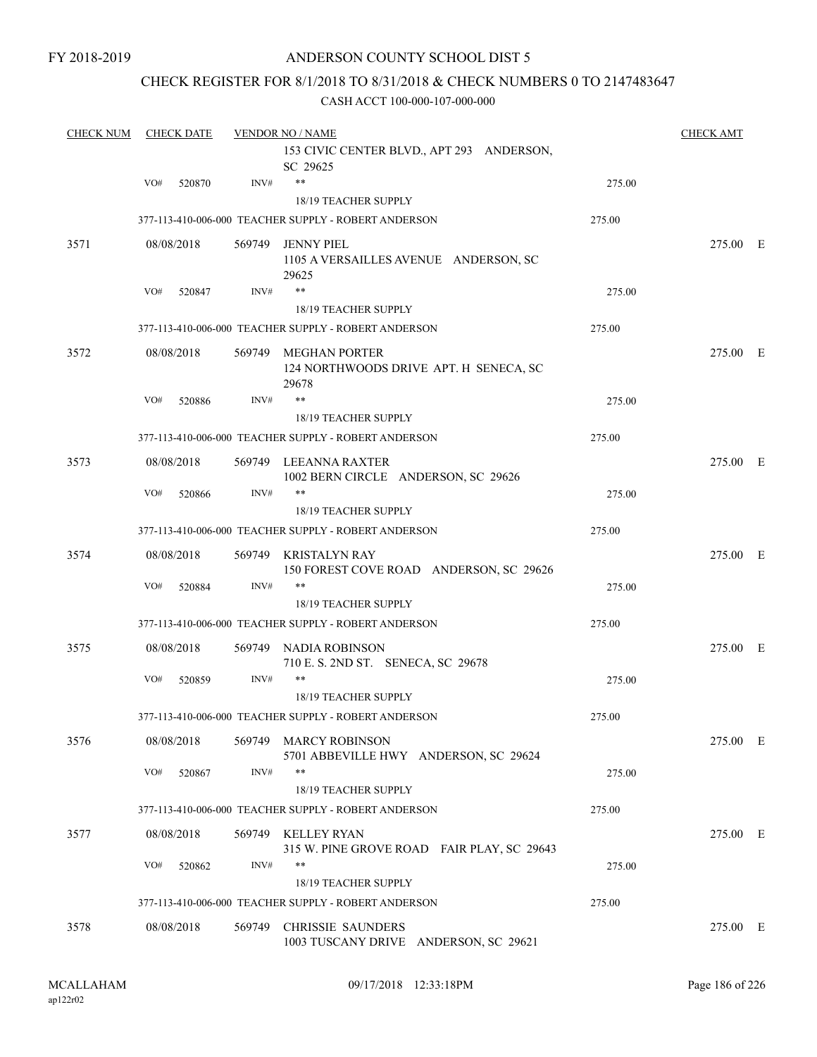### CHECK REGISTER FOR 8/1/2018 TO 8/31/2018 & CHECK NUMBERS 0 TO 2147483647

| <b>CHECK NUM</b> | <b>CHECK DATE</b> |            | <b>VENDOR NO / NAME</b> | <b>CHECK AMT</b>                                                        |        |          |  |
|------------------|-------------------|------------|-------------------------|-------------------------------------------------------------------------|--------|----------|--|
|                  |                   |            |                         | 153 CIVIC CENTER BLVD., APT 293 ANDERSON,<br>SC 29625                   |        |          |  |
|                  | VO#               | 520870     | INV#                    | $***$                                                                   | 275.00 |          |  |
|                  |                   |            |                         | <b>18/19 TEACHER SUPPLY</b>                                             |        |          |  |
|                  |                   |            |                         | 377-113-410-006-000 TEACHER SUPPLY - ROBERT ANDERSON                    | 275.00 |          |  |
| 3571             |                   | 08/08/2018 | 569749                  | <b>JENNY PIEL</b><br>1105 A VERSAILLES AVENUE ANDERSON, SC<br>29625     |        | 275.00 E |  |
|                  | VO#               | 520847     | INV#                    | $***$                                                                   | 275.00 |          |  |
|                  |                   |            |                         | <b>18/19 TEACHER SUPPLY</b>                                             |        |          |  |
|                  |                   |            |                         | 377-113-410-006-000 TEACHER SUPPLY - ROBERT ANDERSON                    | 275.00 |          |  |
| 3572             |                   | 08/08/2018 |                         | 569749 MEGHAN PORTER<br>124 NORTHWOODS DRIVE APT. H SENECA, SC<br>29678 |        | 275.00 E |  |
|                  | VO#               | 520886     | INV#                    | **                                                                      | 275.00 |          |  |
|                  |                   |            |                         | 18/19 TEACHER SUPPLY                                                    |        |          |  |
|                  |                   |            |                         | 377-113-410-006-000 TEACHER SUPPLY - ROBERT ANDERSON                    | 275.00 |          |  |
| 3573             |                   | 08/08/2018 |                         | 569749 LEEANNA RAXTER<br>1002 BERN CIRCLE ANDERSON, SC 29626            |        | 275.00 E |  |
|                  | VO#               | 520866     | INV#                    | $***$<br>18/19 TEACHER SUPPLY                                           | 275.00 |          |  |
|                  |                   |            |                         | 377-113-410-006-000 TEACHER SUPPLY - ROBERT ANDERSON                    | 275.00 |          |  |
| 3574             |                   | 08/08/2018 | 569749                  | KRISTALYN RAY<br>150 FOREST COVE ROAD ANDERSON, SC 29626                |        | 275.00 E |  |
|                  | VO#               | 520884     | INV#                    | $***$                                                                   | 275.00 |          |  |
|                  |                   |            |                         | 18/19 TEACHER SUPPLY                                                    |        |          |  |
|                  |                   |            |                         | 377-113-410-006-000 TEACHER SUPPLY - ROBERT ANDERSON                    | 275.00 |          |  |
| 3575             |                   | 08/08/2018 | 569749                  | NADIA ROBINSON<br>710 E. S. 2ND ST. SENECA, SC 29678                    |        | 275.00 E |  |
|                  | VO#               | 520859     | INV#                    | **                                                                      | 275.00 |          |  |
|                  |                   |            |                         | <b>18/19 TEACHER SUPPLY</b>                                             |        |          |  |
|                  |                   |            |                         | 377-113-410-006-000 TEACHER SUPPLY - ROBERT ANDERSON                    | 275.00 |          |  |
| 3576             |                   | 08/08/2018 |                         | 569749 MARCY ROBINSON<br>5701 ABBEVILLE HWY ANDERSON, SC 29624          |        | 275.00 E |  |
|                  | VO#               | 520867     | INV#                    | **<br>18/19 TEACHER SUPPLY                                              | 275.00 |          |  |
|                  |                   |            |                         | 377-113-410-006-000 TEACHER SUPPLY - ROBERT ANDERSON                    | 275.00 |          |  |
| 3577             |                   | 08/08/2018 |                         | 569749 KELLEY RYAN<br>315 W. PINE GROVE ROAD FAIR PLAY, SC 29643        |        | 275.00 E |  |
|                  | VO#               | 520862     | INV#                    | $***$<br>18/19 TEACHER SUPPLY                                           | 275.00 |          |  |
|                  |                   |            |                         | 377-113-410-006-000 TEACHER SUPPLY - ROBERT ANDERSON                    | 275.00 |          |  |
|                  |                   |            |                         |                                                                         |        |          |  |
| 3578             |                   | 08/08/2018 | 569749                  | <b>CHRISSIE SAUNDERS</b><br>1003 TUSCANY DRIVE ANDERSON, SC 29621       |        | 275.00 E |  |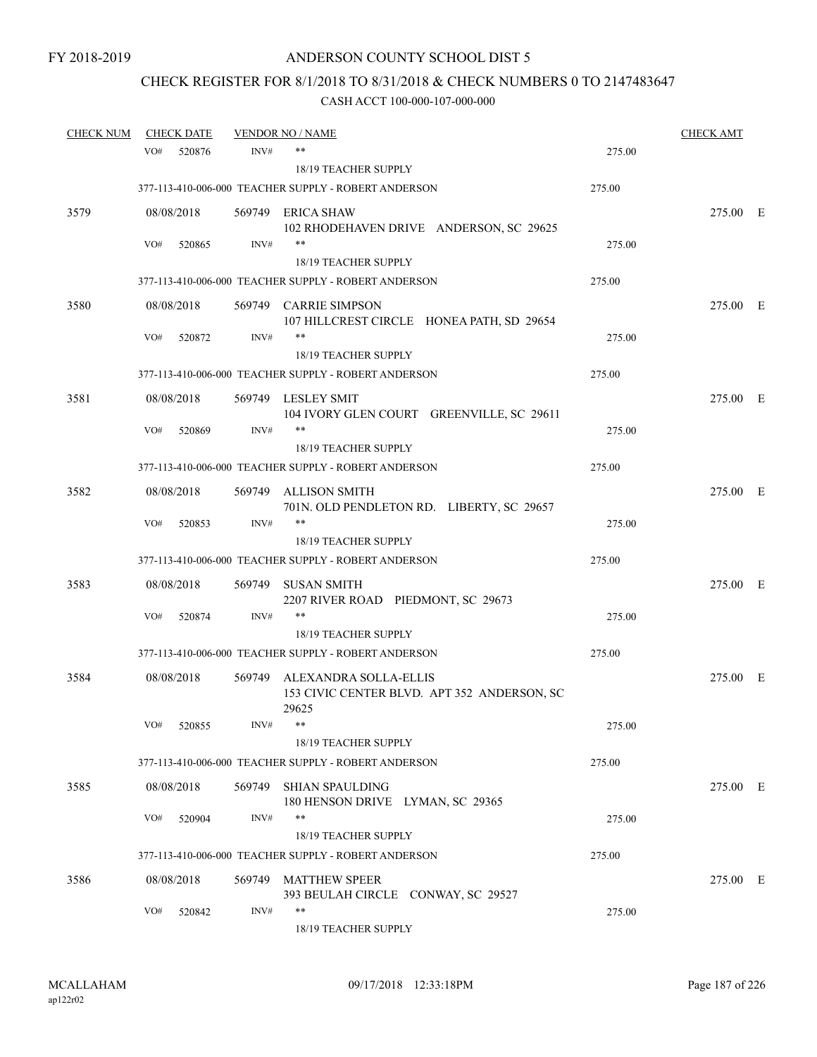# CHECK REGISTER FOR 8/1/2018 TO 8/31/2018 & CHECK NUMBERS 0 TO 2147483647

| <b>CHECK NUM</b> |     | <b>CHECK DATE</b> |        | <b>VENDOR NO / NAME</b>                                              |        | <u>CHECK AMT</u> |  |
|------------------|-----|-------------------|--------|----------------------------------------------------------------------|--------|------------------|--|
|                  | VO# | 520876            | INV#   | $***$                                                                | 275.00 |                  |  |
|                  |     |                   |        | <b>18/19 TEACHER SUPPLY</b>                                          |        |                  |  |
|                  |     |                   |        | 377-113-410-006-000 TEACHER SUPPLY - ROBERT ANDERSON                 | 275.00 |                  |  |
| 3579             |     | 08/08/2018        |        | 569749 ERICA SHAW<br>102 RHODEHAVEN DRIVE ANDERSON, SC 29625         |        | 275.00 E         |  |
|                  | VO# | 520865            | INV#   | $***$                                                                | 275.00 |                  |  |
|                  |     |                   |        | <b>18/19 TEACHER SUPPLY</b>                                          |        |                  |  |
|                  |     |                   |        | 377-113-410-006-000 TEACHER SUPPLY - ROBERT ANDERSON                 | 275.00 |                  |  |
| 3580             |     | 08/08/2018        |        | 569749 CARRIE SIMPSON<br>107 HILLCREST CIRCLE HONEA PATH, SD 29654   |        | 275.00 E         |  |
|                  | VO# | 520872            | INV#   | $***$<br>18/19 TEACHER SUPPLY                                        | 275.00 |                  |  |
|                  |     |                   |        | 377-113-410-006-000 TEACHER SUPPLY - ROBERT ANDERSON                 | 275.00 |                  |  |
| 3581             |     | 08/08/2018        |        | 569749 LESLEY SMIT<br>104 IVORY GLEN COURT GREENVILLE, SC 29611      |        | 275.00 E         |  |
|                  | VO# | 520869            | INV#   | $***$<br><b>18/19 TEACHER SUPPLY</b>                                 | 275.00 |                  |  |
|                  |     |                   |        | 377-113-410-006-000 TEACHER SUPPLY - ROBERT ANDERSON                 | 275.00 |                  |  |
| 3582             |     | 08/08/2018        | 569749 | ALLISON SMITH<br>701N. OLD PENDLETON RD. LIBERTY, SC 29657           |        | 275.00 E         |  |
|                  | VO# | 520853            | INV#   | $***$                                                                | 275.00 |                  |  |
|                  |     |                   |        | 18/19 TEACHER SUPPLY                                                 |        |                  |  |
|                  |     |                   |        | 377-113-410-006-000 TEACHER SUPPLY - ROBERT ANDERSON                 | 275.00 |                  |  |
| 3583             |     | 08/08/2018        | 569749 | <b>SUSAN SMITH</b><br>2207 RIVER ROAD PIEDMONT, SC 29673             |        | 275.00 E         |  |
|                  | VO# | 520874            | INV#   | $***$<br>18/19 TEACHER SUPPLY                                        | 275.00 |                  |  |
|                  |     |                   |        | 377-113-410-006-000 TEACHER SUPPLY - ROBERT ANDERSON                 | 275.00 |                  |  |
| 3584             |     | 08/08/2018        | 569749 | ALEXANDRA SOLLA-ELLIS<br>153 CIVIC CENTER BLVD. APT 352 ANDERSON, SC |        | 275.00 E         |  |
|                  | VO# | 520855            | INV#   | 29625<br>18/19 TEACHER SUPPLY                                        | 275.00 |                  |  |
|                  |     |                   |        | 377-113-410-006-000 TEACHER SUPPLY - ROBERT ANDERSON                 | 275.00 |                  |  |
| 3585             |     | 08/08/2018        | 569749 | <b>SHIAN SPAULDING</b>                                               |        | 275.00 E         |  |
|                  |     |                   |        | 180 HENSON DRIVE LYMAN, SC 29365                                     |        |                  |  |
|                  | VO# | 520904            | INV#   | $***$<br>18/19 TEACHER SUPPLY                                        | 275.00 |                  |  |
|                  |     |                   |        | 377-113-410-006-000 TEACHER SUPPLY - ROBERT ANDERSON                 | 275.00 |                  |  |
| 3586             |     | 08/08/2018        |        | 569749 MATTHEW SPEER<br>393 BEULAH CIRCLE CONWAY, SC 29527           |        | 275.00 E         |  |
|                  | VO# | 520842            | INV#   | $***$<br>18/19 TEACHER SUPPLY                                        | 275.00 |                  |  |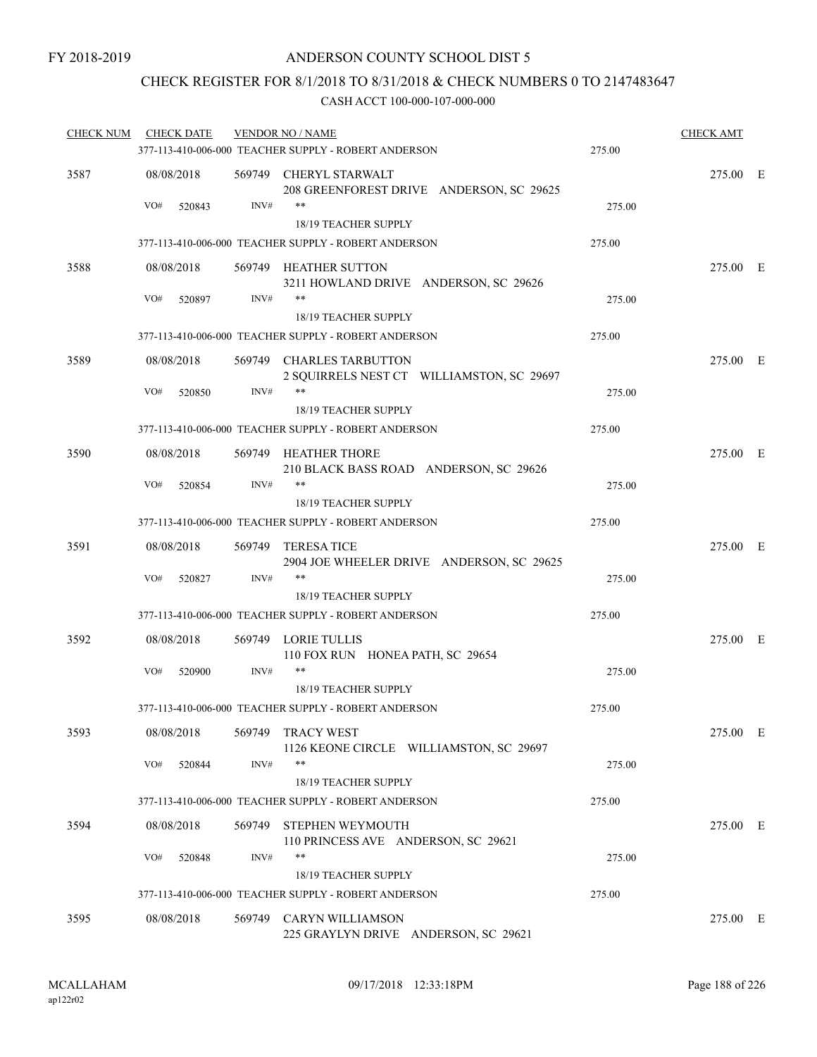### CHECK REGISTER FOR 8/1/2018 TO 8/31/2018 & CHECK NUMBERS 0 TO 2147483647

| <b>CHECK NUM</b> | <b>CHECK DATE</b> |        | <b>VENDOR NO / NAME</b>                                               |        | <b>CHECK AMT</b> |  |
|------------------|-------------------|--------|-----------------------------------------------------------------------|--------|------------------|--|
|                  |                   |        | 377-113-410-006-000 TEACHER SUPPLY - ROBERT ANDERSON                  | 275.00 |                  |  |
| 3587             | 08/08/2018        |        | 569749 CHERYL STARWALT<br>208 GREENFOREST DRIVE ANDERSON, SC 29625    |        | 275.00 E         |  |
|                  | VO#<br>520843     | INV#   | **<br>18/19 TEACHER SUPPLY                                            | 275.00 |                  |  |
|                  |                   |        | 377-113-410-006-000 TEACHER SUPPLY - ROBERT ANDERSON                  | 275.00 |                  |  |
| 3588             | 08/08/2018        |        | 569749 HEATHER SUTTON                                                 |        | 275.00 E         |  |
|                  |                   |        | 3211 HOWLAND DRIVE ANDERSON, SC 29626                                 |        |                  |  |
|                  | VO#<br>520897     | INV#   | **                                                                    | 275.00 |                  |  |
|                  |                   |        | 18/19 TEACHER SUPPLY                                                  |        |                  |  |
|                  |                   |        | 377-113-410-006-000 TEACHER SUPPLY - ROBERT ANDERSON                  | 275.00 |                  |  |
| 3589             | 08/08/2018        |        | 569749 CHARLES TARBUTTON<br>2 SQUIRRELS NEST CT WILLIAMSTON, SC 29697 |        | 275.00 E         |  |
|                  | VO#<br>520850     | INV#   | **                                                                    | 275.00 |                  |  |
|                  |                   |        | <b>18/19 TEACHER SUPPLY</b>                                           |        |                  |  |
|                  |                   |        | 377-113-410-006-000 TEACHER SUPPLY - ROBERT ANDERSON                  | 275.00 |                  |  |
| 3590             | 08/08/2018        |        | 569749 HEATHER THORE                                                  |        | 275.00 E         |  |
|                  |                   |        | 210 BLACK BASS ROAD ANDERSON, SC 29626                                |        |                  |  |
|                  | VO#<br>520854     | INV#   | **                                                                    | 275.00 |                  |  |
|                  |                   |        | 18/19 TEACHER SUPPLY                                                  |        |                  |  |
|                  |                   |        | 377-113-410-006-000 TEACHER SUPPLY - ROBERT ANDERSON                  | 275.00 |                  |  |
| 3591             | 08/08/2018        |        | 569749 TERESA TICE<br>2904 JOE WHEELER DRIVE ANDERSON, SC 29625       |        | 275.00 E         |  |
|                  | VO#<br>520827     | INV#   | **                                                                    | 275.00 |                  |  |
|                  |                   |        | 18/19 TEACHER SUPPLY                                                  |        |                  |  |
|                  |                   |        | 377-113-410-006-000 TEACHER SUPPLY - ROBERT ANDERSON                  | 275.00 |                  |  |
| 3592             | 08/08/2018        |        | 569749 LORIE TULLIS<br>110 FOX RUN HONEA PATH, SC 29654               |        | 275.00 E         |  |
|                  | VO#<br>520900     | INV#   | **                                                                    | 275.00 |                  |  |
|                  |                   |        | 18/19 TEACHER SUPPLY                                                  |        |                  |  |
|                  |                   |        | 377-113-410-006-000 TEACHER SUPPLY - ROBERT ANDERSON                  | 275.00 |                  |  |
| 3593             | 08/08/2018        |        | 569749 TRACY WEST<br>1126 KEONE CIRCLE WILLIAMSTON, SC 29697          |        | 275.00 E         |  |
|                  | VO#<br>520844     | INV#   | **                                                                    | 275.00 |                  |  |
|                  |                   |        | 18/19 TEACHER SUPPLY                                                  |        |                  |  |
|                  |                   |        | 377-113-410-006-000 TEACHER SUPPLY - ROBERT ANDERSON                  | 275.00 |                  |  |
| 3594             | 08/08/2018        | 569749 | STEPHEN WEYMOUTH<br>110 PRINCESS AVE ANDERSON, SC 29621               |        | 275.00 E         |  |
|                  | VO#<br>520848     | INV#   | **                                                                    | 275.00 |                  |  |
|                  |                   |        | 18/19 TEACHER SUPPLY                                                  |        |                  |  |
|                  |                   |        | 377-113-410-006-000 TEACHER SUPPLY - ROBERT ANDERSON                  | 275.00 |                  |  |
| 3595             | 08/08/2018        |        | 569749 CARYN WILLIAMSON<br>225 GRAYLYN DRIVE ANDERSON, SC 29621       |        | 275.00 E         |  |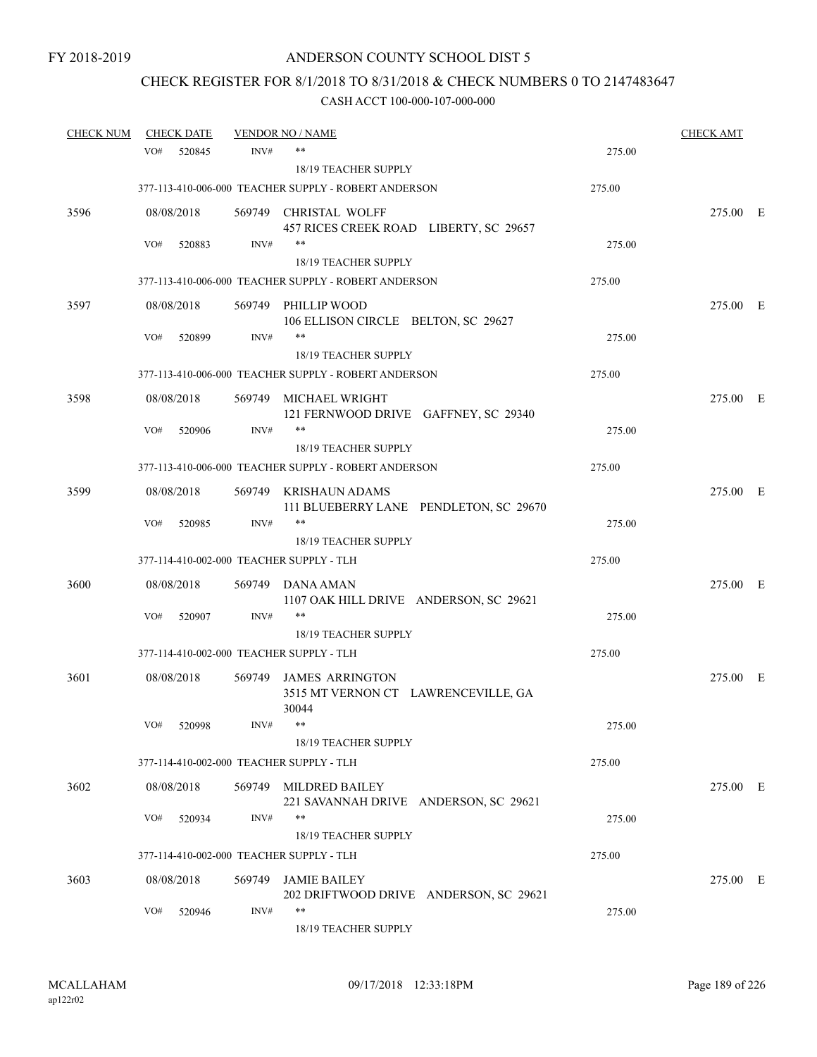# CHECK REGISTER FOR 8/1/2018 TO 8/31/2018 & CHECK NUMBERS 0 TO 2147483647

| <b>CHECK NUM</b> |            | <b>CHECK DATE</b> |        | <b>VENDOR NO / NAME</b>                                       |        | <b>CHECK AMT</b> |  |
|------------------|------------|-------------------|--------|---------------------------------------------------------------|--------|------------------|--|
|                  | VO#        | 520845            | INV#   | **                                                            | 275.00 |                  |  |
|                  |            |                   |        | 18/19 TEACHER SUPPLY                                          |        |                  |  |
|                  |            |                   |        | 377-113-410-006-000 TEACHER SUPPLY - ROBERT ANDERSON          | 275.00 |                  |  |
| 3596             | 08/08/2018 |                   |        | 569749 CHRISTAL WOLFF                                         |        | 275.00 E         |  |
|                  |            |                   |        | 457 RICES CREEK ROAD LIBERTY, SC 29657                        |        |                  |  |
|                  | VO#        | 520883            | INV#   | $***$                                                         | 275.00 |                  |  |
|                  |            |                   |        | <b>18/19 TEACHER SUPPLY</b>                                   |        |                  |  |
|                  |            |                   |        | 377-113-410-006-000 TEACHER SUPPLY - ROBERT ANDERSON          | 275.00 |                  |  |
| 3597             | 08/08/2018 |                   | 569749 | PHILLIP WOOD                                                  |        | 275.00 E         |  |
|                  |            |                   |        | 106 ELLISON CIRCLE BELTON, SC 29627<br>$***$                  |        |                  |  |
|                  | VO#        | 520899            | INV#   | 18/19 TEACHER SUPPLY                                          | 275.00 |                  |  |
|                  |            |                   |        | 377-113-410-006-000 TEACHER SUPPLY - ROBERT ANDERSON          | 275.00 |                  |  |
|                  |            |                   |        |                                                               |        |                  |  |
| 3598             | 08/08/2018 |                   | 569749 | MICHAEL WRIGHT<br>121 FERNWOOD DRIVE GAFFNEY, SC 29340        |        | 275.00 E         |  |
|                  | VO#        | 520906            | INV#   | **                                                            | 275.00 |                  |  |
|                  |            |                   |        | <b>18/19 TEACHER SUPPLY</b>                                   |        |                  |  |
|                  |            |                   |        | 377-113-410-006-000 TEACHER SUPPLY - ROBERT ANDERSON          | 275.00 |                  |  |
| 3599             | 08/08/2018 |                   | 569749 |                                                               |        | 275.00 E         |  |
|                  |            |                   |        | KRISHAUN ADAMS<br>111 BLUEBERRY LANE PENDLETON, SC 29670      |        |                  |  |
|                  | VO#        | 520985            | INV#   | $***$                                                         | 275.00 |                  |  |
|                  |            |                   |        | 18/19 TEACHER SUPPLY                                          |        |                  |  |
|                  |            |                   |        | 377-114-410-002-000 TEACHER SUPPLY - TLH                      | 275.00 |                  |  |
| 3600             | 08/08/2018 |                   | 569749 | DANA AMAN                                                     |        | 275.00 E         |  |
|                  |            |                   |        | 1107 OAK HILL DRIVE ANDERSON, SC 29621                        |        |                  |  |
|                  | VO#        | 520907            | INV#   | $***$                                                         | 275.00 |                  |  |
|                  |            |                   |        | 18/19 TEACHER SUPPLY                                          |        |                  |  |
|                  |            |                   |        | 377-114-410-002-000 TEACHER SUPPLY - TLH                      | 275.00 |                  |  |
| 3601             | 08/08/2018 |                   | 569749 | <b>JAMES ARRINGTON</b>                                        |        | 275.00 E         |  |
|                  |            |                   |        | 3515 MT VERNON CT LAWRENCEVILLE, GA                           |        |                  |  |
|                  |            |                   |        | 30044                                                         |        |                  |  |
|                  | VO#        | 520998            | INV#   | 18/19 TEACHER SUPPLY                                          | 275.00 |                  |  |
|                  |            |                   |        | 377-114-410-002-000 TEACHER SUPPLY - TLH                      | 275.00 |                  |  |
|                  |            |                   |        |                                                               |        |                  |  |
| 3602             | 08/08/2018 |                   |        | 569749 MILDRED BAILEY                                         |        | 275.00 E         |  |
|                  | VO#        | 520934            | INV#   | 221 SAVANNAH DRIVE ANDERSON, SC 29621<br>**                   | 275.00 |                  |  |
|                  |            |                   |        | 18/19 TEACHER SUPPLY                                          |        |                  |  |
|                  |            |                   |        | 377-114-410-002-000 TEACHER SUPPLY - TLH                      | 275.00 |                  |  |
|                  |            |                   |        |                                                               |        |                  |  |
| 3603             | 08/08/2018 |                   | 569749 | <b>JAMIE BAILEY</b><br>202 DRIFTWOOD DRIVE ANDERSON, SC 29621 |        | 275.00 E         |  |
|                  | VO#        | 520946            | INV#   | **                                                            | 275.00 |                  |  |
|                  |            |                   |        | 18/19 TEACHER SUPPLY                                          |        |                  |  |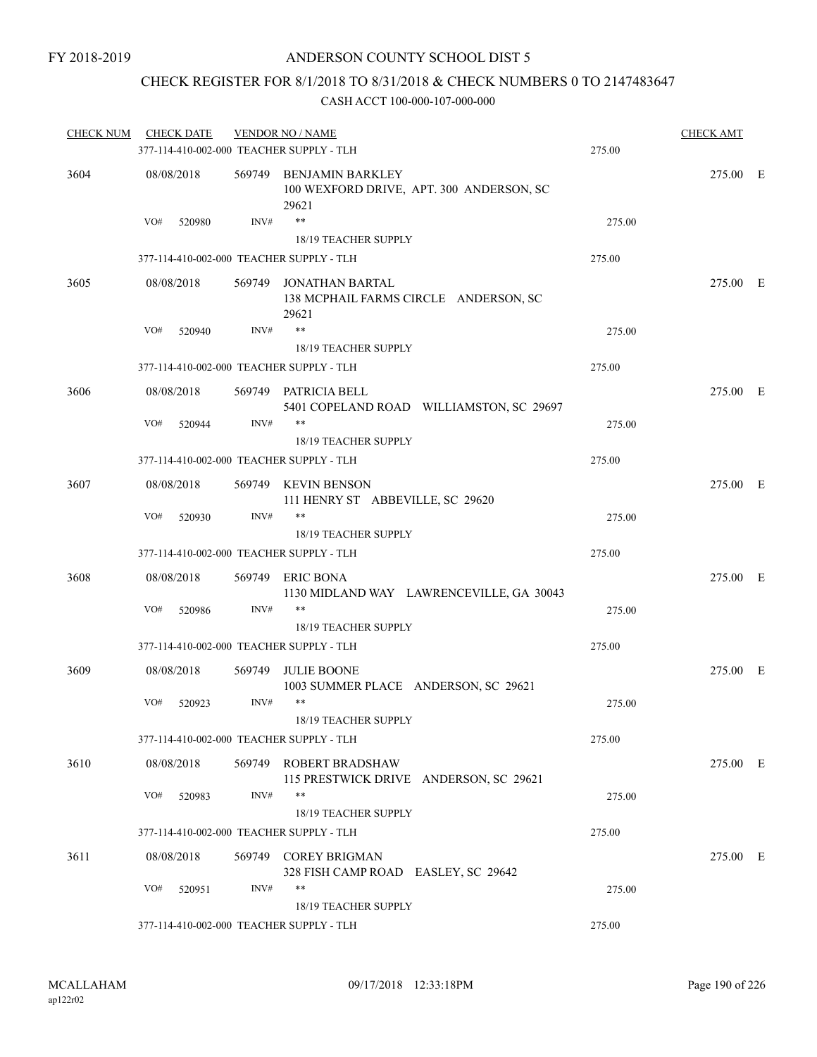## CHECK REGISTER FOR 8/1/2018 TO 8/31/2018 & CHECK NUMBERS 0 TO 2147483647

| <b>CHECK NUM</b> | <b>CHECK DATE</b>                        |        | <b>VENDOR NO / NAME</b>                                                      |        | <b>CHECK AMT</b> |  |
|------------------|------------------------------------------|--------|------------------------------------------------------------------------------|--------|------------------|--|
|                  | 377-114-410-002-000 TEACHER SUPPLY - TLH |        |                                                                              | 275.00 |                  |  |
| 3604             | 08/08/2018                               |        | 569749 BENJAMIN BARKLEY<br>100 WEXFORD DRIVE, APT. 300 ANDERSON, SC<br>29621 |        | 275.00 E         |  |
|                  | VO#<br>520980                            | INV#   | $***$<br>18/19 TEACHER SUPPLY                                                | 275.00 |                  |  |
|                  | 377-114-410-002-000 TEACHER SUPPLY - TLH |        |                                                                              | 275.00 |                  |  |
| 3605             | 08/08/2018                               |        | 569749 JONATHAN BARTAL<br>138 MCPHAIL FARMS CIRCLE ANDERSON, SC<br>29621     |        | 275.00 E         |  |
|                  | VO#<br>520940                            | INV#   | $***$<br>18/19 TEACHER SUPPLY                                                | 275.00 |                  |  |
|                  | 377-114-410-002-000 TEACHER SUPPLY - TLH |        |                                                                              | 275.00 |                  |  |
| 3606             | 08/08/2018                               |        | 569749 PATRICIA BELL<br>5401 COPELAND ROAD WILLIAMSTON, SC 29697             |        | 275.00 E         |  |
|                  | VO#<br>520944                            | INV#   | **<br><b>18/19 TEACHER SUPPLY</b>                                            | 275.00 |                  |  |
|                  | 377-114-410-002-000 TEACHER SUPPLY - TLH |        |                                                                              | 275.00 |                  |  |
| 3607             | 08/08/2018                               |        | 569749 KEVIN BENSON<br>111 HENRY ST ABBEVILLE, SC 29620                      |        | 275.00 E         |  |
|                  | VO#<br>520930                            | INV#   | $***$<br>18/19 TEACHER SUPPLY                                                | 275.00 |                  |  |
|                  | 377-114-410-002-000 TEACHER SUPPLY - TLH |        |                                                                              | 275.00 |                  |  |
| 3608             | 08/08/2018                               |        | 569749 ERIC BONA<br>1130 MIDLAND WAY LAWRENCEVILLE, GA 30043                 |        | 275.00 E         |  |
|                  | VO#<br>520986                            | INV#   | **<br>18/19 TEACHER SUPPLY                                                   | 275.00 |                  |  |
|                  | 377-114-410-002-000 TEACHER SUPPLY - TLH |        |                                                                              | 275.00 |                  |  |
| 3609             | 08/08/2018                               |        | 569749 JULIE BOONE<br>1003 SUMMER PLACE ANDERSON, SC 29621                   |        | 275.00 E         |  |
|                  | VO#<br>520923                            | INV#   | **<br>18/19 TEACHER SUPPLY                                                   | 275.00 |                  |  |
|                  | 377-114-410-002-000 TEACHER SUPPLY - TLH |        |                                                                              | 275.00 |                  |  |
| 3610             | 08/08/2018                               |        | 569749 ROBERT BRADSHAW<br>115 PRESTWICK DRIVE ANDERSON, SC 29621             |        | 275.00 E         |  |
|                  | VO#<br>520983                            | INV#   | **                                                                           | 275.00 |                  |  |
|                  |                                          |        | 18/19 TEACHER SUPPLY                                                         |        |                  |  |
|                  | 377-114-410-002-000 TEACHER SUPPLY - TLH |        |                                                                              | 275.00 |                  |  |
| 3611             | 08/08/2018                               | 569749 | <b>COREY BRIGMAN</b><br>328 FISH CAMP ROAD EASLEY, SC 29642                  |        | 275.00 E         |  |
|                  | VO#<br>520951                            | INV#   | **<br>18/19 TEACHER SUPPLY                                                   | 275.00 |                  |  |
|                  | 377-114-410-002-000 TEACHER SUPPLY - TLH |        |                                                                              | 275.00 |                  |  |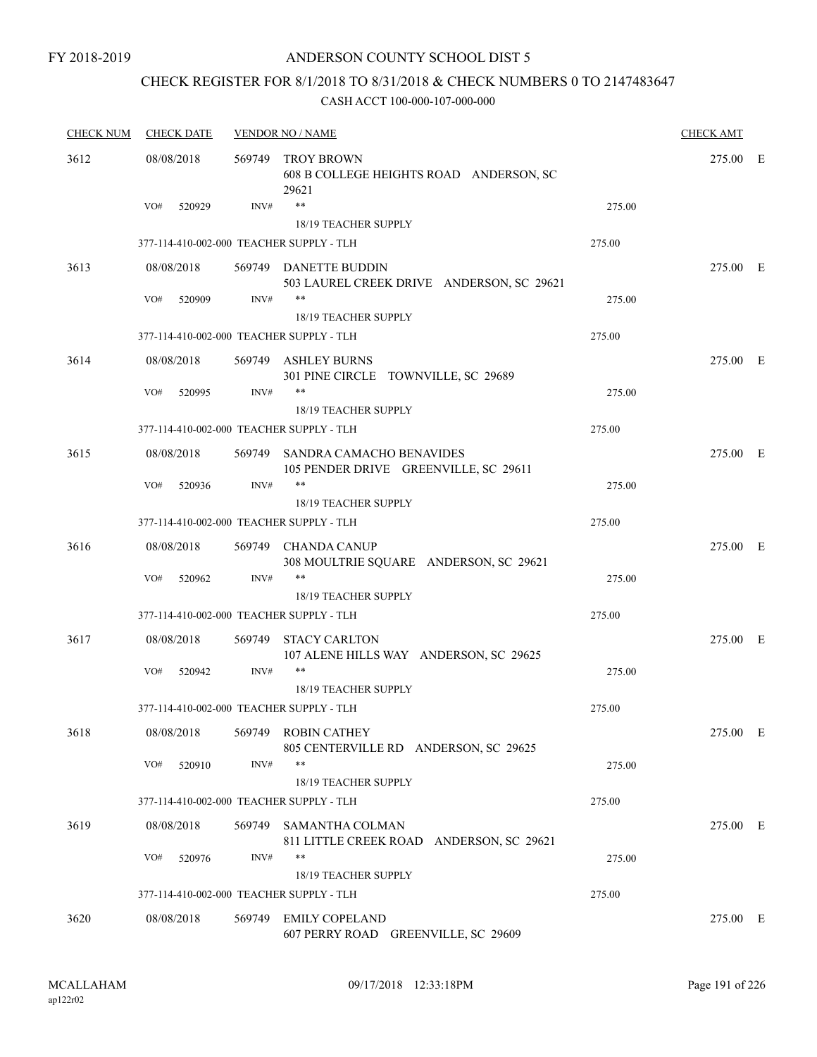### ANDERSON COUNTY SCHOOL DIST 5

## CHECK REGISTER FOR 8/1/2018 TO 8/31/2018 & CHECK NUMBERS 0 TO 2147483647

| <b>CHECK NUM</b> | <b>CHECK DATE</b>                        |        | <b>VENDOR NO / NAME</b>                                                  |        |          |  |
|------------------|------------------------------------------|--------|--------------------------------------------------------------------------|--------|----------|--|
| 3612             | 08/08/2018                               |        | 569749 TROY BROWN<br>608 B COLLEGE HEIGHTS ROAD ANDERSON, SC<br>29621    |        | 275.00 E |  |
|                  | VO#<br>520929                            | INV#   | $***$<br>18/19 TEACHER SUPPLY                                            | 275.00 |          |  |
|                  | 377-114-410-002-000 TEACHER SUPPLY - TLH |        |                                                                          | 275.00 |          |  |
| 3613             | 08/08/2018                               |        | 569749 DANETTE BUDDIN<br>503 LAUREL CREEK DRIVE ANDERSON, SC 29621       |        | 275.00 E |  |
|                  | VO#<br>520909                            | INV#   | $***$<br><b>18/19 TEACHER SUPPLY</b>                                     | 275.00 |          |  |
|                  | 377-114-410-002-000 TEACHER SUPPLY - TLH |        |                                                                          | 275.00 |          |  |
| 3614             | 08/08/2018                               |        | 569749 ASHLEY BURNS<br>301 PINE CIRCLE TOWNVILLE, SC 29689               |        | 275.00 E |  |
|                  | VO#<br>520995                            | INV#   | $***$<br>18/19 TEACHER SUPPLY                                            | 275.00 |          |  |
|                  | 377-114-410-002-000 TEACHER SUPPLY - TLH |        |                                                                          | 275.00 |          |  |
| 3615             | 08/08/2018                               |        | 569749 SANDRA CAMACHO BENAVIDES<br>105 PENDER DRIVE GREENVILLE, SC 29611 |        | 275.00 E |  |
|                  | VO#<br>520936                            | INV#   | $***$<br><b>18/19 TEACHER SUPPLY</b>                                     | 275.00 |          |  |
|                  | 377-114-410-002-000 TEACHER SUPPLY - TLH |        |                                                                          | 275.00 |          |  |
| 3616             | 08/08/2018                               |        | 569749 CHANDA CANUP<br>308 MOULTRIE SQUARE ANDERSON, SC 29621            |        | 275.00 E |  |
|                  | VO#<br>520962                            | INV#   | **<br>18/19 TEACHER SUPPLY                                               | 275.00 |          |  |
|                  | 377-114-410-002-000 TEACHER SUPPLY - TLH |        |                                                                          | 275.00 |          |  |
| 3617             | 08/08/2018                               | 569749 | <b>STACY CARLTON</b><br>107 ALENE HILLS WAY ANDERSON, SC 29625           |        | 275.00 E |  |
|                  | VO#<br>520942                            | INV#   | $***$                                                                    | 275.00 |          |  |
|                  | 377-114-410-002-000 TEACHER SUPPLY - TLH |        | <b>18/19 TEACHER SUPPLY</b>                                              | 275.00 |          |  |
| 3618             | 08/08/2018                               |        | 569749 ROBIN CATHEY<br>805 CENTERVILLE RD ANDERSON, SC 29625             |        | 275.00 E |  |
|                  | VO#<br>520910                            | INV#   | $***$<br>18/19 TEACHER SUPPLY                                            | 275.00 |          |  |
|                  | 377-114-410-002-000 TEACHER SUPPLY - TLH |        |                                                                          | 275.00 |          |  |
| 3619             | 08/08/2018                               | 569749 | SAMANTHA COLMAN                                                          |        | 275.00 E |  |
|                  | VO#<br>520976                            | INV#   | 811 LITTLE CREEK ROAD ANDERSON, SC 29621<br>**                           | 275.00 |          |  |
|                  |                                          |        | 18/19 TEACHER SUPPLY                                                     |        |          |  |
|                  | 377-114-410-002-000 TEACHER SUPPLY - TLH |        |                                                                          | 275.00 |          |  |
| 3620             | 08/08/2018                               | 569749 | <b>EMILY COPELAND</b><br>607 PERRY ROAD GREENVILLE, SC 29609             |        | 275.00 E |  |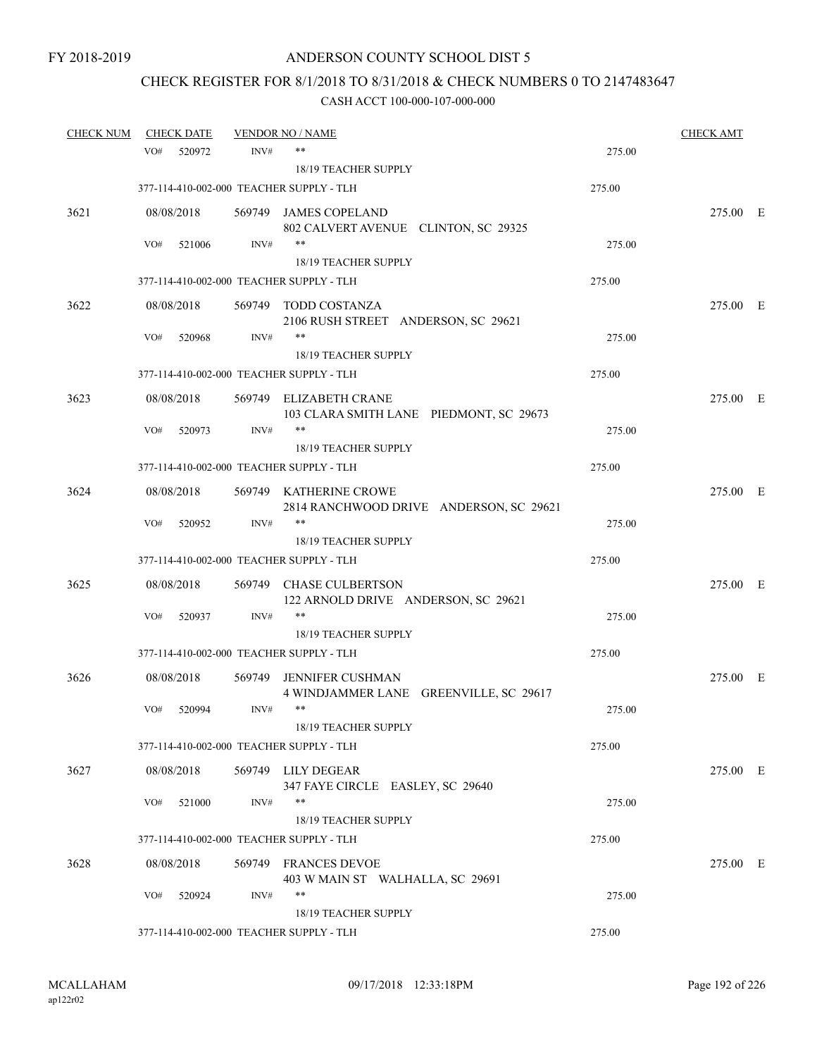# CHECK REGISTER FOR 8/1/2018 TO 8/31/2018 & CHECK NUMBERS 0 TO 2147483647

| <b>CHECK NUM</b> | <b>CHECK DATE</b> |                | <b>VENDOR NO / NAME</b>                                           |        | <b>CHECK AMT</b> |  |
|------------------|-------------------|----------------|-------------------------------------------------------------------|--------|------------------|--|
|                  | VO#               | 520972<br>INV# | $***$                                                             | 275.00 |                  |  |
|                  |                   |                | 18/19 TEACHER SUPPLY                                              |        |                  |  |
|                  |                   |                | 377-114-410-002-000 TEACHER SUPPLY - TLH                          | 275.00 |                  |  |
| 3621             | 08/08/2018        |                | 569749 JAMES COPELAND                                             |        | 275.00 E         |  |
|                  |                   |                | 802 CALVERT AVENUE CLINTON, SC 29325                              |        |                  |  |
|                  | VO#               | INV#<br>521006 | $***$                                                             | 275.00 |                  |  |
|                  |                   |                | 18/19 TEACHER SUPPLY                                              |        |                  |  |
|                  |                   |                | 377-114-410-002-000 TEACHER SUPPLY - TLH                          | 275.00 |                  |  |
| 3622             | 08/08/2018        |                | 569749 TODD COSTANZA                                              |        | 275.00 E         |  |
|                  |                   |                | 2106 RUSH STREET ANDERSON, SC 29621                               |        |                  |  |
|                  | VO#               | INV#<br>520968 | **                                                                | 275.00 |                  |  |
|                  |                   |                | 18/19 TEACHER SUPPLY                                              |        |                  |  |
|                  |                   |                | 377-114-410-002-000 TEACHER SUPPLY - TLH                          | 275.00 |                  |  |
| 3623             | 08/08/2018        |                | 569749 ELIZABETH CRANE                                            |        | 275.00 E         |  |
|                  |                   |                | 103 CLARA SMITH LANE PIEDMONT, SC 29673                           |        |                  |  |
|                  | VO#               | INV#<br>520973 | $***$                                                             | 275.00 |                  |  |
|                  |                   |                | <b>18/19 TEACHER SUPPLY</b>                                       |        |                  |  |
|                  |                   |                | 377-114-410-002-000 TEACHER SUPPLY - TLH                          | 275.00 |                  |  |
| 3624             | 08/08/2018        |                | 569749 KATHERINE CROWE                                            |        | 275.00 E         |  |
|                  |                   |                | 2814 RANCHWOOD DRIVE ANDERSON, SC 29621                           |        |                  |  |
|                  | VO#               | INV#<br>520952 | $***$                                                             | 275.00 |                  |  |
|                  |                   |                | 18/19 TEACHER SUPPLY                                              |        |                  |  |
|                  |                   |                | 377-114-410-002-000 TEACHER SUPPLY - TLH                          | 275.00 |                  |  |
| 3625             | 08/08/2018        |                | 569749 CHASE CULBERTSON                                           |        | 275.00 E         |  |
|                  | VO#               | INV#<br>520937 | 122 ARNOLD DRIVE ANDERSON, SC 29621<br>$***$                      | 275.00 |                  |  |
|                  |                   |                | 18/19 TEACHER SUPPLY                                              |        |                  |  |
|                  |                   |                | 377-114-410-002-000 TEACHER SUPPLY - TLH                          | 275.00 |                  |  |
|                  |                   |                |                                                                   |        |                  |  |
| 3626             | 08/08/2018        |                | 569749 JENNIFER CUSHMAN<br>4 WINDJAMMER LANE GREENVILLE, SC 29617 |        | 275.00 E         |  |
|                  | VO#               | INV#<br>520994 | $***$                                                             | 275.00 |                  |  |
|                  |                   |                | 18/19 TEACHER SUPPLY                                              |        |                  |  |
|                  |                   |                | 377-114-410-002-000 TEACHER SUPPLY - TLH                          | 275.00 |                  |  |
| 3627             | 08/08/2018        |                | 569749 LILY DEGEAR<br>347 FAYE CIRCLE EASLEY, SC 29640            |        | 275.00 E         |  |
|                  | VO#               | INV#<br>521000 | **                                                                | 275.00 |                  |  |
|                  |                   |                | <b>18/19 TEACHER SUPPLY</b>                                       |        |                  |  |
|                  |                   |                | 377-114-410-002-000 TEACHER SUPPLY - TLH                          | 275.00 |                  |  |
| 3628             | 08/08/2018        |                | 569749 FRANCES DEVOE                                              |        | 275.00 E         |  |
|                  |                   |                | 403 W MAIN ST WALHALLA, SC 29691                                  |        |                  |  |
|                  | VO#               | INV#<br>520924 | $***$                                                             | 275.00 |                  |  |
|                  |                   |                | 18/19 TEACHER SUPPLY                                              |        |                  |  |
|                  |                   |                | 377-114-410-002-000 TEACHER SUPPLY - TLH                          | 275.00 |                  |  |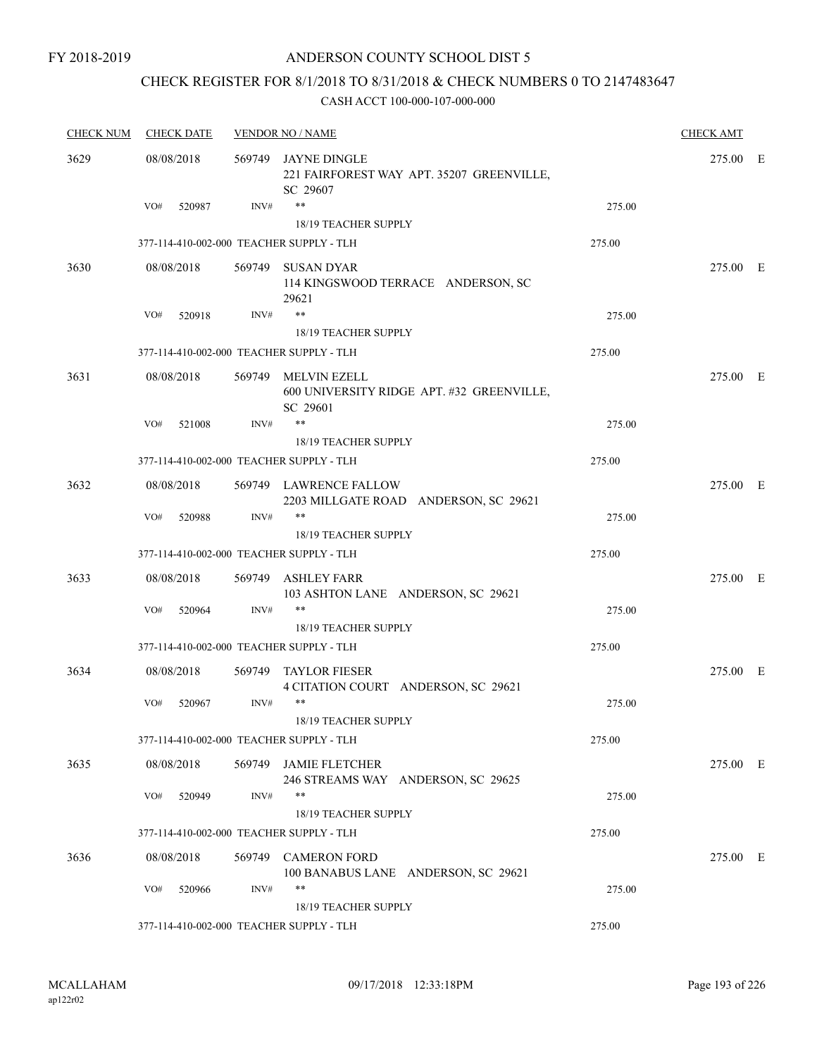### ANDERSON COUNTY SCHOOL DIST 5

## CHECK REGISTER FOR 8/1/2018 TO 8/31/2018 & CHECK NUMBERS 0 TO 2147483647

| <b>CHECK NUM</b> | <b>CHECK DATE</b>                        |        | <b>VENDOR NO / NAME</b>                                                      |        | <b>CHECK AMT</b> |  |
|------------------|------------------------------------------|--------|------------------------------------------------------------------------------|--------|------------------|--|
| 3629             | 08/08/2018                               | 569749 | JAYNE DINGLE<br>221 FAIRFOREST WAY APT. 35207 GREENVILLE,<br>SC 29607        |        | 275.00 E         |  |
|                  | VO#<br>520987                            | INV#   | $***$<br><b>18/19 TEACHER SUPPLY</b>                                         | 275.00 |                  |  |
|                  | 377-114-410-002-000 TEACHER SUPPLY - TLH |        |                                                                              | 275.00 |                  |  |
|                  |                                          |        |                                                                              |        |                  |  |
| 3630             | 08/08/2018                               | 569749 | SUSAN DYAR<br>114 KINGSWOOD TERRACE ANDERSON, SC<br>29621                    |        | 275.00 E         |  |
|                  | VO#<br>520918                            | INV#   | $***$                                                                        | 275.00 |                  |  |
|                  |                                          |        | 18/19 TEACHER SUPPLY                                                         |        |                  |  |
|                  | 377-114-410-002-000 TEACHER SUPPLY - TLH |        |                                                                              | 275.00 |                  |  |
| 3631             | 08/08/2018                               |        | 569749 MELVIN EZELL<br>600 UNIVERSITY RIDGE APT. #32 GREENVILLE,<br>SC 29601 |        | 275.00 E         |  |
|                  | VO#<br>521008                            | INV#   | $\ast\ast$                                                                   | 275.00 |                  |  |
|                  |                                          |        | 18/19 TEACHER SUPPLY                                                         |        |                  |  |
|                  | 377-114-410-002-000 TEACHER SUPPLY - TLH |        |                                                                              | 275.00 |                  |  |
| 3632             | 08/08/2018                               |        | 569749 LAWRENCE FALLOW<br>2203 MILLGATE ROAD ANDERSON, SC 29621              |        | 275.00 E         |  |
|                  | VO#<br>520988                            | INV#   | $***$                                                                        | 275.00 |                  |  |
|                  |                                          |        | 18/19 TEACHER SUPPLY                                                         |        |                  |  |
|                  | 377-114-410-002-000 TEACHER SUPPLY - TLH |        |                                                                              | 275.00 |                  |  |
| 3633             | 08/08/2018                               |        | 569749 ASHLEY FARR<br>103 ASHTON LANE ANDERSON, SC 29621                     |        | 275.00 E         |  |
|                  | VO#<br>520964                            | INV#   | $***$                                                                        | 275.00 |                  |  |
|                  |                                          |        | 18/19 TEACHER SUPPLY                                                         |        |                  |  |
|                  | 377-114-410-002-000 TEACHER SUPPLY - TLH |        |                                                                              | 275.00 |                  |  |
| 3634             | 08/08/2018                               | 569749 | <b>TAYLOR FIESER</b><br>4 CITATION COURT ANDERSON, SC 29621                  |        | 275.00 E         |  |
|                  | VO#<br>520967                            | INV#   | $***$<br>18/19 TEACHER SUPPLY                                                | 275.00 |                  |  |
|                  | 377-114-410-002-000 TEACHER SUPPLY - TLH |        |                                                                              | 275.00 |                  |  |
| 3635             | 08/08/2018                               |        | 569749 JAMIE FLETCHER<br>246 STREAMS WAY ANDERSON, SC 29625                  |        | 275.00 E         |  |
|                  | VO#<br>520949                            | INV#   | $***$                                                                        | 275.00 |                  |  |
|                  |                                          |        | 18/19 TEACHER SUPPLY                                                         |        |                  |  |
|                  | 377-114-410-002-000 TEACHER SUPPLY - TLH |        |                                                                              | 275.00 |                  |  |
| 3636             | 08/08/2018                               | 569749 | <b>CAMERON FORD</b><br>100 BANABUS LANE ANDERSON, SC 29621                   |        | 275.00 E         |  |
|                  | VO#<br>520966                            | INV#   | $***$<br>18/19 TEACHER SUPPLY                                                | 275.00 |                  |  |
|                  | 377-114-410-002-000 TEACHER SUPPLY - TLH |        |                                                                              | 275.00 |                  |  |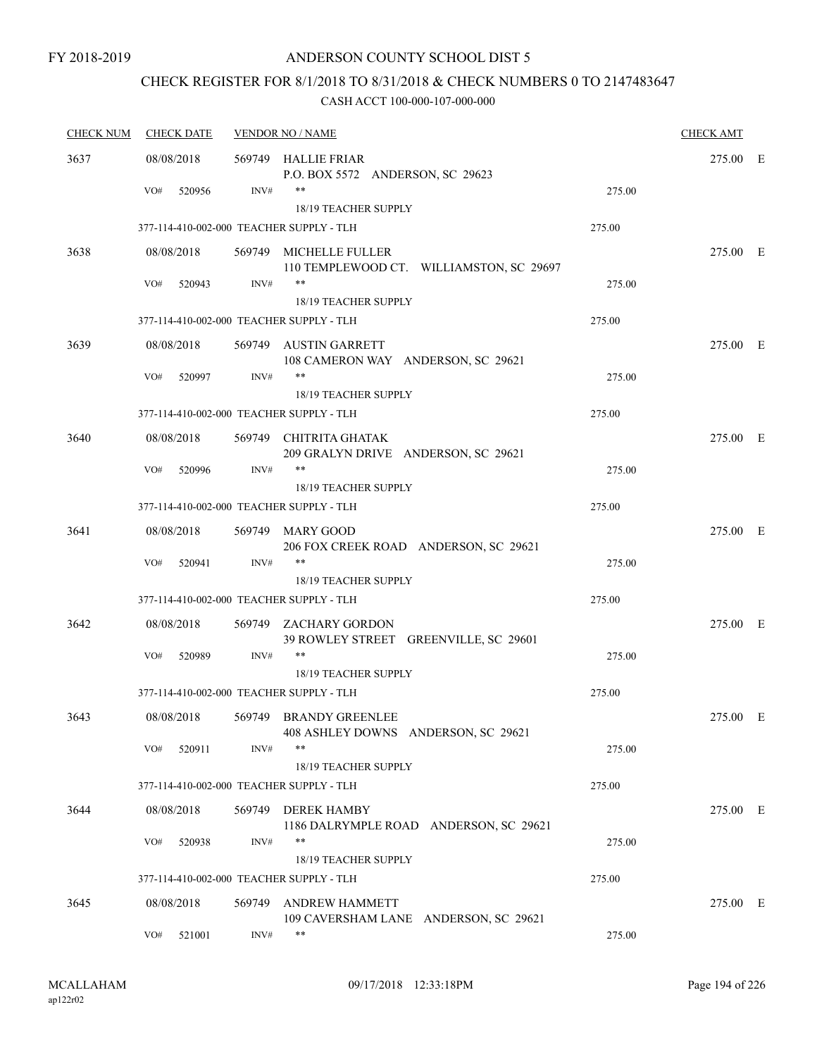## CHECK REGISTER FOR 8/1/2018 TO 8/31/2018 & CHECK NUMBERS 0 TO 2147483647

| <b>CHECK NUM</b> | <b>CHECK DATE</b>                        |        | <b>VENDOR NO / NAME</b>                                            |        | <b>CHECK AMT</b> |  |
|------------------|------------------------------------------|--------|--------------------------------------------------------------------|--------|------------------|--|
| 3637             | 08/08/2018                               |        | 569749 HALLIE FRIAR<br>P.O. BOX 5572 ANDERSON, SC 29623            |        | 275.00 E         |  |
|                  | VO#<br>520956                            | INV#   | $***$                                                              | 275.00 |                  |  |
|                  |                                          |        | 18/19 TEACHER SUPPLY                                               |        |                  |  |
|                  | 377-114-410-002-000 TEACHER SUPPLY - TLH |        |                                                                    | 275.00 |                  |  |
| 3638             | 08/08/2018                               |        | 569749 MICHELLE FULLER<br>110 TEMPLEWOOD CT. WILLIAMSTON, SC 29697 |        | 275.00 E         |  |
|                  | VO#<br>520943                            | INV#   | $***$<br>18/19 TEACHER SUPPLY                                      | 275.00 |                  |  |
|                  | 377-114-410-002-000 TEACHER SUPPLY - TLH |        |                                                                    | 275.00 |                  |  |
| 3639             | 08/08/2018                               |        | 569749 AUSTIN GARRETT<br>108 CAMERON WAY ANDERSON, SC 29621        |        | 275.00 E         |  |
|                  | VO#<br>520997                            | INV#   | $***$                                                              | 275.00 |                  |  |
|                  | 377-114-410-002-000 TEACHER SUPPLY - TLH |        | 18/19 TEACHER SUPPLY                                               | 275.00 |                  |  |
|                  |                                          |        |                                                                    |        |                  |  |
| 3640             | 08/08/2018                               |        | 569749 CHITRITA GHATAK<br>209 GRALYN DRIVE ANDERSON, SC 29621      |        | 275.00 E         |  |
|                  | VO#<br>520996                            | INV#   | $***$                                                              | 275.00 |                  |  |
|                  |                                          |        | 18/19 TEACHER SUPPLY                                               |        |                  |  |
|                  | 377-114-410-002-000 TEACHER SUPPLY - TLH |        |                                                                    | 275.00 |                  |  |
| 3641             | 08/08/2018                               |        | 569749 MARY GOOD<br>206 FOX CREEK ROAD ANDERSON, SC 29621          |        | 275.00 E         |  |
|                  | VO#<br>520941                            | INV#   | $***$                                                              | 275.00 |                  |  |
|                  | 377-114-410-002-000 TEACHER SUPPLY - TLH |        | 18/19 TEACHER SUPPLY                                               | 275.00 |                  |  |
| 3642             | 08/08/2018                               |        | 569749 ZACHARY GORDON                                              |        | 275.00 E         |  |
|                  |                                          |        | 39 ROWLEY STREET GREENVILLE, SC 29601                              |        |                  |  |
|                  | VO#<br>520989                            | INV#   | **                                                                 | 275.00 |                  |  |
|                  |                                          |        | 18/19 TEACHER SUPPLY                                               |        |                  |  |
|                  | 377-114-410-002-000 TEACHER SUPPLY - TLH |        |                                                                    | 275.00 |                  |  |
| 3643             | 08/08/2018                               |        | 569749 BRANDY GREENLEE<br>408 ASHLEY DOWNS ANDERSON, SC 29621      |        | 275.00 E         |  |
|                  | VO#<br>520911                            | INV#   | $***$                                                              | 275.00 |                  |  |
|                  |                                          |        | 18/19 TEACHER SUPPLY                                               |        |                  |  |
|                  | 377-114-410-002-000 TEACHER SUPPLY - TLH |        |                                                                    | 275.00 |                  |  |
| 3644             | 08/08/2018                               | 569749 | <b>DEREK HAMBY</b><br>1186 DALRYMPLE ROAD ANDERSON, SC 29621       |        | 275.00 E         |  |
|                  | VO#<br>520938                            | INV#   | $***$                                                              | 275.00 |                  |  |
|                  | 377-114-410-002-000 TEACHER SUPPLY - TLH |        | 18/19 TEACHER SUPPLY                                               | 275.00 |                  |  |
|                  |                                          |        |                                                                    |        |                  |  |
| 3645             | 08/08/2018                               | 569749 | <b>ANDREW HAMMETT</b><br>109 CAVERSHAM LANE ANDERSON, SC 29621     |        | 275.00 E         |  |
|                  | VO#<br>521001                            | INV#   | $***$                                                              | 275.00 |                  |  |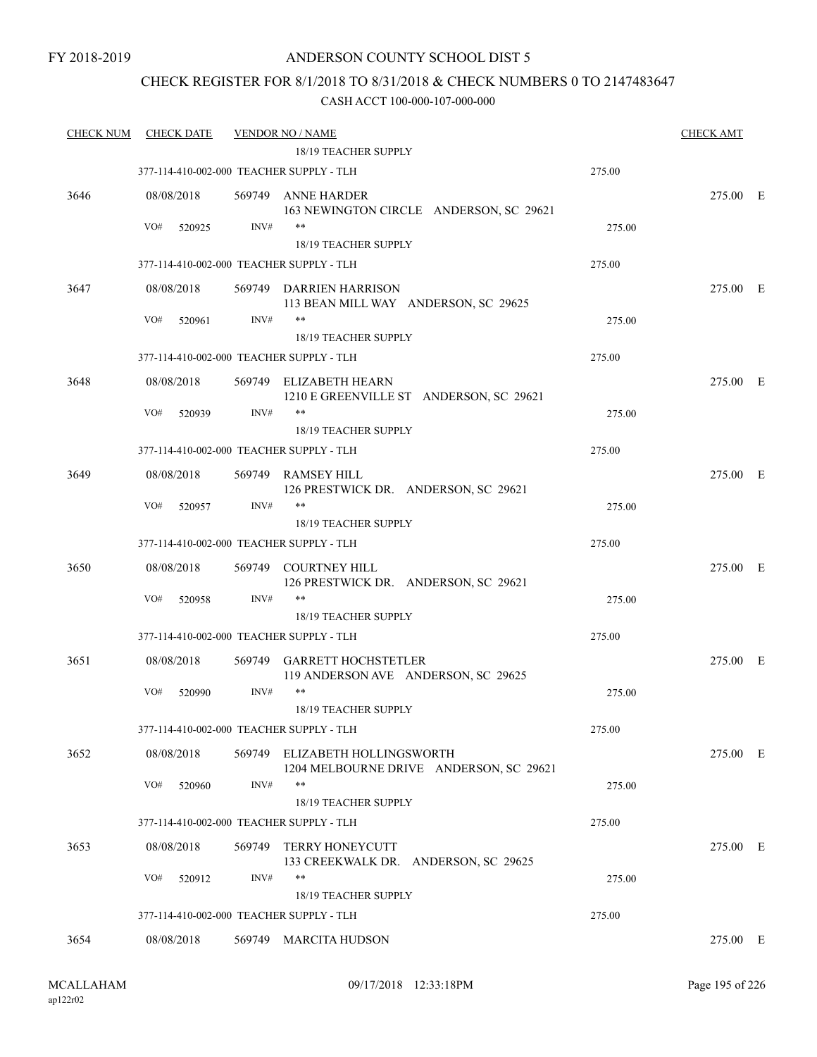### CHECK REGISTER FOR 8/1/2018 TO 8/31/2018 & CHECK NUMBERS 0 TO 2147483647

| <u>CHECK NUM</u> | <b>CHECK DATE</b>                        |        | <b>VENDOR NO / NAME</b>                                                   |        | <b>CHECK AMT</b> |  |
|------------------|------------------------------------------|--------|---------------------------------------------------------------------------|--------|------------------|--|
|                  |                                          |        | 18/19 TEACHER SUPPLY                                                      |        |                  |  |
|                  | 377-114-410-002-000 TEACHER SUPPLY - TLH |        |                                                                           | 275.00 |                  |  |
| 3646             | 08/08/2018                               |        | 569749 ANNE HARDER<br>163 NEWINGTON CIRCLE ANDERSON, SC 29621             |        | 275.00 E         |  |
|                  | VO#<br>520925                            | INV#   | $***$                                                                     | 275.00 |                  |  |
|                  |                                          |        | 18/19 TEACHER SUPPLY                                                      |        |                  |  |
|                  | 377-114-410-002-000 TEACHER SUPPLY - TLH |        |                                                                           | 275.00 |                  |  |
| 3647             | 08/08/2018                               |        | 569749 DARRIEN HARRISON<br>113 BEAN MILL WAY ANDERSON, SC 29625           |        | 275.00 E         |  |
|                  | VO#<br>520961                            | INV#   | **                                                                        | 275.00 |                  |  |
|                  |                                          |        | 18/19 TEACHER SUPPLY                                                      |        |                  |  |
|                  | 377-114-410-002-000 TEACHER SUPPLY - TLH |        |                                                                           | 275.00 |                  |  |
| 3648             | 08/08/2018                               |        | 569749 ELIZABETH HEARN<br>1210 E GREENVILLE ST ANDERSON, SC 29621         |        | 275.00 E         |  |
|                  | VO#<br>520939                            | INV#   | **                                                                        | 275.00 |                  |  |
|                  |                                          |        | 18/19 TEACHER SUPPLY                                                      |        |                  |  |
|                  | 377-114-410-002-000 TEACHER SUPPLY - TLH |        |                                                                           | 275.00 |                  |  |
| 3649             | 08/08/2018                               |        | 569749 RAMSEY HILL<br>126 PRESTWICK DR. ANDERSON, SC 29621                |        | 275.00 E         |  |
|                  | VO#<br>520957                            | INV#   | **                                                                        | 275.00 |                  |  |
|                  |                                          |        | 18/19 TEACHER SUPPLY                                                      |        |                  |  |
|                  | 377-114-410-002-000 TEACHER SUPPLY - TLH |        |                                                                           | 275.00 |                  |  |
| 3650             | 08/08/2018                               |        | 569749 COURTNEY HILL<br>126 PRESTWICK DR. ANDERSON, SC 29621              |        | 275.00 E         |  |
|                  | VO#<br>520958                            | INV#   | $***$                                                                     | 275.00 |                  |  |
|                  |                                          |        | 18/19 TEACHER SUPPLY                                                      |        |                  |  |
|                  | 377-114-410-002-000 TEACHER SUPPLY - TLH |        |                                                                           | 275.00 |                  |  |
| 3651             | 08/08/2018                               | 569749 | <b>GARRETT HOCHSTETLER</b><br>119 ANDERSON AVE ANDERSON, SC 29625         |        | 275.00 E         |  |
|                  | VO#<br>520990                            | INV#   | $***$<br>18/19 TEACHER SUPPLY                                             | 275.00 |                  |  |
|                  | 377-114-410-002-000 TEACHER SUPPLY - TLH |        |                                                                           | 275.00 |                  |  |
| 3652             | 08/08/2018                               |        | 569749 ELIZABETH HOLLINGSWORTH<br>1204 MELBOURNE DRIVE ANDERSON, SC 29621 |        | 275.00 E         |  |
|                  | VO#<br>520960                            | INV#   | $***$                                                                     | 275.00 |                  |  |
|                  |                                          |        | 18/19 TEACHER SUPPLY                                                      |        |                  |  |
|                  | 377-114-410-002-000 TEACHER SUPPLY - TLH |        |                                                                           | 275.00 |                  |  |
|                  |                                          |        |                                                                           |        |                  |  |
| 3653             | 08/08/2018                               | 569749 | <b>TERRY HONEYCUTT</b><br>133 CREEKWALK DR. ANDERSON, SC 29625            |        | 275.00 E         |  |
|                  | VO#<br>520912                            | INV#   | $***$                                                                     | 275.00 |                  |  |
|                  |                                          |        | 18/19 TEACHER SUPPLY                                                      |        |                  |  |
|                  | 377-114-410-002-000 TEACHER SUPPLY - TLH |        |                                                                           | 275.00 |                  |  |
| 3654             | 08/08/2018                               |        | 569749 MARCITA HUDSON                                                     |        | 275.00 E         |  |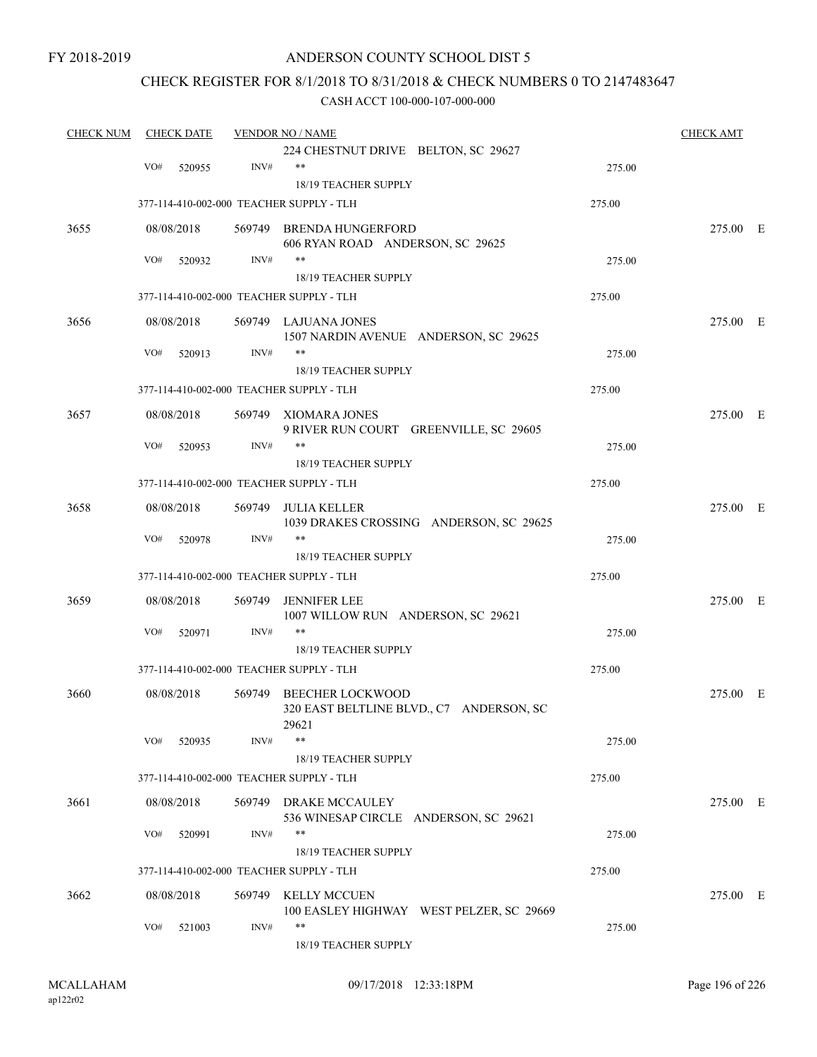### ANDERSON COUNTY SCHOOL DIST 5

### CHECK REGISTER FOR 8/1/2018 TO 8/31/2018 & CHECK NUMBERS 0 TO 2147483647

| <b>CHECK NUM</b> | <b>CHECK DATE</b> |            |        | <b>VENDOR NO / NAME</b>                                                      |        |          |  |  |
|------------------|-------------------|------------|--------|------------------------------------------------------------------------------|--------|----------|--|--|
|                  |                   |            |        | 224 CHESTNUT DRIVE BELTON, SC 29627                                          |        |          |  |  |
|                  | VO#               | 520955     | INV#   | $***$                                                                        | 275.00 |          |  |  |
|                  |                   |            |        | 18/19 TEACHER SUPPLY                                                         |        |          |  |  |
|                  |                   |            |        | 377-114-410-002-000 TEACHER SUPPLY - TLH                                     | 275.00 |          |  |  |
| 3655             |                   | 08/08/2018 |        | 569749 BRENDA HUNGERFORD<br>606 RYAN ROAD ANDERSON, SC 29625                 |        | 275.00 E |  |  |
|                  | VO#               | 520932     | INV#   | $***$                                                                        | 275.00 |          |  |  |
|                  |                   |            |        | 18/19 TEACHER SUPPLY                                                         |        |          |  |  |
|                  |                   |            |        | 377-114-410-002-000 TEACHER SUPPLY - TLH                                     | 275.00 |          |  |  |
| 3656             |                   | 08/08/2018 |        | 569749 LAJUANA JONES<br>1507 NARDIN AVENUE ANDERSON, SC 29625                |        | 275.00 E |  |  |
|                  | VO#               | 520913     | INV#   | **                                                                           | 275.00 |          |  |  |
|                  |                   |            |        | 18/19 TEACHER SUPPLY                                                         |        |          |  |  |
|                  |                   |            |        | 377-114-410-002-000 TEACHER SUPPLY - TLH                                     | 275.00 |          |  |  |
| 3657             |                   | 08/08/2018 |        | 569749 XIOMARA JONES<br>9 RIVER RUN COURT GREENVILLE, SC 29605               |        | 275.00 E |  |  |
|                  | VO#               | 520953     | INV#   | $***$                                                                        | 275.00 |          |  |  |
|                  |                   |            |        | <b>18/19 TEACHER SUPPLY</b>                                                  |        |          |  |  |
|                  |                   |            |        | 377-114-410-002-000 TEACHER SUPPLY - TLH                                     | 275.00 |          |  |  |
| 3658             |                   | 08/08/2018 | 569749 | <b>JULIA KELLER</b><br>1039 DRAKES CROSSING ANDERSON, SC 29625               |        | 275.00 E |  |  |
|                  | VO#               | 520978     | INV#   | $***$                                                                        | 275.00 |          |  |  |
|                  |                   |            |        | 18/19 TEACHER SUPPLY                                                         |        |          |  |  |
|                  |                   |            |        | 377-114-410-002-000 TEACHER SUPPLY - TLH                                     | 275.00 |          |  |  |
| 3659             |                   | 08/08/2018 | 569749 | <b>JENNIFER LEE</b><br>1007 WILLOW RUN ANDERSON, SC 29621                    |        | 275.00 E |  |  |
|                  | VO#               | 520971     | INV#   | $***$                                                                        | 275.00 |          |  |  |
|                  |                   |            |        | 18/19 TEACHER SUPPLY                                                         |        |          |  |  |
|                  |                   |            |        | 377-114-410-002-000 TEACHER SUPPLY - TLH                                     | 275.00 |          |  |  |
| 3660             |                   | 08/08/2018 | 569749 | <b>BEECHER LOCKWOOD</b><br>320 EAST BELTLINE BLVD., C7 ANDERSON, SC<br>29621 |        | 275.00 E |  |  |
|                  | VO#               | 520935     | INV#   | **                                                                           | 275.00 |          |  |  |
|                  |                   |            |        | 18/19 TEACHER SUPPLY                                                         |        |          |  |  |
|                  |                   |            |        | 377-114-410-002-000 TEACHER SUPPLY - TLH                                     | 275.00 |          |  |  |
| 3661             |                   | 08/08/2018 |        | 569749 DRAKE MCCAULEY<br>536 WINESAP CIRCLE ANDERSON, SC 29621               |        | 275.00 E |  |  |
|                  | VO#               | 520991     | INV#   | **<br>18/19 TEACHER SUPPLY                                                   | 275.00 |          |  |  |
|                  |                   |            |        | 377-114-410-002-000 TEACHER SUPPLY - TLH                                     | 275.00 |          |  |  |
| 3662             |                   | 08/08/2018 |        | 569749 KELLY MCCUEN<br>100 EASLEY HIGHWAY WEST PELZER, SC 29669              |        | 275.00 E |  |  |
|                  | VO#               | 521003     | INV#   | $***$<br>18/19 TEACHER SUPPLY                                                | 275.00 |          |  |  |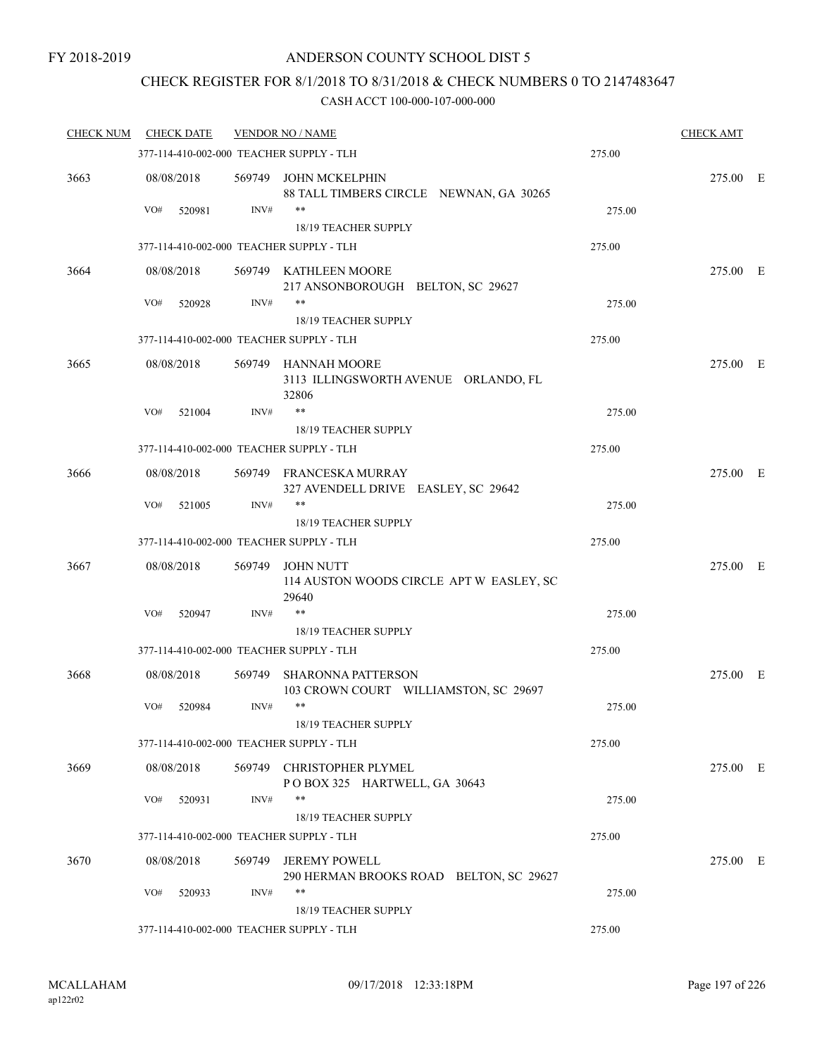### CHECK REGISTER FOR 8/1/2018 TO 8/31/2018 & CHECK NUMBERS 0 TO 2147483647

| <b>CHECK NUM</b> | <b>CHECK DATE</b> |        | <b>VENDOR NO / NAME</b>                                               |        | <b>CHECK AMT</b> |  |
|------------------|-------------------|--------|-----------------------------------------------------------------------|--------|------------------|--|
|                  |                   |        | 377-114-410-002-000 TEACHER SUPPLY - TLH                              | 275.00 |                  |  |
| 3663             | 08/08/2018        |        | 569749 JOHN MCKELPHIN<br>88 TALL TIMBERS CIRCLE NEWNAN, GA 30265      |        | 275.00 E         |  |
|                  | VO#<br>520981     | INV#   | **                                                                    | 275.00 |                  |  |
|                  |                   |        | 18/19 TEACHER SUPPLY                                                  |        |                  |  |
|                  |                   |        | 377-114-410-002-000 TEACHER SUPPLY - TLH                              | 275.00 |                  |  |
| 3664             | 08/08/2018        |        | 569749 KATHLEEN MOORE<br>217 ANSONBOROUGH BELTON, SC 29627            |        | 275.00 E         |  |
|                  | VO#<br>520928     | INV#   | **                                                                    | 275.00 |                  |  |
|                  |                   |        | 18/19 TEACHER SUPPLY<br>377-114-410-002-000 TEACHER SUPPLY - TLH      | 275.00 |                  |  |
|                  |                   |        |                                                                       |        |                  |  |
| 3665             | 08/08/2018        |        | 569749 HANNAH MOORE<br>3113 ILLINGSWORTH AVENUE ORLANDO, FL<br>32806  |        | 275.00 E         |  |
|                  | VO#<br>521004     | INV#   | **                                                                    | 275.00 |                  |  |
|                  |                   |        | 18/19 TEACHER SUPPLY                                                  |        |                  |  |
|                  |                   |        | 377-114-410-002-000 TEACHER SUPPLY - TLH                              | 275.00 |                  |  |
| 3666             | 08/08/2018        |        | 569749 FRANCESKA MURRAY<br>327 AVENDELL DRIVE EASLEY, SC 29642        |        | 275.00 E         |  |
|                  | VO#<br>521005     | INV#   | **<br>18/19 TEACHER SUPPLY                                            | 275.00 |                  |  |
|                  |                   |        | 377-114-410-002-000 TEACHER SUPPLY - TLH                              | 275.00 |                  |  |
| 3667             | 08/08/2018        |        | 569749 JOHN NUTT<br>114 AUSTON WOODS CIRCLE APT W EASLEY, SC<br>29640 |        | 275.00 E         |  |
|                  | VO#<br>520947     | INV#   | $***$                                                                 | 275.00 |                  |  |
|                  |                   |        | 18/19 TEACHER SUPPLY                                                  |        |                  |  |
|                  |                   |        | 377-114-410-002-000 TEACHER SUPPLY - TLH                              | 275.00 |                  |  |
| 3668             | 08/08/2018        | 569749 | <b>SHARONNA PATTERSON</b><br>103 CROWN COURT WILLIAMSTON, SC 29697    |        | 275.00 E         |  |
|                  | VO#<br>520984     | INV#   | **                                                                    | 275.00 |                  |  |
|                  |                   |        | 18/19 TEACHER SUPPLY                                                  |        |                  |  |
|                  |                   |        | 377-114-410-002-000 TEACHER SUPPLY - TLH                              | 275.00 |                  |  |
| 3669             | 08/08/2018        |        | 569749 CHRISTOPHER PLYMEL<br>POBOX 325 HARTWELL, GA 30643             |        | 275.00 E         |  |
|                  | VO#<br>520931     | INV#   | **                                                                    | 275.00 |                  |  |
|                  |                   |        | 18/19 TEACHER SUPPLY                                                  |        |                  |  |
|                  |                   |        | 377-114-410-002-000 TEACHER SUPPLY - TLH                              | 275.00 |                  |  |
| 3670             | 08/08/2018        |        | 569749 JEREMY POWELL<br>290 HERMAN BROOKS ROAD BELTON, SC 29627       |        | 275.00 E         |  |
|                  | VO#<br>520933     | INV#   | **                                                                    | 275.00 |                  |  |
|                  |                   |        | 18/19 TEACHER SUPPLY                                                  |        |                  |  |
|                  |                   |        | 377-114-410-002-000 TEACHER SUPPLY - TLH                              | 275.00 |                  |  |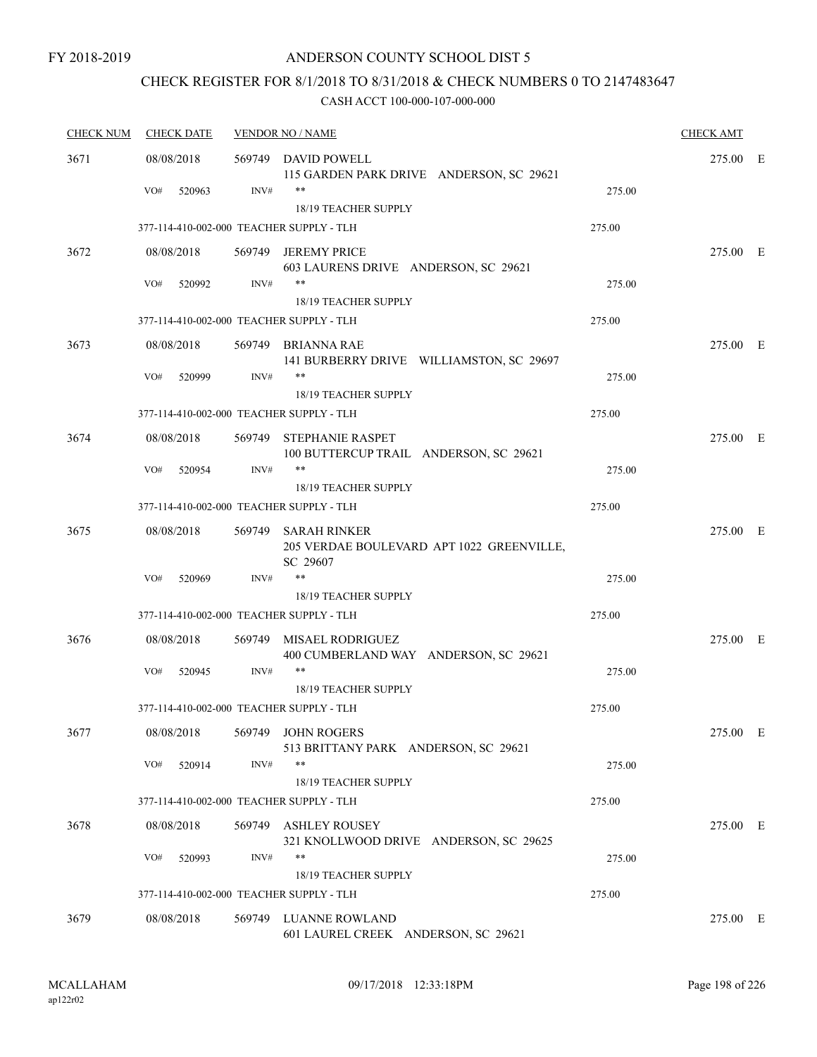## CHECK REGISTER FOR 8/1/2018 TO 8/31/2018 & CHECK NUMBERS 0 TO 2147483647

| <b>CHECK NUM</b> | <b>CHECK DATE</b>                        |        | <b>VENDOR NO / NAME</b>                                               |        |          |  |
|------------------|------------------------------------------|--------|-----------------------------------------------------------------------|--------|----------|--|
| 3671             | 08/08/2018                               |        | 569749 DAVID POWELL<br>115 GARDEN PARK DRIVE ANDERSON, SC 29621       |        | 275.00 E |  |
|                  | VO#<br>520963                            | INV#   | **<br>18/19 TEACHER SUPPLY                                            | 275.00 |          |  |
|                  | 377-114-410-002-000 TEACHER SUPPLY - TLH |        |                                                                       | 275.00 |          |  |
| 3672             | 08/08/2018                               | 569749 | <b>JEREMY PRICE</b>                                                   |        | 275.00 E |  |
|                  |                                          |        | 603 LAURENS DRIVE ANDERSON, SC 29621                                  |        |          |  |
|                  | VO#<br>520992                            | INV#   | $***$<br>18/19 TEACHER SUPPLY                                         | 275.00 |          |  |
|                  | 377-114-410-002-000 TEACHER SUPPLY - TLH |        |                                                                       | 275.00 |          |  |
| 3673             | 08/08/2018                               |        | 569749 BRIANNA RAE<br>141 BURBERRY DRIVE WILLIAMSTON, SC 29697        |        | 275.00 E |  |
|                  | VO#<br>520999                            | INV#   | **                                                                    | 275.00 |          |  |
|                  | 377-114-410-002-000 TEACHER SUPPLY - TLH |        | 18/19 TEACHER SUPPLY                                                  | 275.00 |          |  |
| 3674             | 08/08/2018                               |        | 569749 STEPHANIE RASPET                                               |        | 275.00 E |  |
|                  | VO#<br>520954                            | INV#   | 100 BUTTERCUP TRAIL ANDERSON, SC 29621<br>$***$                       | 275.00 |          |  |
|                  | 377-114-410-002-000 TEACHER SUPPLY - TLH |        | 18/19 TEACHER SUPPLY                                                  | 275.00 |          |  |
|                  |                                          |        |                                                                       |        |          |  |
| 3675             | 08/08/2018                               | 569749 | SARAH RINKER<br>205 VERDAE BOULEVARD APT 1022 GREENVILLE,<br>SC 29607 |        | 275.00 E |  |
|                  | VO#<br>520969                            | INV#   | $***$                                                                 | 275.00 |          |  |
|                  |                                          |        | 18/19 TEACHER SUPPLY                                                  |        |          |  |
|                  | 377-114-410-002-000 TEACHER SUPPLY - TLH |        |                                                                       | 275.00 |          |  |
| 3676             | 08/08/2018                               | 569749 | MISAEL RODRIGUEZ<br>400 CUMBERLAND WAY ANDERSON, SC 29621             |        | 275.00 E |  |
|                  | VO#<br>520945                            | INV#   | $***$                                                                 | 275.00 |          |  |
|                  |                                          |        | 18/19 TEACHER SUPPLY                                                  |        |          |  |
|                  | 377-114-410-002-000 TEACHER SUPPLY - TLH |        |                                                                       | 275.00 |          |  |
| 3677             | 08/08/2018                               |        | 569749 JOHN ROGERS<br>513 BRITTANY PARK ANDERSON, SC 29621            |        | 275.00 E |  |
|                  | VO#<br>520914                            | INV#   | $***$                                                                 | 275.00 |          |  |
|                  | 377-114-410-002-000 TEACHER SUPPLY - TLH |        | 18/19 TEACHER SUPPLY                                                  | 275.00 |          |  |
|                  |                                          | 569749 |                                                                       |        | 275.00 E |  |
| 3678             | 08/08/2018                               |        | ASHLEY ROUSEY<br>321 KNOLLWOOD DRIVE ANDERSON, SC 29625<br>**         |        |          |  |
|                  | VO#<br>520993                            | INV#   | 18/19 TEACHER SUPPLY                                                  | 275.00 |          |  |
|                  | 377-114-410-002-000 TEACHER SUPPLY - TLH |        |                                                                       | 275.00 |          |  |
| 3679             | 08/08/2018                               | 569749 | LUANNE ROWLAND                                                        |        | 275.00 E |  |
|                  |                                          |        | 601 LAUREL CREEK ANDERSON, SC 29621                                   |        |          |  |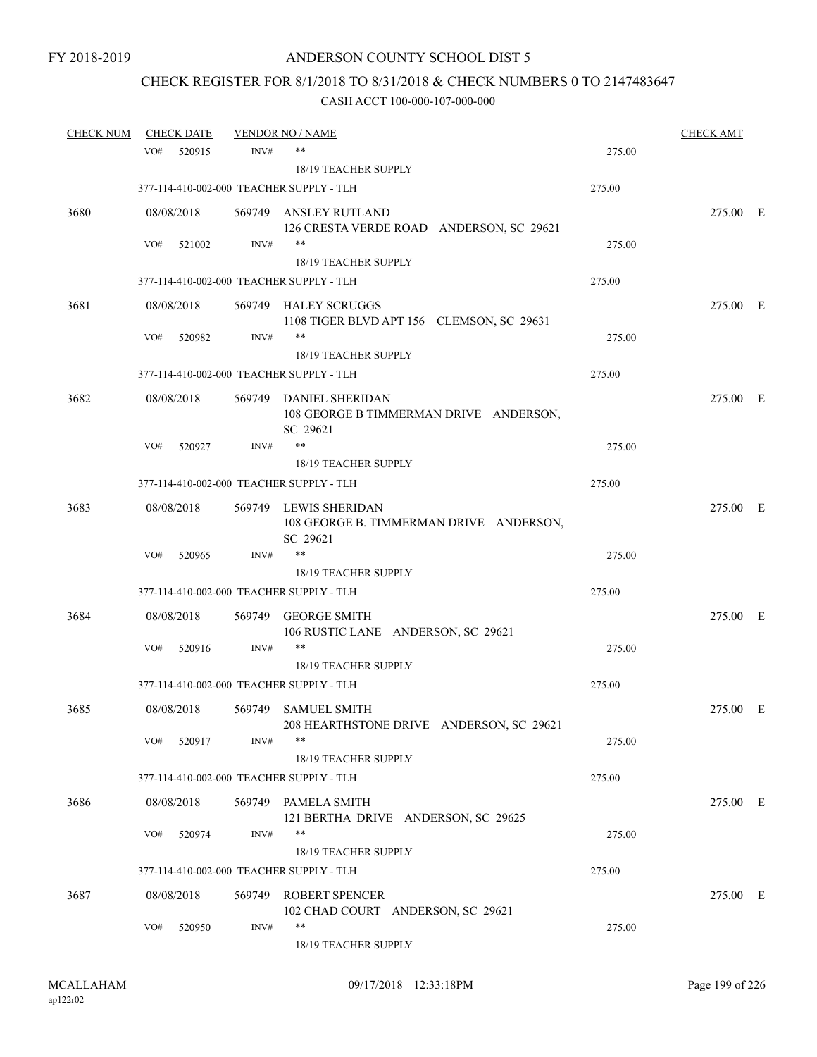## CHECK REGISTER FOR 8/1/2018 TO 8/31/2018 & CHECK NUMBERS 0 TO 2147483647

| <b>CHECK NUM</b> |     | <b>CHECK DATE</b> |        | <b>VENDOR NO / NAME</b>                                                      |        | <b>CHECK AMT</b> |  |
|------------------|-----|-------------------|--------|------------------------------------------------------------------------------|--------|------------------|--|
|                  | VO# | 520915            | INV#   | $***$                                                                        | 275.00 |                  |  |
|                  |     |                   |        | 18/19 TEACHER SUPPLY                                                         |        |                  |  |
|                  |     |                   |        | 377-114-410-002-000 TEACHER SUPPLY - TLH                                     | 275.00 |                  |  |
| 3680             |     | 08/08/2018        |        | 569749 ANSLEY RUTLAND                                                        |        | 275.00 E         |  |
|                  |     |                   |        | 126 CRESTA VERDE ROAD ANDERSON, SC 29621<br>$***$                            |        |                  |  |
|                  | VO# | 521002            | INV#   | <b>18/19 TEACHER SUPPLY</b>                                                  | 275.00 |                  |  |
|                  |     |                   |        | 377-114-410-002-000 TEACHER SUPPLY - TLH                                     | 275.00 |                  |  |
|                  |     |                   |        |                                                                              |        |                  |  |
| 3681             |     | 08/08/2018        |        | 569749 HALEY SCRUGGS<br>1108 TIGER BLVD APT 156 CLEMSON, SC 29631            |        | 275.00 E         |  |
|                  | VO# | 520982            | INV#   | $***$                                                                        | 275.00 |                  |  |
|                  |     |                   |        | 18/19 TEACHER SUPPLY                                                         |        |                  |  |
|                  |     |                   |        | 377-114-410-002-000 TEACHER SUPPLY - TLH                                     | 275.00 |                  |  |
| 3682             |     | 08/08/2018        |        | 569749 DANIEL SHERIDAN<br>108 GEORGE B TIMMERMAN DRIVE ANDERSON,<br>SC 29621 |        | 275.00 E         |  |
|                  | VO# | 520927            | INV#   | **                                                                           | 275.00 |                  |  |
|                  |     |                   |        | <b>18/19 TEACHER SUPPLY</b>                                                  |        |                  |  |
|                  |     |                   |        | 377-114-410-002-000 TEACHER SUPPLY - TLH                                     | 275.00 |                  |  |
| 3683             |     | 08/08/2018        |        | 569749 LEWIS SHERIDAN<br>108 GEORGE B. TIMMERMAN DRIVE ANDERSON,<br>SC 29621 |        | 275.00 E         |  |
|                  | VO# | 520965            | INV#   | $***$                                                                        | 275.00 |                  |  |
|                  |     |                   |        | 18/19 TEACHER SUPPLY                                                         |        |                  |  |
|                  |     |                   |        | 377-114-410-002-000 TEACHER SUPPLY - TLH                                     | 275.00 |                  |  |
| 3684             |     | 08/08/2018        | 569749 | <b>GEORGE SMITH</b><br>106 RUSTIC LANE ANDERSON, SC 29621                    |        | 275.00 E         |  |
|                  | VO# | 520916            | INV#   | $***$                                                                        | 275.00 |                  |  |
|                  |     |                   |        | 18/19 TEACHER SUPPLY                                                         |        |                  |  |
|                  |     |                   |        | 377-114-410-002-000 TEACHER SUPPLY - TLH                                     | 275.00 |                  |  |
| 3685             |     | 08/08/2018        |        | 569749 SAMUEL SMITH<br>208 HEARTHSTONE DRIVE ANDERSON, SC 29621              |        | 275.00 E         |  |
|                  | VO# | 520917            | INV#   | $***$<br>18/19 TEACHER SUPPLY                                                | 275.00 |                  |  |
|                  |     |                   |        | 377-114-410-002-000 TEACHER SUPPLY - TLH                                     | 275.00 |                  |  |
| 3686             |     | 08/08/2018        |        | 569749 PAMELA SMITH                                                          |        | 275.00 E         |  |
|                  |     |                   |        | 121 BERTHA DRIVE ANDERSON, SC 29625                                          |        |                  |  |
|                  | VO# | 520974            | INV#   | $***$                                                                        | 275.00 |                  |  |
|                  |     |                   |        | 18/19 TEACHER SUPPLY                                                         |        |                  |  |
|                  |     |                   |        | 377-114-410-002-000 TEACHER SUPPLY - TLH                                     | 275.00 |                  |  |
| 3687             |     | 08/08/2018        | 569749 | <b>ROBERT SPENCER</b><br>102 CHAD COURT ANDERSON, SC 29621                   |        | 275.00 E         |  |
|                  | VO# | 520950            | INV#   | $***$<br>18/19 TEACHER SUPPLY                                                | 275.00 |                  |  |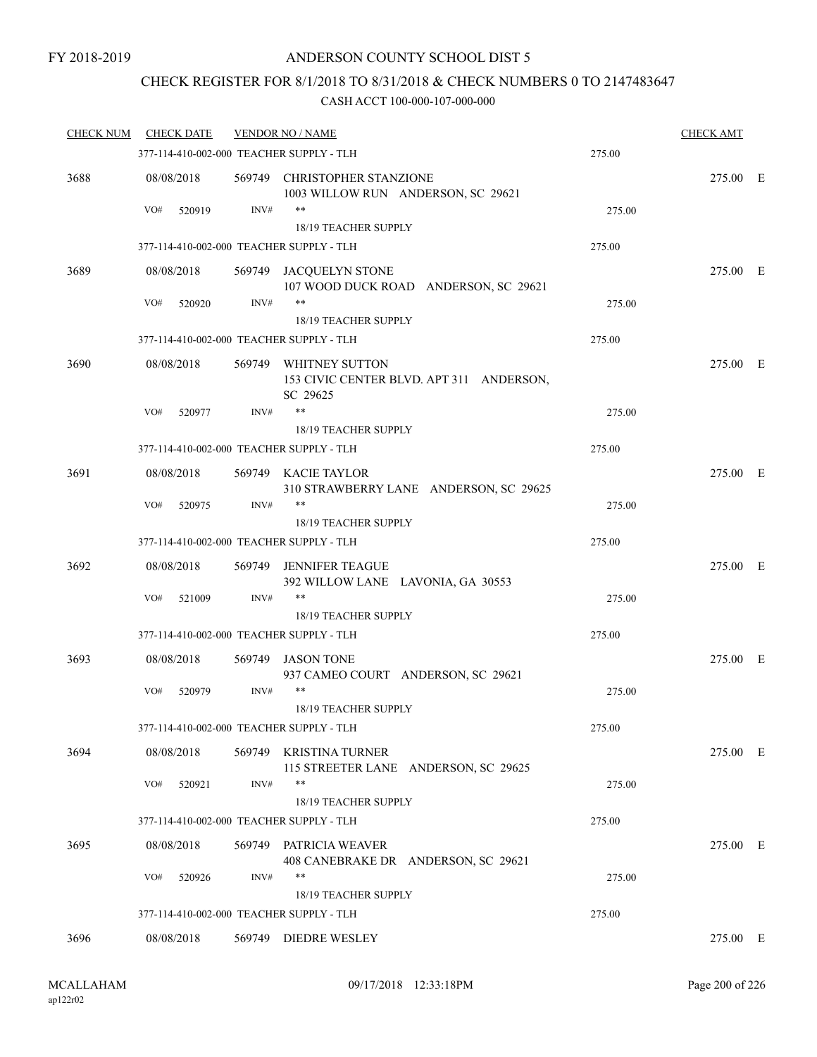### CHECK REGISTER FOR 8/1/2018 TO 8/31/2018 & CHECK NUMBERS 0 TO 2147483647

| <b>CHECK NUM</b> | <b>CHECK DATE</b>                        |      | <b>VENDOR NO / NAME</b>                                                       |        | <b>CHECK AMT</b> |  |
|------------------|------------------------------------------|------|-------------------------------------------------------------------------------|--------|------------------|--|
|                  | 377-114-410-002-000 TEACHER SUPPLY - TLH |      |                                                                               | 275.00 |                  |  |
| 3688             | 08/08/2018                               |      | 569749 CHRISTOPHER STANZIONE<br>1003 WILLOW RUN ANDERSON, SC 29621            |        | 275.00 E         |  |
|                  | VO#<br>520919                            | INV# | **                                                                            | 275.00 |                  |  |
|                  |                                          |      | 18/19 TEACHER SUPPLY                                                          |        |                  |  |
|                  | 377-114-410-002-000 TEACHER SUPPLY - TLH |      |                                                                               | 275.00 |                  |  |
| 3689             | 08/08/2018                               |      | 569749 JACQUELYN STONE<br>107 WOOD DUCK ROAD ANDERSON, SC 29621               |        | 275.00 E         |  |
|                  | VO#<br>520920                            | INV# | **                                                                            | 275.00 |                  |  |
|                  | 377-114-410-002-000 TEACHER SUPPLY - TLH |      | 18/19 TEACHER SUPPLY                                                          | 275.00 |                  |  |
|                  |                                          |      |                                                                               |        |                  |  |
| 3690             | 08/08/2018                               |      | 569749 WHITNEY SUTTON<br>153 CIVIC CENTER BLVD. APT 311 ANDERSON,<br>SC 29625 |        | 275.00 E         |  |
|                  | VO#<br>520977                            | INV# | $***$                                                                         | 275.00 |                  |  |
|                  |                                          |      | 18/19 TEACHER SUPPLY                                                          |        |                  |  |
|                  | 377-114-410-002-000 TEACHER SUPPLY - TLH |      |                                                                               | 275.00 |                  |  |
| 3691             | 08/08/2018                               |      | 569749 KACIE TAYLOR<br>310 STRAWBERRY LANE ANDERSON, SC 29625                 |        | 275.00 E         |  |
|                  | VO#<br>520975                            | INV# | **                                                                            | 275.00 |                  |  |
|                  |                                          |      | 18/19 TEACHER SUPPLY                                                          |        |                  |  |
|                  | 377-114-410-002-000 TEACHER SUPPLY - TLH |      |                                                                               | 275.00 |                  |  |
| 3692             | 08/08/2018                               |      | 569749 JENNIFER TEAGUE<br>392 WILLOW LANE LAVONIA, GA 30553                   |        | 275.00 E         |  |
|                  | VO#<br>521009                            | INV# | $***$<br>18/19 TEACHER SUPPLY                                                 | 275.00 |                  |  |
|                  | 377-114-410-002-000 TEACHER SUPPLY - TLH |      |                                                                               | 275.00 |                  |  |
| 3693             | 08/08/2018                               |      | 569749 JASON TONE<br>937 CAMEO COURT ANDERSON, SC 29621                       |        | 275.00 E         |  |
|                  | VO#<br>520979                            | INV# | $***$<br>18/19 TEACHER SUPPLY                                                 | 275.00 |                  |  |
|                  | 377-114-410-002-000 TEACHER SUPPLY - TLH |      |                                                                               | 275.00 |                  |  |
| 3694             | 08/08/2018                               |      | 569749 KRISTINA TURNER<br>115 STREETER LANE ANDERSON, SC 29625                |        | 275.00 E         |  |
|                  | VO#<br>520921                            | INV# | **                                                                            | 275.00 |                  |  |
|                  |                                          |      | 18/19 TEACHER SUPPLY                                                          |        |                  |  |
|                  | 377-114-410-002-000 TEACHER SUPPLY - TLH |      |                                                                               | 275.00 |                  |  |
| 3695             | 08/08/2018                               |      | 569749 PATRICIA WEAVER<br>408 CANEBRAKE DR ANDERSON, SC 29621                 |        | 275.00 E         |  |
|                  | VO#<br>520926                            | INV# | **<br>18/19 TEACHER SUPPLY                                                    | 275.00 |                  |  |
|                  | 377-114-410-002-000 TEACHER SUPPLY - TLH |      |                                                                               | 275.00 |                  |  |
|                  |                                          |      |                                                                               |        |                  |  |
| 3696             | 08/08/2018                               |      | 569749 DIEDRE WESLEY                                                          |        | 275.00 E         |  |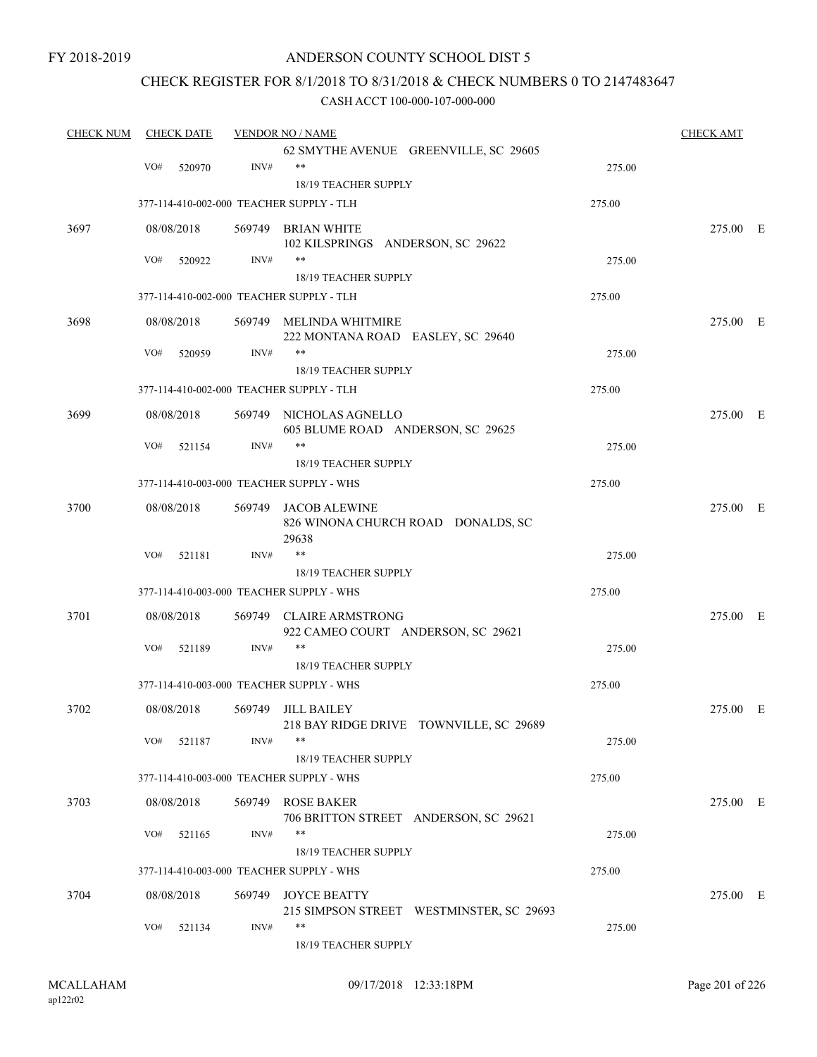### ANDERSON COUNTY SCHOOL DIST 5

### CHECK REGISTER FOR 8/1/2018 TO 8/31/2018 & CHECK NUMBERS 0 TO 2147483647

| <b>CHECK NUM</b> |     | <b>CHECK DATE</b> |        | <b>VENDOR NO / NAME</b>                          |        | <b>CHECK AMT</b> |  |
|------------------|-----|-------------------|--------|--------------------------------------------------|--------|------------------|--|
|                  |     |                   |        | 62 SMYTHE AVENUE GREENVILLE, SC 29605            |        |                  |  |
|                  | VO# | 520970            | INV#   | **                                               | 275.00 |                  |  |
|                  |     |                   |        | 18/19 TEACHER SUPPLY                             |        |                  |  |
|                  |     |                   |        | 377-114-410-002-000 TEACHER SUPPLY - TLH         | 275.00 |                  |  |
| 3697             |     | 08/08/2018        |        | 569749 BRIAN WHITE                               |        | 275.00 E         |  |
|                  |     |                   |        | 102 KILSPRINGS ANDERSON, SC 29622                |        |                  |  |
|                  | VO# | 520922            | INV#   | $***$                                            | 275.00 |                  |  |
|                  |     |                   |        | 18/19 TEACHER SUPPLY                             |        |                  |  |
|                  |     |                   |        | 377-114-410-002-000 TEACHER SUPPLY - TLH         | 275.00 |                  |  |
| 3698             |     | 08/08/2018        |        | 569749 MELINDA WHITMIRE                          |        | 275.00 E         |  |
|                  |     |                   |        | 222 MONTANA ROAD EASLEY, SC 29640                |        |                  |  |
|                  | VO# | 520959            | INV#   | **                                               | 275.00 |                  |  |
|                  |     |                   |        | 18/19 TEACHER SUPPLY                             |        |                  |  |
|                  |     |                   |        | 377-114-410-002-000 TEACHER SUPPLY - TLH         | 275.00 |                  |  |
| 3699             |     | 08/08/2018        |        | 569749 NICHOLAS AGNELLO                          |        | 275.00 E         |  |
|                  |     |                   |        | 605 BLUME ROAD ANDERSON, SC 29625                |        |                  |  |
|                  | VO# | 521154            | INV#   | **                                               | 275.00 |                  |  |
|                  |     |                   |        | 18/19 TEACHER SUPPLY                             |        |                  |  |
|                  |     |                   |        | 377-114-410-003-000 TEACHER SUPPLY - WHS         | 275.00 |                  |  |
| 3700             |     | 08/08/2018        |        | 569749 JACOB ALEWINE                             |        | 275.00 E         |  |
|                  |     |                   |        | 826 WINONA CHURCH ROAD DONALDS, SC               |        |                  |  |
|                  |     |                   |        | 29638                                            |        |                  |  |
|                  | VO# | 521181            | INV#   | $***$                                            | 275.00 |                  |  |
|                  |     |                   |        | 18/19 TEACHER SUPPLY                             |        |                  |  |
|                  |     |                   |        | 377-114-410-003-000 TEACHER SUPPLY - WHS         | 275.00 |                  |  |
| 3701             |     | 08/08/2018        |        | 569749 CLAIRE ARMSTRONG                          |        | 275.00 E         |  |
|                  |     |                   |        | 922 CAMEO COURT ANDERSON, SC 29621               |        |                  |  |
|                  | VO# | 521189            | INV#   | **                                               | 275.00 |                  |  |
|                  |     |                   |        | <b>18/19 TEACHER SUPPLY</b>                      |        |                  |  |
|                  |     |                   |        | 377-114-410-003-000 TEACHER SUPPLY - WHS         | 275.00 |                  |  |
|                  |     |                   |        |                                                  |        |                  |  |
| 3702             |     | 08/08/2018        | 569749 | JILL BAILEY                                      |        | 275.00 E         |  |
|                  |     |                   |        | 218 BAY RIDGE DRIVE TOWNVILLE, SC 29689<br>$***$ |        |                  |  |
|                  | VO# | 521187            | INV#   |                                                  | 275.00 |                  |  |
|                  |     |                   |        | 18/19 TEACHER SUPPLY                             |        |                  |  |
|                  |     |                   |        | 377-114-410-003-000 TEACHER SUPPLY - WHS         | 275.00 |                  |  |
| 3703             |     | 08/08/2018        |        | 569749 ROSE BAKER                                |        | 275.00 E         |  |
|                  |     |                   |        | 706 BRITTON STREET ANDERSON, SC 29621            |        |                  |  |
|                  | VO# | 521165            | INV#   |                                                  | 275.00 |                  |  |
|                  |     |                   |        | 18/19 TEACHER SUPPLY                             |        |                  |  |
|                  |     |                   |        | 377-114-410-003-000 TEACHER SUPPLY - WHS         | 275.00 |                  |  |
| 3704             |     | 08/08/2018        |        | 569749 JOYCE BEATTY                              |        | 275.00 E         |  |
|                  |     |                   |        | 215 SIMPSON STREET WESTMINSTER, SC 29693         |        |                  |  |
|                  | VO# | 521134            | INV#   | **                                               | 275.00 |                  |  |
|                  |     |                   |        | 18/19 TEACHER SUPPLY                             |        |                  |  |
|                  |     |                   |        |                                                  |        |                  |  |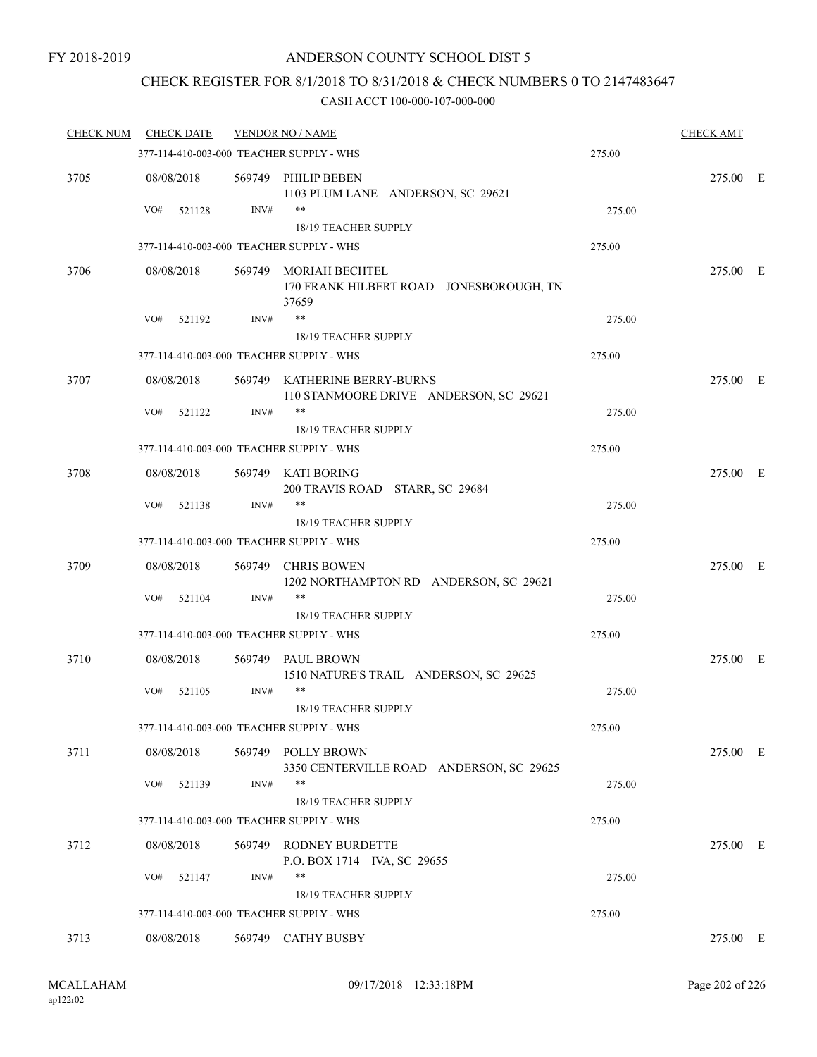### CHECK REGISTER FOR 8/1/2018 TO 8/31/2018 & CHECK NUMBERS 0 TO 2147483647

| <b>CHECK NUM</b> | <b>CHECK DATE</b> |      | <b>VENDOR NO / NAME</b>                                                   |        | <b>CHECK AMT</b> |  |
|------------------|-------------------|------|---------------------------------------------------------------------------|--------|------------------|--|
|                  |                   |      | 377-114-410-003-000 TEACHER SUPPLY - WHS                                  | 275.00 |                  |  |
| 3705             | 08/08/2018        |      | 569749 PHILIP BEBEN<br>1103 PLUM LANE ANDERSON, SC 29621                  |        | 275.00 E         |  |
|                  | VO#<br>521128     | INV# | **                                                                        | 275.00 |                  |  |
|                  |                   |      | 18/19 TEACHER SUPPLY                                                      |        |                  |  |
|                  |                   |      | 377-114-410-003-000 TEACHER SUPPLY - WHS                                  | 275.00 |                  |  |
| 3706             | 08/08/2018        |      | 569749 MORIAH BECHTEL<br>170 FRANK HILBERT ROAD JONESBOROUGH, TN<br>37659 |        | 275.00 E         |  |
|                  | VO#<br>521192     | INV# | $***$                                                                     | 275.00 |                  |  |
|                  |                   |      | 18/19 TEACHER SUPPLY                                                      |        |                  |  |
|                  |                   |      | 377-114-410-003-000 TEACHER SUPPLY - WHS                                  | 275.00 |                  |  |
| 3707             | 08/08/2018        |      | 569749 KATHERINE BERRY-BURNS<br>110 STANMOORE DRIVE ANDERSON, SC 29621    |        | 275.00 E         |  |
|                  | VO#<br>521122     | INV# | $***$                                                                     | 275.00 |                  |  |
|                  |                   |      | 18/19 TEACHER SUPPLY<br>377-114-410-003-000 TEACHER SUPPLY - WHS          | 275.00 |                  |  |
|                  |                   |      |                                                                           |        |                  |  |
| 3708             | 08/08/2018        |      | 569749 KATI BORING<br>200 TRAVIS ROAD STARR, SC 29684                     |        | 275.00 E         |  |
|                  | VO#<br>521138     | INV# | $***$                                                                     | 275.00 |                  |  |
|                  |                   |      | 18/19 TEACHER SUPPLY<br>377-114-410-003-000 TEACHER SUPPLY - WHS          |        |                  |  |
|                  |                   |      |                                                                           | 275.00 |                  |  |
| 3709             | 08/08/2018        |      | 569749 CHRIS BOWEN<br>1202 NORTHAMPTON RD ANDERSON, SC 29621              |        | 275.00 E         |  |
|                  | VO#<br>521104     | INV# | $***$                                                                     | 275.00 |                  |  |
|                  |                   |      | 18/19 TEACHER SUPPLY                                                      |        |                  |  |
|                  |                   |      | 377-114-410-003-000 TEACHER SUPPLY - WHS                                  | 275.00 |                  |  |
| 3710             | 08/08/2018        |      | 569749 PAUL BROWN                                                         |        | 275.00 E         |  |
|                  | VO#<br>521105     | INV# | 1510 NATURE'S TRAIL ANDERSON, SC 29625<br>$***$                           | 275.00 |                  |  |
|                  |                   |      | 18/19 TEACHER SUPPLY                                                      |        |                  |  |
|                  |                   |      | 377-114-410-003-000 TEACHER SUPPLY - WHS                                  | 275.00 |                  |  |
| 3711             | 08/08/2018        |      | 569749 POLLY BROWN                                                        |        | 275.00 E         |  |
|                  |                   |      | 3350 CENTERVILLE ROAD ANDERSON, SC 29625                                  |        |                  |  |
|                  | VO#<br>521139     | INV# | $***$                                                                     | 275.00 |                  |  |
|                  |                   |      | 18/19 TEACHER SUPPLY                                                      |        |                  |  |
|                  |                   |      | 377-114-410-003-000 TEACHER SUPPLY - WHS                                  | 275.00 |                  |  |
| 3712             | 08/08/2018        |      | 569749 RODNEY BURDETTE<br>P.O. BOX 1714 IVA, SC 29655                     |        | 275.00 E         |  |
|                  | VO#<br>521147     | INV# | **                                                                        | 275.00 |                  |  |
|                  |                   |      | 18/19 TEACHER SUPPLY                                                      |        |                  |  |
|                  |                   |      | 377-114-410-003-000 TEACHER SUPPLY - WHS                                  | 275.00 |                  |  |
| 3713             | 08/08/2018        |      | 569749 CATHY BUSBY                                                        |        | 275.00 E         |  |
|                  |                   |      |                                                                           |        |                  |  |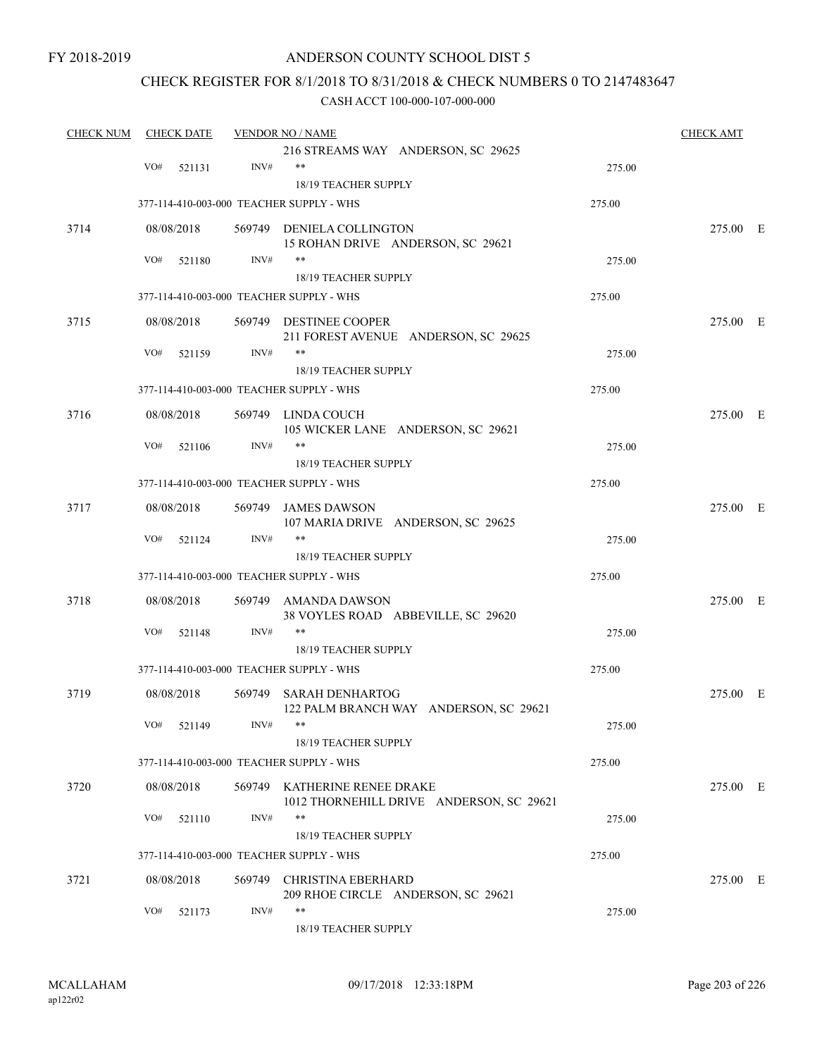### ANDERSON COUNTY SCHOOL DIST 5

### CHECK REGISTER FOR 8/1/2018 TO 8/31/2018 & CHECK NUMBERS 0 TO 2147483647

| <b>CHECK NUM</b> |     | <b>CHECK DATE</b> |      | <b>VENDOR NO / NAME</b>                                          |        | <b>CHECK AMT</b> |  |
|------------------|-----|-------------------|------|------------------------------------------------------------------|--------|------------------|--|
|                  |     |                   |      | 216 STREAMS WAY ANDERSON, SC 29625                               |        |                  |  |
|                  | VO# | 521131            | INV# | **                                                               | 275.00 |                  |  |
|                  |     |                   |      | 18/19 TEACHER SUPPLY                                             |        |                  |  |
|                  |     |                   |      | 377-114-410-003-000 TEACHER SUPPLY - WHS                         | 275.00 |                  |  |
| 3714             |     | 08/08/2018        |      | 569749 DENIELA COLLINGTON                                        |        | 275.00 E         |  |
|                  |     |                   |      | 15 ROHAN DRIVE ANDERSON, SC 29621                                |        |                  |  |
|                  | VO# | 521180            | INV# | **                                                               | 275.00 |                  |  |
|                  |     |                   |      | 18/19 TEACHER SUPPLY                                             |        |                  |  |
|                  |     |                   |      | 377-114-410-003-000 TEACHER SUPPLY - WHS                         | 275.00 |                  |  |
| 3715             |     | 08/08/2018        |      | 569749 DESTINEE COOPER<br>211 FOREST AVENUE ANDERSON, SC 29625   |        | 275.00 E         |  |
|                  | VO# | 521159            | INV# | **                                                               | 275.00 |                  |  |
|                  |     |                   |      | 18/19 TEACHER SUPPLY                                             |        |                  |  |
|                  |     |                   |      | 377-114-410-003-000 TEACHER SUPPLY - WHS                         | 275.00 |                  |  |
|                  |     |                   |      |                                                                  |        |                  |  |
| 3716             |     | 08/08/2018        |      | 569749 LINDA COUCH<br>105 WICKER LANE ANDERSON, SC 29621         |        | 275.00 E         |  |
|                  | VO# | 521106            | INV# | **                                                               | 275.00 |                  |  |
|                  |     |                   |      | <b>18/19 TEACHER SUPPLY</b>                                      |        |                  |  |
|                  |     |                   |      | 377-114-410-003-000 TEACHER SUPPLY - WHS                         | 275.00 |                  |  |
| 3717             |     | 08/08/2018        |      | 569749 JAMES DAWSON                                              |        | 275.00 E         |  |
|                  |     |                   |      | 107 MARIA DRIVE ANDERSON, SC 29625                               |        |                  |  |
|                  | VO# | 521124            | INV# | $***$                                                            | 275.00 |                  |  |
|                  |     |                   |      | <b>18/19 TEACHER SUPPLY</b>                                      |        |                  |  |
|                  |     |                   |      | 377-114-410-003-000 TEACHER SUPPLY - WHS                         | 275.00 |                  |  |
| 3718             |     | 08/08/2018        |      | 569749 AMANDA DAWSON                                             |        | 275.00 E         |  |
|                  | VO# | 521148            | INV# | 38 VOYLES ROAD ABBEVILLE, SC 29620<br>**                         | 275.00 |                  |  |
|                  |     |                   |      |                                                                  |        |                  |  |
|                  |     |                   |      | 18/19 TEACHER SUPPLY                                             |        |                  |  |
|                  |     |                   |      | 377-114-410-003-000 TEACHER SUPPLY - WHS                         | 275.00 |                  |  |
| 3719             |     | 08/08/2018        |      | 569749 SARAH DENHARTOG<br>122 PALM BRANCH WAY ANDERSON, SC 29621 |        | 275.00 E         |  |
|                  |     | VO# 521149        | INV# | **                                                               | 275.00 |                  |  |
|                  |     |                   |      | 18/19 TEACHER SUPPLY                                             |        |                  |  |
|                  |     |                   |      | 377-114-410-003-000 TEACHER SUPPLY - WHS                         | 275.00 |                  |  |
| 3720             |     | 08/08/2018        |      | 569749 KATHERINE RENEE DRAKE                                     |        | 275.00 E         |  |
|                  |     |                   |      | 1012 THORNEHILL DRIVE ANDERSON, SC 29621                         |        |                  |  |
|                  | VO# | 521110            | INV# |                                                                  | 275.00 |                  |  |
|                  |     |                   |      | 18/19 TEACHER SUPPLY                                             |        |                  |  |
|                  |     |                   |      | 377-114-410-003-000 TEACHER SUPPLY - WHS                         | 275.00 |                  |  |
| 3721             |     | 08/08/2018        |      | 569749 CHRISTINA EBERHARD                                        |        | 275.00 E         |  |
|                  |     |                   |      | 209 RHOE CIRCLE ANDERSON, SC 29621                               |        |                  |  |
|                  | VO# | 521173            | INV# | **                                                               | 275.00 |                  |  |
|                  |     |                   |      | 18/19 TEACHER SUPPLY                                             |        |                  |  |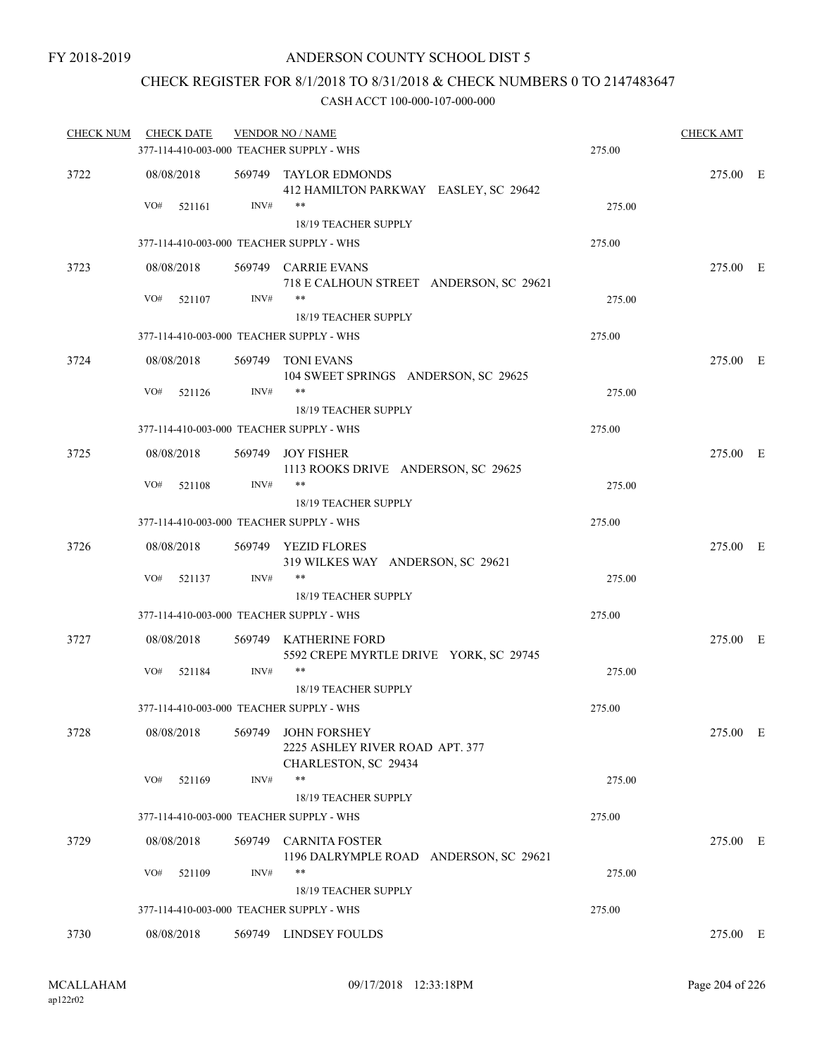### CHECK REGISTER FOR 8/1/2018 TO 8/31/2018 & CHECK NUMBERS 0 TO 2147483647

| <u>CHECK NUM</u> | CHECK DATE    |        | <b>VENDOR NO / NAME</b><br>377-114-410-003-000 TEACHER SUPPLY - WHS            | 275.00 | <b>CHECK AMT</b> |  |
|------------------|---------------|--------|--------------------------------------------------------------------------------|--------|------------------|--|
| 3722             | 08/08/2018    |        | 569749 TAYLOR EDMONDS<br>412 HAMILTON PARKWAY EASLEY, SC 29642                 |        | 275.00 E         |  |
|                  | VO#<br>521161 | INV#   | **<br>18/19 TEACHER SUPPLY                                                     | 275.00 |                  |  |
|                  |               |        | 377-114-410-003-000 TEACHER SUPPLY - WHS                                       | 275.00 |                  |  |
| 3723             | 08/08/2018    |        | 569749 CARRIE EVANS<br>718 E CALHOUN STREET ANDERSON, SC 29621                 |        | 275.00 E         |  |
|                  | VO#<br>521107 | INV#   | $***$<br><b>18/19 TEACHER SUPPLY</b>                                           | 275.00 |                  |  |
|                  |               |        | 377-114-410-003-000 TEACHER SUPPLY - WHS                                       | 275.00 |                  |  |
| 3724             | 08/08/2018    |        | 569749 TONI EVANS                                                              |        | 275.00 E         |  |
|                  |               | INV#   | 104 SWEET SPRINGS ANDERSON, SC 29625<br>$***$                                  |        |                  |  |
|                  | VO#<br>521126 |        | <b>18/19 TEACHER SUPPLY</b>                                                    | 275.00 |                  |  |
|                  |               |        | 377-114-410-003-000 TEACHER SUPPLY - WHS                                       | 275.00 |                  |  |
| 3725             | 08/08/2018    |        | 569749 JOY FISHER<br>1113 ROOKS DRIVE ANDERSON, SC 29625                       |        | 275.00 E         |  |
|                  | VO#<br>521108 | INV#   | $***$<br><b>18/19 TEACHER SUPPLY</b>                                           | 275.00 |                  |  |
|                  |               |        | 377-114-410-003-000 TEACHER SUPPLY - WHS                                       | 275.00 |                  |  |
| 3726             | 08/08/2018    |        | 569749 YEZID FLORES<br>319 WILKES WAY ANDERSON, SC 29621                       |        | 275.00 E         |  |
|                  | VO#<br>521137 | INV#   | $***$<br>18/19 TEACHER SUPPLY                                                  | 275.00 |                  |  |
|                  |               |        | 377-114-410-003-000 TEACHER SUPPLY - WHS                                       | 275.00 |                  |  |
| 3727             | 08/08/2018    |        | 569749 KATHERINE FORD<br>5592 CREPE MYRTLE DRIVE YORK, SC 29745                |        | 275.00 E         |  |
|                  | VO#<br>521184 | INV#   | **<br>18/19 TEACHER SUPPLY                                                     | 275.00 |                  |  |
|                  |               |        | 377-114-410-003-000 TEACHER SUPPLY - WHS                                       | 275.00 |                  |  |
|                  | 08/08/2018    | 569749 |                                                                                |        |                  |  |
| 3728             |               |        | <b>JOHN FORSHEY</b><br>2225 ASHLEY RIVER ROAD APT. 377<br>CHARLESTON, SC 29434 |        | 275.00 E         |  |
|                  | VO#<br>521169 | INV#   | $***$<br>18/19 TEACHER SUPPLY                                                  | 275.00 |                  |  |
|                  |               |        | 377-114-410-003-000 TEACHER SUPPLY - WHS                                       | 275.00 |                  |  |
| 3729             | 08/08/2018    |        | 569749 CARNITA FOSTER<br>1196 DALRYMPLE ROAD ANDERSON, SC 29621                |        | 275.00 E         |  |
|                  | VO#<br>521109 | INV#   | $***$                                                                          | 275.00 |                  |  |
|                  |               |        | 18/19 TEACHER SUPPLY                                                           |        |                  |  |
|                  |               |        | 377-114-410-003-000 TEACHER SUPPLY - WHS                                       | 275.00 |                  |  |
| 3730             | 08/08/2018    |        | 569749 LINDSEY FOULDS                                                          |        | 275.00 E         |  |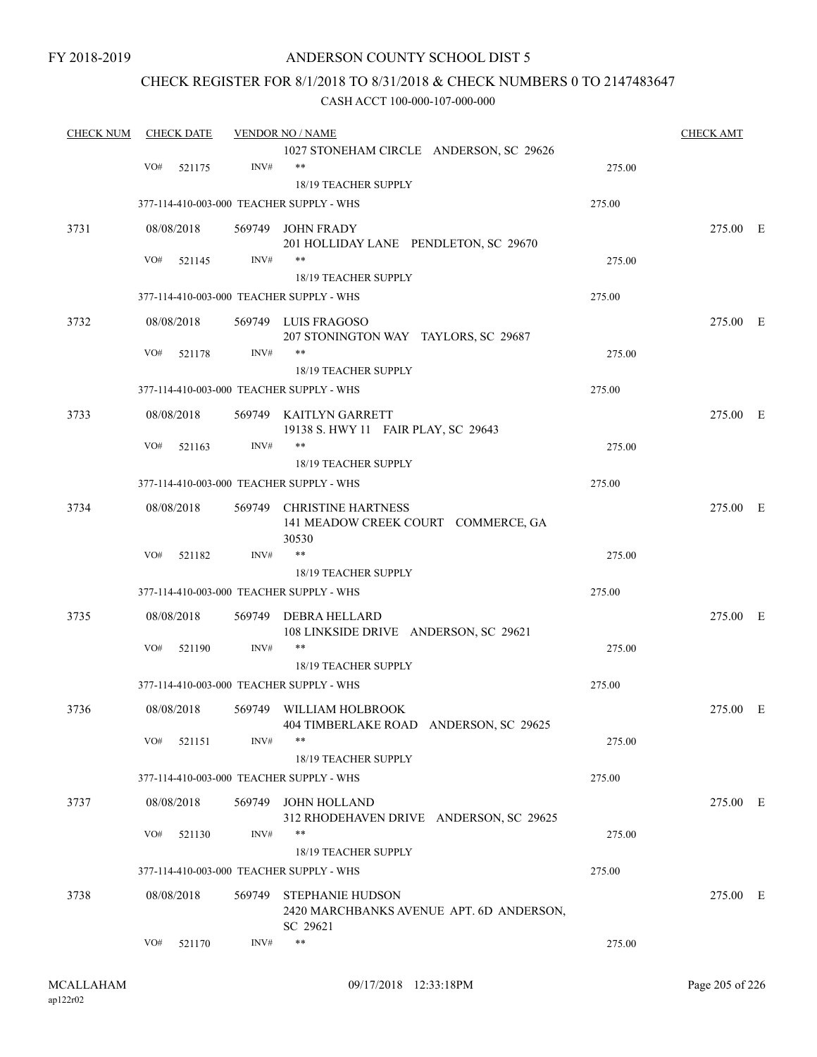### ANDERSON COUNTY SCHOOL DIST 5

### CHECK REGISTER FOR 8/1/2018 TO 8/31/2018 & CHECK NUMBERS 0 TO 2147483647

| <b>CHECK NUM</b> |     | <b>CHECK DATE</b> |      | <b>VENDOR NO / NAME</b>                  |        | <b>CHECK AMT</b> |  |
|------------------|-----|-------------------|------|------------------------------------------|--------|------------------|--|
|                  |     |                   |      | 1027 STONEHAM CIRCLE ANDERSON, SC 29626  |        |                  |  |
|                  | VO# | 521175            | INV# | $***$                                    | 275.00 |                  |  |
|                  |     |                   |      | 18/19 TEACHER SUPPLY                     |        |                  |  |
|                  |     |                   |      | 377-114-410-003-000 TEACHER SUPPLY - WHS | 275.00 |                  |  |
| 3731             |     | 08/08/2018        |      | 569749 JOHN FRADY                        |        | 275.00 E         |  |
|                  |     |                   |      | 201 HOLLIDAY LANE PENDLETON, SC 29670    |        |                  |  |
|                  | VO# | 521145            | INV# | $***$                                    | 275.00 |                  |  |
|                  |     |                   |      | 18/19 TEACHER SUPPLY                     |        |                  |  |
|                  |     |                   |      | 377-114-410-003-000 TEACHER SUPPLY - WHS | 275.00 |                  |  |
| 3732             |     | 08/08/2018        |      | 569749 LUIS FRAGOSO                      |        | 275.00 E         |  |
|                  |     |                   |      | 207 STONINGTON WAY TAYLORS, SC 29687     |        |                  |  |
|                  | VO# | 521178            | INV# | **                                       | 275.00 |                  |  |
|                  |     |                   |      | 18/19 TEACHER SUPPLY                     |        |                  |  |
|                  |     |                   |      | 377-114-410-003-000 TEACHER SUPPLY - WHS | 275.00 |                  |  |
| 3733             |     | 08/08/2018        |      | 569749 KAITLYN GARRETT                   |        | 275.00 E         |  |
|                  |     |                   |      | 19138 S. HWY 11 FAIR PLAY, SC 29643      |        |                  |  |
|                  | VO# | 521163            | INV# | $***$                                    | 275.00 |                  |  |
|                  |     |                   |      | 18/19 TEACHER SUPPLY                     |        |                  |  |
|                  |     |                   |      | 377-114-410-003-000 TEACHER SUPPLY - WHS | 275.00 |                  |  |
| 3734             |     | 08/08/2018        |      | 569749 CHRISTINE HARTNESS                |        | 275.00 E         |  |
|                  |     |                   |      | 141 MEADOW CREEK COURT COMMERCE, GA      |        |                  |  |
|                  |     |                   |      | 30530                                    |        |                  |  |
|                  | VO# | 521182            | INV# | $***$                                    | 275.00 |                  |  |
|                  |     |                   |      | <b>18/19 TEACHER SUPPLY</b>              |        |                  |  |
|                  |     |                   |      | 377-114-410-003-000 TEACHER SUPPLY - WHS | 275.00 |                  |  |
| 3735             |     | 08/08/2018        |      | 569749 DEBRA HELLARD                     |        | 275.00 E         |  |
|                  |     |                   |      | 108 LINKSIDE DRIVE ANDERSON, SC 29621    |        |                  |  |
|                  | VO# | 521190            | INV# | **                                       | 275.00 |                  |  |
|                  |     |                   |      | 18/19 TEACHER SUPPLY                     |        |                  |  |
|                  |     |                   |      | 377-114-410-003-000 TEACHER SUPPLY - WHS | 275.00 |                  |  |
| 3736             |     | 08/08/2018        |      | 569749 WILLIAM HOLBROOK                  |        | 275.00 E         |  |
|                  |     |                   |      | 404 TIMBERLAKE ROAD ANDERSON, SC 29625   |        |                  |  |
|                  | VO# | 521151            | INV# | $***$                                    | 275.00 |                  |  |
|                  |     |                   |      | 18/19 TEACHER SUPPLY                     |        |                  |  |
|                  |     |                   |      | 377-114-410-003-000 TEACHER SUPPLY - WHS | 275.00 |                  |  |
| 3737             |     | 08/08/2018        |      | 569749 JOHN HOLLAND                      |        | 275.00 E         |  |
|                  |     |                   |      | 312 RHODEHAVEN DRIVE ANDERSON, SC 29625  |        |                  |  |
|                  | VO# | 521130            | INV# | **                                       | 275.00 |                  |  |
|                  |     |                   |      | 18/19 TEACHER SUPPLY                     |        |                  |  |
|                  |     |                   |      | 377-114-410-003-000 TEACHER SUPPLY - WHS | 275.00 |                  |  |
| 3738             |     | 08/08/2018        |      | 569749 STEPHANIE HUDSON                  |        | 275.00 E         |  |
|                  |     |                   |      | 2420 MARCHBANKS AVENUE APT. 6D ANDERSON, |        |                  |  |
|                  |     |                   |      | SC 29621                                 |        |                  |  |
|                  | VO# | 521170            | INV# | $\ast\ast$                               | 275.00 |                  |  |
|                  |     |                   |      |                                          |        |                  |  |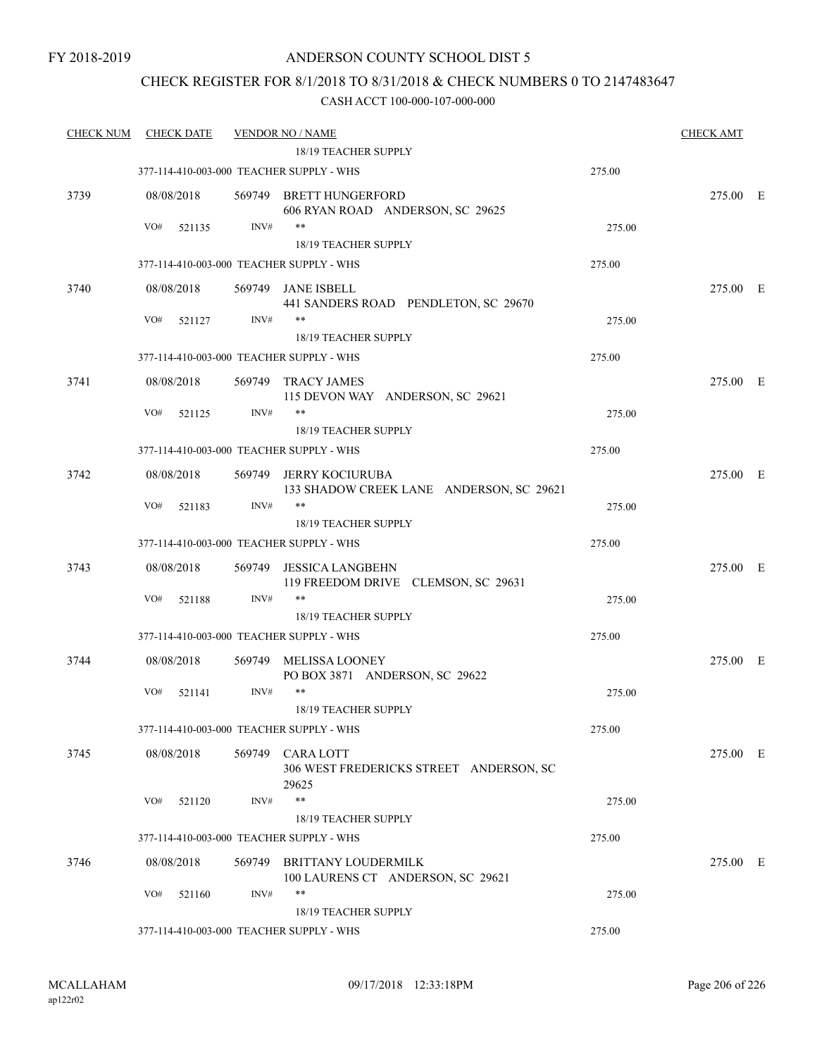### CHECK REGISTER FOR 8/1/2018 TO 8/31/2018 & CHECK NUMBERS 0 TO 2147483647

| <b>CHECK NUM</b> | <b>CHECK DATE</b> |                | <b>VENDOR NO / NAME</b>                                            |        | <b>CHECK AMT</b> |  |
|------------------|-------------------|----------------|--------------------------------------------------------------------|--------|------------------|--|
|                  |                   |                | 18/19 TEACHER SUPPLY                                               |        |                  |  |
|                  |                   |                | 377-114-410-003-000 TEACHER SUPPLY - WHS                           | 275.00 |                  |  |
| 3739             | 08/08/2018        |                | 569749 BRETT HUNGERFORD<br>606 RYAN ROAD ANDERSON, SC 29625        |        | 275.00 E         |  |
|                  | VO#<br>521135     | INV#           | $***$                                                              | 275.00 |                  |  |
|                  |                   |                | 18/19 TEACHER SUPPLY                                               |        |                  |  |
|                  |                   |                | 377-114-410-003-000 TEACHER SUPPLY - WHS                           | 275.00 |                  |  |
| 3740             | 08/08/2018        |                | 569749 JANE ISBELL<br>441 SANDERS ROAD PENDLETON, SC 29670         |        | 275.00 E         |  |
|                  | VO#<br>521127     | INV#           | $***$<br>18/19 TEACHER SUPPLY                                      | 275.00 |                  |  |
|                  |                   |                | 377-114-410-003-000 TEACHER SUPPLY - WHS                           | 275.00 |                  |  |
| 3741             | 08/08/2018        |                | 569749 TRACY JAMES<br>115 DEVON WAY ANDERSON, SC 29621             |        | 275.00 E         |  |
|                  | VO#<br>521125     | INV#           | **                                                                 | 275.00 |                  |  |
|                  |                   |                | <b>18/19 TEACHER SUPPLY</b>                                        |        |                  |  |
|                  |                   |                | 377-114-410-003-000 TEACHER SUPPLY - WHS                           | 275.00 |                  |  |
| 3742             | 08/08/2018        |                | 569749 JERRY KOCIURUBA<br>133 SHADOW CREEK LANE ANDERSON, SC 29621 |        | 275.00 E         |  |
|                  | VO#<br>521183     | INV#           | $***$<br>18/19 TEACHER SUPPLY                                      | 275.00 |                  |  |
|                  |                   |                | 377-114-410-003-000 TEACHER SUPPLY - WHS                           | 275.00 |                  |  |
|                  |                   |                |                                                                    |        |                  |  |
| 3743             | 08/08/2018<br>VO# | 569749<br>INV# | JESSICA LANGBEHN<br>119 FREEDOM DRIVE CLEMSON, SC 29631<br>$***$   |        | 275.00 E         |  |
|                  | 521188            |                | 18/19 TEACHER SUPPLY                                               | 275.00 |                  |  |
|                  |                   |                | 377-114-410-003-000 TEACHER SUPPLY - WHS                           | 275.00 |                  |  |
|                  |                   |                |                                                                    |        |                  |  |
| 3744             | 08/08/2018        |                | 569749 MELISSA LOONEY<br>PO BOX 3871 ANDERSON, SC 29622            |        | 275.00 E         |  |
|                  | VO#<br>521141     | INV#           | $***$<br>18/19 TEACHER SUPPLY                                      | 275.00 |                  |  |
|                  |                   |                | 377-114-410-003-000 TEACHER SUPPLY - WHS                           | 275.00 |                  |  |
| 3745             | 08/08/2018        | 569749         | <b>CARA LOTT</b><br>306 WEST FREDERICKS STREET ANDERSON, SC        |        | 275.00 E         |  |
|                  | VO#<br>521120     | INV#           | 29625<br>$***$                                                     | 275.00 |                  |  |
|                  |                   |                | <b>18/19 TEACHER SUPPLY</b>                                        |        |                  |  |
|                  |                   |                | 377-114-410-003-000 TEACHER SUPPLY - WHS                           | 275.00 |                  |  |
| 3746             | 08/08/2018        | 569749         | <b>BRITTANY LOUDERMILK</b><br>100 LAURENS CT ANDERSON, SC 29621    |        | 275.00 E         |  |
|                  | VO#<br>521160     | INV#           | $***$                                                              | 275.00 |                  |  |
|                  |                   |                | 18/19 TEACHER SUPPLY                                               |        |                  |  |
|                  |                   |                | 377-114-410-003-000 TEACHER SUPPLY - WHS                           | 275.00 |                  |  |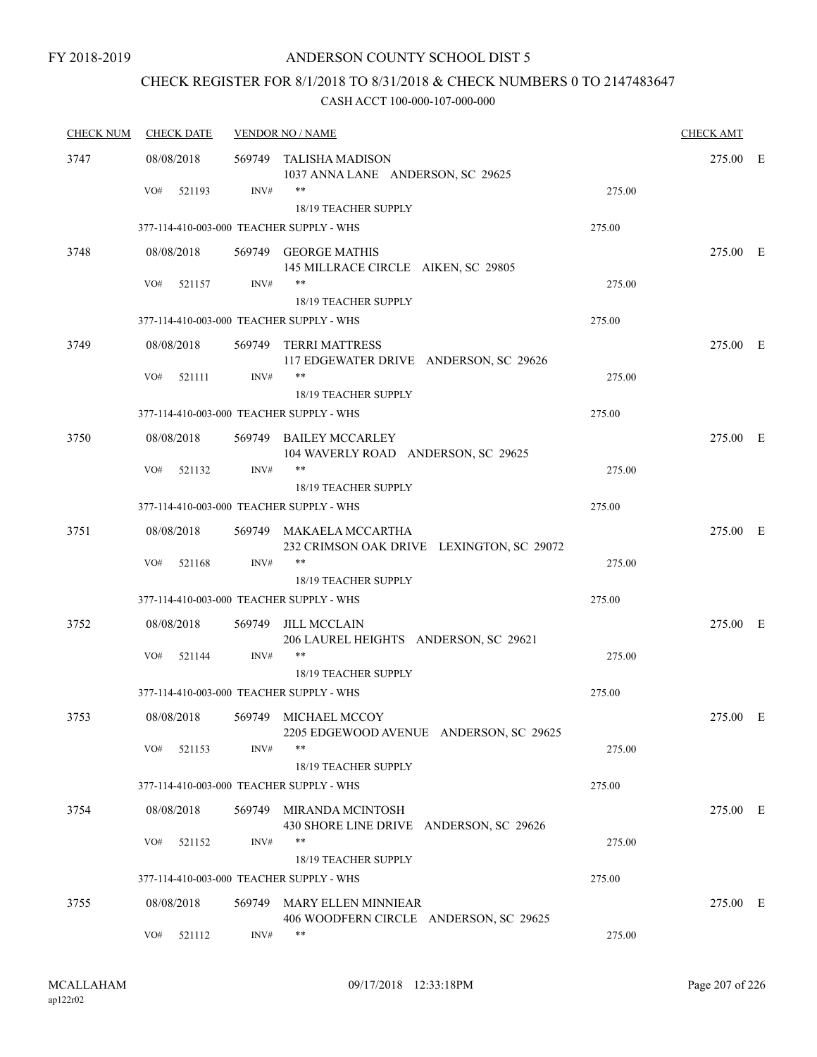# CHECK REGISTER FOR 8/1/2018 TO 8/31/2018 & CHECK NUMBERS 0 TO 2147483647

| <b>CHECK NUM</b> | <b>CHECK DATE</b>                        |        | <b>VENDOR NO / NAME</b>                                              |        | <b>CHECK AMT</b> |  |
|------------------|------------------------------------------|--------|----------------------------------------------------------------------|--------|------------------|--|
| 3747             | 08/08/2018                               |        | 569749 TALISHA MADISON<br>1037 ANNA LANE ANDERSON, SC 29625          |        | 275.00 E         |  |
|                  | VO#<br>521193                            | INV#   | $***$<br>18/19 TEACHER SUPPLY                                        | 275.00 |                  |  |
|                  | 377-114-410-003-000 TEACHER SUPPLY - WHS |        |                                                                      | 275.00 |                  |  |
| 3748             | 08/08/2018                               |        | 569749 GEORGE MATHIS<br>145 MILLRACE CIRCLE AIKEN, SC 29805          |        | 275.00 E         |  |
|                  | VO#<br>521157                            | INV#   | $***$<br>18/19 TEACHER SUPPLY                                        | 275.00 |                  |  |
|                  | 377-114-410-003-000 TEACHER SUPPLY - WHS |        |                                                                      | 275.00 |                  |  |
| 3749             | 08/08/2018                               |        | 569749 TERRI MATTRESS<br>117 EDGEWATER DRIVE ANDERSON, SC 29626      |        | 275.00 E         |  |
|                  | VO#<br>521111                            | INV#   | $***$<br><b>18/19 TEACHER SUPPLY</b>                                 | 275.00 |                  |  |
|                  | 377-114-410-003-000 TEACHER SUPPLY - WHS |        |                                                                      | 275.00 |                  |  |
| 3750             | 08/08/2018                               |        | 569749 BAILEY MCCARLEY<br>104 WAVERLY ROAD ANDERSON, SC 29625        |        | 275.00 E         |  |
|                  | VO#<br>521132                            | INV#   | $***$<br>18/19 TEACHER SUPPLY                                        | 275.00 |                  |  |
|                  | 377-114-410-003-000 TEACHER SUPPLY - WHS |        |                                                                      | 275.00 |                  |  |
| 3751             | 08/08/2018                               |        | 569749 MAKAELA MCCARTHA<br>232 CRIMSON OAK DRIVE LEXINGTON, SC 29072 |        | 275.00 E         |  |
|                  | VO#<br>521168                            | INV#   | $***$<br>18/19 TEACHER SUPPLY                                        | 275.00 |                  |  |
|                  | 377-114-410-003-000 TEACHER SUPPLY - WHS |        |                                                                      | 275.00 |                  |  |
| 3752             | 08/08/2018                               |        | 569749 JILL MCCLAIN<br>206 LAUREL HEIGHTS ANDERSON, SC 29621         |        | 275.00 E         |  |
|                  | VO#<br>521144                            | INV#   | $***$<br>18/19 TEACHER SUPPLY                                        | 275.00 |                  |  |
|                  | 377-114-410-003-000 TEACHER SUPPLY - WHS |        |                                                                      | 275.00 |                  |  |
| 3753             | 08/08/2018                               |        | 569749 MICHAEL MCCOY<br>2205 EDGEWOOD AVENUE ANDERSON, SC 29625      |        | 275.00 E         |  |
|                  | VO#<br>521153                            | INV#   | $***$<br>18/19 TEACHER SUPPLY                                        | 275.00 |                  |  |
|                  | 377-114-410-003-000 TEACHER SUPPLY - WHS |        |                                                                      | 275.00 |                  |  |
| 3754             | 08/08/2018                               |        | 569749 MIRANDA MCINTOSH<br>430 SHORE LINE DRIVE ANDERSON, SC 29626   |        | 275.00 E         |  |
|                  | VO#<br>521152                            | INV#   | **<br>18/19 TEACHER SUPPLY                                           | 275.00 |                  |  |
|                  | 377-114-410-003-000 TEACHER SUPPLY - WHS |        |                                                                      | 275.00 |                  |  |
| 3755             | 08/08/2018                               | 569749 | <b>MARY ELLEN MINNIEAR</b><br>406 WOODFERN CIRCLE ANDERSON, SC 29625 |        | 275.00 E         |  |
|                  | VO#<br>521112                            | INV#   | $***$                                                                | 275.00 |                  |  |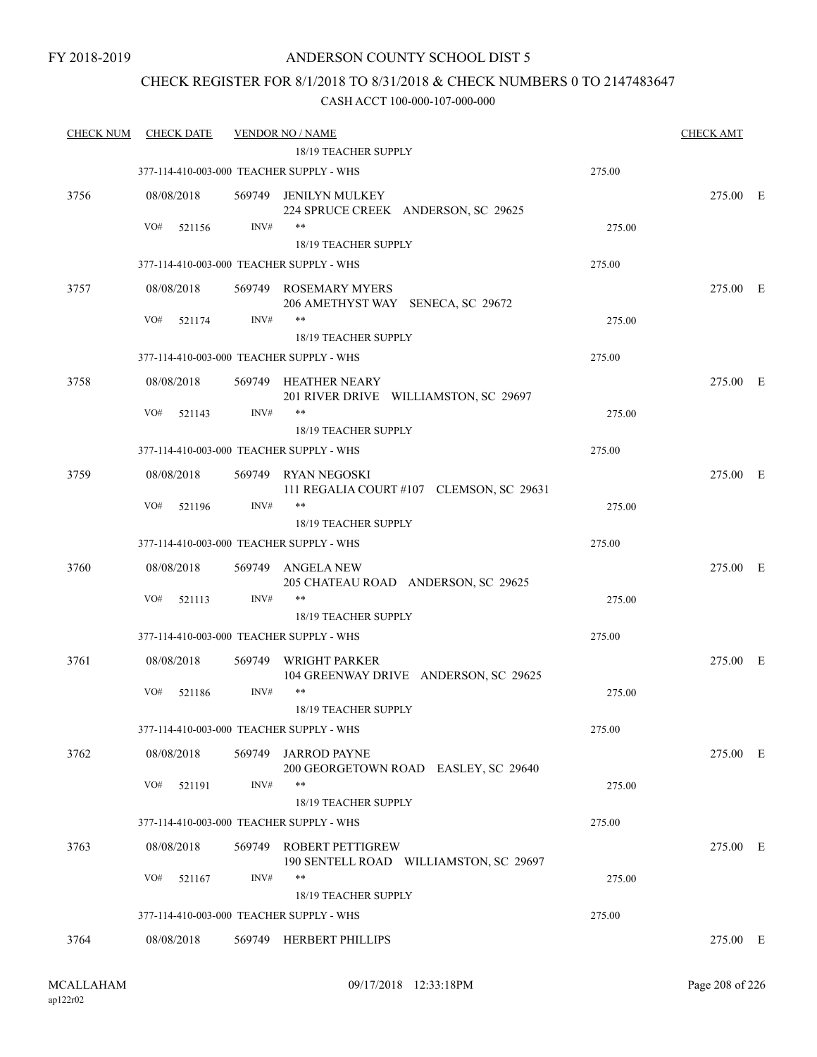### CHECK REGISTER FOR 8/1/2018 TO 8/31/2018 & CHECK NUMBERS 0 TO 2147483647

| <b>CHECK NUM</b> | <b>CHECK DATE</b>                        |        | <b>VENDOR NO / NAME</b><br>18/19 TEACHER SUPPLY                   |        | <b>CHECK AMT</b> |  |
|------------------|------------------------------------------|--------|-------------------------------------------------------------------|--------|------------------|--|
|                  | 377-114-410-003-000 TEACHER SUPPLY - WHS |        |                                                                   | 275.00 |                  |  |
| 3756             | 08/08/2018                               |        | 569749 JENILYN MULKEY<br>224 SPRUCE CREEK ANDERSON, SC 29625      |        | 275.00 E         |  |
|                  | VO#<br>521156                            | INV#   | $***$                                                             | 275.00 |                  |  |
|                  |                                          |        | 18/19 TEACHER SUPPLY                                              |        |                  |  |
|                  | 377-114-410-003-000 TEACHER SUPPLY - WHS |        |                                                                   | 275.00 |                  |  |
| 3757             | 08/08/2018                               |        | 569749 ROSEMARY MYERS<br>206 AMETHYST WAY SENECA, SC 29672        |        | 275.00 E         |  |
|                  | VO#<br>521174                            | INV#   | $***$<br>18/19 TEACHER SUPPLY                                     | 275.00 |                  |  |
|                  | 377-114-410-003-000 TEACHER SUPPLY - WHS |        |                                                                   | 275.00 |                  |  |
| 3758             | 08/08/2018                               |        | 569749 HEATHER NEARY<br>201 RIVER DRIVE WILLIAMSTON, SC 29697     |        | 275.00 E         |  |
|                  | VO#<br>521143                            | INV#   | **<br>18/19 TEACHER SUPPLY                                        | 275.00 |                  |  |
|                  | 377-114-410-003-000 TEACHER SUPPLY - WHS |        |                                                                   | 275.00 |                  |  |
| 3759             | 08/08/2018                               |        | 569749 RYAN NEGOSKI<br>111 REGALIA COURT #107 CLEMSON, SC 29631   |        | 275.00 E         |  |
|                  | VO#<br>521196                            | INV#   | $***$                                                             | 275.00 |                  |  |
|                  |                                          |        | 18/19 TEACHER SUPPLY                                              |        |                  |  |
|                  | 377-114-410-003-000 TEACHER SUPPLY - WHS |        |                                                                   | 275.00 |                  |  |
| 3760             | 08/08/2018                               |        | 569749 ANGELA NEW<br>205 CHATEAU ROAD ANDERSON, SC 29625          |        | 275.00 E         |  |
|                  | VO#<br>521113                            | INV#   | $***$<br>18/19 TEACHER SUPPLY                                     | 275.00 |                  |  |
|                  | 377-114-410-003-000 TEACHER SUPPLY - WHS |        |                                                                   | 275.00 |                  |  |
| 3761             | 08/08/2018                               | 569749 | WRIGHT PARKER<br>104 GREENWAY DRIVE ANDERSON, SC 29625            |        | 275.00 E         |  |
|                  | VO#<br>521186                            | INV#   | $***$<br>18/19 TEACHER SUPPLY                                     | 275.00 |                  |  |
|                  | 377-114-410-003-000 TEACHER SUPPLY - WHS |        |                                                                   | 275.00 |                  |  |
| 3762             | 08/08/2018                               | 569749 | <b>JARROD PAYNE</b><br>200 GEORGETOWN ROAD EASLEY, SC 29640       |        | 275.00 E         |  |
|                  | VO#<br>521191                            | INV#   | **<br>18/19 TEACHER SUPPLY                                        | 275.00 |                  |  |
|                  | 377-114-410-003-000 TEACHER SUPPLY - WHS |        |                                                                   | 275.00 |                  |  |
| 3763             | 08/08/2018                               | 569749 | <b>ROBERT PETTIGREW</b><br>190 SENTELL ROAD WILLIAMSTON, SC 29697 |        | 275.00 E         |  |
|                  | VO#<br>521167                            | INV#   | **<br>18/19 TEACHER SUPPLY                                        | 275.00 |                  |  |
|                  | 377-114-410-003-000 TEACHER SUPPLY - WHS |        |                                                                   | 275.00 |                  |  |
| 3764             | 08/08/2018                               |        | 569749 HERBERT PHILLIPS                                           |        | 275.00 E         |  |
|                  |                                          |        |                                                                   |        |                  |  |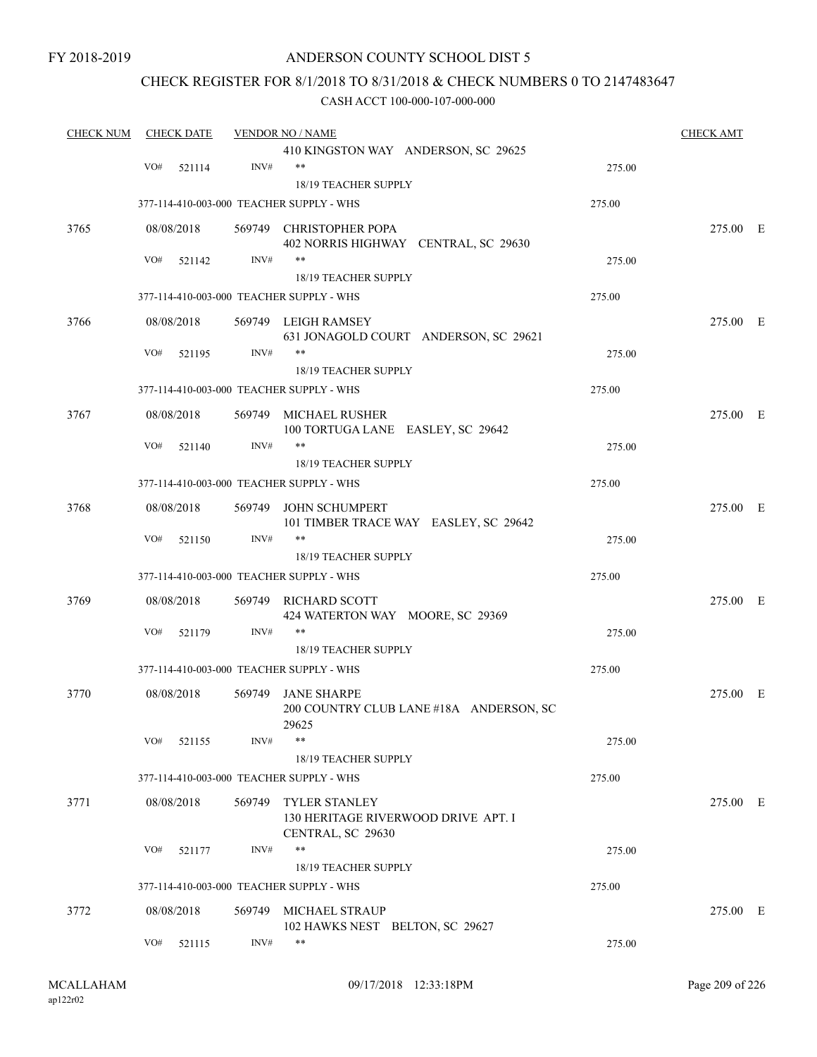### ANDERSON COUNTY SCHOOL DIST 5

### CHECK REGISTER FOR 8/1/2018 TO 8/31/2018 & CHECK NUMBERS 0 TO 2147483647

| <b>CHECK NUM</b> |     | <b>CHECK DATE</b> |      | <b>VENDOR NO / NAME</b>                                                 |        | <b>CHECK AMT</b> |  |
|------------------|-----|-------------------|------|-------------------------------------------------------------------------|--------|------------------|--|
|                  |     |                   |      | 410 KINGSTON WAY ANDERSON, SC 29625                                     |        |                  |  |
|                  | VO# | 521114            | INV# | $***$                                                                   | 275.00 |                  |  |
|                  |     |                   |      | 18/19 TEACHER SUPPLY                                                    |        |                  |  |
|                  |     |                   |      | 377-114-410-003-000 TEACHER SUPPLY - WHS                                | 275.00 |                  |  |
| 3765             |     | 08/08/2018        |      | 569749 CHRISTOPHER POPA                                                 |        | 275.00 E         |  |
|                  |     |                   |      | 402 NORRIS HIGHWAY CENTRAL, SC 29630                                    |        |                  |  |
|                  | VO# | 521142            | INV# | **                                                                      | 275.00 |                  |  |
|                  |     |                   |      | 18/19 TEACHER SUPPLY                                                    |        |                  |  |
|                  |     |                   |      | 377-114-410-003-000 TEACHER SUPPLY - WHS                                | 275.00 |                  |  |
| 3766             |     | 08/08/2018        |      | 569749 LEIGH RAMSEY                                                     |        | 275.00 E         |  |
|                  |     |                   |      | 631 JONAGOLD COURT ANDERSON, SC 29621                                   |        |                  |  |
|                  | VO# | 521195            | INV# | **                                                                      | 275.00 |                  |  |
|                  |     |                   |      | 18/19 TEACHER SUPPLY                                                    |        |                  |  |
|                  |     |                   |      | 377-114-410-003-000 TEACHER SUPPLY - WHS                                | 275.00 |                  |  |
| 3767             |     | 08/08/2018        |      | 569749 MICHAEL RUSHER                                                   |        | 275.00 E         |  |
|                  |     |                   |      | 100 TORTUGA LANE EASLEY, SC 29642                                       |        |                  |  |
|                  | VO# | 521140            | INV# | $***$                                                                   | 275.00 |                  |  |
|                  |     |                   |      | <b>18/19 TEACHER SUPPLY</b>                                             |        |                  |  |
|                  |     |                   |      | 377-114-410-003-000 TEACHER SUPPLY - WHS                                | 275.00 |                  |  |
| 3768             |     | 08/08/2018        |      | 569749 JOHN SCHUMPERT                                                   |        | 275.00 E         |  |
|                  |     |                   |      | 101 TIMBER TRACE WAY EASLEY, SC 29642                                   |        |                  |  |
|                  | VO# | 521150            | INV# | $***$<br>18/19 TEACHER SUPPLY                                           | 275.00 |                  |  |
|                  |     |                   |      | 377-114-410-003-000 TEACHER SUPPLY - WHS                                | 275.00 |                  |  |
|                  |     |                   |      |                                                                         |        |                  |  |
| 3769             |     | 08/08/2018        |      | 569749 RICHARD SCOTT                                                    |        | 275.00 E         |  |
|                  |     |                   |      | 424 WATERTON WAY MOORE, SC 29369<br>**                                  |        |                  |  |
|                  | VO# | 521179            | INV# |                                                                         | 275.00 |                  |  |
|                  |     |                   |      | <b>18/19 TEACHER SUPPLY</b><br>377-114-410-003-000 TEACHER SUPPLY - WHS | 275.00 |                  |  |
|                  |     |                   |      |                                                                         |        |                  |  |
| 3770             |     | 08/08/2018        |      | 569749 JANE SHARPE                                                      |        | 275.00 E         |  |
|                  |     |                   |      | 200 COUNTRY CLUB LANE #18A ANDERSON, SC<br>29625                        |        |                  |  |
|                  |     | $VO#$ 521155      | INV# | $***$                                                                   | 275.00 |                  |  |
|                  |     |                   |      | 18/19 TEACHER SUPPLY                                                    |        |                  |  |
|                  |     |                   |      | 377-114-410-003-000 TEACHER SUPPLY - WHS                                | 275.00 |                  |  |
| 3771             |     | 08/08/2018        |      | 569749 TYLER STANLEY                                                    |        | 275.00 E         |  |
|                  |     |                   |      | 130 HERITAGE RIVERWOOD DRIVE APT. I<br>CENTRAL, SC 29630                |        |                  |  |
|                  | VO# | 521177            | INV# | **                                                                      | 275.00 |                  |  |
|                  |     |                   |      | 18/19 TEACHER SUPPLY                                                    |        |                  |  |
|                  |     |                   |      | 377-114-410-003-000 TEACHER SUPPLY - WHS                                | 275.00 |                  |  |
| 3772             |     | 08/08/2018        |      | 569749 MICHAEL STRAUP                                                   |        | 275.00 E         |  |
|                  |     |                   |      | 102 HAWKS NEST BELTON, SC 29627                                         |        |                  |  |
|                  | VO# | 521115            | INV# | $***$                                                                   | 275.00 |                  |  |
|                  |     |                   |      |                                                                         |        |                  |  |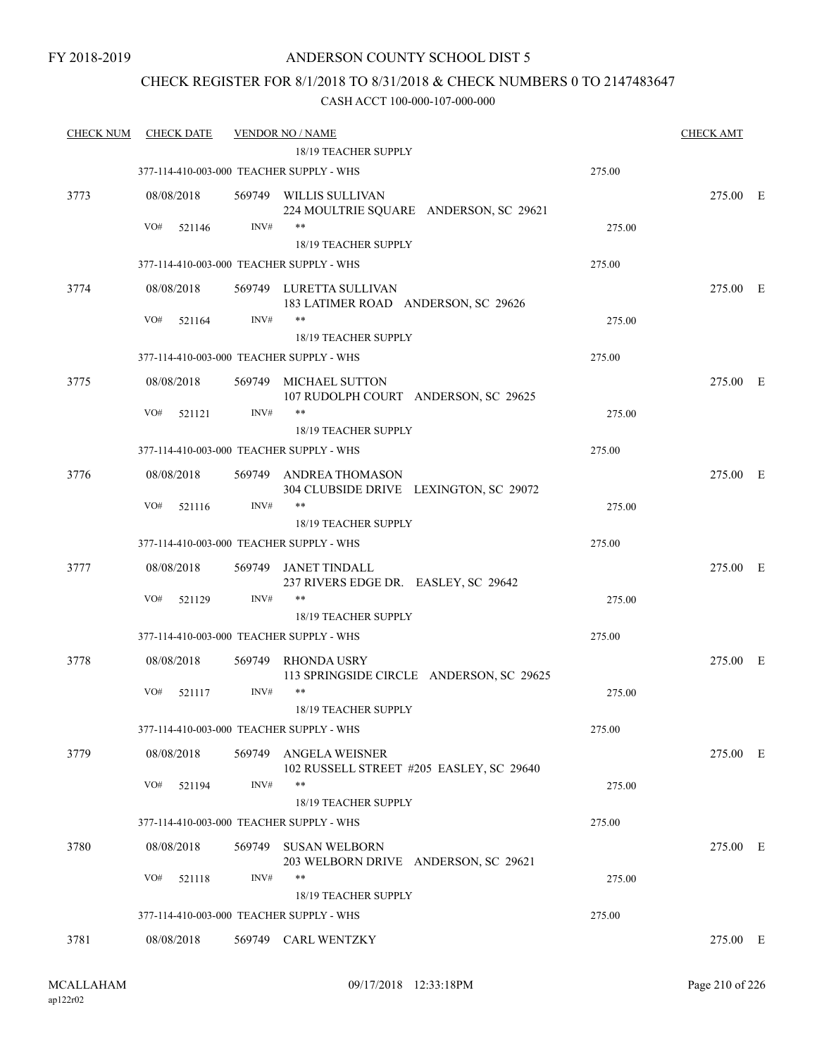### CHECK REGISTER FOR 8/1/2018 TO 8/31/2018 & CHECK NUMBERS 0 TO 2147483647

| <b>CHECK NUM</b> | <b>CHECK DATE</b>                        |        | <b>VENDOR NO / NAME</b>                                           |        | <b>CHECK AMT</b> |  |
|------------------|------------------------------------------|--------|-------------------------------------------------------------------|--------|------------------|--|
|                  |                                          |        | 18/19 TEACHER SUPPLY                                              |        |                  |  |
|                  | 377-114-410-003-000 TEACHER SUPPLY - WHS |        |                                                                   | 275.00 |                  |  |
| 3773             | 08/08/2018                               |        | 569749 WILLIS SULLIVAN<br>224 MOULTRIE SQUARE ANDERSON, SC 29621  |        | 275.00 E         |  |
|                  | VO#<br>521146                            | INV#   | $***$                                                             | 275.00 |                  |  |
|                  |                                          |        | 18/19 TEACHER SUPPLY                                              |        |                  |  |
|                  | 377-114-410-003-000 TEACHER SUPPLY - WHS |        |                                                                   | 275.00 |                  |  |
| 3774             | 08/08/2018                               |        | 569749 LURETTA SULLIVAN<br>183 LATIMER ROAD ANDERSON, SC 29626    |        | 275.00 E         |  |
|                  | VO#<br>521164                            | INV#   | $***$                                                             | 275.00 |                  |  |
|                  |                                          |        | 18/19 TEACHER SUPPLY                                              |        |                  |  |
|                  | 377-114-410-003-000 TEACHER SUPPLY - WHS |        |                                                                   | 275.00 |                  |  |
| 3775             | 08/08/2018                               | 569749 | MICHAEL SUTTON<br>107 RUDOLPH COURT ANDERSON, SC 29625            |        | 275.00 E         |  |
|                  | VO#<br>521121                            | INV#   | **                                                                | 275.00 |                  |  |
|                  |                                          |        | <b>18/19 TEACHER SUPPLY</b>                                       |        |                  |  |
|                  | 377-114-410-003-000 TEACHER SUPPLY - WHS |        |                                                                   | 275.00 |                  |  |
| 3776             | 08/08/2018                               |        | 569749 ANDREA THOMASON<br>304 CLUBSIDE DRIVE LEXINGTON, SC 29072  |        | 275.00 E         |  |
|                  | VO#<br>521116                            | INV#   | $***$                                                             | 275.00 |                  |  |
|                  |                                          |        | 18/19 TEACHER SUPPLY                                              |        |                  |  |
|                  | 377-114-410-003-000 TEACHER SUPPLY - WHS |        |                                                                   | 275.00 |                  |  |
| 3777             | 08/08/2018                               |        | 569749 JANET TINDALL<br>237 RIVERS EDGE DR. EASLEY, SC 29642      |        | 275.00 E         |  |
|                  | VO#<br>521129                            | INV#   | $***$                                                             | 275.00 |                  |  |
|                  |                                          |        | 18/19 TEACHER SUPPLY                                              |        |                  |  |
|                  | 377-114-410-003-000 TEACHER SUPPLY - WHS |        |                                                                   | 275.00 |                  |  |
| 3778             | 08/08/2018                               | 569749 | <b>RHONDA USRY</b><br>113 SPRINGSIDE CIRCLE ANDERSON, SC 29625    |        | 275.00 E         |  |
|                  | VO#<br>521117                            | INV#   | $***$<br>18/19 TEACHER SUPPLY                                     | 275.00 |                  |  |
|                  | 377-114-410-003-000 TEACHER SUPPLY - WHS |        |                                                                   | 275.00 |                  |  |
| 3779             | 08/08/2018                               | 569749 | <b>ANGELA WEISNER</b><br>102 RUSSELL STREET #205 EASLEY, SC 29640 |        | 275.00 E         |  |
|                  | VO#<br>521194                            | INV#   | $***$                                                             | 275.00 |                  |  |
|                  |                                          |        | 18/19 TEACHER SUPPLY                                              |        |                  |  |
|                  | 377-114-410-003-000 TEACHER SUPPLY - WHS |        |                                                                   | 275.00 |                  |  |
| 3780             | 08/08/2018                               | 569749 | <b>SUSAN WELBORN</b><br>203 WELBORN DRIVE ANDERSON, SC 29621      |        | 275.00 E         |  |
|                  | VO#<br>521118                            | INV#   | **                                                                | 275.00 |                  |  |
|                  |                                          |        | 18/19 TEACHER SUPPLY                                              |        |                  |  |
|                  | 377-114-410-003-000 TEACHER SUPPLY - WHS |        |                                                                   | 275.00 |                  |  |
| 3781             | 08/08/2018                               |        | 569749 CARL WENTZKY                                               |        | 275.00 E         |  |
|                  |                                          |        |                                                                   |        |                  |  |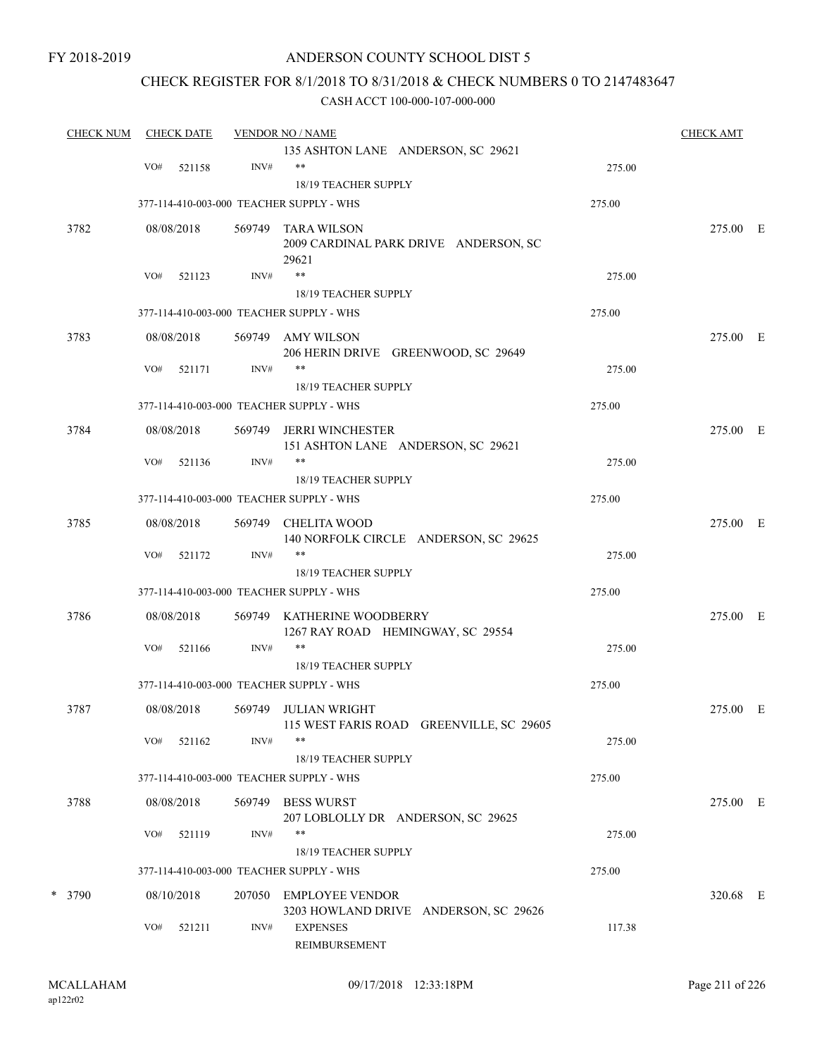# ANDERSON COUNTY SCHOOL DIST 5

## CHECK REGISTER FOR 8/1/2018 TO 8/31/2018 & CHECK NUMBERS 0 TO 2147483647

| <b>CHECK NUM</b> |     | <b>CHECK DATE</b> |        | <b>VENDOR NO / NAME</b>                                          |        | <b>CHECK AMT</b> |  |
|------------------|-----|-------------------|--------|------------------------------------------------------------------|--------|------------------|--|
|                  |     |                   |        | 135 ASHTON LANE ANDERSON, SC 29621                               |        |                  |  |
|                  | VO# | 521158            | INV#   | $***$                                                            | 275.00 |                  |  |
|                  |     |                   |        | 18/19 TEACHER SUPPLY<br>377-114-410-003-000 TEACHER SUPPLY - WHS | 275.00 |                  |  |
|                  |     |                   |        |                                                                  |        |                  |  |
| 3782             |     | 08/08/2018        | 569749 | TARA WILSON<br>2009 CARDINAL PARK DRIVE ANDERSON, SC<br>29621    |        | 275.00 E         |  |
|                  | VO# | 521123            | INV#   | $***$                                                            | 275.00 |                  |  |
|                  |     |                   |        | 18/19 TEACHER SUPPLY                                             |        |                  |  |
|                  |     |                   |        | 377-114-410-003-000 TEACHER SUPPLY - WHS                         | 275.00 |                  |  |
| 3783             |     | 08/08/2018        |        | 569749 AMY WILSON<br>206 HERIN DRIVE GREENWOOD, SC 29649         |        | 275.00 E         |  |
|                  | VO# | 521171            | INV#   | $***$<br>18/19 TEACHER SUPPLY                                    | 275.00 |                  |  |
|                  |     |                   |        | 377-114-410-003-000 TEACHER SUPPLY - WHS                         | 275.00 |                  |  |
| 3784             |     | 08/08/2018        | 569749 | JERRI WINCHESTER                                                 |        | 275.00 E         |  |
|                  |     |                   |        | 151 ASHTON LANE ANDERSON, SC 29621                               |        |                  |  |
|                  | VO# | 521136            | INV#   | $***$<br>18/19 TEACHER SUPPLY                                    | 275.00 |                  |  |
|                  |     |                   |        | 377-114-410-003-000 TEACHER SUPPLY - WHS                         | 275.00 |                  |  |
| 3785             |     | 08/08/2018        |        | 569749 CHELITA WOOD<br>140 NORFOLK CIRCLE ANDERSON, SC 29625     |        | 275.00 E         |  |
|                  | VO# | 521172            | INV#   | $***$                                                            | 275.00 |                  |  |
|                  |     |                   |        | 18/19 TEACHER SUPPLY                                             |        |                  |  |
|                  |     |                   |        | 377-114-410-003-000 TEACHER SUPPLY - WHS                         | 275.00 |                  |  |
| 3786             |     | 08/08/2018        |        | 569749 KATHERINE WOODBERRY<br>1267 RAY ROAD HEMINGWAY, SC 29554  |        | 275.00 E         |  |
|                  | VO# | 521166            | INV#   | $***$                                                            | 275.00 |                  |  |
|                  |     |                   |        | 18/19 TEACHER SUPPLY<br>377-114-410-003-000 TEACHER SUPPLY - WHS | 275.00 |                  |  |
|                  |     |                   |        |                                                                  |        |                  |  |
| 3787             |     | 08/08/2018        |        | 569749 JULIAN WRIGHT<br>115 WEST FARIS ROAD GREENVILLE, SC 29605 |        | 275.00 E         |  |
|                  | VO# | 521162            | INV#   | $***$                                                            | 275.00 |                  |  |
|                  |     |                   |        | 18/19 TEACHER SUPPLY                                             |        |                  |  |
|                  |     |                   |        | 377-114-410-003-000 TEACHER SUPPLY - WHS                         | 275.00 |                  |  |
| 3788             |     | 08/08/2018        |        | 569749 BESS WURST<br>207 LOBLOLLY DR ANDERSON, SC 29625          |        | 275.00 E         |  |
|                  | VO# | 521119            | INV#   | $***$                                                            | 275.00 |                  |  |
|                  |     |                   |        | 18/19 TEACHER SUPPLY<br>377-114-410-003-000 TEACHER SUPPLY - WHS | 275.00 |                  |  |
| * 3790           |     |                   |        |                                                                  |        | 320.68 E         |  |
|                  |     | 08/10/2018        |        | 207050 EMPLOYEE VENDOR<br>3203 HOWLAND DRIVE ANDERSON, SC 29626  |        |                  |  |
|                  | VO# | 521211            | INV#   | <b>EXPENSES</b><br>REIMBURSEMENT                                 | 117.38 |                  |  |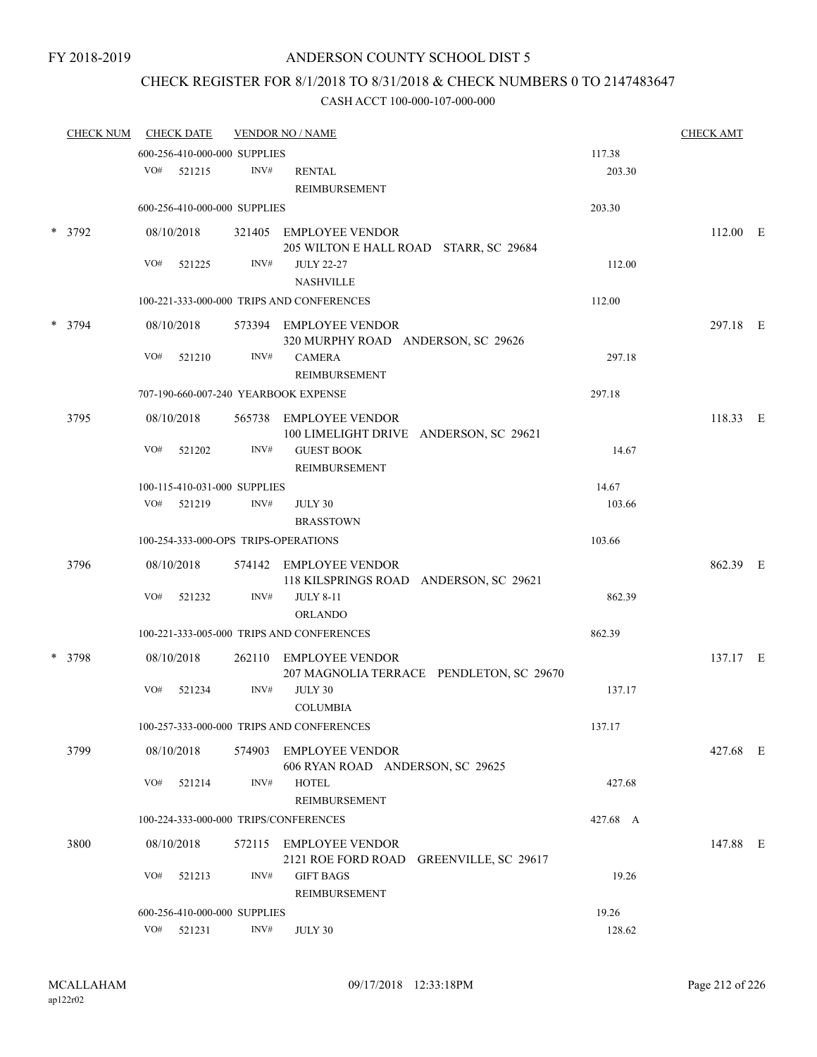# CHECK REGISTER FOR 8/1/2018 TO 8/31/2018 & CHECK NUMBERS 0 TO 2147483647

| <b>CHECK NUM</b> |     | <b>CHECK DATE</b> |                              | <b>VENDOR NO / NAME</b>                                            |          | <b>CHECK AMT</b> |  |
|------------------|-----|-------------------|------------------------------|--------------------------------------------------------------------|----------|------------------|--|
|                  |     |                   | 600-256-410-000-000 SUPPLIES |                                                                    | 117.38   |                  |  |
|                  |     | VO# 521215        | INV#                         | <b>RENTAL</b><br>REIMBURSEMENT                                     | 203.30   |                  |  |
|                  |     |                   | 600-256-410-000-000 SUPPLIES |                                                                    | 203.30   |                  |  |
| * 3792           |     | 08/10/2018        |                              | 321405 EMPLOYEE VENDOR<br>205 WILTON E HALL ROAD STARR, SC 29684   |          | 112.00 E         |  |
|                  | VO# | 521225            | INV#                         | <b>JULY 22-27</b><br><b>NASHVILLE</b>                              | 112.00   |                  |  |
|                  |     |                   |                              | 100-221-333-000-000 TRIPS AND CONFERENCES                          | 112.00   |                  |  |
| * 3794           |     | 08/10/2018        |                              | 573394 EMPLOYEE VENDOR<br>320 MURPHY ROAD ANDERSON, SC 29626       |          | 297.18 E         |  |
|                  | VO# | 521210            | INV#                         | <b>CAMERA</b><br>REIMBURSEMENT                                     | 297.18   |                  |  |
|                  |     |                   |                              | 707-190-660-007-240 YEARBOOK EXPENSE                               | 297.18   |                  |  |
| 3795             |     | 08/10/2018        |                              | 565738 EMPLOYEE VENDOR<br>100 LIMELIGHT DRIVE ANDERSON, SC 29621   |          | 118.33 E         |  |
|                  | VO# | 521202            | INV#                         | <b>GUEST BOOK</b><br><b>REIMBURSEMENT</b>                          | 14.67    |                  |  |
|                  |     |                   | 100-115-410-031-000 SUPPLIES |                                                                    | 14.67    |                  |  |
|                  | VO# | 521219            | INV#                         | JULY 30<br><b>BRASSTOWN</b>                                        | 103.66   |                  |  |
|                  |     |                   |                              | 100-254-333-000-OPS TRIPS-OPERATIONS                               | 103.66   |                  |  |
| 3796             |     | 08/10/2018        |                              | 574142 EMPLOYEE VENDOR<br>118 KILSPRINGS ROAD ANDERSON, SC 29621   |          | 862.39 E         |  |
|                  | VO# | 521232            | INV#                         | <b>JULY 8-11</b><br><b>ORLANDO</b>                                 | 862.39   |                  |  |
|                  |     |                   |                              | 100-221-333-005-000 TRIPS AND CONFERENCES                          | 862.39   |                  |  |
| * 3798           |     | 08/10/2018        |                              | 262110 EMPLOYEE VENDOR<br>207 MAGNOLIA TERRACE PENDLETON, SC 29670 |          | 137.17 E         |  |
|                  | VO# | 521234            | INV#                         | JULY 30<br><b>COLUMBIA</b>                                         | 137.17   |                  |  |
|                  |     |                   |                              | 100-257-333-000-000 TRIPS AND CONFERENCES                          | 137.17   |                  |  |
| 3799             |     | 08/10/2018        | 574903                       | <b>EMPLOYEE VENDOR</b><br>606 RYAN ROAD ANDERSON, SC 29625         |          | 427.68 E         |  |
|                  | VO# | 521214            | INV#                         | <b>HOTEL</b><br>REIMBURSEMENT                                      | 427.68   |                  |  |
|                  |     |                   |                              | 100-224-333-000-000 TRIPS/CONFERENCES                              | 427.68 A |                  |  |
| 3800             |     | 08/10/2018        | 572115                       | <b>EMPLOYEE VENDOR</b><br>2121 ROE FORD ROAD GREENVILLE, SC 29617  |          | 147.88 E         |  |
|                  | VO# | 521213            | INV#                         | <b>GIFT BAGS</b><br><b>REIMBURSEMENT</b>                           | 19.26    |                  |  |
|                  |     |                   | 600-256-410-000-000 SUPPLIES |                                                                    | 19.26    |                  |  |
|                  | VO# | 521231            | INV#                         | JULY 30                                                            | 128.62   |                  |  |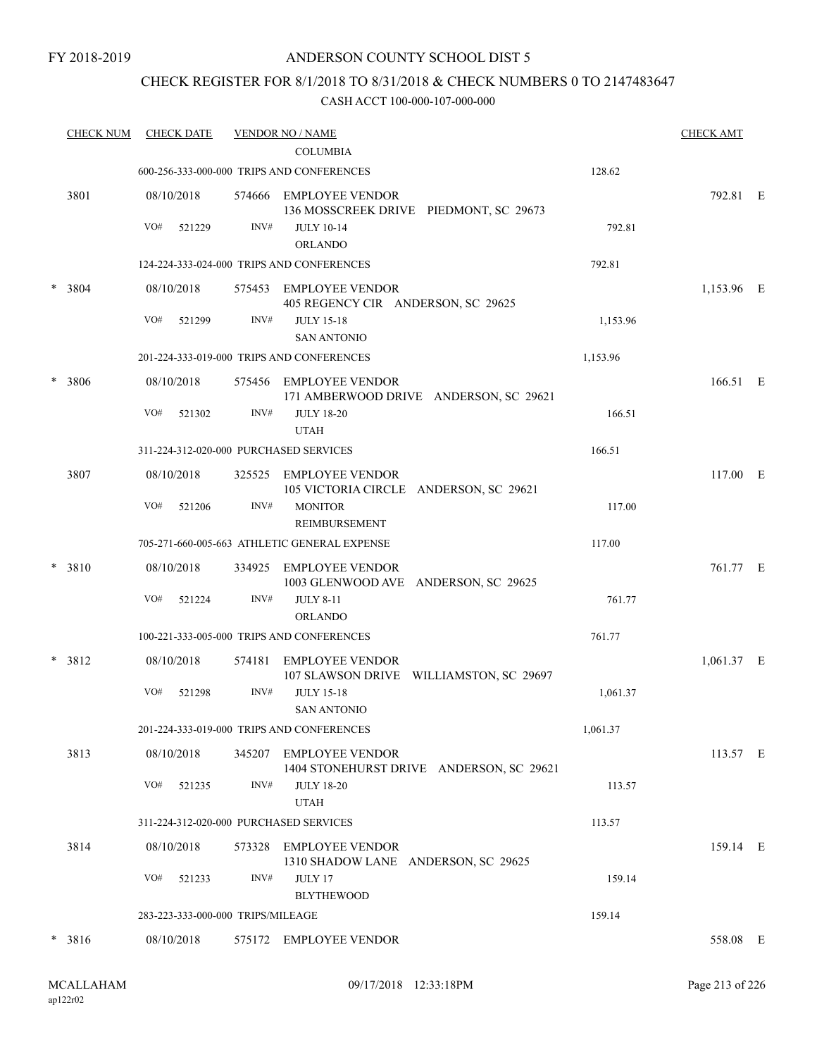### ANDERSON COUNTY SCHOOL DIST 5

### CHECK REGISTER FOR 8/1/2018 TO 8/31/2018 & CHECK NUMBERS 0 TO 2147483647

|        | <b>CHECK NUM</b> |     | <b>CHECK DATE</b>                 |      | <b>VENDOR NO / NAME</b>                                            |          | <b>CHECK AMT</b> |  |
|--------|------------------|-----|-----------------------------------|------|--------------------------------------------------------------------|----------|------------------|--|
|        |                  |     |                                   |      | <b>COLUMBIA</b>                                                    |          |                  |  |
|        |                  |     |                                   |      | 600-256-333-000-000 TRIPS AND CONFERENCES                          | 128.62   |                  |  |
|        | 3801             |     | 08/10/2018                        |      | 574666 EMPLOYEE VENDOR<br>136 MOSSCREEK DRIVE PIEDMONT, SC 29673   |          | 792.81 E         |  |
|        |                  | VO# | 521229                            | INV# | <b>JULY 10-14</b><br><b>ORLANDO</b>                                | 792.81   |                  |  |
|        |                  |     |                                   |      | 124-224-333-024-000 TRIPS AND CONFERENCES                          | 792.81   |                  |  |
| $\ast$ | 3804             |     | 08/10/2018                        |      | 575453 EMPLOYEE VENDOR<br>405 REGENCY CIR ANDERSON, SC 29625       |          | 1,153.96 E       |  |
|        |                  | VO# | 521299                            | INV# | <b>JULY 15-18</b>                                                  | 1,153.96 |                  |  |
|        |                  |     |                                   |      | <b>SAN ANTONIO</b>                                                 |          |                  |  |
|        |                  |     |                                   |      | 201-224-333-019-000 TRIPS AND CONFERENCES                          | 1,153.96 |                  |  |
|        | * 3806           |     | 08/10/2018                        |      | 575456 EMPLOYEE VENDOR<br>171 AMBERWOOD DRIVE ANDERSON, SC 29621   |          | 166.51 E         |  |
|        |                  | VO# | 521302                            | INV# | <b>JULY 18-20</b><br><b>UTAH</b>                                   | 166.51   |                  |  |
|        |                  |     |                                   |      | 311-224-312-020-000 PURCHASED SERVICES                             | 166.51   |                  |  |
|        | 3807             |     | 08/10/2018                        |      | 325525 EMPLOYEE VENDOR<br>105 VICTORIA CIRCLE ANDERSON, SC 29621   |          | 117.00 E         |  |
|        |                  | VO# | 521206                            | INV# | <b>MONITOR</b><br>REIMBURSEMENT                                    | 117.00   |                  |  |
|        |                  |     |                                   |      | 705-271-660-005-663 ATHLETIC GENERAL EXPENSE                       | 117.00   |                  |  |
|        | * 3810           |     | 08/10/2018                        |      | 334925 EMPLOYEE VENDOR<br>1003 GLENWOOD AVE ANDERSON, SC 29625     |          | 761.77 E         |  |
|        |                  | VO# | 521224                            | INV# | <b>JULY 8-11</b><br>ORLANDO                                        | 761.77   |                  |  |
|        |                  |     |                                   |      | 100-221-333-005-000 TRIPS AND CONFERENCES                          | 761.77   |                  |  |
|        | $* 3812$         |     | 08/10/2018                        |      | 574181 EMPLOYEE VENDOR<br>107 SLAWSON DRIVE WILLIAMSTON, SC 29697  |          | 1,061.37 E       |  |
|        |                  | VO# | 521298                            | INV# | <b>JULY 15-18</b><br><b>SAN ANTONIO</b>                            | 1,061.37 |                  |  |
|        |                  |     |                                   |      | 201-224-333-019-000 TRIPS AND CONFERENCES                          | 1,061.37 |                  |  |
|        | 3813             |     | 08/10/2018                        |      | 345207 EMPLOYEE VENDOR<br>1404 STONEHURST DRIVE ANDERSON, SC 29621 |          | 113.57 E         |  |
|        |                  | VO# | 521235                            | INV# | <b>JULY 18-20</b><br><b>UTAH</b>                                   | 113.57   |                  |  |
|        |                  |     |                                   |      | 311-224-312-020-000 PURCHASED SERVICES                             | 113.57   |                  |  |
|        | 3814             |     | 08/10/2018                        |      | 573328 EMPLOYEE VENDOR<br>1310 SHADOW LANE ANDERSON, SC 29625      |          | 159.14 E         |  |
|        |                  | VO# | 521233                            | INV# | JULY 17<br><b>BLYTHEWOOD</b>                                       | 159.14   |                  |  |
|        |                  |     | 283-223-333-000-000 TRIPS/MILEAGE |      |                                                                    | 159.14   |                  |  |
|        | $* 3816$         |     | 08/10/2018                        |      | 575172 EMPLOYEE VENDOR                                             |          | 558.08 E         |  |
|        |                  |     |                                   |      |                                                                    |          |                  |  |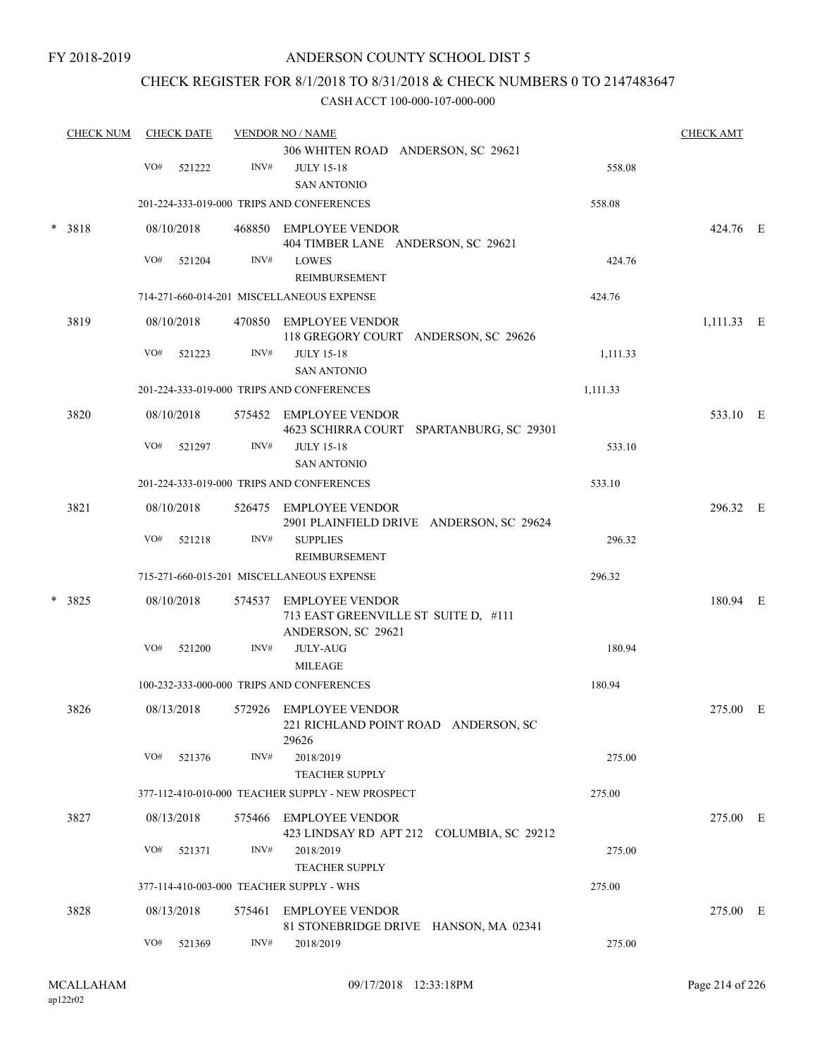### CHECK REGISTER FOR 8/1/2018 TO 8/31/2018 & CHECK NUMBERS 0 TO 2147483647

|        | <b>CHECK NUM</b> |     | <b>CHECK DATE</b> |      | <b>VENDOR NO / NAME</b>                                                              |          | <b>CHECK AMT</b> |  |
|--------|------------------|-----|-------------------|------|--------------------------------------------------------------------------------------|----------|------------------|--|
|        |                  |     |                   |      | 306 WHITEN ROAD ANDERSON, SC 29621                                                   |          |                  |  |
|        |                  | VO# | 521222            | INV# | <b>JULY 15-18</b><br><b>SAN ANTONIO</b>                                              | 558.08   |                  |  |
|        |                  |     |                   |      | 201-224-333-019-000 TRIPS AND CONFERENCES                                            | 558.08   |                  |  |
|        | $* 3818$         |     | 08/10/2018        |      | 468850 EMPLOYEE VENDOR<br>404 TIMBER LANE ANDERSON, SC 29621                         |          | 424.76 E         |  |
|        |                  | VO# | 521204            | INV# | <b>LOWES</b><br>REIMBURSEMENT                                                        | 424.76   |                  |  |
|        |                  |     |                   |      | 714-271-660-014-201 MISCELLANEOUS EXPENSE                                            | 424.76   |                  |  |
|        | 3819             |     | 08/10/2018        |      | 470850 EMPLOYEE VENDOR<br>118 GREGORY COURT ANDERSON, SC 29626                       |          | $1,111.33$ E     |  |
|        |                  | VO# | 521223            | INV# | <b>JULY 15-18</b><br><b>SAN ANTONIO</b>                                              | 1,111.33 |                  |  |
|        |                  |     |                   |      | 201-224-333-019-000 TRIPS AND CONFERENCES                                            | 1,111.33 |                  |  |
|        | 3820             |     | 08/10/2018        |      | 575452 EMPLOYEE VENDOR<br>4623 SCHIRRA COURT SPARTANBURG, SC 29301                   |          | 533.10 E         |  |
|        |                  | VO# | 521297            | INV# | <b>JULY 15-18</b><br><b>SAN ANTONIO</b>                                              | 533.10   |                  |  |
|        |                  |     |                   |      | 201-224-333-019-000 TRIPS AND CONFERENCES                                            | 533.10   |                  |  |
|        | 3821             |     | 08/10/2018        |      | 526475 EMPLOYEE VENDOR<br>2901 PLAINFIELD DRIVE ANDERSON, SC 29624                   |          | 296.32 E         |  |
|        |                  | VO# | 521218            | INV# | <b>SUPPLIES</b>                                                                      | 296.32   |                  |  |
|        |                  |     |                   |      | REIMBURSEMENT                                                                        |          |                  |  |
|        |                  |     |                   |      | 715-271-660-015-201 MISCELLANEOUS EXPENSE                                            | 296.32   |                  |  |
| $\ast$ | 3825             |     | 08/10/2018        |      | 574537 EMPLOYEE VENDOR<br>713 EAST GREENVILLE ST SUITE D, #111<br>ANDERSON, SC 29621 |          | 180.94 E         |  |
|        |                  | VO# | 521200            | INV# | <b>JULY-AUG</b>                                                                      | 180.94   |                  |  |
|        |                  |     |                   |      | <b>MILEAGE</b>                                                                       |          |                  |  |
|        |                  |     |                   |      | 100-232-333-000-000 TRIPS AND CONFERENCES                                            | 180.94   |                  |  |
|        | 3826             |     | 08/13/2018        |      | 572926 EMPLOYEE VENDOR<br>221 RICHLAND POINT ROAD ANDERSON, SC<br>29626              |          | 275.00 E         |  |
|        |                  | VO# | 521376            | INV# | 2018/2019<br><b>TEACHER SUPPLY</b>                                                   | 275.00   |                  |  |
|        |                  |     |                   |      | 377-112-410-010-000 TEACHER SUPPLY - NEW PROSPECT                                    | 275.00   |                  |  |
|        | 3827             |     | 08/13/2018        |      | 575466 EMPLOYEE VENDOR<br>423 LINDSAY RD APT 212 COLUMBIA, SC 29212                  |          | 275.00 E         |  |
|        |                  | VO# | 521371            | INV# | 2018/2019<br><b>TEACHER SUPPLY</b>                                                   | 275.00   |                  |  |
|        |                  |     |                   |      | 377-114-410-003-000 TEACHER SUPPLY - WHS                                             | 275.00   |                  |  |
|        | 3828             |     | 08/13/2018        |      | 575461 EMPLOYEE VENDOR<br>81 STONEBRIDGE DRIVE HANSON, MA 02341                      |          | 275.00 E         |  |
|        |                  | VO# | 521369            | INV# | 2018/2019                                                                            | 275.00   |                  |  |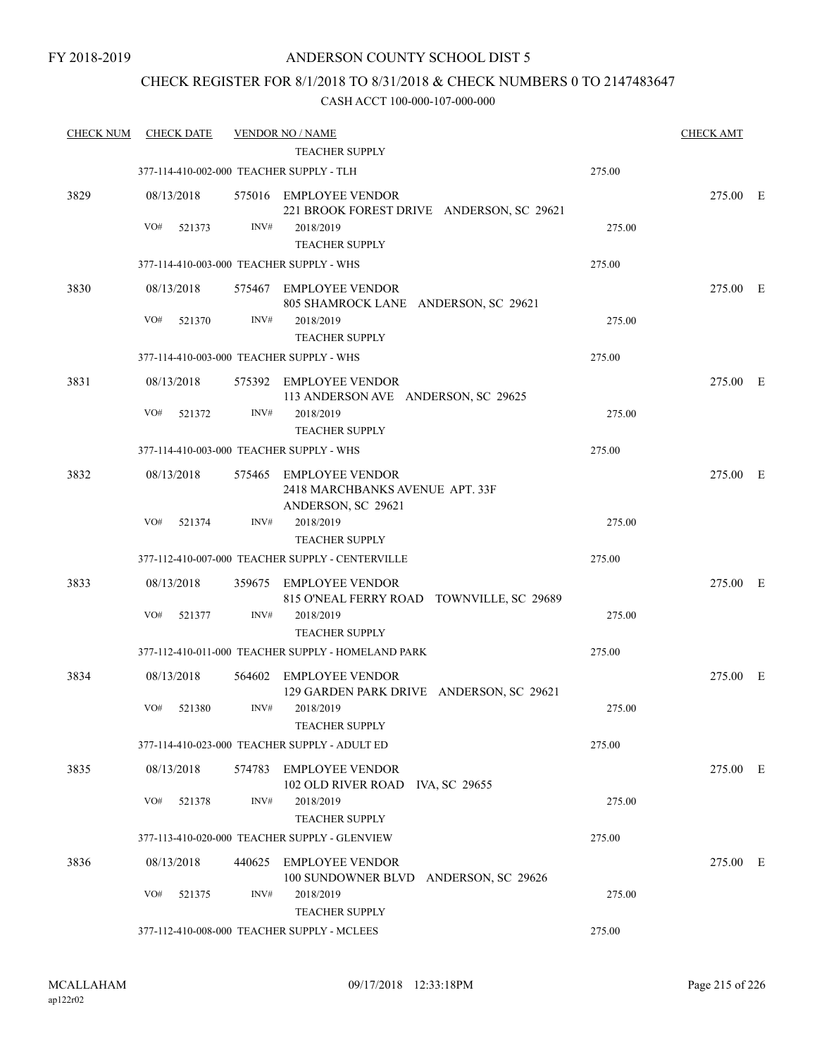### CHECK REGISTER FOR 8/1/2018 TO 8/31/2018 & CHECK NUMBERS 0 TO 2147483647

| <b>CHECK NUM</b> | <b>CHECK DATE</b>                        |      | <b>VENDOR NO / NAME</b>                                                         |        | <b>CHECK AMT</b> |  |
|------------------|------------------------------------------|------|---------------------------------------------------------------------------------|--------|------------------|--|
|                  |                                          |      | <b>TEACHER SUPPLY</b>                                                           |        |                  |  |
|                  | 377-114-410-002-000 TEACHER SUPPLY - TLH |      |                                                                                 | 275.00 |                  |  |
| 3829             | 08/13/2018                               |      | 575016 EMPLOYEE VENDOR<br>221 BROOK FOREST DRIVE ANDERSON, SC 29621             |        | 275.00 E         |  |
|                  | VO#<br>521373                            | INV# | 2018/2019<br><b>TEACHER SUPPLY</b>                                              | 275.00 |                  |  |
|                  | 377-114-410-003-000 TEACHER SUPPLY - WHS |      |                                                                                 | 275.00 |                  |  |
| 3830             | 08/13/2018                               |      | 575467 EMPLOYEE VENDOR<br>805 SHAMROCK LANE ANDERSON, SC 29621                  |        | 275.00 E         |  |
|                  | VO#<br>521370                            | INV# | 2018/2019<br><b>TEACHER SUPPLY</b>                                              | 275.00 |                  |  |
|                  |                                          |      | 377-114-410-003-000 TEACHER SUPPLY - WHS                                        | 275.00 |                  |  |
| 3831             | 08/13/2018                               |      | 575392 EMPLOYEE VENDOR<br>113 ANDERSON AVE ANDERSON, SC 29625                   |        | 275.00 E         |  |
|                  | VO#<br>521372                            | INV# | 2018/2019<br><b>TEACHER SUPPLY</b>                                              | 275.00 |                  |  |
|                  | 377-114-410-003-000 TEACHER SUPPLY - WHS |      |                                                                                 | 275.00 |                  |  |
| 3832             | 08/13/2018                               |      | 575465 EMPLOYEE VENDOR<br>2418 MARCHBANKS AVENUE APT. 33F<br>ANDERSON, SC 29621 |        | 275.00 E         |  |
|                  | VO#<br>521374                            | INV# | 2018/2019<br><b>TEACHER SUPPLY</b>                                              | 275.00 |                  |  |
|                  |                                          |      | 377-112-410-007-000 TEACHER SUPPLY - CENTERVILLE                                | 275.00 |                  |  |
| 3833             | 08/13/2018                               |      | 359675 EMPLOYEE VENDOR<br>815 O'NEAL FERRY ROAD TOWNVILLE, SC 29689             |        | 275.00 E         |  |
|                  | VO#<br>521377                            | INV# | 2018/2019<br><b>TEACHER SUPPLY</b>                                              | 275.00 |                  |  |
|                  |                                          |      | 377-112-410-011-000 TEACHER SUPPLY - HOMELAND PARK                              | 275.00 |                  |  |
| 3834             | 08/13/2018                               |      | 564602 EMPLOYEE VENDOR<br>129 GARDEN PARK DRIVE ANDERSON, SC 29621              |        | 275.00 E         |  |
|                  | VO#<br>521380                            | INV# | 2018/2019<br>TEACHER SUPPLY                                                     | 275.00 |                  |  |
|                  |                                          |      | 377-114-410-023-000 TEACHER SUPPLY - ADULT ED                                   | 275.00 |                  |  |
| 3835             | 08/13/2018                               |      | 574783 EMPLOYEE VENDOR<br>102 OLD RIVER ROAD IVA, SC 29655                      |        | 275.00 E         |  |
|                  | VO#<br>521378                            | INV# | 2018/2019<br><b>TEACHER SUPPLY</b>                                              | 275.00 |                  |  |
|                  |                                          |      | 377-113-410-020-000 TEACHER SUPPLY - GLENVIEW                                   | 275.00 |                  |  |
| 3836             | 08/13/2018                               |      | 440625 EMPLOYEE VENDOR<br>100 SUNDOWNER BLVD ANDERSON, SC 29626                 |        | 275.00 E         |  |
|                  | VO#<br>521375                            | INV# | 2018/2019<br><b>TEACHER SUPPLY</b>                                              | 275.00 |                  |  |
|                  |                                          |      | 377-112-410-008-000 TEACHER SUPPLY - MCLEES                                     | 275.00 |                  |  |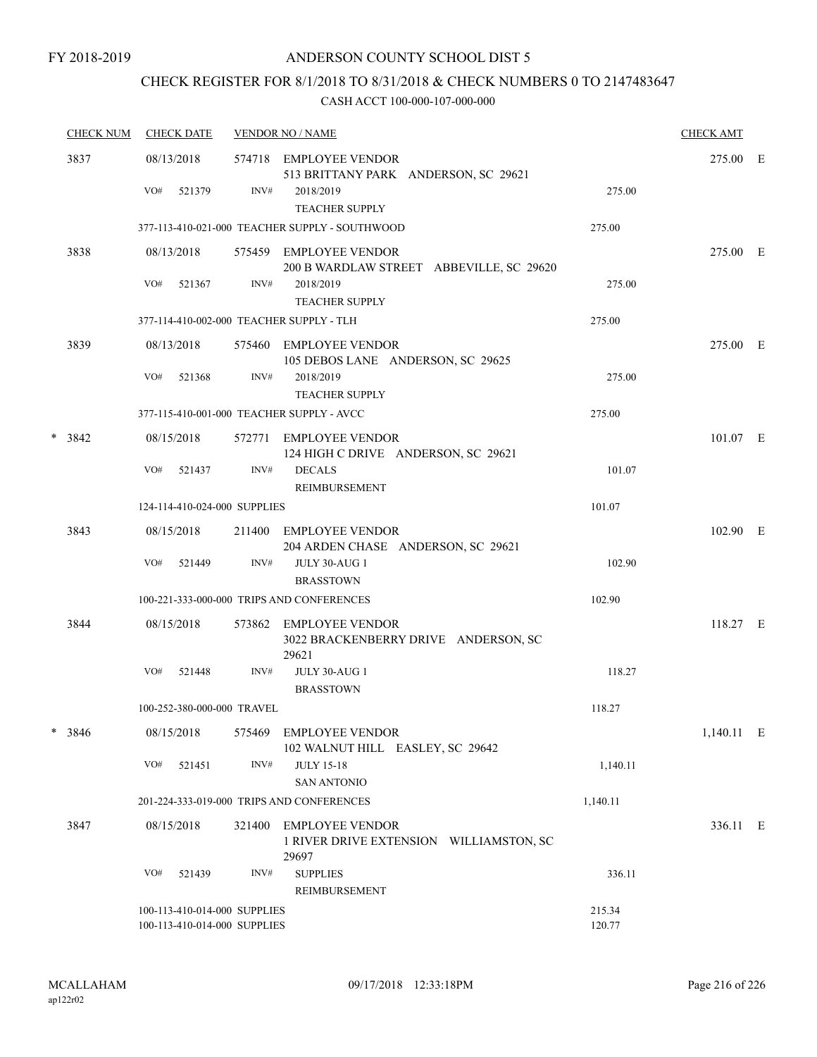## CHECK REGISTER FOR 8/1/2018 TO 8/31/2018 & CHECK NUMBERS 0 TO 2147483647

|   | <b>CHECK NUM</b> | <b>CHECK DATE</b>                                            |        | <b>VENDOR NO / NAME</b>                                                    |                  | <b>CHECK AMT</b> |  |
|---|------------------|--------------------------------------------------------------|--------|----------------------------------------------------------------------------|------------------|------------------|--|
|   | 3837             | 08/13/2018                                                   |        | 574718 EMPLOYEE VENDOR<br>513 BRITTANY PARK ANDERSON, SC 29621             |                  | 275.00 E         |  |
|   |                  | VO#<br>521379                                                | INV#   | 2018/2019<br><b>TEACHER SUPPLY</b>                                         | 275.00           |                  |  |
|   |                  |                                                              |        | 377-113-410-021-000 TEACHER SUPPLY - SOUTHWOOD                             | 275.00           |                  |  |
|   | 3838             | 08/13/2018                                                   |        | 575459 EMPLOYEE VENDOR<br>200 B WARDLAW STREET ABBEVILLE, SC 29620         |                  | 275.00 E         |  |
|   |                  | VO#<br>521367                                                | INV#   | 2018/2019<br><b>TEACHER SUPPLY</b>                                         | 275.00           |                  |  |
|   |                  |                                                              |        | 377-114-410-002-000 TEACHER SUPPLY - TLH                                   | 275.00           |                  |  |
|   | 3839             | 08/13/2018                                                   |        | 575460 EMPLOYEE VENDOR<br>105 DEBOS LANE ANDERSON, SC 29625                |                  | 275.00 E         |  |
|   |                  | VO#<br>521368                                                | INV#   | 2018/2019<br><b>TEACHER SUPPLY</b>                                         | 275.00           |                  |  |
|   |                  |                                                              |        | 377-115-410-001-000 TEACHER SUPPLY - AVCC                                  | 275.00           |                  |  |
| * | 3842             | 08/15/2018                                                   | 572771 | <b>EMPLOYEE VENDOR</b><br>124 HIGH C DRIVE ANDERSON, SC 29621              |                  | 101.07 E         |  |
|   |                  | VO#<br>521437                                                | INV#   | <b>DECALS</b><br><b>REIMBURSEMENT</b>                                      | 101.07           |                  |  |
|   |                  | 124-114-410-024-000 SUPPLIES                                 |        |                                                                            | 101.07           |                  |  |
|   | 3843             | 08/15/2018                                                   |        | 211400 EMPLOYEE VENDOR<br>204 ARDEN CHASE ANDERSON, SC 29621               |                  | 102.90 E         |  |
|   |                  | VO#<br>521449                                                | INV#   | <b>JULY 30-AUG 1</b><br><b>BRASSTOWN</b>                                   | 102.90           |                  |  |
|   |                  |                                                              |        | 100-221-333-000-000 TRIPS AND CONFERENCES                                  | 102.90           |                  |  |
|   | 3844             | 08/15/2018                                                   |        | 573862 EMPLOYEE VENDOR<br>3022 BRACKENBERRY DRIVE ANDERSON, SC<br>29621    |                  | 118.27 E         |  |
|   |                  | VO#<br>521448                                                | INV#   | <b>JULY 30-AUG 1</b><br><b>BRASSTOWN</b>                                   | 118.27           |                  |  |
|   |                  | 100-252-380-000-000 TRAVEL                                   |        |                                                                            | 118.27           |                  |  |
| * | 3846             | 08/15/2018                                                   | 575469 | EMPLOYEE VENDOR<br>102 WALNUT HILL EASLEY, SC 29642                        |                  | 1,140.11 E       |  |
|   |                  | VO#<br>521451                                                | INV#   | <b>JULY 15-18</b><br><b>SAN ANTONIO</b>                                    | 1,140.11         |                  |  |
|   |                  |                                                              |        | 201-224-333-019-000 TRIPS AND CONFERENCES                                  | 1,140.11         |                  |  |
|   | 3847             | 08/15/2018                                                   | 321400 | <b>EMPLOYEE VENDOR</b><br>1 RIVER DRIVE EXTENSION WILLIAMSTON, SC<br>29697 |                  | 336.11 E         |  |
|   |                  | VO#<br>521439                                                | INV#   | <b>SUPPLIES</b><br>REIMBURSEMENT                                           | 336.11           |                  |  |
|   |                  | 100-113-410-014-000 SUPPLIES<br>100-113-410-014-000 SUPPLIES |        |                                                                            | 215.34<br>120.77 |                  |  |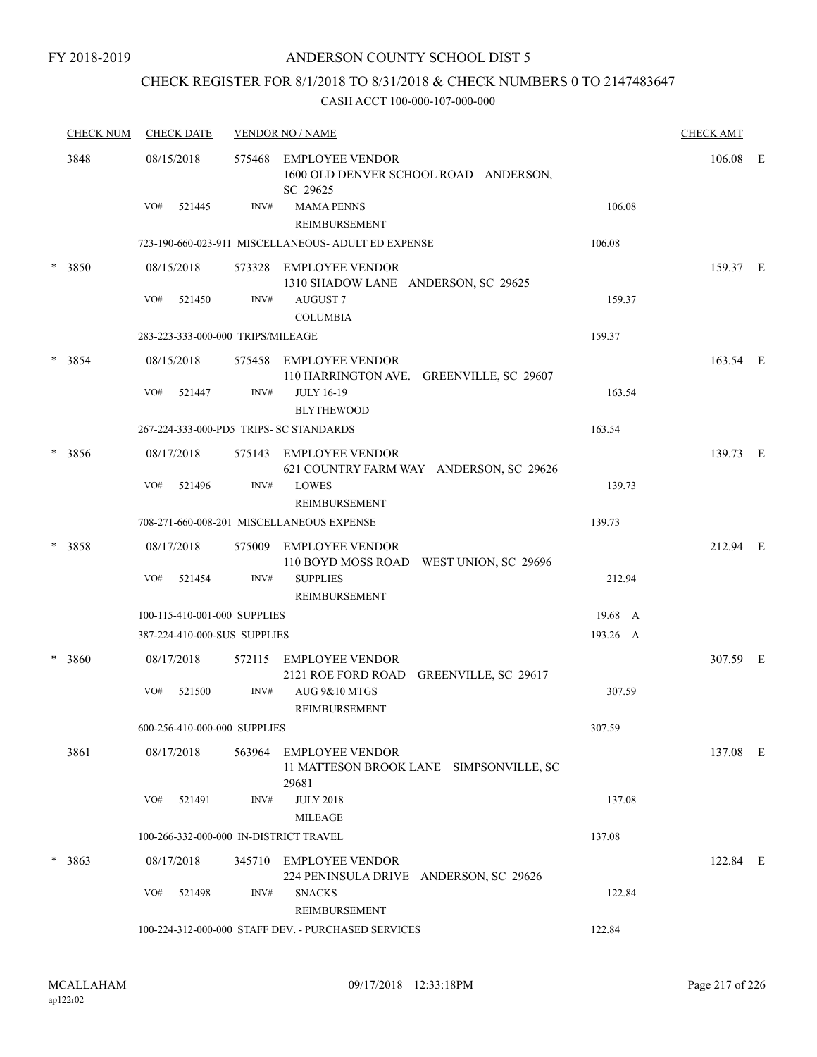FY 2018-2019

## ANDERSON COUNTY SCHOOL DIST 5

# CHECK REGISTER FOR 8/1/2018 TO 8/31/2018 & CHECK NUMBERS 0 TO 2147483647

| <b>CHECK NUM</b> | <b>CHECK DATE</b>                       |      | <b>VENDOR NO / NAME</b>                                                     |          | <b>CHECK AMT</b> |  |
|------------------|-----------------------------------------|------|-----------------------------------------------------------------------------|----------|------------------|--|
| 3848             | 08/15/2018                              |      | 575468 EMPLOYEE VENDOR<br>1600 OLD DENVER SCHOOL ROAD ANDERSON,<br>SC 29625 |          | $106.08$ E       |  |
|                  | VO#<br>521445                           | INV# | <b>MAMA PENNS</b><br>REIMBURSEMENT                                          | 106.08   |                  |  |
|                  |                                         |      | 723-190-660-023-911 MISCELLANEOUS- ADULT ED EXPENSE                         | 106.08   |                  |  |
| * 3850           | 08/15/2018                              |      | 573328 EMPLOYEE VENDOR<br>1310 SHADOW LANE ANDERSON, SC 29625               |          | 159.37 E         |  |
|                  | VO#<br>521450                           | INV# | <b>AUGUST7</b><br><b>COLUMBIA</b>                                           | 159.37   |                  |  |
|                  | 283-223-333-000-000 TRIPS/MILEAGE       |      |                                                                             | 159.37   |                  |  |
| $* 3854$         | 08/15/2018                              |      | 575458 EMPLOYEE VENDOR<br>110 HARRINGTON AVE. GREENVILLE, SC 29607          |          | 163.54 E         |  |
|                  | VO#<br>521447                           | INV# | <b>JULY 16-19</b><br><b>BLYTHEWOOD</b>                                      | 163.54   |                  |  |
|                  | 267-224-333-000-PD5 TRIPS- SC STANDARDS |      |                                                                             | 163.54   |                  |  |
| $* 3856$         | 08/17/2018                              |      | 575143 EMPLOYEE VENDOR<br>621 COUNTRY FARM WAY ANDERSON, SC 29626           |          | 139.73 E         |  |
|                  | VO#<br>521496                           | INV# | <b>LOWES</b><br>REIMBURSEMENT                                               | 139.73   |                  |  |
|                  |                                         |      | 708-271-660-008-201 MISCELLANEOUS EXPENSE                                   | 139.73   |                  |  |
| $* 3858$         | 08/17/2018                              |      | 575009 EMPLOYEE VENDOR<br>110 BOYD MOSS ROAD WEST UNION, SC 29696           |          | 212.94 E         |  |
|                  | VO#<br>521454                           | INV# | <b>SUPPLIES</b><br>REIMBURSEMENT                                            | 212.94   |                  |  |
|                  | 100-115-410-001-000 SUPPLIES            |      |                                                                             | 19.68 A  |                  |  |
|                  | 387-224-410-000-SUS SUPPLIES            |      |                                                                             | 193.26 A |                  |  |
| * 3860           | 08/17/2018                              |      | 572115 EMPLOYEE VENDOR<br>2121 ROE FORD ROAD GREENVILLE, SC 29617           |          | 307.59 E         |  |
|                  | VO#<br>521500                           | INV# | AUG 9&10 MTGS<br>REIMBURSEMENT                                              | 307.59   |                  |  |
|                  | 600-256-410-000-000 SUPPLIES            |      |                                                                             | 307.59   |                  |  |
| 3861             | 08/17/2018                              |      | 563964 EMPLOYEE VENDOR<br>11 MATTESON BROOK LANE SIMPSONVILLE, SC<br>29681  |          | 137.08 E         |  |
|                  | VO#<br>521491                           | INV# | <b>JULY 2018</b><br><b>MILEAGE</b>                                          | 137.08   |                  |  |
|                  | 100-266-332-000-000 IN-DISTRICT TRAVEL  |      |                                                                             | 137.08   |                  |  |
| $* 3863$         | 08/17/2018                              |      | 345710 EMPLOYEE VENDOR<br>224 PENINSULA DRIVE ANDERSON, SC 29626            |          | 122.84 E         |  |
|                  | VO#<br>521498                           | INV# | <b>SNACKS</b><br>REIMBURSEMENT                                              | 122.84   |                  |  |
|                  |                                         |      | 100-224-312-000-000 STAFF DEV. - PURCHASED SERVICES                         | 122.84   |                  |  |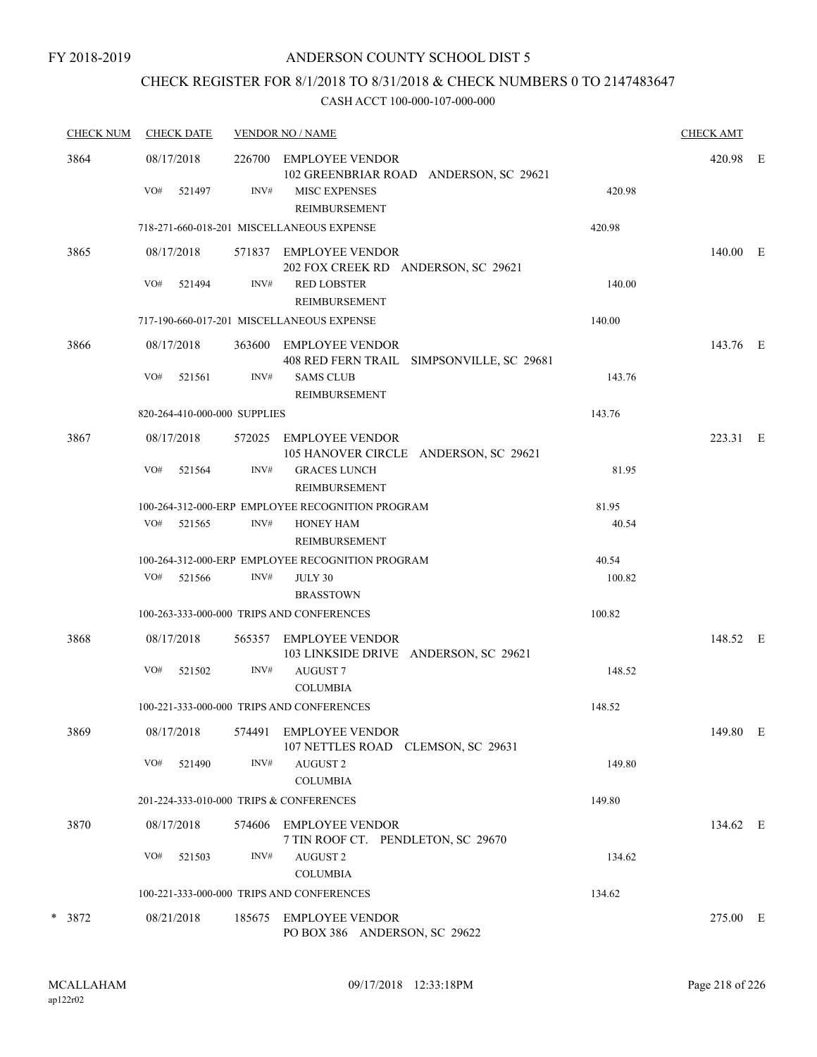# CHECK REGISTER FOR 8/1/2018 TO 8/31/2018 & CHECK NUMBERS 0 TO 2147483647

| <b>CHECK NUM</b><br><b>CHECK DATE</b> |                   |        | <b>VENDOR NO / NAME</b>      |                                                                     |        |          |  |
|---------------------------------------|-------------------|--------|------------------------------|---------------------------------------------------------------------|--------|----------|--|
| 3864                                  | 08/17/2018<br>VO# |        | INV#                         | 226700 EMPLOYEE VENDOR<br>102 GREENBRIAR ROAD ANDERSON, SC 29621    |        | 420.98 E |  |
|                                       |                   | 521497 |                              | <b>MISC EXPENSES</b><br><b>REIMBURSEMENT</b>                        | 420.98 |          |  |
|                                       |                   |        |                              | 718-271-660-018-201 MISCELLANEOUS EXPENSE                           | 420.98 |          |  |
| 3865                                  | 08/17/2018        |        |                              | 571837 EMPLOYEE VENDOR<br>202 FOX CREEK RD ANDERSON, SC 29621       |        | 140.00 E |  |
|                                       | VO#               | 521494 | INV#                         | <b>RED LOBSTER</b><br>REIMBURSEMENT                                 | 140.00 |          |  |
|                                       |                   |        |                              | 717-190-660-017-201 MISCELLANEOUS EXPENSE                           | 140.00 |          |  |
| 3866                                  | 08/17/2018        |        |                              | 363600 EMPLOYEE VENDOR<br>408 RED FERN TRAIL SIMPSONVILLE, SC 29681 |        | 143.76 E |  |
|                                       | VO#               | 521561 | INV#                         | <b>SAMS CLUB</b><br><b>REIMBURSEMENT</b>                            | 143.76 |          |  |
|                                       |                   |        | 820-264-410-000-000 SUPPLIES |                                                                     | 143.76 |          |  |
| 3867                                  | 08/17/2018        |        |                              | 572025 EMPLOYEE VENDOR<br>105 HANOVER CIRCLE ANDERSON, SC 29621     |        | 223.31 E |  |
|                                       | VO#               | 521564 | INV#                         | <b>GRACES LUNCH</b><br><b>REIMBURSEMENT</b>                         | 81.95  |          |  |
|                                       |                   |        |                              | 100-264-312-000-ERP EMPLOYEE RECOGNITION PROGRAM                    | 81.95  |          |  |
|                                       | VO#               | 521565 | INV#                         | <b>HONEY HAM</b><br>REIMBURSEMENT                                   | 40.54  |          |  |
|                                       |                   |        |                              | 100-264-312-000-ERP EMPLOYEE RECOGNITION PROGRAM                    | 40.54  |          |  |
|                                       | VO#               | 521566 | INV#                         | JULY 30<br><b>BRASSTOWN</b>                                         | 100.82 |          |  |
|                                       |                   |        |                              | 100-263-333-000-000 TRIPS AND CONFERENCES                           | 100.82 |          |  |
| 3868                                  | 08/17/2018        |        | 565357                       | EMPLOYEE VENDOR<br>103 LINKSIDE DRIVE ANDERSON, SC 29621            |        | 148.52 E |  |
|                                       | VO#               | 521502 | INV#                         | <b>AUGUST7</b><br><b>COLUMBIA</b>                                   | 148.52 |          |  |
|                                       |                   |        |                              | 100-221-333-000-000 TRIPS AND CONFERENCES                           | 148.52 |          |  |
| 3869                                  | 08/17/2018        |        | 574491                       | <b>EMPLOYEE VENDOR</b><br>107 NETTLES ROAD CLEMSON, SC 29631        |        | 149.80 E |  |
|                                       | VO#               | 521490 | INV#                         | <b>AUGUST 2</b><br><b>COLUMBIA</b>                                  | 149.80 |          |  |
|                                       |                   |        |                              | 201-224-333-010-000 TRIPS & CONFERENCES                             | 149.80 |          |  |
| 3870                                  | 08/17/2018        |        | 574606                       | <b>EMPLOYEE VENDOR</b><br>7 TIN ROOF CT. PENDLETON, SC 29670        |        | 134.62 E |  |
|                                       | VO#               | 521503 | INV#                         | <b>AUGUST 2</b><br><b>COLUMBIA</b>                                  | 134.62 |          |  |
|                                       |                   |        |                              | 100-221-333-000-000 TRIPS AND CONFERENCES                           | 134.62 |          |  |
| * 3872                                | 08/21/2018        |        | 185675                       | <b>EMPLOYEE VENDOR</b><br>PO BOX 386 ANDERSON, SC 29622             |        | 275.00 E |  |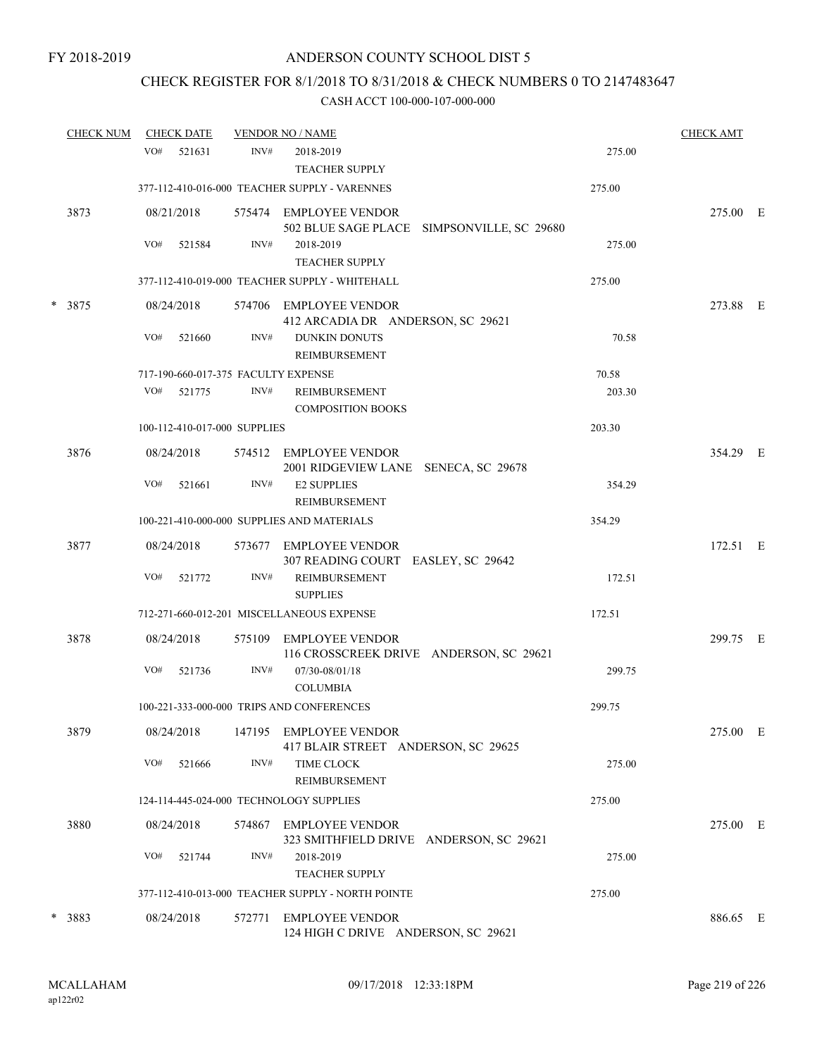# CHECK REGISTER FOR 8/1/2018 TO 8/31/2018 & CHECK NUMBERS 0 TO 2147483647

| <b>CHECK NUM</b> |     | <b>CHECK DATE</b> |                              | <b>VENDOR NO / NAME</b>                                              |        | <b>CHECK AMT</b> |  |
|------------------|-----|-------------------|------------------------------|----------------------------------------------------------------------|--------|------------------|--|
|                  | VO# | 521631            | INV#                         | 2018-2019<br><b>TEACHER SUPPLY</b>                                   | 275.00 |                  |  |
|                  |     |                   |                              | 377-112-410-016-000 TEACHER SUPPLY - VARENNES                        | 275.00 |                  |  |
| 3873             |     | 08/21/2018        |                              | 575474 EMPLOYEE VENDOR<br>502 BLUE SAGE PLACE SIMPSONVILLE, SC 29680 |        | 275.00 E         |  |
|                  | VO# | 521584            | INV#                         | 2018-2019<br><b>TEACHER SUPPLY</b>                                   | 275.00 |                  |  |
|                  |     |                   |                              | 377-112-410-019-000 TEACHER SUPPLY - WHITEHALL                       | 275.00 |                  |  |
| $*3875$          |     | 08/24/2018        |                              | 574706 EMPLOYEE VENDOR<br>412 ARCADIA DR ANDERSON, SC 29621          |        | 273.88 E         |  |
|                  | VO# | 521660            | INV#                         | <b>DUNKIN DONUTS</b><br>REIMBURSEMENT                                | 70.58  |                  |  |
|                  |     |                   |                              | 717-190-660-017-375 FACULTY EXPENSE                                  | 70.58  |                  |  |
|                  | VO# | 521775            | INV#                         | REIMBURSEMENT<br><b>COMPOSITION BOOKS</b>                            | 203.30 |                  |  |
|                  |     |                   | 100-112-410-017-000 SUPPLIES |                                                                      | 203.30 |                  |  |
| 3876             |     | 08/24/2018        |                              | 574512 EMPLOYEE VENDOR<br>2001 RIDGEVIEW LANE SENECA, SC 29678       |        | 354.29 E         |  |
|                  | VO# | 521661            | INV#                         | <b>E2 SUPPLIES</b><br><b>REIMBURSEMENT</b>                           | 354.29 |                  |  |
|                  |     |                   |                              | 100-221-410-000-000 SUPPLIES AND MATERIALS                           | 354.29 |                  |  |
| 3877             |     | 08/24/2018        |                              | 573677 EMPLOYEE VENDOR<br>307 READING COURT EASLEY, SC 29642         |        | 172.51 E         |  |
|                  | VO# | 521772            | INV#                         | REIMBURSEMENT<br><b>SUPPLIES</b>                                     | 172.51 |                  |  |
|                  |     |                   |                              | 712-271-660-012-201 MISCELLANEOUS EXPENSE                            | 172.51 |                  |  |
| 3878             |     | 08/24/2018        | 575109                       | EMPLOYEE VENDOR<br>116 CROSSCREEK DRIVE ANDERSON, SC 29621           |        | 299.75 E         |  |
|                  | VO# | 521736            | INV#                         | 07/30-08/01/18<br><b>COLUMBIA</b>                                    | 299.75 |                  |  |
|                  |     |                   |                              | 100-221-333-000-000 TRIPS AND CONFERENCES                            | 299.75 |                  |  |
| 3879             |     | 08/24/2018        |                              | 147195 EMPLOYEE VENDOR<br>417 BLAIR STREET ANDERSON, SC 29625        |        | 275.00 E         |  |
|                  | VO# | 521666            | INV#                         | <b>TIME CLOCK</b><br>REIMBURSEMENT                                   | 275.00 |                  |  |
|                  |     |                   |                              | 124-114-445-024-000 TECHNOLOGY SUPPLIES                              | 275.00 |                  |  |
| 3880             |     | 08/24/2018        | 574867                       | EMPLOYEE VENDOR<br>323 SMITHFIELD DRIVE ANDERSON, SC 29621           |        | 275.00 E         |  |
|                  | VO# | 521744            | INV#                         | 2018-2019<br><b>TEACHER SUPPLY</b>                                   | 275.00 |                  |  |
|                  |     |                   |                              | 377-112-410-013-000 TEACHER SUPPLY - NORTH POINTE                    | 275.00 |                  |  |
| * 3883           |     | 08/24/2018        | 572771                       | EMPLOYEE VENDOR<br>124 HIGH C DRIVE ANDERSON, SC 29621               |        | 886.65 E         |  |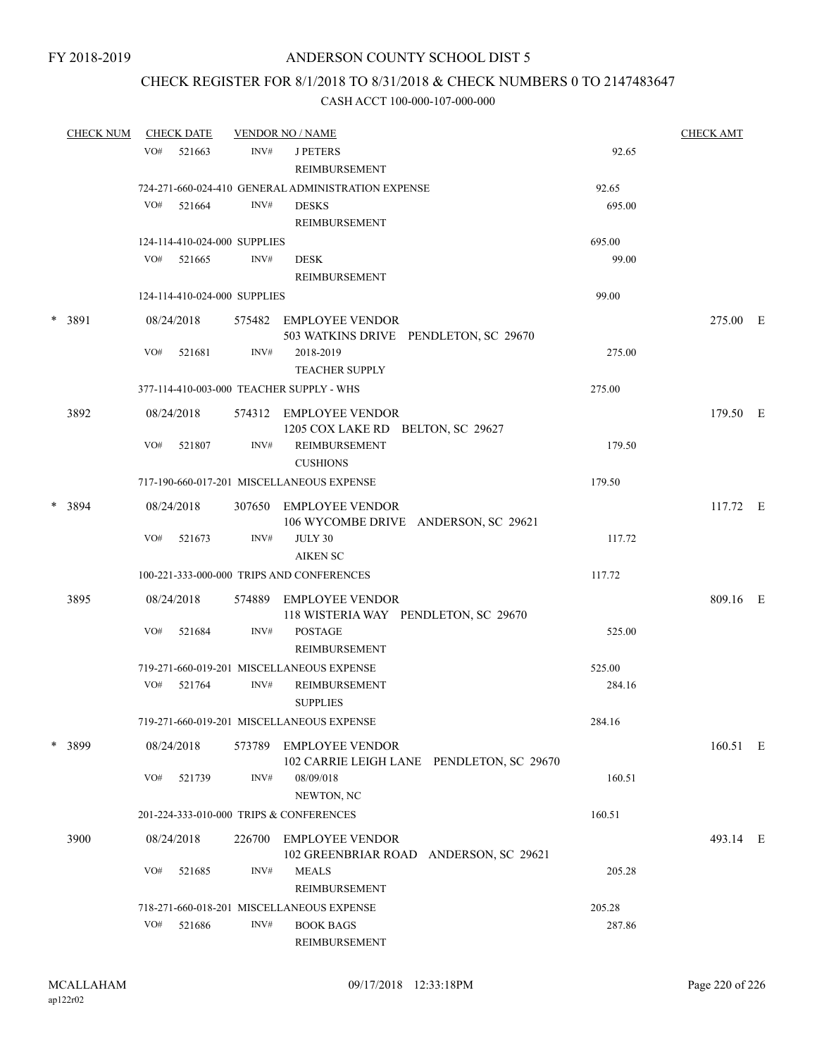## CHECK REGISTER FOR 8/1/2018 TO 8/31/2018 & CHECK NUMBERS 0 TO 2147483647

| <b>CHECK NUM</b> |     | <b>CHECK DATE</b>            |        | <b>VENDOR NO / NAME</b>                                             |        | <b>CHECK AMT</b> |  |
|------------------|-----|------------------------------|--------|---------------------------------------------------------------------|--------|------------------|--|
|                  | VO# | 521663                       | INV#   | <b>J PETERS</b><br><b>REIMBURSEMENT</b>                             | 92.65  |                  |  |
|                  |     |                              |        | 724-271-660-024-410 GENERAL ADMINISTRATION EXPENSE                  | 92.65  |                  |  |
|                  | VO# | 521664                       | INV#   | <b>DESKS</b><br>REIMBURSEMENT                                       | 695.00 |                  |  |
|                  |     | 124-114-410-024-000 SUPPLIES |        |                                                                     | 695.00 |                  |  |
|                  |     | $VO#$ 521665                 | INV#   | <b>DESK</b><br><b>REIMBURSEMENT</b>                                 | 99.00  |                  |  |
|                  |     | 124-114-410-024-000 SUPPLIES |        |                                                                     | 99.00  |                  |  |
| * 3891           |     | 08/24/2018                   |        | 575482 EMPLOYEE VENDOR<br>503 WATKINS DRIVE PENDLETON, SC 29670     |        | 275.00 E         |  |
|                  | VO# | 521681                       | INV#   | 2018-2019<br><b>TEACHER SUPPLY</b>                                  | 275.00 |                  |  |
|                  |     |                              |        | 377-114-410-003-000 TEACHER SUPPLY - WHS                            | 275.00 |                  |  |
| 3892             |     | 08/24/2018                   |        | 574312 EMPLOYEE VENDOR<br>1205 COX LAKE RD BELTON, SC 29627         |        | 179.50 E         |  |
|                  | VO# | 521807                       | INV#   | REIMBURSEMENT<br><b>CUSHIONS</b>                                    | 179.50 |                  |  |
|                  |     |                              |        | 717-190-660-017-201 MISCELLANEOUS EXPENSE                           | 179.50 |                  |  |
| * 3894           |     | 08/24/2018                   |        | 307650 EMPLOYEE VENDOR<br>106 WYCOMBE DRIVE ANDERSON, SC 29621      |        | 117.72 E         |  |
|                  | VO# | 521673                       | INV#   | JULY 30<br><b>AIKEN SC</b>                                          | 117.72 |                  |  |
|                  |     |                              |        | 100-221-333-000-000 TRIPS AND CONFERENCES                           | 117.72 |                  |  |
| 3895             |     | 08/24/2018                   |        | 574889 EMPLOYEE VENDOR<br>118 WISTERIA WAY PENDLETON, SC 29670      |        | 809.16 E         |  |
|                  | VO# | 521684                       | INV#   | <b>POSTAGE</b><br>REIMBURSEMENT                                     | 525.00 |                  |  |
|                  |     |                              |        | 719-271-660-019-201 MISCELLANEOUS EXPENSE                           | 525.00 |                  |  |
|                  | VO# | 521764                       | INV#   | REIMBURSEMENT<br><b>SUPPLIES</b>                                    | 284.16 |                  |  |
|                  |     |                              |        | 719-271-660-019-201 MISCELLANEOUS EXPENSE                           | 284.16 |                  |  |
| $*$ 3899         |     | 08/24/2018                   | 573789 | <b>EMPLOYEE VENDOR</b><br>102 CARRIE LEIGH LANE PENDLETON, SC 29670 |        | 160.51 E         |  |
|                  | VO# | 521739                       | INV#   | 08/09/018<br>NEWTON, NC                                             | 160.51 |                  |  |
|                  |     |                              |        | 201-224-333-010-000 TRIPS & CONFERENCES                             | 160.51 |                  |  |
| 3900             |     | 08/24/2018                   | 226700 | <b>EMPLOYEE VENDOR</b><br>102 GREENBRIAR ROAD ANDERSON, SC 29621    |        | 493.14 E         |  |
|                  | VO# | 521685                       | INV#   | <b>MEALS</b><br><b>REIMBURSEMENT</b>                                | 205.28 |                  |  |
|                  |     |                              |        | 718-271-660-018-201 MISCELLANEOUS EXPENSE                           | 205.28 |                  |  |
|                  | VO# | 521686                       | INV#   | <b>BOOK BAGS</b><br>REIMBURSEMENT                                   | 287.86 |                  |  |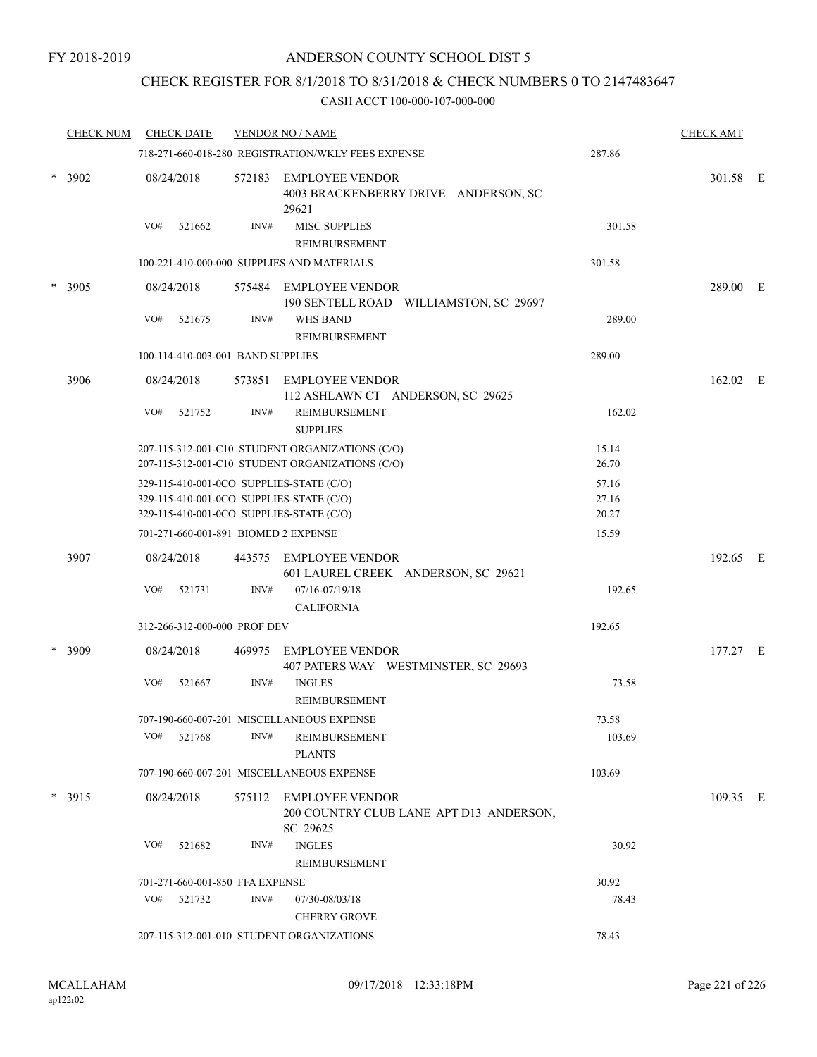## CHECK REGISTER FOR 8/1/2018 TO 8/31/2018 & CHECK NUMBERS 0 TO 2147483647

|   | <b>CHECK NUM</b> | <b>CHECK DATE</b>                                                                                                                |        | <b>VENDOR NO / NAME</b>                                                                            |                         | <b>CHECK AMT</b> |  |
|---|------------------|----------------------------------------------------------------------------------------------------------------------------------|--------|----------------------------------------------------------------------------------------------------|-------------------------|------------------|--|
|   |                  |                                                                                                                                  |        | 718-271-660-018-280 REGISTRATION/WKLY FEES EXPENSE                                                 | 287.86                  |                  |  |
|   | * 3902           | 08/24/2018                                                                                                                       |        | 572183 EMPLOYEE VENDOR<br>4003 BRACKENBERRY DRIVE ANDERSON, SC<br>29621                            |                         | 301.58 E         |  |
|   |                  | VO#<br>521662                                                                                                                    | INV#   | <b>MISC SUPPLIES</b><br>REIMBURSEMENT                                                              | 301.58                  |                  |  |
|   |                  |                                                                                                                                  |        | 100-221-410-000-000 SUPPLIES AND MATERIALS                                                         | 301.58                  |                  |  |
|   | * 3905           | 08/24/2018                                                                                                                       |        | 575484 EMPLOYEE VENDOR<br>190 SENTELL ROAD WILLIAMSTON, SC 29697                                   |                         | 289.00 E         |  |
|   |                  | VO#<br>521675                                                                                                                    | INV#   | <b>WHS BAND</b><br>REIMBURSEMENT                                                                   | 289.00                  |                  |  |
|   |                  | 100-114-410-003-001 BAND SUPPLIES                                                                                                |        |                                                                                                    | 289.00                  |                  |  |
|   | 3906             | 08/24/2018                                                                                                                       |        | 573851 EMPLOYEE VENDOR<br>112 ASHLAWN CT ANDERSON, SC 29625                                        |                         | 162.02 E         |  |
|   |                  | VO#<br>521752                                                                                                                    | INV#   | REIMBURSEMENT<br><b>SUPPLIES</b>                                                                   | 162.02                  |                  |  |
|   |                  |                                                                                                                                  |        | 207-115-312-001-C10 STUDENT ORGANIZATIONS (C/O)<br>207-115-312-001-C10 STUDENT ORGANIZATIONS (C/O) | 15.14<br>26.70          |                  |  |
|   |                  | 329-115-410-001-0CO SUPPLIES-STATE (C/O)<br>329-115-410-001-0CO SUPPLIES-STATE (C/O)<br>329-115-410-001-0CO SUPPLIES-STATE (C/O) |        |                                                                                                    | 57.16<br>27.16<br>20.27 |                  |  |
|   |                  | 701-271-660-001-891 BIOMED 2 EXPENSE                                                                                             |        |                                                                                                    | 15.59                   |                  |  |
|   | 3907             | 08/24/2018                                                                                                                       |        | 443575 EMPLOYEE VENDOR<br>601 LAUREL CREEK ANDERSON, SC 29621                                      |                         | 192.65 E         |  |
|   |                  | VO#<br>521731                                                                                                                    | INV#   | 07/16-07/19/18<br><b>CALIFORNIA</b>                                                                | 192.65                  |                  |  |
|   |                  | 312-266-312-000-000 PROF DEV                                                                                                     |        |                                                                                                    | 192.65                  |                  |  |
| * | 3909             | 08/24/2018                                                                                                                       | 469975 | <b>EMPLOYEE VENDOR</b><br>407 PATERS WAY WESTMINSTER, SC 29693                                     |                         | 177.27 E         |  |
|   |                  | VO#<br>521667                                                                                                                    | INV#   | <b>INGLES</b><br>REIMBURSEMENT                                                                     | 73.58                   |                  |  |
|   |                  |                                                                                                                                  |        | 707-190-660-007-201 MISCELLANEOUS EXPENSE                                                          | 73.58                   |                  |  |
|   |                  | VO#<br>521768                                                                                                                    | INV#   | REIMBURSEMENT<br><b>PLANTS</b>                                                                     | 103.69                  |                  |  |
|   |                  |                                                                                                                                  |        | 707-190-660-007-201 MISCELLANEOUS EXPENSE                                                          | 103.69                  |                  |  |
|   | $*$ 3915         | 08/24/2018                                                                                                                       |        | 575112 EMPLOYEE VENDOR<br>200 COUNTRY CLUB LANE APT D13 ANDERSON,<br>SC 29625                      |                         | 109.35 E         |  |
|   |                  | VO#<br>521682                                                                                                                    | INV#   | <b>INGLES</b><br><b>REIMBURSEMENT</b>                                                              | 30.92                   |                  |  |
|   |                  | 701-271-660-001-850 FFA EXPENSE                                                                                                  |        |                                                                                                    | 30.92                   |                  |  |
|   |                  | VO#<br>521732                                                                                                                    | INV#   | 07/30-08/03/18<br><b>CHERRY GROVE</b>                                                              | 78.43                   |                  |  |
|   |                  |                                                                                                                                  |        | 207-115-312-001-010 STUDENT ORGANIZATIONS                                                          | 78.43                   |                  |  |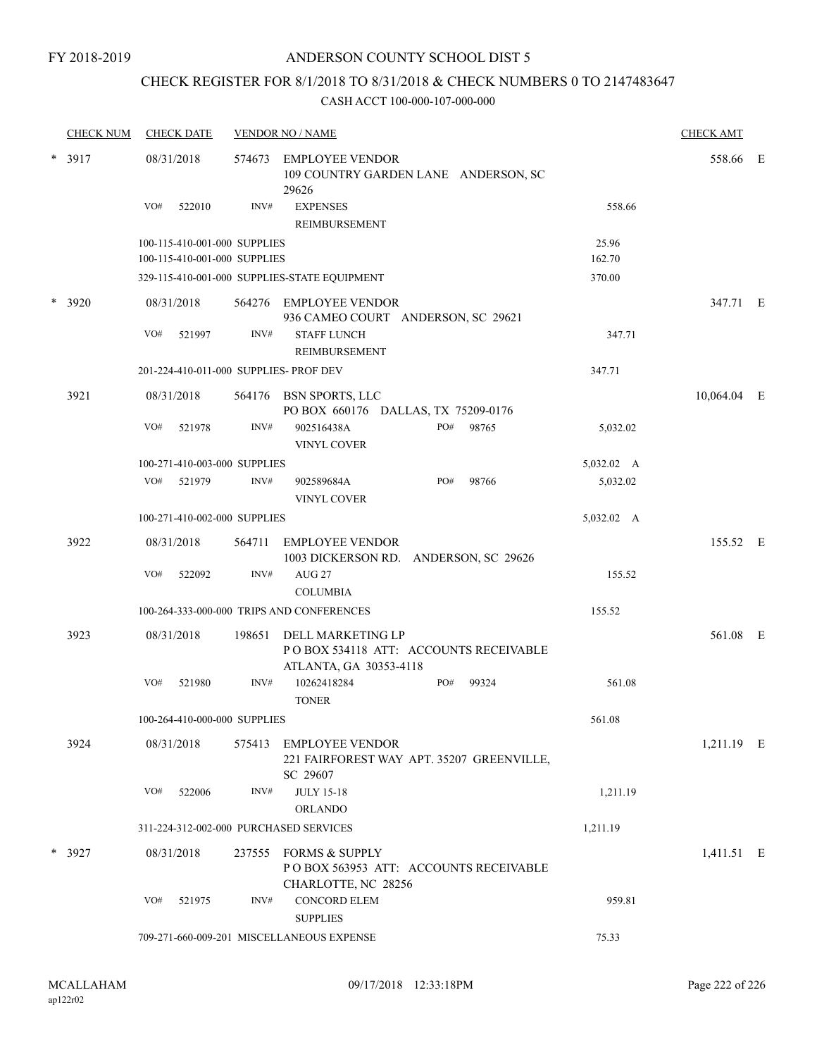## CHECK REGISTER FOR 8/1/2018 TO 8/31/2018 & CHECK NUMBERS 0 TO 2147483647

| <b>CHECK NUM</b> | <b>CHECK DATE</b>                                            |        | <b>VENDOR NO / NAME</b>                                                               |     |       |                 | <b>CHECK AMT</b> |  |
|------------------|--------------------------------------------------------------|--------|---------------------------------------------------------------------------------------|-----|-------|-----------------|------------------|--|
| $* 3917$         | 08/31/2018                                                   |        | 574673 EMPLOYEE VENDOR<br>109 COUNTRY GARDEN LANE ANDERSON, SC<br>29626               |     |       |                 | 558.66 E         |  |
|                  | VO#<br>522010                                                | INV#   | <b>EXPENSES</b><br>REIMBURSEMENT                                                      |     |       | 558.66          |                  |  |
|                  | 100-115-410-001-000 SUPPLIES<br>100-115-410-001-000 SUPPLIES |        |                                                                                       |     |       | 25.96<br>162.70 |                  |  |
|                  |                                                              |        | 329-115-410-001-000 SUPPLIES-STATE EQUIPMENT                                          |     |       | 370.00          |                  |  |
| $*3920$          | 08/31/2018                                                   |        | 564276 EMPLOYEE VENDOR<br>936 CAMEO COURT ANDERSON, SC 29621                          |     |       |                 | 347.71 E         |  |
|                  | VO#<br>521997                                                | INV#   | <b>STAFF LUNCH</b><br>REIMBURSEMENT                                                   |     |       | 347.71          |                  |  |
|                  | 201-224-410-011-000 SUPPLIES- PROF DEV                       |        |                                                                                       |     |       | 347.71          |                  |  |
| 3921             | 08/31/2018                                                   |        | 564176 BSN SPORTS, LLC<br>PO BOX 660176 DALLAS, TX 75209-0176                         |     |       |                 | 10,064.04 E      |  |
|                  | VO#<br>521978                                                | INV#   | 902516438A<br><b>VINYL COVER</b>                                                      | PO# | 98765 | 5,032.02        |                  |  |
|                  | 100-271-410-003-000 SUPPLIES                                 |        |                                                                                       |     |       | 5,032.02 A      |                  |  |
|                  | VO#<br>521979                                                | INV#   | 902589684A<br><b>VINYL COVER</b>                                                      | PO# | 98766 | 5,032.02        |                  |  |
|                  | 100-271-410-002-000 SUPPLIES                                 |        |                                                                                       |     |       | 5,032.02 A      |                  |  |
| 3922             | 08/31/2018                                                   |        | 564711 EMPLOYEE VENDOR<br>1003 DICKERSON RD. ANDERSON, SC 29626                       |     |       |                 | 155.52 E         |  |
|                  | VO#<br>522092                                                | INV#   | AUG <sub>27</sub><br><b>COLUMBIA</b>                                                  |     |       | 155.52          |                  |  |
|                  |                                                              |        | 100-264-333-000-000 TRIPS AND CONFERENCES                                             |     |       | 155.52          |                  |  |
| 3923             | 08/31/2018                                                   | 198651 | DELL MARKETING LP<br>PO BOX 534118 ATT: ACCOUNTS RECEIVABLE<br>ATLANTA, GA 30353-4118 |     |       |                 | 561.08 E         |  |
|                  | VO#<br>521980                                                | INV#   | 10262418284<br><b>TONER</b>                                                           | PO# | 99324 | 561.08          |                  |  |
|                  | 100-264-410-000-000 SUPPLIES                                 |        |                                                                                       |     |       | 561.08          |                  |  |
| 3924             | 08/31/2018                                                   |        | 575413 EMPLOYEE VENDOR<br>221 FAIRFOREST WAY APT. 35207 GREENVILLE,<br>SC 29607       |     |       |                 | 1,211.19 E       |  |
|                  | VO#<br>522006                                                | INV#   | <b>JULY 15-18</b>                                                                     |     |       | 1,211.19        |                  |  |
|                  |                                                              |        | <b>ORLANDO</b>                                                                        |     |       |                 |                  |  |
|                  | 311-224-312-002-000 PURCHASED SERVICES                       |        |                                                                                       |     |       | 1,211.19        |                  |  |
| $*$ 3927         | 08/31/2018                                                   |        | 237555 FORMS & SUPPLY<br>POBOX 563953 ATT: ACCOUNTS RECEIVABLE<br>CHARLOTTE, NC 28256 |     |       |                 | 1,411.51 E       |  |
|                  | VO#<br>521975                                                | INV#   | <b>CONCORD ELEM</b><br><b>SUPPLIES</b>                                                |     |       | 959.81          |                  |  |
|                  |                                                              |        | 709-271-660-009-201 MISCELLANEOUS EXPENSE                                             |     |       | 75.33           |                  |  |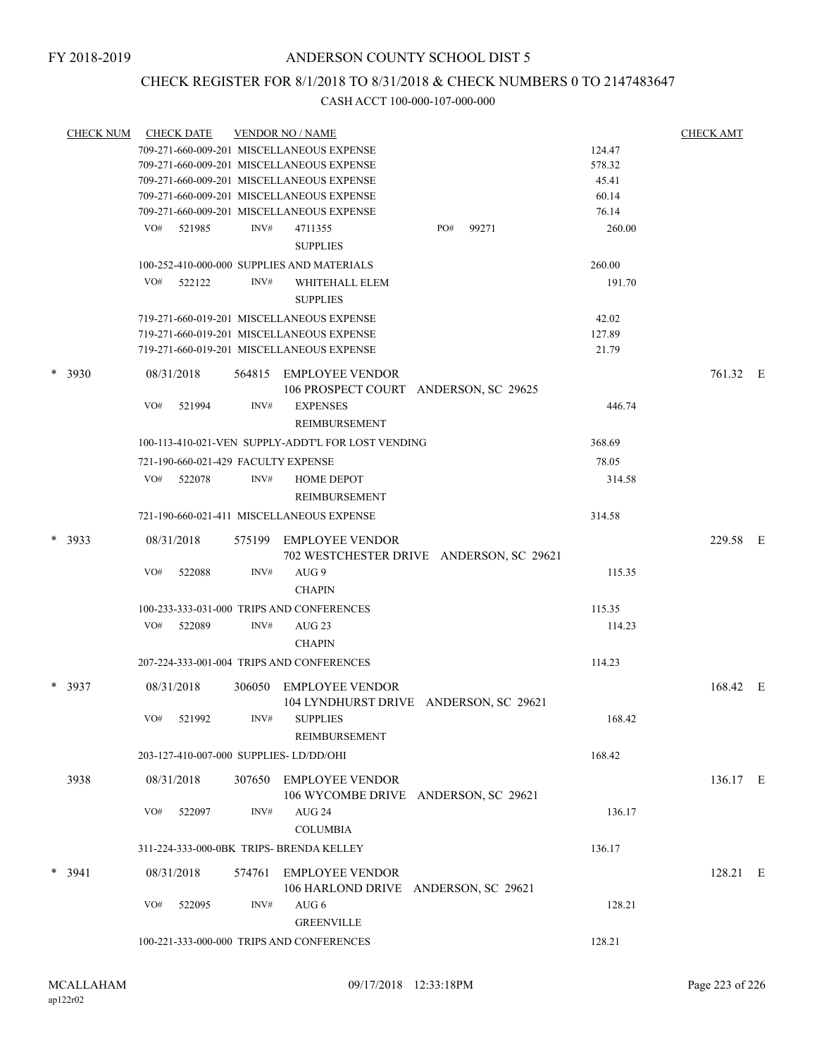## CHECK REGISTER FOR 8/1/2018 TO 8/31/2018 & CHECK NUMBERS 0 TO 2147483647

| <b>CHECK NUM</b> | <b>CHECK DATE</b>                        |        | <b>VENDOR NO / NAME</b>                                            |     |       |        | <b>CHECK AMT</b> |  |
|------------------|------------------------------------------|--------|--------------------------------------------------------------------|-----|-------|--------|------------------|--|
|                  |                                          |        | 709-271-660-009-201 MISCELLANEOUS EXPENSE                          |     |       | 124.47 |                  |  |
|                  |                                          |        | 709-271-660-009-201 MISCELLANEOUS EXPENSE                          |     |       | 578.32 |                  |  |
|                  |                                          |        | 709-271-660-009-201 MISCELLANEOUS EXPENSE                          |     |       | 45.41  |                  |  |
|                  |                                          |        | 709-271-660-009-201 MISCELLANEOUS EXPENSE                          |     |       | 60.14  |                  |  |
|                  |                                          |        | 709-271-660-009-201 MISCELLANEOUS EXPENSE                          |     |       | 76.14  |                  |  |
|                  | VO# 521985                               | INV#   | 4711355<br><b>SUPPLIES</b>                                         | PO# | 99271 | 260.00 |                  |  |
|                  |                                          |        | 100-252-410-000-000 SUPPLIES AND MATERIALS                         |     |       | 260.00 |                  |  |
|                  | VO#<br>522122                            | INV#   | WHITEHALL ELEM<br><b>SUPPLIES</b>                                  |     |       | 191.70 |                  |  |
|                  |                                          |        | 719-271-660-019-201 MISCELLANEOUS EXPENSE                          |     |       | 42.02  |                  |  |
|                  |                                          |        | 719-271-660-019-201 MISCELLANEOUS EXPENSE                          |     |       | 127.89 |                  |  |
|                  |                                          |        | 719-271-660-019-201 MISCELLANEOUS EXPENSE                          |     |       | 21.79  |                  |  |
| $* 3930$         | 08/31/2018                               |        | 564815 EMPLOYEE VENDOR<br>106 PROSPECT COURT ANDERSON, SC 29625    |     |       |        | 761.32 E         |  |
|                  | VO#<br>521994                            | INV#   | <b>EXPENSES</b><br>REIMBURSEMENT                                   |     |       | 446.74 |                  |  |
|                  |                                          |        | 100-113-410-021-VEN SUPPLY-ADDT'L FOR LOST VENDING                 |     |       | 368.69 |                  |  |
|                  | 721-190-660-021-429 FACULTY EXPENSE      |        |                                                                    |     |       | 78.05  |                  |  |
|                  | VO#<br>522078                            | INV#   | <b>HOME DEPOT</b><br><b>REIMBURSEMENT</b>                          |     |       | 314.58 |                  |  |
|                  |                                          |        | 721-190-660-021-411 MISCELLANEOUS EXPENSE                          |     |       | 314.58 |                  |  |
|                  |                                          |        |                                                                    |     |       |        |                  |  |
| $*3933$          | 08/31/2018                               |        | 575199 EMPLOYEE VENDOR<br>702 WESTCHESTER DRIVE ANDERSON, SC 29621 |     |       |        | 229.58 E         |  |
|                  | VO#<br>522088                            | INV#   | AUG 9                                                              |     |       | 115.35 |                  |  |
|                  |                                          |        | <b>CHAPIN</b>                                                      |     |       |        |                  |  |
|                  |                                          |        | 100-233-333-031-000 TRIPS AND CONFERENCES                          |     |       | 115.35 |                  |  |
|                  | VO#<br>522089                            | INV#   | AUG 23                                                             |     |       | 114.23 |                  |  |
|                  |                                          |        | <b>CHAPIN</b>                                                      |     |       |        |                  |  |
|                  |                                          |        | 207-224-333-001-004 TRIPS AND CONFERENCES                          |     |       | 114.23 |                  |  |
| $*3937$          | 08/31/2018                               | 306050 | <b>EMPLOYEE VENDOR</b><br>104 LYNDHURST DRIVE ANDERSON, SC 29621   |     |       |        | 168.42 E         |  |
|                  | VO#<br>521992                            | INV#   | <b>SUPPLIES</b><br>REIMBURSEMENT                                   |     |       | 168.42 |                  |  |
|                  | 203-127-410-007-000 SUPPLIES-LD/DD/OHI   |        |                                                                    |     |       | 168.42 |                  |  |
| 3938             | 08/31/2018                               |        | 307650 EMPLOYEE VENDOR<br>106 WYCOMBE DRIVE ANDERSON, SC 29621     |     |       |        | 136.17 E         |  |
|                  | VO#<br>522097                            | INV#   | AUG 24<br><b>COLUMBIA</b>                                          |     |       | 136.17 |                  |  |
|                  | 311-224-333-000-0BK TRIPS- BRENDA KELLEY |        |                                                                    |     |       | 136.17 |                  |  |
|                  |                                          |        |                                                                    |     |       |        |                  |  |
| $* 3941$         | 08/31/2018                               | 574761 | EMPLOYEE VENDOR<br>106 HARLOND DRIVE ANDERSON, SC 29621            |     |       |        | 128.21 E         |  |
|                  | VO#<br>522095                            | INV#   | AUG 6<br><b>GREENVILLE</b>                                         |     |       | 128.21 |                  |  |
|                  |                                          |        | 100-221-333-000-000 TRIPS AND CONFERENCES                          |     |       | 128.21 |                  |  |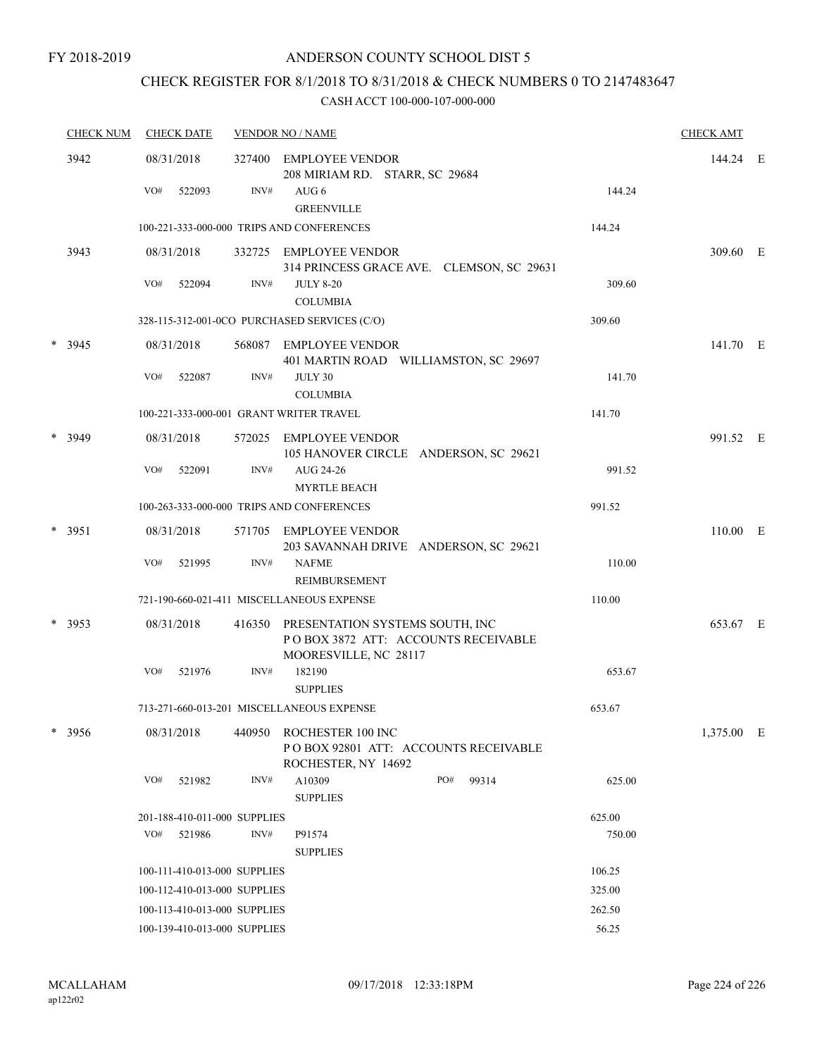# CHECK REGISTER FOR 8/1/2018 TO 8/31/2018 & CHECK NUMBERS 0 TO 2147483647

| <b>CHECK NUM</b><br><b>CHECK DATE</b> |          |     | <b>VENDOR NO / NAME</b>      |        |                                                                                                 |     |       | <b>CHECK AMT</b> |            |  |
|---------------------------------------|----------|-----|------------------------------|--------|-------------------------------------------------------------------------------------------------|-----|-------|------------------|------------|--|
|                                       | 3942     |     | 08/31/2018                   | 327400 | <b>EMPLOYEE VENDOR</b><br>208 MIRIAM RD. STARR, SC 29684                                        |     |       |                  | 144.24 E   |  |
|                                       |          | VO# | 522093                       | INV#   | AUG 6<br><b>GREENVILLE</b>                                                                      |     |       | 144.24           |            |  |
|                                       |          |     |                              |        | 100-221-333-000-000 TRIPS AND CONFERENCES                                                       |     |       | 144.24           |            |  |
|                                       | 3943     |     | 08/31/2018                   |        | 332725 EMPLOYEE VENDOR<br>314 PRINCESS GRACE AVE. CLEMSON, SC 29631                             |     |       |                  | 309.60 E   |  |
|                                       |          | VO# | 522094                       | INV#   | <b>JULY 8-20</b><br><b>COLUMBIA</b>                                                             |     |       | 309.60           |            |  |
|                                       |          |     |                              |        | 328-115-312-001-0CO PURCHASED SERVICES (C/O)                                                    |     |       | 309.60           |            |  |
|                                       | $*$ 3945 |     | 08/31/2018                   |        | 568087 EMPLOYEE VENDOR<br>401 MARTIN ROAD WILLIAMSTON, SC 29697                                 |     |       |                  | 141.70 E   |  |
|                                       |          | VO# | 522087                       | INV#   | JULY 30<br><b>COLUMBIA</b>                                                                      |     |       | 141.70           |            |  |
|                                       |          |     |                              |        | 100-221-333-000-001 GRANT WRITER TRAVEL                                                         |     |       | 141.70           |            |  |
|                                       | $*$ 3949 |     | 08/31/2018                   | 572025 | EMPLOYEE VENDOR<br>105 HANOVER CIRCLE ANDERSON, SC 29621                                        |     |       |                  | 991.52 E   |  |
|                                       |          | VO# | 522091                       | INV#   | AUG 24-26<br><b>MYRTLE BEACH</b>                                                                |     |       | 991.52           |            |  |
|                                       |          |     |                              |        | 100-263-333-000-000 TRIPS AND CONFERENCES                                                       |     |       | 991.52           |            |  |
|                                       | $* 3951$ |     | 08/31/2018                   | 571705 | EMPLOYEE VENDOR<br>203 SAVANNAH DRIVE ANDERSON, SC 29621                                        |     |       |                  | 110.00 E   |  |
|                                       |          | VO# | 521995                       | INV#   | <b>NAFME</b>                                                                                    |     |       | 110.00           |            |  |
|                                       |          |     |                              |        | <b>REIMBURSEMENT</b>                                                                            |     |       |                  |            |  |
|                                       |          |     |                              |        | 721-190-660-021-411 MISCELLANEOUS EXPENSE                                                       |     |       | 110.00           |            |  |
|                                       | * 3953   |     | 08/31/2018                   | 416350 | PRESENTATION SYSTEMS SOUTH, INC<br>POBOX 3872 ATT: ACCOUNTS RECEIVABLE<br>MOORESVILLE, NC 28117 |     |       |                  | 653.67 E   |  |
|                                       |          | VO# | 521976                       | INV#   | 182190<br><b>SUPPLIES</b>                                                                       |     |       | 653.67           |            |  |
|                                       |          |     |                              |        | 713-271-660-013-201 MISCELLANEOUS EXPENSE                                                       |     |       | 653.67           |            |  |
| *                                     | 3956     |     | 08/31/2018                   | 440950 | ROCHESTER 100 INC<br>POBOX 92801 ATT: ACCOUNTS RECEIVABLE<br>ROCHESTER, NY 14692                |     |       |                  | 1,375.00 E |  |
|                                       |          | VO# | 521982                       | INV#   | A10309<br><b>SUPPLIES</b>                                                                       | PO# | 99314 | 625.00           |            |  |
|                                       |          |     | 201-188-410-011-000 SUPPLIES |        |                                                                                                 |     |       | 625.00           |            |  |
|                                       |          | VO# | 521986                       | INV#   | P91574<br><b>SUPPLIES</b>                                                                       |     |       | 750.00           |            |  |
|                                       |          |     | 100-111-410-013-000 SUPPLIES |        |                                                                                                 |     |       | 106.25           |            |  |
|                                       |          |     | 100-112-410-013-000 SUPPLIES |        |                                                                                                 |     |       | 325.00           |            |  |
|                                       |          |     | 100-113-410-013-000 SUPPLIES |        |                                                                                                 |     |       | 262.50           |            |  |
|                                       |          |     | 100-139-410-013-000 SUPPLIES |        |                                                                                                 |     |       | 56.25            |            |  |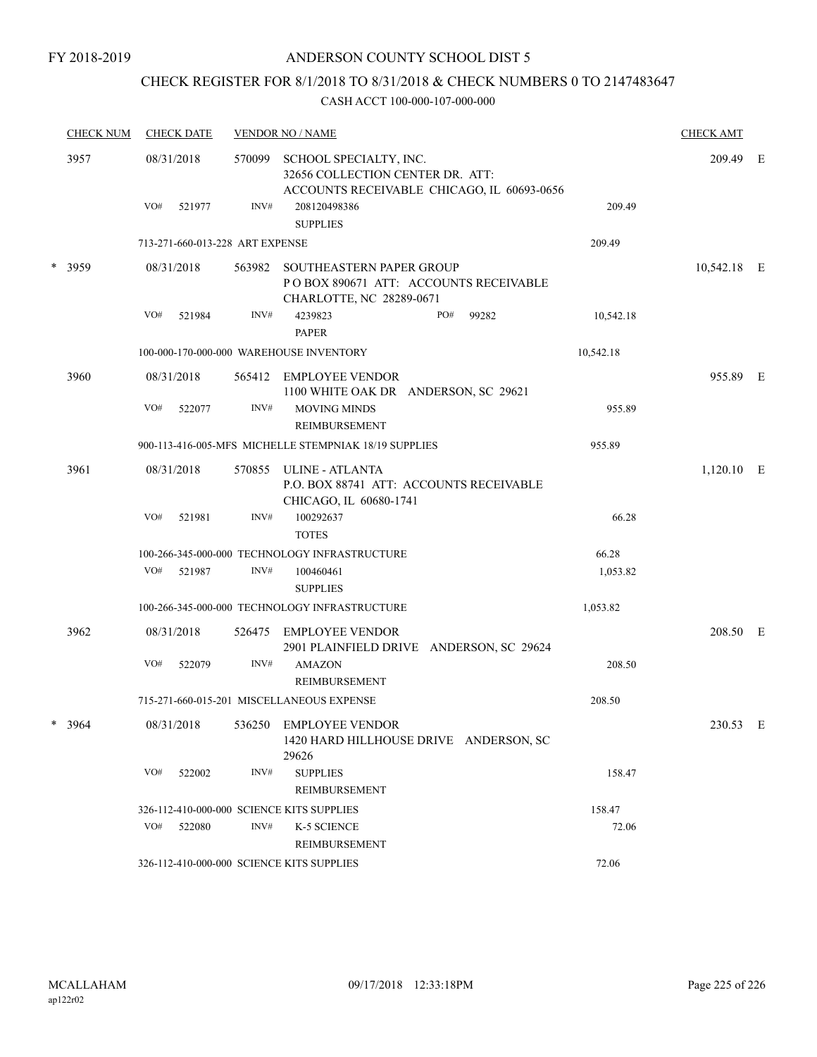FY 2018-2019

## ANDERSON COUNTY SCHOOL DIST 5

# CHECK REGISTER FOR 8/1/2018 TO 8/31/2018 & CHECK NUMBERS 0 TO 2147483647

| <b>CHECK NUM</b> |     | <b>CHECK DATE</b>               |        | <b>VENDOR NO / NAME</b>                                                                                  |           | <b>CHECK AMT</b> |  |
|------------------|-----|---------------------------------|--------|----------------------------------------------------------------------------------------------------------|-----------|------------------|--|
| 3957             |     | 08/31/2018                      | 570099 | SCHOOL SPECIALTY, INC.<br>32656 COLLECTION CENTER DR. ATT:<br>ACCOUNTS RECEIVABLE CHICAGO, IL 60693-0656 |           | 209.49 E         |  |
|                  | VO# | 521977                          | INV#   | 208120498386<br><b>SUPPLIES</b>                                                                          | 209.49    |                  |  |
|                  |     | 713-271-660-013-228 ART EXPENSE |        |                                                                                                          | 209.49    |                  |  |
| * 3959           |     | 08/31/2018                      |        | 563982 SOUTHEASTERN PAPER GROUP<br>PO BOX 890671 ATT: ACCOUNTS RECEIVABLE<br>CHARLOTTE, NC 28289-0671    |           | 10,542.18 E      |  |
|                  | VO# | 521984                          | INV#   | 4239823<br>PO#<br>99282<br><b>PAPER</b>                                                                  | 10,542.18 |                  |  |
|                  |     |                                 |        | 100-000-170-000-000 WAREHOUSE INVENTORY                                                                  | 10,542.18 |                  |  |
| 3960             |     | 08/31/2018                      |        | 565412 EMPLOYEE VENDOR<br>1100 WHITE OAK DR ANDERSON, SC 29621                                           |           | 955.89 E         |  |
|                  | VO# | 522077                          | INV#   | <b>MOVING MINDS</b><br><b>REIMBURSEMENT</b>                                                              | 955.89    |                  |  |
|                  |     |                                 |        | 900-113-416-005-MFS MICHELLE STEMPNIAK 18/19 SUPPLIES                                                    | 955.89    |                  |  |
| 3961             |     | 08/31/2018                      | 570855 | ULINE - ATLANTA<br>P.O. BOX 88741 ATT: ACCOUNTS RECEIVABLE<br>CHICAGO, IL 60680-1741                     |           | 1,120.10 E       |  |
|                  | VO# | 521981                          | INV#   | 100292637<br><b>TOTES</b>                                                                                | 66.28     |                  |  |
|                  |     |                                 |        | 100-266-345-000-000 TECHNOLOGY INFRASTRUCTURE                                                            | 66.28     |                  |  |
|                  | VO# | 521987                          | INV#   | 100460461<br><b>SUPPLIES</b>                                                                             | 1,053.82  |                  |  |
|                  |     |                                 |        | 100-266-345-000-000 TECHNOLOGY INFRASTRUCTURE                                                            | 1,053.82  |                  |  |
| 3962             |     | 08/31/2018                      | 526475 | EMPLOYEE VENDOR<br>2901 PLAINFIELD DRIVE ANDERSON, SC 29624                                              |           | 208.50 E         |  |
|                  | VO# | 522079                          | INV#   | <b>AMAZON</b><br><b>REIMBURSEMENT</b>                                                                    | 208.50    |                  |  |
|                  |     |                                 |        | 715-271-660-015-201 MISCELLANEOUS EXPENSE                                                                | 208.50    |                  |  |
| 3964             |     | 08/31/2018                      |        | 536250 EMPLOYEE VENDOR<br>1420 HARD HILLHOUSE DRIVE ANDERSON, SC<br>29626                                |           | 230.53 E         |  |
|                  | VO# | 522002                          | INV#   | <b>SUPPLIES</b><br>REIMBURSEMENT                                                                         | 158.47    |                  |  |
|                  |     |                                 |        | 326-112-410-000-000 SCIENCE KITS SUPPLIES                                                                | 158.47    |                  |  |
|                  | VO# | 522080                          | INV#   | K-5 SCIENCE<br>REIMBURSEMENT                                                                             | 72.06     |                  |  |
|                  |     |                                 |        | 326-112-410-000-000 SCIENCE KITS SUPPLIES                                                                | 72.06     |                  |  |
|                  |     |                                 |        |                                                                                                          |           |                  |  |